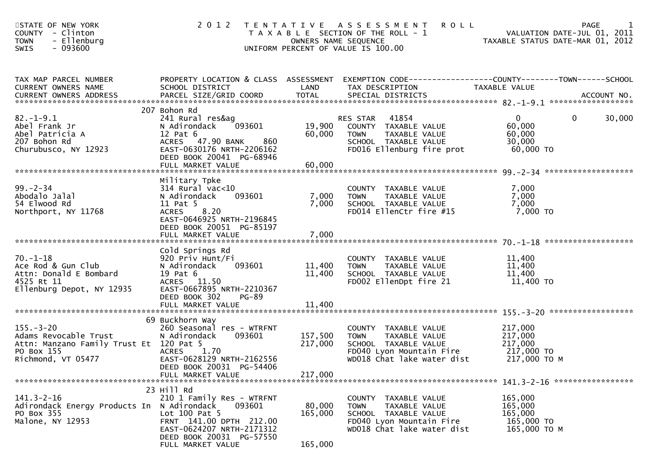| STATE OF NEW YORK<br>COUNTY - Clinton | 2012 TENTATIVE ASSESSMENT ROLL<br>T A X A B L E SECTION OF THE ROLL - 1<br>OWNERS NAME SEQUENCE<br>UNIFORM PERCENT OF VALUE IS 100.00 | PAGE<br>VALUATION DATE-JUL 01, 2011<br>TAXABLE STATUS DATE-MAR 01, 2012 |
|---------------------------------------|---------------------------------------------------------------------------------------------------------------------------------------|-------------------------------------------------------------------------|
| TAX MAP PARCEL NUMBER                 | PROPERTY LOCATION & CLASS ASSESSMENT EXEMPTION CODE----------------COUNTY-------TOWN------SCHOOL                                      |                                                                         |

| CURRENT OWNERS NAME                     | SCHOOL DISTRICT                                       | LAND         | TAX DESCRIPTION                                      | <b>TAXABLE VALUE</b>              |
|-----------------------------------------|-------------------------------------------------------|--------------|------------------------------------------------------|-----------------------------------|
| <b>CURRENT OWNERS ADDRESS</b>           | PARCEL SIZE/GRID COORD                                | <b>TOTAL</b> | SPECIAL DISTRICTS                                    | ACCOUNT NO.                       |
|                                         | 207 Bohon Rd                                          |              |                                                      |                                   |
| $82. - 1 - 9.1$                         | 241 Rural res&ag                                      |              | 41854<br>RES STAR                                    | 30,000<br>$\Omega$<br>$\mathbf 0$ |
| Abel Frank Jr                           | 093601<br>N Adirondack                                | 19,900       | COUNTY TAXABLE VALUE                                 | 60,000                            |
| Abel Patricia A                         | $12$ Pat $6$                                          | 60,000       | TAXABLE VALUE<br>TOWN                                | 60,000                            |
| 207 Bohon Rd                            | ACRES 47.90 BANK<br>860                               |              | SCHOOL TAXABLE VALUE                                 | 30,000                            |
| Churubusco, NY 12923                    | EAST-0630176 NRTH-2206162<br>DEED BOOK 20041 PG-68946 |              | FD016 Ellenburg fire prot                            | 60,000 TO                         |
|                                         | FULL MARKET VALUE                                     | 60,000       |                                                      |                                   |
|                                         |                                                       |              |                                                      |                                   |
|                                         | Military Tpke                                         |              |                                                      |                                   |
| $99. - 2 - 34$                          | 314 Rural vac<10                                      |              | COUNTY TAXABLE VALUE                                 | 7,000                             |
| Abodalo Jalal                           | 093601<br>N Adirondack                                | 7,000        | TAXABLE VALUE<br><b>TOWN</b>                         | 7,000                             |
| 54 Elwood Rd<br>Northport, NY 11768     | 11 Pat 5<br>8.20<br><b>ACRES</b>                      | 7,000        | SCHOOL TAXABLE VALUE<br>FD014 EllenCtr fire #15      | 7,000<br>$7,000$ TO               |
|                                         | EAST-0646925 NRTH-2196845                             |              |                                                      |                                   |
|                                         | DEED BOOK 20051 PG-85197                              |              |                                                      |                                   |
|                                         |                                                       |              |                                                      |                                   |
|                                         |                                                       |              |                                                      |                                   |
|                                         | Cold Springs Rd                                       |              |                                                      |                                   |
| $70. - 1 - 18$<br>Ace Rod & Gun Club    | 920 Priv Hunt/Fi<br>N Adirondack<br>093601            | 11,400       | COUNTY TAXABLE VALUE<br>TAXABLE VALUE<br><b>TOWN</b> | 11,400<br>11,400                  |
| Attn: Donald E Bombard                  | 19 Pat 6                                              | 11,400       | SCHOOL TAXABLE VALUE                                 | 11,400                            |
| 4525 Rt 11                              | ACRES 11.50                                           |              | FD002 EllenDpt fire 21                               | 11,400 TO                         |
| Ellenburg Depot, NY 12935               | EAST-0667895 NRTH-2210367                             |              |                                                      |                                   |
|                                         | DEED BOOK 302<br>PG-89                                |              |                                                      |                                   |
|                                         |                                                       |              |                                                      |                                   |
|                                         | 69 Buckhorn Way                                       |              |                                                      |                                   |
| $155. - 3 - 20$                         | 260 Seasonal res - WTRFNT                             |              | COUNTY TAXABLE VALUE                                 | 217,000                           |
| Adams Revocable Trust                   | 093601<br>N Adirondack                                | 157,500      | TAXABLE VALUE<br><b>TOWN</b>                         | 217,000                           |
| Attn: Manzano Family Trust Et 120 Pat 5 |                                                       | 217,000      | SCHOOL TAXABLE VALUE                                 | 217,000                           |
| PO Box 155                              | 1.70<br><b>ACRES</b>                                  |              | FD040 Lyon Mountain Fire                             | 217,000 TO                        |
| Richmond, VT 05477                      | EAST-0628129 NRTH-2162556                             |              | WD018 Chat lake water dist                           | 217,000 ТО М                      |
|                                         | DEED BOOK 20031 PG-54406                              |              |                                                      |                                   |
|                                         | FULL MARKET VALUE                                     | 217,000      |                                                      |                                   |
|                                         | 23 Hill Rd                                            |              |                                                      |                                   |
| $141.3 - 2 - 16$                        | 210 1 Family Res - WTRFNT                             |              | COUNTY TAXABLE VALUE                                 | 165,000                           |
| Adirondack Energy Products In           | N Adirondack<br>093601                                | 80,000       | <b>TOWN</b><br>TAXABLE VALUE                         | 165,000                           |
| PO Box 355                              | Lot 100 Pat 5                                         | 165,000      | SCHOOL TAXABLE VALUE                                 | 165,000                           |
| Malone, NY 12953                        | FRNT 141.00 DPTH 212.00                               |              | FD040 Lyon Mountain Fire                             | 165,000 TO                        |
|                                         | EAST-0624207 NRTH-2171312<br>DEED BOOK 20031 PG-57550 |              | WD018 Chat lake water dist                           | 165,000 ТО М                      |
|                                         | FULL MARKET VALUE                                     | 165,000      |                                                      |                                   |
|                                         |                                                       |              |                                                      |                                   |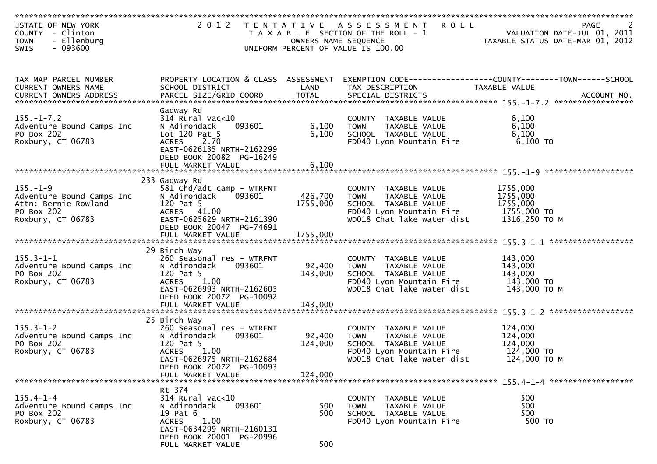| STATE OF NEW YORK<br>COUNTY - Clinton<br><b>TOWN</b><br>- Ellenburg                                    |                                                                                                                               | OWNERS NAME SEQUENCE | 2012 TENTATIVE ASSESSMENT ROLL<br>T A X A B L E SECTION OF THE ROLL - 1                                                                | PAGE<br>VALUATION DATE-JUL 01, 2011<br>TAXABLE STATUS DATE-MAR 01, 2012                                            |
|--------------------------------------------------------------------------------------------------------|-------------------------------------------------------------------------------------------------------------------------------|----------------------|----------------------------------------------------------------------------------------------------------------------------------------|--------------------------------------------------------------------------------------------------------------------|
| $-093600$<br><b>SWIS</b>                                                                               |                                                                                                                               |                      | UNIFORM PERCENT OF VALUE IS 100.00                                                                                                     |                                                                                                                    |
| TAX MAP PARCEL NUMBER<br>CURRENT OWNERS NAME                                                           | SCHOOL DISTRICT                                                                                                               | LAND                 | TAX DESCRIPTION                                                                                                                        | PROPERTY LOCATION & CLASS ASSESSMENT EXEMPTION CODE----------------COUNTY--------TOWN------SCHOOL<br>TAXABLE VALUE |
| $155. - 1 - 7.2$<br>Adventure Bound Camps Inc<br>PO Box 202                                            | Gadway Rd<br>$314$ Rural vac<10<br>N Adirondack<br>093601<br>Lot $120$ Pat 5                                                  | 6,100<br>6,100       | COUNTY TAXABLE VALUE<br><b>TOWN</b><br>TAXABLE VALUE<br>SCHOOL TAXABLE VALUE                                                           | 6,100<br>6,100<br>6,100                                                                                            |
| Roxbury, CT 06783                                                                                      | ACRES 2.70<br>EAST-0626135 NRTH-2162299<br>DEED BOOK 20082 PG-16249<br>FULL MARKET VALUE                                      | 6,100                | FD040 Lyon Mountain Fire                                                                                                               | 6,100 TO                                                                                                           |
|                                                                                                        |                                                                                                                               |                      |                                                                                                                                        |                                                                                                                    |
| $155. - 1 - 9$<br>Adventure Bound Camps Inc<br>Attn: Bernie Rowland<br>PO Box 202<br>Roxbury, CT 06783 | 233 Gadway Rd<br>581 Chd/adt camp - WTRFNT<br>N Adirondack<br>093601<br>120 Pat 5<br>ACRES 41.00<br>EAST-0625629 NRTH-2161390 | 426,700<br>1755,000  | COUNTY TAXABLE VALUE<br>TAXABLE VALUE<br><b>TOWN</b><br>SCHOOL TAXABLE VALUE<br>FD040 Lyon Mountain Fire<br>WD018 Chat lake water dist | 1755,000<br>1755,000<br>1755,000<br>1755,000 TO<br>1316,250 ТО М                                                   |
|                                                                                                        | DEED BOOK 20047 PG-74691                                                                                                      |                      |                                                                                                                                        |                                                                                                                    |
|                                                                                                        | 29 Birch Way                                                                                                                  |                      |                                                                                                                                        |                                                                                                                    |
| $155.3 - 1 - 1$                                                                                        | 260 Seasonal res - WTRFNT                                                                                                     |                      | COUNTY TAXABLE VALUE                                                                                                                   | 143,000                                                                                                            |
| Adventure Bound Camps Inc<br>PO Box 202                                                                | 093601<br>N Adirondack<br>120 Pat 5                                                                                           | 92,400<br>143,000    | TAXABLE VALUE<br>TOWN<br>SCHOOL TAXABLE VALUE                                                                                          | 143,000<br>143,000                                                                                                 |
| Roxbury, CT 06783                                                                                      | ACRES 1.00                                                                                                                    |                      | FD040 Lyon Mountain Fire                                                                                                               | 143,000 TO                                                                                                         |
|                                                                                                        | EAST-0626993 NRTH-2162605<br>DEED BOOK 20072 PG-10092                                                                         |                      | WD018 Chat lake water dist                                                                                                             | 143,000 ТО М                                                                                                       |
|                                                                                                        |                                                                                                                               |                      |                                                                                                                                        |                                                                                                                    |
|                                                                                                        | 25 Birch Way                                                                                                                  |                      |                                                                                                                                        |                                                                                                                    |
| $155.3 - 1 - 2$                                                                                        | 260 Seasonal res - WTRFNT                                                                                                     |                      | COUNTY TAXABLE VALUE                                                                                                                   | 124,000                                                                                                            |
| Adventure Bound Camps Inc                                                                              | 093601<br>N Adirondack                                                                                                        | 92,400               | <b>TOWN</b><br>TAXABLE VALUE                                                                                                           | 124,000                                                                                                            |
| PO Box 202<br>Roxbury, CT 06783                                                                        | 120 Pat 5<br>1.00<br><b>ACRES</b>                                                                                             | 124,000              | SCHOOL TAXABLE VALUE<br>FD040 Lyon Mountain Fire                                                                                       | 124,000<br>124,000 TO                                                                                              |
|                                                                                                        | EAST-0626975 NRTH-2162684                                                                                                     |                      | WD018 Chat lake water dist                                                                                                             | 124,000 ТО М                                                                                                       |
|                                                                                                        | DEED BOOK 20072 PG-10093                                                                                                      |                      |                                                                                                                                        |                                                                                                                    |
|                                                                                                        | FULL MARKET VALUE                                                                                                             | 124,000              |                                                                                                                                        |                                                                                                                    |
|                                                                                                        |                                                                                                                               |                      |                                                                                                                                        |                                                                                                                    |
| $155.4 - 1 - 4$                                                                                        | Rt 374<br>$314$ Rural vac<10                                                                                                  |                      | COUNTY TAXABLE VALUE                                                                                                                   | 500                                                                                                                |
| Adventure Bound Camps Inc                                                                              | N Adirondack<br>093601                                                                                                        | 500                  | <b>TOWN</b><br>TAXABLE VALUE                                                                                                           | 500                                                                                                                |
| PO Box 202                                                                                             | 19 Pat 6                                                                                                                      | 500                  | SCHOOL TAXABLE VALUE                                                                                                                   | 500                                                                                                                |
| Roxbury, CT 06783                                                                                      | <b>ACRES</b><br>1.00<br>EAST-0634299 NRTH-2160131<br>DEED BOOK 20001 PG-20996                                                 |                      | FD040 Lyon Mountain Fire                                                                                                               | 500 TO                                                                                                             |
|                                                                                                        | FULL MARKET VALUE                                                                                                             | 500                  |                                                                                                                                        |                                                                                                                    |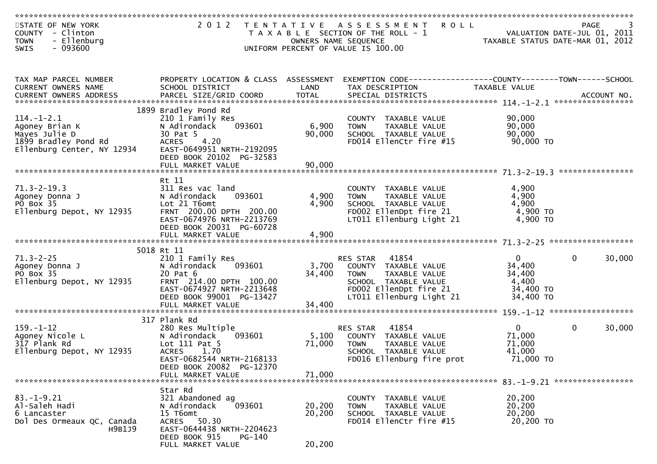| STATE OF NEW YORK<br>COUNTY - Clinton<br>- Ellenburg<br><b>TOWN</b> |                                                                                           |                  | 2012 TENTATIVE ASSESSMENT<br><b>ROLL</b><br>T A X A B L E SECTION OF THE ROLL - 1<br>OWNERS NAME SEQUENCE |                                    | PAGE<br>VALUATION DATE-JUL 01, 2011<br>TAXABLE STATUS DATE-MAR 01, 2012 |
|---------------------------------------------------------------------|-------------------------------------------------------------------------------------------|------------------|-----------------------------------------------------------------------------------------------------------|------------------------------------|-------------------------------------------------------------------------|
| - 093600<br><b>SWIS</b>                                             |                                                                                           |                  | UNIFORM PERCENT OF VALUE IS 100.00                                                                        |                                    |                                                                         |
| TAX MAP PARCEL NUMBER<br>CURRENT OWNERS NAME                        | PROPERTY LOCATION & CLASS ASSESSMENT<br>SCHOOL DISTRICT                                   | LAND             | TAX DESCRIPTION                                                                                           | TAXABLE VALUE                      |                                                                         |
|                                                                     |                                                                                           |                  |                                                                                                           |                                    |                                                                         |
| $114. - 1 - 2.1$<br>Agoney Brian K                                  | 1899 Bradley Pond Rd<br>210 1 Family Res<br>N Adirondack<br>093601                        | 6,900            | COUNTY TAXABLE VALUE<br><b>TOWN</b><br>TAXABLE VALUE                                                      | 90,000<br>90,000                   |                                                                         |
| Mayes Julie D<br>1899 Bradley Pond Rd<br>Ellenburg Center, NY 12934 | 30 Pat 5<br>4.20<br><b>ACRES</b><br>EAST-0649951 NRTH-2192095<br>DEED BOOK 20102 PG-32583 | 90,000           | SCHOOL TAXABLE VALUE<br>FD014 EllenCtr fire #15                                                           | 90,000<br>90,000 TO                |                                                                         |
|                                                                     | FULL MARKET VALUE                                                                         | 90,000           |                                                                                                           |                                    |                                                                         |
| $71.3 - 2 - 19.3$<br>Agoney Donna J                                 | Rt 11<br>311 Res vac land<br>N Adirondack<br>093601                                       | 4,900            | COUNTY TAXABLE VALUE<br><b>TOWN</b><br>TAXABLE VALUE                                                      | 4,900<br>4,900                     |                                                                         |
| PO Box 35<br>Ellenburg Depot, NY 12935                              | Lot 21 T6omt<br>FRNT 200.00 DPTH 200.00<br>EAST-0674976 NRTH-2213769                      | 4,900            | SCHOOL TAXABLE VALUE<br>FD002 EllenDpt fire 21<br>LT011 Ellenburg Light 21                                | 4,900<br>4,900 TO<br>4,900 TO      |                                                                         |
|                                                                     | DEED BOOK 20031 PG-60728                                                                  |                  |                                                                                                           |                                    |                                                                         |
|                                                                     | 5018 Rt 11                                                                                |                  |                                                                                                           |                                    |                                                                         |
| $71.3 - 2 - 25$<br>Agoney Donna J<br>PO Box 35                      | 210 1 Family Res<br>N Adirondack<br>093601<br>20 Pat 6                                    | 3,700<br>34,400  | 41854<br>RES STAR<br>COUNTY TAXABLE VALUE<br>TAXABLE VALUE<br><b>TOWN</b>                                 | $\overline{0}$<br>34,400<br>34,400 | 30,000<br>$\mathbf{0}$                                                  |
| Ellenburg Depot, NY 12935                                           | FRNT 214.00 DPTH 100.00<br>EAST-0674927 NRTH-2213648<br>DEED BOOK 99001 PG-13427          |                  | SCHOOL TAXABLE VALUE<br>FD002 EllenDpt fire 21<br>LT011 Ellenburg Light 21                                | 4,400<br>34,400 TO<br>34,400 TO    |                                                                         |
|                                                                     |                                                                                           |                  |                                                                                                           |                                    |                                                                         |
|                                                                     | 317 Plank Rd                                                                              |                  |                                                                                                           |                                    |                                                                         |
| $159. - 1 - 12$<br>Agoney Nicole L<br>317 Plank Rd                  | 280 Res Multiple<br>093601<br>N Adirondack<br>Lot 111 Pat 5                               | 5,100<br>71,000  | 41854<br><b>RES STAR</b><br>COUNTY TAXABLE VALUE<br><b>TOWN</b><br>TAXABLE VALUE                          | $\mathbf{0}$<br>71,000<br>71,000   | 30,000<br>$\mathbf{0}$                                                  |
| Ellenburg Depot, NY 12935                                           | <b>ACRES</b><br>1.70<br>EAST-0682544 NRTH-2168133<br>DEED BOOK 20082 PG-12370             |                  | SCHOOL TAXABLE VALUE<br>FD016 Ellenburg fire prot                                                         | 41,000<br>71,000 TO                |                                                                         |
|                                                                     | FULL MARKET VALUE                                                                         | 71,000           |                                                                                                           |                                    |                                                                         |
|                                                                     | Star Rd                                                                                   |                  |                                                                                                           |                                    |                                                                         |
| $83.-1-9.21$                                                        | 321 Abandoned ag                                                                          |                  | COUNTY TAXABLE VALUE                                                                                      | 20,200                             |                                                                         |
| Al-Saleh Hadi<br>6 Lancaster                                        | 093601<br>N Adirondack<br>15 T6omt                                                        | 20,200<br>20,200 | TAXABLE VALUE<br>TOWN<br>SCHOOL TAXABLE VALUE                                                             | 20,200<br>20,200                   |                                                                         |
| Dol Des Ormeaux QC, Canada<br>H9B1J9                                | 50.30<br>ACRES<br>EAST-0644438 NRTH-2204623<br>PG-140                                     |                  | FD014 EllenCtr fire #15                                                                                   | 20,200 TO                          |                                                                         |
|                                                                     | DEED BOOK 915<br>FULL MARKET VALUE                                                        | 20,200           |                                                                                                           |                                    |                                                                         |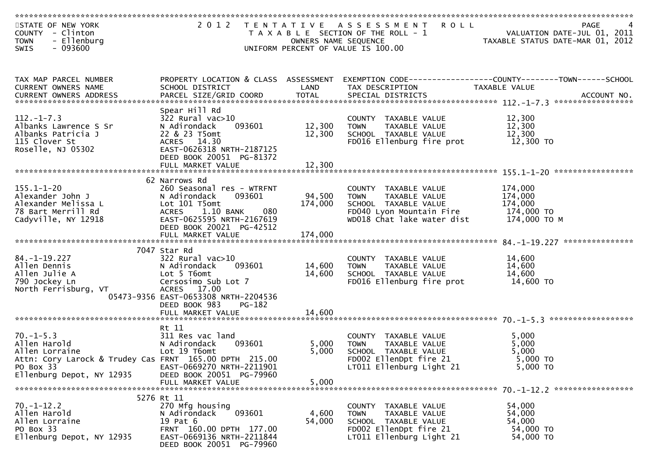| STATE OF NEW YORK<br>COUNTY - Clinton<br><b>TOWN</b><br>- Ellenburg<br>- 093600<br>SWIS                                  |                                                                                                                                                                                         | OWNERS NAME SEQUENCE | 2012 TENTATIVE ASSESSMENT ROLL<br>T A X A B L E SECTION OF THE ROLL - 1<br>UNIFORM PERCENT OF VALUE IS 100.00                             | PAGE PAGE<br>VALUATION DATE-JUL 01, 2011<br>TAXABLE STATUS DATE-MAR 01, 2012 | PAGE<br>4         |
|--------------------------------------------------------------------------------------------------------------------------|-----------------------------------------------------------------------------------------------------------------------------------------------------------------------------------------|----------------------|-------------------------------------------------------------------------------------------------------------------------------------------|------------------------------------------------------------------------------|-------------------|
| TAX MAP PARCEL NUMBER                                                                                                    |                                                                                                                                                                                         | LAND                 | PROPERTY LOCATION & CLASS ASSESSMENT EXEMPTION CODE----------------COUNTY--------TOWN------SCHOOL                                         |                                                                              |                   |
| CURRENT OWNERS NAME                                                                                                      | SCHOOL DISTRICT                                                                                                                                                                         |                      | TAX DESCRIPTION                                                                                                                           | TAXABLE VALUE                                                                |                   |
| $112. - 1 - 7.3$<br>Albanks Lawrence S Sr<br>Albanks Patricia J<br>115 Clover St<br>Roselle, NJ 05302                    | Spear Hill Rd<br>$322$ Rural vac $>10$<br>N Adirondack<br>093601<br>22 & 23 T5omt<br>ACRES 14.30<br>EAST-0626318 NRTH-2187125<br>DEED BOOK 20051 PG-81372                               | 12,300<br>12,300     | COUNTY TAXABLE VALUE<br>TAXABLE VALUE<br>TOWN<br>SCHOOL TAXABLE VALUE<br>FD016 Ellenburg fire prot                                        | 12,300<br>12,300<br>12,300<br>12,300 TO                                      |                   |
|                                                                                                                          |                                                                                                                                                                                         |                      |                                                                                                                                           |                                                                              | ***************** |
| $155.1 - 1 - 20$<br>Alexander John J<br>Alexander Melissa L<br>78 Bart Merrill Rd<br>Cadyville, NY 12918                 | 62 Narrows Rd<br>260 Seasonal res - WTRFNT<br>093601<br>N Adirondack<br>Lot 101 T5omt<br>1.10 BANK<br>080<br><b>ACRES</b><br>EAST-0625595 NRTH-2167619<br>DEED BOOK 20021 PG-42512      | 94,500<br>174,000    | COUNTY TAXABLE VALUE<br>TAXABLE VALUE<br><b>TOWN</b><br>SCHOOL TAXABLE VALUE<br>FD040 Lyon Mountain Fire<br>WD018 Chat lake water dist    | 174,000<br>174,000<br>174,000<br>174,000 TO<br>174,000 то м                  |                   |
|                                                                                                                          |                                                                                                                                                                                         |                      |                                                                                                                                           |                                                                              | ***************   |
| $84. - 1 - 19.227$<br>Allen Dennis<br>Allen Julie A<br>790 Jockey Ln<br>North Ferrisburg, VT                             | 7047 Star Rd<br>$322$ Rural vac $>10$<br>093601<br>N Adirondack<br>Lot 5 T6omt<br>Cersosimo Sub Lot 7<br>ACRES 17.00<br>05473-9356 EAST-0653308 NRTH-2204536<br>DEED BOOK 983<br>PG-182 | 14,600<br>14,600     | COUNTY TAXABLE VALUE<br>TAXABLE VALUE<br><b>TOWN</b><br>SCHOOL TAXABLE VALUE<br>FD016 Ellenburg fire prot                                 | 14,600<br>14,600<br>14,600<br>14,600 TO                                      |                   |
|                                                                                                                          | FULL MARKET VALUE                                                                                                                                                                       | 14,600               |                                                                                                                                           |                                                                              |                   |
| $70. - 1 - 5.3$<br>Allen Harold<br>Allen Lorraine<br>Attn: Cory Larock & Trudey Cas FRNT 165.00 DPTH 215.00<br>PO Box 33 | Rt 11<br>311 Res vac land<br>N Adirondack<br>093601<br>Lot 19 T6omt<br>EAST-0669270 NRTH-2211901                                                                                        | 5,000<br>5,000       | COUNTY TAXABLE VALUE<br>TAXABLE VALUE<br><b>TOWN</b><br>SCHOOL TAXABLE VALUE<br>FD002 EllenDpt fire 21<br>LT011 Ellenburg Light 21        | 5,000<br>5,000<br>5,000<br>5,000 TO<br>5,000 TO                              |                   |
| Ellenburg Depot, NY 12935                                                                                                | DEED BOOK 20051 PG-79960<br>FULL MARKET VALUE                                                                                                                                           | 5,000                |                                                                                                                                           |                                                                              |                   |
|                                                                                                                          |                                                                                                                                                                                         |                      |                                                                                                                                           |                                                                              |                   |
| $70. - 1 - 12.2$<br>Allen Harold<br>Allen Lorraine<br>PO Box 33<br>Ellenburg Depot, NY 12935                             | 5276 Rt 11<br>270 Mfg housing<br>093601<br>N Adirondack<br>19 Pat 6<br>FRNT 160.00 DPTH 177.00<br>EAST-0669136 NRTH-2211844<br>DEED BOOK 20051 PG-79960                                 | 4,600<br>54,000      | COUNTY TAXABLE VALUE<br><b>TAXABLE VALUE</b><br><b>TOWN</b><br>SCHOOL TAXABLE VALUE<br>FD002 EllenDpt fire 21<br>LT011 Ellenburg Light 21 | 54,000<br>54,000<br>54,000<br>54,000 TO<br>54,000 TO                         |                   |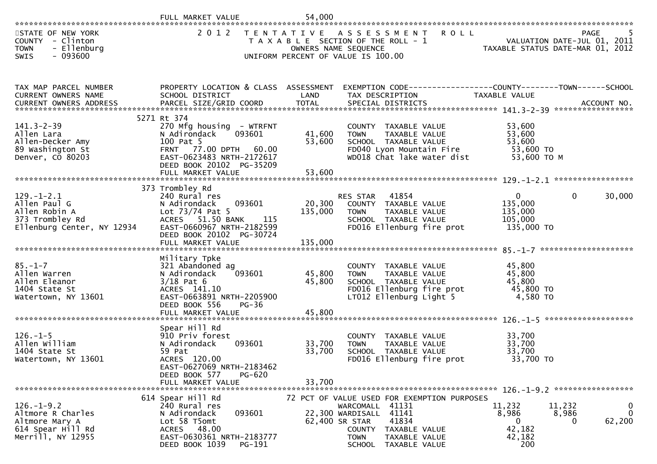|                                                                                                    | FULL MARKET VALUE                                                                                                                                                        | 54,000                     |                                                                                                                                                                                                                         |                                                                                |                                                           |
|----------------------------------------------------------------------------------------------------|--------------------------------------------------------------------------------------------------------------------------------------------------------------------------|----------------------------|-------------------------------------------------------------------------------------------------------------------------------------------------------------------------------------------------------------------------|--------------------------------------------------------------------------------|-----------------------------------------------------------|
| STATE OF NEW YORK<br>COUNTY - Clinton<br>- Ellenburg<br><b>TOWN</b><br>$-093600$<br>SWIS           | 2 0 1 2                                                                                                                                                                  |                            | TENTATIVE ASSESSMENT<br>T A X A B L E SECTION OF THE ROLL - 1<br>OWNERS NAME SEQUENCE<br>UNIFORM PERCENT OF VALUE IS 100.00                                                                                             | <b>ROLL</b><br>VALUATION DATE-JUL 01, 2011<br>TAXABLE STATUS DATE-MAR 01, 2012 | <b>PAGE</b>                                               |
| TAX MAP PARCEL NUMBER<br>CURRENT OWNERS NAME                                                       | PROPERTY LOCATION & CLASS ASSESSMENT EXEMPTION CODE----------------COUNTY-------TOWN------SCHOOL<br>SCHOOL DISTRICT                                                      | LAND                       | TAX DESCRIPTION                                                                                                                                                                                                         | TAXABLE VALUE                                                                  |                                                           |
| $141.3 - 2 - 39$<br>Allen Lara<br>Allen-Decker Amy<br>89 Washington St<br>Denver, CO 80203         | 5271 Rt 374<br>270 Mfg housing - WTRFNT<br>093601<br>N Adirondack<br>100 Pat 5<br>FRNT 77.00 DPTH 60.00<br>EAST-0623483 NRTH-2172617<br>DEED BOOK 20102 PG-35209         | 41,600<br>53,600           | COUNTY TAXABLE VALUE<br><b>TOWN</b><br>TAXABLE VALUE<br>SCHOOL TAXABLE VALUE<br>FD040 Lyon Mountain Fire<br>WD018 Chat lake water dist                                                                                  | 53,600<br>53,600<br>53,600<br>53,600 TO<br>53,600 TO M                         |                                                           |
| $129. - 1 - 2.1$<br>Allen Paul G<br>Allen Robin A<br>373 Trombley Rd<br>Ellenburg Center, NY 12934 | 373 Trombley Rd<br>240 Rural res<br>093601<br>N Adirondack<br>Lot $73/74$ Pat 5<br>ACRES 51.50 BANK<br>115<br>EAST-0660967 NRTH-2182599<br>DEED BOOK 20102 PG-30724      | 20,300<br>135,000          | RES STAR 41854<br>COUNTY TAXABLE VALUE<br>TAXABLE VALUE<br>TOWN<br>SCHOOL TAXABLE VALUE<br>FD016 Ellenburg fire prot                                                                                                    | $\overline{0}$<br>135,000<br>135,000<br>105,000<br>135,000 TO                  | $\mathbf{0}$<br>30,000                                    |
| $85. - 1 - 7$<br>Allen Warren<br>Allen Eleanor<br>1404 State St<br>Watertown, NY 13601             | Military Tpke<br>321 Abandoned ag<br>093601<br>N Adirondack<br>$3/18$ Pat 6<br>ACRES 141.10<br>EAST-0663891 NRTH-2205900<br>DEED BOOK 556<br>PG-36<br>FULL MARKET VALUE  | 45,800<br>45,800<br>45,800 | COUNTY TAXABLE VALUE<br>TAXABLE VALUE<br>TOWN<br>SCHOOL TAXABLE VALUE<br>FD016 Ellenburg fire prot<br>LT012 Ellenburg Light 5                                                                                           | 45,800<br>45,800<br>45,800<br>45,800 TO<br>4,580 TO                            |                                                           |
| $126. - 1 - 5$<br>Allen William<br>1404 State St<br>Watertown, NY 13601                            | Spear Hill Rd<br>910 Priv forest<br>N Adirondack<br>093601<br>59 Pat<br>ACRES 120.00<br>EAST-0627069 NRTH-2183462<br>DEED BOOK 577<br><b>PG-620</b><br>FULL MARKET VALUE | 33,700<br>33,700<br>33,700 | COUNTY TAXABLE VALUE<br>TAXABLE VALUE<br><b>TOWN</b><br>SCHOOL TAXABLE VALUE<br>FD016 Ellenburg fire prot                                                                                                               | 33,700<br>33,700<br>33,700<br>33,700 TO                                        |                                                           |
| $126. - 1 - 9.2$<br>Altmore R Charles<br>Altmore Mary A<br>614 Spear Hill Rd<br>Merrill, NY 12955  | 614 Spear Hill Rd<br>240 Rural res<br>093601<br>N Adirondack<br>Lot 58 T5omt<br>ACRES 48.00<br>EAST-0630361 NRTH-2183777<br>DEED BOOK 1039 PG-191                        |                            | 72 PCT OF VALUE USED FOR EXEMPTION PURPOSES<br>WARCOMALL 41131<br>22,300 WARDISALL 41141<br>62,400 SR STAR<br>41834<br><b>COUNTY</b><br>TAXABLE VALUE<br><b>TOWN</b><br>TAXABLE VALUE<br><b>SCHOOL</b><br>TAXABLE VALUE | 11,232<br>8,986<br>$\mathbf{0}$<br>42,182<br>42,182<br>200                     | 11,232<br>0<br>$\mathbf 0$<br>8,986<br>62,200<br>$\Omega$ |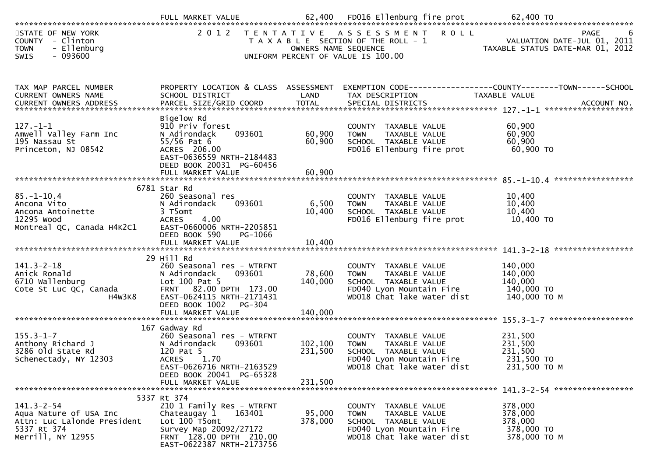| STATE OF NEW YORK<br>COUNTY - Clinton<br>- Ellenburg<br><b>TOWN</b><br>$-093600$<br><b>SWIS</b>               |                                                                                                                                                                        | OWNERS NAME SEQUENCE         | 2012 TENTATIVE ASSESSMENT ROLL<br>T A X A B L E SECTION OF THE ROLL - 1<br>UNIFORM PERCENT OF VALUE IS 100.00                                     | PAGE 6<br>VALUATION DATE-JUL 01, 2011<br>TAXABLE STATUS DATE MARICAL                                                                                                                               |
|---------------------------------------------------------------------------------------------------------------|------------------------------------------------------------------------------------------------------------------------------------------------------------------------|------------------------------|---------------------------------------------------------------------------------------------------------------------------------------------------|----------------------------------------------------------------------------------------------------------------------------------------------------------------------------------------------------|
| TAX MAP PARCEL NUMBER<br>CURRENT OWNERS NAME                                                                  | PROPERTY LOCATION & CLASS ASSESSMENT<br>SCHOOL DISTRICT                                                                                                                | LAND                         | TAX DESCRIPTION                                                                                                                                   | EXEMPTION CODE------------------COUNTY--------TOWN------SCHOOL<br>TAXABLE VALUE<br>.CURRENT OWNERS ADDRESS PARCEL SIZE/GRID COORD TOTAL SPECIAL DISTRICTS ACCOUNT NO ACCOUNT NO ACCOUNT NO ACCOUNT |
| $127. - 1 - 1$<br>Amwell Valley Farm Inc<br>195 Nassau St<br>Princeton, NJ 08542                              | Bigelow Rd<br>910 Priv forest<br>093601<br>N Adirondack<br>$55/56$ Pat 6<br>ACRES 206.00<br>EAST-0636559 NRTH-2184483<br>DEED BOOK 20031 PG-60456<br>FULL MARKET VALUE | 60,900<br>60,900<br>60,900   | COUNTY TAXABLE VALUE<br>TAXABLE VALUE<br>TOWN<br>SCHOOL TAXABLE VALUE<br>FD016 Ellenburg fire prot                                                | 60,900<br>60,900<br>60,900<br>60,900 TO                                                                                                                                                            |
| $85. - 1 - 10.4$<br>Ancona Vito<br>Ancona Antoinette<br>12295 Wood<br>Montreal QC, Canada H4K2C1              | 6781 Star Rd<br>260 Seasonal res<br>093601<br>N Adirondack<br>3 T5omt<br><b>ACRES</b><br>4.00<br>EAST-0660006 NRTH-2205851<br>DEED BOOK 590<br>PG-1066                 | 6,500<br>10,400              | COUNTY TAXABLE VALUE<br>TAXABLE VALUE<br><b>TOWN</b><br>SCHOOL TAXABLE VALUE<br>FD016 Ellenburg fire prot 10,400 TO                               | 10,400<br>10,400<br>10,400                                                                                                                                                                         |
|                                                                                                               |                                                                                                                                                                        |                              |                                                                                                                                                   |                                                                                                                                                                                                    |
| $141.3 - 2 - 18$<br>Anick Ronald<br>6710 Wallenburg<br>Cote St Luc QC, Canada<br>H4W3K8                       | 29 Hill Rd<br>260 Seasonal res - WTRFNT<br>093601<br>N Adirondack<br>Lot 100 Pat 5<br>FRNT 82.00 DPTH 173.00<br>EAST-0624115 NRTH-2171431<br>DEED BOOK 1002<br>PG-304  | 78,600<br>140,000<br>140,000 | COUNTY TAXABLE VALUE<br><b>TOWN</b><br>TAXABLE VALUE<br>SCHOOL TAXABLE VALUE<br>FD040 Lyon Mountain Fire 140,000 TO<br>WD018 Chat lake water dist | 140,000<br>140,000<br>140,000<br>140,000 то м                                                                                                                                                      |
|                                                                                                               | FULL MARKET VALUE                                                                                                                                                      |                              |                                                                                                                                                   |                                                                                                                                                                                                    |
| $155.3 - 1 - 7$<br>Anthony Richard J<br>3286 old State Rd<br>Schenectady, NY 12303                            | 167 Gadway Rd<br>260 Seasonal res - WTRFNT<br>093601<br>N Adirondack<br>120 Pat 5<br>1.70<br>ACRES<br>EAST-0626716 NRTH-2163529<br>DEED BOOK 20041 PG-65328            | 102,100<br>231,500           | COUNTY TAXABLE VALUE<br>TAXABLE VALUE<br><b>TOWN</b><br>SCHOOL TAXABLE VALUE<br>FD040 Lyon Mountain Fire<br>WD018 Chat lake water dist            | 231,500<br>231,500<br>231,500<br>231,500 TO<br>231,500 ТО М                                                                                                                                        |
|                                                                                                               | FULL MARKET VALUE                                                                                                                                                      | 231,500                      |                                                                                                                                                   |                                                                                                                                                                                                    |
| $141.3 - 2 - 54$<br>Aqua Nature of USA Inc<br>Attn: Luc Lalonde President<br>5337 Rt 374<br>Merrill, NY 12955 | 5337 Rt 374<br>210 1 Family Res - WTRFNT<br>163401<br>Chateaugay 1<br>Lot 100 T5omt<br>Survey Map 20092/27172<br>FRNT 128.00 DPTH 210.00<br>EAST-0622387 NRTH-2173756  | 95,000<br>378,000            | COUNTY TAXABLE VALUE<br>TAXABLE VALUE<br><b>TOWN</b><br>SCHOOL TAXABLE VALUE<br>FD040 Lyon Mountain Fire<br>WD018 Chat lake water dist            | 378,000<br>378,000<br>378,000<br>378,000 TO<br>378,000 TO M                                                                                                                                        |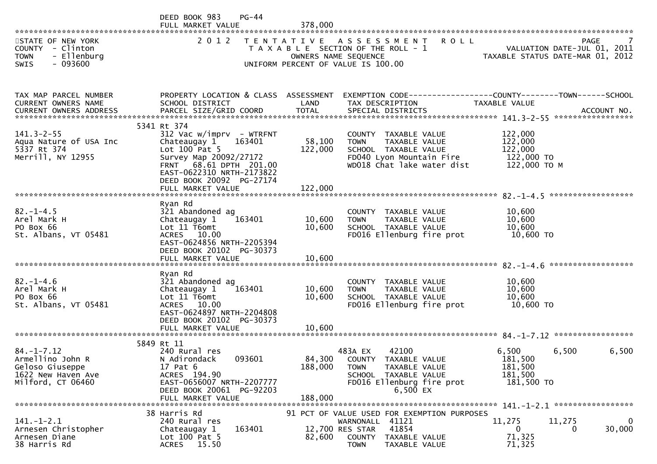|                                                                                                    | DEED BOOK 983<br>$PG-44$<br>FULL MARKET VALUE                                                                                                                                                                          | 378,000                      |                                                                                                                                                              |                                                                 |                         |
|----------------------------------------------------------------------------------------------------|------------------------------------------------------------------------------------------------------------------------------------------------------------------------------------------------------------------------|------------------------------|--------------------------------------------------------------------------------------------------------------------------------------------------------------|-----------------------------------------------------------------|-------------------------|
| STATE OF NEW YORK<br>COUNTY - Clinton<br><b>TOWN</b><br>- Ellenburg<br>$-093600$<br>SWIS           | 2 0 1 2                                                                                                                                                                                                                | T E N T A T I V E            | ASSESSMENT<br>R O L L<br>T A X A B L E SECTION OF THE ROLL - 1<br>OWNERS NAME SEQUENCE<br>UNIFORM PERCENT OF VALUE IS 100.00                                 | VALUATION DATE-JUL 01, 2011<br>TAXABLE STATUS DATE-MAR 01, 2012 | <b>PAGE</b>             |
| TAX MAP PARCEL NUMBER<br>CURRENT OWNERS NAME                                                       | PROPERTY LOCATION & CLASS ASSESSMENT<br>SCHOOL DISTRICT                                                                                                                                                                | LAND                         | EXEMPTION CODE-----------------COUNTY--------TOWN------SCHOOL<br>TAX DESCRIPTION                                                                             | TAXABLE VALUE                                                   |                         |
| $141.3 - 2 - 55$<br>Aqua Nature of USA Inc<br>5337 Rt 374<br>Merrill, NY 12955                     | 5341 Rt 374<br>312 Vac w/imprv - WTRFNT<br>Chateaugay 1<br>163401<br>Lot $100$ Pat 5<br>Survey Map 20092/27172<br>FRNT 68.61 DPTH 201.00<br>EAST-0622310 NRTH-2173822<br>DEED BOOK 20092 PG-27174<br>FULL MARKET VALUE | 58,100<br>122,000<br>122,000 | COUNTY TAXABLE VALUE<br>TAXABLE VALUE<br><b>TOWN</b><br>SCHOOL TAXABLE VALUE<br>FD040 Lyon Mountain Fire<br>WD018 Chat lake water dist                       | 122,000<br>122,000<br>122,000<br>122,000 TO<br>122,000 ТО М     |                         |
| $82. - 1 - 4.5$<br>Arel Mark H<br>PO Box 66<br>St. Albans, VT 05481                                | Ryan Rd<br>321 Abandoned ag<br>Chateaugay 1<br>163401<br>Lot 11 T6omt<br>ACRES 10.00<br>EAST-0624856 NRTH-2205394<br>DEED BOOK 20102 PG-30373<br>FULL MARKET VALUE                                                     | 10,600<br>10,600<br>10,600   | COUNTY TAXABLE VALUE<br><b>TOWN</b><br>TAXABLE VALUE<br>SCHOOL TAXABLE VALUE<br>FD016 Ellenburg fire prot                                                    | 10,600<br>10,600<br>10,600<br>10,600 TO                         |                         |
| $82 - 1 - 4.6$<br>Arel Mark H<br>PO Box 66<br>St. Albans, VT 05481                                 | Ryan Rd<br>321 Abandoned ag<br>Chateaugay 1<br>163401<br>Lot 11 T6omt<br>ACRES 10.00<br>EAST-0624897 NRTH-2204808<br>DEED BOOK 20102 PG-30373<br>FULL MARKET VALUE                                                     | 10,600<br>10,600<br>10,600   | COUNTY TAXABLE VALUE<br>TAXABLE VALUE<br><b>TOWN</b><br>SCHOOL TAXABLE VALUE<br>FD016 Ellenburg fire prot                                                    | 10,600<br>10,600<br>10,600<br>10,600 TO                         | *****************       |
| $84. - 1 - 7.12$<br>Armellino John R<br>Geloso Giuseppe<br>1622 New Haven Ave<br>Milford, CT 06460 | 5849 Rt 11<br>240 Rural res<br>093601<br>N Adirondack<br>17 Pat 6<br>ACRES 194.90<br>EAST-0656007 NRTH-2207777<br>DEED BOOK 20061 PG-92203<br>FULL MARKET VALUE                                                        | 84,300<br>188,000<br>188,000 | 42100<br>483A EX<br>COUNTY TAXABLE VALUE<br>TAXABLE VALUE<br><b>TOWN</b><br>SCHOOL TAXABLE VALUE<br>FD016 Ellenburg fire prot<br>6,500 EX                    | 6,500<br>6,500<br>181,500<br>181,500<br>181,500<br>181,500 TO   | 6,500                   |
| $141.-1-2.1$<br>Arnesen Christopher<br>Arnesen Diane<br>38 Harris Rd                               | 38 Harris Rd<br>240 Rural res<br>163401<br>Chateaugay 1<br>Lot 100 Pat 5<br>ACRES 15.50                                                                                                                                | 82,600                       | 91 PCT OF VALUE USED FOR EXEMPTION PURPOSES<br>WARNONALL 41121<br>41854<br>12,700 RES STAR<br><b>COUNTY</b><br>TAXABLE VALUE<br><b>TOWN</b><br>TAXABLE VALUE | 11,275<br>11,275<br>0<br>71,325<br>71,325                       | 0<br>30,000<br>$\Omega$ |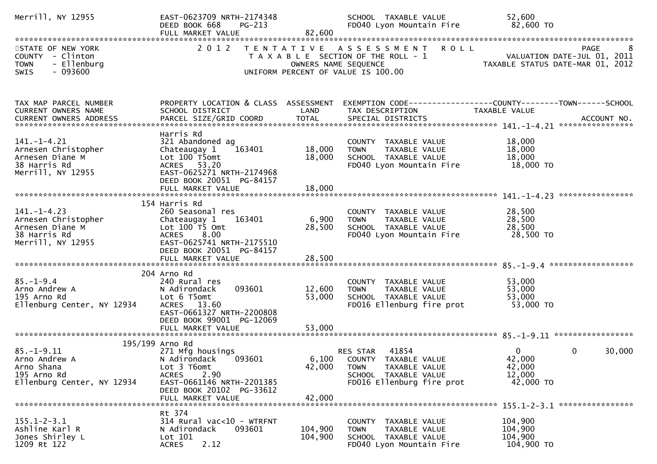| Merrill, NY 12955                                                                               | EAST-0623709 NRTH-2174348<br>DEED BOOK 668<br>FULL MARKET VALUE      | $PG-213$<br>82,600   | SCHOOL TAXABLE VALUE<br>FD040 Lyon Mountain Fire                                                              | 52,600<br>82,600 TO                                                                              |
|-------------------------------------------------------------------------------------------------|----------------------------------------------------------------------|----------------------|---------------------------------------------------------------------------------------------------------------|--------------------------------------------------------------------------------------------------|
|                                                                                                 |                                                                      |                      |                                                                                                               |                                                                                                  |
| STATE OF NEW YORK<br>COUNTY - Clinton<br><b>TOWN</b><br>- Ellenburg<br>$-093600$<br><b>SWIS</b> |                                                                      | OWNERS NAME SEQUENCE | 2012 TENTATIVE ASSESSMENT ROLL<br>T A X A B L E SECTION OF THE ROLL - 1<br>UNIFORM PERCENT OF VALUE IS 100.00 | PAGE<br>8<br>VALUATION DATE-JUL 01, 2011<br>TAXABLE STATUS DATE-MAR 01, 2012                     |
| TAX MAP PARCEL NUMBER                                                                           |                                                                      |                      |                                                                                                               | PROPERTY LOCATION & CLASS ASSESSMENT EXEMPTION CODE----------------COUNTY-------TOWN------SCHOOL |
| CURRENT OWNERS NAME                                                                             | SCHOOL DISTRICT                                                      | LAND                 | TAX DESCRIPTION                                                                                               | TAXABLE VALUE                                                                                    |
|                                                                                                 | Harris Rd                                                            |                      |                                                                                                               |                                                                                                  |
| $141. - 1 - 4.21$<br>Arnesen Christopher                                                        | 321 Abandoned ag<br>Chateaugay $1 \overline{163401}$                 | 18,000               | COUNTY TAXABLE VALUE<br><b>TOWN</b><br>TAXABLE VALUE                                                          | 18,000<br>18,000                                                                                 |
| Arnesen Diane M                                                                                 | Lot 100 T5omt                                                        | 18,000               | SCHOOL TAXABLE VALUE                                                                                          | 18,000                                                                                           |
| 38 Harris Rd<br>Merrill, NY 12955                                                               | ACRES 53.20<br>EAST-0625271 NRTH-2174968<br>DEED BOOK 20051 PG-84157 |                      | FD040 Lyon Mountain Fire                                                                                      | 18,000 TO                                                                                        |
|                                                                                                 |                                                                      |                      |                                                                                                               |                                                                                                  |
| $141. - 1 - 4.23$                                                                               | 154 Harris Rd<br>260 Seasonal res                                    |                      | COUNTY TAXABLE VALUE                                                                                          | 28,500                                                                                           |
| Arnesen Christopher                                                                             | Chateaugay 1 163401                                                  | 6,900                | TAXABLE VALUE<br><b>TOWN</b>                                                                                  | 28,500                                                                                           |
| Arnesen Diane M                                                                                 | Lot $100$ T5 Omt                                                     | 28,500               | SCHOOL TAXABLE VALUE                                                                                          | 28,500                                                                                           |
| 38 Harris Rd                                                                                    | ACRES 8.00                                                           |                      | FD040 Lyon Mountain Fire                                                                                      | 28,500 TO                                                                                        |
| Merrill, NY 12955                                                                               | EAST-0625741 NRTH-2175510<br>DEED BOOK 20051 PG-84157                |                      |                                                                                                               |                                                                                                  |
|                                                                                                 |                                                                      |                      |                                                                                                               |                                                                                                  |
| $85. - 1 - 9.4$                                                                                 | 204 Arno Rd<br>240 Rural res                                         |                      | COUNTY TAXABLE VALUE                                                                                          | 53,000                                                                                           |
| Arno Andrew A                                                                                   | 093601<br>N Adirondack                                               | 12,600               | TAXABLE VALUE<br>TOWN                                                                                         | 53,000                                                                                           |
| 195 Arno Rd                                                                                     | Lot 6 T5omt                                                          | 53,000               | SCHOOL TAXABLE VALUE                                                                                          | 53,000                                                                                           |
| Ellenburg Center, NY 12934                                                                      | ACRES 13.60                                                          |                      | FD016 Ellenburg fire prot                                                                                     | 53,000 TO                                                                                        |
|                                                                                                 | EAST-0661327 NRTH-2200808<br>DEED BOOK 99001 PG-12069                |                      |                                                                                                               |                                                                                                  |
|                                                                                                 | FULL MARKET VALUE                                                    | 53,000               |                                                                                                               |                                                                                                  |
|                                                                                                 |                                                                      |                      |                                                                                                               |                                                                                                  |
|                                                                                                 | 195/199 Arno Rd                                                      |                      |                                                                                                               | $\Omega$<br>$\Omega$                                                                             |
| $85. - 1 - 9.11$<br>Arno Andrew A                                                               | 271 Mfg housings<br>N Adirondack<br>093601                           |                      | 41854<br>RES STAR<br>6,100 COUNTY TAXABLE VALUE                                                               | 30,000<br>42,000                                                                                 |
| Arno Shana                                                                                      | Lot 3 T6omt                                                          | 42,000               | TAXABLE VALUE<br><b>TOWN</b>                                                                                  | 42,000                                                                                           |
| 195 Arno Rd                                                                                     | 2.90<br><b>ACRES</b>                                                 |                      | SCHOOL TAXABLE VALUE                                                                                          | 12,000                                                                                           |
| Ellenburg Center, NY 12934                                                                      | EAST-0661146 NRTH-2201385                                            |                      | FD016 Ellenburg fire prot                                                                                     | 42,000 TO                                                                                        |
|                                                                                                 | DEED BOOK 20102 PG-33612<br>FULL MARKET VALUE                        | 42,000               |                                                                                                               |                                                                                                  |
|                                                                                                 | Rt 374                                                               |                      |                                                                                                               |                                                                                                  |
| $155.1 - 2 - 3.1$                                                                               | 314 Rural vac<10 - WTRFNT                                            |                      | COUNTY TAXABLE VALUE                                                                                          | 104,900                                                                                          |
| Ashline Karl R                                                                                  | N Adirondack<br>093601                                               | 104,900              | TAXABLE VALUE<br><b>TOWN</b>                                                                                  | 104,900                                                                                          |
| Jones Shirley L                                                                                 | Lot 101                                                              | 104,900              | SCHOOL TAXABLE VALUE                                                                                          | 104,900                                                                                          |
| 1209 Rt 122                                                                                     | 2.12<br><b>ACRES</b>                                                 |                      | FD040 Lyon Mountain Fire                                                                                      | 104,900 TO                                                                                       |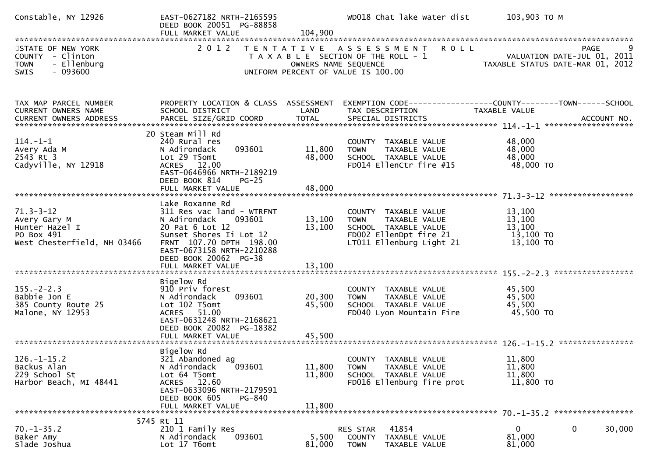| Constable, NY 12926                                                                             | EAST-0627182 NRTH-2165595<br>DEED BOOK 20051 PG-88858<br>FULL MARKET VALUE                                                                                                   | 104,900                    | WD018 Chat lake water dist                                                                                                  | 103,903 ТО М                                                                        |
|-------------------------------------------------------------------------------------------------|------------------------------------------------------------------------------------------------------------------------------------------------------------------------------|----------------------------|-----------------------------------------------------------------------------------------------------------------------------|-------------------------------------------------------------------------------------|
|                                                                                                 |                                                                                                                                                                              |                            |                                                                                                                             |                                                                                     |
| STATE OF NEW YORK<br>COUNTY - Clinton<br>- Ellenburg<br><b>TOWN</b><br>$-093600$<br><b>SWIS</b> |                                                                                                                                                                              | OWNERS NAME SEQUENCE       | 2012 TENTATIVE ASSESSMENT<br><b>ROLL</b><br>T A X A B L E SECTION OF THE ROLL - 1<br>UNIFORM PERCENT OF VALUE IS 100.00     | 9<br><b>PAGE</b><br>VALUATION DATE-JUL 01, 2011<br>TAXABLE STATUS DATE-MAR 01, 2012 |
| TAX MAP PARCEL NUMBER                                                                           | PROPERTY LOCATION & CLASS ASSESSMENT                                                                                                                                         |                            |                                                                                                                             | EXEMPTION CODE------------------COUNTY--------TOWN------SCHOOL                      |
| CURRENT OWNERS NAME                                                                             | SCHOOL DISTRICT                                                                                                                                                              | LAND                       | TAX DESCRIPTION                                                                                                             | TAXABLE VALUE                                                                       |
|                                                                                                 |                                                                                                                                                                              |                            |                                                                                                                             |                                                                                     |
| $114. - 1 - 1$<br>Avery Ada M<br>2543 Rt 3<br>Cadyville, NY 12918                               | 20 Steam Mill Rd<br>240 Rural res<br>093601<br>N Adirondack<br>Lot 29 T5omt<br>ACRES 12.00<br>EAST-0646966 NRTH-2189219<br>DEED BOOK 814<br>$PG-25$                          | 11,800<br>48,000           | COUNTY TAXABLE VALUE<br><b>TOWN</b><br>TAXABLE VALUE<br>SCHOOL TAXABLE VALUE<br>FD014 EllenCtr fire #15                     | 48,000<br>48,000<br>48,000<br>48,000 TO                                             |
|                                                                                                 |                                                                                                                                                                              |                            |                                                                                                                             |                                                                                     |
|                                                                                                 |                                                                                                                                                                              |                            |                                                                                                                             |                                                                                     |
| $71.3 - 3 - 12$<br>Avery Gary M<br>Hunter Hazel I<br>PO Box 491<br>West Chesterfield, NH 03466  | Lake Roxanne Rd<br>311 Res vac land - WTRFNT<br>093601<br>N Adirondack<br>20 Pat 6 Lot 12<br>Sunset Shores Ii Lot 12<br>FRNT 107.70 DPTH 198.00<br>EAST-0673158 NRTH-2210288 | 13,100<br>13,100           | COUNTY TAXABLE VALUE<br>TAXABLE VALUE<br>TOWN<br>SCHOOL TAXABLE VALUE<br>FD002 EllenDpt fire 21<br>LT011 Ellenburg Light 21 | 13,100<br>13,100<br>13,100<br>13,100 TO<br>13,100 TO                                |
|                                                                                                 | DEED BOOK 20062 PG-38<br>FULL MARKET VALUE                                                                                                                                   | 13,100                     |                                                                                                                             |                                                                                     |
|                                                                                                 |                                                                                                                                                                              |                            |                                                                                                                             |                                                                                     |
| $155. - 2 - 2.3$<br>Babbie Jon E<br>385 County Route 25<br>Malone, NY 12953                     | Bigelow Rd<br>910 Priv forest<br>093601<br>N Adirondack<br>Lot 102 T5omt<br>ACRES 51.00<br>EAST-0631248 NRTH-2168621<br>DEED BOOK 20082 PG-18382                             | 20,300<br>45,500           | COUNTY TAXABLE VALUE<br>TAXABLE VALUE<br><b>TOWN</b><br>SCHOOL TAXABLE VALUE<br>FD040 Lyon Mountain Fire                    | 45,500<br>45,500<br>45,500<br>45,500 TO                                             |
|                                                                                                 | FULL MARKET VALUE                                                                                                                                                            | 45,500                     |                                                                                                                             |                                                                                     |
| $126. - 1 - 15.2$<br>Backus Alan<br>229 School St<br>Harbor Beach, MI 48441                     | Bigelow Rd<br>321 Abandoned ag<br>093601<br>N Adirondack<br>Lot 64 T5omt<br>ACRES 12.60<br>EAST-0633096 NRTH-2179591<br>DEED BOOK 605<br>PG-840<br>FULL MARKET VALUE         | 11,800<br>11,800<br>11,800 | COUNTY TAXABLE VALUE<br>TAXABLE VALUE<br><b>TOWN</b><br>SCHOOL TAXABLE VALUE<br>FD016 Ellenburg fire prot                   | 11,800<br>11,800<br>11,800<br>11,800 TO                                             |
|                                                                                                 |                                                                                                                                                                              |                            |                                                                                                                             |                                                                                     |
|                                                                                                 | 5745 Rt 11                                                                                                                                                                   |                            |                                                                                                                             |                                                                                     |
| $70. - 1 - 35.2$<br>Baker Amy<br>Slade Joshua                                                   | 210 1 Family Res<br>093601<br>N Adirondack<br>Lot 17 T6omt                                                                                                                   | 5,500<br>81,000            | 41854<br>RES STAR<br>COUNTY TAXABLE VALUE<br><b>TOWN</b><br>TAXABLE VALUE                                                   | 30,000<br>0<br>0<br>81,000<br>81,000                                                |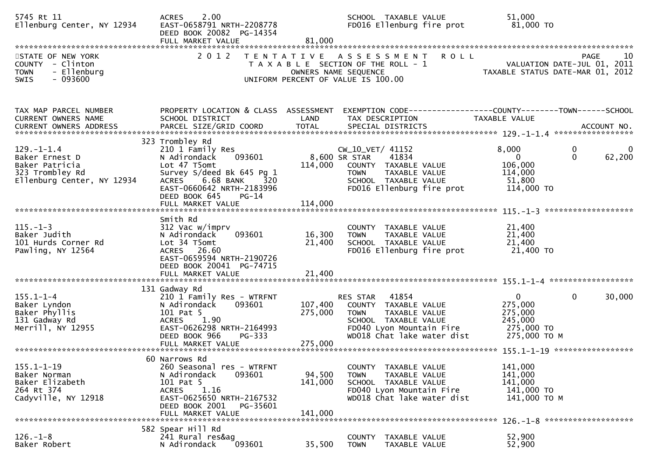| 5745 Rt 11<br>Ellenburg Center, NY 12934                                                              | 2.00<br><b>ACRES</b><br>EAST-0658791 NRTH-2208778<br>DEED BOOK 20082 PG-14354<br>FULL MARKET VALUE                                                                                                                         | 81,000                       | SCHOOL TAXABLE VALUE<br>FD016 Ellenburg fire prot                                                                                                           |               | 51,000<br>81,000 TO                                                                                  |
|-------------------------------------------------------------------------------------------------------|----------------------------------------------------------------------------------------------------------------------------------------------------------------------------------------------------------------------------|------------------------------|-------------------------------------------------------------------------------------------------------------------------------------------------------------|---------------|------------------------------------------------------------------------------------------------------|
| STATE OF NEW YORK<br>COUNTY - Clinton<br>- Ellenburg<br><b>TOWN</b><br>$-093600$<br><b>SWIS</b>       | 2 0 1 2                                                                                                                                                                                                                    |                              | TENTATIVE ASSESSMENT<br>T A X A B L E SECTION OF THE ROLL - 1<br>OWNERS NAME SEQUENCE<br>UNIFORM PERCENT OF VALUE IS 100.00                                 | R O L L       | PAGE<br>10<br>VALUATION DATE-JUL 01, 2011<br>TAXABLE STATUS DATE-MAR 01, 2012                        |
|                                                                                                       |                                                                                                                                                                                                                            |                              |                                                                                                                                                             |               |                                                                                                      |
| TAX MAP PARCEL NUMBER<br>CURRENT OWNERS NAME                                                          | PROPERTY LOCATION & CLASS ASSESSMENT<br>SCHOOL DISTRICT                                                                                                                                                                    | LAND                         | TAX DESCRIPTION                                                                                                                                             | TAXABLE VALUE | EXEMPTION CODE-----------------COUNTY--------TOWN------SCHOOL                                        |
| $129. - 1 - 1.4$<br>Baker Ernest D<br>Baker Patricia<br>323 Trombley Rd<br>Ellenburg Center, NY 12934 | 323 Trombley Rd<br>210 1 Family Res<br>093601<br>N Adirondack<br>Lot 47 T5omt<br>Survey S/deed Bk 645 Pg 1<br><b>ACRES</b><br>6.68 BANK<br>320<br>EAST-0660642 NRTH-2183996<br>DEED BOOK 645<br>PG-14<br>FULL MARKET VALUE | 114,000<br>114,000           | CW_10_VET/ 41152<br>8,600 SR STAR<br>41834<br>COUNTY TAXABLE VALUE<br>TAXABLE VALUE<br><b>TOWN</b><br>SCHOOL TAXABLE VALUE<br>FD016 Ellenburg fire prot     | 8,000         | 0<br>0<br>$\mathbf{0}$<br>$\Omega$<br>62,200<br>106,000<br>114,000<br>51,800<br>114,000 TO           |
| $115. - 1 - 3$<br>Baker Judith<br>101 Hurds Corner Rd<br>Pawling, NY 12564                            | Smith Rd<br>312 Vac w/imprv<br>093601<br>N Adirondack<br>Lot 34 T5omt<br>ACRES 26.60<br>EAST-0659594 NRTH-2190726<br>DEED BOOK 20041 PG-74715<br>FULL MARKET VALUE                                                         | 16,300<br>21,400<br>21,400   | COUNTY TAXABLE VALUE<br><b>TOWN</b><br>TAXABLE VALUE<br>SCHOOL TAXABLE VALUE<br>FD016 Ellenburg fire prot                                                   |               | 21,400<br>21,400<br>21,400<br>21,400 TO                                                              |
| $155.1 - 1 - 4$<br>Baker Lyndon<br>Baker Phyllis<br>131 Gadway Rd<br>Merrill, NY 12955                | 131 Gadway Rd<br>210 1 Family Res - WTRFNT<br>N Adirondack<br>093601<br>101 Pat 5<br>1.90<br><b>ACRES</b><br>EAST-0626298 NRTH-2164993<br>PG-333<br>DEED BOOK 966                                                          | 107,400<br>275,000           | 41854<br>RES STAR<br>COUNTY TAXABLE VALUE<br><b>TOWN</b><br>TAXABLE VALUE<br>SCHOOL TAXABLE VALUE<br>FD040 Lyon Mountain Fire<br>WD018 Chat lake water dist |               | $\mathbf{0}$<br>$\mathbf 0$<br>30,000<br>275,000<br>275,000<br>245,000<br>275,000 TO<br>275,000 TO M |
| $155.1 - 1 - 19$<br>Baker Norman<br>Baker Elizabeth<br>264 Rt 374<br>Cadyville, NY 12918              | 60 Narrows Rd<br>260 Seasonal res - WTRFNT<br>N Adirondack<br>093601<br>101 Pat 5<br>ACRES 1.16<br>EAST-0625650 NRTH-2167532<br>DEED BOOK 2001<br>PG-35601<br>FULL MARKET VALUE                                            | 94,500<br>141,000<br>141,000 | COUNTY TAXABLE VALUE<br><b>TOWN</b><br>TAXABLE VALUE<br>SCHOOL TAXABLE VALUE<br>FD040 Lyon Mountain Fire<br>WD018 Chat lake water dist                      |               | 141,000<br>141,000<br>141,000<br>141,000 TO<br>141,000 TO M                                          |
| $126. - 1 - 8$<br>Baker Robert                                                                        | 582 Spear Hill Rd<br>241 Rural res&ag<br>093601<br>N Adirondack                                                                                                                                                            | 35,500                       | COUNTY TAXABLE VALUE<br><b>TOWN</b><br>TAXABLE VALUE                                                                                                        |               | 52,900<br>52,900                                                                                     |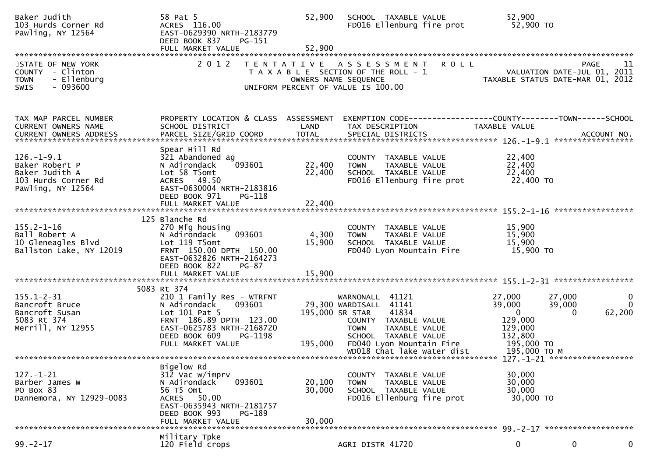| Baker Judith<br>103 Hurds Corner Rd<br>Pawling, NY 12564                                            | 58 Pat 5<br>ACRES 116.00<br>EAST-0629390 NRTH-2183779<br>DEED BOOK 837<br>PG-151<br>FULL MARKET VALUE                                                                                      | 52,900<br>52,900          | SCHOOL TAXABLE VALUE<br>FD016 Ellenburg fire prot                                                                                                                                                                       | 52,900<br>52,900 TO                                                                                                 |                                    |
|-----------------------------------------------------------------------------------------------------|--------------------------------------------------------------------------------------------------------------------------------------------------------------------------------------------|---------------------------|-------------------------------------------------------------------------------------------------------------------------------------------------------------------------------------------------------------------------|---------------------------------------------------------------------------------------------------------------------|------------------------------------|
| STATE OF NEW YORK<br>COUNTY - Clinton<br>- Ellenburg<br><b>TOWN</b><br>$-093600$<br>SWIS            | 2 0 1 2                                                                                                                                                                                    |                           | TENTATIVE ASSESSMENT ROLL<br>PAGE 11<br>OWNERS NAME SEQUENCE<br>UNIFORM PERCENT OF VALUE IS 100.00                                                                                                                      |                                                                                                                     |                                    |
| TAX MAP PARCEL NUMBER<br>CURRENT OWNERS NAME                                                        | SCHOOL DISTRICT                                                                                                                                                                            | LAND                      | PROPERTY LOCATION & CLASS ASSESSMENT EXEMPTION CODE---------------COUNTY-------TOWN------SCHOOL<br>TAX DESCRIPTION                                                                                                      | TAXABLE VALUE                                                                                                       |                                    |
| $126. - 1 - 9.1$<br>Baker Robert P<br>Baker Judith A<br>103 Hurds Corner Rd<br>Pawling, NY 12564    | Spear Hill Rd<br>321 Abandoned ag<br>093601<br>N Adirondack<br>Lot 58 T5omt<br>ACRES 49.50<br>EAST-0630004 NRTH-2183816<br>DEED BOOK 971<br>PG-118                                         | 22,400<br>22,400          | COUNTY TAXABLE VALUE<br>TAXABLE VALUE<br><b>TOWN</b><br>SCHOOL TAXABLE VALUE<br>FD016 Ellenburg fire prot                                                                                                               | 22,400<br>22,400<br>22,400<br>22,400 TO                                                                             |                                    |
| $155.2 - 1 - 16$<br>Ball Robert A<br>Ball Robert A<br>10 Gleneagles Blvd<br>Ballston Lake, NY 12019 | 125 Blanche Rd<br>270 Mfg housing<br>093601<br>N Adirondack<br>Lot 119 T5omt<br>FRNT 150.00 DPTH 150.00<br>EAST-0632826 NRTH-2164273<br>DEED BOOK 822<br><b>PG-87</b><br>FULL MARKET VALUE | 4,300<br>15,900<br>15,900 | COUNTY TAXABLE VALUE<br><b>TOWN</b><br>TAXABLE VALUE<br>SCHOOL TAXABLE VALUE<br>FD040 Lyon Mountain Fire                                                                                                                | 15,900<br>15,900<br>15,900<br>15,900 TO                                                                             |                                    |
|                                                                                                     | 5083 Rt 374                                                                                                                                                                                |                           |                                                                                                                                                                                                                         |                                                                                                                     |                                    |
| $155.1 - 2 - 31$<br>Bancroft Bruce<br>Bancroft Susan<br>5083 Rt 374<br>Merrill, NY 12955            | 210 1 Family Res - WTRFNT<br>093601<br>N Adirondack<br>Lot 101 Pat 5<br>FRNT 186.89 DPTH 123.00<br>EAST-0625783 NRTH-2168720<br>DEED BOOK 609<br>PG-1198<br>FULL MARKET VALUE              | 195,000                   | WARNONALL 41121<br>79,300 WARDISALL 41141<br>195,000 SR STAR 41834<br>COUNTY TAXABLE VALUE<br><b>TOWN</b><br>TAXABLE VALUE<br>SCHOOL TAXABLE VALUE<br>FD040 Lyon Mountain Fire 195,000 TO<br>WD018 Chat lake water dist | 27,000<br>27,000<br>39,000<br>39,000<br>$\overline{0}$<br>$\Omega$<br>129,000<br>129,000<br>132,800<br>195,000 то м | $\mathbf{0}$<br>$\Omega$<br>62,200 |
|                                                                                                     |                                                                                                                                                                                            |                           |                                                                                                                                                                                                                         |                                                                                                                     |                                    |
| $127. - 1 - 21$<br>Barber James W<br>PO Box 83<br>Dannemora, NY 12929-0083                          | Bigelow Rd<br>312 Vac w/imprv<br>093601<br>N Adirondack<br>56 T5 Omt<br>ACRES 50.00<br>EAST-0635943 NRTH-2181757<br>DEED BOOK 993<br>PG-189                                                | 20,100<br>30,000          | COUNTY TAXABLE VALUE<br>TAXABLE VALUE<br><b>TOWN</b><br>SCHOOL TAXABLE VALUE<br>FD016 Ellenburg fire prot                                                                                                               | 30,000<br>30,000<br>30,000<br>30,000 TO                                                                             |                                    |
|                                                                                                     | FULL MARKET VALUE                                                                                                                                                                          | 30,000                    |                                                                                                                                                                                                                         |                                                                                                                     |                                    |
| $99. - 2 - 17$                                                                                      | Military Tpke<br>120 Field crops                                                                                                                                                           |                           | AGRI DISTR 41720                                                                                                                                                                                                        | 0<br>0                                                                                                              | 0                                  |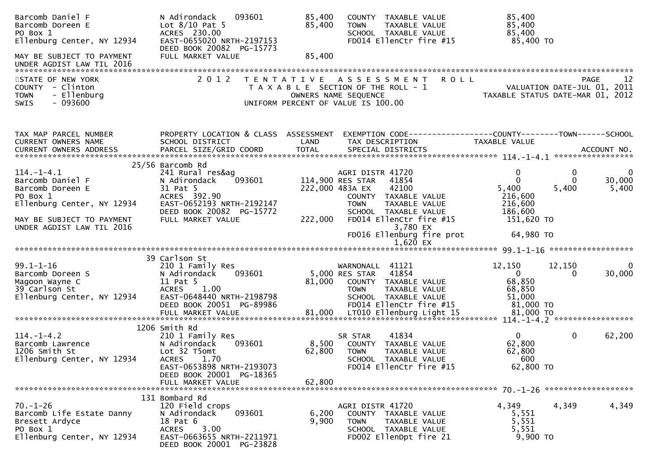| Barcomb Daniel F<br>Barcomb Doreen E<br>PO Box 1<br>Ellenburg Center, NY 12934                          | N Adirondack<br>093601<br>Lot $8/10$ Pat 5<br>ACRES 230.00<br>EAST-0655020 NRTH-2197153<br>DEED BOOK 20082 PG-15773                                              | 85,400<br>85,400          | COUNTY TAXABLE VALUE<br>TAXABLE VALUE<br><b>TOWN</b><br>SCHOOL TAXABLE VALUE<br>FD014 EllenCtr fire #15                                               | 85,400<br>85,400<br>85,400<br>85,400 TO                                         |                                                                                      |
|---------------------------------------------------------------------------------------------------------|------------------------------------------------------------------------------------------------------------------------------------------------------------------|---------------------------|-------------------------------------------------------------------------------------------------------------------------------------------------------|---------------------------------------------------------------------------------|--------------------------------------------------------------------------------------|
| MAY BE SUBJECT TO PAYMENT<br>UNDER AGDIST LAW TIL 2016                                                  | FULL MARKET VALUE                                                                                                                                                | 85,400                    |                                                                                                                                                       |                                                                                 |                                                                                      |
| STATE OF NEW YORK<br>COUNTY - Clinton<br>- Ellenburg<br><b>TOWN</b><br>$-093600$<br><b>SWIS</b>         | 2 0 1 2                                                                                                                                                          | T E N T A T I V E         | A S S E S S M E N T<br>T A X A B L E SECTION OF THE ROLL - 1<br>OWNERS NAME SEQUENCE<br>UNIFORM PERCENT OF VALUE IS 100.00                            | <b>ROLL</b>                                                                     | 12<br><b>PAGE</b><br>VALUATION DATE-JUL 01, 2011<br>TAXABLE STATUS DATE-MAR 01, 2012 |
| TAX MAP PARCEL NUMBER<br>CURRENT OWNERS NAME                                                            | PROPERTY LOCATION & CLASS ASSESSMENT<br>SCHOOL DISTRICT                                                                                                          | LAND                      | TAX DESCRIPTION                                                                                                                                       | EXEMPTION CODE------------------COUNTY--------TOWN------SCHOOL<br>TAXABLE VALUE |                                                                                      |
| $114. - 1 - 4.1$<br>Barcomb Daniel F<br>Barcomb Doreen E<br>PO Box 1                                    | 25/56 Barcomb Rd<br>241 Rural res&ag<br>093601<br>N Adirondack<br>31 Pat 5<br>ACRES 392.90                                                                       |                           | AGRI DISTR 41720<br>114,900 RES STAR<br>41854<br>222,000 483A EX<br>42100<br>COUNTY TAXABLE VALUE                                                     | $\mathbf 0$<br>$\Omega$<br>5,400<br>216,600                                     | 0<br>0<br>30,000<br>5,400<br>5,400                                                   |
| Ellenburg Center, NY 12934<br>MAY BE SUBJECT TO PAYMENT<br>UNDER AGDIST LAW TIL 2016                    | EAST-0652193 NRTH-2192147<br>DEED BOOK 20082 PG-15772<br>FULL MARKET VALUE                                                                                       | 222,000                   | TAXABLE VALUE<br><b>TOWN</b><br>SCHOOL TAXABLE VALUE<br>FD014 EllenCtr fire #15<br>3,780 EX<br>FD016 Ellenburg fire prot                              | 216,600<br>186,600<br>151,620 TO<br>64,980 TO                                   |                                                                                      |
|                                                                                                         |                                                                                                                                                                  |                           | 1,620 EX                                                                                                                                              |                                                                                 |                                                                                      |
| $99.1 - 1 - 16$<br>Barcomb Doreen S<br>Magoon Wayne C<br>39 Carlson St<br>Ellenburg Center, NY 12934    | 39 Carlson St<br>210 1 Family Res<br>093601<br>N Adirondack<br>11 Pat 5<br><b>ACRES</b><br>1.00<br>EAST-0648440 NRTH-2198798<br>DEED BOOK 20051 PG-89986         | 81,000                    | WARNONALL 41121<br>5,000 RES STAR<br>41854<br>COUNTY TAXABLE VALUE<br><b>TOWN</b><br>TAXABLE VALUE<br>SCHOOL TAXABLE VALUE<br>FD014 EllenCtr fire #15 | 12,150<br>$\overline{0}$<br>68,850<br>68,850<br>51,000<br>81,000 TO             | 12,150<br>$\Omega$<br>30,000<br>$\Omega$                                             |
|                                                                                                         | 1206 Smith Rd                                                                                                                                                    |                           |                                                                                                                                                       |                                                                                 |                                                                                      |
| $114. - 1 - 4.2$<br>Barcomb Lawrence<br>1206 Smith St<br>Ellenburg Center, NY 12934                     | 210 1 Family Res<br>N Adirondack<br>093601<br>Lot 32 T5omt<br>1.70<br><b>ACRES</b><br>EAST-0653898 NRTH-2193073<br>DEED BOOK 20001 PG-18365<br>FULL MARKET VALUE | 8,500<br>62,800<br>62,800 | 41834<br>SR STAR<br>COUNTY TAXABLE VALUE<br><b>TOWN</b><br>TAXABLE VALUE<br>SCHOOL TAXABLE VALUE<br>FD014 EllenCtr fire #15                           | $\mathbf{0}$<br>62,800<br>62,800<br>600<br>62,800 TO                            | $\mathbf 0$<br>62,200                                                                |
| $70. - 1 - 26$<br>Barcomb Life Estate Danny<br>Bresett Ardyce<br>PO Box 1<br>Ellenburg Center, NY 12934 | 131 Bombard Rd<br>120 Field crops<br>093601<br>N Adirondack<br>18 Pat 6<br>3.00<br><b>ACRES</b><br>EAST-0663655 NRTH-2211971<br>DEED BOOK 20001 PG-23828         | 6,200<br>9,900            | AGRI DISTR 41720<br>COUNTY TAXABLE VALUE<br>TAXABLE VALUE<br><b>TOWN</b><br>SCHOOL TAXABLE VALUE<br>FD002 EllenDpt fire 21                            | 4,349<br>5,551<br>5,551<br>5,551<br>9,900 TO                                    | 4,349<br>4,349                                                                       |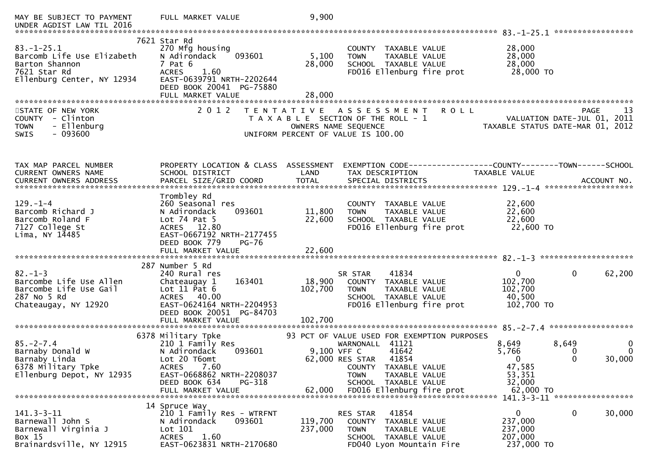| MAY BE SUBJECT TO PAYMENT<br>UNDER AGDIST LAW TIL 2016                                                        | FULL MARKET VALUE                                                                                                                                                          | 9,900                                     |                                                                                                                                                                                                                  |                |                                                                                                  |
|---------------------------------------------------------------------------------------------------------------|----------------------------------------------------------------------------------------------------------------------------------------------------------------------------|-------------------------------------------|------------------------------------------------------------------------------------------------------------------------------------------------------------------------------------------------------------------|----------------|--------------------------------------------------------------------------------------------------|
| $83 - 1 - 25.1$<br>Barcomb Life Use Elizabeth<br>Barton Shannon<br>7621 Star Rd<br>Ellenburg Center, NY 12934 | 7621 Star Rd<br>270 Mfg housing<br>093601<br>N Adirondack<br>7 Pat 6<br><b>ACRES</b><br>1.60<br>EAST-0639791 NRTH-2202644<br>DEED BOOK 20041 PG-75880<br>FULL MARKET VALUE | 5,100<br>28,000<br>28,000                 | COUNTY TAXABLE VALUE<br>TAXABLE VALUE<br><b>TOWN</b><br>SCHOOL TAXABLE VALUE<br>FD016 Ellenburg fire prot                                                                                                        |                | 28,000<br>28,000<br>28,000<br>28,000 TO                                                          |
| STATE OF NEW YORK<br>COUNTY - Clinton<br><b>TOWN</b><br>- Ellenburg<br>- 093600<br>SWIS                       | 2 0 1 2                                                                                                                                                                    | T E N T A T I V E<br>OWNERS NAME SEQUENCE | A S S E S S M E N T<br>T A X A B L E SECTION OF THE ROLL - 1<br>UNIFORM PERCENT OF VALUE IS 100.00                                                                                                               | <b>ROLL</b>    | 13<br>PAGE<br>VALUATION DATE-JUL 01, 2011<br>TAXABLE STATUS DATE-MAR 01, 2012                    |
| TAX MAP PARCEL NUMBER<br>CURRENT OWNERS NAME                                                                  | PROPERTY LOCATION & CLASS ASSESSMENT<br>SCHOOL DISTRICT                                                                                                                    | LAND                                      | TAX DESCRIPTION                                                                                                                                                                                                  | TAXABLE VALUE  | EXEMPTION CODE------------------COUNTY--------TOWN------SCHOOL                                   |
| $129. - 1 - 4$<br>Barcomb Richard J<br>Barcomb Roland F<br>7127 College St<br>Lima, NY $14485$                | Trombley Rd<br>260 Seasonal res<br>N Adirondack<br>093601<br>Lot $74$ Pat 5<br>ACRES 12.80<br>EAST-0667192 NRTH-2177455<br>DEED BOOK 779<br><b>PG-76</b>                   | 11,800<br>22,600                          | COUNTY TAXABLE VALUE<br>TAXABLE VALUE<br><b>TOWN</b><br>SCHOOL TAXABLE VALUE<br>FD016 Ellenburg fire prot                                                                                                        |                | 22,600<br>22,600<br>22,600<br>22,600 TO                                                          |
| $82 - 1 - 3$<br>Barcombe Life Use Allen<br>Barcombe Life Use Gail<br>287 No 5 Rd<br>Chateaugay, NY 12920      | 287 Number 5 Rd<br>240 Rural res<br>163401<br>Chateaugay 1<br>Lot $11$ Pat $6$<br>ACRES 40.00<br>EAST-0624164 NRTH-2204953<br>DEED BOOK 20051 PG-84703                     | 18,900<br>102,700                         | 41834<br>SR STAR<br>COUNTY TAXABLE VALUE<br><b>TOWN</b><br>TAXABLE VALUE<br>SCHOOL TAXABLE VALUE<br>FD016 Ellenburg fire prot                                                                                    | 102,700        | $\mathbf{0}$<br>0<br>62,200<br>102,700<br>40,500<br>102,700 TO                                   |
|                                                                                                               | FULL MARKET VALUE                                                                                                                                                          | 102,700                                   |                                                                                                                                                                                                                  |                |                                                                                                  |
| $85. - 2 - 7.4$<br>Barnaby Donald W<br>Barnaby Linda<br>6378 Military Tpke<br>Ellenburg Depot, NY 12935       | 6378 Military Tpke<br>210 1 Family Res<br>N Adirondack<br>093601<br>Lot 20 T6omt<br>7.60<br>ACRES<br>EAST-0668862 NRTH-2208037<br>DEED BOOK 634<br>PG-318                  | 9,100 VFF C<br>62,000                     | 93 PCT OF VALUE USED FOR EXEMPTION PURPOSES<br>WARNONALL 41121<br>41642<br>62,000 RES STAR<br>41854<br>COUNTY TAXABLE VALUE<br><b>TOWN</b><br>TAXABLE VALUE<br>SCHOOL TAXABLE VALUE<br>FD016 Ellenburg fire prot | 8,649<br>5,766 | 8,649<br>0<br>$\mathbf{0}$<br>0<br>30,000<br>$\Omega$<br>47,585<br>53,351<br>32,000<br>62,000 TO |
|                                                                                                               | FULL MARKET VALUE                                                                                                                                                          |                                           |                                                                                                                                                                                                                  |                | 141.3-3-11 *******************                                                                   |
| $141.3 - 3 - 11$<br>Barnewall John S<br>Barnewall Virginia J<br>Box 15<br>Brainardsville, NY 12915            | 14 Spruce Way<br>210 1 Family Res - WTRFNT<br>093601<br>N Adirondack<br>Lot 101<br>1.60<br><b>ACRES</b><br>EAST-0623831 NRTH-2170680                                       | 119,700<br>237,000                        | RES STAR<br>41854<br>COUNTY TAXABLE VALUE<br>TAXABLE VALUE<br><b>TOWN</b><br>SCHOOL TAXABLE VALUE<br>FD040 Lyon Mountain Fire                                                                                    |                | $\Omega$<br>0<br>30,000<br>237,000<br>237,000<br>207,000<br>237,000 TO                           |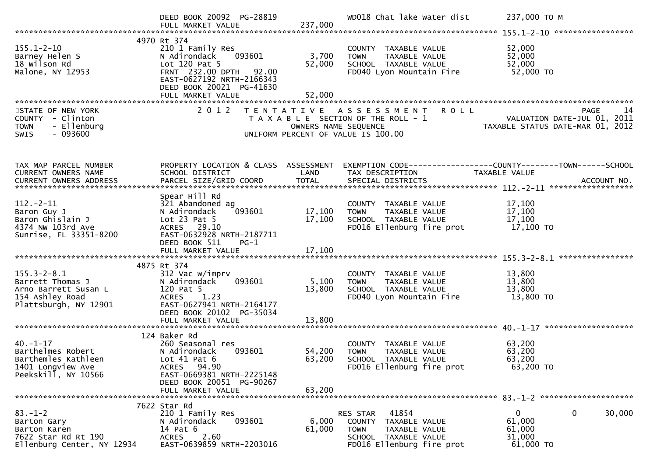|                                                                                                           | DEED BOOK 20092 PG-28819<br>FULL MARKET VALUE                                                                                                                       | 237,000                   | WD018 Chat lake water dist                                                                                                     | 237,000 TO M                                                                         |
|-----------------------------------------------------------------------------------------------------------|---------------------------------------------------------------------------------------------------------------------------------------------------------------------|---------------------------|--------------------------------------------------------------------------------------------------------------------------------|--------------------------------------------------------------------------------------|
|                                                                                                           | 4970 Rt 374                                                                                                                                                         |                           |                                                                                                                                |                                                                                      |
| $155.1 - 2 - 10$<br>Barney Helen S<br>18 Wilson Rd<br>Malone, NY 12953                                    | 210 1 Family Res<br>093601<br>N Adirondack<br>Lot 120 Pat 5<br>FRNT 232.00 DPTH 92.00<br>EAST-0627192 NRTH-2166343<br>DEED BOOK 20021 PG-41630<br>FULL MARKET VALUE | 3,700<br>52,000<br>52,000 | COUNTY TAXABLE VALUE<br>TAXABLE VALUE<br><b>TOWN</b><br>SCHOOL TAXABLE VALUE<br>FD040 Lyon Mountain Fire                       | 52,000<br>52,000<br>52,000<br>52,000 TO                                              |
|                                                                                                           |                                                                                                                                                                     |                           |                                                                                                                                |                                                                                      |
| STATE OF NEW YORK<br>COUNTY - Clinton<br>- Ellenburg<br><b>TOWN</b><br>SWIS<br>$-093600$                  | 2 0 1 2                                                                                                                                                             | OWNERS NAME SEQUENCE      | <b>ROLL</b><br>TENTATIVE ASSESSMENT<br>T A X A B L E SECTION OF THE ROLL - 1<br>UNIFORM PERCENT OF VALUE IS 100.00             | <b>PAGE</b><br>14<br>VALUATION DATE-JUL 01, 2011<br>TAXABLE STATUS DATE-MAR 01, 2012 |
| TAX MAP PARCEL NUMBER<br>CURRENT OWNERS NAME                                                              | SCHOOL DISTRICT                                                                                                                                                     | LAND                      | PROPERTY LOCATION & CLASS ASSESSMENT EXEMPTION CODE----------------COUNTY-------TOWN------SCHOOL<br>TAX DESCRIPTION            | TAXABLE VALUE                                                                        |
|                                                                                                           |                                                                                                                                                                     |                           | CURRENT OWNERS ADDRESS PARCEL SIZE/GRID COORD TOTAL SPECIAL DISTRICTS (2012) ACCOUNT NO.                                       |                                                                                      |
| $112 - 2 - 11$<br>Baron Guy J<br>Baron Ghislain J<br>4374 NW 103rd Ave<br>Sunrise, FL 33351-8200          | Spear Hill Rd<br>321 Abandoned ag<br>093601<br>N Adirondack<br>Lot $23$ Pat $5$<br>ACRES 29.10<br>EAST-0632928 NRTH-2187711<br>DEED BOOK 511<br>$PG-1$              | 17,100<br>17,100          | COUNTY TAXABLE VALUE<br>TAXABLE VALUE<br><b>TOWN</b><br>SCHOOL TAXABLE VALUE<br>FD016 Ellenburg fire prot                      | 17,100<br>17,100<br>17,100<br>17,100 TO                                              |
|                                                                                                           |                                                                                                                                                                     |                           |                                                                                                                                |                                                                                      |
|                                                                                                           | 4875 Rt 374                                                                                                                                                         |                           |                                                                                                                                |                                                                                      |
| $155.3 - 2 - 8.1$<br>Barrett Thomas J<br>Arno Barrett Susan L<br>154 Ashley Road<br>Plattsburgh, NY 12901 | 312 Vac w/imprv<br>093601<br>N Adirondack<br>120 Pat 5<br>ACRES 1.23<br>EAST-0627941 NRTH-2164177<br>DEED BOOK 20102 PG-35034                                       | 5,100<br>13,800           | COUNTY TAXABLE VALUE<br><b>TOWN</b><br>TAXABLE VALUE<br>SCHOOL TAXABLE VALUE<br>FD040 Lyon Mountain Fire                       | 13,800<br>13,800<br>13,800<br>13,800 TO                                              |
|                                                                                                           | FULL MARKET VALUE                                                                                                                                                   | 13,800                    |                                                                                                                                |                                                                                      |
| $40. - 1 - 17$<br>Barthelmes Robert<br>Barthemles Kathleen<br>1401 Longview Ave<br>Peekskill, NY 10566    | 124 Baker Rd<br>260 Seasonal res<br>N Adirondack<br>093601<br>Lot $41$ Pat $6$<br>ACRES 94.90<br>EAST-0669381 NRTH-2225148<br>DEED BOOK 20051 PG-90267              | 54,200                    | COUNTY TAXABLE VALUE<br><b>TOWN</b><br>TAXABLE VALUE<br>63,200 SCHOOL TAXABLE VALUE<br>FD016 Ellenburg fire prot               | 63,200<br>63,200<br>63,200<br>63,200 TO                                              |
|                                                                                                           | FULL MARKET VALUE                                                                                                                                                   | 63,200                    |                                                                                                                                |                                                                                      |
|                                                                                                           | 7622 Star Rd                                                                                                                                                        |                           |                                                                                                                                |                                                                                      |
| $83. - 1 - 2$<br>Barton Gary<br>Barton Karen<br>7622 Star Rd Rt 190<br>Ellenburg Center, NY 12934         | 210 1 Family Res<br>093601<br>N Adirondack<br>14 Pat 6<br>2.60<br><b>ACRES</b><br>EAST-0639859 NRTH-2203016                                                         | 6,000<br>61,000           | 41854<br>RES STAR<br>COUNTY TAXABLE VALUE<br><b>TOWN</b><br>TAXABLE VALUE<br>SCHOOL TAXABLE VALUE<br>FD016 Ellenburg fire prot | 0<br>30,000<br>0<br>61,000<br>61,000<br>31,000<br>61,000 TO                          |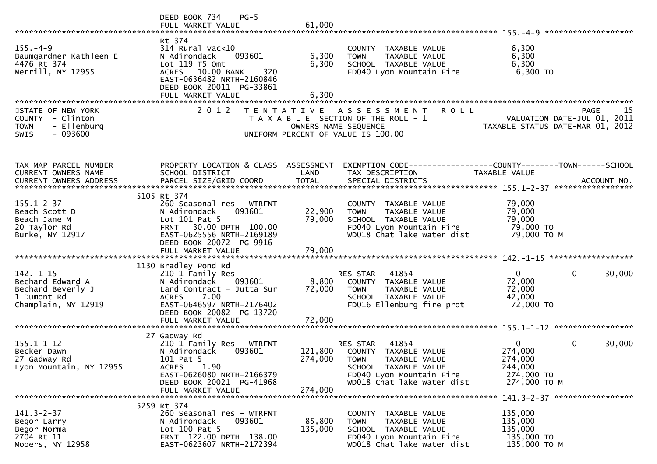|                                                                                                 | DEED BOOK 734<br>$PG-5$<br>FULL MARKET VALUE                                                                                                                                                          | 61,000                        |                                                                                                                                                                |                                                                                              |
|-------------------------------------------------------------------------------------------------|-------------------------------------------------------------------------------------------------------------------------------------------------------------------------------------------------------|-------------------------------|----------------------------------------------------------------------------------------------------------------------------------------------------------------|----------------------------------------------------------------------------------------------|
| $155. - 4 - 9$<br>Baumgardner Kathleen E<br>4476 Rt 374<br>Merrill, NY 12955                    | Rt 374<br>$314$ Rural vac< $10$<br>093601<br>N Adirondack<br>Lot 119 T5 Omt<br>ACRES 10.00 BANK<br>320<br>EAST-0636482 NRTH-2160846<br>DEED BOOK 20011 PG-33861<br>FULL MARKET VALUE                  | 6,300<br>6,300<br>6,300       | COUNTY TAXABLE VALUE<br><b>TOWN</b><br><b>TAXABLE VALUE</b><br>SCHOOL TAXABLE VALUE<br>FD040 Lyon Mountain Fire                                                | 6,300<br>6,300<br>6,300<br>6,300 TO                                                          |
| STATE OF NEW YORK<br>COUNTY - Clinton<br>- Ellenburg<br><b>TOWN</b><br>$-093600$<br><b>SWIS</b> | 2 0 1 2                                                                                                                                                                                               |                               | <b>ROLL</b><br>TENTATIVE ASSESSMENT<br>T A X A B L E SECTION OF THE ROLL - 1<br>OWNERS NAME SEQUENCE<br>UNIFORM PERCENT OF VALUE IS 100.00                     | 15<br>PAGE<br>VALUATION DATE-JUL 01, 2011<br>TAXABLE STATUS DATE-MAR 01, 2012                |
| TAX MAP PARCEL NUMBER<br>CURRENT OWNERS NAME                                                    | PROPERTY LOCATION & CLASS ASSESSMENT<br>SCHOOL DISTRICT                                                                                                                                               | LAND                          | TAX DESCRIPTION                                                                                                                                                | EXEMPTION CODE------------------COUNTY--------TOWN------SCHOOL<br><b>TAXABLE VALUE</b>       |
| $155.1 - 2 - 37$<br>Beach Scott D<br>Beach Jane M<br>20 Taylor Rd<br>Burke, NY 12917            | 5105 Rt 374<br>260 Seasonal res - WTRFNT<br>093601<br>N Adirondack<br>Lot 101 Pat 5<br>30.00 DPTH 100.00<br><b>FRNT</b><br>EAST-0625556 NRTH-2169189<br>DEED BOOK 20072 PG-9916<br>FULL MARKET VALUE  | 22,900<br>79,000<br>79,000    | COUNTY TAXABLE VALUE<br>TAXABLE VALUE<br><b>TOWN</b><br>SCHOOL TAXABLE VALUE<br>FD040 Lyon Mountain Fire<br>WD018 Chat lake water dist                         | 79,000<br>79,000<br>79,000<br>79,000 TO<br>79,000 ТО М                                       |
| $142. - 1 - 15$<br>Bechard Edward A<br>Bechard Beverly J<br>1 Dumont Rd<br>Champlain, NY 12919  | 1130 Bradley Pond Rd<br>210 1 Family Res<br>N Adirondack<br>093601<br>Land Contract - Jutta Sur<br>7.00<br><b>ACRES</b><br>EAST-0646597 NRTH-2176402<br>DEED BOOK 20082 PG-13720<br>FULL MARKET VALUE | 8,800<br>72,000<br>72,000     | RES STAR<br>41854<br>COUNTY TAXABLE VALUE<br><b>TOWN</b><br>TAXABLE VALUE<br>SCHOOL TAXABLE VALUE<br>FD016 Ellenburg fire prot                                 | $\Omega$<br>$\mathbf{0}$<br>30,000<br>72,000<br>72,000<br>42,000<br>72,000 TO                |
| $155.1 - 1 - 12$<br>Becker Dawn<br>27 Gadway Rd<br>Lyon Mountain, NY 12955                      | 27 Gadway Rd<br>210 1 Family Res - WTRFNT<br>N Adirondack<br>093601<br>101 Pat 5<br>1.90<br><b>ACRES</b><br>EAST-0626080 NRTH-2166379<br>DEED BOOK 20021 PG-41968<br>FULL MARKET VALUE                | 121,800<br>274,000<br>274,000 | 41854<br>RES STAR<br>TAXABLE VALUE<br>COUNTY<br><b>TOWN</b><br>TAXABLE VALUE<br>SCHOOL TAXABLE VALUE<br>FD040 Lyon Mountain Fire<br>WD018 Chat lake water dist | 30,000<br>$\mathbf{0}$<br>0<br>274,000<br>274,000<br>244,000<br>274,000 TO<br>274,000 TO M   |
| $141.3 - 2 - 37$<br>Begor Larry<br>Begor Norma<br>2704 Rt 11<br>Mooers, NY 12958                | 5259 Rt 374<br>260 Seasonal res - WTRFNT<br>N Adirondack<br>093601<br>Lot $100$ Pat 5<br>FRNT 122.00 DPTH 138.00<br>EAST-0623607 NRTH-2172394                                                         | 85,800<br>135,000             | COUNTY TAXABLE VALUE<br>TAXABLE VALUE<br><b>TOWN</b><br>SCHOOL TAXABLE VALUE<br>FD040 Lyon Mountain Fire<br>WD018 Chat lake water dist                         | 141.3-2-37 ******************<br>135,000<br>135,000<br>135,000<br>135,000 TO<br>135,000 TO M |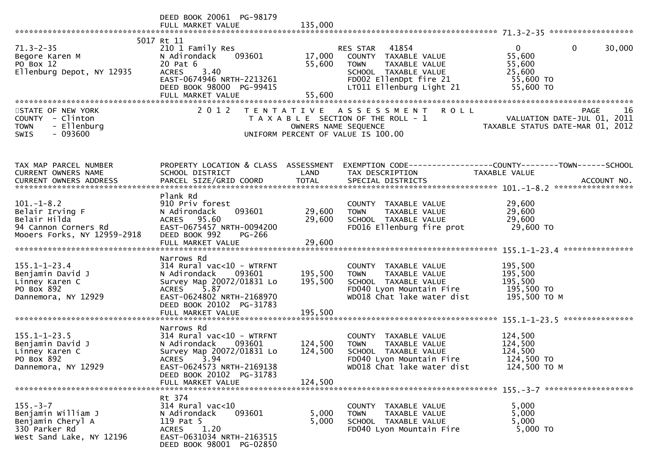|                                                                                                        | DEED BOOK 20061 PG-98179<br>FULL MARKET VALUE                                                                                                                                                        | 135,000                       |                                                                                                                                                      |                                                                                      |
|--------------------------------------------------------------------------------------------------------|------------------------------------------------------------------------------------------------------------------------------------------------------------------------------------------------------|-------------------------------|------------------------------------------------------------------------------------------------------------------------------------------------------|--------------------------------------------------------------------------------------|
| $71.3 - 2 - 35$<br>Begore Karen M<br>PO Box 12<br>Ellenburg Depot, NY 12935                            | 5017 Rt 11<br>210 1 Family Res<br>N Adirondack<br>093601<br>20 Pat 6<br>3.40<br><b>ACRES</b><br>EAST-0674946 NRTH-2213261<br>DEED BOOK 98000 PG-99415<br>FULL MARKET VALUE                           | 17,000<br>55,600<br>55,600    | RES STAR 41854<br>COUNTY TAXABLE VALUE<br><b>TOWN</b><br>TAXABLE VALUE<br>SCHOOL TAXABLE VALUE<br>FD002 EllenDpt fire 21<br>LT011 Ellenburg Light 21 | $\mathbf{0}$<br>0<br>30,000<br>55,600<br>55,600<br>25,600<br>55,600 TO<br>55,600 TO  |
| STATE OF NEW YORK<br>COUNTY - Clinton<br>- Ellenburg<br><b>TOWN</b><br>$-093600$<br><b>SWIS</b>        | 2 0 1 2                                                                                                                                                                                              | OWNERS NAME SEQUENCE          | TENTATIVE ASSESSMENT ROLL<br>T A X A B L E SECTION OF THE ROLL - 1<br>UNIFORM PERCENT OF VALUE IS 100.00                                             | 16<br><b>PAGE</b><br>VALUATION DATE-JUL 01, 2011<br>TAXABLE STATUS DATE-MAR 01, 2012 |
| TAX MAP PARCEL NUMBER<br>CURRENT OWNERS NAME                                                           | PROPERTY LOCATION & CLASS ASSESSMENT<br>SCHOOL DISTRICT                                                                                                                                              | LAND                          | TAX DESCRIPTION                                                                                                                                      | TAXABLE VALUE                                                                        |
| $101.-1-8.2$<br>Belair Irving F<br>Belair Hilda<br>94 Cannon Corners Rd<br>Mooers Forks, NY 12959-2918 | Plank Rd<br>910 Priv forest<br>N Adirondack<br>093601<br>ACRES 95.60<br>EAST-0675457 NRTH-0094200<br>DEED BOOK 992<br>PG-266<br>FULL MARKET VALUE                                                    | 29,600<br>29,600<br>29,600    | COUNTY TAXABLE VALUE<br>TAXABLE VALUE<br><b>TOWN</b><br>SCHOOL TAXABLE VALUE<br>FD016 Ellenburg fire prot                                            | 29,600<br>29,600<br>29,600<br>29,600 TO                                              |
| $155.1 - 1 - 23.4$<br>Benjamin David J<br>Linney Karen C<br>PO Box 892<br>Dannemora, NY 12929          | Narrows Rd<br>$314$ Rural vac<10 - WTRFNT<br>N Adirondack 093601<br>Survey Map 20072/01831 Lo<br>5.87<br><b>ACRES</b><br>EAST-0624802 NRTH-2168970<br>DEED BOOK 20102 PG-31783<br>FULL MARKET VALUE  | 195,500<br>195,500<br>195,500 | COUNTY TAXABLE VALUE<br><b>TOWN</b><br>TAXABLE VALUE<br>SCHOOL TAXABLE VALUE<br>FD040 Lyon Mountain Fire<br>WD018 Chat lake water dist               | 195,500<br>195,500<br>195,500<br>195,500 TO<br>195,500 ТО М                          |
| $155.1 - 1 - 23.5$<br>Benjamin David J<br>Linney Karen C<br>PO Box 892<br>Dannemora, NY 12929          | Narrows Rd<br>314 Rural vac<10 - WTRFNT<br>093601<br>N Adirondack<br>Survey Map 20072/01831 Lo<br><b>ACRES</b><br>3.94<br>EAST-0624573 NRTH-2169138<br>DEED BOOK 20102 PG-31783<br>FULL MARKET VALUE | 124,500<br>124,500<br>124,500 | COUNTY TAXABLE VALUE<br>TAXABLE VALUE<br><b>TOWN</b><br>SCHOOL TAXABLE VALUE<br>FD040 Lyon Mountain Fire<br>WD018 Chat lake water dist               | 124,500<br>124,500<br>124,500<br>124,500 TO<br>124,500 TO M                          |
| $155. - 3 - 7$<br>Benjamin William J<br>Benjamin Cheryl A<br>330 Parker Rd<br>West Sand Lake, NY 12196 | Rt 374<br>$314$ Rural vac<10<br>093601<br>N Adirondack<br>119 Pat 5<br>1.20<br><b>ACRES</b><br>EAST-0631034 NRTH-2163515<br>DEED BOOK 98001 PG-02850                                                 | 5,000<br>5,000                | COUNTY TAXABLE VALUE<br>TAXABLE VALUE<br><b>TOWN</b><br>SCHOOL TAXABLE VALUE<br>FD040 Lyon Mountain Fire                                             | 5,000<br>5,000<br>5,000<br>5,000 TO                                                  |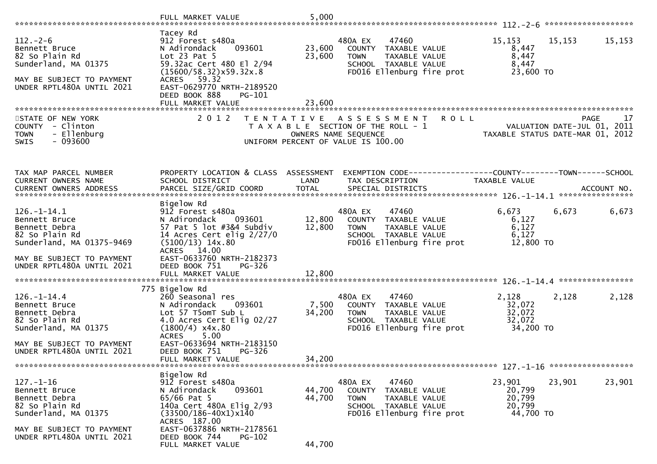|                                                                                                                                                              | FULL MARKET VALUE                                                                                                                                                                                                                            | 5,000                      |                                                                                                                                                 |                                                                                                                |            |
|--------------------------------------------------------------------------------------------------------------------------------------------------------------|----------------------------------------------------------------------------------------------------------------------------------------------------------------------------------------------------------------------------------------------|----------------------------|-------------------------------------------------------------------------------------------------------------------------------------------------|----------------------------------------------------------------------------------------------------------------|------------|
| $112. - 2 - 6$<br>Bennett Bruce<br>82 So Plain Rd<br>Sunderland, MA 01375<br>MAY BE SUBJECT TO PAYMENT<br>UNDER RPTL480A UNTIL 2021                          | Tacey Rd<br>912 Forest s480a<br>N Adirondack<br>093601<br>Lot $23$ Pat $5$<br>59.32ac Cert 480 El 2/94<br>(15600/58.32)x59.32x.8<br>ACRES 59.32<br>EAST-0629770 NRTH-2189520<br>DEED BOOK 888<br>PG-101<br>FULL MARKET VALUE                 | 23,600<br>23,600<br>23,600 | 480A EX<br>47460<br>COUNTY TAXABLE VALUE<br>TAXABLE VALUE<br><b>TOWN</b><br>SCHOOL TAXABLE VALUE<br>FD016 Ellenburg fire prot                   | 15,153<br>15,153<br>8,447<br>8,447<br>8,447<br>23,600 TO                                                       | 15,153     |
| STATE OF NEW YORK<br>COUNTY - Clinton<br>- Ellenburg<br><b>TOWN</b><br>$-093600$<br><b>SWIS</b>                                                              |                                                                                                                                                                                                                                              |                            | 2012 TENTATIVE ASSESSMENT<br><b>ROLL</b><br>T A X A B L E SECTION OF THE ROLL - 1<br>OWNERS NAME SEQUENCE<br>UNIFORM PERCENT OF VALUE IS 100.00 | PAGE 17<br>VALUATION DATE-JUL 01, 2011<br>TAXARLE STATUS DATE ULL 21, 2011<br>TAXABLE STATUS DATE-MAR 01, 2012 | 17<br>PAGE |
| TAX MAP PARCEL NUMBER<br>CURRENT OWNERS NAME                                                                                                                 | PROPERTY LOCATION & CLASS ASSESSMENT<br>SCHOOL DISTRICT                                                                                                                                                                                      | LAND                       | EXEMPTION CODE------------------COUNTY--------TOWN------SCHOOL<br>TAX DESCRIPTION                                                               | TAXABLE VALUE                                                                                                  |            |
| $126. - 1 - 14.1$<br>Bennett Bruce<br>Bennett Debra<br>82 So Plain Rd<br>Sunderland, MA 01375-9469<br>MAY BE SUBJECT TO PAYMENT<br>UNDER RPTL480A UNTIL 2021 | Bigelow Rd<br>912 Forest s480a<br>N Adirondack<br>093601<br>57 Pat 5 lot #3&4 Subdiv<br>14 Acres Cert elig $2/27/0$<br>$(5100/13)$ 14x.80<br>ACRES 14.00<br>EAST-0633760 NRTH-2182373<br>DEED BOOK 751<br><b>PG-326</b><br>FULL MARKET VALUE | 12,800<br>12,800<br>12,800 | 480A EX<br>47460<br>COUNTY TAXABLE VALUE<br><b>TOWN</b><br>TAXABLE VALUE<br>SCHOOL TAXABLE VALUE<br>FD016 Ellenburg fire prot                   | 6,673<br>6,673<br>6,127<br>6,127<br>6,127<br>12,800 TO                                                         | 6,673      |
| $126. - 1 - 14.4$<br>Bennett Bruce<br>Bennett Debra<br>82 So Plain Rd<br>Sunderland, MA 01375<br>MAY BE SUBJECT TO PAYMENT<br>UNDER RPTL480A UNTIL 2021      | 775 Bigelow Rd<br>260 Seasonal res<br>N Adirondack<br>093601<br>Lot 57 T5omT Sub L<br>4.0 Acres Cert Elig 02/27<br>$(1800/4)$ x4x.80<br>5.00<br><b>ACRES</b><br>EAST-0633694 NRTH-2183150<br>DEED BOOK 751<br>PG-326<br>FULL MARKET VALUE    | 7,500<br>34,200<br>34,200  | 480A EX<br>47460<br>COUNTY TAXABLE VALUE<br><b>TOWN</b><br>TAXABLE VALUE<br>SCHOOL TAXABLE VALUE<br>FD016 Ellenburg fire prot                   | 2,128<br>2,128<br>32,072<br>32,072<br>32,072<br>34,200 TO                                                      | 2,128      |
| $127. - 1 - 16$<br>Bennett Bruce<br>Bennett Debra<br>82 So Plain Rd<br>Sunderland, MA 01375<br>MAY BE SUBJECT TO PAYMENT<br>UNDER RPTL480A UNTIL 2021        | Bigelow Rd<br>912 Forest s480a<br>N Adirondack<br>093601<br>$65/66$ Pat 5<br>140a Cert 480A Elig 2/93<br>$(33500/186 - 40x1)x140$<br>ACRES 187.00<br>EAST-0637886 NRTH-2178561<br>DEED BOOK 744<br>$PG-102$<br>FULL MARKET VALUE             | 44,700<br>44,700<br>44,700 | 47460<br>480A EX<br>COUNTY TAXABLE VALUE<br><b>TOWN</b><br>TAXABLE VALUE<br>SCHOOL TAXABLE VALUE<br>FD016 Ellenburg fire prot                   | 23,901<br>23,901<br>20,799<br>20,799<br>20,799<br>44,700 TO                                                    | 23,901     |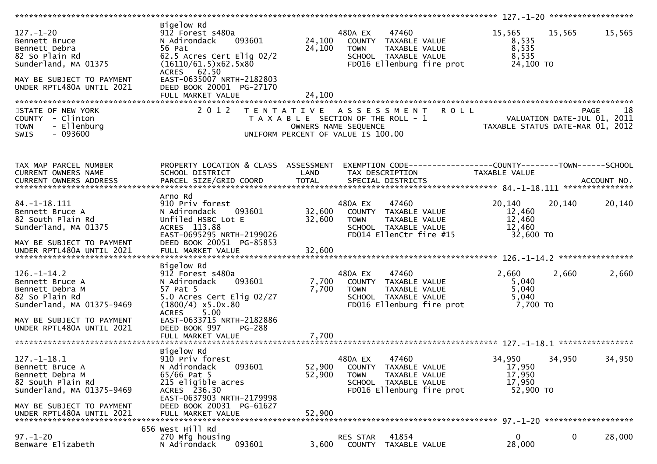| $127. - 1 - 20$<br>Bennett Bruce<br>Bennett Debra<br>82 So Plain Rd<br>Sunderland, MA 01375<br>MAY BE SUBJECT TO PAYMENT<br>UNDER RPTL480A UNTIL 2021               | Bigelow Rd<br>912 Forest s480a<br>093601<br>N Adirondack<br>56 Pat<br>62.5 Acres Cert Elig 02/2<br>(16110/61.5)x62.5x80<br>ACRES 62.50<br>EAST-0635007 NRTH-2182803<br>DEED BOOK 20001 PG-27170                               | 24,100<br>24,100           | 480A EX<br>47460<br>COUNTY TAXABLE VALUE<br>TAXABLE VALUE<br><b>TOWN</b><br>SCHOOL TAXABLE VALUE<br>FD016 Ellenburg fire prot    | 15,565<br>8,535<br>8,535<br>8,535<br>24,100 TO                  | 15,565 | 15,565      |
|---------------------------------------------------------------------------------------------------------------------------------------------------------------------|-------------------------------------------------------------------------------------------------------------------------------------------------------------------------------------------------------------------------------|----------------------------|----------------------------------------------------------------------------------------------------------------------------------|-----------------------------------------------------------------|--------|-------------|
|                                                                                                                                                                     | FULL MARKET VALUE                                                                                                                                                                                                             | 24,100                     |                                                                                                                                  |                                                                 |        |             |
| STATE OF NEW YORK<br>COUNTY - Clinton<br>- Ellenburg<br><b>TOWN</b><br>$-093600$<br><b>SWIS</b>                                                                     | 2 0 1 2                                                                                                                                                                                                                       |                            | TENTATIVE ASSESSMENT ROLL<br>T A X A B L E SECTION OF THE ROLL - 1<br>OWNERS NAME SEQUENCE<br>UNIFORM PERCENT OF VALUE IS 100.00 | VALUATION DATE-JUL 01, 2011<br>TAXABLE STATUS DATE-MAR 01, 2012 |        | -18<br>PAGE |
| TAX MAP PARCEL NUMBER<br>CURRENT OWNERS NAME                                                                                                                        | PROPERTY LOCATION & CLASS ASSESSMENT<br>SCHOOL DISTRICT                                                                                                                                                                       | LAND                       | EXEMPTION CODE-----------------COUNTY-------TOWN------SCHOOL<br>TAX DESCRIPTION                                                  | <b>TAXABLE VALUE</b>                                            |        |             |
| $84. -1 - 18.111$<br>Bennett Bruce A<br>82 South Plain Rd<br>Sunderland, MA 01375<br>MAY BE SUBJECT TO PAYMENT<br>UNDER RPTL480A UNTIL 2021                         | Arno Rd<br>910 Priv forest<br>N Adirondack<br>093601<br>Unfiled HSBC Lot E<br>ACRES 113.88<br>EAST-0695295 NRTH-2199026<br>DEED BOOK 20051 PG-85853<br>FULL MARKET VALUE                                                      | 32,600<br>32,600<br>32,600 | 47460<br>480A EX<br>COUNTY TAXABLE VALUE<br><b>TOWN</b><br>TAXABLE VALUE<br>SCHOOL TAXABLE VALUE<br>FD014 EllenCtr fire #15      | 20,140<br>12,460<br>12,460<br>12,460<br>32,600 TO               | 20,140 | 20,140      |
| $126. - 1 - 14.2$<br>Bennett Bruce A<br>Bennett Debra M<br>82 So Plain Rd<br>Sunderland, MA 01375-9469<br>MAY BE SUBJECT TO PAYMENT<br>UNDER RPTL480A UNTIL 2021    | Bigelow Rd<br>912 Forest s480a<br>093601<br>N Adirondack<br>57 Pat 5<br>5.0 Acres Cert Elig 02/27<br>$(1800/4)$ x5.0x.80<br>5.00<br><b>ACRES</b><br>EAST-0633715 NRTH-2182886<br>DEED BOOK 997<br>PG-288<br>FULL MARKET VALUE | 7,700<br>7,700<br>7,700    | 47460<br>480A EX<br>COUNTY TAXABLE VALUE<br>TAXABLE VALUE<br><b>TOWN</b><br>SCHOOL TAXABLE VALUE<br>FD016 Ellenburg fire prot    | 2,660<br>5,040<br>5,040<br>5,040<br>7,700 TO                    | 2,660  | 2,660       |
| $127. - 1 - 18.1$<br>Bennett Bruce A<br>Bennett Debra M<br>82 South Plain Rd<br>Sunderland, MA 01375-9469<br>MAY BE SUBJECT TO PAYMENT<br>UNDER RPTL480A UNTIL 2021 | Bigelow Rd<br>910 Priv forest<br>093601<br>N Adirondack<br>65/66 Pat 5<br>215 eligible acres<br>ACRES 236.30<br>EAST-0637903 NRTH-2179998<br>DEED BOOK 20031 PG-61627<br>FULL MARKET VALUE                                    | 52,900<br>52,900<br>52.900 | 480A EX<br>47460<br>COUNTY TAXABLE VALUE<br><b>TOWN</b><br>TAXABLE VALUE<br>SCHOOL TAXABLE VALUE<br>FD016 Ellenburg fire prot    | 34,950<br>17,950<br>17,950<br>17,950<br>52,900 TO               | 34,950 | 34,950      |
| $97. - 1 - 20$<br>Benware Elizabeth                                                                                                                                 | 656 West Hill Rd<br>270 Mfg housing<br>093601<br>N Adirondack                                                                                                                                                                 | 3,600                      | 41854<br><b>RES STAR</b><br>COUNTY TAXABLE VALUE                                                                                 | 0<br>28,000                                                     | 0      | 28,000      |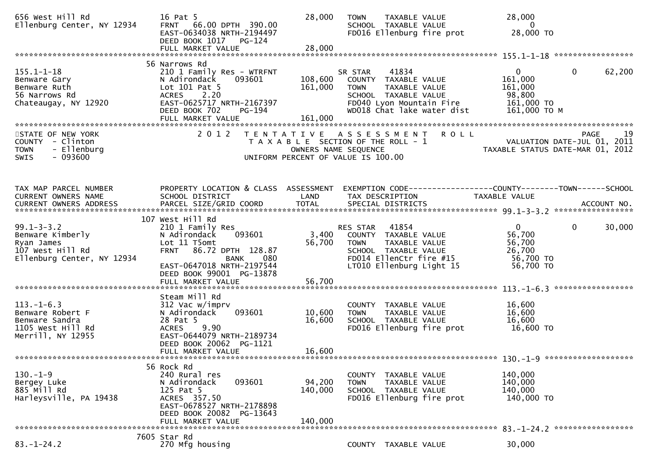| 656 West Hill Rd<br>Ellenburg Center, NY 12934                                                       | 16 Pat 5<br>FRNT 66.00 DPTH 390.00<br>EAST-0634038 NRTH-2194497<br>DEED BOOK 1017<br>PG-124<br>FULL MARKET VALUE                                                                                  | 28,000<br>28,000             | TAXABLE VALUE<br><b>TOWN</b><br>SCHOOL TAXABLE VALUE<br>FD016 Ellenburg fire prot                                                                          | 28,000<br>$\overline{0}$<br>28,000 TO                                                     |            |
|------------------------------------------------------------------------------------------------------|---------------------------------------------------------------------------------------------------------------------------------------------------------------------------------------------------|------------------------------|------------------------------------------------------------------------------------------------------------------------------------------------------------|-------------------------------------------------------------------------------------------|------------|
|                                                                                                      | 56 Narrows Rd                                                                                                                                                                                     |                              |                                                                                                                                                            |                                                                                           |            |
| $155.1 - 1 - 18$<br>Benware Gary<br>Benware Ruth<br>56 Narrows Rd<br>Chateaugay, NY 12920            | 210 1 Family Res - WTRFNT<br>N Adirondack<br>093601<br>Lot 101 Pat 5<br>ACRES 2.20<br>EAST-0625717 NRTH-2167397<br>DEED BOOK 702<br>PG-194<br>FULL MARKET VALUE                                   | 108,600<br>161,000           | 41834<br>SR STAR<br>COUNTY TAXABLE VALUE<br><b>TOWN</b><br>TAXABLE VALUE<br>SCHOOL TAXABLE VALUE<br>FD040 Lyon Mountain Fire<br>WD018 Chat lake water dist | $\mathbf 0$<br>$\mathbf{0}$<br>161,000<br>161,000<br>98,800<br>161,000 TO<br>161,000 ТО М | 62,200     |
|                                                                                                      |                                                                                                                                                                                                   | 161,000                      |                                                                                                                                                            |                                                                                           |            |
| STATE OF NEW YORK<br>COUNTY - Clinton<br><b>TOWN</b><br>- Ellenburg<br>$-093600$<br><b>SWIS</b>      | 2 0 1 2                                                                                                                                                                                           |                              | TENTATIVE ASSESSMENT<br><b>ROLL</b><br>T A X A B L E SECTION OF THE ROLL - 1<br>OWNERS NAME SEQUENCE<br>UNIFORM PERCENT OF VALUE IS 100.00                 | VALUATION DATE-JUL 01, 2011<br>TAXABLE STATUS DATE-MAR 01, 2012                           | 19<br>PAGE |
| TAX MAP PARCEL NUMBER<br>CURRENT OWNERS NAME                                                         | PROPERTY LOCATION & CLASS ASSESSMENT<br>SCHOOL DISTRICT                                                                                                                                           | LAND                         | EXEMPTION CODE------------------COUNTY--------TOWN------SCHOOL<br>TAX DESCRIPTION                                                                          | TAXABLE VALUE                                                                             |            |
| $99.1 - 3 - 3.2$<br>Benware Kimberly<br>Ryan James<br>107 West Hill Rd<br>Ellenburg Center, NY 12934 | 107 West Hill Rd<br>210 1 Family Res<br>093601<br>N Adirondack<br>Lot 11 T5omt<br>86.72 DPTH 128.87<br><b>FRNT</b><br><b>BANK</b><br>080<br>EAST-0647018 NRTH-2197544<br>DEED BOOK 99001 PG-13878 | 3,400<br>56,700              | RES STAR<br>41854<br>COUNTY TAXABLE VALUE<br>TAXABLE VALUE<br><b>TOWN</b><br>SCHOOL TAXABLE VALUE<br>FD014 EllenCtr fire #15<br>LT010 Ellenburg Light 15   | $\mathbf 0$<br>$\mathbf{0}$<br>56,700<br>56,700<br>26,700<br>56,700 TO<br>56,700 TO       | 30,000     |
|                                                                                                      | FULL MARKET VALUE                                                                                                                                                                                 | 56,700                       |                                                                                                                                                            |                                                                                           |            |
| $113. - 1 - 6.3$<br>Benware Robert F<br>Benware Sandra<br>1105 West Hill Rd<br>Merrill, NY 12955     | Steam Mill Rd<br>312 Vac w/imprv<br>093601<br>N Adirondack<br>28 Pat 5<br>9.90<br><b>ACRES</b><br>EAST-0644079 NRTH-2189734<br>DEED BOOK 20062 PG-1121<br>FULL MARKET VALUE                       | 10,600<br>16,600<br>16,600   | COUNTY TAXABLE VALUE<br>TAXABLE VALUE<br><b>TOWN</b><br>SCHOOL TAXABLE VALUE<br>FD016 Ellenburg fire prot                                                  | 16,600<br>16,600<br>16,600<br>16,600 TO                                                   |            |
|                                                                                                      |                                                                                                                                                                                                   |                              |                                                                                                                                                            |                                                                                           |            |
| $130 - 1 - 9$<br>Bergey Luke<br>885 Mill Rd<br>Harleysville, PA 19438                                | 56 Rock Rd<br>240 Rural res<br>093601<br>N Adirondack<br>125 Pat 5<br>ACRES 357.50<br>EAST-0678527 NRTH-2178898<br>DEED BOOK 20082 PG-13643<br>FULL MARKET VALUE                                  | 94,200<br>140,000<br>140,000 | COUNTY<br>TAXABLE VALUE<br><b>TOWN</b><br>TAXABLE VALUE<br>SCHOOL TAXABLE VALUE<br>FD016 Ellenburg fire prot                                               | 140,000<br>140,000<br>140,000<br>140,000 TO                                               |            |
|                                                                                                      | 7605 Star Rd                                                                                                                                                                                      |                              |                                                                                                                                                            |                                                                                           |            |
| $83. - 1 - 24.2$                                                                                     | 270 Mfg housing                                                                                                                                                                                   |                              | COUNTY TAXABLE VALUE                                                                                                                                       | 30,000                                                                                    |            |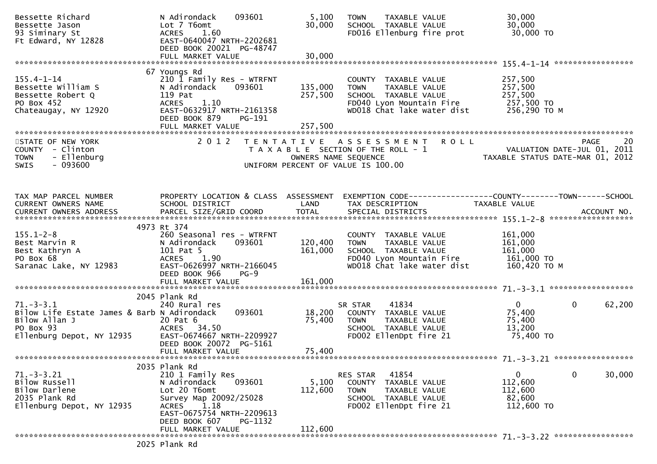| Bessette Richard<br>Bessette Jason<br>93 Siminary St<br>Ft Edward, NY 12828                                           | N Adirondack<br>093601<br>Lot 7 T6omt<br>1.60<br><b>ACRES</b><br>EAST-0640047 NRTH-2202681<br>DEED BOOK 20021 PG-48747                                                                 | 5,100<br>30,000    | TAXABLE VALUE<br><b>TOWN</b><br>SCHOOL TAXABLE VALUE<br>FD016 Ellenburg fire prot                                                      | 30,000<br>30,000<br>30,000 TO                                                                                                                                                                                                                       |
|-----------------------------------------------------------------------------------------------------------------------|----------------------------------------------------------------------------------------------------------------------------------------------------------------------------------------|--------------------|----------------------------------------------------------------------------------------------------------------------------------------|-----------------------------------------------------------------------------------------------------------------------------------------------------------------------------------------------------------------------------------------------------|
|                                                                                                                       |                                                                                                                                                                                        |                    |                                                                                                                                        |                                                                                                                                                                                                                                                     |
| $155.4 - 1 - 14$<br>Bessette William S<br>Bessette Robert Q<br>PO Box 452<br>Chateaugay, NY 12920                     | 67 Youngs Rd<br>210 1 Family Res - WTRFNT<br>093601<br>N Adirondack<br>119 Pat<br>1.10<br><b>ACRES</b><br>EAST-0632917 NRTH-2161358<br>DEED BOOK 879<br><b>PG-191</b>                  | 135,000<br>257,500 | COUNTY TAXABLE VALUE<br><b>TOWN</b><br>TAXABLE VALUE<br>SCHOOL TAXABLE VALUE<br>FD040 Lyon Mountain Fire<br>WD018 Chat lake water dist | 257,500<br>257,500<br>257,500<br>257,500 TO<br>256,290 ТО М                                                                                                                                                                                         |
| STATE OF NEW YORK<br>COUNTY - Clinton<br>- Ellenburg<br><b>TOWN</b><br>$-093600$<br><b>SWIS</b>                       | 2 0 1 2                                                                                                                                                                                |                    | TENTATIVE ASSESSMENT ROLL<br>T A X A B L E SECTION OF THE ROLL - 1<br>OWNERS NAME SEQUENCE<br>UNIFORM PERCENT OF VALUE IS 100.00       | <b>PAGE</b><br>20<br>VALUATION DATE-JUL 01, 2011<br>TAXABLE STATUS DATE-MAR 01, 2012                                                                                                                                                                |
| TAX MAP PARCEL NUMBER<br>CURRENT OWNERS NAME                                                                          | PROPERTY LOCATION & CLASS ASSESSMENT<br>SCHOOL DISTRICT                                                                                                                                | LAND               | TAX DESCRIPTION                                                                                                                        | EXEMPTION CODE------------------COUNTY--------TOWN------SCHOOL<br><b>TAXABLE VALUE</b><br>.CURRENT OWNERS ADDRESS PARCEL SIZE/GRID COORD TOTAL SPECIAL DISTRICTS ACCOUNT NO ACCOUNT NO ACCOUNT NO AND ARCEL SIZE/GRID COORD TOTAL SPECIAL DISTRICTS |
| $155.1 - 2 - 8$<br>Best Marvin R<br>Best Kathryn A<br>PO Box 68<br>Saranac Lake, NY 12983                             | 4973 Rt 374<br>260 Seasonal res - WTRFNT<br>N Adirondack<br>093601<br>101 Pat 5<br><b>ACRES</b><br>1.90<br>EAST-0626997 NRTH-2166045<br>DEED BOOK 966<br>$PG-9$                        | 120,400<br>161,000 | COUNTY TAXABLE VALUE<br><b>TOWN</b><br>TAXABLE VALUE<br>SCHOOL TAXABLE VALUE<br>FD040 Lyon Mountain Fire<br>WD018 Chat lake water dist | 161,000<br>161,000<br>161,000<br>161,000 TO<br>160,420 ТО М                                                                                                                                                                                         |
|                                                                                                                       |                                                                                                                                                                                        |                    |                                                                                                                                        |                                                                                                                                                                                                                                                     |
| $71.-3-3.1$<br>Bilow Life Estate James & Barb N Adirondack<br>Bilow Allan J<br>PO Box 93<br>Ellenburg Depot, NY 12935 | 2045 Plank Rd<br>240 Rural res<br>093601<br>20 Pat 6<br>ACRES 34.50<br>EAST-0674667 NRTH-2209927                                                                                       | 18,200<br>75,400   | 41834<br>SR STAR<br>COUNTY TAXABLE VALUE<br>TAXABLE VALUE<br>TOWN<br>SCHOOL TAXABLE VALUE<br>FD002 EllenDpt fire 21                    | $\mathbf{0}$<br>0<br>62,200<br>75,400<br>75,400<br>13,200<br>75,400 TO                                                                                                                                                                              |
|                                                                                                                       | DEED BOOK 20072 PG-5161<br>FULL MARKET VALUE                                                                                                                                           | 75,400             |                                                                                                                                        |                                                                                                                                                                                                                                                     |
| $71. - 3 - 3.21$<br>Bilow Russell<br>Bilow Darlene<br>2035 Plank Rd<br>Ellenburg Depot, NY 12935                      | 2035 Plank Rd<br>210 1 Family Res<br>093601<br>N Adirondack<br>Lot 20 T6omt<br>Survey Map 20092/25028<br>1.18<br><b>ACRES</b><br>EAST-0675754 NRTH-2209613<br>DEED BOOK 607<br>PG-1132 | 5,100<br>112,600   | 41854<br>RES STAR<br>COUNTY TAXABLE VALUE<br><b>TOWN</b><br>TAXABLE VALUE<br>SCHOOL TAXABLE VALUE<br>FD002 EllenDpt fire 21            | $\mathbf{0}$<br>30,000<br>$\mathbf 0$<br>112,600<br>112,600<br>82,600<br>112,600 TO                                                                                                                                                                 |
|                                                                                                                       | FULL MARKET VALUE<br>2025 Plank Rd                                                                                                                                                     | 112,600            |                                                                                                                                        |                                                                                                                                                                                                                                                     |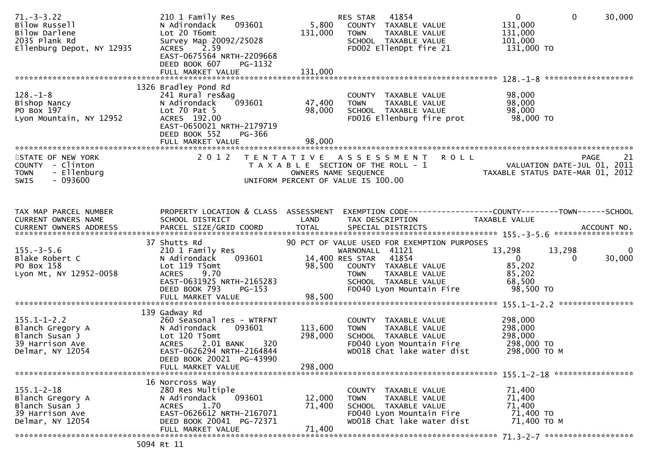| $71. - 3 - 3.22$<br>Bilow Russell<br>Bilow Darlene<br>2035 Plank Rd<br>Ellenburg Depot, NY 12935 | 210 1 Family Res<br>093601<br>N Adirondack<br>Lot 20 T6omt<br>Survey Map 20092/25028<br>2.59<br><b>ACRES</b><br>EAST-0675564 NRTH-2209668<br>DEED BOOK 607<br>PG-1132<br>FULL MARKET VALUE | 5,800<br>131,000<br>131,000 | 41854<br>RES STAR<br>COUNTY TAXABLE VALUE<br><b>TOWN</b><br>TAXABLE VALUE<br>SCHOOL TAXABLE VALUE<br>FD002 EllenDpt fire 21                | $\overline{0}$<br>$\mathbf{0}$<br>30,000<br>131,000<br>131,000<br>101,000<br>131,000 TO |
|--------------------------------------------------------------------------------------------------|--------------------------------------------------------------------------------------------------------------------------------------------------------------------------------------------|-----------------------------|--------------------------------------------------------------------------------------------------------------------------------------------|-----------------------------------------------------------------------------------------|
|                                                                                                  | 1326 Bradley Pond Rd                                                                                                                                                                       |                             |                                                                                                                                            |                                                                                         |
| $128. - 1 - 8$<br>Bishop Nancy<br>PO Box 197<br>Lyon Mountain, NY 12952                          | 241 Rural res&ag<br>N Adirondack<br>093601<br>Lot $70$ Pat $5$<br>ACRES 192.00<br>EAST-0650021 NRTH-2179719<br>DEED BOOK 552<br>PG-366                                                     | 47,400<br>98,000            | COUNTY TAXABLE VALUE<br>TAXABLE VALUE<br><b>TOWN</b><br>SCHOOL TAXABLE VALUE<br>FD016 Ellenburg fire prot                                  | 98,000<br>98,000<br>98,000<br>98,000 TO                                                 |
|                                                                                                  |                                                                                                                                                                                            |                             |                                                                                                                                            |                                                                                         |
| STATE OF NEW YORK<br>COUNTY - Clinton<br>- Ellenburg<br><b>TOWN</b><br>$-093600$<br><b>SWIS</b>  | 2 0 1 2                                                                                                                                                                                    |                             | TENTATIVE ASSESSMENT<br><b>ROLL</b><br>T A X A B L E SECTION OF THE ROLL - 1<br>OWNERS NAME SEQUENCE<br>UNIFORM PERCENT OF VALUE IS 100.00 | 21<br>PAGE<br>VALUATION DATE-JUL 01, 2011<br>TAXABLE STATUS DATE-MAR 01, 2012           |
| TAX MAP PARCEL NUMBER<br>CURRENT OWNERS NAME                                                     | PROPERTY LOCATION & CLASS ASSESSMENT<br>SCHOOL DISTRICT                                                                                                                                    | LAND                        | TAX DESCRIPTION                                                                                                                            | EXEMPTION CODE-----------------COUNTY-------TOWN------SCHOOL<br>TAXABLE VALUE           |
|                                                                                                  |                                                                                                                                                                                            |                             |                                                                                                                                            |                                                                                         |
|                                                                                                  | 37 Shutts Rd                                                                                                                                                                               |                             | 90 PCT OF VALUE USED FOR EXEMPTION PURPOSES                                                                                                |                                                                                         |
| $155. - 3 - 5.6$                                                                                 | 210 1 Family Res                                                                                                                                                                           |                             | WARNONALL 41121                                                                                                                            | 13,298<br>13,298<br>$\Omega$                                                            |
| Blake Robert C                                                                                   | 093601<br>N Adirondack                                                                                                                                                                     |                             | 14,400 RES STAR<br>41854                                                                                                                   | 30,000<br>$\mathbf{0}$<br>$\Omega$                                                      |
| PO Box 158<br>Lyon Mt, NY 12952-0058                                                             | Lot 119 T5omt<br>9.70<br><b>ACRES</b>                                                                                                                                                      | 98,500                      | COUNTY TAXABLE VALUE<br><b>TOWN</b><br>TAXABLE VALUE                                                                                       | 85,202<br>85,202                                                                        |
|                                                                                                  | EAST-0631925 NRTH-2165283                                                                                                                                                                  |                             | SCHOOL TAXABLE VALUE                                                                                                                       | 68,500                                                                                  |
|                                                                                                  | DEED BOOK 793<br>$PG-153$                                                                                                                                                                  |                             | FD040 Lyon Mountain Fire                                                                                                                   | 98,500 TO                                                                               |
|                                                                                                  | FULL MARKET VALUE                                                                                                                                                                          | 98,500                      |                                                                                                                                            |                                                                                         |
|                                                                                                  | 139 Gadway Rd                                                                                                                                                                              |                             |                                                                                                                                            |                                                                                         |
| $155.1 - 1 - 2.2$                                                                                | 260 Seasonal res - WTRFNT<br>093601                                                                                                                                                        |                             | COUNTY TAXABLE VALUE                                                                                                                       | 298,000                                                                                 |
| Blanch Gregory A<br>Blanch Susan J                                                               | N Adirondack<br>Lot 120 T5omt                                                                                                                                                              | 113,600<br>298,000          | <b>TOWN</b><br>TAXABLE VALUE<br>SCHOOL TAXABLE VALUE                                                                                       | 298,000<br>298,000                                                                      |
| 39 Harrison Ave                                                                                  | <b>ACRES</b><br>2.01 BANK<br>320                                                                                                                                                           |                             | FD040 Lyon Mountain Fire                                                                                                                   | 298,000 TO                                                                              |
| Delmar, NY 12054                                                                                 | EAST-0626294 NRTH-2164844                                                                                                                                                                  |                             | WD018 Chat lake water dist                                                                                                                 | 298,000 ТО М                                                                            |
|                                                                                                  | DEED BOOK 20021 PG-43990<br>FULL MARKET VALUE                                                                                                                                              | 298,000                     |                                                                                                                                            |                                                                                         |
|                                                                                                  |                                                                                                                                                                                            |                             |                                                                                                                                            |                                                                                         |
| $155.1 - 2 - 18$                                                                                 | 16 Norcross Way<br>280 Res Multiple                                                                                                                                                        |                             | COUNTY<br>TAXABLE VALUE                                                                                                                    | 71,400                                                                                  |
| Blanch Gregory A                                                                                 | 093601<br>N Adirondack                                                                                                                                                                     | 12,000                      | <b>TOWN</b><br>TAXABLE VALUE                                                                                                               | 71,400                                                                                  |
| Blanch Susan J                                                                                   | 1.70<br><b>ACRES</b>                                                                                                                                                                       | 71,400                      | SCHOOL TAXABLE VALUE                                                                                                                       | 71,400                                                                                  |
| 39 Harrison Ave<br>Delmar, NY 12054                                                              | EAST-0626612 NRTH-2167071<br>DEED BOOK 20041 PG-72371                                                                                                                                      |                             | FD040 Lyon Mountain Fire<br>WD018 Chat lake water dist                                                                                     | 71,400 TO<br>71,400 ТО М                                                                |
|                                                                                                  | FULL MARKET VALUE                                                                                                                                                                          | 71,400                      |                                                                                                                                            |                                                                                         |
|                                                                                                  |                                                                                                                                                                                            |                             |                                                                                                                                            |                                                                                         |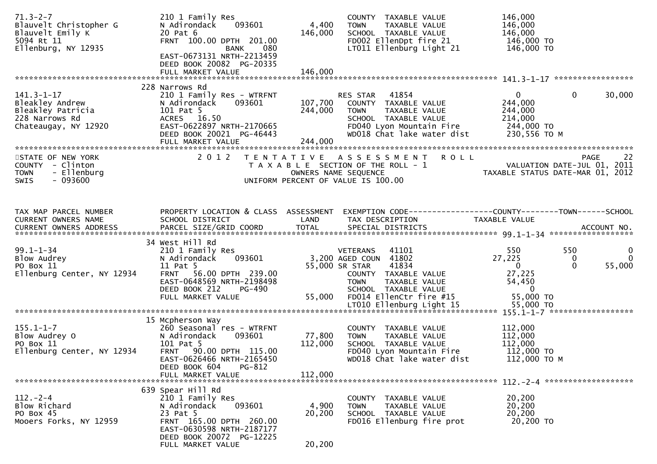| $71.3 - 2 - 7$<br>Blauvelt Christopher G<br>Blauvelt Emily K<br>5094 Rt 11<br>Ellenburg, NY 12935  | 210 1 Family Res<br>093601<br>N Adirondack<br>20 Pat 6<br>FRNT 100.00 DPTH 201.00<br>080<br>BANK                                                                | 4,400<br>146,000   | COUNTY TAXABLE VALUE<br><b>TOWN</b><br>TAXABLE VALUE<br>SCHOOL TAXABLE VALUE<br>FD002 EllenDpt fire 21<br>LT011 Ellenburg Light 21                          | 146,000<br>146,000<br>146,000<br>146,000 TO<br>146,000 TO                                                                           |
|----------------------------------------------------------------------------------------------------|-----------------------------------------------------------------------------------------------------------------------------------------------------------------|--------------------|-------------------------------------------------------------------------------------------------------------------------------------------------------------|-------------------------------------------------------------------------------------------------------------------------------------|
|                                                                                                    | EAST-0673131 NRTH-2213459<br>DEED BOOK 20082 PG-20335<br>FULL MARKET VALUE                                                                                      | 146,000            |                                                                                                                                                             |                                                                                                                                     |
|                                                                                                    |                                                                                                                                                                 |                    |                                                                                                                                                             |                                                                                                                                     |
| $141.3 - 1 - 17$<br>Bleakley Andrew<br>Bleakley Patricia<br>228 Narrows Rd<br>Chateaugay, NY 12920 | 228 Narrows Rd<br>210 1 Family Res - WTRFNT<br>093601<br>N Adirondack<br>101 Pat 5<br>ACRES 16.50<br>EAST-0622897 NRTH-2170665<br>DEED BOOK 20021 PG-46443      | 107,700<br>244,000 | RES STAR<br>41854<br>COUNTY TAXABLE VALUE<br>TAXABLE VALUE<br><b>TOWN</b><br>SCHOOL TAXABLE VALUE<br>FD040 Lyon Mountain Fire<br>WD018 Chat lake water dist | $\overline{0}$<br>$\mathbf{0}$<br>30,000<br>244,000<br>244,000<br>214,000<br>244,000 TO<br>230,556 ТО М                             |
| STATE OF NEW YORK                                                                                  | 2 0 1 2                                                                                                                                                         |                    | TENTATIVE ASSESSMENT ROLL                                                                                                                                   |                                                                                                                                     |
| COUNTY - Clinton<br><b>TOWN</b><br>- Ellenburg<br>- 093600<br>SWIS                                 |                                                                                                                                                                 |                    | T A X A B L E SECTION OF THE ROLL - 1<br>OWNERS NAME SEQUENCE<br>UNIFORM PERCENT OF VALUE IS 100.00                                                         | PAGE 22<br>VALUATION DATE-JUL 01, 2011                                                                                              |
| TAX MAP PARCEL NUMBER                                                                              | PROPERTY LOCATION & CLASS ASSESSMENT                                                                                                                            |                    |                                                                                                                                                             | EXEMPTION CODE------------------COUNTY--------TOWN------SCHOOL                                                                      |
| CURRENT OWNERS NAME                                                                                | SCHOOL DISTRICT                                                                                                                                                 | LAND               | TAX DESCRIPTION                                                                                                                                             | <b>TAXABLE VALUE</b>                                                                                                                |
|                                                                                                    |                                                                                                                                                                 |                    |                                                                                                                                                             |                                                                                                                                     |
| $99.1 - 1 - 34$<br>Blow Audrey<br>PO Box 11<br>Ellenburg Center, NY 12934                          | 34 West Hill Rd<br>210 1 Family Res<br>093601<br>N Adirondack<br>11 Pat 5<br>FRNT 56.00 DPTH 239.00<br>EAST-0648569 NRTH-2198498<br>DEED BOOK 212<br>PG-490     |                    | 41101<br>VETERANS<br>3,200 AGED COUN 41802<br>55,000 SR STAR<br>41834<br>COUNTY TAXABLE VALUE<br><b>TOWN</b><br>TAXABLE VALUE<br>SCHOOL TAXABLE VALUE       | 550<br>550<br>$\mathbf{0}$<br>27,225<br>$\mathbf{0}$<br>0<br>55,000<br>$\mathbf{0}$<br>$\Omega$<br>27,225<br>54,450<br>$\mathbf{0}$ |
|                                                                                                    | FULL MARKET VALUE                                                                                                                                               | 55,000             | FD014 EllenCtr fire #15                                                                                                                                     | 55,000 TO                                                                                                                           |
|                                                                                                    |                                                                                                                                                                 |                    |                                                                                                                                                             |                                                                                                                                     |
| $155.1 - 1 - 7$<br>Blow Audrey O<br>PO Box 11<br>Ellenburg Center, NY 12934                        | 15 Mcpherson Way<br>260 Seasonal res - WTRFNT<br>N Adirondack<br>093601<br>101 Pat 5<br>FRNT 90.00 DPTH 115.00<br>EAST-0626466 NRTH-2165450                     | 77,800<br>112,000  | COUNTY TAXABLE VALUE<br>TAXABLE VALUE<br><b>TOWN</b><br>SCHOOL TAXABLE VALUE<br>FD040 Lyon Mountain Fire<br>WD018 Chat lake water dist                      | 112,000<br>112,000<br>112,000<br>112,000 TO<br>112,000 TO M                                                                         |
|                                                                                                    | PG-812<br>DEED BOOK 604                                                                                                                                         |                    |                                                                                                                                                             |                                                                                                                                     |
|                                                                                                    | FULL MARKET VALUE                                                                                                                                               | 112,000            |                                                                                                                                                             |                                                                                                                                     |
| $112 - 2 - 4$<br>Blow Richard<br>PO Box 45<br>Mooers Forks, NY 12959                               | 639 Spear Hill Rd<br>210 1 Family Res<br>093601<br>N Adirondack<br>23 Pat 5<br>FRNT 165.00 DPTH 260.00<br>EAST-0630598 NRTH-2187177<br>DEED BOOK 20072 PG-12225 | 4,900<br>20,200    | COUNTY TAXABLE VALUE<br>TAXABLE VALUE<br><b>TOWN</b><br>SCHOOL TAXABLE VALUE<br>FD016 Ellenburg fire prot                                                   | 20,200<br>20,200<br>20,200<br>20,200 TO                                                                                             |
|                                                                                                    | FULL MARKET VALUE                                                                                                                                               | 20,200             |                                                                                                                                                             |                                                                                                                                     |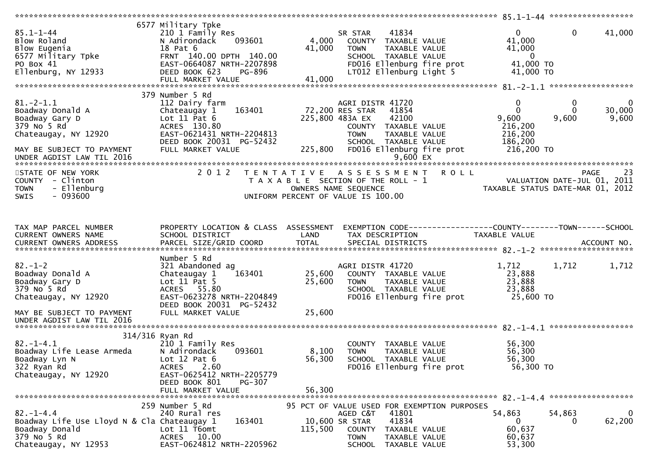|                                             | 6577 Military Tpke                   |         |                                                                |                                                                        |                |
|---------------------------------------------|--------------------------------------|---------|----------------------------------------------------------------|------------------------------------------------------------------------|----------------|
| $85.1 - 1 - 44$                             | 210 1 Family Res                     |         | 41834<br>SR STAR                                               | $\mathbf{0}$<br>$\mathbf{0}$                                           | 41,000         |
| Blow Roland                                 | 093601<br>N Adirondack               | 4,000   | COUNTY TAXABLE VALUE                                           | 41,000                                                                 |                |
| Blow Eugenia                                | 18 Pat 6                             | 41,000  | TAXABLE VALUE<br>TOWN                                          | 41,000                                                                 |                |
| Blow Eugenia<br>6577 Military Tpke          | FRNT 140.00 DPTH 140.00              |         | SCHOOL TAXABLE VALUE                                           | $\overline{0}$                                                         |                |
| PO Box 41                                   | EAST-0664087 NRTH-2207898            |         | FD016 Ellenburg fire prot                                      | 41,000 TO                                                              |                |
| Ellenburg, NY 12933                         | DEED BOOK 623<br>PG-896              |         | LT012 Ellenburg Light 5                                        | 41,000 TO                                                              |                |
|                                             |                                      | 41,000  |                                                                |                                                                        |                |
|                                             | FULL MARKET VALUE                    |         |                                                                |                                                                        |                |
|                                             |                                      |         |                                                                |                                                                        |                |
|                                             | 379 Number 5 Rd                      |         |                                                                |                                                                        |                |
| $81.-2-1.1$                                 | 112 Dairy farm                       |         | AGRI DISTR 41720                                               | $\mathbf 0$<br>$\bf{0}$                                                | $\overline{0}$ |
| Boadway Donald A                            | 163401<br>Chateaugay 1               |         | 72,200 RES STAR<br>41854                                       | $\Omega$<br>$\Omega$                                                   | 30,000         |
| Boadway Gary D                              | Lot $11$ Pat $6$                     |         | 225,800 483A EX<br>42100                                       | 9,600<br>9,600                                                         | 9,600          |
| 379 No 5 Rd                                 | ACRES 130.80                         |         | COUNTY TAXABLE VALUE                                           | 216,200                                                                |                |
| Chateaugay, NY 12920                        | EAST-0621431 NRTH-2204813            |         | <b>TOWN</b><br>TAXABLE VALUE                                   | 216,200                                                                |                |
|                                             | DEED BOOK 20031 PG-52432             |         | SCHOOL TAXABLE VALUE                                           | 186,200                                                                |                |
| MAY BE SUBJECT TO PAYMENT                   | FULL MARKET VALUE                    | 225,800 | FD016 Ellenburg fire prot                                      | 216,200 TO                                                             |                |
|                                             |                                      |         |                                                                |                                                                        |                |
|                                             |                                      |         |                                                                |                                                                        |                |
|                                             |                                      |         |                                                                |                                                                        |                |
| STATE OF NEW YORK                           | 2 0 1 2                              |         | TENTATIVE ASSESSMENT ROLL                                      |                                                                        | 23<br>PAGE     |
| COUNTY - Clinton                            |                                      |         | T A X A B L E SECTION OF THE ROLL - 1                          | - 1<br>VALUATION DATE-JUL 01, 2011<br>TAXABLE STATUS DATE-MAR 01, 2012 |                |
| - Ellenburg<br><b>TOWN</b>                  |                                      |         | OWNERS NAME SEQUENCE                                           |                                                                        |                |
| $-093600$<br><b>SWIS</b>                    |                                      |         | UNIFORM PERCENT OF VALUE IS 100.00                             |                                                                        |                |
|                                             |                                      |         |                                                                |                                                                        |                |
|                                             |                                      |         |                                                                |                                                                        |                |
|                                             |                                      |         |                                                                |                                                                        |                |
| TAX MAP PARCEL NUMBER                       |                                      |         |                                                                |                                                                        |                |
|                                             | PROPERTY LOCATION & CLASS ASSESSMENT |         | EXEMPTION CODE------------------COUNTY--------TOWN------SCHOOL |                                                                        |                |
| CURRENT OWNERS NAME                         | SCHOOL DISTRICT                      | LAND    | TAX DESCRIPTION                                                | TAXABLE VALUE                                                          |                |
|                                             |                                      |         |                                                                |                                                                        |                |
|                                             |                                      |         |                                                                |                                                                        |                |
|                                             | Number 5 Rd                          |         |                                                                |                                                                        |                |
| $82 - 1 - 2$                                | 321 Abandoned ag                     |         | AGRI DISTR 41720                                               | 1,712<br>1,712                                                         | 1,712          |
| Boadway Donald A                            | 163401<br>Chateaugay 1               | 25,600  | COUNTY TAXABLE VALUE                                           | 23,888                                                                 |                |
| Boadway Gary D                              | Lot $11$ Pat 5                       | 25,600  | <b>TOWN</b><br>TAXABLE VALUE                                   | 23,888                                                                 |                |
| 379 No 5 Rd                                 | ACRES 55.80                          |         | SCHOOL TAXABLE VALUE                                           | 23,888                                                                 |                |
| Chateaugay, NY 12920                        | EAST-0623278 NRTH-2204849            |         | FD016 Ellenburg fire prot                                      | 25,600 TO                                                              |                |
|                                             |                                      |         |                                                                |                                                                        |                |
|                                             | DEED BOOK 20031 PG-52432             |         |                                                                |                                                                        |                |
| MAY BE SUBJECT TO PAYMENT                   | FULL MARKET VALUE                    | 25,600  |                                                                |                                                                        |                |
| UNDER AGDIST LAW TIL 2016                   |                                      |         |                                                                |                                                                        |                |
|                                             |                                      |         |                                                                |                                                                        |                |
|                                             | 314/316 Ryan Rd                      |         |                                                                |                                                                        |                |
| $82. - 1 - 4.1$                             | 210 1 Family Res                     |         | COUNTY TAXABLE VALUE                                           | 56,300                                                                 |                |
| Boadway Life Lease Armeda                   | 093601<br>N Adirondack               | 8,100   | <b>TOWN</b><br>TAXABLE VALUE                                   | 56,300                                                                 |                |
| Boadway Lyn N                               | Lot $12$ Pat $6$                     | 56,300  | SCHOOL TAXABLE VALUE                                           | 56,300                                                                 |                |
| 322 Ryan Rd                                 | <b>ACRES</b><br>2.60                 |         | FD016 Ellenburg fire prot                                      | 56,300 TO                                                              |                |
|                                             |                                      |         |                                                                |                                                                        |                |
| Chateaugay, NY 12920                        | EAST-0625412 NRTH-2205779            |         |                                                                |                                                                        |                |
|                                             | DEED BOOK 801<br>PG-307              |         |                                                                |                                                                        |                |
|                                             | FULL MARKET VALUE                    | 56,300  |                                                                |                                                                        |                |
|                                             |                                      |         |                                                                |                                                                        |                |
|                                             | 259 Number 5 Rd                      |         | 95 PCT OF VALUE USED FOR EXEMPTION PURPOSES                    |                                                                        |                |
| $82. - 1 - 4.4$                             | 240 Rural res                        |         | 41801<br>AGED C&T                                              | 54,863<br>54,863                                                       |                |
| Boadway Life Use Lloyd N & Cla Chateaugay 1 | 163401                               |         | 10,600 SR STAR<br>41834                                        | $\bf{0}$<br>$\Omega$                                                   | 62,200         |
| Boadway Donald                              | Lot 11 T6omt                         |         |                                                                | 60,637                                                                 |                |
|                                             |                                      | 115,500 | COUNTY<br>TAXABLE VALUE                                        |                                                                        |                |
| 379 No 5 Rd                                 | ACRES 10.00                          |         | TOWN<br>TAXABLE VALUE                                          | 60,637                                                                 |                |
| Chateaugay, NY 12953                        | EAST-0624812 NRTH-2205962            |         | <b>SCHOOL</b><br>TAXABLE VALUE                                 | 53,300                                                                 |                |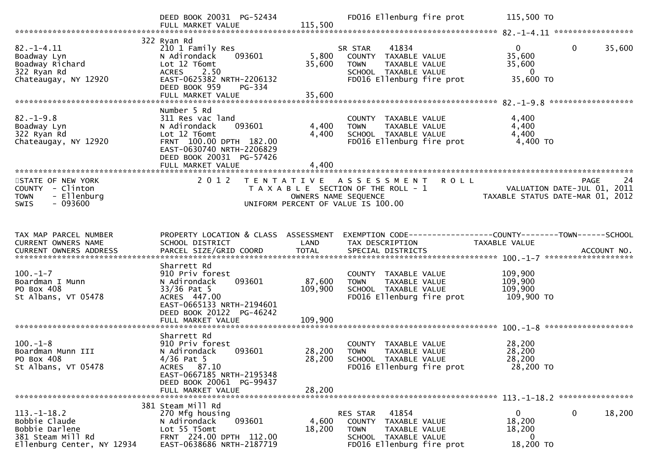|                                                                                                         | DEED BOOK 20031 PG-52434<br>FULL MARKET VALUE                                                                                                               |                                                                                                     | 115,500                    |                                                                         |                        | FD016 Ellenburg fire prot | 115,500 TO                                                                      |             |        |
|---------------------------------------------------------------------------------------------------------|-------------------------------------------------------------------------------------------------------------------------------------------------------------|-----------------------------------------------------------------------------------------------------|----------------------------|-------------------------------------------------------------------------|------------------------|---------------------------|---------------------------------------------------------------------------------|-------------|--------|
| $82. - 1 - 4.11$<br>Boadway Lyn<br>Boadway Richard<br>322 Ryan Rd<br>Chateaugay, NY 12920               | 322 Ryan Rd<br>210 1 Family Res<br>N Adirondack<br>Lot 12 T6omt<br><b>ACRES</b><br>2.50<br>EAST-0625382 NRTH-2206132<br>DEED BOOK 959<br>FULL MARKET VALUE  | 093601<br>PG-334                                                                                    | 5,800<br>35,600<br>35,600  | SR STAR<br>COUNTY TAXABLE VALUE<br><b>TOWN</b><br>SCHOOL TAXABLE VALUE  | 41834<br>TAXABLE VALUE | FD016 Ellenburg fire prot | $\mathbf{0}$<br>35,600<br>35,600<br>$\overline{0}$<br>35,600 TO                 | $\mathbf 0$ | 35,600 |
| $82. - 1 - 9.8$<br>Boadway Lyn<br>322 Ryan Rd<br>Chateaugay, NY 12920                                   | Number 5 Rd<br>311 Res vac land<br>N Adirondack<br>Lot 12 T6omt<br>FRNT 100.00 DPTH 182.00<br>EAST-0630740 NRTH-2206829<br>DEED BOOK 20031 PG-57426         | 093601                                                                                              | 4,400<br>4,400             | COUNTY TAXABLE VALUE<br><b>TOWN</b><br>SCHOOL TAXABLE VALUE             | TAXABLE VALUE          | FD016 Ellenburg fire prot | 4,400<br>4,400<br>4,400<br>4,400 TO                                             |             |        |
| STATE OF NEW YORK<br>COUNTY - Clinton<br>- Ellenburg<br><b>TOWN</b><br><b>SWIS</b><br>- 093600          | 2 0 1 2                                                                                                                                                     | TENTATIVE ASSESSMENT<br>T A X A B L E SECTION OF THE ROLL - 1<br>UNIFORM PERCENT OF VALUE IS 100.00 |                            | OWNERS NAME SEQUENCE                                                    |                        | <b>ROLL</b>               | 24<br>VALUATION DATE-JUL 01, 2011<br>TAXABLE STATUS DATE-MAR 01, 2012           | <b>PAGE</b> | 24     |
| TAX MAP PARCEL NUMBER<br>CURRENT OWNERS NAME                                                            | PROPERTY LOCATION & CLASS ASSESSMENT<br>SCHOOL DISTRICT                                                                                                     |                                                                                                     | LAND                       | TAX DESCRIPTION                                                         |                        |                           | EXEMPTION CODE------------------COUNTY--------TOWN------SCHOOL<br>TAXABLE VALUE |             |        |
| $100.-1-7$<br>Boardman I Munn<br>PO Box 408<br>St Albans, VT 05478                                      | Sharrett Rd<br>910 Priv forest<br>N Adirondack<br>$33/36$ Pat 5<br>ACRES 447.00<br>EAST-0665133 NRTH-2194601<br>DEED BOOK 20122 PG-46242                    | 093601                                                                                              | 87,600<br>109,900          | COUNTY TAXABLE VALUE<br><b>TOWN</b><br>SCHOOL TAXABLE VALUE             | TAXABLE VALUE          | FD016 Ellenburg fire prot | 109,900<br>109,900<br>109,900<br>109,900 то                                     |             |        |
|                                                                                                         |                                                                                                                                                             |                                                                                                     |                            |                                                                         |                        |                           |                                                                                 |             |        |
| $100. -1 - 8$<br>Boardman Munn III<br>PO Box 408<br>St Albans, VT 05478                                 | Sharrett Rd<br>910 Priv forest<br>N Adirondack<br>$4/36$ Pat 5<br>ACRES 87.10<br>EAST-0667185 NRTH-2195348<br>DEED BOOK 20061 PG-99437<br>FULL MARKET VALUE | 093601                                                                                              | 28,200<br>28,200<br>28,200 | COUNTY TAXABLE VALUE<br><b>TOWN</b><br>SCHOOL TAXABLE VALUE             | TAXABLE VALUE          | FD016 Ellenburg fire prot | 28,200<br>28,200<br>28,200<br>28,200 TO                                         |             |        |
|                                                                                                         |                                                                                                                                                             |                                                                                                     |                            |                                                                         |                        |                           |                                                                                 |             |        |
| $113. - 1 - 18.2$<br>Bobbie Claude<br>Bobbie Darlene<br>381 Steam Mill Rd<br>Ellenburg Center, NY 12934 | 381 Steam Mill Rd<br>270 Mfg housing<br>N Adirondack<br>Lot 55 T5omt<br>FRNT 224.00 DPTH 112.00<br>EAST-0638686 NRTH-2187719                                | 093601                                                                                              | 4,600<br>18,200            | RES STAR<br>COUNTY TAXABLE VALUE<br><b>TOWN</b><br>SCHOOL TAXABLE VALUE | 41854<br>TAXABLE VALUE | FD016 Ellenburg fire prot | $\mathbf{0}$<br>18,200<br>18,200<br>0<br>18,200 TO                              | $\Omega$    | 18,200 |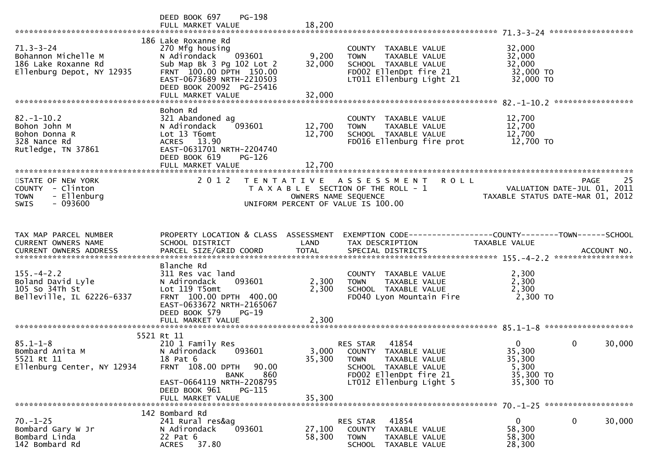|                                                                                                 | <b>PG-198</b><br>DEED BOOK 697<br>FULL MARKET VALUE                                                                                                                                                    | 18,200                     |                                                                                                                                                                 |                                                                       |                        |
|-------------------------------------------------------------------------------------------------|--------------------------------------------------------------------------------------------------------------------------------------------------------------------------------------------------------|----------------------------|-----------------------------------------------------------------------------------------------------------------------------------------------------------------|-----------------------------------------------------------------------|------------------------|
| $71.3 - 3 - 24$<br>Bohannon Michelle M<br>186 Lake Roxanne Rd<br>Ellenburg Depot, NY 12935      | 186 Lake Roxanne Rd<br>270 Mfg housing<br>N Adirondack<br>093601<br>Sub Map Bk 3 Pg 102 Lot 2<br>FRNT 100.00 DPTH 150.00<br>EAST-0673689 NRTH-2210503<br>DEED BOOK 20092 PG-25416<br>FULL MARKET VALUE | 9,200<br>32,000<br>32,000  | COUNTY TAXABLE VALUE<br>TAXABLE VALUE<br><b>TOWN</b><br>SCHOOL TAXABLE VALUE<br>FD002 EllenDpt fire 21<br>LT011 Ellenburg Light 21                              | 32,000<br>32,000<br>32,000<br>32,000 TO<br>32,000 TO                  |                        |
|                                                                                                 |                                                                                                                                                                                                        |                            |                                                                                                                                                                 |                                                                       |                        |
| $82 - 1 - 10.2$<br>Bohon John M<br>Bohon Donna R<br>328 Nance Rd<br>Rutledge, TN 37861          | Bohon Rd<br>321 Abandoned ag<br>093601<br>N Adirondack<br>Lot 13 T6omt<br>ACRES 13.90<br>EAST-0631701 NRTH-2204740<br>DEED BOOK 619<br>$PG-126$<br>FULL MARKET VALUE                                   | 12,700<br>12,700<br>12,700 | COUNTY TAXABLE VALUE<br>TAXABLE VALUE<br><b>TOWN</b><br>SCHOOL TAXABLE VALUE<br>FD016 Ellenburg fire prot                                                       | 12,700<br>12,700<br>12,700<br>12,700 TO                               |                        |
|                                                                                                 |                                                                                                                                                                                                        |                            |                                                                                                                                                                 |                                                                       |                        |
| STATE OF NEW YORK<br>COUNTY - Clinton<br>- Ellenburg<br><b>TOWN</b><br>$-093600$<br><b>SWIS</b> |                                                                                                                                                                                                        |                            | 2012 TENTATIVE ASSESSMENT ROLL<br>T A X A B L E SECTION OF THE ROLL - 1<br>OWNERS NAME SEQUENCE<br>COMPRESS NAME SEQUENCE<br>UNIFORM PERCENT OF VALUE IS 100.00 |                                                                       | 25<br>PAGE             |
|                                                                                                 |                                                                                                                                                                                                        |                            |                                                                                                                                                                 |                                                                       |                        |
| TAX MAP PARCEL NUMBER<br>CURRENT OWNERS NAME                                                    | SCHOOL DISTRICT                                                                                                                                                                                        | LAND                       | PROPERTY LOCATION & CLASS ASSESSMENT EXEMPTION CODE----------------COUNTY-------TOWN------SCHOOL<br>TAX DESCRIPTION                                             | TAXABLE VALUE                                                         |                        |
|                                                                                                 | Blanche Rd                                                                                                                                                                                             |                            |                                                                                                                                                                 |                                                                       |                        |
| $155. - 4 - 2.2$<br>Boland David Lyle<br>105 So 34Th St<br>Belleville, IL 62226-6337            | 311 Res vac land<br>093601<br>N Adirondack<br>Lot 119 T5omt<br>FRNT 100.00 DPTH 400.00<br>EAST-0633672 NRTH-2165067<br>DEED BOOK 579<br>$PG-19$                                                        | 2,300<br>2,300             | COUNTY TAXABLE VALUE<br><b>TOWN</b><br>TAXABLE VALUE<br>SCHOOL TAXABLE VALUE<br>FD040 Lyon Mountain Fire                                                        | 2,300<br>2,300<br>2,300<br>2,300 TO                                   |                        |
|                                                                                                 |                                                                                                                                                                                                        |                            |                                                                                                                                                                 |                                                                       |                        |
|                                                                                                 | 5521 Rt 11                                                                                                                                                                                             |                            |                                                                                                                                                                 |                                                                       |                        |
| $85.1 - 1 - 8$<br>Bombard Anita M<br>5521 Rt 11<br>Ellenburg Center, NY 12934                   | 210 1 Family Res<br>N Adirondack<br>093601<br>18 Pat 6<br>FRNT 108.00 DPTH<br>90.00<br>860<br>BANK<br>EAST-0664119 NRTH-2208795                                                                        | 35,300                     | 41854<br>RES STAR<br>3,000 COUNTY TAXABLE VALUE<br><b>TOWN</b><br>TAXABLE VALUE<br>SCHOOL TAXABLE VALUE<br>FD002 EllenDpt fire 21<br>LT012 Ellenburg Light 5    | $\overline{0}$<br>35,300<br>35,300<br>5,300<br>35,300 TO<br>35,300 TO | $\mathbf{0}$<br>30,000 |
|                                                                                                 | DEED BOOK 961<br><b>PG-115</b><br>FULL MARKET VALUE                                                                                                                                                    | 35,300                     |                                                                                                                                                                 |                                                                       |                        |
|                                                                                                 | 142 Bombard Rd                                                                                                                                                                                         |                            |                                                                                                                                                                 |                                                                       |                        |
| $70. - 1 - 25$<br>Bombard Gary W Jr<br>Bombard Linda<br>142 Bombard Rd                          | 241 Rural res&ag<br>093601<br>N Adirondack<br>22 Pat 6<br>37.80<br>ACRES                                                                                                                               | 27,100<br>58,300           | 41854<br>RES STAR<br>COUNTY TAXABLE VALUE<br><b>TOWN</b><br>TAXABLE VALUE<br><b>SCHOOL</b><br>TAXABLE VALUE                                                     | 0<br>58,300<br>58,300<br>28,300                                       | 0<br>30,000            |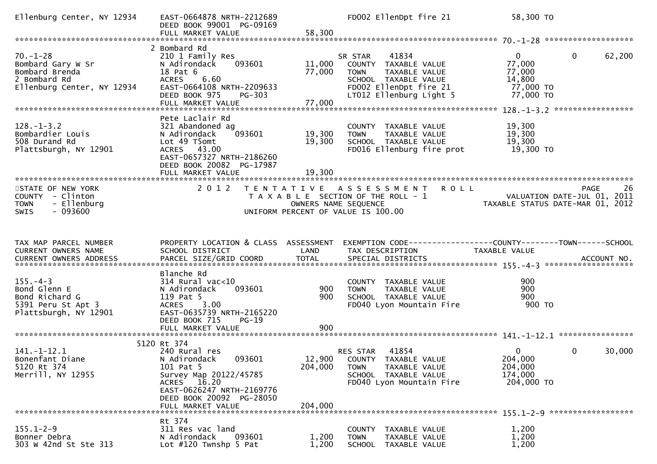| Ellenburg Center, NY 12934                                                                          | EAST-0664878 NRTH-2212689<br>DEED BOOK 99001 PG-09169<br>FULL MARKET VALUE                                                                                                                 | 58,300                     | FD002 EllenDpt fire 21                                                                                                                                | 58,300 TO                                                                                                          |     |
|-----------------------------------------------------------------------------------------------------|--------------------------------------------------------------------------------------------------------------------------------------------------------------------------------------------|----------------------------|-------------------------------------------------------------------------------------------------------------------------------------------------------|--------------------------------------------------------------------------------------------------------------------|-----|
|                                                                                                     |                                                                                                                                                                                            |                            |                                                                                                                                                       |                                                                                                                    |     |
| $70. - 1 - 28$<br>Bombard Gary W Sr<br>Bombard Brenda<br>2 Bombard Rd<br>Ellenburg Center, NY 12934 | 2 Bombard Rd<br>210 1 Family Res<br>093601<br>N Adirondack<br>18 Pat 6<br>ACRES 6.60<br>EAST-0664108 NRTH-2209633<br>DEED BOOK 975<br>PG-303<br>FULL MARKET VALUE                          | 11,000<br>77,000<br>77,000 | 41834<br>SR STAR<br>COUNTY TAXABLE VALUE<br><b>TOWN</b><br>TAXABLE VALUE<br>SCHOOL TAXABLE VALUE<br>FD002 EllenDpt fire 21<br>LT012 Ellenburg Light 5 | $\mathbf 0$<br>$\mathbf{0}$<br>62,200<br>77,000<br>77,000<br>14,800<br>77,000 TO<br>77,000 TO                      |     |
|                                                                                                     |                                                                                                                                                                                            |                            |                                                                                                                                                       |                                                                                                                    |     |
| $128. - 1 - 3.2$<br>Bombardier Louis<br>508 Durand Rd<br>Plattsburgh, NY 12901                      | Pete Laclair Rd<br>321 Abandoned ag<br>093601<br>N Adirondack<br>Lot 49 T5omt<br>ACRES 43.00<br>EAST-0657327 NRTH-2186260<br>DEED BOOK 20082 PG-17987<br>FULL MARKET VALUE                 | 19,300<br>19,300<br>19,300 | COUNTY TAXABLE VALUE<br><b>TOWN</b><br>TAXABLE VALUE<br>SCHOOL TAXABLE VALUE<br>FD016 Ellenburg fire prot                                             | 19,300<br>19,300<br>19,300<br>19,300 TO                                                                            |     |
|                                                                                                     |                                                                                                                                                                                            |                            |                                                                                                                                                       |                                                                                                                    |     |
| STATE OF NEW YORK<br>COUNTY - Clinton<br><b>TOWN</b><br>- Ellenburg<br>$-093600$<br><b>SWIS</b>     | 2012                                                                                                                                                                                       | OWNERS NAME SEQUENCE       | TENTATIVE ASSESSMENT ROLL<br>T A X A B L E SECTION OF THE ROLL - 1<br>UNIFORM PERCENT OF VALUE IS 100.00                                              | <b>PAGE</b><br>VALUATION DATE-JUL 01, 2011<br>TAXABLE STATUS DATE-MAR 01, 2012                                     | -26 |
|                                                                                                     |                                                                                                                                                                                            |                            |                                                                                                                                                       |                                                                                                                    |     |
| TAX MAP PARCEL NUMBER<br>CURRENT OWNERS NAME                                                        | SCHOOL DISTRICT                                                                                                                                                                            | LAND                       | TAX DESCRIPTION                                                                                                                                       | PROPERTY LOCATION & CLASS ASSESSMENT EXEMPTION CODE----------------COUNTY--------TOWN------SCHOOL<br>TAXABLE VALUE |     |
|                                                                                                     | Blanche Rd                                                                                                                                                                                 |                            |                                                                                                                                                       |                                                                                                                    |     |
| $155. - 4 - 3$<br>Bond Glenn E<br>Bond Richard G<br>5391 Peru St Apt 3<br>Plattsburgh, NY 12901     | $314$ Rural vac<10<br>093601<br>N Adirondack<br>119 Pat 5<br><b>ACRES</b><br>3.00<br>EAST-0635739 NRTH-2165220<br>DEED BOOK 715<br>$PG-19$                                                 | 900<br>900                 | COUNTY TAXABLE VALUE<br><b>TOWN</b><br>TAXABLE VALUE<br>SCHOOL TAXABLE VALUE<br>FD040 Lyon Mountain Fire                                              | 900<br>900<br>900<br>900 TO                                                                                        |     |
|                                                                                                     | FULL MARKET VALUE                                                                                                                                                                          | 900                        |                                                                                                                                                       |                                                                                                                    |     |
|                                                                                                     |                                                                                                                                                                                            |                            |                                                                                                                                                       |                                                                                                                    |     |
| $141. - 1 - 12.1$<br>Bonenfant Diane<br>5120 Rt 374<br>Merrill, NY 12955                            | 5120 Rt 374<br>240 Rural res<br>093601<br>N Adirondack<br>101 Pat 5<br>Survey Map 20122/45785<br>ACRES 16.20<br>EAST-0626247 NRTH-2169776<br>DEED BOOK 20092 PG-28050<br>FULL MARKET VALUE | 204,000<br>204,000         | RES STAR 41854<br>12,900 COUNTY TAXABLE VALUE<br><b>TOWN</b><br>TAXABLE VALUE<br>SCHOOL TAXABLE VALUE<br>FD040 Lyon Mountain Fire                     | $\mathbf{0}$<br>$\Omega$<br>30,000<br>204,000<br>204,000<br>174,000<br>204,000 TO                                  |     |
|                                                                                                     |                                                                                                                                                                                            |                            |                                                                                                                                                       |                                                                                                                    |     |
| $155.1 - 2 - 9$<br>Bonner Debra<br>303 W 42nd St Ste 313                                            | Rt 374<br>311 Res vac land<br>N Adirondack<br>093601<br>Lot $\#120$ Twnshp 5 Pat                                                                                                           | 1,200<br>1,200             | COUNTY TAXABLE VALUE<br>TAXABLE VALUE<br><b>TOWN</b><br>SCHOOL TAXABLE VALUE                                                                          | 1,200<br>1,200<br>1,200                                                                                            |     |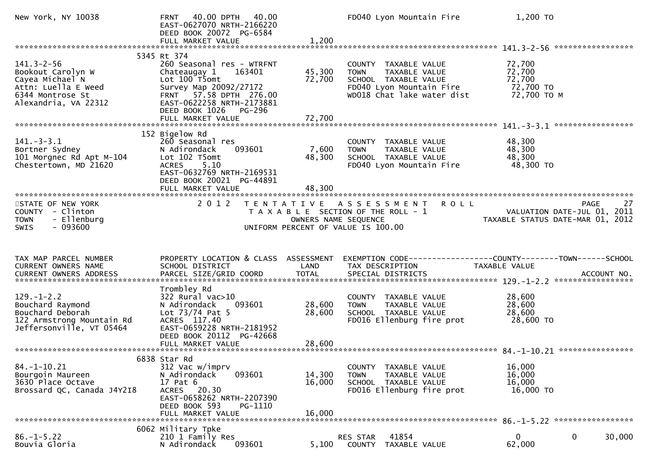| New York, NY 10038                                                                                                          | 40.00<br>40.00 DPTH<br><b>FRNT</b><br>EAST-0627070 NRTH-2166220<br>DEED BOOK 20072 PG-6584<br>FULL MARKET VALUE                                                                                                       | 1,200                      | FD040 Lyon Mountain Fire                                                                                                               | 1,200 TO                                                                                     |
|-----------------------------------------------------------------------------------------------------------------------------|-----------------------------------------------------------------------------------------------------------------------------------------------------------------------------------------------------------------------|----------------------------|----------------------------------------------------------------------------------------------------------------------------------------|----------------------------------------------------------------------------------------------|
|                                                                                                                             |                                                                                                                                                                                                                       |                            |                                                                                                                                        |                                                                                              |
| $141.3 - 2 - 56$<br>Bookout Carolyn W<br>Cayea Michael N<br>Attn: Luella E Weed<br>6344 Montrose St<br>Alexandria, VA 22312 | 5345 Rt 374<br>260 Seasonal res - WTRFNT<br>Chateaugay 1<br>163401<br>Lot 100 T5omt<br>Survey Map 20092/27172<br>FRNT 57.58 DPTH 276.00<br>EAST-0622258 NRTH-2173881<br>DEED BOOK 1026<br>PG-296<br>FULL MARKET VALUE | 45,300<br>72,700<br>72,700 | COUNTY TAXABLE VALUE<br>TAXABLE VALUE<br><b>TOWN</b><br>SCHOOL TAXABLE VALUE<br>FD040 Lyon Mountain Fire<br>WD018 Chat lake water dist | 72,700<br>72,700<br>72,700<br>72,700 TO<br>72,700 TO M                                       |
|                                                                                                                             |                                                                                                                                                                                                                       |                            |                                                                                                                                        | *****************                                                                            |
| $141. - 3 - 3.1$<br>Bortner Sydney<br>101 Morgnec Rd Apt M-104<br>Chestertown, MD 21620                                     | 152 Bigelow Rd<br>260 Seasonal res<br>N Adirondack<br>093601<br>Lot 102 T5omt<br><b>ACRES</b><br>5.10<br>EAST-0632769 NRTH-2169531<br>DEED BOOK 20021 PG-44891<br>FULL MARKET VALUE                                   | 7,600<br>48,300<br>48,300  | COUNTY TAXABLE VALUE<br>TAXABLE VALUE<br><b>TOWN</b><br>SCHOOL TAXABLE VALUE<br>FD040 Lyon Mountain Fire                               | 48,300<br>48,300<br>48,300<br>48,300 TO                                                      |
| STATE OF NEW YORK                                                                                                           | 2 0 1 2                                                                                                                                                                                                               | T E N T A T I V E          | <b>ROLL</b><br>A S S E S S M E N T                                                                                                     | 27<br><b>PAGE</b>                                                                            |
| COUNTY - Clinton<br>- Ellenburg<br><b>TOWN</b><br>$-093600$<br>SWIS                                                         |                                                                                                                                                                                                                       | OWNERS NAME SEQUENCE       | T A X A B L E SECTION OF THE ROLL - 1<br>UNIFORM PERCENT OF VALUE IS 100.00                                                            | VALUATION DATE-JUL 01, 2011<br>TAXABLE STATUS DATE-MAR 01, 2012                              |
|                                                                                                                             |                                                                                                                                                                                                                       |                            |                                                                                                                                        |                                                                                              |
| TAX MAP PARCEL NUMBER<br>CURRENT OWNERS NAME<br>CURRENT OWNERS ADDRESS                                                      | PROPERTY LOCATION & CLASS ASSESSMENT<br>SCHOOL DISTRICT<br>PARCEL SIZE/GRID COORD                                                                                                                                     | LAND<br><b>TOTAL</b>       | TAX DESCRIPTION<br>SPECIAL DISTRICTS                                                                                                   | EXEMPTION CODE-----------------COUNTY-------TOWN------SCHOOL<br>TAXABLE VALUE<br>ACCOUNT NO. |
| $129. - 1 - 2.2$<br>Bouchard Raymond<br>Bouchard Deborah<br>122 Armstrong Mountain Rd<br>Jeffersonville, VT 05464           | Trombley Rd<br>$322$ Rural vac $>10$<br>093601<br>N Adirondack<br>Lot 73/74 Pat 5<br>ACRES 117.40<br>EAST-0659228 NRTH-2181952<br>DEED BOOK 20112 PG-42668                                                            | 28,600<br>28,600           | COUNTY TAXABLE VALUE<br>TAXABLE VALUE<br><b>TOWN</b><br>SCHOOL TAXABLE VALUE<br>FD016 Ellenburg fire prot                              | 28,600<br>28,600<br>28,600<br>28,600 TO                                                      |
|                                                                                                                             |                                                                                                                                                                                                                       |                            |                                                                                                                                        |                                                                                              |
| $84. - 1 - 10.21$<br>Bourgoin Maureen<br>3630 Place Octave<br>Brossard QC, Canada J4Y2I8                                    | 6838 Star Rd<br>312 Vac w/imprv<br>093601<br>N Adirondack<br>17 Pat 6<br>ACRES 20.30<br>EAST-0658262 NRTH-2207390<br>DEED BOOK 593<br>PG-1110<br>FULL MARKET VALUE                                                    | 14,300<br>16,000<br>16,000 | TAXABLE VALUE<br><b>COUNTY</b><br><b>TOWN</b><br>TAXABLE VALUE<br>SCHOOL TAXABLE VALUE<br>FD016 Ellenburg fire prot                    | 16,000<br>16,000<br>16,000<br>16,000 TO                                                      |
|                                                                                                                             | 6062 Military Tpke                                                                                                                                                                                                    |                            |                                                                                                                                        |                                                                                              |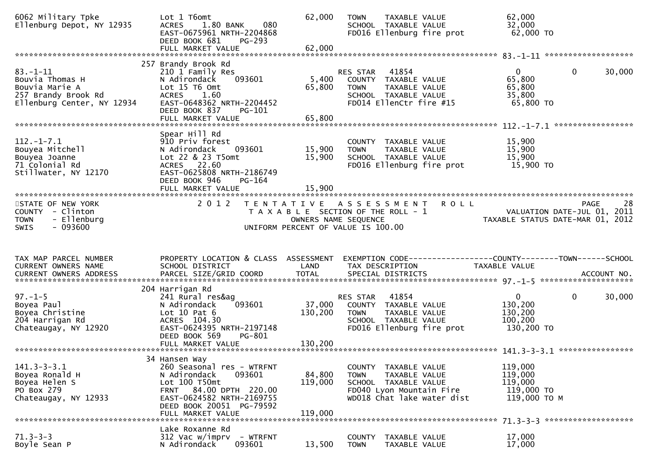| 6062 Military Tpke<br>Ellenburg Depot, NY 12935                                                         | Lot 1 T6omt<br>1.80 BANK<br>080<br><b>ACRES</b><br>EAST-0675961 NRTH-2204868<br>DEED BOOK 681<br>$PG-293$<br>FULL MARKET VALUE                                                                | 62,000<br>62,000             | TAXABLE VALUE<br><b>TOWN</b><br>SCHOOL TAXABLE VALUE<br>FD016 Ellenburg fire prot                                                          | 62,000<br>32,000<br>62,000 TO                                               |                             |
|---------------------------------------------------------------------------------------------------------|-----------------------------------------------------------------------------------------------------------------------------------------------------------------------------------------------|------------------------------|--------------------------------------------------------------------------------------------------------------------------------------------|-----------------------------------------------------------------------------|-----------------------------|
| $83 - 1 - 11$<br>Bouvia Thomas H<br>Bouvia Marie A<br>257 Brandy Brook Rd<br>Ellenburg Center, NY 12934 | 257 Brandy Brook Rd<br>210 1 Family Res<br>093601<br>N Adirondack<br>Lot 15 T6 Omt<br>ACRES 1.60<br>EAST-0648362 NRTH-2204452<br>DEED BOOK 837<br>PG-101<br>FULL MARKET VALUE                 | 5,400<br>65,800<br>65,800    | 41854<br>RES STAR<br>COUNTY TAXABLE VALUE<br><b>TOWN</b><br>TAXABLE VALUE<br>SCHOOL TAXABLE VALUE<br>FD014 EllenCtr fire #15               | $\overline{0}$<br>$\Omega$<br>65,800<br>65,800<br>35,800<br>65,800 TO       | 30,000<br>***************** |
| $112. - 1 - 7.1$<br>Bouyea Mitchell<br>Bouyea Joanne<br>71 Colonial Rd<br>Stillwater, NY 12170          | Spear Hill Rd<br>910 Priv forest<br>093601<br>N Adirondack<br>Lot 22 & 23 T5omt<br>ACRES 22.60<br>EAST-0625808 NRTH-2186749<br>DEED BOOK 946<br>PG-164<br>FULL MARKET VALUE                   | 15,900<br>15,900<br>15,900   | COUNTY TAXABLE VALUE<br>TAXABLE VALUE<br><b>TOWN</b><br>SCHOOL TAXABLE VALUE<br>FD016 Ellenburg fire prot                                  | 15,900<br>15,900<br>15,900<br>15,900 TO                                     |                             |
| STATE OF NEW YORK<br>COUNTY - Clinton<br><b>TOWN</b><br>- Ellenburg<br>$-093600$<br><b>SWIS</b>         | 2 0 1 2                                                                                                                                                                                       |                              | <b>ROLL</b><br>TENTATIVE ASSESSMENT<br>T A X A B L E SECTION OF THE ROLL - 1<br>OWNERS NAME SEQUENCE<br>UNIFORM PERCENT OF VALUE IS 100.00 | VALUATION DATE-JUL 01, 2011<br>TAXABLE STATUS DATE-MAR 01, 2012             | 28<br>PAGE                  |
| TAX MAP PARCEL NUMBER<br>CURRENT OWNERS NAME                                                            | PROPERTY LOCATION & CLASS ASSESSMENT<br>SCHOOL DISTRICT                                                                                                                                       | LAND                         | EXEMPTION CODE-----------------COUNTY-------TOWN------SCHOOL<br>TAX DESCRIPTION                                                            | TAXABLE VALUE                                                               |                             |
| $97. - 1 - 5$<br>Boyea Paul<br>Boyea Christine<br>204 Harrigan Rd<br>Chateaugay, NY 12920               | 204 Harrigan Rd<br>241 Rural res&ag<br>N Adirondack<br>093601<br>Lot $10$ Pat $6$<br>ACRES 104.30<br>EAST-0624395 NRTH-2197148<br>DEED BOOK 569<br>PG-801                                     | 37,000<br>130,200            | 41854<br>RES STAR<br>COUNTY TAXABLE VALUE<br>TOWN<br>TAXABLE VALUE<br>SCHOOL TAXABLE VALUE<br>FD016 Ellenburg fire prot                    | $\mathbf{0}$<br>$\mathbf{0}$<br>130,200<br>130,200<br>100,200<br>130,200 TO | 30,000<br>****************  |
| $141.3 - 3 - 3.1$<br>Boyea Ronald H<br>Boyea Helen S<br>PO Box 279<br>Chateaugay, NY 12933              | 34 Hansen Way<br>260 Seasonal res - WTRFNT<br>N Adirondack<br>093601<br>Lot 100 T50mt<br>FRNT 84.00 DPTH 220.00<br>EAST-0624582 NRTH-2169755<br>DEED BOOK 20051 PG-79592<br>FULL MARKET VALUE | 84,800<br>119,000<br>119,000 | COUNTY TAXABLE VALUE<br><b>TOWN</b><br>TAXABLE VALUE<br>SCHOOL TAXABLE VALUE<br>FD040 Lyon Mountain Fire<br>WD018 Chat lake water dist     | 119,000<br>119,000<br>119,000<br>119,000 TO<br>119,000 TO M                 |                             |
| $71.3 - 3 - 3$                                                                                          | Lake Roxanne Rd                                                                                                                                                                               |                              |                                                                                                                                            |                                                                             |                             |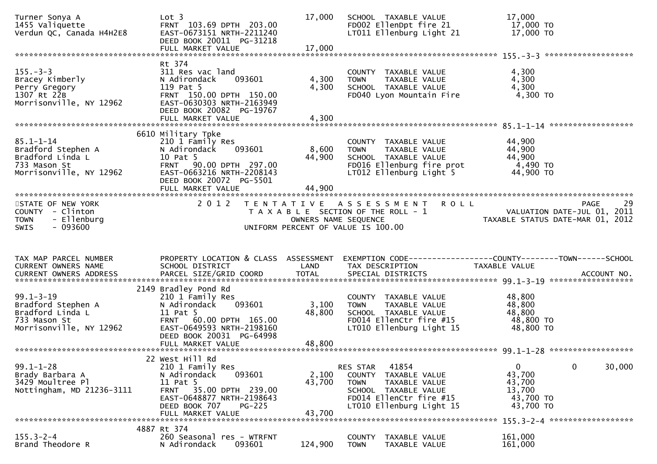| Turner Sonya A<br>1455 Valiquette<br>Verdun QC, Canada H4H2E8                                        | Lot <sub>3</sub><br>FRNT 103.69 DPTH 203.00<br>EAST-0673151 NRTH-2211240<br>DEED BOOK 20011 PG-31218                                                                       | 17,000                  | SCHOOL TAXABLE VALUE<br>FD002 EllenDpt fire 21<br>LT011 Ellenburg Light 21                                                                               | 17,000<br>17,000 TO<br>17,000 TO                                                   |        |
|------------------------------------------------------------------------------------------------------|----------------------------------------------------------------------------------------------------------------------------------------------------------------------------|-------------------------|----------------------------------------------------------------------------------------------------------------------------------------------------------|------------------------------------------------------------------------------------|--------|
|                                                                                                      |                                                                                                                                                                            |                         |                                                                                                                                                          |                                                                                    |        |
| $155. - 3 - 3$<br>Bracey Kimberly<br>Perry Gregory<br>1307 Rt 22B<br>Morrisonville, NY 12962         | Rt 374<br>311 Res vac land<br>093601<br>N Adirondack<br>119 Pat 5<br>FRNT 150.00 DPTH 150.00<br>EAST-0630303 NRTH-2163949<br>DEED BOOK 20082 PG-19767<br>FULL MARKET VALUE | 4,300<br>4,300<br>4,300 | COUNTY TAXABLE VALUE<br>TAXABLE VALUE<br><b>TOWN</b><br>SCHOOL TAXABLE VALUE<br>FD040 Lyon Mountain Fire                                                 | 4,300<br>4,300<br>4,300<br>4,300 TO                                                |        |
|                                                                                                      |                                                                                                                                                                            |                         |                                                                                                                                                          |                                                                                    |        |
| $85.1 - 1 - 14$<br>Bradford Stephen A<br>Bradford Linda L<br>733 Mason St<br>Morrisonville, NY 12962 | 6610 Military Tpke<br>210 1 Family Res<br>093601<br>N Adirondack<br>10 Pat 5<br>FRNT 90.00 DPTH 297.00<br>EAST-0663216 NRTH-2208143<br>DEED BOOK 20072 PG-5501             | 8,600<br>44,900         | COUNTY TAXABLE VALUE<br><b>TOWN</b><br>TAXABLE VALUE<br>SCHOOL TAXABLE VALUE<br>FD016 Ellenburg fire prot<br>LT012 Ellenburg Light 5                     | 44,900<br>44,900<br>44,900<br>4,490 TO<br>44,900 TO                                |        |
|                                                                                                      | FULL MARKET VALUE                                                                                                                                                          | 44,900                  |                                                                                                                                                          |                                                                                    |        |
| STATE OF NEW YORK<br>COUNTY - Clinton<br>- Ellenburg<br><b>TOWN</b><br>$-093600$<br><b>SWIS</b>      | 2 0 1 2                                                                                                                                                                    | OWNERS NAME SEQUENCE    | <b>ROLL</b><br>TENTATIVE ASSESSMENT<br>T A X A B L E SECTION OF THE ROLL - 1<br>UNIFORM PERCENT OF VALUE IS 100.00                                       | PAGE<br>VALUATION DATE-JUL 01, 2011<br>TAXABLE STATUS DATE-MAR 01, 2012            | 29     |
|                                                                                                      |                                                                                                                                                                            |                         |                                                                                                                                                          |                                                                                    |        |
| TAX MAP PARCEL NUMBER<br>CURRENT OWNERS NAME                                                         | PROPERTY LOCATION & CLASS ASSESSMENT<br>SCHOOL DISTRICT                                                                                                                    | LAND                    | TAX DESCRIPTION                                                                                                                                          | TAXABLE VALUE                                                                      |        |
| $99.1 - 3 - 19$<br>Bradford Stephen A<br>Bradford Linda L<br>733 Mason St<br>Morrisonville, NY 12962 | 2149 Bradley Pond Rd<br>210 1 Family Res<br>093601<br>N Adirondack<br>11 Pat 5<br>FRNT 60.00 DPTH 165.00<br>EAST-0649593 NRTH-2198160<br>DEED BOOK 20031 PG-64998          | 3,100<br>48,800         | COUNTY TAXABLE VALUE<br><b>TOWN</b><br>TAXABLE VALUE<br>SCHOOL TAXABLE VALUE<br>FD014 EllenCtr fire #15<br>LT010 Ellenburg Light 15                      | 48,800<br>48,800<br>48,800<br>48,800 TO<br>48,800 TO                               |        |
|                                                                                                      | 22 West Hill Rd                                                                                                                                                            |                         |                                                                                                                                                          |                                                                                    |        |
| $99.1 - 1 - 28$<br>Brady Barbara A<br>3429 Moultree Pl<br>Nottingham, MD 21236-3111                  | 210 1 Family Res<br>N Adirondack<br>093601<br>11 Pat 5<br>FRNT 35.00 DPTH 239.00<br>EAST-0648877 NRTH-2198643<br>DEED BOOK 707<br><b>PG-225</b>                            | 2,100<br>43,700         | 41854<br>RES STAR<br>COUNTY TAXABLE VALUE<br><b>TOWN</b><br>TAXABLE VALUE<br>SCHOOL TAXABLE VALUE<br>FD014 EllenCtr fire #15<br>LT010 Ellenburg Light 15 | $\mathbf 0$<br>$\mathbf 0$<br>43,700<br>43,700<br>13,700<br>43,700 TO<br>43,700 TO | 30,000 |
|                                                                                                      | FULL MARKET VALUE                                                                                                                                                          | 43,700                  |                                                                                                                                                          |                                                                                    |        |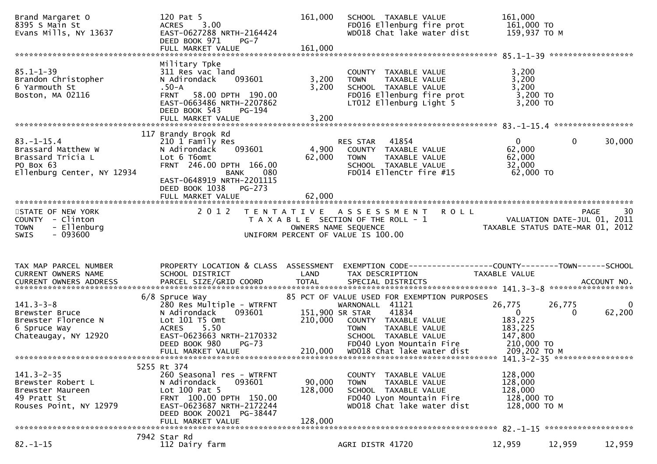| Brand Margaret O<br>8395 S Main St<br>Evans Mills, NY 13637                                            | 120 Pat 5<br>ACRES 3.00<br>EAST-0627288 NRTH-2164424<br>DEED BOOK 971<br>$PG-7$<br>FULL MARKET VALUE                                                                                          | 161,000<br>161,000         | SCHOOL TAXABLE VALUE<br>FD016 Ellenburg fire prot<br>WD018 Chat lake water dist                                                                                                     | 161,000<br>161,000 то<br>159,937 то м                                                                              |                    |
|--------------------------------------------------------------------------------------------------------|-----------------------------------------------------------------------------------------------------------------------------------------------------------------------------------------------|----------------------------|-------------------------------------------------------------------------------------------------------------------------------------------------------------------------------------|--------------------------------------------------------------------------------------------------------------------|--------------------|
|                                                                                                        |                                                                                                                                                                                               |                            |                                                                                                                                                                                     |                                                                                                                    |                    |
| $85.1 - 1 - 39$<br>Brandon Christopher<br>6 Yarmouth St<br>Boston, MA 02116                            | Military Tpke<br>311 Res vac land<br>093601<br>N Adirondack<br>.50-A<br>FRNT 58.00 DPTH 190.00<br>EAST-0663486 NRTH-2207862<br>DEED BOOK 543<br>PG-194                                        | 3,200<br>3,200             | COUNTY TAXABLE VALUE<br>TAXABLE VALUE<br><b>TOWN</b><br>SCHOOL TAXABLE VALUE<br>FD016 Ellenburg fire prot<br>LT012 Ellenburg Light 5                                                | 3,200<br>3,200<br>3,200<br>$3,200$ TO<br>3,200 TO                                                                  |                    |
|                                                                                                        |                                                                                                                                                                                               |                            |                                                                                                                                                                                     |                                                                                                                    |                    |
| $83. - 1 - 15.4$<br>Brassard Matthew W<br>Brassard Tricia L<br>PO Box 63<br>Ellenburg Center, NY 12934 | 117 Brandy Brook Rd<br>210 1 Family Res<br>093601<br>N Adirondack<br>Lot 6 T6omt<br>FRNT 246.00 DPTH 166.00<br><b>BANK</b><br>080<br>EAST-0648919 NRTH-2201115<br>DEED BOOK 1038 PG-273       | 4,900<br>62,000            | RES STAR 41854<br>COUNTY TAXABLE VALUE<br><b>TOWN</b><br>TAXABLE VALUE<br>SCHOOL TAXABLE VALUE<br>FD014 EllenCtr fire #15                                                           | $\mathbf{0}$<br>0<br>62,000<br>62,000<br>32,000<br>62,000 TO                                                       | 30,000             |
|                                                                                                        | FULL MARKET VALUE                                                                                                                                                                             | 62,000                     |                                                                                                                                                                                     |                                                                                                                    |                    |
|                                                                                                        |                                                                                                                                                                                               |                            |                                                                                                                                                                                     |                                                                                                                    |                    |
| STATE OF NEW YORK<br>COUNTY - Clinton<br><b>TOWN</b><br>- Ellenburg<br>$-093600$<br><b>SWIS</b>        | 2 0 1 2                                                                                                                                                                                       |                            | <b>ROLL</b><br>TENTATIVE ASSESSMENT<br>T A X A B L E SECTION OF THE ROLL - 1<br>OWNERS NAME SEQUENCE<br>UNIFORM PERCENT OF VALUE IS 100.00                                          | <b>PAGE</b><br>VALUATION DATE-JUL 01, 2011<br>TAXABLE STATUS DATE-MAR 01, 2012                                     | 30                 |
|                                                                                                        |                                                                                                                                                                                               |                            |                                                                                                                                                                                     |                                                                                                                    |                    |
|                                                                                                        |                                                                                                                                                                                               |                            |                                                                                                                                                                                     |                                                                                                                    |                    |
| TAX MAP PARCEL NUMBER<br><b>CURRENT OWNERS NAME</b>                                                    | PROPERTY LOCATION & CLASS ASSESSMENT<br>SCHOOL DISTRICT                                                                                                                                       | LAND                       | TAX DESCRIPTION                                                                                                                                                                     | EXEMPTION CODE-----------------COUNTY-------TOWN------SCHOOL<br>TAXABLE VALUE                                      |                    |
|                                                                                                        |                                                                                                                                                                                               |                            |                                                                                                                                                                                     |                                                                                                                    |                    |
| $141.3 - 3 - 8$<br>Brewster Bruce<br>Brewster Florence N<br>6 Spruce Way<br>Chateaugay, NY 12920       | 6/8 Spruce Way<br>280 Res Multiple - WTRFNT<br>N Adirondack<br>093601<br>Lot 101 T5 Omt<br>5.50<br><b>ACRES</b><br>EAST-0623663 NRTH-2170332<br>DEED BOOK 980<br>$PG-73$<br>FULL MARKET VALUE | 151,900 SR STAR<br>210,000 | 85 PCT OF VALUE USED FOR EXEMPTION PURPOSES<br>WARNONALL 41121<br>41834<br>COUNTY TAXABLE VALUE<br><b>TOWN</b><br>TAXABLE VALUE<br>SCHOOL TAXABLE VALUE<br>FD040 Lyon Mountain Fire | 26,775<br>26,775<br>$\mathbf{0}$<br>0<br>183,225<br>183,225<br>147,800<br>$\frac{210,000}{209}$ TO<br>209,202 ТО М | $\bf{0}$<br>62,200 |
|                                                                                                        |                                                                                                                                                                                               |                            |                                                                                                                                                                                     |                                                                                                                    |                    |
| $141.3 - 2 - 35$<br>Brewster Robert L<br>Brewster Maureen<br>49 Pratt St<br>Rouses Point, NY 12979     | 5255 Rt 374<br>260 Seasonal res - WTRFNT<br>093601<br>N Adirondack<br>Lot $100$ Pat 5<br>FRNT 100.00 DPTH 150.00<br>EAST-0623687 NRTH-2172244<br>DEED BOOK 20021 PG-38447                     | 90,000<br>128,000          | COUNTY TAXABLE VALUE<br>TAXABLE VALUE<br><b>TOWN</b><br>SCHOOL TAXABLE VALUE<br>FD040 Lyon Mountain Fire<br>WD018 Chat lake water dist                                              | 128,000<br>128,000<br>128,000<br>128,000 TO<br>128,000 ТО М                                                        |                    |
|                                                                                                        | FULL MARKET VALUE                                                                                                                                                                             | 128,000                    |                                                                                                                                                                                     |                                                                                                                    |                    |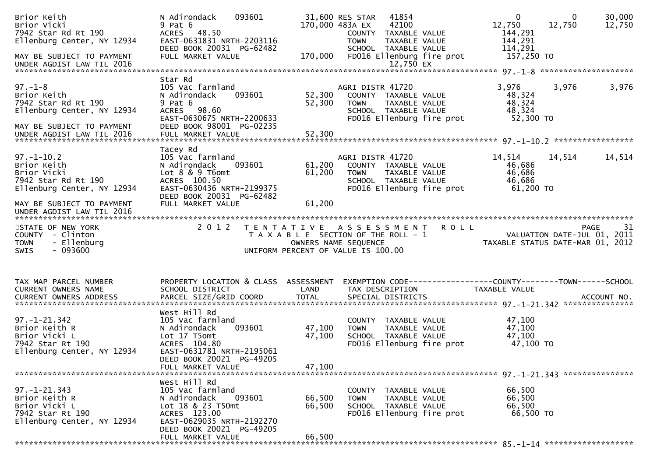| Brior Keith<br>Brior Vicki<br>7942 Star Rd Rt 190<br>Ellenburg Center, NY 12934<br>MAY BE SUBJECT TO PAYMENT<br>UNDER AGDIST LAW TIL 2016                                                                                                                                      | 093601<br>N Adirondack<br>$9$ Pat $6$<br>ACRES 48.50<br>EAST-0631831 NRTH-2203116<br>DEED BOOK 20031 PG-62482<br>FULL MARKET VALUE                                       | 170,000                    | 31,600 RES STAR<br>41854<br>170,000 483A EX<br>42100<br>COUNTY TAXABLE VALUE<br><b>TOWN</b><br>TAXABLE VALUE<br>SCHOOL TAXABLE VALUE<br>FD016 Ellenburg fire prot | $\mathbf{0}$<br>12,750<br>144,291<br>144,291<br>114,291<br>157,250 TO | 30,000<br>$\overline{0}$<br>12,750<br>12,750 |
|--------------------------------------------------------------------------------------------------------------------------------------------------------------------------------------------------------------------------------------------------------------------------------|--------------------------------------------------------------------------------------------------------------------------------------------------------------------------|----------------------------|-------------------------------------------------------------------------------------------------------------------------------------------------------------------|-----------------------------------------------------------------------|----------------------------------------------|
|                                                                                                                                                                                                                                                                                |                                                                                                                                                                          |                            |                                                                                                                                                                   |                                                                       |                                              |
| $97. - 1 - 8$<br>Brior Keith<br>7942 Star Rd Rt 190<br>Ellenburg Center, NY 12934                                                                                                                                                                                              | Star Rd<br>105 Vac farmland<br>N Adirondack<br>093601<br>$9$ Pat $6$<br>ACRES 98.60<br>EAST-0630675 NRTH-2200633                                                         | 52,300<br>52,300           | AGRI DISTR 41720<br>COUNTY TAXABLE VALUE<br><b>TOWN</b><br>TAXABLE VALUE<br>SCHOOL TAXABLE VALUE<br>FD016 Ellenburg fire prot                                     | 3,976<br>48,324<br>48,324<br>48,324<br>52,300 TO                      | 3,976<br>3,976                               |
| MAY BE SUBJECT TO PAYMENT<br>UNDER AGDIST LAW TIL 2016                                                                                                                                                                                                                         | DEED BOOK 98001 PG-02235                                                                                                                                                 |                            |                                                                                                                                                                   |                                                                       |                                              |
| $97. - 1 - 10.2$<br>Brior Keith<br>Brior Vicki<br>7942 Star Rd Rt 190<br>Ellenburg Center, NY 12934                                                                                                                                                                            | Tacey Rd<br>105 Vac farmland<br>N Adirondack<br>093601<br>Lot 8 & 9 T6omt<br>ACRES 100.50<br>EAST-0630436 NRTH-2199375<br>DEED BOOK 20031 PG-62482                       | 61,200<br>61,200           | AGRI DISTR 41720<br>COUNTY TAXABLE VALUE<br><b>TOWN</b><br>TAXABLE VALUE<br>SCHOOL TAXABLE VALUE<br>FD016 Ellenburg fire prot                                     | 14,514<br>46,686<br>46,686<br>46,686<br>61,200 TO                     | 14,514<br>14,514                             |
| MAY BE SUBJECT TO PAYMENT<br>UNDER AGDIST LAW TIL 2016                                                                                                                                                                                                                         | FULL MARKET VALUE                                                                                                                                                        | 61,200                     |                                                                                                                                                                   |                                                                       |                                              |
| STATE OF NEW YORK<br>COUNTY - Clinton<br><b>TOWN</b><br>- Ellenburg<br>$-093600$<br><b>SWIS</b>                                                                                                                                                                                | 2 0 1 2                                                                                                                                                                  |                            | TENTATIVE ASSESSMENT ROLL<br>T A X A B L E SECTION OF THE ROLL - 1<br>OWNERS NAME SEQUENCE<br>UNIFORM PERCENT OF VALUE IS 100.00                                  | VALUATION DATE-JUL 01, 2011<br>TAXABLE STATUS DATE-MAR 01, 2012       | 31<br><b>PAGE</b>                            |
| TAX MAP PARCEL NUMBER<br>CURRENT OWNERS NAME<br>.4CCOUNT NO . PARCEL SIZE/GRID COORD TOTAL SPECIAL DISTRICTS . ACCOUNT NO . ACCOUNT NO . ACCOUNT NO . بالمحتجز المستوى المستوى المستوى المستوى المستوى المستوى المستوى المستوى المستوى المستوى المستوى المستوى المستوى المستوى | PROPERTY LOCATION & CLASS ASSESSMENT<br>SCHOOL DISTRICT                                                                                                                  | LAND                       | EXEMPTION CODE-----------------COUNTY--------TOWN------SCHOOL<br>TAX DESCRIPTION                                                                                  | TAXABLE VALUE                                                         |                                              |
| $97. - 1 - 21.342$<br>Brior Keith R<br>Brior Vicki L<br>7942 Star Rt 190<br>Ellenburg Center, NY 12934                                                                                                                                                                         | West Hill Rd<br>105 Vac farmland<br>093601<br>N Adirondack<br>Lot 17 T5omt<br>ACRES 104.80<br>EAST-0631781 NRTH-2195061<br>DEED BOOK 20021 PG-49205<br>FULL MARKET VALUE | 47,100<br>47,100<br>47,100 | COUNTY TAXABLE VALUE<br>TAXABLE VALUE<br><b>TOWN</b><br>SCHOOL TAXABLE VALUE<br>FD016 Ellenburg fire prot                                                         | 47,100<br>47,100<br>47,100<br>47,100 TO                               |                                              |
|                                                                                                                                                                                                                                                                                | West Hill Rd                                                                                                                                                             |                            |                                                                                                                                                                   |                                                                       |                                              |
| $97. - 1 - 21.343$<br>Brior Keith R<br>Brior Vicki L<br>7942 Star Rt 190<br>Ellenburg Center, NY 12934                                                                                                                                                                         | 105 Vac farmland<br>N Adirondack<br>093601<br>Lot 18 & 23 T50mt<br>ACRES 123.00<br>EAST-0629035 NRTH-2192270<br>DEED BOOK 20021 PG-49205                                 | 66,500<br>66,500           | COUNTY TAXABLE VALUE<br><b>TOWN</b><br><b>TAXABLE VALUE</b><br>SCHOOL TAXABLE VALUE<br>FD016 Ellenburg fire prot                                                  | 66,500<br>66,500<br>66,500<br>66,500 TO                               |                                              |
|                                                                                                                                                                                                                                                                                | FULL MARKET VALUE                                                                                                                                                        | 66,500                     |                                                                                                                                                                   |                                                                       |                                              |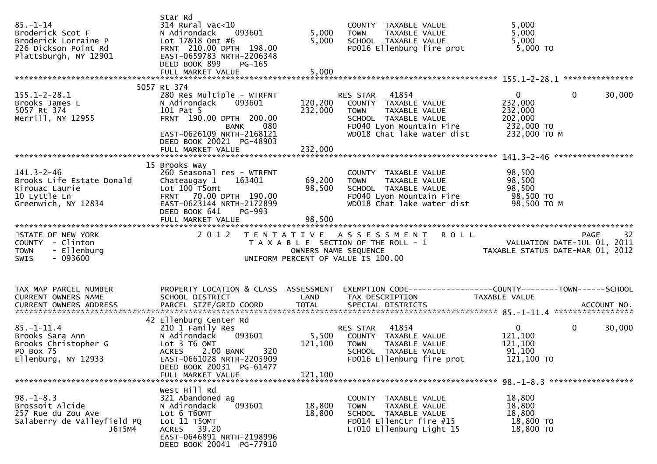| $85 - 1 - 14$<br>Broderick Scot F<br>Broderick Lorraine P<br>226 Dickson Point Rd<br>Plattsburgh, NY 12901 | Star Rd<br>314 Rural vac<10<br>N Adirondack<br>093601<br>Lot 17&18 Omt #6<br>FRNT 210.00 DPTH 198.00<br>EAST-0659783 NRTH-2206348<br>DEED BOOK 899<br>PG-165                                                   | 5,000<br>5,000                | COUNTY TAXABLE VALUE<br>TAXABLE VALUE<br><b>TOWN</b><br>SCHOOL TAXABLE VALUE<br>FD016 Ellenburg fire prot                                                | 5,000<br>5,000<br>5,000<br>$5,000$ TO                                                                 |
|------------------------------------------------------------------------------------------------------------|----------------------------------------------------------------------------------------------------------------------------------------------------------------------------------------------------------------|-------------------------------|----------------------------------------------------------------------------------------------------------------------------------------------------------|-------------------------------------------------------------------------------------------------------|
|                                                                                                            |                                                                                                                                                                                                                |                               |                                                                                                                                                          |                                                                                                       |
| $155.1 - 2 - 28.1$<br>Brooks James L<br>5057 Rt 374<br>Merrill, NY 12955                                   | 5057 Rt 374<br>280 Res Multiple - WTRFNT<br>N Adirondack<br>093601<br>101 Pat 5<br>FRNT 190.00 DPTH 200.00<br><b>BANK</b><br>080<br>EAST-0626109 NRTH-2168121<br>DEED BOOK 20021 PG-48903<br>FULL MARKET VALUE | 120,200<br>232,000<br>232,000 | RES STAR 41854<br>COUNTY TAXABLE VALUE<br>TAXABLE VALUE<br><b>TOWN</b><br>SCHOOL TAXABLE VALUE<br>FD040 Lyon Mountain Fire<br>WD018 Chat lake water dist | $\mathbf{0}$<br>$\mathbf{0}$<br>30,000<br>232,000<br>232,000<br>202,000<br>232,000 TO<br>232,000 ТО М |
|                                                                                                            |                                                                                                                                                                                                                |                               |                                                                                                                                                          |                                                                                                       |
| $141.3 - 2 - 46$<br>Brooks Life Estate Donald<br>Kirouac Laurie<br>10 Lyttle Ln<br>Greenwich, NY 12834     | 15 Brooks Way<br>260 Seasonal res - WTRFNT<br>Chateaugay 1<br>163401<br>Lot 100 T5omt<br>FRNT 70.00 DPTH 190.00<br>EAST-0623144 NRTH-2172899<br>DEED BOOK 641<br><b>PG-993</b><br>FULL MARKET VALUE            | 69,200<br>98,500<br>98,500    | COUNTY TAXABLE VALUE<br><b>TOWN</b><br>TAXABLE VALUE<br>SCHOOL TAXABLE VALUE<br>FD040 Lyon Mountain Fire<br>WD018 Chat lake water dist                   | 98,500<br>98,500<br>98,500<br>98,500 TO<br>98,500 TO M                                                |
|                                                                                                            |                                                                                                                                                                                                                |                               |                                                                                                                                                          |                                                                                                       |
| STATE OF NEW YORK<br>COUNTY - Clinton<br>- Ellenburg<br><b>TOWN</b><br>$-093600$<br>SWIS                   | 2 0 1 2                                                                                                                                                                                                        |                               | TENTATIVE ASSESSMENT ROLL<br>T A X A B L E SECTION OF THE ROLL - 1<br>OWNERS NAME SEQUENCE<br>UNIFORM PERCENT OF VALUE IS 100.00                         | 32<br>PAGE<br>VALUATION DATE-JUL 01, 2011<br>TAXABLE STATUS DATE-MAR 01, 2012                         |
| TAX MAP PARCEL NUMBER<br>CURRENT OWNERS NAME                                                               | PROPERTY LOCATION & CLASS ASSESSMENT<br>SCHOOL DISTRICT                                                                                                                                                        | LAND                          | TAX DESCRIPTION                                                                                                                                          | EXEMPTION CODE-----------------COUNTY--------TOWN------SCHOOL<br>TAXABLE VALUE                        |
| $85. - 1 - 11.4$<br>Brooks Sara Ann<br>Brooks Christopher G<br>PO Box 75<br>Ellenburg, NY 12933            | 42 Ellenburg Center Rd<br>210 1 Family Res<br>093601<br>N Adirondack<br>Lot 3 T6 OMT<br>2.00 BANK<br>320<br><b>ACRES</b><br>EAST-0661028 NRTH-2205909<br>DEED BOOK 20031 PG-61477                              | 5,500<br>121,100              | 41854<br>RES STAR<br>COUNTY TAXABLE VALUE<br><b>TOWN</b><br>TAXABLE VALUE<br>SCHOOL TAXABLE VALUE<br>FD016 Ellenburg fire prot                           | $\mathbf 0$<br>$\mathbf{0}$<br>30,000<br>121,100<br>121,100<br>91,100<br>121,100 TO                   |
|                                                                                                            | FULL MARKET VALUE                                                                                                                                                                                              | 121,100                       |                                                                                                                                                          |                                                                                                       |
| $98. - 1 - 8.3$<br>Brossoit Alcide<br>257 Rue du Zou Ave<br>Salaberry de Valleyfield PQ<br>J6T5M4          | West Hill Rd<br>321 Abandoned ag<br>093601<br>N Adirondack<br>Lot 6 T60MT<br>Lot 11 T50MT<br>ACRES 39.20<br>EAST-0646891 NRTH-2198996<br>DEED BOOK 20041 PG-77910                                              | 18,800<br>18,800              | COUNTY TAXABLE VALUE<br>TAXABLE VALUE<br>TOWN<br>SCHOOL TAXABLE VALUE<br>FD014 EllenCtr fire #15<br>LT010 Ellenburg Light 15                             | 18,800<br>18,800<br>18,800<br>18,800 TO<br>18,800 TO                                                  |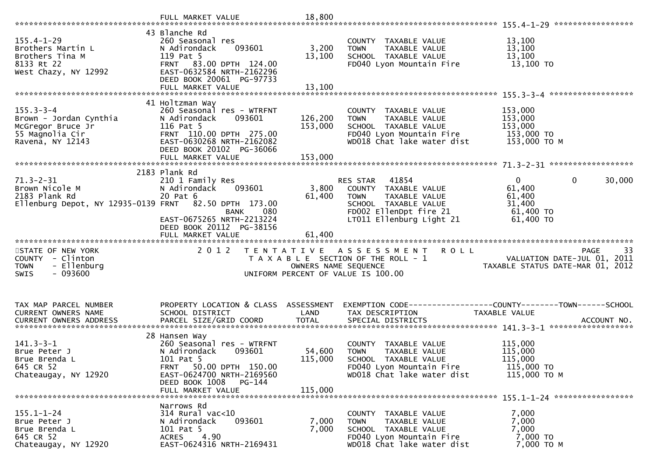| $155.4 - 1 - 29$<br>Brothers Martin L<br>Brothers Tina M<br>8133 Rt 22<br>West Chazy, NY 12992        | 43 Blanche Rd<br>260 Seasonal res<br>093601<br>N Adirondack<br>119 Pat 5<br>FRNT 83.00 DPTH 124.00<br>EAST-0632584 NRTH-2162296<br>DEED BOOK 20061 PG-97733                                         | 3,200<br>13,100               | COUNTY TAXABLE VALUE<br>TAXABLE VALUE<br><b>TOWN</b><br>SCHOOL TAXABLE VALUE<br>FD040 Lyon Mountain Fire                                                       | 13,100<br>13,100<br>13,100<br>13,100 TO                                                   |
|-------------------------------------------------------------------------------------------------------|-----------------------------------------------------------------------------------------------------------------------------------------------------------------------------------------------------|-------------------------------|----------------------------------------------------------------------------------------------------------------------------------------------------------------|-------------------------------------------------------------------------------------------|
| $155.3 - 3 - 4$<br>Brown - Jordan Cynthia<br>McGregor Bruce Jr<br>55 Magnolia Cir<br>Ravena, NY 12143 | 41 Holtzman Way<br>260 Seasonal res - WTRFNT<br>093601<br>N Adirondack<br>116 Pat 5<br>FRNT 110.00 DPTH 275.00<br>EAST-0630268 NRTH-2162082<br>DEED BOOK 20102 PG-36066<br>FULL MARKET VALUE        | 126,200<br>153,000<br>153,000 | COUNTY TAXABLE VALUE<br>TAXABLE VALUE<br><b>TOWN</b><br>SCHOOL TAXABLE VALUE<br>FD040 Lyon Mountain Fire<br>WD018 Chat lake water dist                         | 153,000<br>153,000<br>153,000<br>153,000 TO<br>153,000 ТО М                               |
|                                                                                                       |                                                                                                                                                                                                     |                               |                                                                                                                                                                |                                                                                           |
| $71.3 - 2 - 31$<br>Brown Nicole M<br>2183 Plank Rd<br>Ellenburg Depot, NY 12935-0139 FRNT             | 2183 Plank Rd<br>210 1 Family Res<br>N Adirondack<br>093601<br>20 Pat 6<br>82.50 DPTH 173.00<br><b>BANK</b><br>080<br>EAST-0675265 NRTH-2213224<br>DEED BOOK 20112 PG-38156                         | 3,800<br>61,400               | 41854<br><b>RES STAR</b><br>COUNTY TAXABLE VALUE<br>TAXABLE VALUE<br><b>TOWN</b><br>SCHOOL TAXABLE VALUE<br>FD002 EllenDpt fire 21<br>LT011 Ellenburg Light 21 | $\Omega$<br>$\mathbf 0$<br>30,000<br>61,400<br>61,400<br>31,400<br>61,400 TO<br>61,400 TO |
|                                                                                                       | FULL MARKET VALUE                                                                                                                                                                                   | 61,400                        |                                                                                                                                                                |                                                                                           |
| STATE OF NEW YORK<br>COUNTY - Clinton<br>- Ellenburg<br><b>TOWN</b><br>$-093600$<br>SWIS              | 2 0 1 2                                                                                                                                                                                             | OWNERS NAME SEQUENCE          | TENTATIVE ASSESSMENT<br><b>ROLL</b><br>T A X A B L E SECTION OF THE ROLL - 1<br>UNIFORM PERCENT OF VALUE IS 100.00                                             | 33<br><b>PAGE</b><br>VALUATION DATE-JUL 01, 2011<br>TAXABLE STATUS DATE-MAR 01, 2012      |
| TAX MAP PARCEL NUMBER<br>CURRENT OWNERS NAME                                                          | PROPERTY LOCATION & CLASS ASSESSMENT<br>SCHOOL DISTRICT                                                                                                                                             | LAND                          | EXEMPTION        CODE------------------COUNTY-------TOWN------SCHOOL<br>TAX DESCRIPTION                                                                        | TAXABLE VALUE<br>ACCOUNT NO.<br>******************                                        |
| $141.3 - 3 - 1$<br>Brue Peter J<br>Brue Brenda L<br>645 CR 52<br>Chateaugay, NY 12920                 | 28 Hansen Way<br>260 Seasonal res - WTRFNT<br>093601<br>N Adirondack<br>101 Pat 5<br>50.00 DPTH 150.00<br><b>FRNT</b><br>EAST-0624700 NRTH-2169560<br>DEED BOOK 1008<br>PG-144<br>FULL MARKET VALUE | 54,600<br>115,000<br>115,000  | COUNTY TAXABLE VALUE<br><b>TOWN</b><br>TAXABLE VALUE<br>SCHOOL TAXABLE VALUE<br>FD040 Lyon Mountain Fire<br>WD018 Chat lake water dist                         | 115,000<br>115,000<br>115,000<br>115,000 TO<br>115,000 TO M                               |
| $155.1 - 1 - 24$<br>Brue Peter J<br>Brue Brenda L<br>645 CR 52<br>Chateaugay, NY 12920                | Narrows Rd<br>$314$ Rural vac<10<br>093601<br>N Adirondack<br>101 Pat 5<br>4.90<br>ACRES<br>EAST-0624316 NRTH-2169431                                                                               | 7,000<br>7,000                | COUNTY TAXABLE VALUE<br>TAXABLE VALUE<br><b>TOWN</b><br>SCHOOL TAXABLE VALUE<br>FD040 Lyon Mountain Fire<br>WD018 Chat lake water dist                         | 7,000<br>7,000<br>7,000<br>7,000 TO<br>7,000 TO M                                         |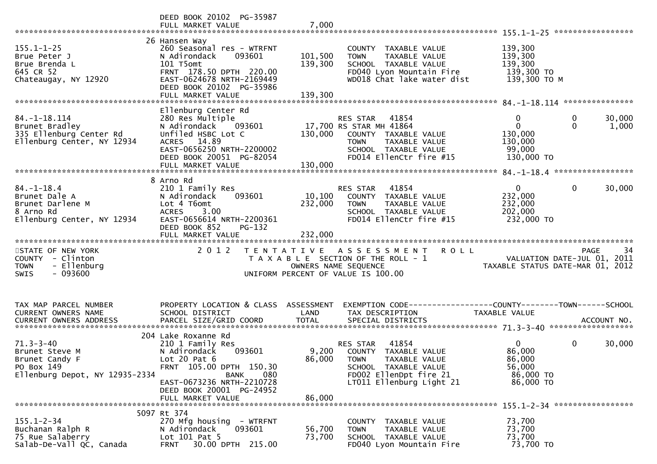|                                                                                                     | DEED BOOK 20102 PG-35987<br>FULL MARKET VALUE                                                                                                                                              | 7,000                         |                                                                                                                                                               |                                                                           |                                           |
|-----------------------------------------------------------------------------------------------------|--------------------------------------------------------------------------------------------------------------------------------------------------------------------------------------------|-------------------------------|---------------------------------------------------------------------------------------------------------------------------------------------------------------|---------------------------------------------------------------------------|-------------------------------------------|
| $155.1 - 1 - 25$<br>Brue Peter J<br>Brue Brenda L<br>645 CR 52<br>Chateaugay, NY 12920              | 26 Hansen Way<br>260 Seasonal res - WTRFNT<br>093601<br>N Adirondack<br>101 T5omt<br>FRNT 178.50 DPTH 220.00<br>EAST-0624678 NRTH-2169449<br>DEED BOOK 20102 PG-35986<br>FULL MARKET VALUE | 101,500<br>139,300<br>139,300 | COUNTY TAXABLE VALUE<br>TAXABLE VALUE<br><b>TOWN</b><br>SCHOOL TAXABLE VALUE<br>FD040 Lyon Mountain Fire<br>WD018 Chat lake water dist                        | 139,300<br>139,300<br>139,300<br>139,300 TO<br>139,300 ТО М               |                                           |
|                                                                                                     | Ellenburg Center Rd                                                                                                                                                                        |                               |                                                                                                                                                               |                                                                           |                                           |
| $84. -1 - 18.114$<br>Brunet Bradley<br>335 Ellenburg Center Rd<br>Ellenburg Center, NY 12934        | 280 Res Multiple<br>N Adirondack<br>093601<br>Unfiled HSBC Lot C<br>ACRES 14.89<br>EAST-0656250 NRTH-2200002<br>DEED BOOK 20051 PG-82054                                                   | 130,000                       | RES STAR<br>41854<br>17,700 RS STAR MH 41864<br>COUNTY TAXABLE VALUE<br>TAXABLE VALUE<br><b>TOWN</b><br>SCHOOL TAXABLE VALUE<br>FD014 EllenCtr fire #15       | $\mathbf{0}$<br>$\mathbf 0$<br>130,000<br>130,000<br>99,000<br>130,000 TO | 0<br>30,000<br>$\Omega$<br>1,000          |
|                                                                                                     | 8 Arno Rd                                                                                                                                                                                  |                               |                                                                                                                                                               |                                                                           |                                           |
| $84. - 1 - 18.4$<br>Brunet Dale A<br>Brunet Darlene M<br>8 Arno Rd<br>Ellenburg Center, NY 12934    | 210 1 Family Res<br>093601<br>N Adirondack<br>Lot 4 T6omt<br><b>ACRES</b><br>3.00<br>EAST-0656614 NRTH-2200361<br>DEED BOOK 852<br>PG-132<br>FULL MARKET VALUE                             | 10,100<br>232,000<br>232,000  | 41854<br><b>RES STAR</b><br>COUNTY TAXABLE VALUE<br><b>TOWN</b><br>TAXABLE VALUE<br>SCHOOL TAXABLE VALUE<br>FD014 EllenCtr fire #15                           | $\overline{0}$<br>232,000<br>232,000<br>202,000<br>232,000 TO             | $\mathbf{0}$<br>30,000                    |
| STATE OF NEW YORK<br>COUNTY - Clinton<br><b>TOWN</b><br>- Ellenburg<br>$-093600$<br><b>SWIS</b>     | 2 0 1 2                                                                                                                                                                                    |                               | TENTATIVE ASSESSMENT<br><b>ROLL</b><br>T A X A B L E SECTION OF THE ROLL - 1<br>OWNERS NAME SEQUENCE<br>UNIFORM PERCENT OF VALUE IS 100.00                    | TAXABLE STATUS DATE-MAR 01, 2012                                          | 34<br>PAGE<br>VALUATION DATE-JUL 01, 2011 |
| TAX MAP PARCEL NUMBER                                                                               | PROPERTY LOCATION & CLASS ASSESSMENT                                                                                                                                                       |                               | EXEMPTION CODE-----------------COUNTY-------TOWN------SCHOOL                                                                                                  |                                                                           |                                           |
| CURRENT OWNERS NAME                                                                                 | SCHOOL DISTRICT                                                                                                                                                                            | LAND                          | TAX DESCRIPTION                                                                                                                                               | TAXABLE VALUE                                                             |                                           |
|                                                                                                     | 204 Lake Roxanne Rd                                                                                                                                                                        |                               |                                                                                                                                                               |                                                                           |                                           |
| $71.3 - 3 - 40$<br>Brunet Steve M<br>Brunet Candy F<br>PO Box 149<br>Ellenburg Depot, NY 12935-2334 | 210 1 Family Res<br>093601<br>N Adirondack<br>Lot $20$ Pat $6$<br>FRNT 105.00 DPTH 150.30<br>080<br><b>BANK</b><br>EAST-0673236 NRTH-2210728<br>DEED BOOK 20001 PG-24952                   | 86,000                        | 41854<br>RES STAR<br>9,200 COUNTY TAXABLE VALUE<br><b>TOWN</b><br>TAXABLE VALUE<br>SCHOOL TAXABLE VALUE<br>FD002 EllenDpt fire 21<br>LT011 Ellenburg Light 21 | $\overline{0}$<br>86,000<br>86,000<br>56,000<br>86,000 TO<br>86,000 TO    | 0<br>30,000                               |
|                                                                                                     | FULL MARKET VALUE                                                                                                                                                                          | 86,000                        |                                                                                                                                                               |                                                                           |                                           |
|                                                                                                     | 5097 Rt 374                                                                                                                                                                                |                               |                                                                                                                                                               |                                                                           |                                           |
| $155.1 - 2 - 34$<br>Buchanan Ralph R<br>75 Rue Salaberry<br>Salab-De-Vall QC, Canada                | 270 Mfg housing - WTRFNT<br>N Adirondack<br>093601<br>Lot 101 Pat 5<br>30.00 DPTH 215.00<br><b>FRNT</b>                                                                                    | 56,700<br>73,700              | COUNTY TAXABLE VALUE<br><b>TOWN</b><br>TAXABLE VALUE<br>SCHOOL TAXABLE VALUE<br>FD040 Lyon Mountain Fire                                                      | 73,700<br>73,700<br>73,700<br>73,700 TO                                   |                                           |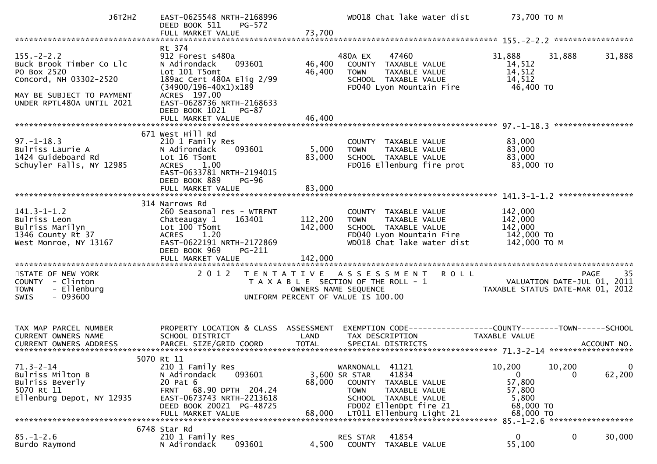| J6T2H2                                                                                                                                          | EAST-0625548 NRTH-2168996<br>DEED BOOK 511<br>PG-572                                                                                                                                                                               |                            | WD018 Chat lake water dist                                                                                                                                                                   | 73,700 TO M                                                                                                                                                                                                                                                                                                                                                                                                              |                       |
|-------------------------------------------------------------------------------------------------------------------------------------------------|------------------------------------------------------------------------------------------------------------------------------------------------------------------------------------------------------------------------------------|----------------------------|----------------------------------------------------------------------------------------------------------------------------------------------------------------------------------------------|--------------------------------------------------------------------------------------------------------------------------------------------------------------------------------------------------------------------------------------------------------------------------------------------------------------------------------------------------------------------------------------------------------------------------|-----------------------|
|                                                                                                                                                 |                                                                                                                                                                                                                                    |                            |                                                                                                                                                                                              |                                                                                                                                                                                                                                                                                                                                                                                                                          |                       |
| $155. - 2 - 2.2$<br>Buck Brook Timber Co Llc<br>PO Box 2520<br>Concord, NH 03302-2520<br>MAY BE SUBJECT TO PAYMENT<br>UNDER RPTL480A UNTIL 2021 | Rt 374<br>912 Forest s480a<br>093601<br>N Adirondack<br>Lot 101 T5omt<br>189ac Cert 480A Elig 2/99<br>$(34900/196 - 40x1)x189$<br>ACRES 197.00<br>EAST-0628736 NRTH-2168633<br>DEED BOOK 1021<br><b>PG-87</b><br>FULL MARKET VALUE | 46,400<br>46,400<br>46,400 | 480A EX<br>47460<br>COUNTY TAXABLE VALUE<br>TAXABLE VALUE<br>TOWN<br>SCHOOL TAXABLE VALUE<br>FD040 Lyon Mountain Fire                                                                        | 31,888<br>31,888<br>14,512<br>14,512<br>14,512<br>46,400 TO                                                                                                                                                                                                                                                                                                                                                              | 31,888                |
|                                                                                                                                                 |                                                                                                                                                                                                                                    |                            |                                                                                                                                                                                              |                                                                                                                                                                                                                                                                                                                                                                                                                          |                       |
| $97. - 1 - 18.3$<br>Bulriss Laurie A<br>1424 Guideboard Rd<br>Schuyler Falls, NY 12985                                                          | 671 West Hill Rd<br>210 1 Family Res<br>093601<br>N Adirondack<br>Lot 16 T5omt<br><b>ACRES</b><br>1.00<br>EAST-0633781 NRTH-2194015<br>DEED BOOK 889<br>$PG-96$<br>FULL MARKET VALUE                                               | 5,000<br>83,000<br>83,000  | COUNTY TAXABLE VALUE<br>TAXABLE VALUE<br><b>TOWN</b><br>SCHOOL TAXABLE VALUE<br>FD016 Ellenburg fire prot                                                                                    | 83,000<br>83,000<br>83,000<br>83,000 TO                                                                                                                                                                                                                                                                                                                                                                                  |                       |
|                                                                                                                                                 |                                                                                                                                                                                                                                    |                            |                                                                                                                                                                                              |                                                                                                                                                                                                                                                                                                                                                                                                                          |                       |
| $141.3 - 1 - 1.2$<br>Bulriss Leon<br>Bulriss Marilyn<br>1346 County Rt 37<br>West Monroe, NY 13167                                              | 314 Narrows Rd<br>260 Seasonal res - WTRFNT<br>Chateaugay 1<br>163401<br>Lot 100 T5omt<br><b>ACRES</b><br>1.20<br>EAST-0622191 NRTH-2172869<br>DEED BOOK 969<br>PG-211                                                             | 112,200<br>142,000         | COUNTY TAXABLE VALUE<br>TAXABLE VALUE<br><b>TOWN</b><br>SCHOOL TAXABLE VALUE<br>FD040 Lyon Mountain Fire 142,000 TO<br>WD018 Chat lake water dist                                            | 142,000<br>142,000<br>142,000<br>142,000 TO M                                                                                                                                                                                                                                                                                                                                                                            |                       |
|                                                                                                                                                 |                                                                                                                                                                                                                                    |                            |                                                                                                                                                                                              |                                                                                                                                                                                                                                                                                                                                                                                                                          |                       |
| STATE OF NEW YORK<br>COUNTY - Clinton<br>- Ellenburg<br><b>TOWN</b><br>$-093600$<br><b>SWIS</b>                                                 | 2 0 1 2                                                                                                                                                                                                                            |                            | TENTATIVE ASSESSMENT<br><b>ROLL</b><br>T A X A B L E SECTION OF THE ROLL - 1<br>OWNERS NAME SEQUENCE<br>UNIFORM PERCENT OF VALUE IS 100.00                                                   | $\overline{a}$ $\overline{b}$ $\overline{c}$ $\overline{c}$ $\overline{c}$ $\overline{c}$ $\overline{c}$ $\overline{c}$ $\overline{c}$ $\overline{c}$ $\overline{c}$ $\overline{c}$ $\overline{c}$ $\overline{c}$ $\overline{c}$ $\overline{c}$ $\overline{c}$ $\overline{c}$ $\overline{c}$ $\overline{c}$ $\overline{c}$ $\overline{c}$ $\overline{c}$ $\overline{c}$ $\overline{$<br>TAXABLE STATUS DATE-MAR 01, 2012 | 35<br><b>PAGE</b>     |
| TAX MAP PARCEL NUMBER<br>CURRENT OWNERS NAME                                                                                                    | PROPERTY LOCATION & CLASS ASSESSMENT<br>SCHOOL DISTRICT                                                                                                                                                                            | LAND                       | EXEMPTION CODE------------------COUNTY--------TOWN------SCHOOL<br>TAX DESCRIPTION                                                                                                            | <b>TAXABLE VALUE</b>                                                                                                                                                                                                                                                                                                                                                                                                     |                       |
|                                                                                                                                                 | 5070 Rt 11                                                                                                                                                                                                                         |                            |                                                                                                                                                                                              |                                                                                                                                                                                                                                                                                                                                                                                                                          |                       |
| $71.3 - 2 - 14$<br>Bulriss Milton B<br>Bulriss Beverly<br>5070 Rt 11<br>Ellenburg Depot, NY 12935                                               | 210 1 Family Res<br>N Adirondack<br>093601<br>20 Pat 6<br>68.90 DPTH 204.24<br><b>FRNT</b><br>EAST-0673743 NRTH-2213618<br>DEED BOOK 20021 PG-48725<br>FULL MARKET VALUE                                                           | 68,000<br>68,000           | 41121<br>WARNONALL<br>41834<br>3,600 SR STAR<br><b>COUNTY</b><br>TAXABLE VALUE<br><b>TOWN</b><br>TAXABLE VALUE<br>SCHOOL TAXABLE VALUE<br>FD002 EllenDpt fire 21<br>LT011 Ellenburg Light 21 | 10,200<br>10,200<br>$\mathbf{0}$<br>$\Omega$<br>57,800<br>57,800<br>5,800<br>68,000 TO<br>68,000 TO                                                                                                                                                                                                                                                                                                                      | $\mathbf 0$<br>62,200 |
|                                                                                                                                                 | 6748 Star Rd                                                                                                                                                                                                                       |                            |                                                                                                                                                                                              |                                                                                                                                                                                                                                                                                                                                                                                                                          |                       |
| $85. - 1 - 2.6$<br>Burdo Raymond                                                                                                                | 210 1 Family Res<br>N Adirondack<br>093601                                                                                                                                                                                         | 4,500                      | 41854<br>RES STAR<br><b>COUNTY</b><br>TAXABLE VALUE                                                                                                                                          | $\mathbf 0$<br>$\mathbf{0}$<br>55,100                                                                                                                                                                                                                                                                                                                                                                                    | 30,000                |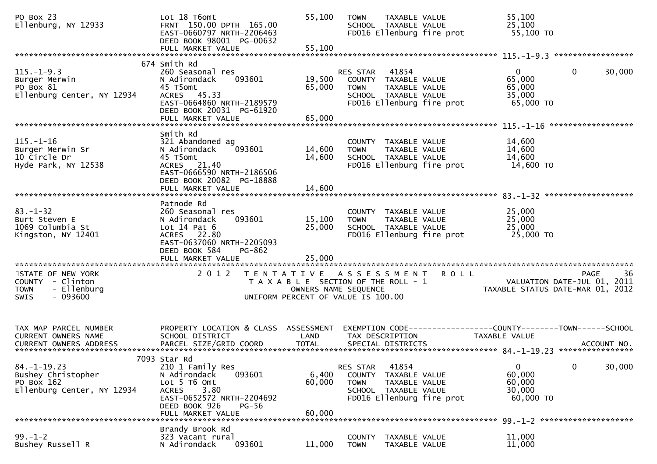| PO Box 23<br>Ellenburg, NY 12933                                                                | Lot 18 T6omt<br>FRNT 150.00 DPTH 165.00<br>EAST-0660797 NRTH-2206463<br>DEED BOOK 98001 PG-00632                                                                         | 55,100                     | <b>TOWN</b><br>TAXABLE VALUE<br>SCHOOL TAXABLE VALUE<br>FD016 Ellenburg fire prot                                              |             | 55,100<br>25,100<br>55,100 TO                                                   |                    |        |
|-------------------------------------------------------------------------------------------------|--------------------------------------------------------------------------------------------------------------------------------------------------------------------------|----------------------------|--------------------------------------------------------------------------------------------------------------------------------|-------------|---------------------------------------------------------------------------------|--------------------|--------|
|                                                                                                 | 674 Smith Rd                                                                                                                                                             |                            |                                                                                                                                |             |                                                                                 |                    |        |
| $115. - 1 - 9.3$<br>Burger Merwin<br>PO Box 81<br>Ellenburg Center, NY 12934                    | 260 Seasonal res<br>N Adirondack<br>093601<br>45 T5omt<br>ACRES 45.33<br>EAST-0664860 NRTH-2189579<br>DEED BOOK 20031 PG-61920<br>FULL MARKET VALUE                      | 19,500<br>65,000<br>65,000 | 41854<br>RES STAR<br>COUNTY TAXABLE VALUE<br>TAXABLE VALUE<br><b>TOWN</b><br>SCHOOL TAXABLE VALUE<br>FD016 Ellenburg fire prot |             | $\overline{0}$<br>65,000<br>65,000<br>35,000<br>65,000 TO                       | $\mathbf 0$        | 30,000 |
|                                                                                                 | Smith Rd                                                                                                                                                                 |                            |                                                                                                                                |             |                                                                                 | ****************** |        |
| $115. - 1 - 16$<br>Burger Merwin Sr<br>10 Circle Dr<br>Hyde Park, NY 12538                      | 321 Abandoned ag<br>N Adirondack<br>093601<br>45 T5omt<br>ACRES 21.40<br>EAST-0666590 NRTH-2186506<br>DEED BOOK 20082 PG-18888                                           | 14,600<br>14,600<br>14,600 | COUNTY TAXABLE VALUE<br>TAXABLE VALUE<br><b>TOWN</b><br>SCHOOL TAXABLE VALUE<br>FD016 Ellenburg fire prot                      |             | 14,600<br>14,600<br>14,600<br>14,600 TO                                         |                    |        |
|                                                                                                 | FULL MARKET VALUE                                                                                                                                                        |                            |                                                                                                                                |             |                                                                                 |                    |        |
| $83 - 1 - 32$<br>Burt Steven E<br>1069 Columbia St<br>Kingston, NY 12401                        | Patnode Rd<br>260 Seasonal res<br>093601<br>N Adirondack<br>Lot $14$ Pat $6$<br>ACRES 22.80<br>EAST-0637060 NRTH-2205093<br>DEED BOOK 584<br>PG-862<br>FULL MARKET VALUE | 15,100<br>25,000<br>25,000 | COUNTY TAXABLE VALUE<br><b>TAXABLE VALUE</b><br><b>TOWN</b><br>SCHOOL TAXABLE VALUE<br>FD016 Ellenburg fire prot               |             | 25,000<br>25,000<br>25,000<br>25,000 TO                                         |                    |        |
| STATE OF NEW YORK<br>COUNTY - Clinton<br>- Ellenburg<br><b>TOWN</b><br>$-093600$<br><b>SWIS</b> | 2 0 1 2                                                                                                                                                                  |                            | TENTATIVE ASSESSMENT<br>T A X A B L E SECTION OF THE ROLL - 1<br>OWNERS NAME SEQUENCE<br>UNIFORM PERCENT OF VALUE IS 100.00    | <b>ROLL</b> | VALUATION DATE-JUL 01, 2011<br>TAXABLE STATUS DATE-MAR 01, 2012                 | PAGE               | -36    |
| TAX MAP PARCEL NUMBER<br>CURRENT OWNERS NAME                                                    | PROPERTY LOCATION & CLASS ASSESSMENT<br>SCHOOL DISTRICT                                                                                                                  | LAND                       | TAX DESCRIPTION                                                                                                                |             | EXEMPTION CODE------------------COUNTY--------TOWN------SCHOOL<br>TAXABLE VALUE |                    |        |
|                                                                                                 | 7093 Star Rd                                                                                                                                                             |                            |                                                                                                                                |             |                                                                                 |                    |        |
| $84. - 1 - 19.23$<br>Bushey Christopher<br>PO Box 162<br>Ellenburg Center, NY 12934             | 210 1 Family Res<br>093601<br>N Adirondack<br>Lot 5 T6 Omt<br>3.80<br><b>ACRES</b><br>EAST-0652572 NRTH-2204692<br>DEED BOOK 926<br><b>PG-56</b>                         | 6,400<br>60,000            | 41854<br>RES STAR<br>COUNTY TAXABLE VALUE<br><b>TOWN</b><br>TAXABLE VALUE<br>SCHOOL TAXABLE VALUE<br>FD016 Ellenburg fire prot |             | $\overline{0}$<br>60,000<br>60,000<br>30,000<br>60,000 TO                       | $\mathbf 0$        | 30,000 |
| 60,000<br>FULL MARKET VALUE                                                                     |                                                                                                                                                                          |                            |                                                                                                                                |             |                                                                                 |                    |        |
| $99. - 1 - 2$<br>Bushey Russell R                                                               | Brandy Brook Rd<br>323 Vacant rural<br>093601<br>N Adirondack                                                                                                            | 11,000                     | <b>COUNTY</b><br>TAXABLE VALUE<br>TAXABLE VALUE<br><b>TOWN</b>                                                                 |             | 11,000<br>11,000                                                                |                    |        |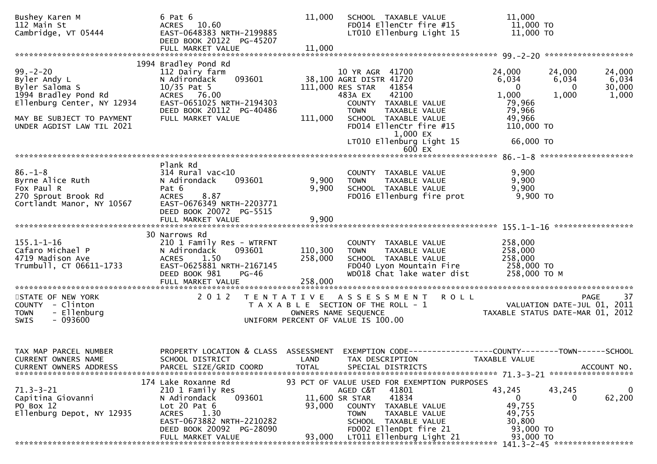| Bushey Karen M<br>112 Main St<br>Cambridge, VT 05444                                                                                                            | 6 Pat 6<br>ACRES 10.60<br>EAST-0648383 NRTH-2199885<br>DEED BOOK 20122 PG-45207<br>FULL MARKET VALUE                                                                                        | 11,000<br>11,000              | SCHOOL TAXABLE VALUE<br>FD014 EllenCtr fire #15<br>LT010 Ellenburg Light 15                                                                                                                                                                 | 11,000<br>11,000 TO<br>11,000 TO                                                                                                 |                                    |
|-----------------------------------------------------------------------------------------------------------------------------------------------------------------|---------------------------------------------------------------------------------------------------------------------------------------------------------------------------------------------|-------------------------------|---------------------------------------------------------------------------------------------------------------------------------------------------------------------------------------------------------------------------------------------|----------------------------------------------------------------------------------------------------------------------------------|------------------------------------|
|                                                                                                                                                                 | 1994 Bradley Pond Rd                                                                                                                                                                        |                               |                                                                                                                                                                                                                                             |                                                                                                                                  |                                    |
| $99 - 2 - 20$<br>Byler Andy L<br>Byler Saloma S<br>1994 Bradley Pond Rd<br>Ellenburg Center, NY 12934<br>MAY BE SUBJECT TO PAYMENT<br>UNDER AGDIST LAW TIL 2021 | 112 Dairy farm<br>N Adirondack<br>093601<br>$10/35$ Pat 5<br>ACRES 76.00<br>EAST-0651025 NRTH-2194303<br>DEED BOOK 20112 PG-40486<br>FULL MARKET VALUE                                      | 111,000                       | 10 YR AGR 41700<br>38,100 AGRI DISTR 41720<br>111,000 RES STAR<br>41854<br>42100<br>483A EX<br>COUNTY TAXABLE VALUE<br><b>TOWN</b><br>TAXABLE VALUE<br>SCHOOL TAXABLE VALUE<br>FD014 EllenCtr fire #15                                      | 24,000<br>24,000<br>6,034<br>6,034<br>$\Omega$<br>0<br>1,000<br>1,000<br>79,966<br>79,966<br>49,966<br>110,000 TO                | 24,000<br>6,034<br>30,000<br>1,000 |
|                                                                                                                                                                 |                                                                                                                                                                                             |                               | 1,000 EX<br>LT010 Ellenburg Light 15<br>$600$ EX                                                                                                                                                                                            | 66,000 TO                                                                                                                        |                                    |
|                                                                                                                                                                 |                                                                                                                                                                                             |                               |                                                                                                                                                                                                                                             |                                                                                                                                  |                                    |
| $86. - 1 - 8$<br>Byrne Alice Ruth<br>Fox Paul R<br>270 Sprout Brook Rd<br>Cortlandt Manor, NY 10567                                                             | Plank Rd<br>$314$ Rural vac< $10$<br>N Adirondack<br>093601<br>Pat 6<br>8.87<br><b>ACRES</b><br>EAST-0676349 NRTH-2203771<br>DEED BOOK 20072 PG-5515                                        | 9,900<br>9,900                | COUNTY TAXABLE VALUE<br><b>TOWN</b><br>TAXABLE VALUE<br>SCHOOL TAXABLE VALUE<br>FD016 Ellenburg fire prot                                                                                                                                   | 9,900<br>9,900<br>9,900<br>9,900 TO                                                                                              |                                    |
|                                                                                                                                                                 | FULL MARKET VALUE                                                                                                                                                                           | 9,900                         |                                                                                                                                                                                                                                             |                                                                                                                                  |                                    |
| $155.1 - 1 - 16$<br>Cafaro Michael P<br>4719 Madison Ave<br>Trumbull, CT 06611-1733                                                                             | 30 Narrows Rd<br>210 1 Family Res - WTRFNT<br>N Adirondack<br>093601<br><b>ACRES</b><br>1.50<br>EAST-0625881 NRTH-2167145<br>DEED BOOK 981<br>PG-46<br>FULL MARKET VALUE                    | 110,300<br>258,000<br>258,000 | COUNTY TAXABLE VALUE<br>TAXABLE VALUE<br><b>TOWN</b><br>SCHOOL TAXABLE VALUE<br>FD040 Lyon Mountain Fire<br>WD018 Chat lake water dist                                                                                                      | 258,000<br>258,000<br>258,000<br>258,000 TO<br>258,000 TO M                                                                      |                                    |
| STATE OF NEW YORK<br>COUNTY - Clinton<br>- Ellenburg<br><b>TOWN</b><br>$-093600$<br><b>SWIS</b>                                                                 | 2 0 1 2<br>T E N T A T I V E                                                                                                                                                                |                               | R O L L<br>A S S E S S M E N T<br>T A X A B L E SECTION OF THE ROLL - 1<br>OWNERS NAME SEQUENCE<br>UNIFORM PERCENT OF VALUE IS 100.00                                                                                                       | PAGE<br>VALUATION DATE-JUL 01, 2011<br>TAXABLE STATUS DATE-MAR 01, 2012                                                          | 37                                 |
| TAX MAP PARCEL NUMBER<br>CURRENT OWNERS NAME<br><b>CURRENT OWNERS ADDRESS</b>                                                                                   | SCHOOL DISTRICT<br>PARCEL SIZE/GRID COORD                                                                                                                                                   | LAND<br><b>TOTAL</b>          | TAX DESCRIPTION<br>SPECIAL DISTRICTS                                                                                                                                                                                                        | PROPERTY LOCATION & CLASS ASSESSMENT EXEMPTION CODE----------------COUNTY-------TOWN------SCHOOL<br>TAXABLE VALUE<br>ACCOUNT NO. |                                    |
| $71.3 - 3 - 21$<br>Capitina Giovanni<br>PO Box 12<br>Ellenburg Depot, NY 12935                                                                                  | 174 Lake Roxanne Rd<br>210 1 Family Res<br>093601<br>N Adirondack<br>Lot $20$ Pat $6$<br>1.30<br><b>ACRES</b><br>EAST-0673882 NRTH-2210282<br>DEED BOOK 20092 PG-28090<br>FULL MARKET VALUE | 93,000<br>93,000              | 93 PCT OF VALUE USED FOR EXEMPTION PURPOSES<br>AGED C&T<br>41801<br>41834<br>11,600 SR STAR<br><b>COUNTY</b><br>TAXABLE VALUE<br>TAXABLE VALUE<br><b>TOWN</b><br>SCHOOL TAXABLE VALUE<br>FD002 EllenDpt fire 21<br>LT011 Ellenburg Light 21 | 43,245<br>43,245<br>0<br>0<br>49,755<br>49,755<br>30,800<br>93,000 TO<br>93,000 TO                                               | $\bf{0}$<br>62,200                 |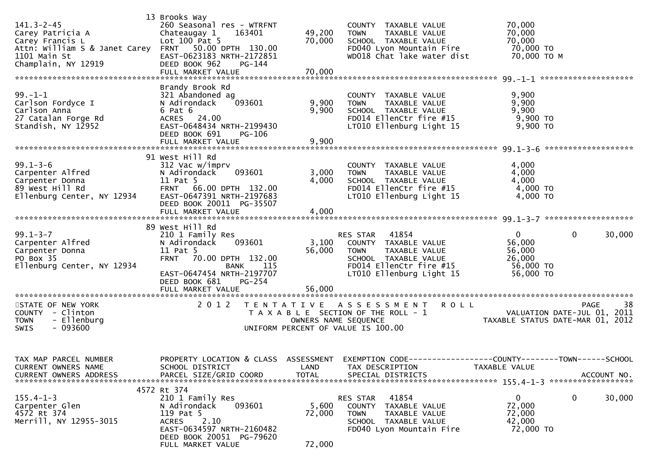| $141.3 - 2 - 45$<br>Carey Patricia A<br>Carey Francis L<br>Attn: William S & Janet Carey<br>1101 Main St<br>Champlain, NY 12919 | 13 Brooks Way<br>260 Seasonal res - WTRFNT<br>163401<br>Chateaugay 1<br>Lot $100$ Pat 5<br>50.00 DPTH 130.00<br>FRNT<br>EAST-0623183 NRTH-2172851<br>DEED BOOK 962<br>PG-144<br>FULL MARKET VALUE<br>Brandy Brook Rd | 49,200<br>70,000<br>70,000                | COUNTY TAXABLE VALUE<br><b>TOWN</b><br>TAXABLE VALUE<br>SCHOOL TAXABLE VALUE<br>FD040 Lyon Mountain Fire<br>WD018 Chat lake water dist                   | 70,000<br>70,000<br>70,000<br>70,000 TO<br>70,000 ТО М                                        |
|---------------------------------------------------------------------------------------------------------------------------------|----------------------------------------------------------------------------------------------------------------------------------------------------------------------------------------------------------------------|-------------------------------------------|----------------------------------------------------------------------------------------------------------------------------------------------------------|-----------------------------------------------------------------------------------------------|
| $99. - 1 - 1$<br>Carlson Fordyce I<br>Carlson Anna<br>27 Catalan Forge Rd<br>Standish, NY 12952                                 | 321 Abandoned ag<br>N Adirondack<br>093601<br>6 Pat 6<br>ACRES 24.00<br>EAST-0648434 NRTH-2199430<br>DEED BOOK 691<br>PG-106<br>FULL MARKET VALUE                                                                    | 9,900<br>9,900<br>9,900                   | COUNTY TAXABLE VALUE<br><b>TOWN</b><br>TAXABLE VALUE<br>SCHOOL TAXABLE VALUE<br>FD014 EllenCtr fire #15<br>LT010 Ellenburg Light 15                      | 9,900<br>9,900<br>9,900<br>9,900 TO<br>9,900 TO                                               |
| $99.1 - 3 - 6$<br>Carpenter Alfred<br>Carpenter Donna<br>89 West Hill Rd<br>Ellenburg Center, NY 12934                          | 91 West Hill Rd<br>312 Vac w/imprv<br>093601<br>N Adirondack<br>11 Pat 5<br>FRNT 66.00 DPTH 132.00<br>EAST-0647391 NRTH-2197683<br>DEED BOOK 20011 PG-35507                                                          | 3,000<br>4,000                            | COUNTY TAXABLE VALUE<br>TAXABLE VALUE<br><b>TOWN</b><br>SCHOOL TAXABLE VALUE<br>FD014 EllenCtr fire #15<br>LT010 Ellenburg Light 15                      | 4,000<br>4,000<br>4,000<br>4,000 TO<br>4,000 TO                                               |
|                                                                                                                                 | FULL MARKET VALUE                                                                                                                                                                                                    | 4,000                                     |                                                                                                                                                          |                                                                                               |
| $99.1 - 3 - 7$<br>Carpenter Alfred<br>Carpenter Donna<br>PO Box 35<br>Ellenburg Center, NY 12934                                | 89 West Hill Rd<br>210 1 Family Res<br>093601<br>N Adirondack<br>11 Pat 5<br><b>FRNT</b><br>70.00 DPTH 132.00<br><b>BANK</b> 115<br>EAST-0647454 NRTH-2197707<br>DEED BOOK 681<br>$PG-254$<br>FULL MARKET VALUE      | 3,100<br>56,000<br>56,000                 | RES STAR<br>41854<br>COUNTY TAXABLE VALUE<br>TAXABLE VALUE<br><b>TOWN</b><br>SCHOOL TAXABLE VALUE<br>FD014 EllenCtr fire #15<br>LT010 Ellenburg Light 15 | $\mathbf{0}$<br>$\mathbf 0$<br>30,000<br>56,000<br>56,000<br>26,000<br>56,000 TO<br>56,000 TO |
| STATE OF NEW YORK<br>COUNTY - Clinton<br>- Ellenburg<br><b>TOWN</b><br>$-093600$<br>SWIS                                        | 2 0 1 2                                                                                                                                                                                                              | T E N T A T I V E<br>OWNERS NAME SEQUENCE | A S S E S S M E N T<br><b>ROLL</b><br>T A X A B L E SECTION OF THE ROLL - 1<br>UNIFORM PERCENT OF VALUE IS 100.00                                        | 38<br><b>PAGE</b><br>VALUATION DATE-JUL 01, 2011<br>TAXABLE STATUS DATE-MAR 01, 2012          |
| TAX MAP PARCEL NUMBER<br>CURRENT OWNERS NAME                                                                                    | PROPERTY LOCATION & CLASS ASSESSMENT EXEMPTION CODE-<br>SCHOOL DISTRICT                                                                                                                                              | LAND                                      | TAX DESCRIPTION                                                                                                                                          | ------COUNTY--------TOWN------SCHOOL<br>TAXABLE VALUE                                         |
| $155.4 - 1 - 3$<br>Carpenter Glen<br>4572 Rt 374<br>Merrill, NY 12955-3015                                                      | 4572 Rt 374<br>210 1 Family Res<br>093601<br>N Adirondack<br>119 Pat 5<br>2.10<br><b>ACRES</b><br>EAST-0634597 NRTH-2160482<br>DEED BOOK 20051 PG-79620<br>FULL MARKET VALUE                                         | 5,600<br>72,000<br>72,000                 | 41854<br>RES STAR<br>COUNTY TAXABLE VALUE<br>TAXABLE VALUE<br><b>TOWN</b><br>SCHOOL TAXABLE VALUE<br>FD040 Lyon Mountain Fire                            | $\mathbf{0}$<br>$\mathbf 0$<br>30,000<br>72,000<br>72,000<br>42,000<br>72,000 TO              |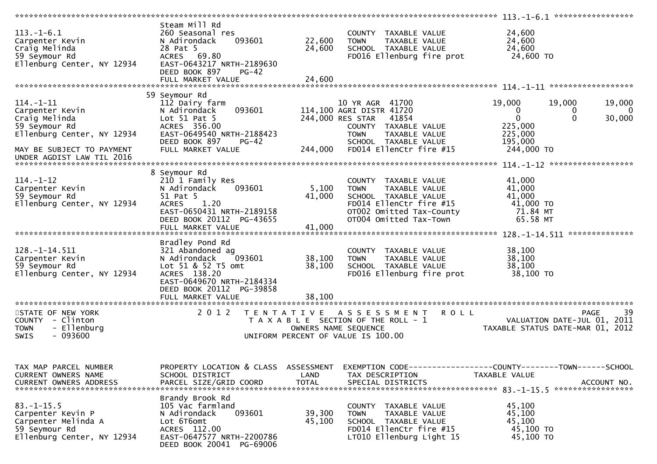|                                                                                                                                 |                                                                                                                                                                                  |                           |                                                                                                                                                                                     | $113. - 1 - 6.1$ ******************                                                                         |                                    |
|---------------------------------------------------------------------------------------------------------------------------------|----------------------------------------------------------------------------------------------------------------------------------------------------------------------------------|---------------------------|-------------------------------------------------------------------------------------------------------------------------------------------------------------------------------------|-------------------------------------------------------------------------------------------------------------|------------------------------------|
| $113.-1-6.1$<br>Carpenter Kevin<br>Craig Melinda<br>59 Seymour Rd<br>Ellenburg Center, NY 12934                                 | Steam Mill Rd<br>260 Seasonal res<br>N Adirondack<br>093601<br>28 Pat 5<br>ACRES 69.80<br>EAST-0643217 NRTH-2189630<br>DEED BOOK 897<br>$PG-42$                                  | 22,600<br>24,600          | COUNTY TAXABLE VALUE<br><b>TOWN</b><br>TAXABLE VALUE<br>SCHOOL TAXABLE VALUE<br>FD016 Ellenburg fire prot                                                                           | 24,600<br>24,600<br>24,600<br>24,600 TO                                                                     |                                    |
|                                                                                                                                 |                                                                                                                                                                                  |                           |                                                                                                                                                                                     |                                                                                                             |                                    |
| $114. - 1 - 11$<br>Carpenter Kevin<br>Craig Melinda<br>59 Seymour Rd<br>Ellenburg Center, NY 12934<br>MAY BE SUBJECT TO PAYMENT | 59 Seymour Rd<br>112 Dairy farm<br>093601<br>N Adirondack<br>Lot $51$ Pat $5$<br>ACRES 356.00<br>EAST-0649540 NRTH-2188423<br>DEED BOOK 897<br><b>PG-42</b><br>FULL MARKET VALUE | 244,000                   | 10 YR AGR 41700<br>114,100 AGRI DISTR 41720<br>244,000 RES STAR<br>41854<br>COUNTY TAXABLE VALUE<br>TAXABLE VALUE<br><b>TOWN</b><br>SCHOOL TAXABLE VALUE<br>FD014 EllenCtr fire #15 | 19,000<br>19,000<br>$\bf{0}$<br>0<br>$\mathbf 0$<br>$\Omega$<br>225,000<br>225,000<br>195,000<br>244,000 TO | 19,000<br>$\overline{0}$<br>30,000 |
| UNDER AGDIST LAW TIL 2016                                                                                                       |                                                                                                                                                                                  |                           |                                                                                                                                                                                     |                                                                                                             |                                    |
| $114. - 1 - 12$<br>Carpenter Kevin<br>59 Seymour Rd<br>Ellenburg Center, NY 12934                                               | 8 Seymour Rd<br>210 1 Family Res<br>093601<br>N Adirondack<br>51 Pat 5<br>1.20<br><b>ACRES</b><br>EAST-0650431 NRTH-2189158<br>DEED BOOK 20112 PG-43655<br>FULL MARKET VALUE     | 5,100<br>41,000<br>41,000 | COUNTY TAXABLE VALUE<br>TAXABLE VALUE<br><b>TOWN</b><br>SCHOOL TAXABLE VALUE<br>FD014 EllenCtr fire #15<br>OT002 Omitted Tax-County<br>OT004 Omitted Tax-Town                       | 41,000<br>41,000<br>41,000<br>41,000 TO<br>71.84 MT<br>65.58 MT                                             |                                    |
|                                                                                                                                 |                                                                                                                                                                                  |                           |                                                                                                                                                                                     |                                                                                                             |                                    |
| $128. - 1 - 14.511$<br>Carpenter Kevin<br>59 Seymour Rd<br>Ellenburg Center, NY 12934                                           | Bradley Pond Rd<br>321 Abandoned ag<br>093601<br>N Adirondack<br>Lot 51 & 52 T5 omt<br>ACRES 138.20<br>EAST-0649670 NRTH-2184334<br>DEED BOOK 20112 PG-39858                     | 38,100<br>38,100          | COUNTY TAXABLE VALUE<br><b>TOWN</b><br>TAXABLE VALUE<br>SCHOOL TAXABLE VALUE<br>FD016 Ellenburg fire prot                                                                           | 38,100<br>38,100<br>38,100<br>38,100 TO                                                                     |                                    |
|                                                                                                                                 | FULL MARKET VALUE                                                                                                                                                                | 38,100                    |                                                                                                                                                                                     |                                                                                                             |                                    |
| STATE OF NEW YORK<br>COUNTY - Clinton<br>- Ellenburg<br><b>TOWN</b><br>$-093600$<br>SWIS                                        | 2 0 1 2<br>T E N T A T I V E                                                                                                                                                     |                           | A S S E S S M E N T<br><b>ROLL</b><br>T A X A B L E SECTION OF THE ROLL - 1<br>OWNERS NAME SEQUENCE<br>UNIFORM PERCENT OF VALUE IS 100.00                                           | PAGE<br>VALUATION DATE-JUL 01, 2011<br>TAXABLE STATUS DATE-MAR 01, 2012                                     | 39                                 |
| TAX MAP PARCEL NUMBER<br>CURRENT OWNERS NAME<br><b>CURRENT OWNERS ADDRESS</b>                                                   | PROPERTY LOCATION & CLASS ASSESSMENT<br>SCHOOL DISTRICT<br>PARCEL SIZE/GRID COORD                                                                                                | LAND<br><b>TOTAL</b>      | TAX DESCRIPTION<br>SPECIAL DISTRICTS                                                                                                                                                | EXEMPTION CODE------------------COUNTY--------TOWN------SCHOOL<br>TAXABLE VALUE                             | ACCOUNT NO.                        |
| $83. - 1 - 15.5$<br>Carpenter Kevin P<br>Carpenter Melinda A<br>59 Seymour Rd<br>Ellenburg Center, NY 12934                     | Brandy Brook Rd<br>105 Vac farmland<br>093601<br>N Adirondack<br>Lot 6T6omt<br>ACRES 112.00<br>EAST-0647577 NRTH-2200786<br>DEED BOOK 20041 PG-69006                             | 39,300<br>45,100          | COUNTY TAXABLE VALUE<br>TAXABLE VALUE<br><b>TOWN</b><br>SCHOOL TAXABLE VALUE<br>FD014 EllenCtr fire #15<br>LT010 Ellenburg Light 15                                                 | 45,100<br>45,100<br>45,100<br>45,100 TO<br>45,100 TO                                                        |                                    |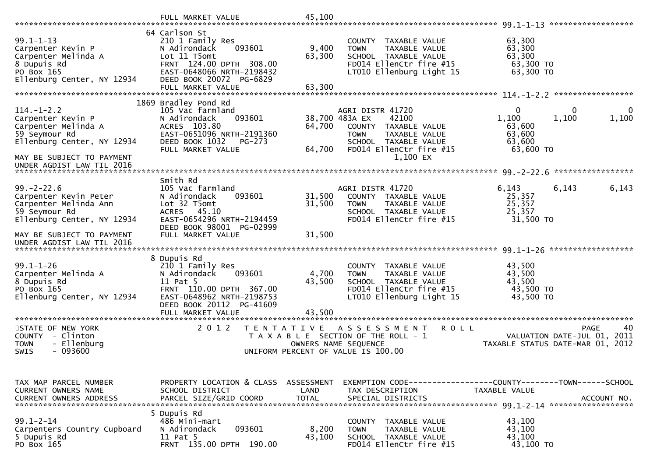|                                                                                                                          | FULL MARKET VALUE                                                                                                                                                                   | 45,100                    |                                                                                                                                                        |                                                                  | ******************                                                                      |
|--------------------------------------------------------------------------------------------------------------------------|-------------------------------------------------------------------------------------------------------------------------------------------------------------------------------------|---------------------------|--------------------------------------------------------------------------------------------------------------------------------------------------------|------------------------------------------------------------------|-----------------------------------------------------------------------------------------|
| $99.1 - 1 - 13$<br>Carpenter Kevin P<br>Carpenter Melinda A<br>8 Dupuis Rd<br>PO Box 165<br>Ellenburg Center, NY 12934   | 64 Carlson St<br>210 1 Family Res<br>093601<br>N Adirondack<br>Lot 11 T5omt<br>FRNT 124.00 DPTH 308.00<br>EAST-0648066 NRTH-2198432<br>DEED BOOK 20072 PG-6829<br>FULL MARKET VALUE | 9,400<br>63,300<br>63,300 | COUNTY TAXABLE VALUE<br>TAXABLE VALUE<br><b>TOWN</b><br>SCHOOL TAXABLE VALUE<br>FD014 EllenCtr fire #15<br>LT010 Ellenburg Light 15                    | 63,300<br>63,300<br>63,300<br>63,300 TO<br>63,300 TO             | *****************                                                                       |
|                                                                                                                          | 1869 Bradley Pond Rd                                                                                                                                                                |                           |                                                                                                                                                        |                                                                  |                                                                                         |
| $114. - 1 - 2.2$<br>Carpenter Kevin P<br>Carpenter Melinda A<br>59 Seymour Rd<br>Ellenburg Center, NY 12934              | 105 Vac farmland<br>N Adirondack<br>093601<br>ACRES 103.80<br>EAST-0651096 NRTH-2191360<br>DEED BOOK 1032<br>PG-273<br>FULL MARKET VALUE                                            | 64,700<br>64,700          | AGRI DISTR 41720<br>42100<br>38,700 483A EX<br>COUNTY TAXABLE VALUE<br><b>TOWN</b><br>TAXABLE VALUE<br>SCHOOL TAXABLE VALUE<br>FD014 EllenCtr fire #15 | $\mathbf{0}$<br>1,100<br>63,600<br>63,600<br>63,600<br>63,600 TO | $\mathbf{0}$<br>$\mathbf 0$<br>1,100<br>1,100                                           |
| MAY BE SUBJECT TO PAYMENT<br>UNDER AGDIST LAW TIL 2016                                                                   |                                                                                                                                                                                     |                           | 1,100 EX                                                                                                                                               |                                                                  | *****************                                                                       |
| $99. - 2 - 22.6$<br>Carpenter Kevin Peter<br>Carpenter Melinda Ann<br>59 Seymour Rd<br>Ellenburg Center, NY 12934        | Smith Rd<br>105 Vac farmland<br>N Adirondack<br>093601<br>Lot 32 T5omt<br>45.10<br><b>ACRES</b><br>EAST-0654296 NRTH-2194459<br>DEED BOOK 98001 PG-02999                            | 31,500<br>31,500          | AGRI DISTR 41720<br>COUNTY TAXABLE VALUE<br>TAXABLE VALUE<br><b>TOWN</b><br>SCHOOL TAXABLE VALUE<br>FD014 EllenCtr fire #15                            | 6,143<br>25,357<br>25,357<br>25,357<br>31,500 TO                 | 6,143<br>6,143                                                                          |
| MAY BE SUBJECT TO PAYMENT<br>UNDER AGDIST LAW TIL 2016                                                                   | FULL MARKET VALUE                                                                                                                                                                   | 31,500                    |                                                                                                                                                        |                                                                  |                                                                                         |
| $99.1 - 1 - 26$<br>Carpenter Melinda A<br>8 Dupuis Rd<br>PO Box 165<br>Ellenburg Center, NY 12934                        | 8 Dupuis Rd<br>210 1 Family Res<br>093601<br>N Adirondack<br>11 Pat 5<br>FRNT 110.00 DPTH 367.00<br>EAST-0648962 NRTH-2198753<br>DEED BOOK 20112<br>PG-41609<br>FULL MARKET VALUE   | 4,700<br>43,500<br>43.500 | COUNTY TAXABLE VALUE<br><b>TOWN</b><br>TAXABLE VALUE<br>SCHOOL TAXABLE VALUE<br>FD014 EllenCtr fire #15<br>LT010 Ellenburg Light 15                    | 43,500<br>43,500<br>43,500<br>43,500 TO<br>43,500 TO             |                                                                                         |
| **********************<br>STATE OF NEW YORK<br>COUNTY - Clinton<br>- Ellenburg<br><b>TOWN</b><br><b>SWIS</b><br>- 093600 | ******************************<br>2 0 1 2<br>T E N T A T I V E                                                                                                                      |                           | ASSESSMENT<br><b>ROLL</b><br>T A X A B L E SECTION OF THE ROLL - 1<br>OWNERS NAME SEOUENCE<br>UNIFORM PERCENT OF VALUE IS 100.00                       |                                                                  | <b>PAGE</b><br>40<br>VALUATION DATE-JUL 01,<br>2011<br>TAXABLE STATUS DATE-MAR 01, 2012 |
| TAX MAP PARCEL NUMBER<br>CURRENT OWNERS NAME<br><b>CURRENT OWNERS ADDRESS</b>                                            | PROPERTY LOCATION & CLASS ASSESSMENT<br>SCHOOL DISTRICT<br>PARCEL SIZE/GRID COORD                                                                                                   | LAND<br><b>TOTAL</b>      | EXEMPTION CODE-----------------COUNTY-------TOWN------SCHOOL<br>TAX DESCRIPTION<br>SPECIAL DISTRICTS                                                   | TAXABLE VALUE                                                    | ACCOUNT NO.                                                                             |
| $99.1 - 2 - 14$<br>Carpenters Country Cupboard<br>5 Dupuis Rd<br>PO Box 165                                              | 5 Dupuis Rd<br>486 Mini-mart<br>093601<br>N Adirondack<br>11 Pat 5<br>FRNT 135.00 DPTH 190.00                                                                                       | 8,200<br>43,100           | COUNTY<br>TAXABLE VALUE<br>TAXABLE VALUE<br><b>TOWN</b><br>SCHOOL TAXABLE VALUE<br>FD014 EllenCtr fire #15                                             | 43,100<br>43,100<br>43,100<br>43,100 TO                          |                                                                                         |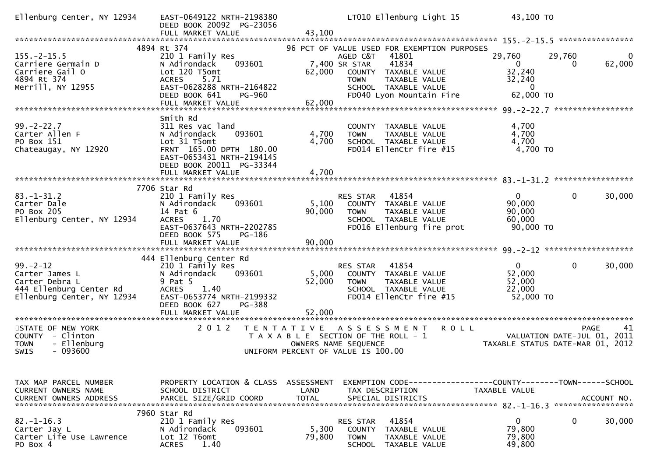| Ellenburg Center, NY 12934                                                                                  | EAST-0649122 NRTH-2198380<br>DEED BOOK 20092 PG-23056<br>FULL MARKET VALUE                                                                                                            | 43,100                                    | LT010 Ellenburg Light 15                                                                                                                                                                               | 43,100 TO                                                 |                                                                                      |
|-------------------------------------------------------------------------------------------------------------|---------------------------------------------------------------------------------------------------------------------------------------------------------------------------------------|-------------------------------------------|--------------------------------------------------------------------------------------------------------------------------------------------------------------------------------------------------------|-----------------------------------------------------------|--------------------------------------------------------------------------------------|
|                                                                                                             |                                                                                                                                                                                       |                                           |                                                                                                                                                                                                        |                                                           |                                                                                      |
| $155. - 2 - 15.5$<br>Carriere Germain D<br>Carriere Gail O<br>4894 Rt 374<br>Merrill, NY 12955              | 4894 Rt 374<br>210 1 Family Res<br>N Adirondack<br>093601<br>Lot 120 T5omt<br>5.71<br><b>ACRES</b><br>EAST-0628288 NRTH-2164822<br>DEED BOOK 641<br><b>PG-960</b>                     | 62,000                                    | 96 PCT OF VALUE USED FOR EXEMPTION PURPOSES<br>41801<br>AGED C&T<br>41834<br>7,400 SR STAR<br>COUNTY TAXABLE VALUE<br><b>TOWN</b><br>TAXABLE VALUE<br>SCHOOL TAXABLE VALUE<br>FD040 Lyon Mountain Fire | 29,760<br>0<br>32,240<br>32,240<br>0<br>62,000 TO         | 29,760<br>62,000                                                                     |
|                                                                                                             |                                                                                                                                                                                       |                                           |                                                                                                                                                                                                        |                                                           |                                                                                      |
|                                                                                                             | FULL MARKET VALUE                                                                                                                                                                     | 62,000                                    |                                                                                                                                                                                                        |                                                           |                                                                                      |
|                                                                                                             |                                                                                                                                                                                       |                                           |                                                                                                                                                                                                        |                                                           |                                                                                      |
| $99. - 2 - 22.7$<br>Carter Allen F<br>PO Box 151<br>Chateaugay, NY 12920                                    | Smith Rd<br>311 Res vac land<br>N Adirondack<br>093601<br>Lot 31 T5omt<br>FRNT 165.00 DPTH 180.00<br>EAST-0653431 NRTH-2194145<br>DEED BOOK 20011 PG-33344                            | 4,700<br>4,700                            | COUNTY TAXABLE VALUE<br>TAXABLE VALUE<br><b>TOWN</b><br>SCHOOL TAXABLE VALUE<br>FD014 EllenCtr fire #15                                                                                                | 4,700<br>4,700<br>4,700<br>4,700 TO                       |                                                                                      |
|                                                                                                             | FULL MARKET VALUE                                                                                                                                                                     | 4,700                                     |                                                                                                                                                                                                        |                                                           |                                                                                      |
|                                                                                                             |                                                                                                                                                                                       |                                           |                                                                                                                                                                                                        |                                                           |                                                                                      |
| $83. - 1 - 31.2$<br>Carter Dale<br>PO Box 205<br>Ellenburg Center, NY 12934                                 | 7706 Star Rd<br>210 1 Family Res<br>N Adirondack<br>093601<br>14 Pat 6<br><b>ACRES</b><br>1.70<br>EAST-0637643 NRTH-2202785<br>DEED BOOK 575<br>PG-186                                | 5,100<br>90,000                           | RES STAR<br>41854<br>COUNTY TAXABLE VALUE<br><b>TOWN</b><br>TAXABLE VALUE<br>SCHOOL TAXABLE VALUE<br>FD016 Ellenburg fire prot                                                                         | $\mathbf{0}$<br>90,000<br>90,000<br>60,000<br>90,000 TO   | 0<br>30,000                                                                          |
|                                                                                                             | FULL MARKET VALUE                                                                                                                                                                     | 90,000                                    |                                                                                                                                                                                                        |                                                           |                                                                                      |
|                                                                                                             |                                                                                                                                                                                       |                                           |                                                                                                                                                                                                        |                                                           |                                                                                      |
| $99. - 2 - 12$<br>Carter James L<br>Carter Debra L<br>444 Ellenburg Center Rd<br>Ellenburg Center, NY 12934 | 444 Ellenburg Center Rd<br>210 1 Family Res<br>093601<br>N Adirondack<br>9 Pat 5<br><b>ACRES</b><br>1.40<br>EAST-0653774 NRTH-2199332<br>DEED BOOK 627<br>PG-388<br>FULL MARKET VALUE | 5,000<br>52,000<br>52,000                 | 41854<br>RES STAR<br>COUNTY TAXABLE VALUE<br><b>TOWN</b><br>TAXABLE VALUE<br>SCHOOL TAXABLE VALUE<br>FD014 EllenCtr fire #15                                                                           | $\overline{0}$<br>52,000<br>52,000<br>22,000<br>52,000 TO | 30,000<br>0                                                                          |
|                                                                                                             | *****************                                                                                                                                                                     |                                           |                                                                                                                                                                                                        |                                                           |                                                                                      |
| STATE OF NEW YORK<br>COUNTY - Clinton<br>- Ellenburg<br><b>TOWN</b><br>- 093600<br><b>SWIS</b>              | 2 0 1 2                                                                                                                                                                               | T E N T A T I V E<br>OWNERS NAME SEQUENCE | ASSESSMENT<br>T A X A B L E SECTION OF THE ROLL - 1<br>UNIFORM PERCENT OF VALUE IS 100.00                                                                                                              | <b>ROLL</b>                                               | 41<br><b>PAGE</b><br>VALUATION DATE-JUL 01, 2011<br>TAXABLE STATUS DATE-MAR 01, 2012 |
|                                                                                                             |                                                                                                                                                                                       |                                           |                                                                                                                                                                                                        |                                                           |                                                                                      |
| TAX MAP PARCEL NUMBER<br>CURRENT OWNERS NAME                                                                | PROPERTY LOCATION & CLASS<br>SCHOOL DISTRICT                                                                                                                                          | ASSESSMENT<br>LAND                        | EXEMPTION        CODE-----------------COUNTY-------TOWN------SCHOOL<br>TAX DESCRIPTION                                                                                                                 | TAXABLE VALUE                                             | ACCOUNT NO.<br>*****************                                                     |
|                                                                                                             | 7960 Star Rd                                                                                                                                                                          |                                           |                                                                                                                                                                                                        |                                                           |                                                                                      |
| $82. - 1 - 16.3$<br>Carter Jay L<br>Carter Life Use Lawrence<br>PO Box 4                                    | 210 1 Family Res<br>093601<br>N Adirondack<br>Lot 12 T6omt<br><b>ACRES</b><br>1.40                                                                                                    | 5,300<br>79,800                           | 41854<br>RES STAR<br>COUNTY<br>TAXABLE VALUE<br><b>TOWN</b><br>TAXABLE VALUE<br>SCHOOL<br>TAXABLE VALUE                                                                                                | $\mathbf 0$<br>79,800<br>79,800<br>49,800                 | 0<br>30,000                                                                          |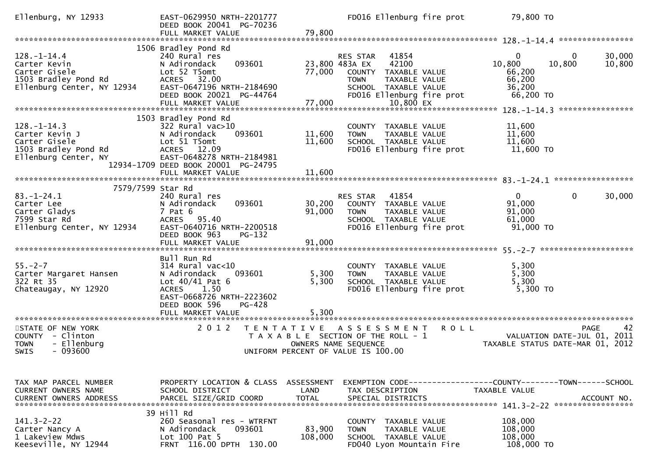| Ellenburg, NY 12933                                                                                  | EAST-0629950 NRTH-2201777<br>DEED BOOK 20041 PG-70236<br>FULL MARKET VALUE                                                                                                            | 79,800                  | FD016 Ellenburg fire prot                                                                                                                                              |             | 79,800 TO                                                     |                                                                                      |
|------------------------------------------------------------------------------------------------------|---------------------------------------------------------------------------------------------------------------------------------------------------------------------------------------|-------------------------|------------------------------------------------------------------------------------------------------------------------------------------------------------------------|-------------|---------------------------------------------------------------|--------------------------------------------------------------------------------------|
|                                                                                                      |                                                                                                                                                                                       |                         |                                                                                                                                                                        |             |                                                               |                                                                                      |
| 128. – 1–14.4<br>Carter Kevin<br>Carter Gisele<br>1503 Bradley Pond Rd<br>Ellenburg Center, NY 12934 | 1506 Bradley Pond Rd<br>240 Rural res<br>093601<br>N Adirondack<br>Lot 52 T5omt<br>ACRES 32.00<br>EAST-0647196 NRTH-2184690<br>DEED BOOK 20021 PG-44764<br>FULL MARKET VALUE          | 77,000<br>77,000        | 41854<br>RES STAR<br>23,800 483A EX<br>42100<br>COUNTY TAXABLE VALUE<br><b>TOWN</b><br>TAXABLE VALUE<br>SCHOOL TAXABLE VALUE<br>FD016 Ellenburg fire prot<br>10,800 EX |             | $\Omega$<br>10,800<br>66,200<br>66,200<br>36,200<br>66,200 TO | 30,000<br>0<br>10,800<br>10,800                                                      |
|                                                                                                      | 1503 Bradley Pond Rd                                                                                                                                                                  |                         |                                                                                                                                                                        |             |                                                               |                                                                                      |
| $128. - 1 - 14.3$<br>Carter Kevin J<br>Carter Gisele<br>1503 Bradley Pond Rd<br>Ellenburg Center, NY | 322 Rural vac>10<br>093601<br>N Adirondack<br>Lot 51 T5omt<br>ACRES 12.09<br>EAST-0648278 NRTH-2184981<br>12934-1709 DEED BOOK 20001 PG-24795                                         | 11,600<br>11,600        | COUNTY TAXABLE VALUE<br>TAXABLE VALUE<br><b>TOWN</b><br>SCHOOL TAXABLE VALUE<br>FD016 Ellenburg fire prot                                                              |             | 11,600<br>11,600<br>11,600<br>11,600 TO                       |                                                                                      |
|                                                                                                      | FULL MARKET VALUE                                                                                                                                                                     | 11,600                  |                                                                                                                                                                        |             |                                                               |                                                                                      |
| 7579/7599 Star Rd                                                                                    |                                                                                                                                                                                       |                         |                                                                                                                                                                        |             |                                                               |                                                                                      |
| $83. - 1 - 24.1$<br>Carter Lee<br>Carter Gladys<br>7599 Star Rd<br>Ellenburg Center, NY 12934        | 240 Rural res<br>093601<br>N Adirondack<br>7 Pat 6<br>ACRES 95.40<br>EAST-0640716 NRTH-2200518<br>DEED BOOK 963<br>PG-132                                                             | 30,200<br>91,000        | 41854<br>RES STAR<br>COUNTY TAXABLE VALUE<br><b>TOWN</b><br>TAXABLE VALUE<br>SCHOOL TAXABLE VALUE<br>FD016 Ellenburg fire prot                                         |             | $\mathbf{0}$<br>91,000<br>91,000<br>61,000<br>91,000 TO       | 30,000<br>0                                                                          |
|                                                                                                      | FULL MARKET VALUE                                                                                                                                                                     | 91,000                  |                                                                                                                                                                        |             |                                                               |                                                                                      |
|                                                                                                      |                                                                                                                                                                                       |                         |                                                                                                                                                                        |             |                                                               |                                                                                      |
| $55. - 2 - 7$<br>Carter Margaret Hansen<br>322 Rt 35<br>Chateaugay, NY 12920                         | Bull Run Rd<br>$314$ Rural vac<10<br>093601<br>N Adirondack<br>Lot $40/41$ Pat 6<br>1.50<br><b>ACRES</b><br>EAST-0668726 NRTH-2223602<br>DEED BOOK 596<br>PG-428<br>FULL MARKET VALUE | 5,300<br>5,300<br>5.300 | COUNTY TAXABLE VALUE<br><b>TOWN</b><br>TAXABLE VALUE<br>SCHOOL TAXABLE VALUE<br>FD016 Ellenburg fire prot                                                              |             | 5,300<br>5,300<br>5,300<br>5,300 TO                           |                                                                                      |
| **********************                                                                               | *********************                                                                                                                                                                 |                         |                                                                                                                                                                        |             |                                                               |                                                                                      |
| STATE OF NEW YORK<br>COUNTY - Clinton<br>- Ellenburg<br><b>TOWN</b><br>- 093600<br><b>SWIS</b>       | 2 0 1 2<br>T E N T A T I V E                                                                                                                                                          |                         | A S S E S S M E N T<br>T A X A B L E SECTION OF THE ROLL - 1<br>OWNERS NAME SEQUENCE<br>UNIFORM PERCENT OF VALUE IS 100.00                                             | <b>ROLL</b> |                                                               | 42<br><b>PAGE</b><br>VALUATION DATE-JUL 01, 2011<br>TAXABLE STATUS DATE-MAR 01, 2012 |
|                                                                                                      |                                                                                                                                                                                       |                         |                                                                                                                                                                        |             |                                                               |                                                                                      |
| TAX MAP PARCEL NUMBER<br>CURRENT OWNERS NAME                                                         | PROPERTY LOCATION & CLASS ASSESSMENT<br>SCHOOL DISTRICT                                                                                                                               | LAND                    | TAX DESCRIPTION                                                                                                                                                        |             | <b>TAXABLE VALUE</b>                                          |                                                                                      |
| $141.3 - 2 - 22$<br>Carter Nancy A<br>1 Lakeview Mdws<br>Keeseville, NY 12944                        | 39 Hill Rd<br>260 Seasonal res - WTRFNT<br>093601<br>N Adirondack<br>Lot 100 Pat 5<br>FRNT 116.00 DPTH 130.00                                                                         | 83,900<br>108,000       | COUNTY TAXABLE VALUE<br><b>TOWN</b><br>TAXABLE VALUE<br>SCHOOL TAXABLE VALUE<br>FD040 Lyon Mountain Fire                                                               |             | 108,000<br>108,000<br>108,000<br>108,000 TO                   |                                                                                      |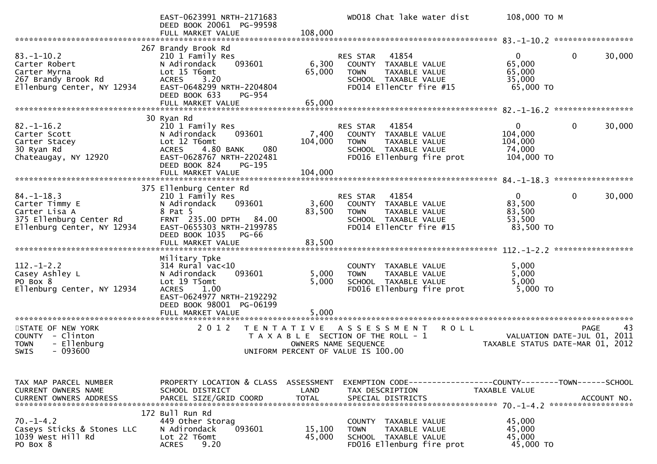|                                                                                                              | EAST-0623991 NRTH-2171683<br>DEED BOOK 20061 PG-99598<br>FULL MARKET VALUE                                                                                                                                        | 108,000                            | WD018 Chat lake water dist                                                                                                                    | 108,000 ТО М                                                                |
|--------------------------------------------------------------------------------------------------------------|-------------------------------------------------------------------------------------------------------------------------------------------------------------------------------------------------------------------|------------------------------------|-----------------------------------------------------------------------------------------------------------------------------------------------|-----------------------------------------------------------------------------|
|                                                                                                              |                                                                                                                                                                                                                   |                                    |                                                                                                                                               |                                                                             |
| $83 - 1 - 10.2$<br>Carter Robert<br>Carter Myrna<br>267 Brandy Brook Rd<br>Ellenburg Center, NY 12934        | 267 Brandy Brook Rd<br>210 1 Family Res<br>N Adirondack<br>093601<br>Lot 15 T6omt<br><b>ACRES</b><br>3.20<br>EAST-0648299 NRTH-2204804<br>DEED BOOK 633<br>PG-954<br>FULL MARKET VALUE                            | 6,300<br>65,000<br>65,000          | 41854<br><b>RES STAR</b><br>TAXABLE VALUE<br>COUNTY<br><b>TOWN</b><br><b>TAXABLE VALUE</b><br>SCHOOL TAXABLE VALUE<br>FD014 EllenCtr fire #15 | $\Omega$<br>0<br>30,000<br>65,000<br>65,000<br>35,000<br>65,000 TO          |
|                                                                                                              |                                                                                                                                                                                                                   |                                    |                                                                                                                                               |                                                                             |
| $82. - 1 - 16.2$<br>Carter Scott<br>Carter Stacey<br>30 Ryan Rd<br>Chateaugay, NY 12920                      | 30 Ryan Rd<br>210 1 Family Res<br>093601<br>N Adirondack<br>Lot 12 T6omt<br>080<br>4.80 BANK<br><b>ACRES</b><br>EAST-0628767 NRTH-2202481<br>DEED BOOK 824<br>PG-195<br>FULL MARKET VALUE                         | 7,400<br>104,000<br>104,000        | RES STAR<br>41854<br>COUNTY TAXABLE VALUE<br><b>TOWN</b><br>TAXABLE VALUE<br>SCHOOL TAXABLE VALUE<br>FD016 Ellenburg fire prot                | 30,000<br>$\overline{0}$<br>0<br>104,000<br>104,000<br>74,000<br>104,000 TO |
|                                                                                                              |                                                                                                                                                                                                                   |                                    |                                                                                                                                               |                                                                             |
| $84. - 1 - 18.3$<br>Carter Timmy E<br>Carter Lisa A<br>375 Ellenburg Center Rd<br>Ellenburg Center, NY 12934 | 375 Ellenburg Center Rd<br>210 1 Family Res<br>N Adirondack<br>093601<br>8 Pat 5<br>FRNT 235.00 DPTH 84.00<br>EAST-0655303 NRTH-2199785<br>DEED BOOK 1035<br>PG-66<br>FULL MARKET VALUE                           | 3,600<br>83,500<br>83,500          | 41854<br>RES STAR<br>COUNTY TAXABLE VALUE<br><b>TOWN</b><br>TAXABLE VALUE<br>SCHOOL TAXABLE VALUE<br>FD014 EllenCtr fire #15                  | $\Omega$<br>0<br>30,000<br>83,500<br>83,500<br>53,500<br>83,500 TO          |
|                                                                                                              |                                                                                                                                                                                                                   |                                    |                                                                                                                                               |                                                                             |
| $112. - 1 - 2.2$<br>Casey Ashley L<br>PO Box 8<br>Ellenburg Center, NY 12934<br>***********************      | Military Tpke<br>314 Rural vac<10<br>093601<br>N Adirondack<br>Lot 19 T5omt<br><b>ACRES</b><br>1.00<br>EAST-0624977 NRTH-2192292<br>DEED BOOK 98001 PG-06199<br>FULL MARKET VALUE<br>**************************** | 5,000<br>5,000<br>5,000            | COUNTY TAXABLE VALUE<br>TAXABLE VALUE<br><b>TOWN</b><br>SCHOOL TAXABLE VALUE<br>FD016 Ellenburg fire prot                                     | 5,000<br>5,000<br>5,000<br>5,000 TO                                         |
| STATE OF NEW YORK                                                                                            | 2 0 1 2<br>T E N T A T I V E                                                                                                                                                                                      |                                    | <b>ROLL</b><br>A S S E S S M E N T                                                                                                            | PAGE<br>43                                                                  |
| COUNTY - Clinton<br>- Ellenburg<br><b>TOWN</b><br>$-093600$<br><b>SWIS</b>                                   |                                                                                                                                                                                                                   |                                    | T A X A B L E SECTION OF THE ROLL - 1<br>OWNERS NAME SEQUENCE<br>UNIFORM PERCENT OF VALUE IS 100.00                                           | VALUATION DATE-JUL 01, 2011<br>TAXABLE STATUS DATE-MAR 01, 2012             |
| TAX MAP PARCEL NUMBER<br>CURRENT OWNERS NAME<br><b>CURRENT OWNERS ADDRESS</b>                                | PROPERTY LOCATION & CLASS<br>SCHOOL DISTRICT<br>PARCEL SIZE/GRID COORD                                                                                                                                            | ASSESSMENT<br>LAND<br><b>TOTAL</b> | EXEMPTION CODE-----------------COUNTY-------TOWN------SCHOOL<br>TAX DESCRIPTION<br>SPECIAL DISTRICTS                                          | TAXABLE VALUE<br>ACCOUNT NO.                                                |
| $70. - 1 - 4.2$<br>Caseys Sticks & Stones LLC<br>1039 West Hill Rd<br>PO Box 8                               | 172 Bull Run Rd<br>449 Other Storag<br>093601<br>N Adirondack<br>Lot 22 T6omt<br>9.20<br><b>ACRES</b>                                                                                                             | 15,100<br>45,000                   | COUNTY TAXABLE VALUE<br><b>TOWN</b><br>TAXABLE VALUE<br>SCHOOL TAXABLE VALUE<br>FD016 Ellenburg fire prot                                     | 45,000<br>45,000<br>45,000<br>45,000 TO                                     |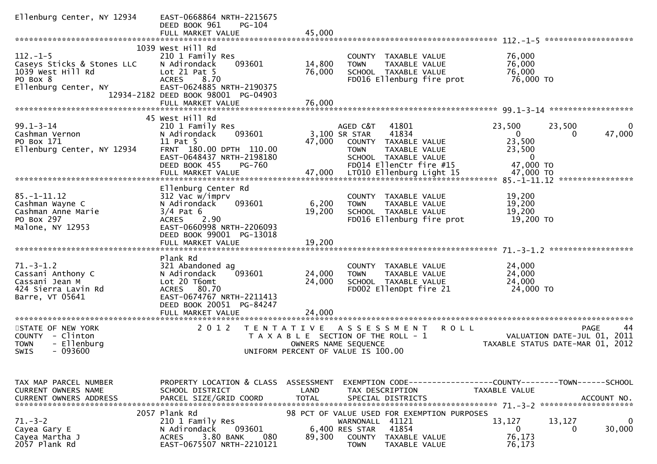| Ellenburg Center, NY 12934                                                                            | EAST-0668864 NRTH-2215675<br>PG-104<br>DEED BOOK 961                                                                                                                                  |                           |                                                                                                                                                                |                                                                                                   |
|-------------------------------------------------------------------------------------------------------|---------------------------------------------------------------------------------------------------------------------------------------------------------------------------------------|---------------------------|----------------------------------------------------------------------------------------------------------------------------------------------------------------|---------------------------------------------------------------------------------------------------|
|                                                                                                       | FULL MARKET VALUE                                                                                                                                                                     | 45,000                    |                                                                                                                                                                |                                                                                                   |
| $112. - 1 - 5$<br>Caseys Sticks & Stones LLC<br>1039 West Hill Rd<br>PO Box 8<br>Ellenburg Center, NY | 1039 West Hill Rd<br>210 1 Family Res<br>093601<br>N Adirondack<br>Lot 21 Pat 5<br><b>ACRES</b><br>8.70<br>EAST-0624885 NRTH-2190375                                                  | 14,800<br>76,000          | COUNTY TAXABLE VALUE<br>TAXABLE VALUE<br><b>TOWN</b><br>SCHOOL TAXABLE VALUE<br>FD016 Ellenburg fire prot                                                      | 76,000<br>76,000<br>76,000<br>76,000 TO                                                           |
|                                                                                                       | 12934-2182 DEED BOOK 98001 PG-04903<br>FULL MARKET VALUE                                                                                                                              | 76,000                    |                                                                                                                                                                |                                                                                                   |
|                                                                                                       | 45 West Hill Rd                                                                                                                                                                       |                           |                                                                                                                                                                |                                                                                                   |
| $99.1 - 3 - 14$<br>Cashman Vernon<br>PO Box 171<br>Ellenburg Center, NY 12934                         | 210 1 Family Res<br>N Adirondack<br>093601<br>11 Pat 5<br>FRNT 180.00 DPTH 110.00<br>EAST-0648437 NRTH-2198180<br>DEED BOOK 455<br>PG-760                                             | 47,000                    | AGED C&T<br>41801<br>41834<br>3,100 SR STAR<br>COUNTY TAXABLE VALUE<br>TAXABLE VALUE<br>TOWN<br>SCHOOL TAXABLE VALUE<br>FD014 EllenCtr fire #15                | 23,500<br>23,500<br>$\Omega$<br>47,000<br>0<br>0<br>23,500<br>23,500<br>$\mathbf{0}$<br>47,000 TO |
|                                                                                                       |                                                                                                                                                                                       |                           |                                                                                                                                                                |                                                                                                   |
| $85. - 1 - 11.12$<br>Cashman Wayne C<br>Cashman Anne Marie<br>PO Box 297<br>Malone, NY 12953          | Ellenburg Center Rd<br>312 Vac w/imprv<br>N Adirondack<br>093601<br>$3/4$ Pat 6<br>2.90<br><b>ACRES</b><br>EAST-0660998 NRTH-2206093<br>DEED BOOK 99001 PG-13018<br>FULL MARKET VALUE | 6,200<br>19,200<br>19,200 | <b>COUNTY</b><br>TAXABLE VALUE<br>TAXABLE VALUE<br><b>TOWN</b><br>SCHOOL TAXABLE VALUE<br>FD016 Ellenburg fire prot                                            | 19,200<br>19,200<br>19,200<br>19,200 TO                                                           |
|                                                                                                       | Plank Rd                                                                                                                                                                              |                           |                                                                                                                                                                |                                                                                                   |
| $71. - 3 - 1.2$<br>Cassani Anthony C<br>Cassani Jean M<br>424 Sierra Lavin Rd<br>Barre, VT 05641      | 321 Abandoned ag<br>N Adirondack<br>093601<br>Lot 20 T6omt<br>80.70<br><b>ACRES</b><br>EAST-0674767 NRTH-2211413<br>DEED BOOK 20051 PG-84247                                          | 24,000<br>24,000          | COUNTY TAXABLE VALUE<br>TAXABLE VALUE<br><b>TOWN</b><br>SCHOOL TAXABLE VALUE<br>FD002 EllenDpt fire 21                                                         | 24,000<br>24,000<br>24,000<br>24,000 TO                                                           |
|                                                                                                       | FULL MARKET VALUE                                                                                                                                                                     | 24,000                    |                                                                                                                                                                |                                                                                                   |
| STATE OF NEW YORK<br>COUNTY - Clinton<br>- Ellenburg<br><b>TOWN</b><br><b>SWIS</b><br>- 093600        | 2 0 1 2<br><b>TENTATIVE</b>                                                                                                                                                           |                           | <b>ROLL</b><br>A S S E S S M E N T<br>T A X A B L E SECTION OF THE ROLL - 1<br>OWNERS NAME SEQUENCE<br>UNIFORM PERCENT OF VALUE IS 100.00                      | PAGE<br>44<br>VALUATION DATE-JUL 01, 2011<br>TAXABLE STATUS DATE-MAR 01, 2012                     |
| TAX MAP PARCEL NUMBER<br><b>CURRENT OWNERS NAME</b><br><b>CURRENT OWNERS ADDRESS</b>                  | PROPERTY LOCATION & CLASS ASSESSMENT<br>SCHOOL DISTRICT<br>PARCEL SIZE/GRID COORD                                                                                                     | LAND<br><b>TOTAL</b>      | TAX DESCRIPTION<br>SPECIAL DISTRICTS                                                                                                                           | EXEMPTION CODE-----------------COUNTY-------TOWN------SCHOOL<br>TAXABLE VALUE<br>ACCOUNT NO.      |
| $71. - 3 - 2$<br>Cayea Gary E<br>Cayea Martha J<br>2057 Plank Rd                                      | 2057 Plank Rd<br>210 1 Family Res<br>N Adirondack<br>093601<br>3.80 BANK<br>080<br><b>ACRES</b><br>EAST-0675507 NRTH-2210121                                                          | 89,300                    | 98 PCT OF VALUE USED FOR EXEMPTION PURPOSES<br>41121<br>WARNONALL<br>41854<br>6,400 RES STAR<br><b>COUNTY</b><br>TAXABLE VALUE<br><b>TOWN</b><br>TAXABLE VALUE | 13,127<br>13,127<br>30,000<br>$\mathbf{0}$<br>0<br>76,173<br>76,173                               |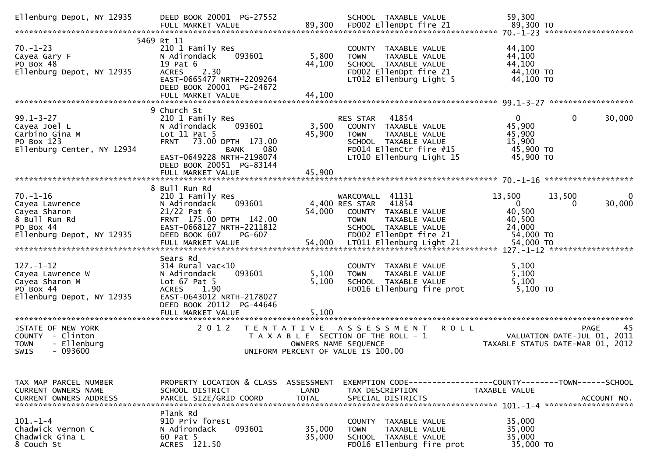| Ellenburg Depot, NY 12935                                                                                   | DEED BOOK 20001 PG-27552<br>FULL MARKET VALUE                                                                                                                                                             |                           | SCHOOL TAXABLE VALUE<br>89,300 FD002 EllenDpt fire 21                                                                                                    | 59,300<br>89,300 то                                                                                 |
|-------------------------------------------------------------------------------------------------------------|-----------------------------------------------------------------------------------------------------------------------------------------------------------------------------------------------------------|---------------------------|----------------------------------------------------------------------------------------------------------------------------------------------------------|-----------------------------------------------------------------------------------------------------|
| $70. - 1 - 23$<br>Cayea Gary F<br>PO Box 48<br>Ellenburg Depot, NY 12935                                    | 5469 Rt 11<br>210 1 Family Res<br>N Adirondack<br>093601<br>19 Pat 6<br>2.30<br><b>ACRES</b><br>EAST-0665477 NRTH-2209264<br>DEED BOOK 20001 PG-24672<br>FULL MARKET VALUE                                | 5,800<br>44,100<br>44,100 | COUNTY TAXABLE VALUE<br>TAXABLE VALUE<br><b>TOWN</b><br>SCHOOL TAXABLE VALUE<br>FD002 EllenDpt fire 21<br>LT012 Ellenburg Light 5                        | 44,100<br>44,100<br>44,100<br>44,100 TO<br>44,100 TO                                                |
| $99.1 - 3 - 27$<br>Cayea Joel L<br>Carbino Gina M<br>PO Box 123<br>Ellenburg Center, NY 12934               | 9 Church St<br>210 1 Family Res<br>N Adirondack<br>093601<br>Lot $11$ Pat 5<br>FRNT 73.00 DPTH 173.00<br>080<br><b>BANK</b><br>EAST-0649228 NRTH-2198074<br>DEED BOOK 20051 PG-83144<br>FULL MARKET VALUE | 3,500<br>45,900<br>45,900 | RES STAR<br>41854<br>COUNTY TAXABLE VALUE<br><b>TOWN</b><br>TAXABLE VALUE<br>SCHOOL TAXABLE VALUE<br>FD014 EllenCtr fire #15<br>LT010 Ellenburg Light 15 | $\mathbf{0}$<br>$\mathbf 0$<br>30,000<br>45,900<br>45,900<br>15,900<br>45,900 TO<br>45,900 TO       |
| $70. - 1 - 16$<br>Cayea Lawrence<br>Cayea Sharon<br>8 Bull Run Rd<br>PO Box 44<br>Ellenburg Depot, NY 12935 | 8 Bull Run Rd<br>210 1 Family Res<br>093601<br>N Adirondack<br>$21/22$ Pat 6<br>FRNT 175.00 DPTH 142.00<br>EAST-0668127 NRTH-2211812<br>DEED BOOK 607<br>PG-607                                           | 54,000                    | WARCOMALL 41131<br>41854<br>4,400 RES STAR<br>COUNTY TAXABLE VALUE<br>TAXABLE VALUE<br><b>TOWN</b><br>SCHOOL TAXABLE VALUE<br>FD002 EllenDpt fire 21     | 13,500<br>13,500<br>30,000<br>$\overline{0}$<br>$\Omega$<br>40,500<br>40,500<br>24,000<br>54,000 TO |
| $127. - 1 - 12$<br>Cayea Lawrence W<br>Cayea Sharon M<br>PO Box 44<br>Ellenburg Depot, NY 12935             | Sears Rd<br>$314$ Rural vac<10<br>093601<br>N Adirondack<br>Lot $67$ Pat $5$<br><b>ACRES</b><br>1.90<br>EAST-0643012 NRTH-2178027<br>DEED BOOK 20112 PG-44646<br>FULL MARKET VALUE                        | 5,100<br>5,100<br>5,100   | COUNTY TAXABLE VALUE<br><b>TOWN</b><br>TAXABLE VALUE<br>SCHOOL TAXABLE VALUE<br>FD016 Ellenburg fire prot                                                | 5,100<br>5,100<br>5,100<br>5,100 TO                                                                 |
| STATE OF NEW YORK<br>COUNTY - Clinton<br>- Ellenburg<br><b>TOWN</b><br><b>SWIS</b><br>- 093600              | 2 0 1 2<br>T E N T A T I V E                                                                                                                                                                              |                           | A S S E S S M E N T<br><b>ROLL</b><br>T A X A B L E SECTION OF THE ROLL - 1<br>OWNERS NAME SEQUENCE<br>UNIFORM PERCENT OF VALUE IS 100.00                | <b>PAGE</b><br>45<br>VALUATION DATE-JUL 01, 2011<br>TAXABLE STATUS DATE-MAR 01, 2012                |
| TAX MAP PARCEL NUMBER<br>CURRENT OWNERS NAME<br><b>CURRENT OWNERS ADDRESS</b>                               | PROPERTY LOCATION & CLASS ASSESSMENT<br>SCHOOL DISTRICT<br>PARCEL SIZE/GRID COORD                                                                                                                         | LAND<br><b>TOTAL</b>      | TAX DESCRIPTION<br>SPECIAL DISTRICTS                                                                                                                     | EXEMPTION        CODE-----------------COUNTY-------TOWN------SCHOOL<br>TAXABLE VALUE<br>ACCOUNT NO. |
| $101. - 1 - 4$<br>Chadwick Vernon C<br>Chadwick Gina L<br>8 Couch St                                        | Plank Rd<br>910 Priv forest<br>N Adirondack<br>093601<br>60 Pat 5<br>ACRES 121.50                                                                                                                         | 35,000<br>35,000          | COUNTY<br>TAXABLE VALUE<br><b>TOWN</b><br>TAXABLE VALUE<br>SCHOOL TAXABLE VALUE<br>FD016 Ellenburg fire prot                                             | 35,000<br>35,000<br>35,000<br>35,000 TO                                                             |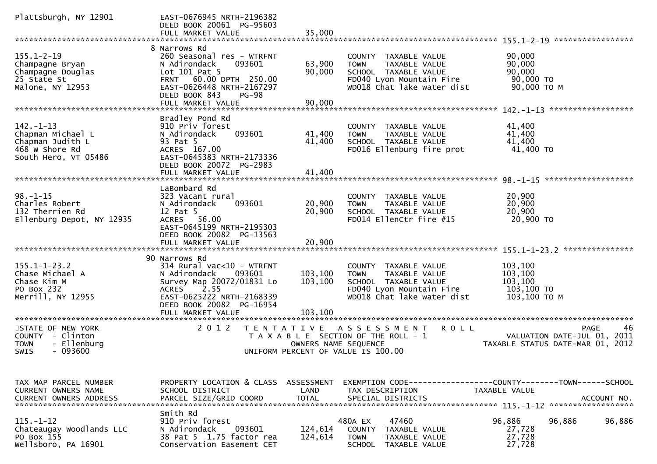| Plattsburgh, NY 12901                                                                                            | EAST-0676945 NRTH-2196382<br>DEED BOOK 20061 PG-95603<br>FULL MARKET VALUE                                                                                                                                                       | 35,000                             |                                                                                                                                        |                                                                                                     |
|------------------------------------------------------------------------------------------------------------------|----------------------------------------------------------------------------------------------------------------------------------------------------------------------------------------------------------------------------------|------------------------------------|----------------------------------------------------------------------------------------------------------------------------------------|-----------------------------------------------------------------------------------------------------|
| $155.1 - 2 - 19$<br>Champagne Bryan<br>Champagne Douglas<br>25 State St<br>Malone, NY 12953                      | 8 Narrows Rd<br>260 Seasonal res - WTRFNT<br>N Adirondack<br>093601<br>Lot 101 Pat 5<br>60.00 DPTH 250.00<br><b>FRNT</b><br>EAST-0626448 NRTH-2167297<br>DEED BOOK 843<br><b>PG-98</b><br>FULL MARKET VALUE                      | 63,900<br>90,000<br>90,000         | COUNTY TAXABLE VALUE<br>TAXABLE VALUE<br><b>TOWN</b><br>SCHOOL TAXABLE VALUE<br>FD040 Lyon Mountain Fire<br>WD018 Chat lake water dist | 90,000<br>90,000<br>90,000<br>90,000 TO<br>90,000 ТО М<br>******************                        |
| $142. - 1 - 13$<br>Chapman Michael L<br>Chapman Judith L<br>468 W Shore Rd<br>South Hero, VT 05486               | Bradley Pond Rd<br>910 Priv forest<br>093601<br>N Adirondack<br>93 Pat 5<br>ACRES 167.00<br>EAST-0645383 NRTH-2173336<br>DEED BOOK 20072 PG-2983<br>FULL MARKET VALUE                                                            | 41,400<br>41,400<br>41,400         | <b>COUNTY</b><br>TAXABLE VALUE<br><b>TOWN</b><br>TAXABLE VALUE<br>SCHOOL TAXABLE VALUE<br>FD016 Ellenburg fire prot                    | 41,400<br>41,400<br>41,400<br>41,400 TO                                                             |
| $98. - 1 - 15$<br>Charles Robert<br>132 Therrien Rd<br>Ellenburg Depot, NY 12935                                 | LaBombard Rd<br>323 Vacant rural<br>093601<br>N Adirondack<br>12 Pat 5<br>ACRES 56.00<br>EAST-0645199 NRTH-2195303<br>DEED BOOK 20082 PG-13563<br>FULL MARKET VALUE                                                              | 20,900<br>20,900<br>20,900         | COUNTY<br>TAXABLE VALUE<br><b>TOWN</b><br>TAXABLE VALUE<br>SCHOOL TAXABLE VALUE<br>FD014 EllenCtr fire #15                             | $-98 - -1 - 15$ *********************<br>20,900<br>20,900<br>20,900<br>20,900 TO<br>*************** |
| $155.1 - 1 - 23.2$<br>Chase Michael A<br>Chase Kim M<br>PO Box 232<br>Merrill, NY 12955<br>********************* | 90 Narrows Rd<br>314 Rural vac<10 - WTRFNT<br>093601<br>N Adirondack<br>Survey Map 20072/01831 Lo<br>2.55<br><b>ACRES</b><br>EAST-0625222 NRTH-2168339<br>DEED BOOK 20082 PG-16954<br>FULL MARKET VALUE<br>********************* | 103,100<br>103,100<br>103,100      | COUNTY TAXABLE VALUE<br><b>TOWN</b><br>TAXABLE VALUE<br>SCHOOL TAXABLE VALUE<br>FD040 Lyon Mountain Fire<br>WD018 Chat lake water dist | 103,100<br>103,100<br>103,100<br>103,100 TO<br>103,100 ТО М                                         |
| STATE OF NEW YORK<br>- Clinton<br><b>COUNTY</b><br>- Ellenburg<br><b>TOWN</b><br>$-093600$<br>SWIS               | 2 0 1 2<br>T E N T A T I V E                                                                                                                                                                                                     | OWNERS NAME SEQUENCE               | R O L L<br>A S S E S S M E N T<br>T A X A B L E SECTION OF THE ROLL - 1<br>UNIFORM PERCENT OF VALUE IS 100.00                          | <b>PAGE</b><br>46<br>VALUATION DATE-JUL 01, 2011<br>TAXABLE STATUS DATE-MAR 01, 2012                |
| TAX MAP PARCEL NUMBER<br>CURRENT OWNERS NAME<br><b>CURRENT OWNERS ADDRESS</b>                                    | PROPERTY LOCATION & CLASS<br>SCHOOL DISTRICT<br>PARCEL SIZE/GRID COORD                                                                                                                                                           | ASSESSMENT<br>LAND<br><b>TOTAL</b> | EXEMPTION CODE-----------------COUNTY--------TOWN------SCHOOL<br>TAX DESCRIPTION<br>SPECIAL DISTRICTS                                  | TAXABLE VALUE<br>ACCOUNT NO.<br>******************                                                  |
| $115. - 1 - 12$<br>Chateaugay Woodlands LLC<br>PO Box 155<br>Wellsboro, PA 16901                                 | Smith Rd<br>910 Priv forest<br>N Adirondack<br>093601<br>38 Pat 5 1.75 factor rea<br>Conservation Easement CET                                                                                                                   | 124,614<br>124,614                 | 47460<br>480A EX<br><b>COUNTY</b><br>TAXABLE VALUE<br><b>TOWN</b><br>TAXABLE VALUE<br><b>SCHOOL</b><br>TAXABLE VALUE                   | 96,886<br>96,886<br>96,886<br>27,728<br>27,728<br>27,728                                            |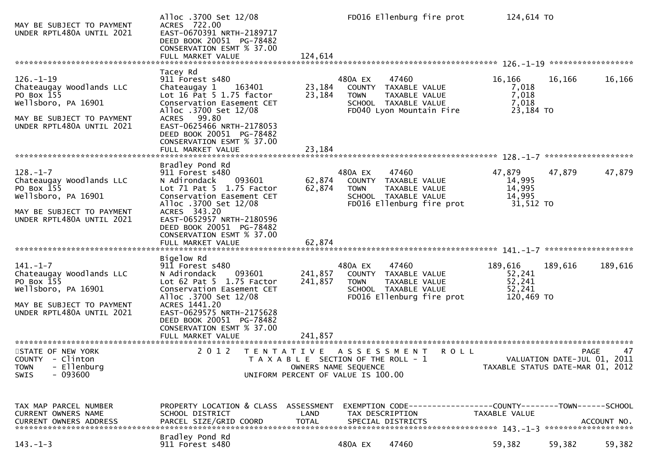| MAY BE SUBJECT TO PAYMENT<br>UNDER RPTL480A UNTIL 2021                                                                                     | Alloc .3700 Set 12/08<br>ACRES 722.00<br>EAST-0670391 NRTH-2189717<br>DEED BOOK 20051 PG-78482<br>CONSERVATION ESMT % 37.00<br>FULL MARKET VALUE                                                                                                                          | 124,614                       |                                      | FD016 Ellenburg fire prot                                                                           | 124,614 TO                                          |                             |                   |
|--------------------------------------------------------------------------------------------------------------------------------------------|---------------------------------------------------------------------------------------------------------------------------------------------------------------------------------------------------------------------------------------------------------------------------|-------------------------------|--------------------------------------|-----------------------------------------------------------------------------------------------------|-----------------------------------------------------|-----------------------------|-------------------|
| $126. - 1 - 19$<br>Chateaugay Woodlands LLC<br>PO Box 155<br>Wellsboro, PA 16901<br>MAY BE SUBJECT TO PAYMENT<br>UNDER RPTL480A UNTIL 2021 | Tacey Rd<br>911 Forest s480<br>Chateaugay 1<br>163401<br>Lot $16$ Pat $5$ $1.75$ factor<br>Conservation Easement CET<br>Alloc .3700 Set 12/08<br>ACRES 99.80<br>EAST-0625466 NRTH-2178053<br>DEED BOOK 20051 PG-78482<br>CONSERVATION ESMT % 37.00<br>FULL MARKET VALUE   | 23,184<br>23,184<br>23,184    | 480A EX<br><b>TOWN</b>               | 47460<br>COUNTY TAXABLE VALUE<br>TAXABLE VALUE<br>SCHOOL TAXABLE VALUE<br>FD040 Lyon Mountain Fire  | 16,166<br>7,018<br>7,018<br>7,018<br>23,184 TO      | 16,166                      | 16,166            |
| $128. - 1 - 7$<br>Chateaugay Woodlands LLC<br>PO Box 155<br>Wellsboro, PA 16901<br>MAY BE SUBJECT TO PAYMENT<br>UNDER RPTL480A UNTIL 2021  | Bradley Pond Rd<br>911 Forest s480<br>N Adirondack<br>093601<br>Lot 71 Pat 5 1.75 Factor<br>Conservation Easement CET<br>Alloc .3700 Set 12/08<br>ACRES 343.20<br>EAST-0652957 NRTH-2180596<br>DEED BOOK 20051 PG-78482<br>CONSERVATION ESMT % 37.00                      | 62,874<br>62,874              | 480A EX<br><b>TOWN</b>               | 47460<br>COUNTY TAXABLE VALUE<br>TAXABLE VALUE<br>SCHOOL TAXABLE VALUE<br>FD016 Ellenburg fire prot | 47,879<br>14,995<br>14,995<br>14,995<br>31,512 TO   | 47,879                      | 47,879            |
| $141. - 1 - 7$<br>Chateaugay Woodlands LLC<br>PO Box 155<br>Wellsboro, PA 16901<br>MAY BE SUBJECT TO PAYMENT<br>UNDER RPTL480A UNTIL 2021  | Bigelow Rd<br>911 Forest s480<br>N Adirondack<br>093601<br>Lot $62$ Pat $5$ 1.75 Factor<br>Conservation Easement CET<br>Alloc .3700 Set 12/08<br>ACRES 1441.20<br>EAST-0629575 NRTH-2175628<br>DEED BOOK 20051 PG-78482<br>CONSERVATION ESMT % 37.00<br>FULL MARKET VALUE | 241,857<br>241,857<br>241,857 | 480A EX<br><b>TOWN</b>               | 47460<br>COUNTY TAXABLE VALUE<br>TAXABLE VALUE<br>SCHOOL TAXABLE VALUE<br>FD016 Ellenburg fire prot | 189,616<br>52,241<br>52,241<br>52,241<br>120,469 TO | 189,616                     | 189,616           |
| STATE OF NEW YORK<br>COUNTY - Clinton<br>- Ellenburg<br><b>TOWN</b><br>$-093600$<br>SWIS                                                   | 2 0 1 2<br>TENTATIVE ASSESSMENT<br>T A X A B L E SECTION OF THE ROLL - 1<br>UNIFORM PERCENT OF VALUE IS 100.00                                                                                                                                                            |                               | OWNERS NAME SEQUENCE                 | <b>ROLL</b>                                                                                         | TAXABLE STATUS DATE-MAR 01, 2012                    | VALUATION DATE-JUL 01, 2011 | 47<br><b>PAGE</b> |
| TAX MAP PARCEL NUMBER<br>CURRENT OWNERS NAME<br><b>CURRENT OWNERS ADDRESS</b>                                                              | PROPERTY LOCATION & CLASS ASSESSMENT<br>SCHOOL DISTRICT<br>PARCEL SIZE/GRID COORD                                                                                                                                                                                         | LAND<br><b>TOTAL</b>          | TAX DESCRIPTION<br>SPECIAL DISTRICTS | EXEMPTION CODE-----------------COUNTY--------TOWN-----SCHOOL                                        | <b>TAXABLE VALUE</b>                                |                             | ACCOUNT NO.       |
| $143. - 1 - 3$                                                                                                                             | Bradley Pond Rd<br>911 Forest s480                                                                                                                                                                                                                                        |                               | 480A EX                              | 47460                                                                                               | 59,382                                              | 59,382                      | 59,382            |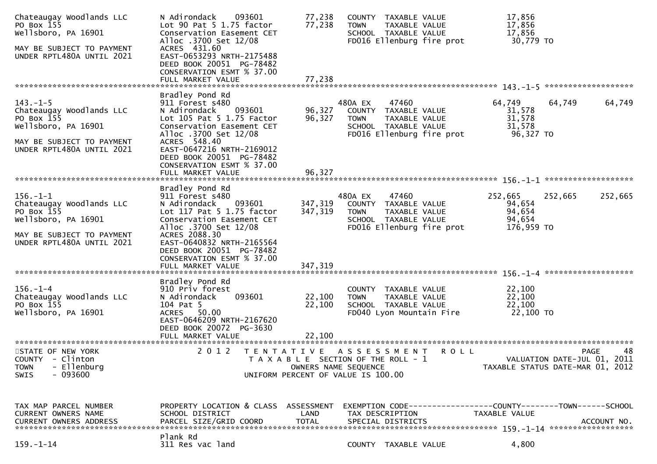| Chateaugay Woodlands LLC<br>PO Box 155<br>Wellsboro, PA 16901<br>MAY BE SUBJECT TO PAYMENT<br>UNDER RPTL480A UNTIL 2021                   | 093601<br>N Adirondack<br>Lot $90$ Pat $5$ 1.75 factor<br>Conservation Easement CET<br>Alloc .3700 Set 12/08<br>ACRES 431.60<br>EAST-0653293 NRTH-2175488<br>DEED BOOK 20051 PG-78482<br>CONSERVATION ESMT % 37.00<br>FULL MARKET VALUE                                     | 77,238<br>77,238<br>77,238    | COUNTY TAXABLE VALUE<br><b>TOWN</b><br>SCHOOL TAXABLE VALUE                                         | TAXABLE VALUE<br>FD016 Ellenburg fire prot          | 17,856<br>17,856<br>17,856<br>30,779 TO             |                                                                                      |
|-------------------------------------------------------------------------------------------------------------------------------------------|-----------------------------------------------------------------------------------------------------------------------------------------------------------------------------------------------------------------------------------------------------------------------------|-------------------------------|-----------------------------------------------------------------------------------------------------|-----------------------------------------------------|-----------------------------------------------------|--------------------------------------------------------------------------------------|
| $143. - 1 - 5$<br>Chateaugay Woodlands LLC<br>PO Box 155<br>Wellsboro, PA 16901<br>MAY BE SUBJECT TO PAYMENT<br>UNDER RPTL480A UNTIL 2021 | Bradley Pond Rd<br>911 Forest s480<br>093601<br>N Adirondack<br>Lot 105 Pat 5 1.75 Factor<br>Conservation Easement CET<br>Alloc .3700 Set 12/08<br>ACRES 548.40<br>EAST-0647216 NRTH-2169012<br>DEED BOOK 20051 PG-78482<br>CONSERVATION ESMT % 37.00<br>FULL MARKET VALUE  | 96,327<br>96,327<br>96.327    | 480A EX<br>COUNTY TAXABLE VALUE<br><b>TOWN</b><br>SCHOOL TAXABLE VALUE                              | 47460<br>TAXABLE VALUE<br>FD016 Ellenburg fire prot | 64,749<br>31,578<br>31,578<br>31,578<br>96,327 TO   | 64,749<br>64,749                                                                     |
| $156. - 1 - 1$<br>Chateaugay Woodlands LLC<br>PO Box 155<br>Wellsboro, PA 16901<br>MAY BE SUBJECT TO PAYMENT<br>UNDER RPTL480A UNTIL 2021 | Bradley Pond Rd<br>911 Forest s480<br>093601<br>N Adirondack<br>Lot 117 Pat 5 1.75 factor<br>Conservation Easement CET<br>Alloc .3700 Set 12/08<br>ACRES 2088.30<br>EAST-0640832 NRTH-2165564<br>DEED BOOK 20051 PG-78482<br>CONSERVATION ESMT % 37.00<br>FULL MARKET VALUE | 347,319<br>347,319<br>347,319 | 480A EX<br>COUNTY TAXABLE VALUE<br><b>TOWN</b><br>SCHOOL TAXABLE VALUE                              | 47460<br>TAXABLE VALUE<br>FD016 Ellenburg fire prot | 252,665<br>94,654<br>94,654<br>94,654<br>176,959 TO | 252,665<br>252,665                                                                   |
| $156. - 1 - 4$<br>Chateaugay Woodlands LLC<br>PO Box 155<br>Wellsboro, PA 16901                                                           | Bradley Pond Rd<br>910 Priv forest<br>093601<br>N Adirondack<br>104 Pat 5<br>ACRES 50.00<br>EAST-0646209 NRTH-2167620<br>DEED BOOK 20072 PG-3630<br>FULL MARKET VALUE                                                                                                       | 22,100<br>22,100<br>22,100    | COUNTY TAXABLE VALUE<br><b>TOWN</b><br>SCHOOL TAXABLE VALUE                                         | TAXABLE VALUE<br>FD040 Lyon Mountain Fire           | 22,100<br>22,100<br>22,100<br>22,100 TO             |                                                                                      |
| STATE OF NEW YORK<br>COUNTY - Clinton<br>- Ellenburg<br><b>TOWN</b><br>$-093600$<br><b>SWIS</b>                                           | 2 0 1 2                                                                                                                                                                                                                                                                     | OWNERS NAME SEQUENCE          | TENTATIVE ASSESSMENT<br>T A X A B L E SECTION OF THE ROLL - 1<br>UNIFORM PERCENT OF VALUE IS 100.00 | <b>ROLL</b>                                         |                                                     | 48<br><b>PAGE</b><br>VALUATION DATE-JUL 01, 2011<br>TAXABLE STATUS DATE-MAR 01, 2012 |
| TAX MAP PARCEL NUMBER<br>CURRENT OWNERS NAME<br><b>CURRENT OWNERS ADDRESS</b>                                                             | PROPERTY LOCATION & CLASS ASSESSMENT<br>SCHOOL DISTRICT<br>PARCEL SIZE/GRID COORD<br>Plank Rd                                                                                                                                                                               | LAND<br><b>TOTAL</b>          | TAX DESCRIPTION<br>SPECIAL DISTRICTS                                                                |                                                     | TAXABLE VALUE                                       | EXEMPTION CODE-----------------COUNTY-------TOWN------SCHOOL<br>ACCOUNT NO.          |
| $159. - 1 - 14$                                                                                                                           | 311 Res vac land                                                                                                                                                                                                                                                            |                               | COUNTY TAXABLE VALUE                                                                                |                                                     | 4,800                                               |                                                                                      |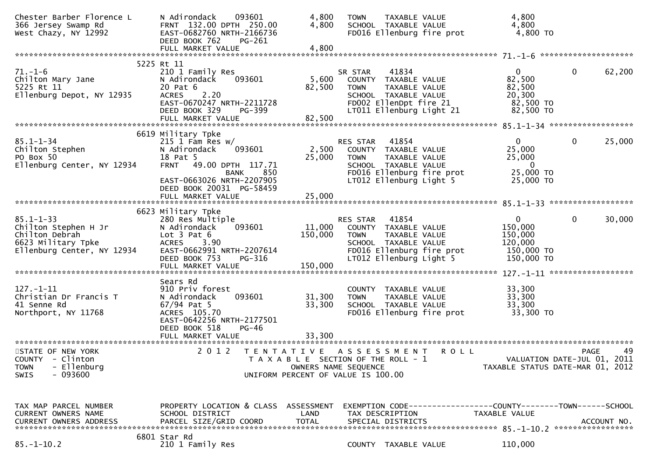| Chester Barber Florence L<br>366 Jersey Swamp Rd<br>West Chazy, NY 12992                                      | N Adirondack<br>093601<br>FRNT 132.00 DPTH 250.00<br>EAST-0682760 NRTH-2166736<br>DEED BOOK 762<br>PG-261                                                                                  | 4,800<br>4,800                                                                                                              | <b>TOWN</b>                              | TAXABLE VALUE<br>SCHOOL TAXABLE VALUE                                  | FD016 Ellenburg fire prot                            | 4,800<br>4,800<br>4,800 TO                                                               |              |             |
|---------------------------------------------------------------------------------------------------------------|--------------------------------------------------------------------------------------------------------------------------------------------------------------------------------------------|-----------------------------------------------------------------------------------------------------------------------------|------------------------------------------|------------------------------------------------------------------------|------------------------------------------------------|------------------------------------------------------------------------------------------|--------------|-------------|
|                                                                                                               |                                                                                                                                                                                            |                                                                                                                             |                                          |                                                                        |                                                      |                                                                                          |              |             |
| Ellenburg Depot, NY 12935                                                                                     | 5225 Rt 11<br>210 1 Family Res<br>093601<br>N Adirondack<br>20 Pat 6<br><b>ACRES</b><br>2.20<br>EAST-0670247 NRTH-2211728<br>DEED BOOK 329<br>PG-399                                       | 5,600<br>82,500                                                                                                             | SR STAR<br>TOWN                          | 41834<br>COUNTY TAXABLE VALUE<br>TAXABLE VALUE<br>SCHOOL TAXABLE VALUE | FD002 EllenDpt fire 21<br>LT011 Ellenburg Light 21   | $\mathbf{0}$<br>82,500<br>82,500<br>20,300<br>82,500 TO<br>82,500 TO                     | $\mathbf 0$  | 62,200      |
|                                                                                                               | FULL MARKET VALUE                                                                                                                                                                          | 82,500                                                                                                                      |                                          |                                                                        |                                                      |                                                                                          |              |             |
| $85.1 - 1 - 34$<br>Chilton Stephen<br>PO Box 50<br>Ellenburg Center, NY 12934                                 | 6619 Military Tpke<br>$215$ 1 Fam Res w/<br>N Adirondack<br>093601<br>18 Pat 5<br><b>FRNT</b><br>49.00 DPTH 117.71<br>850<br>BANK<br>EAST-0663026 NRTH-2207905<br>DEED BOOK 20031 PG-58459 | 2,500<br>25,000                                                                                                             | RES STAR<br><b>TOWN</b>                  | 41854<br>COUNTY TAXABLE VALUE<br>TAXABLE VALUE<br>SCHOOL TAXABLE VALUE | FD016 Ellenburg fire prot<br>LT012 Ellenburg Light 5 | $\overline{0}$<br>25,000<br>25,000<br>$\overline{\phantom{0}}$<br>25,000 TO<br>25,000 TO | $\mathbf{0}$ | 25,000      |
|                                                                                                               |                                                                                                                                                                                            |                                                                                                                             |                                          |                                                                        |                                                      |                                                                                          |              |             |
|                                                                                                               | 6623 Military Tpke                                                                                                                                                                         |                                                                                                                             |                                          |                                                                        |                                                      |                                                                                          |              |             |
| $85.1 - 1 - 33$<br>Chilton Stephen H Jr<br>Chilton Debrah<br>6623 Military Tpke<br>Ellenburg Center, NY 12934 | 280 Res Multiple<br>093601<br>N Adirondack<br>Lot $3$ Pat $6$<br><b>ACRES</b><br>3.90<br>EAST-0662991 NRTH-2207614<br>DEED BOOK 753<br><b>PG-316</b>                                       | 11,000<br>150,000                                                                                                           | RES STAR<br>COUNTY TAXABLE VALUE<br>TOWN | 41854<br>TAXABLE VALUE<br>SCHOOL TAXABLE VALUE                         | FD016 Ellenburg fire prot<br>LT012 Ellenburg Light 5 | $\mathbf{0}$<br>150,000<br>150,000<br>120,000<br>150,000 TO<br>150,000 TO                | $\mathbf{0}$ | 30,000      |
|                                                                                                               | FULL MARKET VALUE                                                                                                                                                                          | 150,000                                                                                                                     |                                          |                                                                        |                                                      |                                                                                          |              |             |
| $127. - 1 - 11$<br>Christian Dr Francis T<br>41 Senne Rd<br>Northport, NY 11768                               | Sears Rd<br>910 Priv forest<br>093601<br>N Adirondack<br>67/94 Pat 5<br>ACRES 105.70<br>EAST-0642256 NRTH-2177501<br>DEED BOOK 518<br>PG-46                                                | 31,300<br>33,300                                                                                                            | COUNTY<br><b>TOWN</b>                    | TAXABLE VALUE<br>TAXABLE VALUE<br>SCHOOL TAXABLE VALUE                 | FD016 Ellenburg fire prot                            | 33,300<br>33,300<br>33,300<br>33,300 TO                                                  |              |             |
| STATE OF NEW YORK<br>COUNTY - Clinton<br>- Ellenburg<br><b>TOWN</b><br>$-093600$<br>SWIS                      | 2 0 1 2                                                                                                                                                                                    | TENTATIVE ASSESSMENT<br>T A X A B L E SECTION OF THE ROLL - 1<br>OWNERS NAME SEQUENCE<br>UNIFORM PERCENT OF VALUE IS 100.00 |                                          |                                                                        | <b>ROLL</b>                                          | VALUATION DATE-JUL 01, 2011<br>TAXABLE STATUS DATE-MAR 01, 2012                          | PAGE         | 49          |
| TAX MAP PARCEL NUMBER<br>CURRENT OWNERS NAME<br><b>CURRENT OWNERS ADDRESS</b>                                 | PROPERTY LOCATION & CLASS ASSESSMENT<br>SCHOOL DISTRICT<br>PARCEL SIZE/GRID COORD                                                                                                          | LAND<br><b>TOTAL</b>                                                                                                        |                                          | TAX DESCRIPTION<br>SPECIAL DISTRICTS                                   |                                                      | EXEMPTION CODE-----------------COUNTY-------TOWN------SCHOOL<br>TAXABLE VALUE            |              | ACCOUNT NO. |
| $85. - 1 - 10.2$                                                                                              | 6801 Star Rd<br>210 1 Family Res                                                                                                                                                           |                                                                                                                             |                                          | COUNTY TAXABLE VALUE                                                   |                                                      | 110,000                                                                                  |              |             |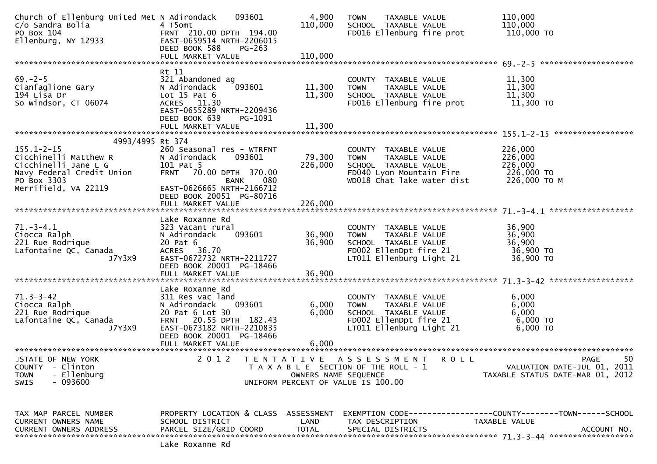| Church of Ellenburg United Met N Adirondack<br>c/o Sandra Bolia<br>PO Box 104<br>Ellenburg, NY 12933          | 093601<br>4 T5omt<br>FRNT 210.00 DPTH 194.00<br>EAST-0659514 NRTH-2206015<br>DEED BOOK 588<br>$PG-263$                                                               | 4,900<br>110,000                          | <b>TAXABLE VALUE</b><br><b>TOWN</b><br>SCHOOL TAXABLE VALUE<br>FD016 Ellenburg fire prot                                               | 110,000<br>110,000<br>110,000 TO                                                             |
|---------------------------------------------------------------------------------------------------------------|----------------------------------------------------------------------------------------------------------------------------------------------------------------------|-------------------------------------------|----------------------------------------------------------------------------------------------------------------------------------------|----------------------------------------------------------------------------------------------|
|                                                                                                               | FULL MARKET VALUE                                                                                                                                                    | 110,000                                   |                                                                                                                                        |                                                                                              |
| $69 - 2 - 5$<br>Cianfaglione Gary<br>194 Lisa Dr<br>So Windsor, CT 06074                                      | Rt 11<br>321 Abandoned ag<br>N Adirondack<br>093601<br>Lot $15$ Pat $6$<br>ACRES 11.30<br>EAST-0655289 NRTH-2209436<br>DEED BOOK 639<br>PG-1091<br>FULL MARKET VALUE | 11,300<br>11,300<br>11,300                | COUNTY TAXABLE VALUE<br>TAXABLE VALUE<br><b>TOWN</b><br>SCHOOL TAXABLE VALUE<br>FD016 Ellenburg fire prot                              | 11,300<br>11,300<br>11,300<br>11,300 TO                                                      |
| 4993/4995 Rt 374                                                                                              |                                                                                                                                                                      |                                           |                                                                                                                                        |                                                                                              |
| $155.1 - 2 - 15$<br>Cicchinelli Matthew R<br>Cicchinelli Jane L G<br>Navy Federal Credit Union<br>PO Box 3303 | 260 Seasonal res - WTRFNT<br>N Adirondack<br>093601<br>101 Pat 5<br>FRNT 70.00 DPTH 370.00<br>080<br>BANK                                                            | 79,300<br>226,000                         | COUNTY TAXABLE VALUE<br><b>TOWN</b><br>TAXABLE VALUE<br>SCHOOL TAXABLE VALUE<br>FD040 Lyon Mountain Fire<br>WD018 Chat lake water dist | 226,000<br>226,000<br>226,000<br>226,000 TO<br>226,000 ТО М                                  |
| Merrifield, VA 22119                                                                                          | EAST-0626665 NRTH-2166712<br>DEED BOOK 20051 PG-80716<br>FULL MARKET VALUE                                                                                           | 226,000                                   |                                                                                                                                        |                                                                                              |
| $71.-3-4.1$<br>Ciocca Ralph<br>221 Rue Rodrique<br>Lafontaine QC, Canada<br>J7Y3X9                            | Lake Roxanne Rd<br>323 Vacant rural<br>N Adirondack<br>093601<br>20 Pat 6<br>ACRES 36.70<br>EAST-0672732 NRTH-2211727<br>DEED BOOK 20001 PG-18466                    | 36,900<br>36,900                          | COUNTY TAXABLE VALUE<br>TAXABLE VALUE<br><b>TOWN</b><br>SCHOOL TAXABLE VALUE<br>FD002 EllenDpt fire 21<br>LT011 Ellenburg Light 21     | 36,900<br>36,900<br>36,900<br>36,900 TO<br>36,900 TO                                         |
|                                                                                                               | FULL MARKET VALUE                                                                                                                                                    | 36,900                                    |                                                                                                                                        |                                                                                              |
| $71.3 - 3 - 42$<br>Ciocca Ralph<br>221 Rue Rodrique<br>Lafontaine QC, Canada<br>J7Y3X9                        | Lake Roxanne Rd<br>311 Res vac land<br>093601<br>N Adirondack<br>20 Pat 6 Lot 30<br>FRNT 20.55 DPTH 182.43<br>EAST-0673182 NRTH-2210835<br>DEED BOOK 20001 PG-18466  | 6,000<br>6,000                            | COUNTY TAXABLE VALUE<br><b>TOWN</b><br>TAXABLE VALUE<br>SCHOOL TAXABLE VALUE<br>FD002 EllenDpt fire 21<br>LT011 Ellenburg Light 21     | 6,000<br>6,000<br>6,000<br>6,000 TO<br>6,000 TO                                              |
|                                                                                                               | FULL MARKET VALUE<br>***************************                                                                                                                     | 6,000                                     |                                                                                                                                        |                                                                                              |
| STATE OF NEW YORK<br><b>COUNTY</b><br>- Clinton<br>- Ellenburg<br><b>TOWN</b><br>$-093600$<br><b>SWIS</b>     | 2 0 1 2                                                                                                                                                              | T E N T A T I V E<br>OWNERS NAME SEQUENCE | A S S E S S M E N T<br>R O L L<br>T A X A B L E SECTION OF THE ROLL - 1<br>UNIFORM PERCENT OF VALUE IS 100.00                          | 50<br>PAGE<br>VALUATION DATE-JUL 01, 2011<br>TAXABLE STATUS DATE-MAR 01, 2012                |
| TAX MAP PARCEL NUMBER<br>CURRENT OWNERS NAME<br><b>CURRENT OWNERS ADDRESS</b>                                 | PROPERTY LOCATION & CLASS<br>SCHOOL DISTRICT<br>PARCEL SIZE/GRID COORD                                                                                               | ASSESSMENT<br>LAND<br><b>TOTAL</b>        | TAX DESCRIPTION<br>SPECIAL DISTRICTS                                                                                                   | EXEMPTION CODE-----------------COUNTY-------TOWN------SCHOOL<br>TAXABLE VALUE<br>ACCOUNT NO. |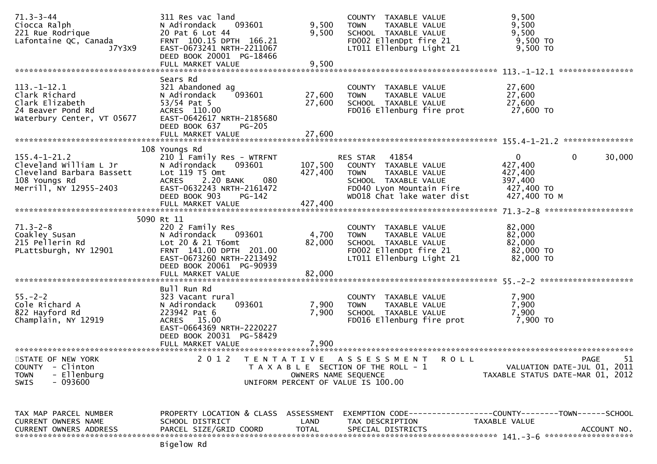| $71.3 - 3 - 44$<br>Ciocca Ralph<br>221 Rue Rodrique<br>Lafontaine QC, Canada<br>J7Y3X9                                               | 311 Res vac land<br>093601<br>N Adirondack<br>20 Pat 6 Lot 44<br>FRNT 100.15 DPTH 166.21<br>EAST-0673241 NRTH-2211067<br>DEED BOOK 20001 PG-18466                                      | 9,500<br>9,500                | COUNTY TAXABLE VALUE<br><b>TOWN</b><br>TAXABLE VALUE<br>SCHOOL TAXABLE VALUE<br>FD002 EllenDpt fire 21<br>LT011 Ellenburg Light 21                       | 9,500<br>9,500<br>9,500<br>9,500 TO<br>9,500 TO                                  |             |
|--------------------------------------------------------------------------------------------------------------------------------------|----------------------------------------------------------------------------------------------------------------------------------------------------------------------------------------|-------------------------------|----------------------------------------------------------------------------------------------------------------------------------------------------------|----------------------------------------------------------------------------------|-------------|
|                                                                                                                                      | FULL MARKET VALUE                                                                                                                                                                      | 9,500                         |                                                                                                                                                          |                                                                                  |             |
| $113. - 1 - 12.1$<br>Clark Richard<br>Clark Elizabeth<br>24 Beaver Pond Rd<br>Waterbury Center, VT 05677                             | Sears Rd<br>321 Abandoned ag<br>093601<br>N Adirondack<br>$53/54$ Pat 5<br>ACRES 110.00<br>EAST-0642617 NRTH-2185680<br>DEED BOOK 637<br><b>PG-205</b><br>FULL MARKET VALUE            | 27,600<br>27,600<br>27,600    | COUNTY TAXABLE VALUE<br>TAXABLE VALUE<br><b>TOWN</b><br>SCHOOL TAXABLE VALUE<br>FD016 Ellenburg fire prot                                                | 27,600<br>27,600<br>27,600<br>27,600 TO                                          |             |
|                                                                                                                                      | 108 Youngs Rd                                                                                                                                                                          |                               |                                                                                                                                                          |                                                                                  |             |
| $155.4 - 1 - 21.2$<br>155.4-1-21.2<br>Cleveland William L Jr<br>Cleveland Barbara Bassett<br>108 Youngs Rd<br>Merrill, NY 12955-2403 | 210 1 Family Res - WTRFNT<br>N Adirondack<br>093601<br>Lot $119$ T5 Omt<br>080<br>ACRES 2.20 BANK<br>EAST-0632243 NRTH-2161472<br>DEED BOOK 903<br>PG-142<br>FULL MARKET VALUE         | 107,500<br>427,400<br>427,400 | RES STAR 41854<br>COUNTY TAXABLE VALUE<br><b>TOWN</b><br>TAXABLE VALUE<br>SCHOOL TAXABLE VALUE<br>FD040 Lyon Mountain Fire<br>WD018 Chat lake water dist | $\mathbf{0}$<br>0<br>427,400<br>427,400<br>397,400<br>427,400 TO<br>427,400 TO M | 30,000      |
|                                                                                                                                      |                                                                                                                                                                                        |                               |                                                                                                                                                          |                                                                                  |             |
| $71.3 - 2 - 8$<br>Coakley Susan<br>215 Pellerin Rd<br>PLattsburgh, NY 12901                                                          | 5090 Rt 11<br>220 2 Family Res<br>N Adirondack<br>093601<br>Lot 20 & 21 T6omt<br>FRNT 141.00 DPTH 201.00<br>EAST-0673260 NRTH-2213492<br>DEED BOOK 20061 PG-90939<br>FULL MARKET VALUE | 4,700<br>82,000<br>82,000     | COUNTY TAXABLE VALUE<br>TAXABLE VALUE<br><b>TOWN</b><br>SCHOOL TAXABLE VALUE<br>FD002 EllenDpt fire 21<br>LT011 Ellenburg Light 21                       | 82,000<br>82,000<br>82,000<br>82,000 TO<br>82,000 TO                             |             |
| $55. - 2 - 2$<br>Cole Richard A<br>822 Hayford Rd<br>Champlain, NY 12919                                                             | Bull Run Rd<br>323 Vacant rural<br>093601<br>N Adirondack<br>223942 Pat 6<br>ACRES 15.00<br>EAST-0664369 NRTH-2220227<br>DEED BOOK 20031 PG-58429<br>FULL MARKET VALUE                 | 7,900<br>7,900<br>7,900       | COUNTY TAXABLE VALUE<br>TAXABLE VALUE<br><b>TOWN</b><br>SCHOOL TAXABLE VALUE<br>FD016 Ellenburg fire prot                                                | 7,900<br>7,900<br>7,900<br>7,900 TO                                              |             |
| STATE OF NEW YORK<br><b>COUNTY</b><br>- Clinton<br>- Ellenburg<br><b>TOWN</b><br>$-093600$<br><b>SWIS</b>                            | 2 0 1 2<br>T E N T A T I V E                                                                                                                                                           | OWNERS NAME SEQUENCE          | A S S E S S M E N T<br><b>ROLL</b><br>T A X A B L E SECTION OF THE ROLL - 1<br>UNIFORM PERCENT OF VALUE IS 100.00                                        | PAGE<br>VALUATION DATE-JUL 01, 2011<br>TAXABLE STATUS DATE-MAR 01, 2012          | 51          |
| TAX MAP PARCEL NUMBER<br>CURRENT OWNERS NAME<br><b>CURRENT OWNERS ADDRESS</b>                                                        | PROPERTY LOCATION & CLASS ASSESSMENT<br>SCHOOL DISTRICT<br>PARCEL SIZE/GRID COORD<br>Bigelow Rd                                                                                        | LAND<br><b>TOTAL</b>          | TAX DESCRIPTION<br>SPECIAL DISTRICTS                                                                                                                     | TAXABLE VALUE                                                                    | ACCOUNT NO. |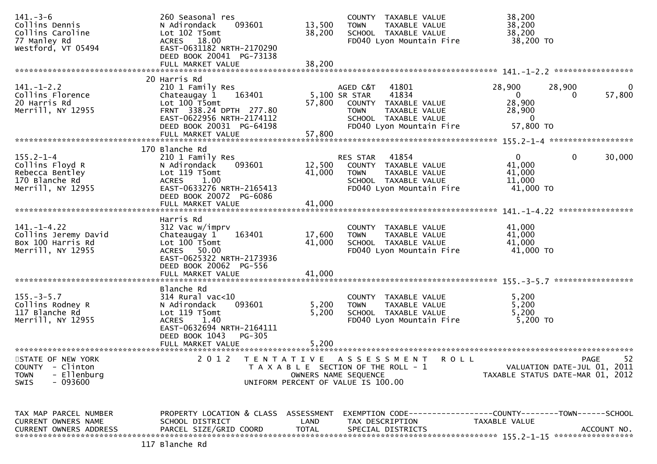| $141. - 3 - 6$<br>Collins Dennis<br>Collins Caroline<br>77 Manley Rd                                      | 260 Seasonal res<br>093601<br>N Adirondack<br>Lot 102 T5omt<br>ACRES 18.00                                                                                               | 13,500<br>38,200           | COUNTY TAXABLE VALUE<br>TAXABLE VALUE<br><b>TOWN</b><br>SCHOOL TAXABLE VALUE<br>FD040 Lyon Mountain Fire                               | 38,200<br>38,200<br>38,200<br>38,200 TO                                             |                         |
|-----------------------------------------------------------------------------------------------------------|--------------------------------------------------------------------------------------------------------------------------------------------------------------------------|----------------------------|----------------------------------------------------------------------------------------------------------------------------------------|-------------------------------------------------------------------------------------|-------------------------|
| Westford, VT 05494                                                                                        | EAST-0631182 NRTH-2170290<br>DEED BOOK 20041 PG-73138<br>FULL MARKET VALUE                                                                                               | 38,200                     |                                                                                                                                        |                                                                                     |                         |
| $141. - 1 - 2.2$<br>Collins Florence<br>20 Harris Rd<br>Merrill, NY 12955                                 | 20 Harris Rd<br>210 1 Family Res<br>163401<br>Chateaugay 1<br>Lot 100 T5omt<br>FRNT 338.24 DPTH 277.80<br>EAST-0622956 NRTH-2174112<br>DEED BOOK 20031 PG-64198          | 5,100 SR STAR<br>57,800    | 41801<br>AGED C&T<br>41834<br>COUNTY TAXABLE VALUE<br><b>TOWN</b><br>TAXABLE VALUE<br>SCHOOL TAXABLE VALUE<br>FD040 Lyon Mountain Fire | 28,900<br>28,900<br>$\overline{0}$<br>28,900<br>28,900<br>$\mathbf{0}$<br>57,800 TO | $\bf{0}$<br>57,800<br>0 |
|                                                                                                           | FULL MARKET VALUE                                                                                                                                                        | 57,800                     |                                                                                                                                        |                                                                                     |                         |
| $155.2 - 1 - 4$<br>Collins Floyd R<br>Rebecca Bentley<br>170 Blanche Rd<br>Merrill, NY 12955              | 170 Blanche Rd<br>210 1 Family Res<br>093601<br>N Adirondack<br>Lot 119 T5omt<br>ACRES 1.00<br>EAST-0633276 NRTH-2165413<br>DEED BOOK 20072 PG-6086<br>FULL MARKET VALUE | 12,500<br>41,000<br>41,000 | 41854<br>RES STAR<br>COUNTY TAXABLE VALUE<br><b>TOWN</b><br>TAXABLE VALUE<br>SCHOOL TAXABLE VALUE<br>FD040 Lyon Mountain Fire          | $\overline{0}$<br>41,000<br>41,000<br>11,000<br>41,000 TO                           | $\mathbf 0$<br>30,000   |
|                                                                                                           | Harris Rd                                                                                                                                                                |                            |                                                                                                                                        |                                                                                     |                         |
| $141. - 1 - 4.22$<br>Collins Jeremy David<br>Box 100 Harris Rd<br>Merrill, NY 12955                       | 312 Vac w/imprv<br>163401<br>Chateaugay 1<br>Lot 100 T5omt<br>ACRES 50.00<br>EAST-0625322 NRTH-2173936<br>DEED BOOK 20062 PG-556<br>FULL MARKET VALUE                    | 17,600<br>41,000<br>41,000 | COUNTY TAXABLE VALUE<br>TAXABLE VALUE<br><b>TOWN</b><br>SCHOOL TAXABLE VALUE<br>FD040 Lyon Mountain Fire                               | 41,000<br>41,000<br>41,000<br>41,000 TO                                             |                         |
|                                                                                                           | Blanche Rd                                                                                                                                                               |                            |                                                                                                                                        |                                                                                     |                         |
| $155. - 3 - 5.7$<br>Collins Rodney R<br>117 Blanche Rd<br>Merrill, NY 12955                               | $314$ Rural vac< $10$<br>093601<br>N Adirondack<br>Lot 119 T5omt<br><b>ACRES</b><br>1.40<br>EAST-0632694 NRTH-2164111<br>DEED BOOK 1043<br>PG-305                        | 5,200<br>5,200             | COUNTY TAXABLE VALUE<br>TAXABLE VALUE<br><b>TOWN</b><br>SCHOOL TAXABLE VALUE<br>FD040 Lyon Mountain Fire                               | 5,200<br>5,200<br>5,200<br>5,200 TO                                                 |                         |
| **********************                                                                                    | FULL MARKET VALUE<br>*************************                                                                                                                           | 5,200                      |                                                                                                                                        |                                                                                     |                         |
| STATE OF NEW YORK<br>- Clinton<br><b>COUNTY</b><br>- Ellenburg<br><b>TOWN</b><br>$-093600$<br><b>SWIS</b> | 2 0 1 2<br>T E N T A T I V E                                                                                                                                             | OWNERS NAME SEQUENCE       | A S S E S S M E N T<br>ROLL<br>T A X A B L E SECTION OF THE ROLL - 1<br>UNIFORM PERCENT OF VALUE IS 100.00                             | VALUATION DATE-JUL 01, 2011<br>TAXABLE STATUS DATE-MAR 01, 2012                     | 52<br><b>PAGE</b>       |
| TAX MAP PARCEL NUMBER<br>CURRENT OWNERS NAME<br><b>CURRENT OWNERS ADDRESS</b>                             | PROPERTY LOCATION & CLASS ASSESSMENT<br>SCHOOL DISTRICT<br>PARCEL SIZE/GRID COORD<br>117 Blanche Rd                                                                      | LAND<br><b>TOTAL</b>       | EXEMPTION        CODE-----------------COUNTY-------TOWN------SCHOOL<br>TAX DESCRIPTION<br>SPECIAL DISTRICTS                            | TAXABLE VALUE                                                                       | ACCOUNT NO.             |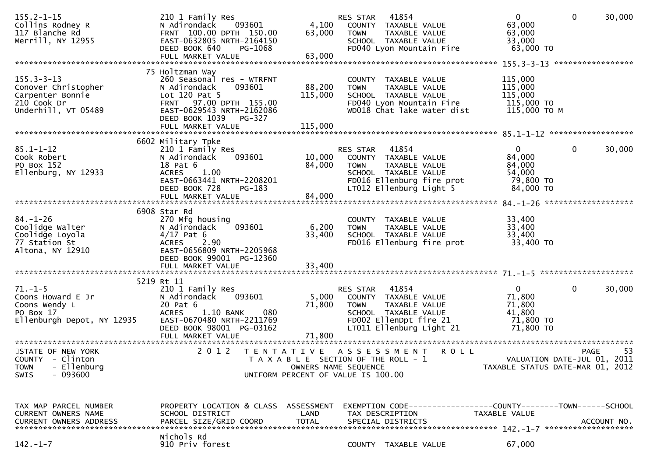| $155.2 - 1 - 15$<br>Collins Rodney R<br>117 Blanche Rd<br>Merrill, NY 12955                       | 210 1 Family Res<br>093601<br>N Adirondack<br>FRNT 100.00 DPTH 150.00<br>EAST-0632805 NRTH-2164150<br>DEED BOOK 640<br>PG-1068                                        | 4,100<br>63,000                                                                                                             | RES STAR<br><b>TOWN</b> | 41854<br>COUNTY TAXABLE VALUE<br>TAXABLE VALUE<br>SCHOOL TAXABLE VALUE<br>FD040 Lyon Mountain Fire                             |                                                              | $\overline{0}$<br>63,000<br>63,000<br>33,000<br>63,000 TO       | $\mathbf 0$  | 30,000      |
|---------------------------------------------------------------------------------------------------|-----------------------------------------------------------------------------------------------------------------------------------------------------------------------|-----------------------------------------------------------------------------------------------------------------------------|-------------------------|--------------------------------------------------------------------------------------------------------------------------------|--------------------------------------------------------------|-----------------------------------------------------------------|--------------|-------------|
|                                                                                                   |                                                                                                                                                                       |                                                                                                                             |                         |                                                                                                                                |                                                              |                                                                 |              |             |
|                                                                                                   | 75 Holtzman Way                                                                                                                                                       |                                                                                                                             |                         |                                                                                                                                |                                                              |                                                                 |              |             |
| $155.3 - 3 - 13$<br>Conover Christopher<br>Carpenter Bonnie<br>210 Cook Dr<br>Underhill, VT 05489 | 260 Seasonal res - WTRFNT<br>N Adirondack<br>093601<br>Lot $120$ Pat 5<br>FRNT 97.00 DPTH 155.00<br>EAST-0629543 NRTH-2162086<br>DEED BOOK 1039<br>PG-327             | 88,200<br>115,000                                                                                                           | <b>TOWN</b>             | COUNTY TAXABLE VALUE<br>TAXABLE VALUE<br>SCHOOL TAXABLE VALUE<br>FD040 Lyon Mountain Fire<br>WD018 Chat lake water dist        |                                                              | 115,000<br>115,000<br>115,000<br>115,000 TO<br>115,000 ТО М     |              |             |
|                                                                                                   |                                                                                                                                                                       |                                                                                                                             |                         |                                                                                                                                |                                                              |                                                                 |              |             |
|                                                                                                   |                                                                                                                                                                       |                                                                                                                             |                         |                                                                                                                                |                                                              |                                                                 |              |             |
| $85.1 - 1 - 12$<br>Cook Robert<br>PO Box 152<br>Ellenburg, NY 12933                               | 6602 Military Tpke<br>210 1 Family Res<br>N Adirondack<br>093601<br>18 Pat 6<br>1.00<br><b>ACRES</b><br>EAST-0663441 NRTH-2208201<br>DEED BOOK 728<br>PG-183          | 10,000<br>84,000                                                                                                            | RES STAR<br><b>TOWN</b> | 41854<br>COUNTY TAXABLE VALUE<br>TAXABLE VALUE<br>SCHOOL TAXABLE VALUE<br>FD016 Ellenburg fire prot<br>LT012 Ellenburg Light 5 |                                                              | 0<br>84,000<br>84,000<br>54,000<br>79,800 TO<br>84,000 TO       | $\mathbf{0}$ | 30,000      |
|                                                                                                   |                                                                                                                                                                       |                                                                                                                             |                         |                                                                                                                                |                                                              |                                                                 |              |             |
|                                                                                                   | 6908 Star Rd                                                                                                                                                          |                                                                                                                             |                         |                                                                                                                                |                                                              |                                                                 |              |             |
| $84. - 1 - 26$<br>Coolidge Walter<br>Coolidge Loyola<br>77 Station St<br>Altona, NY 12910         | 270 Mfg housing<br>093601<br>N Adirondack<br>$4/17$ Pat 6<br><b>ACRES</b><br>2.90<br>EAST-0656809 NRTH-2205968<br>DEED BOOK 99001 PG-12360                            | 6,200<br>33,400                                                                                                             | <b>TOWN</b>             | COUNTY TAXABLE VALUE<br>TAXABLE VALUE<br>SCHOOL TAXABLE VALUE<br>FD016 Ellenburg fire prot                                     |                                                              | 33,400<br>33,400<br>33,400<br>33,400 TO                         |              |             |
|                                                                                                   | FULL MARKET VALUE                                                                                                                                                     | 33,400                                                                                                                      |                         |                                                                                                                                |                                                              |                                                                 |              |             |
|                                                                                                   |                                                                                                                                                                       |                                                                                                                             |                         |                                                                                                                                |                                                              |                                                                 |              |             |
| $71. - 1 - 5$<br>Coons Howard E Jr<br>Coons Wendy L<br>PO Box 17<br>Ellenburgh Depot, NY 12935    | 5219 Rt 11<br>210 1 Family Res<br>N Adirondack<br>093601<br>20 Pat 6<br>080<br><b>ACRES</b><br>$1.10\,$ BANK<br>EAST-0670480 NRTH-2211769<br>DEED BOOK 98001 PG-03162 | 5,000<br>71,800                                                                                                             | RES STAR<br><b>TOWN</b> | 41854<br>COUNTY TAXABLE VALUE<br>TAXABLE VALUE<br>SCHOOL TAXABLE VALUE<br>FD002 EllenDpt fire 21<br>LT011 Ellenburg Light 21   |                                                              | 0<br>71,800<br>71,800<br>41,800<br>71,800 TO<br>71,800 TO       | $\mathbf 0$  | 30,000      |
|                                                                                                   |                                                                                                                                                                       |                                                                                                                             |                         |                                                                                                                                |                                                              |                                                                 |              |             |
| STATE OF NEW YORK<br>COUNTY - Clinton<br><b>TOWN</b><br>- Ellenburg<br>- 093600<br><b>SWIS</b>    | 2 0 1 2                                                                                                                                                               | TENTATIVE ASSESSMENT<br>T A X A B L E SECTION OF THE ROLL - 1<br>OWNERS NAME SEQUENCE<br>UNIFORM PERCENT OF VALUE IS 100.00 |                         |                                                                                                                                | <b>ROLL</b>                                                  | VALUATION DATE-JUL 01, 2011<br>TAXABLE STATUS DATE-MAR 01, 2012 | <b>PAGE</b>  | 53          |
|                                                                                                   |                                                                                                                                                                       |                                                                                                                             |                         |                                                                                                                                |                                                              |                                                                 |              |             |
| TAX MAP PARCEL NUMBER<br>CURRENT OWNERS NAME<br><b>CURRENT OWNERS ADDRESS</b>                     | PROPERTY LOCATION & CLASS ASSESSMENT<br>SCHOOL DISTRICT<br>PARCEL SIZE/GRID COORD                                                                                     | LAND<br><b>TOTAL</b>                                                                                                        |                         | TAX DESCRIPTION<br>SPECIAL DISTRICTS                                                                                           | EXEMPTION CODE-----------------COUNTY-------TOWN------SCHOOL | TAXABLE VALUE                                                   |              | ACCOUNT NO. |
| $142. - 1 - 7$                                                                                    | Nichols Rd<br>910 Priv forest                                                                                                                                         |                                                                                                                             |                         | COUNTY TAXABLE VALUE                                                                                                           |                                                              | 67,000                                                          |              |             |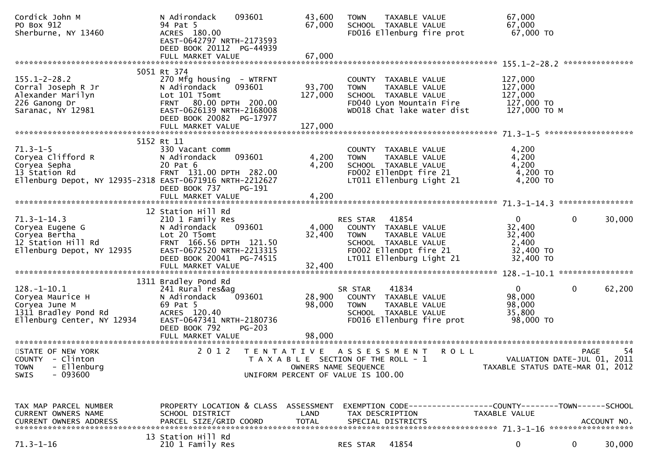| Cordick John M<br>PO Box 912<br>Sherburne, NY 13460                                                                              | N Adirondack<br>093601<br>94 Pat 5<br>ACRES 180.00<br>EAST-0642797 NRTH-2173593<br>DEED BOOK 20112 PG-44939                                                          | 43,600<br>67,000                                                                                    | <b>TOWN</b>             | TAXABLE VALUE<br>SCHOOL TAXABLE VALUE                                                                               | FD016 Ellenburg fire prot                                    | 67,000<br>67,000<br>67,000 TO                                   |              |             |
|----------------------------------------------------------------------------------------------------------------------------------|----------------------------------------------------------------------------------------------------------------------------------------------------------------------|-----------------------------------------------------------------------------------------------------|-------------------------|---------------------------------------------------------------------------------------------------------------------|--------------------------------------------------------------|-----------------------------------------------------------------|--------------|-------------|
|                                                                                                                                  |                                                                                                                                                                      |                                                                                                     |                         |                                                                                                                     |                                                              |                                                                 |              |             |
| $155.1 - 2 - 28.2$<br>Corral Joseph R Jr<br>Alexander Marilyn<br>226 Ganong Dr<br>Saranac, NY 12981                              | 5051 Rt 374<br>270 Mfg housing - WTRFNT<br>N Adirondack<br>093601<br>Lot 101 T5omt<br>FRNT 80.00 DPTH 200.00<br>EAST-0626139 NRTH-2168008                            | 93,700<br>127,000                                                                                   | <b>TOWN</b>             | COUNTY TAXABLE VALUE<br>TAXABLE VALUE<br>SCHOOL TAXABLE VALUE                                                       | FD040 Lyon Mountain Fire<br>WD018 Chat lake water dist       | 127,000<br>127,000<br>127,000<br>127,000 TO<br>127,000 TO M     |              |             |
|                                                                                                                                  | DEED BOOK 20082 PG-17977<br>FULL MARKET VALUE                                                                                                                        | 127,000                                                                                             |                         |                                                                                                                     |                                                              |                                                                 |              |             |
|                                                                                                                                  | 5152 Rt 11                                                                                                                                                           |                                                                                                     |                         |                                                                                                                     |                                                              |                                                                 |              |             |
| $71.3 - 1 - 5$<br>Coryea Clifford R<br>Coryea Sepha<br>13 Station Rd<br>Ellenburg Depot, NY 12935-2318 EAST-0671916 NRTH-2212627 | 330 Vacant comm<br>N Adirondack<br>093601<br>20 Pat 6<br>FRNT 131.00 DPTH 282.00<br>DEED BOOK 737<br>PG-191                                                          | 4,200<br>4,200                                                                                      | <b>TOWN</b>             | COUNTY TAXABLE VALUE<br>TAXABLE VALUE<br>SCHOOL TAXABLE VALUE<br>FD002 EllenDpt fire 21<br>LT011 Ellenburg Light 21 |                                                              | 4,200<br>4,200<br>4,200<br>4,200 TO<br>4,200 TO                 |              |             |
|                                                                                                                                  |                                                                                                                                                                      |                                                                                                     |                         |                                                                                                                     |                                                              |                                                                 |              |             |
| $71.3 - 1 - 14.3$<br>Coryea Eugene G<br>Coryea Bertha<br>12 Station Hill Rd<br>Ellenburg Depot, NY 12935                         | 12 Station Hill Rd<br>210 1 Family Res<br>093601<br>N Adirondack<br>Lot 20 T5omt<br>FRNT 166.56 DPTH 121.50<br>EAST-0672520 NRTH-2213315<br>DEED BOOK 20041 PG-74515 | 4,000<br>32,400                                                                                     | RES STAR<br><b>TOWN</b> | 41854<br>COUNTY TAXABLE VALUE<br>TAXABLE VALUE<br>SCHOOL TAXABLE VALUE<br>LT011 Ellenburg Light 21                  | FD002 EllenDpt fire 21                                       | 0<br>32,400<br>32,400<br>2,400<br>32,400 TO<br>32,400 TO        | $\mathbf{0}$ | 30,000      |
|                                                                                                                                  |                                                                                                                                                                      |                                                                                                     |                         |                                                                                                                     |                                                              |                                                                 |              |             |
| $128. - 1 - 10.1$<br>Coryea Maurice H<br>Coryea June M<br>1311 Bradley Pond Rd<br>Ellenburg Center, NY 12934                     | 1311 Bradley Pond Rd<br>241 Rural res&ag<br>093601<br>N Adirondack<br>69 Pat 5<br>ACRES 120.40<br>EAST-0647341 NRTH-2180736<br>DEED BOOK 792<br><b>PG-203</b>        | 28,900<br>98,000                                                                                    | SR STAR<br><b>TOWN</b>  | 41834<br>COUNTY TAXABLE VALUE<br>TAXABLE VALUE<br>SCHOOL TAXABLE VALUE                                              | FD016 Ellenburg fire prot                                    | $\mathbf{0}$<br>98,000<br>98,000<br>35,800<br>98,000 TO         | $\mathbf{0}$ | 62,200      |
|                                                                                                                                  |                                                                                                                                                                      |                                                                                                     |                         |                                                                                                                     |                                                              |                                                                 |              |             |
| STATE OF NEW YORK<br>COUNTY - Clinton<br>- Ellenburg<br><b>TOWN</b><br>$-093600$<br><b>SWIS</b>                                  | 2 0 1 2                                                                                                                                                              | TENTATIVE ASSESSMENT<br>T A X A B L E SECTION OF THE ROLL - 1<br>UNIFORM PERCENT OF VALUE IS 100.00 | OWNERS NAME SEQUENCE    |                                                                                                                     | <b>ROLL</b>                                                  | VALUATION DATE-JUL 01, 2011<br>TAXABLE STATUS DATE-MAR 01, 2012 | PAGE         | 54          |
| TAX MAP PARCEL NUMBER<br>CURRENT OWNERS NAME<br><b>CURRENT OWNERS ADDRESS</b>                                                    | PROPERTY LOCATION & CLASS ASSESSMENT<br>SCHOOL DISTRICT<br>PARCEL SIZE/GRID COORD                                                                                    | LAND<br><b>TOTAL</b>                                                                                |                         | TAX DESCRIPTION<br>SPECIAL DISTRICTS                                                                                | EXEMPTION CODE-----------------COUNTY-------TOWN------SCHOOL | TAXABLE VALUE                                                   |              | ACCOUNT NO. |
| $71.3 - 1 - 16$                                                                                                                  | 13 Station Hill Rd<br>210 1 Family Res                                                                                                                               |                                                                                                     | RES STAR                | 41854                                                                                                               |                                                              | 0                                                               | 0            | 30,000      |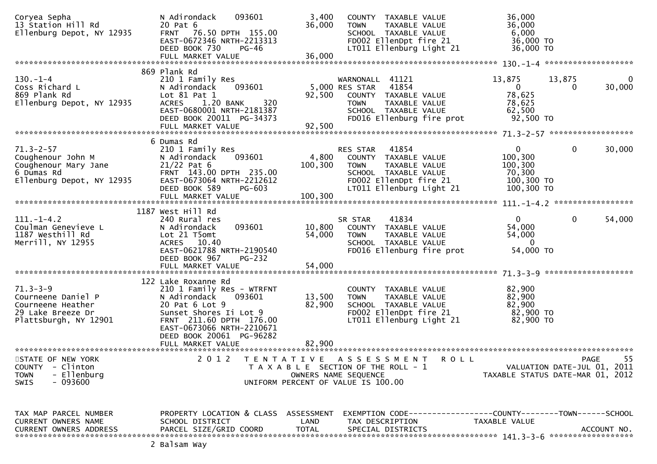| Coryea Sepha<br>13 Station Hill Rd<br>Ellenburg Depot, NY 12935                                         | 093601<br>N Adirondack<br>20 Pat 6<br>FRNT 76.50 DPTH 155.00                                                                                                                                                                    | 3,400<br>36,000                           | COUNTY TAXABLE VALUE<br>TAXABLE VALUE<br><b>TOWN</b><br>SCHOOL TAXABLE VALUE                                                                         | 36,000<br>36,000<br>6,000                                           |                                                                                      |
|---------------------------------------------------------------------------------------------------------|---------------------------------------------------------------------------------------------------------------------------------------------------------------------------------------------------------------------------------|-------------------------------------------|------------------------------------------------------------------------------------------------------------------------------------------------------|---------------------------------------------------------------------|--------------------------------------------------------------------------------------|
|                                                                                                         | EAST-0672346 NRTH-2213313<br>DEED BOOK 730<br>PG-46                                                                                                                                                                             |                                           | FD002 EllenDpt fire 21<br>LT011 Ellenburg Light 21                                                                                                   | 36,000 TO<br>36,000 TO                                              |                                                                                      |
|                                                                                                         |                                                                                                                                                                                                                                 |                                           |                                                                                                                                                      |                                                                     |                                                                                      |
| $130 - 1 - 4$<br>Coss Richard L<br>869 Plank Rd<br>Ellenburg Depot, NY 12935                            | 869 Plank Rd<br>210 1 Family Res<br>N Adirondack<br>093601<br>Lot $81$ Pat $1$<br>1.20 BANK<br>320<br><b>ACRES</b><br>EAST-0680001 NRTH-2181387<br>DEED BOOK 20011 PG-34373                                                     | 92,500                                    | WARNONALL 41121<br>5,000 RES STAR 41854<br>COUNTY TAXABLE VALUE<br><b>TOWN</b><br>TAXABLE VALUE<br>SCHOOL TAXABLE VALUE<br>FD016 Ellenburg fire prot | 13,875<br>$\overline{0}$<br>78,625<br>78,625<br>62,500<br>92,500 TO | 13,875<br>$\overline{0}$<br>30,000<br>$\Omega$                                       |
|                                                                                                         |                                                                                                                                                                                                                                 |                                           |                                                                                                                                                      |                                                                     |                                                                                      |
|                                                                                                         |                                                                                                                                                                                                                                 |                                           |                                                                                                                                                      |                                                                     |                                                                                      |
| $71.3 - 2 - 57$<br>Coughenour John M<br>Coughenour Mary Jane<br>6 Dumas Rd<br>Ellenburg Depot, NY 12935 | 6 Dumas Rd<br>210 1 Family Res<br>N Adirondack<br>093601<br>$21/22$ Pat 6<br>FRNT 143.00 DPTH 235.00<br>EAST-0673064 NRTH-2212612<br>DEED BOOK 589<br>PG-603                                                                    | 4,800<br>100,300                          | RES STAR 41854<br>COUNTY TAXABLE VALUE<br>TAXABLE VALUE<br><b>TOWN</b><br>SCHOOL TAXABLE VALUE<br>FD002 EllenDpt fire 21<br>LT011 Ellenburg Light 21 | $\mathbf{0}$<br>100,300<br>100,300<br>70,300<br>100,300 TO          | $\mathbf 0$<br>30,000                                                                |
|                                                                                                         |                                                                                                                                                                                                                                 |                                           |                                                                                                                                                      | 100,300 TO                                                          |                                                                                      |
|                                                                                                         |                                                                                                                                                                                                                                 |                                           |                                                                                                                                                      |                                                                     |                                                                                      |
| $111. - 1 - 4.2$<br>Coulman Genevieve L<br>1187 Westhill Rd<br>Merrill, NY 12955                        | 1187 West Hill Rd<br>240 Rural res<br>093601<br>N Adirondack<br>Lot 21 T5omt<br>ACRES 10.40<br>EAST-0621788 NRTH-2190540<br><b>PG-232</b>                                                                                       | 10,800<br>54,000                          | 41834<br>SR STAR<br>COUNTY TAXABLE VALUE<br>TAXABLE VALUE<br><b>TOWN</b><br>SCHOOL TAXABLE VALUE<br>FD016 Ellenburg fire prot                        | $\mathbf{0}$<br>54,000<br>54,000<br>$\overline{0}$<br>54,000 TO     | $\mathbf 0$<br>54,000                                                                |
|                                                                                                         | DEED BOOK 967                                                                                                                                                                                                                   |                                           |                                                                                                                                                      |                                                                     |                                                                                      |
|                                                                                                         |                                                                                                                                                                                                                                 |                                           |                                                                                                                                                      |                                                                     |                                                                                      |
| $71.3 - 3 - 9$<br>Courneene Daniel P<br>Courneene Heather<br>29 Lake Breeze Dr<br>Plattsburgh, NY 12901 | 122 Lake Roxanne Rd<br>210 1 Family Res - WTRFNT<br>N Adirondack<br>093601<br>20 Pat 6 Lot 9<br>Sunset Shores Ii Lot 9<br>FRNT 211.60 DPTH 176.00<br>EAST-0673066 NRTH-2210671<br>DEED BOOK 20061 PG-96282<br>FULL MARKET VALUE | 13,500<br>82,900<br>82,900                | COUNTY TAXABLE VALUE<br>TAXABLE VALUE<br><b>TOWN</b><br>SCHOOL TAXABLE VALUE<br>FD002 EllenDpt fire 21<br>LT011 Ellenburg Light 21                   | 82,900<br>82,900<br>82,900<br>82,900 TO<br>82,900 TO                |                                                                                      |
|                                                                                                         |                                                                                                                                                                                                                                 |                                           |                                                                                                                                                      |                                                                     |                                                                                      |
| STATE OF NEW YORK<br>COUNTY<br>- Clinton<br>- Ellenburg<br><b>TOWN</b><br>$-093600$<br><b>SWIS</b>      | 2 0 1 2                                                                                                                                                                                                                         | T E N T A T I V E<br>OWNERS NAME SEQUENCE | A S S E S S M E N T<br><b>ROLL</b><br>T A X A B L E SECTION OF THE ROLL - 1<br>UNIFORM PERCENT OF VALUE IS 100.00                                    |                                                                     | 55<br><b>PAGE</b><br>VALUATION DATE-JUL 01, 2011<br>TAXABLE STATUS DATE-MAR 01, 2012 |
| TAX MAP PARCEL NUMBER<br>CURRENT OWNERS NAME<br><b>CURRENT OWNERS ADDRESS</b>                           | PROPERTY LOCATION & CLASS ASSESSMENT<br>SCHOOL DISTRICT<br>PARCEL SIZE/GRID COORD                                                                                                                                               | LAND<br><b>TOTAL</b>                      | EXEMPTION        CODE-----------------COUNTY-------TOWN------SCHOOL<br>TAX DESCRIPTION<br>SPECIAL DISTRICTS                                          | TAXABLE VALUE                                                       | ACCOUNT NO.                                                                          |
|                                                                                                         |                                                                                                                                                                                                                                 |                                           |                                                                                                                                                      |                                                                     |                                                                                      |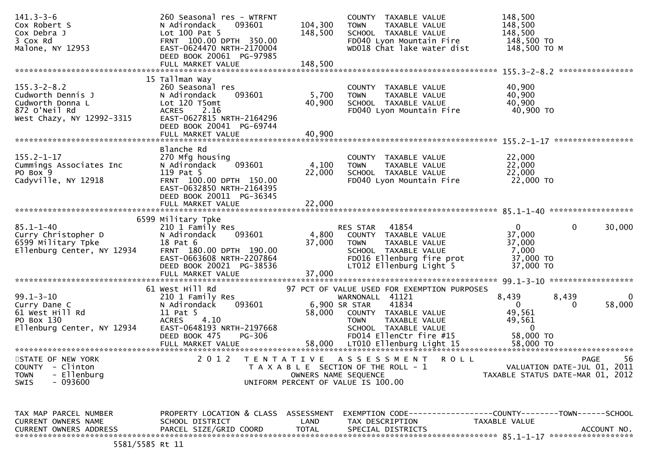| $141.3 - 3 - 6$                     | 260 Seasonal res - WTRFNT                  |                      | COUNTY TAXABLE VALUE                                                | 148,500               |                                  |
|-------------------------------------|--------------------------------------------|----------------------|---------------------------------------------------------------------|-----------------------|----------------------------------|
| Cox Robert S                        | 093601<br>N Adirondack<br>Lot 100 Pat 5    | 104,300              | <b>TOWN</b><br>TAXABLE VALUE                                        | 148,500               |                                  |
| Cox Debra J<br>3 Cox Rd             | FRNT 100.00 DPTH 350.00                    | 148,500              | SCHOOL TAXABLE VALUE<br>FD040 Lyon Mountain Fire                    | 148,500<br>148,500 TO |                                  |
|                                     | EAST-0624470 NRTH-2170004                  |                      | WD018 Chat lake water dist                                          | 148,500 ТО М          |                                  |
| Malone, NY 12953                    |                                            |                      |                                                                     |                       |                                  |
|                                     | DEED BOOK 20061 PG-97985                   |                      |                                                                     |                       |                                  |
|                                     | FULL MARKET VALUE                          | 148,500              |                                                                     |                       | ****************                 |
|                                     | 15 Tallman Way                             |                      |                                                                     |                       |                                  |
| $155.3 - 2 - 8.2$                   |                                            |                      |                                                                     |                       |                                  |
| Cudworth Dennis J                   | 260 Seasonal res<br>N Adirondack<br>093601 | 5,700                | COUNTY TAXABLE VALUE<br><b>TOWN</b>                                 | 40,900<br>40,900      |                                  |
| Cudworth Donna L                    |                                            | 40,900               | TAXABLE VALUE                                                       | 40,900                |                                  |
| 872 O'Neil Rd                       | Lot 120 T5omt<br>2.16<br><b>ACRES</b>      |                      | SCHOOL TAXABLE VALUE<br>FD040 Lyon Mountain Fire                    | 40,900 TO             |                                  |
| West Chazy, NY 12992-3315           | EAST-0627815 NRTH-2164296                  |                      |                                                                     |                       |                                  |
|                                     | DEED BOOK 20041 PG-69744                   |                      |                                                                     |                       |                                  |
|                                     | FULL MARKET VALUE                          | 40,900               |                                                                     |                       |                                  |
|                                     |                                            |                      |                                                                     |                       |                                  |
|                                     | Blanche Rd                                 |                      |                                                                     |                       |                                  |
| $155.2 - 1 - 17$                    | 270 Mfg housing                            |                      | COUNTY TAXABLE VALUE                                                | 22,000                |                                  |
|                                     | 093601<br>N Adirondack                     | 4,100                | TAXABLE VALUE<br><b>TOWN</b>                                        | 22,000                |                                  |
| Cummings Associates Inc<br>PO Box 9 | 119 Pat 5                                  | 22,000               | SCHOOL TAXABLE VALUE                                                | 22,000                |                                  |
| Cadyville, NY 12918                 | FRNT 100.00 DPTH 150.00                    |                      | FD040 Lyon Mountain Fire                                            | 22,000 TO             |                                  |
|                                     | EAST-0632850 NRTH-2164395                  |                      |                                                                     |                       |                                  |
|                                     | DEED BOOK 20011 PG-36345                   |                      |                                                                     |                       |                                  |
|                                     | FULL MARKET VALUE                          | 22,000               |                                                                     |                       |                                  |
|                                     |                                            |                      |                                                                     |                       |                                  |
|                                     | 6599 Military Tpke                         |                      |                                                                     |                       |                                  |
| $85.1 - 1 - 40$                     | 210 1 Family Res                           |                      | RES STAR<br>41854                                                   | $\mathbf{0}$          | 0<br>30,000                      |
| Curry Christopher D                 | N Adirondack<br>093601                     | 4,800                | COUNTY TAXABLE VALUE                                                | 37,000                |                                  |
| 6599 Military Tpke                  | 18 Pat 6                                   | 37,000               | <b>TOWN</b><br>TAXABLE VALUE                                        | 37,000                |                                  |
| Ellenburg Center, NY 12934          | FRNT 180.00 DPTH 190.00                    |                      | SCHOOL TAXABLE VALUE                                                | 7,000                 |                                  |
|                                     | EAST-0663608 NRTH-2207864                  |                      | FD016 Ellenburg fire prot                                           | 37,000 TO             |                                  |
|                                     | DEED BOOK 20021 PG-38536                   |                      | LT012 Ellenburg Light 5                                             | 37,000 TO             |                                  |
|                                     | FULL MARKET VALUE                          | 37,000               |                                                                     |                       |                                  |
|                                     |                                            |                      |                                                                     |                       |                                  |
|                                     | 61 West Hill Rd                            |                      | 97 PCT OF VALUE USED FOR EXEMPTION PURPOSES                         |                       |                                  |
| $99.1 - 3 - 10$                     | 210 1 Family Res                           |                      | WARNONALL 41121                                                     | 8,439                 | 8,439<br>0                       |
| Curry Dane C                        | 093601<br>N Adirondack                     |                      | 6,900 SR STAR<br>41834                                              | $\mathbf{0}$          | 58,000<br>0                      |
| 61 West Hill Rd                     | 11 Pat 5                                   | 58,000               | COUNTY TAXABLE VALUE                                                | 49,561                |                                  |
| PO Box 130                          | 4.10<br><b>ACRES</b>                       |                      | <b>TOWN</b><br>TAXABLE VALUE                                        | 49,561                |                                  |
| Ellenburg Center, NY 12934          | EAST-0648193 NRTH-2197668                  |                      | SCHOOL TAXABLE VALUE                                                | $\overline{0}$        |                                  |
|                                     | DEED BOOK 475<br>PG-306                    |                      | FD014 EllenCtr fire #15                                             | 58,000 TO             |                                  |
|                                     | FULL MARKET VALUE                          |                      | 58,000 LT010 Ellenburg Light 15                                     | 58,000 TO             |                                  |
|                                     |                                            |                      |                                                                     |                       |                                  |
| STATE OF NEW YORK                   | 2 0 1 2                                    | T E N T A T I V E    | ASSESSMENT<br><b>ROLL</b>                                           |                       | 56<br><b>PAGE</b>                |
| <b>COUNTY</b><br>- Clinton          |                                            |                      | T A X A B L E SECTION OF THE ROLL - 1                               |                       | VALUATION DATE-JUL 01, 2011      |
| - Ellenburg<br><b>TOWN</b>          |                                            | OWNERS NAME SEQUENCE |                                                                     |                       | TAXABLE STATUS DATE-MAR 01, 2012 |
| $-093600$<br><b>SWIS</b>            |                                            |                      | UNIFORM PERCENT OF VALUE IS 100.00                                  |                       |                                  |
|                                     |                                            |                      |                                                                     |                       |                                  |
|                                     |                                            |                      |                                                                     |                       |                                  |
|                                     |                                            |                      |                                                                     |                       |                                  |
| TAX MAP PARCEL NUMBER               | PROPERTY LOCATION & CLASS ASSESSMENT       |                      | EXEMPTION        CODE-----------------COUNTY-------TOWN------SCHOOL |                       |                                  |
| CURRENT OWNERS NAME                 | SCHOOL DISTRICT                            | LAND                 | TAX DESCRIPTION                                                     | TAXABLE VALUE         |                                  |
| <b>CURRENT OWNERS ADDRESS</b>       | PARCEL SIZE/GRID COORD                     | <b>TOTAL</b>         | SPECIAL DISTRICTS                                                   |                       | ACCOUNT NO.                      |
|                                     |                                            |                      |                                                                     |                       |                                  |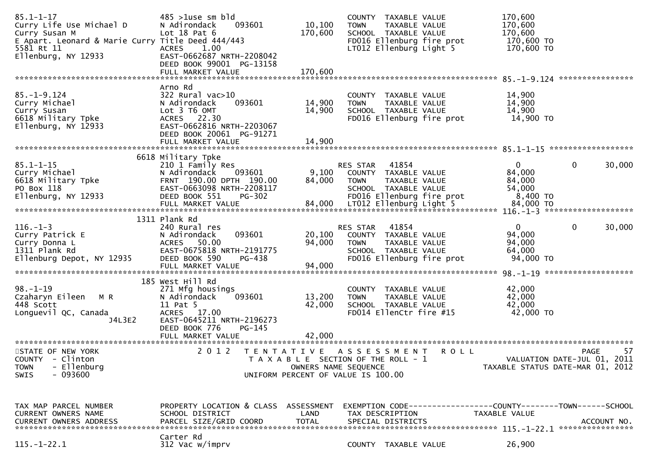| $85.1 - 1 - 17$<br>Curry Life Use Michael D<br>Curry Susan M<br>E Apart. Leonard & Marie Curry Title Deed 444/443<br>5581 Rt 11<br>Ellenburg, NY 12933                                                                                    | $485$ >1use sm bld<br>N Adirondack<br>093601<br>Lot $18$ Pat $6$<br><b>ACRES</b><br>1.00<br>EAST-0662687 NRTH-2208042<br>DEED BOOK 99001 PG-13158       | 10,100<br>170,600          | COUNTY TAXABLE VALUE<br><b>TOWN</b><br>SCHOOL TAXABLE VALUE                                                   | TAXABLE VALUE<br>FD016 Ellenburg fire prot<br>LT012 Ellenburg Light 5 | 170,600<br>170,600<br>170,600<br>170,600 TO<br>170,600 TO |                                                                                      |
|-------------------------------------------------------------------------------------------------------------------------------------------------------------------------------------------------------------------------------------------|---------------------------------------------------------------------------------------------------------------------------------------------------------|----------------------------|---------------------------------------------------------------------------------------------------------------|-----------------------------------------------------------------------|-----------------------------------------------------------|--------------------------------------------------------------------------------------|
|                                                                                                                                                                                                                                           |                                                                                                                                                         |                            |                                                                                                               |                                                                       |                                                           |                                                                                      |
| $85. - 1 - 9.124$<br>Curry Michael<br>Curry Susan<br>6618 Military Tpke<br>Ellenburg, NY 12933                                                                                                                                            | Arno Rd<br>$322$ Rural vac $>10$<br>N Adirondack<br>093601<br>Lot 3 T6 OMT<br>ACRES 22.30<br>EAST-0662816 NRTH-2203067<br>DEED BOOK 20061 PG-91271      | 14,900<br>14,900           | COUNTY TAXABLE VALUE<br><b>TOWN</b><br>SCHOOL TAXABLE VALUE                                                   | TAXABLE VALUE<br>FD016 Ellenburg fire prot                            | 14,900<br>14,900<br>14,900<br>14,900 TO                   |                                                                                      |
|                                                                                                                                                                                                                                           | 6618 Military Tpke                                                                                                                                      |                            |                                                                                                               |                                                                       |                                                           |                                                                                      |
| $85.1 - 1 - 15$<br>Curry Michael<br>6618 Military Tpke<br>PO Box 118<br>Ellenburg, NY 12933<br>ETTE MARKET VALUE<br>FULL MARKET VALUE 84,000 LT012 Ellenburg Light 5 84,000 TO FULL MARKET VALUE 84,000 LT012 Ellenburg Light 5 84,000 TO | 210 1 Family Res<br>N Adirondack<br>093601<br>FRNT 190.00 DPTH 190.00<br>EAST-0663098 NRTH-2208117<br>DEED BOOK 551<br>PG-302                           | 9,100<br>84,000            | 41854<br>RES STAR<br>COUNTY TAXABLE VALUE<br><b>TOWN</b><br>SCHOOL TAXABLE VALUE<br>FD016 Ellenburg fire prot | TAXABLE VALUE                                                         | $\mathbf{0}$<br>84,000<br>84,000<br>54,000<br>8,400 TO    | $\mathbf{0}$<br>30,000                                                               |
|                                                                                                                                                                                                                                           |                                                                                                                                                         |                            |                                                                                                               |                                                                       |                                                           |                                                                                      |
| $116. - 1 - 3$<br>Curry Patrick E<br>Curry Donna L<br>1311 Plank Rd<br>Ellenburg Depot, NY 12935                                                                                                                                          | 1311 Plank Rd<br>240 Rural res<br>093601<br>N Adirondack<br>50.00<br>ACRES<br>EAST-0675818 NRTH-2191775<br>DEED BOOK 590<br>PG-438<br>FULL MARKET VALUE | 20,100<br>94,000<br>94,000 | 41854<br>RES STAR<br>COUNTY TAXABLE VALUE<br><b>TOWN</b><br>SCHOOL TAXABLE VALUE                              | TAXABLE VALUE<br>FD016 Ellenburg fire prot                            | $\mathbf{0}$<br>94,000<br>94,000<br>64,000<br>94,000 TO   | 0<br>30,000                                                                          |
|                                                                                                                                                                                                                                           |                                                                                                                                                         |                            |                                                                                                               |                                                                       |                                                           |                                                                                      |
| $98. - 1 - 19$<br>Czaharyn Eileen M R<br>448 Scott<br>Longuevil QC, Canada<br>J4L3E2                                                                                                                                                      | 185 West Hill Rd<br>271 Mfg housings<br>093601<br>N Adirondack<br>11 Pat 5<br>ACRES 17.00<br>EAST-0645211 NRTH-2196273<br>DEED BOOK 776<br>PG-145       | 13,200<br>42,000           | COUNTY<br><b>TOWN</b><br>SCHOOL TAXABLE VALUE<br>FD014 EllenCtr fire #15                                      | TAXABLE VALUE<br>TAXABLE VALUE                                        | 42,000<br>42,000<br>42,000<br>42,000 TO                   |                                                                                      |
|                                                                                                                                                                                                                                           |                                                                                                                                                         |                            |                                                                                                               |                                                                       |                                                           |                                                                                      |
| STATE OF NEW YORK<br>COUNTY - Clinton<br>- Ellenburg<br><b>TOWN</b><br>$-093600$<br>SWIS                                                                                                                                                  | 2 0 1 2                                                                                                                                                 | OWNERS NAME SEQUENCE       | TENTATIVE ASSESSMENT<br>T A X A B L E SECTION OF THE ROLL - 1<br>UNIFORM PERCENT OF VALUE IS 100.00           | <b>ROLL</b>                                                           |                                                           | 57<br><b>PAGE</b><br>VALUATION DATE-JUL 01, 2011<br>TAXABLE STATUS DATE-MAR 01, 2012 |
| TAX MAP PARCEL NUMBER<br>CURRENT OWNERS NAME<br><b>CURRENT OWNERS ADDRESS</b>                                                                                                                                                             | PROPERTY LOCATION & CLASS ASSESSMENT<br>SCHOOL DISTRICT<br>PARCEL SIZE/GRID COORD                                                                       | LAND<br><b>TOTAL</b>       | TAX DESCRIPTION<br>SPECIAL DISTRICTS                                                                          | EXEMPTION CODE-----------------COUNTY-------TOWN------SCHOOL          | TAXABLE VALUE                                             | ACCOUNT NO.                                                                          |
| $115.-1-22.1$                                                                                                                                                                                                                             | Carter Rd<br>312 Vac w/imprv                                                                                                                            |                            | COUNTY TAXABLE VALUE                                                                                          |                                                                       | 26,900                                                    |                                                                                      |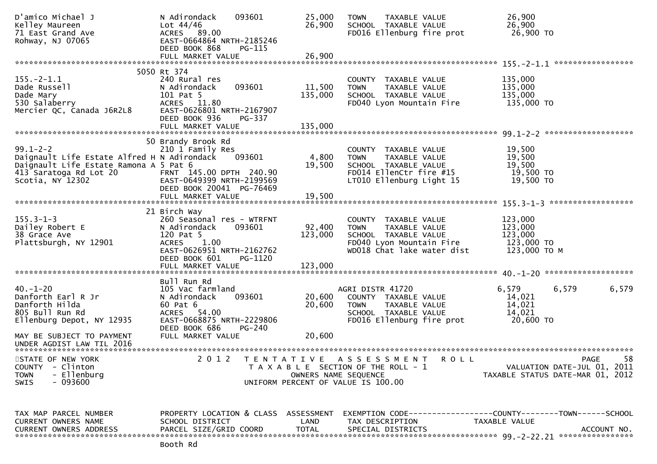| D'amico Michael J<br>Kelley Maureen<br>71 East Grand Ave<br>Rohway, NJ 07065                                                                          | N Adirondack<br>093601<br>Lot $44/46$<br>ACRES 89.00<br>EAST-0664864 NRTH-2185246<br>DEED BOOK 868<br>PG-115                                                                           | 25,000<br>26,900                                        | <b>TOWN</b><br>TAXABLE VALUE<br>SCHOOL TAXABLE VALUE<br>FD016 Ellenburg fire prot                                                      | 26,900<br>26,900<br>26,900 TO                                                 |                                                                                      |
|-------------------------------------------------------------------------------------------------------------------------------------------------------|----------------------------------------------------------------------------------------------------------------------------------------------------------------------------------------|---------------------------------------------------------|----------------------------------------------------------------------------------------------------------------------------------------|-------------------------------------------------------------------------------|--------------------------------------------------------------------------------------|
|                                                                                                                                                       |                                                                                                                                                                                        |                                                         |                                                                                                                                        |                                                                               |                                                                                      |
| $155. - 2 - 1.1$<br>Dade Russell<br>Dade Mary<br>530 Salaberry<br>Mercier QC, Canada J6R2L8                                                           | 5050 Rt 374<br>240 Rural res<br>093601<br>N Adirondack<br>101 Pat 5<br>ACRES 11.80<br>EAST-0626801 NRTH-2167907                                                                        | 11,500<br>135,000                                       | COUNTY TAXABLE VALUE<br>TAXABLE VALUE<br><b>TOWN</b><br>SCHOOL TAXABLE VALUE<br>FD040 Lyon Mountain Fire                               | 135,000<br>135,000<br>135,000<br>135,000 TO                                   |                                                                                      |
|                                                                                                                                                       | DEED BOOK 936<br>PG-337<br>FULL MARKET VALUE                                                                                                                                           | 135,000                                                 |                                                                                                                                        |                                                                               |                                                                                      |
| $99.1 - 2 - 2$<br>Daignault Life Estate Alfred H N Adirondack<br>Daignault Life Estate Ramona A 5 Pat 6<br>413 Saratoga Rd Lot 20<br>Scotia, NY 12302 | 50 Brandy Brook Rd<br>210 1 Family Res<br>093601<br>FRNT 145.00 DPTH 240.90<br>EAST-0649399 NRTH-2199569<br>DEED BOOK 20041 PG-76469                                                   | 4,800<br>19,500                                         | COUNTY TAXABLE VALUE<br><b>TOWN</b><br>TAXABLE VALUE<br>SCHOOL TAXABLE VALUE<br>FD014 EllenCtr fire #15<br>LT010 Ellenburg Light 15    | 19,500<br>19,500<br>19,500<br>19,500 TO<br>19,500 TO                          |                                                                                      |
|                                                                                                                                                       |                                                                                                                                                                                        |                                                         |                                                                                                                                        |                                                                               |                                                                                      |
| $155.3 - 1 - 3$<br>Dailey Robert E<br>38 Grace Ave<br>Plattsburgh, NY 12901                                                                           | 21 Birch Way<br>260 Seasonal res - WTRFNT<br>093601<br>N Adirondack<br>120 Pat 5<br><b>ACRES</b><br>1.00<br>EAST-0626951 NRTH-2162762<br>DEED BOOK 601<br>PG-1120<br>FULL MARKET VALUE | 92,400<br>123,000<br>123,000                            | COUNTY TAXABLE VALUE<br><b>TOWN</b><br>TAXABLE VALUE<br>SCHOOL TAXABLE VALUE<br>FD040 Lyon Mountain Fire<br>WD018 Chat lake water dist | 123,000<br>123,000<br>123,000<br>123,000 TO<br>123,000 ТО М                   |                                                                                      |
|                                                                                                                                                       | Bull Run Rd                                                                                                                                                                            |                                                         |                                                                                                                                        |                                                                               |                                                                                      |
| $40. - 1 - 20$<br>Danforth Earl R Jr<br>Danforth Hilda<br>805 Bull Run Rd<br>Ellenburg Depot, NY 12935                                                | 105 Vac farmland<br>093601<br>N Adirondack<br>60 Pat 6<br>ACRES 54.00<br>EAST-0668875 NRTH-2229806                                                                                     | 20,600<br>20,600                                        | AGRI DISTR 41720<br>COUNTY TAXABLE VALUE<br>TAXABLE VALUE<br><b>TOWN</b><br>SCHOOL TAXABLE VALUE<br>FD016 Ellenburg fire prot          | 6,579<br>14,021<br>14,021<br>14,021<br>20,600 TO                              | 6,579<br>6,579                                                                       |
| MAY BE SUBJECT TO PAYMENT<br>UNDER AGDIST LAW TIL 2016                                                                                                | DEED BOOK 686<br>PG-240<br>FULL MARKET VALUE                                                                                                                                           | 20,600                                                  |                                                                                                                                        |                                                                               |                                                                                      |
| *****************************<br>STATE OF NEW YORK<br>- Clinton<br><b>COUNTY</b><br>- Ellenburg<br><b>TOWN</b><br>$-093600$<br><b>SWIS</b>            | 2 0 1 2                                                                                                                                                                                | T E N T A T I V E<br>UNIFORM PERCENT OF VALUE IS 100.00 | ***************************<br>A S S E S S M E N T<br>T A X A B L E SECTION OF THE ROLL - 1<br>OWNERS NAME SEQUENCE                    | R O L L                                                                       | 58<br><b>PAGE</b><br>VALUATION DATE-JUL 01, 2011<br>TAXABLE STATUS DATE-MAR 01, 2012 |
| TAX MAP PARCEL NUMBER<br>CURRENT OWNERS NAME<br><b>CURRENT OWNERS ADDRESS</b>                                                                         | PROPERTY LOCATION & CLASS ASSESSMENT<br>SCHOOL DISTRICT<br>PARCEL SIZE/GRID COORD                                                                                                      | LAND<br><b>TOTAL</b>                                    | TAX DESCRIPTION<br>SPECIAL DISTRICTS                                                                                                   | EXEMPTION CODE-----------------COUNTY-------TOWN------SCHOOL<br>TAXABLE VALUE | ACCOUNT NO.                                                                          |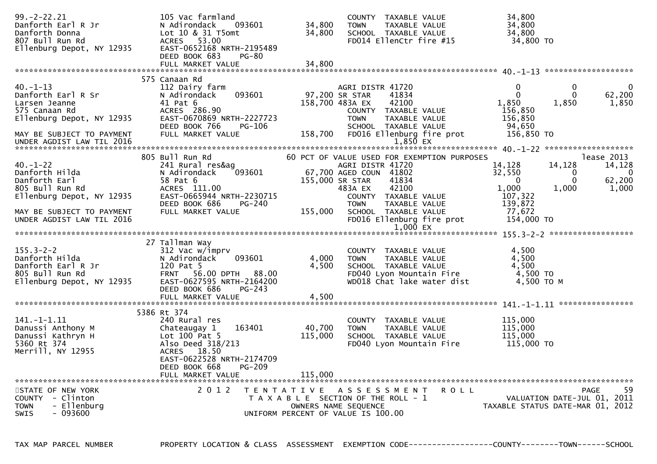| $99. -2 - 22.21$<br>Danforth Earl R Jr       | 105 Vac farmland<br>N Adirondack<br>093601                 | 34,800            | COUNTY TAXABLE VALUE<br><b>TOWN</b><br>TAXABLE VALUE | 34,800<br>34,800                  |                          |
|----------------------------------------------|------------------------------------------------------------|-------------------|------------------------------------------------------|-----------------------------------|--------------------------|
| Danforth Donna                               | Lot 10 & 31 T5omt                                          | 34,800            | SCHOOL TAXABLE VALUE                                 | 34,800                            |                          |
| 807 Bull Run Rd                              | ACRES 53.00                                                |                   | FD014 EllenCtr fire #15                              | 34,800 TO                         |                          |
| Ellenburg Depot, NY 12935                    | EAST-0652168 NRTH-2195489<br>DEED BOOK 683<br><b>PG-80</b> |                   |                                                      |                                   |                          |
|                                              | FULL MARKET VALUE                                          | 34,800            |                                                      |                                   |                          |
|                                              |                                                            |                   |                                                      |                                   |                          |
|                                              | 575 Canaan Rd                                              |                   |                                                      |                                   |                          |
| $40. -1 - 13$<br>Danforth Earl R Sr          | 112 Dairy farm<br>093601<br>N Adirondack                   |                   | AGRI DISTR 41720<br>41834<br>97,200 SR STAR          | 0<br>0<br>$\mathbf 0$<br>$\Omega$ | $\mathbf 0$<br>62,200    |
| Larsen Jeanne                                | 41 Pat 6                                                   |                   | 158,700 483A EX<br>42100                             | 1,850<br>1,850                    | 1,850                    |
| 575 Canaan Rd                                | ACRES 286.90                                               |                   | COUNTY TAXABLE VALUE                                 | 156,850                           |                          |
| Ellenburg Depot, NY 12935                    | EAST-0670869 NRTH-2227723                                  |                   | <b>TOWN</b><br>TAXABLE VALUE                         | 156,850                           |                          |
|                                              | DEED BOOK 766<br>PG-106                                    |                   | SCHOOL TAXABLE VALUE                                 | 94,650                            |                          |
| MAY BE SUBJECT TO PAYMENT                    | FULL MARKET VALUE                                          | 158,700           | FD016 Ellenburg fire prot                            | 156,850 TO                        |                          |
|                                              |                                                            |                   |                                                      |                                   |                          |
|                                              | 805 Bull Run Rd                                            |                   | 60 PCT OF VALUE USED FOR EXEMPTION PURPOSES          |                                   | lease 2013               |
| $40. - 1 - 22$                               | 241 Rural res&ag                                           |                   | AGRI DISTR 41720                                     | 14,128<br>14,128                  | 14,128                   |
| Danforth Hilda                               | 093601<br>N Adirondack                                     |                   | 67,700 AGED COUN 41802                               | 32,550<br>0                       | $\overline{\phantom{0}}$ |
| Danforth Earl                                | 58 Pat 6                                                   |                   | 41834<br>155,000 SR STAR                             | $\Omega$                          | 62,200                   |
| 805 Bull Run Rd<br>Ellenburg Depot, NY 12935 | ACRES 111.00<br>EAST-0665944 NRTH-2230715                  |                   | 42100<br>483A EX<br>COUNTY TAXABLE VALUE             | 1,000<br>1,000<br>107,322         | 1,000                    |
|                                              | DEED BOOK 686<br>PG-240                                    |                   | <b>TOWN</b><br>TAXABLE VALUE                         | 139,872                           |                          |
| MAY BE SUBJECT TO PAYMENT                    | FULL MARKET VALUE                                          | 155,000           | SCHOOL TAXABLE VALUE                                 | 77,672                            |                          |
| UNDER AGDIST LAW TIL 2016                    |                                                            |                   | FD016 Ellenburg fire prot                            | 154,000 TO                        |                          |
|                                              |                                                            |                   | $1,000$ EX                                           |                                   |                          |
|                                              | 27 Tallman Way                                             |                   |                                                      |                                   |                          |
| $155.3 - 2 - 2$                              | 312 Vac w/imprv                                            |                   | COUNTY TAXABLE VALUE                                 | 4,500                             |                          |
| Danforth Hilda                               | 093601<br>N Adirondack                                     | 4,000             | TAXABLE VALUE<br><b>TOWN</b>                         | 4,500                             |                          |
| Danforth Earl R Jr                           | 120 Pat 5                                                  | 4,500             | SCHOOL TAXABLE VALUE                                 | 4,500                             |                          |
| 805 Bull Run Rd                              | FRNT 56.00 DPTH 88.00                                      |                   | FD040 Lyon Mountain Fire                             | 4,500 TO                          |                          |
| Ellenburg Depot, NY 12935                    | EAST-0627595 NRTH-2164200<br>DEED BOOK 686<br>$PG-243$     |                   | WD018 Chat lake water dist                           | 4,500 TO M                        |                          |
|                                              | FULL MARKET VALUE                                          | 4,500             |                                                      |                                   |                          |
|                                              |                                                            |                   |                                                      |                                   |                          |
|                                              | 5386 Rt 374                                                |                   |                                                      |                                   |                          |
| $141. - 1 - 1.11$                            | 240 Rural res                                              |                   | COUNTY TAXABLE VALUE                                 | 115,000                           |                          |
| Danussi Anthony M<br>Danussi Kathryn H       | 163401<br>Chateaugay 1<br>Lot $100$ Pat 5                  | 40,700<br>115,000 | TAXABLE VALUE<br><b>TOWN</b><br>SCHOOL TAXABLE VALUE | 115,000<br>115,000                |                          |
| 5360 Rt 374                                  | Also Deed 318/213                                          |                   | FD040 Lyon Mountain Fire                             | 115,000 TO                        |                          |
| Merrill, NY 12955                            | ACRES 18.50                                                |                   |                                                      |                                   |                          |
|                                              | EAST-0622528 NRTH-2174709                                  |                   |                                                      |                                   |                          |
|                                              | PG-209<br>DEED BOOK 668                                    |                   |                                                      |                                   |                          |
|                                              | FULL MARKET VALUE                                          | 115,000           |                                                      |                                   |                          |
| STATE OF NEW YORK                            | 2 0 1 2                                                    |                   | TENTATIVE ASSESSMENT<br>R O L L                      |                                   | -59<br>PAGE              |
| COUNTY - Clinton                             |                                                            |                   | T A X A B L E SECTION OF THE ROLL - 1                | VALUATION DATE-JUL 01, 2011       |                          |
| - Ellenburg<br><b>TOWN</b>                   |                                                            |                   | OWNERS NAME SEQUENCE                                 | TAXABLE STATUS DATE-MAR 01, 2012  |                          |
| SWIS<br>- 093600                             |                                                            |                   | UNIFORM PERCENT OF VALUE IS 100.00                   |                                   |                          |
|                                              |                                                            |                   |                                                      |                                   |                          |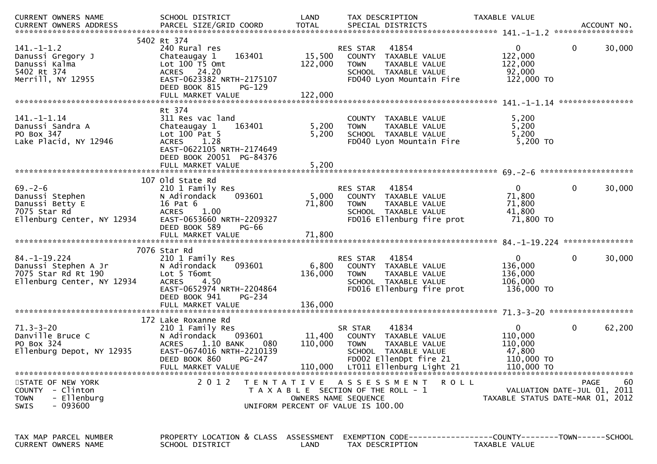| CURRENT OWNERS NAME<br>.CURRENT OWNERS ADDRESS PARCEL SIZE/GRID COORD TOTAL SPECIAL DISTRICTS ACCOUNT NO ACCOUNT NO AND ARCEL SIZE/GRID COORD TOTAL SPECIAL DISTRICTS | SCHOOL DISTRICT                                                                                                                                                                      | LAND                         | TAX DESCRIPTION                                                                                                                                                | TAXABLE VALUE                                                            |                                                                                      |
|-----------------------------------------------------------------------------------------------------------------------------------------------------------------------|--------------------------------------------------------------------------------------------------------------------------------------------------------------------------------------|------------------------------|----------------------------------------------------------------------------------------------------------------------------------------------------------------|--------------------------------------------------------------------------|--------------------------------------------------------------------------------------|
|                                                                                                                                                                       |                                                                                                                                                                                      |                              |                                                                                                                                                                |                                                                          |                                                                                      |
| $141. - 1 - 1.2$<br>Danussi Gregory J<br>Danussi Kalma<br>5402 Rt 374<br>Merrill, NY 12955                                                                            | 5402 Rt 374<br>240 Rural res<br>163401<br>Chateaugay 1<br>Lot $100$ TS Omt<br>ACRES 24.20<br>EAST-0623382 NRTH-2175107<br>DEED BOOK 815<br>PG-129<br>FULL MARKET VALUE               | 15,500<br>122,000<br>122,000 | 41854<br>RES STAR<br>COUNTY TAXABLE VALUE<br><b>TOWN</b><br>TAXABLE VALUE<br>SCHOOL TAXABLE VALUE<br>FD040 Lyon Mountain Fire                                  | $\Omega$<br>122,000<br>122,000<br>92,000<br>122,000 TO                   | 0<br>30,000                                                                          |
|                                                                                                                                                                       | Rt 374                                                                                                                                                                               |                              |                                                                                                                                                                |                                                                          |                                                                                      |
| 141. - 1 - 1.14<br>Danussi Sandra A<br>PO Box 347<br>Lake Placid, NY 12946                                                                                            | 311 Res vac land<br>Chateaugay 1<br>163401<br>Lot $100$ Pat 5<br>ACRES 1.28<br>EAST-0622105 NRTH-2174649<br>DEED BOOK 20051 PG-84376                                                 | 5,200<br>5,200               | COUNTY TAXABLE VALUE<br>TAXABLE VALUE<br><b>TOWN</b><br>SCHOOL TAXABLE VALUE<br>FD040 Lyon Mountain Fire                                                       | 5,200<br>5,200<br>5,200<br>5,200 TO                                      |                                                                                      |
|                                                                                                                                                                       |                                                                                                                                                                                      |                              |                                                                                                                                                                |                                                                          |                                                                                      |
| $69. - 2 - 6$<br>Danussi Stephen<br>Danussi Betty E<br>7075 Star Rd<br>Ellenburg Center, NY 12934                                                                     | 107 old State Rd<br>210 1 Family Res<br>N Adirondack<br>093601<br>16 Pat 6<br><b>ACRES</b><br>1.00<br>EAST-0653660 NRTH-2209327<br>DEED BOOK 589<br>PG-66                            | 5,000<br>71,800              | RES STAR<br>41854<br>COUNTY TAXABLE VALUE<br><b>TOWN</b><br>TAXABLE VALUE<br>SCHOOL TAXABLE VALUE<br>FD016 Ellenburg fire prot                                 | $\overline{0}$<br>71,800<br>71,800<br>41,800<br>71,800 TO                | 0<br>30,000                                                                          |
|                                                                                                                                                                       |                                                                                                                                                                                      |                              |                                                                                                                                                                |                                                                          |                                                                                      |
|                                                                                                                                                                       | 7076 Star Rd                                                                                                                                                                         |                              |                                                                                                                                                                |                                                                          |                                                                                      |
| $84. - 1 - 19.224$<br>Danussi Stephen A Jr<br>7075 Star Rd Rt 190<br>Ellenburg Center, NY 12934                                                                       | 210 1 Family Res<br>093601<br>N Adirondack<br>Lot 5 T6omt<br>4.50<br><b>ACRES</b><br>EAST-0652974 NRTH-2204864<br>DEED BOOK 941<br>PG-234                                            | 6,800<br>136,000             | RES STAR<br>41854<br>COUNTY TAXABLE VALUE<br>TAXABLE VALUE<br><b>TOWN</b><br>SCHOOL TAXABLE VALUE<br>FD016 Ellenburg fire prot                                 | $\mathbf{0}$<br>136,000<br>136,000<br>106,000<br>136,000 TO              | 0<br>30,000                                                                          |
|                                                                                                                                                                       |                                                                                                                                                                                      |                              |                                                                                                                                                                |                                                                          |                                                                                      |
| $71.3 - 3 - 20$<br>Danville Bruce C<br>PO Box 324<br>Ellenburg Depot, NY 12935                                                                                        | 172 Lake Roxanne Rd<br>210 1 Family Res<br>093601<br>N Adirondack<br>$1.10$ BANK<br><b>ACRES</b><br>080<br>EAST-0674016 NRTH-2210139<br>DEED BOOK 860<br>PG-247<br>FULL MARKET VALUE | 11,400<br>110,000            | 41834<br>SR STAR<br>COUNTY TAXABLE VALUE<br>TAXABLE VALUE<br><b>TOWN</b><br>SCHOOL TAXABLE VALUE<br>FD002 EllenDpt fire 21<br>110,000 LT011 Ellenburg Light 21 | $\mathbf{0}$<br>110,000<br>110,000<br>47,800<br>110,000 TO<br>110,000 TO | 0<br>62,200                                                                          |
| STATE OF NEW YORK<br>COUNTY - Clinton<br>- Ellenburg<br><b>TOWN</b><br>- 093600<br><b>SWIS</b>                                                                        | 2 0 1 2                                                                                                                                                                              |                              | <b>ROLL</b><br>TENTATIVE ASSESSMENT<br>T A X A B L E SECTION OF THE ROLL - 1<br>OWNERS NAME SEQUENCE<br>UNIFORM PERCENT OF VALUE IS 100.00                     |                                                                          | 60<br><b>PAGE</b><br>VALUATION DATE-JUL 01, 2011<br>TAXABLE STATUS DATE-MAR 01, 2012 |
| TAX MAP PARCEL NUMBER<br>CURRENT OWNERS NAME                                                                                                                          | PROPERTY LOCATION & CLASS ASSESSMENT<br>SCHOOL DISTRICT                                                                                                                              | LAND                         | EXEMPTION CODE-----------------COUNTY-------TOWN------SCHOOL<br>TAX DESCRIPTION                                                                                | TAXABLE VALUE                                                            |                                                                                      |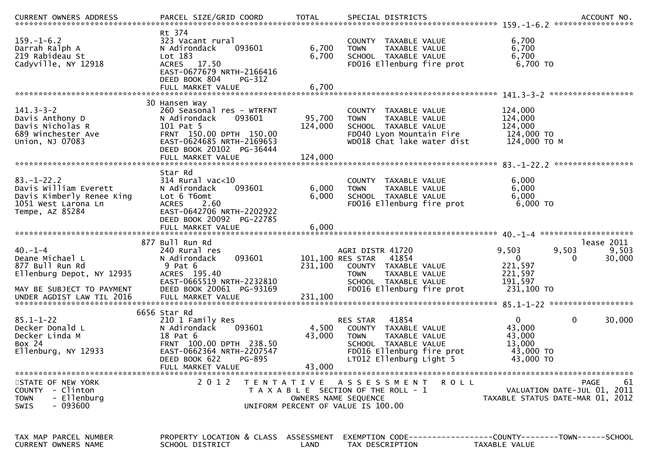| .CURRENT OWNERS ADDRESS PARCEL SIZE/GRID COORD TOTAL SPECIAL DISTRICTS ACCOUNT NO ACCOUNT NO ACCOUNT NO AND ARTY |                                                                                                                                                                       |                   |                                                                                                                                                            |                                                                        |                                                  |
|------------------------------------------------------------------------------------------------------------------|-----------------------------------------------------------------------------------------------------------------------------------------------------------------------|-------------------|------------------------------------------------------------------------------------------------------------------------------------------------------------|------------------------------------------------------------------------|--------------------------------------------------|
| $159. - 1 - 6.2$<br>Darrah Ralph A<br>219 Rabideau St<br>Cadyville, NY 12918                                     | Rt 374<br>323 Vacant rural<br>N Adirondack<br>093601<br>Lot 183<br>ACRES 17.50<br>EAST-0677679 NRTH-2166416<br>DEED BOOK 804<br>PG-312                                | 6,700<br>6,700    | COUNTY TAXABLE VALUE<br>TAXABLE VALUE<br><b>TOWN</b><br>SCHOOL TAXABLE VALUE<br>FD016 Ellenburg fire prot                                                  | 6,700<br>6,700<br>6,700<br>6,700 TO                                    |                                                  |
|                                                                                                                  |                                                                                                                                                                       |                   |                                                                                                                                                            |                                                                        |                                                  |
| $141.3 - 3 - 2$<br>Davis Anthony D<br>Davis Nicholas R<br>689 Winchester Ave<br>Union, NJ 07083                  | 30 Hansen Way<br>260 Seasonal res - WTRFNT<br>093601<br>N Adirondack<br>101 Pat 5<br>FRNT 150.00 DPTH 150.00<br>EAST-0624685 NRTH-2169653<br>DEED BOOK 20102 PG-36444 | 95,700<br>124,000 | COUNTY TAXABLE VALUE<br>TAXABLE VALUE<br><b>TOWN</b><br>SCHOOL TAXABLE VALUE<br>FD040 Lyon Mountain Fire<br>WD018 Chat lake water dist                     | 124,000<br>124,000<br>124,000<br>124,000 TO<br>124,000 ТО М            |                                                  |
|                                                                                                                  |                                                                                                                                                                       |                   |                                                                                                                                                            |                                                                        |                                                  |
| $83. - 1 - 22.2$<br>Davis William Everett<br>Davis Kimberly Renee King<br>1051 West Larona Ln<br>Tempe, AZ 85284 | Star Rd<br>$314$ Rural vac<10<br>N Adirondack<br>093601<br>Lot 6 T6omt<br><b>ACRES</b><br>2.60<br>EAST-0642706 NRTH-2202922                                           | 6,000<br>6,000    | COUNTY TAXABLE VALUE<br>TAXABLE VALUE<br><b>TOWN</b><br>SCHOOL TAXABLE VALUE<br>FD016 Ellenburg fire prot                                                  | 6,000<br>6,000<br>6,000<br>6,000 TO                                    |                                                  |
|                                                                                                                  | DEED BOOK 20092 PG-22785                                                                                                                                              |                   |                                                                                                                                                            |                                                                        |                                                  |
| $40. - 1 - 4$<br>Deane Michael L<br>877 Bull Run Rd<br>Ellenburg Depot, NY 12935<br>MAY BE SUBJECT TO PAYMENT    | 877 Bull Run Rd<br>240 Rural res<br>093601<br>N Adirondack<br>9 Pat 6<br>ACRES 195.40<br>EAST-0665519 NRTH-2232810<br>DEED BOOK 20061 PG-93169                        | 231,100           | AGRI DISTR 41720<br>101,100 RES STAR<br>41854<br>COUNTY TAXABLE VALUE<br><b>TOWN</b><br>TAXABLE VALUE<br>SCHOOL TAXABLE VALUE<br>FD016 Ellenburg fire prot | 9,503<br>$\mathbf{0}$<br>221,597<br>221,597<br>191,597<br>231,100 TO   | lease 2011<br>9,503<br>9,503<br>30,000<br>0      |
|                                                                                                                  | 6656 Star Rd                                                                                                                                                          |                   |                                                                                                                                                            |                                                                        |                                                  |
| $85.1 - 1 - 22$<br>Decker Donald L<br>Decker Linda M<br>Box 24<br>Ellenburg, NY 12933                            | 210 1 Family Res<br>N Adirondack<br>093601<br>18 Pat 6<br>FRNT 100.00 DPTH 238.50<br>EAST-0662364 NRTH-2207547<br>DEED BOOK 622<br>PG-895                             | 4,500<br>43,000   | 41854<br>RES STAR<br>COUNTY TAXABLE VALUE<br><b>TOWN</b><br>TAXABLE VALUE<br>SCHOOL TAXABLE VALUE<br>FD016 Ellenburg fire prot<br>LT012 Ellenburg Light 5  | $\overline{0}$<br>43,000<br>43,000<br>13,000<br>43,000 TO<br>43,000 TO | $\mathbf 0$<br>30,000                            |
| STATE OF NEW YORK<br>COUNTY - Clinton<br>- Ellenburg<br><b>TOWN</b><br>- 093600<br><b>SWIS</b>                   | FULL MARKET VALUE<br>2 0 1 2                                                                                                                                          | 43,000            | TENTATIVE ASSESSMENT<br><b>ROLL</b><br>T A X A B L E SECTION OF THE ROLL - 1<br>OWNERS NAME SEQUENCE<br>UNIFORM PERCENT OF VALUE IS 100.00                 | TAXABLE STATUS DATE-MAR 01, 2012                                       | <b>PAGE</b><br>61<br>VALUATION DATE-JUL 01, 2011 |
| TAX MAP PARCEL NUMBER<br>CURRENT OWNERS NAME                                                                     | PROPERTY LOCATION & CLASS ASSESSMENT<br>SCHOOL DISTRICT                                                                                                               | LAND              | EXEMPTION CODE------------------COUNTY--------TOWN------SCHOOL<br>TAX DESCRIPTION                                                                          | TAXABLE VALUE                                                          |                                                  |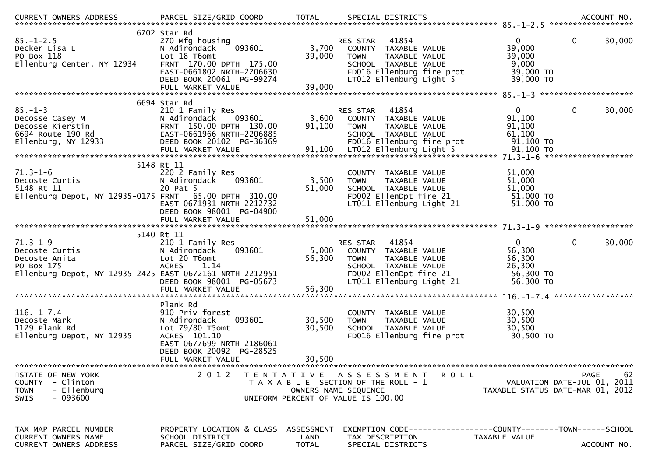| $85. - 1 - 2.5$<br>Decker Lisa L<br>PO Box 118<br>Ellenburg Center, NY 12934                                                | 6702 Star Rd<br>270 Mfg housing<br>093601<br>N Adirondack<br>Lot 18 T6omt<br>FRNT 170.00 DPTH 175.00<br>EAST-0661802 NRTH-2206630<br>DEED BOOK 20061 PG-99274 | 3,700<br>39,000                                                                                                             | RES STAR<br><b>TOWN</b>       | 41854<br>COUNTY TAXABLE VALUE<br>TAXABLE VALUE<br>SCHOOL TAXABLE VALUE<br>FD016 Ellenburg fire prot<br>LT012 Ellenburg Light 5 |                                                                | $\mathbf{0}$<br>39,000<br>39,000<br>9,000<br>39,000 TO<br>39,000 TO    | $\mathbf 0$<br>30,000                                                         |
|-----------------------------------------------------------------------------------------------------------------------------|---------------------------------------------------------------------------------------------------------------------------------------------------------------|-----------------------------------------------------------------------------------------------------------------------------|-------------------------------|--------------------------------------------------------------------------------------------------------------------------------|----------------------------------------------------------------|------------------------------------------------------------------------|-------------------------------------------------------------------------------|
|                                                                                                                             | 6694 Star Rd                                                                                                                                                  |                                                                                                                             |                               |                                                                                                                                |                                                                |                                                                        |                                                                               |
| $85. - 1 - 3$<br>Decosse Casey M<br>Decosse Kierstin<br>6694 Route 190 Rd<br>$E1$ lenburg, NY 12933                         | 210 1 Family Res<br>N Adirondack<br>093601<br>FRNT 150.00 DPTH 130.00<br>EAST-0661966 NRTH-2206885<br>DEED BOOK 20102 PG-36369                                | 3,600<br>91,100                                                                                                             | RES STAR 41854<br><b>TOWN</b> | COUNTY TAXABLE VALUE<br>TAXABLE VALUE<br>SCHOOL TAXABLE VALUE<br>FD016 Ellenburg fire prot                                     |                                                                | $\Omega$<br>91,100<br>91,100<br>61,100<br>91,100 TO                    | 0<br>30,000                                                                   |
|                                                                                                                             | 5148 Rt 11                                                                                                                                                    |                                                                                                                             |                               |                                                                                                                                |                                                                |                                                                        |                                                                               |
| $71.3 - 1 - 6$<br>Decoste Curtis<br>5148 Rt 11<br>Ellenburg Depot, NY 12935-0175 FRNT                                       | 220 2 Family Res<br>N Adirondack<br>093601<br>20 Pat 5<br>65.00 DPTH 310.00<br>EAST-0671931 NRTH-2212732<br>DEED BOOK 98001 PG-04900                          | 3,500<br>51,000                                                                                                             | <b>TOWN</b>                   | COUNTY TAXABLE VALUE<br>TAXABLE VALUE<br>SCHOOL TAXABLE VALUE<br>FD002 EllenDpt fire 21<br>LT011 Ellenburg Light 21            |                                                                | 51,000<br>51,000<br>51,000<br>51,000 TO<br>51,000 TO                   |                                                                               |
|                                                                                                                             | FULL MARKET VALUE                                                                                                                                             | 51,000                                                                                                                      |                               |                                                                                                                                |                                                                |                                                                        |                                                                               |
| $71.3 - 1 - 9$<br>Decoste Curtis<br>Decoste Anita<br>PO Box 175<br>Ellenburg Depot, NY 12935-2425 EAST-0672161 NRTH-2212951 | 5140 Rt 11<br>210 1 Family Res<br>N Adirondack<br>093601<br>Lot 20 T6omt<br><b>ACRES</b><br>1.14<br>DEED BOOK 98001 PG-05673                                  | 5,000<br>56,300                                                                                                             | RES STAR<br><b>TOWN</b>       | 41854<br>COUNTY TAXABLE VALUE<br>TAXABLE VALUE<br>SCHOOL TAXABLE VALUE<br>FD002 EllenDpt fire 21<br>LT011 Ellenburg Light 21   |                                                                | $\overline{0}$<br>56,300<br>56,300<br>26,300<br>56,300 TO<br>56,300 TO | 0<br>30,000                                                                   |
|                                                                                                                             | Plank Rd                                                                                                                                                      |                                                                                                                             |                               |                                                                                                                                |                                                                |                                                                        |                                                                               |
| $116. - 1 - 7.4$<br>Decoste Mark<br>1129 Plank Rd<br>Ellenburg Depot, NY 12935                                              | 910 Priv forest<br>093601<br>N Adirondack<br>Lot 79/80 T5omt<br>ACRES 101.10<br>EAST-0677699 NRTH-2186061<br>DEED BOOK 20092 PG-28525                         | 30,500<br>30,500                                                                                                            | <b>TOWN</b>                   | COUNTY TAXABLE VALUE<br>TAXABLE VALUE<br>SCHOOL TAXABLE VALUE<br>FD016 Ellenburg fire prot                                     |                                                                | 30,500<br>30,500<br>30,500<br>30,500 TO                                |                                                                               |
|                                                                                                                             | FULL MARKET VALUE                                                                                                                                             | 30,500                                                                                                                      |                               |                                                                                                                                |                                                                |                                                                        |                                                                               |
| STATE OF NEW YORK<br>COUNTY - Clinton<br>- Ellenburg<br><b>TOWN</b><br>$-093600$<br><b>SWIS</b>                             | 2 0 1 2                                                                                                                                                       | TENTATIVE ASSESSMENT<br>T A X A B L E SECTION OF THE ROLL - 1<br>OWNERS NAME SEQUENCE<br>UNIFORM PERCENT OF VALUE IS 100.00 |                               |                                                                                                                                | <b>ROLL</b>                                                    |                                                                        | 62<br>PAGE<br>VALUATION DATE-JUL 01, 2011<br>TAXABLE STATUS DATE-MAR 01, 2012 |
| TAX MAP PARCEL NUMBER<br>CURRENT OWNERS NAME<br><b>CURRENT OWNERS ADDRESS</b>                                               | PROPERTY LOCATION & CLASS ASSESSMENT<br>SCHOOL DISTRICT<br>PARCEL SIZE/GRID COORD                                                                             | LAND<br><b>TOTAL</b>                                                                                                        |                               | TAX DESCRIPTION<br>SPECIAL DISTRICTS                                                                                           | EXEMPTION CODE------------------COUNTY--------TOWN------SCHOOL | TAXABLE VALUE                                                          | ACCOUNT NO.                                                                   |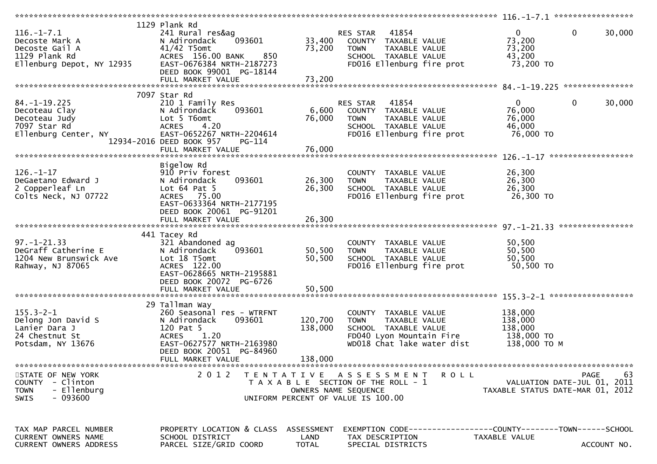|                                                                                                    |                                                                                                                                                                                        |                            |                                                                                                                                        | $116, -1 - 7, 1$ ******************                             |                        |
|----------------------------------------------------------------------------------------------------|----------------------------------------------------------------------------------------------------------------------------------------------------------------------------------------|----------------------------|----------------------------------------------------------------------------------------------------------------------------------------|-----------------------------------------------------------------|------------------------|
| $116. - 1 - 7.1$<br>Decoste Mark A<br>Decoste Gail A<br>1129 Plank Rd<br>Ellenburg Depot, NY 12935 | 1129 Plank Rd<br>241 Rural res&ag<br>093601<br>N Adirondack<br>$41/42$ T5omt<br>ACRES 156.00 BANK<br>850<br>EAST-0676384 NRTH-2187273<br>DEED BOOK 99001 PG-18144<br>FULL MARKET VALUE | 33,400<br>73,200<br>73,200 | 41854<br>RES STAR<br>COUNTY TAXABLE VALUE<br>TAXABLE VALUE<br><b>TOWN</b><br>SCHOOL TAXABLE VALUE<br>FD016 Ellenburg fire prot         | $\mathbf{0}$<br>73,200<br>73,200<br>43,200<br>73,200 TO         | $\mathbf 0$<br>30,000  |
|                                                                                                    | 7097 Star Rd                                                                                                                                                                           |                            |                                                                                                                                        |                                                                 |                        |
| $84. -1 - 19.225$<br>Decoteau Clay<br>Decoteau Judy<br>7097 Star Rd<br>Ellenburg Center, NY        | 210 1 Family Res<br>093601<br>N Adirondack<br>Lot 5 T6omt<br>4.20<br><b>ACRES</b><br>EAST-0652267 NRTH-2204614<br>12934-2016 DEED BOOK 957<br>PG-114                                   | 6,600<br>76,000            | 41854<br>RES STAR<br>COUNTY TAXABLE VALUE<br>TAXABLE VALUE<br><b>TOWN</b><br>SCHOOL TAXABLE VALUE<br>FD016 Ellenburg fire prot         | $\Omega$<br>76,000<br>76,000<br>46,000<br>76,000 TO             | $\mathbf{0}$<br>30,000 |
|                                                                                                    |                                                                                                                                                                                        |                            |                                                                                                                                        |                                                                 | ******************     |
| $126. - 1 - 17$<br>DeGaetano Edward J<br>2 Copperleaf Ln<br>Colts Neck, NJ 07722                   | Bigelow Rd<br>910 Priv forest<br>093601<br>N Adirondack<br>Lot $64$ Pat $5$<br>ACRES 75.00<br>EAST-0633364 NRTH-2177195                                                                | 26,300<br>26,300           | COUNTY TAXABLE VALUE<br><b>TOWN</b><br>TAXABLE VALUE<br>SCHOOL TAXABLE VALUE<br>FD016 Ellenburg fire prot                              | 26,300<br>26,300<br>26,300<br>26,300 TO                         |                        |
|                                                                                                    | DEED BOOK 20061 PG-91201                                                                                                                                                               |                            |                                                                                                                                        |                                                                 |                        |
| $97. - 1 - 21.33$<br>DeGraff Catherine E<br>1204 New Brunswick Ave<br>Rahway, NJ 87065             | 441 Tacey Rd<br>321 Abandoned ag<br>093601<br>N Adirondack<br>Lot 18 T5omt<br>ACRES 122.00<br>EAST-0628665 NRTH-2195881<br>DEED BOOK 20072 PG-6726                                     | 50,500<br>50,500           | COUNTY TAXABLE VALUE<br>TAXABLE VALUE<br><b>TOWN</b><br>SCHOOL TAXABLE VALUE<br>FD016 Ellenburg fire prot                              | 50,500<br>50,500<br>50,500<br>50,500 TO                         |                        |
|                                                                                                    |                                                                                                                                                                                        |                            |                                                                                                                                        |                                                                 |                        |
| $155.3 - 2 - 1$<br>Delong Jon David S<br>Lanier Dara J<br>24 Chestnut St<br>Potsdam, NY 13676      | 29 Tallman Way<br>260 Seasonal res - WTRFNT<br>N Adirondack<br>093601<br>120 Pat 5<br>1.20<br><b>ACRES</b><br>EAST-0627577 NRTH-2163980<br>DEED BOOK 20051 PG-84960                    | 120,700<br>138,000         | COUNTY TAXABLE VALUE<br>TAXABLE VALUE<br><b>TOWN</b><br>SCHOOL TAXABLE VALUE<br>FD040 Lyon Mountain Fire<br>WD018 Chat lake water dist | 138,000<br>138,000<br>138,000<br>138,000 TO<br>138,000 ТО М     |                        |
|                                                                                                    | FULL MARKET VALUE                                                                                                                                                                      | 138,000                    |                                                                                                                                        |                                                                 |                        |
| STATE OF NEW YORK<br>COUNTY - Clinton<br>- Ellenburg<br><b>TOWN</b><br>$-093600$<br><b>SWIS</b>    | 2 0 1 2                                                                                                                                                                                | OWNERS NAME SEQUENCE       | TENTATIVE ASSESSMENT<br><b>ROLL</b><br>T A X A B L E SECTION OF THE ROLL - 1<br>UNIFORM PERCENT OF VALUE IS 100.00                     | VALUATION DATE-JUL 01, 2011<br>TAXABLE STATUS DATE-MAR 01, 2012 | 63<br><b>PAGE</b>      |
| TAX MAP PARCEL NUMBER<br><b>CURRENT OWNERS NAME</b><br>CURRENT OWNERS ADDRESS                      | PROPERTY LOCATION & CLASS ASSESSMENT<br>SCHOOL DISTRICT<br>PARCEL SIZE/GRID COORD                                                                                                      | LAND<br><b>TOTAL</b>       | EXEMPTION        CODE-----------------COUNTY-------TOWN------SCHOOL<br>TAX DESCRIPTION<br>SPECIAL DISTRICTS                            | TAXABLE VALUE                                                   | ACCOUNT NO.            |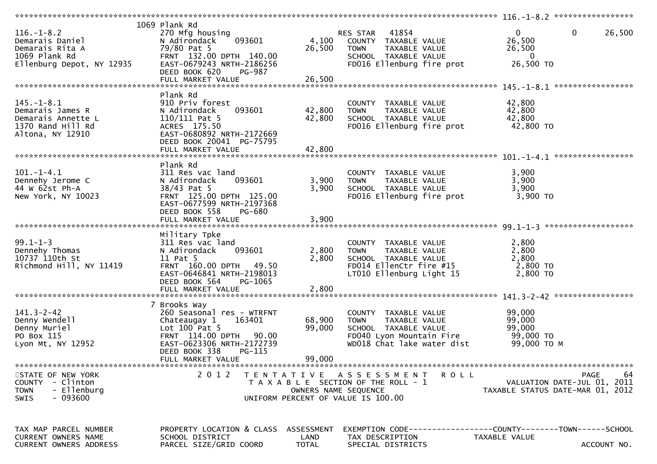| $116. - 1 - 8.2$<br>Demarais Daniel<br>Demarais Rita A<br>1069 Plank Rd<br>Ellenburg Depot, NY 12935 | 1069 Plank Rd<br>270 Mfg housing<br>093601<br>N Adirondack<br>79/80 Pat 5<br>FRNT 132.00 DPTH 140.00<br>EAST-0679243 NRTH-2186256<br>DEED BOOK 620<br><b>PG-987</b><br>FULL MARKET VALUE      | 4,100<br>26,500<br>26,500  | 41854<br>RES STAR<br>COUNTY TAXABLE VALUE<br>TAXABLE VALUE<br><b>TOWN</b><br>SCHOOL TAXABLE VALUE<br>FD016 Ellenburg fire prot            | 26,500<br>$\mathbf{0}$<br>0<br>26,500<br>26,500<br>$\overline{0}$<br>26,500 TO                 |
|------------------------------------------------------------------------------------------------------|-----------------------------------------------------------------------------------------------------------------------------------------------------------------------------------------------|----------------------------|-------------------------------------------------------------------------------------------------------------------------------------------|------------------------------------------------------------------------------------------------|
| $145. - 1 - 8.1$<br>Demarais James R<br>Demarais Annette L<br>1370 Rand Hill Rd<br>Altona, NY 12910  | Plank Rd<br>910 Priv forest<br>093601<br>N Adirondack<br>110/111 Pat 5<br>ACRES 175.50<br>EAST-0680892 NRTH-2172669<br>DEED BOOK 20041 PG-75795                                               | 42,800<br>42,800           | COUNTY TAXABLE VALUE<br>TAXABLE VALUE<br><b>TOWN</b><br>SCHOOL TAXABLE VALUE<br>FD016 Ellenburg fire prot                                 | 42,800<br>42,800<br>42,800<br>42,800 TO                                                        |
| $101.-1-4.1$<br>Dennehy Jerome C<br>44 W 62st Ph-A<br>New York, NY 10023                             | Plank Rd<br>311 Res vac land<br>093601<br>N Adirondack<br>38/43 Pat 5<br>FRNT 125.00 DPTH 125.00<br>EAST-0677599 NRTH-2197368<br>DEED BOOK 558<br>PG-680<br>FULL MARKET VALUE                 | 3,900<br>3,900<br>3,900    | COUNTY TAXABLE VALUE<br><b>TOWN</b><br>TAXABLE VALUE<br>SCHOOL TAXABLE VALUE<br>FD016 Ellenburg fire prot                                 | 3,900<br>3,900<br>3,900<br>3,900 TO                                                            |
| $99.1 - 1 - 3$<br>Dennehy Thomas<br>10737 110th St<br>Richmond Hill, NY 11419                        | Military Tpke<br>311 Res vac land<br>093601<br>N Adirondack<br>11 Pat 5<br>FRNT 160.00 DPTH 49.50<br>EAST-0646841 NRTH-2198013<br>DEED BOOK 564<br>PG-1065                                    | 2,800<br>2,800             | COUNTY TAXABLE VALUE<br>TAXABLE VALUE<br><b>TOWN</b><br>SCHOOL TAXABLE VALUE<br>FD014 EllenCtr fire #15<br>LT010 Ellenburg Light 15       | 2,800<br>2,800<br>2,800<br>2,800 TO<br>2,800 TO                                                |
| $141.3 - 2 - 42$<br>Denny Wendell<br>Denny Muriel<br>PO Box 115<br>Lyon Mt, NY 12952                 | 7 Brooks Way<br>260 Seasonal res - WTRFNT<br>Chateaugay 1<br>163401<br>Lot $100$ Pat 5<br>FRNT 114.00 DPTH 90.00<br>EAST-0623306 NRTH-2172739<br>DEED BOOK 338<br>PG-115<br>FULL MARKET VALUE | 68,900<br>99,000<br>99,000 | COUNTY TAXABLE VALUE<br>TAXABLE VALUE<br><b>TOWN</b><br>SCHOOL TAXABLE VALUE<br>FD040 Lyon Mountain Fire<br>WD018 Chat lake water dist    | 99,000<br>99,000<br>99,000<br>99,000 TO<br>99,000 ТО М                                         |
| STATE OF NEW YORK<br>COUNTY - Clinton<br>- Ellenburg<br><b>TOWN</b><br>- 093600<br><b>SWIS</b>       | 2 0 1 2                                                                                                                                                                                       | T E N T A T I V E          | <b>ROLL</b><br>A S S E S S M E N T<br>T A X A B L E SECTION OF THE ROLL - 1<br>OWNERS NAME SEQUENCE<br>UNIFORM PERCENT OF VALUE IS 100.00 | 64<br>PAGE<br>VALUATION DATE-JUL 01, 2011<br>TAXABLE STATUS DATE-MAR 01, 2012                  |
| TAX MAP PARCEL NUMBER<br><b>CURRENT OWNERS NAME</b><br>CURRENT OWNERS ADDRESS                        | PROPERTY LOCATION & CLASS ASSESSMENT<br>SCHOOL DISTRICT<br>PARCEL SIZE/GRID COORD                                                                                                             | LAND<br><b>TOTAL</b>       | TAX DESCRIPTION<br>SPECIAL DISTRICTS                                                                                                      | EXEMPTION CODE------------------COUNTY--------TOWN------SCHOOL<br>TAXABLE VALUE<br>ACCOUNT NO. |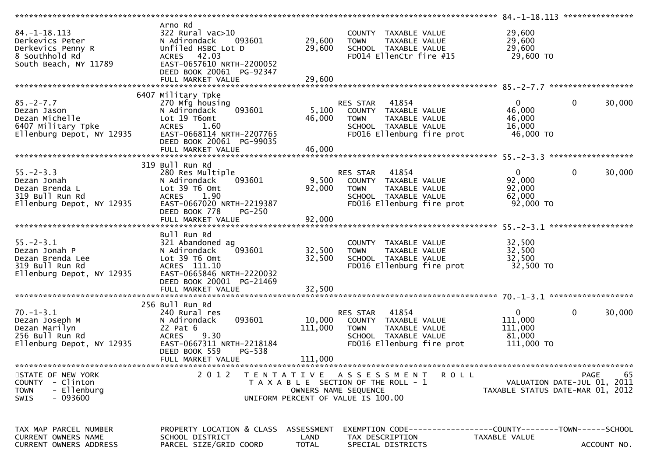|                                                                                                       |                                                                                                                                                             |                      |                                                                                                                                            |                                                                | 84. -1 -18.113 ****************           |
|-------------------------------------------------------------------------------------------------------|-------------------------------------------------------------------------------------------------------------------------------------------------------------|----------------------|--------------------------------------------------------------------------------------------------------------------------------------------|----------------------------------------------------------------|-------------------------------------------|
| $84. - 1 - 18.113$<br>Derkevics Peter<br>Derkevics Penny R<br>8 Southhold Rd<br>South Beach, NY 11789 | Arno Rd<br>322 Rural vac>10<br>N Adirondack<br>093601<br>Unfiled HSBC Lot D<br>ACRES 42.03<br>EAST-0657610 NRTH-2200052<br>DEED BOOK 20061 PG-92347         | 29,600<br>29,600     | COUNTY TAXABLE VALUE<br><b>TOWN</b><br>TAXABLE VALUE<br>SCHOOL TAXABLE VALUE<br>FD014 EllenCtr fire #15                                    | 29,600<br>29,600<br>29,600<br>29,600 TO                        |                                           |
|                                                                                                       | 6407 Military Tpke                                                                                                                                          |                      |                                                                                                                                            |                                                                |                                           |
| $85. - 2 - 7.7$<br>Dezan Jason<br>Dezan Michelle<br>6407 Military Tpke<br>Ellenburg Depot, NY 12935   | 270 Mfg housing<br>N Adirondack<br>093601<br>Lot 19 T6omt<br><b>ACRES</b><br>1.60<br>EAST-0668114 NRTH-2207765<br>DEED BOOK 20061 PG-99035                  | 5,100<br>46,000      | RES STAR 41854<br>COUNTY TAXABLE VALUE<br>TAXABLE VALUE<br><b>TOWN</b><br>SCHOOL TAXABLE VALUE<br>FD016 Ellenburg fire prot                | $\overline{0}$<br>46,000<br>46,000<br>16,000<br>46,000 TO      | $\mathbf 0$<br>30,000                     |
|                                                                                                       |                                                                                                                                                             |                      |                                                                                                                                            |                                                                |                                           |
| $55. - 2 - 3.3$<br>Dezan Jonah<br>Dezan Brenda L<br>319 Bull Run Rd<br>Ellenburg Depot, NY 12935      | 319 Bull Run Rd<br>280 Res Multiple<br>093601<br>N Adirondack<br>Lot 39 T6 Omt<br>ACRES 1.90<br>EAST-0667020 NRTH-2219387<br>DEED BOOK 778<br><b>PG-250</b> | 9,500<br>92,000      | RES STAR 41854<br>COUNTY TAXABLE VALUE<br><b>TOWN</b><br>TAXABLE VALUE<br>SCHOOL TAXABLE VALUE<br>FD016 Ellenburg fire prot                | $\overline{0}$<br>92,000<br>92,000<br>62,000<br>92,000 TO      | $\mathbf 0$<br>30,000                     |
|                                                                                                       |                                                                                                                                                             |                      |                                                                                                                                            |                                                                |                                           |
| $55. - 2 - 3.1$<br>Dezan Jonah P<br>Dezan Brenda Lee<br>319 Bull Run Rd<br>Ellenburg Depot, NY 12935  | Bull Run Rd<br>321 Abandoned ag<br>093601<br>N Adirondack<br>Lot 39 T6 Omt<br>ACRES 111.10<br>EAST-0665846 NRTH-2220032<br>DEED BOOK 20001 PG-21469         | 32,500<br>32,500     | COUNTY TAXABLE VALUE<br>TAXABLE VALUE<br>TOWN<br>SCHOOL TAXABLE VALUE<br>FD016 Ellenburg fire prot                                         | 32,500<br>32,500<br>32,500<br>32,500 TO                        |                                           |
|                                                                                                       |                                                                                                                                                             |                      |                                                                                                                                            |                                                                |                                           |
| $70. - 1 - 3.1$<br>Dezan Joseph M<br>Dezan Marilyn<br>256 Bull Run Rd<br>Ellenburg Depot, NY 12935    | 256 Bull Run Rd<br>240 Rural res<br>093601<br>N Adirondack<br>22 Pat 6<br>9.30<br><b>ACRES</b><br>EAST-0667311 NRTH-2218184<br>DEED BOOK 559<br>PG-538      | 10,000<br>111,000    | RES STAR<br>41854<br>COUNTY TAXABLE VALUE<br><b>TOWN</b><br>TAXABLE VALUE<br>SCHOOL TAXABLE VALUE<br>FD016 Ellenburg fire prot             | $\overline{0}$<br>111,000<br>111,000<br>81,000<br>$111,000$ TO | $\mathbf{0}$<br>30,000                    |
|                                                                                                       | FULL MARKET VALUE                                                                                                                                           | 111,000              |                                                                                                                                            |                                                                |                                           |
| STATE OF NEW YORK<br>- Clinton<br><b>COUNTY</b><br>- Ellenburg<br><b>TOWN</b><br>- 093600<br>SWIS     | 2 0 1 2                                                                                                                                                     |                      | TENTATIVE ASSESSMENT<br><b>ROLL</b><br>T A X A B L E SECTION OF THE ROLL - 1<br>OWNERS NAME SEQUENCE<br>UNIFORM PERCENT OF VALUE IS 100.00 | TAXABLE STATUS DATE-MAR 01, 2012                               | 65<br>PAGE<br>VALUATION DATE-JUL 01, 2011 |
|                                                                                                       |                                                                                                                                                             |                      |                                                                                                                                            |                                                                |                                           |
| TAX MAP PARCEL NUMBER<br>CURRENT OWNERS NAME<br>CURRENT OWNERS ADDRESS                                | PROPERTY LOCATION & CLASS ASSESSMENT<br>SCHOOL DISTRICT<br>PARCEL SIZE/GRID COORD                                                                           | LAND<br><b>TOTAL</b> | EXEMPTION CODE------------------COUNTY--------TOWN------SCHOOL<br>TAX DESCRIPTION<br>SPECIAL DISTRICTS                                     | TAXABLE VALUE                                                  | ACCOUNT NO.                               |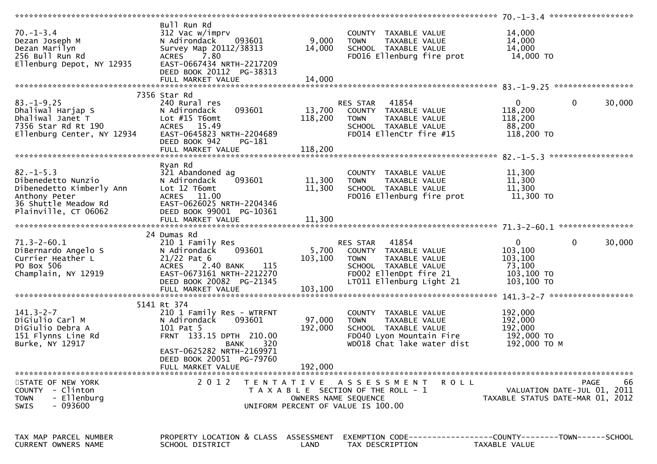|                                                                                                                |                                                                                                                                                               |                      |                                                                                                                                                            | 70. -1-3.4 ********************                                                             |                   |
|----------------------------------------------------------------------------------------------------------------|---------------------------------------------------------------------------------------------------------------------------------------------------------------|----------------------|------------------------------------------------------------------------------------------------------------------------------------------------------------|---------------------------------------------------------------------------------------------|-------------------|
| $70. - 1 - 3.4$<br>Dezan Joseph M<br>Dezan Marilyn<br>256 Bull Run Rd<br>Ellenburg Depot, NY 12935             | Bull Run Rd<br>312 Vac w/imprv<br>093601<br>N Adirondack<br>Survey Map 20112/38313<br>ACRES 7.80<br>EAST-0667434 NRTH-2217209<br>DEED BOOK 20112 PG-38313     | 9,000<br>14,000      | COUNTY TAXABLE VALUE<br><b>TOWN</b><br>TAXABLE VALUE<br>SCHOOL TAXABLE VALUE<br>FD016 Ellenburg fire prot                                                  | 14,000<br>14,000<br>14,000<br>14,000 TO                                                     |                   |
|                                                                                                                | 7356 Star Rd                                                                                                                                                  |                      |                                                                                                                                                            |                                                                                             |                   |
| $83. - 1 - 9.25$<br>Dhaliwal Harjap S<br>Dhaliwal Janet T<br>7356 Star Rd Rt 190<br>Ellenburg Center, NY 12934 | 240 Rural res<br>093601<br>N Adirondack<br>Lot $#15$ T6omt<br>ACRES 15.49<br>EAST-0645823 NRTH-2204689<br>DEED BOOK 942<br>PG-181                             | 118,200              | RES STAR 41854<br>13,700 COUNTY TAXABLE VALUE<br>TAXABLE VALUE<br><b>TOWN</b><br>SCHOOL TAXABLE VALUE<br>FD014 EllenCtr fire #15                           | $\mathbf 0$<br>$\overline{0}$<br>118,200<br>118,200<br>88,200<br>118,200 TO                 | 30,000            |
|                                                                                                                |                                                                                                                                                               |                      |                                                                                                                                                            |                                                                                             |                   |
| $82. - 1 - 5.3$<br>Dibenedetto Nunzio<br>Dibenedetto Kimberly Ann<br>Anthony Peter<br>36 Shuttle Meadow Rd     | Ryan Rd<br>321 Abandoned ag<br>093601<br>N Adirondack<br>Lot 12 T6omt<br>ACRES 11.00<br>EAST-0626025 NRTH-2204346                                             | 11,300<br>11,300     | COUNTY TAXABLE VALUE<br><b>TOWN</b><br>TAXABLE VALUE<br>SCHOOL TAXABLE VALUE<br>FD016 Ellenburg fire prot                                                  | 11,300<br>11,300<br>11,300<br>11,300 TO                                                     |                   |
| Plainville, CT 06062                                                                                           | DEED BOOK 99001 PG-10361                                                                                                                                      |                      |                                                                                                                                                            |                                                                                             |                   |
|                                                                                                                |                                                                                                                                                               |                      |                                                                                                                                                            |                                                                                             |                   |
|                                                                                                                |                                                                                                                                                               |                      |                                                                                                                                                            |                                                                                             |                   |
| $71.3 - 2 - 60.1$<br>DiBernardo Angelo S<br>Currier Heather L<br>PO Box 506<br>Champlain, NY 12919             | 24 Dumas Rd<br>210 1 Family Res<br>093601<br>N Adirondack<br>$21/22$ Pat 6<br>115<br>ACRES 2.40 BANK<br>EAST-0673161 NRTH-2212270<br>DEED BOOK 20082 PG-21345 | 103,100              | RES STAR 41854<br>5,700 COUNTY TAXABLE VALUE<br><b>TOWN</b><br>TAXABLE VALUE<br>SCHOOL TAXABLE VALUE<br>FD002 EllenDpt fire 21<br>LT011 Ellenburg Light 21 | $\mathbf 0$<br>$\overline{0}$<br>103,100<br>103,100<br>73,100<br>$103,100$ TO<br>103,100 TO | 30,000            |
|                                                                                                                |                                                                                                                                                               |                      |                                                                                                                                                            |                                                                                             |                   |
| $141.3 - 2 - 7$<br>DiGiulio Carl M<br>DiGiulio Debra A<br>151 Flynns Line Rd<br>Burke, NY 12917                | 5141 Rt 374<br>210 1 Family Res - WTRFNT<br>093601<br>N Adirondack<br>101 Pat 5<br>FRNT 133.15 DPTH 210.00<br>320<br>BANK<br>EAST-0625282 NRTH-2169971        | 97,000<br>192,000    | COUNTY TAXABLE VALUE<br>TAXABLE VALUE<br>TOWN<br>SCHOOL TAXABLE VALUE<br>FD040 Lyon Mountain Fire<br>WD018 Chat lake water dist                            | 192,000<br>192,000<br>192,000<br>192,000 TO<br>192,000 ТО М                                 |                   |
|                                                                                                                | DEED BOOK 20051 PG-79760<br>FULL MARKET VALUE                                                                                                                 | 192,000              |                                                                                                                                                            |                                                                                             |                   |
|                                                                                                                |                                                                                                                                                               |                      |                                                                                                                                                            |                                                                                             |                   |
| STATE OF NEW YORK<br>COUNTY - Clinton<br>- Ellenburg<br><b>TOWN</b><br>$-093600$<br>SWIS                       | 2 0 1 2                                                                                                                                                       | OWNERS NAME SEQUENCE | TENTATIVE ASSESSMENT<br>ROLL<br>T A X A B L E SECTION OF THE ROLL - 1<br>UNIFORM PERCENT OF VALUE IS 100.00                                                | VALUATION DATE-JUL 01, 2011<br>TAXABLE STATUS DATE-MAR 01, 2012                             | 66<br><b>PAGE</b> |
| TAX MAP PARCEL NUMBER<br><b>CURRENT OWNERS NAME</b>                                                            | PROPERTY LOCATION & CLASS ASSESSMENT<br>SCHOOL DISTRICT                                                                                                       | LAND                 | EXEMPTION CODE------------------COUNTY--------TOWN------SCHOOL<br>TAX DESCRIPTION                                                                          | TAXABLE VALUE                                                                               |                   |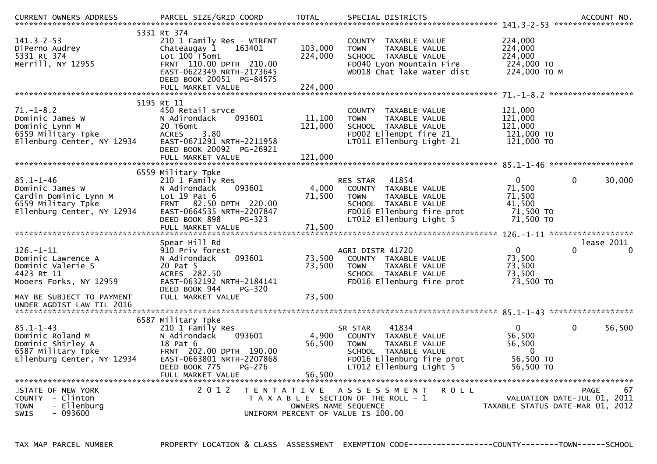| $141.3 - 2 - 53$<br>DiPerno Audrey<br>5331 Rt 374<br>Merrill, NY 12955                                                                                       | 5331 Rt 374<br>210 1 Family Res - WTRFNT<br>163401<br>Chateaugay 1<br>Lot 100 T5omt<br>FRNT 110.00 DPTH 210.00<br>EAST-0622349 NRTH-2173645<br>DEED BOOK 20051 PG-84575<br>FULL MARKET VALUE | 103,000<br>224,000<br>224,000 | COUNTY TAXABLE VALUE<br>TAXABLE VALUE<br><b>TOWN</b><br>SCHOOL TAXABLE VALUE<br>FD040 Lyon Mountain Fire<br>WD018 Chat lake water dist                           | 224,000<br>224,000<br>224,000<br>224,000 TO<br>224,000 TO M            |                                                                                      |
|--------------------------------------------------------------------------------------------------------------------------------------------------------------|----------------------------------------------------------------------------------------------------------------------------------------------------------------------------------------------|-------------------------------|------------------------------------------------------------------------------------------------------------------------------------------------------------------|------------------------------------------------------------------------|--------------------------------------------------------------------------------------|
|                                                                                                                                                              |                                                                                                                                                                                              |                               |                                                                                                                                                                  |                                                                        |                                                                                      |
| $71. - 1 - 8.2$<br>Dominic James W<br>Dominic Lynn M<br>6559 Military Tpke<br>Ellenburg Center, NY 12934                                                     | 5195 Rt 11<br>450 Retail srvce<br>093601<br>N Adirondack<br>20 T6omt<br>3.80<br><b>ACRES</b><br>EAST-0671291 NRTH-2211958<br>DEED BOOK 20092 PG-26921<br>FULL MARKET VALUE                   | 11,100<br>121,000<br>121,000  | COUNTY TAXABLE VALUE<br><b>TOWN</b><br>TAXABLE VALUE<br>SCHOOL TAXABLE VALUE<br>FD002 EllenDpt fire 21<br>LT011 Ellenburg Light 21                               | 121,000<br>121,000<br>121,000<br>121,000 TO<br>121,000 TO              |                                                                                      |
|                                                                                                                                                              |                                                                                                                                                                                              |                               |                                                                                                                                                                  |                                                                        |                                                                                      |
| $85.1 - 1 - 46$<br>Dominic James W<br>Cardin Dominic Lynn M<br>6559 Military Tpke<br>Ellenburg Center, NY 12934                                              | 6559 Military Tpke<br>210 1 Family Res<br>N Adirondack<br>093601<br>Lot $19$ Pat $6$<br>FRNT 82.50 DPTH 220.00<br>EAST-0664535 NRTH-2207847<br>DEED BOOK 898<br>PG-323<br>FULL MARKET VALUE  | 4,000<br>71,500<br>71,500     | 41854<br><b>RES STAR</b><br>COUNTY TAXABLE VALUE<br><b>TOWN</b><br>TAXABLE VALUE<br>SCHOOL TAXABLE VALUE<br>FD016 Ellenburg fire prot<br>LT012 Ellenburg Light 5 | $\Omega$<br>71,500<br>71,500<br>41,500<br>71,500 TO<br>71,500 TO       | $\mathbf 0$<br>30,000                                                                |
| $126. - 1 - 11$<br>Dominic Lawrence A<br>Dominic Valerie S<br>4423 Rt 11<br>Mooers Forks, NY 12959<br>MAY BE SUBJECT TO PAYMENT<br>UNDER AGDIST LAW TIL 2016 | Spear Hill Rd<br>910 Priv forest<br>093601<br>N Adirondack<br>20 Pat 5<br>ACRES 282.50<br>EAST-0632192 NRTH-2184141<br>DEED BOOK 944<br><b>PG-320</b><br>FULL MARKET VALUE                   | 73,500<br>73,500<br>73,500    | AGRI DISTR 41720<br>COUNTY TAXABLE VALUE<br>TAXABLE VALUE<br><b>TOWN</b><br>SCHOOL TAXABLE VALUE<br>FD016 Ellenburg fire prot                                    | $\overline{0}$<br>73,500<br>73,500<br>73,500<br>73,500 TO              | lease 2011<br>$\Omega$<br>$\Omega$                                                   |
|                                                                                                                                                              |                                                                                                                                                                                              |                               |                                                                                                                                                                  |                                                                        |                                                                                      |
| $85.1 - 1 - 43$<br>Dominic Roland M<br>Dominic Shirley A<br>6587 Military Tpke<br>Ellenburg Center, NY 12934                                                 | 6587 Military Tpke<br>210 1 Family Res<br>N Adirondack<br>093601<br>18 Pat 6<br>FRNT 202.00 DPTH 190.00<br>EAST-0663801 NRTH-2207868<br>PG-276<br>DEED BOOK 775<br>FULL MARKET VALUE         | 4,900<br>56,500<br>56,500     | 41834<br>SR STAR<br>COUNTY TAXABLE VALUE<br>TAXABLE VALUE<br><b>TOWN</b><br>SCHOOL TAXABLE VALUE<br>FD016 Ellenburg fire prot<br>LT012 Ellenburg Light 5         | $\mathbf{0}$<br>56,500<br>56,500<br>$\Omega$<br>56,500 TO<br>56,500 TO | $\mathbf 0$<br>56,500                                                                |
| STATE OF NEW YORK<br>- Clinton<br><b>COUNTY</b><br>- Ellenburg<br><b>TOWN</b><br>$-093600$<br>SWIS                                                           | 2 0 1 2                                                                                                                                                                                      |                               | TENTATIVE ASSESSMENT<br><b>ROLL</b><br>T A X A B L E SECTION OF THE ROLL - 1<br>OWNERS NAME SEQUENCE<br>UNIFORM PERCENT OF VALUE IS 100.00                       |                                                                        | 67<br><b>PAGE</b><br>VALUATION DATE-JUL 01, 2011<br>TAXABLE STATUS DATE-MAR 01, 2012 |

TAX MAP PARCEL NUMBER PROPERTY LOCATION & CLASS ASSESSMENT EXEMPTION CODE------------------COUNTY--------TOWN------SCHOOL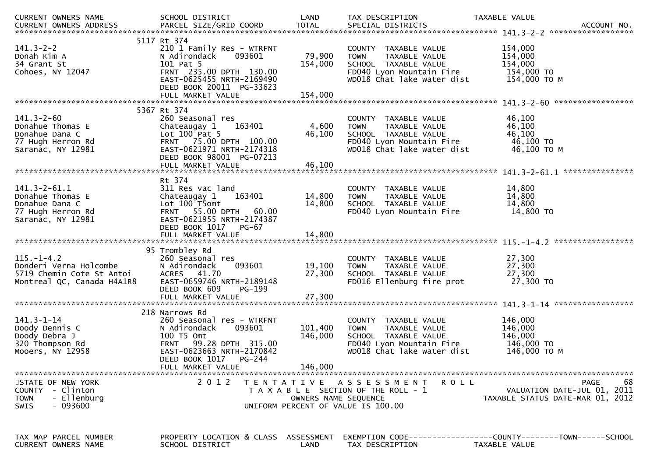| CURRENT OWNERS NAME                                                                                   | SCHOOL DISTRICT                                                                                                                                                                             | LAND                          | TAX DESCRIPTION                                                                                                                        | TAXABLE VALUE                                                                        |
|-------------------------------------------------------------------------------------------------------|---------------------------------------------------------------------------------------------------------------------------------------------------------------------------------------------|-------------------------------|----------------------------------------------------------------------------------------------------------------------------------------|--------------------------------------------------------------------------------------|
|                                                                                                       |                                                                                                                                                                                             |                               |                                                                                                                                        |                                                                                      |
| $141.3 - 2 - 2$<br>Donah Kim A<br>34 Grant St<br>Cohoes, NY 12047                                     | 5117 Rt 374<br>210 1 Family Res - WTRFNT<br>093601<br>N Adirondack<br>101 Pat 5<br>FRNT 235.00 DPTH 130.00<br>EAST-0625455 NRTH-2169490<br>DEED BOOK 20011 PG-33623                         | 79,900<br>154,000             | COUNTY TAXABLE VALUE<br>TAXABLE VALUE<br><b>TOWN</b><br>SCHOOL TAXABLE VALUE<br>FD040 Lyon Mountain Fire<br>WD018 Chat lake water dist | 154,000<br>154,000<br>154,000<br>154,000 TO<br>154,000 ТО М                          |
|                                                                                                       | FULL MARKET VALUE                                                                                                                                                                           | 154,000                       |                                                                                                                                        |                                                                                      |
|                                                                                                       | 5367 Rt 374                                                                                                                                                                                 |                               |                                                                                                                                        |                                                                                      |
| $141.3 - 2 - 60$<br>Donahue Thomas E<br>Donahue Dana C<br>77 Hugh Herron Rd<br>Saranac, NY 12981      | 260 Seasonal res<br>163401<br>Chateaugay 1<br>Lot $100$ Pat 5<br>FRNT 75.00 DPTH 100.00<br>EAST-0621971 NRTH-2174318<br>DEED BOOK 98001 PG-07213                                            | 4,600<br>46,100               | COUNTY TAXABLE VALUE<br>TAXABLE VALUE<br><b>TOWN</b><br>SCHOOL TAXABLE VALUE<br>FD040 Lyon Mountain Fire<br>WD018 Chat lake water dist | 46,100<br>46,100<br>46,100<br>46,100 TO<br>46,100 ТО М                               |
|                                                                                                       | FULL MARKET VALUE                                                                                                                                                                           | 46,100                        |                                                                                                                                        |                                                                                      |
| $141.3 - 2 - 61.1$<br>Donahue Thomas E<br>Donahue Dana C<br>77 Hugh Herron Rd<br>Saranac, NY 12981    | Rt 374<br>311 Res vac land<br>Chateaugay 1<br>163401<br>Lot 100 T5omt<br>FRNT 55.00 DPTH<br>60.00<br>EAST-0621955 NRTH-2174387<br>DEED BOOK 1017<br>PG-67                                   | 14,800<br>14,800              | COUNTY TAXABLE VALUE<br>TAXABLE VALUE<br><b>TOWN</b><br>SCHOOL TAXABLE VALUE<br>FD040 Lyon Mountain Fire                               | 14,800<br>14,800<br>14,800<br>14,800 TO                                              |
|                                                                                                       | 95 Trombley Rd                                                                                                                                                                              |                               |                                                                                                                                        |                                                                                      |
| $115. - 1 - 4.2$<br>Donderi Verna Holcombe<br>5719 Chemin Cote St Antoi<br>Montreal QC, Canada H4A1R8 | 260 Seasonal res<br>093601<br>N Adirondack<br>ACRES 41.70<br>EAST-0659746 NRTH-2189148<br>DEED BOOK 609<br>PG-199                                                                           | 19,100<br>27,300              | COUNTY TAXABLE VALUE<br>TAXABLE VALUE<br><b>TOWN</b><br>SCHOOL TAXABLE VALUE<br>FD016 Ellenburg fire prot                              | 27,300<br>27,300<br>27,300<br>27,300 TO                                              |
|                                                                                                       |                                                                                                                                                                                             |                               |                                                                                                                                        |                                                                                      |
| $141.3 - 1 - 14$<br>Doody Dennis C<br>Doody Debra J<br>320 Thompson Rd<br>Mooers, NY 12958            | 218 Narrows Rd<br>260 Seasonal res - WTRFNT<br>093601<br>N Adirondack<br>100 T5 Omt<br>FRNT 99.28 DPTH 315.00<br>EAST-0623663 NRTH-2170842<br>PG-244<br>DEED BOOK 1017<br>FULL MARKET VALUE | 101,400<br>146,000<br>146,000 | COUNTY TAXABLE VALUE<br>TAXABLE VALUE<br><b>TOWN</b><br>SCHOOL TAXABLE VALUE<br>FD040 Lyon Mountain Fire<br>WD018 Chat lake water dist | 146,000<br>146,000<br>146,000<br>146,000 TO<br>146,000 ТО М                          |
|                                                                                                       |                                                                                                                                                                                             |                               |                                                                                                                                        |                                                                                      |
| STATE OF NEW YORK<br>COUNTY - Clinton<br>- Ellenburg<br><b>TOWN</b><br>- 093600<br><b>SWIS</b>        | 2 0 1 2                                                                                                                                                                                     | OWNERS NAME SEQUENCE          | TENTATIVE ASSESSMENT<br><b>ROLL</b><br>T A X A B L E SECTION OF THE ROLL - 1<br>UNIFORM PERCENT OF VALUE IS 100.00                     | 68<br><b>PAGE</b><br>VALUATION DATE-JUL 01, 2011<br>TAXABLE STATUS DATE-MAR 01, 2012 |
| TAX MAP PARCEL NUMBER<br>CURRENT OWNERS NAME                                                          | PROPERTY LOCATION & CLASS ASSESSMENT<br>SCHOOL DISTRICT                                                                                                                                     | LAND                          | TAX DESCRIPTION                                                                                                                        | EXEMPTION CODE-----------------COUNTY-------TOWN------SCHOOL<br>TAXABLE VALUE        |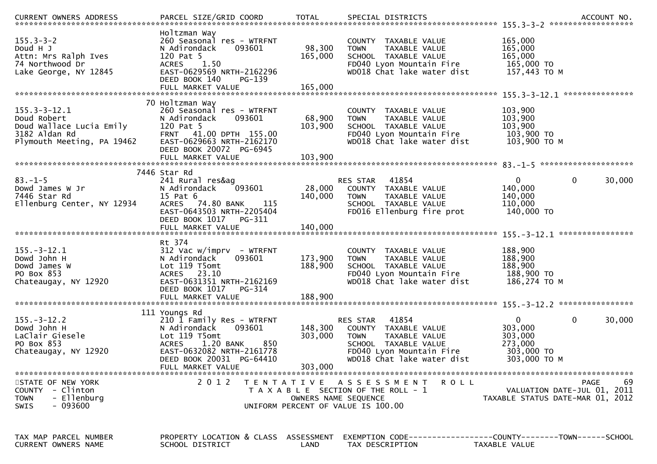| $155.3 - 3 - 2$<br>Doud H J<br>Attn: Mrs Ralph Ives<br>74 Northwood Dr<br>Lake George, NY 12845              | Holtzman Way<br>260 Seasonal res - WTRFNT<br>093601<br>N Adirondack<br>120 Pat 5<br>1.50<br><b>ACRES</b><br>EAST-0629569 NRTH-2162296<br>DEED BOOK 140<br>PG-139                       | 98,300<br>165,000             | COUNTY TAXABLE VALUE<br><b>TOWN</b><br>TAXABLE VALUE<br>SCHOOL TAXABLE VALUE<br>FD040 Lyon Mountain Fire<br>WD018 Chat lake water dist                      | 165,000<br>165,000<br>165,000<br>165,000 TO<br>157,443 TO M                                |
|--------------------------------------------------------------------------------------------------------------|----------------------------------------------------------------------------------------------------------------------------------------------------------------------------------------|-------------------------------|-------------------------------------------------------------------------------------------------------------------------------------------------------------|--------------------------------------------------------------------------------------------|
|                                                                                                              | 70 Holtzman Way                                                                                                                                                                        |                               |                                                                                                                                                             |                                                                                            |
| $155.3 - 3 - 12.1$<br>Doud Robert<br>Doud Wallace Lucia Emily<br>3182 Aldan Rd<br>Plymouth Meeting, PA 19462 | 260 Seasonal res - WTRFNT<br>093601<br>N Adirondack<br>120 Pat 5<br>FRNT 41.00 DPTH 155.00<br>EAST-0629663 NRTH-2162170<br>DEED BOOK 20072 PG-6945                                     | 68,900<br>103,900             | COUNTY TAXABLE VALUE<br><b>TOWN</b><br>TAXABLE VALUE<br>SCHOOL TAXABLE VALUE<br>FD040 Lyon Mountain Fire<br>WD018 Chat lake water dist                      | 103,900<br>103,900<br>103,900<br>103,900 TO<br>103,900 ТО М                                |
|                                                                                                              |                                                                                                                                                                                        |                               |                                                                                                                                                             |                                                                                            |
| $83. - 1 - 5$<br>Dowd James W Jr<br>7446 Star Rd<br>Ellenburg Center, NY 12934                               | 7446 Star Rd<br>241 Rural res&ag<br>N Adirondack<br>093601<br>15 Pat 6<br>ACRES 74.80 BANK<br>115<br>EAST-0643503 NRTH-2205404<br>DEED BOOK 1017<br>PG-311                             | 28,000<br>140,000             | 41854<br>RES STAR<br>COUNTY TAXABLE VALUE<br><b>TOWN</b><br>TAXABLE VALUE<br>SCHOOL TAXABLE VALUE<br>FD016 Ellenburg fire prot                              | $\mathbf{0}$<br>0<br>30,000<br>140,000<br>140,000<br>110,000<br>140,000 TO                 |
|                                                                                                              | FULL MARKET VALUE                                                                                                                                                                      | 140,000                       |                                                                                                                                                             |                                                                                            |
| $155. - 3 - 12.1$<br>Dowd John H<br>Dowd James W<br>PO Box 853<br>Chateaugay, NY 12920                       | Rt 374<br>$312$ Vac w/imprv - WTRFNT<br>N Adirondack<br>093601<br>Lot 119 T5omt<br>ACRES 23.10<br>EAST-0631351 NRTH-2162169<br>DEED BOOK 1017 PG-314<br>FULL MARKET VALUE              | 173,900<br>188,900<br>188,900 | COUNTY TAXABLE VALUE<br>TAXABLE VALUE<br><b>TOWN</b><br>SCHOOL TAXABLE VALUE<br>FD040 Lyon Mountain Fire<br>WD018 Chat lake water dist                      | 188,900<br>188,900<br>188,900<br>188,900 то<br>186,274 ТО М                                |
|                                                                                                              | 111 Youngs Rd                                                                                                                                                                          |                               |                                                                                                                                                             |                                                                                            |
| $155. - 3 - 12.2$<br>Dowd John H<br>LaClair Giesele<br>PO Box 853<br>Chateaugay, NY 12920                    | 210 1 Family Res - WTRFNT<br>093601<br>N Adirondack<br>Lot 119 T5omt<br>1.20 BANK<br><b>ACRES</b><br>850<br>EAST-0632082 NRTH-2161778<br>DEED BOOK 20031 PG-64410<br>FULL MARKET VALUE | 148,300<br>303,000<br>303,000 | 41854<br>RES STAR<br>COUNTY TAXABLE VALUE<br><b>TOWN</b><br>TAXABLE VALUE<br>SCHOOL TAXABLE VALUE<br>FD040 Lyon Mountain Fire<br>WD018 Chat lake water dist | $\mathbf{0}$<br>0<br>30,000<br>303,000<br>303,000<br>273,000<br>303,000 TO<br>303,000 TO M |
| STATE OF NEW YORK<br>COUNTY - Clinton<br>- Ellenburg<br><b>TOWN</b><br>$-093600$<br>SWIS                     | 2 0 1 2                                                                                                                                                                                | OWNERS NAME SEQUENCE          | TENTATIVE ASSESSMENT<br>R O L L<br>T A X A B L E SECTION OF THE ROLL - 1<br>UNIFORM PERCENT OF VALUE IS 100.00                                              | 69<br><b>PAGE</b><br>VALUATION DATE-JUL 01, 2011<br>TAXABLE STATUS DATE-MAR 01, 2012       |
| TAX MAP PARCEL NUMBER<br><b>CURRENT OWNERS NAME</b>                                                          | PROPERTY LOCATION & CLASS ASSESSMENT<br>SCHOOL DISTRICT                                                                                                                                | LAND                          | TAX DESCRIPTION                                                                                                                                             | TAXABLE VALUE                                                                              |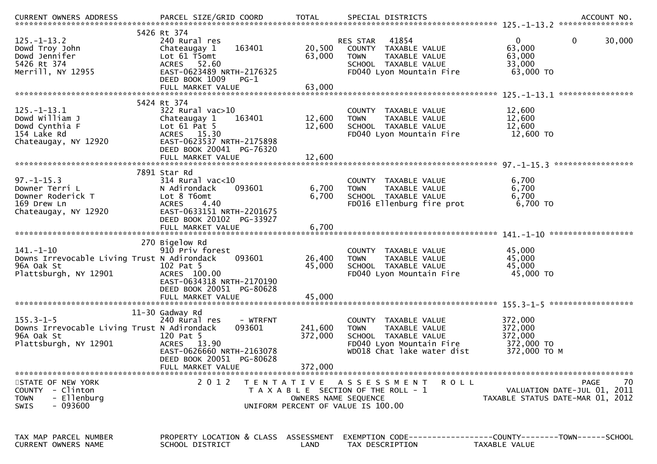| $125. - 1 - 13.2$<br>Dowd Troy John<br>Dowd Jennifer<br>5426 Rt 374<br>Merrill, NY 12955              | 5426 Rt 374<br>240 Rural res<br>163401<br>Chateaugay 1<br>Lot 61 T5omt<br>ACRES 52.60<br>EAST-0623489 NRTH-2176325<br>DEED BOOK 1009<br>PG-1                     | 20,500<br>63,000              | 41854<br>RES STAR<br>COUNTY TAXABLE VALUE<br>TAXABLE VALUE<br><b>TOWN</b><br>SCHOOL TAXABLE VALUE<br>FD040 Lyon Mountain Fire              | $\Omega$<br>0<br>30,000<br>63,000<br>63,000<br>33,000<br>63,000 TO                   |
|-------------------------------------------------------------------------------------------------------|------------------------------------------------------------------------------------------------------------------------------------------------------------------|-------------------------------|--------------------------------------------------------------------------------------------------------------------------------------------|--------------------------------------------------------------------------------------|
|                                                                                                       | 5424 Rt 374                                                                                                                                                      |                               |                                                                                                                                            |                                                                                      |
| $125. - 1 - 13.1$<br>Dowd William J<br>Dowd Cynthia F<br>154 Lake Rd<br>Chateaugay, NY 12920          | 322 Rural vac>10<br>163401<br>Chateaugay 1<br>Lot $61$ Pat $5$<br>ACRES 15.30<br>EAST-0623537 NRTH-2175898<br>DEED BOOK 20041 PG-76320                           | 12,600<br>12,600              | COUNTY TAXABLE VALUE<br>TAXABLE VALUE<br><b>TOWN</b><br>SCHOOL TAXABLE VALUE<br>FD040 Lyon Mountain Fire                                   | 12,600<br>12,600<br>12,600<br>12,600 TO                                              |
|                                                                                                       |                                                                                                                                                                  |                               |                                                                                                                                            |                                                                                      |
| $97. - 1 - 15.3$<br>Downer Terri L<br>Downer Roderick T<br>169 Drew Ln<br>Chateaugay, NY 12920        | 7891 Star Rd<br>314 Rural vac<10<br>N Adirondack<br>093601<br>Lot 8 T6omt<br><b>ACRES</b><br>4.40<br>EAST-0633151 NRTH-2201675<br>DEED BOOK 20102 PG-33927       | 6,700<br>6,700                | COUNTY TAXABLE VALUE<br>TAXABLE VALUE<br><b>TOWN</b><br>SCHOOL TAXABLE VALUE<br>FD016 Ellenburg fire prot                                  | 6,700<br>6,700<br>6,700<br>6,700 TO                                                  |
|                                                                                                       | FULL MARKET VALUE                                                                                                                                                | 6,700                         |                                                                                                                                            |                                                                                      |
| $141. - 1 - 10$<br>Downs Irrevocable Living Trust N Adirondack<br>96A Oak St<br>Plattsburgh, NY 12901 | 270 Bigelow Rd<br>910 Priv forest<br>093601<br>102 Pat 5<br>ACRES 100.00<br>EAST-0634318 NRTH-2170190<br>DEED BOOK 20051 PG-80628<br>FULL MARKET VALUE           | 26,400<br>45,000<br>45,000    | COUNTY TAXABLE VALUE<br>TAXABLE VALUE<br><b>TOWN</b><br>SCHOOL TAXABLE VALUE<br>FD040 Lyon Mountain Fire                                   | 45,000<br>45,000<br>45,000<br>45,000 TO                                              |
|                                                                                                       |                                                                                                                                                                  |                               |                                                                                                                                            | ******************                                                                   |
| $155.3 - 1 - 5$<br>Downs Irrevocable Living Trust N Adirondack<br>96A Oak St<br>Plattsburgh, NY 12901 | 11-30 Gadway Rd<br>240 Rural res<br>- WTRFNT<br>093601<br>120 Pat 5<br>ACRES 13.90<br>EAST-0626660 NRTH-2163078<br>DEED BOOK 20051 PG-80628<br>FULL MARKET VALUE | 241,600<br>372,000<br>372,000 | COUNTY TAXABLE VALUE<br>TAXABLE VALUE<br><b>TOWN</b><br>SCHOOL TAXABLE VALUE<br>FD040 Lyon Mountain Fire<br>WD018 Chat lake water dist     | 372,000<br>372,000<br>372,000<br>372,000 TO<br>372,000 TO M                          |
| STATE OF NEW YORK<br>COUNTY - Clinton<br>- Ellenburg<br><b>TOWN</b><br>- 093600<br><b>SWIS</b>        | 2 0 1 2                                                                                                                                                          |                               | TENTATIVE ASSESSMENT<br><b>ROLL</b><br>T A X A B L E SECTION OF THE ROLL - 1<br>OWNERS NAME SEQUENCE<br>UNIFORM PERCENT OF VALUE IS 100.00 | <b>PAGE</b><br>70<br>VALUATION DATE-JUL 01, 2011<br>TAXABLE STATUS DATE-MAR 01, 2012 |
| TAX MAP PARCEL NUMBER<br>CURRENT OWNERS NAME                                                          | PROPERTY LOCATION & CLASS ASSESSMENT<br>SCHOOL DISTRICT                                                                                                          | LAND                          | TAX DESCRIPTION                                                                                                                            | EXEMPTION        CODE-----------------COUNTY-------TOWN------SCHOOL<br>TAXABLE VALUE |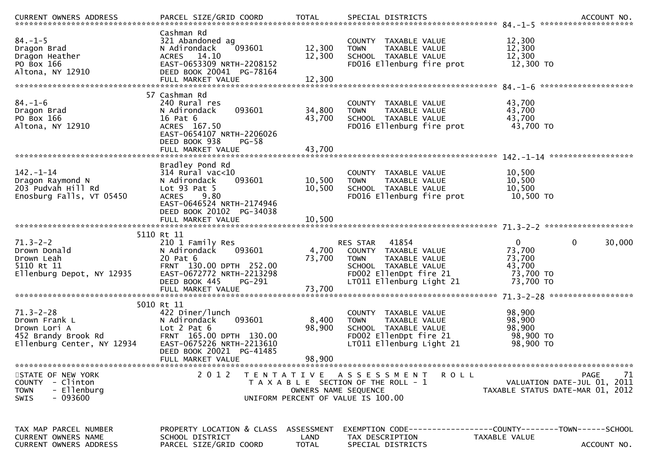| $84. - 1 - 5$<br>Dragon Brad<br>Dragon Heather<br>PO Box 166<br>Altona, NY 12910                      | Cashman Rd<br>321 Abandoned ag<br>093601<br>N Adirondack<br>ACRES 14.10<br>EAST-0653309 NRTH-2208152<br>DEED BOOK 20041 PG-78164<br>FULL MARKET VALUE                                   | 12,300<br>12,300<br>12,300 | COUNTY TAXABLE VALUE<br>TAXABLE VALUE<br><b>TOWN</b><br>SCHOOL TAXABLE VALUE<br>FD016 Ellenburg fire prot                                               | 12,300<br>12,300<br>12,300<br>12,300 TO                                                        |
|-------------------------------------------------------------------------------------------------------|-----------------------------------------------------------------------------------------------------------------------------------------------------------------------------------------|----------------------------|---------------------------------------------------------------------------------------------------------------------------------------------------------|------------------------------------------------------------------------------------------------|
| $84. - 1 - 6$<br>Dragon Brad<br>PO Box 166<br>Altona, NY 12910                                        | 57 Cashman Rd<br>240 Rural res<br>N Adirondack<br>093601<br>16 Pat 6<br>ACRES 167.50<br>EAST-0654107 NRTH-2206026<br>DEED BOOK 938<br>$PG-58$<br>FULL MARKET VALUE                      | 34,800<br>43,700<br>43,700 | COUNTY<br>TAXABLE VALUE<br>TAXABLE VALUE<br><b>TOWN</b><br>SCHOOL TAXABLE VALUE<br>FD016 Ellenburg fire prot                                            | 43,700<br>43,700<br>43,700<br>43,700 TO                                                        |
| $142. - 1 - 14$<br>Dragon Raymond N<br>203 Pudvah Hill Rd<br>Enosburg Falls, VT 05450                 | Bradley Pond Rd<br>314 Rural vac<10<br>N Adirondack<br>093601<br>Lot $93$ Pat $5$<br>9.80<br><b>ACRES</b><br>EAST-0646524 NRTH-2174946<br>DEED BOOK 20102 PG-34038<br>FULL MARKET VALUE | 10,500<br>10,500<br>10,500 | COUNTY TAXABLE VALUE<br><b>TOWN</b><br>TAXABLE VALUE<br>SCHOOL TAXABLE VALUE<br>FD016 Ellenburg fire prot                                               | 10,500<br>10,500<br>10,500<br>10,500 TO                                                        |
| $71.3 - 2 - 2$<br>Drown Donald<br>Drown Leah<br>5110 Rt 11<br>Ellenburg Depot, NY 12935               | 5110 Rt 11<br>210 1 Family Res<br>093601<br>N Adirondack<br>20 Pat 6<br>FRNT 130.00 DPTH 252.00<br>EAST-0672772 NRTH-2213298<br>DEED BOOK 445<br>PG-291                                 | 4,700<br>73,700            | RES STAR<br>41854<br>COUNTY TAXABLE VALUE<br><b>TOWN</b><br>TAXABLE VALUE<br>SCHOOL TAXABLE VALUE<br>FD002 EllenDpt fire 21<br>LT011 Ellenburg Light 21 | $\mathbf{0}$<br>$\mathbf 0$<br>30,000<br>73,700<br>73,700<br>43,700<br>73,700 TO<br>73,700 TO  |
| $71.3 - 2 - 28$<br>Drown Frank L<br>Drown Lori A<br>452 Brandy Brook Rd<br>Ellenburg Center, NY 12934 | 5010 Rt 11<br>422 Diner/lunch<br>093601<br>N Adirondack<br>Lot $2$ Pat $6$<br>FRNT 165.00 DPTH 130.00<br>EAST-0675226 NRTH-2213610<br>DEED BOOK 20021 PG-41485<br>FULL MARKET VALUE     | 8,400<br>98,900<br>98,900  | COUNTY TAXABLE VALUE<br><b>TOWN</b><br><b>TAXABLE VALUE</b><br>SCHOOL TAXABLE VALUE<br>FD002 EllenDpt fire 21<br>LT011 Ellenburg Light 21               | 98,900<br>98,900<br>98,900<br>98,900 TO<br>98,900 TO                                           |
| STATE OF NEW YORK<br>COUNTY - Clinton<br>- Ellenburg<br><b>TOWN</b><br>$-093600$<br>SWIS              | 2 0 1 2                                                                                                                                                                                 | T E N T A T I V E          | <b>ROLL</b><br>A S S E S S M E N T<br>T A X A B L E SECTION OF THE ROLL - 1<br>OWNERS NAME SEQUENCE<br>UNIFORM PERCENT OF VALUE IS 100.00               | <b>PAGE</b><br>71<br>VALUATION DATE-JUL 01, 2011<br>TAXABLE STATUS DATE-MAR 01, 2012           |
| TAX MAP PARCEL NUMBER<br>CURRENT OWNERS NAME<br>CURRENT OWNERS ADDRESS                                | PROPERTY LOCATION & CLASS ASSESSMENT<br>SCHOOL DISTRICT<br>PARCEL SIZE/GRID COORD                                                                                                       | LAND<br>TOTAL              | TAX DESCRIPTION<br>SPECIAL DISTRICTS                                                                                                                    | EXEMPTION CODE------------------COUNTY--------TOWN------SCHOOL<br>TAXABLE VALUE<br>ACCOUNT NO. |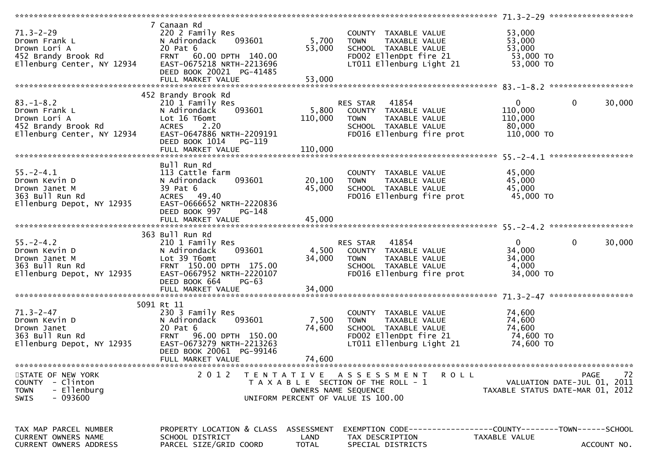| $71.3 - 2 - 29$<br>Drown Frank L                                                                      | 7 Canaan Rd<br>220 2 Family Res<br>093601<br>N Adirondack<br>DEED BOOK 20021 PG-41485                                                                                        | 5,700<br>53,000           | COUNTY TAXABLE VALUE<br><b>TOWN</b><br>TAXABLE VALUE<br>SCHOOL TAXABLE VALUE<br>FD002 EllenDpt fire 21<br>LT011 Ellenburg Light 21     | 53,000<br>53,000<br>53,000<br>53,000 TO<br>$53,000$ TO       |                                                  |
|-------------------------------------------------------------------------------------------------------|------------------------------------------------------------------------------------------------------------------------------------------------------------------------------|---------------------------|----------------------------------------------------------------------------------------------------------------------------------------|--------------------------------------------------------------|--------------------------------------------------|
|                                                                                                       |                                                                                                                                                                              |                           |                                                                                                                                        |                                                              |                                                  |
| $83. - 1 - 8.2$<br>Drown Frank L<br>Drown Lori A<br>452 Brandy Brook Rd<br>Ellenburg Center, NY 12934 | 452 Brandy Brook Rd<br>210 1 Family Res<br>093601<br>N Adirondack<br>Lot 16 T6omt<br>2.20<br><b>ACRES</b><br>EAST-0647886 NRTH-2209191<br>DEED BOOK 1014<br>PG-119           | 110,000                   | RES STAR 41854<br>5,800 COUNTY TAXABLE VALUE<br><b>TOWN</b><br>TAXABLE VALUE<br>SCHOOL TAXABLE VALUE<br>FD016 Ellenburg fire prot      | $\mathbf{0}$<br>110,000<br>110,000<br>80,000<br>$110,000$ TO | $\overline{0}$<br>30,000                         |
| $55. - 2 - 4.1$<br>Drown Kevin D<br>Drown Janet M<br>363 Bull Run Rd<br>Ellenburg Depot, NY 12935     | Bull Run Rd<br>113 Cattle farm<br>093601<br>N Adirondack<br>39 Pat 6<br>ACRES 49.40<br>EAST-0666652 NRTH-2220836<br>DEED BOOK 997<br>$PG-148$                                | 20,100<br>45,000          | COUNTY TAXABLE VALUE<br><b>TOWN</b><br>TAXABLE VALUE<br>SCHOOL TAXABLE VALUE<br>FD016 Ellenburg fire prot                              | 45,000<br>45,000<br>45,000<br>45,000 TO                      |                                                  |
|                                                                                                       |                                                                                                                                                                              |                           |                                                                                                                                        |                                                              |                                                  |
| $55. - 2 - 4.2$<br>Drown Kevin D<br>Drown Janet M<br>363 Bull Run Rd<br>Ellenburg Depot, NY 12935     | 363 Bull Run Rd<br>210 1 Family Res<br>093601<br>N Adirondack<br>Lot 39 T6omt<br>FRNT 150.00 DPTH 175.00<br>EAST-0667952 NRTH-2220107<br>DEED BOOK 664<br><b>PG-63</b>       | 34,000                    | RES STAR 41854<br>4,500 COUNTY TAXABLE VALUE<br>TAXABLE VALUE<br>TOWN<br>SCHOOL TAXABLE VALUE<br>FD016 Ellenburg fire prot             | $\mathbf{0}$<br>34,000<br>34,000<br>4,000<br>34,000 TO       | $\mathbf 0$<br>30,000                            |
|                                                                                                       |                                                                                                                                                                              |                           |                                                                                                                                        |                                                              |                                                  |
| $71.3 - 2 - 47$<br>Drown Kevin D<br>Drown Janet<br>363 Bull Run Rd<br>Ellenburg Depot, NY 12935       | 5091 Rt 11<br>230 3 Family Res<br>N Adirondack<br>093601<br>20 Pat 6<br>FRNT 96.00 DPTH 150.00<br>EAST-0673279 NRTH-2213263<br>DEED BOOK 20061 PG-99146<br>FULL MARKET VALUE | 7,500<br>74,600<br>74,600 | COUNTY TAXABLE VALUE<br>TAXABLE VALUE<br><b>TOWN</b><br>SCHOOL TAXABLE VALUE<br>FD002 EllenDpt fire 21<br>LT011 Ellenburg Light 21     | 74,600<br>74,600<br>74,600<br>74,600 TO<br>74,600 TO         |                                                  |
|                                                                                                       |                                                                                                                                                                              |                           |                                                                                                                                        |                                                              |                                                  |
| STATE OF NEW YORK<br>COUNTY - Clinton<br>- Ellenburg<br><b>TOWN</b><br>$-093600$<br><b>SWIS</b>       | 2 0 1 2                                                                                                                                                                      |                           | TENTATIVE ASSESSMENT<br>R O L L<br>T A X A B L E SECTION OF THE ROLL - 1<br>OWNERS NAME SEQUENCE<br>UNIFORM PERCENT OF VALUE IS 100.00 | TAXABLE STATUS DATE-MAR 01, 2012                             | 72<br><b>PAGE</b><br>VALUATION DATE-JUL 01, 2011 |
| TAX MAP PARCEL NUMBER<br><b>CURRENT OWNERS NAME</b><br>CURRENT OWNERS ADDRESS                         | PROPERTY LOCATION & CLASS ASSESSMENT<br>SCHOOL DISTRICT<br>PARCEL SIZE/GRID COORD                                                                                            | LAND<br><b>TOTAL</b>      | EXEMPTION CODE-----------------COUNTY-------TOWN------SCHOOL<br>TAX DESCRIPTION<br>SPECIAL DISTRICTS                                   | TAXABLE VALUE                                                | ACCOUNT NO.                                      |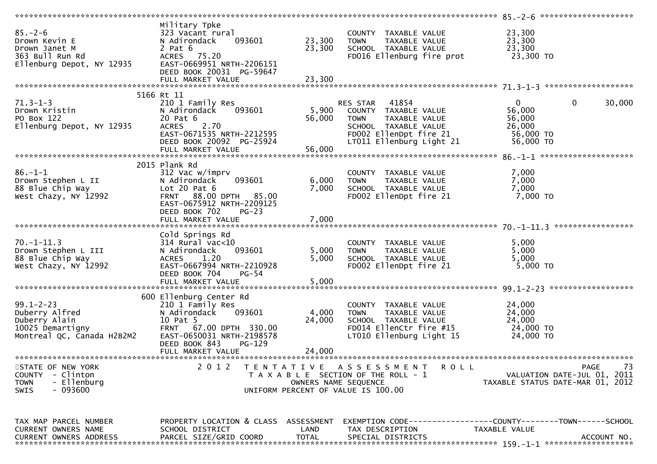| $85. - 2 - 6$<br>Drown Kevin E<br>Drown Janet M<br>363 Bull Run Rd<br>Ellenburg Depot, NY 12935      | Military Tpke<br>323 Vacant rural<br>N Adirondack<br>093601<br>2 Pat $6$<br>ACRES 75.20<br>EAST-0669951 NRTH-2206151<br>DEED BOOK 20031 PG-59647                                           | 23,300<br>23,300          | COUNTY TAXABLE VALUE<br><b>TOWN</b><br>TAXABLE VALUE<br>SCHOOL TAXABLE VALUE<br>FD016 Ellenburg fire prot                                            | 23,300<br>23,300<br>23,300<br>23,300 TO                              |                       |
|------------------------------------------------------------------------------------------------------|--------------------------------------------------------------------------------------------------------------------------------------------------------------------------------------------|---------------------------|------------------------------------------------------------------------------------------------------------------------------------------------------|----------------------------------------------------------------------|-----------------------|
|                                                                                                      | FULL MARKET VALUE                                                                                                                                                                          | 23,300                    |                                                                                                                                                      |                                                                      |                       |
|                                                                                                      |                                                                                                                                                                                            |                           |                                                                                                                                                      |                                                                      |                       |
|                                                                                                      | 5166 Rt 11                                                                                                                                                                                 |                           |                                                                                                                                                      |                                                                      |                       |
| $71.3 - 1 - 3$<br>Drown Kristin<br>PO Box 122<br>Ellenburg Depot, NY 12935                           | 210 1 Family Res<br>093601<br>N Adirondack<br>20 Pat 6<br>2.70<br><b>ACRES</b><br>EAST-0671535 NRTH-2212595<br>DEED BOOK 20092 PG-25924<br>FULL MARKET VALUE                               | 5,900<br>56,000<br>56,000 | RES STAR 41854<br>COUNTY TAXABLE VALUE<br><b>TOWN</b><br>TAXABLE VALUE<br>SCHOOL TAXABLE VALUE<br>FD002 EllenDpt fire 21<br>LT011 Ellenburg Light 21 | $\mathbf{0}$<br>56,000<br>56,000<br>26,000<br>56,000 TO<br>56,000 TO | $\mathbf 0$<br>30,000 |
|                                                                                                      |                                                                                                                                                                                            |                           |                                                                                                                                                      |                                                                      |                       |
| $86. - 1 - 1$<br>Drown Stephen L II<br>88 Blue Chip Way<br>West Chazy, NY 12992                      | 2015 Plank Rd<br>312 Vac w/imprv<br>093601<br>N Adirondack<br>Lot $20$ Pat $6$<br>FRNT 88.00 DPTH 85.00<br>EAST-0675912 NRTH-2209125<br>DEED BOOK 702<br>$PG-23$                           | 6,000<br>7,000            | COUNTY TAXABLE VALUE<br>TAXABLE VALUE<br><b>TOWN</b><br>SCHOOL TAXABLE VALUE<br>FD002 EllenDpt fire 21                                               | 7,000<br>7,000<br>7,000<br>7,000 TO                                  |                       |
|                                                                                                      |                                                                                                                                                                                            |                           |                                                                                                                                                      |                                                                      |                       |
| $70. - 1 - 11.3$<br>Drown Stephen L III<br>88 Blue Chip Way<br>West Chazy, NY 12992                  | Cold Springs Rd<br>314 Rural vac<10<br>N Adirondack<br>093601<br>1.20<br><b>ACRES</b><br>EAST-0667994 NRTH-2210928<br>DEED BOOK 704<br>$PG-54$                                             | 5,000<br>5,000            | COUNTY TAXABLE VALUE<br>TAXABLE VALUE<br><b>TOWN</b><br>SCHOOL TAXABLE VALUE<br>FD002 EllenDpt fire 21                                               | 5,000<br>5,000<br>5,000<br>$5,000$ TO                                |                       |
|                                                                                                      |                                                                                                                                                                                            |                           |                                                                                                                                                      |                                                                      |                       |
| $99.1 - 2 - 23$<br>Duberry Alfred<br>Duberry Alain<br>10025 Demartigny<br>Montreal QC, Canada H2B2M2 | 600 Ellenburg Center Rd<br>210 1 Family Res<br>N Adirondack<br>093601<br>10 Pat 5<br>FRNT 67.00 DPTH 330.00<br>EAST-0650031 NRTH-2198578<br>DEED BOOK 843<br>$PG-129$<br>FULL MARKET VALUE | 4,000<br>24,000<br>24,000 | COUNTY TAXABLE VALUE<br><b>TOWN</b><br>TAXABLE VALUE<br>SCHOOL TAXABLE VALUE<br>FD014 EllenCtr fire #15<br>LT010 Ellenburg Light 15                  | 24,000<br>24,000<br>24,000<br>24,000 TO<br>24,000 TO                 |                       |
| STATE OF NEW YORK<br>COUNTY - Clinton<br>- Ellenburg<br><b>TOWN</b><br>- 093600<br><b>SWIS</b>       | 2012                                                                                                                                                                                       | OWNERS NAME SEQUENCE      | TENTATIVE ASSESSMENT<br><b>ROLL</b><br>T A X A B L E SECTION OF THE ROLL - 1<br>UNIFORM PERCENT OF VALUE IS 100.00                                   | VALUATION DATE-JUL 01, 2011<br>TAXABLE STATUS DATE-MAR 01, 2012      | PAGE<br>73            |
| TAX MAP PARCEL NUMBER<br>CURRENT OWNERS NAME<br><b>CURRENT OWNERS ADDRESS</b>                        | PROPERTY LOCATION & CLASS ASSESSMENT<br>SCHOOL DISTRICT<br>PARCEL SIZE/GRID COORD                                                                                                          | LAND<br><b>TOTAL</b>      | EXEMPTION        CODE-----------------COUNTY-------TOWN------SCHOOL<br>TAX DESCRIPTION<br>SPECIAL DISTRICTS                                          | TAXABLE VALUE                                                        | ACCOUNT NO.           |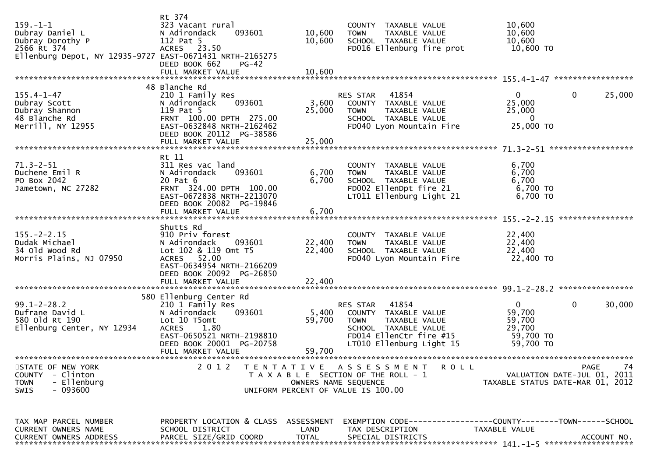| $159. - 1 - 1$<br>Dubray Daniel L<br>Dubray Dorothy P<br>2566 Rt 374<br>Ellenburg Depot, NY 12935-9727 EAST-0671431 NRTH-2165275 | Rt 374<br>323 Vacant rural<br>093601<br>N Adirondack<br>112 Pat 5<br>ACRES 23.50<br>DEED BOOK 662<br>$PG-42$                                                                | 10,600<br>10,600           | COUNTY TAXABLE VALUE<br>TAXABLE VALUE<br><b>TOWN</b><br>SCHOOL TAXABLE VALUE<br>FD016 Ellenburg fire prot                                                | 10,600<br>10,600<br>10,600<br>10,600 TO                              |                                                  |
|----------------------------------------------------------------------------------------------------------------------------------|-----------------------------------------------------------------------------------------------------------------------------------------------------------------------------|----------------------------|----------------------------------------------------------------------------------------------------------------------------------------------------------|----------------------------------------------------------------------|--------------------------------------------------|
|                                                                                                                                  |                                                                                                                                                                             |                            |                                                                                                                                                          |                                                                      |                                                  |
| $155.4 - 1 - 47$<br>Dubray Scott<br>Dubray Shannon<br>48 Blanche Rd<br>Merrill, NY 12955                                         | 48 Blanche Rd<br>210 1 Family Res<br>N Adirondack<br>093601<br>119 Pat 5<br>FRNT 100.00 DPTH 275.00<br>EAST-0632848 NRTH-2162462<br>DEED BOOK 20112 PG-38586                | 3,600<br>25,000            | RES STAR 41854<br>COUNTY TAXABLE VALUE<br>TAXABLE VALUE<br><b>TOWN</b><br>SCHOOL TAXABLE VALUE<br>FD040 Lyon Mountain Fire                               | 0<br>25,000<br>25,000<br>$\bf{0}$<br>25,000 TO                       | $\mathbf 0$<br>25,000                            |
|                                                                                                                                  |                                                                                                                                                                             |                            |                                                                                                                                                          |                                                                      |                                                  |
| $71.3 - 2 - 51$<br>Duchene Emil R<br>PO Box 2042<br>Jametown, NC 27282                                                           | Rt 11<br>311 Res vac land<br>093601<br>N Adirondack<br>20 Pat 6<br>FRNT 324.00 DPTH 100.00<br>EAST-0672838 NRTH-2213070<br>DEED BOOK 20082 PG-19846                         | 6,700<br>6,700             | COUNTY TAXABLE VALUE<br>TAXABLE VALUE<br><b>TOWN</b><br>SCHOOL TAXABLE VALUE<br>FD002 EllenDpt fire 21<br>LT011 Ellenburg Light 21                       | 6,700<br>6,700<br>6,700<br>6,700 TO<br>6,700 TO                      |                                                  |
|                                                                                                                                  |                                                                                                                                                                             |                            |                                                                                                                                                          |                                                                      |                                                  |
| $155. - 2 - 2.15$<br>Dudak Michael<br>34 old wood Rd<br>Morris Plains, NJ 07950                                                  | Shutts Rd<br>910 Priv forest<br>093601<br>N Adirondack<br>Lot 102 & 119 Omt T5<br>ACRES 52.00<br>EAST-0634954 NRTH-2166209<br>DEED BOOK 20092 PG-26850<br>FULL MARKET VALUE | 22,400<br>22,400<br>22,400 | COUNTY TAXABLE VALUE<br>TAXABLE VALUE<br><b>TOWN</b><br>SCHOOL TAXABLE VALUE<br>FD040 Lyon Mountain Fire                                                 | 22,400<br>22,400<br>22,400<br>22,400 TO                              |                                                  |
|                                                                                                                                  |                                                                                                                                                                             |                            |                                                                                                                                                          |                                                                      |                                                  |
| $99.1 - 2 - 28.2$<br>Dufrane David L<br>580 old Rt 190<br>Ellenburg Center, NY 12934                                             | 580 Ellenburg Center Rd<br>210 1 Family Res<br>093601<br>N Adirondack<br>Lot 10 T5omt<br><b>ACRES</b><br>1.80<br>EAST-0650521 NRTH-2198810<br>DEED BOOK 20001 PG-20758      | 5,400<br>59,700            | 41854<br>RES STAR<br>COUNTY TAXABLE VALUE<br><b>TOWN</b><br>TAXABLE VALUE<br>SCHOOL TAXABLE VALUE<br>FD014 EllenCtr fire #15<br>LT010 Ellenburg Light 15 | $\mathbf{0}$<br>59,700<br>59,700<br>29,700<br>59,700 TO<br>59,700 TO | $\mathbf 0$<br>30,000                            |
|                                                                                                                                  | FULL MARKET VALUE                                                                                                                                                           | 59,700                     |                                                                                                                                                          |                                                                      |                                                  |
|                                                                                                                                  |                                                                                                                                                                             |                            |                                                                                                                                                          |                                                                      |                                                  |
| STATE OF NEW YORK<br>- Clinton<br><b>COUNTY</b><br><b>TOWN</b><br>- Ellenburg<br>$-093600$<br><b>SWIS</b>                        | 2 0 1 2                                                                                                                                                                     | OWNERS NAME SEQUENCE       | TENTATIVE ASSESSMENT<br><b>ROLL</b><br>T A X A B L E SECTION OF THE ROLL - 1<br>UNIFORM PERCENT OF VALUE IS 100.00                                       | TAXABLE STATUS DATE-MAR 01, 2012                                     | 74<br><b>PAGE</b><br>VALUATION DATE-JUL 01, 2011 |
| TAX MAP PARCEL NUMBER                                                                                                            | PROPERTY LOCATION & CLASS ASSESSMENT                                                                                                                                        |                            | EXEMPTION CODE-----------------COUNTY-------TOWN------SCHOOL                                                                                             |                                                                      |                                                  |
| <b>CURRENT OWNERS NAME</b><br><b>CURRENT OWNERS ADDRESS</b>                                                                      | SCHOOL DISTRICT<br>PARCEL SIZE/GRID COORD                                                                                                                                   | LAND<br><b>TOTAL</b>       | TAX DESCRIPTION<br>SPECIAL DISTRICTS                                                                                                                     | TAXABLE VALUE                                                        | ACCOUNT NO.                                      |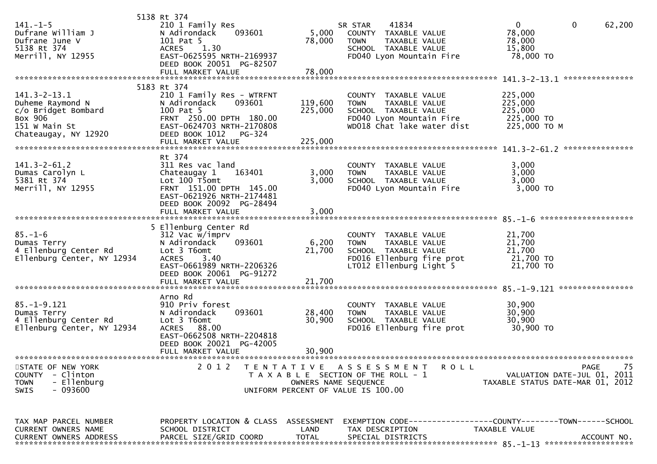| $141. - 1 - 5$<br>Dufrane William J<br>Dufrane June V<br>5138 Rt 374<br>Merrill, NY 12955                         | 5138 Rt 374<br>210 1 Family Res<br>N Adirondack<br>093601<br>101 Pat 5<br>1.30<br><b>ACRES</b><br>EAST-0625595 NRTH-2169937<br>DEED BOOK 20051 PG-82507                        | 5,000<br>78,000            | 41834<br>SR STAR<br>COUNTY TAXABLE VALUE<br>TAXABLE VALUE<br><b>TOWN</b><br>SCHOOL TAXABLE VALUE<br>FD040 Lyon Mountain Fire           | $\mathbf{0}$<br>$\mathbf{0}$<br>62,200<br>78,000<br>78,000<br>15,800<br>78,000 TO            |
|-------------------------------------------------------------------------------------------------------------------|--------------------------------------------------------------------------------------------------------------------------------------------------------------------------------|----------------------------|----------------------------------------------------------------------------------------------------------------------------------------|----------------------------------------------------------------------------------------------|
|                                                                                                                   | FULL MARKET VALUE                                                                                                                                                              | 78,000                     |                                                                                                                                        |                                                                                              |
| $141.3 - 2 - 13.1$<br>Duheme Raymond N<br>c/o Bridget Bombard<br>Box 906<br>151 W Main St<br>Chateaugay, NY 12920 | 5183 Rt 374<br>210 1 Family Res - WTRFNT<br>N Adirondack<br>093601<br>100 Pat 5<br>FRNT 250.00 DPTH 180.00<br>EAST-0624703 NRTH-2170808<br>DEED BOOK 1012 PG-324               | 119,600<br>225,000         | COUNTY TAXABLE VALUE<br>TAXABLE VALUE<br><b>TOWN</b><br>SCHOOL TAXABLE VALUE<br>FD040 Lyon Mountain Fire<br>WD018 Chat lake water dist | 225,000<br>225,000<br>225,000<br>225,000 TO<br>225,000 TO M<br>***************               |
| $141.3 - 2 - 61.2$<br>Dumas Carolyn L<br>5381 Rt 374<br>Merrill, NY 12955                                         | Rt 374<br>311 Res vac land<br>Chateaugay 1<br>163401<br>Lot 100 T5omt<br>FRNT 151.00 DPTH 145.00<br>EAST-0621926 NRTH-2174481<br>DEED BOOK 20092 PG-28494<br>FULL MARKET VALUE | 3,000<br>3,000<br>3,000    | COUNTY TAXABLE VALUE<br><b>TOWN</b><br>TAXABLE VALUE<br>SCHOOL TAXABLE VALUE<br>FD040 Lyon Mountain Fire                               | 3,000<br>3,000<br>3,000<br>3,000 TO                                                          |
|                                                                                                                   | 5 Ellenburg Center Rd                                                                                                                                                          |                            |                                                                                                                                        |                                                                                              |
| $85. - 1 - 6$<br>Dumas Terry<br>4 Ellenburg Center Rd<br>Ellenburg Center, NY 12934                               | 312 Vac w/imprv<br>093601<br>N Adirondack<br>Lot 3 T6omt<br><b>ACRES</b><br>3.40<br>EAST-0661989 NRTH-2206326<br>DEED BOOK 20061 PG-91272                                      | 6,200<br>21,700            | COUNTY TAXABLE VALUE<br>TAXABLE VALUE<br><b>TOWN</b><br>SCHOOL TAXABLE VALUE<br>FD016 Ellenburg fire prot<br>LT012 Ellenburg Light 5   | 21,700<br>21,700<br>21,700<br>21,700 TO<br>21,700 TO                                         |
|                                                                                                                   |                                                                                                                                                                                |                            |                                                                                                                                        |                                                                                              |
| $85. - 1 - 9.121$<br>Dumas Terry<br>4 Ellenburg Center Rd<br>Ellenburg Center, NY 12934                           | Arno Rd<br>910 Priv forest<br>093601<br>N Adirondack<br>Lot 3 T6omt<br>ACRES 88.00<br>EAST-0662508 NRTH-2204818<br>DEED BOOK 20021 PG-42005<br>FULL MARKET VALUE               | 28,400<br>30,900<br>30,900 | COUNTY TAXABLE VALUE<br><b>TOWN</b><br>TAXABLE VALUE<br>SCHOOL TAXABLE VALUE<br>FD016 Ellenburg fire prot                              | 30,900<br>30,900<br>30,900<br>30,900 TO                                                      |
| STATE OF NEW YORK                                                                                                 | 2012                                                                                                                                                                           |                            | TENTATIVE ASSESSMENT<br><b>ROLL</b>                                                                                                    | PAGE<br>75                                                                                   |
| COUNTY - Clinton<br>- Ellenburg<br><b>TOWN</b><br>- 093600<br><b>SWIS</b>                                         |                                                                                                                                                                                |                            | T A X A B L E SECTION OF THE ROLL - 1<br>OWNERS NAME SEQUENCE<br>UNIFORM PERCENT OF VALUE IS 100.00                                    | VALUATION DATE-JUL 01, 2011<br>TAXABLE STATUS DATE-MAR 01, 2012                              |
| TAX MAP PARCEL NUMBER<br>CURRENT OWNERS NAME<br><b>CURRENT OWNERS ADDRESS</b>                                     | PROPERTY LOCATION & CLASS ASSESSMENT<br>SCHOOL DISTRICT<br>PARCEL SIZE/GRID COORD                                                                                              | LAND<br><b>TOTAL</b>       | TAX DESCRIPTION<br>SPECIAL DISTRICTS                                                                                                   | EXEMPTION CODE-----------------COUNTY-------TOWN------SCHOOL<br>TAXABLE VALUE<br>ACCOUNT NO. |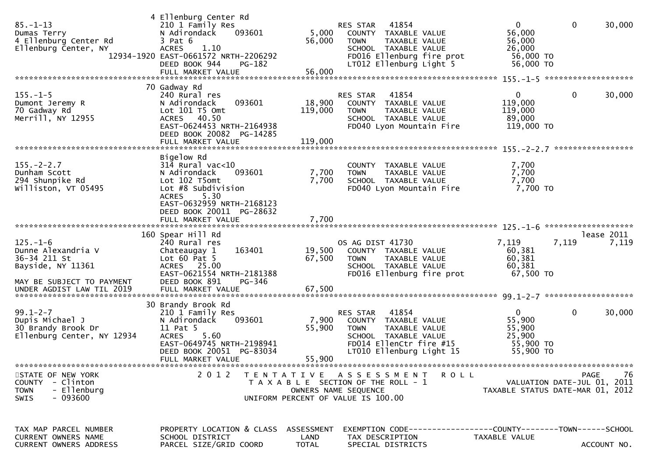| $85. - 1 - 13$<br>Dumas Terry<br>4 Ellenburg Center Rd<br>Ellenburg Center, NY                         | 4 Ellenburg Center Rd<br>210 1 Family Res<br>093601<br>N Adirondack<br>$3$ Pat $6$<br>1.10<br><b>ACRES</b><br>12934-1920 EAST-0661572 NRTH-2206292<br>DEED BOOK 944<br>PG-182<br>FULL MARKET VALUE | 5,000<br>56,000<br>56,000   | 41854<br>RES STAR<br>COUNTY TAXABLE VALUE<br><b>TOWN</b><br>TAXABLE VALUE<br>SCHOOL TAXABLE VALUE<br>FD016 Ellenburg fire prot<br>LT012 Ellenburg Light 5 | 0<br>56,000<br>56,000<br>26,000<br>56,000 TO<br>56,000 TO  | 0<br>30,000                               |
|--------------------------------------------------------------------------------------------------------|----------------------------------------------------------------------------------------------------------------------------------------------------------------------------------------------------|-----------------------------|-----------------------------------------------------------------------------------------------------------------------------------------------------------|------------------------------------------------------------|-------------------------------------------|
| $155. - 1 - 5$<br>Dumont Jeremy R<br>70 Gadway Rd<br>Merrill, NY 12955                                 | 70 Gadway Rd<br>240 Rural res<br>N Adirondack<br>093601<br>Lot 101 T5 Omt<br>ACRES 40.50<br>EAST-0624453 NRTH-2164938<br>DEED BOOK 20082<br>PG-14285                                               | 18,900<br>119,000           | 41854<br><b>RES STAR</b><br>COUNTY TAXABLE VALUE<br><b>TOWN</b><br>TAXABLE VALUE<br>SCHOOL TAXABLE VALUE<br>FD040 Lyon Mountain Fire                      | $\mathbf{0}$<br>119,000<br>119,000<br>89,000<br>119,000 TO | 0<br>30,000                               |
| $155. - 2 - 2.7$<br>Dunham Scott<br>294 Shunpike Rd<br>Williston, VT 05495                             | Bigelow Rd<br>$314$ Rural vac<10<br>093601<br>N Adirondack<br>Lot 102 T5omt<br>Lot #8 Subdivision<br>5.30<br><b>ACRES</b><br>EAST-0632959 NRTH-2168123<br>DEED BOOK 20011 PG-28632                 | 7,700<br>7,700              | TAXABLE VALUE<br><b>COUNTY</b><br><b>TOWN</b><br><b>TAXABLE VALUE</b><br>SCHOOL TAXABLE VALUE<br>FD040 Lyon Mountain Fire                                 | 7,700<br>7,700<br>7,700<br>7,700 TO                        |                                           |
|                                                                                                        | FULL MARKET VALUE                                                                                                                                                                                  | 7,700                       |                                                                                                                                                           | $125. - 1 - 6$                                             | *******************                       |
| $125. - 1 - 6$<br>Dunne Alexandria V<br>36-34 211 St<br>Bayside, NY 11361<br>MAY BE SUBJECT TO PAYMENT | 160 Spear Hill Rd<br>240 Rural res<br>163401<br>Chateaugay 1<br>Lot $60$ Pat $5$<br>ACRES 25.00<br>EAST-0621554 NRTH-2181388<br>DEED BOOK 891<br>PG-346                                            | 19,500<br>67,500            | OS AG DIST 41730<br>COUNTY TAXABLE VALUE<br>TAXABLE VALUE<br><b>TOWN</b><br>SCHOOL TAXABLE VALUE<br>FD016 Ellenburg fire prot                             | 7,119<br>7,119<br>60,381<br>60,381<br>60,381<br>67,500 TO  | lease 2011<br>7,119                       |
|                                                                                                        | 30 Brandy Brook Rd                                                                                                                                                                                 |                             |                                                                                                                                                           |                                                            |                                           |
| $99.1 - 2 - 7$<br>Dupis Michael J<br>30 Brandy Brook Dr<br>Ellenburg Center, NY 12934                  | 210 1 Family Res<br>N Adirondack<br>093601<br>11 Pat 5<br>5.60<br><b>ACRES</b><br>EAST-0649745 NRTH-2198941<br>DEED BOOK 20051 PG-83034<br>FULL MARKET VALUE                                       | 7,900<br>55,900<br>55,900   | 41854<br>RES STAR<br>COUNTY TAXABLE VALUE<br><b>TOWN</b><br>TAXABLE VALUE<br>SCHOOL TAXABLE VALUE<br>FD014 EllenCtr fire #15<br>LT010 Ellenburg Light 15  | 0<br>55,900<br>55,900<br>25,900<br>55,900 TO<br>55,900 TO  | $\mathbf 0$<br>30,000                     |
| STATE OF NEW YORK<br>COUNTY - Clinton<br>- Ellenburg<br><b>TOWN</b><br>$-093600$<br><b>SWIS</b>        | 2 0 1 2                                                                                                                                                                                            |                             | TENTATIVE ASSESSMENT<br>R O L L<br>T A X A B L E SECTION OF THE ROLL - 1<br>OWNERS NAME SEQUENCE<br>UNIFORM PERCENT OF VALUE IS 100.00                    | TAXABLE STATUS DATE-MAR 01, 2012                           | 76<br>PAGE<br>VALUATION DATE-JUL 01, 2011 |
| TAX MAP PARCEL NUMBER<br>CURRENT OWNERS NAME<br>CURRENT OWNERS ADDRESS                                 | PROPERTY LOCATION & CLASS<br>SCHOOL DISTRICT<br>PARCEL SIZE/GRID COORD                                                                                                                             | ASSESSMENT<br>LAND<br>TOTAL | TAX DESCRIPTION<br>SPECIAL DISTRICTS                                                                                                                      | TAXABLE VALUE                                              | ACCOUNT NO.                               |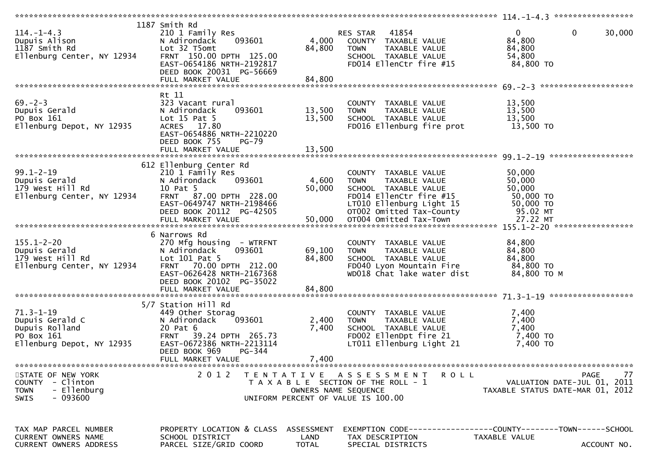| $114. - 1 - 4.3$<br>Dupuis Alison<br>1187 Smith Rd<br>Ellenburg Center, NY 12934                | 1187 Smith Rd<br>210 1 Family Res<br>093601<br>N Adirondack<br>Lot 32 T5omt<br>FRNT 150.00 DPTH 125.00<br>EAST-0654186 NRTH-2192817<br>DEED BOOK 20031 PG-56669<br>FULL MARKET VALUE      | 4,000<br>84,800<br>84,800          | 41854<br>RES STAR<br>COUNTY TAXABLE VALUE<br>TAXABLE VALUE<br><b>TOWN</b><br>SCHOOL TAXABLE VALUE<br>FD014 EllenCtr fire #15                                                              | $\overline{0}$<br>$\mathbf{0}$<br>30,000<br>84,800<br>84,800<br>54,800<br>84,800 TO          |
|-------------------------------------------------------------------------------------------------|-------------------------------------------------------------------------------------------------------------------------------------------------------------------------------------------|------------------------------------|-------------------------------------------------------------------------------------------------------------------------------------------------------------------------------------------|----------------------------------------------------------------------------------------------|
|                                                                                                 |                                                                                                                                                                                           |                                    |                                                                                                                                                                                           |                                                                                              |
| $69. - 2 - 3$<br>Dupuis Gerald<br>PO Box 161<br>Ellenburg Depot, NY 12935                       | Rt 11<br>323 Vacant rural<br>N Adirondack<br>093601<br>Lot $15$ Pat $5$<br>ACRES 17.80<br>EAST-0654886 NRTH-2210220<br>DEED BOOK 755<br><b>PG-79</b>                                      | 13,500<br>13,500                   | COUNTY TAXABLE VALUE<br><b>TOWN</b><br>TAXABLE VALUE<br>SCHOOL TAXABLE VALUE<br>FD016 Ellenburg fire prot                                                                                 | 13,500<br>13,500<br>13,500<br>13,500 TO                                                      |
|                                                                                                 |                                                                                                                                                                                           |                                    |                                                                                                                                                                                           |                                                                                              |
| $99.1 - 2 - 19$<br>Dupuis Gerald<br>179 West Hill Rd<br>Ellenburg Center, NY 12934              | 612 Ellenburg Center Rd<br>210 1 Family Res<br>093601<br>N Adirondack<br>10 Pat 5<br>FRNT 87.00 DPTH 228.00<br>EAST-0649747 NRTH-2198466<br>DEED BOOK 20112 PG-42505<br>FULL MARKET VALUE | 4,600<br>50,000<br>50,000          | COUNTY TAXABLE VALUE<br>TAXABLE VALUE<br><b>TOWN</b><br>SCHOOL TAXABLE VALUE<br>FD014 EllenCtr fire #15<br>LTO10 Ellenburg Light 15<br>OTO02 Omitted Tax-County<br>OT004 Omitted Tax-Town | 50,000<br>50,000<br>50,000<br>50,000 TO<br>50,000 TO<br>95.02 MT<br>27.22 MT                 |
|                                                                                                 |                                                                                                                                                                                           |                                    |                                                                                                                                                                                           |                                                                                              |
| $155.1 - 2 - 20$<br>Dupuis Gerald<br>179 West Hill Rd<br>Ellenburg Center, NY 12934             | 6 Narrows Rd<br>270 Mfg housing - WTRFNT<br>093601<br>N Adirondack<br>Lot 101 Pat 5<br>FRNT 70.00 DPTH 212.00<br>EAST-0626428 NRTH-2167368<br>DEED BOOK 20102 PG-35022                    | 69,100<br>84,800                   | COUNTY TAXABLE VALUE<br>TAXABLE VALUE<br><b>TOWN</b><br>SCHOOL TAXABLE VALUE<br>FD040 Lyon Mountain Fire<br>WD018 Chat lake water dist                                                    | 84,800<br>84,800<br>84,800<br>84,800 TO<br>84,800 TO M                                       |
| $71.3 - 1 - 19$<br>Dupuis Gerald C<br>Dupuis Rolland<br>PO Box 161<br>Ellenburg Depot, NY 12935 | 5/7 Station Hill Rd<br>449 Other Storag<br>093601<br>N Adirondack<br>20 Pat 6<br>FRNT 39.24 DPTH 265.73<br>EAST-0672386 NRTH-2213114<br>DEED BOOK 969<br>PG-344<br>FULL MARKET VALUE      | 2,400<br>7,400<br>7,400            | COUNTY TAXABLE VALUE<br>TAXABLE VALUE<br><b>TOWN</b><br>SCHOOL TAXABLE VALUE<br>FD002 EllenDpt fire 21<br>LT011 Ellenburg Light 21                                                        | 7,400<br>7,400<br>7,400<br>7,400 TO<br>7,400 TO                                              |
| STATE OF NEW YORK<br>COUNTY - Clinton<br>- Ellenburg<br><b>TOWN</b><br>$-093600$<br><b>SWIS</b> | 2 0 1 2                                                                                                                                                                                   | OWNERS NAME SEQUENCE               | TENTATIVE ASSESSMENT<br><b>ROLL</b><br>T A X A B L E SECTION OF THE ROLL - 1<br>UNIFORM PERCENT OF VALUE IS 100.00                                                                        | <b>PAGE</b><br>77<br>VALUATION DATE-JUL 01, 2011<br>TAXABLE STATUS DATE-MAR 01, 2012         |
| TAX MAP PARCEL NUMBER<br>CURRENT OWNERS NAME<br><b>CURRENT OWNERS ADDRESS</b>                   | PROPERTY LOCATION & CLASS<br>SCHOOL DISTRICT<br>PARCEL SIZE/GRID COORD                                                                                                                    | ASSESSMENT<br>LAND<br><b>TOTAL</b> | TAX DESCRIPTION<br>SPECIAL DISTRICTS                                                                                                                                                      | EXEMPTION CODE-----------------COUNTY-------TOWN------SCHOOL<br>TAXABLE VALUE<br>ACCOUNT NO. |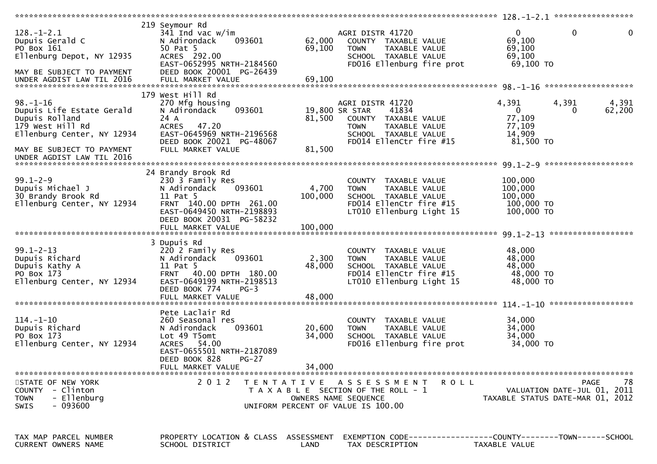| $128. - 1 - 2.1$<br>Dupuis Gerald C<br>PO Box 161<br>Ellenburg Depot, NY 12935<br>MAY BE SUBJECT TO PAYMENT                                                               | 219 Seymour Rd<br>341 Ind vac $w/\text{im}$<br>N Adirondack<br>093601<br>50 Pat 5<br>ACRES 292.00<br>EAST-0652995 NRTH-2184560<br>DEED BOOK 20001 PG-26439                                | 62,000<br>69,100            | AGRI DISTR 41720<br>COUNTY TAXABLE VALUE<br>TAXABLE VALUE<br><b>TOWN</b><br>SCHOOL TAXABLE VALUE<br>FD016 Ellenburg fire prot                          | $\mathbf 0$<br>$\mathbf{0}$<br>69,100<br>69,100<br>69,100<br>69,100 TO                                         | 0  |
|---------------------------------------------------------------------------------------------------------------------------------------------------------------------------|-------------------------------------------------------------------------------------------------------------------------------------------------------------------------------------------|-----------------------------|--------------------------------------------------------------------------------------------------------------------------------------------------------|----------------------------------------------------------------------------------------------------------------|----|
| $98. - 1 - 16$<br>Dupuis Life Estate Gerald<br>Dupuis Rolland<br>179 West Hill Rd<br>Ellenburg Center, NY 12934<br>MAY BE SUBJECT TO PAYMENT<br>UNDER AGDIST LAW TIL 2016 | 179 West Hill Rd<br>270 Mfg housing<br>093601<br>N Adirondack<br>24 A<br>ACRES 47.20<br>EAST-0645969 NRTH-2196568<br>DEED BOOK 20021 PG-48067<br>FULL MARKET VALUE                        | 81,500<br>81,500            | AGRI DISTR 41720<br>19,800 SR STAR<br>41834<br>COUNTY TAXABLE VALUE<br><b>TOWN</b><br>TAXABLE VALUE<br>SCHOOL TAXABLE VALUE<br>FD014 EllenCtr fire #15 | 4,391<br>4,391<br>4,391<br>$\overline{0}$<br>62,200<br>$\mathbf{0}$<br>77,109<br>77,109<br>14,909<br>81,500 TO |    |
| $99.1 - 2 - 9$<br>Dupuis Michael J<br>30 Brandy Brook Rd<br>Ellenburg Center, NY 12934                                                                                    | 24 Brandy Brook Rd<br>230 3 Family Res<br>N Adirondack<br>093601<br>11 Pat 5<br>FRNT 140.00 DPTH 261.00<br>EAST-0649450 NRTH-2198893<br>DEED BOOK 20031 PG-58232<br>FULL MARKET VALUE     | 4,700<br>100,000<br>100,000 | COUNTY TAXABLE VALUE<br><b>TOWN</b><br>TAXABLE VALUE<br>SCHOOL TAXABLE VALUE<br>FD014 EllenCtr fire #15<br>LT010 Ellenburg Light 15                    | 100,000<br>100,000<br>100,000<br>100,000 TO<br>100,000 TO                                                      |    |
| $99.1 - 2 - 13$<br>Dupuis Richard<br>Dupuis Kathy A<br>PO Box 173<br>Ellenburg Center, NY 12934                                                                           | 3 Dupuis Rd<br>220 2 Family Res<br>093601<br>N Adirondack<br>11 Pat 5<br>FRNT 40.00 DPTH 180.00<br>EAST-0649199 NRTH-2198513<br>DEED BOOK 774<br>$PG-3$<br>FULL MARKET VALUE              | 2,300<br>48,000<br>48,000   | COUNTY TAXABLE VALUE<br><b>TOWN</b><br>TAXABLE VALUE<br>SCHOOL TAXABLE VALUE<br>FD014 EllenCtr fire #15<br>LT010 Ellenburg Light 15                    | 48,000<br>48,000<br>48,000<br>48,000 TO<br>48,000 TO                                                           |    |
| $114. - 1 - 10$<br>Dupuis Richard<br>PO Box 173<br>Ellenburg Center, NY 12934                                                                                             | Pete Laclair Rd<br>260 Seasonal res<br>093601<br>N Adirondack<br>Lot 49 T5omt<br>54.00<br><b>ACRES</b><br>EAST-0655501 NRTH-2187089<br>DEED BOOK 828<br><b>PG-27</b><br>FULL MARKET VALUE | 20,600<br>34,000<br>34,000  | COUNTY TAXABLE VALUE<br>TAXABLE VALUE<br><b>TOWN</b><br>SCHOOL TAXABLE VALUE<br>FD016 Ellenburg fire prot                                              | 34,000<br>34,000<br>34,000<br>34,000 TO                                                                        |    |
| STATE OF NEW YORK<br>COUNTY - Clinton<br>- Ellenburg<br><b>TOWN</b><br>$-093600$<br><b>SWIS</b>                                                                           | 2 0 1 2                                                                                                                                                                                   |                             | TENTATIVE ASSESSMENT<br>ROLL<br>T A X A B L E SECTION OF THE ROLL - 1<br>OWNERS NAME SEQUENCE<br>UNIFORM PERCENT OF VALUE IS 100.00                    | PAGE<br>VALUATION DATE-JUL 01, 2011<br>TAXABLE STATUS DATE-MAR 01, 2012                                        | 78 |
| TAX MAP PARCEL NUMBER<br>CURRENT OWNERS NAME                                                                                                                              | PROPERTY LOCATION & CLASS ASSESSMENT<br>SCHOOL DISTRICT                                                                                                                                   | LAND                        | TAX DESCRIPTION                                                                                                                                        | EXEMPTION        CODE-----------------COUNTY-------TOWN------SCHOOL<br>TAXABLE VALUE                           |    |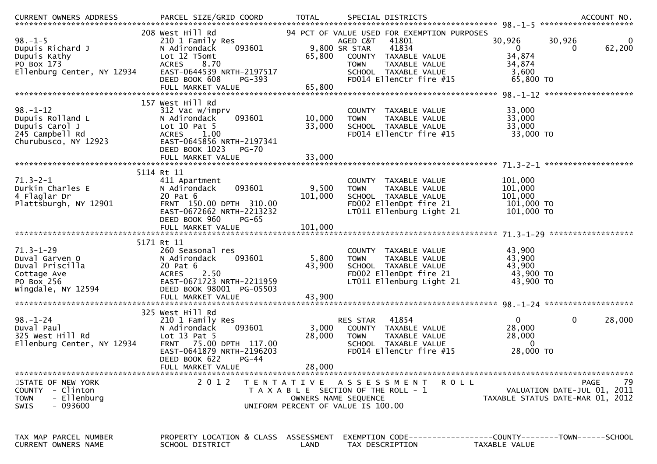| $98. - 1 - 5$<br>Dupuis Richard J<br>Dupuis Kathy<br>PO Box 173<br>Ellenburg Center, NY 12934           | 208 West Hill Rd<br>210 1 Family Res<br>N Adirondack<br>093601<br>Lot 12 T5omt<br><b>ACRES</b><br>8.70<br>EAST-0644539 NRTH-2197517<br>PG-393<br>DEED BOOK 608             | 65,800                    | 94 PCT OF VALUE USED FOR EXEMPTION PURPOSES<br>AGED C&T<br>41801<br>9,800 SR STAR<br>41834<br>COUNTY TAXABLE VALUE<br><b>TOWN</b><br>TAXABLE VALUE<br>SCHOOL TAXABLE VALUE<br>FD014 EllenCtr fire #15 | 30,926<br>$\mathbf{0}$<br>34,874<br>34,874<br>3,600<br>65,800 TO | 30,926<br>0<br>62,200<br>0                                                           |
|---------------------------------------------------------------------------------------------------------|----------------------------------------------------------------------------------------------------------------------------------------------------------------------------|---------------------------|-------------------------------------------------------------------------------------------------------------------------------------------------------------------------------------------------------|------------------------------------------------------------------|--------------------------------------------------------------------------------------|
| $98. - 1 - 12$<br>Dupuis Rolland L<br>Dupuis Carol J<br>245 Campbell Rd                                 | 157 West Hill Rd<br>312 Vac w/imprv<br>093601<br>N Adirondack<br>Lot $10$ Pat $5$<br><b>ACRES</b><br>1.00                                                                  | 10,000<br>33,000          | COUNTY TAXABLE VALUE<br>TAXABLE VALUE<br><b>TOWN</b><br>SCHOOL TAXABLE VALUE<br>FD014 EllenCtr fire #15                                                                                               | 33,000<br>33,000<br>33,000<br>33,000 TO                          |                                                                                      |
| Churubusco, NY 12923                                                                                    | EAST-0645856 NRTH-2197341<br>DEED BOOK 1023<br>PG-70                                                                                                                       |                           |                                                                                                                                                                                                       |                                                                  |                                                                                      |
| $71.3 - 2 - 1$<br>Durkin Charles E<br>4 Flaglar Dr<br>Plattsburgh, NY 12901                             | 5114 Rt 11<br>411 Apartment<br>093601<br>N Adirondack<br>20 Pat 6<br>FRNT 150.00 DPTH 310.00<br>EAST-0672662 NRTH-2213232<br>DEED BOOK 960<br>$PG-65$                      | 9,500<br>101,000          | COUNTY TAXABLE VALUE<br><b>TAXABLE VALUE</b><br><b>TOWN</b><br>SCHOOL TAXABLE VALUE<br>FD002 EllenDpt fire 21<br>LT011 Ellenburg Light 21                                                             | 101,000<br>101,000<br>101,000<br>101,000 TO<br>101,000 TO        |                                                                                      |
|                                                                                                         | FULL MARKET VALUE                                                                                                                                                          | 101,000                   |                                                                                                                                                                                                       |                                                                  |                                                                                      |
| $71.3 - 1 - 29$<br>Duval Garven O<br>Duval Priscilla<br>Cottage Ave<br>PO Box 256<br>Wingdale, NY 12594 | 5171 Rt 11<br>260 Seasonal res<br>093601<br>N Adirondack<br>20 Pat 6<br>2.50<br><b>ACRES</b><br>EAST-0671723 NRTH-2211959<br>DEED BOOK 98001 PG-05503<br>FULL MARKET VALUE | 5,800<br>43,900<br>43,900 | COUNTY TAXABLE VALUE<br>TAXABLE VALUE<br><b>TOWN</b><br>SCHOOL TAXABLE VALUE<br>FD002 EllenDpt fire 21<br>LT011 Ellenburg Light 21                                                                    | 43,900<br>43,900<br>43,900<br>43,900 TO<br>43,900 TO             |                                                                                      |
|                                                                                                         | 325 West Hill Rd                                                                                                                                                           |                           |                                                                                                                                                                                                       |                                                                  |                                                                                      |
| $98 - 1 - 24$<br>Duval Paul<br>325 West Hill Rd<br>Ellenburg Center, NY 12934                           | 210 1 Family Res<br>N Adirondack<br>093601<br>Lot $13$ Pat $5$<br>FRNT 75.00 DPTH 117.00<br>EAST-0641879 NRTH-2196203<br>DEED BOOK 622<br>$PG-44$<br>FULL MARKET VALUE     | 3,000<br>28,000<br>28,000 | RES STAR<br>41854<br>COUNTY TAXABLE VALUE<br><b>TOWN</b><br>TAXABLE VALUE<br>SCHOOL TAXABLE VALUE<br>FD014 EllenCtr fire #15                                                                          | $\mathbf{0}$<br>28,000<br>28,000<br>$\Omega$<br>28,000 TO        | $\mathbf 0$<br>28,000                                                                |
| STATE OF NEW YORK<br>COUNTY - Clinton<br>- Ellenburg<br><b>TOWN</b><br>- 093600<br><b>SWIS</b>          | 2 0 1 2                                                                                                                                                                    |                           | TENTATIVE ASSESSMENT<br>R O L L<br>T A X A B L E SECTION OF THE ROLL - 1<br>OWNERS NAME SEQUENCE<br>UNIFORM PERCENT OF VALUE IS 100.00                                                                |                                                                  | 79<br><b>PAGE</b><br>VALUATION DATE-JUL 01, 2011<br>TAXABLE STATUS DATE-MAR 01, 2012 |
| TAX MAP PARCEL NUMBER<br>CURRENT OWNERS NAME                                                            | PROPERTY LOCATION & CLASS ASSESSMENT<br>SCHOOL DISTRICT                                                                                                                    | LAND                      | EXEMPTION CODE-----------------COUNTY-------TOWN------SCHOOL<br>TAX DESCRIPTION                                                                                                                       | TAXABLE VALUE                                                    |                                                                                      |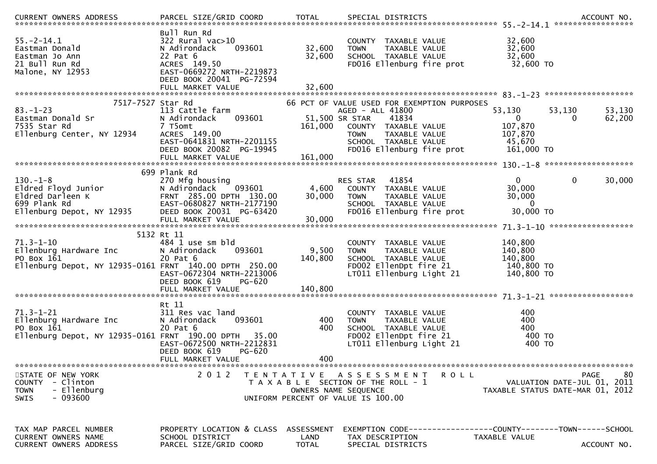| .CURRENT OWNERS ADDRESS PARCEL SIZE/GRID COORD TOTAL SPECIAL DISTRICTS ACCOUNT NO ACCOUNT NO ACCOUNT NO AND ARCEL SIZE/GRID COORD TOTAL SPECIAL DISTRICTS                                   |                                                                                                                                                     |                           |                                                                                                                                                                                        |                                |                                                                                  |                                                   |
|---------------------------------------------------------------------------------------------------------------------------------------------------------------------------------------------|-----------------------------------------------------------------------------------------------------------------------------------------------------|---------------------------|----------------------------------------------------------------------------------------------------------------------------------------------------------------------------------------|--------------------------------|----------------------------------------------------------------------------------|---------------------------------------------------|
| $55. - 2 - 14.1$<br>Eastman Donald<br>Eastman Jo Ann<br>21 Bull Run Rd<br>Malone, NY 12953                                                                                                  | Bull Run Rd<br>$322$ Rural vac $>10$<br>093601<br>N Adirondack<br>22 Pat 6<br>ACRES 149.50<br>EAST-0669272 NRTH-2219873<br>DEED BOOK 20041 PG-72594 | 32,600<br>32,600          | COUNTY TAXABLE VALUE<br><b>TOWN</b><br>SCHOOL TAXABLE VALUE<br>FD016 Ellenburg fire prot                                                                                               | TAXABLE VALUE                  | 32,600<br>32,600<br>32,600<br>32,600 TO                                          |                                                   |
|                                                                                                                                                                                             | FULL MARKET VALUE                                                                                                                                   | 32,600                    |                                                                                                                                                                                        |                                |                                                                                  |                                                   |
| 7517-7527 Star Rd<br>$83 - 1 - 23$<br>Eastman Donald Sr<br>7535 Star Rd<br>Ellenburg Center, NY 12934                                                                                       | 113 Cattle farm<br>N Adirondack<br>093601<br>7 T5omt<br>ACRES 149.00<br>EAST-0641831 NRTH-2201155<br>DEED BOOK 20082 PG-19945<br>FULL MARKET VALUE  | 161,000<br>161,000        | 66 PCT OF VALUE USED FOR EXEMPTION PURPOSES<br>AGED - ALL 41800<br>51,500 SR STAR<br>41834<br>COUNTY TAXABLE VALUE<br><b>TOWN</b><br>SCHOOL TAXABLE VALUE<br>FD016 Ellenburg fire prot | TAXABLE VALUE                  | 53,130<br>53,130<br>$\overline{0}$<br>107,870<br>107,870<br>45,670<br>161,000 TO | 53,130<br>62,200<br>0                             |
|                                                                                                                                                                                             | 699 Plank Rd                                                                                                                                        |                           |                                                                                                                                                                                        |                                |                                                                                  |                                                   |
| $130. - 1 - 8$<br>Eldred Floyd Junior<br>Concerned University of Contract Materials (UPS)<br>699 Plank Rd (EAST-0680827 NRTH-2177190<br>Ellenburg Depot, NY 12935 (DEED BOOK 20031 PC 63436 | 270 Mfg housing<br>N Adirondack<br>093601<br>FULL MARKET VALUE                                                                                      | 4,600<br>30,000<br>30,000 | 41854<br>RES STAR<br>COUNTY TAXABLE VALUE<br><b>TOWN</b><br>SCHOOL TAXABLE VALUE<br>FD016 Ellenburg fire prot                                                                          | TAXABLE VALUE                  | 0<br>30,000<br>30,000<br>$\mathbf{0}$<br>30,000 TO                               | $\mathbf{0}$<br>30,000                            |
|                                                                                                                                                                                             |                                                                                                                                                     |                           |                                                                                                                                                                                        |                                |                                                                                  |                                                   |
| $71.3 - 1 - 10$<br>Ellenburg Hardware Inc<br>PO Box 161<br>Ellenburg Depot, NY 12935-0161 FRNT 140.00 DPTH 250.00                                                                           | 5132 Rt 11<br>484 1 use sm bld<br>N Adirondack<br>093601<br>20 Pat 6<br>EAST-0672304 NRTH-2213006<br>DEED BOOK 619<br>PG-620                        | 9,500<br>140,800          | <b>COUNTY</b><br><b>TOWN</b><br>SCHOOL TAXABLE VALUE<br>FD002 EllenDpt fire 21<br>LT011 Ellenburg Light 21                                                                             | TAXABLE VALUE<br>TAXABLE VALUE | 140,800<br>140,800<br>140,800<br>140,800 TO<br>140,800 TO                        |                                                   |
|                                                                                                                                                                                             | Rt 11                                                                                                                                               |                           |                                                                                                                                                                                        |                                |                                                                                  |                                                   |
| $71.3 - 1 - 21$<br>Ellenburg Hardware Inc<br>PO Box 161<br>Ellenburg Depot, NY 12935-0161 FRNT 190.00 DPTH 35.00                                                                            | 311 Res vac land<br>N Adirondack<br>093601<br>20 Pat 6<br>EAST-0672500 NRTH-2212831<br>PG-620<br>DEED BOOK 619                                      | 400<br>400                | COUNTY TAXABLE VALUE<br><b>TOWN</b><br>SCHOOL TAXABLE VALUE<br>FD002 EllenDpt fire 21<br>LT011 Ellenburg Light 21                                                                      | TAXABLE VALUE                  | 400<br>400<br>400<br>400 TO<br>400 TO                                            |                                                   |
|                                                                                                                                                                                             | FULL MARKET VALUE                                                                                                                                   | 400                       |                                                                                                                                                                                        |                                |                                                                                  |                                                   |
| STATE OF NEW YORK<br>- Clinton<br><b>COUNTY</b><br>- Ellenburg<br><b>TOWN</b><br>$-093600$<br>SWIS                                                                                          | 2 0 1 2                                                                                                                                             |                           | TENTATIVE ASSESSMENT<br>T A X A B L E SECTION OF THE ROLL - 1<br>OWNERS NAME SEQUENCE<br>UNIFORM PERCENT OF VALUE IS 100.00                                                            | <b>ROLL</b>                    | TAXABLE STATUS DATE-MAR 01, 2012                                                 | -80<br><b>PAGE</b><br>VALUATION DATE-JUL 01, 2011 |
| TAX MAP PARCEL NUMBER<br>CURRENT OWNERS NAME<br>CURRENT OWNERS ADDRESS                                                                                                                      | PROPERTY LOCATION & CLASS ASSESSMENT<br>SCHOOL DISTRICT<br>PARCEL SIZE/GRID COORD                                                                   | LAND<br><b>TOTAL</b>      | TAX DESCRIPTION<br>SPECIAL DISTRICTS                                                                                                                                                   |                                | EXEMPTION CODE-----------------COUNTY-------TOWN------SCHOOL<br>TAXABLE VALUE    | ACCOUNT NO.                                       |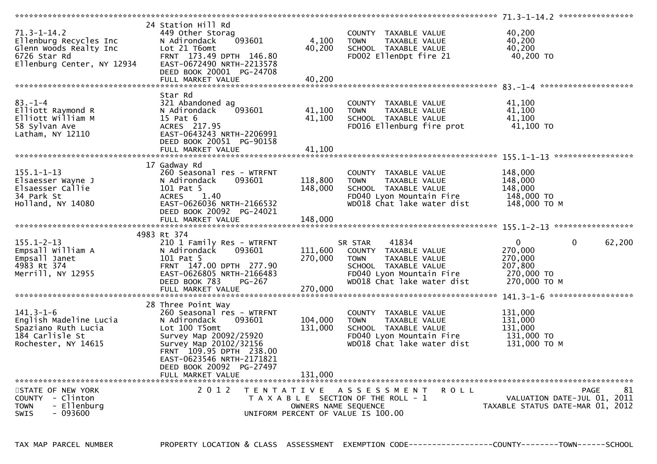| $71.3 - 1 - 14.2$<br>Ellenburg Recycles Inc<br>Glenn Woods Realty Inc<br>6726 Star Rd<br>Ellenburg Center, NY 12934 | 24 Station Hill Rd<br>449 Other Storag<br>093601<br>N Adirondack<br>Lot 21 T6omt<br>FRNT 173.49 DPTH 146.80<br>EAST-0672490 NRTH-2213578 | 4,100<br>40,200      | COUNTY TAXABLE VALUE<br>TAXABLE VALUE<br><b>TOWN</b><br>SCHOOL TAXABLE VALUE<br>FD002 EllenDpt fire 21 | 40,200<br>40,200<br>40,200<br>40,200 TO |                   |
|---------------------------------------------------------------------------------------------------------------------|------------------------------------------------------------------------------------------------------------------------------------------|----------------------|--------------------------------------------------------------------------------------------------------|-----------------------------------------|-------------------|
|                                                                                                                     | DEED BOOK 20001 PG-24708                                                                                                                 |                      |                                                                                                        |                                         |                   |
|                                                                                                                     |                                                                                                                                          |                      |                                                                                                        |                                         |                   |
|                                                                                                                     | Star Rd                                                                                                                                  |                      |                                                                                                        |                                         |                   |
| $83 - 1 - 4$                                                                                                        | 321 Abandoned ag                                                                                                                         |                      | COUNTY TAXABLE VALUE                                                                                   | 41,100                                  |                   |
| Elliott Raymond R                                                                                                   | 093601<br>N Adirondack                                                                                                                   | 41,100               | <b>TOWN</b><br>TAXABLE VALUE                                                                           | 41,100                                  |                   |
| Elliott William M                                                                                                   | 15 Pat 6                                                                                                                                 | 41,100               | SCHOOL TAXABLE VALUE                                                                                   | 41,100                                  |                   |
| 58 Sylvan Ave                                                                                                       | ACRES 217.95                                                                                                                             |                      | FD016 Ellenburg fire prot                                                                              | 41,100 TO                               |                   |
| Latham, NY 12110                                                                                                    | EAST-0643243 NRTH-2206991                                                                                                                |                      |                                                                                                        |                                         |                   |
|                                                                                                                     | DEED BOOK 20051 PG-90158                                                                                                                 |                      |                                                                                                        |                                         |                   |
|                                                                                                                     |                                                                                                                                          |                      |                                                                                                        |                                         |                   |
|                                                                                                                     | 17 Gadway Rd                                                                                                                             |                      |                                                                                                        |                                         |                   |
| $155.1 - 1 - 13$                                                                                                    | 260 Seasonal res - WTRFNT                                                                                                                |                      | COUNTY TAXABLE VALUE                                                                                   | 148,000                                 |                   |
| Elsaesser Wayne J                                                                                                   | 093601<br>N Adirondack                                                                                                                   | 118,800              | <b>TOWN</b><br>TAXABLE VALUE                                                                           | 148,000                                 |                   |
| Elsaesser Callie                                                                                                    | 101 Pat 5                                                                                                                                | 148,000              | SCHOOL TAXABLE VALUE                                                                                   | 148,000                                 |                   |
| 34 Park St                                                                                                          | ACRES 1.40<br>EAST-0626036 NRTH-2166532                                                                                                  |                      | FD040 Lyon Mountain Fire<br>WD018 Chat lake water dist                                                 | 148,000 TO<br>148,000 ТО М              |                   |
| Holland, NY 14080                                                                                                   | DEED BOOK 20092 PG-24021                                                                                                                 |                      |                                                                                                        |                                         |                   |
|                                                                                                                     |                                                                                                                                          |                      |                                                                                                        |                                         |                   |
|                                                                                                                     |                                                                                                                                          |                      |                                                                                                        |                                         |                   |
|                                                                                                                     | 4983 Rt 374                                                                                                                              |                      |                                                                                                        |                                         |                   |
| $155.1 - 2 - 13$                                                                                                    | 210 1 Family Res - WTRFNT                                                                                                                |                      | 41834<br>SR STAR                                                                                       | $\mathbf 0$<br>$\overline{0}$           | 62,200            |
| Empsall William A                                                                                                   | 093601<br>N Adirondack                                                                                                                   | 111,600              | COUNTY TAXABLE VALUE                                                                                   | 270,000                                 |                   |
| Empsall Janet                                                                                                       | 101 Pat 5                                                                                                                                | 270,000              | TOWN<br>TAXABLE VALUE                                                                                  | 270,000                                 |                   |
| 4983 Rt 374<br>Merrill, NY 12955                                                                                    | FRNT 147.00 DPTH 277.90<br>EAST-0626805 NRTH-2166483                                                                                     |                      | SCHOOL TAXABLE VALUE<br>FD040 Lyon Mountain Fire 270,000 TO                                            | 207,800                                 |                   |
|                                                                                                                     | DEED BOOK 783<br>PG-267                                                                                                                  |                      | WD018 Chat lake water dist                                                                             | 270,000 ТО М                            |                   |
|                                                                                                                     |                                                                                                                                          |                      |                                                                                                        |                                         |                   |
|                                                                                                                     |                                                                                                                                          |                      |                                                                                                        |                                         |                   |
|                                                                                                                     | 28 Three Point Way                                                                                                                       |                      |                                                                                                        |                                         |                   |
| $141.3 - 1 - 6$                                                                                                     | 260 Seasonal res - WTRFNT                                                                                                                |                      | COUNTY TAXABLE VALUE                                                                                   | 131,000                                 |                   |
| English Madeline Lucia                                                                                              | 093601<br>N Adirondack                                                                                                                   | 104,000              | TAXABLE VALUE<br>TOWN                                                                                  | 131,000                                 |                   |
| Spaziano Ruth Lucia<br>184 Carlisle St                                                                              | Lot 100 T5omt<br>Survey Map 20092/25920                                                                                                  | 131,000              | SCHOOL TAXABLE VALUE<br>FD040 Lyon Mountain Fire                                                       | 131,000<br>131,000 TO                   |                   |
| Rochester, NY 14615                                                                                                 | Survey Map 20102/32156                                                                                                                   |                      | WD018 Chat lake water dist                                                                             | 131,000 ТО М                            |                   |
|                                                                                                                     | FRNT 109.95 DPTH 238.00                                                                                                                  |                      |                                                                                                        |                                         |                   |
|                                                                                                                     | EAST-0623546 NRTH-2171821                                                                                                                |                      |                                                                                                        |                                         |                   |
|                                                                                                                     | DEED BOOK 20092 PG-27497                                                                                                                 |                      |                                                                                                        |                                         |                   |
|                                                                                                                     | FULL MARKET VALUE                                                                                                                        | 131,000              |                                                                                                        |                                         |                   |
| STATE OF NEW YORK                                                                                                   | 2 0 1 2                                                                                                                                  |                      | TENTATIVE ASSESSMENT<br>R O L L                                                                        |                                         | 81<br><b>PAGE</b> |
| COUNTY - Clinton                                                                                                    |                                                                                                                                          |                      | T A X A B L E SECTION OF THE ROLL - 1                                                                  | VALUATION DATE-JUL 01, 2011             |                   |
| - Ellenburg<br><b>TOWN</b>                                                                                          |                                                                                                                                          | OWNERS NAME SEQUENCE |                                                                                                        | TAXABLE STATUS DATE-MAR 01, 2012        |                   |
| $-093600$<br>SWIS                                                                                                   |                                                                                                                                          |                      |                                                                                                        |                                         |                   |
|                                                                                                                     |                                                                                                                                          |                      | UNIFORM PERCENT OF VALUE IS 100.00                                                                     |                                         |                   |

TAX MAP PARCEL NUMBER PROPERTY LOCATION & CLASS ASSESSMENT EXEMPTION CODE------------------COUNTY--------TOWN------SCHOOL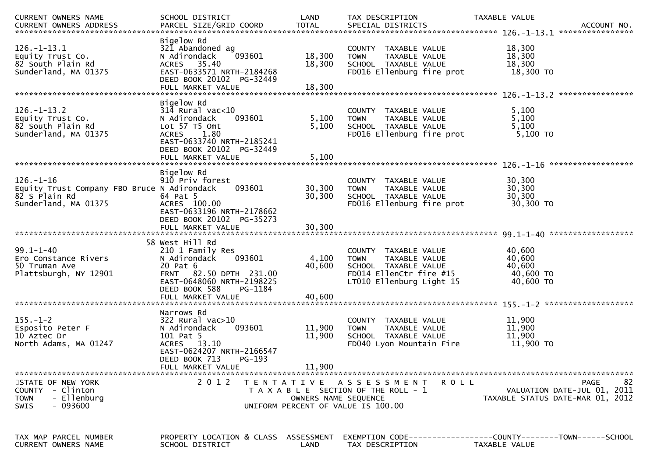| CURRENT OWNERS NAME                                                                                     | SCHOOL DISTRICT                                                                                                                                              | LAND                 | TAX DESCRIPTION                                                                                                                     | TAXABLE VALUE<br>ACCOUNT NO.<br>****************                                     |
|---------------------------------------------------------------------------------------------------------|--------------------------------------------------------------------------------------------------------------------------------------------------------------|----------------------|-------------------------------------------------------------------------------------------------------------------------------------|--------------------------------------------------------------------------------------|
| $126. - 1 - 13.1$<br>Equity Trust Co.<br>82 South Plain Rd<br>Sunderland, MA 01375                      | Bigelow Rd<br>321 Abandoned ag<br>093601<br>N Adirondack<br>ACRES 35.40<br>EAST-0633571 NRTH-2184268<br>DEED BOOK 20102 PG-32449                             | 18,300<br>18,300     | COUNTY TAXABLE VALUE<br><b>TOWN</b><br>TAXABLE VALUE<br>SCHOOL TAXABLE VALUE<br>FD016 Ellenburg fire prot                           | 18,300<br>18,300<br>18,300<br>18,300 TO                                              |
| $126. - 1 - 13.2$                                                                                       | Bigelow Rd                                                                                                                                                   |                      |                                                                                                                                     | ****************                                                                     |
| Equity Trust Co.<br>82 South Plain Rd<br>Sunderland, MA 01375                                           | $314$ Rural vac<10<br>093601<br>N Adirondack<br>Lot 57 T5 Omt<br>1.80<br><b>ACRES</b><br>EAST-0633740 NRTH-2185241<br>DEED BOOK 20102 PG-32449               | 5,100<br>5,100       | COUNTY TAXABLE VALUE<br>TAXABLE VALUE<br><b>TOWN</b><br>SCHOOL TAXABLE VALUE<br>FD016 Ellenburg fire prot                           | 5,100<br>5,100<br>5,100<br>$5,100$ TO                                                |
|                                                                                                         |                                                                                                                                                              |                      |                                                                                                                                     |                                                                                      |
| $126. - 1 - 16$<br>Equity Trust Company FBO Bruce N Adirondack<br>82 S Plain Rd<br>Sunderland, MA 01375 | Bigelow Rd<br>910 Priv forest<br>093601<br>64 Pat 5<br>ACRES 100.00<br>EAST-0633196 NRTH-2178662                                                             | 30,300<br>30,300     | COUNTY TAXABLE VALUE<br>TAXABLE VALUE<br><b>TOWN</b><br>SCHOOL TAXABLE VALUE<br>FD016 Ellenburg fire prot                           | 30,300<br>30,300<br>30, 300<br>30,300 TO                                             |
|                                                                                                         | DEED BOOK 20102 PG-35273<br>FULL MARKET VALUE                                                                                                                | 30,300               |                                                                                                                                     |                                                                                      |
| $99.1 - 1 - 40$<br>Ero Constance Rivers<br>50 Truman Ave<br>Plattsburgh, NY 12901                       | 58 West Hill Rd<br>210 1 Family Res<br>093601<br>N Adirondack<br>20 Pat 6<br>FRNT 82.50 DPTH 231.00<br>EAST-0648060 NRTH-2198225<br>DEED BOOK 588<br>PG-1184 | 4,100<br>40,600      | COUNTY TAXABLE VALUE<br>TAXABLE VALUE<br><b>TOWN</b><br>SCHOOL TAXABLE VALUE<br>FD014 EllenCtr fire #15<br>LT010 Ellenburg Light 15 | 40,600<br>40,600<br>40,600<br>40,600 TO<br>40,600 TO                                 |
|                                                                                                         | FULL MARKET VALUE                                                                                                                                            | 40,600               |                                                                                                                                     | *******************                                                                  |
| $155. - 1 - 2$<br>Esposito Peter F<br>10 Aztec Dr<br>North Adams, MA 01247                              | Narrows Rd<br>$322$ Rural vac $>10$<br>093601<br>N Adirondack<br>101 Pat 5<br>ACRES 13.10<br>EAST-0624207 NRTH-2166547<br>DEED BOOK 713<br>PG-193            | 11,900<br>11,900     | COUNTY TAXABLE VALUE<br><b>TOWN</b><br>TAXABLE VALUE<br>SCHOOL TAXABLE VALUE<br>FD040 Lyon Mountain Fire                            | 11,900<br>11,900<br>11,900<br>11,900 TO                                              |
|                                                                                                         | FULL MARKET VALUE                                                                                                                                            | 11,900               |                                                                                                                                     |                                                                                      |
| STATE OF NEW YORK<br>COUNTY - Clinton<br>- Ellenburg<br><b>TOWN</b><br>- 093600<br><b>SWIS</b>          | 2 0 1 2                                                                                                                                                      | OWNERS NAME SEQUENCE | TENTATIVE ASSESSMENT<br>R O L L<br>T A X A B L E SECTION OF THE ROLL - 1<br>UNIFORM PERCENT OF VALUE IS 100.00                      | 82<br><b>PAGE</b><br>VALUATION DATE-JUL 01, 2011<br>TAXABLE STATUS DATE-MAR 01, 2012 |
| TAX MAP PARCEL NUMBER<br>CURRENT OWNERS NAME                                                            | PROPERTY LOCATION & CLASS ASSESSMENT<br>SCHOOL DISTRICT                                                                                                      | LAND                 | TAX DESCRIPTION                                                                                                                     | EXEMPTION CODE-----------------COUNTY-------TOWN------SCHOOL<br>TAXABLE VALUE        |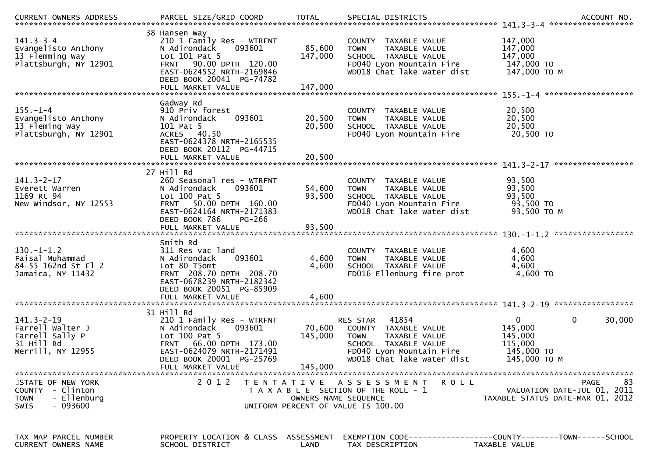| $141.3 - 3 - 4$<br>Evangelisto Anthony<br>13 Flemming Way<br>Plattsburgh, NY 12901             | 38 Hansen Way<br>210 1 Family Res - WTRFNT<br>093601<br>N Adirondack<br>Lot 101 Pat 5<br>FRNT 90.00 DPTH 120.00<br>EAST-0624552 NRTH-2169846<br>DEED BOOK 20041 PG-74782                   | 85,600<br>147,000            | COUNTY TAXABLE VALUE<br>TAXABLE VALUE<br><b>TOWN</b><br>SCHOOL TAXABLE VALUE<br>FD040 Lyon Mountain Fire<br>WD018 Chat lake water dist                      | 147,000<br>147,000<br>147,000<br>147,000 TO<br>147,000 ТО М                                |
|------------------------------------------------------------------------------------------------|--------------------------------------------------------------------------------------------------------------------------------------------------------------------------------------------|------------------------------|-------------------------------------------------------------------------------------------------------------------------------------------------------------|--------------------------------------------------------------------------------------------|
| $155. - 1 - 4$<br>Evangelisto Anthony<br>13 Fleming Way<br>Plattsburgh, NY 12901               | Gadway Rd<br>910 Priv forest<br>093601<br>N Adirondack<br>101 Pat 5<br>ACRES 40.50<br>EAST-0624378 NRTH-2165535<br>DEED BOOK 20112 PG-44715<br>FULL MARKET VALUE                           | 20,500<br>20,500<br>20,500   | COUNTY TAXABLE VALUE<br>TAXABLE VALUE<br><b>TOWN</b><br>SCHOOL TAXABLE VALUE<br>FD040 Lyon Mountain Fire                                                    | 20,500<br>20,500<br>20,500<br>20,500 TO                                                    |
| $141.3 - 2 - 17$<br>Everett Warren<br>1169 Rt 94<br>New Windsor, NY 12553                      | 27 Hill Rd<br>260 Seasonal res - WTRFNT<br>N Adirondack<br>093601<br>Lot $100$ Pat 5<br>FRNT 50.00 DPTH 160.00<br>EAST-0624164 NRTH-2171383<br>DEED BOOK 786<br>PG-266                     | 54,600<br>93,500             | COUNTY TAXABLE VALUE<br>TAXABLE VALUE<br><b>TOWN</b><br>SCHOOL TAXABLE VALUE<br>FD040 Lyon Mountain Fire<br>WD018 Chat lake water dist                      | *****************<br>93,500<br>93,500<br>93,500<br>93,500 TO<br>93,500 ТО М                |
| $130.-1-1.2$<br>Faisal Muhammad<br>84-55 162nd St Fl 2<br>Jamaica, NY 11432                    | Smith Rd<br>311 Res vac land<br>093601<br>N Adirondack<br>Lot 80 T5omt<br>FRNT 208.70 DPTH 208.70<br>EAST-0678239 NRTH-2182342<br>DEED BOOK 20051 PG-85909                                 | 4,600<br>4,600               | COUNTY TAXABLE VALUE<br>TAXABLE VALUE<br><b>TOWN</b><br>SCHOOL TAXABLE VALUE<br>FD016 Ellenburg fire prot                                                   | 4,600<br>4,600<br>4,600<br>4,600 TO                                                        |
| $141.3 - 2 - 19$<br>Farrell Walter J<br>Farrell Sally P<br>31 Hill Rd<br>Merrill, NY 12955     | 31 Hill Rd<br>210 1 Family Res - WTRFNT<br>093601<br>N Adirondack<br>Lot 100 Pat 5<br>FRNT 66.00 DPTH 173.00<br>EAST-0624079 NRTH-2171491<br>DEED BOOK 20001 PG-25769<br>FULL MARKET VALUE | 70,600<br>145,000<br>145,000 | 41854<br>RES STAR<br>COUNTY TAXABLE VALUE<br><b>TOWN</b><br>TAXABLE VALUE<br>SCHOOL TAXABLE VALUE<br>FD040 Lyon Mountain Fire<br>WD018 Chat lake water dist | 0<br>$\mathbf{0}$<br>30,000<br>145,000<br>145,000<br>115,000<br>145,000 TO<br>145,000 ТО М |
| STATE OF NEW YORK<br>COUNTY - Clinton<br>- Ellenburg<br><b>TOWN</b><br>- 093600<br><b>SWIS</b> | 2 0 1 2                                                                                                                                                                                    | OWNERS NAME SEQUENCE         | TENTATIVE ASSESSMENT<br><b>ROLL</b><br>T A X A B L E SECTION OF THE ROLL - 1<br>UNIFORM PERCENT OF VALUE IS 100.00                                          | 83<br><b>PAGE</b><br>VALUATION DATE-JUL 01, 2011<br>TAXABLE STATUS DATE-MAR 01, 2012       |
| TAX MAP PARCEL NUMBER<br>CURRENT OWNERS NAME                                                   | PROPERTY LOCATION & CLASS ASSESSMENT<br>SCHOOL DISTRICT                                                                                                                                    | LAND                         | TAX DESCRIPTION                                                                                                                                             | TAXABLE VALUE                                                                              |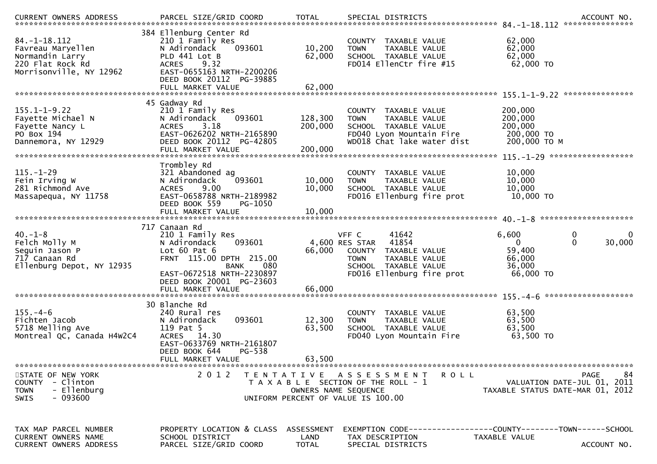|                                                                                                           |                                                                                                                                                                          |                               |                                                                                                                                                        | .CURRENT OWNERS ADDRESS PARCEL SIZE/GRID COORD TOTAL SPECIAL DISTRICTS ACCOUNT NO ACCOUNT NO ACCOUNT NO AND ART AND A SERVERS AND RESERVE TO A SERVERS AND RESERVE TO A SERVERS AND RESERVE TO A SERVERS AND RESERVE TO A SERV |
|-----------------------------------------------------------------------------------------------------------|--------------------------------------------------------------------------------------------------------------------------------------------------------------------------|-------------------------------|--------------------------------------------------------------------------------------------------------------------------------------------------------|--------------------------------------------------------------------------------------------------------------------------------------------------------------------------------------------------------------------------------|
| $84. - 1 - 18.112$<br>Favreau Maryellen<br>Normandin Larry<br>220 Flat Rock Rd<br>Morrisonville, NY 12962 | 384 Ellenburg Center Rd<br>210 1 Family Res<br>093601<br>N Adirondack<br>PLD 441 Lot B<br>9.32<br><b>ACRES</b><br>EAST-0655163 NRTH-2200206<br>DEED BOOK 20112 PG-39885  | 10,200<br>62,000              | COUNTY TAXABLE VALUE<br><b>TOWN</b><br>TAXABLE VALUE<br>SCHOOL TAXABLE VALUE<br>FD014 EllenCtr fire #15                                                | 62,000<br>62,000<br>62,000<br>$62,000$ TO                                                                                                                                                                                      |
|                                                                                                           | 45 Gadway Rd                                                                                                                                                             |                               |                                                                                                                                                        |                                                                                                                                                                                                                                |
| $155.1 - 1 - 9.22$<br>Fayette Michael N<br>Fayette Nancy L<br>PO Box 194<br>Dannemora, NY 12929           | 210 1 Family Res<br>093601<br>N Adirondack<br>3.18<br><b>ACRES</b><br>EAST-0626202 NRTH-2165890<br>DEED BOOK 20112 PG-42805<br>FULL MARKET VALUE                         | 128,300<br>200,000<br>200,000 | COUNTY TAXABLE VALUE<br>TAXABLE VALUE<br><b>TOWN</b><br>SCHOOL TAXABLE VALUE<br>FD040 Lyon Mountain Fire<br>WD018 Chat lake water dist                 | 200,000<br>200,000<br>200,000<br>200,000 TO<br>200,000 ТО М                                                                                                                                                                    |
|                                                                                                           | Trombley Rd                                                                                                                                                              |                               |                                                                                                                                                        |                                                                                                                                                                                                                                |
| $115. - 1 - 29$<br>Fein Irving W<br>281 Richmond Ave<br>Massapequa, NY 11758                              | 321 Abandoned ag<br>N Adirondack<br>093601<br>9.00<br>ACRES<br>EAST-0658788 NRTH-2189982<br>DEED BOOK 559<br>PG-1050                                                     | 10,000<br>10,000              | COUNTY TAXABLE VALUE<br><b>TOWN</b><br>TAXABLE VALUE<br>SCHOOL TAXABLE VALUE<br>FD016 Ellenburg fire prot                                              | 10,000<br>10,000<br>10,000<br>10,000 TO                                                                                                                                                                                        |
|                                                                                                           | FULL MARKET VALUE                                                                                                                                                        | 10,000                        |                                                                                                                                                        |                                                                                                                                                                                                                                |
|                                                                                                           | 717 Canaan Rd                                                                                                                                                            |                               |                                                                                                                                                        | $40 - 1 - 8$ **********************                                                                                                                                                                                            |
| $40. -1 - 8$<br>Felch Molly M<br>Seguin Jason P<br>717 Canaan Rd<br>Ellenburg Depot, NY 12935             | 210 1 Family Res<br>093601<br>N Adirondack<br>Lot $60$ Pat $6$<br>FRNT 115.00 DPTH 215.00<br>080<br><b>BANK</b><br>EAST-0672518 NRTH-2230897<br>DEED BOOK 20001 PG-23603 | 66,000                        | 41642<br>VFF C<br>41854<br>4,600 RES STAR<br>COUNTY TAXABLE VALUE<br><b>TOWN</b><br>TAXABLE VALUE<br>SCHOOL TAXABLE VALUE<br>FD016 Ellenburg fire prot | 6,600<br>0<br>0<br>$\mathbf{0}$<br>$\mathbf{0}$<br>30,000<br>59,400<br>66,000<br>36,000<br>66,000 TO                                                                                                                           |
|                                                                                                           |                                                                                                                                                                          |                               |                                                                                                                                                        |                                                                                                                                                                                                                                |
| $155. - 4 - 6$<br>Fichten Jacob<br>5718 Melling Ave<br>Montreal QC, Canada H4W2C4                         | 30 Blanche Rd<br>240 Rural res<br>093601<br>N Adirondack<br>119 Pat 5<br>ACRES 14.30<br>EAST-0633769 NRTH-2161807<br>DEED BOOK 644<br>PG-538<br>FULL MARKET VALUE        | 12,300<br>63,500<br>63,500    | COUNTY TAXABLE VALUE<br><b>TOWN</b><br>TAXABLE VALUE<br>SCHOOL TAXABLE VALUE<br>FD040 Lyon Mountain Fire                                               | 63,500<br>63,500<br>63,500<br>63,500 TO                                                                                                                                                                                        |
|                                                                                                           | 2 0 1 2                                                                                                                                                                  |                               |                                                                                                                                                        |                                                                                                                                                                                                                                |
| STATE OF NEW YORK<br>COUNTY - Clinton<br>- Ellenburg<br><b>TOWN</b><br>$-093600$<br>SWIS                  |                                                                                                                                                                          | OWNERS NAME SEQUENCE          | <b>ROLL</b><br>TENTATIVE ASSESSMENT<br>T A X A B L E SECTION OF THE ROLL - 1<br>UNIFORM PERCENT OF VALUE IS 100.00                                     | 84<br><b>PAGE</b><br>VALUATION DATE-JUL 01, 2011<br>TAXABLE STATUS DATE-MAR 01, 2012                                                                                                                                           |
| TAX MAP PARCEL NUMBER<br>CURRENT OWNERS NAME<br>CURRENT OWNERS ADDRESS                                    | PROPERTY LOCATION & CLASS ASSESSMENT<br>SCHOOL DISTRICT<br>PARCEL SIZE/GRID COORD                                                                                        | LAND<br><b>TOTAL</b>          | TAX DESCRIPTION<br>SPECIAL DISTRICTS                                                                                                                   | EXEMPTION CODE------------------COUNTY--------TOWN------SCHOOL<br>TAXABLE VALUE<br>ACCOUNT NO.                                                                                                                                 |
|                                                                                                           |                                                                                                                                                                          |                               |                                                                                                                                                        |                                                                                                                                                                                                                                |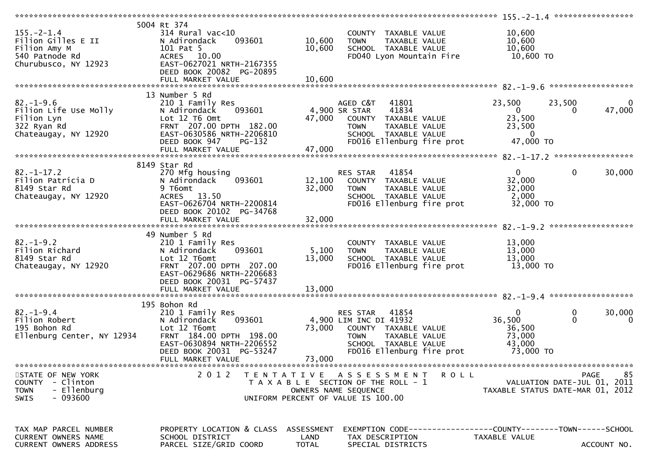| $155. - 2 - 1.4$<br>Filion Gilles E II<br>Filion Amy M<br>540 Patnode Rd<br>Churubusco, NY 12923   | 5004 Rt 374<br>$314$ Rural vac<10<br>093601<br>N Adirondack<br>101 Pat 5<br>ACRES 10.00<br>EAST-0627021 NRTH-2167355<br>DEED BOOK 20082 PG-20895<br>FULL MARKET VALUE               | 10,600<br>10,600<br>10,600         | COUNTY TAXABLE VALUE<br><b>TOWN</b><br>TAXABLE VALUE<br>SCHOOL TAXABLE VALUE<br>FD040 Lyon Mountain Fire                                                 | 10,600<br>10,600<br>10,600<br>10,600 TO                                     |                                                                               |
|----------------------------------------------------------------------------------------------------|-------------------------------------------------------------------------------------------------------------------------------------------------------------------------------------|------------------------------------|----------------------------------------------------------------------------------------------------------------------------------------------------------|-----------------------------------------------------------------------------|-------------------------------------------------------------------------------|
|                                                                                                    |                                                                                                                                                                                     |                                    |                                                                                                                                                          |                                                                             |                                                                               |
| $82. - 1 - 9.6$<br>Filion Life Use Molly<br>Filion Lyn<br>322 Ryan Rd<br>Chateaugay, NY 12920      | 13 Number 5 Rd<br>210 1 Family Res<br>093601<br>N Adirondack<br>Lot 12 T6 Omt<br>FRNT 207.00 DPTH 182.00<br>EAST-0630586 NRTH-2206810<br>DEED BOOK 947<br><b>PG-132</b>             | 47,000                             | AGED C&T<br>41801<br>41834<br>4,900 SR STAR<br>COUNTY TAXABLE VALUE<br><b>TOWN</b><br>TAXABLE VALUE<br>SCHOOL TAXABLE VALUE<br>FD016 Ellenburg fire prot | 23,500<br>$\overline{0}$<br>23,500<br>23,500<br>$\overline{0}$<br>47,000 TO | 23,500<br>$\overline{0}$<br>47,000<br>$\Omega$                                |
|                                                                                                    |                                                                                                                                                                                     |                                    |                                                                                                                                                          |                                                                             |                                                                               |
| $82. - 1 - 17.2$<br>Filion Patricia D<br>8149 Star Rd<br>Chateaugay, NY 12920                      | 8149 Star Rd<br>270 Mfg housing<br>093601<br>N Adirondack<br>9 T6omt<br>ACRES 13.50<br>EAST-0626704 NRTH-2200814<br>DEED BOOK 20102 PG-34768                                        | 12,100<br>32,000                   | RES STAR<br>41854<br>COUNTY TAXABLE VALUE<br>TAXABLE VALUE<br><b>TOWN</b><br>SCHOOL TAXABLE VALUE<br>FD016 Ellenburg fire prot                           | $\mathbf{0}$<br>32,000<br>32,000<br>2,000<br>32,000 TO                      | $\mathbf 0$<br>30,000                                                         |
|                                                                                                    |                                                                                                                                                                                     |                                    |                                                                                                                                                          |                                                                             |                                                                               |
| $82. - 1 - 9.2$<br>Filion Richard<br>8149 Star Rd<br>Chateaugay, NY 12920                          | 49 Number 5 Rd<br>210 1 Family Res<br>N Adirondack<br>093601<br>Lot 12 T6omt<br>FRNT 207.00 DPTH 207.00<br>EAST-0629686 NRTH-2206683<br>DEED BOOK 20031 PG-57437                    | 5,100<br>13,000                    | COUNTY TAXABLE VALUE<br>TAXABLE VALUE<br><b>TOWN</b><br>SCHOOL TAXABLE VALUE<br>FD016 Ellenburg fire prot                                                | 13,000<br>13,000<br>13,000<br>13,000 TO                                     |                                                                               |
|                                                                                                    |                                                                                                                                                                                     |                                    |                                                                                                                                                          |                                                                             |                                                                               |
| $82. - 1 - 9.4$<br>Filion Robert<br>195 Bohon Rd<br>Ellenburg Center, NY 12934                     | 195 Bohon Rd<br>210 1 Family Res<br>093601<br>N Adirondack<br>Lot 12 T6omt<br>FRNT 184.00 DPTH 198.00<br>EAST-0630894 NRTH-2206552<br>DEED BOOK 20031 PG-53247<br>FULL MARKET VALUE | 73,000<br>73,000                   | RES STAR<br>41854<br>4,900 LIM INC DI 41932<br>COUNTY TAXABLE VALUE<br>TAXABLE VALUE<br><b>TOWN</b><br>SCHOOL TAXABLE VALUE<br>FD016 Ellenburg fire prot | $\mathbf{0}$<br>36,500<br>36,500<br>73,000<br>43,000<br>73,000 TO           | 0<br>30,000<br>$\Omega$<br>0                                                  |
|                                                                                                    |                                                                                                                                                                                     |                                    |                                                                                                                                                          |                                                                             |                                                                               |
| STATE OF NEW YORK<br>- Clinton<br><b>COUNTY</b><br>- Ellenburg<br><b>TOWN</b><br>$-093600$<br>SWIS | 2 0 1 2<br>T E N T A T I V E                                                                                                                                                        |                                    | <b>ROLL</b><br>A S S E S S M E N T<br>T A X A B L E SECTION OF THE ROLL - 1<br>OWNERS NAME SEQUENCE<br>UNIFORM PERCENT OF VALUE IS 100.00                |                                                                             | 85<br>PAGE<br>VALUATION DATE-JUL 01, 2011<br>TAXABLE STATUS DATE-MAR 01, 2012 |
| TAX MAP PARCEL NUMBER<br><b>CURRENT OWNERS NAME</b><br>CURRENT OWNERS ADDRESS                      | PROPERTY LOCATION & CLASS<br>SCHOOL DISTRICT<br>PARCEL SIZE/GRID COORD                                                                                                              | ASSESSMENT<br>LAND<br><b>TOTAL</b> | EXEMPTION CODE------------------COUNTY--------TOWN------SCHOOL<br>TAX DESCRIPTION<br>SPECIAL DISTRICTS                                                   | TAXABLE VALUE                                                               | ACCOUNT NO.                                                                   |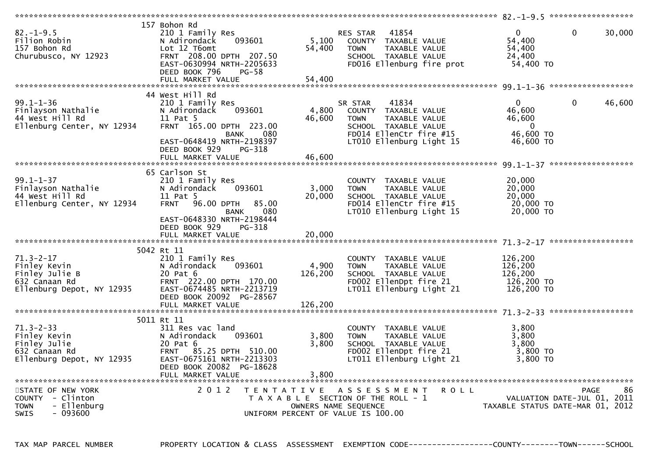| $82. - 1 - 9.5$<br>Filion Robin<br>157 Bohon Rd<br>Churubusco, NY 12923                         | 157 Bohon Rd<br>210 1 Family Res<br>N Adirondack<br>093601<br>Lot 12 T6omt<br>FRNT 208.00 DPTH 207.50<br>EAST-0630994 NRTH-2205633<br>DEED BOOK 796<br>$PG-58$<br>FULL MARKET VALUE              | 5,100<br>54,400<br>54,400   | 41854<br>RES STAR<br>COUNTY TAXABLE VALUE<br>TAXABLE VALUE<br><b>TOWN</b><br>SCHOOL TAXABLE VALUE<br>FD016 Ellenburg fire prot                          | $\mathbf{0}$<br>54,400<br>54,400<br>24,400<br>54,400 TO         | $\Omega$<br>30,000     |
|-------------------------------------------------------------------------------------------------|--------------------------------------------------------------------------------------------------------------------------------------------------------------------------------------------------|-----------------------------|---------------------------------------------------------------------------------------------------------------------------------------------------------|-----------------------------------------------------------------|------------------------|
|                                                                                                 |                                                                                                                                                                                                  |                             |                                                                                                                                                         |                                                                 |                        |
|                                                                                                 |                                                                                                                                                                                                  |                             |                                                                                                                                                         |                                                                 |                        |
| $99.1 - 1 - 36$<br>Finlayson Nathalie<br>44 West Hill Rd<br>Ellenburg Center, NY 12934          | 44 West Hill Rd<br>210 1 Family Res<br>N Adirondack<br>093601<br>11 Pat 5<br>FRNT 165.00 DPTH 223.00<br>080<br>BANK<br>EAST-0648419 NRTH-2198397<br>DEED BOOK 929<br>PG-318<br>FULL MARKET VALUE | 4,800<br>46,600<br>46,600   | SR STAR<br>41834<br>COUNTY TAXABLE VALUE<br>TAXABLE VALUE<br><b>TOWN</b><br>SCHOOL TAXABLE VALUE<br>FD014 EllenCtr fire #15<br>LT010 Ellenburg Light 15 | 0<br>46,600<br>46,600<br>$\Omega$<br>46,600 TO<br>46,600 TO     | $\mathbf{0}$<br>46,600 |
|                                                                                                 |                                                                                                                                                                                                  |                             |                                                                                                                                                         |                                                                 |                        |
| $99.1 - 1 - 37$<br>Finlayson Nathalie<br>44 West Hill Rd<br>Ellenburg Center, NY 12934          | 65 Carlson St<br>210 1 Family Res<br>N Adirondack<br>093601<br>11 Pat 5<br>96.00 DPTH<br><b>FRNT</b><br>85.00<br>080<br>BANK<br>EAST-0648330 NRTH-2198444<br>DEED BOOK 929<br>PG-318             | 3,000<br>20,000             | COUNTY TAXABLE VALUE<br><b>TOWN</b><br>TAXABLE VALUE<br>SCHOOL TAXABLE VALUE<br>FD014 EllenCtr fire #15<br>LT010 Ellenburg Light 15                     | 20,000<br>20,000<br>20,000<br>20,000 TO<br>20,000 TO            |                        |
|                                                                                                 | FULL MARKET VALUE                                                                                                                                                                                | 20,000                      |                                                                                                                                                         |                                                                 |                        |
|                                                                                                 |                                                                                                                                                                                                  |                             |                                                                                                                                                         |                                                                 |                        |
| $71.3 - 2 - 17$<br>Finley Kevin<br>Finley Julie B<br>632 Canaan Rd<br>Ellenburg Depot, NY 12935 | 5042 Rt 11<br>210 1 Family Res<br>N Adirondack<br>093601<br>20 Pat 6<br>FRNT 222.00 DPTH 170.00<br>EAST-0674485 NRTH-2213719<br>DEED BOOK 20092 PG-28567<br>FULL MARKET VALUE                    | 4,900<br>126,200<br>126,200 | COUNTY TAXABLE VALUE<br>TAXABLE VALUE<br><b>TOWN</b><br>SCHOOL TAXABLE VALUE<br>FD002 EllenDpt fire 21<br>LT011 Ellenburg Light 21                      | 126,200<br>126,200<br>126,200<br>126,200 TO<br>126,200 TO       |                        |
|                                                                                                 |                                                                                                                                                                                                  |                             |                                                                                                                                                         |                                                                 |                        |
| $71.3 - 2 - 33$<br>Finley Kevin<br>Finley Julie<br>632 Canaan Rd<br>Ellenburg Depot, NY 12935   | 5011 Rt 11<br>311 Res vac land<br>N Adirondack<br>093601<br>20 Pat 6<br>FRNT 85.25 DPTH 510.00<br>EAST-0675161 NRTH-2213303<br>DEED BOOK 20082 PG-18628<br>FULL MARKET VALUE                     | 3,800<br>3,800<br>3.800     | COUNTY TAXABLE VALUE<br><b>TOWN</b><br>TAXABLE VALUE<br>SCHOOL TAXABLE VALUE<br>FD002 EllenDpt fire 21<br>LT011 Ellenburg Light 21                      | 3,800<br>3.800<br>3,800<br>3,800 TO<br>3,800 TO                 |                        |
|                                                                                                 |                                                                                                                                                                                                  |                             |                                                                                                                                                         |                                                                 |                        |
| STATE OF NEW YORK<br>COUNTY - Clinton<br>- Ellenburg<br><b>TOWN</b><br><b>SWIS</b><br>- 093600  | 2 0 1 2<br>T E N T A T I V E                                                                                                                                                                     | OWNERS NAME SEQUENCE        | A S S E S S M E N T<br><b>ROLL</b><br>T A X A B L E SECTION OF THE ROLL - 1<br>UNIFORM PERCENT OF VALUE IS 100.00                                       | VALUATION DATE-JUL 01, 2011<br>TAXABLE STATUS DATE-MAR 01, 2012 | <b>PAGE</b><br>86      |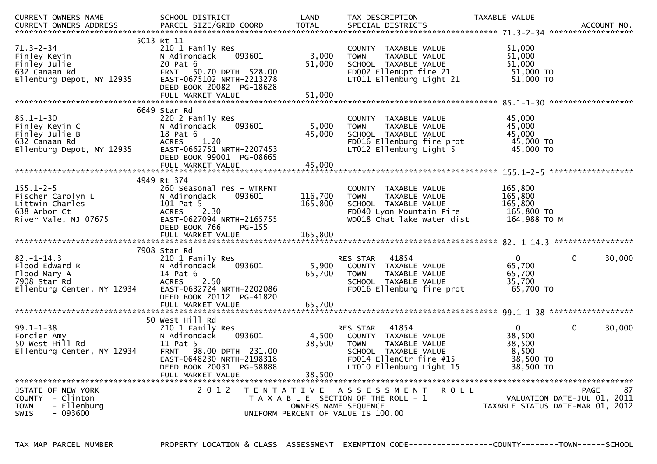| CURRENT OWNERS NAME                                                                             | SCHOOL DISTRICT                                                                                                                                                                   | LAND                      | TAX DESCRIPTION                                                                                                                                                 | TAXABLE VALUE                                                       |                        |
|-------------------------------------------------------------------------------------------------|-----------------------------------------------------------------------------------------------------------------------------------------------------------------------------------|---------------------------|-----------------------------------------------------------------------------------------------------------------------------------------------------------------|---------------------------------------------------------------------|------------------------|
| $71.3 - 2 - 34$<br>Finley Kevin<br>Finley Julie<br>632 Canaan Rd<br>Ellenburg Depot, NY 12935   | 5013 Rt 11<br>210 1 Family Res<br>N Adirondack<br>093601<br>20 Pat 6<br>FRNT 50.70 DPTH 528.00<br>EAST-0675102 NRTH-2213278<br>DEED BOOK 20082 PG-18628<br>FULL MARKET VALUE      | 3,000<br>51,000<br>51,000 | COUNTY TAXABLE VALUE<br>TAXABLE VALUE<br><b>TOWN</b><br>SCHOOL TAXABLE VALUE<br>FD002 EllenDpt fire 21<br>LT011 Ellenburg Light 21                              | 51,000<br>51,000<br>51,000<br>51,000 TO<br>51,000 TO                |                        |
| $85.1 - 1 - 30$                                                                                 | 6649 Star Rd<br>220 2 Family Res                                                                                                                                                  |                           | COUNTY TAXABLE VALUE                                                                                                                                            | 45,000                                                              |                        |
| Finley Kevin C<br>Finley Julie B<br>632 Canaan Rd<br>Ellenburg Depot, NY 12935                  | 093601<br>N Adirondack<br>18 Pat 6<br>ACRES 1.20<br>EAST-0662751 NRTH-2207453<br>DEED BOOK 99001 PG-08665                                                                         | 5,000<br>45,000           | TAXABLE VALUE<br><b>TOWN</b><br>SCHOOL TAXABLE VALUE<br>FD016 Ellenburg fire prot<br>LT012 Ellenburg Light 5                                                    | 45,000<br>45,000<br>45,000 TO<br>45,000 TO                          |                        |
|                                                                                                 |                                                                                                                                                                                   |                           |                                                                                                                                                                 |                                                                     |                        |
|                                                                                                 | 4949 Rt 374                                                                                                                                                                       |                           |                                                                                                                                                                 |                                                                     |                        |
| $155.1 - 2 - 5$<br>Fischer Carolyn L<br>Littwin Charles<br>638 Arbor Ct<br>River Vale, NJ 07675 | 260 Seasonal res - WTRFNT<br>N Adirondack<br>093601<br>101 Pat 5<br><b>ACRES</b><br>2.30<br>EAST-0627094 NRTH-2165755<br>DEED BOOK 766<br>PG-155                                  | 116,700<br>165,800        | COUNTY TAXABLE VALUE<br>TAXABLE VALUE<br><b>TOWN</b><br>SCHOOL TAXABLE VALUE<br>FD040 Lyon Mountain Fire<br>WD018 Chat lake water dist                          | 165,800<br>165,800<br>165,800<br>165,800 TO<br>164,988 TO M         |                        |
|                                                                                                 |                                                                                                                                                                                   |                           |                                                                                                                                                                 |                                                                     |                        |
|                                                                                                 | 7908 Star Rd                                                                                                                                                                      |                           |                                                                                                                                                                 |                                                                     |                        |
| $82 - 1 - 14.3$<br>Flood Edward R<br>Flood Mary A<br>7908 Star Rd<br>Ellenburg Center, NY 12934 | 210 1 Family Res<br>093601<br>N Adirondack<br>14 Pat 6<br>2.50<br><b>ACRES</b><br>EAST-0632724 NRTH-2202086<br>DEED BOOK 20112 PG-41820                                           | 5,900<br>65,700           | 41854<br>RES STAR<br>COUNTY TAXABLE VALUE<br><b>TOWN</b><br>TAXABLE VALUE<br>SCHOOL TAXABLE VALUE<br>FD016 Ellenburg fire prot                                  | 0<br>65,700<br>65,700<br>35,700<br>65,700 TO                        | $\mathbf{0}$<br>30,000 |
|                                                                                                 | FULL MARKET VALUE                                                                                                                                                                 | 65,700                    |                                                                                                                                                                 |                                                                     |                        |
| $99.1 - 1 - 38$<br>Forcier Amy<br>50 West Hill Rd<br>Ellenburg Center, NY 12934                 | 50 West Hill Rd<br>210 1 Family Res<br>N Adirondack<br>093601<br>11 Pat 5<br>FRNT 98.00 DPTH 231.00<br>EAST-0648230 NRTH-2198318<br>DEED BOOK 20031 PG-58888<br>FULL MARKET VALUE | 4,500<br>38,500<br>38,500 | 41854<br><b>RES STAR</b><br>COUNTY TAXABLE VALUE<br><b>TOWN</b><br>TAXABLE VALUE<br>SCHOOL TAXABLE VALUE<br>FD014 EllenCtr fire #15<br>LT010 Ellenburg Light 15 | $\mathbf{0}$<br>38,500<br>38,500<br>8,500<br>38,500 TO<br>38,500 TO | $\mathbf 0$<br>30,000  |
|                                                                                                 |                                                                                                                                                                                   |                           |                                                                                                                                                                 |                                                                     |                        |
| STATE OF NEW YORK<br>COUNTY - Clinton<br>- Ellenburg<br><b>TOWN</b><br>$-093600$<br>SWIS        | 2 0 1 2                                                                                                                                                                           |                           | TENTATIVE ASSESSMENT<br>R O L L<br>T A X A B L E SECTION OF THE ROLL - 1<br>OWNERS NAME SEQUENCE<br>UNIFORM PERCENT OF VALUE IS 100.00                          | VALUATION DATE-JUL 01, 2011<br>TAXABLE STATUS DATE-MAR 01, 2012     | 87<br>PAGE             |

TAX MAP PARCEL NUMBER PROPERTY LOCATION & CLASS ASSESSMENT EXEMPTION CODE------------------COUNTY--------TOWN------SCHOOL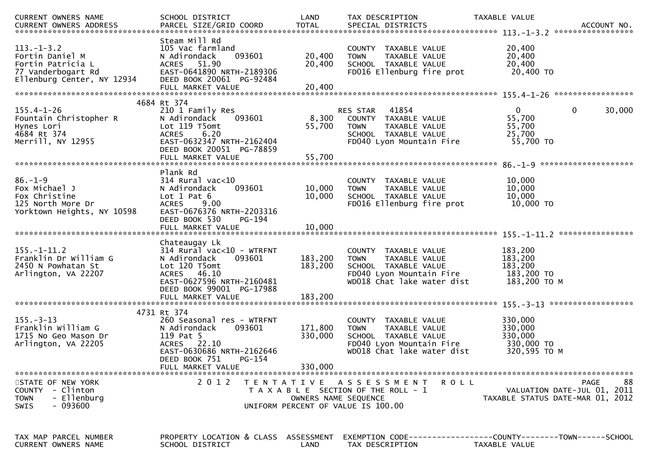| CURRENT OWNERS NAME                                                                                      | SCHOOL DISTRICT                                                                                                                                                               | LAND                          | TAX DESCRIPTION                                                                                                                        | TAXABLE VALUE                                                                        |
|----------------------------------------------------------------------------------------------------------|-------------------------------------------------------------------------------------------------------------------------------------------------------------------------------|-------------------------------|----------------------------------------------------------------------------------------------------------------------------------------|--------------------------------------------------------------------------------------|
| $113.-1-3.2$<br>Fortin Daniel M<br>Fortin Patricia L<br>77 Vanderbogart Rd<br>Ellenburg Center, NY 12934 | Steam Mill Rd<br>105 Vac farmland<br>093601<br>N Adirondack<br>ACRES 51.90<br>EAST-0641890 NRTH-2189306<br>DEED BOOK 20061 PG-92484                                           | 20,400<br>20,400              | COUNTY TAXABLE VALUE<br><b>TOWN</b><br>TAXABLE VALUE<br>SCHOOL TAXABLE VALUE<br>FD016 Ellenburg fire prot                              | 20,400<br>20,400<br>20,400<br>20,400 TO                                              |
|                                                                                                          | 4684 Rt 374                                                                                                                                                                   |                               |                                                                                                                                        |                                                                                      |
| $155.4 - 1 - 26$<br>Fountain Christopher R<br>Hynes Lori<br>4684 Rt 374<br>Merrill, NY 12955             | 210 1 Family Res<br>N Adirondack<br>093601<br>Lot 119 T5omt<br>6.20<br><b>ACRES</b><br>EAST-0632347 NRTH-2162404<br>DEED BOOK 20051 PG-78859                                  | 8,300<br>55,700               | RES STAR 41854<br>COUNTY TAXABLE VALUE<br>TAXABLE VALUE<br><b>TOWN</b><br>SCHOOL TAXABLE VALUE<br>FD040 Lyon Mountain Fire             | $\mathbf 0$<br>$\mathbf{0}$<br>30,000<br>55,700<br>55,700<br>25,700<br>55,700 TO     |
|                                                                                                          |                                                                                                                                                                               |                               |                                                                                                                                        |                                                                                      |
| $86. - 1 - 9$<br>Fox Michael J<br>Fox Christine<br>125 North More Dr<br>Yorktown Heights, NY 10598       | Plank Rd<br>$314$ Rural vac<10<br>093601<br>N Adirondack<br>Lot $1$ Pat $6$<br>9.00<br><b>ACRES</b><br>EAST-0676376 NRTH-2203316<br>DEED BOOK 530<br>PG-194                   | 10,000<br>10,000              | COUNTY TAXABLE VALUE<br>TAXABLE VALUE<br><b>TOWN</b><br>SCHOOL TAXABLE VALUE<br>FD016 Ellenburg fire prot                              | 10,000<br>10,000<br>10,000<br>10,000 TO                                              |
|                                                                                                          |                                                                                                                                                                               |                               |                                                                                                                                        |                                                                                      |
|                                                                                                          |                                                                                                                                                                               |                               |                                                                                                                                        |                                                                                      |
| $155. - 1 - 11.2$<br>Franklin Dr William G<br>2450 N Powhatan St<br>Arlington, VA 22207                  | Chateaugay Lk<br>314 Rural vac<10 - WTRFNT<br>093601<br>N Adirondack<br>Lot 120 T5omt<br>ACRES 46.10<br>EAST-0627596 NRTH-2160481<br>DEED BOOK 99001 PG-17988                 | 183,200<br>183,200            | COUNTY TAXABLE VALUE<br>TAXABLE VALUE<br><b>TOWN</b><br>SCHOOL TAXABLE VALUE<br>FD040 Lyon Mountain Fire<br>WD018 Chat lake water dist | 183,200<br>183,200<br>183,200<br>183,200 TO<br>183,200 ТО М                          |
|                                                                                                          |                                                                                                                                                                               |                               |                                                                                                                                        |                                                                                      |
| $155. - 3 - 13$<br>Franklin William G<br>1715 No Geo Mason Dr<br>Arlington, VA 22205                     | 4731 Rt 374<br>260 Seasonal res - WTRFNT<br>N Adirondack<br>093601<br>119 Pat 5<br>ACRES 22.10<br>EAST-0630686 NRTH-2162646<br>DEED BOOK 751<br>$PG-154$<br>FULL MARKET VALUE | 171,800<br>330,000<br>330,000 | COUNTY TAXABLE VALUE<br>TAXABLE VALUE<br><b>TOWN</b><br>SCHOOL TAXABLE VALUE<br>FD040 Lyon Mountain Fire<br>WD018 Chat lake water dist | 330,000<br>330,000<br>330,000<br>330,000 TO<br>320,595 TO M                          |
| STATE OF NEW YORK<br>COUNTY - Clinton<br>- Ellenburg<br><b>TOWN</b><br>- 093600<br><b>SWIS</b>           | 2 0 1 2                                                                                                                                                                       | OWNERS NAME SEQUENCE          | TENTATIVE ASSESSMENT<br><b>ROLL</b><br>T A X A B L E SECTION OF THE ROLL - 1<br>UNIFORM PERCENT OF VALUE IS 100.00                     | 88<br><b>PAGE</b><br>VALUATION DATE-JUL 01, 2011<br>TAXABLE STATUS DATE-MAR 01, 2012 |
| TAX MAP PARCEL NUMBER<br>CURRENT OWNERS NAME                                                             | PROPERTY LOCATION & CLASS ASSESSMENT<br>SCHOOL DISTRICT                                                                                                                       | LAND                          | TAX DESCRIPTION                                                                                                                        | EXEMPTION        CODE-----------------COUNTY-------TOWN------SCHOOL<br>TAXABLE VALUE |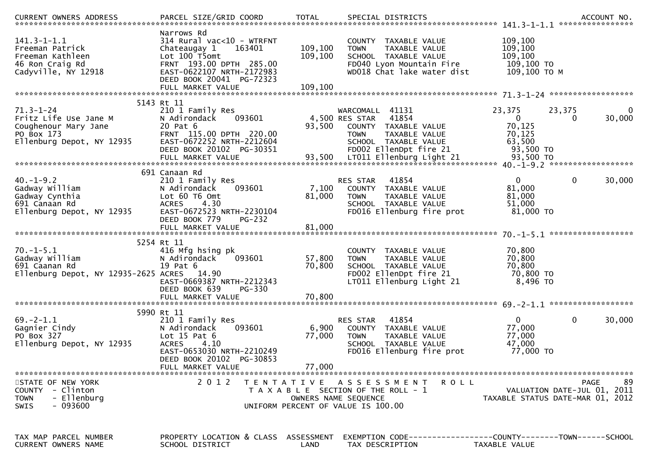| $141.3 - 1 - 1.1$<br>Freeman Patrick<br>Freeman Kathleen<br>46 Ron Craig Rd<br>Cadyville, NY 12918          | Narrows Rd<br>314 Rural vac<10 - WTRFNT<br>163401<br>Chateaugay 1<br>Lot 100 T5omt<br>FRNT 193.00 DPTH 285.00<br>EAST-0622107 NRTH-2172983<br>DEED BOOK 20041 PG-72323 | 109,100<br>109,100        | COUNTY TAXABLE VALUE<br>TAXABLE VALUE<br><b>TOWN</b><br>SCHOOL TAXABLE VALUE<br>FD040 Lyon Mountain Fire<br>WD018 Chat lake water dist               | 109,100<br>109, 100<br>109,100<br>109,100 то<br>109,100 ТО М        |                                                                                      |
|-------------------------------------------------------------------------------------------------------------|------------------------------------------------------------------------------------------------------------------------------------------------------------------------|---------------------------|------------------------------------------------------------------------------------------------------------------------------------------------------|---------------------------------------------------------------------|--------------------------------------------------------------------------------------|
|                                                                                                             | 5143 Rt 11                                                                                                                                                             |                           |                                                                                                                                                      |                                                                     |                                                                                      |
| $71.3 - 1 - 24$<br>Fritz Life Use Jane M<br>Coughenour Mary Jane<br>PO Box 173<br>Ellenburg Depot, NY 12935 | 210 1 Family Res<br>N Adirondack<br>093601<br>20 Pat 6<br>FRNT 115.00 DPTH 220.00<br>EAST-0672252 NRTH-2212604<br>DEED BOOK 20102 PG-30351                             | 93,500                    | WARCOMALL 41131<br>4,500 RES STAR<br>41854<br>COUNTY TAXABLE VALUE<br><b>TOWN</b><br>TAXABLE VALUE<br>SCHOOL TAXABLE VALUE<br>FD002 EllenDpt fire 21 | 23,375<br>$\overline{0}$<br>70,125<br>70,125<br>63,500<br>93,500 TO | 23,375<br>$\bf{0}$<br>30,000<br>0                                                    |
|                                                                                                             | 691 Canaan Rd                                                                                                                                                          |                           |                                                                                                                                                      |                                                                     |                                                                                      |
| $40. - 1 - 9.2$<br>Gadway William<br>Gadway Cynthia<br>691 Canaan Rd<br>Ellenburg Depot, NY 12935           | 210 1 Family Res<br>093601<br>N Adirondack<br>Lot 60 T6 Omt<br>4.30<br><b>ACRES</b><br>EAST-0672523 NRTH-2230104<br>DEED BOOK 779<br>PG-232                            | 7,100<br>81,000           | RES STAR<br>41854<br>COUNTY TAXABLE VALUE<br>TAXABLE VALUE<br><b>TOWN</b><br>SCHOOL TAXABLE VALUE<br>FD016 Ellenburg fire prot                       | $\mathbf{0}$<br>81,000<br>81,000<br>51,000<br>81,000 TO             | $\mathbf 0$<br>30,000                                                                |
|                                                                                                             | FULL MARKET VALUE                                                                                                                                                      | 81,000                    |                                                                                                                                                      |                                                                     |                                                                                      |
|                                                                                                             |                                                                                                                                                                        |                           |                                                                                                                                                      |                                                                     |                                                                                      |
| $70. - 1 - 5.1$<br>Gadway William<br>691 Caanan Rd<br>Ellenburg Depot, NY 12935-2625 ACRES 14.90            | 5254 Rt 11<br>416 Mfg hsing pk<br>N Adirondack<br>093601<br>19 Pat 6<br>EAST-0669387 NRTH-2212343<br>DEED BOOK 639<br>PG-330                                           | 57,800<br>70,800          | COUNTY TAXABLE VALUE<br>TAXABLE VALUE<br><b>TOWN</b><br>SCHOOL TAXABLE VALUE<br>FD002 EllenDpt fire 21<br>LT011 Ellenburg Light 21                   | 70,800<br>70,800<br>70,800<br>70,800 TO<br>8,496 ТО                 |                                                                                      |
|                                                                                                             |                                                                                                                                                                        |                           |                                                                                                                                                      |                                                                     |                                                                                      |
|                                                                                                             | 5990 Rt 11                                                                                                                                                             |                           |                                                                                                                                                      |                                                                     |                                                                                      |
| $69. -2 - 1.1$<br>Gagnier Cindy<br>PO Box 327<br>Ellenburg Depot, NY 12935                                  | 210 1 Family Res<br>093601<br>N Adirondack<br>Lot $15$ Pat $6$<br>4.10<br><b>ACRES</b><br>EAST-0653030 NRTH-2210249<br>DEED BOOK 20102 PG-30853<br>FULL MARKET VALUE   | 6,900<br>77,000<br>77,000 | 41854<br>RES STAR<br>COUNTY TAXABLE VALUE<br><b>TOWN</b><br>TAXABLE VALUE<br>SCHOOL TAXABLE VALUE<br>FD016 Ellenburg fire prot                       | $\mathbf{0}$<br>77,000<br>77,000<br>47,000<br>77,000 TO             | $\mathbf 0$<br>30,000                                                                |
| STATE OF NEW YORK<br>COUNTY - Clinton<br>- Ellenburg<br><b>TOWN</b><br>- 093600<br><b>SWIS</b>              | 2 0 1 2                                                                                                                                                                |                           | TENTATIVE ASSESSMENT<br><b>ROLL</b><br>T A X A B L E SECTION OF THE ROLL - 1<br>OWNERS NAME SEQUENCE<br>UNIFORM PERCENT OF VALUE IS 100.00           |                                                                     | 89<br><b>PAGE</b><br>VALUATION DATE-JUL 01, 2011<br>TAXABLE STATUS DATE-MAR 01, 2012 |
| TAX MAP PARCEL NUMBER<br>CURRENT OWNERS NAME                                                                | PROPERTY LOCATION & CLASS ASSESSMENT<br>SCHOOL DISTRICT                                                                                                                | LAND                      | EXEMPTION CODE------------------COUNTY--------TOWN------SCHOOL<br>TAX DESCRIPTION                                                                    | TAXABLE VALUE                                                       |                                                                                      |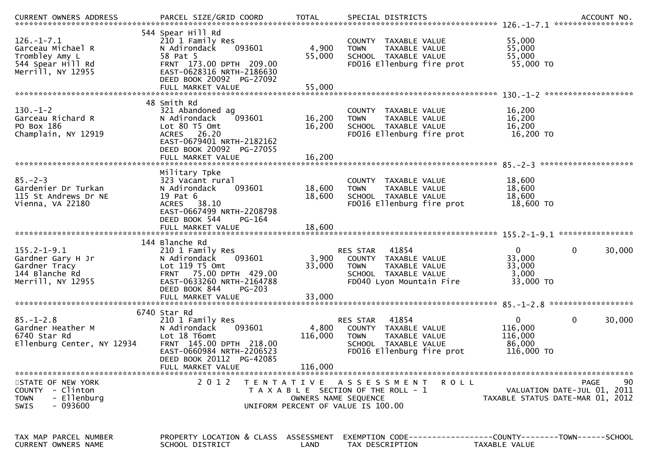| .CURRENT OWNERS ADDRESS PARCEL SIZE/GRID COORD TOTAL SPECIAL DISTRICTS ACCOUNT NO ACCOUNT NO ACCOUNT NO AND ARCEL SIZE/GRID COORD TOTAL SPECIAL DISTRICTS |                                                                                                                                                                                        |                             |                                                                                                                                |                                                            |                                                  |
|-----------------------------------------------------------------------------------------------------------------------------------------------------------|----------------------------------------------------------------------------------------------------------------------------------------------------------------------------------------|-----------------------------|--------------------------------------------------------------------------------------------------------------------------------|------------------------------------------------------------|--------------------------------------------------|
| $126. - 1 - 7.1$<br>Garceau Michael R<br>Trombley Amy L<br>544 Spear Hill Rd<br>Merrill, NY 12955                                                         | 544 Spear Hill Rd<br>210 1 Family Res<br>093601<br>N Adirondack<br>58 Pat 5<br>FRNT 173.00 DPTH 209.00<br>EAST-0628316 NRTH-2186630<br>DEED BOOK 20092 PG-27092                        | 4,900<br>55,000             | COUNTY TAXABLE VALUE<br>TAXABLE VALUE<br><b>TOWN</b><br>SCHOOL TAXABLE VALUE<br>FD016 Ellenburg fire prot                      | 55,000<br>55,000<br>55,000<br>55,000 TO                    |                                                  |
|                                                                                                                                                           |                                                                                                                                                                                        |                             |                                                                                                                                |                                                            |                                                  |
| $130 - 1 - 2$<br>Garceau Richard R<br>PO Box 186<br>Champlain, NY 12919                                                                                   | 48 Smith Rd<br>321 Abandoned ag<br>093601<br>N Adirondack<br>Lot 80 T5 Omt<br>ACRES 26.20<br>EAST-0679401 NRTH-2182162<br>DEED BOOK 20092 PG-27055                                     | 16,200<br>16,200            | COUNTY TAXABLE VALUE<br>TAXABLE VALUE<br><b>TOWN</b><br>SCHOOL TAXABLE VALUE<br>FD016 Ellenburg fire prot                      | 16,200<br>16,200<br>16,200<br>16,200 TO                    |                                                  |
|                                                                                                                                                           |                                                                                                                                                                                        |                             |                                                                                                                                |                                                            |                                                  |
| $85. - 2 - 3$<br>Gardenier Dr Turkan<br>115 St Andrews Dr NE<br>Vienna, VA 22180                                                                          | Military Tpke<br>323 Vacant rural<br>N Adirondack<br>093601<br>19 Pat 6<br>ACRES 38.10<br>EAST-0667499 NRTH-2208798<br>DEED BOOK 544<br>PG-164                                         | 18,600<br>18,600            | COUNTY TAXABLE VALUE<br>TAXABLE VALUE<br><b>TOWN</b><br>SCHOOL TAXABLE VALUE<br>FD016 Ellenburg fire prot                      | 18,600<br>18,600<br>18,600<br>18,600 TO                    |                                                  |
|                                                                                                                                                           |                                                                                                                                                                                        |                             |                                                                                                                                |                                                            |                                                  |
|                                                                                                                                                           | 144 Blanche Rd                                                                                                                                                                         |                             |                                                                                                                                |                                                            |                                                  |
| $155.2 - 1 - 9.1$<br>Gardner Gary H Jr<br>Gardner Tracy<br>144 Blanche Rd<br>Merrill, NY 12955                                                            | 210 1 Family Res<br>093601<br>N Adirondack<br>Lot 119 T5 Omt<br>FRNT 75.00 DPTH 429.00<br>EAST-0633260 NRTH-2164788<br>DEED BOOK 844<br>PG-203                                         | 3,900<br>33,000             | 41854<br>RES STAR<br>COUNTY TAXABLE VALUE<br>TAXABLE VALUE<br><b>TOWN</b><br>SCHOOL TAXABLE VALUE<br>FD040 Lyon Mountain Fire  | $\mathbf{0}$<br>33,000<br>33,000<br>3,000<br>33,000 TO     | 0<br>30,000                                      |
|                                                                                                                                                           | FULL MARKET VALUE                                                                                                                                                                      | 33,000                      |                                                                                                                                |                                                            |                                                  |
| $85. - 1 - 2.8$<br>Gardner Heather M<br>6740 Star Rd<br>Ellenburg Center, NY 12934                                                                        | 6740 Star Rd<br>210 1 Family Res<br>N Adirondack<br>093601<br>Lot 18 T6omt<br>FRNT 145.00 DPTH 218.00<br>EAST-0660984 NRTH-2206523<br>DEED BOOK 20112<br>PG-42085<br>FULL MARKET VALUE | 4,800<br>116,000<br>116,000 | 41854<br>RES STAR<br>COUNTY TAXABLE VALUE<br>TAXABLE VALUE<br><b>TOWN</b><br>SCHOOL TAXABLE VALUE<br>FD016 Ellenburg fire prot | $\mathbf{0}$<br>116,000<br>116,000<br>86,000<br>116,000 TO | $\mathbf 0$<br>30,000                            |
| STATE OF NEW YORK<br>COUNTY - Clinton<br>- Ellenburg<br><b>TOWN</b><br>- 093600<br>SWIS                                                                   | 2 0 1 2                                                                                                                                                                                | OWNERS NAME SEQUENCE        | TENTATIVE ASSESSMENT<br><b>ROLL</b><br>T A X A B L E SECTION OF THE ROLL - 1<br>UNIFORM PERCENT OF VALUE IS 100.00             | TAXABLE STATUS DATE-MAR 01, 2012                           | 90<br><b>PAGE</b><br>VALUATION DATE-JUL 01, 2011 |
| TAX MAP PARCEL NUMBER<br><b>CURRENT OWNERS NAME</b>                                                                                                       | PROPERTY LOCATION & CLASS ASSESSMENT<br>SCHOOL DISTRICT                                                                                                                                | LAND                        | EXEMPTION CODE------------------COUNTY--------TOWN------SCHOOL<br>TAX DESCRIPTION                                              | TAXABLE VALUE                                              |                                                  |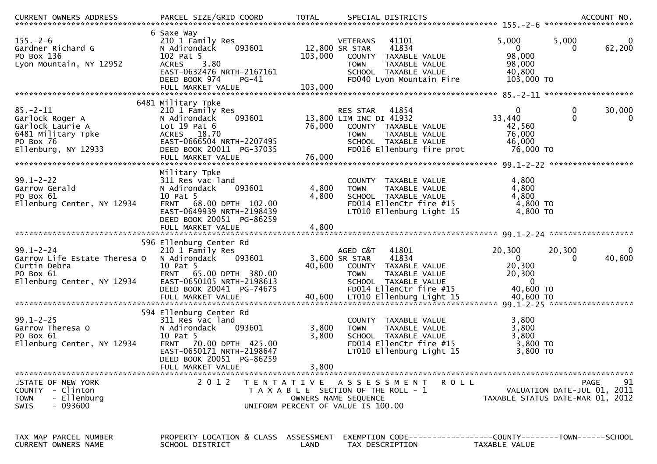| CURRENT OWNERS ADDRESS                                                                                          |                                                                                                                                                                             |                         |                                                                                                                                                          |                                                                     |                                                                               |
|-----------------------------------------------------------------------------------------------------------------|-----------------------------------------------------------------------------------------------------------------------------------------------------------------------------|-------------------------|----------------------------------------------------------------------------------------------------------------------------------------------------------|---------------------------------------------------------------------|-------------------------------------------------------------------------------|
| $155. - 2 - 6$<br>Gardner Richard G<br>PO Box 136<br>Lyon Mountain, NY 12952                                    | 6 Saxe Way<br>210 1 Family Res<br>093601<br>N Adirondack<br>102 Pat 5<br>3.80<br><b>ACRES</b><br>EAST-0632476 NRTH-2167161<br>DEED BOOK 974<br>$PG-41$<br>FULL MARKET VALUE | 103,000<br>103,000      | 41101<br>VETERANS<br>12,800 SR STAR<br>41834<br>COUNTY TAXABLE VALUE<br>TAXABLE VALUE<br><b>TOWN</b><br>SCHOOL TAXABLE VALUE<br>FD040 Lyon Mountain Fire | 5,000<br>$\overline{0}$<br>98,000<br>98,000<br>40,800<br>103,000 TO | 5,000<br>0<br>62,200                                                          |
|                                                                                                                 | 6481 Military Tpke                                                                                                                                                          |                         |                                                                                                                                                          |                                                                     |                                                                               |
| $85. - 2 - 11$<br>Garlock Roger A<br>Garlock Laurie A<br>6481 Military Tpke<br>PO Box 76<br>Ellenburg, NY 12933 | 210 1 Family Res<br>N Adirondack<br>093601<br>Lot $19$ Pat $6$<br>ACRES 18.70<br>EAST-0666504 NRTH-2207495<br>DEED BOOK 20011 PG-37035<br>FULL MARKET VALUE                 | 76,000<br>76,000        | RES STAR 41854<br>13,800 LIM INC DI 41932<br>COUNTY TAXABLE VALUE<br><b>TOWN</b><br>TAXABLE VALUE<br>SCHOOL TAXABLE VALUE<br>FD016 Ellenburg fire prot   | $\mathbf{0}$<br>33,440<br>42,560<br>76,000<br>46,000<br>76,000 TO   | 0<br>30,000<br>$\mathbf 0$<br>$\mathbf{0}$                                    |
|                                                                                                                 |                                                                                                                                                                             |                         |                                                                                                                                                          |                                                                     |                                                                               |
| $99.1 - 2 - 22$<br>Garrow Gerald<br>PO Box 61<br>Ellenburg Center, NY 12934                                     | Military Tpke<br>311 Res vac land<br>N Adirondack<br>093601<br>10 Pat 5<br><b>FRNT</b><br>68.00 DPTH 102.00<br>EAST-0649939 NRTH-2198439<br>DEED BOOK 20051 PG-86259        | 4,800<br>4,800          | COUNTY TAXABLE VALUE<br>TAXABLE VALUE<br><b>TOWN</b><br>SCHOOL TAXABLE VALUE<br>FD014 EllenCtr fire #15<br>LT010 Ellenburg Light 15                      | 4,800<br>4,800<br>4,800<br>4,800 TO<br>4,800 TO                     |                                                                               |
|                                                                                                                 | FULL MARKET VALUE                                                                                                                                                           | 4,800                   |                                                                                                                                                          |                                                                     |                                                                               |
| $99.1 - 2 - 24$<br>Garrow Life Estate Theresa O<br>Curtin Debra<br>PO Box 61<br>Ellenburg Center, NY 12934      | 596 Ellenburg Center Rd<br>210 1 Family Res<br>093601<br>N Adirondack<br>10 Pat 5<br>FRNT 65.00 DPTH 380.00<br>EAST-0650105 NRTH-2198613<br>DEED BOOK 20041 PG-74675        | 40,600                  | AGED C&T<br>41801<br>3,600 SR STAR<br>41834<br>COUNTY TAXABLE VALUE<br><b>TOWN</b><br>TAXABLE VALUE<br>SCHOOL TAXABLE VALUE<br>FD014 EllenCtr fire #15   | 20,300<br>$\overline{0}$<br>20,300<br>20,300<br>0<br>40,600 TO      | 20,300<br>$\bf{0}$<br>40,600<br>$\Omega$                                      |
|                                                                                                                 | 594 Ellenburg Center Rd                                                                                                                                                     |                         |                                                                                                                                                          |                                                                     |                                                                               |
| $99.1 - 2 - 25$<br>Garrow Theresa O<br>PO Box 61<br>Ellenburg Center, NY 12934                                  | 311 Res vac land<br>093601<br>N Adirondack<br>10 Pat 5<br>FRNT 70.00 DPTH 425.00<br>EAST-0650171 NRTH-2198647<br>DEED BOOK 20051 PG-86259<br>FULL MARKET VALUE              | 3,800<br>3,800<br>3,800 | <b>COUNTY</b><br>TAXABLE VALUE<br>TAXABLE VALUE<br><b>TOWN</b><br>SCHOOL TAXABLE VALUE<br>FD014 EllenCtr fire #15<br>LT010 Ellenburg Light 15            | 3,800<br>3,800<br>3,800<br>3,800 TO<br>3,800 TO                     |                                                                               |
|                                                                                                                 |                                                                                                                                                                             |                         |                                                                                                                                                          |                                                                     |                                                                               |
| STATE OF NEW YORK<br>COUNTY - Clinton<br>- Ellenburg<br><b>TOWN</b><br>- 093600<br>SWIS                         | 2 0 1 2                                                                                                                                                                     |                         | TENTATIVE ASSESSMENT<br>ROLL<br>T A X A B L E SECTION OF THE ROLL - 1<br>OWNERS NAME SEQUENCE<br>UNIFORM PERCENT OF VALUE IS 100.00                      |                                                                     | 91<br>PAGE<br>VALUATION DATE-JUL 01, 2011<br>TAXABLE STATUS DATE-MAR 01, 2012 |
| TAX MAP PARCEL NUMBER<br>CURRENT OWNERS NAME                                                                    | PROPERTY LOCATION & CLASS ASSESSMENT<br>SCHOOL DISTRICT                                                                                                                     | LAND                    | EXEMPTION        CODE-----------------COUNTY-------TOWN------SCHOOL<br>TAX DESCRIPTION                                                                   | TAXABLE VALUE                                                       |                                                                               |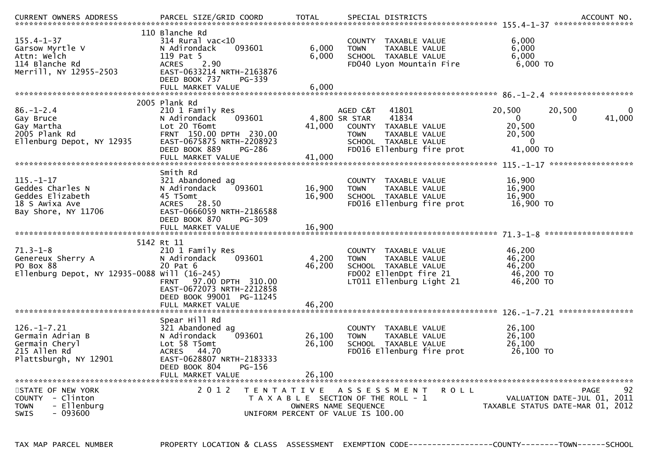| <b>CURRENT OWNERS ADDRESS</b>                                                                    | PARCEL SIZE/GRID COORD                                                                                                                                                              | <b>TOTAL</b>                              | SPECIAL DISTRICTS                                                                                                                                        |                                                                     | ACCOUNT NO.                                                                          |
|--------------------------------------------------------------------------------------------------|-------------------------------------------------------------------------------------------------------------------------------------------------------------------------------------|-------------------------------------------|----------------------------------------------------------------------------------------------------------------------------------------------------------|---------------------------------------------------------------------|--------------------------------------------------------------------------------------|
| $155.4 - 1 - 37$<br>Garsow Myrtle V<br>Attn: Welch<br>114 Blanche Rd<br>Merrill, NY 12955-2503   | 110 Blanche Rd<br>314 Rural vac<10<br>N Adirondack<br>093601<br>119 Pat 5<br>2.90<br><b>ACRES</b><br>EAST-0633214 NRTH-2163876<br>DEED BOOK 737<br>PG-339<br>FULL MARKET VALUE      | 6,000<br>6,000<br>6,000                   | COUNTY TAXABLE VALUE<br>TAXABLE VALUE<br><b>TOWN</b><br>SCHOOL TAXABLE VALUE<br>FD040 Lyon Mountain Fire                                                 | 6,000<br>6,000<br>6,000<br>$6,000$ TO                               |                                                                                      |
|                                                                                                  |                                                                                                                                                                                     |                                           |                                                                                                                                                          |                                                                     |                                                                                      |
| $86. - 1 - 2.4$<br>Gay Bruce<br>Gay Martha<br>2005 Plank Rd<br>Ellenburg Depot, NY 12935         | 2005 Plank Rd<br>210 1 Family Res<br>N Adirondack<br>093601<br>Lot 20 T6omt<br>FRNT 150.00 DPTH 230.00<br>EAST-0675875 NRTH-2208923<br>DEED BOOK 889<br>PG-286<br>FULL MARKET VALUE | 41,000<br>41,000                          | AGED C&T<br>41801<br>41834<br>4,800 SR STAR<br>COUNTY TAXABLE VALUE<br>TAXABLE VALUE<br><b>TOWN</b><br>SCHOOL TAXABLE VALUE<br>FD016 Ellenburg fire prot | 20,500<br>$\Omega$<br>20,500<br>20,500<br>$\mathbf{0}$<br>41,000 TO | 20,500<br>0<br>41,000<br>0                                                           |
|                                                                                                  |                                                                                                                                                                                     |                                           |                                                                                                                                                          |                                                                     |                                                                                      |
| $115. - 1 - 17$<br>Geddes Charles N<br>Geddes Elizabeth<br>18 S Awixa Ave<br>Bay Shore, NY 11706 | Smith Rd<br>321 Abandoned ag<br>093601<br>N Adirondack<br>45 T5omt<br>ACRES 28.50<br>EAST-0666059 NRTH-2186588<br>DEED BOOK 870<br>PG-309                                           | 16,900<br>16,900                          | COUNTY TAXABLE VALUE<br>TAXABLE VALUE<br><b>TOWN</b><br>SCHOOL TAXABLE VALUE<br>FD016 Ellenburg fire prot                                                | 16,900<br>16,900<br>16,900<br>16,900 TO                             |                                                                                      |
|                                                                                                  | FULL MARKET VALUE                                                                                                                                                                   | 16,900                                    |                                                                                                                                                          |                                                                     |                                                                                      |
| $71.3 - 1 - 8$<br>Genereux Sherry A<br>PO Box 88<br>Ellenburg Depot, NY 12935-0088 Will (16-245) | 5142 Rt 11<br>210 1 Family Res<br>N Adirondack<br>093601<br>20 Pat 6<br>97.00 DPTH 310.00<br><b>FRNT</b><br>EAST-0672073 NRTH-2212858<br>DEED BOOK 99001<br>PG-11245                | 4,200<br>46,200                           | COUNTY TAXABLE VALUE<br><b>TOWN</b><br>TAXABLE VALUE<br>SCHOOL TAXABLE VALUE<br>FD002 EllenDpt fire 21<br>LT011 Ellenburg Light 21                       | 46,200<br>46,200<br>46,200<br>46,200 TO<br>46,200 TO                |                                                                                      |
|                                                                                                  | FULL MARKET VALUE                                                                                                                                                                   | 46,200                                    |                                                                                                                                                          |                                                                     |                                                                                      |
| $126. - 1 - 7.21$<br>Germain Adrian B<br>Germain Cheryl<br>215 Allen Rd<br>Plattsburgh, NY 12901 | Spear Hill Rd<br>321 Abandoned ag<br>093601<br>N Adirondack<br>Lot 58 T5omt<br>44.70<br><b>ACRES</b><br>EAST-0628807 NRTH-2183333<br>DEED BOOK 804<br>PG-156                        | 26,100<br>26,100                          | <b>COUNTY</b><br>TAXABLE VALUE<br><b>TOWN</b><br>TAXABLE VALUE<br>SCHOOL TAXABLE VALUE<br>FD016 Ellenburg fire prot                                      | 26,100<br>26,100<br>26,100<br>26,100 TO                             |                                                                                      |
|                                                                                                  | FULL MARKET VALUE                                                                                                                                                                   | 26,100                                    |                                                                                                                                                          |                                                                     |                                                                                      |
| STATE OF NEW YORK<br>COUNTY - Clinton<br>TOWN<br>- Ellenburg<br>- 093600<br><b>SWIS</b>          | 2 0 1 2                                                                                                                                                                             | T E N T A T I V E<br>OWNERS NAME SEQUENCE | A S S E S S M E N T<br>T A X A B L E SECTION OF THE ROLL - 1<br>UNIFORM PERCENT OF VALUE IS 100.00                                                       | <b>ROLL</b>                                                         | 92<br><b>PAGE</b><br>VALUATION DATE-JUL 01, 2011<br>TAXABLE STATUS DATE-MAR 01, 2012 |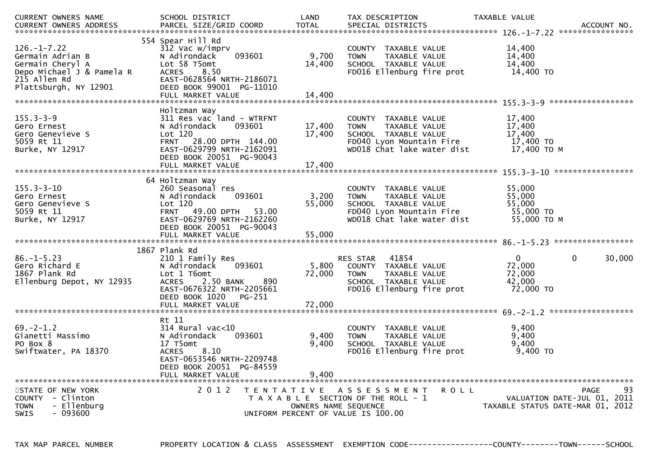| <b>CURRENT OWNERS NAME</b><br>CURRENT OWNERS ADDRESS                                                                            | SCHOOL DISTRICT<br>PARCEL SIZE/GRID COORD                                                                                                                                                    | LAND<br><b>TOTAL</b>                      | TAX DESCRIPTION<br>SPECIAL DISTRICTS                                                                                                      | TAXABLE VALUE                                           | ACCOUNT NO.                                      |
|---------------------------------------------------------------------------------------------------------------------------------|----------------------------------------------------------------------------------------------------------------------------------------------------------------------------------------------|-------------------------------------------|-------------------------------------------------------------------------------------------------------------------------------------------|---------------------------------------------------------|--------------------------------------------------|
| $126. - 1 - 7.22$<br>Germain Adrian B<br>Germain Cheryl A<br>Depo Michael J & Pamela R<br>215 Allen Rd<br>Plattsburgh, NY 12901 | 554 Spear Hill Rd<br>312 Vac w/imprv<br>093601<br>N Adirondack<br>Lot 58 T5omt<br>8.50<br><b>ACRES</b><br>EAST-0628564 NRTH-2186071<br>DEED BOOK 99001 PG-11010<br>FULL MARKET VALUE         | 9,700<br>14,400<br>14,400                 | COUNTY TAXABLE VALUE<br>TAXABLE VALUE<br><b>TOWN</b><br>SCHOOL TAXABLE VALUE<br>FD016 Ellenburg fire prot                                 | 14,400<br>14,400<br>14,400<br>14,400 TO                 |                                                  |
| $155.3 - 3 - 9$<br>Gero Ernest<br>Gero Genevieve S<br>5059 Rt 11<br>Burke, NY 12917                                             | Holtzman Way<br>311 Res vac land - WTRFNT<br>N Adirondack<br>093601<br>Lot 120<br>FRNT 28.00 DPTH 144.00<br>EAST-0629799 NRTH-2162091<br>DEED BOOK 20051 PG-90043<br>FULL MARKET VALUE       | 17,400<br>17,400<br>17,400                | COUNTY<br>TAXABLE VALUE<br>TAXABLE VALUE<br><b>TOWN</b><br>SCHOOL TAXABLE VALUE<br>FD040 Lyon Mountain Fire<br>WD018 Chat lake water dist | 17,400<br>17,400<br>17,400<br>17,400 TO<br>17,400 ТО М  |                                                  |
| $155.3 - 3 - 10$<br>Gero Ernest<br>Gero Genevieve S<br>5059 Rt 11<br>Burke, NY 12917                                            | 64 Holtzman Way<br>260 Seasonal res<br>093601<br>N Adirondack<br>Lot 120<br>49.00 DPTH<br><b>FRNT</b><br>53.00<br>EAST-0629769 NRTH-2162260<br>DEED BOOK 20051 PG-90043<br>FULL MARKET VALUE | 3,200<br>55,000<br>55,000                 | COUNTY TAXABLE VALUE<br>TAXABLE VALUE<br><b>TOWN</b><br>SCHOOL TAXABLE VALUE<br>FD040 Lyon Mountain Fire<br>WD018 Chat lake water dist    | 55,000<br>55,000<br>55,000<br>55,000 TO<br>55,000 TO M  |                                                  |
| $86. - 1 - 5.23$<br>Gero Richard E<br>1867 Plank Rd<br>Ellenburg Depot, NY 12935                                                | 1867 Plank Rd<br>210 1 Family Res<br>N Adirondack<br>093601<br>Lot 1 T6omt<br>2.50 BANK<br>890<br><b>ACRES</b><br>EAST-0676322 NRTH-2205661<br>DEED BOOK 1020<br>PG-251<br>FULL MARKET VALUE | 5,800<br>72,000<br>72,000                 | 41854<br>RES STAR<br>COUNTY TAXABLE VALUE<br><b>TOWN</b><br>TAXABLE VALUE<br>SCHOOL TAXABLE VALUE<br>FD016 Ellenburg fire prot            | $\mathbf{0}$<br>72,000<br>72,000<br>42,000<br>72,000 TO | $\mathbf{0}$<br>30,000                           |
| $69. -2 - 1.2$<br>Gianetti Massimo<br>PO Box 8<br>Swiftwater, PA 18370                                                          | Rt 11<br>314 Rural vac<10<br>N Adirondack<br>093601<br>17 T5omt<br>8.10<br><b>ACRES</b><br>EAST-0653546 NRTH-2209748<br>DEED BOOK 20051 PG-84559<br>FULL MARKET VALUE                        | 9,400<br>9,400<br>9.400                   | COUNTY TAXABLE VALUE<br><b>TOWN</b><br>TAXABLE VALUE<br>SCHOOL TAXABLE VALUE<br>FD016 Ellenburg fire prot                                 | 9,400<br>9.400<br>9,400<br>$9,400$ TO                   |                                                  |
| STATE OF NEW YORK<br>COUNTY - Clinton<br>- Ellenburg<br>TOWN<br>- 093600<br><b>SWIS</b>                                         | 2 0 1 2                                                                                                                                                                                      | T E N T A T I V E<br>OWNERS NAME SEQUENCE | A S S E S S M E N T<br><b>ROLL</b><br>T A X A B L E SECTION OF THE ROLL - 1<br>UNIFORM PERCENT OF VALUE IS 100.00                         | TAXABLE STATUS DATE-MAR 01, 2012                        | <b>PAGE</b><br>93<br>VALUATION DATE-JUL 01, 2011 |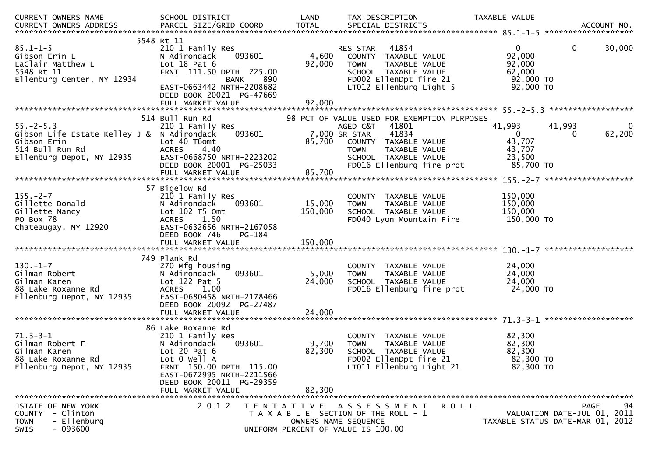| CURRENT OWNERS NAME                                                                                                          | SCHOOL DISTRICT                                                                                                                                                                                               | LAND                      | TAX DESCRIPTION                                                                                                                                          | TAXABLE VALUE                                                       |                                                                               |
|------------------------------------------------------------------------------------------------------------------------------|---------------------------------------------------------------------------------------------------------------------------------------------------------------------------------------------------------------|---------------------------|----------------------------------------------------------------------------------------------------------------------------------------------------------|---------------------------------------------------------------------|-------------------------------------------------------------------------------|
| $85.1 - 1 - 5$<br>Gibson Erin L<br>LaClair Matthew L<br>5548 Rt 11<br>Ellenburg Center, NY 12934                             | 5548 Rt 11<br>210 1 Family Res<br>093601<br>N Adirondack<br>Lot $18$ Pat $6$<br>FRNT 111.50 DPTH 225.00<br><b>BANK</b><br>EAST-0663442 NRTH-2208682<br>DEED BOOK 20021 PG-47669                               | 4,600<br>92,000<br>890    | 41854<br>RES STAR<br>COUNTY TAXABLE VALUE<br><b>TOWN</b><br>TAXABLE VALUE<br>SCHOOL TAXABLE VALUE<br>FD002 EllenDpt fire 21<br>LT012 Ellenburg Light 5   | $\mathbf 0$<br>92,000<br>92,000<br>62,000<br>92,000 TO<br>92,000 TO | 30,000<br>0                                                                   |
|                                                                                                                              |                                                                                                                                                                                                               |                           |                                                                                                                                                          |                                                                     |                                                                               |
|                                                                                                                              | 514 Bull Run Rd                                                                                                                                                                                               |                           | 98 PCT OF VALUE USED FOR EXEMPTION PURPOSES                                                                                                              |                                                                     |                                                                               |
| $55. - 2 - 5.3$<br>Gibson Life Estate Kelley J & N Adirondack<br>Gibson Erin<br>514 Bull Run Rd<br>Ellenburg Depot, NY 12935 | 210 1 Family Res<br>093601<br>Lot 40 T6omt<br><b>ACRES</b><br>4.40<br>EAST-0668750 NRTH-2223202<br>DEED BOOK 20001 PG-25033                                                                                   | 85,700                    | AGED C&T<br>41801<br>7,000 SR STAR<br>41834<br>COUNTY TAXABLE VALUE<br><b>TOWN</b><br>TAXABLE VALUE<br>SCHOOL TAXABLE VALUE<br>FD016 Ellenburg fire prot | 41,993<br>$\mathbf{0}$<br>43,707<br>43,707<br>23,500<br>85,700 TO   | 41,993<br>62,200<br>0                                                         |
|                                                                                                                              | FULL MARKET VALUE                                                                                                                                                                                             | 85,700                    |                                                                                                                                                          |                                                                     |                                                                               |
| $155. - 2 - 7$<br>Gillette Donald<br>Gillette Nancy<br>PO Box 78<br>Chateaugay, NY 12920                                     | 57 Bigelow Rd<br>210 1 Family Res<br>093601<br>N Adirondack<br>Lot 102 T5 Omt<br><b>ACRES</b><br>1.50<br>EAST-0632656 NRTH-2167058<br>DEED BOOK 746<br>PG-184                                                 | 15,000<br>150,000         | COUNTY TAXABLE VALUE<br>TAXABLE VALUE<br><b>TOWN</b><br>SCHOOL TAXABLE VALUE<br>FD040 Lyon Mountain Fire                                                 | 150,000<br>150,000<br>150,000<br>150,000 TO                         |                                                                               |
|                                                                                                                              |                                                                                                                                                                                                               |                           |                                                                                                                                                          |                                                                     |                                                                               |
|                                                                                                                              |                                                                                                                                                                                                               |                           |                                                                                                                                                          |                                                                     |                                                                               |
| $130. - 1 - 7$<br>Gilman Robert<br>Gilman Karen<br>88 Lake Roxanne Rd<br>Ellenburg Depot, NY 12935                           | 749 Plank Rd<br>270 Mfg housing<br>093601<br>N Adirondack<br>Lot $122$ Pat 5<br><b>ACRES</b><br>1.00<br>EAST-0680458 NRTH-2178466<br>DEED BOOK 20092 PG-27487                                                 | 5,000<br>24,000           | COUNTY TAXABLE VALUE<br><b>TOWN</b><br>TAXABLE VALUE<br>SCHOOL TAXABLE VALUE<br>FD016 Ellenburg fire prot                                                | 24,000<br>24,000<br>24,000<br>24,000 TO                             |                                                                               |
|                                                                                                                              | FULL MARKET VALUE                                                                                                                                                                                             | 24,000                    |                                                                                                                                                          |                                                                     |                                                                               |
| $71.3 - 3 - 1$<br>Gilman Robert F<br>Gilman Karen<br>88 Lake Roxanne Rd<br>Ellenburg Depot, NY 12935                         | 86 Lake Roxanne Rd<br>210 1 Family Res<br>N Adirondack<br>093601<br>Lot $20$ Pat $6$<br>Lot 0 Well A<br>FRNT 150.00 DPTH 115.00<br>EAST-0672995 NRTH-2211566<br>DEED BOOK 20011 PG-29359<br>FULL MARKET VALUE | 9,700<br>82,300<br>82,300 | COUNTY TAXABLE VALUE<br>TAXABLE VALUE<br><b>TOWN</b><br>SCHOOL TAXABLE VALUE<br>FD002 EllenDpt fire 21<br>LT011 Ellenburg Light 21                       | 82,300<br>82,300<br>82,300<br>82,300 TO<br>82,300 TO                |                                                                               |
| STATE OF NEW YORK<br>- Clinton<br>COUNTY<br>- Ellenburg<br><b>TOWN</b><br>$-093600$<br><b>SWIS</b>                           | 2 0 1 2                                                                                                                                                                                                       |                           | TENTATIVE ASSESSMENT<br>T A X A B L E SECTION OF THE ROLL - 1<br>OWNERS NAME SEQUENCE<br>UNIFORM PERCENT OF VALUE IS 100.00                              | <b>ROLL</b>                                                         | 94<br>PAGE<br>VALUATION DATE-JUL 01, 2011<br>TAXABLE STATUS DATE-MAR 01, 2012 |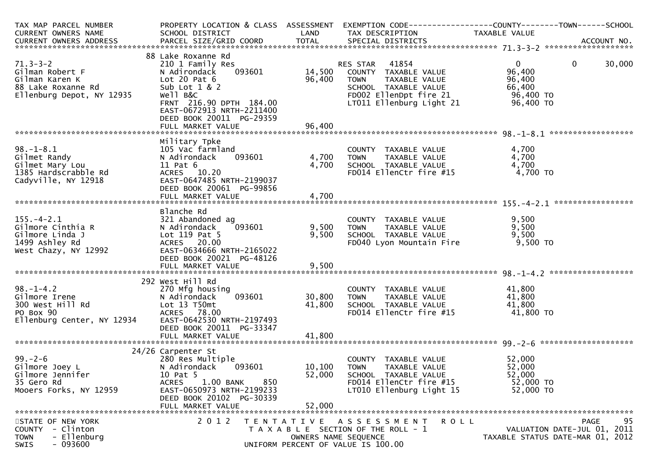| TAX MAP PARCEL NUMBER<br>CURRENT OWNERS NAME                                                              | PROPERTY LOCATION & CLASS ASSESSMENT<br>SCHOOL DISTRICT                                                                                                                  | LAND                        | TAX DESCRIPTION                                                                                                                            | TAXABLE VALUE                                                   |                        |
|-----------------------------------------------------------------------------------------------------------|--------------------------------------------------------------------------------------------------------------------------------------------------------------------------|-----------------------------|--------------------------------------------------------------------------------------------------------------------------------------------|-----------------------------------------------------------------|------------------------|
|                                                                                                           |                                                                                                                                                                          |                             |                                                                                                                                            |                                                                 |                        |
| $71.3 - 3 - 2$                                                                                            | 88 Lake Roxanne Rd<br>210 1 Family Res                                                                                                                                   |                             | 41854<br>RES STAR                                                                                                                          | $\overline{0}$                                                  | 30,000<br>$\mathbf{0}$ |
| Gilman Robert F<br>Gilman Karen K<br>88 Lake Roxanne Rd<br>Ellenburg Depot, NY 12935                      | 093601<br>N Adirondack<br>Lot 20 Pat $6$<br>Sub Lot $1 & 2$<br>Well B&C<br>FRNT 216.90 DPTH 184.00<br>EAST-0672913 NRTH-2211400<br>DEED BOOK 20011 PG-29359              | 96,400                      | 14,500 COUNTY TAXABLE VALUE<br>TAXABLE VALUE<br><b>TOWN</b><br>SCHOOL TAXABLE VALUE<br>FD002 EllenDpt fire 21<br>LT011 Ellenburg Light 21  | 96,400<br>96,400<br>66,400<br>96,400 TO<br>96,400 TO            |                        |
|                                                                                                           | FULL MARKET VALUE                                                                                                                                                        | 96,400                      |                                                                                                                                            |                                                                 |                        |
| $98. - 1 - 8.1$<br>Gilmet Randy<br>Gilmet Mary Lou<br>1385 Hardscrabble Rd<br>Cadyville, NY 12918         | Military Tpke<br>105 Vac farmland<br>093601<br>N Adirondack<br>11 Pat 6<br>ACRES 10.20<br>EAST-0647485 NRTH-2199037<br>DEED BOOK 20061 PG-99856                          | 4,700<br>4,700              | COUNTY TAXABLE VALUE<br>TAXABLE VALUE<br><b>TOWN</b><br>SCHOOL TAXABLE VALUE<br>FD014 EllenCtr fire #15                                    | 4,700<br>4,700<br>4,700<br>4,700 TO                             |                        |
|                                                                                                           |                                                                                                                                                                          |                             |                                                                                                                                            |                                                                 |                        |
|                                                                                                           | Blanche Rd                                                                                                                                                               |                             |                                                                                                                                            |                                                                 |                        |
| $155. - 4 - 2.1$<br>Gilmore Cinthia R<br>Gilmore Linda J<br>1499 Ashley Rd<br>West Chazy, NY 12992        | 321 Abandoned ag<br>093601<br>N Adirondack<br>Lot 119 Pat 5<br>ACRES 20.00<br>EAST-0634666 NRTH-2165022<br>DEED BOOK 20021 PG-48126                                      | 9,500<br>9,500              | COUNTY TAXABLE VALUE<br>TOWN TAXABLE VALUE<br>COUON TAXARLE VALUE<br>FD040 Lyon Mountain Fire                                              | 9,500<br>9,500<br>9,500<br>9,500 TO                             |                        |
|                                                                                                           | FULL MARKET VALUE                                                                                                                                                        | 9,500                       |                                                                                                                                            |                                                                 |                        |
|                                                                                                           | 292 West Hill Rd                                                                                                                                                         |                             |                                                                                                                                            |                                                                 |                        |
| $98. - 1 - 4.2$<br>Gilmore Irene<br>300 West Hill Rd<br>PO Box 90<br>Ellenburg Center, NY 12934           | 270 Mfg housing<br>093601<br>N Adirondack<br>Lot 13 T50mt<br>ACRES 78.00<br>EAST-0642530 NRTH-2197493<br>DEED BOOK 20011 PG-33347                                        | 30,800<br>41,800            | COUNTY TAXABLE VALUE<br>TAXABLE VALUE<br><b>TOWN</b><br>SCHOOL TAXABLE VALUE<br>FD014 EllenCtr fire #15                                    | 41,800<br>41,800<br>41,800<br>41,800 TO                         |                        |
|                                                                                                           | FULL MARKET VALUE                                                                                                                                                        | 41,800                      |                                                                                                                                            |                                                                 |                        |
|                                                                                                           | 24/26 Carpenter St                                                                                                                                                       |                             |                                                                                                                                            |                                                                 |                        |
| $99. - 2 - 6$<br>Gilmore Joey L<br>Gilmore Jennifer<br>35 Gero Rd<br>Mooers Forks, NY 12959               | 280 Res Multiple<br>093601<br>N Adirondack<br>10 Pat 5<br>1.00 BANK<br>850<br><b>ACRES</b><br>EAST-0650973 NRTH-2199233<br>DEED BOOK 20102 PG-30339<br>FULL MARKET VALUE | 10, 100<br>52,000<br>52,000 | COUNTY TAXABLE VALUE<br><b>TOWN</b><br>TAXABLE VALUE<br>SCHOOL TAXABLE VALUE<br>FD014 EllenCtr fire #15<br>LT010 Ellenburg Light 15        | 52,000<br>52,000<br>52,000<br>52,000 TO<br>52,000 TO            |                        |
| STATE OF NEW YORK<br>- Clinton<br><b>COUNTY</b><br>- Ellenburg<br><b>TOWN</b><br>$-093600$<br><b>SWIS</b> | 2 0 1 2                                                                                                                                                                  |                             | TENTATIVE ASSESSMENT<br><b>ROLL</b><br>T A X A B L E SECTION OF THE ROLL - 1<br>OWNERS NAME SEQUENCE<br>UNIFORM PERCENT OF VALUE IS 100.00 | VALUATION DATE-JUL 01, 2011<br>TAXABLE STATUS DATE-MAR 01, 2012 | 95<br><b>PAGE</b>      |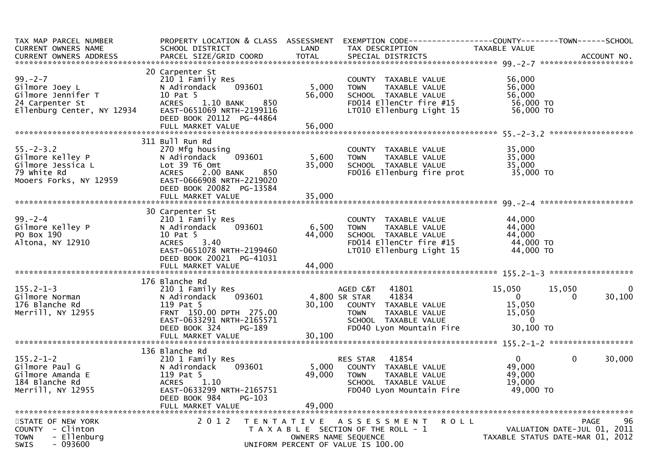| TAX MAP PARCEL NUMBER<br>CURRENT OWNERS NAME                                                           | PROPERTY LOCATION & CLASS ASSESSMENT<br>SCHOOL DISTRICT                                                                                                                           | LAND                      | EXEMPTION CODE-----------------COUNTY-------TOWN------SCHOOL<br>TAX DESCRIPTION                                                                         | TAXABLE VALUE                                                         |                                                                               |
|--------------------------------------------------------------------------------------------------------|-----------------------------------------------------------------------------------------------------------------------------------------------------------------------------------|---------------------------|---------------------------------------------------------------------------------------------------------------------------------------------------------|-----------------------------------------------------------------------|-------------------------------------------------------------------------------|
|                                                                                                        |                                                                                                                                                                                   |                           |                                                                                                                                                         |                                                                       |                                                                               |
| $99. - 2 - 7$<br>Gilmore Joey L<br>Gilmore Jennifer T<br>24 Carpenter St<br>Ellenburg Center, NY 12934 | 20 Carpenter St<br>210 1 Family Res<br>093601<br>N Adirondack<br>10 Pat 5<br>$1.10$ BANK<br>850<br><b>ACRES</b><br>EAST-0651069 NRTH-2199116<br>DEED BOOK 20112 PG-44864          | 5,000<br>56,000           | COUNTY TAXABLE VALUE<br>TAXABLE VALUE<br><b>TOWN</b><br>SCHOOL TAXABLE VALUE<br>FD014 EllenCtr fire #15<br>LT010 Ellenburg Light 15                     | 56,000<br>56,000<br>56,000<br>56,000 TO<br>56,000 TO                  |                                                                               |
|                                                                                                        |                                                                                                                                                                                   |                           |                                                                                                                                                         |                                                                       |                                                                               |
|                                                                                                        | 311 Bull Run Rd                                                                                                                                                                   |                           |                                                                                                                                                         |                                                                       |                                                                               |
| $55. - 2 - 3.2$<br>Gilmore Kelley P<br>Gilmore Jessica L<br>79 white Rd<br>Mooers Forks, NY 12959      | 270 Mfg housing<br>093601<br>N Adirondack<br>Lot 39 T6 Omt<br>2.00 BANK<br>850<br><b>ACRES</b><br>EAST-0666908 NRTH-2219020<br>DEED BOOK 20082 PG-13584                           | 5,600<br>35,000           | COUNTY TAXABLE VALUE<br>TAXABLE VALUE<br><b>TOWN</b><br>SCHOOL TAXABLE VALUE<br>FD016 Ellenburg fire prot                                               | 35,000<br>35,000<br>35,000<br>35,000 TO                               |                                                                               |
|                                                                                                        |                                                                                                                                                                                   |                           |                                                                                                                                                         |                                                                       |                                                                               |
|                                                                                                        |                                                                                                                                                                                   |                           |                                                                                                                                                         |                                                                       |                                                                               |
| $99. - 2 - 4$<br>Gilmore Kelley P<br>PO Box 190<br>Altona, NY 12910                                    | 30 Carpenter St<br>210 1 Family Res<br>093601<br>N Adirondack<br>10 Pat 5<br>3.40<br><b>ACRES</b><br>EAST-0651078 NRTH-2199460<br>DEED BOOK 20021 PG-41031                        | 6,500<br>44,000           | COUNTY TAXABLE VALUE<br>TAXABLE VALUE<br><b>TOWN</b><br>SCHOOL TAXABLE VALUE<br>FD014 EllenCtr fire #15<br>LT010 Ellenburg Light 15                     | 44,000<br>44,000<br>44,000<br>44,000 TO<br>44,000 TO                  |                                                                               |
|                                                                                                        |                                                                                                                                                                                   |                           |                                                                                                                                                         |                                                                       |                                                                               |
| $155.2 - 1 - 3$<br>Gilmore Norman<br>176 Blanche Rd<br>Merrill, NY 12955                               | 176 Blanche Rd<br>210 1 Family Res<br>093601<br>N Adirondack<br>119 Pat 5<br>FRNT 150.00 DPTH 275.00<br>EAST-0633291 NRTH-2165571<br>DEED BOOK 324<br>PG-189<br>FULL MARKET VALUE | 30,100<br>30,100          | AGED C&T<br>41801<br>4,800 SR STAR<br>41834<br>COUNTY TAXABLE VALUE<br><b>TOWN</b><br>TAXABLE VALUE<br>SCHOOL TAXABLE VALUE<br>FD040 Lyon Mountain Fire | 15,050<br>$\overline{0}$<br>15,050<br>15,050<br>$\Omega$<br>30,100 TO | 15,050<br>0<br>30,100<br>0                                                    |
|                                                                                                        |                                                                                                                                                                                   |                           |                                                                                                                                                         |                                                                       |                                                                               |
| $155.2 - 1 - 2$<br>Gilmore Paul G<br>Gilmore Amanda E<br>184 Blanche Rd<br>Merrill, NY 12955           | 136 Blanche Rd<br>210 1 Family Res<br>N Adirondack<br>093601<br>119 Pat 5<br>1.10<br><b>ACRES</b><br>EAST-0633299 NRTH-2165751<br>DEED BOOK 984<br>$PG-103$<br>FULL MARKET VALUE  | 5,000<br>49,000<br>49,000 | 41854<br>RES STAR<br>COUNTY TAXABLE VALUE<br><b>TOWN</b><br>TAXABLE VALUE<br>SCHOOL TAXABLE VALUE<br>FD040 Lyon Mountain Fire                           | $\mathbf{0}$<br>49,000<br>49,000<br>19,000<br>49,000 TO               | 0<br>30,000                                                                   |
|                                                                                                        |                                                                                                                                                                                   |                           |                                                                                                                                                         |                                                                       |                                                                               |
| STATE OF NEW YORK<br>COUNTY - Clinton<br>- Ellenburg<br><b>TOWN</b><br>$-093600$<br><b>SWIS</b>        | 2 0 1 2                                                                                                                                                                           | T E N T A T I V E         | <b>ROLL</b><br>A S S E S S M E N T<br>T A X A B L E SECTION OF THE ROLL - 1<br>OWNERS NAME SEQUENCE<br>UNIFORM PERCENT OF VALUE IS 100.00               |                                                                       | 96<br>PAGE<br>VALUATION DATE-JUL 01, 2011<br>TAXABLE STATUS DATE-MAR 01, 2012 |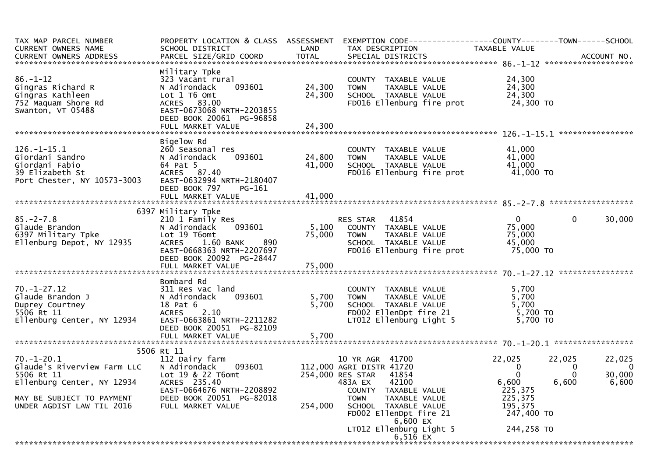| TAX MAP PARCEL NUMBER<br><b>CURRENT OWNERS NAME</b>                                                      | PROPERTY LOCATION & CLASS ASSESSMENT EXEMPTION CODE----------------COUNTY-------TOWN------SCHOOL<br>SCHOOL DISTRICT                                                           | LAND             | TAX DESCRIPTION                                                                                                                       | TAXABLE VALUE                                           |                                                                                    |
|----------------------------------------------------------------------------------------------------------|-------------------------------------------------------------------------------------------------------------------------------------------------------------------------------|------------------|---------------------------------------------------------------------------------------------------------------------------------------|---------------------------------------------------------|------------------------------------------------------------------------------------|
| $86. - 1 - 12$<br>Gingras Richard R<br>Gingras Kathleen<br>752 Maquam Shore Rd<br>Swanton, VT 05488      | Military Tpke<br>323 Vacant rural<br>N Adirondack<br>093601<br>Lot 1 T6 Omt<br>ACRES 83.00<br>EAST-0673068 NRTH-2203855<br>DEED BOOK 20061 PG-96858                           | 24,300<br>24,300 | COUNTY TAXABLE VALUE<br>TAXABLE VALUE<br><b>TOWN</b><br>SCHOOL TAXABLE VALUE<br>FD016 Ellenburg fire prot                             | 24,300<br>24,300<br>24,300<br>24,300 TO                 |                                                                                    |
|                                                                                                          | FULL MARKET VALUE                                                                                                                                                             | 24,300           |                                                                                                                                       |                                                         |                                                                                    |
| $126. - 1 - 15.1$<br>Giordani Sandro<br>Giordani Fabio<br>39 Elizabeth St<br>Port Chester, NY 10573-3003 | Bigelow Rd<br>260 Seasonal res<br>N Adirondack<br>093601<br>64 Pat 5<br>ACRES 87.40<br>EAST-0632994 NRTH-2180407<br>DEED BOOK 797<br>PG-161                                   | 24,800<br>41,000 | COUNTY TAXABLE VALUE<br><b>TOWN</b><br>TAXABLE VALUE<br>SCHOOL TAXABLE VALUE<br>FD016 Ellenburg fire prot                             | 41,000<br>41,000<br>41,000<br>41,000 TO                 |                                                                                    |
|                                                                                                          |                                                                                                                                                                               |                  |                                                                                                                                       |                                                         |                                                                                    |
| $85. - 2 - 7.8$<br>Glaude Brandon<br>6397 Military Tpke<br>Ellenburg Depot, NY 12935                     | 6397 Military Tpke<br>210 1 Family Res<br>N Adirondack<br>093601<br>Lot 19 T6omt<br>890<br><b>ACRES</b><br>1.60 BANK<br>EAST-0668363 NRTH-2207697<br>DEED BOOK 20092 PG-28447 | 5,100<br>75,000  | 41854<br><b>RES STAR</b><br>COUNTY TAXABLE VALUE<br>TAXABLE VALUE<br><b>TOWN</b><br>SCHOOL TAXABLE VALUE<br>FD016 Ellenburg fire prot | $\mathbf{0}$<br>75,000<br>75,000<br>45,000<br>75,000 TO | 30,000<br>0                                                                        |
|                                                                                                          | Bombard Rd                                                                                                                                                                    |                  |                                                                                                                                       |                                                         |                                                                                    |
| $70. - 1 - 27.12$<br>Glaude Brandon J<br>Duprey Courtney<br>5506 Rt 11<br>Ellenburg Center, NY 12934     | 311 Res vac land<br>093601<br>N Adirondack<br>18 Pat 6<br><b>ACRES</b><br>2.10<br>EAST-0663861 NRTH-2211282<br>DEED BOOK 20051 PG-82109                                       | 5,700<br>5,700   | COUNTY TAXABLE VALUE<br><b>TOWN</b><br>TAXABLE VALUE<br>SCHOOL TAXABLE VALUE<br>FD002 EllenDpt fire 21<br>LT012 Ellenburg Light 5     | 5,700<br>5,700<br>5,700<br>5,700 TO<br>$5,700$ TO       |                                                                                    |
|                                                                                                          | FULL MARKET VALUE                                                                                                                                                             | 5,700            |                                                                                                                                       |                                                         |                                                                                    |
| $70. - 1 - 20.1$<br>Glaude's Riverview Farm LLC<br>5506 Rt 11<br>Ellenburg Center, NY 12934              | 5506 Rt 11<br>112 Dairy farm<br>N Adirondack<br>093601<br>Lot 19 & 22 T6omt<br>ACRES 235.40<br>EAST-0664676 NRTH-2208892                                                      |                  | 10 YR AGR 41700<br>112,000 AGRI DISTR 41720<br>41854<br>254,000 RES STAR<br>483A EX<br>42100<br>COUNTY TAXABLE VALUE                  | 22,025<br>$\mathbf 0$<br>$\Omega$<br>6,600<br>225,375   | 22,025<br>22,025<br>$\overline{\phantom{0}}$<br>0<br>30,000<br>0<br>6,600<br>6,600 |
| MAY BE SUBJECT TO PAYMENT<br>UNDER AGDIST LAW TIL 2016                                                   | DEED BOOK 20051 PG-82018<br>FULL MARKET VALUE                                                                                                                                 | 254,000          | <b>TOWN</b><br>TAXABLE VALUE<br>SCHOOL TAXABLE VALUE<br>FD002 EllenDpt fire 21<br>$6,600$ EX                                          | 225,375<br>195,375<br>247,400 TO                        |                                                                                    |
|                                                                                                          |                                                                                                                                                                               |                  | LT012 Ellenburg Light 5<br>6,51 $6$ EX                                                                                                | 244,258 TO                                              |                                                                                    |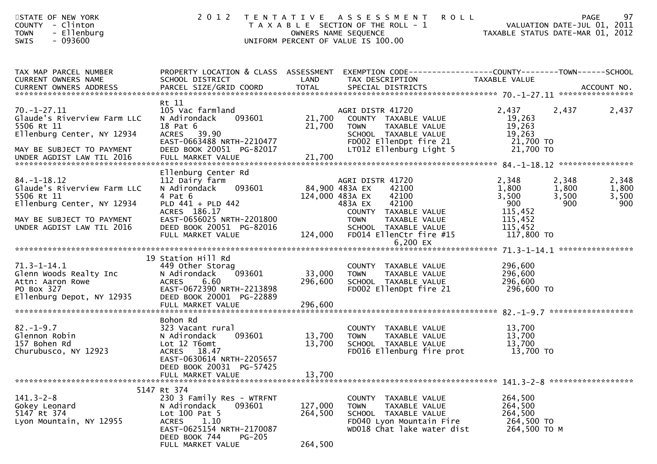| STATE OF NEW YORK<br>COUNTY - Clinton<br>- Ellenburg<br><b>TOWN</b><br>$-093600$<br><b>SWIS</b>                                                        | 2 0 1 2                                                                                                                                                                                           |                                              | TENTATIVE ASSESSMENT<br><b>ROLL</b><br>T A X A B L E SECTION OF THE ROLL - 1<br>OWNERS NAME SEQUENCE<br>UNIFORM PERCENT OF VALUE IS 100.00                        | TAXABLE STATUS DATE-MAR 01, 2012                                              | 97<br><b>PAGE</b><br>VALUATION DATE-JUL 01, 2011                 |
|--------------------------------------------------------------------------------------------------------------------------------------------------------|---------------------------------------------------------------------------------------------------------------------------------------------------------------------------------------------------|----------------------------------------------|-------------------------------------------------------------------------------------------------------------------------------------------------------------------|-------------------------------------------------------------------------------|------------------------------------------------------------------|
| TAX MAP PARCEL NUMBER<br>CURRENT OWNERS NAME<br>CURRENT OWNERS ADDRESS                                                                                 | SCHOOL DISTRICT                                                                                                                                                                                   | LAND                                         | PROPERTY LOCATION & CLASS ASSESSMENT EXEMPTION CODE----------------COUNTY-------TOWN------SCHOOL<br>TAX DESCRIPTION                                               | TAXABLE VALUE                                                                 |                                                                  |
| $70. - 1 - 27.11$<br>Glaude's Riverview Farm LLC<br>5506 Rt 11<br>Ellenburg Center, NY 12934<br>MAY BE SUBJECT TO PAYMENT<br>UNDER AGDIST LAW TIL 2016 | Rt 11<br>105 Vac farmland<br>093601<br>N Adirondack<br>18 Pat 6<br>ACRES 39.90<br>EAST-0663488 NRTH-2210477<br>DEED BOOK 20051 PG-82017<br>FULL MARKET VALUE                                      | 21,700<br>21,700<br>21,700                   | AGRI DISTR 41720<br>COUNTY TAXABLE VALUE<br><b>TOWN</b><br>TAXABLE VALUE<br>SCHOOL TAXABLE VALUE<br>FD002 EllenDpt fire 21<br>LT012 Ellenburg Light 5             | 2,437<br>19,263<br>19,263<br>19,263<br>21,700 TO<br>21,700 TO                 | 2,437<br>2,437                                                   |
| $84. - 1 - 18.12$<br>Glaude's Riverview Farm LLC<br>5506 Rt 11<br>Ellenburg Center, NY 12934<br>MAY BE SUBJECT TO PAYMENT<br>UNDER AGDIST LAW TIL 2016 | Ellenburg Center Rd<br>112 Dairy farm<br>093601<br>N Adirondack<br>4 Pat 6<br>PLD 441 + PLD 442<br>ACRES 186.17<br>EAST-0656025 NRTH-2201800<br>DEED BOOK 20051 PG-82016<br>FULL MARKET VALUE     | 84,900 483A EX<br>124,000 483A EX<br>124,000 | AGRI DISTR 41720<br>42100<br>42100<br>483A EX<br>42100<br>COUNTY TAXABLE VALUE<br><b>TOWN</b><br>TAXABLE VALUE<br>SCHOOL TAXABLE VALUE<br>FD014 EllenCtr fire #15 | 2,348<br>1,800<br>3,500<br>900<br>115,452<br>115,452<br>115,452<br>117,800 TO | 2,348<br>2,348<br>1,800<br>1,800<br>3,500<br>3,500<br>900<br>900 |
|                                                                                                                                                        |                                                                                                                                                                                                   |                                              | 6.200 EX                                                                                                                                                          |                                                                               |                                                                  |
| $71.3 - 1 - 14.1$<br>Glenn Woods Realty Inc<br>Attn: Aaron Rowe<br>PO Box 327<br>Ellenburg Depot, NY 12935                                             | 19 Station Hill Rd<br>449 Other Storag<br>N Adirondack<br>093601<br>6.60<br><b>ACRES</b><br>EAST-0672390 NRTH-2213898<br>DEED BOOK 20001 PG-22889                                                 | 33,000<br>296,600                            | COUNTY TAXABLE VALUE<br><b>TOWN</b><br>TAXABLE VALUE<br>SCHOOL TAXABLE VALUE<br>FD002 EllenDpt fire 21                                                            | 296,600<br>296,600<br>296,600<br>296,600 то                                   |                                                                  |
|                                                                                                                                                        | Bohon Rd                                                                                                                                                                                          |                                              |                                                                                                                                                                   |                                                                               |                                                                  |
| $82. - 1 - 9.7$<br>Glennon Robin<br>157 Bohen Rd<br>Churubusco, NY 12923                                                                               | 323 Vacant rural<br>093601<br>N Adirondack<br>Lot 12 T6omt<br>ACRES 18.47<br>EAST-0630614 NRTH-2205657                                                                                            | 13,700<br>13,700                             | COUNTY TAXABLE VALUE<br><b>TOWN</b><br>TAXABLE VALUE<br>SCHOOL TAXABLE VALUE<br>FD016 Ellenburg fire prot                                                         | 13,700<br>13,700<br>13,700<br>13,700 TO                                       |                                                                  |
|                                                                                                                                                        | DEED BOOK 20031 PG-57425<br>FULL MARKET VALUE                                                                                                                                                     | 13,700                                       |                                                                                                                                                                   |                                                                               |                                                                  |
| $141.3 - 2 - 8$<br>Gokey Leonard<br>5147 Rt 374<br>Lyon Mountain, NY 12955                                                                             | 5147 Rt 374<br>230 3 Family Res - WTRFNT<br>093601<br>N Adirondack<br>Lot $100$ Pat 5<br>1.10<br><b>ACRES</b><br>EAST-0625154 NRTH-2170087<br>DEED BOOK 744<br><b>PG-205</b><br>FULL MARKET VALUE | 127,000<br>264,500<br>264,500                | COUNTY TAXABLE VALUE<br><b>TOWN</b><br>TAXABLE VALUE<br>SCHOOL TAXABLE VALUE<br>FD040 Lyon Mountain Fire<br>WD018 Chat lake water dist                            | 264,500<br>264,500<br>264,500<br>264,500 TO<br>264,500 ТО М                   |                                                                  |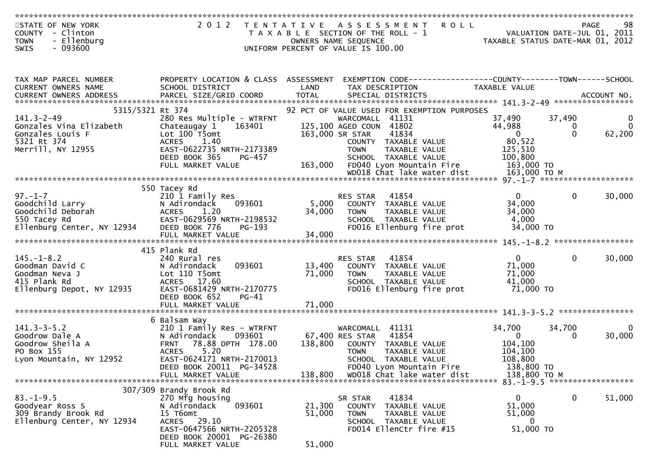|             | STATE OF NEW YORK | 2012 TENTATIVE ASSESSMENT ROLL        | 98<br>PAGE                       |
|-------------|-------------------|---------------------------------------|----------------------------------|
| COUNTY      | - Clinton         | T A X A B L E SECTION OF THE ROLL - 1 | VALUATION DATE-JUL 01, 2011      |
| <b>TOWN</b> | - Ellenburg       | OWNERS NAME SEQUENCE                  | TAXABLE STATUS DATE-MAR 01, 2012 |
| SWIS        | $-093600$         | UNIFORM PERCENT OF VALUE IS 100.00    |                                  |

| TAX MAP PARCEL NUMBER                                                             | PROPERTY LOCATION & CLASS ASSESSMENT       |                                                                                                                        | EXEMPTION CODE------------------COUNTY--------TOWN------SCHOOL                                                                          |
|-----------------------------------------------------------------------------------|--------------------------------------------|------------------------------------------------------------------------------------------------------------------------|-----------------------------------------------------------------------------------------------------------------------------------------|
| CURRENT OWNERS NAME                                                               | SCHOOL DISTRICT                            | LAND<br>TAX DESCRIPTION                                                                                                | TAXABLE VALUE                                                                                                                           |
|                                                                                   |                                            |                                                                                                                        |                                                                                                                                         |
|                                                                                   |                                            |                                                                                                                        |                                                                                                                                         |
|                                                                                   | 5315/5321 Rt 374                           | 92 PCT OF VALUE USED FOR EXEMPTION PURPOSES                                                                            |                                                                                                                                         |
| $141.3 - 2 - 49$                                                                  |                                            | 280 Res Multiple - WTRFNT<br>Chateaugay 1 163401 125,100 AGED COUN 41802<br>Lot 100 T5omt 163401 163,000 SR STAR 41834 | 37,490<br>37,490<br>$\mathbf 0$                                                                                                         |
| Gonzales Vina Elizabeth                                                           |                                            |                                                                                                                        | 44,988<br>$\mathbf{0}$<br>$\overline{0}$                                                                                                |
| Gonzales Louis F                                                                  |                                            | 41834                                                                                                                  | $\begin{array}{ccc} & & 0 \end{array}$<br>$\Omega$<br>62,200                                                                            |
| 5321 Rt 374<br>Merrill, NY 12955                                                  | <b>ACRES</b><br>1.40                       | COUNTY TAXABLE VALUE                                                                                                   | 80,522                                                                                                                                  |
|                                                                                   | EAST-0622735 NRTH-2173389                  | <b>TOWN</b><br>TAXABLE VALUE                                                                                           | 125,510                                                                                                                                 |
|                                                                                   | DEED BOOK 365<br>PG-457                    |                                                                                                                        | TOWN TAXABLE VIESE<br>SCHOOL TAXABLE VALUE 100,800 TO                                                                                   |
|                                                                                   | FULL MARKET VALUE                          | 163,000 FD040 Lyon Mountain Fire                                                                                       |                                                                                                                                         |
|                                                                                   |                                            |                                                                                                                        | $WD018$ Chat lake water dist $163,000$ TO M                                                                                             |
|                                                                                   |                                            |                                                                                                                        |                                                                                                                                         |
|                                                                                   | 550 Tacey Rd                               |                                                                                                                        |                                                                                                                                         |
| $97. - 1 - 7$                                                                     | 210 1 Family Res                           | 41854<br>RES STAR                                                                                                      | $\overline{0}$<br>$\mathbf{0}$<br>30,000                                                                                                |
| Goodchild Larry                                                                   | 093601<br>N Adirondack                     | COUNTY TAXABLE VALUE<br>5,000                                                                                          | 34,000                                                                                                                                  |
| Goodchild Deborah<br>550 Tacey Rd                                                 | 1.20<br><b>ACRES</b>                       | 34,000<br>TAXABLE VALUE<br><b>TOWN</b>                                                                                 | 34,000                                                                                                                                  |
|                                                                                   | EAST-0629569 NRTH-2198532<br>DEED BOOK 776 | SCHOOL TAXABLE VALUE                                                                                                   | 4,000<br>34,000 TO                                                                                                                      |
| Ellenburg Center, NY 12934                                                        | PG-193                                     | FD016 Ellenburg fire prot                                                                                              |                                                                                                                                         |
|                                                                                   |                                            |                                                                                                                        |                                                                                                                                         |
|                                                                                   | 415 Plank Rd                               |                                                                                                                        |                                                                                                                                         |
| $145. - 1 - 8.2$                                                                  | 240 Rural res                              | RES STAR                                                                                                               | 30,000<br>$\overline{0}$<br>$\Omega$                                                                                                    |
| Goodman David C                                                                   | 093601<br>N Adirondack                     | ES STAR - 41854<br>COUNTY - TAXABLE VALUE<br>13,400                                                                    | 71,000                                                                                                                                  |
| Goodman Neva J                                                                    | Lot 110 T5omt                              | TAXABLE VALUE<br>71,000<br><b>TOWN</b>                                                                                 | 71,000                                                                                                                                  |
| 415 Plank Rd                                                                      | ACRES 17.60                                | SCHOOL TAXABLE VALUE                                                                                                   | 41,000                                                                                                                                  |
| Ellenburg Depot, NY 12935                                                         | EAST-0681429 NRTH-2170775                  |                                                                                                                        | FD016 Ellenburg fire prot $71,000$ TO                                                                                                   |
|                                                                                   | DEED BOOK 652<br>PG-41                     |                                                                                                                        |                                                                                                                                         |
|                                                                                   |                                            |                                                                                                                        |                                                                                                                                         |
|                                                                                   |                                            |                                                                                                                        |                                                                                                                                         |
|                                                                                   | 6 Balsam Way                               |                                                                                                                        |                                                                                                                                         |
| 141.3-3-5.2<br>Goodrow Dale A<br>Goodrow Sheila A                                 | 210 1 Family Res - WTRFNT                  | WARCOMALL 41131                                                                                                        | 34,700<br>34,700<br>$\mathbf{0}$                                                                                                        |
|                                                                                   | N Adirondack<br>093601                     | 67,400 RES STAR 41854                                                                                                  | $\overline{0}$<br>30,000<br>$\Omega$                                                                                                    |
|                                                                                   | <b>FRNT</b><br>78.88 DPTH 178.00           | 138,800<br>COUNTY TAXABLE VALUE                                                                                        | 104,100                                                                                                                                 |
|                                                                                   | <b>ACRES</b><br>5.20                       | TAXABLE VALUE<br><b>TOWN</b>                                                                                           | 104,100                                                                                                                                 |
| Lyon Mountain, NY 12952                                                           | EAST-0624171 NRTH-2170013                  | SCHOOL TAXABLE VALUE                                                                                                   | 108,800                                                                                                                                 |
|                                                                                   | DEED BOOK 20011 PG-34528                   | FD040 Lyon Mountain Fire                                                                                               | 138,800 TO                                                                                                                              |
|                                                                                   |                                            |                                                                                                                        | FULL MARKET VALUE<br>FULL MARKET VALUE 138,800 WD018 Chat lake water dist 138,800 TO M FULL MARKET VALUE 238,800 TO M FULL MARKET VALUE |
|                                                                                   |                                            |                                                                                                                        |                                                                                                                                         |
|                                                                                   | 307/309 Brandy Brook Rd                    |                                                                                                                        |                                                                                                                                         |
|                                                                                   | 270 Mfg housing                            | 41834<br>SR STAR                                                                                                       | $\overline{0}$<br>$\mathbf 0$<br>51,000                                                                                                 |
| 83.-1-9.5<br>Goodyear Ross S<br>309 Brandy Brook Rd<br>Fllanhurg Center, NY 12934 | 093601<br>N Adirondack                     | 21,300<br>COUNTY TAXABLE VALUE                                                                                         | 51,000                                                                                                                                  |
|                                                                                   | 15 T6omt                                   | 51,000<br>TAXABLE VALUE<br><b>TOWN</b>                                                                                 | 51,000                                                                                                                                  |
| Ellenburg Center, NY 12934                                                        | ACRES 29.10                                | SCHOOL TAXABLE VALUE                                                                                                   | $\overline{0}$                                                                                                                          |
|                                                                                   | EAST-0647566 NRTH-2205328                  | FD014 EllenCtr fire #15                                                                                                | 51,000 TO                                                                                                                               |
|                                                                                   | DEED BOOK 20001 PG-26380                   |                                                                                                                        |                                                                                                                                         |
|                                                                                   | FULL MARKET VALUE                          | 51,000                                                                                                                 |                                                                                                                                         |
|                                                                                   |                                            |                                                                                                                        |                                                                                                                                         |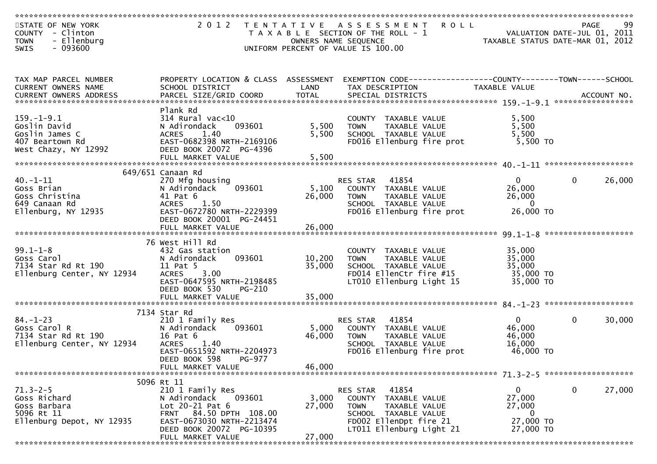| STATE OF NEW YORK<br>COUNTY - Clinton<br>- Ellenburg<br><b>TOWN</b> |                                                      |                 | 2012 TENTATIVE ASSESSMENT<br><b>ROLL</b><br>T A X A B L E SECTION OF THE ROLL - 1<br>OWNERS NAME SEQUENCE           | VALUATION DATE-JUL 01, 2011<br>TAXABLE STATUS DATE-MAR 01, 2012 | PAGE         | 99     |
|---------------------------------------------------------------------|------------------------------------------------------|-----------------|---------------------------------------------------------------------------------------------------------------------|-----------------------------------------------------------------|--------------|--------|
| SWIS<br>- 093600                                                    |                                                      |                 | UNIFORM PERCENT OF VALUE IS 100.00                                                                                  |                                                                 |              |        |
|                                                                     |                                                      |                 |                                                                                                                     |                                                                 |              |        |
|                                                                     |                                                      |                 |                                                                                                                     |                                                                 |              |        |
| TAX MAP PARCEL NUMBER<br>CURRENT OWNERS NAME                        | SCHOOL DISTRICT                                      | LAND            | PROPERTY LOCATION & CLASS ASSESSMENT EXEMPTION CODE----------------COUNTY-------TOWN------SCHOOL<br>TAX DESCRIPTION | TAXABLE VALUE                                                   |              |        |
|                                                                     |                                                      |                 |                                                                                                                     |                                                                 |              |        |
|                                                                     |                                                      |                 |                                                                                                                     |                                                                 |              |        |
| $159. - 1 - 9.1$                                                    | Plank Rd<br>$314$ Rural vac< $10$                    |                 |                                                                                                                     |                                                                 |              |        |
| Goslin David                                                        | 093601<br>N Adirondack                               | 5,500           | COUNTY TAXABLE VALUE<br>TAXABLE VALUE<br><b>TOWN</b>                                                                | 5,500<br>5,500                                                  |              |        |
| Goslin James C                                                      | <b>ACRES</b><br>1.40                                 | 5,500           | SCHOOL TAXABLE VALUE                                                                                                | 5,500                                                           |              |        |
| 407 Beartown Rd                                                     | EAST-0682398 NRTH-2169106                            |                 | FD016 Ellenburg fire prot                                                                                           | 5,500 TO                                                        |              |        |
| West Chazy, NY 12992                                                | DEED BOOK 20072 PG-4396                              |                 |                                                                                                                     |                                                                 |              |        |
|                                                                     | FULL MARKET VALUE                                    | 5,500           |                                                                                                                     |                                                                 |              |        |
|                                                                     |                                                      |                 |                                                                                                                     |                                                                 |              |        |
| $40. -1 - 11$                                                       | 649/651 Canaan Rd<br>270 Mfg housing                 |                 | 41854<br>RES STAR                                                                                                   | $\overline{0}$                                                  | $\Omega$     | 26,000 |
| Goss Brian                                                          | 093601<br>N Adirondack                               | 5,100           | COUNTY TAXABLE VALUE                                                                                                | 26,000                                                          |              |        |
| Goss Christina                                                      | 41 Pat 6                                             | 26,000          | <b>TOWN</b><br>TAXABLE VALUE                                                                                        | 26,000                                                          |              |        |
| 649 Canaan Rd                                                       | ACRES<br>1.50                                        |                 | SCHOOL TAXABLE VALUE                                                                                                | $\overline{0}$                                                  |              |        |
| Ellenburg, NY 12935                                                 | EAST-0672780 NRTH-2229399                            |                 | FD016 Ellenburg fire prot                                                                                           | 26,000 TO                                                       |              |        |
|                                                                     | DEED BOOK 20001 PG-24451                             |                 |                                                                                                                     |                                                                 |              |        |
|                                                                     | FULL MARKET VALUE                                    | 26,000          |                                                                                                                     |                                                                 |              |        |
|                                                                     | 76 West Hill Rd                                      |                 |                                                                                                                     |                                                                 |              |        |
| $99.1 - 1 - 8$                                                      | 432 Gas station                                      |                 | COUNTY TAXABLE VALUE                                                                                                | 35,000                                                          |              |        |
| Goss Carol                                                          | 093601<br>N Adirondack                               | 10,200          | TAXABLE VALUE<br><b>TOWN</b>                                                                                        | 35,000                                                          |              |        |
| 7134 Star Rd Rt 190                                                 | 11 Pat 5                                             | 35,000          | SCHOOL TAXABLE VALUE                                                                                                | 35,000                                                          |              |        |
| Ellenburg Center, NY 12934                                          | 3.00<br><b>ACRES</b>                                 |                 | FD014 EllenCtr fire $\bar{t}$ 15                                                                                    | 35,000 TO                                                       |              |        |
|                                                                     | EAST-0647595 NRTH-2198485<br>DEED BOOK 530<br>PG-210 |                 | LT010 Ellenburg Light 15                                                                                            | 35,000 TO                                                       |              |        |
|                                                                     | FULL MARKET VALUE                                    | 35,000          |                                                                                                                     |                                                                 |              |        |
|                                                                     |                                                      |                 |                                                                                                                     |                                                                 |              |        |
|                                                                     | 7134 Star Rd                                         |                 |                                                                                                                     |                                                                 |              |        |
| $84. - 1 - 23$                                                      | 210 1 Family Res                                     |                 | 41854<br>RES STAR                                                                                                   | $\overline{0}$                                                  | $\Omega$     | 30,000 |
| Goss Carol R<br>7134 Star Rd Rt 190                                 | 093601<br>N Adirondack<br>16 Pat 6                   | 5,000<br>46,000 | COUNTY TAXABLE VALUE<br><b>TOWN</b>                                                                                 | 46,000<br>46,000                                                |              |        |
| Ellenburg Center, NY 12934                                          | <b>ACRES</b><br>1.40                                 |                 | TAXABLE VALUE<br>SCHOOL TAXABLE VALUE                                                                               | 16,000                                                          |              |        |
|                                                                     | EAST-0651592 NRTH-2204973                            |                 | FD016 Ellenburg fire prot                                                                                           | 46,000 TO                                                       |              |        |
|                                                                     | DEED BOOK 598<br>PG-977                              |                 |                                                                                                                     |                                                                 |              |        |
|                                                                     | FULL MARKET VALUE                                    | 46,000          |                                                                                                                     |                                                                 |              |        |
|                                                                     |                                                      |                 |                                                                                                                     |                                                                 |              |        |
| $71.3 - 2 - 5$                                                      | 5096 Rt 11<br>210 1 Family Res                       |                 | 41854<br>RES STAR                                                                                                   | 0                                                               | $\mathbf{0}$ | 27,000 |
| Goss Richard                                                        | 093601<br>N Adirondack                               | 3,000           | <b>COUNTY</b><br>TAXABLE VALUE                                                                                      | 27,000                                                          |              |        |
| Goss Barbara                                                        | Lot $20-21$ Pat $6$                                  | 27,000          | <b>TOWN</b><br>TAXABLE VALUE                                                                                        | 27,000                                                          |              |        |
| 5096 Rt 11                                                          | 84.50 DPTH 108.00<br><b>FRNT</b>                     |                 | SCHOOL TAXABLE VALUE                                                                                                | $\bf{0}$                                                        |              |        |
| Ellenburg Depot, NY 12935                                           | EAST-0673030 NRTH-2213474                            |                 | FD002 EllenDpt fire 21                                                                                              | 27,000 TO                                                       |              |        |
|                                                                     | DEED BOOK 20072 PG-10395                             |                 | LT011 Ellenburg Light 21                                                                                            | 27,000 TO                                                       |              |        |
|                                                                     | FULL MARKET VALUE<br>********************            | 27,000          |                                                                                                                     |                                                                 |              |        |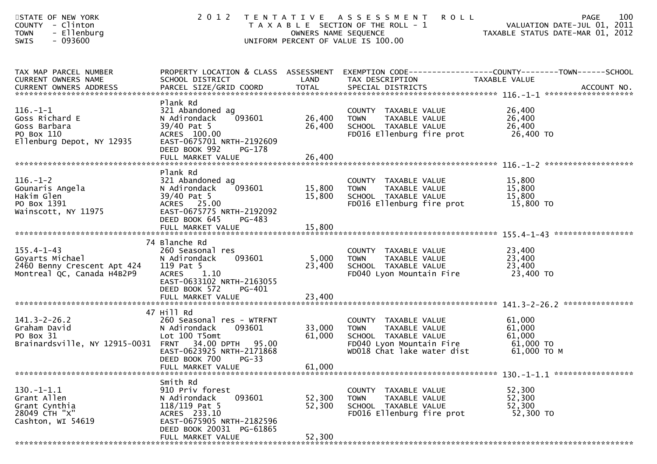| STATE OF NEW YORK<br>COUNTY - Clinton<br>- Ellenburg<br><b>TOWN</b><br>SWIS<br>$-093600$               | 2012                                                                                                                                                               | OWNERS NAME SEQUENCE       | TENTATIVE ASSESSMENT<br><b>ROLL</b><br>T A X A B L E SECTION OF THE ROLL - 1<br>UNIFORM PERCENT OF VALUE IS 100.00                     | 100<br><b>PAGE</b><br>VALUATION DATE-JUL 01, 2011<br>TAXABLE STATUS DATE-MAR 01, 2012                             |
|--------------------------------------------------------------------------------------------------------|--------------------------------------------------------------------------------------------------------------------------------------------------------------------|----------------------------|----------------------------------------------------------------------------------------------------------------------------------------|-------------------------------------------------------------------------------------------------------------------|
| TAX MAP PARCEL NUMBER<br>CURRENT OWNERS NAME                                                           | SCHOOL DISTRICT                                                                                                                                                    | LAND                       | TAX DESCRIPTION                                                                                                                        | PROPERTY LOCATION & CLASS ASSESSMENT EXEMPTION CODE----------------COUNTY-------TOWN------SCHOOL<br>TAXABLE VALUE |
| $116. - 1 - 1$<br>Goss Richard E<br>Goss Barbara<br>PO Box 110<br>Ellenburg Depot, NY 12935            | Plank Rd<br>321 Abandoned ag<br>093601<br>N Adirondack<br>39/40 Pat 5<br>ACRES 100.00<br>EAST-0675701 NRTH-2192609<br>DEED BOOK 992<br>PG-178<br>FULL MARKET VALUE | 26,400<br>26,400<br>26,400 | COUNTY TAXABLE VALUE<br>TAXABLE VALUE<br><b>TOWN</b><br>SCHOOL TAXABLE VALUE<br>FD016 Ellenburg fire prot 26,400 TO                    | 26,400<br>26,400<br>26,400                                                                                        |
|                                                                                                        | Plank Rd                                                                                                                                                           |                            |                                                                                                                                        |                                                                                                                   |
| 116.-1-2<br>Gounaris Angela<br>Wakim Clar<br>Hakim Glen<br>PO Box 1391<br>Wainscott, NY 11975          | 321 Abandoned ag<br>093601<br>N Adirondack<br>39/40 Pat 5<br><b>ACRES</b><br>25.00<br>EAST-0675775 NRTH-2192092                                                    | 15,800 TOWN<br>15,800      | COUNTY TAXABLE VALUE<br>TAXABLE VALUE<br>TAXABLE VALUE<br>SCHOOL TAXABLE VALUE<br>FD016 Ellenburg fire prot                            | 15,800<br>15,800<br>15,800<br>15,800 TO                                                                           |
|                                                                                                        | DEED BOOK 645<br>PG-483<br>FULL MARKET VALUE                                                                                                                       | 15,800                     |                                                                                                                                        |                                                                                                                   |
|                                                                                                        |                                                                                                                                                                    |                            |                                                                                                                                        |                                                                                                                   |
| $155.4 - 1 - 43$<br>Goyarts Michael<br>2460 Benny Crescent Apt 424<br>Montreal QC, Canada H4B2P9       | 74 Blanche Rd<br>260 Seasonal res<br>N Adirondack<br>093601<br>119 Pat 5<br><b>ACRES</b><br>1.10<br>EAST-0633102 NRTH-2163055                                      | 5,000<br>23,400            | COUNTY TAXABLE VALUE<br>TAXABLE VALUE<br><b>TOWN</b><br>SCHOOL TAXABLE VALUE<br>FD040 Lyon Mountain Fire                               | 23,400<br>23,400<br>23,400<br>23,400 TO                                                                           |
|                                                                                                        | DEED BOOK 572<br>PG-401                                                                                                                                            |                            |                                                                                                                                        |                                                                                                                   |
|                                                                                                        | 47 Hill Rd                                                                                                                                                         |                            |                                                                                                                                        |                                                                                                                   |
| $141.3 - 2 - 26.2$<br>Graham David<br>PO Box 31<br>Brainardsville, NY 12915-0031 FRNT 34.00 DPTH 95.00 | 260 Seasonal res - WTRFNT<br>N Adirondack<br>093601<br>Lot 100 T5omt<br>EAST-0623925 NRTH-2171868                                                                  | 33,000<br>61,000           | COUNTY TAXABLE VALUE<br>TAXABLE VALUE<br><b>TOWN</b><br>SCHOOL TAXABLE VALUE<br>FD040 Lyon Mountain Fire<br>WD018 Chat lake water dist | 61,000<br>61,000<br>61,000<br>$61,000$ TO<br>61,000 ТО М                                                          |
|                                                                                                        | DEED BOOK 700 PG-33<br>FULL MARKET VALUE                                                                                                                           | 61,000                     |                                                                                                                                        |                                                                                                                   |
|                                                                                                        | Smith Rd                                                                                                                                                           |                            |                                                                                                                                        |                                                                                                                   |
| $130. -1 - 1.1$<br>Grant Allen<br>Grant Cynthia<br>28049 CTH "X"<br>Cashton, WI 54619                  | 910 Priv forest<br>N Adirondack<br>093601<br>$118/119$ Pat 5<br>ACRES 233.10<br>EAST-0675905 NRTH-2182596<br>DEED BOOK 20031 PG-61865                              | 52,300<br>52,300           | <b>COUNTY</b><br>TAXABLE VALUE<br>TAXABLE VALUE<br><b>TOWN</b><br>SCHOOL TAXABLE VALUE<br>FD016 Ellenburg fire prot                    | 52,300<br>52,300<br>52,300<br>52,300 TO                                                                           |
| - 남은 남은 남은 남은 남은 남은 남은 남은 남은 남은 남은                                                                     | FULL MARKET VALUE                                                                                                                                                  | 52,300                     |                                                                                                                                        |                                                                                                                   |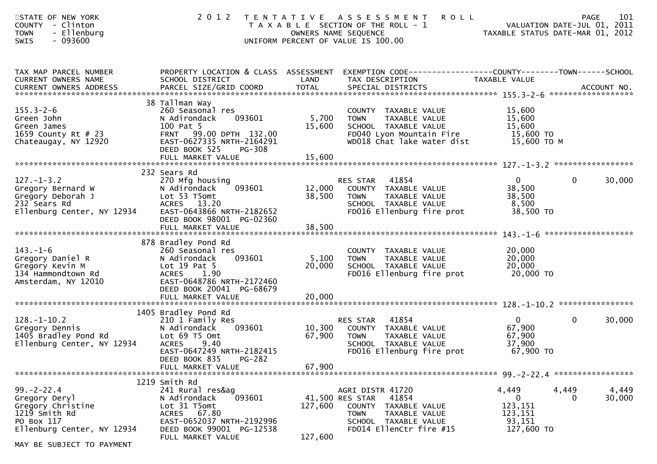| STATE OF NEW YORK<br><b>COUNTY</b><br>- Clinton<br>- Ellenburg<br><b>TOWN</b><br>$-093600$<br>SWIS                 | 2 0 1 2                                                                                                                                                                          |                           | <b>ROLL</b><br>TENTATIVE ASSESSMENT<br>T A X A B L E SECTION OF THE ROLL - 1<br>OWNERS NAME SEQUENCE<br>UNIFORM PERCENT OF VALUE IS 100.00                 | VALUATION DATE-JUL 01, 2011<br>TAXABLE STATUS DATE-MAR 01, 2012 | <b>PAGE</b>       | 101             |
|--------------------------------------------------------------------------------------------------------------------|----------------------------------------------------------------------------------------------------------------------------------------------------------------------------------|---------------------------|------------------------------------------------------------------------------------------------------------------------------------------------------------|-----------------------------------------------------------------|-------------------|-----------------|
| TAX MAP PARCEL NUMBER<br>CURRENT OWNERS NAME<br>CURRENT OWNERS ADDRESS                                             | SCHOOL DISTRICT                                                                                                                                                                  | LAND                      | PROPERTY LOCATION & CLASS ASSESSMENT EXEMPTION CODE----------------COUNTY-------TOWN------SCHOOL<br>TAX DESCRIPTION                                        | TAXABLE VALUE                                                   |                   |                 |
| $155.3 - 2 - 6$<br>Green John<br>Green James<br>1659 County Rt # 23<br>Chateaugay, NY 12920                        | 38 Tallman Way<br>260 Seasonal res<br>N Adirondack<br>093601<br>100 Pat 5<br>FRNT 99.00 DPTH 132.00<br>EAST-0627335 NRTH-2164291<br>DEED BOOK 525<br>PG-308<br>FULL MARKET VALUE | 5,700<br>15,600<br>15,600 | COUNTY TAXABLE VALUE<br><b>TOWN</b><br>TAXABLE VALUE<br>SCHOOL TAXABLE VALUE<br>FD040 Lyon Mountain Fire 15,600 TO<br>WD018 Chat lake water dist           | 15,600<br>15,600<br>15,600<br>15,600 TO M                       |                   |                 |
|                                                                                                                    |                                                                                                                                                                                  |                           |                                                                                                                                                            |                                                                 |                   |                 |
| $127. - 1 - 3.2$<br>Gregory Bernard W<br>Gregory Deborah J<br>232 Sears Rd<br>Ellenburg Center, NY 12934           | 232 Sears Rd<br>270 Mfg housing<br>093601<br>N Adirondack<br>Lot 53 T5omt<br>ACRES 13.20<br>EAST-0643866 NRTH-2182652                                                            | 12,000<br>38,500          | 41854<br>RES STAR<br>COUNTY TAXABLE VALUE<br>TAXABLE VALUE<br><b>TOWN</b><br>SCHOOL TAXABLE VALUE<br>FD016 Ellenburg fire prot                             | $\overline{0}$<br>38,500<br>38,500<br>8,500<br>38,500 TO        | $\mathbf{0}$      | 30,000          |
|                                                                                                                    | DEED BOOK 98001 PG-02360                                                                                                                                                         |                           |                                                                                                                                                            |                                                                 |                   |                 |
|                                                                                                                    | FULL MARKET VALUE                                                                                                                                                                | 38,500                    |                                                                                                                                                            |                                                                 |                   |                 |
| $143. - 1 - 6$<br>Gregory Daniel R<br>Gregory Kevin M<br>134 Hammondtown Rd<br>Amsterdam, NY 12010                 | 878 Bradley Pond Rd<br>260 Seasonal res<br>093601<br>N Adirondack<br>Lot $19$ Pat 5<br>1.90<br><b>ACRES</b><br>EAST-0648786 NRTH-2172460<br>DEED BOOK 20041 PG-68679             | 5,100<br>20,000           | COUNTY TAXABLE VALUE<br>TAXABLE VALUE<br><b>TOWN</b><br>SCHOOL TAXABLE VALUE<br>FD016 Ellenburg fire prot                                                  | 20,000<br>20,000<br>20,000<br>20,000 то                         |                   |                 |
|                                                                                                                    | FULL MARKET VALUE                                                                                                                                                                | 20,000                    |                                                                                                                                                            |                                                                 |                   |                 |
|                                                                                                                    |                                                                                                                                                                                  |                           |                                                                                                                                                            |                                                                 |                   |                 |
| $128. - 1 - 10.2$<br>Gregory Dennis<br>1405 Bradley Pond Rd<br>Ellenburg Center, NY 12934                          | 1405 Bradley Pond Rd<br>210 1 Family Res<br>093601<br>N Adirondack<br>Lot 69 T5 Omt<br><b>ACRES</b><br>9.40<br>EAST-0647249 NRTH-2182415<br>DEED BOOK 835 PG-282                 | 67,900                    | 41854<br>RES STAR<br>10,300 COUNTY TAXABLE VALUE<br><b>TOWN</b><br>TAXABLE VALUE<br>SCHOOL TAXABLE VALUE<br>FD016 Ellenburg fire prot                      | $\overline{0}$<br>67,900<br>67,900<br>37,900<br>67,900 TO       | $\mathbf{0}$      | 30,000          |
|                                                                                                                    | FULL MARKET VALUE                                                                                                                                                                | 67,900                    |                                                                                                                                                            |                                                                 |                   |                 |
|                                                                                                                    | 1219 Smith Rd                                                                                                                                                                    |                           |                                                                                                                                                            |                                                                 |                   |                 |
| $99. -2 - 22.4$<br>Gregory Deryl<br>Gregory Christine<br>1219 Smith Rd<br>PO Box 117<br>Ellenburg Center, NY 12934 | 241 Rural res&ag<br>093601<br>N Adirondack<br>Lot 31 T5omt<br>ACRES 67.80<br>EAST-0652037 NRTH-2192996<br>DEED BOOK 99001 PG-12538                                               | 127,600                   | AGRI DISTR 41720<br>41854<br>41,500 RES STAR<br>COUNTY<br>TAXABLE VALUE<br><b>TOWN</b><br>TAXABLE VALUE<br>SCHOOL TAXABLE VALUE<br>FD014 EllenCtr fire #15 | 4,449<br>0<br>123,151<br>123,151<br>93,151<br>127,600 TO        | 4,449<br>$\Omega$ | 4,449<br>30,000 |
| MAY BE SUBJECT TO PAYMENT                                                                                          | FULL MARKET VALUE                                                                                                                                                                | 127,600                   |                                                                                                                                                            |                                                                 |                   |                 |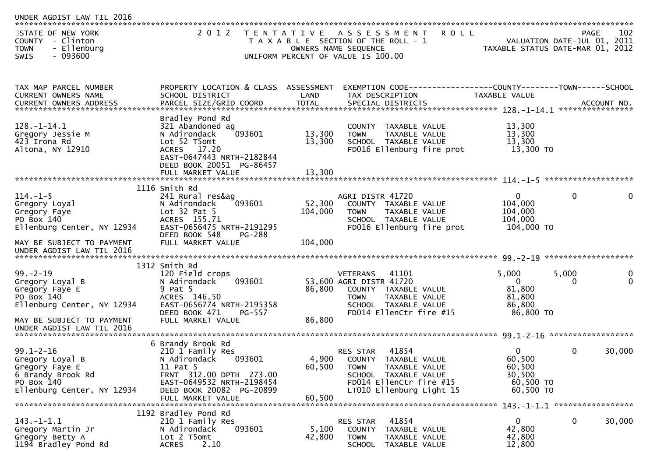| 2016<br>UNDER AGDIST LAW TIL                                                                       |                                                         |                   |                                                                                                                                           |                                  |                                     |                                 |
|----------------------------------------------------------------------------------------------------|---------------------------------------------------------|-------------------|-------------------------------------------------------------------------------------------------------------------------------------------|----------------------------------|-------------------------------------|---------------------------------|
| STATE OF NEW YORK<br><b>COUNTY</b><br>- Clinton<br><b>TOWN</b><br>- Ellenburg<br>$-093600$<br>SWIS | 2 0 1 2                                                 | T E N T A T I V E | <b>ROLL</b><br>A S S E S S M E N T<br>T A X A B L E SECTION OF THE ROLL - 1<br>OWNERS NAME SEQUENCE<br>UNIFORM PERCENT OF VALUE IS 100.00 | TAXABLE STATUS DATE-MAR 01, 2012 | PAGE<br>VALUATION DATE-JUL 01, 2011 | 102                             |
|                                                                                                    |                                                         |                   |                                                                                                                                           |                                  |                                     |                                 |
| TAX MAP PARCEL NUMBER<br>CURRENT OWNERS NAME                                                       | PROPERTY LOCATION & CLASS ASSESSMENT<br>SCHOOL DISTRICT | LAND              | TAX DESCRIPTION                                                                                                                           | TAXABLE VALUE                    |                                     |                                 |
|                                                                                                    |                                                         |                   |                                                                                                                                           |                                  |                                     | ACCOUNT NO.<br>**************** |
|                                                                                                    | Bradley Pond Rd                                         |                   |                                                                                                                                           |                                  |                                     |                                 |
| $128. - 1 - 14.1$                                                                                  | 321 Abandoned ag                                        |                   | COUNTY TAXABLE VALUE                                                                                                                      | 13,300                           |                                     |                                 |
| Gregory Jessie M<br>423 Irona Rd                                                                   | N Adirondack<br>093601<br>Lot 52 T5omt                  | 13,300<br>13,300  | TAXABLE VALUE<br><b>TOWN</b><br>SCHOOL TAXABLE VALUE                                                                                      | 13,300<br>13,300                 |                                     |                                 |
| Altona, NY 12910                                                                                   | ACRES 17.20                                             |                   | FD016 Ellenburg fire prot                                                                                                                 | 13,300 TO                        |                                     |                                 |
|                                                                                                    | EAST-0647443 NRTH-2182844                               |                   |                                                                                                                                           |                                  |                                     |                                 |
|                                                                                                    | DEED BOOK 20051 PG-86457                                |                   |                                                                                                                                           |                                  |                                     |                                 |
|                                                                                                    | FULL MARKET VALUE                                       | 13,300            |                                                                                                                                           |                                  |                                     |                                 |
|                                                                                                    | 1116 Smith Rd                                           |                   |                                                                                                                                           |                                  |                                     |                                 |
| $114. - 1 - 5$                                                                                     | 241 Rural res&ag                                        |                   | AGRI DISTR 41720                                                                                                                          | $\overline{0}$                   | $\mathbf{0}$                        | $\Omega$                        |
| Gregory Loyal                                                                                      | 093601<br>N Adirondack                                  | 52,300            | COUNTY TAXABLE VALUE                                                                                                                      | 104,000                          |                                     |                                 |
| Gregory Faye                                                                                       | Lot $32$ Pat $5$                                        | 104,000           | TAXABLE VALUE<br><b>TOWN</b>                                                                                                              | 104,000                          |                                     |                                 |
| PO Box 140                                                                                         | ACRES 155.71                                            |                   | SCHOOL TAXABLE VALUE                                                                                                                      | 104,000                          |                                     |                                 |
| Ellenburg Center, NY 12934                                                                         | EAST-0656475 NRTH-2191295<br>DEED BOOK 548              |                   | FD016 Ellenburg fire prot                                                                                                                 | 104,000 TO                       |                                     |                                 |
| MAY BE SUBJECT TO PAYMENT                                                                          | <b>PG-288</b><br>FULL MARKET VALUE                      | 104,000           |                                                                                                                                           |                                  |                                     |                                 |
| UNDER AGDIST LAW TIL 2016                                                                          |                                                         |                   |                                                                                                                                           |                                  |                                     |                                 |
|                                                                                                    |                                                         |                   |                                                                                                                                           |                                  |                                     |                                 |
|                                                                                                    | 1312 Smith Rd                                           |                   |                                                                                                                                           |                                  |                                     |                                 |
| $99. - 2 - 19$                                                                                     | 120 Field crops<br>093601                               |                   | 41101<br><b>VETERANS</b><br>53,600 AGRI DISTR 41720                                                                                       | 5,000<br>$\overline{0}$          | 5,000<br>$\Omega$                   | 0<br>$\Omega$                   |
| Gregory Loyal B<br>Gregory Faye E                                                                  | N Adirondack<br>9 Pat 5                                 | 86,800            | COUNTY TAXABLE VALUE                                                                                                                      | 81,800                           |                                     |                                 |
| PO Box 140                                                                                         | ACRES 146.50                                            |                   | TAXABLE VALUE<br><b>TOWN</b>                                                                                                              | 81,800                           |                                     |                                 |
| Ellenburg Center, NY 12934                                                                         | EAST-0656774 NRTH-2195358                               |                   | SCHOOL TAXABLE VALUE                                                                                                                      | 86,800                           |                                     |                                 |
|                                                                                                    | DEED BOOK 471<br><b>PG-557</b>                          |                   | FD014 EllenCtr fire #15                                                                                                                   | 86,800 TO                        |                                     |                                 |
| MAY BE SUBJECT TO PAYMENT                                                                          | FULL MARKET VALUE                                       | 86,800            |                                                                                                                                           |                                  |                                     |                                 |
| UNDER AGDIST LAW TIL 2016                                                                          |                                                         |                   |                                                                                                                                           |                                  |                                     |                                 |
|                                                                                                    | 6 Brandy Brook Rd                                       |                   |                                                                                                                                           |                                  |                                     |                                 |
| $99.1 - 2 - 16$                                                                                    | 210 1 Family Res                                        |                   | 41854<br><b>RES STAR</b>                                                                                                                  | 0                                | 0                                   | 30,000                          |
| Gregory Loyal B                                                                                    | 093601<br>N Adirondack                                  | 4,900             | COUNTY<br>TAXABLE VALUE                                                                                                                   | 60,500                           |                                     |                                 |
| Gregory Faye E                                                                                     | 11 Pat 5                                                | 60,500            | TOWN<br>TAXABLE VALUE                                                                                                                     | 60,500                           |                                     |                                 |
| 6 Brandy Brook Rd<br>PO Box 140                                                                    | FRNT 312.00 DPTH 273.00<br>EAST-0649532 NRTH-2198454    |                   | SCHOOL TAXABLE VALUE<br>FD014 EllenCtr fire #15                                                                                           | 30,500<br>60,500 TO              |                                     |                                 |
| Ellenburg Center, NY 12934                                                                         | DEED BOOK 20082 PG-20899                                |                   | LT010 Ellenburg Light 15                                                                                                                  | 60,500 TO                        |                                     |                                 |
|                                                                                                    | FULL MARKET VALUE                                       | 60,500            |                                                                                                                                           |                                  |                                     |                                 |
|                                                                                                    |                                                         |                   |                                                                                                                                           |                                  |                                     |                                 |
|                                                                                                    | 1192 Bradley Pond Rd                                    |                   |                                                                                                                                           |                                  |                                     | 30,000                          |
| $143.-1-1.1$<br>Gregory Martin Jr                                                                  | 210 1 Family Res<br>N Adirondack<br>093601              | 5,100             | 41854<br>RES STAR<br><b>COUNTY</b><br>TAXABLE VALUE                                                                                       | 0<br>42,800                      | 0                                   |                                 |
| Gregory Betty A                                                                                    | Lot 2 T5omt                                             | 42,800            | <b>TOWN</b><br>TAXABLE VALUE                                                                                                              | 42,800                           |                                     |                                 |
| 1194 Bradley Pond Rd                                                                               | 2.10<br><b>ACRES</b>                                    |                   | <b>SCHOOL</b><br>TAXABLE VALUE                                                                                                            | 12,800                           |                                     |                                 |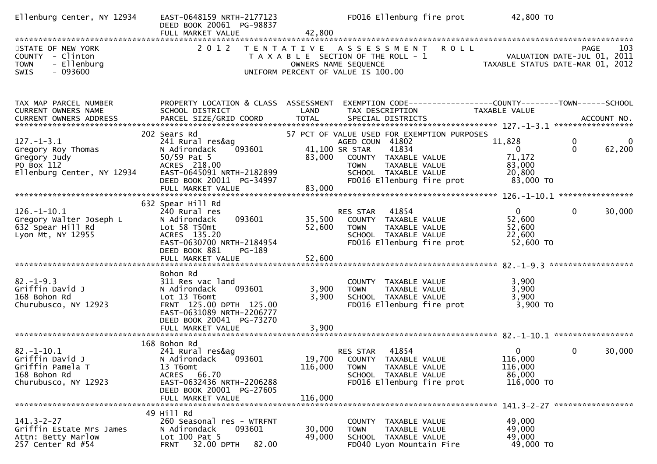| Ellenburg Center, NY 12934                                                                         | EAST-0648159 NRTH-2177123<br>DEED BOOK 20061 PG-98837<br>FULL MARKET VALUE                                                                                                      | 42,800                     | FD016 Ellenburg fire prot                                                                                                                                                                              | 42,800 TO                                                           |                                              |
|----------------------------------------------------------------------------------------------------|---------------------------------------------------------------------------------------------------------------------------------------------------------------------------------|----------------------------|--------------------------------------------------------------------------------------------------------------------------------------------------------------------------------------------------------|---------------------------------------------------------------------|----------------------------------------------|
| STATE OF NEW YORK<br>COUNTY - Clinton<br>- Ellenburg<br><b>TOWN</b><br>$-093600$<br>SWIS           | 2 0 1 2                                                                                                                                                                         |                            | TENTATIVE ASSESSMENT<br><b>ROLL</b><br>T A X A B L E SECTION OF THE ROLL - 1<br>OWNERS NAME SEQUENCE<br>UNIFORM PERCENT OF VALUE IS 100.00                                                             | VALUATION DATE-JUL 01, 2011<br>TAXABLE STATUS DATE-MAR 01, 2012     | 103<br><b>PAGE</b>                           |
| TAX MAP PARCEL NUMBER<br>CURRENT OWNERS NAME                                                       | PROPERTY LOCATION & CLASS ASSESSMENT<br>SCHOOL DISTRICT                                                                                                                         | LAND                       | EXEMPTION CODE------------------COUNTY--------TOWN------SCHOOL<br>TAX DESCRIPTION                                                                                                                      | TAXABLE VALUE                                                       |                                              |
| $127. - 1 - 3.1$<br>Gregory Roy Thomas<br>Gregory Judy<br>PO Box 112<br>Ellenburg Center, NY 12934 | 202 Sears Rd<br>241 Rural res&ag<br>093601<br>N Adirondack<br>$50/59$ Pat 5<br>ACRES 218.00<br>EAST-0645091 NRTH-2182899<br>DEED BOOK 20011 PG-34997<br>FULL MARKET VALUE       | 83,000<br>83,000           | 57 PCT OF VALUE USED FOR EXEMPTION PURPOSES<br>AGED COUN 41802<br>41,100 SR STAR<br>41834<br>COUNTY TAXABLE VALUE<br>TAXABLE VALUE<br><b>TOWN</b><br>SCHOOL TAXABLE VALUE<br>FD016 Ellenburg fire prot | 11,828<br>$\overline{0}$<br>71,172<br>83,000<br>20,800<br>83,000 TO | 0<br>0<br>$\Omega$<br>62,200                 |
| $126. - 1 - 10.1$<br>Gregory Walter Joseph L<br>632 Spear Hill Rd<br>Lyon Mt, NY 12955             | 632 Spear Hill Rd<br>240 Rural res<br>093601<br>N Adirondack<br>Lot 58 T50mt<br>ACRES 135.20<br>EAST-0630700 NRTH-2184954<br>DEED BOOK 881<br>PG-189<br>FULL MARKET VALUE       | 35,500<br>52,600<br>52,600 | 41854<br>RES STAR<br>COUNTY TAXABLE VALUE<br><b>TOWN</b><br>TAXABLE VALUE<br>SCHOOL TAXABLE VALUE<br>FD016 Ellenburg fire prot                                                                         | $\mathbf{0}$<br>52,600<br>52,600<br>22,600<br>52,600 TO             | $\mathbf{0}$<br>30,000<br>****************** |
| $82. - 1 - 9.3$<br>Griffin David J<br>168 Bohon Rd<br>Churubusco, NY 12923                         | Bohon Rd<br>311 Res vac land<br>N Adirondack<br>093601<br>Lot 13 T6omt<br>FRNT 125.00 DPTH 125.00<br>EAST-0631089 NRTH-2206777<br>DEED BOOK 20041 PG-73270<br>FULL MARKET VALUE | 3,900<br>3,900<br>3,900    | COUNTY TAXABLE VALUE<br>TAXABLE VALUE<br><b>TOWN</b><br>SCHOOL TAXABLE VALUE<br>FD016 Ellenburg fire prot                                                                                              | 3,900<br>3,900<br>3,900<br>3,900 TO                                 |                                              |
| $82. - 1 - 10.1$<br>Griffin David J<br>Griffin Pamela T<br>168 Bohon Rd<br>Churubusco, NY 12923    | 168 Bohon Rd<br>241 Rural res&ag<br>093601<br>N Adirondack<br>13 T6omt<br>ACRES 66.70<br>EAST-0632436 NRTH-2206288<br>DEED BOOK 20001 PG-27605<br>FULL MARKET VALUE             | 116,000<br>116,000         | 41854<br>RES STAR<br>19,700 COUNTY TAXABLE VALUE<br><b>TOWN</b><br>TAXABLE VALUE<br>SCHOOL TAXABLE VALUE<br>FD016 Ellenburg fire prot                                                                  | $\overline{0}$<br>116,000<br>116,000<br>86,000<br>116,000 TO        | 30,000<br>$\Omega$                           |
| $141.3 - 2 - 27$<br>Griffin Estate Mrs James<br>Attn: Betty Marlow<br>257 Center Rd #54            | 49 Hill Rd<br>260 Seasonal res - WTRFNT<br>N Adirondack<br>093601<br>Lot 100 Pat 5<br>32.00 DPTH<br>82.00<br><b>FRNT</b>                                                        | 30,000<br>49,000           | COUNTY TAXABLE VALUE<br>TAXABLE VALUE<br><b>TOWN</b><br>SCHOOL TAXABLE VALUE<br>FD040 Lyon Mountain Fire                                                                                               | 49,000<br>49,000<br>49,000<br>49,000 TO                             |                                              |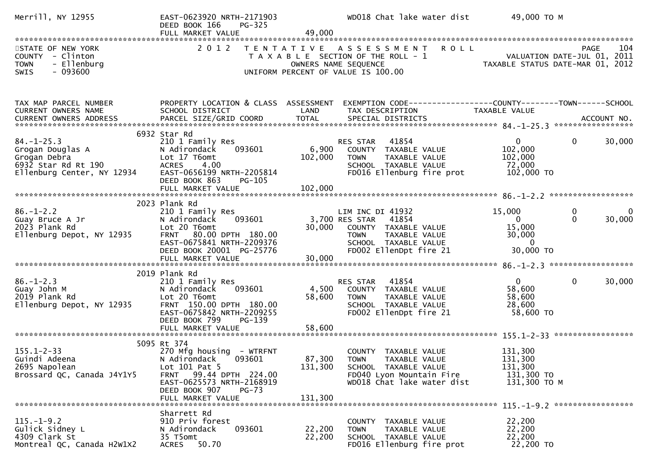| Merrill, NY 12955                                                                                         | EAST-0623920 NRTH-2171903<br>DEED BOOK 166<br><b>PG-325</b><br>FULL MARKET VALUE                                                                                                                     | 49,000             | WD018 Chat lake water dist                                                                                                                                                                 | 49,000 TO M                                                           |                                                     |
|-----------------------------------------------------------------------------------------------------------|------------------------------------------------------------------------------------------------------------------------------------------------------------------------------------------------------|--------------------|--------------------------------------------------------------------------------------------------------------------------------------------------------------------------------------------|-----------------------------------------------------------------------|-----------------------------------------------------|
| STATE OF NEW YORK<br>COUNTY - Clinton<br><b>TOWN</b><br>- Ellenburg<br>$-093600$<br><b>SWIS</b>           |                                                                                                                                                                                                      |                    | 2012 TENTATIVE ASSESSMENT ROLL<br>T A X A B L E SECTION OF THE ROLL - 1<br>OWNERS NAME SEQUENCE<br>UNIFORM PERCENT OF VALUE IS 100.00                                                      | VALUATION DATE-JUL 01, 2011<br>TAXABLE STATUS DATE-MAR 01, 2012       | 104<br><b>PAGE</b>                                  |
| TAX MAP PARCEL NUMBER<br>CURRENT OWNERS NAME                                                              | PROPERTY LOCATION & CLASS ASSESSMENT<br>SCHOOL DISTRICT                                                                                                                                              | LAND               | EXEMPTION CODE------------------COUNTY--------TOWN------SCHOOL<br>TAX DESCRIPTION                                                                                                          | TAXABLE VALUE                                                         |                                                     |
| $84. - 1 - 25.3$<br>Grogan Douglas A<br>Grogan Debra<br>6932 Star Rd Rt 190<br>Ellenburg Center, NY 12934 | 6932 Star Rd<br>210 1 Family Res<br>N Adirondack<br>093601<br>Lot 17 T6omt<br><b>ACRES</b><br>4.00<br>EAST-0656199 NRTH-2205814<br>DEED BOOK 863<br>PG-105                                           | 6,900<br>102,000   | 41854<br>RES STAR<br>COUNTY TAXABLE VALUE<br><b>TOWN</b><br>TAXABLE VALUE<br>SCHOOL TAXABLE VALUE<br>FD016 Ellenburg fire prot                                                             | $\overline{0}$<br>102,000<br>102,000<br>72,000<br>102,000 TO          | 0<br>30,000                                         |
| $86. - 1 - 2.2$<br>Guay Bruce A Jr<br>2023 Plank Rd<br>Ellenburg Depot, NY 12935                          | 2023 Plank Rd<br>210 1 Family Res<br>093601<br>N Adirondack<br>Lot 20 T6omt<br>FRNT 80.00 DPTH 180.00<br>EAST-0675841 NRTH-2209376<br>DEED BOOK 20001 PG-25776                                       |                    | LIM INC DI 41932<br>41854<br>3,700 RES STAR<br>30,000 COUNTY TAXABLE VALUE<br><b>TOWN</b><br>TAXABLE VOLL<br>TAXABLE VALUE<br>ALLE VALUE<br>SCHOOL TAXABLE VALUE<br>FD002 EllenDpt fire 21 | 15,000<br>$\Omega$<br>15,000<br>30,000<br>$\overline{0}$<br>30,000 TO | $\mathbf 0$<br>$\overline{0}$<br>$\Omega$<br>30,000 |
| $86. - 1 - 2.3$<br>Guay John M<br>2019 Plank Rd<br>Ellenburg Depot, NY 12935                              | 2019 Plank Rd<br>210 1 Family Res<br>093601<br>N Adirondack<br>Lot 20 T6omt<br>FRNT 150.00 DPTH 180.00<br>EAST-0675842 NRTH-2209255<br>DEED BOOK 799<br>PG-139                                       | 4,500<br>58,600    | 41854<br>RES STAR<br>COUNTY TAXABLE VALUE<br>TAXABLE VALUE<br><b>TOWN</b><br>SCHOOL TAXABLE VALUE<br>FD002 EllenDpt fire 21                                                                | 0<br>58,600<br>58,600<br>28,600<br>58,600 TO                          | $\mathbf 0$<br>30,000                               |
| $155.1 - 2 - 33$<br>Guindi Adeena<br>2695 Napolean<br>Brossard QC, Canada J4Y1Y5                          | 5095 Rt 374<br>270 Mfg housing - WTRFNT<br>N Adirondack<br>093601<br>Lot $101$ Pat 5<br>99.44 DPTH 224.00<br><b>FRNT</b><br>EAST-0625573 NRTH-2168919<br>DEED BOOK 907<br>PG-73<br>FULL MARKET VALUE | 131,300<br>131,300 | COUNTY TAXABLE VALUE<br>87,300 TOWN<br>TAXABLE VALUE<br>SCHOOL TAXABLE VALUE<br>FD040 Lyon Mountain Fire<br>WD018 Chat lake water dist                                                     | 131,300<br>131,300<br>131,300<br>131,300 TO<br>131,300 ТО М           |                                                     |
| $115.-1-9.2$<br>Gulick Sidney L<br>4309 Clark St<br>Montreal QC, Canada H2W1X2                            | Sharrett Rd<br>910 Priv forest<br>N Adirondack<br>093601<br>35 T5omt<br><b>ACRES</b><br>50.70                                                                                                        | 22,200<br>22,200   | COUNTY TAXABLE VALUE<br>TAXABLE VALUE<br><b>TOWN</b><br>SCHOOL TAXABLE VALUE<br>FD016 Ellenburg fire prot                                                                                  | 22,200<br>22,200<br>22,200<br>22,200 TO                               |                                                     |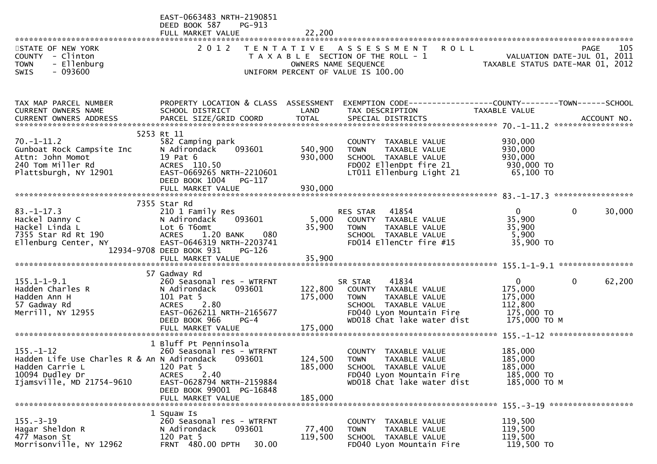| STATE OF NEW YORK<br>COUNTY - Clinton<br>- Ellenburg<br><b>TOWN</b><br>$-093600$<br><b>SWIS</b>                                   | EAST-0663483 NRTH-2190851<br>DEED BOOK 587<br>PG-913<br>FULL MARKET VALUE                                                                                                                   | 22,200                             | 2012 TENTATIVE ASSESSMENT ROLL<br>T A X A B L E SECTION OF THE ROLL - 1<br>OWNERS NAME SEQUENCE<br>OWNERS NAME STATUS DATE-MAR 01, 2012<br>UNIFORM PERCENT OF VALUE IS 100.00 |                                                                             | 105<br><b>PAGE</b>                 |
|-----------------------------------------------------------------------------------------------------------------------------------|---------------------------------------------------------------------------------------------------------------------------------------------------------------------------------------------|------------------------------------|-------------------------------------------------------------------------------------------------------------------------------------------------------------------------------|-----------------------------------------------------------------------------|------------------------------------|
| TAX MAP PARCEL NUMBER<br>CURRENT OWNERS NAME                                                                                      | PROPERTY LOCATION & CLASS ASSESSMENT<br>SCHOOL DISTRICT                                                                                                                                     | LAND                               | EXEMPTION CODE------------------COUNTY--------TOWN------SCHOOL<br>TAX DESCRIPTION                                                                                             | TAXABLE VALUE                                                               |                                    |
| $70. - 1 - 11.2$<br>Gunboat Rock Campsite Inc<br>Attn: John Momot<br>240 Tom Miller Rd<br>Plattsburgh, NY 12901                   | 5253 Rt 11<br>582 Camping park<br>N Adirondack<br>093601<br>19 Pat 6<br>ACRES 110.50<br>EAST-0669265 NRTH-2210601<br>DEED BOOK 1004<br>PG-117<br>FULL MARKET VALUE                          | 540,900<br>930,000<br>930,000      | COUNTY TAXABLE VALUE<br>TAXABLE VALUE<br><b>TOWN</b><br>SCHOOL TAXABLE VALUE<br>FD002 EllenDpt fire 21<br>LT011 Ellenburg Light 21                                            | 930,000<br>930,000<br>930,000<br>930,000 TO<br>65,100 TO                    |                                    |
| $83. - 1 - 17.3$<br>Hackel Danny C<br>Hackel Linda L<br>7355 Star Rd Rt 190<br>Ellenburg Center, NY                               | 7355 Star Rd<br>210 1 Family Res<br>093601<br>N Adirondack<br>Lot 6 T6omt<br>ACRES 1.20 BANK<br>080<br>EAST-0646319 NRTH-2203741<br>12934-9708 DEED BOOK 931<br>PG-126<br>FULL MARKET VALUE | 35,900<br>35,900                   | RES STAR 41854<br>5,000 COUNTY TAXABLE VALUE<br><b>TOWN</b><br>TAXABLE VALUE<br>SCHOOL TAXABLE VALUE<br>FD014 EllenCtr fire #15                                               | $\mathbf{0}$<br>35,900<br>35,900<br>5,900<br>35,900 TO                      | $\mathbf{0}$<br>30,000             |
| $155.1 - 1 - 9.1$<br>Hadden Charles R<br>Hadden Ann H<br>57 Gadway Rd<br>Merrill, NY 12955                                        | 57 Gadway Rd<br>260 Seasonal res - WTRFNT<br>093601<br>N Adirondack<br>101 Pat 5<br>ACRES 2.80<br>EAST-0626211 NRTH-2165677<br>DEED BOOK 966<br>$PG-4$<br>FULL MARKET VALUE                 | 122,800<br>175,000<br>175,000      | 41834<br>SR STAR<br>COUNTY TAXABLE VALUE<br><b>TOWN</b><br>TAXABLE VALUE<br>SCHOOL TAXABLE VALUE<br>FD040 Lyon Mountain Fire<br>WD018 Chat lake water dist                    | $\mathbf{0}$<br>175,000<br>175,000<br>112,800<br>175,000 TO<br>175,000 ТО М | $\mathbf{0}$<br>62,200             |
| $155. - 1 - 12$<br>Hadden Life Use Charles R & An N Adirondack<br>Hadden Carrie L<br>10094 Dudley Dr<br>Ijamsville, MD 21754-9610 | 1 Bluff Pt Penninsola<br>260 Seasonal res - WTRFNT<br>093601<br>120 Pat 5<br>2.40<br><b>ACRES</b><br>EAST-0628794 NRTH-2159884<br>DEED BOOK 99001 PG-16848<br>FULL MARKET VALUE             | 124,500 TOWN<br>185,000<br>185,000 | COUNTY TAXABLE VALUE<br>TAXABLE VALUE<br>SCHOOL TAXABLE VALUE<br>FD040 Lyon Mountain Fire<br>WD018 Chat lake water dist                                                       | 185,000<br>185,000<br>185,000<br>185,000 TO<br>185,000 TO M                 | $155 - 3 - 19$ ******************* |
| $155. - 3 - 19$<br>Hagar Sheldon R<br>477 Mason St<br>Morrisonville, NY 12962                                                     | 1 Squaw Is<br>260 Seasonal res - WTRFNT<br>N Adirondack<br>093601<br>120 Pat 5<br>FRNT 480.00 DPTH<br>30.00                                                                                 | 77,400<br>119,500                  | COUNTY TAXABLE VALUE<br>TAXABLE VALUE<br><b>TOWN</b><br>SCHOOL TAXABLE VALUE<br>FD040 Lyon Mountain Fire                                                                      | 119,500<br>119,500<br>119,500<br>119,500 TO                                 |                                    |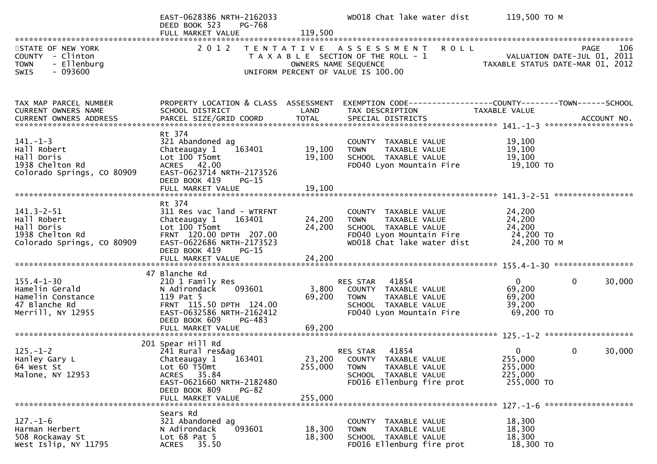|                                                                                                             | EAST-0628386 NRTH-2162033<br>DEED BOOK 523<br>PG-768<br>FULL MARKET VALUE                                                                                                             | 119,500                    | WD018 Chat lake water dist                                                                                                            | 119,500 ТО М                                                                |             |
|-------------------------------------------------------------------------------------------------------------|---------------------------------------------------------------------------------------------------------------------------------------------------------------------------------------|----------------------------|---------------------------------------------------------------------------------------------------------------------------------------|-----------------------------------------------------------------------------|-------------|
| STATE OF NEW YORK<br>COUNTY - Clinton<br><b>TOWN</b><br>- Ellenburg<br>$-093600$<br>SWIS                    |                                                                                                                                                                                       | OWNERS NAME SEQUENCE       | 2012 TENTATIVE ASSESSMENT ROLL<br>T A X A B L E SECTION OF THE ROLL - 1<br>UNIFORM PERCENT OF VALUE IS 100.00                         | ROLL - 1 November 2011<br>TAXABLE STATUS DATE-JUL 01, 2011<br>Co            | 106<br>PAGE |
| TAX MAP PARCEL NUMBER<br>CURRENT OWNERS NAME                                                                | SCHOOL DISTRICT                                                                                                                                                                       | LAND                       | PROPERTY LOCATION & CLASS ASSESSMENT EXEMPTION CODE----------------COUNTY-------TOWN------SCHOOL<br>TAX DESCRIPTION                   | TAXABLE VALUE                                                               |             |
| $141. - 1 - 3$<br>Hall Robert<br>Hall Doris<br>1938 Chelton Rd<br>Colorado Springs, CO 80909                | Rt 374<br>321 Abandoned ag<br>163401<br>Chateaugay 1<br>Lot 100 T5omt<br>ACRES 42.00<br>EAST-0623714 NRTH-2173526<br>DEED BOOK 419<br>$PG-15$<br>FULL MARKET VALUE                    | 19,100<br>19,100<br>19,100 | COUNTY TAXABLE VALUE<br><b>TOWN</b><br>TAXABLE VALUE<br>SCHOOL TAXABLE VALUE<br>FD040 Lyon Mountain Fire                              | 19,100<br>19,100<br>19,100<br>19,100 TO                                     |             |
| $141.3 - 2 - 51$<br>Hall Robert<br>Hall Doris<br>1938 Chelton Rd<br>Colorado Springs, CO 80909              | Rt 374<br>311 Res vac land - WTRFNT<br>Chateaugay 1<br>163401<br>Lot 100 T5omt<br>FRNT 120.00 DPTH 207.00<br>EAST-0622686 NRTH-2173523<br>DEED BOOK 419<br>PG-15<br>FULL MARKET VALUE | 24,200<br>24,200<br>24,200 | COUNTY TAXABLE VALUE<br>TAXABLE VALUE<br>TOWN<br>SCHOOL TAXABLE VALUE<br>FD040 Lyon Mountain Fire<br>WD018 Chat lake water dist       | 24,200<br>24,200<br>24,200<br>24,200 TO<br>24,200 TO M                      |             |
| $155.4 - 1 - 30$<br>Hamelin Gerald<br>Hamelin Constance<br>"Innche Rd<br>47 Blanche Rd<br>Merrill, NY 12955 | 47 Blanche Rd<br>210 1 Family Res<br>093601<br>N Adirondack<br>119 Pat 5<br>FRNT 115.50 DPTH 124.00<br>EAST-0632586 NRTH-2162412<br>DEED BOOK 609<br>PG-483                           | 3,800<br>69,200            | RES STAR<br>41854<br>COUNTY TAXABLE VALUE<br><b>TOWN</b><br>TAXABLE VALUE<br>SCHOOL TAXABLE VALUE<br>FD040 Lyon Mountain Fire         | $\mathbf{0}$<br>$\Omega$<br>69,200<br>69,200<br>39,200<br>69,200 TO         | 30,000      |
| $125. - 1 - 2$<br>Hanley Gary L<br>64 West St<br>Malone, NY 12953                                           | 201 Spear Hill Rd<br>241 Rural res&ag<br>Chateaugay 1<br>163401<br>Lot $60$ T50 $m$ t<br>ACRES 35.84<br>EAST-0621660 NRTH-2182480<br>DEED BOOK 809<br>$PG-82$<br>FULL MARKET VALUE    | 255,000<br>255,000         | 41854<br>RES STAR<br>23,200 COUNTY TAXABLE VALUE<br>TAXABLE VALUE<br><b>TOWN</b><br>SCHOOL TAXABLE VALUE<br>FD016 Ellenburg fire prot | $\mathbf{0}$<br>$\mathbf{0}$<br>255,000<br>255,000<br>225,000<br>255,000 TO | 30,000      |
| $127. - 1 - 6$<br>Harman Herbert<br>508 Rockaway St<br>West Islip, NY 11795                                 | Sears Rd<br>321 Abandoned ag<br>N Adirondack<br>093601<br>Lot $68$ Pat $5$<br>35.50<br><b>ACRES</b>                                                                                   | 18,300<br>18,300           | COUNTY<br>TAXABLE VALUE<br><b>TOWN</b><br>TAXABLE VALUE<br>SCHOOL TAXABLE VALUE<br>FD016 Ellenburg fire prot                          | 18,300<br>18,300<br>18,300<br>18,300 TO                                     |             |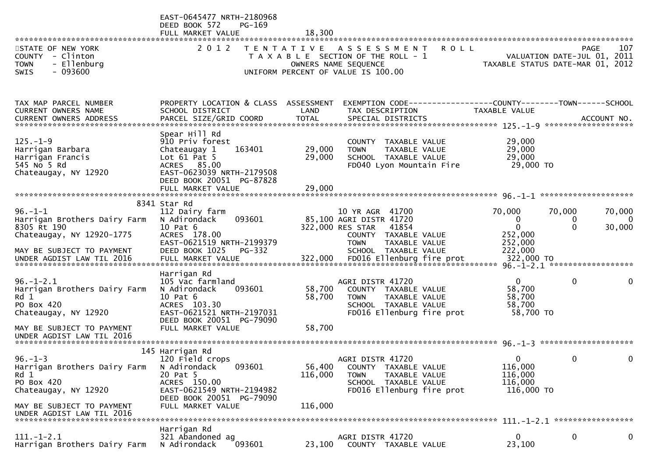| STATE OF NEW YORK<br>COUNTY - Clinton<br><b>TOWN</b><br>- Ellenburg<br>$-093600$<br><b>SWIS</b>                            | EAST-0645477 NRTH-2180968<br>DEED BOOK 572<br>PG-169<br>FULL MARKET VALUE<br>2 0 1 2                                                                                | 18,300                     | TENTATIVE ASSESSMENT<br><b>ROLL</b><br>T A X A B L E SECTION OF THE ROLL - 1<br>OWNERS NAME SEQUENCE<br>UNIFORM PERCENT OF VALUE IS 100.00              | TAXABLE STATUS DATE-MAR 01, 2012                                    | VALUATION DATE-JUL 01, 2011 | 107<br><b>PAGE</b>                 |
|----------------------------------------------------------------------------------------------------------------------------|---------------------------------------------------------------------------------------------------------------------------------------------------------------------|----------------------------|---------------------------------------------------------------------------------------------------------------------------------------------------------|---------------------------------------------------------------------|-----------------------------|------------------------------------|
| TAX MAP PARCEL NUMBER<br>CURRENT OWNERS NAME                                                                               | PROPERTY LOCATION & CLASS ASSESSMENT<br>SCHOOL DISTRICT                                                                                                             | LAND                       | EXEMPTION CODE-----------------COUNTY--------TOWN------SCHOOL<br>TAX DESCRIPTION                                                                        | TAXABLE VALUE                                                       |                             |                                    |
| $125. - 1 - 9$<br>Harrigan Barbara<br>Harrigan Francis<br>545 No 5 Rd<br>Chateaugay, NY 12920                              | Spear Hill Rd<br>910 Priv forest<br>Chateaugay 1<br>163401<br>Lot $61$ Pat 5<br>ACRES 85.00<br>EAST-0623039 NRTH-2179508<br>DEED BOOK 20051 PG-87828                | 29,000<br>29,000           | COUNTY TAXABLE VALUE<br>TAXABLE VALUE<br><b>TOWN</b><br>SCHOOL TAXABLE VALUE<br>FD040 Lyon Mountain Fire                                                | 29,000<br>29,000<br>29,000<br>29,000 TO                             |                             |                                    |
| $96. - 1 - 1$<br>Harrigan Brothers Dairy Farm<br>8305 Rt 190<br>Chateaugay, NY 12920-1775<br>MAY BE SUBJECT TO PAYMENT     | 8341 Star Rd<br>112 Dairy farm<br>093601<br>N Adirondack<br>10 Pat 6<br>ACRES 178.00<br>EAST-0621519 NRTH-2199379<br>DEED BOOK 1025<br><b>PG-332</b>                |                            | 10 YR AGR 41700<br>85,100 AGRI DISTR 41720<br>322,000 RES STAR<br>41854<br>COUNTY TAXABLE VALUE<br>TAXABLE VALUE<br><b>TOWN</b><br>SCHOOL TAXABLE VALUE | 70,000<br>$\bf{0}$<br>$\mathbf{0}$<br>252,000<br>252,000<br>222,000 | 70,000<br>0<br>$\Omega$     | 70,000<br>$\overline{0}$<br>30,000 |
| $96. - 1 - 2.1$<br>Harrigan Brothers Dairy Farm<br>Rd 1<br>PO Box 420<br>Chateaugay, NY 12920<br>MAY BE SUBJECT TO PAYMENT | Harrigan Rd<br>105 Vac farmland<br>093601<br>N Adirondack<br>10 Pat 6<br>ACRES 103.30<br>EAST-0621521 NRTH-2197031<br>DEED BOOK 20051 PG-79090<br>FULL MARKET VALUE | 58,700<br>58,700<br>58,700 | AGRI DISTR 41720<br>COUNTY TAXABLE VALUE<br>TAXABLE VALUE<br><b>TOWN</b><br>SCHOOL TAXABLE VALUE<br>FD016 Ellenburg fire prot                           | $\mathbf{0}$<br>58,700<br>58,700<br>58,700<br>58,700 TO             | 0                           | 0                                  |
| UNDER AGDIST LAW TIL 2016                                                                                                  |                                                                                                                                                                     |                            |                                                                                                                                                         |                                                                     |                             |                                    |
| $96. - 1 - 3$<br>Harrigan Brothers Dairy Farm<br>Rd 1<br>PO Box 420<br>Chateaugay, NY 12920                                | 145 Harrigan Rd<br>120 Field crops<br>093601<br>N Adirondack<br>20 Pat 5<br>ACRES 150.00<br>EAST-0621549 NRTH-2194982<br>DEED BOOK 20051 PG-79090                   | 56,400<br>116,000          | AGRI DISTR 41720<br>COUNTY TAXABLE VALUE<br>TAXABLE VALUE<br><b>TOWN</b><br>SCHOOL TAXABLE VALUE<br>FD016 Ellenburg fire prot                           | $\overline{0}$<br>116,000<br>116,000<br>116,000<br>116,000 TO       | 0                           | 0                                  |
| MAY BE SUBJECT TO PAYMENT<br>UNDER AGDIST LAW TIL 2016                                                                     | FULL MARKET VALUE                                                                                                                                                   | 116,000                    |                                                                                                                                                         |                                                                     |                             |                                    |
| $111. - 1 - 2.1$<br>Harrigan Brothers Dairy Farm                                                                           | Harrigan Rd<br>321 Abandoned ag<br>N Adirondack<br>093601                                                                                                           | 23,100                     | AGRI DISTR 41720<br>COUNTY TAXABLE VALUE                                                                                                                | $\mathbf{0}$<br>23,100                                              | 0                           | 0                                  |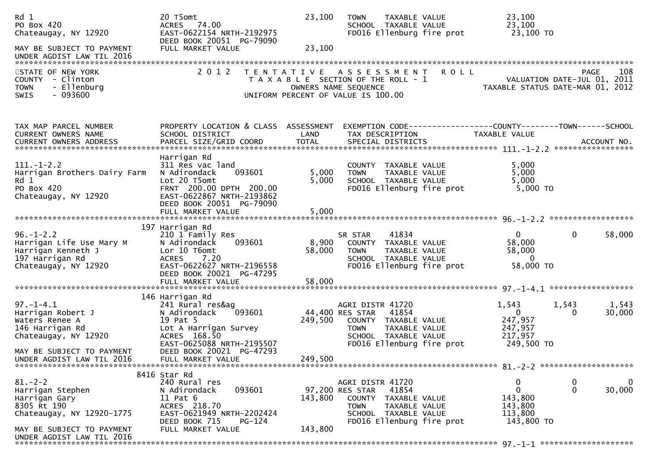| Rd 1<br>PO Box 420<br>Chateaugay, NY 12920<br>MAY BE SUBJECT TO PAYMENT<br>UNDER AGDIST LAW TIL 2016         | 20 T5omt<br>ACRES 74.00<br>EAST-0622154 NRTH-2192975<br>DEED BOOK 20051 PG-79090<br>FULL MARKET VALUE                                                                              | 23,100<br>23,100        | TAXABLE VALUE<br><b>TOWN</b><br>SCHOOL TAXABLE VALUE<br>FD016 Ellenburg fire prot                                                                         |               | 23,100<br>23,100<br>23,100 TO                                                                           |
|--------------------------------------------------------------------------------------------------------------|------------------------------------------------------------------------------------------------------------------------------------------------------------------------------------|-------------------------|-----------------------------------------------------------------------------------------------------------------------------------------------------------|---------------|---------------------------------------------------------------------------------------------------------|
| STATE OF NEW YORK<br>COUNTY - Clinton<br>- Ellenburg<br><b>TOWN</b><br>$-093600$<br><b>SWIS</b>              | 2 0 1 2                                                                                                                                                                            | T E N T A T I V E       | A S S E S S M E N T<br>T A X A B L E SECTION OF THE ROLL - 1<br>OWNERS NAME SEQUENCE<br>UNIFORM PERCENT OF VALUE IS 100.00                                | <b>ROLL</b>   | 108<br>PAGE<br>VALUATION DATE-JUL 01, 2011<br>TAXABLE STATUS DATE-MAR 01, 2012                          |
| TAX MAP PARCEL NUMBER<br>CURRENT OWNERS NAME                                                                 | PROPERTY LOCATION & CLASS ASSESSMENT<br>SCHOOL DISTRICT                                                                                                                            | LAND                    | TAX DESCRIPTION                                                                                                                                           | TAXABLE VALUE | EXEMPTION        CODE-----------------COUNTY-------TOWN------SCHOOL                                     |
| $111. - 1 - 2.2$<br>Harrigan Brothers Dairy Farm<br>Rd 1<br>PO Box 420<br>Chateaugay, NY 12920               | Harrigan Rd<br>311 Res vac land<br>093601<br>N Adirondack<br>Lot 20 T5omt<br>FRNT 200.00 DPTH 200.00<br>EAST-0622867 NRTH-2193862<br>DEED BOOK 20051 PG-79090<br>FULL MARKET VALUE | 5,000<br>5,000<br>5,000 | COUNTY TAXABLE VALUE<br>TAXABLE VALUE<br><b>TOWN</b><br>SCHOOL TAXABLE VALUE<br>FD016 Ellenburg fire prot                                                 |               | 5,000<br>5,000<br>5,000<br>$5,000$ TO                                                                   |
|                                                                                                              |                                                                                                                                                                                    |                         |                                                                                                                                                           |               |                                                                                                         |
| $96. - 1 - 2.2$<br>Harrigan Life Use Mary M<br>Harrigan Kenneth J<br>197 Harrigan Rd<br>Chateaugay, NY 12920 | 197 Harrigan Rd<br>210 1 Family Res<br>N Adirondack<br>093601<br>Lor 10 T6omt<br><b>ACRES</b><br>7.20<br>EAST-0622627 NRTH-2196558<br>DEED BOOK 20021 PG-47295                     | 8,900<br>58,000         | 41834<br>SR STAR<br>COUNTY TAXABLE VALUE<br><b>TOWN</b><br>TAXABLE VALUE<br>SCHOOL TAXABLE VALUE<br>FD016 Ellenburg fire prot                             |               | $\mathbf{0}$<br>0<br>58,000<br>58,000<br>58,000<br>$\overline{0}$<br>58,000 TO                          |
|                                                                                                              | FULL MARKET VALUE                                                                                                                                                                  | 58,000                  |                                                                                                                                                           |               |                                                                                                         |
| $97. - 1 - 4.1$<br>Harrigan Robert J<br>Waters Renee A<br>146 Harrigan Rd<br>Chateaugay, NY 12920            | 146 Harrigan Rd<br>241 Rural res&ag<br>093601<br>N Adirondack<br>19 Pat 5<br>Lot A Harrigan Survey<br>ACRES 168.50<br>EAST-0625088 NRTH-2195507                                    | 249,500                 | AGRI DISTR 41720<br>44,400 RES STAR<br>41854<br>COUNTY TAXABLE VALUE<br><b>TOWN</b><br>TAXABLE VALUE<br>SCHOOL TAXABLE VALUE<br>FD016 Ellenburg fire prot |               | 1,543<br>1,543<br>1,543<br>$\overline{0}$<br>30,000<br>0<br>247,957<br>247,957<br>217,957<br>249,500 TO |
| MAY BE SUBJECT TO PAYMENT<br>UNDER AGDIST LAW TIL 2016                                                       | DEED BOOK 20021 PG-47293<br>FULL MARKET VALUE                                                                                                                                      | 249,500                 |                                                                                                                                                           |               |                                                                                                         |
| $81 - 2 - 2$<br>Harrigan Stephen<br>Harrigan Gary<br>8305 Rt 190<br>Chateaugay, NY 12920-1775                | 8416 Star Rd<br>240 Rural res<br>N Adirondack<br>093601<br>11 Pat 6<br>ACRES 218.70<br>EAST-0621949 NRTH-2202424<br>DEED BOOK 715<br>PG-124                                        | 143,800                 | AGRI DISTR 41720<br>97,200 RES STAR<br>41854<br>COUNTY TAXABLE VALUE<br>TAXABLE VALUE<br><b>TOWN</b><br>SCHOOL TAXABLE VALUE<br>FD016 Ellenburg fire prot |               | 0<br>0<br>0<br>$\mathbf 0$<br>$\mathbf 0$<br>30,000<br>143,800<br>143,800<br>113,800<br>143,800 TO      |
| MAY BE SUBJECT TO PAYMENT<br>UNDER AGDIST LAW TIL 2016                                                       | FULL MARKET VALUE                                                                                                                                                                  | 143,800                 |                                                                                                                                                           |               |                                                                                                         |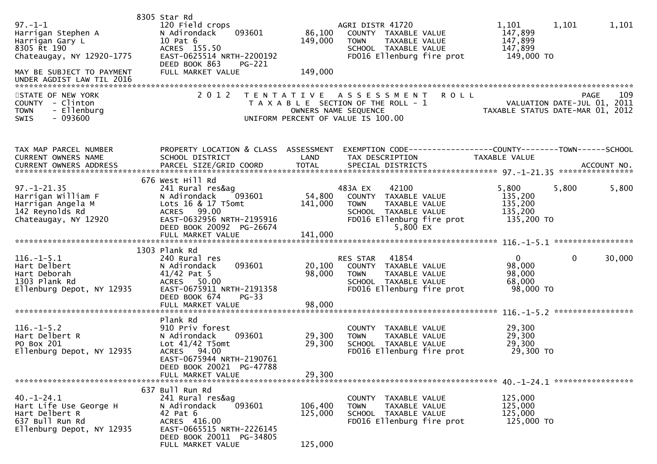| $97. - 1 - 1$<br>Harrigan Stephen A<br>Harrigan Gary L<br>8305 Rt 190<br>Chateaugay, NY 12920-1775<br>MAY BE SUBJECT TO PAYMENT<br>UNDER AGDIST LAW TIL 2016 | 8305 Star Rd<br>120 Field crops<br>093601<br>N Adirondack<br>10 Pat 6<br>ACRES 155.50<br>EAST-0625514 NRTH-2200192<br>DEED BOOK 863<br>PG-221<br>FULL MARKET VALUE      | AGRI DISTR 41720<br>86,100<br>149,000<br><b>TOWN</b><br>149,000                                                                                 | COUNTY TAXABLE VALUE<br>TAXABLE VALUE<br>SCHOOL TAXABLE VALUE<br>FD016 Ellenburg fire prot                        | 1,101<br>1,101<br>147,899<br>147,899<br>147,899<br>149,000 TO                  | 1,101       |
|--------------------------------------------------------------------------------------------------------------------------------------------------------------|-------------------------------------------------------------------------------------------------------------------------------------------------------------------------|-------------------------------------------------------------------------------------------------------------------------------------------------|-------------------------------------------------------------------------------------------------------------------|--------------------------------------------------------------------------------|-------------|
| STATE OF NEW YORK<br>COUNTY - Clinton<br><b>TOWN</b><br>- Ellenburg<br>$-093600$<br><b>SWIS</b>                                                              | 2 0 1 2                                                                                                                                                                 | T E N T A T I V E<br>A S S E S S M E N T<br>T A X A B L E SECTION OF THE ROLL - 1<br>OWNERS NAME SEQUENCE<br>UNIFORM PERCENT OF VALUE IS 100.00 | <b>ROLL</b>                                                                                                       | VALUATION DATE-JUL 01, 2011<br>TAXABLE STATUS DATE-MAR 01, 2012                | 109<br>PAGE |
| TAX MAP PARCEL NUMBER<br>CURRENT OWNERS NAME                                                                                                                 | PROPERTY LOCATION & CLASS ASSESSMENT<br>SCHOOL DISTRICT                                                                                                                 | LAND<br>TAX DESCRIPTION                                                                                                                         |                                                                                                                   | EXEMPTION CODE-----------------COUNTY--------TOWN------SCHOOL<br>TAXABLE VALUE |             |
| $97. - 1 - 21.35$<br>Harrigan William F<br>Harrigan Angela M<br>142 Reynolds Rd<br>Chateaugay, NY 12920                                                      | 676 West Hill Rd<br>241 Rural res&ag<br>N Adirondack<br>093601<br>Lots 16 & 17 T5omt<br>ACRES 99.00<br>EAST-0632956 NRTH-2195916<br>DEED BOOK 20092 PG-26674            | 483A EX<br>54,800<br>141,000<br><b>TOWN</b>                                                                                                     | 42100<br>COUNTY TAXABLE VALUE<br>TAXABLE VALUE<br>SCHOOL TAXABLE VALUE<br>FD016 Ellenburg fire prot<br>$5,800$ EX | 5,800<br>5,800<br>135,200<br>135,200<br>135,200<br>135,200 TO                  | 5,800       |
| $116. - 1 - 5.1$<br>Hart Delbert<br>Hart Deborah<br>1303 Plank Rd<br>Ellenburg Depot, NY 12935                                                               | 1303 Plank Rd<br>240 Rural res<br>093601<br>N Adirondack<br>41/42 Pat 5<br>ACRES 50.00<br>EAST-0675911 NRTH-2191358<br>DEED BOOK 674<br>$PG-33$                         | RES STAR<br>20,100<br>98,000<br><b>TOWN</b>                                                                                                     | 41854<br>COUNTY TAXABLE VALUE<br>TAXABLE VALUE<br>SCHOOL TAXABLE VALUE<br>FD016 Ellenburg fire prot               | $\overline{0}$<br>$\mathbf{0}$<br>98,000<br>98,000<br>68,000<br>98,000 TO      | 30,000      |
| $116. - 1 - 5.2$<br>Hart Delbert R<br>PO Box 201<br>Ellenburg Depot, NY 12935                                                                                | Plank Rd<br>910 Priv forest<br>093601<br>N Adirondack<br>Lot $41/42$ T5omt<br>ACRES 94.00<br>EAST-0675944 NRTH-2190761<br>DEED BOOK 20021 PG-47788<br>FULL MARKET VALUE | 29,300<br><b>TOWN</b><br>29,300<br>29,300                                                                                                       | COUNTY TAXABLE VALUE<br>TAXABLE VALUE<br>SCHOOL TAXABLE VALUE<br>FD016 Ellenburg fire prot                        | 29,300<br>29,300<br>29,300<br>29,300 TO                                        |             |
| 40. -1 -24. 1<br>Hart Life Use George H<br>Hart Delbert R<br>637 Bull Run Rd<br>Ellenburg Depot, NY 12935                                                    | 637 Bull Run Rd<br>241 Rural res&ag<br>093601<br>N Adirondack<br>42 Pat 6<br>ACRES 416.00<br>EAST-0665515 NRTH-2226145<br>DEED BOOK 20011 PG-34805<br>FULL MARKET VALUE | COUNTY<br>106,400<br><b>TOWN</b><br>125,000<br>125,000                                                                                          | TAXABLE VALUE<br>TAXABLE VALUE<br>SCHOOL TAXABLE VALUE<br>FD016 Ellenburg fire prot                               | 125,000<br>125,000<br>125,000<br>125,000 TO                                    |             |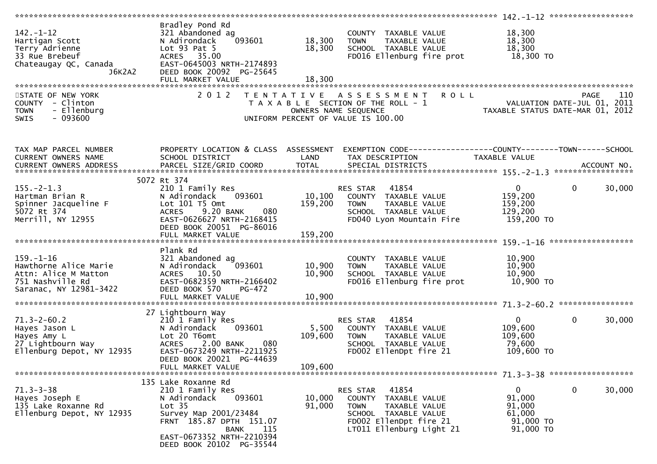| $142. - 1 - 12$<br>Hartigan Scott<br>Terry Adrienne<br>33 Rue Brebeuf<br>Chateaugay QC, Canada<br>J6K2A2       | Bradley Pond Rd<br>321 Abandoned ag<br>093601<br>N Adirondack<br>Lot $93$ Pat $5$<br>ACRES 35.00<br>EAST-0645003 NRTH-2174893<br>DEED BOOK 20092 PG-25645<br>FULL MARKET VALUE                                     | 18,300<br>18,300<br>18,300  | COUNTY TAXABLE VALUE<br><b>TOWN</b><br>TAXABLE VALUE<br>SCHOOL TAXABLE VALUE<br>FD016 Ellenburg fire prot                                               | 18,300<br>18,300<br>18,300<br>18,300 TO                                |                                                   |
|----------------------------------------------------------------------------------------------------------------|--------------------------------------------------------------------------------------------------------------------------------------------------------------------------------------------------------------------|-----------------------------|---------------------------------------------------------------------------------------------------------------------------------------------------------|------------------------------------------------------------------------|---------------------------------------------------|
|                                                                                                                |                                                                                                                                                                                                                    |                             |                                                                                                                                                         |                                                                        |                                                   |
| STATE OF NEW YORK<br>COUNTY - Clinton<br><b>TOWN</b><br>- Ellenburg<br>$-093600$<br><b>SWIS</b>                | 2 0 1 2                                                                                                                                                                                                            |                             | TENTATIVE ASSESSMENT<br><b>ROLL</b><br>T A X A B L E SECTION OF THE ROLL - 1<br>OWNERS NAME SEQUENCE<br>UNIFORM PERCENT OF VALUE IS 100.00              | TAXABLE STATUS DATE-MAR 01, 2012                                       | 110<br><b>PAGE</b><br>VALUATION DATE-JUL 01, 2011 |
| TAX MAP PARCEL NUMBER<br>CURRENT OWNERS NAME                                                                   | PROPERTY LOCATION & CLASS ASSESSMENT<br>SCHOOL DISTRICT                                                                                                                                                            | LAND                        | EXEMPTION CODE-----------------COUNTY--------TOWN------SCHOOL<br>TAX DESCRIPTION                                                                        | TAXABLE VALUE                                                          |                                                   |
|                                                                                                                |                                                                                                                                                                                                                    |                             |                                                                                                                                                         |                                                                        |                                                   |
|                                                                                                                | 5072 Rt 374                                                                                                                                                                                                        |                             |                                                                                                                                                         |                                                                        |                                                   |
| $155. - 2 - 1.3$<br>Hartman Brian R<br>Spinner Jacqueline F<br>5072 Rt 374<br>Merrill, NY 12955                | 210 1 Family Res<br>N Adirondack<br>093601<br>Lot 101 T5 Omt<br><b>ACRES</b><br>9.20 BANK<br>080<br>EAST-0626627 NRTH-2168415<br>DEED BOOK 20051 PG-86016                                                          | 10, 100<br>159,200          | 41854<br>RES STAR<br>COUNTY TAXABLE VALUE<br><b>TOWN</b><br>TAXABLE VALUE<br>SCHOOL TAXABLE VALUE<br>FD040 Lyon Mountain Fire                           | $\mathbf{0}$<br>159,200<br>159,200<br>129,200<br>159,200 TO            | $\mathbf 0$<br>30,000                             |
|                                                                                                                |                                                                                                                                                                                                                    |                             |                                                                                                                                                         |                                                                        |                                                   |
| $159. - 1 - 16$<br>Hawthorne Alice Marie<br>Attn: Alice M Matton<br>751 Nashville Rd<br>Saranac, NY 12981-3422 | Plank Rd<br>321 Abandoned ag<br>N Adirondack<br>093601<br>ACRES 10.50<br>EAST-0682359 NRTH-2166402<br>DEED BOOK 570<br>PG-472                                                                                      | 10,900<br>10,900            | COUNTY TAXABLE VALUE<br><b>TAXABLE VALUE</b><br><b>TOWN</b><br>SCHOOL TAXABLE VALUE<br>FD016 Ellenburg fire prot                                        | 10,900<br>10,900<br>10,900<br>10,900 TO                                |                                                   |
|                                                                                                                | 27 Lightbourn Way                                                                                                                                                                                                  |                             |                                                                                                                                                         |                                                                        |                                                   |
| $71.3 - 2 - 60.2$<br>Hayes Jason L<br>Hayes Amy L<br>27 Lightbourn Way<br>Ellenburg Depot, NY 12935            | 210 1 Family Res<br>093601<br>N Adirondack<br>Lot 20 T6omt<br><b>ACRES</b><br>2.00 BANK<br>080<br>EAST-0673249 NRTH-2211925<br>DEED BOOK 20021 PG-44639<br>FULL MARKET VALUE                                       | 5,500<br>109,600<br>109,600 | 41854<br><b>RES STAR</b><br>COUNTY TAXABLE VALUE<br>TAXABLE VALUE<br>TOWN<br>SCHOOL TAXABLE VALUE<br>FD002 EllenDpt fire 21                             | $\mathbf{0}$<br>109,600<br>109,600<br>79,600<br>109,600 TO             | $\mathbf 0$<br>30,000                             |
|                                                                                                                |                                                                                                                                                                                                                    |                             |                                                                                                                                                         |                                                                        |                                                   |
| $71.3 - 3 - 38$<br>Hayes Joseph E<br>135 Lake Roxanne Rd<br>Ellenburg Depot, NY 12935                          | 135 Lake Roxanne Rd<br>210 1 Family Res<br>093601<br>N Adirondack<br>Lot <sub>35</sub><br>Survey Map 2001/23484<br>FRNT 185.87 DPTH 151.07<br>115<br>BANK<br>EAST-0673352 NRTH-2210394<br>DEED BOOK 20102 PG-35544 | 10,000<br>91,000            | 41854<br>RES STAR<br>COUNTY TAXABLE VALUE<br><b>TOWN</b><br>TAXABLE VALUE<br>SCHOOL TAXABLE VALUE<br>FD002 EllenDpt fire 21<br>LT011 Ellenburg Light 21 | $\overline{0}$<br>91,000<br>91,000<br>61,000<br>91,000 TO<br>91,000 TO | 0<br>30,000                                       |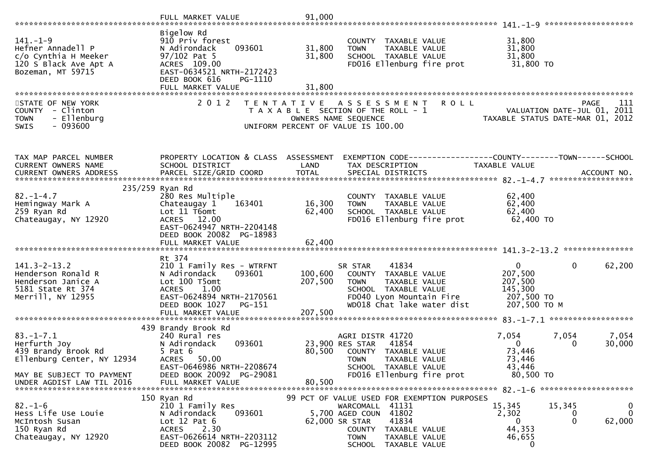|                                                                                                           | FULL MARKET VALUE                                                                                                                                                       | 91,000                     |                                                                                                                                                                                                       |                                                                             |                                                           |
|-----------------------------------------------------------------------------------------------------------|-------------------------------------------------------------------------------------------------------------------------------------------------------------------------|----------------------------|-------------------------------------------------------------------------------------------------------------------------------------------------------------------------------------------------------|-----------------------------------------------------------------------------|-----------------------------------------------------------|
| $141. - 1 - 9$<br>Hefner Annadell P<br>c/o Cynthia H Meeker<br>120 S Black Ave Apt A<br>Bozeman, MT 59715 | Bigelow Rd<br>910 Priv forest<br>093601<br>N Adirondack<br>$97/102$ Pat 5<br>ACRES 109.00<br>EAST-0634521 NRTH-2172423<br>DEED BOOK 616<br>PG-1110<br>FULL MARKET VALUE | 31,800<br>31,800<br>31,800 | COUNTY TAXABLE VALUE<br><b>TOWN</b><br>TAXABLE VALUE<br>SCHOOL TAXABLE VALUE<br>FD016 Ellenburg fire prot                                                                                             | 31,800<br>31,800<br>31,800<br>31,800 TO                                     |                                                           |
|                                                                                                           |                                                                                                                                                                         |                            |                                                                                                                                                                                                       |                                                                             |                                                           |
| STATE OF NEW YORK<br>COUNTY - Clinton<br>- Ellenburg<br><b>TOWN</b><br>$-093600$<br>SWIS                  | 2 0 1 2                                                                                                                                                                 | T E N T A T I V E          | <b>ROLL</b><br>A S S E S S M E N T<br>T A X A B L E SECTION OF THE ROLL - 1<br>OWNERS NAME SEQUENCE<br>UNIFORM PERCENT OF VALUE IS 100.00                                                             | VALUATION DATE-JUL U1, ZU11<br>TAXABLE STATUS DATE-MAR 01, 2012             | <b>PAGE</b><br>111<br>VALUATION DATE-JUL 01, 2011         |
| TAX MAP PARCEL NUMBER<br>CURRENT OWNERS NAME                                                              | PROPERTY LOCATION & CLASS ASSESSMENT<br>SCHOOL DISTRICT                                                                                                                 | LAND                       | EXEMPTION CODE-----------------COUNTY-------TOWN------SCHOOL<br>TAX DESCRIPTION                                                                                                                       | TAXABLE VALUE                                                               |                                                           |
| <b>CURRENT OWNERS ADDRESS</b>                                                                             | PARCEL SIZE/GRID COORD                                                                                                                                                  | <b>TOTAL</b>               | SPECIAL DISTRICTS                                                                                                                                                                                     |                                                                             | ACCOUNT NO.                                               |
|                                                                                                           | 235/259 Ryan Rd                                                                                                                                                         |                            |                                                                                                                                                                                                       |                                                                             |                                                           |
| $82 - 1 - 4.7$<br>Hemingway Mark A<br>259 Ryan Rd<br>Chateaugay, NY 12920                                 | 280 Res Multiple<br>163401<br>Chateaugay 1<br>Lot 11 T6omt<br>ACRES 12.00<br>EAST-0624947 NRTH-2204148                                                                  | 16,300<br>62,400           | COUNTY TAXABLE VALUE<br><b>TOWN</b><br>TAXABLE VALUE<br>SCHOOL TAXABLE VALUE<br>FD016 Ellenburg fire prot                                                                                             | 62,400<br>62,400<br>62,400<br>$62,400$ TO                                   |                                                           |
|                                                                                                           | DEED BOOK 20082 PG-18983                                                                                                                                                |                            |                                                                                                                                                                                                       |                                                                             |                                                           |
| $141.3 - 2 - 13.2$<br>Henderson Ronald R<br>Henderson Janice A<br>5181 State Rt 374<br>Merrill, NY 12955  | Rt 374<br>210 1 Family Res - WTRFNT<br>N Adirondack<br>093601<br>Lot 100 T5omt<br>1.00<br><b>ACRES</b><br>EAST-0624894 NRTH-2170561<br>DEED BOOK 1027<br>PG-151         | 100,600<br>207,500         | 41834<br>SR STAR<br>COUNTY TAXABLE VALUE<br>TAXABLE VALUE<br><b>TOWN</b><br>SCHOOL TAXABLE VALUE<br>FD040 Lyon Mountain Fire<br>WD018 Chat lake water dist                                            | $\mathbf{0}$<br>207,500<br>207,500<br>145,300<br>207,500 TO<br>207,500 ТО М | $\mathbf{0}$<br>62,200                                    |
|                                                                                                           | FULL MARKET VALUE                                                                                                                                                       | 207,500                    |                                                                                                                                                                                                       |                                                                             |                                                           |
| $83. - 1 - 7.1$<br>Herfurth Joy<br>439 Brandy Brook Rd<br>Ellenburg Center, NY 12934                      | 439 Brandy Brook Rd<br>240 Rural res<br>N Adirondack<br>093601<br>$5$ Pat $6$<br>ACRES 50.00                                                                            | 80,500                     | AGRI DISTR 41720<br>41854<br>23,900 RES STAR<br>COUNTY TAXABLE VALUE<br><b>TOWN</b><br>TAXABLE VALUE                                                                                                  | 7,054<br>$\overline{0}$<br>73,446<br>73,446                                 | 7,054<br>7,054<br>30,000<br>0                             |
| MAY BE SUBJECT TO PAYMENT<br>UNDER AGDIST LAW TIL 2016                                                    | EAST-0646986 NRTH-2208674<br>DEED BOOK 20092 PG-29081<br>FULL MARKET VALUE                                                                                              | 80,500                     | SCHOOL TAXABLE VALUE<br>FD016 Ellenburg fire prot                                                                                                                                                     | 43,446<br>80,500 TO                                                         |                                                           |
| $82. - 1 - 6$<br>Hess Life Use Louie<br>McIntosh Susan<br>150 Ryan Rd<br>Chateaugay, NY 12920             | 150 Ryan Rd<br>210 1 Family Res<br>N Adirondack<br>093601<br>Lot $12$ Pat $6$<br>2.30<br><b>ACRES</b><br>EAST-0626614 NRTH-2203112<br>DEED BOOK 20082 PG-12995          |                            | 99 PCT OF VALUE USED FOR EXEMPTION PURPOSES<br>WARCOMALL 41131<br>5,700 AGED COUN 41802<br>41834<br>62,000 SR STAR<br>COUNTY<br>TAXABLE VALUE<br><b>TOWN</b><br>TAXABLE VALUE<br>SCHOOL TAXABLE VALUE | 15,345<br>2,302<br>0<br>44,353<br>46,655<br>0                               | 15,345<br>0<br>$\mathbf 0$<br>0<br>$\mathbf{0}$<br>62,000 |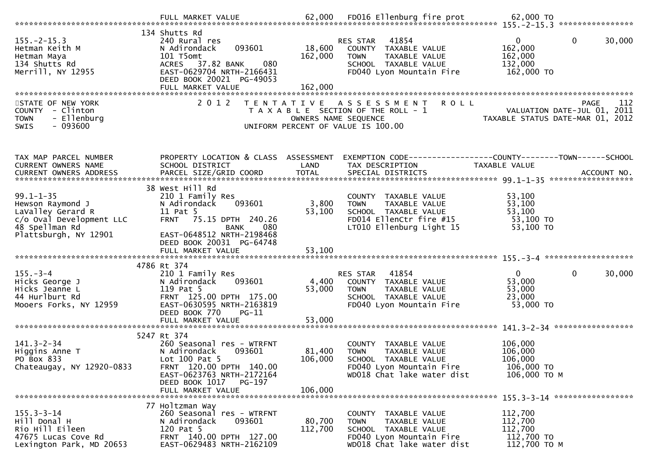| $155. - 2 - 15.3$<br>Hetman Keith M<br>Hetman Maya<br>134 Shutts Rd<br>Merrill, NY 12955               | 134 Shutts Rd<br>240 Rural res<br>093601<br>N Adirondack<br>101 T5omt<br>ACRES 37.82 BANK<br>080<br>EAST-0629704 NRTH-2166431<br>DEED BOOK 20021 PG-49053 | 18,600<br>162,000                         | RES STAR<br>41854<br>COUNTY TAXABLE VALUE<br>TAXABLE VALUE<br><b>TOWN</b><br>SCHOOL TAXABLE VALUE<br>FD040 Lyon Mountain Fire          | $\mathbf 0$<br>$\overline{0}$<br>30,000<br>162,000<br>162,000<br>132,000<br>162,000 TO |
|--------------------------------------------------------------------------------------------------------|-----------------------------------------------------------------------------------------------------------------------------------------------------------|-------------------------------------------|----------------------------------------------------------------------------------------------------------------------------------------|----------------------------------------------------------------------------------------|
|                                                                                                        | FULL MARKET VALUE                                                                                                                                         | 162,000                                   |                                                                                                                                        |                                                                                        |
|                                                                                                        |                                                                                                                                                           |                                           |                                                                                                                                        |                                                                                        |
| STATE OF NEW YORK<br>COUNTY - Clinton<br>- Ellenburg<br><b>TOWN</b><br>$-093600$<br><b>SWIS</b>        | 2 0 1 2                                                                                                                                                   | T E N T A T I V E<br>OWNERS NAME SEQUENCE | <b>ROLL</b><br>A S S E S S M E N T<br>T A X A B L E SECTION OF THE ROLL - 1<br>UNIFORM PERCENT OF VALUE IS 100.00                      | 112<br><b>PAGE</b><br>VALUATION DATE-JUL 01, 2011<br>TAXABLE STATUS DATE-MAR 01, 2012  |
| TAX MAP PARCEL NUMBER                                                                                  | PROPERTY LOCATION & CLASS ASSESSMENT                                                                                                                      |                                           | EXEMPTION CODE-----------------COUNTY-------TOWN------SCHOOL                                                                           |                                                                                        |
| CURRENT OWNERS NAME                                                                                    | SCHOOL DISTRICT                                                                                                                                           | LAND                                      | TAX DESCRIPTION                                                                                                                        | TAXABLE VALUE                                                                          |
| CURRENT OWNERS ADDRESS                                                                                 | PARCEL SIZE/GRID COORD                                                                                                                                    | <b>TOTAL</b>                              | SPECIAL DISTRICTS                                                                                                                      | ACCOUNT NO.                                                                            |
|                                                                                                        | 38 West Hill Rd                                                                                                                                           |                                           |                                                                                                                                        |                                                                                        |
| $99.1 - 1 - 35$<br>Hewson Raymond J<br>LaValley Gerard R<br>c/o Oval Development LLC<br>48 Spellman Rd | 210 1 Family Res<br>093601<br>N Adirondack<br>11 Pat 5<br>FRNT 75.15 DPTH 240.26<br>080<br><b>BANK</b>                                                    | 3,800<br>53,100                           | COUNTY TAXABLE VALUE<br>TAXABLE VALUE<br><b>TOWN</b><br>SCHOOL TAXABLE VALUE<br>FD014 EllenCtr fire #15<br>LT010 Ellenburg Light 15    | 53,100<br>53,100<br>53,100<br>53,100 TO<br>53,100 TO                                   |
| Plattsburgh, NY 12901                                                                                  | EAST-0648512 NRTH-2198468<br>DEED BOOK 20031 PG-64748<br>FULL MARKET VALUE                                                                                | 53,100                                    |                                                                                                                                        |                                                                                        |
|                                                                                                        |                                                                                                                                                           |                                           |                                                                                                                                        |                                                                                        |
| $155. - 3 - 4$                                                                                         | 4786 Rt 374<br>210 1 Family Res                                                                                                                           |                                           | RES STAR<br>41854                                                                                                                      | $\mathbf{0}$<br>$\mathbf 0$<br>30,000                                                  |
| Hicks George J<br>Hicks Jeanne L<br>44 Hurlburt Rd<br>Mooers Forks, NY 12959                           | N Adirondack<br>093601<br>119 Pat 5<br>FRNT 125.00 DPTH 175.00<br>EAST-0630595 NRTH-2163819<br>DEED BOOK 770<br>PG-11                                     | 4,400<br>53,000                           | COUNTY TAXABLE VALUE<br><b>TOWN</b><br>TAXABLE VALUE<br>SCHOOL TAXABLE VALUE<br>FD040 Lyon Mountain Fire                               | 53,000<br>53,000<br>23,000<br>53,000 TO                                                |
|                                                                                                        | FULL MARKET VALUE                                                                                                                                         | 53,000                                    |                                                                                                                                        |                                                                                        |
|                                                                                                        | 5247 Rt 374                                                                                                                                               |                                           |                                                                                                                                        |                                                                                        |
| $141.3 - 2 - 34$<br>Higgins Anne T<br>PO Box 833<br>Chateaugay, NY 12920-0833                          | 260 Seasonal res - WTRFNT<br>N Adirondack<br>093601<br>Lot 100 Pat 5<br>FRNT 120.00 DPTH 140.00<br>EAST-0623763 NRTH-2172164<br>DEED BOOK 1017<br>PG-197  | 81,400<br>106,000                         | COUNTY TAXABLE VALUE<br><b>TOWN</b><br>TAXABLE VALUE<br>SCHOOL TAXABLE VALUE<br>FD040 Lyon Mountain Fire<br>WD018 Chat lake water dist | 106,000<br>106,000<br>106,000<br>106,000 TO<br>106,000 ТО М                            |
|                                                                                                        | FULL MARKET VALUE                                                                                                                                         | 106,000                                   |                                                                                                                                        | 155.3-3-14 ******************                                                          |
| $155.3 - 3 - 14$<br>Hill Donal H<br>Rio Hill Eileen<br>47675 Lucas Cove Rd<br>Lexington Park, MD 20653 | 77 Holtzman Way<br>260 Seasonal res - WTRFNT<br>N Adirondack<br>093601<br>120 Pat 5<br>FRNT 140.00 DPTH 127.00<br>EAST-0629483 NRTH-2162109               | 80,700<br>112,700                         | COUNTY TAXABLE VALUE<br>TAXABLE VALUE<br><b>TOWN</b><br>SCHOOL TAXABLE VALUE<br>FD040 Lyon Mountain Fire<br>WD018 Chat lake water dist | 112,700<br>112,700<br>112,700<br>112,700 TO<br>112,700 TO M                            |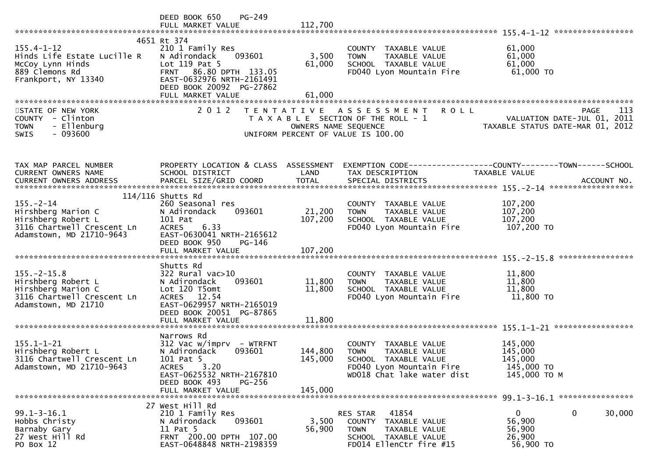|                                                                                                                       | $PG-249$<br>DEED BOOK 650<br>FULL MARKET VALUE                                                                                                                                         | 112,700                       |                                                                                                                                        |                                                                                       |
|-----------------------------------------------------------------------------------------------------------------------|----------------------------------------------------------------------------------------------------------------------------------------------------------------------------------------|-------------------------------|----------------------------------------------------------------------------------------------------------------------------------------|---------------------------------------------------------------------------------------|
| $155.4 - 1 - 12$<br>Hinds Life Estate Lucille R<br>McCoy Lynn Hinds<br>889 Clemons Rd<br>Frankport, NY 13340          | 4651 Rt 374<br>210 1 Family Res<br>093601<br>N Adirondack<br>Lot 119 Pat 5<br>FRNT 86.80 DPTH 133.05<br>EAST-0632976 NRTH-2161491<br>DEED BOOK 20092 PG-27862<br>FULL MARKET VALUE     | 3,500<br>61,000<br>61,000     | COUNTY TAXABLE VALUE<br>TAXABLE VALUE<br><b>TOWN</b><br>SCHOOL TAXABLE VALUE<br>FD040 Lyon Mountain Fire                               | 61,000<br>61,000<br>61,000<br>61,000 TO                                               |
| STATE OF NEW YORK<br>COUNTY - Clinton<br><b>TOWN</b><br>- Ellenburg<br>$-093600$<br><b>SWIS</b>                       | 2 0 1 2                                                                                                                                                                                | OWNERS NAME SEQUENCE          | <b>ROLL</b><br>TENTATIVE ASSESSMENT<br>T A X A B L E SECTION OF THE ROLL - 1<br>UNIFORM PERCENT OF VALUE IS 100.00                     | 113<br><b>PAGE</b><br>VALUATION DATE-JUL 01, 2011<br>TAXABLE STATUS DATE-MAR 01, 2012 |
| TAX MAP PARCEL NUMBER<br><b>CURRENT OWNERS NAME</b><br>CURRENT OWNERS ADDRESS                                         | PROPERTY LOCATION & CLASS ASSESSMENT<br>SCHOOL DISTRICT                                                                                                                                | LAND                          | TAX DESCRIPTION                                                                                                                        | EXEMPTION CODE------------------COUNTY--------TOWN------SCHOOL<br>TAXABLE VALUE       |
| $155. - 2 - 14$<br>Hirshberg Marion C<br>Hirshberg Robert L<br>3116 Chartwell Crescent Ln<br>Adamstown, MD 21710-9643 | $114/116$ Shutts Rd<br>260 Seasonal res<br>N Adirondack<br>093601<br>101 Pat<br>6.33<br><b>ACRES</b><br>EAST-0630041 NRTH-2165612<br>DEED BOOK 950<br>PG-146                           | 21,200<br>107,200             | COUNTY TAXABLE VALUE<br>TAXABLE VALUE<br><b>TOWN</b><br>SCHOOL TAXABLE VALUE<br>FD040 Lyon Mountain Fire                               | 107,200<br>107,200<br>107,200<br>107,200 TO<br>****************                       |
| $155. - 2 - 15.8$<br>Hirshberg Robert L<br>Hirshberg Marion C<br>3116 Chartwell Crescent Ln<br>Adamstown, MD 21710    | Shutts Rd<br>$322$ Rural vac $>10$<br>093601<br>N Adirondack<br>Lot 120 T5omt<br>ACRES 12.54<br>EAST-0629957 NRTH-2165019<br>DEED BOOK 20051 PG-87865<br>FULL MARKET VALUE             | 11,800<br>11,800<br>11,800    | COUNTY TAXABLE VALUE<br><b>TOWN</b><br>TAXABLE VALUE<br>SCHOOL TAXABLE VALUE<br>FD040 Lyon Mountain Fire                               | 11,800<br>11,800<br>11,800<br>11,800 TO                                               |
| $155.1 - 1 - 21$<br>Hirshberg Robert L<br>3116 Chartwell Crescent Ln<br>Adamstown, MD 21710-9643                      | Narrows Rd<br>$312$ Vac w/imprv - WTRFNT<br>093601<br>N Adirondack<br>101 Pat 5<br>3.20<br><b>ACRES</b><br>EAST-0625532 NRTH-2167810<br>DEED BOOK 493<br>$PG-256$<br>FULL MARKET VALUE | 144,800<br>145,000<br>145,000 | COUNTY TAXABLE VALUE<br><b>TOWN</b><br>TAXABLE VALUE<br>SCHOOL TAXABLE VALUE<br>FD040 Lyon Mountain Fire<br>WD018 Chat lake water dist | 145,000<br>145,000<br>145,000<br>145,000 TO<br>145,000 TO M                           |
| $99.1 - 3 - 16.1$<br>Hobbs Christy<br>Barnaby Gary<br>27 West Hill Rd<br>PO Box 12                                    | 27 West Hill Rd<br>210 1 Family Res<br>N Adirondack<br>093601<br>11 Pat 5<br>FRNT 200.00 DPTH 107.00<br>EAST-0648848 NRTH-2198359                                                      | 3,500<br>56,900               | 41854<br>RES STAR<br><b>COUNTY</b><br>TAXABLE VALUE<br><b>TOWN</b><br>TAXABLE VALUE<br>SCHOOL TAXABLE VALUE<br>FD014 EllenCtr fire #15 | $\mathbf{0}$<br>0<br>30,000<br>56,900<br>56,900<br>26,900<br>56,900 TO                |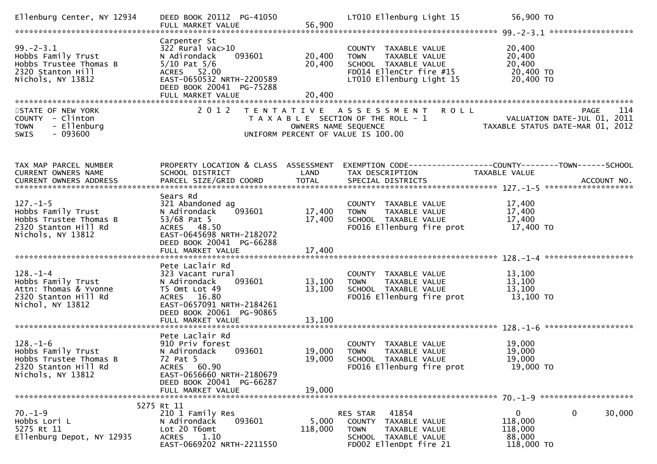| Ellenburg Center, NY 12934                                                                                  | DEED BOOK 20112 PG-41050<br>FULL MARKET VALUE                                                                                                                                    | 56,900                     | LT010 Ellenburg Light 15                                                                                                            | 56,900 TO                                                                             |
|-------------------------------------------------------------------------------------------------------------|----------------------------------------------------------------------------------------------------------------------------------------------------------------------------------|----------------------------|-------------------------------------------------------------------------------------------------------------------------------------|---------------------------------------------------------------------------------------|
| $99. - 2 - 3.1$<br>Hobbs Family Trust<br>Hobbs Trustee Thomas B<br>2320 Stanton Hill<br>Nichols, NY 13812   | Carpenter St<br>$322$ Rural vac $>10$<br>093601<br>N Adirondack<br>$5/10$ Pat $5/6$<br>ACRES 52.00<br>EAST-0650532 NRTH-2200589<br>DEED BOOK 20041 PG-75288<br>FULL MARKET VALUE | 20,400<br>20,400<br>20,400 | COUNTY TAXABLE VALUE<br>TAXABLE VALUE<br><b>TOWN</b><br>SCHOOL TAXABLE VALUE<br>FD014 EllenCtr fire #15<br>LT010 Ellenburg Light 15 | 20,400<br>20,400<br>20,400<br>20,400 TO<br>20,400 TO                                  |
| STATE OF NEW YORK<br>COUNTY - Clinton<br>- Ellenburg<br><b>TOWN</b><br>$-093600$<br>SWIS                    | 2 0 1 2                                                                                                                                                                          | OWNERS NAME SEQUENCE       | TENTATIVE ASSESSMENT ROLL<br>T A X A B L E SECTION OF THE ROLL - 1<br>UNIFORM PERCENT OF VALUE IS 100.00                            | <b>PAGE</b><br>114<br>VALUATION DATE-JUL 01, 2011<br>TAXABLE STATUS DATE-MAR 01, 2012 |
| TAX MAP PARCEL NUMBER<br>CURRENT OWNERS NAME                                                                | PROPERTY LOCATION & CLASS ASSESSMENT<br>SCHOOL DISTRICT                                                                                                                          | LAND                       | TAX DESCRIPTION                                                                                                                     | EXEMPTION CODE-----------------COUNTY-------TOWN------SCHOOL<br>TAXABLE VALUE         |
| $127. - 1 - 5$<br>Hobbs Family Trust<br>Hobbs Trustee Thomas B<br>2320 Stanton Hill Rd<br>Nichols, NY 13812 | Sears Rd<br>321 Abandoned ag<br>093601<br>N Adirondack<br>53/68 Pat 5<br>ACRES 48.50<br>EAST-0645698 NRTH-2182072<br>DEED BOOK 20041 PG-66288                                    | 17,400<br>17,400           | COUNTY TAXABLE VALUE<br>TAXABLE VALUE<br><b>TOWN</b><br>SCHOOL TAXABLE VALUE<br>FD016 Ellenburg fire prot                           | 17,400<br>17,400<br>17,400<br>17,400 TO                                               |
| $128. - 1 - 4$<br>Hobbs Family Trust<br>Attn: Thomas & Yvonne<br>2320 Stanton Hill Rd<br>Nichol, NY 13812   | Pete Laclair Rd<br>323 Vacant rural<br>093601<br>N Adirondack<br>T5 Omt Lot 49<br>ACRES 16.80<br>EAST-0657091 NRTH-2184261<br>DEED BOOK 20061 PG-90865<br>FULL MARKET VALUE      | 13,100<br>13,100<br>13,100 | COUNTY TAXABLE VALUE<br><b>TOWN</b><br>TAXABLE VALUE<br>SCHOOL TAXABLE VALUE<br>FD016 Ellenburg fire prot                           | 13,100<br>13,100<br>13,100<br>13,100 TO                                               |
| $128. - 1 - 6$<br>Hobbs Family Trust<br>Hobbs Trustee Thomas B<br>2320 Stanton Hill Rd<br>Nichols, NY 13812 | Pete Laclair Rd<br>910 Priv forest<br>N Adirondack<br>093601<br>72 Pat 5<br>ACRES 60.90<br>EAST-0656660 NRTH-2180679<br>DEED BOOK 20041 PG-66287<br>FULL MARKET VALUE            | 19,000<br>19,000<br>19,000 | COUNTY TAXABLE VALUE<br><b>TOWN</b><br>TAXABLE VALUE<br>SCHOOL TAXABLE VALUE<br>FD016 Ellenburg fire prot                           | 19,000<br>19,000<br>19,000<br>19,000 TO                                               |
| $70. - 1 - 9$<br>Hobbs Lori L<br>5275 Rt 11<br>Ellenburg Depot, NY 12935                                    | 5275 Rt 11<br>210 1 Family Res<br>093601<br>N Adirondack<br>Lot 20 T6omt<br>1.10<br>ACRES<br>EAST-0669202 NRTH-2211550                                                           | 5,000<br>118,000           | 41854<br>RES STAR<br>COUNTY TAXABLE VALUE<br><b>TOWN</b><br>TAXABLE VALUE<br>SCHOOL TAXABLE VALUE<br>FD002 EllenDpt fire 21         | 0<br>30,000<br>$\bf{0}$<br>118,000<br>118,000<br>88,000<br>118,000 TO                 |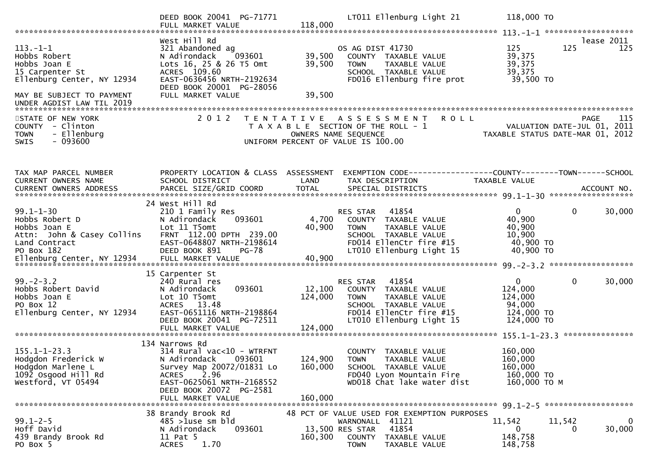|                                                                                                                | DEED BOOK 20041 PG-71771                                                                                                                                                                             |                                    | LT011 Ellenburg Light 21                                                                                                                                 | 118,000 TO                                                               |                                                                                       |
|----------------------------------------------------------------------------------------------------------------|------------------------------------------------------------------------------------------------------------------------------------------------------------------------------------------------------|------------------------------------|----------------------------------------------------------------------------------------------------------------------------------------------------------|--------------------------------------------------------------------------|---------------------------------------------------------------------------------------|
| $113. - 1 - 1$<br>Hobbs Robert<br>Hobbs Joan E<br>15 Carpenter St<br>Ellenburg Center, NY 12934                | West Hill Rd<br>321 Abandoned ag<br>093601<br>N Adirondack<br>Lots 16, 25 & 26 T5 Omt<br>ACRES 109.60<br>EAST-0636456 NRTH-2192634<br>DEED BOOK 20001 PG-28056                                       | 39,500<br>39,500                   | OS AG DIST 41730<br>COUNTY TAXABLE VALUE<br>TAXABLE VALUE<br><b>TOWN</b><br>SCHOOL TAXABLE VALUE<br>FD016 Ellenburg fire prot                            | 125<br>39,375<br>39,375<br>39,375<br>39,500 TO                           | lease 2011<br>125<br>125                                                              |
| MAY BE SUBJECT TO PAYMENT<br>UNDER AGDIST LAW TIL 2019                                                         | FULL MARKET VALUE                                                                                                                                                                                    | 39,500                             |                                                                                                                                                          |                                                                          |                                                                                       |
| STATE OF NEW YORK<br>COUNTY - Clinton<br><b>TOWN</b><br>- Ellenburg<br>$-093600$<br><b>SWIS</b>                | 2 0 1 2                                                                                                                                                                                              |                                    | TENTATIVE ASSESSMENT<br><b>ROLL</b><br>T A X A B L E SECTION OF THE ROLL - 1<br>OWNERS NAME SEQUENCE<br>UNIFORM PERCENT OF VALUE IS 100.00               |                                                                          | 115<br><b>PAGE</b><br>VALUATION DATE-JUL 01, 2011<br>TAXABLE STATUS DATE-MAR 01, 2012 |
| TAX MAP PARCEL NUMBER<br>CURRENT OWNERS NAME                                                                   | PROPERTY LOCATION & CLASS ASSESSMENT<br>SCHOOL DISTRICT                                                                                                                                              | LAND                               | EXEMPTION CODE-----------------COUNTY-------TOWN------SCHOOL<br>TAX DESCRIPTION                                                                          | TAXABLE VALUE                                                            |                                                                                       |
| $99.1 - 1 - 30$<br>Hobbs Robert D<br>Hobbs Joan E<br>Attn: John & Casey Collins<br>Land Contract<br>PO Box 182 | 24 West Hill Rd<br>210 1 Family Res<br>093601<br>N Adirondack<br>Lot 11 T5omt<br>FRNT 112.00 DPTH 239.00<br>EAST-0648807 NRTH-2198614<br>DEED BOOK 891<br><b>PG-78</b>                               | 4,700<br>40,900                    | RES STAR 41854<br>COUNTY TAXABLE VALUE<br>TAXABLE VALUE<br><b>TOWN</b><br>SCHOOL TAXABLE VALUE<br>FD014 EllenCtr fire #15<br>LT010 Ellenburg Light 15    | $\overline{0}$<br>40,900<br>40,900<br>10,900<br>40,900 TO<br>40,900 TO   | $\mathbf 0$<br>30,000                                                                 |
| $99. - 2 - 3.2$<br>Hobbs Robert David<br>Hobbs Joan E<br>PO Box 12<br>Ellenburg Center, NY 12934               | 15 Carpenter St<br>240 Rural res<br>093601<br>N Adirondack<br>Lot 10 T5omt<br>ACRES 13.48<br>EAST-0651116 NRTH-2198864<br>DEED BOOK 20041 PG-72511<br>FULL MARKET VALUE                              | 12,100<br>124,000<br>124,000       | RES STAR<br>41854<br>COUNTY TAXABLE VALUE<br>TAXABLE VALUE<br><b>TOWN</b><br>SCHOOL TAXABLE VALUE<br>FD014 EllenCtr fire #15<br>LT010 Ellenburg Light 15 | $\mathbf{0}$<br>124,000<br>124,000<br>94,000<br>124,000 TO<br>124,000 TO | $\mathbf 0$<br>30,000<br>***************                                              |
| $155.1 - 1 - 23.3$<br>Hodgdon Frederick W<br>Hodgdon Marlene L<br>1092 Osgood Hill Rd<br>Westford, VT 05494    | 134 Narrows Rd<br>314 Rural vac<10 - WTRFNT<br>N Adirondack 093601<br>Survey Map 20072/01831 Lo<br>2.96<br><b>ACRES</b><br>EAST-0625061 NRTH-2168552<br>DEED BOOK 20072 PG-2581<br>FULL MARKET VALUE | 124,900 TOWN<br>160,000<br>160,000 | COUNTY TAXABLE VALUE<br>TAXABLE VALUE<br>SCHOOL TAXABLE VALUE<br>FD040 Lyon Mountain Fire<br>WD018 Chat lake water dist                                  | 160,000<br>160,000<br>160,000<br>160,000 TO<br>160,000 ТО М              |                                                                                       |
| $99.1 - 2 - 5$<br>Hoff David<br>439 Brandy Brook Rd<br>PO Box 5                                                | 38 Brandy Brook Rd<br>$485 > 1$ use sm bld<br>093601<br>N Adirondack<br>11 Pat 5<br>1.70<br><b>ACRES</b>                                                                                             | 160,300                            | 48 PCT OF VALUE USED FOR EXEMPTION PURPOSES<br>WARNONALL 41121<br>41854<br>13,500 RES STAR<br>COUNTY<br>TAXABLE VALUE<br><b>TOWN</b><br>TAXABLE VALUE    | 11,542<br>0<br>148,758<br>148,758                                        | 11,542<br>$\mathbf{0}$<br>30,000<br>0                                                 |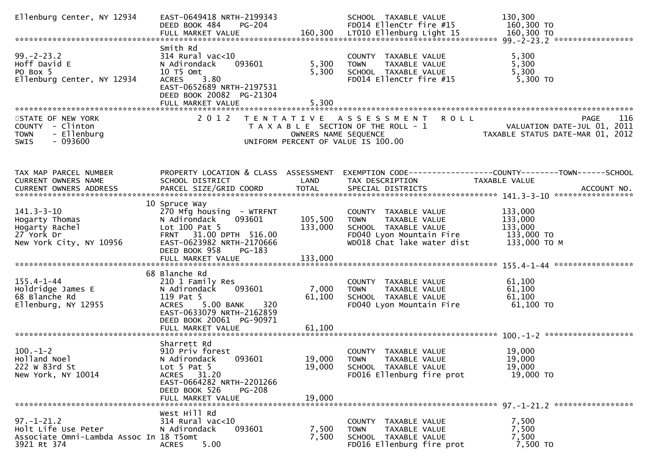| Ellenburg Center, NY 12934                                                                        | EAST-0649418 NRTH-2199343<br>DEED BOOK 484<br>PG-204                                                                                                                                          |                               | SCHOOL TAXABLE VALUE<br>FD014 EllenCtr fire #15                                                                                        | 130,300<br>160,300 TO                                                                 |
|---------------------------------------------------------------------------------------------------|-----------------------------------------------------------------------------------------------------------------------------------------------------------------------------------------------|-------------------------------|----------------------------------------------------------------------------------------------------------------------------------------|---------------------------------------------------------------------------------------|
|                                                                                                   |                                                                                                                                                                                               |                               |                                                                                                                                        |                                                                                       |
| $99. - 2 - 23.2$<br>Hoff David E<br>PO Box 5<br>Ellenburg Center, NY 12934                        | Smith Rd<br>$314$ Rural vac<10<br>N Adirondack<br>093601<br>10 T5 Omt<br>3.80<br><b>ACRES</b><br>EAST-0652689 NRTH-2197531<br>DEED BOOK 20082 PG-21304<br>FULL MARKET VALUE                   | 5,300<br>5,300<br>5,300       | COUNTY TAXABLE VALUE<br><b>TOWN</b><br>TAXABLE VALUE<br>SCHOOL TAXABLE VALUE<br>FD014 EllenCtr fire #15                                | 5,300<br>5,300<br>5,300<br>$5,300$ TO                                                 |
|                                                                                                   |                                                                                                                                                                                               |                               |                                                                                                                                        |                                                                                       |
| STATE OF NEW YORK<br>COUNTY - Clinton<br>- Ellenburg<br><b>TOWN</b><br>$-093600$<br>SWIS          | 2 0 1 2                                                                                                                                                                                       | OWNERS NAME SEQUENCE          | TENTATIVE ASSESSMENT<br><b>ROLL</b><br>T A X A B L E SECTION OF THE ROLL - 1<br>UNIFORM PERCENT OF VALUE IS 100.00                     | 116<br><b>PAGE</b><br>VALUATION DATE-JUL 01, 2011<br>TAXABLE STATUS DATE-MAR 01, 2012 |
| TAX MAP PARCEL NUMBER<br>CURRENT OWNERS NAME                                                      | PROPERTY LOCATION & CLASS ASSESSMENT<br>SCHOOL DISTRICT                                                                                                                                       | LAND                          | TAX DESCRIPTION                                                                                                                        | EXEMPTION CODE-----------------COUNTY-------TOWN------SCHOOL<br>TAXABLE VALUE         |
| $141.3 - 3 - 10$<br>Hogarty Thomas<br>Hogarty Rachel<br>27 York Dr<br>New York City, NY 10956     | 10 Spruce Way<br>270 Mfg housing - WTRFNT<br>093601<br>N Adirondack<br>Lot 100 Pat 5<br>FRNT 31.00 DPTH 516.00<br>EAST-0623982 NRTH-2170666<br>DEED BOOK 958<br>$PG-183$<br>FULL MARKET VALUE | 105,500<br>133,000<br>133,000 | COUNTY TAXABLE VALUE<br>TAXABLE VALUE<br><b>TOWN</b><br>SCHOOL TAXABLE VALUE<br>FD040 Lyon Mountain Fire<br>WD018 Chat lake water dist | 133,000<br>133,000<br>133,000<br>133,000 TO<br>133,000 ТО М                           |
|                                                                                                   | 68 Blanche Rd                                                                                                                                                                                 |                               |                                                                                                                                        |                                                                                       |
| $155.4 - 1 - 44$<br>Holdridge James E<br>68 Blanche Rd<br>Ellenburg, NY 12955                     | 210 1 Family Res<br>093601<br>N Adirondack<br>119 Pat 5<br>ACRES 5.00 BANK<br>320<br>EAST-0633079 NRTH-2162859<br>DEED BOOK 20061 PG-90971<br>FULL MARKET VALUE                               | 7,000<br>61,100<br>61,100     | COUNTY TAXABLE VALUE<br>TAXABLE VALUE<br><b>TOWN</b><br>SCHOOL TAXABLE VALUE<br>FD040 Lyon Mountain Fire                               | 61,100<br>61,100<br>61,100<br>61,100 TO                                               |
|                                                                                                   |                                                                                                                                                                                               |                               |                                                                                                                                        |                                                                                       |
| $100. - 1 - 2$<br>Holland Noel<br>222 W 83rd St<br>New York, NY 10014                             | Sharrett Rd<br>910 Priv forest<br>N Adirondack<br>093601<br>Lot $5$ Pat $5$<br>ACRES 31.20<br>EAST-0664282 NRTH-2201266                                                                       | 19,000<br>19,000              | COUNTY TAXABLE VALUE<br><b>TOWN</b><br>TAXABLE VALUE<br>SCHOOL TAXABLE VALUE<br>FD016 Ellenburg fire prot                              | 19,000<br>19,000<br>19,000<br>19,000 TO                                               |
|                                                                                                   | DEED BOOK 526<br><b>PG-208</b><br>FULL MARKET VALUE                                                                                                                                           | 19,000                        |                                                                                                                                        |                                                                                       |
| $97. - 1 - 21.2$<br>Holt Life Use Peter<br>Associate Omni-Lambda Assoc In 18 T5omt<br>3921 Rt 374 | West Hill Rd<br>$314$ Rural vac<10<br>N Adirondack<br>093601<br>5.00<br><b>ACRES</b>                                                                                                          | 7,500<br>7,500                | COUNTY TAXABLE VALUE<br><b>TOWN</b><br>TAXABLE VALUE<br>SCHOOL TAXABLE VALUE<br>FD016 Ellenburg fire prot                              | 7,500<br>7,500<br>7,500<br>7,500 TO                                                   |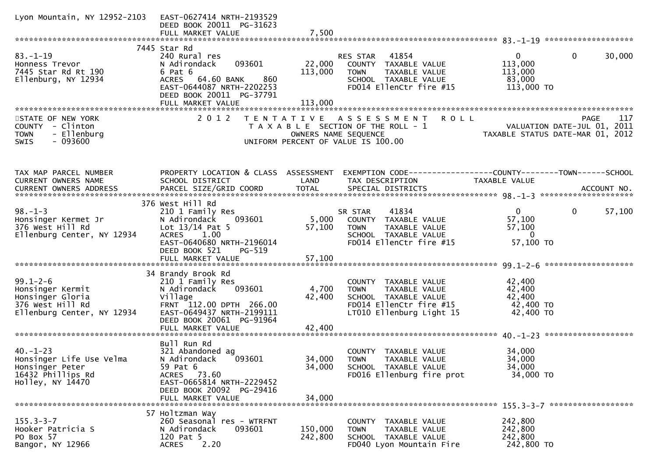| Lyon Mountain, NY 12952-2103                                                                             | EAST-0627414 NRTH-2193529<br>DEED BOOK 20011 PG-31623<br>FULL MARKET VALUE                                                                                                           | 7,500                      |                                                                                                                                     |                                                                                |                    |
|----------------------------------------------------------------------------------------------------------|--------------------------------------------------------------------------------------------------------------------------------------------------------------------------------------|----------------------------|-------------------------------------------------------------------------------------------------------------------------------------|--------------------------------------------------------------------------------|--------------------|
|                                                                                                          |                                                                                                                                                                                      |                            |                                                                                                                                     |                                                                                |                    |
| $83. - 1 - 19$<br>Honness Trevor<br>7445 Star Rd Rt 190<br>Ellenburg, NY 12934                           | 7445 Star Rd<br>240 Rural res<br>093601<br>N Adirondack<br>6 Pat 6<br>860<br>ACRES 64.60 BANK<br>EAST-0644087 NRTH-2202253<br>DEED BOOK 20011 PG-37791                               | 22,000<br>113,000          | RES STAR<br>41854<br>COUNTY TAXABLE VALUE<br>TAXABLE VALUE<br><b>TOWN</b><br>SCHOOL TAXABLE VALUE<br>FD014 EllenCtr fire #15        | $\Omega$<br>$\Omega$<br>113,000<br>113,000<br>83,000<br>113,000 TO             | 30,000             |
|                                                                                                          | FULL MARKET VALUE                                                                                                                                                                    | 113,000                    |                                                                                                                                     |                                                                                |                    |
| STATE OF NEW YORK<br>COUNTY - Clinton<br>- Ellenburg<br><b>TOWN</b><br>$-093600$<br><b>SWIS</b>          | 2 0 1 2                                                                                                                                                                              | OWNERS NAME SEQUENCE       | TENTATIVE ASSESSMENT<br>R O L L<br>T A X A B L E SECTION OF THE ROLL - 1<br>UNIFORM PERCENT OF VALUE IS 100.00                      | PAGE 117<br>VALUATION DATE-JUL 01, 2011<br>TAXABLE STATUS DATE-MAR 01, 2012    | 117<br><b>PAGE</b> |
| TAX MAP PARCEL NUMBER<br>CURRENT OWNERS NAME                                                             | PROPERTY LOCATION & CLASS ASSESSMENT<br>SCHOOL DISTRICT                                                                                                                              | LAND                       | EXEMPTION CODE-----------------COUNTY--------TOWN------SCHOOL<br>TAX DESCRIPTION                                                    | <b>TAXABLE VALUE</b>                                                           |                    |
| $98. - 1 - 3$<br>Honsinger Kermet Jr<br>376 West Hill Rd<br>Ellenburg Center, NY 12934                   | 376 West Hill Rd<br>210 1 Family Res<br>093601<br>N Adirondack<br>Lot $13/14$ Pat 5<br>ACRES 1.00<br>EAST-0640680 NRTH-2196014<br>DEED BOOK 521<br>$PG-519$<br>FULL MARKET VALUE     | 5,000<br>57,100<br>57,100  | 41834<br>SR STAR<br>COUNTY TAXABLE VALUE<br>TAXABLE VALUE<br><b>TOWN</b><br>SCHOOL TAXABLE VALUE<br>FD014 EllenCtr fire #15         | $\mathbf{0}$<br>$\mathbf 0$<br>57,100<br>57,100<br>$\overline{0}$<br>57,100 TO | 57,100             |
|                                                                                                          |                                                                                                                                                                                      |                            |                                                                                                                                     |                                                                                |                    |
| $99.1 - 2 - 6$<br>Honsinger Kermit<br>Honsinger Gloria<br>376 West Hill Rd<br>Ellenburg Center, NY 12934 | 34 Brandy Brook Rd<br>210 1 Family Res<br>093601<br>N Adirondack<br>Village<br>FRNT 112.00 DPTH 266.00<br>EAST-0649437 NRTH-2199111<br>DEED BOOK 20061 PG-91964<br>FULL MARKET VALUE | 4,700<br>42,400<br>42,400  | COUNTY TAXABLE VALUE<br>TAXABLE VALUE<br><b>TOWN</b><br>SCHOOL TAXABLE VALUE<br>FD014 EllenCtr fire #15<br>LT010 Ellenburg Light 15 | 42,400<br>42,400<br>42,400<br>42,400 TO<br>42,400 TO                           |                    |
|                                                                                                          |                                                                                                                                                                                      |                            |                                                                                                                                     |                                                                                |                    |
| $40. - 1 - 23$<br>Honsinger Life Use Velma<br>Honsinger Peter<br>16432 Phillips Rd<br>Holley, NY 14470   | Bull Run Rd<br>321 Abandoned ag<br>N Adirondack<br>093601<br>59 Pat 6<br>ACRES 73.60<br>EAST-0665814 NRTH-2229452<br>DEED BOOK 20092 PG-29416<br>FULL MARKET VALUE                   | 34,000<br>34,000<br>34,000 | <b>COUNTY</b><br>TAXABLE VALUE<br><b>TOWN</b><br>TAXABLE VALUE<br>SCHOOL TAXABLE VALUE<br>FD016 Ellenburg fire prot                 | 34,000<br>34,000<br>34,000<br>34,000 TO                                        |                    |
|                                                                                                          |                                                                                                                                                                                      |                            |                                                                                                                                     |                                                                                |                    |
| $155.3 - 3 - 7$<br>Hooker Patricia S<br>PO Box 57<br>Bangor, NY 12966                                    | 57 Holtzman Way<br>260 Seasonal res - WTRFNT<br>093601<br>N Adirondack<br>120 Pat 5<br>2.20<br><b>ACRES</b>                                                                          | 150,000<br>242,800         | COUNTY TAXABLE VALUE<br>TAXABLE VALUE<br><b>TOWN</b><br>SCHOOL TAXABLE VALUE<br>FD040 Lyon Mountain Fire                            | 242,800<br>242,800<br>242,800<br>242,800 TO                                    |                    |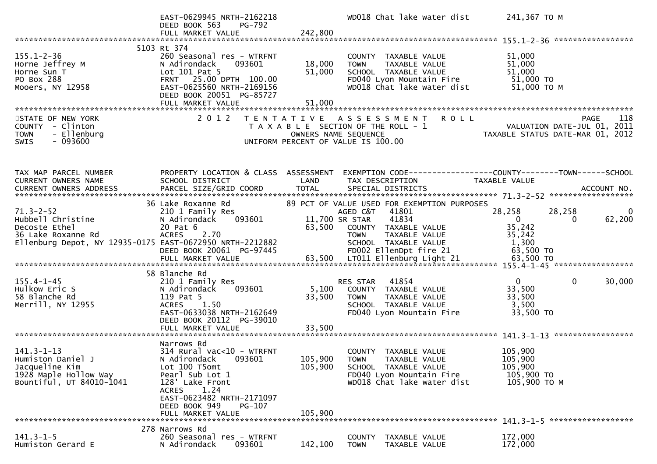|                                                                                                                                         | EAST-0629945 NRTH-2162218<br>DEED BOOK 563<br>PG-792<br>FULL MARKET VALUE                                                                                                                   | 242,800                    | WD018 Chat lake water dist                                                                                                                                                          | 241,367 TO M                                                              |                                         |
|-----------------------------------------------------------------------------------------------------------------------------------------|---------------------------------------------------------------------------------------------------------------------------------------------------------------------------------------------|----------------------------|-------------------------------------------------------------------------------------------------------------------------------------------------------------------------------------|---------------------------------------------------------------------------|-----------------------------------------|
|                                                                                                                                         |                                                                                                                                                                                             |                            |                                                                                                                                                                                     |                                                                           |                                         |
| $155.1 - 2 - 36$<br>Horne Jeffrey M<br>Horne Sun T<br>PO Box 288<br>Mooers, NY 12958                                                    | 5103 Rt 374<br>260 Seasonal res - WTRFNT<br>N Adirondack<br>093601<br>Lot 101 Pat 5<br>FRNT 25.00 DPTH 100.00<br>EAST-0625560 NRTH-2169156<br>DEED BOOK 20051 PG-85727<br>FULL MARKET VALUE | 18,000<br>51,000<br>51,000 | COUNTY TAXABLE VALUE<br>TAXABLE VALUE<br><b>TOWN</b><br>SCHOOL TAXABLE VALUE<br>FD040 Lyon Mountain Fire<br>WD018 Chat lake water dist                                              | 51,000<br>51,000<br>51,000<br>51,000 TO<br>51,000 ТО М                    |                                         |
|                                                                                                                                         |                                                                                                                                                                                             |                            |                                                                                                                                                                                     |                                                                           |                                         |
| STATE OF NEW YORK<br>COUNTY - Clinton<br>- Ellenburg<br><b>TOWN</b><br>$-093600$<br><b>SWIS</b>                                         |                                                                                                                                                                                             | OWNERS NAME SEQUENCE       | 2012 TENTATIVE ASSESSMENT<br><b>ROLL</b><br>T A X A B L E SECTION OF THE ROLL - 1<br>UNIFORM PERCENT OF VALUE IS 100.00                                                             | PAGE 118<br>VALUATION DATE-JUL 01, 2011<br>TAXABLE STATUS DATE MARIC 33.3 | <b>PAGE</b><br>118                      |
| TAX MAP PARCEL NUMBER<br>CURRENT OWNERS NAME                                                                                            | PROPERTY LOCATION & CLASS ASSESSMENT<br>SCHOOL DISTRICT                                                                                                                                     | LAND                       | EXEMPTION CODE-----------------COUNTY-------TOWN------SCHOOL<br>TAX DESCRIPTION                                                                                                     | TAXABLE VALUE                                                             |                                         |
|                                                                                                                                         |                                                                                                                                                                                             |                            |                                                                                                                                                                                     |                                                                           |                                         |
| $71.3 - 2 - 52$<br>Hubbell Christine<br>Decoste Ethel<br>36 Lake Roxanne Rd<br>Ellenburg Depot, NY 12935-0175 EAST-0672950 NRTH-2212882 | 36 Lake Roxanne Rd<br>210 1 Family Res<br>N Adirondack<br>093601<br>20 Pat 6<br>ACRES 2.70<br>DEED BOOK 20061 PG-97445                                                                      | 11,700 SR STAR<br>63,500   | 89 PCT OF VALUE USED FOR EXEMPTION PURPOSES<br>41801<br>AGED C&T<br>41834<br>COUNTY TAXABLE VALUE<br><b>TOWN</b><br>TAXABLE VALUE<br>SCHOOL TAXABLE VALUE<br>FD002 EllenDpt fire 21 | 28,258<br>$\overline{0}$<br>35,242<br>35,242<br>1,300<br>63,500 TO        | 28,258<br>$\overline{0}$<br>62,200<br>0 |
|                                                                                                                                         |                                                                                                                                                                                             |                            |                                                                                                                                                                                     |                                                                           |                                         |
| $155.4 - 1 - 45$<br>Hulkow Eric S<br>58 Blanche Rd<br>Merrill, NY 12955                                                                 | 58 Blanche Rd<br>210 1 Family Res<br>093601<br>N Adirondack<br>119 Pat 5<br>ACRES 1.50<br>EAST-0633038 NRTH-2162649<br>DEED BOOK 20112 PG-39010<br>FULL MARKET VALUE                        | 5,100<br>33,500<br>33,500  | 41854<br>RES STAR<br>COUNTY TAXABLE VALUE<br><b>TOWN</b><br>TAXABLE VALUE<br>SCHOOL TAXABLE VALUE<br>FD040 Lyon Mountain Fire                                                       | $\mathbf{0}$<br>33,500<br>33,500<br>3,500<br>33,500 TO                    | $\mathbf 0$<br>30,000                   |
|                                                                                                                                         | Narrows Rd                                                                                                                                                                                  |                            |                                                                                                                                                                                     |                                                                           |                                         |
| $141.3 - 1 - 13$<br>Humiston Daniel J<br>Jacqueline Kim<br>1928 Maple Hollow Way<br>Bountiful, UT 84010-1041                            | 314 Rural vac<10 - WTRFNT<br>N Adirondack<br>093601<br>Lot 100 T5omt<br>Pearl Sub Lot 1<br>128' Lake Front<br>1.24<br><b>ACRES</b><br>EAST-0623482 NRTH-2171097                             | 105,900<br>105,900         | COUNTY TAXABLE VALUE<br><b>TOWN</b><br>TAXABLE VALUE<br>SCHOOL TAXABLE VALUE<br>FD040 Lyon Mountain Fire<br>WD018 Chat lake water dist                                              | 105,900<br>105,900<br>105,900<br>105,900 TO<br>105,900 ТО М               |                                         |
|                                                                                                                                         | DEED BOOK 949<br>PG-107                                                                                                                                                                     |                            |                                                                                                                                                                                     |                                                                           |                                         |
|                                                                                                                                         | FULL MARKET VALUE                                                                                                                                                                           | 105,900                    |                                                                                                                                                                                     |                                                                           |                                         |
| $141.3 - 1 - 5$<br>Humiston Gerard E                                                                                                    | 278 Narrows Rd<br>260 Seasonal res - WTRFNT<br>093601<br>N Adirondack                                                                                                                       | 142,100                    | COUNTY TAXABLE VALUE<br>TAXABLE VALUE<br><b>TOWN</b>                                                                                                                                | 172,000<br>172,000                                                        |                                         |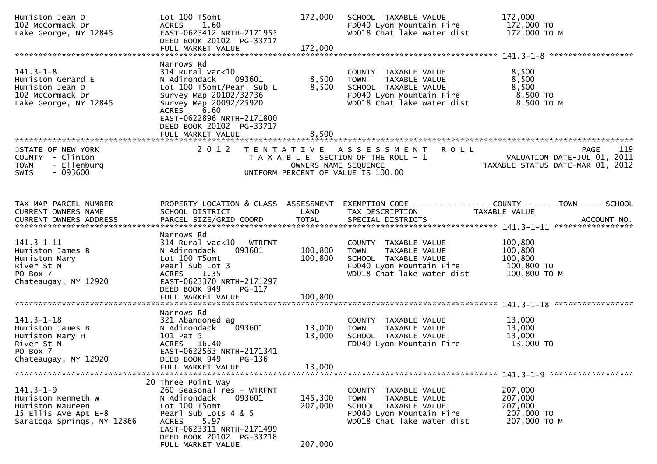| Humiston Jean D<br>102 McCormack Dr<br>Lake George, NY 12845                                                    | Lot 100 T5omt<br>1.60<br><b>ACRES</b><br>EAST-0623412 NRTH-2171955<br>DEED BOOK 20102 PG-33717<br>FULL MARKET VALUE                                                                                     | 172,000<br>172,000   | SCHOOL TAXABLE VALUE<br>FD040 Lyon Mountain Fire<br>WD018 Chat lake water dist                                                         | 172,000<br>172,000 TO<br>172,000 TO M                                                                             |
|-----------------------------------------------------------------------------------------------------------------|---------------------------------------------------------------------------------------------------------------------------------------------------------------------------------------------------------|----------------------|----------------------------------------------------------------------------------------------------------------------------------------|-------------------------------------------------------------------------------------------------------------------|
|                                                                                                                 | Narrows Rd                                                                                                                                                                                              |                      |                                                                                                                                        |                                                                                                                   |
| $141.3 - 1 - 8$<br>Humiston Gerard E<br>Humiston Jean D<br>102 McCormack Dr<br>Lake George, NY 12845            | $314$ Rural vac< $10$<br>N Adirondack<br>093601<br>Lot 100 T5omt/Pearl Sub L<br>Survey Map 20102/32736<br>Survey Map 20092/25920<br>ACRES 6.60<br>EAST-0622896 NRTH-2171800<br>DEED BOOK 20102 PG-33717 | 8,500<br>8,500       | COUNTY TAXABLE VALUE<br><b>TOWN</b><br>TAXABLE VALUE<br>SCHOOL TAXABLE VALUE<br>FD040 Lyon Mountain Fire<br>WD018 Chat lake water dist | 8,500<br>8,500<br>8,500<br>8,500 TO<br>8,500 TO M                                                                 |
|                                                                                                                 | FULL MARKET VALUE                                                                                                                                                                                       | 8,500                |                                                                                                                                        |                                                                                                                   |
|                                                                                                                 |                                                                                                                                                                                                         |                      |                                                                                                                                        |                                                                                                                   |
| STATE OF NEW YORK<br>COUNTY - Clinton<br>- Ellenburg<br><b>TOWN</b><br><b>SWIS</b><br>- 093600                  | 2 0 1 2                                                                                                                                                                                                 | OWNERS NAME SEQUENCE | TENTATIVE ASSESSMENT<br><b>ROLL</b><br>T A X A B L E SECTION OF THE ROLL - 1<br>UNIFORM PERCENT OF VALUE IS 100.00                     | 119<br>PAGE<br>VALUATION DATE-JUL 01, 2011<br>VALUATION DATE-JUL 01, 2011<br>TAXABLE STATUS DATE-MAR 01, 2012     |
|                                                                                                                 |                                                                                                                                                                                                         |                      |                                                                                                                                        |                                                                                                                   |
|                                                                                                                 |                                                                                                                                                                                                         |                      |                                                                                                                                        |                                                                                                                   |
| TAX MAP PARCEL NUMBER<br>CURRENT OWNERS NAME                                                                    | SCHOOL DISTRICT                                                                                                                                                                                         | LAND                 | TAX DESCRIPTION                                                                                                                        | PROPERTY LOCATION & CLASS ASSESSMENT EXEMPTION CODE----------------COUNTY-------TOWN------SCHOOL<br>TAXABLE VALUE |
|                                                                                                                 |                                                                                                                                                                                                         |                      |                                                                                                                                        |                                                                                                                   |
|                                                                                                                 | Narrows Rd                                                                                                                                                                                              |                      |                                                                                                                                        |                                                                                                                   |
| $141.3 - 1 - 11$<br>Humiston James B<br>Humiston Mary<br>River St N<br>PO Box 7<br>Chateaugay, NY 12920         | $314$ Rural vac<10 - WTRFNT<br>093601<br>N Adirondack<br>Lot 100 T5omt<br>Pearl Sub Lot 3<br>ACRES 1.35<br>EAST-0623370 NRTH-2171297<br>DEED BOOK 949<br>PG-117                                         | 100,800<br>100,800   | COUNTY TAXABLE VALUE<br><b>TOWN</b><br>TAXABLE VALUE<br>SCHOOL TAXABLE VALUE<br>FD040 Lyon Mountain Fire<br>WD018 Chat lake water dist | 100,800<br>100,800<br>100,800<br>100,800 TO<br>100,800 ТО М                                                       |
|                                                                                                                 | FULL MARKET VALUE                                                                                                                                                                                       | 100,800              |                                                                                                                                        |                                                                                                                   |
|                                                                                                                 | Narrows Rd                                                                                                                                                                                              |                      |                                                                                                                                        |                                                                                                                   |
| $141.3 - 1 - 18$<br>Humiston James B<br>Humiston Mary H<br>River St N<br>PO Box 7                               | 321 Abandoned ag<br>093601<br>N Adirondack<br>101 Pat 5<br>ACRES 16.40<br>EAST-0622563 NRTH-2171341                                                                                                     | 13,000<br>13,000     | COUNTY TAXABLE VALUE<br><b>TOWN</b><br>TAXABLE VALUE<br>SCHOOL TAXABLE VALUE<br>FD040 Lyon Mountain Fire                               | 13,000<br>13,000<br>13,000<br>13,000 TO                                                                           |
| Chateaugay, NY 12920                                                                                            | DEED BOOK 949<br>PG-136<br>FULL MARKET VALUE                                                                                                                                                            | 13,000               |                                                                                                                                        |                                                                                                                   |
|                                                                                                                 |                                                                                                                                                                                                         |                      |                                                                                                                                        |                                                                                                                   |
| $141.3 - 1 - 9$<br>Humiston Kenneth W<br>Humiston Maureen<br>15 Ellis Ave Apt E-8<br>Saratoga Springs, NY 12866 | 20 Three Point Way<br>260 Seasonal res - WTRFNT<br>N Adirondack<br>093601<br>Lot 100 T5omt<br>Pearl Sub Lots 4 & 5<br>5.97<br>ACRES<br>EAST-0623311 NRTH-2171499                                        | 145,300<br>207,000   | COUNTY TAXABLE VALUE<br>TAXABLE VALUE<br>TOWN<br>SCHOOL TAXABLE VALUE<br>FD040 Lyon Mountain Fire<br>WD018 Chat lake water dist        | 207,000<br>207,000<br>207,000<br>207,000 TO<br>207,000 ТО М                                                       |
|                                                                                                                 | DEED BOOK 20102 PG-33718<br>FULL MARKET VALUE                                                                                                                                                           | 207,000              |                                                                                                                                        |                                                                                                                   |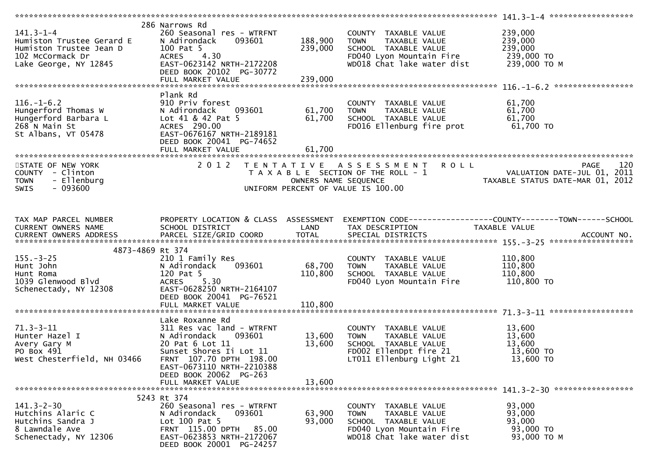| $141.3 - 1 - 4$<br>Humiston Trustee Gerard E<br>Humiston Trustee Jean D<br>102 McCormack Dr<br>102 McCormack Dr<br>Lake George, NY 12845 | 286 Narrows Rd<br>260 Seasonal res - WTRFNT<br>093601<br>N Adirondack<br>100 Pat 5<br>ACRES 4.30<br>EAST-0623142 NRTH-2172208<br>DEED BOOK 20102 PG-30772                                                                   | 188,900<br>239,000         | COUNTY TAXABLE VALUE<br>TAXABLE VALUE<br>TOWN<br>SCHOOL TAXABLE VALUE<br>FD040 Lyon Mountain Fire<br>WD018 Chat lake water dist        | 239,000<br>239,000<br>239,000<br>239,000 TO<br>239,000 ТО М |
|------------------------------------------------------------------------------------------------------------------------------------------|-----------------------------------------------------------------------------------------------------------------------------------------------------------------------------------------------------------------------------|----------------------------|----------------------------------------------------------------------------------------------------------------------------------------|-------------------------------------------------------------|
| $116. - 1 - 6.2$<br>Hungerford Thomas W<br>Hungerford Barbara L<br>268 N Main St<br>St Albans, VT 05478                                  | Plank Rd<br>910 Priv forest<br>093601<br>N Adirondack<br>Lot 41 & 42 Pat 5<br>ACRES 290.00<br>EAST-0676167 NRTH-2189181<br>DEED BOOK 20041 PG-74652                                                                         | 61,700<br>61,700           | COUNTY TAXABLE VALUE<br><b>TOWN</b><br>TAXABLE VALUE<br>SCHOOL TAXABLE VALUE<br>FD016 Ellenburg fire prot                              | 61,700<br>61,700<br>61,700<br>61,700 TO                     |
| STATE OF NEW YORK<br>COUNTY - Clinton<br>- Ellenburg<br><b>TOWN</b><br>$-093600$<br><b>SWIS</b>                                          | 2 0 1 2                                                                                                                                                                                                                     | OWNERS NAME SEQUENCE       | TENTATIVE ASSESSMENT ROLL<br>T A X A B L E SECTION OF THE ROLL - 1<br>UNIFORM PERCENT OF VALUE IS 100.00                               | 120<br>PAGE                                                 |
| TAX MAP PARCEL NUMBER<br>CURRENT OWNERS NAME                                                                                             | PROPERTY LOCATION & CLASS ASSESSMENT<br>SCHOOL DISTRICT                                                                                                                                                                     | LAND                       | TAX DESCRIPTION                                                                                                                        | TAXABLE VALUE                                               |
| 4873-4869 Rt 374<br>$155. - 3 - 25$<br>Hunt John<br>Hunt Roma<br>1039 Glenwood Blvd<br>Schenectady, NY 12308                             | 210 1 Family Res<br>093601<br>N Adirondack<br>120 Pat 5<br><b>ACRES</b><br>5.30<br>EAST-0628250 NRTH-2164107<br>DEED BOOK 20041 PG-76521                                                                                    | 68,700<br>110,800          | COUNTY TAXABLE VALUE<br>TAXABLE VALUE<br>TOWN<br>SCHOOL TAXABLE VALUE<br>FD040 Lyon Mountain Fire                                      | 110,800<br>110,800<br>110,800<br>110,800 TO                 |
| $71.3 - 3 - 11$<br>Hunter Hazel I<br>Avery Gary M<br>PO Box 491<br>West Chesterfield, NH 03466                                           | Lake Roxanne Rd<br>311 Res vac land - WTRFNT<br>N Adirondack<br>093601<br>20 Pat 6 Lot 11<br>Sunset Shores Ii Lot 11<br>FRNT 107.70 DPTH 198.00<br>EAST-0673110 NRTH-2210388<br>DEED BOOK 20062 PG-263<br>FULL MARKET VALUE | 13,600<br>13,600<br>13,600 | COUNTY TAXABLE VALUE<br>TAXABLE VALUE<br>TOWN<br>SCHOOL TAXABLE VALUE<br>FD002 EllenDpt fire 21<br>LT011 Ellenburg Light 21            | 13,600<br>13,600<br>13,600<br>13,600 TO<br>13,600 TO        |
| $141.3 - 2 - 30$<br>Hutchins Alaric C<br>Hutchins Sandra J<br>8 Lawndale Ave<br>Schenectady, NY 12306                                    | 5243 Rt 374<br>260 Seasonal res - WTRFNT<br>N Adirondack<br>093601<br>Lot 100 Pat 5<br>FRNT 115.00 DPTH 85.00<br>EAST-0623853 NRTH-2172067<br>DEED BOOK 20001 PG-24257                                                      | 63,900<br>93,000           | COUNTY TAXABLE VALUE<br>TAXABLE VALUE<br><b>TOWN</b><br>SCHOOL TAXABLE VALUE<br>FD040 Lyon Mountain Fire<br>WD018 Chat lake water dist | 93,000<br>93,000<br>93,000<br>93,000 TO<br>93,000 TO M      |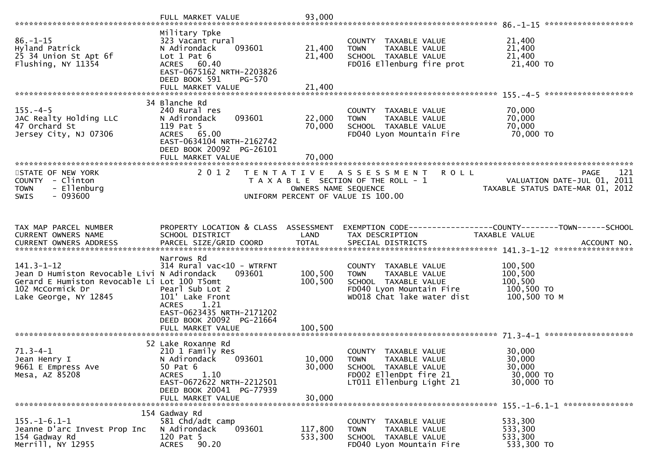| $86. - 1 - 15$<br>Hyland Patrick<br>25 34 Union St Apt 6f<br>Flushing, NY 11354                                                                              | Military Tpke<br>323 Vacant rural<br>093601<br>N Adirondack<br>Lot $1$ Pat $6$<br>ACRES 60.40<br>EAST-0675162 NRTH-2203826<br>DEED BOOK 591<br>PG-570                              | 21,400<br>21,400           | COUNTY TAXABLE VALUE<br><b>TOWN</b><br>TAXABLE VALUE<br>SCHOOL TAXABLE VALUE<br>FD016 Ellenburg fire prot                                    | 21,400<br>21,400<br>21,400<br>21,400 TO                                               |
|--------------------------------------------------------------------------------------------------------------------------------------------------------------|------------------------------------------------------------------------------------------------------------------------------------------------------------------------------------|----------------------------|----------------------------------------------------------------------------------------------------------------------------------------------|---------------------------------------------------------------------------------------|
|                                                                                                                                                              |                                                                                                                                                                                    |                            |                                                                                                                                              |                                                                                       |
| $155. - 4 - 5$<br>JAC Realty Holding LLC<br>47 Orchard St<br>Jersey City, NJ 07306                                                                           | 34 Blanche Rd<br>240 Rural res<br>093601<br>N Adirondack<br>119 Pat 5<br>ACRES 65.00<br>EAST-0634104 NRTH-2162742<br>DEED BOOK 20092 PG-26101                                      | 22,000<br>70,000           | COUNTY TAXABLE VALUE<br>TAXABLE VALUE<br><b>TOWN</b><br>SCHOOL TAXABLE VALUE<br>FD040 Lyon Mountain Fire                                     | 70,000<br>70,000<br>70,000<br>70,000 TO                                               |
|                                                                                                                                                              | FULL MARKET VALUE                                                                                                                                                                  | 70,000                     |                                                                                                                                              |                                                                                       |
| STATE OF NEW YORK<br>COUNTY - Clinton<br><b>TOWN</b><br>- Ellenburg<br>$-093600$<br><b>SWIS</b>                                                              | 2 0 1 2                                                                                                                                                                            | OWNERS NAME SEQUENCE       | TENTATIVE ASSESSMENT<br><b>ROLL</b><br>T A X A B L E SECTION OF THE ROLL - 1<br>UNIFORM PERCENT OF VALUE IS 100.00                           | 121<br><b>PAGE</b><br>VALUATION DATE-JUL 01, 2011<br>TAXABLE STATUS DATE-MAR 01, 2012 |
|                                                                                                                                                              |                                                                                                                                                                                    |                            |                                                                                                                                              |                                                                                       |
| TAX MAP PARCEL NUMBER<br>CURRENT OWNERS NAME                                                                                                                 | PROPERTY LOCATION & CLASS ASSESSMENT<br>SCHOOL DISTRICT                                                                                                                            | LAND                       | TAX DESCRIPTION                                                                                                                              | EXEMPTION CODE-----------------COUNTY--------TOWN------SCHOOL<br>TAXABLE VALUE        |
| $141.3 - 1 - 12$<br>Jean D Humiston Revocable Livi N Adirondack<br>Gerard E Humiston Revocable Li Lot 100 T5omt<br>102 McCormick Dr<br>Lake George, NY 12845 | Narrows Rd<br>314 Rural vac<10 - WTRFNT<br>093601<br>Pearl Sub Lot 2<br>101' Lake Front<br>ACRES 1.21<br>EAST-0623435 NRTH-2171202                                                 | 100,500<br>100,500         | COUNTY TAXABLE VALUE<br><b>TOWN</b><br>TAXABLE VALUE<br>SCHOOL TAXABLE VALUE<br>FD040 Lyon Mountain Fire<br>WD018 Chat lake water dist       | 100,500<br>100,500<br>100,500<br>100,500 TO<br>100,500 ТО М                           |
|                                                                                                                                                              | DEED BOOK 20092 PG-21664<br>FULL MARKET VALUE                                                                                                                                      | 100,500                    |                                                                                                                                              |                                                                                       |
| $71.3 - 4 - 1$<br>Jean Henry I<br>9661 E Empress Ave<br>Mesa, AZ 85208                                                                                       | 52 Lake Roxanne Rd<br>210 1 Family Res<br>N Adirondack<br>093601<br>50 Pat 6<br>1.10<br><b>ACRES</b><br>EAST-0672622 NRTH-2212501<br>DEED BOOK 20041 PG-77939<br>FULL MARKET VALUE | 10,000<br>30,000<br>30,000 | <b>COUNTY</b><br>TAXABLE VALUE<br><b>TOWN</b><br>TAXABLE VALUE<br>SCHOOL TAXABLE VALUE<br>FD002 EllenDpt fire 21<br>LT011 Ellenburg Light 21 | 30,000<br>30,000<br>30,000<br>30,000 TO<br>30,000 TO                                  |
|                                                                                                                                                              |                                                                                                                                                                                    |                            |                                                                                                                                              |                                                                                       |
| $155. - 1 - 6.1 - 1$<br>Jeanne D'arc Invest Prop Inc<br>154 Gadway Rd<br>Merrill, NY 12955                                                                   | 154 Gadway Rd<br>581 Chd/adt camp<br>N Adirondack<br>093601<br>120 Pat 5<br>90.20<br><b>ACRES</b>                                                                                  | 117,800<br>533,300         | COUNTY TAXABLE VALUE<br><b>TOWN</b><br>TAXABLE VALUE<br>SCHOOL TAXABLE VALUE<br>FD040 Lyon Mountain Fire                                     | 533,300<br>533,300<br>533,300<br>533,300 TO                                           |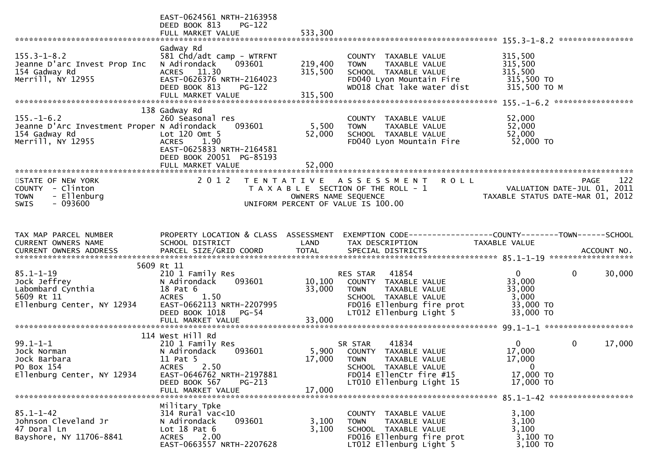|                                                                                                       | EAST-0624561 NRTH-2163958<br>DEED BOOK 813<br>$PG-122$<br>FULL MARKET VALUE                                                                                                 | 533,300                       |                                                                                                                                                    |                                                                     | ****************       |
|-------------------------------------------------------------------------------------------------------|-----------------------------------------------------------------------------------------------------------------------------------------------------------------------------|-------------------------------|----------------------------------------------------------------------------------------------------------------------------------------------------|---------------------------------------------------------------------|------------------------|
| $155.3 - 1 - 8.2$<br>Jeanne D'arc Invest Prop Inc<br>154 Gadway Rd<br>Merrill, NY 12955               | Gadway Rd<br>581 Chd/adt camp - WTRFNT<br>N Adirondack<br>093601<br>ACRES 11.30<br>EAST-0626376 NRTH-2164023<br>DEED BOOK 813<br><b>PG-122</b><br>FULL MARKET VALUE         | 219,400<br>315,500<br>315,500 | COUNTY TAXABLE VALUE<br>TAXABLE VALUE<br><b>TOWN</b><br>SCHOOL TAXABLE VALUE<br>FD040 Lyon Mountain Fire<br>WD018 Chat lake water dist             | 315,500<br>315,500<br>315,500<br>315,500 TO<br>315,500 ТО М         |                        |
| $155. - 1 - 6.2$<br>Jeanne D'Arc Investment Proper N Adirondack<br>154 Gadway Rd<br>Merrill, NY 12955 | 138 Gadway Rd<br>260 Seasonal res<br>093601<br>Lot $120$ Omt $5$<br>1.90<br><b>ACRES</b><br>EAST-0625833 NRTH-2164581<br>DEED BOOK 20051 PG-85193                           | 5,500<br>52,000               | COUNTY TAXABLE VALUE<br>TAXABLE VALUE<br><b>TOWN</b><br>SCHOOL TAXABLE VALUE<br>FD040 Lyon Mountain Fire                                           | 52,000<br>52,000<br>52,000<br>52,000 TO                             |                        |
| STATE OF NEW YORK<br>COUNTY - Clinton<br>- Ellenburg<br><b>TOWN</b><br>$-093600$<br><b>SWIS</b>       | 2 0 1 2                                                                                                                                                                     | OWNERS NAME SEQUENCE          | TENTATIVE ASSESSMENT<br><b>ROLL</b><br>T A X A B L E SECTION OF THE ROLL - 1<br>UNIFORM PERCENT OF VALUE IS 100.00                                 | VALUATION DATE-JUL 01, 2011<br>TAXABLE STATUS DATE-MAR 01, 2012     | 122<br><b>PAGE</b>     |
| TAX MAP PARCEL NUMBER<br>CURRENT OWNERS NAME                                                          | PROPERTY LOCATION & CLASS ASSESSMENT<br>SCHOOL DISTRICT                                                                                                                     | LAND                          | TAX DESCRIPTION                                                                                                                                    | TAXABLE VALUE                                                       |                        |
| $85.1 - 1 - 19$<br>Jock Jeffrey<br>Labombard Cynthia<br>5609 Rt 11<br>Ellenburg Center, NY 12934      | 5609 Rt 11<br>210 1 Family Res<br>N Adirondack<br>093601<br>18 Pat 6<br>1.50<br><b>ACRES</b><br>EAST-0662113 NRTH-2207995<br>DEED BOOK 1018<br>$PG-54$<br>FULL MARKET VALUE | 10,100<br>33,000<br>33,000    | 41854<br>RES STAR<br>COUNTY TAXABLE VALUE<br>TAXABLE VALUE<br>TOWN<br>SCHOOL TAXABLE VALUE<br>FD016 Ellenburg fire prot<br>LT012 Ellenburg Light 5 | $\mathbf{0}$<br>33,000<br>33,000<br>3,000<br>33,000 TO<br>33,000 TO | $\mathbf{0}$<br>30,000 |
| $99.1 - 1 - 1$<br>Jock Norman<br>Jock Barbara<br>PO Box 154<br>Ellenburg Center, NY 12934             | 114 West Hill Rd<br>210 1 Family Res<br>N Adirondack<br>093601<br>11 Pat 5<br>ACRES 2.50<br>EAST-0646762 NRTH-2197881<br>DEED BOOK 567<br>PG-213<br>FULL MARKET VALUE       | 17,000 TOWN<br>17,000         | 41834<br>SR STAR<br>5,900 COUNTY TAXABLE VALUE<br>TAXABLE VALUE<br>SCHOOL TAXABLE VALUE<br>FD014 EllenCtr fire #15<br>LT010 Ellenburg Light 15     | $\mathbf{0}$<br>17,000<br>17,000<br>- 0<br>17,000 TO<br>17,000 TO   | 0<br>17,000            |
| $85.1 - 1 - 42$<br>Johnson Cleveland Jr<br>47 Doral Ln<br>Bayshore, NY 11706-8841                     | Military Tpke<br>$314$ Rural vac<10<br>N Adirondack<br>093601<br>Lot $18$ Pat $6$<br>ACRES<br>2.00<br>EAST-0663557 NRTH-2207628                                             | 3,100<br>3,100                | COUNTY TAXABLE VALUE<br>TAXABLE VALUE<br>TOWN<br>SCHOOL TAXABLE VALUE<br>FD016 Ellenburg fire prot<br>LT012 Ellenburg Light 5                      | 3,100<br>3,100<br>3,100<br>3,100 TO<br>3,100 TO                     |                        |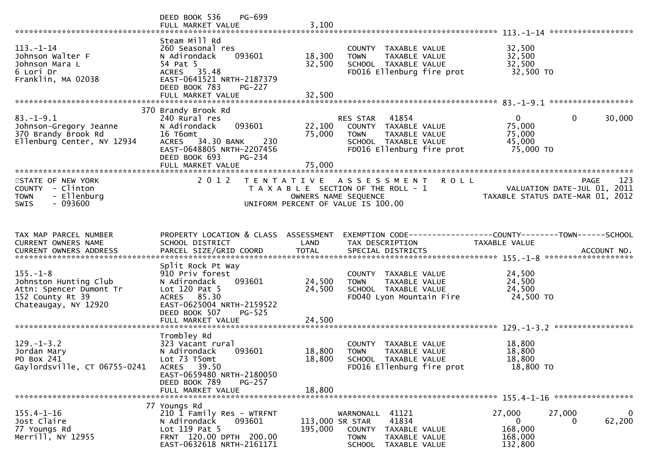|                                                                                                                | PG-699<br>DEED BOOK 536                                                                                                                                             |                            |                                                                                                                                 |                                                         | ******************                                              |
|----------------------------------------------------------------------------------------------------------------|---------------------------------------------------------------------------------------------------------------------------------------------------------------------|----------------------------|---------------------------------------------------------------------------------------------------------------------------------|---------------------------------------------------------|-----------------------------------------------------------------|
| $113. - 1 - 14$<br>Johnson Walter F<br>Johnson Mara L<br>6 Lori Dr<br>Franklin, MA 02038                       | Steam Mill Rd<br>260 Seasonal res<br>N Adirondack<br>093601<br>54 Pat 5<br>ACRES 35.48<br>EAST-0641521 NRTH-2187379<br>DEED BOOK 783<br>PG-227<br>FULL MARKET VALUE | 18,300<br>32,500<br>32,500 | COUNTY TAXABLE VALUE<br>TAXABLE VALUE<br><b>TOWN</b><br>SCHOOL TAXABLE VALUE<br>FD016 Ellenburg fire prot                       | 32,500<br>32,500<br>32,500<br>32,500 TO                 |                                                                 |
|                                                                                                                | 370 Brandy Brook Rd                                                                                                                                                 |                            |                                                                                                                                 |                                                         |                                                                 |
| $83. - 1 - 9.1$<br>Johnson-Gregory Jeanne<br>370 Brandy Brook Rd<br>Ellenburg Center, NY 12934                 | 240 Rural res<br>093601<br>N Adirondack<br>16 T6omt<br>ACRES 34.30 BANK<br>230<br>EAST-0648805 NRTH-2207456<br>DEED BOOK 693<br>PG-234<br>FULL MARKET VALUE         | 22,100<br>75,000<br>75,000 | 41854<br>RES STAR<br>COUNTY TAXABLE VALUE<br><b>TOWN</b><br>TAXABLE VALUE<br>SCHOOL TAXABLE VALUE<br>FD016 Ellenburg fire prot  | $\mathbf{0}$<br>75,000<br>75,000<br>45,000<br>75,000 TO | $\mathbf 0$<br>30,000                                           |
| STATE OF NEW YORK                                                                                              | 2 0 1 2                                                                                                                                                             |                            | <b>ROLL</b><br>A S S E S S M E N T                                                                                              |                                                         | 123<br><b>PAGE</b>                                              |
| COUNTY - Clinton<br>- Ellenburg<br><b>TOWN</b><br>$-093600$<br>SWIS                                            |                                                                                                                                                                     | T E N T A T I V E          | T A X A B L E SECTION OF THE ROLL - 1<br>OWNERS NAME SEQUENCE<br>UNIFORM PERCENT OF VALUE IS 100.00                             |                                                         | VALUATION DATE-JUL 01, 2011<br>TAXABLE STATUS DATE-MAR 01, 2012 |
|                                                                                                                |                                                                                                                                                                     |                            |                                                                                                                                 |                                                         |                                                                 |
| TAX MAP PARCEL NUMBER<br>CURRENT OWNERS NAME                                                                   | PROPERTY LOCATION & CLASS ASSESSMENT<br>SCHOOL DISTRICT                                                                                                             | LAND                       | EXEMPTION CODE-----------------COUNTY-------TOWN------SCHOOL<br>TAX DESCRIPTION                                                 | TAXABLE VALUE                                           |                                                                 |
|                                                                                                                |                                                                                                                                                                     |                            |                                                                                                                                 |                                                         |                                                                 |
| $155. - 1 - 8$<br>Johnston Hunting Club<br>Attn: Spencer Dumont Tr<br>152 County Rt 39<br>Chateaugay, NY 12920 | Split Rock Pt Way<br>910 Priv forest<br>093601<br>N Adirondack<br>Lot $120$ Pat 5<br>ACRES 85.30<br>EAST-0625004 NRTH-2159522<br>DEED BOOK 507<br>$PG-525$          | 24,500<br>24,500           | COUNTY TAXABLE VALUE<br>TAXABLE VALUE<br><b>TOWN</b><br>SCHOOL TAXABLE VALUE<br>FD040 Lyon Mountain Fire                        | 24,500<br>24,500<br>24,500<br>24,500 TO                 |                                                                 |
|                                                                                                                | FULL MARKET VALUE                                                                                                                                                   | 24,500                     |                                                                                                                                 |                                                         |                                                                 |
| $129. - 1 - 3.2$<br>Jordan Mary<br>PO Box 241<br>Gaylordsville, CT 06755-0241                                  | Trombley Rd<br>323 Vacant rural<br>093601<br>N Adirondack<br>Lot 73 T5omt<br>39.50<br>ACRES<br>EAST-0659480 NRTH-2180050<br>DEED BOOK 789<br>PG-257                 | 18,800<br>18,800           | COUNTY TAXABLE VALUE<br><b>TOWN</b><br><b>TAXABLE VALUE</b><br>SCHOOL TAXABLE VALUE<br>FD016 Ellenburg fire prot                | 18,800<br>18,800<br>18,800<br>18,800 TO                 |                                                                 |
|                                                                                                                | FULL MARKET VALUE                                                                                                                                                   | 18,800                     |                                                                                                                                 |                                                         |                                                                 |
|                                                                                                                | 77 Youngs Rd                                                                                                                                                        |                            |                                                                                                                                 |                                                         |                                                                 |
| $155.4 - 1 - 16$<br>Jost Claire<br>77 Youngs Rd<br>Merrill, NY 12955                                           | 210 1 Family Res - WTRFNT<br>093601<br>N Adirondack<br>Lot 119 Pat 5<br>FRNT 120.00 DPTH 200.00<br>EAST-0632618 NRTH-2161171                                        | 113,000 SR STAR<br>195,000 | 41121<br>WARNONALL<br>41834<br><b>COUNTY</b><br>TAXABLE VALUE<br><b>TOWN</b><br>TAXABLE VALUE<br><b>SCHOOL</b><br>TAXABLE VALUE | 27,000<br>$\mathbf{0}$<br>168,000<br>168,000<br>132,800 | $\mathbf 0$<br>27,000<br>62,200<br>0                            |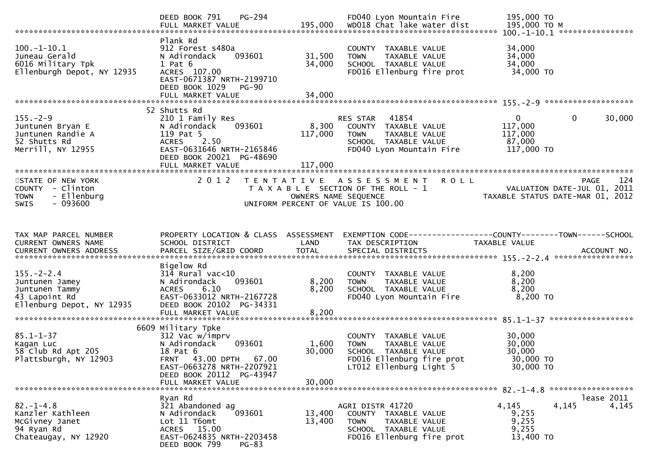|                                                                                                    | PG-294<br>DEED BOOK 791<br>FULL MARKET VALUE                                                                                                                                  | 195,000                     | FD040 Lyon Mountain Fire<br>WD018 Chat lake water dist                                                                               | 195,000 TO<br>195,000 ТО М                                      |                       |
|----------------------------------------------------------------------------------------------------|-------------------------------------------------------------------------------------------------------------------------------------------------------------------------------|-----------------------------|--------------------------------------------------------------------------------------------------------------------------------------|-----------------------------------------------------------------|-----------------------|
| $100.-1-10.1$<br>Juneau Gerald<br>6016 Military Tpk<br>Ellenburgh Depot, NY 12935                  | Plank Rd<br>912 Forest s480a<br>N Adirondack<br>093601<br>$1$ Pat $6$<br>ACRES 107.00<br>EAST-0671387 NRTH-2199710<br>DEED BOOK 1029 PG-90<br>FULL MARKET VALUE               | 31,500<br>34,000<br>34,000  | COUNTY TAXABLE VALUE<br>TAXABLE VALUE<br><b>TOWN</b><br>SCHOOL TAXABLE VALUE<br>FD016 Ellenburg fire prot                            | 34,000<br>34,000<br>34,000<br>34,000 TO                         |                       |
|                                                                                                    |                                                                                                                                                                               |                             |                                                                                                                                      |                                                                 |                       |
| $155. - 2 - 9$<br>Juntunen Bryan E<br>Juntunen Randie A<br>52 Shutts Rd<br>Merrill, NY 12955       | 52 Shutts Rd<br>210 1 Family Res<br>093601<br>N Adirondack<br>119 Pat 5<br>2.50<br><b>ACRES</b><br>EAST-0631646 NRTH-2165846<br>DEED BOOK 20021 PG-48690<br>FULL MARKET VALUE | 8,300<br>117,000<br>117,000 | 41854<br>RES STAR<br>COUNTY TAXABLE VALUE<br><b>TOWN</b><br>TAXABLE VALUE<br>SCHOOL TAXABLE VALUE<br>FD040 Lyon Mountain Fire        | $\mathbf{0}$<br>117,000<br>117,000<br>87,000<br>117,000 TO      | $\mathbf 0$<br>30,000 |
| STATE OF NEW YORK<br>COUNTY - Clinton<br>- Ellenburg<br><b>TOWN</b><br>$-093600$<br>SWIS           | 2 0 1 2                                                                                                                                                                       | OWNERS NAME SEQUENCE        | TENTATIVE ASSESSMENT<br><b>ROLL</b><br>T A X A B L E SECTION OF THE ROLL - 1<br>UNIFORM PERCENT OF VALUE IS 100.00                   | VALUATION DATE-JUL 01, 2011<br>TAXABLE STATUS DATE-MAR 01, 2012 | <b>PAGE</b><br>124    |
| TAX MAP PARCEL NUMBER<br>CURRENT OWNERS NAME                                                       | PROPERTY LOCATION & CLASS ASSESSMENT<br>SCHOOL DISTRICT                                                                                                                       | LAND                        | EXEMPTION CODE-----------------COUNTY--------TOWN-----SCHOOL<br>TAX DESCRIPTION                                                      | TAXABLE VALUE                                                   |                       |
| $155. - 2 - 2.4$<br>Juntunen Jamey<br>Juntunen Tammy<br>43 Lapoint Rd<br>Ellenburg Depot, NY 12935 | Bigelow Rd<br>$314$ Rural vac< $10$<br>093601<br>N Adirondack<br>6.10<br><b>ACRES</b><br>EAST-0633012 NRTH-2167728<br>DEED BOOK 20102 PG-34331<br>FULL MARKET VALUE           | 8,200<br>8,200<br>8,200     | COUNTY TAXABLE VALUE<br>TAXABLE VALUE<br><b>TOWN</b><br>SCHOOL TAXABLE VALUE<br>FD040 Lyon Mountain Fire                             | 8,200<br>8,200<br>8,200<br>8,200 TO                             |                       |
|                                                                                                    | 6609 Military Tpke                                                                                                                                                            |                             |                                                                                                                                      |                                                                 |                       |
| $85.1 - 1 - 37$<br>Kagan Luc<br>58 Club Rd Apt 205<br>Plattsburgh, NY 12903                        | 312 Vac w/imprv<br>093601<br>N Adirondack<br>18 Pat 6<br><b>FRNT 43.00 DPTH</b><br>67.00<br>EAST-0663278 NRTH-2207921<br>DEED BOOK 20112 PG-43947                             | 1,600<br>30,000             | COUNTY TAXABLE VALUE<br>TAXABLE VALUE<br><b>TOWN</b><br>SCHOOL TAXABLE VALUE<br>FD016 Ellenburg fire prot<br>LT012 Ellenburg Light 5 | 30,000<br>30,000<br>30,000<br>30,000 TO<br>30,000 TO            |                       |
|                                                                                                    | FULL MARKET VALUE                                                                                                                                                             | 30,000                      |                                                                                                                                      |                                                                 | ******************    |
| $82. - 1 - 4.8$<br>Kanzler Kathleen<br>McGivney Janet<br>94 Ryan Rd<br>Chateaugay, NY 12920        | Ryan Rd<br>321 Abandoned ag<br>N Adirondack<br>093601<br>Lot 11 T6omt<br>ACRES 15.00<br>EAST-0624835 NRTH-2203458<br>DEED BOOK 799<br>$PG-83$                                 | 13,400<br>13,400            | AGRI DISTR 41720<br>COUNTY TAXABLE VALUE<br>TAXABLE VALUE<br>TOWN<br>SCHOOL TAXABLE VALUE<br>FD016 Ellenburg fire prot               | 4,145<br>4,145<br>9,255<br>9,255<br>9,255<br>13,400 TO          | lease 2011<br>4,145   |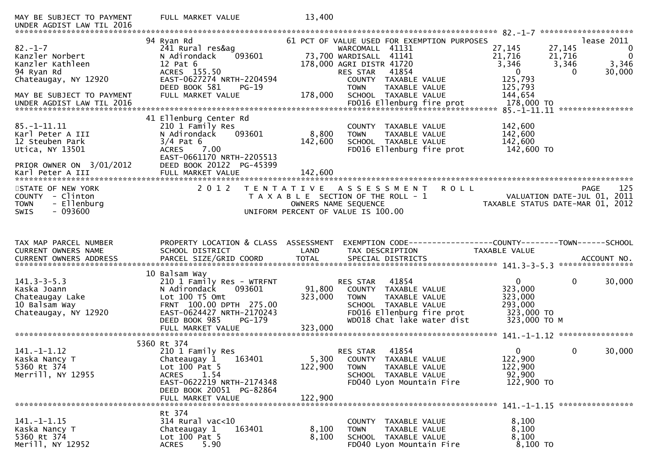| MAY BE SUBJECT TO PAYMENT<br>UNDER AGDIST LAW TIL 2016                                                                      | FULL MARKET VALUE                                                                                                                                                                         | 13,400                      |                                                                                                                                                                                                                           |                                                                                                |                                                                              |
|-----------------------------------------------------------------------------------------------------------------------------|-------------------------------------------------------------------------------------------------------------------------------------------------------------------------------------------|-----------------------------|---------------------------------------------------------------------------------------------------------------------------------------------------------------------------------------------------------------------------|------------------------------------------------------------------------------------------------|------------------------------------------------------------------------------|
| $82 - 1 - 7$<br>Kanzler Norbert<br>Kanzler Kathleen<br>94 Ryan Rd<br>Chateaugay, NY 12920<br>MAY BE SUBJECT TO PAYMENT      | 94 Ryan Rd<br>241 Rural res&ag<br>093601<br>N Adirondack<br>12 Pat 6<br>ACRES 155.50<br>EAST-0627274 NRTH-2204594<br>DEED BOOK 581<br>$PG-19$<br>FULL MARKET VALUE                        | 178,000                     | 61 PCT OF VALUE USED FOR EXEMPTION PURPOSES<br>WARCOMALL 41131<br>73,700 WARDISALL 41141<br>178,000 AGRI DISTR 41720<br>41854<br>RES STAR<br>COUNTY TAXABLE VALUE<br>TAXABLE VALUE<br><b>TOWN</b><br>SCHOOL TAXABLE VALUE | 27,145<br>27,145<br>21,716<br>21,716<br>3,346<br>$\mathbf{0}$<br>125,793<br>125,793<br>144,654 | lease 2011<br>$\mathbf 0$<br>$\overline{0}$<br>3,346<br>3,346<br>30,000<br>0 |
| $85. - 1 - 11.11$<br>Karl Peter A III<br>12 Steuben Park<br>Utica, NY 13501<br>PRIOR OWNER ON 3/01/2012<br>Karl Peter A III | 41 Ellenburg Center Rd<br>210 1 Family Res<br>093601<br>N Adirondack<br>$3/4$ Pat 6<br><b>ACRES</b><br>7.00<br>EAST-0661170 NRTH-2205513<br>DEED BOOK 20122 PG-45399<br>FULL MARKET VALUE | 8,800<br>142,600<br>142,600 | <b>COUNTY</b><br>TAXABLE VALUE<br><b>TOWN</b><br>TAXABLE VALUE<br>SCHOOL TAXABLE VALUE<br>FD016 Ellenburg fire prot                                                                                                       | 142,600<br>142,600<br>142,600<br>142,600 TO                                                    |                                                                              |
| STATE OF NEW YORK<br>COUNTY - Clinton<br>- Ellenburg<br><b>TOWN</b><br>$-093600$<br><b>SWIS</b>                             | 2 0 1 2                                                                                                                                                                                   | T E N T A T I V E           | ROLL<br>ASSESSMENT<br>T A X A B L E SECTION OF THE ROLL - 1<br>OWNERS NAME SEQUENCE<br>UNIFORM PERCENT OF VALUE IS 100.00                                                                                                 | TAXABLE STATUS DATE-MAR 01, 2012                                                               | 125<br><b>PAGE</b><br>VALUATION DATE-JUL 01, 2011                            |
|                                                                                                                             |                                                                                                                                                                                           |                             |                                                                                                                                                                                                                           |                                                                                                |                                                                              |
| TAX MAP PARCEL NUMBER<br>CURRENT OWNERS NAME<br>CURRENT OWNERS ADDRESS                                                      | PROPERTY LOCATION & CLASS ASSESSMENT<br>SCHOOL DISTRICT<br>PARCEL SIZE/GRID COORD                                                                                                         | LAND<br><b>TOTAL</b>        | TAX DESCRIPTION<br>SPECIAL DISTRICTS                                                                                                                                                                                      | TAXABLE VALUE                                                                                  | ACCOUNT NO.<br>****************                                              |
| $141.3 - 3 - 5.3$<br>Kaska Joann<br>Chateaugay Lake<br>10 Balsam Way<br>Chateaugay, NY 12920                                | 10 Balsam Way<br>210 1 Family Res - WTRFNT<br>N Adirondack<br>093601<br>Lot 100 T5 Omt<br>FRNT 100.00 DPTH 275.00<br>EAST-0624427 NRTH-2170243<br>DEED BOOK 985<br>PG-179                 | 91,800<br>323,000           | 41854<br>RES STAR<br>COUNTY TAXABLE VALUE<br>TAXABLE VALUE<br><b>TOWN</b><br>SCHOOL TAXABLE VALUE<br>FD016 Ellenburg fire prot<br>WD018 Chat lake water dist                                                              | $\mathbf{0}$<br>323,000<br>323,000<br>293,000<br>323,000 TO<br>323,000 TO M                    | $\mathbf{0}$<br>30,000                                                       |
| $141. - 1 - 1.12$<br>Kaska Nancy T<br>5360 Rt 374<br>Merrill, NY 12955                                                      | 5360 Rt 374<br>210 1 Family Res<br>Chateaugay 1<br>163401<br>Lot $100$ Pat 5<br><b>ACRES</b><br>1.54<br>EAST-0622219 NRTH-2174348<br>DEED BOOK 20051 PG-82864<br>FULL MARKET VALUE        | 5,300<br>122,900<br>122,900 | 41854<br><b>RES STAR</b><br>COUNTY TAXABLE VALUE<br><b>TOWN</b><br>TAXABLE VALUE<br>SCHOOL TAXABLE VALUE<br>FD040 Lyon Mountain Fire                                                                                      | $\overline{0}$<br>122,900<br>122,900<br>92,900<br>122,900 TO                                   | $\mathbf{0}$<br>30,000                                                       |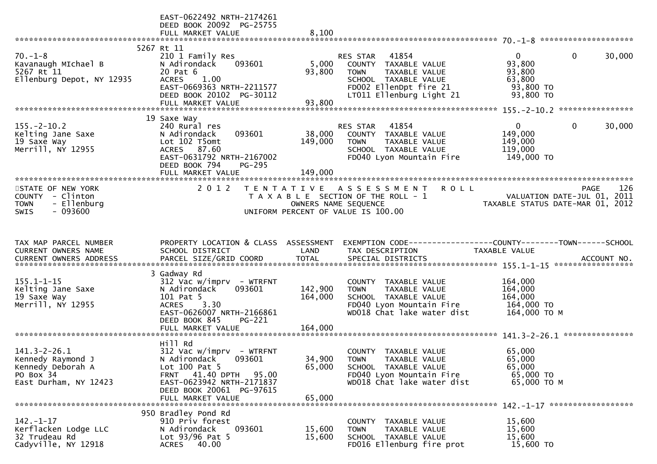|                                                                                                    | EAST-0622492 NRTH-2174261<br>DEED BOOK 20092 PG-25755<br>FULL MARKET VALUE                                                                                                   | 8,100                     |                                                                                                                                                         |                                                                        |                        |
|----------------------------------------------------------------------------------------------------|------------------------------------------------------------------------------------------------------------------------------------------------------------------------------|---------------------------|---------------------------------------------------------------------------------------------------------------------------------------------------------|------------------------------------------------------------------------|------------------------|
|                                                                                                    |                                                                                                                                                                              |                           |                                                                                                                                                         |                                                                        |                        |
| $70. - 1 - 8$<br>Kavanaugh MIchael B<br>5267 Rt 11<br>Ellenburg Depot, NY 12935                    | 5267 Rt 11<br>210 1 Family Res<br>N Adirondack<br>093601<br>20 Pat 6<br>ACRES 1.00<br>EAST-0669363 NRTH-2211577<br>DEED BOOK 20102 PG-30112                                  | 5,000<br>93,800<br>93,800 | RES STAR<br>41854<br>COUNTY TAXABLE VALUE<br>TAXABLE VALUE<br><b>TOWN</b><br>SCHOOL TAXABLE VALUE<br>FD002 EllenDpt fire 21<br>LT011 Ellenburg Light 21 | $\overline{0}$<br>93,800<br>93,800<br>63,800<br>93,800 TO<br>93,800 TO | $\mathbf{0}$<br>30,000 |
|                                                                                                    | FULL MARKET VALUE                                                                                                                                                            |                           |                                                                                                                                                         |                                                                        |                        |
|                                                                                                    | 19 Saxe Way                                                                                                                                                                  |                           |                                                                                                                                                         |                                                                        |                        |
| $155. - 2 - 10.2$<br>Kelting Jane Saxe<br>19 Saxe Way<br>Merrill, NY 12955                         | 240 Rural res<br>093601<br>N Adirondack<br>Lot 102 T5omt<br>ACRES 87.60<br>EAST-0631792 NRTH-2167002<br>DEED BOOK 794<br>$PG-295$                                            | 149,000                   | RES STAR 41854<br>38,000 COUNTY TAXABLE VALUE<br><b>TOWN</b><br>TAXABLE VALUE<br>SCHOOL TAXABLE VALUE<br>FD040 Lyon Mountain Fire                       | $\mathbf{0}$<br>149,000<br>149,000<br>119,000<br>149,000 TO            | 0<br>30,000            |
|                                                                                                    | FULL MARKET VALUE                                                                                                                                                            | 149,000                   |                                                                                                                                                         |                                                                        |                        |
| STATE OF NEW YORK<br>COUNTY - Clinton<br>- Ellenburg<br><b>TOWN</b><br>$-093600$<br><b>SWIS</b>    | 2 0 1 2                                                                                                                                                                      | OWNERS NAME SEQUENCE      | <b>ROLL</b><br>TENTATIVE ASSESSMENT<br>T A X A B L E SECTION OF THE ROLL - 1<br>UNIFORM PERCENT OF VALUE IS 100.00                                      | VALUATION DATE-JUL 01, 2011<br>TAXABLE STATUS DATE-MAR 01, 2012        | 126<br><b>PAGE</b>     |
| TAX MAP PARCEL NUMBER<br>CURRENT OWNERS NAME                                                       | PROPERTY LOCATION & CLASS ASSESSMENT<br>SCHOOL DISTRICT                                                                                                                      | LAND                      | EXEMPTION CODE-----------------COUNTY--------TOWN-----SCHOOL<br>TAX DESCRIPTION                                                                         | TAXABLE VALUE                                                          |                        |
| $155.1 - 1 - 15$<br>Kelting Jane Saxe<br>19 Saxe Way<br>Merrill, NY 12955                          | 3 Gadway Rd<br>$312$ Vac w/imprv - WTRFNT<br>N Adirondack<br>093601<br>101 Pat 5<br>ACRES 3.30<br>EAST-0626007 NRTH-2166861<br>DEED BOOK 845<br>PG-221                       | 142,900<br>164,000        | COUNTY TAXABLE VALUE<br><b>TOWN</b><br>TAXABLE VALUE<br>SCHOOL TAXABLE VALUE<br>FD040 Lyon Mountain Fire<br>WD018 Chat lake water dist                  | 164,000<br>164,000<br>164,000<br>164,000 TO<br>164,000 ТО М            |                        |
|                                                                                                    |                                                                                                                                                                              |                           |                                                                                                                                                         |                                                                        |                        |
| $141.3 - 2 - 26.1$<br>Kennedy Raymond J<br>Kennedy Deborah A<br>PO Box 34<br>East Durham, NY 12423 | Hill Rd<br>$312$ Vac w/imprv - WTRFNT<br>N Adirondack<br>093601<br>Lot 100 Pat 5<br><b>FRNT 41.40 DPTH</b><br>95.00<br>EAST-0623942 NRTH-2171837<br>DEED BOOK 20061 PG-97615 | 34,900<br>65,000          | COUNTY TAXABLE VALUE<br><b>TOWN</b><br>TAXABLE VALUE<br>SCHOOL TAXABLE VALUE<br>FD040 Lyon Mountain Fire<br>WD018 Chat lake water dist                  | 65,000<br>65,000<br>65,000<br>65,000 TO<br>65,000 ТО М                 |                        |
|                                                                                                    | FULL MARKET VALUE                                                                                                                                                            | 65,000                    |                                                                                                                                                         |                                                                        |                        |
| $142. - 1 - 17$<br>Kerflacken Lodge LLC<br>32 Trudeau Rd<br>Cadyville, NY 12918                    | 950 Bradley Pond Rd<br>910 Priv forest<br>093601<br>N Adirondack<br>Lot $93/96$ Pat 5<br>40.00<br>ACRES                                                                      | 15,600<br>15,600          | COUNTY TAXABLE VALUE<br>TAXABLE VALUE<br><b>TOWN</b><br>SCHOOL TAXABLE VALUE<br>FD016 Ellenburg fire prot                                               | 15,600<br>15,600<br>15,600<br>15,600 TO                                |                        |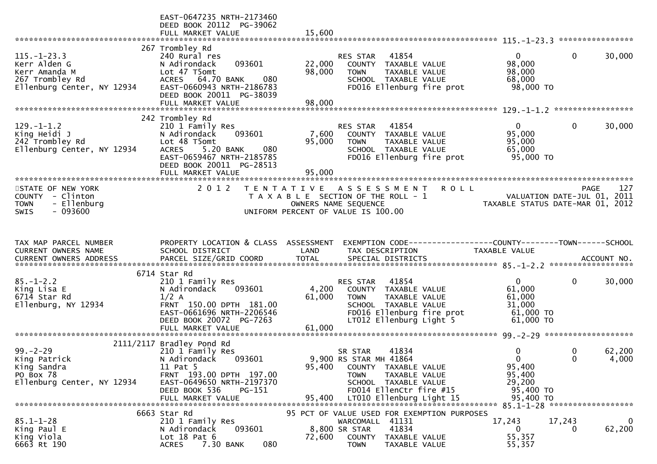|                                                                                                     | EAST-0647235 NRTH-2173460<br>DEED BOOK 20112 PG-39062<br>FULL MARKET VALUE                                                                                                                      | 15,600                     |                                                                                                                                      |                                            |                                                                                 |               |                 |
|-----------------------------------------------------------------------------------------------------|-------------------------------------------------------------------------------------------------------------------------------------------------------------------------------------------------|----------------------------|--------------------------------------------------------------------------------------------------------------------------------------|--------------------------------------------|---------------------------------------------------------------------------------|---------------|-----------------|
|                                                                                                     |                                                                                                                                                                                                 |                            |                                                                                                                                      |                                            |                                                                                 |               |                 |
| $115. - 1 - 23.3$<br>Kerr Alden G<br>Kerr Amanda M<br>267 Trombley Rd<br>Ellenburg Center, NY 12934 | 267 Trombley Rd<br>240 Rural res<br>093601<br>N Adirondack<br>Lot 47 T5omt<br>ACRES 64.70 BANK<br>080<br>EAST-0660943 NRTH-2186783<br>DEED BOOK 20011 PG-38039<br>FULL MARKET VALUE             | 22,000<br>98,000<br>98,000 | RES STAR<br>41854<br>COUNTY TAXABLE VALUE<br><b>TOWN</b><br>SCHOOL TAXABLE VALUE                                                     | TAXABLE VALUE<br>FD016 Ellenburg fire prot | $\overline{0}$<br>98,000<br>98,000<br>68,000<br>98,000 TO                       | $\mathbf{0}$  | 30,000          |
|                                                                                                     |                                                                                                                                                                                                 |                            |                                                                                                                                      |                                            |                                                                                 |               |                 |
| $129. - 1 - 1.2$<br>King Heidi J<br>242 Trombley Rd<br>Ellenburg Center, NY 12934                   | 242 Trombley Rd<br>210 1 Family Res<br>093601<br>N Adirondack<br>Lot 48 T5omt<br>080<br><b>ACRES</b><br>5.20 BANK<br>EAST-0659467 NRTH-2185785<br>DEED BOOK 20011 PG-28513<br>FULL MARKET VALUE | 7,600<br>95,000<br>95,000  | RES STAR<br>41854<br>COUNTY TAXABLE VALUE<br><b>TOWN</b><br>SCHOOL TAXABLE VALUE                                                     | TAXABLE VALUE<br>FD016 Ellenburg fire prot | $\overline{0}$<br>95,000<br>95,000<br>65,000<br>95,000 TO                       | $\mathbf{0}$  | 30,000          |
|                                                                                                     | 2012                                                                                                                                                                                            |                            |                                                                                                                                      |                                            |                                                                                 |               |                 |
| STATE OF NEW YORK<br>COUNTY - Clinton<br>- Ellenburg<br><b>TOWN</b><br>$-093600$<br><b>SWIS</b>     |                                                                                                                                                                                                 |                            | TENTATIVE ASSESSMENT<br>T A X A B L E SECTION OF THE ROLL - 1<br>OWNERS NAME SEQUENCE<br>UNIFORM PERCENT OF VALUE IS 100.00          | <b>ROLL</b>                                | VALUATION DATE-JUL 01, 2011<br>TAXABLE STATUS DATE-MAR 01, 2012                 |               | 127<br>PAGE     |
|                                                                                                     |                                                                                                                                                                                                 |                            |                                                                                                                                      |                                            |                                                                                 |               |                 |
| TAX MAP PARCEL NUMBER<br>CURRENT OWNERS NAME                                                        | PROPERTY LOCATION & CLASS ASSESSMENT<br>SCHOOL DISTRICT                                                                                                                                         | LAND                       | TAX DESCRIPTION                                                                                                                      |                                            | EXEMPTION CODE------------------COUNTY--------TOWN------SCHOOL<br>TAXABLE VALUE |               |                 |
|                                                                                                     | 6714 Star Rd                                                                                                                                                                                    |                            |                                                                                                                                      |                                            |                                                                                 |               |                 |
| $85. - 1 - 2.2$<br>King Lisa E<br>6714 Star Rd<br>Ellenburg, NY 12934                               | 210 1 Family Res<br>N Adirondack<br>093601<br>$1/2$ A<br>FRNT 150.00 DPTH 181.00<br>EAST-0661696 NRTH-2206546<br>DEED BOOK 20072 PG-7263<br>FULL MARKET VALUE                                   | 4,200<br>61,000<br>61,000  | 41854<br>RES STAR<br>COUNTY TAXABLE VALUE<br><b>TOWN</b><br>SCHOOL TAXABLE VALUE<br>LT012 Ellenburg Light 5                          | TAXABLE VALUE<br>FD016 Ellenburg fire prot | $\overline{0}$<br>61,000<br>61,000<br>31,000<br>$61,000$ TO<br>61,000 TO        | 0             | 30,000          |
|                                                                                                     |                                                                                                                                                                                                 |                            |                                                                                                                                      |                                            |                                                                                 |               |                 |
| $99 - 2 - 29$<br>King Patrick<br>King Sandra<br>PO Box 78<br>Ellenburg Center, NY 12934             | 2111/2117 Bradley Pond Rd<br>210 1 Family Res<br>093601<br>N Adirondack<br>11 Pat 5<br>FRNT 193.00 DPTH 197.00<br>EAST-0649650 NRTH-2197370<br>DEED BOOK 536<br>PG-151                          | 95,400                     | 41834<br>SR STAR<br>9,900 RS STAR MH 41864<br>COUNTY TAXABLE VALUE<br><b>TOWN</b><br>SCHOOL TAXABLE VALUE<br>FD014 EllenCtr fire #15 | TAXABLE VALUE                              | 0<br>$\Omega$<br>95,400<br>95,400<br>29,200<br>95,400 TO                        | 0<br>$\Omega$ | 62,200<br>4,000 |
|                                                                                                     |                                                                                                                                                                                                 |                            |                                                                                                                                      |                                            |                                                                                 |               |                 |
|                                                                                                     | 6663 Star Rd                                                                                                                                                                                    |                            | 95 PCT OF VALUE USED FOR EXEMPTION PURPOSES                                                                                          |                                            |                                                                                 |               |                 |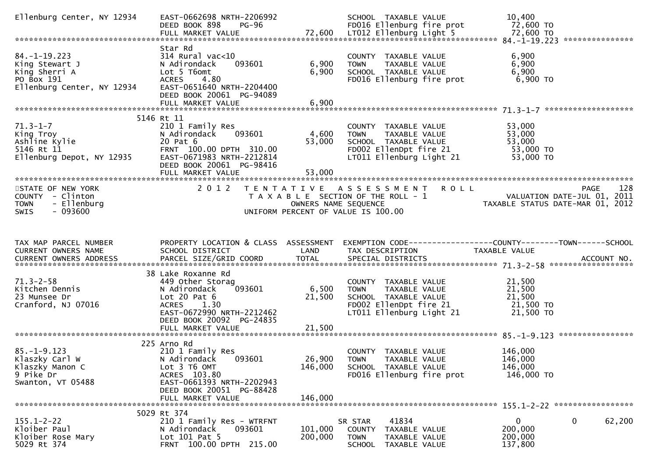| Ellenburg Center, NY 12934                                                                       | EAST-0662698 NRTH-2206992<br>DEED BOOK 898<br>PG-96                                                                                                        |                           | SCHOOL TAXABLE VALUE<br>FD016 Ellenburg fire prot                                                                                                          | 10,400<br>72,600 TO                                                            |        |
|--------------------------------------------------------------------------------------------------|------------------------------------------------------------------------------------------------------------------------------------------------------------|---------------------------|------------------------------------------------------------------------------------------------------------------------------------------------------------|--------------------------------------------------------------------------------|--------|
|                                                                                                  |                                                                                                                                                            |                           |                                                                                                                                                            |                                                                                |        |
| $84. -1 - 19.223$<br>King Stewart J<br>King Sherri A<br>PO Box 191<br>Ellenburg Center, NY 12934 | Star Rd<br>$314$ Rural vac<10<br>N Adirondack<br>093601<br>Lot 5 T6omt<br>ACRES<br>4.80<br>EAST-0651640 NRTH-2204400<br>DEED BOOK 20061 PG-94089           | 6,900<br>6,900            | COUNTY TAXABLE VALUE<br><b>TOWN</b><br>TAXABLE VALUE<br>SCHOOL TAXABLE VALUE<br>FD016 Ellenburg fire prot                                                  | 6,900<br>6,900<br>6,900<br>6,900 TO                                            |        |
|                                                                                                  | FULL MARKET VALUE                                                                                                                                          | 6,900                     |                                                                                                                                                            |                                                                                |        |
|                                                                                                  |                                                                                                                                                            |                           |                                                                                                                                                            |                                                                                |        |
| $71.3 - 1 - 7$<br>King Troy<br>Ashline Kylie<br>5146 Rt 11<br>Ellenburg Depot, NY 12935          | 5146 Rt 11<br>210 1 Family Res<br>093601<br>N Adirondack<br>20 Pat 6<br>FRNT 100.00 DPTH 310.00<br>EAST-0671983 NRTH-2212814<br>DEED BOOK 20061 PG-98416   | 4,600<br>53,000           | COUNTY TAXABLE VALUE<br><b>TOWN</b><br>TAXABLE VALUE<br>SCHOOL TAXABLE VALUE<br>SCHOOL TAXABLE VALUE<br>FD002 EllenDpt fire 21<br>LT011 Ellenburg Light 21 | 53,000<br>53,000<br>53,000<br>53,000 TO<br>53,000 TO                           |        |
|                                                                                                  | FULL MARKET VALUE                                                                                                                                          | 53,000                    |                                                                                                                                                            |                                                                                |        |
| STATE OF NEW YORK<br>COUNTY - Clinton<br><b>TOWN</b><br>- Ellenburg<br>$-093600$<br><b>SWIS</b>  | 2 0 1 2                                                                                                                                                    |                           | TENTATIVE ASSESSMENT ROLL<br>T A X A B L E SECTION OF THE ROLL - 1<br>OWNERS NAME SEQUENCE<br>UNIFORM PERCENT OF VALUE IS 100.00                           | <b>PAGE</b><br>VALUATION DATE-JUL 01, 2011<br>TAXABLE STATUS DATE-MAR 01, 2012 | 128    |
|                                                                                                  |                                                                                                                                                            |                           |                                                                                                                                                            |                                                                                |        |
| TAX MAP PARCEL NUMBER<br>CURRENT OWNERS NAME                                                     | PROPERTY LOCATION & CLASS ASSESSMENT<br>SCHOOL DISTRICT                                                                                                    | LAND                      | TAX DESCRIPTION                                                                                                                                            | EXEMPTION CODE-----------------COUNTY-------TOWN------SCHOOL<br>TAXABLE VALUE  |        |
|                                                                                                  | 38 Lake Roxanne Rd                                                                                                                                         |                           |                                                                                                                                                            |                                                                                |        |
| $71.3 - 2 - 58$<br>Kitchen Dennis<br>23 Munsee Dr<br>Cranford, NJ 07016                          | 449 Other Storag<br>093601<br>N Adirondack<br>Lot $20$ Pat $6$<br>ACRES 1.30<br>EAST-0672990 NRTH-2212462<br>DEED BOOK 20092 PG-24835<br>FULL MARKET VALUE | 6,500<br>21,500<br>21,500 | COUNTY TAXABLE VALUE<br><b>TOWN</b><br>TAXABLE VALUE<br>SCHOOL TAXABLE VALUE<br>FD002 EllenDpt fire 21<br>LT011 Ellenburg Light 21                         | 21,500<br>21,500<br>21,500<br>21,500 TO<br>21,500 TO                           |        |
|                                                                                                  |                                                                                                                                                            |                           |                                                                                                                                                            |                                                                                |        |
| $85. - 1 - 9.123$<br>Klaszky Carl W<br>Klaszky Manon C<br>9 Pike Dr<br>Swanton, VT 05488         | 225 Arno Rd<br>210 1 Family Res<br>N Adirondack<br>093601<br>Lot 3 T6 OMT<br>ACRES 103.80<br>EAST-0661393 NRTH-2202943<br>DEED BOOK 20051 PG-88428         | 26,900<br>146,000         | COUNTY TAXABLE VALUE<br><b>TOWN</b><br>TAXABLE VALUE<br>SCHOOL TAXABLE VALUE<br>FD016 Ellenburg fire prot                                                  | 146,000<br>146,000<br>146,000<br>146,000 TO                                    |        |
|                                                                                                  | FULL MARKET VALUE                                                                                                                                          | 146,000                   |                                                                                                                                                            |                                                                                |        |
|                                                                                                  | 5029 Rt 374                                                                                                                                                |                           |                                                                                                                                                            |                                                                                |        |
| $155.1 - 2 - 22$<br>Kloiber Paul<br>Kloiber Rose Mary<br>5029 Rt 374                             | 210 1 Family Res - WTRFNT<br>093601<br>N Adirondack<br>Lot $101$ Pat 5<br>FRNT 100.00 DPTH 215.00                                                          | 101,000<br>200,000        | 41834<br>SR STAR<br>TAXABLE VALUE<br><b>COUNTY</b><br>TAXABLE VALUE<br><b>TOWN</b><br>SCHOOL TAXABLE VALUE                                                 | 0<br>0<br>200,000<br>200,000<br>137,800                                        | 62,200 |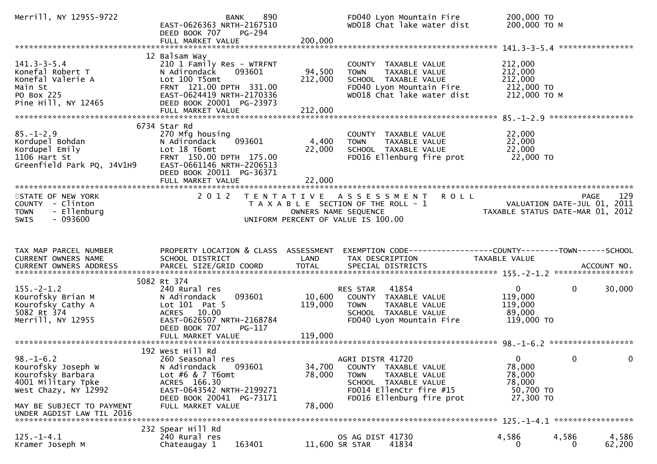| Merrill, NY 12955-9722                                                                                                                                             | 890<br><b>BANK</b><br>EAST-0626363 NRTH-2167510<br>DEED BOOK 707<br>PG-294<br>FULL MARKET VALUE                                                                                    | 200,000                    | FD040 Lyon Mountain Fire<br>WD018 Chat lake water dist                                                                                                   | 200,000 TO<br>200,000 ТО М                                                    |              |          |
|--------------------------------------------------------------------------------------------------------------------------------------------------------------------|------------------------------------------------------------------------------------------------------------------------------------------------------------------------------------|----------------------------|----------------------------------------------------------------------------------------------------------------------------------------------------------|-------------------------------------------------------------------------------|--------------|----------|
|                                                                                                                                                                    | 12 Balsam Way                                                                                                                                                                      |                            |                                                                                                                                                          |                                                                               |              |          |
| $141.3 - 3 - 5.4$<br>Konefal Robert T<br>Konefal Valerie A<br>Main St<br>PO Box 225<br>Pine Hill, NY 12465                                                         | 210 1 Family Res - WTRFNT<br>N Adirondack<br>093601<br>Lot 100 T5omt<br>FRNT 121.00 DPTH 331.00<br>EAST-0624419 NRTH-2170336<br>DEED BOOK 20001 PG-23973                           | 94,500<br>212,000          | COUNTY TAXABLE VALUE<br>TAXABLE VALUE<br><b>TOWN</b><br>SCHOOL TAXABLE VALUE<br>FD040 Lyon Mountain Fire<br>WD018 Chat lake water dist                   | 212,000<br>212,000<br>212,000<br>212,000 TO<br>212,000 TO M                   |              |          |
|                                                                                                                                                                    | 6734 Star Rd                                                                                                                                                                       |                            |                                                                                                                                                          |                                                                               |              |          |
| $85. - 1 - 2.9$<br>Kordupel Bohdan<br>"Cadunel Emily<br>Kordupel Emily<br>1106 Hart St<br>Greenfield Park PQ, J4V1H9                                               | 270 Mfg housing<br>093601<br>N Adirondack<br>Lot 18 T6omt<br>FRNT 150.00 DPTH 175.00<br>EAST-0661146 NRTH-2206513<br>DEED BOOK 20011 PG-36371                                      | 4,400<br>22,000            | COUNTY TAXABLE VALUE<br>TAXABLE VALUE<br><b>TOWN</b><br>SCHOOL TAXABLE VALUE<br>FD016 Ellenburg fire prot                                                | 22,000<br>22,000<br>22,000<br>22,000 TO                                       |              |          |
|                                                                                                                                                                    | FULL MARKET VALUE                                                                                                                                                                  | 22,000                     |                                                                                                                                                          |                                                                               |              |          |
| STATE OF NEW YORK<br>COUNTY - Clinton<br>- Ellenburg<br><b>TOWN</b><br>$-093600$<br>SWIS                                                                           | 2 0 1 2                                                                                                                                                                            |                            | TENTATIVE ASSESSMENT ROLL<br>T A X A B L E SECTION OF THE ROLL - 1<br>OWNERS NAME SEQUENCE<br>UNIFORM PERCENT OF VALUE IS 100.00                         | VALUATION DATE-JUL 01, 2011<br>2011 - TAXABLE STATUS DATE-MAR 01, 2012        | PAGE         | 129      |
|                                                                                                                                                                    |                                                                                                                                                                                    |                            |                                                                                                                                                          |                                                                               |              |          |
| TAX MAP PARCEL NUMBER<br>CURRENT OWNERS NAME                                                                                                                       | SCHOOL DISTRICT                                                                                                                                                                    | LAND                       | PROPERTY LOCATION & CLASS ASSESSMENT EXEMPTION CODE---------------COUNTY-------TOWN------SCHOOL<br>TAX DESCRIPTION                                       | TAXABLE VALUE                                                                 |              |          |
|                                                                                                                                                                    | 5082 Rt 374                                                                                                                                                                        |                            |                                                                                                                                                          |                                                                               |              |          |
| $155. - 2 - 1.2$<br>Kourofsky Brian M<br>Kourofsky Cathy A<br>5082 Rt 374<br>Merrill, NY 12955                                                                     | 240 Rural res<br>093601<br>N Adirondack<br>Lot $101$ Pat 5<br>ACRES 10.00<br>EAST-0626507 NRTH-2168784<br>DEED BOOK 707<br>PG-117                                                  | 10,600<br>119,000          | RES STAR 41854<br>COUNTY TAXABLE VALUE<br><b>TOWN</b><br>TAXABLE VALUE<br>SCHOOL TAXABLE VALUE<br>FD040 Lyon Mountain Fire                               | $\mathbf{0}$<br>119,000<br>119,000<br>89,000<br>119,000 TO                    | $\mathbf{0}$ | 30,000   |
|                                                                                                                                                                    |                                                                                                                                                                                    |                            |                                                                                                                                                          |                                                                               |              |          |
| $98. - 1 - 6.2$<br>Kourofsky Joseph W<br>Kourofsky Barbara<br>4001 Military Tpke<br>West Chazy, NY 12992<br>MAY BE SUBJECT TO PAYMENT<br>UNDER AGDIST LAW TIL 2016 | 192 West Hill Rd<br>260 Seasonal res<br>093601<br>N Adirondack<br>Lot $#6 & 7$ T6omt<br>ACRES 166.30<br>EAST-0643542 NRTH-2199271<br>DEED BOOK 20041 PG-73171<br>FULL MARKET VALUE | 34,700<br>78,000<br>78,000 | AGRI DISTR 41720<br>COUNTY TAXABLE VALUE<br><b>TOWN</b><br>TAXABLE VALUE<br>SCHOOL TAXABLE VALUE<br>FD014 EllenCtr fire #15<br>FD016 Ellenburg fire prot | $\Omega$ and $\Omega$<br>78,000<br>78,000<br>78,000<br>50,700 TO<br>27,300 TO | $\Omega$     | $\Omega$ |
|                                                                                                                                                                    | 232 Spear Hill Rd                                                                                                                                                                  |                            |                                                                                                                                                          |                                                                               |              |          |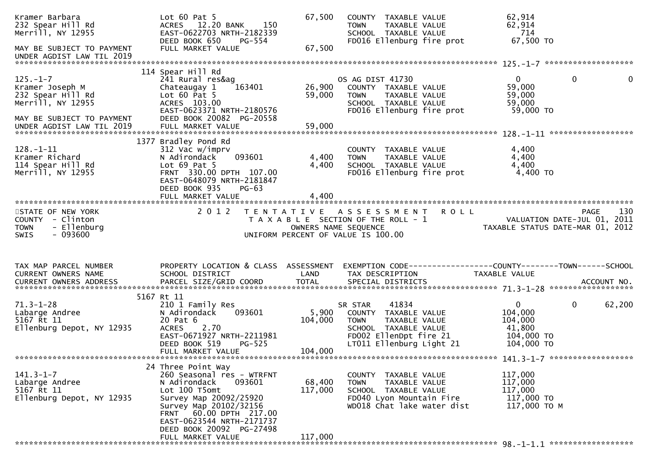| Kramer Barbara<br>232 Spear Hill Rd<br>Merrill, NY 12955<br>MAY BE SUBJECT TO PAYMENT                                                 | Lot $60$ Pat $5$<br>ACRES 12.20 BANK<br>150<br>EAST-0622703 NRTH-2182339<br>DEED BOOK 650<br>PG-554<br>FULL MARKET VALUE                                                                                                                               | 67,500<br>67,500             | COUNTY TAXABLE VALUE<br>TAXABLE VALUE<br><b>TOWN</b><br>SCHOOL TAXABLE VALUE<br>FD016 Ellenburg fire prot                                              | 62,914<br>62,914<br>714<br>67,500 TO                                                     |                    |
|---------------------------------------------------------------------------------------------------------------------------------------|--------------------------------------------------------------------------------------------------------------------------------------------------------------------------------------------------------------------------------------------------------|------------------------------|--------------------------------------------------------------------------------------------------------------------------------------------------------|------------------------------------------------------------------------------------------|--------------------|
| UNDER AGDIST LAW TIL 2019                                                                                                             |                                                                                                                                                                                                                                                        |                              |                                                                                                                                                        |                                                                                          |                    |
| $125. - 1 - 7$<br>Kramer Joseph M<br>232 Spear Hill Rd<br>Merrill, NY 12955<br>MAY BE SUBJECT TO PAYMENT<br>UNDER AGDIST LAW TIL 2019 | 114 Spear Hill Rd<br>241 Rural res&ag<br>163401<br>Chateaugay 1<br>Lot $60$ Pat $5$<br>ACRES 103.00<br>EAST-0623371 NRTH-2180576<br>DEED BOOK 20082 PG-20558<br>FULL MARKET VALUE                                                                      | 26,900<br>59,000<br>59,000   | OS AG DIST 41730<br>COUNTY TAXABLE VALUE<br><b>TOWN</b><br>TAXABLE VALUE<br>SCHOOL TAXABLE VALUE<br>FD016 Ellenburg fire prot                          | $\mathbf 0$<br>$\mathbf{0}$<br>59,000<br>59,000<br>59,000<br>59,000 TO                   | 0                  |
| $128. - 1 - 11$<br>Kramer Richard<br>114 Spear Hill Rd<br>Merrill, NY 12955                                                           | 1377 Bradley Pond Rd<br>312 Vac w/imprv<br>N Adirondack<br>093601<br>Lot $69$ Pat $5$<br>FRNT 330.00 DPTH 107.00<br>EAST-0648079 NRTH-2181847<br>DEED BOOK 935<br>$PG-63$                                                                              | 4,400<br>4,400               | COUNTY TAXABLE VALUE<br>TAXABLE VALUE<br><b>TOWN</b><br>SCHOOL TAXABLE VALUE<br>FD016 Ellenburg fire prot                                              | 4,400<br>4,400<br>4,400<br>4,400 TO                                                      |                    |
| STATE OF NEW YORK<br>COUNTY - Clinton<br>- Ellenburg<br><b>TOWN</b>                                                                   | 2 0 1 2                                                                                                                                                                                                                                                | OWNERS NAME SEQUENCE         | TENTATIVE ASSESSMENT ROLL<br>T A X A B L E SECTION OF THE ROLL - 1                                                                                     | VALUATION DATE-JUL 01, 2011<br>TAXABLE STATUS DATE-MAR 01, 2012                          | 130<br><b>PAGE</b> |
| $-093600$<br><b>SWIS</b>                                                                                                              |                                                                                                                                                                                                                                                        |                              | UNIFORM PERCENT OF VALUE IS 100.00                                                                                                                     |                                                                                          |                    |
| TAX MAP PARCEL NUMBER<br>CURRENT OWNERS NAME<br>CURRENT OWNERS ADDRESS                                                                | PROPERTY LOCATION & CLASS ASSESSMENT<br>SCHOOL DISTRICT<br>PARCEL SIZE/GRID COORD                                                                                                                                                                      | LAND<br><b>TOTAL</b>         | EXEMPTION CODE------------------COUNTY--------TOWN------SCHOOL<br>TAX DESCRIPTION<br>SPECIAL DISTRICTS                                                 | TAXABLE VALUE                                                                            | ACCOUNT NO.        |
| $71.3 - 1 - 28$<br>Labarge Andree<br>5167 Rt 11<br>Ellenburg Depot, NY 12935                                                          | 5167 Rt 11<br>210 1 Family Res<br>093601<br>N Adirondack<br>20 Pat 6<br><b>ACRES</b><br>2.70<br>EAST-0671927 NRTH-2211981<br>DEED BOOK 519<br>$PG-525$<br>FULL MARKET VALUE                                                                            | 5,900<br>104,000<br>104,000  | 41834<br>SR STAR<br>COUNTY TAXABLE VALUE<br>TAXABLE VALUE<br><b>TOWN</b><br>SCHOOL TAXABLE VALUE<br>FD002 EllenDpt fire 21<br>LT011 Ellenburg Light 21 | $\mathbf{0}$<br>$\mathbf{0}$<br>104,000<br>104,000<br>41,800<br>104,000 TO<br>104,000 TO | 62,200             |
| $141.3 - 1 - 7$<br>Labarge Andree<br>5167 Rt 11<br>Ellenburg Depot, NY 12935                                                          | 24 Three Point Way<br>260 Seasonal res - WTRFNT<br>N Adirondack<br>093601<br>Lot 100 T5omt<br>Survey Map 20092/25920<br>Survey Map 20102/32156<br>FRNT 60.00 DPTH 217.00<br>EAST-0623544 NRTH-2171737<br>DEED BOOK 20092 PG-27498<br>FULL MARKET VALUE | 68,400<br>117,000<br>117,000 | COUNTY TAXABLE VALUE<br>TAXABLE VALUE<br><b>TOWN</b><br>SCHOOL TAXABLE VALUE<br>FD040 Lyon Mountain Fire<br>WD018 Chat lake water dist                 | 117,000<br>117,000<br>117,000<br>117,000 TO<br>117,000 TO M                              |                    |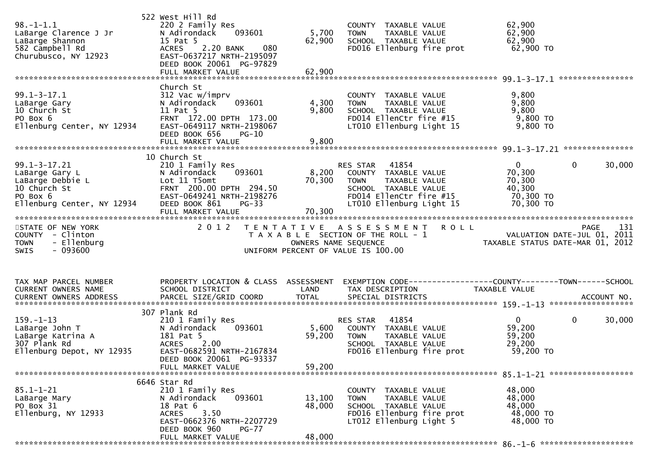| $98. - 1 - 1.1$<br>LaBarge Clarence J Jr<br>LaBarge Shannon<br>582 Campbell Rd<br>Churubusco, NY 12923             | 522 West Hill Rd<br>220 2 Family Res<br>N Adirondack<br>093601<br>15 Pat 5<br>2.20 BANK<br>080<br><b>ACRES</b><br>EAST-0637217 NRTH-2195097<br>DEED BOOK 20061 PG-97829       | 5,700<br>62,900           | COUNTY TAXABLE VALUE<br><b>TOWN</b><br>TAXABLE VALUE<br>SCHOOL TAXABLE VALUE<br>FD016 Ellenburg fire prot                                                | 62,900<br>62,900<br>62,900<br>62,900 TO                                                        |
|--------------------------------------------------------------------------------------------------------------------|-------------------------------------------------------------------------------------------------------------------------------------------------------------------------------|---------------------------|----------------------------------------------------------------------------------------------------------------------------------------------------------|------------------------------------------------------------------------------------------------|
| $99.1 - 3 - 17.1$<br>LaBarge Gary<br>10 Church St<br>PO Box 6<br>Ellenburg Center, NY 12934                        | Church St<br>312 Vac w/imprv<br>093601<br>N Adirondack<br>11 Pat 5<br>FRNT 172.00 DPTH 173.00<br>EAST-0649117 NRTH-2198067                                                    | 4,300<br>9,800            | COUNTY TAXABLE VALUE<br><b>TOWN</b><br>TAXABLE VALUE<br>SCHOOL TAXABLE VALUE<br>FD014 EllenCtr fire #15<br>LT010 Ellenburg Light 15                      | 9,800<br>9,800<br>9,800<br>$9,800$ TO<br>9,800 TO                                              |
|                                                                                                                    | DEED BOOK 656<br>$PG-10$                                                                                                                                                      |                           |                                                                                                                                                          |                                                                                                |
| $99.1 - 3 - 17.21$<br>LaBarge Gary L<br>LaBarge Debbie L<br>10 Church St<br>PO Box 6<br>Ellenburg Center, NY 12934 | 10 Church St<br>210 1 Family Res<br>N Adirondack<br>093601<br>Lot 11 T5omt<br>FRNT 200.00 DPTH 294.50<br>EAST-0649241 NRTH-2198276<br>DEED BOOK 861<br>$PG-33$                | 8,200<br>70,300           | 41854<br>RES STAR<br>COUNTY TAXABLE VALUE<br>TAXABLE VALUE<br><b>TOWN</b><br>SCHOOL TAXABLE VALUE<br>FD014 EllenCtr fire #15<br>LT010 Ellenburg Light 15 | $\mathbf{0}$<br>$\mathbf{0}$<br>30,000<br>70,300<br>70,300<br>40,300<br>70,300 TO<br>70,300 TO |
| STATE OF NEW YORK<br>COUNTY - Clinton<br>- Ellenburg<br><b>TOWN</b><br>$-093600$<br><b>SWIS</b>                    | 2 0 1 2                                                                                                                                                                       |                           | <b>ROLL</b><br>TENTATIVE ASSESSMENT<br>T A X A B L E SECTION OF THE ROLL - 1<br>OWNERS NAME SEQUENCE<br>UNIFORM PERCENT OF VALUE IS 100.00               | 131<br>PAGE<br>PAGE 131<br>VALUATION DATE-JUL 01, 2011<br>TAXABLE STATUS DATE-MAR 01, 2012     |
| TAX MAP PARCEL NUMBER<br><b>CURRENT OWNERS NAME</b>                                                                | PROPERTY LOCATION & CLASS ASSESSMENT<br>SCHOOL DISTRICT                                                                                                                       | LAND                      | TAX DESCRIPTION                                                                                                                                          | EXEMPTION CODE-----------------COUNTY--------TOWN-----SCHOOL<br>TAXABLE VALUE                  |
| $159. - 1 - 13$<br>LaBarge John <sub>.</sub> T<br>LaBarge Katrina A<br>307 Plank Rd<br>Ellenburg Depot, NY 12935   | 307 Plank Rd<br>210 1 Family Res<br>093601<br>N Adirondack<br>181 Pat 5<br>2.00<br><b>ACRES</b><br>EAST-0682591 NRTH-2167834<br>DEED BOOK 20061 PG-93337<br>FULL MARKET VALUE | 5,600<br>59,200<br>59,200 | 41854<br>RES STAR<br>COUNTY TAXABLE VALUE<br>TAXABLE VALUE<br><b>TOWN</b><br>SCHOOL TAXABLE VALUE<br>FD016 Ellenburg fire prot                           | $\mathbf{0}$<br>$\mathbf{0}$<br>30,000<br>59,200<br>59,200<br>29,200<br>59,200 TO              |
|                                                                                                                    |                                                                                                                                                                               |                           |                                                                                                                                                          |                                                                                                |
| 85.1-1-21<br>LaBarge Mary<br>PO Box 31<br>Ellenburg, NY 12933                                                      | 6646 Star Rd<br>210 1 Family Res<br>N Adirondack<br>093601<br>18 Pat 6<br>3.50<br><b>ACRES</b><br>EAST-0662376 NRTH-2207729<br>DEED BOOK 960<br>$PG-77$                       | 13,100<br>48,000          | COUNTY TAXABLE VALUE<br><b>TOWN</b><br><b>TAXABLE VALUE</b><br>SCHOOL TAXABLE VALUE<br>FD016 Ellenburg fire prot<br>LT012 Ellenburg Light 5              | 48,000<br>48,000<br>48,000<br>48,000 TO<br>48,000 TO                                           |
|                                                                                                                    | FULL MARKET VALUE                                                                                                                                                             | 48,000                    |                                                                                                                                                          |                                                                                                |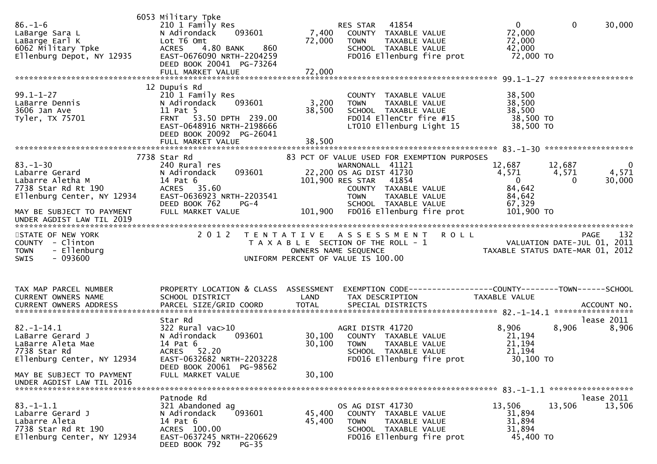| $86. - 1 - 6$<br>LaBarge Sara L<br>LaBarge Earl K<br>6062 Military Tpke<br>Ellenburg Benet<br>Ellenburg Depot, NY 12935                                                                                   | 6053 Military Tpke<br>210 1 Family Res<br>N Adirondack<br>093601<br>Lot T6 Omt<br>4.80 BANK<br>860<br><b>ACRES</b><br>EAST-0676090 NRTH-2204259<br>DEED BOOK 20041 PG-73264 | 7,400<br>72,000  | RES STAR 41854<br>COUNTY TAXABLE VALUE<br>TAXABLE VALUE<br><b>TOWN</b><br>SCHOOL TAXABLE VALUE<br>FD016 Ellenburg fire prot                                                                                            | $\mathbf{0}$<br>72,000<br>72,000<br>42,000<br>72,000 TO         | $\overline{0}$<br>30,000                                                  |
|-----------------------------------------------------------------------------------------------------------------------------------------------------------------------------------------------------------|-----------------------------------------------------------------------------------------------------------------------------------------------------------------------------|------------------|------------------------------------------------------------------------------------------------------------------------------------------------------------------------------------------------------------------------|-----------------------------------------------------------------|---------------------------------------------------------------------------|
|                                                                                                                                                                                                           |                                                                                                                                                                             |                  |                                                                                                                                                                                                                        |                                                                 |                                                                           |
| $99.1 - 1 - 27$<br>LaBarre Dennis<br>3606 Jan Ave<br>Tyler, TX 75701                                                                                                                                      | 12 Dupuis Rd<br>210 1 Family Res<br>N Adirondack<br>093601<br>11 Pat 5<br>FRNT 53.50 DPTH 239.00<br>EAST-0648916 NRTH-2198666<br>DEED BOOK 20092 PG-26041                   | 3,200<br>38,500  | COUNTY TAXABLE VALUE<br><b>TOWN</b><br>TAXABLE VALUE<br>SCHOOL TAXABLE VALUE<br>FD014 EllenCtr fire #15<br>LT010 Ellenburg Light 15                                                                                    | 38,500<br>38,500<br>38,500<br>38,500 TO<br>38,500 TO            |                                                                           |
|                                                                                                                                                                                                           | 7738 Star Rd                                                                                                                                                                |                  | 83 PCT OF VALUE USED FOR EXEMPTION PURPOSES                                                                                                                                                                            |                                                                 |                                                                           |
| $83 - 1 - 30$<br>Labarre Gerard<br>Labarre Aletha M<br>7738 Star Rd Rt 190<br>Ellenburg Center, NY 12934                                                                                                  | 240 Rural res<br>093601<br>N Adirondack<br>14 Pat 6<br>ACRES 35.60<br>EAST-0636923 NRTH-2203541<br>DEED BOOK 762<br>$PG-4$                                                  |                  | WARNONALL 41121<br>22,200 OS AG DIST 41730<br>101,900 RES STAR 41854<br>COUNTY TAXABLE VALUE<br><b>TOWN</b><br>TAXABLE VALUE<br>SCHOOL TAXABLE VALUE                                                                   | 12,687<br>4,571<br>$\overline{0}$<br>84,642<br>84,642<br>67,329 | 12,687<br>$\overline{\mathbf{0}}$<br>4,571<br>4,571<br>30,000<br>$\Omega$ |
| MAY BE SUBJECT TO PAYMENT<br>UNDER AGDIST LAW TIL 2019                                                                                                                                                    | FULL MARKET VALUE                                                                                                                                                           |                  | 101,900 FD016 Ellenburg fire prot                                                                                                                                                                                      | 101,900 TO                                                      |                                                                           |
| STATE OF NEW YORK<br>COUNTY - Clinton<br>- Ellenburg<br><b>TOWN</b><br>$-093600$<br><b>SWIS</b>                                                                                                           | 2 0 1 2<br>T E N T A T I V E                                                                                                                                                |                  | A S S E S S M E N T R O L L<br>T A X A B L E SECTION OF THE ROLL - 1<br>OWNERS NAME SEQUENCE THE TRISCOPE TAXABLE STATUS DATE-MAR 01, 2012<br>UNIFORM PERCENT OF VALUE IS 100.00<br>UNIFORM PERCENT OF VALUE IS 100.00 |                                                                 | 132<br>PAGE                                                               |
| TAX MAP PARCEL NUMBER<br>CURRENT OWNERS NAME<br>.CURRENT OWNERS ADDRESS PARCEL SIZE/GRID COORD TOTAL SPECIAL DISTRICTS ACCOUNT NO ACCOUNT NO ACCOUNT NO AND ARCEL SIZE/GRID COORD TOTAL SPECIAL DISTRICTS | PROPERTY LOCATION & CLASS ASSESSMENT<br>SCHOOL DISTRICT                                                                                                                     | LAND             | EXEMPTION CODE------------------COUNTY--------TOWN------SCHOOL<br>TAX DESCRIPTION                                                                                                                                      | TAXABLE VALUE                                                   |                                                                           |
| $82. - 1 - 14.1$<br>LaBarre Gerard J<br>LaBarre Aleta Mae<br>7738 Star Rd<br>Ellenburg Center, NY 12934                                                                                                   | Star Rd<br>$322$ Rural vac $>10$<br>093601<br>N Adirondack<br>14 Pat 6<br>52.20<br>ACRES<br>EAST-0632682 NRTH-2203228                                                       | 30,100<br>30,100 | AGRI DISTR 41720<br>COUNTY TAXABLE VALUE<br><b>TOWN</b><br>TAXABLE VALUE<br>SCHOOL TAXABLE VALUE<br>FD016 Ellenburg fire prot                                                                                          | 8,906<br>21,194<br>21,194<br>21,194<br>30,100 TO                | lease 2011<br>8,906<br>8,906                                              |
| MAY BE SUBJECT TO PAYMENT<br>UNDER AGDIST LAW TIL 2016                                                                                                                                                    | DEED BOOK 20061 PG-98562<br>FULL MARKET VALUE                                                                                                                               | 30,100           |                                                                                                                                                                                                                        |                                                                 |                                                                           |
| $83. - 1 - 1.1$<br>Labarre Gerard J<br>Labarre Aleta<br>7738 Star Rd Rt 190<br>Ellenburg Center, NY 12934                                                                                                 | Patnode Rd<br>321 Abandoned ag<br>093601<br>N Adirondack<br>14 Pat 6<br>ACRES 100.00<br>EAST-0637245 NRTH-2206629<br>DEED BOOK 792<br>PG-35                                 | 45,400<br>45,400 | OS AG DIST 41730<br>COUNTY TAXABLE VALUE<br><b>TOWN</b><br>TAXABLE VALUE<br>SCHOOL TAXABLE VALUE<br>FD016 Ellenburg fire prot                                                                                          | 13,506<br>31,894<br>31,894<br>31,894<br>45,400 TO               | lease 2011<br>13,506<br>13,506                                            |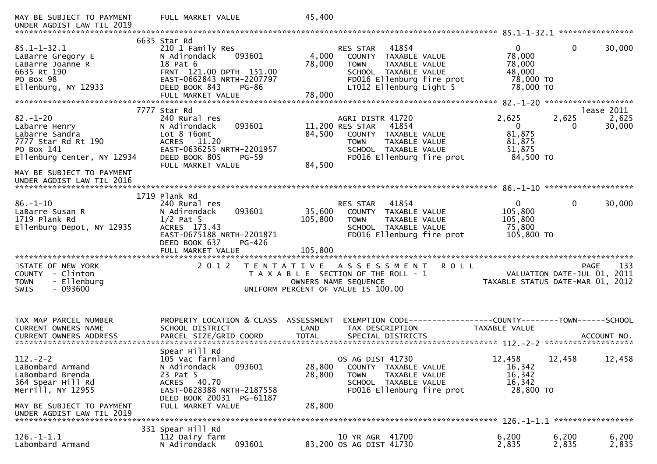| MAY BE SUBJECT TO PAYMENT<br>UNDER AGDIST LAW TIL 2019                                                                                                                         | FULL MARKET VALUE                                                                                                                                                             | 45,400                                                                                                                                                                                 |                                                                                                                 |
|--------------------------------------------------------------------------------------------------------------------------------------------------------------------------------|-------------------------------------------------------------------------------------------------------------------------------------------------------------------------------|----------------------------------------------------------------------------------------------------------------------------------------------------------------------------------------|-----------------------------------------------------------------------------------------------------------------|
| $85.1 - 1 - 32.1$<br>LaBarre Gregory E<br>LaBarre Joanne R<br>6635 Rt 190<br>PO Box 98<br>Ellenburg, NY 12933                                                                  | 6635 Star Rd<br>210 1 Family Res<br>N Adirondack<br>093601<br>18 Pat 6<br>FRNT 121.00 DPTH 151.00<br>EAST-0662843 NRTH-2207797<br>DEED BOOK 843<br>PG-86<br>FULL MARKET VALUE | 41854<br>RES STAR<br>4,000<br>COUNTY TAXABLE VALUE<br>78,000<br>TAXABLE VALUE<br><b>TOWN</b><br>SCHOOL TAXABLE VALUE<br>FD016 Ellenburg fire prot<br>LT012 Ellenburg Light 5<br>78,000 | $\mathbf{0}$<br>$\mathbf 0$<br>30,000<br>78,000<br>78,000<br>48,000<br>78,000 TO<br>78,000 TO                   |
| $82. - 1 - 20$<br>Labarre Henry<br>Labarre Sandra<br>7777 Star Rd Rt 190<br>PO Box 141<br>Ellenburg Center, NY 12934<br>MAY BE SUBJECT TO PAYMENT<br>UNDER AGDIST LAW TIL 2016 | 7777 Star Rd<br>240 Rural res<br>093601<br>N Adirondack<br>Lot 8 T6omt<br>ACRES 11.20<br>EAST-0636255 NRTH-2201957<br>DEED BOOK 805<br><b>PG-59</b><br>FULL MARKET VALUE      | AGRI DISTR 41720<br>41854<br>11,200 RES STAR<br>84,500<br>COUNTY TAXABLE VALUE<br><b>TOWN</b><br>TAXABLE VALUE<br>SCHOOL TAXABLE VALUE<br>FD016 Ellenburg fire prot<br>84,500          | lease 2011<br>2,625<br>2,625<br>2,625<br>$\mathbf{0}$<br>30,000<br>0<br>81,875<br>81,875<br>51,875<br>84,500 TO |
| $86. - 1 - 10$<br>LaBarre Susan R<br>1719 Plank Rd<br>Ellenburg Depot, NY 12935                                                                                                | 1719 Plank Rd<br>240 Rural res<br>N Adirondack<br>093601<br>$1/2$ Pat 5<br>ACRES 173.43<br>EAST-0675188 NRTH-2201871<br>DEED BOOK 637<br>PG-426                               | 41854<br>RES STAR<br>35,600<br>COUNTY TAXABLE VALUE<br>105,800<br>TAXABLE VALUE<br><b>TOWN</b><br>SCHOOL TAXABLE VALUE<br>FD016 Ellenburg fire prot                                    | $\mathbf{0}$<br>$\mathbf{0}$<br>30,000<br>105,800<br>105,800<br>75,800<br>105,800 TO                            |
| STATE OF NEW YORK<br>- Clinton<br>COUNTY<br>- Ellenburg<br><b>TOWN</b><br>$-093600$<br><b>SWIS</b>                                                                             | 2 0 1 2                                                                                                                                                                       | TENTATIVE ASSESSMENT<br><b>ROLL</b><br>T A X A B L E SECTION OF THE ROLL - 1<br>OWNERS NAME SEQUENCE<br>UNIFORM PERCENT OF VALUE IS 100.00                                             | 133<br>PAGE<br>VALUATION DATE-JUL 01, 2011<br>TAXABLE STATUS DATE-MAR 01, 2012                                  |
| TAX MAP PARCEL NUMBER<br>CURRENT OWNERS NAME                                                                                                                                   | PROPERTY LOCATION & CLASS ASSESSMENT<br>SCHOOL DISTRICT                                                                                                                       | LAND<br>TAX DESCRIPTION                                                                                                                                                                | <b>TAXABLE VALUE</b>                                                                                            |
| $112. - 2 - 2$<br>LaBombard Armand<br>LaBombard Brenda<br>364 Spear Hill Rd<br>Merrill, NY 12955<br>MAY BE SUBJECT TO PAYMENT<br>UNDER AGDIST LAW TIL 2019                     | Spear Hill Rd<br>105 Vac farmland<br>093601<br>N Adirondack<br>23 Pat 5<br>ACRES 40.70<br>EAST-0628388 NRTH-2187558<br>DEED BOOK 20031 PG-61187<br>FULL MARKET VALUE          | OS AG DIST 41730<br>28,800<br>COUNTY TAXABLE VALUE<br>28,800<br>TAXABLE VALUE<br><b>TOWN</b><br>SCHOOL TAXABLE VALUE<br>FD016 Ellenburg fire prot<br>28,800                            | 12,458<br>12,458<br>12,458<br>16,342<br>16,342<br>16,342<br>28,800 TO                                           |
| $126. - 1 - 1.1$<br>Labombard Armand                                                                                                                                           | 331 Spear Hill Rd<br>112 Dairy farm<br>093601<br>N Adirondack                                                                                                                 | 10 YR AGR 41700<br>83,200 OS AG DIST 41730                                                                                                                                             | 6,200<br>6,200<br>6,200<br>2,835<br>2,835<br>2,835                                                              |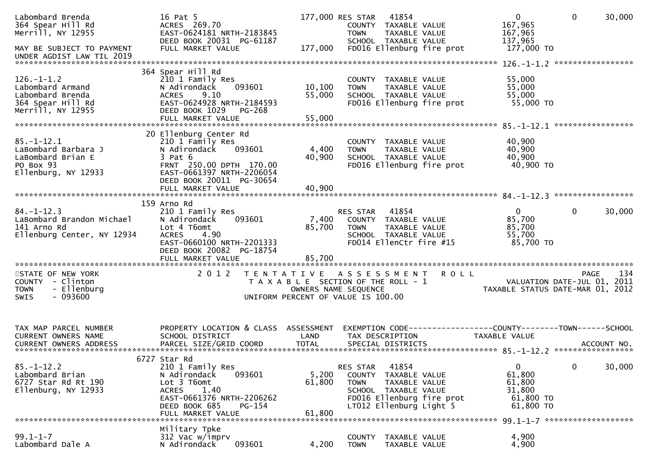| Labombard Brenda<br>364 Spear Hill Rd<br>Merrill, NY 12955<br>MAY BE SUBJECT TO PAYMENT<br>UNDER AGDIST LAW TIL 2019         | 16 Pat 5<br>ACRES 269.70<br>EAST-0624181 NRTH-2183845<br>DEED BOOK 20031 PG-61187<br>FULL MARKET VALUE                                                                           | 177,000                   | 177,000 RES STAR<br>COUNTY TAXABLE VALUE<br><b>TOWN</b><br>SCHOOL TAXABLE VALUE                                   | 41854<br>TAXABLE VALUE                  | FD016 Ellenburg fire prot | $\overline{0}$<br>167,965<br>167,965<br>137,965<br>177,000 TO        | $\mathbf 0$        | 30,000 |
|------------------------------------------------------------------------------------------------------------------------------|----------------------------------------------------------------------------------------------------------------------------------------------------------------------------------|---------------------------|-------------------------------------------------------------------------------------------------------------------|-----------------------------------------|---------------------------|----------------------------------------------------------------------|--------------------|--------|
|                                                                                                                              |                                                                                                                                                                                  |                           |                                                                                                                   |                                         |                           |                                                                      | ****************** |        |
| $126. - 1 - 1.2$<br>Labombard Armand<br>Labombard Brenda<br>364 Spear Hill Rd<br>Merrill, NY 12955                           | 364 Spear Hill Rd<br>210 1 Family Res<br>N Adirondack<br>093601<br>9.10<br><b>ACRES</b><br>EAST-0624928 NRTH-2184593<br>DEED BOOK 1029<br>PG-268                                 | 10,100<br>55,000          | COUNTY TAXABLE VALUE<br><b>TOWN</b><br>SCHOOL TAXABLE VALUE                                                       | TAXABLE VALUE                           | FD016 Ellenburg fire prot | 55,000<br>55,000<br>55,000<br>55,000 TO                              |                    |        |
|                                                                                                                              | FULL MARKET VALUE                                                                                                                                                                | 55,000                    |                                                                                                                   |                                         |                           |                                                                      | *****************  |        |
| $85. - 1 - 12.1$<br>LaBombard Barbara J<br>LaBombard Brian E<br>PO Box 93<br>Ellenburg, NY 12933                             | 20 Ellenburg Center Rd<br>210 1 Family Res<br>093601<br>N Adirondack<br>$3$ Pat $6$<br>FRNT 250.00 DPTH 170.00<br>EAST-0661397 NRTH-2206054<br>DEED BOOK 20011 PG-30654          | 4,400<br>40,900           | COUNTY<br><b>TOWN</b><br>SCHOOL TAXABLE VALUE                                                                     | TAXABLE VALUE<br>TAXABLE VALUE          | FD016 Ellenburg fire prot | 40,900<br>40,900<br>40,900<br>40,900 TO                              |                    |        |
|                                                                                                                              | FULL MARKET VALUE                                                                                                                                                                | 40,900                    |                                                                                                                   |                                         |                           |                                                                      |                    |        |
| $84. - 1 - 12.3$<br>LaBombard Brandon Michael<br>141 Arno Rd<br>Ellenburg Center, NY 12934                                   | 159 Arno Rd<br>210 1 Family Res<br>N Adirondack<br>093601<br>Lot 4 T6omt<br><b>ACRES</b><br>4.90<br>EAST-0660100 NRTH-2201333<br>DEED BOOK 20082 PG-18754<br>FULL MARKET VALUE   | 7,400<br>85,700<br>85,700 | RES STAR<br>COUNTY TAXABLE VALUE<br><b>TOWN</b><br>SCHOOL TAXABLE VALUE<br>FD014 EllenCtr fire #15                | 41854<br>TAXABLE VALUE                  |                           | $\mathbf{0}$<br>85,700<br>85,700<br>55,700<br>85,700 TO              | $\Omega$           | 30,000 |
| *************************<br>STATE OF NEW YORK<br>COUNTY - Clinton<br>- Ellenburg<br><b>TOWN</b><br>$-093600$<br><b>SWIS</b> | **************************<br>2 0 1 2                                                                                                                                            | T E N T A T I V E         | ASSESSMENT<br>T A X A B L E SECTION OF THE ROLL - 1<br>OWNERS NAME SEQUENCE<br>UNIFORM PERCENT OF VALUE IS 100.00 |                                         | <b>ROLL</b>               | VALUATION DATE-JUL 01, 2011<br>TAXABLE STATUS DATE-MAR 01, 2012      | <b>PAGE</b>        | 134    |
| TAX MAP PARCEL NUMBER<br>CURRENT OWNERS NAME                                                                                 | PROPERTY LOCATION & CLASS<br>SCHOOL DISTRICT                                                                                                                                     | ASSESSMENT<br>LAND        | TAX DESCRIPTION                                                                                                   |                                         |                           | TAXABLE VALUE                                                        |                    |        |
| $85. - 1 - 12.2$<br>Labombard Brian<br>6727 Star Rd Rt 190<br>Ellenburg, NY 12933                                            | 6727 Star Rd<br>210 1 Family Res<br>093601<br>N Adirondack<br>Lot 3 T6omt<br>1.40<br><b>ACRES</b><br>EAST-0661376 NRTH-2206262<br>DEED BOOK 685<br>$PG-154$<br>FULL MARKET VALUE | 5,200<br>61,800<br>61,800 | RES STAR<br>COUNTY<br><b>TOWN</b><br>SCHOOL TAXABLE VALUE<br>LT012 Ellenburg Light 5                              | 41854<br>TAXABLE VALUE<br>TAXABLE VALUE | FD016 Ellenburg fire prot | $\mathbf{0}$<br>61,800<br>61,800<br>31,800<br>61,800 TO<br>61,800 TO | $\mathbf 0$        | 30,000 |
|                                                                                                                              | Military Tpke                                                                                                                                                                    |                           |                                                                                                                   |                                         |                           |                                                                      |                    |        |
| $99.1 - 1 - 7$<br>Labombard Dale A                                                                                           | 312 Vac w/imprv<br>093601<br>N Adirondack                                                                                                                                        | 4,200                     | <b>COUNTY</b><br><b>TOWN</b>                                                                                      | TAXABLE VALUE<br>TAXABLE VALUE          |                           | 4,900<br>4,900                                                       |                    |        |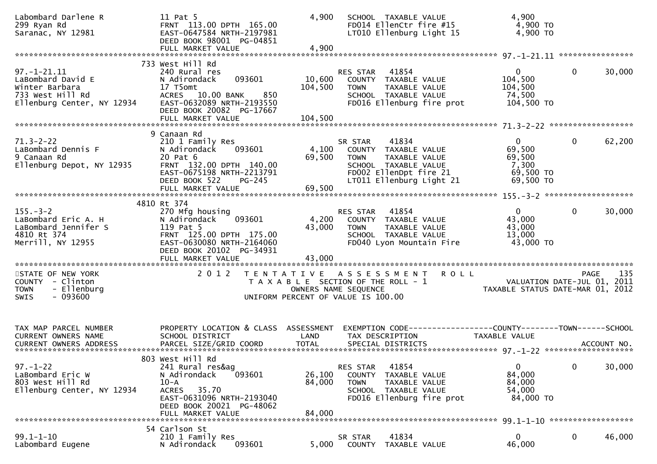| Labombard Darlene R<br>299 Ryan Rd<br>Saranac, NY 12981                                                    | 11 Pat 5<br>FRNT 113.00 DPTH 165.00<br>EAST-0647584 NRTH-2197981<br>DEED BOOK 98001 PG-04851                                                                                  | 4,900                      | SCHOOL TAXABLE VALUE<br>FD014 EllenCtr fire #15<br>LT010 Ellenburg Light 15                                                                            | 4,900<br>4,900 TO<br>4,900 TO                                         |                                                                                |
|------------------------------------------------------------------------------------------------------------|-------------------------------------------------------------------------------------------------------------------------------------------------------------------------------|----------------------------|--------------------------------------------------------------------------------------------------------------------------------------------------------|-----------------------------------------------------------------------|--------------------------------------------------------------------------------|
|                                                                                                            | 733 West Hill Rd                                                                                                                                                              |                            |                                                                                                                                                        |                                                                       |                                                                                |
| $97. - 1 - 21.11$<br>LaBombard David E<br>Winter Barbara<br>733 West Hill Rd<br>Ellenburg Center, NY 12934 | 240 Rural res<br>093601<br>N Adirondack<br>17 T5omt<br>ACRES 10.00 BANK<br>850<br>EAST-0632089 NRTH-2193550<br>DEED BOOK 20082 PG-17667                                       | 10,600<br>104,500          | RES STAR 41854<br>COUNTY TAXABLE VALUE<br>TAXABLE VALUE<br><b>TOWN</b><br>SCHOOL TAXABLE VALUE<br>FD016 Ellenburg fire prot                            | $\overline{0}$<br>104,500<br>104,500<br>74,500<br>104,500 TO          | $\mathbf 0$<br>30,000                                                          |
|                                                                                                            |                                                                                                                                                                               |                            |                                                                                                                                                        |                                                                       |                                                                                |
| $71.3 - 2 - 22$<br>LaBombard Dennis F<br>9 Canaan Rd<br>Ellenburg Depot, NY 12935                          | 9 Canaan Rd<br>210 1 Family Res<br>N Adirondack<br>093601<br>20 Pat 6<br>FRNT 132.00 DPTH 140.00<br>EAST-0675198 NRTH-2213791<br>DEED BOOK 522<br>PG-245<br>FULL MARKET VALUE | 4,100<br>69,500<br>69,500  | 41834<br>SR STAR<br>COUNTY TAXABLE VALUE<br><b>TOWN</b><br>TAXABLE VALUE<br>SCHOOL TAXABLE VALUE<br>FD002 EllenDpt fire 21<br>LT011 Ellenburg Light 21 | $\overline{0}$<br>69,500<br>69,500<br>7,300<br>69,500 TO<br>69,500 TO | 0<br>62,200                                                                    |
|                                                                                                            |                                                                                                                                                                               |                            |                                                                                                                                                        |                                                                       |                                                                                |
|                                                                                                            | 4810 Rt 374                                                                                                                                                                   |                            |                                                                                                                                                        |                                                                       |                                                                                |
| $155. - 3 - 2$<br>LaBombard Eric A. H<br>LaBombard Jennifer S<br>4810 Rt 374<br>Merrill, NY 12955          | 270 Mfg housing<br>093601<br>N Adirondack<br>119 Pat 5<br>FRNT 125.00 DPTH 175.00<br>EAST-0630080 NRTH-2164060<br>DEED BOOK 20102 PG-34931<br>FULL MARKET VALUE               | 4,200<br>43,000<br>43,000  | 41854<br>RES STAR<br>COUNTY TAXABLE VALUE<br><b>TOWN</b><br>TAXABLE VALUE<br>SCHOOL TAXABLE VALUE<br>FD040 Lyon Mountain Fire                          | $\overline{0}$<br>43,000<br>43,000<br>13,000<br>43,000 TO             | $\mathbf 0$<br>30,000                                                          |
|                                                                                                            |                                                                                                                                                                               |                            |                                                                                                                                                        |                                                                       |                                                                                |
| STATE OF NEW YORK<br>COUNTY - Clinton<br>- Ellenburg<br><b>TOWN</b><br><b>SWIS</b><br>- 093600             | 2 0 1 2                                                                                                                                                                       |                            | TENTATIVE ASSESSMENT<br>T A X A B L E SECTION OF THE ROLL - 1<br>OWNERS NAME SEQUENCE<br>UNIFORM PERCENT OF VALUE IS 100.00                            | R O L L                                                               | 135<br>PAGE<br>VALUATION DATE-JUL 01, 2011<br>TAXABLE STATUS DATE-MAR 01, 2012 |
| TAX MAP PARCEL NUMBER<br><b>CURRENT OWNERS NAME</b>                                                        | PROPERTY LOCATION & CLASS ASSESSMENT<br>SCHOOL DISTRICT                                                                                                                       | LAND                       | EXEMPTION CODE-----------------COUNTY-------TOWN------SCHOOL<br>TAX DESCRIPTION                                                                        | TAXABLE VALUE                                                         |                                                                                |
|                                                                                                            | 803 West Hill Rd                                                                                                                                                              |                            |                                                                                                                                                        |                                                                       |                                                                                |
| $97. - 1 - 22$<br>LaBombard Eric W<br>803 West Hill Rd<br>Ellenburg Center, NY 12934                       | 241 Rural res&ag<br>N Adirondack<br>093601<br>$10-A$<br>ACRES 35.70<br>EAST-0631096 NRTH-2193040<br>DEED BOOK 20021 PG-48062<br>FULL MARKET VALUE                             | 26,100<br>84,000<br>84,000 | 41854<br>RES STAR<br>COUNTY TAXABLE VALUE<br><b>TOWN</b><br>TAXABLE VALUE<br>SCHOOL TAXABLE VALUE<br>FD016 Ellenburg fire prot                         | $\mathbf{0}$<br>84,000<br>84,000<br>54,000<br>84,000 TO               | $\mathbf 0$<br>30,000                                                          |
|                                                                                                            |                                                                                                                                                                               |                            |                                                                                                                                                        |                                                                       |                                                                                |
| $99.1 - 1 - 10$<br>Labombard Eugene                                                                        | 54 Carlson St<br>210 1 Family Res<br>093601<br>N Adirondack                                                                                                                   | 5,000                      | 41834<br>SR STAR<br>COUNTY<br>TAXABLE VALUE                                                                                                            | $\mathbf{0}$<br>46,000                                                | 0<br>46,000                                                                    |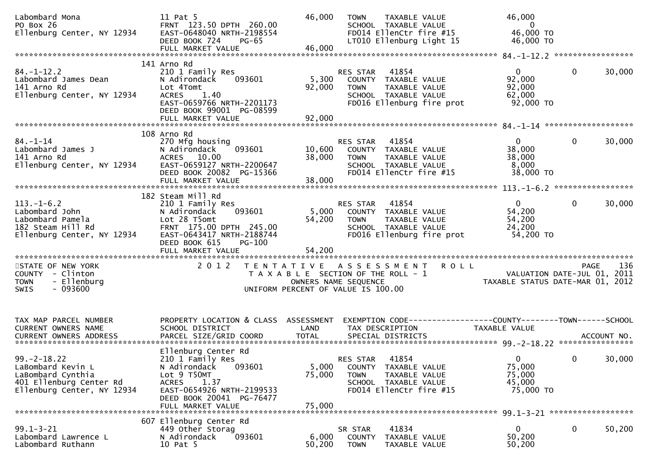| Labombard Mona<br>PO Box 26<br>Ellenburg Center, NY 12934                                                           | 11 Pat 5<br>FRNT 123.50 DPTH 260.00<br>EAST-0648040 NRTH-2198554<br>DEED BOOK 724<br><b>PG-65</b>                                                                                      | 46,000                                                                                              | <b>TOWN</b>                       | TAXABLE VALUE<br>SCHOOL TAXABLE VALUE<br>FD014 EllenCtr fire #15<br>LT010 Ellenburg Light 15        | 46,000<br>$\overline{\mathbf{0}}$<br>46,000 TO<br>46,000 TO                                          |              |        |
|---------------------------------------------------------------------------------------------------------------------|----------------------------------------------------------------------------------------------------------------------------------------------------------------------------------------|-----------------------------------------------------------------------------------------------------|-----------------------------------|-----------------------------------------------------------------------------------------------------|------------------------------------------------------------------------------------------------------|--------------|--------|
|                                                                                                                     | 141 Arno Rd                                                                                                                                                                            |                                                                                                     |                                   |                                                                                                     |                                                                                                      |              |        |
| $84. - 1 - 12.2$<br>Labombard James Dean<br>141 Arno Rd<br>Ellenburg Center, NY 12934                               | 210 1 Family Res<br>N Adirondack<br>093601<br>Lot 4Tomt<br>1.40<br><b>ACRES</b><br>EAST-0659766 NRTH-2201173<br>DEED BOOK 99001 PG-08599<br>FULL MARKET VALUE                          | 5,300<br>92,000<br>92,000                                                                           | RES STAR<br><b>TOWN</b>           | 41854<br>COUNTY TAXABLE VALUE<br>TAXABLE VALUE<br>SCHOOL TAXABLE VALUE<br>FD016 Ellenburg fire prot | $\mathbf{0}$<br>92,000<br>92,000<br>62,000<br>92,000 TO                                              | $\mathbf{0}$ | 30,000 |
|                                                                                                                     |                                                                                                                                                                                        |                                                                                                     |                                   |                                                                                                     |                                                                                                      |              |        |
| $84. - 1 - 14$<br>Labombard James J<br>141 Arno Rd<br>Ellenburg Center, NY 12934                                    | 108 Arno Rd<br>270 Mfg housing<br>093601<br>N Adirondack<br>ACRES 10.00<br>EAST-0659127 NRTH-2200647<br>DEED BOOK 20082 PG-15366<br>FULL MARKET VALUE                                  | 10,600<br>38,000<br>38,000                                                                          | RES STAR<br><b>TOWN</b>           | 41854<br>COUNTY TAXABLE VALUE<br>TAXABLE VALUE<br>SCHOOL TAXABLE VALUE<br>FD014 EllenCtr fire #15   | $\overline{0}$<br>38,000<br>38,000<br>8,000<br>38,000 TO                                             | $\mathbf 0$  | 30,000 |
|                                                                                                                     | 182 Steam Mill Rd                                                                                                                                                                      |                                                                                                     |                                   |                                                                                                     |                                                                                                      |              |        |
| $113. - 1 - 6.2$<br>Labombard John<br>Labombard Pamela<br>182 Steam Hill Rd<br>Ellenburg Center, NY 12934           | 210 1 Family Res<br>N Adirondack<br>093601<br>Lot 28 T5omt<br>FRNT 175.00 DPTH 245.00<br>EAST-0643417 NRTH-2188744<br>DEED BOOK 615<br><b>PG-100</b>                                   | 5,000<br>54,200                                                                                     | RES STAR<br><b>TOWN</b>           | 41854<br>COUNTY TAXABLE VALUE<br>TAXABLE VALUE<br>SCHOOL TAXABLE VALUE<br>FD016 Ellenburg fire prot | $\mathbf{0}$<br>54,200<br>54,200<br>24,200<br>54,200 TO                                              | $\mathbf{0}$ | 30,000 |
|                                                                                                                     |                                                                                                                                                                                        |                                                                                                     |                                   |                                                                                                     |                                                                                                      |              |        |
| STATE OF NEW YORK<br>COUNTY - Clinton<br>- Ellenburg<br><b>TOWN</b><br>$-093600$<br><b>SWIS</b>                     | 2 0 1 2                                                                                                                                                                                | TENTATIVE ASSESSMENT<br>T A X A B L E SECTION OF THE ROLL - 1<br>UNIFORM PERCENT OF VALUE IS 100.00 | OWNERS NAME SEQUENCE              | <b>ROLL</b>                                                                                         | VALUATION DATE-JUL 01, 2011<br>TAYABLE CTATIO PUT - JUL 01, 2011<br>TAXABLE STATUS DATE-MAR 01, 2012 | <b>PAGE</b>  | 136    |
| TAX MAP PARCEL NUMBER<br>CURRENT OWNERS NAME                                                                        | PROPERTY LOCATION & CLASS ASSESSMENT<br>SCHOOL DISTRICT                                                                                                                                | LAND                                                                                                | TAX DESCRIPTION                   |                                                                                                     | EXEMPTION CODE------------------COUNTY--------TOWN------SCHOOL<br>TAXABLE VALUE                      |              |        |
| $99. -2 - 18.22$<br>LaBombard Kevin L<br>LaBombard Cynthia<br>401 Ellenburg Center Rd<br>Ellenburg Center, NY 12934 | Ellenburg Center Rd<br>210 1 Family Res<br>N Adirondack<br>093601<br>Lot 9 T50MT<br><b>ACRES</b><br>1.37<br>EAST-0654926 NRTH-2199533<br>DEED BOOK 20041 PG-76477<br>FULL MARKET VALUE | 5,000<br>75,000<br>75,000                                                                           | RES STAR<br>COUNTY<br><b>TOWN</b> | 41854<br>TAXABLE VALUE<br>TAXABLE VALUE<br>SCHOOL TAXABLE VALUE<br>FD014 EllenCtr fire #15          | $\mathbf{0}$<br>75,000<br>75,000<br>45,000<br>75,000 TO                                              | $\bf{0}$     | 30,000 |
|                                                                                                                     |                                                                                                                                                                                        |                                                                                                     |                                   |                                                                                                     |                                                                                                      |              |        |
| $99.1 - 3 - 21$<br>Labombard Lawrence L<br>Labombard Ruthann                                                        | 607 Ellenburg Center Rd<br>449 Other Storag<br>093601<br>N Adirondack<br>10 Pat 5                                                                                                      | 6,000<br>50,200                                                                                     | SR STAR<br>COUNTY<br><b>TOWN</b>  | 41834<br>TAXABLE VALUE<br>TAXABLE VALUE                                                             | $\mathbf{0}$<br>50,200<br>50,200                                                                     | $\mathbf 0$  | 50,200 |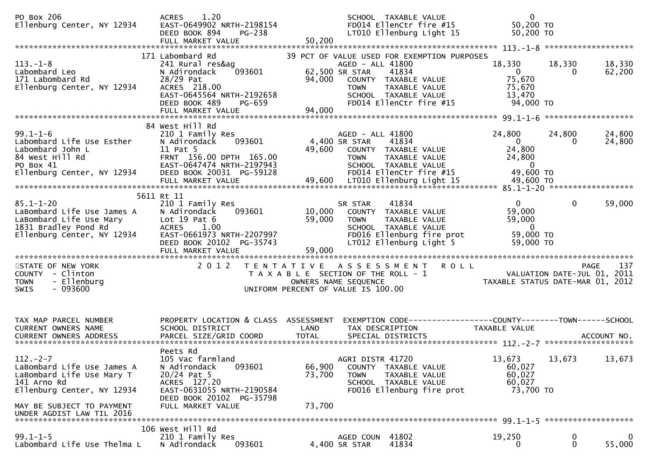| PO Box 206<br>Ellenburg Center, NY 12934                                                                                                                                         | 1.20<br><b>ACRES</b><br>EAST-0649902 NRTH-2198154<br>DEED BOOK 894<br>PG-238<br>FULL MARKET VALUE                                                                     | 50,200                                                                      |                                                   | SCHOOL TAXABLE VALUE<br>FD014 EllenCtr fire #15<br>LT010 Ellenburg Light 15                                                                      | $\mathbf 0$<br>50,200 TO<br>50,200 TO                                                         |                          |                  |
|----------------------------------------------------------------------------------------------------------------------------------------------------------------------------------|-----------------------------------------------------------------------------------------------------------------------------------------------------------------------|-----------------------------------------------------------------------------|---------------------------------------------------|--------------------------------------------------------------------------------------------------------------------------------------------------|-----------------------------------------------------------------------------------------------|--------------------------|------------------|
| $113. - 1 - 8$<br>Labombard Leo<br>171 Labombard Rd<br>Ellenburg Center, NY 12934                                                                                                | 171 Labombard Rd<br>241 Rural res&ag<br>093601<br>N Adirondack<br>28/29 Pat<br>ACRES 218.00<br>EAST-0645564 NRTH-2192658<br>DEED BOOK 489<br>PG-659                   | 94,000                                                                      | AGED - ALL 41800<br>62,500 SR STAR<br><b>TOWN</b> | 39 PCT OF VALUE USED FOR EXEMPTION PURPOSES<br>41834<br>COUNTY TAXABLE VALUE<br>TAXABLE VALUE<br>SCHOOL TAXABLE VALUE<br>FD014 EllenCtr fire #15 | 18,330<br>$\overline{0}$<br>75,670<br>75,670<br>13,470<br>94,000 TO                           | 18,330<br>$\Omega$       | 18,330<br>62,200 |
|                                                                                                                                                                                  | 84 West Hill Rd                                                                                                                                                       |                                                                             |                                                   |                                                                                                                                                  |                                                                                               |                          |                  |
| $99.1 - 1 - 6$<br>Labombard Life Use Esther<br>Labombard John L<br>84 West Hill Rd<br>PO Box 41<br>Ellenburg Center, NY 12934                                                    | 210 1 Family Res<br>093601<br>N Adirondack<br>11 Pat 5<br>FRNT 156.00 DPTH 165.00<br>EAST-0647474 NRTH-2197943<br>DEED BOOK 20031 PG-59128                            |                                                                             | AGED - ALL 41800<br>4,400 SR STAR<br><b>TOWN</b>  | 41834<br>49,600 COUNTY TAXABLE VALUE<br>TAXABLE VALUE<br>SCHOOL TAXABLE VALUE<br>FD014 EllenCtr fire #15                                         | 24,800<br>$\overline{0}$<br>24,800<br>24,800<br>$\overline{0}$<br>49,600 TO                   | 24,800<br>$\overline{0}$ | 24,800<br>24,800 |
|                                                                                                                                                                                  |                                                                                                                                                                       |                                                                             |                                                   |                                                                                                                                                  |                                                                                               |                          |                  |
| $85.1 - 1 - 20$<br>LaBombard Life Use James A<br>LaBombard Life Use Mary<br>1831 Bradley Pond Rd<br>Ellenburg Center, NY 12934                                                   | 5611 Rt 11<br>210 1 Family Res<br>N Adirondack<br>093601<br>Lot $19$ Pat $6$<br><b>ACRES</b><br>1.00<br>EAST-0661973 NRTH-2207997<br>DEED BOOK 20102 PG-35743         | 10,000<br>59,000                                                            | SR STAR<br><b>TOWN</b>                            | 41834<br>COUNTY TAXABLE VALUE<br>TAXABLE VALUE<br>SCHOOL TAXABLE VALUE<br>FD016 Ellenburg fire prot<br>LT012 Ellenburg Light 5                   | $\mathbf{0}$<br>59,000<br>59,000<br>$\overline{0}$<br>59,000 TO<br>59,000 TO                  | $\mathbf{0}$             | 59,000           |
| STATE OF NEW YORK<br>COUNTY - Clinton<br>- Ellenburg<br><b>TOWN</b><br>$-093600$<br><b>SWIS</b>                                                                                  | 2 0 1 2                                                                                                                                                               | T A X A B L E SECTION OF THE ROLL - 1<br>UNIFORM PERCENT OF VALUE IS 100.00 | OWNERS NAME SEQUENCE                              | TENTATIVE ASSESSMENT ROLL                                                                                                                        | $\frac{1}{2}$ - $\frac{1}{2}$ VALUATION DATE-JUL 01, 2011<br>TAXABLE STATUS DATE-MAR 01, 2012 |                          | 137<br>PAGE      |
| TAX MAP PARCEL NUMBER<br>CURRENT OWNERS NAME<br><b>CURRENT OWNERS ADDRESS</b>                                                                                                    | PROPERTY LOCATION & CLASS ASSESSMENT<br>SCHOOL DISTRICT<br>PARCEL SIZE/GRID COORD                                                                                     | LAND<br><b>TOTAL</b>                                                        | TAX DESCRIPTION                                   | EXEMPTION        CODE-----------------COUNTY-------TOWN------SCHOOL<br>SPECIAL DISTRICTS                                                         | TAXABLE VALUE                                                                                 |                          | ACCOUNT NO.      |
| $112. - 2 - 7$<br>LaBombard Life Use James A<br>LaBombard Life Use Mary T<br>141 Arno Rd<br>Ellenburg Center, NY 12934<br>MAY BE SUBJECT TO PAYMENT<br>UNDER AGDIST LAW TIL 2016 | Peets Rd<br>105 Vac farmland<br>093601<br>N Adirondack<br>$20/24$ Pat 5<br>ACRES 127.20<br>EAST-0631055 NRTH-2190584<br>DEED BOOK 20102 PG-35798<br>FULL MARKET VALUE | 66,900<br>73,700<br>73,700                                                  | AGRI DISTR 41720<br><b>TOWN</b>                   | COUNTY TAXABLE VALUE<br><b>TAXABLE VALUE</b><br>SCHOOL TAXABLE VALUE<br>FD016 Ellenburg fire prot                                                | 13,673<br>60,027<br>60,027<br>60,027<br>73,700 TO                                             | 13,673                   | 13,673           |
|                                                                                                                                                                                  | 106 West Hill Rd                                                                                                                                                      |                                                                             |                                                   |                                                                                                                                                  |                                                                                               |                          |                  |
| $99.1 - 1 - 5$<br>Labombard Life Use Thelma L                                                                                                                                    | 210 1 Family Res<br>N Adirondack<br>093601                                                                                                                            |                                                                             | AGED COUN 41802<br>4,400 SR STAR                  | 41834                                                                                                                                            | 19,250<br>0                                                                                   | $\bf{0}$<br>0            | 0<br>55,000      |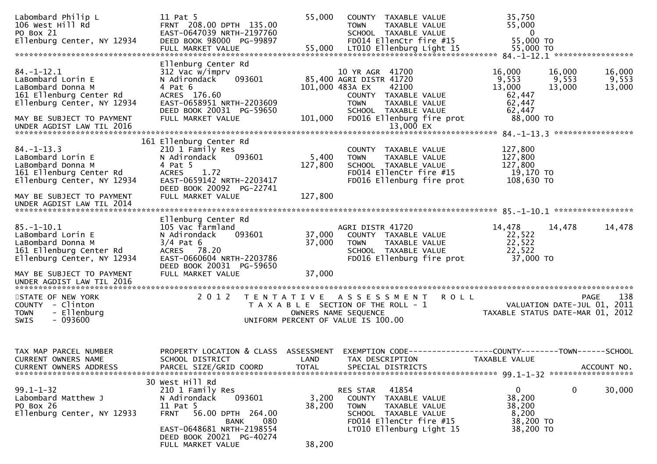| Labombard Philip L<br>106 West Hill Rd<br>PO Box 21<br>Ellenburg Center, NY 12934                                                                                             | 11 Pat 5<br>FRNT 208.00 DPTH 135.00<br>EAST-0647039 NRTH-2197760<br>DEED BOOK 98000 PG-99897                                                                                                               | 55,000                             | COUNTY TAXABLE VALUE<br><b>TOWN</b><br>TAXABLE VALUE<br>SCHOOL TAXABLE VALUE<br>FD014 EllenCtr fire #15                                                            | 35,750<br>55,000<br>- 0<br>55,000 TO                                            |                                                                                       |
|-------------------------------------------------------------------------------------------------------------------------------------------------------------------------------|------------------------------------------------------------------------------------------------------------------------------------------------------------------------------------------------------------|------------------------------------|--------------------------------------------------------------------------------------------------------------------------------------------------------------------|---------------------------------------------------------------------------------|---------------------------------------------------------------------------------------|
|                                                                                                                                                                               | FULL MARKET VALUE                                                                                                                                                                                          | 55,000                             | LT010 Ellenburg Light 15                                                                                                                                           | 55,000 TO                                                                       |                                                                                       |
| $84. - 1 - 12.1$<br>LaBombard Lorin E<br>LaBombard Donna M<br>161 Ellenburg Center Rd<br>Ellenburg Center, NY 12934                                                           | Ellenburg Center Rd<br>312 Vac w/imprv<br>093601<br>N Adirondack<br>4 Pat 6<br>ACRES 176.60<br>EAST-0658951 NRTH-2203609<br>DEED BOOK 20031 PG-59650                                                       | 101,000 483A EX                    | 10 YR AGR 41700<br>85,400 AGRI DISTR 41720<br>42100<br>COUNTY TAXABLE VALUE<br><b>TOWN</b><br>TAXABLE VALUE<br>SCHOOL TAXABLE VALUE                                | 16,000<br>9,553<br>13,000<br>62,447<br>62,447<br>62,447                         | 16,000<br>16,000<br>9,553<br>9,553<br>13,000<br>13,000                                |
| MAY BE SUBJECT TO PAYMENT<br>UNDER AGDIST LAW TIL 2016                                                                                                                        | FULL MARKET VALUE                                                                                                                                                                                          | 101,000                            | FD016 Ellenburg fire prot<br>13,000 EX                                                                                                                             | 88,000 TO                                                                       |                                                                                       |
| $84. - 1 - 13.3$<br>LaBombard Lorin E<br>LaBombard Donna M<br>161 Ellenburg Center Rd<br>Ellenburg Center, NY 12934<br>MAY BE SUBJECT TO PAYMENT<br>UNDER AGDIST LAW TIL 2014 | 161 Ellenburg Center Rd<br>210 1 Family Res<br>N Adirondack<br>093601<br>4 Pat 5<br><b>ACRES</b><br>1.72<br>EAST-0659142 NRTH-2203417<br>DEED BOOK 20092 PG-22741<br>FULL MARKET VALUE                     | 5,400<br>127,800<br>127,800        | COUNTY TAXABLE VALUE<br>TAXABLE VALUE<br><b>TOWN</b><br>SCHOOL TAXABLE VALUE<br>FD014 EllenCtr fire #15<br>FD016 Ellenburg fire prot                               | 127,800<br>127,800<br>127,800<br>19,170 TO<br>108,630 TO                        |                                                                                       |
|                                                                                                                                                                               |                                                                                                                                                                                                            |                                    |                                                                                                                                                                    |                                                                                 |                                                                                       |
| $85. - 1 - 10.1$<br>LaBombard Lorin E<br>LaBombard Donna M<br>161 Ellenburg Center Rd<br>Ellenburg Center, NY 12934                                                           | Ellenburg Center Rd<br>105 Vac farmland<br>093601<br>N Adirondack<br>$3/4$ Pat 6<br>ACRES 78.20<br>EAST-0660604 NRTH-2203786<br>DEED BOOK 20031 PG-59650                                                   | 37,000<br>37,000                   | AGRI DISTR 41720<br>COUNTY TAXABLE VALUE<br>TAXABLE VALUE<br><b>TOWN</b><br>SCHOOL TAXABLE VALUE<br>FD016 Ellenburg fire prot                                      | 14,478<br>22,522<br>22,522<br>22,522<br>37,000 TO                               | 14,478<br>14,478                                                                      |
| MAY BE SUBJECT TO PAYMENT<br>UNDER AGDIST LAW TIL 2016                                                                                                                        | FULL MARKET VALUE                                                                                                                                                                                          | 37,000                             |                                                                                                                                                                    |                                                                                 |                                                                                       |
| STATE OF NEW YORK<br>COUNTY - Clinton<br>- Ellenburg<br><b>TOWN</b><br>$-093600$<br>SWIS                                                                                      | 2 0 1 2                                                                                                                                                                                                    |                                    | TENTATIVE ASSESSMENT<br>T A X A B L E SECTION OF THE ROLL - 1<br>OWNERS NAME SEQUENCE<br>UNIFORM PERCENT OF VALUE IS 100.00                                        | <b>ROLL</b>                                                                     | 138<br><b>PAGE</b><br>VALUATION DATE-JUL 01, 2011<br>TAXABLE STATUS DATE-MAR 01, 2012 |
| TAX MAP PARCEL NUMBER<br>CURRENT OWNERS NAME<br><b>CURRENT OWNERS ADDRESS</b>                                                                                                 | PROPERTY LOCATION & CLASS<br>SCHOOL DISTRICT<br>PARCEL SIZE/GRID COORD                                                                                                                                     | ASSESSMENT<br>LAND<br><b>TOTAL</b> | TAX DESCRIPTION<br>SPECIAL DISTRICTS                                                                                                                               | EXEMPTION CODE------------------COUNTY--------TOWN------SCHOOL<br>TAXABLE VALUE | ACCOUNT NO.                                                                           |
| $99.1 - 1 - 32$<br>Labombard Matthew J<br>PO Box 26<br>Ellenburg Center, NY 12933                                                                                             | 30 West Hill Rd<br>210 1 Family Res<br>093601<br>N Adirondack<br>11 Pat 5<br><b>FRNT</b><br>56.00 DPTH 264.00<br>080<br>BANK<br>EAST-0648681 NRTH-2198554<br>DEED BOOK 20021 PG-40274<br>FULL MARKET VALUE | 3,200<br>38,200<br>38,200          | RES STAR<br>41854<br>TAXABLE VALUE<br><b>COUNTY</b><br><b>TOWN</b><br>TAXABLE VALUE<br>SCHOOL TAXABLE VALUE<br>FD014 EllenCtr fire #15<br>LT010 Ellenburg Light 15 | 0<br>38,200<br>38,200<br>8,200<br>38,200 TO<br>38,200 TO                        | $\mathbf 0$<br>30,000                                                                 |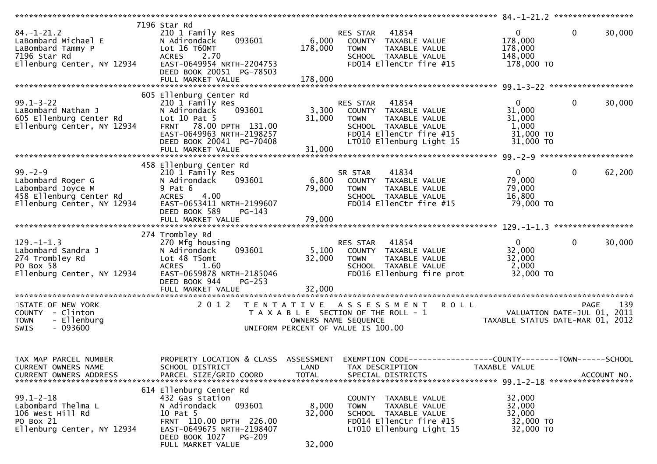| $84. - 1 - 21.2$<br>LaBombard Michael E<br>LaBombard Tammy P<br>7196 Star Rd<br>Ellenburg Center, NY 12934                                | 7196 Star Rd<br>210 1 Family Res<br>093601<br>N Adirondack<br>Lot 16 T60MT<br><b>ACRES</b><br>2.70<br>EAST-0649954 NRTH-2204753<br>DEED BOOK 20051 PG-78503<br>FULL MARKET VALUE          | 6,000<br>178,000<br>178,000 | 41854<br>RES STAR<br>COUNTY TAXABLE VALUE<br>TAXABLE VALUE<br><b>TOWN</b><br>SCHOOL TAXABLE VALUE<br>FD014 EllenCtr fire #15                             | $\overline{0}$<br>178,000<br>178,000<br>148,000<br>178,000 TO         | $\mathbf 0$<br>30,000 |
|-------------------------------------------------------------------------------------------------------------------------------------------|-------------------------------------------------------------------------------------------------------------------------------------------------------------------------------------------|-----------------------------|----------------------------------------------------------------------------------------------------------------------------------------------------------|-----------------------------------------------------------------------|-----------------------|
|                                                                                                                                           | 605 Ellenburg Center Rd                                                                                                                                                                   |                             |                                                                                                                                                          |                                                                       |                       |
| $99.1 - 3 - 22$<br>LaBombard Nathan J<br>605 Ellenburg Center Rd<br>Ellenburg Center, NY 12934                                            | 210 1 Family Res<br>N Adirondack<br>093601<br>Lot $10$ Pat $5$<br>78.00 DPTH 131.00<br><b>FRNT</b><br>EAST-0649963 NRTH-2198257<br>DEED BOOK 20041 PG-70408<br>FULL MARKET VALUE          | 3,300<br>31,000<br>31,000   | 41854<br>RES STAR<br>COUNTY TAXABLE VALUE<br>TAXABLE VALUE<br><b>TOWN</b><br>SCHOOL TAXABLE VALUE<br>FD014 EllenCtr fire #15<br>LT010 Ellenburg Light 15 | $\mathbf{0}$<br>31,000<br>31,000<br>1,000<br>$31,000$ TO<br>31,000 TO | $\mathbf 0$<br>30,000 |
|                                                                                                                                           |                                                                                                                                                                                           |                             |                                                                                                                                                          |                                                                       |                       |
| $99. - 2 - 9$<br>Labombard Roger G<br>Labombard Noye,<br>458 Ellenburg Center Rd<br>458 Ellenburg Center Rd<br>Ellenburg Center, NY 12934 | 458 Ellenburg Center Rd<br>210 1 Family Res<br>093601<br>N Adirondack<br>9 Pat 6<br><b>ACRES</b><br>4.00<br>EAST-0653411 NRTH-2199607<br>DEED BOOK 589<br>$PG-143$                        | 6,800<br>79,000             | 41834<br>SR STAR<br>COUNTY TAXABLE VALUE<br>TAXABLE VALUE<br><b>TOWN</b><br>SCHOOL TAXABLE VALUE<br>FD014 EllenCtr fire #15                              | $\overline{0}$<br>79,000<br>79,000<br>16,800<br>79,000 TO             | $\mathbf 0$<br>62,200 |
|                                                                                                                                           |                                                                                                                                                                                           |                             |                                                                                                                                                          |                                                                       |                       |
| $129. - 1 - 1.3$<br>Labombard Sandra J<br>274 Trombley Rd<br>PO Box 58<br>Ellenburg Center, NY 12934                                      | 274 Trombley Rd<br>270 Mfg housing<br>093601<br>N Adirondack<br>Lot 48 T5omt<br>1.60<br><b>ACRES</b><br>EAST-0659878 NRTH-2185046<br>DEED BOOK 944<br>$PG-253$                            | 5,100<br>32,000             | RES STAR 41854<br>COUNTY TAXABLE VALUE<br><b>TOWN</b><br>TAXABLE VALUE<br>SCHOOL TAXABLE VALUE<br>FD016 Ellenburg fire prot                              | $\mathbf{0}$<br>32,000<br>32,000<br>2,000<br>32,000 TO                | $\mathbf 0$<br>30,000 |
| STATE OF NEW YORK<br>COUNTY - Clinton<br>- Ellenburg<br><b>TOWN</b><br>$-093600$<br>SWIS                                                  | 2 0 1 2                                                                                                                                                                                   | T E N T A T I V E           | <b>ROLL</b><br>A S S E S S M E N T<br>T A X A B L E SECTION OF THE ROLL - 1<br>OWNERS NAME SEQUENCE<br>UNIFORM PERCENT OF VALUE IS 100.00                | VALUATION DATE-JUL 01, 2011<br>TAXABLE STATUS DATE-MAR 01, 2012       | 139<br><b>PAGE</b>    |
| TAX MAP PARCEL NUMBER<br>CURRENT OWNERS NAME<br><b>CURRENT OWNERS ADDRESS</b>                                                             | PROPERTY LOCATION & CLASS ASSESSMENT<br>SCHOOL DISTRICT<br>PARCEL SIZE/GRID COORD                                                                                                         | LAND<br><b>TOTAL</b>        | TAX DESCRIPTION<br>SPECIAL DISTRICTS                                                                                                                     | TAXABLE VALUE                                                         | ACCOUNT NO.           |
| $99.1 - 2 - 18$<br>Labombard Thelma L<br>106 West Hill Rd<br>PO Box 21<br>Ellenburg Center, NY 12934                                      | 614 Ellenburg Center Rd<br>432 Gas station<br>093601<br>N Adirondack<br>10 Pat 5<br>FRNT 110.00 DPTH 226.00<br>EAST-0649675 NRTH-2198407<br>DEED BOOK 1027<br>PG-209<br>FULL MARKET VALUE | 8,000<br>32,000<br>32,000   | COUNTY TAXABLE VALUE<br>TAXABLE VALUE<br><b>TOWN</b><br>SCHOOL TAXABLE VALUE<br>FD014 EllenCtr fire #15<br>LT010 Ellenburg Light 15                      | 32,000<br>32,000<br>32,000<br>32,000 TO<br>32,000 TO                  |                       |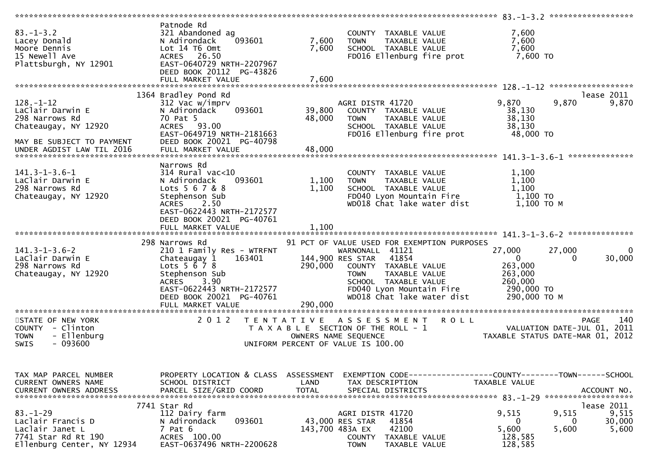| $83. - 1 - 3.2$<br>Lacey Donald<br>Moore Dennis<br>15 Newell Ave<br>Plattsburgh, NY 12901                                               | Patnode Rd<br>321 Abandoned ag<br>093601<br>N Adirondack<br>Lot 14 76 0mt<br>ACRES 26.50<br>EAST-0640729 NRTH-2207967<br>DEED BOOK 20112 PG-43826<br>FULL MARKET VALUE                              | 7,600<br>7,600<br>7,600    | COUNTY TAXABLE VALUE<br>TAXABLE VALUE<br><b>TOWN</b><br>SCHOOL TAXABLE VALUE<br>FD016 Ellenburg fire prot                                                                                                                             | 7,600<br>7,600<br>7,600<br>7,600 TO                                                                                                 |
|-----------------------------------------------------------------------------------------------------------------------------------------|-----------------------------------------------------------------------------------------------------------------------------------------------------------------------------------------------------|----------------------------|---------------------------------------------------------------------------------------------------------------------------------------------------------------------------------------------------------------------------------------|-------------------------------------------------------------------------------------------------------------------------------------|
|                                                                                                                                         |                                                                                                                                                                                                     |                            |                                                                                                                                                                                                                                       |                                                                                                                                     |
| $128. - 1 - 12$<br>LaClair Darwin E<br>298 Narrows Rd<br>Chateaugay, NY 12920<br>MAY BE SUBJECT TO PAYMENT<br>UNDER AGDIST LAW TIL 2016 | 1364 Bradley Pond Rd<br>312 Vac w/imprv<br>093601<br>N Adirondack<br>70 Pat 5<br>ACRES 93.00<br>EAST-0649719 NRTH-2181663<br>DEED BOOK 20021 PG-40798<br>FULL MARKET VALUE                          | 39,800<br>48,000<br>48,000 | AGRI DISTR 41720<br>COUNTY TAXABLE VALUE<br>TAXABLE VALUE<br><b>TOWN</b><br>SCHOOL TAXABLE VALUE<br>FD016 Ellenburg fire prot                                                                                                         | lease 2011<br>9,870<br>9,870<br>9,870<br>38,130<br>38,130<br>38,130<br>48,000 TO<br>**************                                  |
|                                                                                                                                         | Narrows Rd                                                                                                                                                                                          |                            |                                                                                                                                                                                                                                       |                                                                                                                                     |
| $141.3 - 1 - 3.6 - 1$<br>LaClair Darwin E<br>298 Narrows Rd<br>Chateaugay, NY 12920                                                     | $314$ Rural vac<10<br>N Adirondack<br>093601<br>Lots 5 6 7 & 8<br>Stephenson Sub<br>2.50<br>ACRES<br>EAST-0622443 NRTH-2172577<br>DEED BOOK 20021 PG-40761                                          | 1,100<br>1,100             | COUNTY TAXABLE VALUE<br><b>TOWN</b><br>TAXABLE VALUE<br>SCHOOL TAXABLE VALUE<br>FD040 Lyon Mountain Fire<br>WD018 Chat lake water dist                                                                                                | 1,100<br>1,100<br>1,100<br>1,100 TO<br>1,100 ТО М                                                                                   |
|                                                                                                                                         | FULL MARKET VALUE                                                                                                                                                                                   | 1,100                      |                                                                                                                                                                                                                                       |                                                                                                                                     |
|                                                                                                                                         |                                                                                                                                                                                                     |                            |                                                                                                                                                                                                                                       |                                                                                                                                     |
| $141.3 - 1 - 3.6 - 2$<br>LaClair Darwin E<br>298 Narrows Rd<br>Chateaugay, NY 12920                                                     | 298 Narrows Rd<br>210 1 Family Res - WTRFNT<br>163401<br>Chateaugay 1<br>Lots $5 \, 6 \, 7 \, 8$<br>Stephenson Sub<br>3.90<br><b>ACRES</b><br>EAST-0622443 NRTH-2172577<br>DEED BOOK 20021 PG-40761 | 290,000                    | 91 PCT OF VALUE USED FOR EXEMPTION PURPOSES<br>WARNONALL 41121<br>144,900 RES STAR<br>41854<br>COUNTY TAXABLE VALUE<br>TAXABLE VALUE<br><b>TOWN</b><br>SCHOOL TAXABLE VALUE<br>FD040 Lyon Mountain Fire<br>WD018 Chat lake water dist | 27,000<br>27,000<br>$\Omega$<br>30,000<br>$\overline{0}$<br>$\Omega$<br>263,000<br>263,000<br>260,000<br>290,000 TO<br>290,000 ТО М |
|                                                                                                                                         | FULL MARKET VALUE                                                                                                                                                                                   | 290,000                    |                                                                                                                                                                                                                                       |                                                                                                                                     |
|                                                                                                                                         |                                                                                                                                                                                                     |                            |                                                                                                                                                                                                                                       |                                                                                                                                     |
| STATE OF NEW YORK<br>COUNTY - Clinton<br>- Ellenburg<br><b>TOWN</b><br>$-093600$<br><b>SWIS</b>                                         | 2 0 1 2                                                                                                                                                                                             | T E N T A T I V E          | A S S E S S M E N T<br><b>ROLL</b><br>T A X A B L E SECTION OF THE ROLL - 1<br>OWNERS NAME SEQUENCE<br>UNIFORM PERCENT OF VALUE IS 100.00                                                                                             | 140<br><b>PAGE</b><br>VALUATION DATE-JUL 01, 2011<br>TAXABLE STATUS DATE-MAR 01, 2012                                               |
|                                                                                                                                         |                                                                                                                                                                                                     |                            |                                                                                                                                                                                                                                       |                                                                                                                                     |
| TAX MAP PARCEL NUMBER<br>CURRENT OWNERS NAME<br><b>CURRENT OWNERS ADDRESS</b>                                                           | PROPERTY LOCATION & CLASS ASSESSMENT<br>SCHOOL DISTRICT<br>PARCEL SIZE/GRID COORD                                                                                                                   | LAND<br><b>TOTAL</b>       | TAX DESCRIPTION<br>SPECIAL DISTRICTS                                                                                                                                                                                                  | EXEMPTION CODE------------------COUNTY--------TOWN------SCHOOL<br>TAXABLE VALUE<br>ACCOUNT NO.                                      |
|                                                                                                                                         | 7741 Star Rd                                                                                                                                                                                        |                            |                                                                                                                                                                                                                                       | lease 2011                                                                                                                          |
| $83 - 1 - 29$<br>Laclair Francis D<br>Laclair Janet L<br>7741 Star Rd Rt 190<br>Ellenburg Center, NY 12934                              | 112 Dairy farm<br>093601<br>N Adirondack<br>$7$ Pat $6$<br>ACRES 100.00<br>EAST-0637496 NRTH-2200628                                                                                                | 143,700 483A EX            | AGRI DISTR 41720<br>43,000 RES STAR<br>41854<br>42100<br>COUNTY<br>TAXABLE VALUE<br><b>TOWN</b><br>TAXABLE VALUE                                                                                                                      | 9,515<br>9,515<br>9,515<br>30,000<br>0<br>0<br>5,600<br>5,600<br>5,600<br>128,585<br>128,585                                        |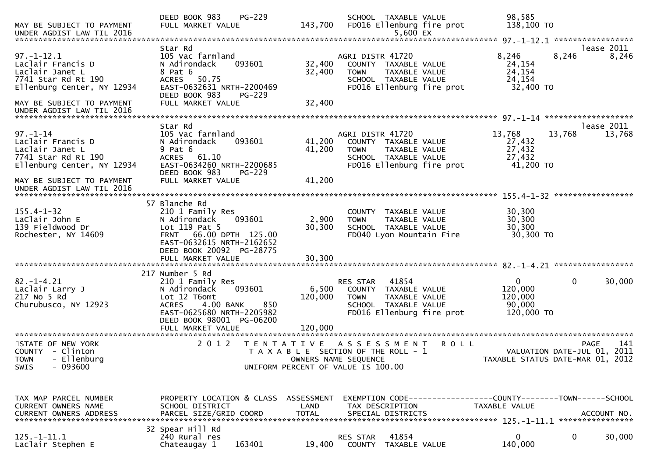| MAY BE SUBJECT TO PAYMENT<br>UNDER AGDIST LAW TIL 2016                                                        | PG-229<br>DEED BOOK 983<br>FULL MARKET VALUE                                                                                                                                                    | 143,700                     | SCHOOL TAXABLE VALUE<br>FD016 Ellenburg fire prot<br>$5,600$ EX                                                                            | 98,585<br>138,100 TO                                            |                      |
|---------------------------------------------------------------------------------------------------------------|-------------------------------------------------------------------------------------------------------------------------------------------------------------------------------------------------|-----------------------------|--------------------------------------------------------------------------------------------------------------------------------------------|-----------------------------------------------------------------|----------------------|
| $97. - 1 - 12.1$<br>Laclair Francis D<br>Laclair Janet L<br>7741 Star Rd Rt 190<br>Ellenburg Center, NY 12934 | Star Rd<br>105 Vac farmland<br>N Adirondack<br>093601<br>8 Pat 6<br>ACRES 50.75<br>EAST-0632631 NRTH-2200469<br>DEED BOOK 983<br>PG-229                                                         | 32,400<br>32,400            | AGRI DISTR 41720<br>COUNTY TAXABLE VALUE<br>TAXABLE VALUE<br><b>TOWN</b><br>SCHOOL TAXABLE VALUE<br>FD016 Ellenburg fire prot              | 8,246<br>8,246<br>24,154<br>24,154<br>24,154<br>32,400 TO       | lease 2011<br>8,246  |
| MAY BE SUBJECT TO PAYMENT<br>UNDER AGDIST LAW TIL 2016                                                        | FULL MARKET VALUE                                                                                                                                                                               | 32,400                      |                                                                                                                                            |                                                                 |                      |
| $97. - 1 - 14$<br>Laclair Francis D<br>Laclair Janet L<br>7741 Star Rd Rt 190<br>Ellenburg Center, NY 12934   | Star Rd<br>105 Vac farmland<br>N Adirondack<br>093601<br>9 Pat 6<br><b>ACRES</b><br>61.10<br>EAST-0634260 NRTH-2200685<br>DEED BOOK 983<br>$PG-229$                                             | 41,200<br>41,200            | AGRI DISTR 41720<br>COUNTY TAXABLE VALUE<br>TAXABLE VALUE<br><b>TOWN</b><br>SCHOOL TAXABLE VALUE<br>FD016 Ellenburg fire prot              | 13,768<br>13,768<br>27,432<br>27,432<br>27,432<br>41,200 TO     | lease 2011<br>13,768 |
| MAY BE SUBJECT TO PAYMENT<br>UNDER AGDIST LAW TIL 2016                                                        | FULL MARKET VALUE                                                                                                                                                                               | 41,200                      |                                                                                                                                            |                                                                 |                      |
| $155.4 - 1 - 32$<br>LaClair John E<br>139 Fieldwood Dr<br>Rochester, NY 14609                                 | 57 Blanche Rd<br>210 1 Family Res<br>N Adirondack<br>093601<br>Lot 119 Pat 5<br>FRNT 66.00 DPTH 125.00<br>EAST-0632615 NRTH-2162652<br>DEED BOOK 20092 PG-28775<br>FULL MARKET VALUE            | 2,900<br>30,300<br>30,300   | COUNTY TAXABLE VALUE<br><b>TOWN</b><br>TAXABLE VALUE<br>SCHOOL TAXABLE VALUE<br>FD040 Lyon Mountain Fire                                   | 30,300<br>30,300<br>30,300<br>30,300 TO                         |                      |
| $82. - 1 - 4.21$<br>Laclair Larry J<br>217 No 5 Rd<br>Churubusco, NY 12923                                    | 217 Number 5 Rd<br>210 1 Family Res<br>N Adirondack<br>093601<br>Lot 12 T6omt<br>4.00 BANK<br>850<br><b>ACRES</b><br>EAST-0625680 NRTH-2205982<br>DEED BOOK 98001 PG-06200<br>FULL MARKET VALUE | 6,500<br>120,000<br>120,000 | RES STAR<br>41854<br>COUNTY TAXABLE VALUE<br><b>TOWN</b><br>TAXABLE VALUE<br>SCHOOL TAXABLE VALUE<br>FD016 Ellenburg fire prot             | $\mathbf{0}$<br>0<br>120,000<br>120,000<br>90,000<br>120,000 TO | 30,000               |
| STATE OF NEW YORK<br>COUNTY - Clinton<br>TOWN - Ellenburg<br>$-093600$<br><b>SWIS</b>                         | 2 0 1 2                                                                                                                                                                                         |                             | <b>ROLL</b><br>TENTATIVE ASSESSMENT<br>T A X A B L E SECTION OF THE ROLL - 1<br>OWNERS NAME SEQUENCE<br>UNIFORM PERCENT OF VALUE IS 100.00 | VALUATION DATE-JUL 01, 2011<br>TAXABLE STATUS DATE-MAR 01, 2012 | 141<br><b>PAGE</b>   |
| TAX MAP PARCEL NUMBER<br><b>CURRENT OWNERS NAME</b>                                                           | PROPERTY LOCATION & CLASS ASSESSMENT<br>SCHOOL DISTRICT                                                                                                                                         | LAND                        | EXEMPTION CODE------------------COUNTY--------TOWN------SCHOOL<br>TAX DESCRIPTION                                                          | TAXABLE VALUE                                                   |                      |
| $125. - 1 - 11.1$<br>Laclair Stephen E                                                                        | 32 Spear Hill Rd<br>240 Rural res<br>163401<br>Chateaugay 1                                                                                                                                     | 19,400                      | 41854<br>RES STAR<br>COUNTY TAXABLE VALUE                                                                                                  | $\mathbf{0}$<br>0<br>140,000                                    | 30,000               |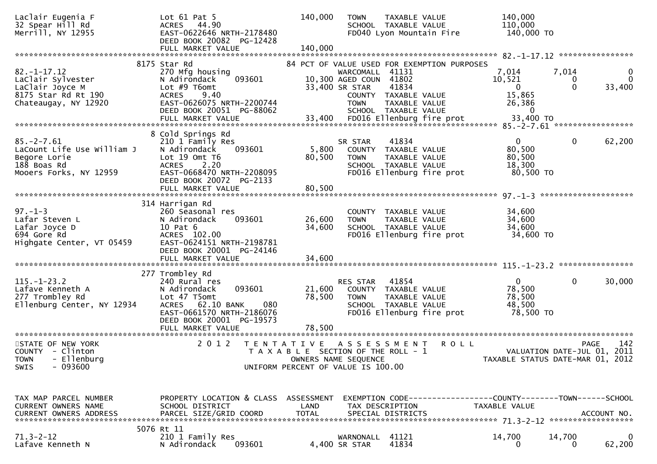| Laclair Eugenia F<br>32 Spear Hill Rd<br>Merrill, NY 12955                                               | Lot $61$ Pat 5<br>ACRES 44.90<br>EAST-0622646 NRTH-2178480<br>DEED BOOK 20082 PG-12428<br>FULL MARKET VALUE                                                                           | 140,000<br>140,000                                                                               | <b>TOWN</b>                                                                | TAXABLE VALUE<br>SCHOOL TAXABLE VALUE<br>FD040 Lyon Mountain Fire                                                     | 140,000<br>110,000<br>140,000 TO                                |                 |                                                   |
|----------------------------------------------------------------------------------------------------------|---------------------------------------------------------------------------------------------------------------------------------------------------------------------------------------|--------------------------------------------------------------------------------------------------|----------------------------------------------------------------------------|-----------------------------------------------------------------------------------------------------------------------|-----------------------------------------------------------------|-----------------|---------------------------------------------------|
|                                                                                                          |                                                                                                                                                                                       |                                                                                                  |                                                                            |                                                                                                                       |                                                                 |                 |                                                   |
| $82. - 1 - 17.12$<br>LaClair Sylvester<br>LaClair Joyce M<br>8175 Star Rd Rt 190<br>Chateaugay, NY 12920 | 8175 Star Rd<br>270 Mfg housing<br>093601<br>N Adirondack<br>Lot $#9$ T6omt<br>9.40<br><b>ACRES</b><br>EAST-0626075 NRTH-2200744<br>DEED BOOK 20051 PG-88062                          |                                                                                                  | WARCOMALL 41131<br>10,300 AGED COUN 41802<br>33,400 SR STAR<br><b>TOWN</b> | 84 PCT OF VALUE USED FOR EXEMPTION PURPOSES<br>41834<br>COUNTY TAXABLE VALUE<br>TAXABLE VALUE<br>SCHOOL TAXABLE VALUE | 7,014<br>10,521<br>$\mathbf{0}$<br>15,865<br>26,386<br>$\Omega$ | 7,014<br>0<br>0 | 0<br>$\mathbf{0}$<br>33,400                       |
|                                                                                                          |                                                                                                                                                                                       |                                                                                                  |                                                                            |                                                                                                                       |                                                                 |                 |                                                   |
| $85. -2 - 7.61$<br>LaCount Life Use William J<br>Begore Lorie<br>188 Boas Rd<br>Mooers Forks, NY 12959   | 8 Cold Springs Rd<br>210 1 Family Res<br>093601<br>N Adirondack<br>Lot 19 Omt T6<br><b>ACRES</b><br>2.20<br>EAST-0668470 NRTH-2208095<br>DEED BOOK 20072 PG-2133<br>FULL MARKET VALUE | 5,800<br>80,500<br>80,500                                                                        | SR STAR<br><b>TOWN</b>                                                     | 41834<br>COUNTY TAXABLE VALUE<br>TAXABLE VALUE<br>SCHOOL TAXABLE VALUE<br>FD016 Ellenburg fire prot                   | $\Omega$<br>80,500<br>80,500<br>18,300<br>80,500 TO             | 0               | 62,200                                            |
|                                                                                                          | 314 Harrigan Rd                                                                                                                                                                       |                                                                                                  |                                                                            |                                                                                                                       |                                                                 |                 |                                                   |
| $97. - 1 - 3$<br>Lafar Steven L<br>Lafar Joyce D<br>694 Gore Rd<br>Highgate Center, VT 05459             | 260 Seasonal res<br>N Adirondack<br>093601<br>10 Pat 6<br>ACRES 102.00<br>EAST-0624151 NRTH-2198781<br>DEED BOOK 20001 PG-24146                                                       | 26,600<br>34,600                                                                                 | <b>TOWN</b>                                                                | COUNTY TAXABLE VALUE<br>TAXABLE VALUE<br>SCHOOL TAXABLE VALUE<br>FD016 Ellenburg fire prot                            | 34,600<br>34,600<br>34,600<br>34,600 TO                         |                 |                                                   |
|                                                                                                          |                                                                                                                                                                                       |                                                                                                  |                                                                            |                                                                                                                       |                                                                 |                 |                                                   |
| $115. - 1 - 23.2$<br>Lafave Kenneth A<br>277 Trombley Rd<br>Ellenburg Center, NY 12934                   | 277 Trombley Rd<br>240 Rural res<br>093601<br>N Adirondack<br>Lot 47 T5omt<br>ACRES 62.10 BANK<br>080<br>EAST-0661570 NRTH-2186076<br>DEED BOOK 20001 PG-19573<br>FULL MARKET VALUE   | 21,600<br>78,500<br>78,500                                                                       | RES STAR<br><b>TOWN</b>                                                    | 41854<br>COUNTY TAXABLE VALUE<br>TAXABLE VALUE<br>SCHOOL TAXABLE VALUE<br>FD016 Ellenburg fire prot                   | $\mathbf{0}$<br>78,500<br>78,500<br>48,500<br>78,500 TO         | 0               | 30,000                                            |
|                                                                                                          |                                                                                                                                                                                       |                                                                                                  |                                                                            |                                                                                                                       |                                                                 |                 |                                                   |
| STATE OF NEW YORK<br>COUNTY - Clinton<br>TOWN - Ellenburg<br>$-093600$<br><b>SWIS</b>                    | 2 0 1 2                                                                                                                                                                               | T E N T A T I V E<br>T A X A B L E SECTION OF THE ROLL - 1<br>UNIFORM PERCENT OF VALUE IS 100.00 | OWNERS NAME SEQUENCE                                                       | <b>ROLL</b><br>A S S E S S M E N T                                                                                    | TAXABLE STATUS DATE-MAR 01, 2012                                |                 | 142<br><b>PAGE</b><br>VALUATION DATE-JUL 01, 2011 |
| TAX MAP PARCEL NUMBER<br>CURRENT OWNERS NAME<br><b>CURRENT OWNERS ADDRESS</b>                            | PROPERTY LOCATION & CLASS ASSESSMENT<br>SCHOOL DISTRICT<br>PARCEL SIZE/GRID COORD                                                                                                     | LAND<br><b>TOTAL</b>                                                                             |                                                                            | EXEMPTION CODE-----------------COUNTY-------TOWN------SCHOOL<br>TAX DESCRIPTION<br>SPECIAL DISTRICTS                  | TAXABLE VALUE                                                   |                 | ACCOUNT NO.                                       |
| $71.3 - 2 - 12$<br>Lafave Kenneth N                                                                      | 5076 Rt 11<br>210 1 Family Res<br>N Adirondack<br>093601                                                                                                                              |                                                                                                  | WARNONALL<br>4,400 SR STAR                                                 | 41121<br>41834                                                                                                        | 14,700<br>0                                                     | 14,700<br>0     | 0<br>62,200                                       |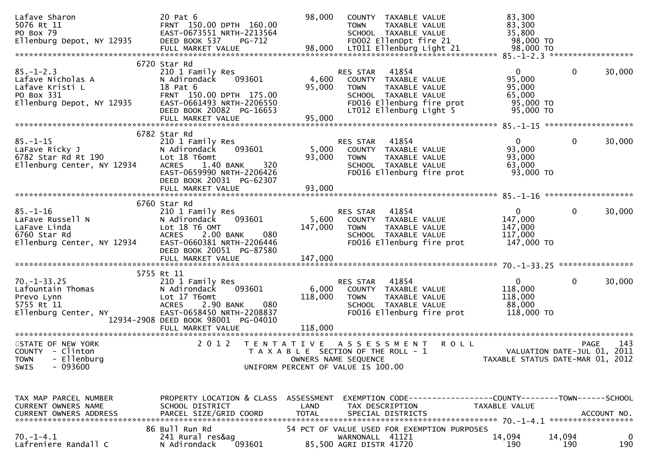| Lafave Sharon<br>5076 Rt 11<br>PO Box 79<br>Ellenburg Depot, NY 12935                                       | 20 Pat 6<br>FRNT 150.00 DPTH 160.00<br>EAST-0673551 NRTH-2213564<br>DEED BOOK 537<br>PG-712                                                                                                  | 98,000                                                                                                                      | <b>TOWN</b>                                | COUNTY TAXABLE VALUE<br>TAXABLE VALUE<br>SCHOOL TAXABLE VALUE<br>FD002 EllenDpt fire 21           |                           | 83,300<br>83,300<br>35,800<br>98,000 TO                                         |                             |                    |
|-------------------------------------------------------------------------------------------------------------|----------------------------------------------------------------------------------------------------------------------------------------------------------------------------------------------|-----------------------------------------------------------------------------------------------------------------------------|--------------------------------------------|---------------------------------------------------------------------------------------------------|---------------------------|---------------------------------------------------------------------------------|-----------------------------|--------------------|
|                                                                                                             |                                                                                                                                                                                              |                                                                                                                             |                                            |                                                                                                   |                           |                                                                                 |                             |                    |
| $85. - 1 - 2.3$<br>Lafave Nicholas A<br>Lafave Kristi L<br>PO Box 331<br>Ellenburg Depot, NY 12935          | 6720 Star Rd<br>210 1 Family Res<br>N Adirondack<br>093601<br>18 Pat 6<br>FRNT 150.00 DPTH 175.00<br>EAST-0661493 NRTH-2206550<br>DEED BOOK 20082 PG-16653<br>FULL MARKET VALUE              | 4,600<br>95,000<br>95,000                                                                                                   | RES STAR<br><b>TOWN</b>                    | 41854<br>COUNTY TAXABLE VALUE<br>TAXABLE VALUE<br>SCHOOL TAXABLE VALUE<br>LT012 Ellenburg Light 5 | FD016 Ellenburg fire prot | $\overline{0}$<br>95,000<br>95,000<br>65,000<br>95,000 TO<br>95,000 TO          | 0                           | 30,000             |
|                                                                                                             |                                                                                                                                                                                              |                                                                                                                             |                                            |                                                                                                   |                           |                                                                                 |                             |                    |
| 85.-1-15<br>LaFave Ricky J<br>6782 Star Rd Rt 190<br>333 Star Center NY 12934<br>Ellenburg Center, NY 12934 | 6782 Star Rd<br>210 1 Family Res<br>N Adirondack<br>093601<br>Lot 18 T6omt<br>1.40 BANK<br>320<br><b>ACRES</b><br>EAST-0659990 NRTH-2206426<br>DEED BOOK 20031 PG-62307<br>FULL MARKET VALUE | 5,000<br>93,000<br>93,000                                                                                                   | RES STAR<br><b>TOWN</b>                    | 41854<br>COUNTY TAXABLE VALUE<br>TAXABLE VALUE<br>SCHOOL TAXABLE VALUE                            | FD016 Ellenburg fire prot | $\Omega$<br>93,000<br>93,000<br>63,000<br>93,000 TO                             | 0                           | 30,000             |
|                                                                                                             |                                                                                                                                                                                              |                                                                                                                             |                                            |                                                                                                   |                           |                                                                                 |                             |                    |
| $85. - 1 - 16$<br>LaFave Russell N<br>LaFave Linda<br>6760 Star Rd<br>Ellenburg Center, NY 12934            | 6760 Star Rd<br>210 1 Family Res<br>093601<br>N Adirondack<br>Lot 18 T6 OMT<br>ACRES 2.00 BANK<br>080<br>EAST-0660381 NRTH-2206446<br>DEED BOOK 20051 PG-87580                               | 5,600<br>147,000                                                                                                            | RES STAR<br><b>TOWN</b>                    | 41854<br>COUNTY TAXABLE VALUE<br>TAXABLE VALUE<br>SCHOOL TAXABLE VALUE                            | FD016 Ellenburg fire prot | $\mathbf{0}$<br>147,000<br>147,000<br>117,000<br>147,000 TO                     | 0                           | 30,000             |
|                                                                                                             | 5755 Rt 11                                                                                                                                                                                   |                                                                                                                             |                                            |                                                                                                   |                           |                                                                                 |                             |                    |
| $70. - 1 - 33.25$<br>Lafountain Thomas<br>Prevo Lynn<br>Prevo Lynn<br>5755 Rt 11<br>Ellenburg Center, NY    | 210 1 Family Res<br>N Adirondack<br>093601<br>Lot 17 T6omt<br><b>ACRES</b><br>2.90 BANK<br>080<br>EAST-0658450 NRTH-2208837<br>12934-2908 DEED BOOK 98001 PG-04010                           | 6,000<br>118,000                                                                                                            | RES STAR<br><b>TOWN</b>                    | 41854<br>COUNTY TAXABLE VALUE<br>TAXABLE VALUE<br>SCHOOL TAXABLE VALUE                            | FD016 Ellenburg fire prot | $\mathbf{0}$<br>118,000<br>118,000<br>88,000<br>118,000 TO                      | 0                           | 30,000             |
|                                                                                                             |                                                                                                                                                                                              |                                                                                                                             |                                            |                                                                                                   |                           |                                                                                 |                             |                    |
| STATE OF NEW YORK<br>COUNTY - Clinton<br>TOWN - Ellenburg<br>$-093600$<br><b>SWIS</b>                       | 2 0 1 2                                                                                                                                                                                      | TENTATIVE ASSESSMENT<br>T A X A B L E SECTION OF THE ROLL - 1<br>OWNERS NAME SEQUENCE<br>UNIFORM PERCENT OF VALUE IS 100.00 |                                            |                                                                                                   | <b>ROLL</b>               | TAXABLE STATUS DATE-MAR 01, 2012                                                | VALUATION DATE-JUL 01, 2011 | 143<br>PAGE        |
| TAX MAP PARCEL NUMBER<br>CURRENT OWNERS NAME                                                                | PROPERTY LOCATION & CLASS ASSESSMENT<br>SCHOOL DISTRICT                                                                                                                                      | LAND                                                                                                                        |                                            | TAX DESCRIPTION                                                                                   |                           | EXEMPTION CODE------------------COUNTY--------TOWN------SCHOOL<br>TAXABLE VALUE |                             |                    |
| $70. - 1 - 4.1$<br>Lafreniere Randall C                                                                     | 86 Bull Run Rd<br>241 Rural res&ag<br>093601<br>N Adirondack                                                                                                                                 | 54 PCT OF VALUE USED FOR EXEMPTION PURPOSES                                                                                 | WARNONALL 41121<br>85,500 AGRI DISTR 41720 |                                                                                                   |                           | 14,094<br>190                                                                   | 14,094<br>190               | $\mathbf 0$<br>190 |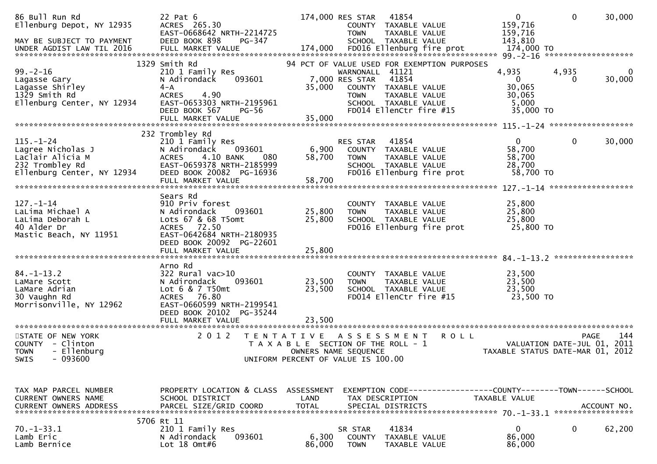| 86 Bull Run Rd<br>Ellenburg Depot, NY 12935<br>MAY BE SUBJECT TO PAYMENT<br>UNDER AGDIST LAW TIL 2016     | 22 Pat 6<br>ACRES 265.30<br>EAST-0668642 NRTH-2214725<br>DEED BOOK 898<br>PG-347                                                                             |                      | 174,000 RES STAR<br><b>TOWN</b>                                                                                            | 41854<br>COUNTY TAXABLE VALUE<br>TAXABLE VALUE<br>SCHOOL TAXABLE VALUE                                                                           | $\overline{0}$<br>159,716<br>159,716<br>143,810                 | $\mathbf 0$                 | 30,000             |
|-----------------------------------------------------------------------------------------------------------|--------------------------------------------------------------------------------------------------------------------------------------------------------------|----------------------|----------------------------------------------------------------------------------------------------------------------------|--------------------------------------------------------------------------------------------------------------------------------------------------|-----------------------------------------------------------------|-----------------------------|--------------------|
|                                                                                                           |                                                                                                                                                              |                      |                                                                                                                            |                                                                                                                                                  |                                                                 |                             |                    |
| $99. - 2 - 16$<br>Lagasse Gary<br>Lagasse Shirley<br>1329 Smith Rd<br>Ellenburg Center, NY 12934          | 1329 Smith Rd<br>210 1 Family Res<br>N Adirondack<br>093601<br>$4 - A$<br><b>ACRES</b><br>4.90<br>EAST-0653303 NRTH-2195961<br>DEED BOOK 567<br><b>PG-56</b> | 35,000               | WARNONALL 41121<br>7,000 RES STAR<br><b>TOWN</b>                                                                           | 94 PCT OF VALUE USED FOR EXEMPTION PURPOSES<br>41854<br>COUNTY TAXABLE VALUE<br>TAXABLE VALUE<br>SCHOOL TAXABLE VALUE<br>FD014 EllenCtr fire #15 | 4,935<br>$\mathbf{0}$<br>30,065<br>30,065<br>5,000<br>35,000 TO | 4,935<br>$\Omega$           | $\bf{0}$<br>30,000 |
|                                                                                                           | FULL MARKET VALUE                                                                                                                                            | 35,000               |                                                                                                                            |                                                                                                                                                  |                                                                 |                             |                    |
|                                                                                                           |                                                                                                                                                              |                      |                                                                                                                            |                                                                                                                                                  |                                                                 |                             |                    |
| $115. - 1 - 24$<br>Lagree Nicholas J<br>Laclair Alicia M<br>232 Trombley Rd<br>Ellenburg Center, NY 12934 | 232 Trombley Rd<br>210 1 Family Res<br>093601<br>N Adirondack<br>4.10 BANK<br><b>ACRES</b><br>080<br>EAST-0659378 NRTH-2185999<br>DEED BOOK 20082 PG-16936   | 6,900<br>58,700      | <b>RES STAR</b><br><b>TOWN</b>                                                                                             | 41854<br>COUNTY TAXABLE VALUE<br>TAXABLE VALUE<br>SCHOOL TAXABLE VALUE<br>FD016 Ellenburg fire prot                                              | $\overline{0}$<br>58,700<br>58,700<br>28,700<br>58,700 TO       | $\bf{0}$                    | 30,000             |
|                                                                                                           |                                                                                                                                                              |                      |                                                                                                                            |                                                                                                                                                  |                                                                 |                             |                    |
| $127. - 1 - 14$<br>LaLima Michael A<br>LaLima Deborah L<br>40 Alder Dr<br>Mastic Beach, NY 11951          | Sears Rd<br>910 Priv forest<br>N Adirondack<br>093601<br>Lots 67 & 68 T5omt<br>ACRES 72.50<br>EAST-0642684 NRTH-2180935<br>DEED BOOK 20092 PG-22601          | 25,800<br>25,800     | <b>TOWN</b>                                                                                                                | COUNTY TAXABLE VALUE<br>TAXABLE VALUE<br>SCHOOL TAXABLE VALUE<br>FD016 Ellenburg fire prot                                                       | 25,800<br>25,800<br>25,800<br>25,800 TO                         |                             |                    |
|                                                                                                           |                                                                                                                                                              |                      |                                                                                                                            |                                                                                                                                                  |                                                                 |                             |                    |
| $84. - 1 - 13.2$<br>LaMare Scott<br>LaMare Adrian<br>30 Vaughn Rd<br>Morrisonville, NY 12962              | Arno Rd<br>322 Rural vac>10<br>N Adirondack<br>093601<br>Lot 6 & 7 T50mt<br>76.80<br><b>ACRES</b><br>EAST-0660599 NRTH-2199541<br>DEED BOOK 20102 PG-35244   | 23,500<br>23,500     | <b>TOWN</b>                                                                                                                | COUNTY TAXABLE VALUE<br>TAXABLE VALUE<br>SCHOOL TAXABLE VALUE<br>FD014 EllenCtr fire #15                                                         | 23,500<br>23,500<br>23,500<br>23,500 TO                         |                             | *****************  |
|                                                                                                           | FULL MARKET VALUE                                                                                                                                            | 23,500               |                                                                                                                            |                                                                                                                                                  |                                                                 |                             |                    |
| STATE OF NEW YORK<br>COUNTY - Clinton<br>- Ellenburg<br><b>TOWN</b><br>$-093600$<br>SWIS                  | 2 0 1 2<br>T E N T A T I V E                                                                                                                                 |                      | A S S E S S M E N T<br>T A X A B L E SECTION OF THE ROLL - 1<br>OWNERS NAME SEQUENCE<br>UNIFORM PERCENT OF VALUE IS 100.00 |                                                                                                                                                  | <b>ROLL</b><br>TAXABLE STATUS DATE-MAR 01, 2012                 | VALUATION DATE-JUL 01, 2011 | 144<br><b>PAGE</b> |
| TAX MAP PARCEL NUMBER<br><b>CURRENT OWNERS NAME</b><br>CURRENT OWNERS ADDRESS                             | PROPERTY LOCATION & CLASS ASSESSMENT<br>SCHOOL DISTRICT<br>PARCEL SIZE/GRID COORD                                                                            | LAND<br><b>TOTAL</b> | EXEMPTION CODE-----<br>TAX DESCRIPTION<br>SPECIAL DISTRICTS                                                                |                                                                                                                                                  | -------------COUNTY--------TOWN------SCHOOL<br>TAXABLE VALUE    |                             | ACCOUNT NO.        |
|                                                                                                           | 5706 Rt 11                                                                                                                                                   |                      |                                                                                                                            |                                                                                                                                                  |                                                                 |                             |                    |
| $70. - 1 - 33.1$<br>Lamb Eric<br>Lamb Bernice                                                             | 210 1 Family Res<br>093601<br>N Adirondack<br>Lot 18 Omt#6                                                                                                   | 6,300<br>86,000      | SR STAR<br><b>COUNTY</b><br><b>TOWN</b>                                                                                    | 41834<br>TAXABLE VALUE<br>TAXABLE VALUE                                                                                                          | $\mathbf 0$<br>86,000<br>86,000                                 | 0                           | 62,200             |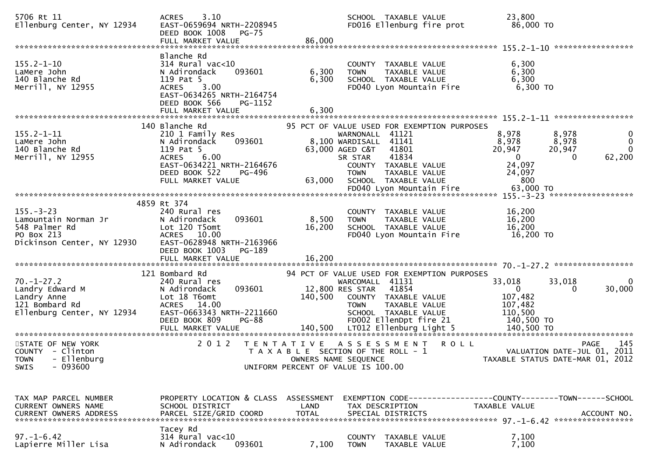| 5706 Rt 11<br>Ellenburg Center, NY 12934                                                             | 3.10<br><b>ACRES</b><br>EAST-0659694 NRTH-2208945<br>DEED BOOK 1008<br>PG-75<br>FULL MARKET VALUE                                                            | 86,000               | SCHOOL TAXABLE VALUE<br>FD016 Ellenburg fire prot                                                                                                                        | 23,800<br>86,000 TO                                                                                           |                                             |
|------------------------------------------------------------------------------------------------------|--------------------------------------------------------------------------------------------------------------------------------------------------------------|----------------------|--------------------------------------------------------------------------------------------------------------------------------------------------------------------------|---------------------------------------------------------------------------------------------------------------|---------------------------------------------|
|                                                                                                      | Blanche Rd                                                                                                                                                   |                      |                                                                                                                                                                          |                                                                                                               |                                             |
| $155.2 - 1 - 10$<br>LaMere John<br>140 Blanche Rd<br>Merrill, NY 12955                               | 314 Rural vac<10<br>093601<br>N Adirondack<br>119 Pat 5<br><b>ACRES</b><br>3.00<br>EAST-0634265 NRTH-2164754                                                 | 6,300<br>6,300       | COUNTY TAXABLE VALUE<br>TAXABLE VALUE<br><b>TOWN</b><br>SCHOOL TAXABLE VALUE<br>FD040 Lyon Mountain Fire                                                                 | 6,300<br>6,300<br>6,300<br>6,300 TO                                                                           |                                             |
|                                                                                                      | DEED BOOK 566<br>PG-1152<br>FULL MARKET VALUE                                                                                                                | 6,300                |                                                                                                                                                                          |                                                                                                               |                                             |
|                                                                                                      |                                                                                                                                                              |                      |                                                                                                                                                                          |                                                                                                               |                                             |
|                                                                                                      | 140 Blanche Rd                                                                                                                                               |                      | 95 PCT OF VALUE USED FOR EXEMPTION PURPOSES                                                                                                                              |                                                                                                               |                                             |
| $155.2 - 1 - 11$<br>LaMere John<br>140 Blanche Rd<br>Merrill, NY 12955                               | 210 1 Family Res<br>093601<br>N Adirondack<br>119 Pat 5<br><b>ACRES</b><br>6.00<br>EAST-0634221 NRTH-2164676<br>DEED BOOK 522<br>PG-496<br>FULL MARKET VALUE | 63,000               | WARNONALL 41121<br>8,100 WARDISALL 41141<br>63,000 AGED C&T<br>41801<br>41834<br>SR STAR<br>COUNTY TAXABLE VALUE<br><b>TOWN</b><br>TAXABLE VALUE<br>SCHOOL TAXABLE VALUE | 8,978<br>8,978<br>8,978<br>8,978<br>20,947<br>20,947<br>$\overline{0}$<br>$\Omega$<br>24,097<br>24,097<br>800 | 0<br>$\mathbf{0}$<br>$\mathbf{0}$<br>62,200 |
|                                                                                                      |                                                                                                                                                              |                      |                                                                                                                                                                          |                                                                                                               |                                             |
|                                                                                                      |                                                                                                                                                              |                      |                                                                                                                                                                          |                                                                                                               |                                             |
| $155. - 3 - 23$<br>Lamountain Norman Jr<br>548 Palmer Rd<br>PO Box 213<br>Dickinson Center, NY 12930 | 4859 Rt 374<br>240 Rural res<br>N Adirondack<br>093601<br>Lot 120 T5omt<br>ACRES 10.00<br>EAST-0628948 NRTH-2163966<br>DEED BOOK 1003<br>PG-189              | 8,500<br>16,200      | COUNTY TAXABLE VALUE<br>TAXABLE VALUE<br><b>TOWN</b><br>SCHOOL TAXABLE VALUE<br>FD040 Lyon Mountain Fire                                                                 | 16,200<br>16,200<br>16,200<br>16,200 TO                                                                       |                                             |
|                                                                                                      | FULL MARKET VALUE                                                                                                                                            | 16,200               |                                                                                                                                                                          |                                                                                                               |                                             |
|                                                                                                      | 121 Bombard Rd                                                                                                                                               |                      | 94 PCT OF VALUE USED FOR EXEMPTION PURPOSES                                                                                                                              |                                                                                                               |                                             |
| $70. - 1 - 27.2$<br>Landry Edward M<br>Landry Anne<br>121 Bombard Rd<br>Ellenburg Center, NY 12934   | 240 Rural res<br>093601<br>N Adirondack<br>Lot 18 T6omt<br>ACRES 14.00<br>EAST-0663343 NRTH-2211660<br>DEED BOOK 809<br><b>PG-88</b>                         | 140,500              | WARCOMALL 41131<br>12,800 RES STAR 41854<br>COUNTY TAXABLE VALUE<br><b>TOWN</b><br>TAXABLE VALUE<br>SCHOOL TAXABLE VALUE<br>FD002 EllenDpt fire 21                       | 33,018<br>33,018<br>$\mathbf{0}$<br>0<br>107,482<br>107,482<br>110,500<br>140,500 TO                          | 0<br>30,000                                 |
| STATE OF NEW YORK                                                                                    | 2 0 1 2                                                                                                                                                      |                      | TENTATIVE ASSESSMENT                                                                                                                                                     | <b>ROLL</b>                                                                                                   | <b>PAGE</b><br>145                          |
| COUNTY - Clinton<br>TOWN - Ellenburg<br>$-093600$<br><b>SWIS</b>                                     |                                                                                                                                                              |                      | T A X A B L E SECTION OF THE ROLL - 1<br>OWNERS NAME SEQUENCE<br>UNIFORM PERCENT OF VALUE IS 100.00                                                                      | VALUATION DATE-JUL 01, 2011<br>TAXABLE STATUS DATE-MAR 01, 2012                                               |                                             |
|                                                                                                      |                                                                                                                                                              |                      |                                                                                                                                                                          |                                                                                                               |                                             |
| TAX MAP PARCEL NUMBER<br><b>CURRENT OWNERS NAME</b><br><b>CURRENT OWNERS ADDRESS</b>                 | PROPERTY LOCATION & CLASS ASSESSMENT<br>SCHOOL DISTRICT<br>PARCEL SIZE/GRID COORD                                                                            | LAND<br><b>TOTAL</b> | TAX DESCRIPTION<br>SPECIAL DISTRICTS                                                                                                                                     | TAXABLE VALUE                                                                                                 | ACCOUNT NO.                                 |
| $97. - 1 - 6.42$<br>Lapierre Miller Lisa                                                             | Tacey Rd<br>$314$ Rural vac<10<br>N Adirondack<br>093601                                                                                                     | 7,100                | COUNTY<br>TAXABLE VALUE<br><b>TOWN</b><br>TAXABLE VALUE                                                                                                                  | 7,100<br>7,100                                                                                                |                                             |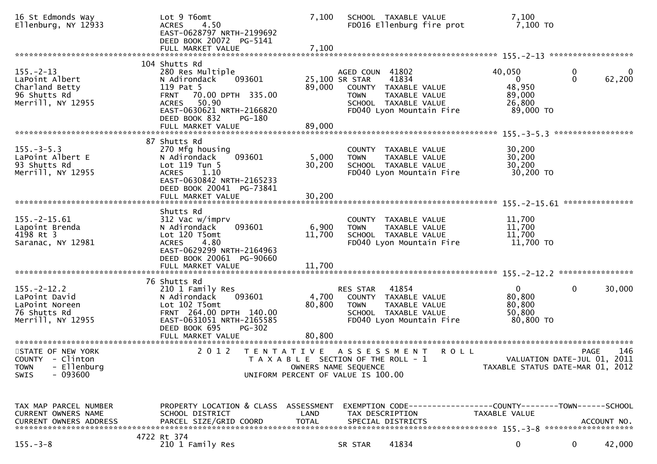| 16 St Edmonds Way<br>Ellenburg, NY 12933                                                        | Lot 9 T6omt<br><b>ACRES</b><br>4.50<br>EAST-0628797 NRTH-2199692<br>DEED BOOK 20072 PG-5141<br>FULL MARKET VALUE                                                                               | 7,100<br>7,100            | SCHOOL TAXABLE VALUE                                                                                                       | FD016 Ellenburg fire prot                          | 7,100<br>7,100 TO                                                               |                   |                    |
|-------------------------------------------------------------------------------------------------|------------------------------------------------------------------------------------------------------------------------------------------------------------------------------------------------|---------------------------|----------------------------------------------------------------------------------------------------------------------------|----------------------------------------------------|---------------------------------------------------------------------------------|-------------------|--------------------|
|                                                                                                 |                                                                                                                                                                                                |                           |                                                                                                                            |                                                    |                                                                                 |                   |                    |
| $155. - 2 - 13$<br>LaPoint Albert<br>Charland Betty<br>96 Shutts Rd<br>Merrill, NY 12955        | 104 Shutts Rd<br>280 Res Multiple<br>093601<br>N Adirondack<br>119 Pat 5<br>FRNT 70.00 DPTH 335.00<br>ACRES 50.90<br>EAST-0630621 NRTH-2166820<br>DEED BOOK 832<br>PG-180<br>FULL MARKET VALUE | 89,000<br>89,000          | AGED COUN 41802<br>25,100 SR STAR<br>COUNTY TAXABLE VALUE<br><b>TOWN</b><br>SCHOOL TAXABLE VALUE                           | 41834<br>TAXABLE VALUE<br>FD040 Lyon Mountain Fire | 40,050<br>$\mathbf{0}$<br>48,950<br>89,000<br>26,800<br>89,000 TO               | 0<br>$\mathbf{0}$ | $\bf{0}$<br>62,200 |
|                                                                                                 | 87 Shutts Rd                                                                                                                                                                                   |                           |                                                                                                                            |                                                    |                                                                                 | ***************** |                    |
| $155. - 3 - 5.3$<br>LaPoint Albert E<br>93 Shutts Rd<br>Merrill, NY 12955                       | 270 Mfg housing<br>093601<br>N Adirondack<br>Lot 119 Tun 5<br>ACRES 1.10<br>EAST-0630842 NRTH-2165233<br>DEED BOOK 20041 PG-73841<br>FULL MARKET VALUE                                         | 5,000<br>30,200<br>30,200 | COUNTY TAXABLE VALUE<br><b>TOWN</b><br>SCHOOL TAXABLE VALUE                                                                | TAXABLE VALUE<br>FD040 Lyon Mountain Fire          | 30,200<br>30,200<br>30,200<br>30,200 TO                                         |                   |                    |
|                                                                                                 |                                                                                                                                                                                                |                           |                                                                                                                            |                                                    |                                                                                 |                   | ***************    |
| $155. - 2 - 15.61$<br>Lapoint Brenda<br>4198 Rt 3<br>Saranac, NY 12981                          | Shutts Rd<br>312 Vac w/imprv<br>093601<br>N Adirondack<br>Lot 120 T5omt<br><b>ACRES</b><br>4.80<br>EAST-0629299 NRTH-2164963<br>DEED BOOK 20061 PG-90660                                       | 6,900<br>11,700           | COUNTY TAXABLE VALUE<br><b>TOWN</b><br>SCHOOL TAXABLE VALUE                                                                | TAXABLE VALUE<br>FD040 Lyon Mountain Fire          | 11,700<br>11,700<br>11,700<br>11,700 TO                                         |                   |                    |
|                                                                                                 |                                                                                                                                                                                                |                           |                                                                                                                            |                                                    |                                                                                 |                   |                    |
| $155. - 2 - 12.2$<br>LaPoint David<br>LaPoint Noreen<br>76 Shutts Rd<br>Merrill, NY 12955       | 76 Shutts Rd<br>210 1 Family Res<br>093601<br>N Adirondack<br>Lot 102 T5omt<br>FRNT 264.00 DPTH 140.00<br>EAST-0631051 NRTH-2165585<br>DEED BOOK 695<br><b>PG-302</b>                          | 4,700<br>80,800           | RES STAR<br>COUNTY TAXABLE VALUE<br><b>TOWN</b><br>SCHOOL TAXABLE VALUE                                                    | 41854<br>TAXABLE VALUE<br>FD040 Lyon Mountain Fire | $\mathbf{0}$<br>80,800<br>80,800<br>50,800<br>80,800 TO                         | $\mathbf 0$       | 30,000             |
|                                                                                                 | FULL MARKET VALUE                                                                                                                                                                              | 80,800                    |                                                                                                                            |                                                    |                                                                                 |                   |                    |
| STATE OF NEW YORK<br>COUNTY - Clinton<br>- Ellenburg<br><b>TOWN</b><br>$-093600$<br><b>SWIS</b> | 2 0 1 2<br>T E N T A T I V E                                                                                                                                                                   |                           | A S S E S S M E N T<br>T A X A B L E SECTION OF THE ROLL - 1<br>OWNERS NAME SEQUENCE<br>UNIFORM PERCENT OF VALUE IS 100.00 | R O L L                                            | VALUATION DATE-JUL 01, 2011<br>TAXABLE STATUS DATE-MAR 01, 2012                 | <b>PAGE</b>       | 146                |
| TAX MAP PARCEL NUMBER<br>CURRENT OWNERS NAME<br>CURRENT OWNERS ADDRESS                          | PROPERTY LOCATION & CLASS ASSESSMENT<br>SCHOOL DISTRICT<br>PARCEL SIZE/GRID COORD                                                                                                              | LAND<br><b>TOTAL</b>      | TAX DESCRIPTION<br>SPECIAL DISTRICTS                                                                                       |                                                    | EXEMPTION CODE------------------COUNTY--------TOWN------SCHOOL<br>TAXABLE VALUE |                   | ACCOUNT NO.        |
| $155. - 3 - 8$                                                                                  | 4722 Rt 374<br>210 1 Family Res                                                                                                                                                                |                           | SR STAR                                                                                                                    | 41834                                              | 0                                                                               | 0                 | 42,000             |
|                                                                                                 |                                                                                                                                                                                                |                           |                                                                                                                            |                                                    |                                                                                 |                   |                    |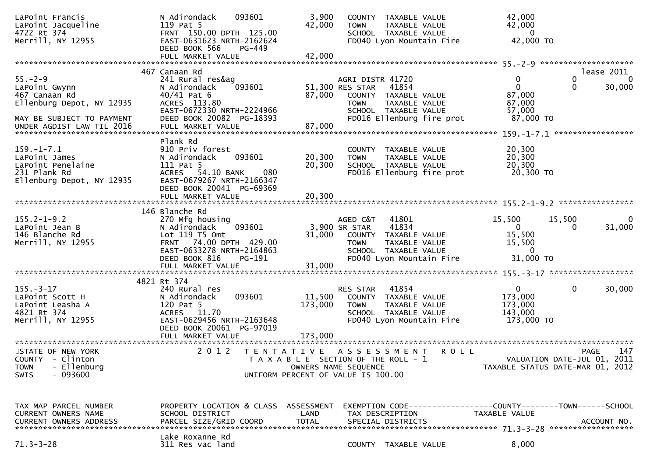| LaPoint Francis<br>LaPoint Jacqueline<br>4722 Rt 374<br>Merrill, NY 12955                                 | 093601<br>N Adirondack<br>119 Pat 5<br>FRNT 150.00 DPTH 125.00<br>EAST-0631623 NRTH-2162624<br>DEED BOOK 566<br>PG-449                                           | 3,900<br>42,000      | COUNTY TAXABLE VALUE<br><b>TOWN</b><br>SCHOOL TAXABLE VALUE<br>FD040 Lyon Mountain Fire                                                  | TAXABLE VALUE                                                | 42,000<br>42,000<br>$\Omega$<br>42,000 TO                             |                                     |                                  |
|-----------------------------------------------------------------------------------------------------------|------------------------------------------------------------------------------------------------------------------------------------------------------------------|----------------------|------------------------------------------------------------------------------------------------------------------------------------------|--------------------------------------------------------------|-----------------------------------------------------------------------|-------------------------------------|----------------------------------|
|                                                                                                           |                                                                                                                                                                  |                      |                                                                                                                                          |                                                              |                                                                       |                                     |                                  |
| $55. - 2 - 9$<br>LaPoint Gwynn<br>467 Canaan Rd<br>Ellenburg Depot, NY 12935<br>MAY BE SUBJECT TO PAYMENT | 467 Canaan Rd<br>241 Rural res&ag<br>093601<br>N Adirondack<br>$40/41$ Pat $6$<br>ACRES 113.80<br>EAST-0672330 NRTH-2224966<br>DEED BOOK 20082 PG-18393          | 87,000               | AGRI DISTR 41720<br>51,300 RES STAR<br>41854<br>COUNTY TAXABLE VALUE<br><b>TOWN</b><br>SCHOOL TAXABLE VALUE<br>FD016 Ellenburg fire prot | TAXABLE VALUE                                                | 0<br>$\Omega$<br>87,000<br>87,000<br>57,000<br>87,000 TO              | 0<br>0                              | lease 2011<br>$\Omega$<br>30,000 |
| $159. - 1 - 7.1$<br>LaPoint James<br>LaPoint Penelaine<br>231 Plank Rd<br>Ellenburg Depot, NY 12935       | Plank Rd<br>910 Priv forest<br>093601<br>N Adirondack<br>111 Pat 5<br>54.10 BANK<br>080<br><b>ACRES</b><br>EAST-0679267 NRTH-2166347<br>DEED BOOK 20041 PG-69369 | 20,300<br>20,300     | COUNTY TAXABLE VALUE<br><b>TOWN</b><br>SCHOOL TAXABLE VALUE<br>FD016 Ellenburg fire prot                                                 | TAXABLE VALUE                                                | 20,300<br>20,300<br>20,300<br>20,300 TO                               |                                     |                                  |
|                                                                                                           | 146 Blanche Rd                                                                                                                                                   |                      |                                                                                                                                          |                                                              |                                                                       |                                     |                                  |
| $155.2 - 1 - 9.2$<br>LaPoint Jean B<br>146 Blanche Rd<br>Merrill, NY 12955                                | 270 Mfg housing<br>093601<br>N Adirondack<br>Lot 119 T5 Omt<br>FRNT 74.00 DPTH 429.00<br>EAST-0633278 NRTH-2164863<br>DEED BOOK 816<br>PG-191                    | 31,000               | 41801<br>AGED C&T<br>3,900 SR STAR<br>41834<br>COUNTY TAXABLE VALUE<br><b>TOWN</b><br>SCHOOL TAXABLE VALUE<br>FD040 Lyon Mountain Fire   | TAXABLE VALUE                                                | 15,500<br>$\overline{0}$<br>15,500<br>15,500<br>$\Omega$<br>31,000 TO | 15,500<br>$\Omega$                  | 0<br>31,000                      |
|                                                                                                           | FULL MARKET VALUE                                                                                                                                                | 31,000               |                                                                                                                                          |                                                              |                                                                       |                                     |                                  |
| $155. - 3 - 17$<br>LaPoint Scott H<br>LaPoint Leasha A<br>4821 Rt 374<br>Merrill, NY 12955                | 4821 Rt 374<br>240 Rural res<br>093601<br>N Adirondack<br>120 Pat 5<br>ACRES 11.70<br>EAST-0629456 NRTH-2163648<br>DEED BOOK 20061 PG-97019                      | 11,500<br>173,000    | 41854<br>RES STAR<br>COUNTY TAXABLE VALUE<br><b>TOWN</b><br>SCHOOL TAXABLE VALUE<br>FD040 Lyon Mountain Fire                             | <b>TAXABLE VALUE</b>                                         | $\mathbf{0}$<br>173,000<br>173,000<br>143,000<br>173,000 TO           | $\mathbf 0$                         | 30,000                           |
| STATE OF NEW YORK<br>COUNTY - Clinton<br>- Ellenburg<br><b>TOWN</b><br>$-093600$<br>SWIS                  | 2 0 1 2                                                                                                                                                          | OWNERS NAME SEQUENCE | TENTATIVE ASSESSMENT<br>T A X A B L E SECTION OF THE ROLL - 1<br>UNIFORM PERCENT OF VALUE IS 100.00                                      | <b>ROLL</b>                                                  | TAXABLE STATUS DATE-MAR 01, 2012                                      | PAGE<br>VALUATION DATE-JUL 01, 2011 | 147                              |
| TAX MAP PARCEL NUMBER<br>CURRENT OWNERS NAME<br><b>CURRENT OWNERS ADDRESS</b>                             | PROPERTY LOCATION & CLASS ASSESSMENT<br>SCHOOL DISTRICT<br>PARCEL SIZE/GRID COORD<br>Lake Roxanne Rd                                                             | LAND<br><b>TOTAL</b> | TAX DESCRIPTION<br>SPECIAL DISTRICTS                                                                                                     | EXEMPTION CODE-----------------COUNTY-------TOWN------SCHOOL | TAXABLE VALUE                                                         |                                     | ACCOUNT NO.                      |
| $71.3 - 3 - 28$                                                                                           | 311 Res vac land                                                                                                                                                 |                      | COUNTY TAXABLE VALUE                                                                                                                     |                                                              | 8,000                                                                 |                                     |                                  |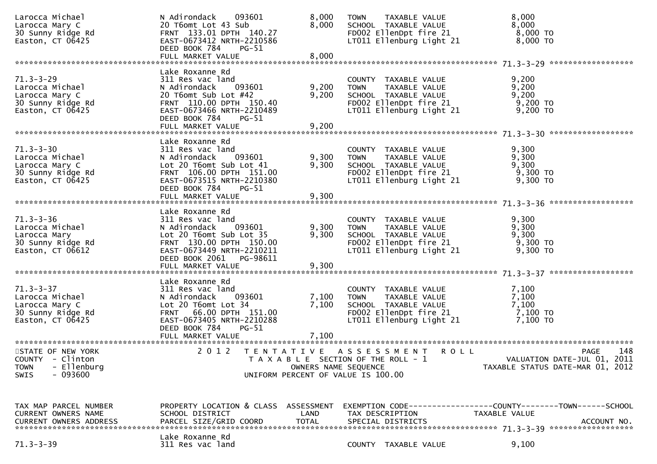| Larocca Michael<br>Larocca Mary C<br>30 Sunny Ridge Rd<br>Easton, CT 06425                    | N Adirondack 093601<br>20 T6omt Lot 43 Sub<br>FRNT 133.01 DPTH 140.27<br>EAST-0673412 NRTH-2210586<br>DEED BOOK 784<br>PG-51                                                                   | 8,000<br>8,000                                                                                                              | <b>TOWN</b>     | TAXABLE VALUE<br>SCHOOL TAXABLE VALUE                                                     | FD002 EllenDpt fire 21<br>LT011 Ellenburg Light 21                                                                     | 8,000<br>8,000<br>8,000 TO<br>8,000 TO                                        |             |
|-----------------------------------------------------------------------------------------------|------------------------------------------------------------------------------------------------------------------------------------------------------------------------------------------------|-----------------------------------------------------------------------------------------------------------------------------|-----------------|-------------------------------------------------------------------------------------------|------------------------------------------------------------------------------------------------------------------------|-------------------------------------------------------------------------------|-------------|
|                                                                                               |                                                                                                                                                                                                |                                                                                                                             |                 |                                                                                           |                                                                                                                        |                                                                               |             |
| $71.3 - 3 - 29$<br>Larocca Michael<br>Larocca Mary C<br>30 Sunny Ridge Rd<br>Easton, CT 06425 | Lake Roxanne Rd<br>311 Res vac land<br>093601<br>N Adirondack<br>20 T6omt Sub Lot #42<br>FRNT 110.00 DPTH 150.40<br>EAST-0673466 NRTH-2210489<br>DEED BOOK 784<br>$PG-51$<br>FULL MARKET VALUE | 9,200<br>9,200<br>9,200                                                                                                     |                 | COUNTY TAXABLE VALUE                                                                      | TOWN TAXABLE VALUE<br>SCHOOL TAXABLE VALUE<br>FDOO2 EllenDpt fire 21<br>TTO11 Ellenburg 11<br>LT011 Ellenburg Light 21 | 9,200<br>9,200<br>9,200<br>9,200 то<br>9,200 TO                               |             |
|                                                                                               | Lake Roxanne Rd                                                                                                                                                                                |                                                                                                                             |                 |                                                                                           |                                                                                                                        |                                                                               |             |
| $71.3 - 3 - 30$<br>Larocca Michael<br>Larocca Mary C<br>30 Sunny Ridge Rd<br>Easton, CT 06425 | 311 Res vac land<br>N Adirondack<br>093601<br>Lot 20 T6omt Sub Lot 41<br>FRNT 106.00 DPTH 151.00<br>EAST-0673515 NRTH-2210380<br>DEED BOOK 784<br>PG-51                                        | 9,300<br>9,300                                                                                                              | <b>TOWN</b>     | COUNTY TAXABLE VALUE<br>TAXABLE VALUE<br>SCHOOL TAXABLE VALUE                             | FD002 EllenDpt fire 21<br>LT011 Ellenburg Light 21                                                                     | 9,300<br>9,300<br>9,300<br>$9,300$ TO<br>9,300 TO                             |             |
|                                                                                               |                                                                                                                                                                                                |                                                                                                                             |                 |                                                                                           |                                                                                                                        |                                                                               |             |
| 71.3-3-36<br>Larocca Michael<br>Ta Mary<br>30 Sunny Ridge Rd<br>Easton, CT 06612              | Lake Roxanne Rd<br>311 Res vac land<br>N Adirondack 093601<br>Lot 20 T6omt Sub Lot 35<br>FRNT 130.00 DPTH 150.00<br>EAST-0673449 NRTH-2210211<br>DEED BOOK 2061 PG-98611                       | 9,300<br>9,300                                                                                                              | <b>TOWN</b>     | COUNTY TAXABLE VALUE<br>LT011 Ellenburg Light 21                                          | TAXABLE VALUE<br>SCHOOL TAXABLE VALUE<br>FD002 EllenDpt fire 21                                                        | 9,300<br>9,300<br>9,300<br>9,300 то<br>9,300 TO                               |             |
|                                                                                               |                                                                                                                                                                                                |                                                                                                                             |                 |                                                                                           |                                                                                                                        |                                                                               |             |
| $71.3 - 3 - 37$<br>Larocca Michael<br>Larocca Mary C<br>30 Sunny Ridge Rd<br>Easton, CT 06425 | Lake Roxanne Rd<br>311 Res vac land<br>093601<br>N Adirondack<br>Lot 20 T6omt Lot 34<br>FRNT 66.00 DPTH 151.00<br>EAST-0673405 NRTH-2210288<br>DEED BOOK 784<br>PG-51                          | 7,100<br>7,100                                                                                                              | <b>TOWN</b>     | COUNTY TAXABLE VALUE<br>TAXABLE VALUE<br>SCHOOL TAXABLE VALUE<br>LT011 Ellenburg Light 21 | FD002 EllenDpt fire 21                                                                                                 | 7,100<br>7,100<br>7,100<br>7,100 то<br>7,100 TO                               |             |
|                                                                                               |                                                                                                                                                                                                |                                                                                                                             |                 |                                                                                           |                                                                                                                        |                                                                               |             |
| STATE OF NEW YORK<br>COUNTY - Clinton<br>- Ellenburg<br><b>TOWN</b><br>$-093600$<br>SWIS      | 2 0 1 2                                                                                                                                                                                        | TENTATIVE ASSESSMENT<br>T A X A B L E SECTION OF THE ROLL - 1<br>OWNERS NAME SEQUENCE<br>UNIFORM PERCENT OF VALUE IS 100.00 |                 |                                                                                           | <b>ROLL</b>                                                                                                            | VALUATION DATE-JUL 01, 2011<br>TAXABLE STATUS DATE-MAR 01, 2012               | 148<br>PAGE |
| TAX MAP PARCEL NUMBER<br>CURRENT OWNERS NAME<br><b>CURRENT OWNERS ADDRESS</b>                 | PROPERTY LOCATION & CLASS ASSESSMENT<br>SCHOOL DISTRICT<br>PARCEL SIZE/GRID COORD                                                                                                              | LAND<br><b>TOTAL</b>                                                                                                        | TAX DESCRIPTION | SPECIAL DISTRICTS                                                                         |                                                                                                                        | EXEMPTION CODE-----------------COUNTY-------TOWN------SCHOOL<br>TAXABLE VALUE | ACCOUNT NO. |
| $71.3 - 3 - 39$                                                                               | Lake Roxanne Rd<br>311 Res vac land                                                                                                                                                            |                                                                                                                             |                 | COUNTY TAXABLE VALUE                                                                      |                                                                                                                        | 9,100                                                                         |             |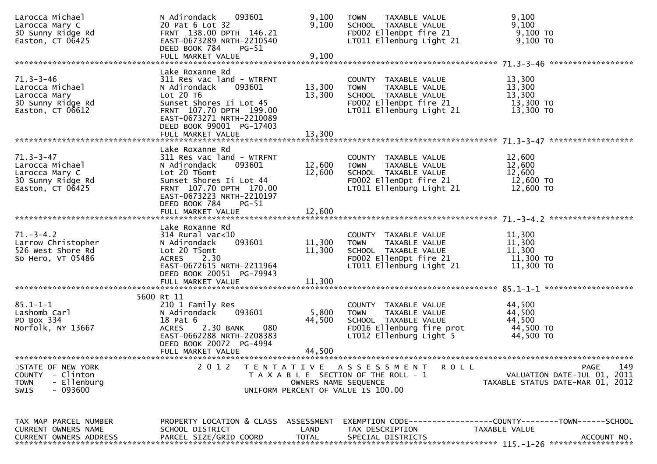| Larocca Michael<br>Larocca Mary C<br>30 Sunny Ridge Rd<br>Easton, $CT$ 06425                    | N Adirondack<br>093601<br>20 Pat 6 Lot 32<br>FRNT 138.00 DPTH 146.21<br>EAST-0673289 NRTH-2210540<br>DEED BOOK 784<br>PG-51                                                                                                  | 9,100<br>9,100             | TAXABLE VALUE<br><b>TOWN</b><br>SCHOOL TAXABLE VALUE<br>FD002 EllenDpt fire 21<br>LT011 Ellenburg Light 21                           | 9,100<br>9,100<br>$9,100$ TO<br>9,100 TO                                                            |
|-------------------------------------------------------------------------------------------------|------------------------------------------------------------------------------------------------------------------------------------------------------------------------------------------------------------------------------|----------------------------|--------------------------------------------------------------------------------------------------------------------------------------|-----------------------------------------------------------------------------------------------------|
|                                                                                                 |                                                                                                                                                                                                                              |                            |                                                                                                                                      |                                                                                                     |
| $71.3 - 3 - 46$<br>Larocca Michael<br>Larocca Mary<br>30 Sunny Ridge Rd<br>Easton, CT 06612     | Lake Roxanne Rd<br>311 Res vac land - WTRFNT<br>093601<br>N Adirondack<br>Lot $20$ T $6$<br>Sunset Shores Ii Lot 45<br>FRNT 107.70 DPTH 199.00<br>EAST-0673271 NRTH-2210089<br>DEED BOOK 99001 PG-17403<br>FULL MARKET VALUE | 13,300<br>13,300<br>13,300 | COUNTY TAXABLE VALUE<br><b>TOWN</b><br>TAXABLE VALUE<br>SCHOOL TAXABLE VALUE<br>FD002 EllenDpt fire 21<br>LT011 Ellenburg Light 21   | 13,300<br>13,300<br>13,300<br>13,300 TO<br>13,300 TO                                                |
|                                                                                                 |                                                                                                                                                                                                                              |                            |                                                                                                                                      |                                                                                                     |
| $71.3 - 3 - 47$<br>Larocca Michael<br>Larocca Mary C<br>30 Sunny Ridge Rd<br>Easton, $CT$ 06425 | Lake Roxanne Rd<br>311 Res vac land - WTRFNT<br>093601<br>N Adirondack<br>Lot 20 T6omt<br>Sunset Shores Ii Lot 44<br>FRNT 107.70 DPTH 170.00<br>EAST-0673223 NRTH-2210197                                                    | 12,600<br>12,600           | COUNTY TAXABLE VALUE<br><b>TOWN</b><br>TAXABLE VALUE<br>SCHOOL TAXABLE VALUE<br>FD002 EllenDpt fire 21<br>LT011 Ellenburg Light 21   | 12,600<br>12,600<br>12,600<br>12,600 TO<br>12,600 TO                                                |
|                                                                                                 | DEED BOOK 784<br>PG-51<br>FULL MARKET VALUE                                                                                                                                                                                  | 12,600                     |                                                                                                                                      |                                                                                                     |
|                                                                                                 |                                                                                                                                                                                                                              |                            |                                                                                                                                      |                                                                                                     |
| $71.-3-4.2$<br>Larrow Christopher<br>526 West Shore Rd<br>So Hero, VT 05486                     | Lake Roxanne Rd<br>$314$ Rural vac< $10$<br>N Adirondack<br>093601<br>Lot 20 T5omt<br>ACRES 2.30<br>EAST-0672615 NRTH-2211964<br>DEED BOOK 20051 PG-79943                                                                    | 11,300<br>11,300           | COUNTY TAXABLE VALUE<br>TAXABLE VALUE<br><b>TOWN</b><br>SCHOOL TAXABLE VALUE<br>FD002 EllenDpt fire 21<br>LT011 Ellenburg Light 21   | 11,300<br>11,300<br>11,300<br>11,300 TO<br>11,300 TO                                                |
|                                                                                                 |                                                                                                                                                                                                                              |                            |                                                                                                                                      |                                                                                                     |
|                                                                                                 | 5600 Rt 11                                                                                                                                                                                                                   |                            |                                                                                                                                      |                                                                                                     |
| $85.1 - 1 - 1$<br>Lashomb Carl<br>PO Box 334<br>Norfolk, NY 13667                               | 210 1 Family Res<br>093601<br>N Adirondack<br>18 Pat 6<br><b>ACRES</b><br>2.30 BANK<br>080<br>EAST-0662288 NRTH-2208383<br>DEED BOOK 20072 PG-4994                                                                           | 5,800<br>44,500            | COUNTY TAXABLE VALUE<br><b>TOWN</b><br>TAXABLE VALUE<br>SCHOOL TAXABLE VALUE<br>FD016 Ellenburg fire prot<br>LT012 Ellenburg Light 5 | 44,500<br>44,500<br>44,500<br>44,500 TO<br>44,500 TO                                                |
|                                                                                                 | FULL MARKET VALUE                                                                                                                                                                                                            | 44,500                     |                                                                                                                                      |                                                                                                     |
| STATE OF NEW YORK<br>COUNTY - Clinton<br>- Ellenburg<br><b>TOWN</b><br>$-093600$<br><b>SWIS</b> | 2 0 1 2                                                                                                                                                                                                                      | OWNERS NAME SEQUENCE       | TENTATIVE ASSESSMENT<br><b>ROLL</b><br>T A X A B L E SECTION OF THE ROLL - 1<br>UNIFORM PERCENT OF VALUE IS 100.00                   | PAGE<br>149<br>VALUATION DATE-JUL 01, 2011<br>TAXABLE STATUS DATE-MAR 01, 2012                      |
| TAX MAP PARCEL NUMBER<br>CURRENT OWNERS NAME<br><b>CURRENT OWNERS ADDRESS</b>                   | PROPERTY LOCATION & CLASS ASSESSMENT<br>SCHOOL DISTRICT<br>PARCEL SIZE/GRID COORD                                                                                                                                            | LAND<br><b>TOTAL</b>       | TAX DESCRIPTION<br>SPECIAL DISTRICTS                                                                                                 | EXEMPTION        CODE-----------------COUNTY-------TOWN------SCHOOL<br>TAXABLE VALUE<br>ACCOUNT NO. |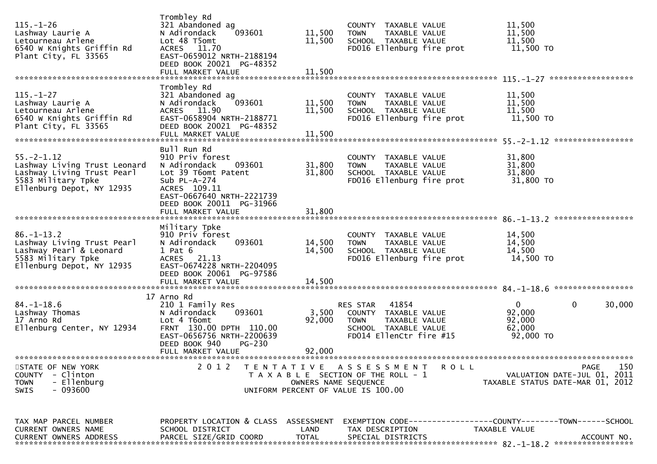| $115. - 1 - 26$<br>Lashway Laurie A<br>Letourneau Arlene<br>6540 W Knights Griffin Rd<br>Plant City, FL 33565                     | Trombley Rd<br>321 Abandoned ag<br>N Adirondack<br>093601<br>Lot 48 T5omt<br>ACRES 11.70<br>EAST-0659012 NRTH-2188194<br>DEED BOOK 20021 PG-48352            | 11,500<br>11,500           | COUNTY TAXABLE VALUE<br><b>TOWN</b><br>TAXABLE VALUE<br>SCHOOL TAXABLE VALUE<br>FD016 Ellenburg fire prot                    | 11,500<br>11,500<br>11,500<br>11,500 TO                                                             |
|-----------------------------------------------------------------------------------------------------------------------------------|--------------------------------------------------------------------------------------------------------------------------------------------------------------|----------------------------|------------------------------------------------------------------------------------------------------------------------------|-----------------------------------------------------------------------------------------------------|
|                                                                                                                                   | FULL MARKET VALUE                                                                                                                                            | 11,500                     |                                                                                                                              |                                                                                                     |
| $115. - 1 - 27$<br>Lashway Laurie A<br>Letourneau Arlene<br>6540 W Knights Griffin Rd<br>Plant City, FL 33565                     | Trombley Rd<br>321 Abandoned ag<br>093601<br>N Adirondack<br>ACRES 11.90<br>EAST-0658904 NRTH-2188771<br>DEED BOOK 20021 PG-48352<br>FULL MARKET VALUE       | 11,500<br>11,500<br>11,500 | COUNTY TAXABLE VALUE<br>TAXABLE VALUE<br><b>TOWN</b><br>SCHOOL TAXABLE VALUE<br>FD016 Ellenburg fire prot                    | 11,500<br>11,500<br>11,500<br>11,500 TO                                                             |
|                                                                                                                                   | Bull Run Rd                                                                                                                                                  |                            |                                                                                                                              |                                                                                                     |
| $55. - 2 - 1.12$<br>Lashway Living Trust Leonard<br>Lashway Living Trust Pearl<br>5583 Military Tpke<br>Ellenburg Depot, NY 12935 | 910 Priv forest<br>N Adirondack<br>093601<br>Lot 39 T6omt Patent<br>Sub $PL-A-274$<br>ACRES 109.11<br>EAST-0667640 NRTH-2221739<br>DEED BOOK 20011 PG-31966  | 31,800<br>31,800           | COUNTY TAXABLE VALUE<br><b>TOWN</b><br>TAXABLE VALUE<br>SCHOOL TAXABLE VALUE<br>FD016 Ellenburg fire prot                    | 31,800<br>31,800<br>31,800<br>31,800 TO                                                             |
|                                                                                                                                   | FULL MARKET VALUE                                                                                                                                            | 31,800                     |                                                                                                                              |                                                                                                     |
| $86. - 1 - 13.2$<br>Lashway Living Trust Pearl<br>Lashway Pearl & Leonard<br>5583 Military Tpke<br>Ellenburg Depot, NY 12935      | Military Tpke<br>910 Priv forest<br>N Adirondack<br>093601<br>$1$ Pat $6$<br>ACRES 21.13<br>EAST-0674228 NRTH-2204095<br>DEED BOOK 20061 PG-97586            | 14,500<br>14,500           | COUNTY TAXABLE VALUE<br>TAXABLE VALUE<br><b>TOWN</b><br>SCHOOL TAXABLE VALUE<br>FD016 Ellenburg fire prot                    | 14,500<br>14,500<br>14,500<br>14,500 TO                                                             |
|                                                                                                                                   |                                                                                                                                                              |                            |                                                                                                                              |                                                                                                     |
| $84. - 1 - 18.6$<br>Lashway Thomas<br>17 Arno Rd<br>Ellenburg Center, NY 12934                                                    | 17 Arno Rd<br>210 1 Family Res<br>093601<br>N Adirondack<br>Lot 4 T6omt<br>FRNT 130.00 DPTH 110.00<br>EAST-0656756 NRTH-2200639<br>DEED BOOK 940<br>$PG-230$ | 3,500<br>92,000            | RES STAR<br>41854<br>COUNTY TAXABLE VALUE<br>TAXABLE VALUE<br><b>TOWN</b><br>SCHOOL TAXABLE VALUE<br>FD014 EllenCtr fire #15 | $\mathbf{0}$<br>0<br>30,000<br>92,000<br>92,000<br>62,000<br>92,000 TO                              |
|                                                                                                                                   | FULL MARKET VALUE                                                                                                                                            | 92,000                     |                                                                                                                              |                                                                                                     |
| STATE OF NEW YORK<br>COUNTY - Clinton<br><b>TOWN</b><br>- Ellenburg<br>SWIS<br>- 093600                                           | 2 0 1 2                                                                                                                                                      | OWNERS NAME SEQUENCE       | TENTATIVE ASSESSMENT<br><b>ROLL</b><br>T A X A B L E SECTION OF THE ROLL - 1<br>UNIFORM PERCENT OF VALUE IS 100.00           | PAGE<br>150<br>VALUATION DATE-JUL 01, 2011<br>TAXABLE STATUS DATE-MAR 01, 2012                      |
| TAX MAP PARCEL NUMBER<br>CURRENT OWNERS NAME<br><b>CURRENT OWNERS ADDRESS</b>                                                     | PROPERTY LOCATION & CLASS ASSESSMENT<br>SCHOOL DISTRICT<br>PARCEL SIZE/GRID COORD                                                                            | LAND<br><b>TOTAL</b>       | TAX DESCRIPTION<br>SPECIAL DISTRICTS                                                                                         | EXEMPTION        CODE-----------------COUNTY-------TOWN------SCHOOL<br>TAXABLE VALUE<br>ACCOUNT NO. |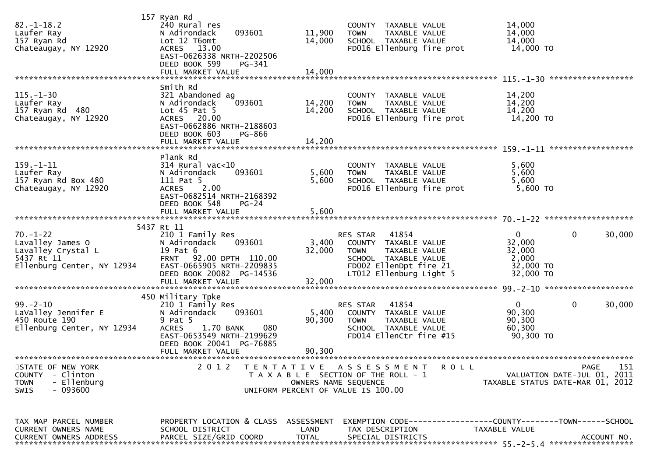| $82. - 1 - 18.2$<br>Laufer Ray<br>157 Ryan Rd<br>Chateaugay, NY 12920                                    | 157 Ryan Rd<br>240 Rural res<br>093601<br>N Adirondack<br>Lot 12 T6omt<br>ACRES 13.00<br>EAST-0626338 NRTH-2202506<br>DEED BOOK 599<br>PG-341                           | 11,900<br>14,000 | COUNTY TAXABLE VALUE<br>TAXABLE VALUE<br><b>TOWN</b><br>SCHOOL TAXABLE VALUE<br>FD016 Ellenburg fire prot                                           | 14,000<br>14,000<br>14,000<br>14,000 TO                                                      |
|----------------------------------------------------------------------------------------------------------|-------------------------------------------------------------------------------------------------------------------------------------------------------------------------|------------------|-----------------------------------------------------------------------------------------------------------------------------------------------------|----------------------------------------------------------------------------------------------|
|                                                                                                          |                                                                                                                                                                         |                  |                                                                                                                                                     |                                                                                              |
| $115. - 1 - 30$<br>Laufer Ray<br>157 Ryan Rd 480<br>Chateaugay, NY 12920                                 | Smith Rd<br>321 Abandoned ag<br>N Adirondack<br>093601<br>Lot $45$ Pat $5$<br>ACRES 20.00<br>EAST-0662886 NRTH-2188603<br>DEED BOOK 603<br>PG-866                       | 14,200<br>14,200 | COUNTY TAXABLE VALUE<br><b>TOWN</b><br>TAXABLE VALUE<br>SCHOOL TAXABLE VALUE<br>FD016 Ellenburg fire prot                                           | 14,200<br>14,200<br>14,200<br>14,200 TO                                                      |
|                                                                                                          |                                                                                                                                                                         |                  |                                                                                                                                                     |                                                                                              |
| $159. - 1 - 11$<br>Laufer Ray<br>157 Ryan Rd Box 480<br>Chateaugay, NY 12920                             | Plank Rd<br>$314$ Rural vac<10<br>093601<br>N Adirondack<br>111 Pat 5<br>2.00<br><b>ACRES</b><br>EAST-0682514 NRTH-2168392                                              | 5,600<br>5,600   | COUNTY TAXABLE VALUE<br>TAXABLE VALUE<br><b>TOWN</b><br>SCHOOL TAXABLE VALUE<br>FD016 Ellenburg fire prot                                           | 5,600<br>5,600<br>5,600<br>5,600 TO                                                          |
|                                                                                                          | DEED BOOK 548<br>$PG-24$                                                                                                                                                |                  |                                                                                                                                                     |                                                                                              |
|                                                                                                          | 5437 Rt 11                                                                                                                                                              |                  |                                                                                                                                                     |                                                                                              |
| $70. - 1 - 22$<br>Lavalley James O<br>Lavalley Crystal L<br>5437 Rt 11<br>Ellenburg Center, NY 12934     | 210 1 Family Res<br>N Adirondack<br>093601<br>19 Pat 6<br>FRNT 92.00 DPTH 110.00<br>EAST-0665905 NRTH-2209835<br>DEED BOOK 20082 PG-14536                               | 3,400<br>32,000  | RES STAR 41854<br>COUNTY TAXABLE VALUE<br>TAXABLE VALUE<br><b>TOWN</b><br>SCHOOL TAXABLE VALUE<br>FD002 EllenDpt fire 21<br>LT012 Ellenburg Light 5 | $\mathbf{0}$<br>$\mathbf 0$<br>30,000<br>32,000<br>32,000<br>2,000<br>32,000 TO<br>32,000 TO |
|                                                                                                          | FULL MARKET VALUE                                                                                                                                                       | 32,000           |                                                                                                                                                     |                                                                                              |
| $99. - 2 - 10$<br>LaValley Jennifer E<br>450 Route 190<br>Ellenburg Center, NY 12934                     | 450 Military Tpke<br>210 1 Family Res<br>N Adirondack<br>093601<br>9 Pat 5<br>1.70 BANK<br>080<br><b>ACRES</b><br>EAST-0653549 NRTH-2199629<br>DEED BOOK 20041 PG-76885 | 5,400<br>90,300  | 41854<br>RES STAR<br>COUNTY TAXABLE VALUE<br><b>TOWN</b><br>TAXABLE VALUE<br>SCHOOL TAXABLE VALUE<br>FD014 EllenCtr fire #15                        | $\mathbf{0}$<br>$\mathbf{0}$<br>30,000<br>90,300<br>90,300<br>60,300<br>90,300 TO            |
|                                                                                                          | FULL MARKET VALUE                                                                                                                                                       | 90,300           |                                                                                                                                                     |                                                                                              |
| STATE OF NEW YORK<br>- Clinton<br><b>COUNTY</b><br>- Ellenburg<br><b>TOWN</b><br>- 093600<br><b>SWIS</b> | 2 0 1 2                                                                                                                                                                 |                  | TENTATIVE ASSESSMENT<br><b>ROLL</b><br>T A X A B L E SECTION OF THE ROLL - 1<br>OWNERS NAME SEQUENCE<br>UNIFORM PERCENT OF VALUE IS 100.00          | 151<br><b>PAGE</b><br>VALUATION DATE-JUL 01, 2011<br>TAXABLE STATUS DATE-MAR 01, 2012        |
| TAX MAP PARCEL NUMBER<br>CURRENT OWNERS NAME                                                             | PROPERTY LOCATION & CLASS ASSESSMENT<br>SCHOOL DISTRICT                                                                                                                 | LAND             | TAX DESCRIPTION                                                                                                                                     | EXEMPTION        CODE-----------------COUNTY-------TOWN------SCHOOL<br>TAXABLE VALUE         |
| <b>CURRENT OWNERS ADDRESS</b>                                                                            | PARCEL SIZE/GRID COORD                                                                                                                                                  | <b>TOTAL</b>     | SPECIAL DISTRICTS                                                                                                                                   | ACCOUNT NO.                                                                                  |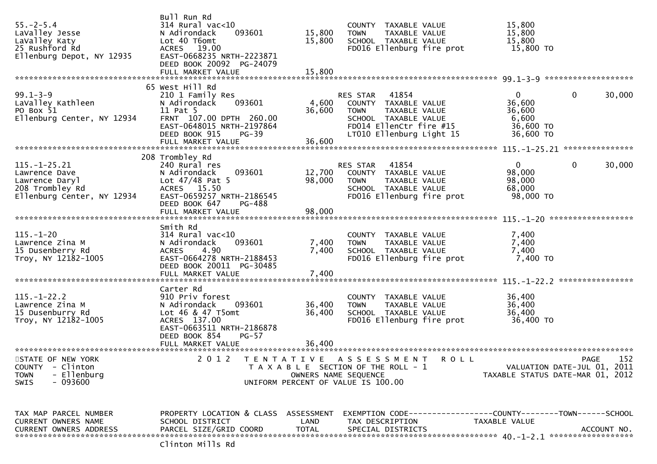| $55. - 2 - 5.4$<br>LaValley Jesse<br>LaValley Katy<br>25 Rushford Rd<br>Ellenburg Depot, NY 12935      | Bull Run Rd<br>314 Rural vac<10<br>093601<br>N Adirondack<br>Lot 40 T6omt<br>ACRES 19.00<br>EAST-0668235 NRTH-2223871<br>DEED BOOK 20092 PG-24079            | 15,800<br>15,800        | COUNTY TAXABLE VALUE<br><b>TOWN</b><br>TAXABLE VALUE<br>SCHOOL TAXABLE VALUE<br>FD016 Ellenburg fire prot                                                | 15,800<br>15,800<br>15,800<br>15,800 TO                               |                        |
|--------------------------------------------------------------------------------------------------------|--------------------------------------------------------------------------------------------------------------------------------------------------------------|-------------------------|----------------------------------------------------------------------------------------------------------------------------------------------------------|-----------------------------------------------------------------------|------------------------|
|                                                                                                        | 65 West Hill Rd                                                                                                                                              |                         |                                                                                                                                                          |                                                                       |                        |
| $99.1 - 3 - 9$<br>LaValley Kathleen<br>PO Box 51<br>Ellenburg Center, NY 12934                         | 210 1 Family Res<br>N Adirondack<br>093601<br>11 Pat 5<br>FRNT 107.00 DPTH 260.00<br>EAST-0648015 NRTH-2197864<br>DEED BOOK 915<br>PG-39                     | 4,600<br>36,600         | 41854<br>RES STAR<br>COUNTY TAXABLE VALUE<br>TAXABLE VALUE<br><b>TOWN</b><br>SCHOOL TAXABLE VALUE<br>FD014 EllenCtr fire #15<br>LT010 Ellenburg Light 15 | $\overline{0}$<br>36,600<br>36,600<br>6,600<br>36,600 TO<br>36,600 TO | 0<br>30,000            |
|                                                                                                        |                                                                                                                                                              |                         |                                                                                                                                                          |                                                                       |                        |
| $115. - 1 - 25.21$<br>Lawrence Dave<br>Lawrence Daryl<br>208 Trombley Rd<br>Ellenburg Center, NY 12934 | 208 Trombley Rd<br>240 Rural res<br>N Adirondack<br>093601<br>Lot $47/48$ Pat 5<br>ACRES 15.50<br>EAST-0659257 NRTH-2186545<br>DEED BOOK 647<br>PG-488       | 12,700<br>98,000        | 41854<br>RES STAR<br>COUNTY TAXABLE VALUE<br>TAXABLE VALUE<br><b>TOWN</b><br>SCHOOL TAXABLE VALUE<br>FD016 Ellenburg fire prot                           | $\mathbf{0}$<br>98,000<br>98,000<br>68,000<br>98,000 TO               | $\mathbf{0}$<br>30,000 |
|                                                                                                        |                                                                                                                                                              |                         |                                                                                                                                                          |                                                                       |                        |
| $115. - 1 - 20$<br>Lawrence Zina M<br>15 Dusenberry Rd<br>Troy, NY 12182-1005                          | Smith Rd<br>314 Rural vac<10<br>N Adirondack<br>093601<br>4.90<br><b>ACRES</b><br>EAST-0664278 NRTH-2188453<br>DEED BOOK 20011 PG-30485<br>FULL MARKET VALUE | 7,400<br>7,400<br>7,400 | COUNTY TAXABLE VALUE<br>TAXABLE VALUE<br><b>TOWN</b><br>SCHOOL TAXABLE VALUE<br>FD016 Ellenburg fire prot                                                | 7,400<br>7,400<br>7,400<br>7,400 TO                                   |                        |
|                                                                                                        | Carter Rd                                                                                                                                                    |                         |                                                                                                                                                          |                                                                       |                        |
| $115. - 1 - 22.2$<br>Lawrence Zina M<br>15 Dusenburry Rd<br>Troy, NY 12182-1005                        | 910 Priv forest<br>N Adirondack<br>093601<br>Lot 46 & 47 T5omt<br>ACRES 137.00<br>EAST-0663511 NRTH-2186878<br>DEED BOOK 854<br>$PG-57$                      | 36,400<br>36,400        | TAXABLE VALUE<br>COUNTY<br><b>TOWN</b><br>TAXABLE VALUE<br>SCHOOL TAXABLE VALUE<br>FD016 Ellenburg fire prot                                             | 36,400<br>36,400<br>36,400<br>36,400 TO                               |                        |
|                                                                                                        |                                                                                                                                                              | 36,400                  |                                                                                                                                                          |                                                                       |                        |
| STATE OF NEW YORK<br>COUNTY - Clinton<br>- Ellenburg<br><b>TOWN</b><br>- 093600<br><b>SWIS</b>         |                                                                                                                                                              | OWNERS NAME SEQUENCE    | 2012 TENTATIVE ASSESSMENT ROLL<br>T A X A B L E SECTION OF THE ROLL - 1<br>UNIFORM PERCENT OF VALUE IS 100.00                                            | VALUATION DATE-JUL 01, 2011<br>TAXABLE STATUS DATE-MAR 01, 2012       | 152<br>PAGE            |
| TAX MAP PARCEL NUMBER<br><b>CURRENT OWNERS NAME</b><br><b>CURRENT OWNERS ADDRESS</b>                   | PROPERTY LOCATION & CLASS ASSESSMENT<br>SCHOOL DISTRICT<br>PARCEL SIZE/GRID COORD<br>Clinton Mills Rd                                                        | LAND<br>TOTAL           | EXEMPTION CODE-----------------COUNTY-------TOWN------SCHOOL<br>TAX DESCRIPTION<br>SPECIAL DISTRICTS                                                     | TAXABLE VALUE                                                         | ACCOUNT NO.            |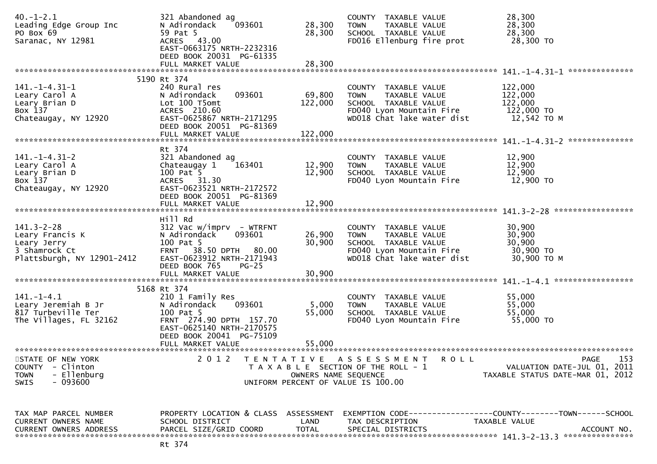| $40. - 1 - 2.1$<br>Leading Edge Group Inc<br>PO Box 69<br>Saranac, NY 12981                              | 321 Abandoned ag<br>093601<br>N Adirondack<br>59 Pat 5<br>ACRES 43.00<br>EAST-0663175 NRTH-2232316<br>DEED BOOK 20031 PG-61335<br>FULL MARKET VALUE              | 28,300<br>28,300<br>28,300                | COUNTY TAXABLE VALUE<br><b>TOWN</b><br>TAXABLE VALUE<br>SCHOOL TAXABLE VALUE<br>FD016 Ellenburg fire prot                              | 28,300<br>28,300<br>28,300<br>28,300 TO                                                                                |
|----------------------------------------------------------------------------------------------------------|------------------------------------------------------------------------------------------------------------------------------------------------------------------|-------------------------------------------|----------------------------------------------------------------------------------------------------------------------------------------|------------------------------------------------------------------------------------------------------------------------|
|                                                                                                          |                                                                                                                                                                  |                                           |                                                                                                                                        | **************                                                                                                         |
| 141. –1–4.31–1<br>Leary Carol A<br>Leary Brian D<br>Box 137<br>Chateaugay, NY 12920                      | 5190 Rt 374<br>240 Rural res<br>093601<br>N Adirondack<br>Lot 100 T5omt<br>ACRES 210.60<br>EAST-0625867 NRTH-2171295<br>DEED BOOK 20051 PG-81369                 | 69,800<br>122,000                         | COUNTY TAXABLE VALUE<br>TAXABLE VALUE<br><b>TOWN</b><br>SCHOOL TAXABLE VALUE<br>FD040 Lyon Mountain Fire<br>WD018 Chat lake water dist | 122,000<br>122,000<br>122,000<br>122,000 TO<br>12,542 TO M                                                             |
|                                                                                                          | FULL MARKET VALUE                                                                                                                                                | 122,000                                   |                                                                                                                                        |                                                                                                                        |
| $141. - 1 - 4.31 - 2$<br>Leary Carol A<br>Leary Brian D<br>Box 137<br>Chateaugay, NY 12920               | Rt 374<br>321 Abandoned ag<br>163401<br>Chateaugay 1<br>100 Pat 5<br>ACRES 31.30<br>EAST-0623521 NRTH-2172572<br>DEED BOOK 20051 PG-81369                        | 12,900<br>12,900                          | COUNTY TAXABLE VALUE<br>TAXABLE VALUE<br><b>TOWN</b><br>SCHOOL TAXABLE VALUE<br>FD040 Lyon Mountain Fire                               | 12,900<br>12,900<br>12,900<br>12,900 TO                                                                                |
|                                                                                                          | FULL MARKET VALUE                                                                                                                                                | 12,900                                    |                                                                                                                                        |                                                                                                                        |
|                                                                                                          |                                                                                                                                                                  |                                           |                                                                                                                                        |                                                                                                                        |
| $141.3 - 2 - 28$<br>Leary Francis K<br>Leary Jerry<br>3 Shamrock Ct<br>Plattsburgh, NY 12901-2412        | Hill Rd<br>$312$ Vac w/imprv - WTRFNT<br>N Adirondack<br>093601<br>100 Pat 5<br>FRNT 38.50 DPTH 80.00<br>EAST-0623912 NRTH-2171943<br>DEED BOOK 765<br>$PG-25$   | 26,900<br>30,900                          | COUNTY TAXABLE VALUE<br>TAXABLE VALUE<br><b>TOWN</b><br>SCHOOL TAXABLE VALUE<br>FD040 Lyon Mountain Fire<br>WD018 Chat lake water dist | 30,900<br>30,900<br>30,900<br>30,900 TO<br>30,900 ТО М                                                                 |
|                                                                                                          | FULL MARKET VALUE                                                                                                                                                | 30,900                                    |                                                                                                                                        |                                                                                                                        |
|                                                                                                          | 5168 Rt 374                                                                                                                                                      |                                           |                                                                                                                                        |                                                                                                                        |
| 141. – 1–4.1<br>Leary Jeremiah B Jr<br>817 Turbeville Ter<br>The Villages, FL 32162                      | 210 1 Family Res<br>093601<br>N Adirondack<br>100 Pat 5<br>FRNT 274.90 DPTH 157.70<br>EAST-0625140 NRTH-2170575<br>DEED BOOK 20041 PG-75109<br>FULL MARKET VALUE | 5,000<br>55,000<br>55,000                 | COUNTY TAXABLE VALUE<br><b>TOWN</b><br>TAXABLE VALUE<br>SCHOOL TAXABLE VALUE<br>FD040 Lyon Mountain Fire                               | 55,000<br>55,000<br>55,000<br>55,000 TO                                                                                |
|                                                                                                          |                                                                                                                                                                  |                                           |                                                                                                                                        |                                                                                                                        |
| STATE OF NEW YORK<br><b>COUNTY</b><br>- Clinton<br>- Ellenburg<br><b>TOWN</b><br>- 093600<br><b>SWIS</b> | 2 0 1 2                                                                                                                                                          | T E N T A T I V E<br>OWNERS NAME SEQUENCE | A S S E S S M E N T<br>R O L L<br>T A X A B L E SECTION OF THE ROLL - 1<br>UNIFORM PERCENT OF VALUE IS 100.00                          | 153<br>PAGE<br>VALUATION DATE-JUL 01, 2011<br>TAXABLE STATUS DATE-MAR 01, 2012                                         |
| TAX MAP PARCEL NUMBER<br>CURRENT OWNERS NAME<br><b>CURRENT OWNERS ADDRESS</b>                            | PROPERTY LOCATION & CLASS<br>SCHOOL DISTRICT<br>PARCEL SIZE/GRID COORD                                                                                           | ASSESSMENT<br>LAND<br><b>TOTAL</b>        | TAX DESCRIPTION<br>SPECIAL DISTRICTS                                                                                                   | EXEMPTION        CODE-----------------COUNTY-------TOWN------SCHOOL<br>TAXABLE VALUE<br>ACCOUNT NO.<br>*************** |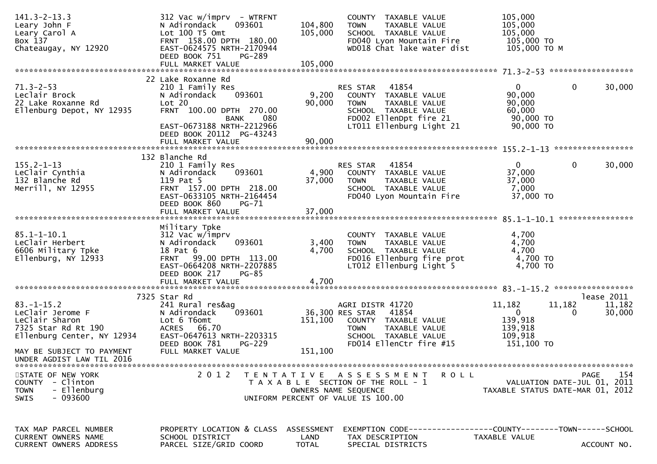| $141.3 - 2 - 13.3$<br>Leary John F<br>Leary Carol A<br>Box 137<br>Chateaugay, NY 12920                                                                                | $312$ Vac w/imprv - WTRFNT<br>N Adirondack<br>093601<br>Lot 100 T5 Omt<br>FRNT 158.00 DPTH 180.00<br>EAST-0624575 NRTH-2170944<br>DEED BOOK 751<br><b>PG-289</b><br>FULL MARKET VALUE | 104,800<br>105,000<br>105,000 | COUNTY TAXABLE VALUE<br><b>TOWN</b><br>TAXABLE VALUE<br>SCHOOL TAXABLE VALUE<br>FD040 Lyon Mountain Fire<br>WD018 Chat lake water dist                  | 105,000<br>105,000<br>105,000<br>105,000 TO<br>105,000 ТО М                            |                                |
|-----------------------------------------------------------------------------------------------------------------------------------------------------------------------|---------------------------------------------------------------------------------------------------------------------------------------------------------------------------------------|-------------------------------|---------------------------------------------------------------------------------------------------------------------------------------------------------|----------------------------------------------------------------------------------------|--------------------------------|
|                                                                                                                                                                       |                                                                                                                                                                                       |                               |                                                                                                                                                         |                                                                                        |                                |
| $71.3 - 2 - 53$<br>Leclair Brock<br>22 Lake Roxanne Rd<br>Ellenburg Depot, NY 12935                                                                                   | 22 Lake Roxanne Rd<br>210 1 Family Res<br>093601<br>N Adirondack<br>Lot 20<br>FRNT 100.00 DPTH 270.00<br>080<br>BANK<br>EAST-0673188 NRTH-2212966<br>DEED BOOK 20112 PG-43243         | 9,200<br>90,000               | 41854<br>RES STAR<br>COUNTY TAXABLE VALUE<br><b>TOWN</b><br>TAXABLE VALUE<br>SCHOOL TAXABLE VALUE<br>FD002 EllenDpt fire 21<br>LT011 Ellenburg Light 21 | 0<br>$\mathbf{0}$<br>90,000<br>90,000<br>60,000<br>90,000 TO<br>90,000 TO              | 30,000                         |
|                                                                                                                                                                       |                                                                                                                                                                                       |                               |                                                                                                                                                         |                                                                                        |                                |
| $155.2 - 1 - 13$<br>Leclair Cynthia<br>132 Blanche Rd<br>Merrill, NY 12955                                                                                            | 132 Blanche Rd<br>210 1 Family Res<br>093601<br>N Adirondack<br>119 Pat 5<br>FRNT 157.00 DPTH 218.00<br>EAST-0633105 NRTH-2164454<br>DEED BOOK 860<br><b>PG-71</b>                    | 4,900<br>37,000               | RES STAR<br>41854<br>COUNTY TAXABLE VALUE<br>TAXABLE VALUE<br><b>TOWN</b><br>SCHOOL TAXABLE VALUE<br>FD040 Lyon Mountain Fire                           | $\mathbf{0}$<br>0<br>37,000<br>37,000<br>7,000<br>37,000 TO                            | 30,000                         |
|                                                                                                                                                                       | FULL MARKET VALUE                                                                                                                                                                     | 37,000                        |                                                                                                                                                         |                                                                                        |                                |
| $85.1 - 1 - 10.1$<br>LeClair Herbert<br>6606 Military Tpke<br>Ellenburg, NY 12933                                                                                     | Military Tpke<br>312 Vac w/imprv<br>093601<br>N Adirondack<br>18 Pat 6<br>FRNT 99.00 DPTH 113.00<br>EAST-0664208 NRTH-2207885<br>DEED BOOK 217<br>$PG-85$                             | 3,400<br>4,700                | COUNTY TAXABLE VALUE<br>TAXABLE VALUE<br><b>TOWN</b><br>SCHOOL TAXABLE VALUE<br>FD016 Ellenburg fire prot<br>LT012 Ellenburg Light 5                    | 4,700<br>4,700<br>4,700<br>4,700 TO<br>4,700 TO                                        |                                |
| $83. - 1 - 15.2$<br>LeClair Jerome F<br>Leclair Sharon<br>7325 Star Rd Rt 190<br>Ellenburg Center, NY 12934<br>MAY BE SUBJECT TO PAYMENT<br>UNDER AGDIST LAW TIL 2016 | 7325 Star Rd<br>241 Rural res&ag<br>093601<br>N Adirondack<br>Lot 6 T6omt<br>ACRES 66.70<br>EAST-0647613 NRTH-2203315<br>DEED BOOK 781<br>PG-229<br>FULL MARKET VALUE                 | 151,100<br>151,100            | AGRI DISTR 41720<br>36,300 RES STAR 41854<br>COUNTY TAXABLE VALUE<br><b>TOWN</b><br>TAXABLE VALUE<br>SCHOOL TAXABLE VALUE<br>FD014 EllenCtr fire #15    | 11,182<br>11,182<br>$\overline{0}$<br>0<br>139,918<br>139,918<br>109,918<br>151,100 TO | lease 2011<br>11,182<br>30,000 |
| STATE OF NEW YORK<br>COUNTY - Clinton<br>- Ellenburg<br><b>TOWN</b><br>- 093600<br><b>SWIS</b>                                                                        | 2 0 1 2<br>T E N T A T I V E                                                                                                                                                          |                               | <b>ROLL</b><br>A S S E S S M E N T<br>T A X A B L E SECTION OF THE ROLL - 1<br>OWNERS NAME SEQUENCE<br>UNIFORM PERCENT OF VALUE IS 100.00               | VALUATION DATE-JUL 01, 2011<br>TAXABLE STATUS DATE-MAR 01, 2012                        | 154<br>PAGE                    |
| TAX MAP PARCEL NUMBER<br><b>CURRENT OWNERS NAME</b><br>CURRENT OWNERS ADDRESS                                                                                         | PROPERTY LOCATION & CLASS ASSESSMENT<br>SCHOOL DISTRICT<br>PARCEL SIZE/GRID COORD                                                                                                     | LAND<br><b>TOTAL</b>          | EXEMPTION CODE------------------COUNTY--------TOWN------SCHOOL<br>TAX DESCRIPTION<br>SPECIAL DISTRICTS                                                  | TAXABLE VALUE                                                                          | ACCOUNT NO.                    |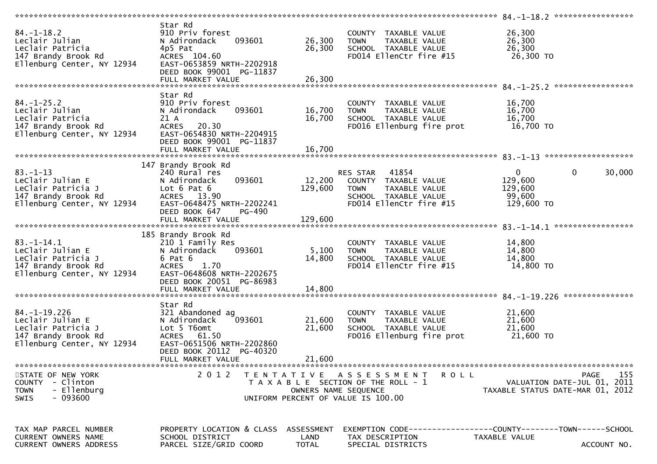|                                                                                                                   |                                                                                                                                                               |                            | *******************                                                                                                          | 84. -1-18.2 ******************                                               |                    |
|-------------------------------------------------------------------------------------------------------------------|---------------------------------------------------------------------------------------------------------------------------------------------------------------|----------------------------|------------------------------------------------------------------------------------------------------------------------------|------------------------------------------------------------------------------|--------------------|
| $84. - 1 - 18.2$<br>Leclair Julian<br>Leclair Patricia<br>147 Brandy Brook Rd<br>Ellenburg Center, NY 12934       | Star Rd<br>910 Priv forest<br>093601<br>N Adirondack<br>4p5 Pat<br>ACRES 104.60<br>EAST-0653859 NRTH-2202918<br>DEED BOOK 99001 PG-11837<br>FULL MARKET VALUE | 26,300<br>26,300<br>26,300 | COUNTY TAXABLE VALUE<br>TAXABLE VALUE<br><b>TOWN</b><br>SCHOOL TAXABLE VALUE<br>FD014 EllenCtr fire #15                      | 26,300<br>26,300<br>26,300<br>26,300 TO                                      |                    |
| $84. - 1 - 25.2$                                                                                                  | Star Rd<br>910 Priv forest                                                                                                                                    |                            | COUNTY TAXABLE VALUE                                                                                                         | 16,700                                                                       |                    |
| Leclair Julian<br>Leclair Patricia<br>147 Brandy Brook Rd<br>Ellenburg Center, NY 12934                           | 093601<br>N Adirondack<br>21 A<br>20.30<br><b>ACRES</b><br>EAST-0654830 NRTH-2204915                                                                          | 16,700<br>16,700           | TAXABLE VALUE<br><b>TOWN</b><br>SCHOOL TAXABLE VALUE<br>FD016 Ellenburg fire prot                                            | 16,700<br>16,700<br>16,700 TO                                                |                    |
|                                                                                                                   | DEED BOOK 99001 PG-11837<br>FULL MARKET VALUE                                                                                                                 | 16,700                     |                                                                                                                              |                                                                              |                    |
|                                                                                                                   | 147 Brandy Brook Rd                                                                                                                                           |                            |                                                                                                                              |                                                                              |                    |
| $83. - 1 - 13$<br>LeClair Julian E<br>LeClair Patricia J<br>147 Brandy Brook Rd<br>Ellenburg Center, NY 12934     | 240 Rural res<br>093601<br>N Adirondack<br>Lot $6$ Pat $6$<br>ACRES 13.90<br>EAST-0648475 NRTH-2202241                                                        | 12,200<br>129,600          | RES STAR<br>41854<br>COUNTY TAXABLE VALUE<br>TAXABLE VALUE<br><b>TOWN</b><br>SCHOOL TAXABLE VALUE<br>FD014 EllenCtr fire #15 | $\overline{0}$<br>$\mathbf{0}$<br>129,600<br>129,600<br>99,600<br>129,600 TO | 30,000             |
|                                                                                                                   | DEED BOOK 647<br>PG-490                                                                                                                                       |                            |                                                                                                                              |                                                                              |                    |
| $83. - 1 - 14.1$<br>LeClair Julian E<br>LeClair Patricia J<br>147 Brandy Brook Rd<br>Ellenburg Center, NY 12934   | 185 Brandy Brook Rd<br>210 1 Family Res<br>N Adirondack<br>093601<br>6 Pat 6<br>1.70<br><b>ACRES</b><br>EAST-0648608 NRTH-2202675<br>DEED BOOK 20051 PG-86983 | 5,100<br>14,800            | COUNTY TAXABLE VALUE<br>TAXABLE VALUE<br><b>TOWN</b><br>SCHOOL TAXABLE VALUE<br>FD014 EllenCtr fire #15                      | 14,800<br>14,800<br>14,800<br>14,800 TO                                      |                    |
|                                                                                                                   |                                                                                                                                                               |                            |                                                                                                                              |                                                                              | ***************    |
| $84. - 1 - 19.226$<br>Leclair Julian E<br>Leclair Patricia J<br>147 Brandy Brook Rd<br>Ellenburg Center, NY 12934 | Star Rd<br>321 Abandoned ag<br>093601<br>N Adirondack<br>Lot 5 T6omt<br>ACRES 61.50<br>EAST-0651506 NRTH-2202860                                              | 21,600<br>21,600           | COUNTY TAXABLE VALUE<br>TAXABLE VALUE<br><b>TOWN</b><br>SCHOOL TAXABLE VALUE<br>FD016 Ellenburg fire prot                    | 21,600<br>21,600<br>21,600<br>21,600 TO                                      |                    |
|                                                                                                                   | DEED BOOK 20112 PG-40320<br>FULL MARKET VALUE                                                                                                                 | 21,600                     |                                                                                                                              |                                                                              |                    |
| STATE OF NEW YORK<br>COUNTY - Clinton<br>- Ellenburg<br><b>TOWN</b><br>$-093600$<br><b>SWIS</b>                   | 2 0 1 2                                                                                                                                                       | OWNERS NAME SEQUENCE       | TENTATIVE ASSESSMENT<br>R O L L<br>T A X A B L E SECTION OF THE ROLL - 1<br>UNIFORM PERCENT OF VALUE IS 100.00               | VALUATION DATE-JUL 01, 2011<br>TAXABLE STATUS DATE-MAR 01, 2012              | 155<br><b>PAGE</b> |
| TAX MAP PARCEL NUMBER<br><b>CURRENT OWNERS NAME</b><br>CURRENT OWNERS ADDRESS                                     | PROPERTY LOCATION & CLASS ASSESSMENT<br>SCHOOL DISTRICT<br>PARCEL SIZE/GRID COORD                                                                             | LAND<br><b>TOTAL</b>       | EXEMPTION        CODE-----------------COUNTY-------TOWN------SCHOOL<br>TAX DESCRIPTION<br>SPECIAL DISTRICTS                  | TAXABLE VALUE                                                                | ACCOUNT NO.        |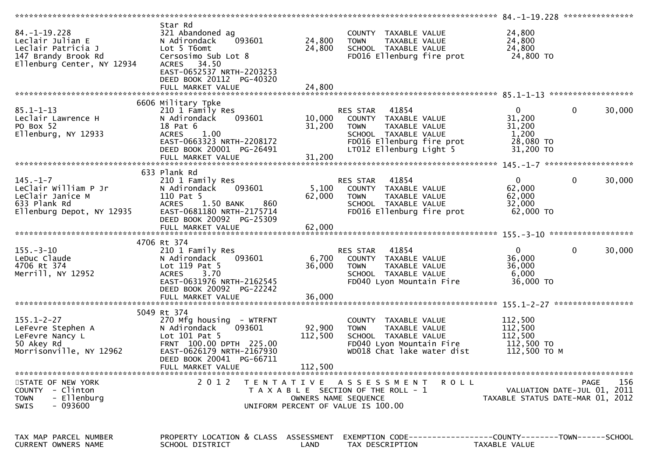|                                                                                                                   |                                                                                                                                                                                             |                              |                                                                                                                                                        | ******************* 84.-1-19.228 ****************                   |                                            |
|-------------------------------------------------------------------------------------------------------------------|---------------------------------------------------------------------------------------------------------------------------------------------------------------------------------------------|------------------------------|--------------------------------------------------------------------------------------------------------------------------------------------------------|---------------------------------------------------------------------|--------------------------------------------|
| $84. - 1 - 19.228$<br>Leclair Julian E<br>Leclair Patricia J<br>147 Brandy Brook Rd<br>Ellenburg Center, NY 12934 | Star Rd<br>321 Abandoned ag<br>N Adirondack<br>093601<br>Lot 5 T6omt<br>Cersosimo Sub Lot 8<br>ACRES 34.50<br>EAST-0652537 NRTH-2203253<br>DEED BOOK 20112 PG-40320<br>FULL MARKET VALUE    | 24,800<br>24,800<br>24,800   | COUNTY TAXABLE VALUE<br>TAXABLE VALUE<br><b>TOWN</b><br>SCHOOL TAXABLE VALUE<br>FD016 Ellenburg fire prot                                              | 24,800<br>24,800<br>24,800<br>24,800 TO                             |                                            |
|                                                                                                                   |                                                                                                                                                                                             |                              |                                                                                                                                                        |                                                                     |                                            |
| $85.1 - 1 - 13$<br>Leclair Lawrence H<br>PO Box 52<br>Ellenburg, NY 12933                                         | 6606 Military Tpke<br>210 1 Family Res<br>093601<br>N Adirondack<br>18 Pat 6<br><b>ACRES</b><br>1.00<br>EAST-0663323 NRTH-2208172<br>DEED BOOK 20001 PG-26491<br>FULL MARKET VALUE          | 10,000<br>31,200<br>31,200   | RES STAR 41854<br>COUNTY TAXABLE VALUE<br>TAXABLE VALUE<br><b>TOWN</b><br>SCHOOL TAXABLE VALUE<br>FD016 Ellenburg fire prot<br>LT012 Ellenburg Light 5 | $\mathbf{0}$<br>31,200<br>31,200<br>1,200<br>28,080 TO<br>31,200 TO | $\mathbf{0}$<br>30,000                     |
|                                                                                                                   |                                                                                                                                                                                             |                              |                                                                                                                                                        |                                                                     |                                            |
| $145. - 1 - 7$<br>LeClair William P Jr<br>LeClair Janice M<br>633 Plank Rd<br>Ellenburg Depot, NY 12935           | 633 Plank Rd<br>210 1 Family Res<br>N Adirondack<br>093601<br>110 Pat 5<br>1.50 BANK<br><b>ACRES</b><br>860<br>EAST-0681180 NRTH-2175714<br>DEED BOOK 20092 PG-25309                        | 5,100<br>62,000              | RES STAR<br>41854<br>COUNTY TAXABLE VALUE<br><b>TOWN</b><br>TAXABLE VALUE<br>SCHOOL TAXABLE VALUE<br>FD016 Ellenburg fire prot                         | 0<br>62,000<br>62,000<br>32,000<br>62,000 TO                        | 0<br>30,000                                |
|                                                                                                                   | FULL MARKET VALUE                                                                                                                                                                           | 62,000                       |                                                                                                                                                        |                                                                     |                                            |
|                                                                                                                   |                                                                                                                                                                                             |                              |                                                                                                                                                        |                                                                     |                                            |
| $155. - 3 - 10$<br>LeDuc Claude                                                                                   | 4706 Rt 374<br>210 1 Family Res<br>093601<br>N Adirondack                                                                                                                                   |                              | 41854<br>RES STAR<br>COUNTY TAXABLE VALUE                                                                                                              | $\mathbf{0}$                                                        | 0<br>30,000                                |
| 4706 Rt 374<br>Merrill, NY 12952                                                                                  | Lot 119 Pat 5<br>3.70<br><b>ACRES</b><br>EAST-0631976 NRTH-2162545<br>DEED BOOK 20092 PG-22242                                                                                              | 6,700<br>36,000              | TAXABLE VALUE<br><b>TOWN</b><br>SCHOOL TAXABLE VALUE<br>FD040 Lyon Mountain Fire                                                                       | 36,000<br>36,000<br>6,000<br>36,000 TO                              |                                            |
|                                                                                                                   | FULL MARKET VALUE                                                                                                                                                                           | 36,000                       |                                                                                                                                                        |                                                                     |                                            |
| $155.1 - 2 - 27$<br>LeFevre Stephen A<br>LeFevre Nancy L<br>50 Akey Rd<br>Morrisonville, NY 12962                 | 5049 Rt 374<br>270 Mfg housing - WTRFNT<br>093601<br>N Adirondack<br>Lot 101 Pat 5<br>FRNT 100.00 DPTH 225.00<br>EAST-0626179 NRTH-2167930<br>DEED BOOK 20041 PG-66711<br>FULL MARKET VALUE | 92,900<br>112,500<br>112,500 | COUNTY TAXABLE VALUE<br>TAXABLE VALUE<br><b>TOWN</b><br>SCHOOL TAXABLE VALUE<br>FD040 Lyon Mountain Fire<br>WD018 Chat lake water dist                 | 112,500<br>112,500<br>112,500<br>112,500 TO<br>112,500 TO M         |                                            |
|                                                                                                                   |                                                                                                                                                                                             |                              |                                                                                                                                                        |                                                                     |                                            |
| STATE OF NEW YORK<br>COUNTY - Clinton<br>- Ellenburg<br><b>TOWN</b><br>$-093600$<br><b>SWIS</b>                   | 2 0 1 2                                                                                                                                                                                     |                              | TENTATIVE ASSESSMENT ROLL<br>T A X A B L E SECTION OF THE ROLL - 1<br>OWNERS NAME SEQUENCE<br>UNIFORM PERCENT OF VALUE IS 100.00                       | TAXABLE STATUS DATE-MAR 01, 2012                                    | 156<br>PAGE<br>VALUATION DATE-JUL 01, 2011 |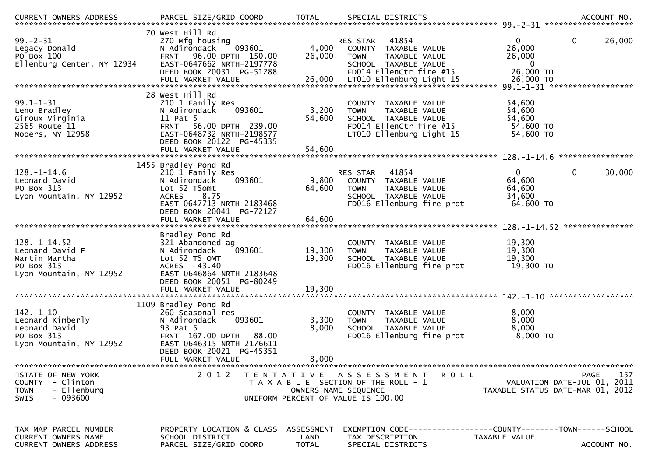| $99. - 2 - 31$<br>Legacy Donald<br>PO Box 100<br>Ellenburg Center, NY 12934                     | 70 West Hill Rd<br>270 Mfg housing<br>093601<br>N Adirondack<br>96.00 DPTH 150.00<br><b>FRNT</b><br>EAST-0647662 NRTH-2197778<br>DEED BOOK 20031 PG-51288<br>FULL MARKET VALUE              | 4,000<br>26,000<br>26,000                                                                                                   | RES STAR<br><b>TOWN</b>      | 41854<br>COUNTY TAXABLE VALUE<br>TAXABLE VALUE<br>SCHOOL TAXABLE VALUE<br>FD014 EllenCtr fire #15<br>LT010 Ellenburg Light 15 | $\Omega$<br>26,000<br>26,000<br>0<br>26,000 TO<br>26,000 TO                   | $\mathbf 0$<br>26,000<br>99.1-1-31 *******************                                |
|-------------------------------------------------------------------------------------------------|---------------------------------------------------------------------------------------------------------------------------------------------------------------------------------------------|-----------------------------------------------------------------------------------------------------------------------------|------------------------------|-------------------------------------------------------------------------------------------------------------------------------|-------------------------------------------------------------------------------|---------------------------------------------------------------------------------------|
| $99.1 - 1 - 31$<br>Leno Bradley<br>Giroux Virginia<br>2565 Route 11<br>Mooers, NY 12958         | 28 West Hill Rd<br>210 1 Family Res<br>N Adirondack<br>093601<br>11 Pat 5<br>56.00 DPTH 239.00<br><b>FRNT</b><br>EAST-0648732 NRTH-2198577<br>DEED BOOK 20122 PG-45335<br>FULL MARKET VALUE | 3,200<br>54,600<br>54,600                                                                                                   | COUNTY<br><b>TOWN</b>        | TAXABLE VALUE<br>TAXABLE VALUE<br>SCHOOL TAXABLE VALUE<br>FD014 EllenCtr fire #15<br>LT010 Ellenburg Light 15                 | 54,600<br>54,600<br>54,600<br>54,600 TO<br>54,600 TO                          |                                                                                       |
|                                                                                                 | 1455 Bradley Pond Rd                                                                                                                                                                        |                                                                                                                             |                              |                                                                                                                               |                                                                               |                                                                                       |
| $128. - 1 - 14.6$<br>Leonard David<br>PO Box 313<br>Lyon Mountain, NY 12952                     | 210 1 Family Res<br>093601<br>N Adirondack<br>Lot 52 T5omt<br><b>ACRES</b><br>8.75<br>EAST-0647713 NRTH-2183468<br>DEED BOOK 20041 PG-72127                                                 | 9,800<br>64,600                                                                                                             | RES STAR<br><b>TOWN</b>      | 41854<br>COUNTY TAXABLE VALUE<br>TAXABLE VALUE<br>SCHOOL TAXABLE VALUE<br>FD016 Ellenburg fire prot                           | $\mathbf{0}$<br>64,600<br>64,600<br>34,600<br>64,600 TO                       | $\mathbf 0$<br>30,000                                                                 |
|                                                                                                 | FULL MARKET VALUE                                                                                                                                                                           | 64,600                                                                                                                      |                              |                                                                                                                               |                                                                               |                                                                                       |
| $128. - 1 - 14.52$<br>Leonard David F<br>Martin Martha<br>PO Box 313<br>Lyon Mountain, NY 12952 | Bradley Pond Rd<br>321 Abandoned ag<br>093601<br>N Adirondack<br>Lot 52 T5 OMT<br>ACRES 43.40<br>EAST-0646864 NRTH-2183648<br>DEED BOOK 20051 PG-80249                                      | 19,300<br>19,300                                                                                                            | <b>COUNTY</b><br><b>TOWN</b> | TAXABLE VALUE<br>TAXABLE VALUE<br>SCHOOL TAXABLE VALUE<br>FD016 Ellenburg fire prot                                           | 19,300<br>19,300<br>19,300<br>19,300 TO                                       |                                                                                       |
| $142. - 1 - 10$<br>Leonard Kimberly<br>Leonard David<br>PO Box 313<br>Lyon Mountain, NY 12952   | 1109 Bradley Pond Rd<br>260 Seasonal res<br>093601<br>N Adirondack<br>93 Pat 5<br>FRNT 167.00 DPTH<br>88.00<br>EAST-0646315 NRTH-2176611<br>DEED BOOK 20021 PG-45351<br>FULL MARKET VALUE   | 3,300<br>8,000<br>8,000                                                                                                     | <b>TOWN</b>                  | COUNTY TAXABLE VALUE<br>TAXABLE VALUE<br>SCHOOL TAXABLE VALUE<br>FD016 Ellenburg fire prot                                    | 8,000<br>8,000<br>8,000<br>8,000 TO                                           |                                                                                       |
| STATE OF NEW YORK<br>COUNTY - Clinton<br>- Ellenburg<br><b>TOWN</b><br>$-093600$<br><b>SWIS</b> | 2 0 1 2                                                                                                                                                                                     | TENTATIVE ASSESSMENT<br>T A X A B L E SECTION OF THE ROLL - 1<br>OWNERS NAME SEQUENCE<br>UNIFORM PERCENT OF VALUE IS 100.00 |                              | <b>ROLL</b>                                                                                                                   |                                                                               | <b>PAGE</b><br>157<br>VALUATION DATE-JUL 01, 2011<br>TAXABLE STATUS DATE-MAR 01, 2012 |
| TAX MAP PARCEL NUMBER<br>CURRENT OWNERS NAME<br><b>CURRENT OWNERS ADDRESS</b>                   | PROPERTY LOCATION & CLASS<br>SCHOOL DISTRICT<br>PARCEL SIZE/GRID COORD                                                                                                                      | ASSESSMENT<br>LAND<br><b>TOTAL</b>                                                                                          | TAX DESCRIPTION              | SPECIAL DISTRICTS                                                                                                             | EXEMPTION CODE-----------------COUNTY-------TOWN------SCHOOL<br>TAXABLE VALUE | ACCOUNT NO.                                                                           |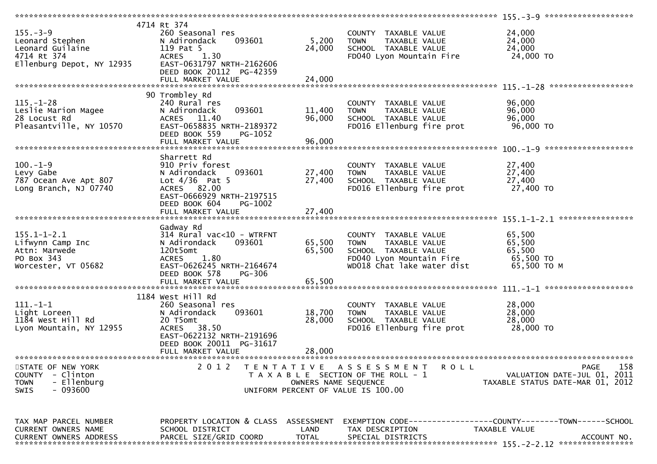|                               | 4714 Rt 374                          |                      |                                       |                                                              |
|-------------------------------|--------------------------------------|----------------------|---------------------------------------|--------------------------------------------------------------|
| $155. - 3 - 9$                | 260 Seasonal res                     |                      | COUNTY TAXABLE VALUE                  | 24,000                                                       |
| Leonard Stephen               | 093601<br>N Adirondack               | 5,200                | <b>TOWN</b><br>TAXABLE VALUE          | 24,000                                                       |
| Leonard Guilaine              | 119 Pat 5                            | 24,000               | SCHOOL TAXABLE VALUE                  | 24,000                                                       |
| 4714 Rt 374                   | <b>ACRES</b><br>1.30                 |                      | FD040 Lyon Mountain Fire              | 24,000 TO                                                    |
|                               |                                      |                      |                                       |                                                              |
| Ellenburg Depot, NY 12935     | EAST-0631797 NRTH-2162606            |                      |                                       |                                                              |
|                               | DEED BOOK 20112 PG-42359             |                      |                                       |                                                              |
|                               | FULL MARKET VALUE                    | 24,000               |                                       |                                                              |
|                               |                                      |                      |                                       |                                                              |
|                               | 90 Trombley Rd                       |                      |                                       |                                                              |
| $115. - 1 - 28$               | 240 Rural res                        |                      | COUNTY TAXABLE VALUE                  | 96,000                                                       |
| Leslie Marion Magee           | 093601<br>N Adirondack               | 11,400               | TAXABLE VALUE<br><b>TOWN</b>          | 96,000                                                       |
| 28 Locust Rd                  | ACRES 11.40                          | 96,000               | SCHOOL TAXABLE VALUE                  | 96,000                                                       |
| Pleasantville, NY 10570       | EAST-0658835 NRTH-2189372            |                      | FD016 Ellenburg fire prot             | 96,000 TO                                                    |
|                               | DEED BOOK 559<br>PG-1052             |                      |                                       |                                                              |
|                               |                                      |                      |                                       |                                                              |
|                               |                                      |                      |                                       |                                                              |
|                               |                                      |                      |                                       |                                                              |
|                               | Sharrett Rd                          |                      |                                       |                                                              |
| $100. -1 - 9$                 | 910 Priv forest                      |                      | COUNTY TAXABLE VALUE                  | 27,400                                                       |
| Levy Gabe                     | 093601<br>N Adirondack               | 27,400               | TAXABLE VALUE<br><b>TOWN</b>          | 27,400                                                       |
| 787 Ocean Ave Apt 807         | Lot $4/36$ Pat 5                     | 27,400               | SCHOOL TAXABLE VALUE                  | 27,400                                                       |
| Long Branch, NJ 07740         | ACRES 82.00                          |                      | FD016 Ellenburg fire prot             | 27,400 TO                                                    |
|                               | EAST-0666929 NRTH-2197515            |                      |                                       |                                                              |
|                               | DEED BOOK 604<br>PG-1002             |                      |                                       |                                                              |
|                               | FULL MARKET VALUE                    | 27,400               |                                       |                                                              |
|                               |                                      |                      |                                       |                                                              |
|                               |                                      |                      |                                       |                                                              |
|                               | Gadway Rd                            |                      |                                       |                                                              |
| $155.1 - 1 - 2.1$             | 314 Rural vac<10 - WTRFNT            |                      | COUNTY TAXABLE VALUE                  | 65,500                                                       |
| Lifwynn Camp Inc              | N Adirondack<br>093601               | 65,500               | TAXABLE VALUE<br><b>TOWN</b>          | 65,500                                                       |
| Attn: Marwede                 | 120t5omt                             | 65,500               | SCHOOL TAXABLE VALUE                  | 65,500                                                       |
| PO Box 343                    | 1.80<br><b>ACRES</b>                 |                      | FD040 Lyon Mountain Fire              | 65,500 TO                                                    |
| Worcester, VT 05682           | EAST-0626245 NRTH-2164674            |                      | WD018 Chat lake water dist            | 65,500 ТО М                                                  |
|                               | DEED BOOK 578<br>PG-306              |                      |                                       |                                                              |
|                               |                                      |                      |                                       |                                                              |
|                               |                                      |                      |                                       |                                                              |
|                               | 1184 West Hill Rd                    |                      |                                       |                                                              |
|                               |                                      |                      |                                       |                                                              |
| $111. - 1 - 1$                | 260 Seasonal res                     |                      | COUNTY TAXABLE VALUE                  | 28,000                                                       |
| Light Loreen                  | 093601<br>N Adirondack               | 18,700               | <b>TOWN</b><br>TAXABLE VALUE          | 28,000                                                       |
| 1184 West Hill Rd             | 20 T5omt                             | 28,000               | SCHOOL TAXABLE VALUE                  | 28,000                                                       |
| Lyon Mountain, NY 12955       | 38.50<br>ACRES                       |                      | FD016 Ellenburg fire prot             | 28,000 TO                                                    |
|                               | EAST-0622132 NRTH-2191696            |                      |                                       |                                                              |
|                               | DEED BOOK 20011 PG-31617             |                      |                                       |                                                              |
|                               | FULL MARKET VALUE                    | 28,000               |                                       |                                                              |
|                               |                                      |                      |                                       |                                                              |
| STATE OF NEW YORK             | 2012                                 |                      | TENTATIVE ASSESSMENT<br><b>ROLL</b>   | 158<br>PAGE                                                  |
| COUNTY - Clinton              |                                      |                      | T A X A B L E SECTION OF THE ROLL - 1 | VALUATION DATE-JUL 01, 2011                                  |
| <b>TOWN</b><br>- Ellenburg    |                                      | OWNERS NAME SEQUENCE |                                       | TAXABLE STATUS DATE-MAR 01, 2012                             |
|                               |                                      |                      |                                       |                                                              |
| - 093600<br><b>SWIS</b>       |                                      |                      | UNIFORM PERCENT OF VALUE IS 100.00    |                                                              |
|                               |                                      |                      |                                       |                                                              |
|                               |                                      |                      |                                       |                                                              |
|                               |                                      |                      |                                       |                                                              |
| TAX MAP PARCEL NUMBER         | PROPERTY LOCATION & CLASS ASSESSMENT |                      |                                       | EXEMPTION CODE-----------------COUNTY-------TOWN------SCHOOL |
| <b>CURRENT OWNERS NAME</b>    | SCHOOL DISTRICT                      | LAND                 | TAX DESCRIPTION                       | TAXABLE VALUE                                                |
| <b>CURRENT OWNERS ADDRESS</b> | PARCEL SIZE/GRID COORD               | <b>TOTAL</b>         | SPECIAL DISTRICTS                     | ACCOUNT NO.                                                  |
|                               |                                      |                      |                                       |                                                              |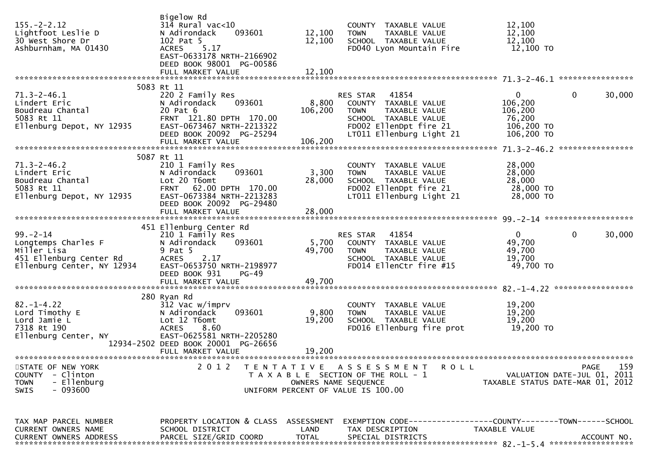| $155. - 2 - 2.12$<br>Lightfoot Leslie D<br>30 West Shore Dr<br>Ashburnham, MA 01430                          | Bigelow Rd<br>$31\overline{4}$ Rural vac<10<br>093601<br>N Adirondack<br>102 Pat 5<br>5.17<br><b>ACRES</b><br>EAST-0633178 NRTH-2166902<br>DEED BOOK 98001 PG-00586  | 12,100<br>12,100     | COUNTY TAXABLE VALUE<br>TAXABLE VALUE<br><b>TOWN</b><br>SCHOOL TAXABLE VALUE<br>FD040 Lyon Mountain Fire                                             | 12,100<br>12,100<br>12,100<br>12,100 TO                                  |                                                   |
|--------------------------------------------------------------------------------------------------------------|----------------------------------------------------------------------------------------------------------------------------------------------------------------------|----------------------|------------------------------------------------------------------------------------------------------------------------------------------------------|--------------------------------------------------------------------------|---------------------------------------------------|
|                                                                                                              |                                                                                                                                                                      |                      |                                                                                                                                                      |                                                                          |                                                   |
| $71.3 - 2 - 46.1$<br>Lindert Eric<br>Boudreau Chantal<br>5083 Rt 11<br>Ellenburg Depot, NY 12935             | 5083 Rt 11<br>220 2 Family Res<br>N Adirondack<br>093601<br>20 Pat 6<br>FRNT 121.80 DPTH 170.00<br>EAST-0673467 NRTH-2213322<br>DEED BOOK 20092 PG-25294             | 8,800<br>106,200     | RES STAR 41854<br>COUNTY TAXABLE VALUE<br>TAXABLE VALUE<br><b>TOWN</b><br>SCHOOL TAXABLE VALUE<br>FD002 EllenDpt fire 21<br>LT011 Ellenburg Light 21 | $\mathbf{0}$<br>106,200<br>106,200<br>76,200<br>106,200 TO<br>106,200 TO | $\mathbf 0$<br>30,000                             |
|                                                                                                              |                                                                                                                                                                      |                      |                                                                                                                                                      |                                                                          |                                                   |
| $71.3 - 2 - 46.2$<br>Lindert Eric<br>Boudreau Chantal<br>5083 Rt 11<br>Ellenburg Depot, NY 12935             | 5087 Rt 11<br>210 1 Family Res<br>N Adirondack<br>093601<br>Lot 20 T6omt<br>FRNT 62.00 DPTH 170.00<br>EAST-0673384 NRTH-2213283                                      | 3,300<br>28,000      | COUNTY TAXABLE VALUE<br>TAXABLE VALUE<br><b>TOWN</b><br>SCHOOL TAXABLE VALUE<br>FD002 EllenDpt fire 21<br>LT011 Ellenburg Light 21                   | 28,000<br>28,000<br>28,000<br>28,000 TO<br>28,000 TO                     |                                                   |
|                                                                                                              | DEED BOOK 20092 PG-29480                                                                                                                                             |                      |                                                                                                                                                      |                                                                          |                                                   |
|                                                                                                              | 451 Ellenburg Center Rd                                                                                                                                              |                      |                                                                                                                                                      |                                                                          |                                                   |
| $99 - 2 - 14$<br>Longtemps Charles F<br>Miller Lisa<br>451 Ellenburg Center Rd<br>Ellenburg Center, NY 12934 | 210 1 Family Res<br>N Adirondack<br>093601<br>9 Pat 5<br>2.17<br><b>ACRES</b><br>EAST-0653750 NRTH-2198977<br>DEED BOOK 931<br>PG-49                                 | 5,700<br>49,700      | RES STAR 41854<br>COUNTY TAXABLE VALUE<br><b>TOWN</b><br>TAXABLE VALUE<br>SCHOOL TAXABLE VALUE<br>FD014 EllenCtr fire #15                            | $\Omega$<br>49,700<br>49,700<br>19,700<br>49,700 TO                      | $\mathbf 0$<br>30,000                             |
|                                                                                                              | FULL MARKET VALUE                                                                                                                                                    | 49,700               |                                                                                                                                                      |                                                                          |                                                   |
| $82. - 1 - 4.22$<br>Lord Timothy E<br>Lord Jamie L<br>7318 Rt 190<br>Ellenburg Center, NY                    | 280 Ryan Rd<br>312 Vac w/imprv<br>093601<br>N Adirondack<br>Lot 12 T6omt<br>8.60<br><b>ACRES</b><br>EAST-0625581 NRTH-2205280<br>12934-2502 DEED BOOK 20001 PG-26656 | 9,800<br>19,200      | COUNTY TAXABLE VALUE<br>TAXABLE VALUE<br><b>TOWN</b><br>SCHOOL TAXABLE VALUE<br>FD016 Ellenburg fire prot                                            | 19,200<br>19,200<br>19,200<br>19,200 TO                                  |                                                   |
|                                                                                                              | FULL MARKET VALUE                                                                                                                                                    | 19,200               |                                                                                                                                                      |                                                                          |                                                   |
| STATE OF NEW YORK<br>- Clinton<br><b>COUNTY</b><br>- Ellenburg<br><b>TOWN</b><br>- 093600<br>SWIS            | 2 0 1 2                                                                                                                                                              |                      | TENTATIVE ASSESSMENT<br><b>ROLL</b><br>T A X A B L E SECTION OF THE ROLL - 1<br>OWNERS NAME SEQUENCE<br>UNIFORM PERCENT OF VALUE IS 100.00           | TAXABLE STATUS DATE-MAR 01, 2012                                         | 159<br><b>PAGE</b><br>VALUATION DATE-JUL 01, 2011 |
| TAX MAP PARCEL NUMBER<br><b>CURRENT OWNERS NAME</b><br>CURRENT OWNERS ADDRESS                                | PROPERTY LOCATION & CLASS ASSESSMENT<br>SCHOOL DISTRICT<br>PARCEL SIZE/GRID COORD                                                                                    | LAND<br><b>TOTAL</b> | EXEMPTION CODE-----------------COUNTY--------TOWN------SCHOOL<br>TAX DESCRIPTION<br>SPECIAL DISTRICTS                                                | TAXABLE VALUE                                                            | ACCOUNT NO.                                       |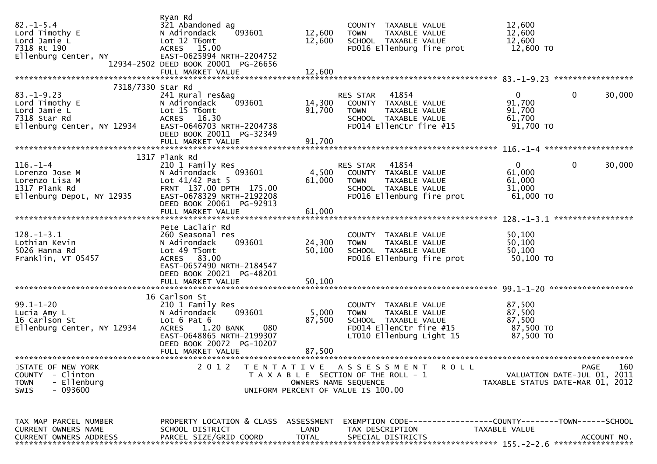| $82. - 1 - 5.4$<br>Lord Timothy E<br>Lord Jamie L<br>7318 Rt 190<br>Ellenburg Center, NY                              | Ryan Rd<br>321 Abandoned ag<br>093601<br>N Adirondack<br>Lot 12 T6omt<br>ACRES 15.00<br>EAST-0625994 NRTH-2204752<br>12934-2502 DEED BOOK 20001 PG-26656                                  | 12,600<br>12,600                          | COUNTY TAXABLE VALUE<br>TAXABLE VALUE<br><b>TOWN</b><br>SCHOOL TAXABLE VALUE<br>FD016 Ellenburg fire prot                           | 12,600<br>12,600<br>12,600<br>12,600 TO                         |                        |
|-----------------------------------------------------------------------------------------------------------------------|-------------------------------------------------------------------------------------------------------------------------------------------------------------------------------------------|-------------------------------------------|-------------------------------------------------------------------------------------------------------------------------------------|-----------------------------------------------------------------|------------------------|
| 7318/7330 Star Rd<br>$83. - 1 - 9.23$<br>Lord Timothy E<br>Lord Jamie L<br>7318 Star Rd<br>Ellenburg Center, NY 12934 | 241 Rural res&ag<br>093601<br>N Adirondack<br>Lot 15 T6omt<br>ACRES 16.30<br>EAST-0646703 NRTH-2204738<br>DEED BOOK 20011 PG-32349                                                        | 14,300<br>91,700                          | RES STAR 41854<br>COUNTY TAXABLE VALUE<br><b>TOWN</b><br>TAXABLE VALUE<br>SCHOOL TAXABLE VALUE<br>FD014 EllenCtr fire #15           | 0<br>91,700<br>91,700<br>61,700<br>91,700 TO                    | 30,000<br>0            |
|                                                                                                                       |                                                                                                                                                                                           |                                           |                                                                                                                                     |                                                                 |                        |
| $116. - 1 - 4$<br>Lorenzo Jose M<br>Lorenzo Lisa M<br>1317 Plank Rd<br>Ellenburg Depot, NY 12935                      | 1317 Plank Rd<br>210 1 Family Res<br>093601<br>N Adirondack<br>Lot $41/42$ Pat 5<br>FRNT 137.00 DPTH 175.00<br>EAST-0678329 NRTH-2192208<br>DEED BOOK 20061 PG-92913<br>FULL MARKET VALUE | 4,500<br>61,000<br>61,000                 | RES STAR<br>41854<br>COUNTY TAXABLE VALUE<br>TAXABLE VALUE<br><b>TOWN</b><br>SCHOOL TAXABLE VALUE<br>FD016 Ellenburg fire prot      | $\mathbf{0}$<br>61,000<br>61,000<br>31,000<br>61,000 TO         | $\mathbf{0}$<br>30,000 |
|                                                                                                                       |                                                                                                                                                                                           |                                           |                                                                                                                                     |                                                                 |                        |
| $128. - 1 - 3.1$<br>Lothian Kevin<br>5026 Hanna Rd<br>Franklin, VT 05457                                              | Pete Laclair Rd<br>260 Seasonal res<br>093601<br>N Adirondack<br>Lot 49 T5omt<br>ACRES 83.00<br>EAST-0657490 NRTH-2184547<br>DEED BOOK 20021 PG-48201<br>FULL MARKET VALUE                | 24,300<br>50,100<br>50,100                | COUNTY TAXABLE VALUE<br>TAXABLE VALUE<br><b>TOWN</b><br>SCHOOL TAXABLE VALUE<br>FD016 Ellenburg fire prot                           | 50,100<br>50,100<br>50,100<br>50,100 TO                         |                        |
|                                                                                                                       |                                                                                                                                                                                           |                                           |                                                                                                                                     |                                                                 |                        |
| $99.1 - 1 - 20$<br>Lucia Amy L<br>16 Carlson St<br>Ellenburg Center, NY 12934                                         | 16 Carlson St<br>210 1 Family Res<br>093601<br>N Adirondack<br>Lot 6 Pat 6<br>080<br><b>ACRES</b><br>1.20 BANK<br>EAST-0648865 NRTH-2199307<br>DEED BOOK 20072 PG-10207                   | 5,000<br>87,500                           | COUNTY TAXABLE VALUE<br><b>TOWN</b><br>TAXABLE VALUE<br>SCHOOL TAXABLE VALUE<br>FD014 EllenCtr fire #15<br>LT010 Ellenburg Light 15 | 87,500<br>87,500<br>87,500<br>87,500 TO<br>87,500 TO            |                        |
|                                                                                                                       | FULL MARKET VALUE                                                                                                                                                                         | 87,500                                    |                                                                                                                                     |                                                                 |                        |
| STATE OF NEW YORK<br>- Clinton<br><b>COUNTY</b><br>- Ellenburg<br><b>TOWN</b><br>SWIS<br>- 093600                     | 2 0 1 2                                                                                                                                                                                   | T E N T A T I V E<br>OWNERS NAME SEQUENCE | A S S E S S M E N T<br><b>ROLL</b><br>T A X A B L E SECTION OF THE ROLL - 1<br>UNIFORM PERCENT OF VALUE IS 100.00                   | VALUATION DATE-JUL 01, 2011<br>TAXABLE STATUS DATE-MAR 01, 2012 | 160<br>PAGE            |
| TAX MAP PARCEL NUMBER<br><b>CURRENT OWNERS NAME</b><br>CURRENT OWNERS ADDRESS                                         | PROPERTY LOCATION & CLASS ASSESSMENT<br>SCHOOL DISTRICT<br>PARCEL SIZE/GRID COORD                                                                                                         | LAND<br><b>TOTAL</b>                      | EXEMPTION        CODE-----------------COUNTY-------TOWN------SCHOOL<br>TAX DESCRIPTION<br>SPECIAL DISTRICTS                         | TAXABLE VALUE                                                   | ACCOUNT NO.            |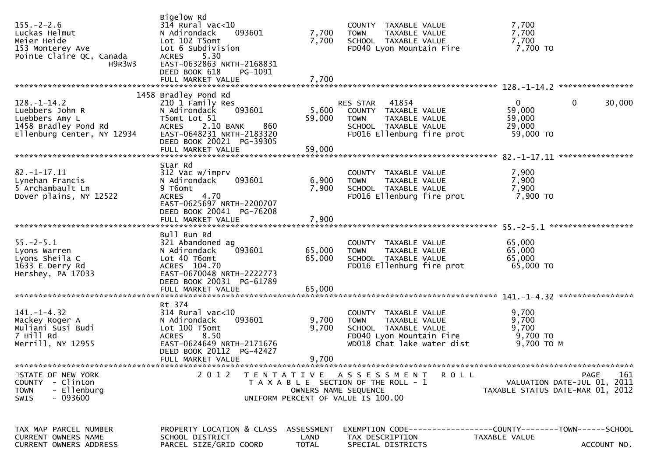| $155. - 2 - 2.6$<br>Luckas Helmut<br>Meier Heide<br>153 Monterey Ave<br>Pointe Claire QC, Canada<br>H <sub>9R</sub> 3w <sub>3</sub> | Bigelow Rd<br>$314$ Rural vac<10<br>093601<br>N Adirondack<br>Lot 102 T5omt<br>Lot 6 Subdivision<br><b>ACRES</b><br>5.30<br>EAST-0632863 NRTH-2168831<br>DEED BOOK 618<br>PG-1091 | 7,700<br>7,700            | COUNTY TAXABLE VALUE<br><b>TOWN</b><br>TAXABLE VALUE<br>SCHOOL TAXABLE VALUE<br>FD040 Lyon Mountain Fire                               | 7,700<br>7,700<br>7,700<br>$7,700$ TO                           |                                   |
|-------------------------------------------------------------------------------------------------------------------------------------|-----------------------------------------------------------------------------------------------------------------------------------------------------------------------------------|---------------------------|----------------------------------------------------------------------------------------------------------------------------------------|-----------------------------------------------------------------|-----------------------------------|
|                                                                                                                                     | 1458 Bradley Pond Rd                                                                                                                                                              |                           |                                                                                                                                        |                                                                 |                                   |
| $128. - 1 - 14.2$<br>Luebbers John R<br>Luebbers Amy L<br>1458 Bradley Pond Rd<br>Ellenburg Center, NY 12934                        | 210 1 Family Res<br>N Adirondack<br>093601<br>T5omt Lot 51<br>ACRES 2.10 BANK<br>860<br>EAST-0648231 NRTH-2183320<br>DEED BOOK 20021 PG-39305<br>FULL MARKET VALUE                | 5,600<br>59,000<br>59,000 | RES STAR 41854<br>COUNTY TAXABLE VALUE<br><b>TOWN</b><br>TAXABLE VALUE<br>SCHOOL TAXABLE VALUE<br>FD016 Ellenburg fire prot            | $\mathbf{0}$<br>0<br>59,000<br>59,000<br>29,000<br>59,000 TO    | 30,000<br>****************        |
|                                                                                                                                     |                                                                                                                                                                                   |                           |                                                                                                                                        |                                                                 |                                   |
| $82. - 1 - 17.11$<br>Lynehan Francis<br>5 Archambault Ln<br>Dover plains, NY 12522                                                  | Star Rd<br>312 Vac w/imprv<br>093601<br>N Adirondack<br>9 T6omt<br>4.70<br><b>ACRES</b><br>EAST-0625697 NRTH-2200707                                                              | 6,900<br>7,900            | COUNTY TAXABLE VALUE<br>TAXABLE VALUE<br><b>TOWN</b><br>SCHOOL TAXABLE VALUE<br>FD016 Ellenburg fire prot                              | 7,900<br>7,900<br>7,900<br>7,900 TO                             |                                   |
|                                                                                                                                     | DEED BOOK 20041 PG-76208                                                                                                                                                          |                           |                                                                                                                                        |                                                                 |                                   |
| $55. - 2 - 5.1$<br>Lyons Warren<br>Lyons Sheila C<br>1633 E Derry Rd<br>Hershey, PA 17033                                           | Bull Run Rd<br>321 Abandoned ag<br>093601<br>N Adirondack<br>Lot 40 T6omt<br>ACRES 104.70<br>EAST-0670048 NRTH-2222773<br>DEED BOOK 20031 PG-61789                                | 65,000<br>65,000          | COUNTY TAXABLE VALUE<br><b>TOWN</b><br>TAXABLE VALUE<br>SCHOOL TAXABLE VALUE<br>FD016 Ellenburg fire prot                              | 65,000<br>65,000<br>65,000<br>65,000 TO                         |                                   |
|                                                                                                                                     |                                                                                                                                                                                   |                           |                                                                                                                                        |                                                                 | ****************                  |
| $141. - 1 - 4.32$<br>Mackey Roger A<br>Muliani Susi Budi<br>7 Hill Rd<br>Merrill, NY 12955                                          | Rt 374<br>$314$ Rural vac<10<br>N Adirondack<br>093601<br>Lot 100 T5omt<br>8.50<br><b>ACRES</b><br>EAST-0624649 NRTH-2171676<br>DEED BOOK 20112 PG-42427                          | 9,700<br>9,700            | COUNTY TAXABLE VALUE<br><b>TOWN</b><br>TAXABLE VALUE<br>SCHOOL TAXABLE VALUE<br>FD040 Lyon Mountain Fire<br>WD018 Chat lake water dist | 9,700<br>9,700<br>9,700<br>9,700 TO<br>9,700 TO M               |                                   |
|                                                                                                                                     | FULL MARKET VALUE                                                                                                                                                                 | 9,700                     |                                                                                                                                        |                                                                 |                                   |
| STATE OF NEW YORK<br>- Clinton<br><b>COUNTY</b><br><b>TOWN</b><br>- Ellenburg<br>- 093600<br><b>SWIS</b>                            | ************************<br>2 0 1 2                                                                                                                                               | OWNERS NAME SEQUENCE      | TENTATIVE ASSESSMENT<br><b>ROLL</b><br>T A X A B L E SECTION OF THE ROLL - 1<br>UNIFORM PERCENT OF VALUE IS 100.00                     | VALUATION DATE-JUL 01, 2011<br>TAXABLE STATUS DATE-MAR 01, 2012 | ***********<br><b>PAGE</b><br>161 |
| TAX MAP PARCEL NUMBER<br><b>CURRENT OWNERS NAME</b><br>CURRENT OWNERS ADDRESS                                                       | PROPERTY LOCATION & CLASS ASSESSMENT<br>SCHOOL DISTRICT<br>PARCEL SIZE/GRID COORD                                                                                                 | LAND<br><b>TOTAL</b>      | EXEMPTION CODE-----------------COUNTY-------TOWN------SCHOOL<br>TAX DESCRIPTION<br>SPECIAL DISTRICTS                                   | TAXABLE VALUE                                                   | ACCOUNT NO.                       |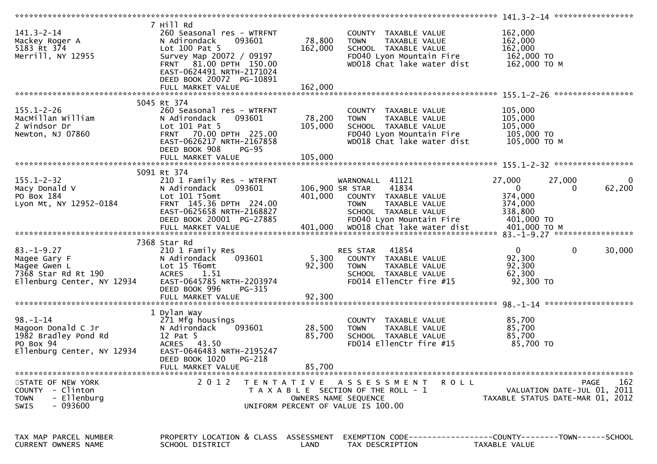| $141.3 - 2 - 14$<br>Mackey Roger A<br>5183 Rt 374<br>Merrill, NY 12955                                  | 7 Hill Rd<br>260 Seasonal res - WTRFNT<br>N Adirondack<br>093601<br>Lot 100 Pat 5<br>Survey Map 20072 / 09197<br>FRNT 81.00 DPTH 150.00<br>EAST-0624491 NRTH-2171024<br>DEED BOOK 20072 PG-10891 | 78,800<br>162,000            | COUNTY TAXABLE VALUE<br><b>TOWN</b><br>TAXABLE VALUE<br>SCHOOL TAXABLE VALUE<br>FD040 Lyon Mountain Fire<br>WD018 Chat lake water dist | 162,000<br>162,000<br>162,000<br>162,000 TO<br>162,000 то м             |                    |
|---------------------------------------------------------------------------------------------------------|--------------------------------------------------------------------------------------------------------------------------------------------------------------------------------------------------|------------------------------|----------------------------------------------------------------------------------------------------------------------------------------|-------------------------------------------------------------------------|--------------------|
|                                                                                                         |                                                                                                                                                                                                  |                              |                                                                                                                                        |                                                                         |                    |
| $155.1 - 2 - 26$<br>MacMillan William<br>2 Windsor Dr<br>Newton, NJ 07860                               | 5045 Rt 374<br>260 Seasonal res - WTRFNT<br>N Adirondack<br>093601<br>Lot 101 Pat 5<br>FRNT 70.00 DPTH 225.00<br>EAST-0626217 NRTH-2167858<br>DEED BOOK 908<br><b>PG-95</b><br>FULL MARKET VALUE | 78,200<br>105,000<br>105,000 | COUNTY TAXABLE VALUE<br>TAXABLE VALUE<br><b>TOWN</b><br>SCHOOL TAXABLE VALUE<br>FD040 Lyon Mountain Fire<br>WD018 Chat lake water dist | 105,000<br>105,000<br>105,000<br>105,000 TO<br>105,000 ТО М             |                    |
|                                                                                                         |                                                                                                                                                                                                  |                              |                                                                                                                                        |                                                                         |                    |
| $155.1 - 2 - 32$<br>Macy Donald V<br>PO Box 184<br>Lyon Mt, NY 12952-0184                               | 5091 Rt 374<br>210 1 Family Res - WTRFNT<br>N Adirondack<br>093601<br>Lot 101 T5omt<br>FRNT 145.36 DPTH 224.00<br>EAST-0625658 NRTH-2168827                                                      | 401,000                      | WARNONALL 41121<br>106,900 SR STAR<br>41834<br>COUNTY TAXABLE VALUE<br>TAXABLE VALUE<br><b>TOWN</b><br>SCHOOL TAXABLE VALUE            | 27,000<br>27,000<br>$\mathbf{0}$<br>0<br>374,000<br>374,000<br>338,800  | $\bf{0}$<br>62,200 |
|                                                                                                         | DEED BOOK 20001 PG-27885<br>FULL MARKET VALUE                                                                                                                                                    |                              | FD040 Lyon Mountain Fire<br>401,000 WD018 Chat lake water dist                                                                         | 401,000 TO<br>$401,000$ TO M                                            |                    |
|                                                                                                         |                                                                                                                                                                                                  |                              |                                                                                                                                        |                                                                         |                    |
| $83. - 1 - 9.27$<br>Magee Gary F<br>Magee Gwen L<br>7368 Star Rd Rt 190<br>Ellenburg Center, NY 12934   | 7368 Star Rd<br>210 1 Family Res<br>093601<br>N Adirondack<br>Lot 15 T6omt<br>ACRES 1.51<br>EAST-0645785 NRTH-2203974<br>DEED BOOK 996<br>PG-315<br>FULL MARKET VALUE                            | 5,300<br>92,300<br>92,300    | 41854<br>RES STAR<br>COUNTY TAXABLE VALUE<br><b>TOWN</b><br>TAXABLE VALUE<br>SCHOOL TAXABLE VALUE<br>FD014 EllenCtr fire #15           | $\mathbf{0}$<br>$\mathbf{0}$<br>92,300<br>92,300<br>62,300<br>92,300 TO | 30,000             |
|                                                                                                         |                                                                                                                                                                                                  |                              |                                                                                                                                        |                                                                         |                    |
| $98. - 1 - 14$<br>Magoon Donald C Jr<br>1982 Bradley Pond Rd<br>PO Box 94<br>Ellenburg Center, NY 12934 | 1 Dylan Way<br>271 Mfg housings<br>N Adirondack<br>093601<br>12 Pat 5<br>ACRES 43.50<br>EAST-0646483 NRTH-2195247<br>DEED BOOK 1020<br>PG-218                                                    | 28,500<br>85,700             | COUNTY TAXABLE VALUE<br><b>TOWN</b><br>TAXABLE VALUE<br>SCHOOL TAXABLE VALUE<br>FD014 EllenCtr fire #15                                | 85,700<br>85,700<br>85,700<br>85,700 TO                                 |                    |
|                                                                                                         | FULL MARKET VALUE                                                                                                                                                                                | 85,700                       |                                                                                                                                        |                                                                         |                    |
| STATE OF NEW YORK<br>COUNTY - Clinton<br>- Ellenburg<br><b>TOWN</b><br>- 093600<br><b>SWIS</b>          | 2 0 1 2                                                                                                                                                                                          |                              | TENTATIVE ASSESSMENT<br>R O L L<br>T A X A B L E SECTION OF THE ROLL - 1<br>OWNERS NAME SEQUENCE<br>UNIFORM PERCENT OF VALUE IS 100.00 | VALUATION DATE-JUL 01, 2011<br>TAXABLE STATUS DATE-MAR 01, 2012         | 162<br>PAGE        |
| TAX MAP PARCEL NUMBER<br>CURRENT OWNERS NAME                                                            | PROPERTY LOCATION & CLASS ASSESSMENT<br>SCHOOL DISTRICT                                                                                                                                          | LAND                         | TAX DESCRIPTION                                                                                                                        | TAXABLE VALUE                                                           |                    |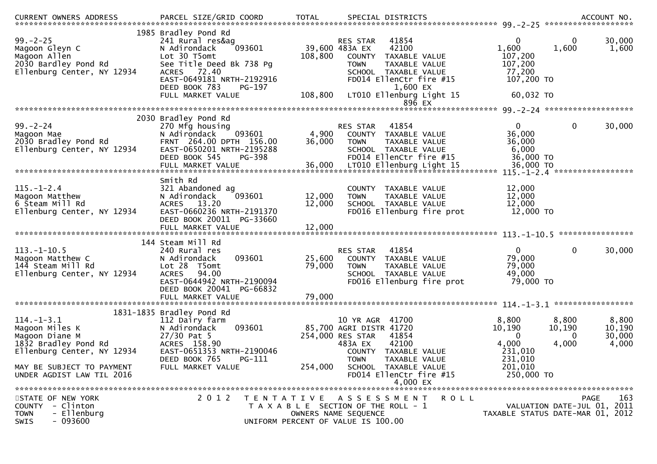| <b>CURRENT OWNERS ADDRESS</b>                                                                                                           |                                                                                                                                                                                                            |                            |                                                                                                                                                                                                        |                                                                       |                               |                                    |
|-----------------------------------------------------------------------------------------------------------------------------------------|------------------------------------------------------------------------------------------------------------------------------------------------------------------------------------------------------------|----------------------------|--------------------------------------------------------------------------------------------------------------------------------------------------------------------------------------------------------|-----------------------------------------------------------------------|-------------------------------|------------------------------------|
| $99. - 2 - 25$<br>Magoon Gleyn C<br>Magoon Allen<br>2030 Bardley Pond Rd<br>Ellenburg Center, NY 12934                                  | 1985 Bradley Pond Rd<br>241 Rural res&ag<br>093601<br>N Adirondack<br>Lot 30 T5omt<br>See Title Deed Bk 738 Pq<br>ACRES 72.40<br>EAST-0649181 NRTH-2192916<br>DEED BOOK 783<br>PG-197<br>FULL MARKET VALUE | 108,800<br>108,800         | 41854<br><b>RES STAR</b><br>42100<br>39,600 483A EX<br>COUNTY TAXABLE VALUE<br><b>TOWN</b><br>TAXABLE VALUE<br>SCHOOL TAXABLE VALUE<br>FD014 EllenCtr fire #15<br>1,600 EX<br>LT010 Ellenburg Light 15 | 0<br>1,600<br>107,200<br>107,200<br>77,200<br>107,200 TO<br>60,032 TO | 0<br>1,600                    | 30,000<br>1,600                    |
|                                                                                                                                         |                                                                                                                                                                                                            |                            | 896 EX                                                                                                                                                                                                 |                                                                       |                               |                                    |
|                                                                                                                                         | 2030 Bradley Pond Rd                                                                                                                                                                                       |                            |                                                                                                                                                                                                        |                                                                       |                               |                                    |
| $99. - 2 - 24$<br>Magoon Mae<br>2030 Bradley Pond Rd<br>Ellenburg Center, NY 12934                                                      | 270 Mfg housing<br>093601<br>N Adirondack<br>FRNT 264.00 DPTH 156.00<br>EAST-0650201 NRTH-2195288<br>DEED BOOK 545<br>PG-398<br>FULL MARKET VALUE                                                          | 4,900<br>36,000<br>36,000  | 41854<br><b>RES STAR</b><br>COUNTY TAXABLE VALUE<br>TAXABLE VALUE<br><b>TOWN</b><br>SCHOOL TAXABLE VALUE<br>FD014 EllenCtr fire #15<br>LT010 Ellenburg Light 15                                        | $\Omega$<br>36,000<br>36,000<br>6,000<br>36,000 TO<br>36,000 TO       | $\mathbf 0$                   | 30,000                             |
|                                                                                                                                         | Smith Rd                                                                                                                                                                                                   |                            |                                                                                                                                                                                                        |                                                                       |                               |                                    |
| $115. - 1 - 2.4$<br>Magoon Matthew<br>6 Steam Mill Rd<br>Ellenburg Center, NY 12934                                                     | 321 Abandoned ag<br>093601<br>N Adirondack<br>ACRES 13.20<br>EAST-0660236 NRTH-2191370<br>DEED BOOK 20011 PG-33660<br>FULL MARKET VALUE                                                                    | 12,000<br>12,000<br>12,000 | TAXABLE VALUE<br>COUNTY<br>TAXABLE VALUE<br><b>TOWN</b><br>SCHOOL TAXABLE VALUE<br>FD016 Ellenburg fire prot                                                                                           | 12,000<br>12,000<br>12,000<br>12,000 TO                               |                               |                                    |
|                                                                                                                                         |                                                                                                                                                                                                            |                            |                                                                                                                                                                                                        |                                                                       |                               | ****************                   |
| $113.-1-10.5$<br>Magoon Matthew C<br>144 Steam Mill Rd<br>Ellenburg Center, NY 12934                                                    | 144 Steam Mill Rd<br>240 Rural res<br>093601<br>N Adirondack<br>Lot 28 T5omt<br><b>ACRES</b><br>94.00<br>EAST-0644942 NRTH-2190094<br>DEED BOOK 20041 PG-66832<br>FULL MARKET VALUE                        | 25,600<br>79,000<br>79,000 | RES STAR<br>41854<br>COUNTY TAXABLE VALUE<br>TAXABLE VALUE<br><b>TOWN</b><br>SCHOOL TAXABLE VALUE<br>FD016 Ellenburg fire prot                                                                         | $\mathbf{0}$<br>79,000<br>79,000<br>49,000<br>79,000 TO               | $\mathbf 0$                   | 30,000                             |
|                                                                                                                                         |                                                                                                                                                                                                            |                            |                                                                                                                                                                                                        |                                                                       |                               |                                    |
| $114. - 1 - 3.1$<br>Magoon Miles K<br>Magoon Diane M<br>1832 Bradley Pond Rd<br>Ellenburg Center, NY 12934<br>MAY BE SUBJECT TO PAYMENT | 1831-1835 Bradley Pond Rd<br>112 Dairy farm<br>093601<br>N Adirondack<br>$27/30$ Pat 5<br>ACRES 158.90<br>EAST-0651353 NRTH-2190046<br>DEED BOOK 765<br>PG-111<br>FULL MARKET VALUE                        | 254,000                    | 41700<br>10 YR AGR<br>85,700 AGRI DISTR 41720<br>254,000 RES STAR<br>41854<br>483A EX<br>42100<br>COUNTY TAXABLE VALUE<br><b>TOWN</b><br>TAXABLE VALUE<br>SCHOOL TAXABLE VALUE                         | 8,800<br>10,190<br>$\bf{0}$<br>4,000<br>231,010<br>231,010<br>201,010 | 8,800<br>10,190<br>0<br>4,000 | 8,800<br>10,190<br>30,000<br>4,000 |
| UNDER AGDIST LAW TIL 2016                                                                                                               |                                                                                                                                                                                                            |                            | FD014 EllenCtr fire #15<br>4,000 EX                                                                                                                                                                    | 250,000 TO                                                            |                               |                                    |
|                                                                                                                                         |                                                                                                                                                                                                            |                            |                                                                                                                                                                                                        |                                                                       |                               |                                    |
| STATE OF NEW YORK<br>COUNTY - Clinton<br>- Ellenburg<br><b>TOWN</b><br>$-093600$<br><b>SWIS</b>                                         | 2 0 1 2                                                                                                                                                                                                    |                            | R O L L<br>TENTATIVE ASSESSMENT<br>T A X A B L E SECTION OF THE ROLL - 1<br>OWNERS NAME SEQUENCE<br>UNIFORM PERCENT OF VALUE IS 100.00                                                                 | TAXABLE STATUS DATE-MAR 01, 2012                                      | VALUATION DATE-JUL 01, 2011   | 163<br>PAGE                        |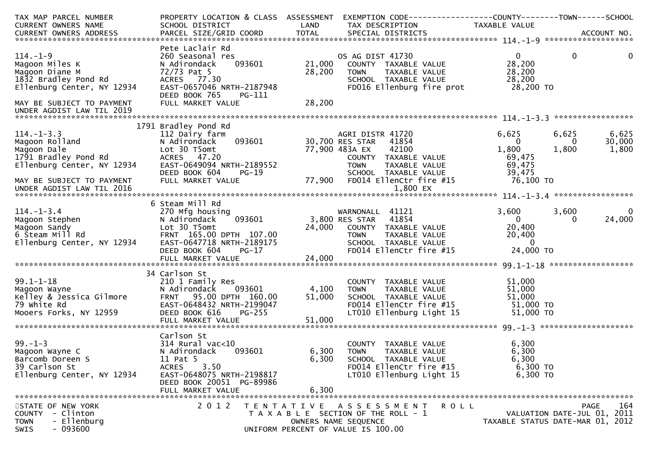| TAX MAP PARCEL NUMBER<br><b>CURRENT OWNERS NAME</b> | PROPERTY LOCATION & CLASS ASSESSMENT<br>SCHOOL DISTRICT | LAND   | EXEMPTION CODE-----------------COUNTY-------TOWN------SCHOOL<br>TAX DESCRIPTION | TAXABLE VALUE                    |             |                             |
|-----------------------------------------------------|---------------------------------------------------------|--------|---------------------------------------------------------------------------------|----------------------------------|-------------|-----------------------------|
|                                                     |                                                         |        |                                                                                 |                                  |             |                             |
|                                                     |                                                         |        |                                                                                 |                                  |             |                             |
|                                                     | Pete Laclair Rd                                         |        |                                                                                 |                                  |             |                             |
| $114. - 1 - 9$                                      | 260 Seasonal res                                        |        | OS AG DIST 41730                                                                | $\Omega$                         | $\mathbf 0$ | 0                           |
| Magoon Miles K                                      | 093601<br>N Adirondack                                  | 21,000 | COUNTY TAXABLE VALUE                                                            | 28,200                           |             |                             |
| Magoon Diane M                                      | 72/73 Pat 5                                             | 28,200 | TAXABLE VALUE<br><b>TOWN</b>                                                    | 28,200                           |             |                             |
| 1832 Bradley Pond Rd                                | ACRES 77.30                                             |        | SCHOOL TAXABLE VALUE                                                            | 28,200                           |             |                             |
| Ellenburg Center, NY 12934                          | EAST-0657046 NRTH-2187948                               |        | FD016 Ellenburg fire prot                                                       | 28,200 TO                        |             |                             |
|                                                     | DEED BOOK 765<br>PG-111                                 |        |                                                                                 |                                  |             |                             |
| MAY BE SUBJECT TO PAYMENT                           | FULL MARKET VALUE                                       | 28,200 |                                                                                 |                                  |             |                             |
| UNDER AGDIST LAW TIL 2019                           |                                                         |        |                                                                                 |                                  |             |                             |
|                                                     |                                                         |        |                                                                                 |                                  |             |                             |
|                                                     | 1791 Bradley Pond Rd                                    |        |                                                                                 |                                  |             |                             |
| $114. - 1 - 3.3$                                    | 112 Dairy farm                                          |        | AGRI DISTR 41720                                                                | 6,625                            | 6,625       | 6,625                       |
| Magoon Rolland                                      | 093601<br>N Adirondack                                  |        | 30,700 RES STAR<br>41854                                                        | $\Omega$                         | $\Omega$    | 30,000                      |
| Magoon Dale                                         | Lot 30 T5omt                                            |        | 77,900 483A EX<br>42100                                                         | 1,800                            | 1,800       | 1,800                       |
| 1791 Bradley Pond Rd                                | ACRES 47.20                                             |        | COUNTY TAXABLE VALUE                                                            | 69,475                           |             |                             |
| Ellenburg Center, NY 12934                          | EAST-0649094 NRTH-2189552                               |        | <b>TOWN</b><br>TAXABLE VALUE                                                    | 69,475                           |             |                             |
|                                                     | DEED BOOK 604<br>$PG-19$                                |        | SCHOOL TAXABLE VALUE                                                            | 39,475                           |             |                             |
| MAY BE SUBJECT TO PAYMENT                           | FULL MARKET VALUE                                       | 77,900 | FD014 EllenCtr fire #15                                                         | 76,100 TO                        |             |                             |
| UNDER AGDIST LAW TIL 2016                           |                                                         |        | 1,800 EX                                                                        |                                  |             |                             |
|                                                     |                                                         |        |                                                                                 |                                  |             |                             |
|                                                     | 6 Steam Mill Rd                                         |        |                                                                                 |                                  |             |                             |
| $114. - 1 - 3.4$                                    | 270 Mfg housing                                         |        | WARNONALL 41121                                                                 | 3,600                            | 3,600       |                             |
| Magoon Stephen                                      | 093601<br>N Adirondack                                  |        | 3,800 RES STAR 41854                                                            | $\overline{0}$                   | 0           | 24,000                      |
| Magoon Sandy                                        | Lot 30 T5omt                                            |        | 24,000 COUNTY TAXABLE VALUE                                                     | 20,400                           |             |                             |
| 6 Steam Mill Rd                                     | FRNT 165.00 DPTH 107.00                                 |        | TOWN<br>TAXABLE VALUE                                                           | 20,400                           |             |                             |
| Ellenburg Center, NY 12934                          | EAST-0647718 NRTH-2189175                               |        | SCHOOL TAXABLE VALUE                                                            | $\Omega$                         |             |                             |
|                                                     | DEED BOOK 604<br>PG-17                                  |        | FD014 EllenCtr fire #15                                                         | 24,000 TO                        |             |                             |
|                                                     | FULL MARKET VALUE                                       | 24,000 |                                                                                 |                                  |             |                             |
|                                                     |                                                         |        |                                                                                 |                                  |             |                             |
|                                                     | 34 Carlson St                                           |        |                                                                                 |                                  |             |                             |
| $99.1 - 1 - 18$                                     | 210 1 Family Res                                        |        | COUNTY TAXABLE VALUE                                                            | 51,000                           |             |                             |
| Magoon Wayne                                        | N Adirondack<br>093601                                  | 4,100  | TAXABLE VALUE<br><b>TOWN</b>                                                    | 51,000                           |             |                             |
| Kelley & Jessica Gilmore<br>79 White Rd             | FRNT 95.00 DPTH 160.00                                  | 51,000 | SCHOOL TAXABLE VALUE                                                            | 51,000                           |             |                             |
| 79 white Rd                                         | EAST-0648432 NRTH-2199047                               |        | FD014 EllenCtr fire #15                                                         | 51,000 TO                        |             |                             |
| Mooers Forks, NY 12959                              | DEED BOOK 616<br>$PG-255$                               |        | LT010 Ellenburg Light 15                                                        | 51,000 TO                        |             |                             |
|                                                     |                                                         |        |                                                                                 |                                  |             |                             |
|                                                     |                                                         |        |                                                                                 |                                  |             |                             |
|                                                     | Carlson St                                              |        |                                                                                 |                                  |             |                             |
| $99. - 1 - 3$                                       | 314 Rural vac<10                                        |        | COUNTY TAXABLE VALUE                                                            | 6,300                            |             |                             |
| Magoon Wayne C                                      | 093601<br>N Adirondack                                  | 6,300  | <b>TOWN</b><br>TAXABLE VALUE                                                    | 6,300                            |             |                             |
| Barcomb Doreen S                                    | 11 Pat 5                                                | 6,300  | SCHOOL TAXABLE VALUE                                                            | 6,300                            |             |                             |
| 39 Carlson St                                       | 3.50<br><b>ACRES</b>                                    |        | FD014 EllenCtr fire #15                                                         | 6,300 то                         |             |                             |
| Ellenburg Center, NY 12934                          | EAST-0648075 NRTH-2198817                               |        | LT010 Ellenburg Light 15                                                        | 6,300 TO                         |             |                             |
|                                                     | DEED BOOK 20051 PG-89986                                |        |                                                                                 |                                  |             |                             |
|                                                     | FULL MARKET VALUE                                       | 6,300  |                                                                                 |                                  |             |                             |
|                                                     |                                                         |        |                                                                                 |                                  |             |                             |
| STATE OF NEW YORK                                   | 2 0 1 2                                                 |        | TENTATIVE ASSESSMENT<br>ROLL                                                    |                                  |             | 164<br>PAGE                 |
| - Clinton<br><b>COUNTY</b>                          |                                                         |        | T A X A B L E SECTION OF THE ROLL - 1                                           |                                  |             | VALUATION DATE-JUL 01, 2011 |
| - Ellenburg<br><b>TOWN</b>                          |                                                         |        | OWNERS NAME SEQUENCE                                                            | TAXABLE STATUS DATE-MAR 01, 2012 |             |                             |
| $-093600$<br><b>SWIS</b>                            |                                                         |        | UNIFORM PERCENT OF VALUE IS 100.00                                              |                                  |             |                             |
|                                                     |                                                         |        |                                                                                 |                                  |             |                             |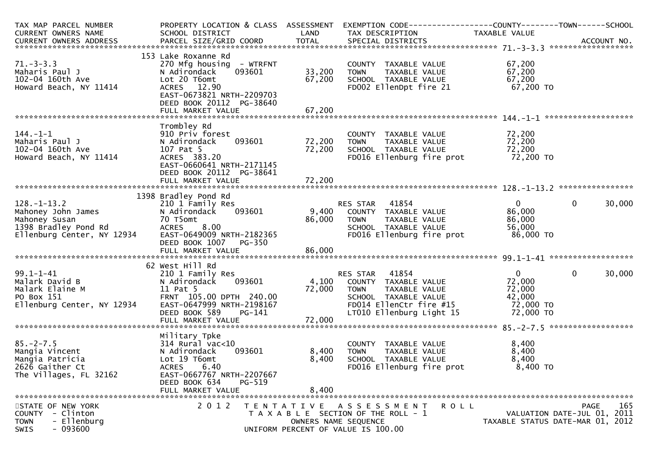| TAX MAP PARCEL NUMBER              | PROPERTY LOCATION & CLASS ASSESSMENT |                | EXEMPTION CODE------------------COUNTY--------TOWN------SCHOOL |                |                                  |
|------------------------------------|--------------------------------------|----------------|----------------------------------------------------------------|----------------|----------------------------------|
| CURRENT OWNERS NAME                | SCHOOL DISTRICT                      | LAND           | TAX DESCRIPTION                                                | TAXABLE VALUE  |                                  |
|                                    |                                      |                |                                                                |                |                                  |
|                                    |                                      |                |                                                                |                |                                  |
|                                    | 153 Lake Roxanne Rd                  |                |                                                                |                |                                  |
| $71. - 3 - 3.3$                    | 270 Mfg housing - WTRFNT             |                | COUNTY TAXABLE VALUE                                           | 67,200         |                                  |
| Maharis Paul J                     | 093601<br>N Adirondack               | 33,200         | TAXABLE VALUE<br><b>TOWN</b>                                   | 67,200         |                                  |
| 102-04 160th Ave                   | Lot 20 T6omt                         | 67,200         | SCHOOL TAXABLE VALUE                                           | 67,200         |                                  |
| Howard Beach, NY 11414             | ACRES 12.90                          |                | FD002 EllenDpt fire 21                                         | 67,200 TO      |                                  |
|                                    | EAST-0673821 NRTH-2209703            |                |                                                                |                |                                  |
|                                    | DEED BOOK 20112 PG-38640             |                |                                                                |                |                                  |
|                                    |                                      |                |                                                                |                |                                  |
|                                    |                                      |                |                                                                |                |                                  |
|                                    | Trombley Rd                          |                |                                                                |                |                                  |
| $144. - 1 - 1$                     | 910 Priv forest                      |                | COUNTY TAXABLE VALUE                                           | 72,200         |                                  |
| Maharis Paul J                     | 093601<br>N Adirondack               | 72,200         | <b>TOWN</b><br>TAXABLE VALUE                                   | 72,200         |                                  |
| 102-04 160th Ave                   | 107 Pat 5                            | 72,200         | SCHOOL TAXABLE VALUE                                           | 72,200         |                                  |
| Howard Beach, NY 11414             | ACRES 383.20                         |                | FD016 Ellenburg fire prot                                      | 72,200 TO      |                                  |
|                                    | EAST-0660641 NRTH-2171145            |                |                                                                |                |                                  |
|                                    | DEED BOOK 20112 PG-38641             |                |                                                                |                |                                  |
|                                    |                                      |                |                                                                |                |                                  |
|                                    |                                      |                |                                                                |                |                                  |
|                                    | 1398 Bradley Pond Rd                 |                |                                                                |                |                                  |
| $128. - 1 - 13.2$                  | 210 1 Family Res                     |                | RES STAR 41854                                                 | $\mathbf{0}$   | $\mathbf{0}$<br>30,000           |
| Mahoney John James                 | N Adirondack<br>093601               |                | 9,400 COUNTY TAXABLE VALUE                                     | 86,000         |                                  |
| Mahoney Susan                      | 70 T5omt                             | 86,000         | TAXABLE VALUE<br>TOWN                                          | 86,000         |                                  |
| 1398 Bradley Pond Rd               | ACRES 8.00                           |                | SCHOOL TAXABLE VALUE                                           | 56,000         |                                  |
| Ellenburg Center, NY 12934         | EAST-0649009 NRTH-2182365            |                | FD016 Ellenburg fire prot                                      | 86,000 TO      |                                  |
|                                    | DEED BOOK 1007<br>PG-350             |                |                                                                |                |                                  |
|                                    |                                      |                |                                                                |                |                                  |
|                                    |                                      |                |                                                                |                |                                  |
|                                    | 62 West Hill Rd                      |                |                                                                |                |                                  |
| $99.1 - 1 - 41$                    | 210 1 Family Res                     |                | 41854<br>RES STAR                                              | $\mathbf{0}$   | $\mathbf{0}$<br>30,000           |
| Malark David B                     | 093601<br>N Adirondack               | 4,100          | COUNTY TAXABLE VALUE                                           | 72,000         |                                  |
| Malark Elaine M                    | 11 Pat 5                             | 72,000         | TAXABLE VALUE<br>TOWN                                          | 72,000         |                                  |
| PO Box 151                         | FRNT 105.00 DPTH 240.00              |                | SCHOOL TAXABLE VALUE                                           | 42,000         |                                  |
| Ellenburg Center, NY 12934         | EAST-0647999 NRTH-2198167            |                | FD014 EllenCtr fire #15                                        | 72,000 TO      |                                  |
|                                    | DEED BOOK 589<br>PG-141              |                | LT010 Ellenburg Light 15                                       | 72,000 TO      |                                  |
|                                    |                                      |                |                                                                |                |                                  |
|                                    |                                      |                |                                                                |                |                                  |
|                                    | Military Tpke                        |                |                                                                |                |                                  |
| $85. -2 - 7.5$                     | $314$ Rural vac<10<br>093601         |                | COUNTY TAXABLE VALUE                                           | 8,400<br>8,400 |                                  |
| Mangia Vincent                     | N Adirondack                         | 8,400<br>8,400 | TAXABLE VALUE<br><b>TOWN</b>                                   | 8,400          |                                  |
| Mangia Patricia<br>2626 Gaither Ct | Lot 19 T6omt<br><b>ACRES</b><br>6.40 |                | SCHOOL TAXABLE VALUE<br>FD016 Ellenburg fire prot              | $8,400$ TO     |                                  |
| The Villages, FL 32162             | EAST-0667767 NRTH-2207667            |                |                                                                |                |                                  |
|                                    | DEED BOOK 634<br>PG-519              |                |                                                                |                |                                  |
|                                    | FULL MARKET VALUE                    | 8,400          |                                                                |                |                                  |
|                                    |                                      |                |                                                                |                |                                  |
| STATE OF NEW YORK                  | 2 0 1 2                              |                | TENTATIVE ASSESSMENT                                           | <b>ROLL</b>    | 165<br>PAGE                      |
| COUNTY - Clinton                   |                                      |                | T A X A B L E SECTION OF THE ROLL - 1                          |                | VALUATION DATE-JUL 01, 2011      |
| - Ellenburg<br><b>TOWN</b>         |                                      |                | OWNERS NAME SEQUENCE                                           |                | TAXABLE STATUS DATE-MAR 01, 2012 |
| $-093600$<br>SWIS                  |                                      |                | UNIFORM PERCENT OF VALUE IS 100.00                             |                |                                  |
|                                    |                                      |                |                                                                |                |                                  |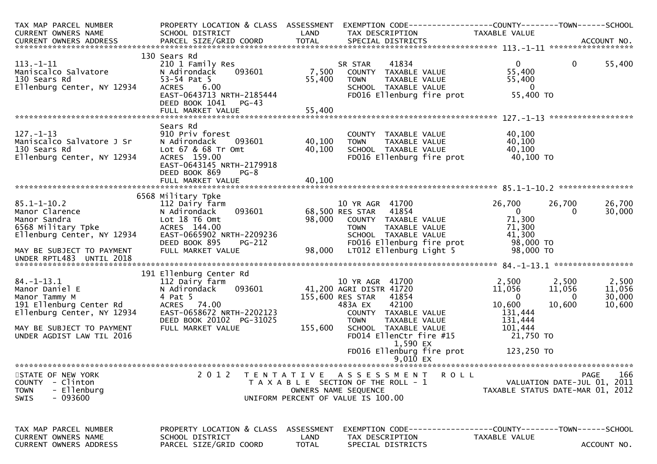| TAX MAP PARCEL NUMBER<br>CURRENT OWNERS NAME                                                                 | PROPERTY LOCATION & CLASS ASSESSMENT<br>SCHOOL DISTRICT                                                                                                 | LAND               | TAX DESCRIPTION                                                                                                                                                 | TAXABLE VALUE                                                     |                                                                                  |
|--------------------------------------------------------------------------------------------------------------|---------------------------------------------------------------------------------------------------------------------------------------------------------|--------------------|-----------------------------------------------------------------------------------------------------------------------------------------------------------------|-------------------------------------------------------------------|----------------------------------------------------------------------------------|
|                                                                                                              |                                                                                                                                                         |                    |                                                                                                                                                                 |                                                                   |                                                                                  |
| $113. - 1 - 11$<br>Maniscalco Salvatore<br>130 Sears Rd<br>Ellenburg Center, NY 12934                        | 130 Sears Rd<br>210 1 Family Res<br>093601<br>N Adirondack<br>53-54 Pat 5<br>6.00<br>ACRES<br>EAST-0643713 NRTH-2185444<br>DEED BOOK 1041 PG-43         | 7,500<br>55,400    | 41834<br>SR STAR<br>COUNTY TAXABLE VALUE<br><b>TOWN</b><br>TAXABLE VALUE<br>SCHOOL TAXABLE VALUE<br>FD016 Ellenburg fire prot                                   | $\mathbf{0}$<br>55,400<br>55,400<br>$\overline{0}$<br>55,400 TO   | $\mathbf{0}$<br>55,400                                                           |
|                                                                                                              |                                                                                                                                                         |                    |                                                                                                                                                                 |                                                                   |                                                                                  |
| 127.-1-13<br>Maniscalco Salvatore J Sr<br>120 Sears Pd<br>Ellenburg Center, NY 12934                         | Sears Rd<br>910 Priv forest<br>N Adirondack<br>093601<br>Lot 67 & 68 Tr Omt<br>ACRES 159.00<br>EAST-0643145 NRTH-2179918<br>DEED BOOK 869<br>$PG-8$     | 40,100<br>40,100   | COUNTY TAXABLE VALUE<br>TOWN      TAXABLE VALUE<br>SCHOOL   TAXABLE VALUE<br>FD016 Ellenburg fire prot 40,100 TO                                                | 40,100<br>40,100<br>40,100                                        |                                                                                  |
|                                                                                                              |                                                                                                                                                         |                    |                                                                                                                                                                 |                                                                   |                                                                                  |
| $85.1 - 1 - 10.2$<br>Manor Clarence<br>Manor Sandra<br>6568 Military Tpke<br>Ellenburg Center, NY 12934      | 6568 Military Tpke<br>112 Dairy farm<br>093601<br>N Adirondack<br>Lot 18 T6 Omt<br>ACRES 144.00<br>EAST-0665902 NRTH-2209236<br>DEED BOOK 895<br>PG-212 | 98,000             | 10 YR AGR 41700<br>68,500 RES STAR 41854<br>COUNTY TAXABLE VALUE<br><b>TOWN</b><br>TAXABLE VALUE<br>SCHOOL TAXABLE VALUE<br>FD016 Ellenburg fire prot 98,000 TO | 26,700<br>$\overline{0}$<br>71,300<br>71,300<br>41,300            | 26,700<br>26,700<br>30,000<br>$\Omega$                                           |
| MAY BE SUBJECT TO PAYMENT<br>UNDER RPTL483 UNTIL 2018                                                        | FULL MARKET VALUE                                                                                                                                       |                    | 98,000 LT012 Ellenburg Light 5                                                                                                                                  | 98,000 TO                                                         |                                                                                  |
|                                                                                                              | 191 Ellenburg Center Rd                                                                                                                                 |                    |                                                                                                                                                                 |                                                                   |                                                                                  |
| $84. - 1 - 13.1$<br>Manor Daniel E<br>Manor Tammy M<br>191 Ellenburg Center Rd<br>Ellenburg Center, NY 12934 | 112 Dairy farm<br>093601<br>N Adirondack<br>4 Pat 5<br>ACRES 74.00<br>EAST-0658672 NRTH-2202123<br>DEED BOOK 20102 PG-31025                             |                    | 10 YR AGR 41700<br>41,200 AGRI DISTR 41720<br>155,600 RES STAR<br>41854<br>483A EX<br>42100<br>COUNTY TAXABLE VALUE<br><b>TOWN</b><br>TAXABLE VALUE             | 2,500<br>11,056<br>$\overline{0}$<br>10,600<br>131,444<br>131,444 | 2,500<br>2,500<br>11,056<br>11,056<br>30,000<br>$\mathbf{0}$<br>10,600<br>10,600 |
| MAY BE SUBJECT TO PAYMENT<br>UNDER AGDIST LAW TIL 2016                                                       | FULL MARKET VALUE                                                                                                                                       | 155,600            | SCHOOL TAXABLE VALUE<br>FD014 EllenCtr fire #15<br>1,590 EX                                                                                                     | 101,444<br>21,750 TO                                              |                                                                                  |
|                                                                                                              |                                                                                                                                                         |                    | FD016 Ellenburg fire prot<br>$9,010$ EX                                                                                                                         | 123,250 TO                                                        |                                                                                  |
|                                                                                                              |                                                                                                                                                         |                    |                                                                                                                                                                 |                                                                   |                                                                                  |
| STATE OF NEW YORK<br><b>COUNTY</b><br>- Clinton<br>- Ellenburg<br><b>TOWN</b><br>- 093600<br>SWIS            | 2 0 1 2                                                                                                                                                 |                    | TENTATIVE ASSESSMENT<br><b>ROLL</b><br>T A X A B L E SECTION OF THE ROLL - 1<br>OWNERS NAME SEQUENCE<br>UNIFORM PERCENT OF VALUE IS 100.00                      |                                                                   | 166<br>PAGE<br>VALUATION DATE-JUL 01, 2011<br>TAXABLE STATUS DATE-MAR 01, 2012   |
| TAX MAP PARCEL NUMBER<br>CURRENT OWNERS NAME                                                                 | PROPERTY LOCATION & CLASS<br>SCHOOL DISTRICT                                                                                                            | ASSESSMENT<br>LAND | EXEMPTION CODE-----------------COUNTY--------TOWN------SCHOOL<br>TAX DESCRIPTION                                                                                | TAXABLE VALUE                                                     |                                                                                  |
| CURRENT OWNERS ADDRESS                                                                                       | PARCEL SIZE/GRID COORD                                                                                                                                  | <b>TOTAL</b>       | SPECIAL DISTRICTS                                                                                                                                               |                                                                   | ACCOUNT NO.                                                                      |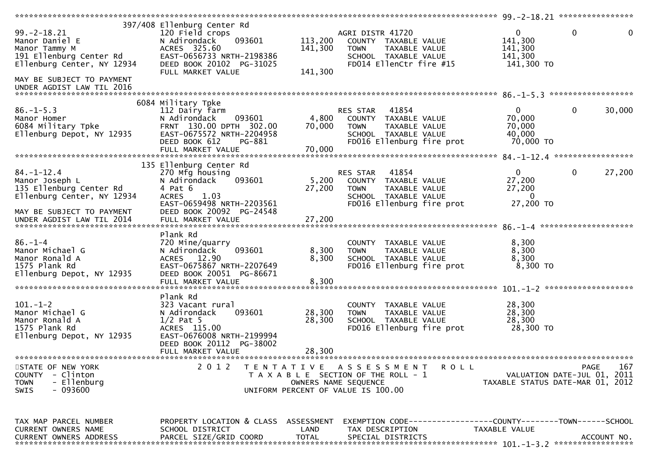|                               |                                      |              |                                                                     | *********************** 99.-2-18.21 ***************** |                             |
|-------------------------------|--------------------------------------|--------------|---------------------------------------------------------------------|-------------------------------------------------------|-----------------------------|
|                               | 397/408 Ellenburg Center Rd          |              |                                                                     |                                                       |                             |
| $99. - 2 - 18.21$             | 120 Field crops                      |              | AGRI DISTR 41720                                                    | $\mathbf{0}$                                          | $\mathbf 0$<br>0            |
| Manor Daniel E                | N Adirondack<br>093601               | 113,200      | COUNTY TAXABLE VALUE                                                | 141,300                                               |                             |
|                               | ACRES 325.60                         | 141,300      | TAXABLE VALUE<br><b>TOWN</b>                                        | 141,300                                               |                             |
| Manor Tammy M                 |                                      |              |                                                                     |                                                       |                             |
| 191 Ellenburg Center Rd       | EAST-0656733 NRTH-2198386            |              | SCHOOL TAXABLE VALUE                                                | 141,300                                               |                             |
| Ellenburg Center, NY 12934    | DEED BOOK 20102 PG-31025             |              | FD014 EllenCtr fire #15                                             | 141,300 TO                                            |                             |
|                               | FULL MARKET VALUE                    | 141,300      |                                                                     |                                                       |                             |
| MAY BE SUBJECT TO PAYMENT     |                                      |              |                                                                     |                                                       |                             |
| UNDER AGDIST LAW TIL 2016     |                                      |              |                                                                     |                                                       |                             |
|                               |                                      |              |                                                                     |                                                       |                             |
|                               |                                      |              |                                                                     |                                                       |                             |
|                               | 6084 Military Tpke                   |              |                                                                     |                                                       |                             |
| $86. - 1 - 5.3$               | 112 Dairy farm                       |              | 41854<br>RES STAR                                                   | 0                                                     | 30,000<br>0                 |
| Manor Homer                   | 093601<br>N Adirondack               | 4,800        | COUNTY TAXABLE VALUE                                                | 70,000                                                |                             |
| 6084 Military Tpke            | FRNT 130.00 DPTH 302.00              | 70,000       | <b>TOWN</b><br>TAXABLE VALUE                                        | 70,000                                                |                             |
| Ellenburg Depot, NY 12935     | EAST-0675572 NRTH-2204958            |              | SCHOOL TAXABLE VALUE                                                | 40,000                                                |                             |
|                               | DEED BOOK 612<br>PG-881              |              | FD016 Ellenburg fire prot                                           | 70,000 TO                                             |                             |
|                               | FULL MARKET VALUE                    | 70,000       |                                                                     |                                                       |                             |
|                               |                                      |              |                                                                     |                                                       |                             |
|                               |                                      |              |                                                                     |                                                       |                             |
|                               | 135 Ellenburg Center Rd              |              |                                                                     |                                                       |                             |
| $84. - 1 - 12.4$              | 270 Mfg housing                      |              | 41854<br><b>RES STAR</b>                                            | $\mathbf{0}$                                          | 0<br>27,200                 |
| Manor Joseph L                | N Adirondack<br>093601               | 5,200        | COUNTY<br>TAXABLE VALUE                                             | 27,200                                                |                             |
| 135 Ellenburg Center Rd       | 4 Pat 6                              | 27,200       | <b>TOWN</b><br>TAXABLE VALUE                                        | 27,200                                                |                             |
| Ellenburg Center, NY 12934    | 1.03<br><b>ACRES</b>                 |              | SCHOOL TAXABLE VALUE                                                | $\Omega$                                              |                             |
|                               | EAST-0659498 NRTH-2203561            |              |                                                                     | 27,200 TO                                             |                             |
|                               |                                      |              | FD016 Ellenburg fire prot                                           |                                                       |                             |
| MAY BE SUBJECT TO PAYMENT     | DEED BOOK 20092 PG-24548             |              |                                                                     |                                                       |                             |
|                               |                                      |              |                                                                     |                                                       |                             |
|                               |                                      |              |                                                                     |                                                       |                             |
|                               | Plank Rd                             |              |                                                                     |                                                       |                             |
| $86. - 1 - 4$                 | 720 Mine/quarry                      |              | COUNTY TAXABLE VALUE                                                | 8,300                                                 |                             |
|                               |                                      |              |                                                                     |                                                       |                             |
| Manor Michael G               | 093601<br>N Adirondack               | 8,300        | <b>TOWN</b><br><b>TAXABLE VALUE</b>                                 | 8,300                                                 |                             |
| Manor Ronald A                | ACRES 12.90                          | 8,300        | SCHOOL TAXABLE VALUE                                                | 8,300                                                 |                             |
| 1575 Plank Rd                 | EAST-0675867 NRTH-2207649            |              | FD016 Ellenburg fire prot                                           | 8,300 TO                                              |                             |
| Ellenburg Depot, NY 12935     | DEED BOOK 20051 PG-86671             |              |                                                                     |                                                       |                             |
|                               | FULL MARKET VALUE                    | 8,300        |                                                                     |                                                       |                             |
|                               |                                      |              |                                                                     |                                                       |                             |
|                               | Plank Rd                             |              |                                                                     |                                                       |                             |
|                               |                                      |              |                                                                     |                                                       |                             |
| $101. - 1 - 2$                | 323 Vacant rural                     |              | COUNTY TAXABLE VALUE                                                | 28,300                                                |                             |
| Manor Michael G               | 093601<br>N Adirondack               | 28,300       | TAXABLE VALUE<br><b>TOWN</b>                                        | 28,300                                                |                             |
| Manor Ronald A                | $1/2$ Pat 5                          | 28,300       | SCHOOL TAXABLE VALUE                                                | 28,300                                                |                             |
| 1575 Plank Rd                 | ACRES 115.00                         |              | FD016 Ellenburg fire prot                                           | 28,300 TO                                             |                             |
| Ellenburg Depot, NY 12935     | EAST-0676008 NRTH-2199994            |              |                                                                     |                                                       |                             |
|                               | DEED BOOK 20112 PG-38002             |              |                                                                     |                                                       |                             |
|                               | FULL MARKET VALUE                    | 28,300       |                                                                     |                                                       |                             |
|                               |                                      |              |                                                                     |                                                       |                             |
|                               |                                      |              |                                                                     |                                                       |                             |
| STATE OF NEW YORK             |                                      |              | TENTATIVE ASSESSMENT<br><b>ROLL</b>                                 |                                                       | PAGE<br>167                 |
|                               | 2 0 1 2                              |              |                                                                     |                                                       |                             |
| COUNTY - Clinton              |                                      |              | T A X A B L E SECTION OF THE ROLL - 1                               |                                                       | VALUATION DATE-JUL 01, 2011 |
| - Ellenburg<br><b>TOWN</b>    |                                      |              | OWNERS NAME SEQUENCE                                                | TAXABLE STATUS DATE-MAR 01, 2012                      |                             |
| <b>SWIS</b>                   |                                      |              |                                                                     |                                                       |                             |
| - 093600                      |                                      |              | UNIFORM PERCENT OF VALUE IS 100.00                                  |                                                       |                             |
|                               |                                      |              |                                                                     |                                                       |                             |
|                               |                                      |              |                                                                     |                                                       |                             |
|                               |                                      |              |                                                                     |                                                       |                             |
| TAX MAP PARCEL NUMBER         | PROPERTY LOCATION & CLASS ASSESSMENT |              | EXEMPTION        CODE-----------------COUNTY-------TOWN------SCHOOL |                                                       |                             |
| CURRENT OWNERS NAME           | SCHOOL DISTRICT                      | LAND         | TAX DESCRIPTION                                                     | TAXABLE VALUE                                         |                             |
| <b>CURRENT OWNERS ADDRESS</b> | PARCEL SIZE/GRID COORD               | <b>TOTAL</b> | SPECIAL DISTRICTS                                                   |                                                       | ACCOUNT NO.                 |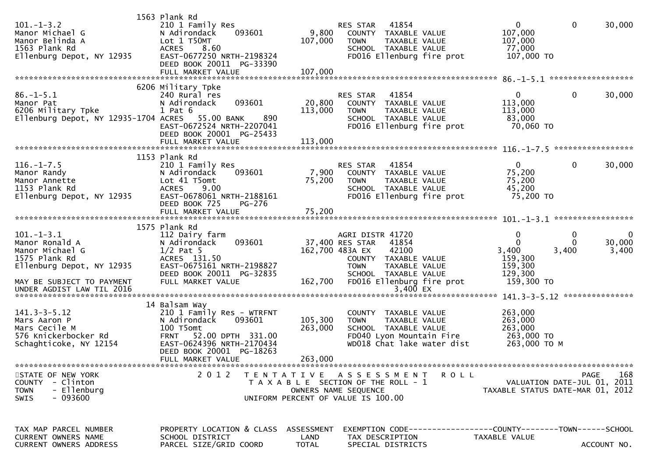| $101. -1 - 3.2$<br>Manor Michael G<br>Manor Belinda A<br>1563 Plank Rd<br>Ellenburg Depot, NY 12935                             | 1563 Plank Rd<br>210 1 Family Res<br>N Adirondack<br>093601<br>Lot 1 T50MT<br>8.60<br><b>ACRES</b><br>EAST-0677250 NRTH-2198324<br>DEED BOOK 20011 PG-33390          | 9,800<br>107,000                   | 41854<br>RES STAR<br>COUNTY TAXABLE VALUE<br>TAXABLE VALUE<br><b>TOWN</b><br>SCHOOL TAXABLE VALUE<br>FD016 Ellenburg fire prot                                                        | 0<br>107,000<br>107,000<br>77,000<br>107,000 TO                          | $\mathbf 0$<br>30,000                      |
|---------------------------------------------------------------------------------------------------------------------------------|----------------------------------------------------------------------------------------------------------------------------------------------------------------------|------------------------------------|---------------------------------------------------------------------------------------------------------------------------------------------------------------------------------------|--------------------------------------------------------------------------|--------------------------------------------|
| $86. - 1 - 5.1$<br>Manor Pat<br>6206 Military Tpke<br>Ellenburg Depot, NY 12935-1704 ACRES 55.00 BANK                           | 6206 Military Tpke<br>240 Rural res<br>N Adirondack<br>093601<br>$1$ Pat $6$<br>890<br>EAST-0672524 NRTH-2207041                                                     | 20,800<br>113,000                  | 41854<br>RES STAR<br>COUNTY TAXABLE VALUE<br>TAXABLE VALUE<br><b>TOWN</b><br>SCHOOL TAXABLE VALUE<br>FD016 Ellenburg fire prot                                                        | $\mathbf{0}$<br>113,000<br>113,000<br>83,000<br>70,060 то                | 30,000<br>0                                |
|                                                                                                                                 | DEED BOOK 20001 PG-25433<br>1153 Plank Rd                                                                                                                            |                                    |                                                                                                                                                                                       |                                                                          |                                            |
| $116.-1-7.5$<br>Manor Randy<br>Manor Annette<br>1153 Plank Rd<br>Ellenburg Depot, NY 12935                                      | 210 1 Family Res<br>093601<br>N Adirondack<br>Lot 41 T5omt<br>9.00<br><b>ACRES</b><br>EAST-0678061 NRTH-2188161<br>DEED BOOK 725<br>PG-276                           | 7,900<br>75,200                    | 41854<br>RES STAR<br>COUNTY TAXABLE VALUE<br><b>TOWN</b><br>TAXABLE VALUE<br>SCHOOL TAXABLE VALUE<br>FD016 Ellenburg fire prot                                                        | $\mathbf{0}$<br>75,200<br>75,200<br>45,200<br>75,200 TO                  | 30,000<br>0                                |
|                                                                                                                                 |                                                                                                                                                                      |                                    |                                                                                                                                                                                       |                                                                          |                                            |
|                                                                                                                                 | 1575 Plank Rd                                                                                                                                                        |                                    |                                                                                                                                                                                       |                                                                          |                                            |
| $101. -1 - 3.1$<br>Manor Ronald A<br>Manor Michael G<br>1575 Plank Rd<br>Ellenburg Depot, NY 12935<br>MAY BE SUBJECT TO PAYMENT | 112 Dairy farm<br>093601<br>N Adirondack<br>$1/2$ Pat 5<br>ACRES 131.50<br>EAST-0675161 NRTH-2198827<br>DEED BOOK 20011 PG-32835<br>FULL MARKET VALUE                | 162,700                            | AGRI DISTR 41720<br>37,400 RES STAR<br>41854<br>162,700 483A EX<br>42100<br>COUNTY TAXABLE VALUE<br><b>TOWN</b><br>TAXABLE VALUE<br>SCHOOL TAXABLE VALUE<br>FD016 Ellenburg fire prot | 0<br>$\mathbf 0$<br>3,400<br>159,300<br>159,300<br>129,300<br>159,300 TO | 0<br>0<br>30,000<br>0<br>3,400<br>3,400    |
| UNDER AGDIST LAW TIL 2016                                                                                                       |                                                                                                                                                                      |                                    | 3,400 EX                                                                                                                                                                              |                                                                          |                                            |
| $141.3 - 3 - 5.12$<br>Mars Aaron P<br>Mars Cecile M<br>576 Knickerbocker Rd<br>Schaghticoke, NY 12154                           | 14 Balsam Way<br>210 1 Family Res - WTRFNT<br>N Adirondack<br>093601<br>100 T5omt<br>FRNT 52.00 DPTH 331.00<br>EAST-0624396 NRTH-2170434<br>DEED BOOK 20001 PG-18263 | 105,300<br>263,000                 | COUNTY TAXABLE VALUE<br>TAXABLE VALUE<br><b>TOWN</b><br>SCHOOL TAXABLE VALUE<br>FD040 Lyon Mountain Fire<br>WD018 Chat lake water dist                                                | 263,000<br>263,000<br>263,000<br>263,000 TO<br>263,000 ТО М              |                                            |
|                                                                                                                                 | FULL MARKET VALUE                                                                                                                                                    | 263,000                            |                                                                                                                                                                                       |                                                                          |                                            |
| STATE OF NEW YORK<br>COUNTY - Clinton<br>- Ellenburg<br><b>TOWN</b><br>$-093600$<br>SWIS                                        |                                                                                                                                                                      |                                    | 2012 TENTATIVE ASSESSMENT ROLL<br>T A X A B L E SECTION OF THE ROLL - 1<br>OWNERS NAME SEQUENCE<br>UNIFORM PERCENT OF VALUE IS 100.00                                                 | TAXABLE STATUS DATE-MAR 01, 2012                                         | PAGE<br>168<br>VALUATION DATE-JUL 01, 2011 |
| TAX MAP PARCEL NUMBER<br>CURRENT OWNERS NAME<br><b>CURRENT OWNERS ADDRESS</b>                                                   | PROPERTY LOCATION & CLASS<br>SCHOOL DISTRICT<br>PARCEL SIZE/GRID COORD                                                                                               | ASSESSMENT<br>LAND<br><b>TOTAL</b> | EXEMPTION CODE-----------------COUNTY-------TOWN------SCHOOL<br>TAX DESCRIPTION<br>SPECIAL DISTRICTS                                                                                  | TAXABLE VALUE                                                            | ACCOUNT NO.                                |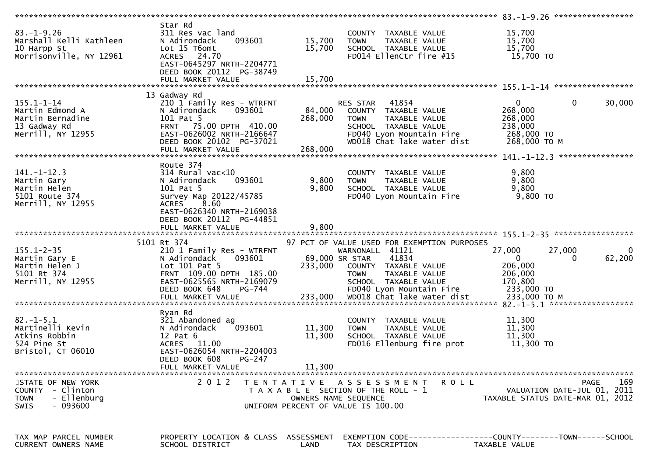| $83. - 1 - 9.26$<br>Marshall Kelli Kathleen<br>10 Harpp St<br>Morrisonville, NY 12961          | Star Rd<br>311 Res vac land<br>093601<br>N Adirondack<br>Lot 15 T6omt<br>ACRES 24.70<br>EAST-0645297 NRTH-2204771<br>DEED BOOK 20112 PG-38749                            | 15,700<br>15,700               | COUNTY TAXABLE VALUE<br><b>TOWN</b><br>TAXABLE VALUE<br>SCHOOL TAXABLE VALUE<br>FD014 EllenCtr fire #15                                                             | 15,700<br>15,700<br>15,700<br>15,700 TO                                           |             |
|------------------------------------------------------------------------------------------------|--------------------------------------------------------------------------------------------------------------------------------------------------------------------------|--------------------------------|---------------------------------------------------------------------------------------------------------------------------------------------------------------------|-----------------------------------------------------------------------------------|-------------|
|                                                                                                |                                                                                                                                                                          |                                |                                                                                                                                                                     |                                                                                   |             |
|                                                                                                | 13 Gadway Rd                                                                                                                                                             |                                |                                                                                                                                                                     |                                                                                   |             |
| $155.1 - 1 - 14$<br>Martin Edmond A<br>Martin Bernadine<br>13 Gadway Rd<br>Merrill, NY 12955   | 210 1 Family Res - WTRFNT<br>N Adirondack<br>093601<br>101 Pat 5<br>FRNT 75.00 DPTH 410.00<br>EAST-0626002 NRTH-2166647<br>DEED BOOK 20102 PG-37021<br>FULL MARKET VALUE | 84,000<br>268,000<br>268,000   | RES STAR 41854<br>COUNTY TAXABLE VALUE<br><b>TOWN</b><br>TAXABLE VALUE<br>SCHOOL TAXABLE VALUE<br>FD040 Lyon Mountain Fire 268,000 TO<br>WD018 Chat lake water dist | $\overline{0}$<br>$\overline{0}$<br>268,000<br>268,000<br>238,000<br>268,000 ТО М | 30,000      |
|                                                                                                |                                                                                                                                                                          |                                |                                                                                                                                                                     |                                                                                   |             |
| $141. - 1 - 12.3$<br>Martin Gary<br>Martin Helen<br>5101 Route 374<br>Merrill, NY 12955        | Route 374<br>314 Rural vac<10<br>093601<br>N Adirondack<br>101 Pat 5<br>Survey Map 20122/45785<br>ACRES 8.60<br>EAST-0626340 NRTH-2169038<br>DEED BOOK 20112 PG-44851    | 9,800<br>9,800                 | COUNTY TAXABLE VALUE<br>TAXABLE VALUE<br><b>TOWN</b><br>SCHOOL TAXABLE VALUE<br>FD040 Lyon Mountain Fire                                                            | 9,800<br>9,800<br>9,800<br>9,800 TO                                               |             |
|                                                                                                |                                                                                                                                                                          |                                |                                                                                                                                                                     |                                                                                   |             |
| $155.1 - 2 - 35$<br>Martin Gary E<br>Martin Helen J                                            | 5101 Rt 374<br>210 1 Family Res - WTRFNT<br>093601<br>N Adirondack<br>Lot 101 Pat 5                                                                                      | 69,000 SR STAR                 | 97 PCT OF VALUE USED FOR EXEMPTION PURPOSES<br>WARNONALL 41121<br>41834<br>233,000 COUNTY TAXABLE VALUE                                                             | 27,000<br>27,000<br>$\mathbf{0}$<br>0                                             | 0<br>62,200 |
| 5101 Rt 374<br>Merrill, NY 12955                                                               | FRNT 109.00 DPTH 185.00<br>EAST-0625565 NRTH-2169079<br>DEED BOOK 648<br>PG-744<br>FULL MARKET VALUE                                                                     | 233,000                        | TAXABLE VALUE<br><b>TOWN</b><br>SCHOOL TAXABLE VALUE<br>FD040 Lyon Mountain Fire                                                                                    | 206,000<br>206,000<br>170,800<br>233,000 TO<br>233,000 ТО М                       |             |
|                                                                                                |                                                                                                                                                                          |                                | wDO18 Chat lake water dist                                                                                                                                          |                                                                                   |             |
| $82. - 1 - 5.1$<br>Martinelli Kevin<br>Atkins Robbin<br>524 Pine St<br>Bristol, CT 06010       | Ryan Rd<br>321 Abandoned ag<br>N Adirondack<br>093601<br>$12$ Pat $6$<br>ACRES 11.00<br>EAST-0626054 NRTH-2204003                                                        | 11,300<br>11,300               | COUNTY TAXABLE VALUE<br>TAXABLE VALUE<br><b>TOWN</b><br>SCHOOL TAXABLE VALUE<br>FD016 Ellenburg fire prot                                                           | 11,300<br>11,300<br>11,300<br>11,300 TO                                           |             |
|                                                                                                | DEED BOOK 608<br>PG-247                                                                                                                                                  |                                |                                                                                                                                                                     |                                                                                   |             |
| STATE OF NEW YORK<br>COUNTY - Clinton<br>- Ellenburg<br><b>TOWN</b><br>- 093600<br><b>SWIS</b> | FULL MARKET VALUE                                                                                                                                                        | 11,300<br>OWNERS NAME SEQUENCE | 2012 TENTATIVE ASSESSMENT<br><b>ROLL</b><br>T A X A B L E SECTION OF THE ROLL - 1<br>UNIFORM PERCENT OF VALUE IS 100.00                                             | PAGE<br>VALUATION DATE-JUL 01, 2011<br>TAXABLE STATUS DATE-MAR 01, 2012           | 169         |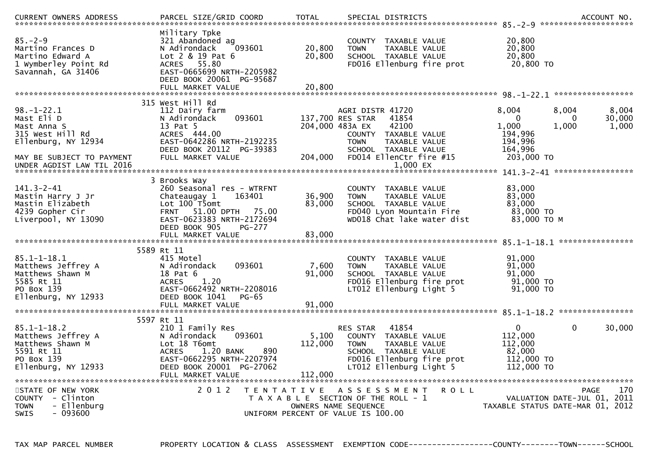| CURRENT OWNERS ADDRESS                                                                                                                             | PARCEL SIZE/GRID COORD                                                                                                                                                                     | <b>TOTAL</b>                | SPECIAL DISTRICTS                                                                                                                                                                                |                                                                                                         | ACCOUNT NO.              |
|----------------------------------------------------------------------------------------------------------------------------------------------------|--------------------------------------------------------------------------------------------------------------------------------------------------------------------------------------------|-----------------------------|--------------------------------------------------------------------------------------------------------------------------------------------------------------------------------------------------|---------------------------------------------------------------------------------------------------------|--------------------------|
| $85 - 2 - 9$<br>Martino Frances D<br>Martino Edward A<br>1 Wymberley Point Rd<br>Savannah, GA 31406                                                | Military Tpke<br>321 Abandoned ag<br>093601<br>N Adirondack<br>$Lot 2 & 19$ Pat 6<br><b>ACRES</b><br>55.80<br>EAST-0665699 NRTH-2205982<br>DEED BOOK 20061 PG-95687<br>FULL MARKET VALUE   | 20,800<br>20,800<br>20,800  | TAXABLE VALUE<br><b>COUNTY</b><br><b>TOWN</b><br>TAXABLE VALUE<br>SCHOOL TAXABLE VALUE<br>FD016 Ellenburg fire prot                                                                              | 20,800<br>20,800<br>20,800<br>20,800 TO                                                                 |                          |
|                                                                                                                                                    |                                                                                                                                                                                            |                             |                                                                                                                                                                                                  |                                                                                                         |                          |
| $98. - 1 - 22.1$<br>Mast Eli D<br>Mast Anna S<br>315 West Hill Rd<br>Ellenburg, NY 12934<br>MAY BE SUBJECT TO PAYMENT<br>UNDER AGDIST LAW TIL 2016 | 315 West Hill Rd<br>112 Dairy farm<br>093601<br>N Adirondack<br>13 Pat 5<br>ACRES 444,00<br>EAST-0642286 NRTH-2192235<br>DEED BOOK 20112 PG-39383<br>FULL MARKET VALUE                     | 204,000                     | AGRI DISTR 41720<br>137,700 RES STAR<br>41854<br>42100<br>204,000 483A EX<br>COUNTY TAXABLE VALUE<br>TAXABLE VALUE<br><b>TOWN</b><br>SCHOOL TAXABLE VALUE<br>FD014 EllenCtr fire #15<br>1.000 EX | 8.004<br>8,004<br>$\Omega$<br>$\Omega$<br>1,000<br>1,000<br>194,996<br>194,996<br>164,996<br>203,000 TO | 8,004<br>30,000<br>1,000 |
|                                                                                                                                                    | 3 Brooks Way                                                                                                                                                                               |                             |                                                                                                                                                                                                  |                                                                                                         |                          |
| $141.3 - 2 - 41$<br>Mastin Harry J Jr<br>Mastin Elizabeth<br>4239 Gopher Cir<br>Liverpool, NY 13090                                                | 260 Seasonal res - WTRFNT<br>Chateaugay 1<br>163401<br>Lot 100 T5omt<br>51.00 DPTH 75.00<br><b>FRNT</b><br>EAST-0623383 NRTH-2172694<br>DEED BOOK 905<br><b>PG-277</b>                     | 36,900<br>83,000            | TAXABLE VALUE<br>COUNTY<br>TAXABLE VALUE<br><b>TOWN</b><br>SCHOOL TAXABLE VALUE<br>FD040 Lyon Mountain Fire<br>WD018 Chat lake water dist                                                        | 83,000<br>83,000<br>83,000<br>83,000 TO<br>83,000 TO M                                                  |                          |
|                                                                                                                                                    | FULL MARKET VALUE                                                                                                                                                                          | 83,000                      |                                                                                                                                                                                                  |                                                                                                         |                          |
| $85.1 - 1 - 18.1$<br>Matthews Jeffrey A<br>Matthews Shawn M<br>5585 Rt 11<br>PO Box 139<br>Ellenburg, NY 12933                                     | 5589 Rt 11<br>415 Motel<br>N Adirondack<br>093601<br>18 Pat 6<br>1.20<br><b>ACRES</b><br>EAST-0662492 NRTH-2208016<br>DEED BOOK 1041<br>$PG-65$                                            | 7,600<br>91,000             | TAXABLE VALUE<br><b>COUNTY</b><br><b>TAXABLE VALUE</b><br><b>TOWN</b><br>SCHOOL TAXABLE VALUE<br>FD016 Ellenburg fire prot<br>LT012 Ellenburg Light 5                                            | 91,000<br>91,000<br>91,000<br>91,000 TO<br>91,000 TO                                                    |                          |
|                                                                                                                                                    | FULL MARKET VALUE                                                                                                                                                                          | 91,000                      |                                                                                                                                                                                                  |                                                                                                         |                          |
| $85.1 - 1 - 18.2$<br>Matthews Jeffrey A<br>Matthews Shawn M<br>5591 Rt 11<br>PO Box 139<br>Ellenburg, NY 12933                                     | 5597 Rt 11<br>210 1 Family Res<br>093601<br>N Adirondack<br>Lot 18 T6omt<br><b>ACRES</b><br>1.20 BANK<br>890<br>EAST-0662295 NRTH-2207974<br>DEED BOOK 20001 PG-27062<br>FULL MARKET VALUE | 5,100<br>112,000<br>112,000 | 41854<br><b>RES STAR</b><br>COUNTY<br>TAXABLE VALUE<br><b>TAXABLE VALUE</b><br><b>TOWN</b><br>SCHOOL TAXABLE VALUE<br>FD016 Ellenburg fire prot<br>LT012 Ellenburg Light 5                       | $\mathbf{0}$<br>$\mathbf{0}$<br>112,000<br>112,000<br>82,000<br>112,000 TO<br>112,000 TO                | 30,000                   |
| STATE OF NEW YORK<br>COUNTY - Clinton<br>TOWN<br>- Ellenburg<br>- 093600<br><b>SWIS</b>                                                            | 2 0 1 2<br>T E N T A T I V E                                                                                                                                                               |                             | A S S E S S M E N T<br><b>ROLL</b><br>T A X A B L E SECTION OF THE ROLL - 1<br>OWNERS NAME SEQUENCE<br>UNIFORM PERCENT OF VALUE IS 100.00                                                        | <b>PAGE</b><br>VALUATION DATE-JUL 01, 2011<br>TAXABLE STATUS DATE-MAR 01, 2012                          | 170                      |

TAX MAP PARCEL NUMBER PROPERTY LOCATION & CLASS ASSESSMENT EXEMPTION CODE------------------COUNTY--------TOWN------SCHOOL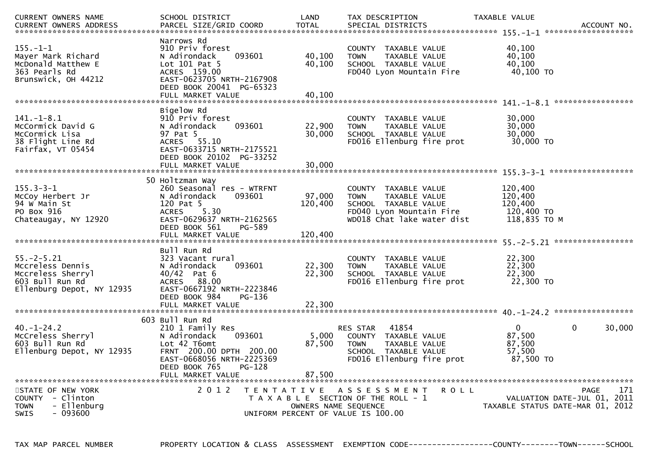| CURRENT OWNERS NAME<br>CURRENT OWNERS ADDRESS                                                             | SCHOOL DISTRICT<br>PARCEL SIZE/GRID COORD                                                                                                                                      | LAND<br><b>TOTAL</b>                                    | TAX DESCRIPTION<br>SPECIAL DISTRICTS                                                                                                         |             | TAXABLE VALUE                                               | ACCOUNT NO.<br>*******************                                                    |
|-----------------------------------------------------------------------------------------------------------|--------------------------------------------------------------------------------------------------------------------------------------------------------------------------------|---------------------------------------------------------|----------------------------------------------------------------------------------------------------------------------------------------------|-------------|-------------------------------------------------------------|---------------------------------------------------------------------------------------|
| $155. - 1 - 1$<br>Mayer Mark Richard<br>McDonald Matthew E<br>363 Pearls Rd<br>Brunswick, OH 44212        | Narrows Rd<br>910 Priv forest<br>093601<br>N Adirondack<br>Lot $101$ Pat 5<br>ACRES 159.00<br>EAST-0623705 NRTH-2167908<br>DEED BOOK 20041 PG-65323<br>FULL MARKET VALUE       | 40,100<br>40,100<br>40,100                              | COUNTY TAXABLE VALUE<br><b>TOWN</b><br>TAXABLE VALUE<br>SCHOOL TAXABLE VALUE<br>FD040 Lyon Mountain Fire                                     |             | 40,100<br>40,100<br>40,100<br>40,100 TO                     |                                                                                       |
| $141.-1-8.1$<br>McCormick David G<br>McCormick Lisa<br>38 Flight Line Rd<br>Fairfax, VT 05454             | Bigelow Rd<br>910 Priv forest<br>N Adirondack<br>093601<br>97 Pat 5<br>55.10<br>ACRES<br>EAST-0633715 NRTH-2175521<br>DEED BOOK 20102 PG-33252                                 | 22,900<br>30,000                                        | <b>COUNTY</b><br>TAXABLE VALUE<br>TAXABLE VALUE<br><b>TOWN</b><br>SCHOOL TAXABLE VALUE<br>FD016 Ellenburg fire prot                          |             | 30,000<br>30,000<br>30,000<br>30,000 TO                     | *****************                                                                     |
|                                                                                                           | FULL MARKET VALUE                                                                                                                                                              | 30,000                                                  |                                                                                                                                              |             |                                                             |                                                                                       |
| $155.3 - 3 - 1$<br>McCoy Herbert Jr<br>94 W Main St<br>PO Box 916<br>Chateaugay, NY 12920                 | 50 Holtzman Way<br>260 Seasonal res - WTRFNT<br>093601<br>N Adirondack<br>120 Pat 5<br>5.30<br><b>ACRES</b><br>EAST-0629637 NRTH-2162565<br>DEED BOOK 561<br>FULL MARKET VALUE | 97,000<br>120,400<br>PG-589<br>120,400                  | COUNTY TAXABLE VALUE<br><b>TOWN</b><br>TAXABLE VALUE<br>SCHOOL TAXABLE VALUE<br>FD040 Lyon Mountain Fire<br>WD018 Chat lake water dist       |             | 120,400<br>120,400<br>120,400<br>120,400 TO<br>118,835 TO M |                                                                                       |
|                                                                                                           | Bull Run Rd                                                                                                                                                                    |                                                         |                                                                                                                                              |             |                                                             |                                                                                       |
| $55. - 2 - 5.21$<br>Mccreless Dennis<br>Mccreless Sherryl<br>603 Bull Run Rd<br>Ellenburg Depot, NY 12935 | 323 Vacant rural<br>093601<br>N Adirondack<br>$40/42$ Pat 6<br>ACRES 88.00<br>EAST-0667192 NRTH-2223846                                                                        | 22,300<br>22,300                                        | TAXABLE VALUE<br><b>COUNTY</b><br>TAXABLE VALUE<br><b>TOWN</b><br>SCHOOL TAXABLE VALUE<br>FD016 Ellenburg fire prot                          |             | 22,300<br>22,300<br>22,300<br>22,300 TO                     |                                                                                       |
|                                                                                                           | DEED BOOK 984<br>FULL MARKET VALUE                                                                                                                                             | PG-136<br>22,300                                        |                                                                                                                                              |             |                                                             |                                                                                       |
| $40. - 1 - 24.2$<br>McCreless Sherryl<br>603 Bull Run Rd<br>Ellenburg Depot, NY 12935                     | 603 Bull Run Rd<br>210 1 Family Res<br>N Adirondack<br>093601<br>Lot 42 T6omt<br>FRNT 200.00 DPTH 200.00<br>EAST-0668056 NRTH-2225369<br>DEED BOOK 765<br>FULL MARKET VALUE    | 5,000<br>87,500<br>PG-128<br>87,500                     | 41854<br><b>RES STAR</b><br>COUNTY TAXABLE VALUE<br><b>TAXABLE VALUE</b><br><b>TOWN</b><br>SCHOOL TAXABLE VALUE<br>FD016 Ellenburg fire prot |             | $\mathbf{0}$<br>87,500<br>87,500<br>57,500<br>87,500 TO     | $\mathbf{0}$<br>30,000                                                                |
| STATE OF NEW YORK<br>COUNTY - Clinton<br>- Ellenburg<br><b>TOWN</b><br><b>SWIS</b><br>- 093600            | 2 0 1 2                                                                                                                                                                        | T E N T A T I V E<br>UNIFORM PERCENT OF VALUE IS 100.00 | ASSESSMENT<br>T A X A B L E SECTION OF THE ROLL - 1<br>OWNERS NAME SEQUENCE                                                                  | <b>ROLL</b> |                                                             | <b>PAGE</b><br>171<br>VALUATION DATE-JUL 01, 2011<br>TAXABLE STATUS DATE-MAR 01, 2012 |

TAX MAP PARCEL NUMBER PROPERTY LOCATION & CLASS ASSESSMENT EXEMPTION CODE------------------COUNTY--------TOWN------SCHOOL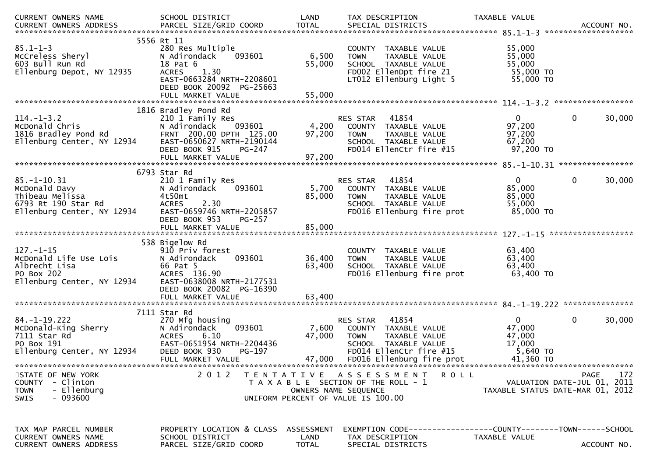| <b>CURRENT OWNERS NAME</b>                                                                                 | SCHOOL DISTRICT                                                                                                                                                            | LAND                               | TAX DESCRIPTION                                                                                                                                           | TAXABLE VALUE                                                   |                                                                                |
|------------------------------------------------------------------------------------------------------------|----------------------------------------------------------------------------------------------------------------------------------------------------------------------------|------------------------------------|-----------------------------------------------------------------------------------------------------------------------------------------------------------|-----------------------------------------------------------------|--------------------------------------------------------------------------------|
| $85.1 - 1 - 3$<br>McCreless Sheryl<br>603 Bull Run Rd<br>Ellenburg Depot, NY 12935                         | 5556 Rt 11<br>280 Res Multiple<br>N Adirondack<br>093601<br>18 Pat 6<br><b>ACRES</b><br>1.30<br>EAST-0663284 NRTH-2208601<br>DEED BOOK 20092 PG-25663<br>FULL MARKET VALUE | 6,500<br>55,000<br>55,000          | COUNTY TAXABLE VALUE<br>TAXABLE VALUE<br><b>TOWN</b><br>SCHOOL TAXABLE VALUE<br>FD002 EllenDpt fire 21<br>LT012 Ellenburg Light 5                         | 55,000<br>55,000<br>55,000<br>55,000 TO<br>55,000 TO            |                                                                                |
| $114. - 1 - 3.2$<br>McDonald Chris<br>1816 Bradley Pond Rd<br>Ellenburg Center, NY 12934                   | 1816 Bradley Pond Rd<br>210 1 Family Res<br>N Adirondack<br>093601<br>FRNT 200.00 DPTH 125.00<br>EAST-0650627 NRTH-2190144<br>DEED BOOK 915<br>PG-247                      | 4,200<br>97,200                    | RES STAR<br>41854<br>COUNTY TAXABLE VALUE<br><b>TOWN</b><br>TAXABLE VALUE<br>SCHOOL TAXABLE VALUE<br>FD014 EllenCtr fire #15                              | $\overline{0}$<br>97,200<br>97,200<br>67,200<br>97,200 TO       | $\mathbf 0$<br>30,000                                                          |
|                                                                                                            |                                                                                                                                                                            |                                    |                                                                                                                                                           |                                                                 |                                                                                |
| $85. - 1 - 10.31$<br>McDonald Davy<br>Thibeau Melissa<br>6793 Rt 190 Star Rd<br>Ellenburg Center, NY 12934 | 6793 Star Rd<br>210 1 Family Res<br>093601<br>N Adirondack<br>4t50mt<br><b>ACRES</b><br>2.30<br>EAST-0659746 NRTH-2205857<br>DEED BOOK 953<br>$PG-257$                     | 5,700<br>85,000                    | 41854<br><b>RES STAR</b><br>COUNTY TAXABLE VALUE<br>TAXABLE VALUE<br><b>TOWN</b><br>SCHOOL TAXABLE VALUE<br>FD016 Ellenburg fire prot                     | $\mathbf{0}$<br>85,000<br>85,000<br>55,000<br>85,000 TO         | 30,000<br>0                                                                    |
|                                                                                                            | FULL MARKET VALUE                                                                                                                                                          | 85,000                             |                                                                                                                                                           |                                                                 |                                                                                |
|                                                                                                            |                                                                                                                                                                            |                                    |                                                                                                                                                           |                                                                 |                                                                                |
| $127. - 1 - 15$<br>McDonald Life Use Lois<br>Albrecht Lisa<br>PO Box 202<br>Ellenburg Center, NY 12934     | 538 Bigelow Rd<br>910 Priv forest<br>N Adirondack<br>093601<br>66 Pat 5<br>ACRES 136.90<br>EAST-0638008 NRTH-2177531<br>DEED BOOK 20082 PG-16390                           | 36,400<br>63,400                   | COUNTY TAXABLE VALUE<br>TAXABLE VALUE<br><b>TOWN</b><br>SCHOOL TAXABLE VALUE<br>FD016 Ellenburg fire prot                                                 | 63,400<br>63,400<br>63,400<br>$63,400$ TO                       |                                                                                |
|                                                                                                            |                                                                                                                                                                            |                                    |                                                                                                                                                           |                                                                 |                                                                                |
| $84. - 1 - 19.222$<br>McDonald-King Sherry<br>7111 Star Rd<br>PO Box 191<br>Ellenburg Center, NY 12934     | 7111 Star Rd<br>270 Mfg housing<br>N Adirondack<br>093601<br>6.10<br>ACRES<br>EAST-0651954 NRTH-2204436<br>DEED BOOK 930<br>PG-197<br>FULL MARKET VALUE                    | 7,600<br>47,000<br>47,000          | 41854<br>RES STAR<br>COUNTY TAXABLE VALUE<br><b>TOWN</b><br>TAXABLE VALUE<br>SCHOOL TAXABLE VALUE<br>FD014 EllenCtr fire #15<br>FD016 Ellenburg fire prot | $\Omega$<br>47,000<br>47,000<br>17,000<br>5,640 TO<br>41,360 TO | $\mathbf 0$<br>30,000                                                          |
| STATE OF NEW YORK<br>COUNTY - Clinton<br>- Ellenburg<br><b>TOWN</b><br>- 093600<br>SWIS                    | 2 0 1 2                                                                                                                                                                    | OWNERS NAME SEQUENCE               | TENTATIVE ASSESSMENT<br><b>ROLL</b><br>T A X A B L E SECTION OF THE ROLL - 1<br>UNIFORM PERCENT OF VALUE IS 100.00                                        |                                                                 | 172<br>PAGE<br>VALUATION DATE-JUL 01, 2011<br>TAXABLE STATUS DATE-MAR 01, 2012 |
| TAX MAP PARCEL NUMBER<br>CURRENT OWNERS NAME<br>CURRENT OWNERS ADDRESS                                     | PROPERTY LOCATION & CLASS<br>SCHOOL DISTRICT<br>PARCEL SIZE/GRID COORD                                                                                                     | ASSESSMENT<br>LAND<br><b>TOTAL</b> | EXEMPTION CODE-----------------COUNTY-------TOWN------SCHOOL<br>TAX DESCRIPTION<br>SPECIAL DISTRICTS                                                      | TAXABLE VALUE                                                   | ACCOUNT NO.                                                                    |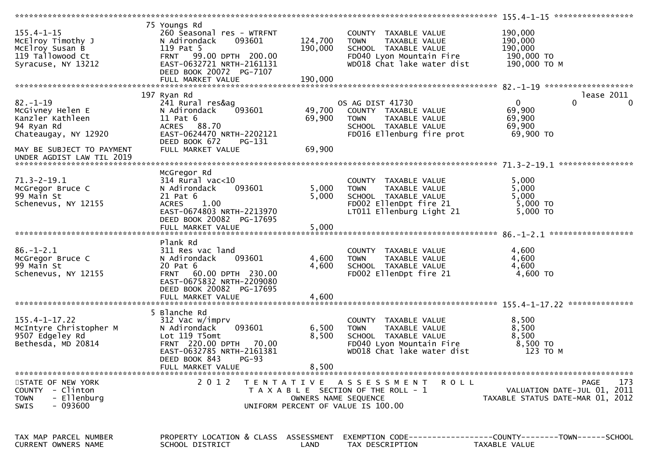|                                                                                                                          |                                                                                                                                                                                    |                            |                                                                                                                                        | 155.4-1-15 ******************                                                     |
|--------------------------------------------------------------------------------------------------------------------------|------------------------------------------------------------------------------------------------------------------------------------------------------------------------------------|----------------------------|----------------------------------------------------------------------------------------------------------------------------------------|-----------------------------------------------------------------------------------|
| $155.4 - 1 - 15$<br>McElroy Timothy J<br>McElroy Susan B<br>119 Tallowood Ct<br>Syracuse, NY 13212                       | 75 Youngs Rd<br>260 Seasonal res - WTRFNT<br>093601<br>N Adirondack<br>119 Pat 5<br>FRNT 99.00 DPTH 200.00<br>EAST-0632721 NRTH-2161131<br>DEED BOOK 20072 PG-7107                 | 124,700<br>190,000         | COUNTY TAXABLE VALUE<br>TAXABLE VALUE<br><b>TOWN</b><br>SCHOOL TAXABLE VALUE<br>FD040 Lyon Mountain Fire<br>WD018 Chat lake water dist | 190,000<br>190,000<br>190,000<br>190,000 TO<br>190,000 ТО М                       |
|                                                                                                                          |                                                                                                                                                                                    |                            |                                                                                                                                        | lease 2011                                                                        |
| $82 - 1 - 19$<br>McGivney Helen E<br>Kanzler Kathleen<br>94 Ryan Rd<br>Chateaugay, NY 12920<br>MAY BE SUBJECT TO PAYMENT | 197 Ryan Rd<br>241 Rural res&ag<br>N Adirondack<br>093601<br>$11$ Pat $6$<br>ACRES 88.70<br>EAST-0624470 NRTH-2202121<br>DEED BOOK 672<br>PG-131<br>FULL MARKET VALUE              | 49,700<br>69,900<br>69,900 | OS AG DIST 41730<br>COUNTY TAXABLE VALUE<br>TAXABLE VALUE<br><b>TOWN</b><br>SCHOOL TAXABLE VALUE<br>FD016 Ellenburg fire prot          | $\overline{0}$<br>$\Omega$<br>$\Omega$<br>69,900<br>69,900<br>69,900<br>69,900 TO |
| UNDER AGDIST LAW TIL 2019                                                                                                |                                                                                                                                                                                    |                            |                                                                                                                                        |                                                                                   |
| $71.3 - 2 - 19.1$<br>McGregor Bruce C<br>99 Main St<br>Schenevus, NY 12155                                               | McGregor Rd<br>$314$ Rural vac< $10$<br>093601<br>N Adirondack<br>21 Pat 6<br><b>ACRES</b><br>1.00<br>EAST-0674803 NRTH-2213970<br>DEED BOOK 20082 PG-17695                        | 5,000<br>5,000             | COUNTY TAXABLE VALUE<br><b>TOWN</b><br>TAXABLE VALUE<br>SCHOOL TAXABLE VALUE<br>FD002 EllenDpt fire 21<br>LT011 Ellenburg Light 21     | 5,000<br>5,000<br>5,000<br>5,000 TO<br>5,000 TO                                   |
|                                                                                                                          | FULL MARKET VALUE                                                                                                                                                                  | 5,000                      |                                                                                                                                        |                                                                                   |
|                                                                                                                          |                                                                                                                                                                                    |                            |                                                                                                                                        |                                                                                   |
| $86. - 1 - 2.1$<br>McGregor Bruce C<br>99 Main St<br>Schenevus, NY 12155                                                 | Plank Rd<br>311 Res vac land<br>093601<br>N Adirondack<br>20 Pat 6<br>FRNT 60.00 DPTH 230.00<br>EAST-0675832 NRTH-2209080<br>DEED BOOK 20082 PG-17695<br>FULL MARKET VALUE         | 4,600<br>4,600<br>4,600    | COUNTY TAXABLE VALUE<br><b>TOWN</b><br>TAXABLE VALUE<br>SCHOOL TAXABLE VALUE<br>FD002 EllenDpt fire 21                                 | 4,600<br>4,600<br>4,600<br>4,600 TO                                               |
|                                                                                                                          |                                                                                                                                                                                    |                            |                                                                                                                                        |                                                                                   |
| $155.4 - 1 - 17.22$<br>McIntyre Christopher M<br>9507 Edgeley Rd<br>Bethesda, MD 20814                                   | 5 Blanche Rd<br>312 Vac w/imprv<br>093601<br>N Adirondack<br>Lot 119 T5omt<br>FRNT 220.00 DPTH 70.00<br>EAST-0632785 NRTH-2161381<br>DEED BOOK 843<br>$PG-93$<br>FULL MARKET VALUE | 6,500<br>8,500<br>8,500    | COUNTY TAXABLE VALUE<br>TAXABLE VALUE<br><b>TOWN</b><br>SCHOOL TAXABLE VALUE<br>FD040 Lyon Mountain Fire<br>WD018 Chat lake water dist | 8,500<br>8,500<br>8,500<br>8,500 TO<br>123 TO M                                   |
|                                                                                                                          |                                                                                                                                                                                    |                            |                                                                                                                                        |                                                                                   |
| STATE OF NEW YORK<br>COUNTY - Clinton<br>- Ellenburg<br><b>TOWN</b><br>$-093600$<br><b>SWIS</b>                          | 2 0 1 2                                                                                                                                                                            | OWNERS NAME SEQUENCE       | TENTATIVE ASSESSMENT ROLL<br>T A X A B L E SECTION OF THE ROLL - 1<br>UNIFORM PERCENT OF VALUE IS 100.00                               | 173<br>PAGE<br>VALUATION DATE-JUL 01, 2011<br>TAXABLE STATUS DATE-MAR 01, 2012    |
| TAX MAP PARCEL NUMBER<br>CURRENT OWNERS NAME                                                                             | PROPERTY LOCATION & CLASS ASSESSMENT<br>SCHOOL DISTRICT                                                                                                                            | LAND                       | TAX DESCRIPTION                                                                                                                        | TAXABLE VALUE                                                                     |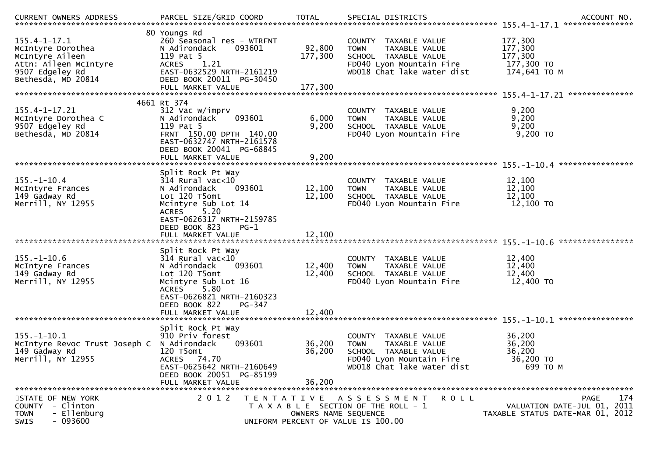| <b>CURRENT OWNERS ADDRESS</b>                                                                                                | PARCEL SIZE/GRID COORD                                                                                                                                                                 | <b>TOTAL</b>                                                                                     |                              |             | SPECIAL DISTRICTS                                                                                                       |         |                                                             | ACCOUNT NO.<br>***************                                                 |
|------------------------------------------------------------------------------------------------------------------------------|----------------------------------------------------------------------------------------------------------------------------------------------------------------------------------------|--------------------------------------------------------------------------------------------------|------------------------------|-------------|-------------------------------------------------------------------------------------------------------------------------|---------|-------------------------------------------------------------|--------------------------------------------------------------------------------|
| $155.4 - 1 - 17.1$<br>McIntyre Dorothea<br>McIntyre Aileen<br>Attn: Aileen McIntyre<br>9507 Edgeley Rd<br>Bethesda, MD 20814 | 80 Youngs Rd<br>260 Seasonal res - WTRFNT<br>093601<br>N Adirondack<br>119 Pat 5<br>1.21<br><b>ACRES</b><br>EAST-0632529 NRTH-2161219<br>DEED BOOK 20011 PG-30450<br>FULL MARKET VALUE |                                                                                                  | 92,800<br>177,300<br>177,300 | <b>TOWN</b> | COUNTY TAXABLE VALUE<br>TAXABLE VALUE<br>SCHOOL TAXABLE VALUE<br>FD040 Lyon Mountain Fire<br>WD018 Chat lake water dist |         | 177,300<br>177,300<br>177,300<br>177,300 TO<br>174,641 ТО М |                                                                                |
|                                                                                                                              | 4661 Rt 374                                                                                                                                                                            |                                                                                                  |                              |             |                                                                                                                         |         |                                                             |                                                                                |
| $155.4 - 1 - 17.21$<br>McIntyre Dorothea C<br>9507 Edgeley Rd<br>Bethesda, MD 20814                                          | 312 Vac w/imprv<br>093601<br>N Adirondack<br>119 Pat 5<br>FRNT 150.00 DPTH 140.00<br>EAST-0632747 NRTH-2161578<br>DEED BOOK 20041 PG-68845<br>FULL MARKET VALUE                        |                                                                                                  | 6,000<br>9,200<br>9,200      | <b>TOWN</b> | COUNTY TAXABLE VALUE<br>TAXABLE VALUE<br>SCHOOL TAXABLE VALUE<br>FD040 Lyon Mountain Fire                               |         | 9,200<br>9,200<br>9,200<br>9,200 TO                         |                                                                                |
|                                                                                                                              |                                                                                                                                                                                        |                                                                                                  |                              |             |                                                                                                                         |         |                                                             | ****************                                                               |
| $155. - 1 - 10.4$<br>McIntyre Frances<br>149 Gadway Rd<br>Merrill, NY 12955                                                  | Split Rock Pt Way<br>$314$ Rural vac< $10$<br>093601<br>N Adirondack<br>Lot 120 T5omt<br>Mcintyre Sub Lot 14<br>5.20<br>ACRES                                                          |                                                                                                  | 12,100<br>12,100             | <b>TOWN</b> | COUNTY TAXABLE VALUE<br>TAXABLE VALUE<br>SCHOOL TAXABLE VALUE<br>FD040 Lyon Mountain Fire                               |         | 12,100<br>12,100<br>12,100<br>12,100 TO                     |                                                                                |
|                                                                                                                              | EAST-0626317 NRTH-2159785<br>DEED BOOK 823<br>$PG-1$<br>FULL MARKET VALUE                                                                                                              |                                                                                                  | 12,100                       |             |                                                                                                                         |         |                                                             | ****************                                                               |
| $155. - 1 - 10.6$<br>McIntyre Frances<br>149 Gadway Rd<br>Merrill, NY 12955                                                  | Split Rock Pt Way<br>$314$ Rural vac< $10$<br>N Adirondack<br>093601<br>Lot 120 T5omt<br>Mcintyre Sub Lot 16<br>5.80<br><b>ACRES</b><br>EAST-0626821 NRTH-2160323                      |                                                                                                  | 12,400<br>12,400             | <b>TOWN</b> | COUNTY TAXABLE VALUE<br>TAXABLE VALUE<br>SCHOOL TAXABLE VALUE<br>FD040 Lyon Mountain Fire                               |         | 12,400<br>12,400<br>12,400<br>12,400 TO                     |                                                                                |
|                                                                                                                              | DEED BOOK 822<br>FULL MARKET VALUE                                                                                                                                                     | PG-347                                                                                           | 12,400                       |             |                                                                                                                         |         |                                                             |                                                                                |
|                                                                                                                              |                                                                                                                                                                                        |                                                                                                  |                              |             |                                                                                                                         |         |                                                             | ****************                                                               |
| $155. - 1 - 10.1$<br>McIntyre Revoc Trust Joseph C N Adirondack<br>149 Gadway Rd<br>Merrill, NY 12955                        | Split Rock Pt Way<br>910 Priv forest<br>093601<br>120 T5omt<br>ACRES 74.70<br>EAST-0625642 NRTH-2160649<br>DEED BOOK 20051 PG-85199<br>FULL MARKET VALUE                               |                                                                                                  | 36,200<br>36,200<br>36,200   | <b>TOWN</b> | COUNTY TAXABLE VALUE<br>TAXABLE VALUE<br>SCHOOL TAXABLE VALUE<br>FD040 Lyon Mountain Fire<br>WD018 Chat lake water dist |         | 36,200<br>36,200<br>36,200<br>36,200 TO<br>699 то м         |                                                                                |
| STATE OF NEW YORK<br>COUNTY - Clinton<br>- Ellenburg<br><b>TOWN</b><br>$-093600$<br><b>SWIS</b>                              | 2 0 1 2                                                                                                                                                                                | T E N T A T I V E<br>T A X A B L E SECTION OF THE ROLL - 1<br>UNIFORM PERCENT OF VALUE IS 100.00 | OWNERS NAME SEQUENCE         |             | A S S E S S M E N T                                                                                                     | R O L L |                                                             | 174<br>PAGE<br>VALUATION DATE-JUL 01, 2011<br>TAXABLE STATUS DATE-MAR 01, 2012 |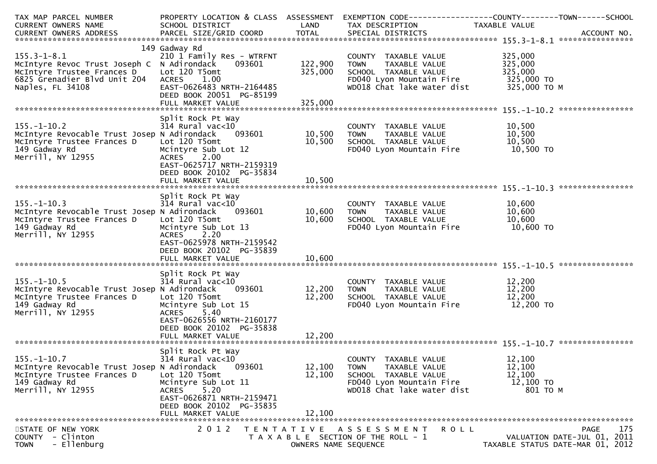| TAX MAP PARCEL NUMBER<br><b>CURRENT OWNERS NAME</b><br>CURRENT OWNERS ADDRESS                                                                     | PROPERTY LOCATION & CLASS ASSESSMENT<br>SCHOOL DISTRICT<br>PARCEL SIZE/GRID COORD                                                                                                                  | LAND<br><b>TOTAL</b>                      | TAX DESCRIPTION<br>SPECIAL DISTRICTS                                                                                                   | EXEMPTION CODE-----------------COUNTY-------TOWN------SCHOOL<br>TAXABLE VALUE<br>ACCOUNT NO. |
|---------------------------------------------------------------------------------------------------------------------------------------------------|----------------------------------------------------------------------------------------------------------------------------------------------------------------------------------------------------|-------------------------------------------|----------------------------------------------------------------------------------------------------------------------------------------|----------------------------------------------------------------------------------------------|
|                                                                                                                                                   |                                                                                                                                                                                                    |                                           |                                                                                                                                        |                                                                                              |
| $155.3 - 1 - 8.1$<br>McIntyre Revoc Trust Joseph C N Adirondack<br>McIntyre Trustee Frances D<br>6825 Grenadier Blvd Unit 204<br>Naples, FL 34108 | 149 Gadway Rd<br>210 1 Family Res - WTRFNT<br>093601<br>Lot 120 T5omt<br><b>ACRES</b><br>1.00<br>EAST-0626483 NRTH-2164485<br>DEED BOOK 20051 PG-85199<br>FULL MARKET VALUE                        | 122,900<br>325,000<br>325,000             | COUNTY TAXABLE VALUE<br><b>TOWN</b><br>TAXABLE VALUE<br>SCHOOL TAXABLE VALUE<br>FD040 Lyon Mountain Fire<br>WD018 Chat lake water dist | 325,000<br>325,000<br>325,000<br>325,000 TO<br>325,000 TO M                                  |
|                                                                                                                                                   | Split Rock Pt Way                                                                                                                                                                                  |                                           |                                                                                                                                        |                                                                                              |
| $155. - 1 - 10.2$<br>McIntyre Revocable Trust Josep N Adirondack<br>McIntyre Trustee Frances D<br>149 Gadway Rd<br>Merrill, NY 12955              | $314$ Rural vac<10<br>093601<br>Lot 120 T5omt<br>Mcintyre Sub Lot 12<br>2.00<br><b>ACRES</b><br>EAST-0625717 NRTH-2159319<br>DEED BOOK 20102 PG-35834                                              | 10,500<br>10,500                          | COUNTY TAXABLE VALUE<br><b>TOWN</b><br>TAXABLE VALUE<br>SCHOOL TAXABLE VALUE<br>FD040 Lyon Mountain Fire                               | 10,500<br>10,500<br>10,500<br>10,500 TO                                                      |
|                                                                                                                                                   | FULL MARKET VALUE                                                                                                                                                                                  | 10,500                                    |                                                                                                                                        |                                                                                              |
| $155. - 1 - 10.3$<br>McIntyre Revocable Trust Josep N Adirondack<br>McIntyre Trustee Frances D<br>149 Gadway Rd<br>Merrill, NY 12955              | Split Rock Pt Way<br>$314$ Rural vac< $10$<br>093601<br>Lot 120 T5omt<br>Mcintyre Sub Lot 13<br>2.20<br><b>ACRES</b><br>EAST-0625978 NRTH-2159542<br>DEED BOOK 20102 PG-35839<br>FULL MARKET VALUE | 10,600<br>10,600<br>10,600                | COUNTY TAXABLE VALUE<br>TAXABLE VALUE<br><b>TOWN</b><br>SCHOOL TAXABLE VALUE<br>FD040 Lyon Mountain Fire                               | 10,600<br>10,600<br>10,600<br>10,600 TO                                                      |
|                                                                                                                                                   | Split Rock Pt Way                                                                                                                                                                                  |                                           |                                                                                                                                        |                                                                                              |
| $155. - 1 - 10.5$<br>McIntyre Revocable Trust Josep N Adirondack<br>McIntyre Trustee Frances D<br>149 Gadway Rd<br>Merrill, NY 12955              | 314 Rural vac<10<br>093601<br>Lot 120 T5omt<br>Mcintyre Sub Lot 15<br>ACRES 5.40<br>EAST-0626556 NRTH-2160177<br>DEED BOOK 20102 PG-35838                                                          | 12,200<br>12,200                          | COUNTY TAXABLE VALUE<br>TAXABLE VALUE<br>TOWN<br>SCHOOL TAXABLE VALUE<br>FD040 Lyon Mountain Fire                                      | 12,200<br>12,200<br>12,200<br>12,200 TO                                                      |
|                                                                                                                                                   | FULL MARKET VALUE                                                                                                                                                                                  | 12,200                                    |                                                                                                                                        |                                                                                              |
| $155. - 1 - 10.7$<br>McIntyre Revocable Trust Josep N Adirondack<br>McIntyre Trustee Frances D<br>149 Gadway Rd<br>Merrill, NY 12955              | Split Rock Pt Way<br>$314$ Rural vac<10<br>093601<br>Lot 120 T5omt<br>Mcintyre Sub Lot 11<br>5.20<br><b>ACRES</b><br>EAST-0626871 NRTH-2159471<br>DEED BOOK 20102 PG-35835<br>FULL MARKET VALUE    | 12,100<br>12,100<br>12,100                | COUNTY TAXABLE VALUE<br>TAXABLE VALUE<br><b>TOWN</b><br>SCHOOL TAXABLE VALUE<br>FD040 Lyon Mountain Fire<br>WD018 Chat lake water dist | 12,100<br>12,100<br>12,100<br>12,100 TO<br>801 TO M                                          |
|                                                                                                                                                   |                                                                                                                                                                                                    |                                           |                                                                                                                                        |                                                                                              |
| STATE OF NEW YORK<br>COUNTY - Clinton<br>- Ellenburg<br><b>TOWN</b>                                                                               | 2 0 1 2                                                                                                                                                                                            | T E N T A T I V E<br>OWNERS NAME SEQUENCE | ASSESSMENT<br>R O L L<br>T A X A B L E SECTION OF THE ROLL - 1                                                                         | 175<br><b>PAGE</b><br>VALUATION DATE-JUL 01, 2011<br>TAXABLE STATUS DATE-MAR 01, 2012        |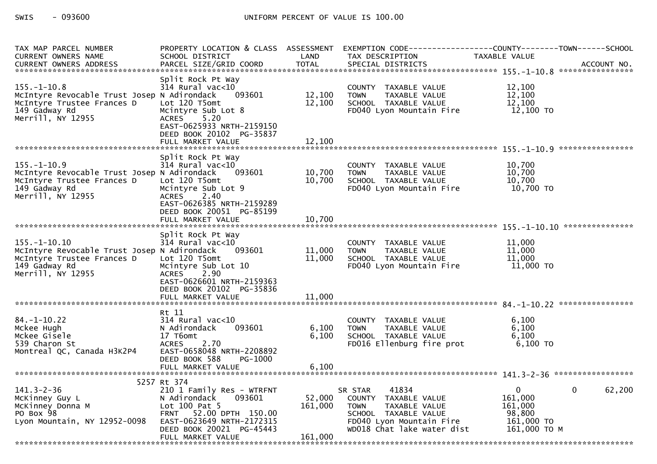| TAX MAP PARCEL NUMBER<br><b>CURRENT OWNERS NAME</b>                                                                                   | SCHOOL DISTRICT                                                                                                                                             | LAND              | TAX DESCRIPTION                                                                                                                                            | PROPERTY LOCATION & CLASS ASSESSMENT EXEMPTION CODE----------------COUNTY--------TOWN------SCHOOL<br>TAXABLE VALUE |
|---------------------------------------------------------------------------------------------------------------------------------------|-------------------------------------------------------------------------------------------------------------------------------------------------------------|-------------------|------------------------------------------------------------------------------------------------------------------------------------------------------------|--------------------------------------------------------------------------------------------------------------------|
| <b>CURRENT OWNERS ADDRESS</b>                                                                                                         | PARCEL SIZE/GRID COORD                                                                                                                                      | <b>TOTAL</b>      | SPECIAL DISTRICTS                                                                                                                                          | ACCOUNT NO.                                                                                                        |
|                                                                                                                                       |                                                                                                                                                             |                   |                                                                                                                                                            |                                                                                                                    |
| $155. - 1 - 10.8$<br>McIntyre Revocable Trust Josep N Adirondack<br>McIntyre Trustee Frances D<br>149 Gadway Rd<br>Merrill, NY 12955  | Split Rock Pt Way<br>$314$ Rural vac< $10$<br>093601<br>Lot 120 T5omt<br>Mcintyre Sub Lot 8<br>5.20<br><b>ACRES</b>                                         | 12,100<br>12,100  | COUNTY TAXABLE VALUE<br><b>TOWN</b><br>TAXABLE VALUE<br>SCHOOL TAXABLE VALUE<br>FD040 Lyon Mountain Fire                                                   | 12,100<br>12,100<br>12,100<br>12,100 TO                                                                            |
|                                                                                                                                       | EAST-0625933 NRTH-2159150<br>DEED BOOK 20102 PG-35837<br>FULL MARKET VALUE                                                                                  | 12,100            |                                                                                                                                                            |                                                                                                                    |
|                                                                                                                                       | Split Rock Pt Way                                                                                                                                           |                   |                                                                                                                                                            |                                                                                                                    |
| $155. - 1 - 10.9$<br>McIntyre Revocable Trust Josep N Adirondack<br>McIntyre Trustee Frances D<br>149 Gadway Rd<br>Merrill, NY 12955  | 314 Rural vac<10<br>093601<br>Lot 120 T5omt<br>Mcintyre Sub Lot 9<br>2.40<br><b>ACRES</b><br>EAST-0626385 NRTH-2159289                                      | 10,700<br>10,700  | COUNTY TAXABLE VALUE<br><b>TOWN</b><br>TAXABLE VALUE<br>SCHOOL TAXABLE VALUE<br>FD040 Lyon Mountain Fire                                                   | 10,700<br>10,700<br>10.700<br>10,700 TO                                                                            |
|                                                                                                                                       | DEED BOOK 20051 PG-85199<br>FULL MARKET VALUE                                                                                                               | 10,700            |                                                                                                                                                            |                                                                                                                    |
|                                                                                                                                       |                                                                                                                                                             |                   |                                                                                                                                                            |                                                                                                                    |
| $155. - 1 - 10.10$<br>McIntyre Revocable Trust Josep N Adirondack<br>McIntyre Trustee Frances D<br>149 Gadway Rd<br>Merrill, NY 12955 | Split Rock Pt Way<br>$314$ Rural vac< $10$<br>093601<br>Lot 120 T5omt<br>Mcintyre Sub Lot 10<br>ACRES 2.90<br>EAST-0626601 NRTH-2159363                     | 11,000<br>11,000  | COUNTY TAXABLE VALUE<br>TAXABLE VALUE<br><b>TOWN</b><br>SCHOOL TAXABLE VALUE<br>FD040 Lyon Mountain Fire                                                   | 11,000<br>11,000<br>11,000<br>$11,000$ TO                                                                          |
|                                                                                                                                       | DEED BOOK 20102 PG-35836                                                                                                                                    |                   |                                                                                                                                                            |                                                                                                                    |
|                                                                                                                                       |                                                                                                                                                             |                   |                                                                                                                                                            |                                                                                                                    |
| $84. - 1 - 10.22$<br>Mckee Hugh<br>Mckee Gisele<br>539 Charon St<br>Montreal QC, Canada H3K2P4                                        | Rt 11<br>314 Rural vac<10<br>N Adirondack<br>093601<br>17 T6omt<br><b>ACRES</b><br>2.70<br>EAST-0658048 NRTH-2208892                                        | 6,100<br>6,100    | COUNTY TAXABLE VALUE<br><b>TOWN</b><br>TAXABLE VALUE<br>SCHOOL TAXABLE VALUE<br>FD016 Ellenburg fire prot                                                  | 6,100<br>6,100<br>6,100<br>$6,100$ TO                                                                              |
|                                                                                                                                       | DEED BOOK 588<br>PG-1000<br>FULL MARKET VALUE                                                                                                               | 6,100             |                                                                                                                                                            |                                                                                                                    |
|                                                                                                                                       |                                                                                                                                                             |                   |                                                                                                                                                            |                                                                                                                    |
|                                                                                                                                       | 5257 Rt 374                                                                                                                                                 |                   |                                                                                                                                                            |                                                                                                                    |
| $141.3 - 2 - 36$<br>McKinney Guy L<br>McKinney Donna M<br>PO Box 98<br>Lyon Mountain, NY 12952-0098                                   | 210 1 Family Res - WTRFNT<br>093601<br>N Adirondack<br>Lot $100$ Pat $5$<br>FRNT 52.00 DPTH 150.00<br>EAST-0623649 NRTH-2172315<br>DEED BOOK 20021 PG-45443 | 52,000<br>161,000 | 41834<br>SR STAR<br>COUNTY TAXABLE VALUE<br>TAXABLE VALUE<br><b>TOWN</b><br>SCHOOL TAXABLE VALUE<br>FD040 Lyon Mountain Fire<br>WD018 Chat lake water dist | $\mathbf{0}$<br>$\mathbf{0}$<br>62,200<br>161,000<br>161,000<br>98.800<br>$161,000$ TO<br>161,000 ТО М             |
|                                                                                                                                       | FULL MARKET VALUE                                                                                                                                           | 161,000           |                                                                                                                                                            |                                                                                                                    |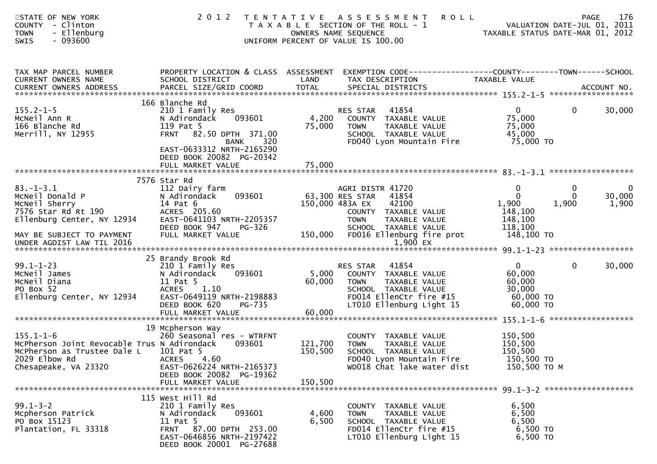| STATE OF NEW YORK<br>COUNTY - Clinton<br><b>TOWN</b><br>- Ellenburg<br>$-093600$<br><b>SWIS</b>                                        | 2 0 1 2                                                                                                                                                                            | T E N T A T I V E         | <b>ROLL</b><br>A S S E S S M E N T<br>T A X A B L E SECTION OF THE ROLL - 1<br>OWNERS NAME SEQUENCE<br>UNIFORM PERCENT OF VALUE IS 100.00               | TAXABLE STATUS DATE-MAR 01, 2012                                     | <b>PAGE</b><br>VALUATION DATE-JUL 01, 2011 | 176                            |
|----------------------------------------------------------------------------------------------------------------------------------------|------------------------------------------------------------------------------------------------------------------------------------------------------------------------------------|---------------------------|---------------------------------------------------------------------------------------------------------------------------------------------------------|----------------------------------------------------------------------|--------------------------------------------|--------------------------------|
| TAX MAP PARCEL NUMBER<br>CURRENT OWNERS NAME                                                                                           | SCHOOL DISTRICT                                                                                                                                                                    | LAND                      | PROPERTY LOCATION & CLASS ASSESSMENT EXEMPTION CODE----------------COUNTY-------TOWN------SCHOOL<br>TAX DESCRIPTION                                     | TAXABLE VALUE                                                        |                                            |                                |
| $155.2 - 1 - 5$<br>MCNeil Ann R<br>166 Blanche Rd<br>Merrill, NY 12955                                                                 | 166 Blanche Rd<br>210 1 Family Res<br>093601<br>N Adirondack<br>119 Pat 5<br>FRNT 82.50 DPTH 371.00<br>320<br><b>BANK</b><br>EAST-0633312 NRTH-2165290<br>DEED BOOK 20082 PG-20342 | 4,200<br>75,000           | 41854<br>RES STAR<br>COUNTY TAXABLE VALUE<br>TAXABLE VALUE<br><b>TOWN</b><br>SCHOOL TAXABLE VALUE<br>FD040 Lyon Mountain Fire                           | $\mathbf{0}$<br>75,000<br>75,000<br>45,000<br>75,000 TO              | 0                                          | 30,000                         |
|                                                                                                                                        | FULL MARKET VALUE                                                                                                                                                                  | 75,000                    |                                                                                                                                                         |                                                                      |                                            |                                |
| $83. - 1 - 3.1$<br>MCNeil Donald P<br>McNeil Sherry<br>7576 Star Rd Rt 190                                                             | 7576 Star Rd<br>112 Dairy farm<br>093601<br>N Adirondack<br>14 Pat 6<br>ACRES 205.60                                                                                               |                           | AGRI DISTR 41720<br>63,300 RES STAR<br>41854<br>150,000 483A EX<br>42100<br>COUNTY TAXABLE VALUE                                                        | 0<br>$\Omega$<br>1,900<br>148,100                                    | 0<br>$\Omega$<br>1,900                     | $\mathbf 0$<br>30,000<br>1,900 |
| Ellenburg Center, NY 12934<br>MAY BE SUBJECT TO PAYMENT<br>UNDER AGDIST LAW TIL 2016                                                   | EAST-0641103 NRTH-2205357<br>DEED BOOK 947<br>PG-326<br>FULL MARKET VALUE                                                                                                          | 150,000                   | <b>TOWN</b><br>TAXABLE VALUE<br>SCHOOL TAXABLE VALUE<br>FD016 Ellenburg fire prot<br>1,900 EX                                                           | 148,100<br>118,100<br>148,100 TO                                     |                                            |                                |
| $99.1 - 1 - 23$<br>McNeil James<br>McNeil Diana<br>PO Box 52<br>Ellenburg Center, NY 12934                                             | 25 Brandy Brook Rd<br>210 1 Family Res<br>093601<br>N Adirondack<br>11 Pat 5<br><b>ACRES</b><br>1.10<br>EAST-0649119 NRTH-2198883<br>DEED BOOK 620<br>PG-735<br>FULL MARKET VALUE  | 5,000<br>60,000<br>60,000 | 41854<br>RES STAR<br>COUNTY TAXABLE VALUE<br>TAXABLE VALUE<br>TOWN<br>SCHOOL TAXABLE VALUE<br>FD014 EllenCtr fire #15<br>LT010 Ellenburg Light 15       | $\mathbf{0}$<br>60,000<br>60,000<br>30,000<br>60,000 TO<br>60,000 TO | $\mathbf 0$                                | 30,000                         |
|                                                                                                                                        |                                                                                                                                                                                    |                           |                                                                                                                                                         |                                                                      |                                            |                                |
| $155.1 - 1 - 6$<br>McPherson Joint Revocable Trus N Adirondack<br>McPherson as Trustee Dale L<br>2029 Elbow Rd<br>Chesapeake, VA 23320 | 19 Mcpherson Way<br>260 Seasonal res - WTRFNT<br>093601<br>101 Pat 5<br>4.60<br><b>ACRES</b><br>EAST-0626224 NRTH-2165373<br>DEED BOOK 20082 PG-19362                              | 121,700<br>150,500        | <b>COUNTY</b><br>TAXABLE VALUE<br><b>TAXABLE VALUE</b><br><b>TOWN</b><br>SCHOOL TAXABLE VALUE<br>FD040 Lyon Mountain Fire<br>WD018 Chat lake water dist | 150,500<br>150,500<br>150,500<br>150,500 TO<br>150,500 ТО М          |                                            |                                |
|                                                                                                                                        | FULL MARKET VALUE                                                                                                                                                                  | 150,500                   |                                                                                                                                                         |                                                                      |                                            |                                |
| $99.1 - 3 - 2$<br>Mcpherson Patrick<br>PO Box 15123<br>Plantation, FL 33318                                                            | 115 West Hill Rd<br>210 1 Family Res<br>N Adirondack<br>093601<br>11 Pat 5<br>FRNT 87.00 DPTH 253.00<br>EAST-0646856 NRTH-2197422<br>DEED BOOK 20001 PG-27688                      | 4,600<br>6,500            | COUNTY TAXABLE VALUE<br><b>TOWN</b><br>TAXABLE VALUE<br>SCHOOL TAXABLE VALUE<br>FD014 EllenCtr fire #15<br>LT010 Ellenburg Light 15                     | 6,500<br>6,500<br>6,500<br>6,500 TO<br>6,500 TO                      |                                            |                                |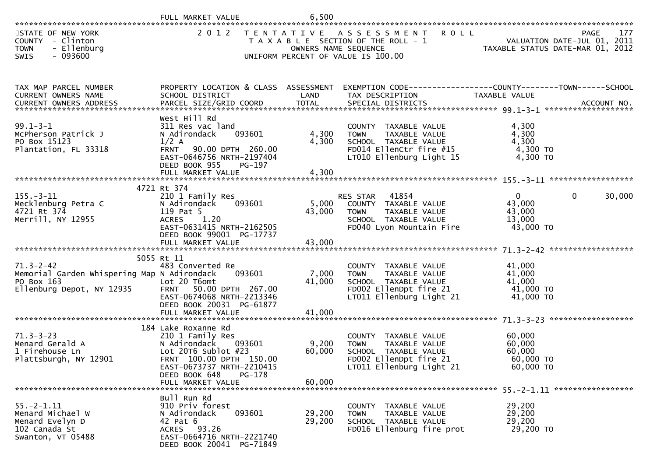|                                                                                                           | FULL MARKET VALUE                                                                                                                                                             | 6,500                     |                                                                                                                                                                        |                                                                 |                       |
|-----------------------------------------------------------------------------------------------------------|-------------------------------------------------------------------------------------------------------------------------------------------------------------------------------|---------------------------|------------------------------------------------------------------------------------------------------------------------------------------------------------------------|-----------------------------------------------------------------|-----------------------|
| STATE OF NEW YORK<br>COUNTY - Clinton<br><b>TOWN</b><br>- Ellenburg<br>$-093600$<br>SWIS                  |                                                                                                                                                                               | OWNERS NAME SEQUENCE      | 2012 TENTATIVE ASSESSMENT ROLL<br>T A X A B L E SECTION OF THE ROLL - 1<br>UNIFORM PERCENT OF VALUE IS 100.00                                                          | VALUATION DATE-JUL 01, 2011<br>TAXABLE STATUS DATE-MAR 01, 2012 | 177<br><b>PAGE</b>    |
| TAX MAP PARCEL NUMBER<br>CURRENT OWNERS NAME                                                              | SCHOOL DISTRICT                                                                                                                                                               | LAND                      | PROPERTY LOCATION & CLASS ASSESSMENT EXEMPTION CODE----------------COUNTY-------TOWN------SCHOOL<br>TAX DESCRIPTION                                                    | TAXABLE VALUE                                                   |                       |
| $99.1 - 3 - 1$<br>McPherson Patrick J<br>PO Box 15123<br>Plantation, FL 33318                             | West Hill Rd<br>311 Res vac land<br>093601<br>N Adirondack<br>$1/2$ A<br>FRNT 90.00 DPTH 260.00<br>EAST-0646756 NRTH-2197404<br>DEED BOOK 955<br>PG-197                       | 4,300<br>4,300            | COUNTY TAXABLE VALUE<br>TAXABLE VALUE<br>TOWN<br>SCHOOL TAXABLE VALUE<br>FD014 EllenCtr fire #15<br>LT010 Ellenburg Light 15                                           | 4,300<br>4,300<br>4,300<br>4,300 TO<br>4,300 TO                 |                       |
|                                                                                                           | 4721 Rt 374                                                                                                                                                                   |                           |                                                                                                                                                                        |                                                                 |                       |
| $155. - 3 - 11$<br>Mecklenburg Petra C<br>4721 Rt 374<br>Merrill, NY 12955                                | 210 1 Family Res<br>093601<br>N Adirondack<br>119 Pat 5<br>ACRES 1.20<br>EAST-0631415 NRTH-2162505<br>DEED BOOK 99001 PG-17737                                                | 43,000                    | RES STAR 41854<br>5,000 COUNTY TAXABLE VALUE<br>TAXABLE VALUE<br>TOWN<br>SCHOOL TAXABLE VALUE<br>FD040 Lyon Mountain Fire                                              | $\overline{0}$<br>43,000<br>43,000<br>13,000<br>43,000 TO       | $\mathbf 0$<br>30,000 |
|                                                                                                           |                                                                                                                                                                               |                           |                                                                                                                                                                        |                                                                 |                       |
| $71.3 - 2 - 42$<br>Memorial Garden Whispering Map N Adirondack<br>PO Box 163<br>Ellenburg Depot, NY 12935 | 5055 Rt 11<br>483 Converted Re<br>093601<br>Lot 20 T6omt<br>FRNT 50.00 DPTH 267.00<br>EAST-0674068 NRTH-2213346<br>DEED BOOK 20031 PG-61877<br>FULL MARKET VALUE              | 7,000<br>41,000<br>41,000 | COUNTY TAXABLE VALUE<br>TAXABLE VALUE<br>TOWN<br>SCHOOL TAXABLE VALUE<br>SCHOOL TAXABLE VALUE<br>FD002 EllenDpt fire 21<br>TT011 Ellenburg<br>LT011 Ellenburg Light 21 | 41,000<br>41,000<br>41,000<br>$41,000$ TO<br>41,000 TO          |                       |
|                                                                                                           | 184 Lake Roxanne Rd                                                                                                                                                           |                           |                                                                                                                                                                        |                                                                 |                       |
| $71.3 - 3 - 23$<br>Menard Gerald A<br>1 Firehouse Ln<br>Plattsburgh, NY 12901                             | 210 1 Family Res<br>N Adirondack<br>093601<br>Lot $20T6$ Sublot $#23$<br>FRNT 100.00 DPTH 150.00<br>EAST-0673737 NRTH-2210415<br>DEED BOOK 648<br>PG-178<br>FULL MARKET VALUE | 9,200<br>60,000<br>60,000 | COUNTY TAXABLE VALUE<br>TAXABLE VALUE<br>TOWN<br>SCHOOL TAXABLE VALUE<br>FD002 EllenDpt fire 21<br>LT011 Ellenburg Light 21                                            | 60,000<br>60,000<br>60,000<br>60,000 TO<br>60,000 TO            |                       |
|                                                                                                           |                                                                                                                                                                               |                           |                                                                                                                                                                        |                                                                 |                       |
| $55. -2 - 1.11$<br>Menard Michael W<br>Menard Evelyn D<br>102 Canada St<br>Swanton, VT 05488              | Bull Run Rd<br>910 Priv forest<br>093601<br>N Adirondack<br>42 Pat 6<br>ACRES 93.26<br>EAST-0664716 NRTH-2221740<br>DEED BOOK 20041 PG-71849                                  | 29,200<br>29,200          | COUNTY TAXABLE VALUE<br>TAXABLE VALUE<br><b>TOWN</b><br>SCHOOL TAXABLE VALUE<br>FD016 Ellenburg fire prot                                                              | 29,200<br>29,200<br>29,200<br>29,200 TO                         |                       |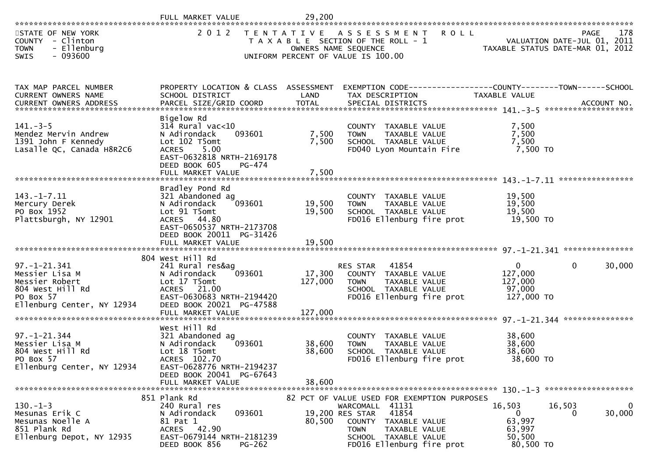|                                                                                                                                                                                               | FULL MARKET VALUE                                                                                                                                                                | 29,200                                    |                                                                                                                                                                                                            |                                                                   |                                                                                |
|-----------------------------------------------------------------------------------------------------------------------------------------------------------------------------------------------|----------------------------------------------------------------------------------------------------------------------------------------------------------------------------------|-------------------------------------------|------------------------------------------------------------------------------------------------------------------------------------------------------------------------------------------------------------|-------------------------------------------------------------------|--------------------------------------------------------------------------------|
| STATE OF NEW YORK<br>COUNTY - Clinton<br>- Ellenburg<br><b>TOWN</b><br>$-093600$<br>SWIS                                                                                                      | 2 0 1 2                                                                                                                                                                          | T E N T A T I V E<br>OWNERS NAME SEQUENCE | <b>ROLL</b><br>A S S E S S M E N T<br>T A X A B L E SECTION OF THE ROLL - 1<br>UNIFORM PERCENT OF VALUE IS 100.00                                                                                          |                                                                   | 178<br>PAGE<br>VALUATION DATE-JUL 01, 2011<br>TAXABLE STATUS DATE-MAR 01, 2012 |
| TAX MAP PARCEL NUMBER<br>CURRENT OWNERS NAME<br>.4CCOUNT NO . PARCEL SIZE/GRID COORD TOTAL SPECIAL DISTRICTS SPERE SERVIT MO . ACCOUNT NO . AND ARCEL SIZE/GRID COORD TOTAL SPECIAL DISTRICTS | SCHOOL DISTRICT                                                                                                                                                                  | LAND                                      | PROPERTY LOCATION & CLASS ASSESSMENT EXEMPTION CODE----------------COUNTY-------TOWN------SCHOOL<br>TAX DESCRIPTION                                                                                        | TAXABLE VALUE                                                     |                                                                                |
| $141. - 3 - 5$<br>Mendez Mervin Andrew<br>1391 John F Kennedy<br>Lasalle QC, Canada H8R2C6                                                                                                    | Bigelow Rd<br>$314$ Rural vac<10<br>093601<br>N Adirondack<br>Lot 102 T5omt<br>5.00<br><b>ACRES</b><br>EAST-0632818 NRTH-2169178<br>DEED BOOK 605<br>PG-474<br>FULL MARKET VALUE | 7,500<br>7,500<br>7,500                   | COUNTY TAXABLE VALUE<br><b>TOWN</b><br>TAXABLE VALUE<br>SCHOOL TAXABLE VALUE<br>FD040 Lyon Mountain Fire                                                                                                   | 7,500<br>7,500<br>7,500<br>7,500 TO                               |                                                                                |
| $143. - 1 - 7.11$<br>Mercury Derek<br>PO Box 1952<br>Plattsburgh, NY 12901                                                                                                                    | Bradley Pond Rd<br>321 Abandoned ag<br>093601<br>N Adirondack<br>Lot 91 T5omt<br>ACRES 44.80<br>EAST-0650537 NRTH-2173708<br>DEED BOOK 20011 PG-31426                            | 19,500<br>19,500                          | COUNTY TAXABLE VALUE<br><b>TOWN</b><br>TAXABLE VALUE<br>SCHOOL TAXABLE VALUE<br>FD016 Ellenburg fire prot                                                                                                  | 19,500<br>19,500<br>19,500<br>19,500 TO                           |                                                                                |
|                                                                                                                                                                                               |                                                                                                                                                                                  |                                           |                                                                                                                                                                                                            |                                                                   |                                                                                |
| $97. - 1 - 21.341$<br>Messier Lisa M<br>Messier Robert<br>804 West Hill Rd<br>PO Box 57<br>Ellenburg Center, NY 12934                                                                         | 804 West Hill Rd<br>241 Rural res&ag<br>093601<br>N Adirondack<br>Lot 17 T5omt<br>ACRES 21.00<br>EAST-0630683 NRTH-2194420<br>DEED BOOK 20021 PG-47588<br>FULL MARKET VALUE      | 17,300<br>127,000<br>127,000              | 41854<br>RES STAR<br>COUNTY TAXABLE VALUE<br><b>TOWN</b><br>TAXABLE VALUE<br>SCHOOL TAXABLE VALUE<br>FD016 Ellenburg fire prot                                                                             | $\mathbf 0$<br>127,000<br>127,000<br>97,000<br>127,000 TO         | 0<br>30,000                                                                    |
|                                                                                                                                                                                               |                                                                                                                                                                                  |                                           |                                                                                                                                                                                                            |                                                                   |                                                                                |
| $97. - 1 - 21.344$<br>Messier Lisa M<br>804 West Hill Rd<br>PO Box 57<br>Ellenburg Center, NY 12934                                                                                           | West Hill Rd<br>321 Abandoned ag<br>N Adirondack<br>093601<br>Lot 18 T5omt<br>ACRES 102.70<br>EAST-0628776 NRTH-2194237                                                          | 38,600<br>38,600                          | COUNTY TAXABLE VALUE<br>TAXABLE VALUE<br><b>TOWN</b><br>SCHOOL TAXABLE VALUE<br>FD016 Ellenburg fire prot                                                                                                  | 38,600<br>38,600<br>38,600<br>38,600 TO                           |                                                                                |
|                                                                                                                                                                                               | DEED BOOK 20041 PG-67643<br>FULL MARKET VALUE                                                                                                                                    | 38,600                                    |                                                                                                                                                                                                            |                                                                   |                                                                                |
|                                                                                                                                                                                               |                                                                                                                                                                                  |                                           |                                                                                                                                                                                                            |                                                                   |                                                                                |
| $130.-1-3$<br>Mesunas Erik C<br>Mesunas Noelle A<br>851 Plank Rd<br>Ellenburg Depot, NY 12935                                                                                                 | 851 Plank Rd<br>240 Rural res<br>093601<br>N Adirondack<br>81 Pat 1<br>ACRES 42.90<br>EAST-0679144 NRTH-2181239<br>DEED BOOK 856<br>$PG-262$                                     | 80,500                                    | 82 PCT OF VALUE USED FOR EXEMPTION PURPOSES<br>WARCOMALL 41131<br>41854<br>19,200 RES STAR<br>COUNTY<br>TAXABLE VALUE<br><b>TOWN</b><br>TAXABLE VALUE<br>SCHOOL TAXABLE VALUE<br>FD016 Ellenburg fire prot | 16,503<br>$\mathbf{0}$<br>63,997<br>63,997<br>50,500<br>80,500 TO | $\overline{0}$<br>16,503<br>30,000<br>0                                        |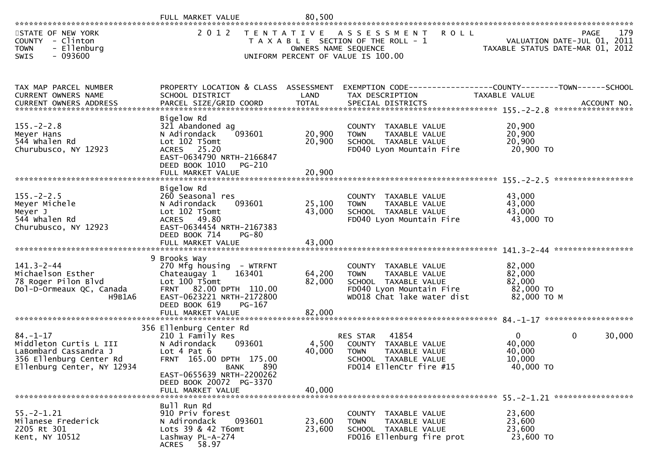|                                                                                                                                                                                                                                   | FULL MARKET VALUE                                                                                                                                                                                                  | 80,500                     |                                                                                                                                        |                                                           |                                                                                       |
|-----------------------------------------------------------------------------------------------------------------------------------------------------------------------------------------------------------------------------------|--------------------------------------------------------------------------------------------------------------------------------------------------------------------------------------------------------------------|----------------------------|----------------------------------------------------------------------------------------------------------------------------------------|-----------------------------------------------------------|---------------------------------------------------------------------------------------|
| STATE OF NEW YORK<br>COUNTY - Clinton<br><b>TOWN</b><br>- Ellenburg<br>$-093600$<br><b>SWIS</b>                                                                                                                                   | 2 0 1 2                                                                                                                                                                                                            | OWNERS NAME SEQUENCE       | TENTATIVE ASSESSMENT<br><b>ROLL</b><br>T A X A B L E SECTION OF THE ROLL - 1<br>UNIFORM PERCENT OF VALUE IS 100.00                     |                                                           | 179<br><b>PAGE</b><br>VALUATION DATE-JUL 01, 2011<br>TAXABLE STATUS DATE-MAR 01, 2012 |
| TAX MAP PARCEL NUMBER<br>CURRENT OWNERS NAME<br>.46CCOUNT NO . PARCEL SIZE/GRID COORD TOTAL SPECIAL DISTRICTS . ACCOUNT NO . ACCOUNT NO . ANN . AND RESS . ARRENT OWNERS ADDRESS . PARCEL SIZE/GRID COORD TOTAL SPECIAL DISTRICTS | PROPERTY LOCATION & CLASS ASSESSMENT<br>SCHOOL DISTRICT                                                                                                                                                            | LAND                       | EXEMPTION CODE------------------COUNTY--------TOWN------SCHOOL<br>TAX DESCRIPTION                                                      | TAXABLE VALUE                                             |                                                                                       |
| $155. - 2 - 2.8$<br>Meyer Hans<br>544 whalen Rd<br>Churubusco, NY 12923                                                                                                                                                           | Bigelow Rd<br>321 Abandoned ag<br>093601<br>N Adirondack<br>Lot 102 T5omt<br>ACRES 25.20<br>EAST-0634790 NRTH-2166847<br>DEED BOOK 1010<br>PG-210<br>FULL MARKET VALUE                                             | 20,900<br>20,900<br>20,900 | COUNTY TAXABLE VALUE<br>TAXABLE VALUE<br><b>TOWN</b><br>SCHOOL TAXABLE VALUE<br>FD040 Lyon Mountain Fire                               | 20,900<br>20,900<br>20,900<br>20,900 TO                   |                                                                                       |
| $155. - 2 - 2.5$<br>Meyer Michele<br>Meyer J<br>544 whalen Rd<br>Churubusco, NY 12923                                                                                                                                             | Bigelow Rd<br>260 Seasonal res<br>093601<br>N Adirondack<br>Lot 102 T5omt<br>ACRES 49.80<br>EAST-0634454 NRTH-2167383<br>DEED BOOK 714<br><b>PG-80</b><br>FULL MARKET VALUE                                        | 25,100<br>43,000<br>43,000 | COUNTY TAXABLE VALUE<br>TAXABLE VALUE<br><b>TOWN</b><br>SCHOOL TAXABLE VALUE<br>FD040 Lyon Mountain Fire                               | 43,000<br>43,000<br>43,000<br>43,000 TO                   |                                                                                       |
| $141.3 - 2 - 44$<br>Michaelson Esther<br>78 Roger Pilon Blvd<br>Dol-D-Ormeaux QC, Canada<br><b>H9B1A6</b>                                                                                                                         | 9 Brooks Way<br>270 Mfg housing - WTRFNT<br>Chateaugay 1<br>163401<br>Lot 100 T5omt<br>FRNT 82.00 DPTH 110.00<br>EAST-0623221 NRTH-2172800<br>PG-167<br>DEED BOOK 619<br>FULL MARKET VALUE                         | 64,200<br>82,000<br>82,000 | COUNTY TAXABLE VALUE<br>TAXABLE VALUE<br><b>TOWN</b><br>SCHOOL TAXABLE VALUE<br>FD040 Lyon Mountain Fire<br>WD018 Chat lake water dist | 82,000<br>82,000<br>82,000<br>82,000 TO<br>82,000 ТО М    | *****************                                                                     |
| $84. - 1 - 17$<br>Middleton Curtis L III<br>LaBombard Cassandra J<br>356 Ellenburg Center Rd<br>Ellenburg Center, NY 12934                                                                                                        | 356 Ellenburg Center Rd<br>210 1 Family Res<br>N Adirondack<br>093601<br>Lot 4 Pat 6<br>FRNT 165.00 DPTH 175.00<br><b>BANK</b><br>890<br>EAST-0655639 NRTH-2200262<br>DEED BOOK 20072 PG-3370<br>FULL MARKET VALUE | 4,500<br>40,000<br>40,000  | 41854<br>RES STAR<br>COUNTY TAXABLE VALUE<br><b>TOWN</b><br>TAXABLE VALUE<br>SCHOOL TAXABLE VALUE<br>FD014 EllenCtr fire #15           | $\overline{0}$<br>40,000<br>40,000<br>10,000<br>40,000 TO | 30,000<br>$\mathbf{0}$                                                                |
| $55. - 2 - 1.21$<br>Milanese Frederick<br>2205 Rt 301<br>Kent, NY 10512                                                                                                                                                           | Bull Run Rd<br>910 Priv forest<br>N Adirondack<br>093601<br>Lots 39 & 42 T6omt<br>Lashway PL-A-274<br>ACRES 58.97                                                                                                  | 23,600<br>23,600           | COUNTY TAXABLE VALUE<br><b>TOWN</b><br>TAXABLE VALUE<br>SCHOOL TAXABLE VALUE<br>FD016 Ellenburg fire prot                              | 23,600<br>23,600<br>23,600<br>23,600 TO                   |                                                                                       |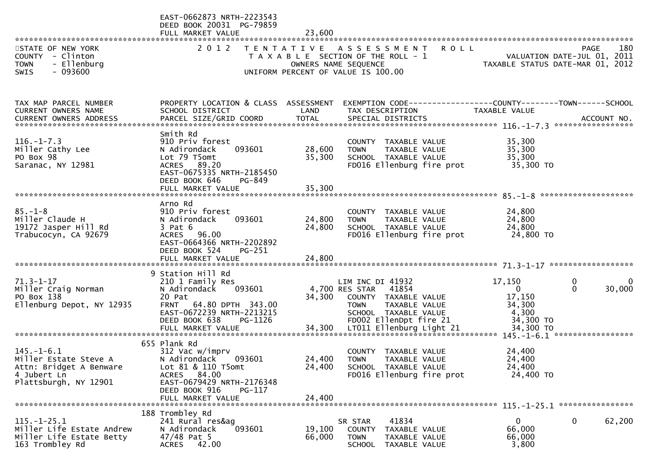|                                                                     | EAST-0662873 NRTH-2223543<br>DEED BOOK 20031 PG-79859<br>FULL MARKET VALUE | 23,600 |                                                                                                      |                                                                 |                                                   |
|---------------------------------------------------------------------|----------------------------------------------------------------------------|--------|------------------------------------------------------------------------------------------------------|-----------------------------------------------------------------|---------------------------------------------------|
| STATE OF NEW YORK<br>COUNTY - Clinton<br>- Ellenburg<br><b>TOWN</b> | 2 0 1 2                                                                    |        | TENTATIVE ASSESSMENT<br><b>ROLL</b><br>T A X A B L E SECTION OF THE ROLL - 1<br>OWNERS NAME SEQUENCE | VALUATION DATE-JUL 01, 2011<br>TAXABLE STATUS DATE-MAR 01, 2012 | 180<br><b>PAGE</b><br>VALUATION DATE-JUL 01, 2011 |
| $-093600$<br>SWIS                                                   |                                                                            |        | UNIFORM PERCENT OF VALUE IS 100.00                                                                   |                                                                 |                                                   |
| TAX MAP PARCEL NUMBER<br>CURRENT OWNERS NAME                        | PROPERTY LOCATION & CLASS ASSESSMENT<br>SCHOOL DISTRICT                    | LAND   | EXEMPTION CODE------------------COUNTY--------TOWN------SCHOOL<br>TAX DESCRIPTION                    | TAXABLE VALUE                                                   |                                                   |
|                                                                     |                                                                            |        |                                                                                                      |                                                                 |                                                   |
| $116. - 1 - 7.3$<br>Miller Cathy Lee                                | Smith Rd<br>910 Priv forest<br>093601<br>N Adirondack                      | 28,600 | COUNTY TAXABLE VALUE<br>TAXABLE VALUE<br><b>TOWN</b>                                                 | 35,300<br>35,300                                                |                                                   |
| PO Box 98                                                           | Lot 79 T5omt                                                               | 35,300 | SCHOOL TAXABLE VALUE                                                                                 | 35,300                                                          |                                                   |
| Saranac, NY 12981                                                   | ACRES 89.20<br>EAST-0675335 NRTH-2185450<br>DEED BOOK 646<br>PG-849        |        | FD016 Ellenburg fire prot                                                                            | 35,300 TO                                                       |                                                   |
|                                                                     | FULL MARKET VALUE                                                          | 35,300 |                                                                                                      |                                                                 |                                                   |
|                                                                     | Arno Rd                                                                    |        |                                                                                                      |                                                                 |                                                   |
| $85. - 1 - 8$<br>Miller Claude H                                    | 910 Priv forest<br>N Adirondack<br>093601                                  | 24,800 | COUNTY TAXABLE VALUE<br>TAXABLE VALUE<br><b>TOWN</b>                                                 | 24,800<br>24,800                                                |                                                   |
| 19172 Jasper Hill Rd                                                | $3$ Pat $6$                                                                | 24,800 | SCHOOL TAXABLE VALUE                                                                                 | 24,800                                                          |                                                   |
| Trabucocyn, CA 92679                                                | ACRES 96.00<br>EAST-0664366 NRTH-2202892                                   |        | FD016 Ellenburg fire prot                                                                            | 24,800 TO                                                       |                                                   |
|                                                                     | DEED BOOK 524<br>PG-251                                                    |        |                                                                                                      |                                                                 |                                                   |
|                                                                     | FULL MARKET VALUE                                                          | 24,800 |                                                                                                      |                                                                 |                                                   |
|                                                                     | 9 Station Hill Rd                                                          |        |                                                                                                      |                                                                 |                                                   |
| $71.3 - 1 - 17$                                                     | 210 1 Family Res                                                           |        | LIM INC DI 41932                                                                                     | 17,150                                                          | 0<br>0                                            |
| Miller Craig Norman<br>PO Box 138                                   | 093601<br>N Adirondack<br>20 Pat                                           | 34,300 | 4,700 RES STAR<br>41854<br>COUNTY TAXABLE VALUE                                                      | $\mathbf{0}$<br>17,150                                          | $\Omega$<br>30,000                                |
| Ellenburg Depot, NY 12935                                           | FRNT 64.80 DPTH 343.00                                                     |        | <b>TOWN</b><br>TAXABLE VALUE                                                                         | 34,300                                                          |                                                   |
|                                                                     | EAST-0672239 NRTH-2213215                                                  |        | SCHOOL TAXABLE VALUE                                                                                 | 4,300                                                           |                                                   |
|                                                                     | DEED BOOK 638<br>PG-1126                                                   |        | FD002 EllenDpt fire 21                                                                               | 34,300 TO                                                       |                                                   |
|                                                                     |                                                                            |        |                                                                                                      |                                                                 |                                                   |
|                                                                     | 655 Plank Rd                                                               |        |                                                                                                      |                                                                 |                                                   |
| $145. - 1 - 6.1$<br>Miller Estate Steve A                           | 312 Vac w/imprv<br>N Adirondack<br>093601                                  | 24,400 | COUNTY TAXABLE VALUE<br><b>TOWN</b><br>TAXABLE VALUE                                                 | 24,400<br>24,400                                                |                                                   |
| Attn: Bridget A Benware                                             | Lot 81 & 110 T5omt                                                         | 24,400 | SCHOOL TAXABLE VALUE                                                                                 | 24,400                                                          |                                                   |
| 4 Jubert Ln                                                         | 84.00<br>ACRES                                                             |        | FD016 Ellenburg fire prot                                                                            | 24,400 TO                                                       |                                                   |
| Plattsburgh, NY 12901                                               | EAST-0679429 NRTH-2176348<br>DEED BOOK 916<br>PG-117                       |        |                                                                                                      |                                                                 |                                                   |
|                                                                     | FULL MARKET VALUE                                                          | 24,400 |                                                                                                      |                                                                 |                                                   |
| $115. - 1 - 25.1$                                                   | 188 Trombley Rd<br>241 Rural res&ag                                        |        | 41834<br>SR STAR                                                                                     | $\bf{0}$                                                        | 62,200<br>0                                       |
| Miller Life Estate Andrew                                           | 093601<br>N Adirondack                                                     | 19,100 | TAXABLE VALUE<br>COUNTY                                                                              | 66,000                                                          |                                                   |
| Miller Life Estate Betty<br>163 Trombley Rd                         | $47/48$ Pat 5<br>42.00<br><b>ACRES</b>                                     | 66,000 | <b>TOWN</b><br>TAXABLE VALUE<br>SCHOOL TAXABLE VALUE                                                 | 66,000<br>3,800                                                 |                                                   |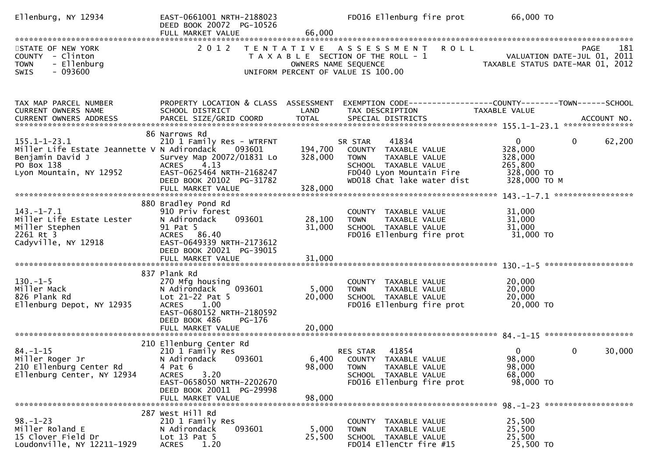| Ellenburg, NY 12934                                                                                                            | EAST-0661001 NRTH-2188023<br>DEED BOOK 20072 PG-10526<br>FULL MARKET VALUE                                                                                                              | 66,000                        | FD016 Ellenburg fire prot                                                                                                                                  | 66,000 TO                                                                                    |        |
|--------------------------------------------------------------------------------------------------------------------------------|-----------------------------------------------------------------------------------------------------------------------------------------------------------------------------------------|-------------------------------|------------------------------------------------------------------------------------------------------------------------------------------------------------|----------------------------------------------------------------------------------------------|--------|
| STATE OF NEW YORK<br>COUNTY - Clinton<br>- Ellenburg<br><b>TOWN</b><br>$-093600$<br>SWIS                                       |                                                                                                                                                                                         |                               | 2012 TENTATIVE ASSESSMENT ROLL<br>T A X A B L E SECTION OF THE ROLL - 1<br>OWNERS NAME SEQUENCE<br>UNIFORM PERCENT OF VALUE IS 100.00                      | <b>PAGE</b><br>VALUATION DATE-JUL 01, 2011<br>TAXABLE STATUS DATE-MAR 01, 2012               | 181    |
| TAX MAP PARCEL NUMBER<br>CURRENT OWNERS NAME                                                                                   | PROPERTY LOCATION & CLASS ASSESSMENT<br>SCHOOL DISTRICT                                                                                                                                 | LAND                          | TAX DESCRIPTION                                                                                                                                            | EXEMPTION CODE------------------COUNTY--------TOWN------SCHOOL<br>TAXABLE VALUE              |        |
| $155.1 - 1 - 23.1$<br>Miller Life Estate Jeannette V N Adirondack<br>Benjamin David J<br>PO Box 138<br>Lyon Mountain, NY 12952 | 86 Narrows Rd<br>210 1 Family Res - WTRFNT<br>093601<br>Survey Map 20072/01831 Lo<br>4.13<br><b>ACRES</b><br>EAST-0625464 NRTH-2168247<br>DEED BOOK 20102 PG-31782<br>FULL MARKET VALUE | 194,700<br>328,000<br>328,000 | 41834<br>SR STAR<br>COUNTY TAXABLE VALUE<br>TAXABLE VALUE<br><b>TOWN</b><br>SCHOOL TAXABLE VALUE<br>FD040 Lyon Mountain Fire<br>WD018 Chat lake water dist | $\overline{0}$<br>$\mathbf 0$<br>328,000<br>328,000<br>265,800<br>328,000 TO<br>328,000 ТО М | 62,200 |
| $143. - 1 - 7.1$<br>Miller Life Estate Lester<br>Miller Stephen<br>2261 Rt 3<br>Cadyville, NY 12918                            | 880 Bradley Pond Rd<br>910 Priv forest<br>N Adirondack<br>093601<br>91 Pat 5<br>ACRES 86.40<br>EAST-0649339 NRTH-2173612<br>DEED BOOK 20021 PG-39015                                    | 28,100<br>31,000              | COUNTY TAXABLE VALUE<br>TAXABLE VALUE<br><b>TOWN</b><br>SCHOOL TAXABLE VALUE<br>FD016 Ellenburg fire prot                                                  | 31,000<br>31,000<br>31,000<br>31,000 TO                                                      |        |
| $130. - 1 - 5$<br>Miller Mack<br>826 Plank Rd<br>Ellenburg Depot, NY 12935                                                     | 837 Plank Rd<br>270 Mfg housing<br>093601<br>N Adirondack<br>Lot 21-22 Pat 5<br>ACRES 1.00<br>EAST-0680152 NRTH-2180592<br>DEED BOOK 486<br>PG-176<br>FULL MARKET VALUE                 | 5,000<br>20,000<br>20,000     | COUNTY TAXABLE VALUE<br>TAXABLE VALUE<br><b>TOWN</b><br>SCHOOL TAXABLE VALUE<br>FD016 Ellenburg fire prot                                                  | 20,000<br>20,000<br>20,000<br>20,000 TO                                                      |        |
| $84. - 1 - 15$<br>Miller Roger Jr<br>210 Ellenburg Center Rd<br>Ellenburg Center, NY 12934                                     | 210 Ellenburg Center Rd<br>210 1 Family Res<br>093601<br>N Adirondack<br>4 Pat 6<br>3.20<br><b>ACRES</b><br>EAST-0658050 NRTH-2202670<br>DEED BOOK 20011 PG-29998<br>FULL MARKET VALUE  | 98,000<br>98,000              | <b>RES STAR 41854</b><br>6,400 COUNTY TAXABLE VALUE<br><b>TOWN</b><br>TAXABLE VALUE<br>SCHOOL TAXABLE VALUE<br>FD016 Ellenburg fire prot                   | $\mathbf 0$<br>$\overline{0}$<br>98,000<br>98,000<br>68,000<br>98,000 TO                     | 30,000 |
| $98. - 1 - 23$<br>Miller Roland E<br>15 Clover Field Dr<br>Loudonville, NY 12211-1929                                          | 287 West Hill Rd<br>210 1 Family Res<br>093601<br>N Adirondack<br>Lot $13$ Pat $5$<br><b>ACRES</b><br>1.20                                                                              | 5,000<br>25,500               | COUNTY TAXABLE VALUE<br>TAXABLE VALUE<br><b>TOWN</b><br>SCHOOL TAXABLE VALUE<br>FD014 EllenCtr fire #15                                                    | 25,500<br>25,500<br>25,500<br>25,500 TO                                                      |        |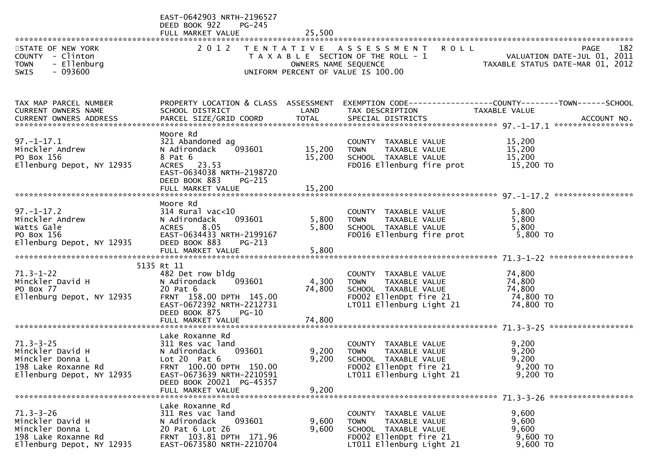|                                                                                                             | EAST-0642903 NRTH-2196527<br>DEED BOOK 922<br>PG-245<br>FULL MARKET VALUE                                                                                                                  | 25,500                  |                                                                                                                                    |                                                                                                                                                               |
|-------------------------------------------------------------------------------------------------------------|--------------------------------------------------------------------------------------------------------------------------------------------------------------------------------------------|-------------------------|------------------------------------------------------------------------------------------------------------------------------------|---------------------------------------------------------------------------------------------------------------------------------------------------------------|
| STATE OF NEW YORK<br>COUNTY - Clinton<br><b>TOWN</b><br>- Ellenburg<br>$-093600$<br><b>SWIS</b>             |                                                                                                                                                                                            |                         | 2012 TENTATIVE ASSESSMENT ROLL<br>UNIFORM PERCENT OF VALUE IS 100.00                                                               | 182<br><b>PAGE</b><br>T A X A B L E SECTION OF THE ROLL - 1<br>T A X A B L E SECTION OF THE ROLL - 1<br>OWNERS NAME SEQUENCE TAXABLE STATUS DATE-MAR 01, 2012 |
| TAX MAP PARCEL NUMBER<br><b>CURRENT OWNERS NAME</b>                                                         | SCHOOL DISTRICT                                                                                                                                                                            | LAND                    | TAX DESCRIPTION                                                                                                                    | PROPERTY LOCATION & CLASS ASSESSMENT EXEMPTION CODE----------------COUNTY--------TOWN------SCHOOL<br>TAXABLE VALUE                                            |
| $97. - 1 - 17.1$<br>Minckler Andrew<br>PO Box 156<br>Ellenburg Depot, NY 12935                              | Moore Rd<br>321 Abandoned ag<br>093601<br>N Adirondack<br>8 Pat 6<br>ACRES 23.53<br>EAST-0634038 NRTH-2198720<br>DEED BOOK 883<br>$PG-215$                                                 | 15,200<br>15,200        | COUNTY TAXABLE VALUE<br><b>TOWN</b><br>TAXABLE VALUE<br>SCHOOL TAXABLE VALUE<br>FD016 Ellenburg fire prot                          | 15,200<br>15,200<br>15,200<br>15,200 TO                                                                                                                       |
| $97. - 1 - 17.2$<br>Minckler Andrew<br>Watts Gale<br>PO Box 156<br>Ellenburg Depot, NY 12935                | Moore Rd<br>$314$ Rural vac< $10$<br>093601<br>N Adirondack<br>8.05<br>ACRES<br>EAST-0634433 NRTH-2199167<br>DEED BOOK 883<br>$PG-213$                                                     | 5,800<br>5,800          | COUNTY TAXABLE VALUE<br>TAXABLE VALUE<br><b>TOWN</b><br>SCHOOL TAXABLE VALUE<br>FD016 Ellenburg fire prot                          | 5,800<br>5,800<br>5,800<br>5,800 TO                                                                                                                           |
| $71.3 - 1 - 22$<br>Minckler David H<br>PO Box 77<br>Ellenburg Depot, NY 12935                               | 5135 Rt 11<br>482 Det row bldg<br>093601<br>N Adirondack<br>20 Pat 6<br>FRNT 158.00 DPTH 145.00<br>EAST-0672392 NRTH-2212731<br>DEED BOOK 875<br>PG-10                                     | 4,300<br>74,800         | COUNTY TAXABLE VALUE<br><b>TOWN</b><br>TAXABLE VALUE<br>SCHOOL TAXABLE VALUE<br>FD002 EllenDpt fire 21<br>LT011 Ellenburg Light 21 | 74,800<br>74,800<br>74,800<br>74,800 TO<br>74,800 TO                                                                                                          |
| $71.3 - 3 - 25$<br>Minckler David H<br>Minckler Donna L<br>198 Lake Roxanne Rd<br>Ellenburg Depot, NY 12935 | Lake Roxanne Rd<br>311 Res vac land<br>093601<br>N Adirondack<br>Lot $20$ Pat $6$<br>FRNT 100.00 DPTH 150.00<br>EAST-0673639 NRTH-2210591<br>DEED BOOK 20021 PG-45357<br>FULL MARKET VALUE | 9,200<br>9,200<br>9,200 | COUNTY TAXABLE VALUE<br>TAXABLE VALUE<br><b>TOWN</b><br>SCHOOL TAXABLE VALUE<br>FD002 EllenDpt fire 21<br>LT011 Ellenburg Light 21 | 9,200<br>9,200<br>9,200<br>$9,200$ TO<br>9,200 TO                                                                                                             |
| $71.3 - 3 - 26$<br>Minckler David H<br>Minckler Donna L<br>198 Lake Roxanne Rd<br>Ellenburg Depot, NY 12935 | Lake Roxanne Rd<br>311 Res vac land<br>093601<br>N Adirondack<br>20 Pat 6 Lot 26<br>FRNT 103.81 DPTH 171.96<br>EAST-0673580 NRTH-2210704                                                   | 9,600<br>9,600          | COUNTY TAXABLE VALUE<br>TAXABLE VALUE<br><b>TOWN</b><br>SCHOOL TAXABLE VALUE<br>FD002 EllenDpt fire 21<br>LT011 Ellenburg Light 21 | 9,600<br>9,600<br>9,600<br>9,600 TO<br>9,600 TO                                                                                                               |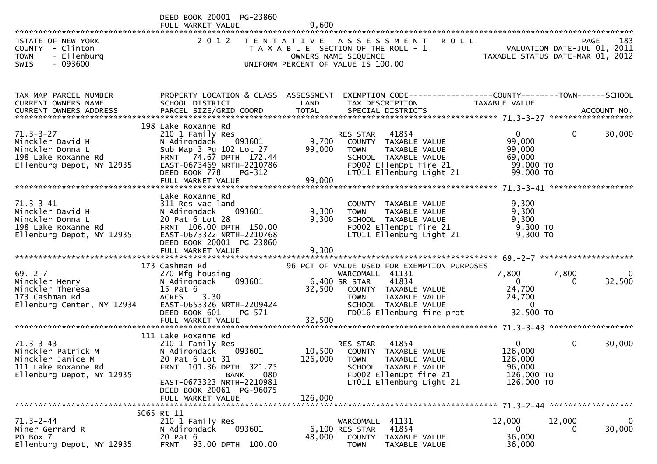|                                                                                                                | DEED BOOK 20001 PG-23860<br>FULL MARKET VALUE                                                                                                                                                              | 9,600                     |                                                                                                                                                                 |                                                                      |                                      |
|----------------------------------------------------------------------------------------------------------------|------------------------------------------------------------------------------------------------------------------------------------------------------------------------------------------------------------|---------------------------|-----------------------------------------------------------------------------------------------------------------------------------------------------------------|----------------------------------------------------------------------|--------------------------------------|
| STATE OF NEW YORK<br>COUNTY - Clinton<br><b>TOWN</b><br>- Ellenburg<br><b>SWIS</b><br>- 093600                 | 2 0 1 2                                                                                                                                                                                                    |                           | TENTATIVE ASSESSMENT<br><b>ROLL</b><br>T A X A B L E SECTION OF THE ROLL - 1<br>OWNERS NAME SEQUENCE<br>UNIFORM PERCENT OF VALUE IS 100.00                      | VALUATION DATE-JUL 01, 2011<br>TAXABLE STATUS DATE-MAR 01, 2012      | 183<br><b>PAGE</b>                   |
|                                                                                                                |                                                                                                                                                                                                            |                           |                                                                                                                                                                 |                                                                      |                                      |
| TAX MAP PARCEL NUMBER<br>CURRENT OWNERS NAME                                                                   | PROPERTY LOCATION & CLASS ASSESSMENT<br>SCHOOL DISTRICT                                                                                                                                                    | LAND                      | EXEMPTION CODE-----------------COUNTY--------TOWN------SCHOOL<br>TAX DESCRIPTION                                                                                | TAXABLE VALUE                                                        |                                      |
| $71.3 - 3 - 27$<br>Minckler David H<br>Minckler Donna L<br>198 Lake Roxanne Rd<br>Ellenburg Depot, NY 12935    | 198 Lake Roxanne Rd<br>210 1 Family Res<br>N Adirondack 093601<br>Sub Map 3 Pg 102 Lot 27<br>74.67 DPTH 172.44<br><b>FRNT</b><br>EAST-0673469 NRTH-2210786<br>DEED BOOK 778<br>PG-312<br>FULL MARKET VALUE | 9,700<br>99,000<br>99,000 | RES STAR<br>41854<br>COUNTY TAXABLE VALUE<br>TAXABLE VALUE<br><b>TOWN</b><br>SCHOOL TAXABLE VALUE<br>FD002 EllenDpt fire 21<br>LT011 Ellenburg Light 21         | $\mathbf{0}$<br>99,000<br>99,000<br>69,000<br>99,000 TO<br>99,000 TO | 0<br>30,000                          |
| $71.3 - 3 - 41$<br>Minckler David H<br>Minckler Donna L<br>198 Lake Roxanne Rd<br>Ellenburg Depot, NY 12935    | Lake Roxanne Rd<br>311 Res vac land<br>093601<br>N Adirondack<br>20 Pat 6 Lot 28<br>FRNT 106.00 DPTH 150.00<br>EAST-0673322 NRTH-2210768<br>DEED BOOK 20001 PG-23860                                       | 9,300<br>9,300            | COUNTY TAXABLE VALUE<br>TAXABLE VALUE<br><b>TOWN</b><br>SCHOOL TAXABLE VALUE<br>FD002 EllenDpt fire 21<br>LT011 Ellenburg Light 21                              | 9,300<br>9,300<br>9,300<br>9,300 TO<br>9,300 TO                      |                                      |
|                                                                                                                | 173 Cashman Rd                                                                                                                                                                                             |                           | 96 PCT OF VALUE USED FOR EXEMPTION PURPOSES                                                                                                                     |                                                                      |                                      |
| $69 - 2 - 7$<br>Minckler Henry<br>Minckler Theresa<br>173 Cashman Rd<br>Ellenburg Center, NY 12934             | 270 Mfg housing<br>093601<br>N Adirondack<br>15 Pat 6<br><b>ACRES</b><br>3.30<br>EAST-0653326 NRTH-2209424<br>DEED BOOK 601<br>PG-571                                                                      | 32,500                    | WARCOMALL 41131<br>6,400 SR STAR<br>41834<br>COUNTY TAXABLE VALUE<br><b>TOWN</b><br>TAXABLE VALUE<br>SCHOOL TAXABLE VALUE<br>FD016 Ellenburg fire prot          | 7,800<br>$\Omega$<br>24,700<br>24,700<br>$\mathbf{0}$<br>32,500 TO   | 7,800<br>0<br>32,500<br>$\Omega$     |
|                                                                                                                | FULL MARKET VALUE                                                                                                                                                                                          | 32,500                    |                                                                                                                                                                 |                                                                      |                                      |
| $71.3 - 3 - 43$<br>Minckler Patrick M<br>Minckler Janice M<br>111 Lake Roxanne Rd<br>Ellenburg Depot, NY 12935 | 111 Lake Roxanne Rd<br>210 1 Family Res<br>093601<br>N Adirondack<br>20 Pat 6 Lot 31<br>FRNT 101.36 DPTH 321.75<br>080<br><b>BANK</b><br>EAST-0673323 NRTH-2210981                                         |                           | 41854<br>RES STAR<br>10,500 COUNTY TAXABLE VALUE<br>126,000 TOWN<br>TAXABLE VALUE<br>SCHOOL TAXABLE VALUE<br>FD002 EllenDpt fire 21<br>LT011 Ellenburg Light 21 | $\Omega$<br>126,000<br>126,000<br>96,000<br>126,000 TO<br>126,000 TO | 0<br>30,000                          |
|                                                                                                                | DEED BOOK 20061 PG-96075<br>FULL MARKET VALUE                                                                                                                                                              | 126,000                   |                                                                                                                                                                 |                                                                      |                                      |
| $71.3 - 2 - 44$<br>Miner Gerrard R<br>PO Box 7<br>Ellenburg Depot, NY 12935                                    | 5065 Rt 11<br>210 1 Family Res<br>093601<br>N Adirondack<br>20 Pat 6<br>93.00 DPTH 100.00<br><b>FRNT</b>                                                                                                   | 48,000                    | 41131<br>WARCOMALL<br>6,100 RES STAR<br>41854<br><b>COUNTY</b><br>TAXABLE VALUE<br><b>TOWN</b><br>TAXABLE VALUE                                                 | 12,000<br>0<br>36,000<br>36,000                                      | $\mathbf 0$<br>12,000<br>30,000<br>0 |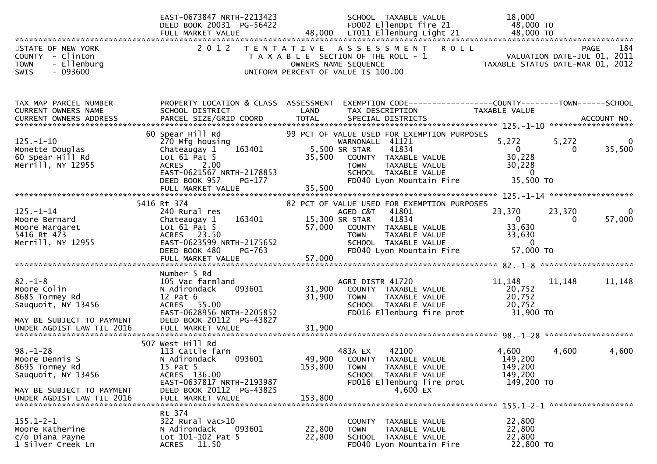|                                                                                                                                    | EAST-0673847 NRTH-2213423<br>DEED BOOK 20031 PG-56422                                                                                                                   | SCHOOL TAXABLE VALUE<br>FD002 EllenDpt fire 21                                                                                                                                                                           | 18,000<br>48,000 TO                                                                                                  |
|------------------------------------------------------------------------------------------------------------------------------------|-------------------------------------------------------------------------------------------------------------------------------------------------------------------------|--------------------------------------------------------------------------------------------------------------------------------------------------------------------------------------------------------------------------|----------------------------------------------------------------------------------------------------------------------|
| STATE OF NEW YORK<br>COUNTY - Clinton<br><b>TOWN</b><br>- Ellenburg<br>$-093600$<br>SWIS                                           | 2 0 1 2                                                                                                                                                                 | TENTATIVE ASSESSMENT ROLL<br>T A X A B L E SECTION OF THE ROLL - 1<br>OWNERS NAME SEQUENCE<br>UNIFORM PERCENT OF VALUE IS 100.00                                                                                         | PAGE<br>184<br>VALUATION DATE-JUL 01, 2011<br>TAXABLE STATUS DATE-MAR 01, 2012                                       |
| TAX MAP PARCEL NUMBER<br>CURRENT OWNERS NAME<br><b>CURRENT OWNERS ADDRESS</b>                                                      | PROPERTY LOCATION & CLASS ASSESSMENT<br>SCHOOL DISTRICT<br>PARCEL SIZE/GRID COORD                                                                                       | LAND<br>TAX DESCRIPTION<br><b>TOTAL</b><br>SPECIAL DISTRICTS                                                                                                                                                             | EXEMPTION CODE-----------------COUNTY--------TOWN------SCHOOL<br>TAXABLE VALUE<br>ACCOUNT NO.                        |
| $125. - 1 - 10$<br>Monette Douglas<br>60 Spear Hill Rd<br>Merrill, NY 12955                                                        | 60 Spear Hill Rd<br>270 Mfg housing<br>163401<br>Chateaugay 1<br>Lot $61$ Pat $5$<br>ACRES 2.00<br>EAST-0621567 NRTH-2178853<br>PG-177<br>DEED BOOK 957                 | 99 PCT OF VALUE USED FOR EXEMPTION PURPOSES<br>WARNONALL 41121<br>41834<br>5,500 SR STAR<br>35,500<br>COUNTY TAXABLE VALUE<br>TAXABLE VALUE<br><b>TOWN</b><br>SCHOOL TAXABLE VALUE<br>FD040 Lyon Mountain Fire           | 5,272<br>5,272<br>35,500<br>$\bf{0}$<br>$\Omega$<br>30,228<br>30,228<br>$\mathbf{0}$<br>35,500 TO                    |
| $125. - 1 - 14$<br>Moore Bernard<br>Moore Margaret<br>5416 Rt 473<br>Merrill, NY 12955                                             | 5416 Rt 374<br>240 Rural res<br>163401<br>Chateaugay 1<br>Lot $61$ Pat $5$<br>ACRES 23.50<br>EAST-0623599 NRTH-2175652<br>DEED BOOK 480<br>PG-763<br>FULL MARKET VALUE  | 82 PCT OF VALUE USED FOR EXEMPTION PURPOSES<br>AGED C&T<br>41801<br>15,300 SR STAR<br>41834<br>57,000 COUNTY TAXABLE VALUE<br>TAXABLE VALUE<br><b>TOWN</b><br>SCHOOL TAXABLE VALUE<br>FD040 Lyon Mountain Fire<br>57,000 | 23,370<br>23,370<br>0<br>57,000<br>$\mathbf{0}$<br>$\overline{0}$<br>33,630<br>33,630<br>$\overline{0}$<br>57,000 TO |
| $82 - 1 - 8$<br>Moore Colin<br>8685 Tormey Rd<br>Sauquoit, NY 13456<br>MAY BE SUBJECT TO PAYMENT                                   | Number 5 Rd<br>105 Vac farmland<br>093601<br>N Adirondack<br>$12$ Pat $6$<br>ACRES 55.00<br>EAST-0628956 NRTH-2205852<br>DEED BOOK 20112 PG-43827                       | AGRI DISTR 41720<br>31,900<br>COUNTY TAXABLE VALUE<br>31,900<br><b>TOWN</b><br>TAXABLE VALUE<br>SCHOOL TAXABLE VALUE<br>FD016 Ellenburg fire prot                                                                        | 11,148<br>11,148<br>11,148<br>20,752<br>20,752<br>20,752<br>31,900 TO                                                |
| $98. - 1 - 28$<br>Moore Dennis S<br>8695 Tormey Rd<br>Sauquoit, NY 13456<br>MAY BE SUBJECT TO PAYMENT<br>UNDER AGDIST LAW TIL 2016 | 507 West Hill Rd<br>113 Cattle farm<br>N Adirondack<br>093601<br>15 Pat 5<br>ACRES 136.00<br>EAST-0637817 NRTH-2193987<br>DEED BOOK 20112 PG-43825<br>FULL MARKET VALUE | 483A EX<br>42100<br>49,900<br>COUNTY TAXABLE VALUE<br>153,800<br>TAXABLE VALUE<br><b>TOWN</b><br>TAXABLE VALUE<br>SCHOOL<br>FD016 Ellenburg fire prot<br>4,600 EX<br>153,800                                             | 4,600<br>4,600<br>4,600<br>149,200<br>149,200<br>149,200<br>149,200 TO                                               |
| $155.1 - 2 - 1$<br>Moore Katherine<br>c/o Diana Payne<br>1 Silver Creek Ln                                                         | Rt 374<br>322 Rural vac>10<br>N Adirondack<br>093601<br>Lot 101-102 Pat 5<br>11.50<br><b>ACRES</b>                                                                      | TAXABLE VALUE<br>COUNTY<br>22,800<br><b>TOWN</b><br>TAXABLE VALUE<br>22,800<br>SCHOOL TAXABLE VALUE<br>FD040 Lyon Mountain Fire                                                                                          | 22,800<br>22,800<br>22,800<br>22,800 TO                                                                              |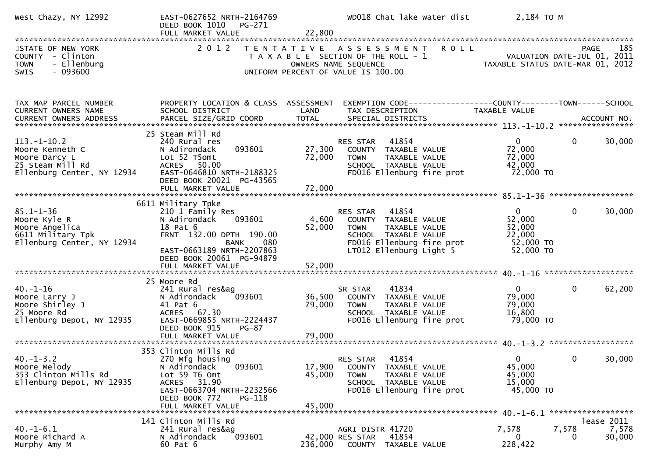| West Chazy, NY 12992                                                                                 | EAST-0627652 NRTH-2164769<br>DEED BOOK 1010 PG-271<br>FULL MARKET VALUE                                                                                                                                     | 22,800                     | WD018 Chat lake water dist                                                                                                                             | 2,184 TO M                                                             |                                                           |
|------------------------------------------------------------------------------------------------------|-------------------------------------------------------------------------------------------------------------------------------------------------------------------------------------------------------------|----------------------------|--------------------------------------------------------------------------------------------------------------------------------------------------------|------------------------------------------------------------------------|-----------------------------------------------------------|
| STATE OF NEW YORK<br>COUNTY - Clinton<br>- Ellenburg<br><b>TOWN</b><br>$-093600$<br>SWIS             | 2 0 1 2                                                                                                                                                                                                     |                            | TENTATIVE ASSESSMENT ROLL<br>T A X A B L E SECTION OF THE ROLL - 1<br>OWNERS NAME SEQUENCE<br>UNIFORM PERCENT OF VALUE IS 100.00                       | VALUATION DATE-JUL 01, 2011<br>TAXABLE STATUS DATE-MAR 01, 2012        | 185<br>PAGE                                               |
| TAX MAP PARCEL NUMBER<br>CURRENT OWNERS NAME                                                         | PROPERTY LOCATION & CLASS ASSESSMENT<br>SCHOOL DISTRICT                                                                                                                                                     | LAND                       | EXEMPTION CODE------------------COUNTY--------TOWN------SCHOOL<br>TAX DESCRIPTION                                                                      | TAXABLE VALUE                                                          |                                                           |
| $113.-1-10.2$<br>Moore Kenneth C<br>Moore Darcy L<br>25 Steam Mill Rd<br>Ellenburg Center, NY 12934  | 25 Steam Mill Rd<br>240 Rural res<br>093601<br>N Adirondack<br>Lot 52 T5omt<br>ACRES 50.00<br>EAST-0646810 NRTH-2188325<br>DEED BOOK 20021 PG-43565<br>FULL MARKET VALUE                                    | 27,300<br>72,000<br>72,000 | RES STAR<br>41854<br>COUNTY TAXABLE VALUE<br><b>TOWN</b><br>TAXABLE VALUE<br>SCHOOL TAXABLE VALUE<br>FD016 Ellenburg fire prot                         | $\mathbf{0}$<br>72,000<br>72,000<br>42,000<br>72,000 TO                | $\mathbf 0$<br>30,000                                     |
| $85.1 - 1 - 36$<br>Moore Kyle R<br>Moore Angelica<br>6611 Military Tpk<br>Ellenburg Center, NY 12934 | 6611 Military Tpke<br>210 1 Family Res<br>N Adirondack<br>093601<br>18 Pat 6<br>FRNT 132.00 DPTH 190.00<br><b>BANK</b><br>080<br>EAST-0663189 NRTH-2207863<br>DEED BOOK 20061 PG-94879<br>FULL MARKET VALUE | 4,600<br>52,000<br>52,000  | RES STAR 41854<br>COUNTY TAXABLE VALUE<br>TAXABLE VALUE<br><b>TOWN</b><br>SCHOOL TAXABLE VALUE<br>FD016 Ellenburg fire prot<br>LT012 Ellenburg Light 5 | $\overline{0}$<br>52,000<br>52,000<br>22,000<br>52,000 TO<br>52,000 TO | $\mathbf 0$<br>30,000                                     |
| $40. - 1 - 16$<br>Moore Larry J<br>Moore Shirley J<br>25 Moore Rd<br>Ellenburg Depot, NY 12935       | 25 Moore Rd<br>241 Rural res&ag<br>093601<br>N Adirondack<br>41 Pat 6<br>ACRES 67.30<br>EAST-0669855 NRTH-2224437<br>DEED BOOK 915<br>PG-87<br>FULL MARKET VALUE                                            | 36,500<br>79,000<br>79,000 | 41834<br>SR STAR<br>COUNTY TAXABLE VALUE<br>TAXABLE VALUE<br><b>TOWN</b><br>SCHOOL TAXABLE VALUE<br>FD016 Ellenburg fire prot                          | $\mathbf{0}$<br>79,000<br>79,000<br>16,800<br>79,000 TO                | 0<br>62,200                                               |
| $40. -1 - 3.2$<br>Moore Melody<br>353 Clinton Mills Rd<br>Ellenburg Depot, NY 12935                  | 353 Clinton Mills Rd<br>270 Mfg housing<br>093601<br>N Adirondack<br>Lot 59 T6 Omt<br>ACRES 31.90<br>EAST-0663704 NRTH-2232566<br>DEED BOOK 772<br>PG-118<br>FULL MARKET VALUE                              | 17,900<br>45,000<br>45,000 | 41854<br><b>RES STAR</b><br>COUNTY TAXABLE VALUE<br><b>TOWN</b><br>TAXABLE VALUE<br>SCHOOL TAXABLE VALUE<br>FD016 Ellenburg fire prot                  | $\Omega$<br>45,000<br>45,000<br>15,000<br>45,000 TO                    | 30,000<br>$\mathbf{0}$                                    |
| $40. -1 - 6.1$<br>Moore Richard A<br>Murphy Amy M                                                    | 141 Clinton Mills Rd<br>241 Rural res&ag<br>093601<br>N Adirondack<br>60 Pat 6                                                                                                                              | 236,000                    | AGRI DISTR 41720<br>42,000 RES STAR<br>41854<br>COUNTY TAXABLE VALUE                                                                                   | 7,578<br>7,578<br>0<br>228,422                                         | *******************<br>lease 2011<br>7,578<br>30,000<br>0 |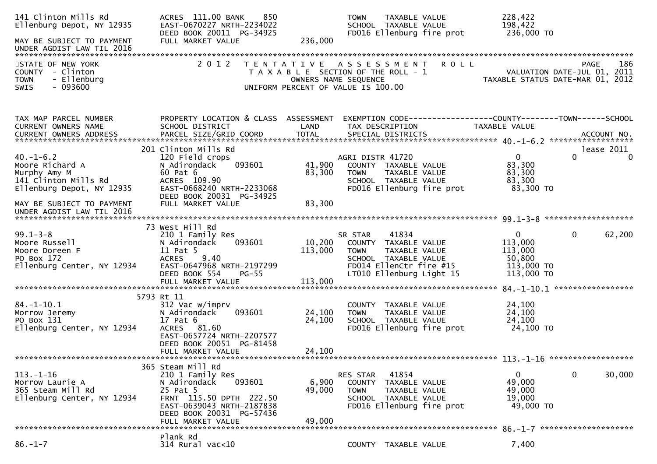| 141 Clinton Mills Rd<br>Ellenburg Depot, NY 12935                                                       | ACRES 111.00 BANK<br>850<br>EAST-0670227 NRTH-2234022<br>DEED BOOK 20011 PG-34925                                                                                |                            | TAXABLE VALUE<br><b>TOWN</b><br>SCHOOL TAXABLE VALUE<br>FD016 Ellenburg fire prot                                                                       | 228,422<br>198,422<br>236,000 TO                                                        |
|---------------------------------------------------------------------------------------------------------|------------------------------------------------------------------------------------------------------------------------------------------------------------------|----------------------------|---------------------------------------------------------------------------------------------------------------------------------------------------------|-----------------------------------------------------------------------------------------|
| MAY BE SUBJECT TO PAYMENT                                                                               | FULL MARKET VALUE                                                                                                                                                | 236,000                    |                                                                                                                                                         |                                                                                         |
| STATE OF NEW YORK<br>COUNTY - Clinton<br>- Ellenburg<br><b>TOWN</b><br>$-093600$<br>SWIS                | 2 0 1 2<br>T E N T A T I V E                                                                                                                                     | OWNERS NAME SEQUENCE       | <b>ROLL</b><br>A S S E S S M E N T<br>T A X A B L E SECTION OF THE ROLL - 1<br>UNIFORM PERCENT OF VALUE IS 100.00                                       | 186<br>PAGE<br>VALUATION DATE-JUL 01, 2011<br>TAXABLE STATUS DATE-MAR 01, 2012          |
| TAX MAP PARCEL NUMBER<br>CURRENT OWNERS NAME                                                            | PROPERTY LOCATION & CLASS ASSESSMENT<br>SCHOOL DISTRICT                                                                                                          | LAND                       | TAX DESCRIPTION                                                                                                                                         | EXEMPTION CODE------------------COUNTY--------TOWN------SCHOOL<br><b>TAXABLE VALUE</b>  |
| $40. - 1 - 6.2$<br>Moore Richard A<br>Murphy Amy M<br>141 Clinton Mills Rd<br>Ellenburg Depot, NY 12935 | 201 Clinton Mills Rd<br>120 Field crops<br>N Adirondack<br>093601<br>60 Pat 6<br>ACRES 109.90<br>EAST-0668240 NRTH-2233068<br>DEED BOOK 20031 PG-34925           | 41,900<br>83,300           | AGRI DISTR 41720<br>COUNTY TAXABLE VALUE<br>TAXABLE VALUE<br><b>TOWN</b><br>SCHOOL TAXABLE VALUE<br>FD016 Ellenburg fire prot                           | lease 2011<br>$\mathbf{0}$<br>0<br>$\Omega$<br>83,300<br>83,300<br>83,300<br>83,300 TO  |
| MAY BE SUBJECT TO PAYMENT<br>UNDER AGDIST LAW TIL 2016                                                  | FULL MARKET VALUE                                                                                                                                                | 83,300                     |                                                                                                                                                         |                                                                                         |
| $99.1 - 3 - 8$<br>Moore Russell<br>Moore Doreen F<br>PO Box 172<br>Ellenburg Center, NY 12934           | 73 West Hill Rd<br>210 1 Family Res<br>N Adirondack<br>093601<br>11 Pat 5<br><b>ACRES</b><br>9.40<br>EAST-0647968 NRTH-2197299<br>DEED BOOK 554<br>$PG-55$       | 10,200<br>113,000          | 41834<br>SR STAR<br>COUNTY TAXABLE VALUE<br><b>TOWN</b><br>TAXABLE VALUE<br>SCHOOL TAXABLE VALUE<br>FD014 EllenCtr fire #15<br>LT010 Ellenburg Light 15 | $\mathbf{0}$<br>0<br>62,200<br>113,000<br>113,000<br>50,800<br>113,000 TO<br>113,000 TO |
|                                                                                                         | FULL MARKET VALUE                                                                                                                                                | 113,000                    |                                                                                                                                                         | 84. -1-10.1 ******************                                                          |
| $84. - 1 - 10.1$<br>Morrow Jeremy<br>PO Box 131<br>Ellenburg Center, NY 12934                           | 5793 Rt 11<br>312 Vac w/imprv<br>093601<br>N Adirondack<br>17 Pat 6<br>ACRES 81.60<br>EAST-0657724 NRTH-2207577<br>DEED BOOK 20051 PG-81458<br>FULL MARKET VALUE | 24,100<br>24,100<br>24,100 | <b>COUNTY</b><br>TAXABLE VALUE<br>TAXABLE VALUE<br><b>TOWN</b><br>SCHOOL TAXABLE VALUE<br>FD016 Ellenburg fire prot                                     | 24,100<br>24,100<br>24,100<br>24,100 TO                                                 |
|                                                                                                         | 365 Steam Mill Rd                                                                                                                                                |                            |                                                                                                                                                         |                                                                                         |
| $113. - 1 - 16$<br>Morrow Laurie A<br>365 Steam Mill Rd<br>Ellenburg Center, NY 12934                   | 210 1 Family Res<br>093601<br>N Adirondack<br>25 Pat 5<br>FRNT 115.50 DPTH 222.50<br>EAST-0639043 NRTH-2187838<br>DEED BOOK 20031 PG-57436<br>FULL MARKET VALUE  | 6,900<br>49,000<br>49,000  | RES STAR<br>41854<br>COUNTY<br>TAXABLE VALUE<br><b>TOWN</b><br>TAXABLE VALUE<br>SCHOOL TAXABLE VALUE<br>FD016 Ellenburg fire prot                       | $\mathbf{0}$<br>0<br>30,000<br>49,000<br>49,000<br>19,000<br>49,000 TO                  |
|                                                                                                         | Plank Rd                                                                                                                                                         |                            |                                                                                                                                                         |                                                                                         |
| $86. - 1 - 7$                                                                                           | 314 Rural vac<10                                                                                                                                                 |                            | COUNTY TAXABLE VALUE                                                                                                                                    | 7,400                                                                                   |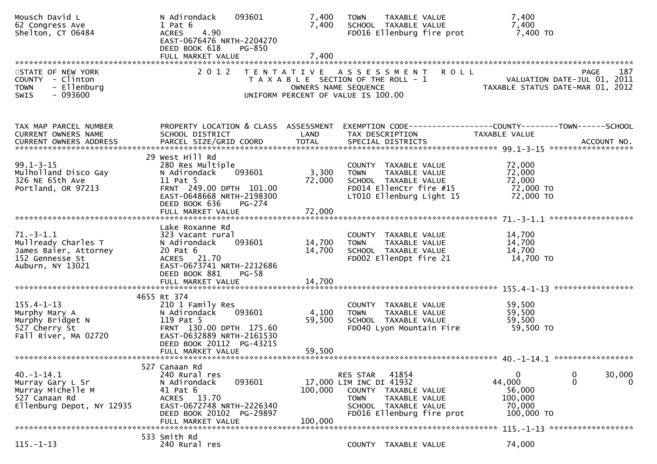| Mousch David L<br>62 Congress Ave<br>Shelton, CT 06484                                              | N Adirondack<br>093601<br>$1$ Pat $6$<br>4.90<br><b>ACRES</b><br>EAST-0676476 NRTH-2204270<br>DEED BOOK 618<br>PG-850                                                           | 7,400<br>7,400            | TAXABLE VALUE<br><b>TOWN</b><br>SCHOOL TAXABLE VALUE<br>FD016 Ellenburg fire prot                                                                                   | 7,400<br>7,400<br>7,400 то                                                                                                             |
|-----------------------------------------------------------------------------------------------------|---------------------------------------------------------------------------------------------------------------------------------------------------------------------------------|---------------------------|---------------------------------------------------------------------------------------------------------------------------------------------------------------------|----------------------------------------------------------------------------------------------------------------------------------------|
|                                                                                                     |                                                                                                                                                                                 |                           |                                                                                                                                                                     |                                                                                                                                        |
| STATE OF NEW YORK<br>COUNTY - Clinton<br>- Ellenburg<br><b>TOWN</b><br>$-093600$<br><b>SWIS</b>     | 2 0 1 2                                                                                                                                                                         | OWNERS NAME SEQUENCE      | TENTATIVE ASSESSMENT<br><b>ROLL</b><br>T A X A B L E SECTION OF THE ROLL - 1<br>UNIFORM PERCENT OF VALUE IS 100.00                                                  | 187<br>PAGE<br>VALUATION DATE-JUL 01, 2011<br>TAXABLE STATUS DATE-MAR 01, 2012                                                         |
| TAX MAP PARCEL NUMBER<br><b>CURRENT OWNERS NAME</b>                                                 | PROPERTY LOCATION & CLASS ASSESSMENT<br>SCHOOL DISTRICT                                                                                                                         | LAND                      | TAX DESCRIPTION                                                                                                                                                     | EXEMPTION CODE-----------------COUNTY-------TOWN------SCHOOL<br>TAXABLE VALUE                                                          |
| $99.1 - 3 - 15$<br>Mulholland Disco Gay<br>326 NE 65th Ave<br>Portland, OR 97213                    | 29 West Hill Rd<br>280 Res Multiple<br>N Adirondack<br>093601<br>11 Pat 5<br>FRNT 249.00 DPTH 101.00<br>EAST-0648668 NRTH-2198300<br>DEED BOOK 636<br>$PG-274$                  | 3,300<br>72,000           | COUNTY TAXABLE VALUE<br>TAXABLE VALUE<br><b>TOWN</b><br>SCHOOL TAXABLE VALUE<br>FD014 EllenCtr fire #15<br>LT010 Ellenburg Light 15                                 | 72,000<br>72,000<br>72,000<br>72,000 TO<br>72,000 TO                                                                                   |
|                                                                                                     | FULL MARKET VALUE                                                                                                                                                               | 72,000                    |                                                                                                                                                                     |                                                                                                                                        |
| $71.-3-1.1$<br>Mullready Charles T<br>James Baier, Attorney<br>152 Gennesse St<br>Auburn, NY 13021  | Lake Roxanne Rd<br>323 Vacant rural<br>093601<br>N Adirondack<br>20 Pat 6<br>ACRES 21.70<br>EAST-0673741 NRTH-2212686<br>DEED BOOK 881<br>$PG-58$                               | 14,700<br>14,700          | COUNTY TAXABLE VALUE<br>TAXABLE VALUE<br><b>TOWN</b><br>SCHOOL TAXABLE VALUE<br>FD002 EllenDpt fire 21                                                              | 14,700<br>14,700<br>14,700<br>14,700 TO                                                                                                |
|                                                                                                     |                                                                                                                                                                                 |                           |                                                                                                                                                                     |                                                                                                                                        |
| $155.4 - 1 - 13$<br>Murphy Mary A<br>Murphy Bridget N<br>527 Cherry St<br>Fall River, MA 02720      | 4655 Rt 374<br>210 1 Family Res<br>093601<br>N Adirondack<br>119 Pat 5<br>FRNT 130.00 DPTH 175.60<br>EAST-0632889 NRTH-2161530<br>DEED BOOK 20112 PG-43215<br>FULL MARKET VALUE | 4,100<br>59,500<br>59,500 | COUNTY TAXABLE VALUE<br><b>TOWN</b><br>TAXABLE VALUE<br>SCHOOL TAXABLE VALUE<br>FD040 Lyon Mountain Fire                                                            | 59,500<br>59,500<br>59,500<br>59,500 TO                                                                                                |
|                                                                                                     |                                                                                                                                                                                 |                           |                                                                                                                                                                     |                                                                                                                                        |
| 40. -1 -14.1<br>Murray Gary L Sr<br>Murray Michelle M<br>527 Canaan Rd<br>Ellenburg Depot, NY 12935 | 527 Canaan Rd<br>240 Rural res<br>093601<br>N Adirondack<br>41 Pat 6<br>13.70<br><b>ACRES</b><br>EAST-0672748 NRTH-2226340<br>DEED BOOK 20102 PG-29897<br>FULL MARKET VALUE     | 100,000<br>100,000        | 41854<br>RES STAR<br>17,000 LIM INC DI 41932<br><b>COUNTY</b><br>TAXABLE VALUE<br>TAXABLE VALUE<br><b>TOWN</b><br>SCHOOL TAXABLE VALUE<br>FD016 Ellenburg fire prot | 30,000<br>$\Omega$<br>0<br>44,000<br>0<br>$\Omega$<br>56,000<br>100,000<br>70,000<br>100,000 TO<br>$115. - 1 - 13$ ******************* |
|                                                                                                     | 533 Smith Rd                                                                                                                                                                    |                           |                                                                                                                                                                     |                                                                                                                                        |
| $115. - 1 - 13$                                                                                     | 240 Rural res                                                                                                                                                                   |                           | COUNTY TAXABLE VALUE                                                                                                                                                | 74,000                                                                                                                                 |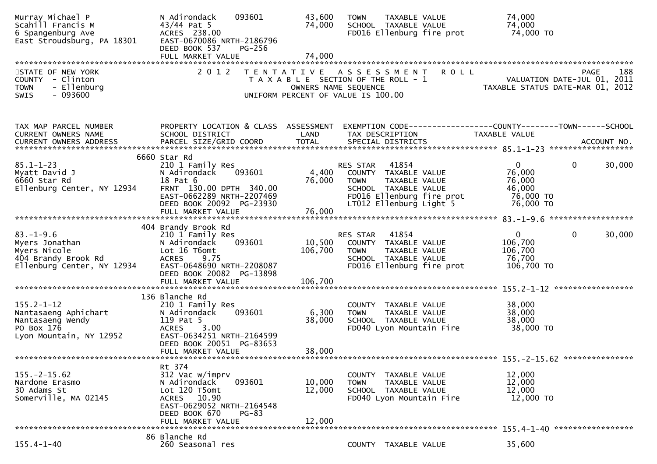| Murray Michael P<br>Scahill Francis M<br>6 Spangenburg Ave<br>East Stroudsburg, PA 18301               | N Adirondack<br>093601<br>$43/44$ Pat 5<br>ACRES 238.00<br>EAST-0670086 NRTH-2186796<br>DEED BOOK 537<br>$PG-256$                                                  | 43,600<br>74,000           | <b>TAXABLE VALUE</b><br><b>TOWN</b><br>SCHOOL TAXABLE VALUE<br>FD016 Ellenburg fire prot                                                                  |             | 74,000<br>74,000<br>74,000 TO                                                 |             |
|--------------------------------------------------------------------------------------------------------|--------------------------------------------------------------------------------------------------------------------------------------------------------------------|----------------------------|-----------------------------------------------------------------------------------------------------------------------------------------------------------|-------------|-------------------------------------------------------------------------------|-------------|
|                                                                                                        |                                                                                                                                                                    |                            |                                                                                                                                                           |             |                                                                               |             |
| STATE OF NEW YORK<br>COUNTY - Clinton<br>- Ellenburg<br><b>TOWN</b><br>SWIS<br>$-093600$               | 2 0 1 2                                                                                                                                                            | OWNERS NAME SEQUENCE       | TENTATIVE ASSESSMENT<br>T A X A B L E SECTION OF THE ROLL - 1<br>UNIFORM PERCENT OF VALUE IS 100.00                                                       | <b>ROLL</b> | VALUATION DATE-JUL 01, 2011<br>TAXABLE STATUS DATE-MAR 01, 2012               | 188<br>PAGE |
| TAX MAP PARCEL NUMBER<br>CURRENT OWNERS NAME<br>CURRENT OWNERS ADDRESS                                 | PROPERTY LOCATION & CLASS ASSESSMENT<br>SCHOOL DISTRICT                                                                                                            | LAND                       | TAX DESCRIPTION                                                                                                                                           |             | EXEMPTION CODE-----------------COUNTY-------TOWN------SCHOOL<br>TAXABLE VALUE |             |
| $85.1 - 1 - 23$<br>Myatt David J<br>6660 Star Rd<br>Ellenburg Center, NY 12934                         | 6660 Star Rd<br>210 1 Family Res<br>N Adirondack<br>093601<br>18 Pat 6<br>FRNT 130.00 DPTH 340.00<br>EAST-0662289 NRTH-2207469<br>DEED BOOK 20092 PG-23930         | 4,400<br>76,000            | 41854<br>RES STAR<br>COUNTY TAXABLE VALUE<br>TAXABLE VALUE<br><b>TOWN</b><br>SCHOOL TAXABLE VALUE<br>FD016 Ellenburg fire prot<br>LT012 Ellenburg Light 5 |             | $\mathbf{0}$<br>0<br>76,000<br>76,000<br>46,000<br>76,000 TO<br>76,000 TO     | 30,000      |
|                                                                                                        | FULL MARKET VALUE                                                                                                                                                  | 76,000                     |                                                                                                                                                           |             |                                                                               |             |
|                                                                                                        |                                                                                                                                                                    |                            |                                                                                                                                                           |             |                                                                               |             |
| $83. - 1 - 9.6$<br>Myers Jonathan<br>Myers Nicole<br>404 Brandy Brook Rd<br>Ellenburg Center, NY 12934 | 404 Brandy Brook Rd<br>210 1 Family Res<br>N Adirondack<br>093601<br>Lot 16 T6omt<br>9.75<br><b>ACRES</b><br>EAST-0648690 NRTH-2208087<br>DEED BOOK 20082 PG-13898 | 10,500<br>106,700          | 41854<br><b>RES STAR</b><br>COUNTY TAXABLE VALUE<br>TAXABLE VALUE<br><b>TOWN</b><br>SCHOOL TAXABLE VALUE<br>FD016 Ellenburg fire prot                     |             | $\mathbf{0}$<br>$\mathbf{0}$<br>106,700<br>106,700<br>76,700<br>106,700 TO    | 30,000      |
|                                                                                                        | FULL MARKET VALUE                                                                                                                                                  | 106,700                    |                                                                                                                                                           |             |                                                                               |             |
|                                                                                                        | 136 Blanche Rd                                                                                                                                                     |                            |                                                                                                                                                           |             |                                                                               |             |
| $155.2 - 1 - 12$<br>Nantasaeng Aphichart<br>Nantasaeng Wendy<br>PO Box 176<br>Lyon Mountain, NY 12952  | 210 1 Family Res<br>093601<br>N Adirondack<br>119 Pat 5<br>3.00<br><b>ACRES</b><br>EAST-0634251 NRTH-2164599<br>DEED BOOK 20051 PG-83653<br>FULL MARKET VALUE      | 6,300<br>38,000<br>38,000  | COUNTY TAXABLE VALUE<br><b>TOWN</b><br>TAXABLE VALUE<br>SCHOOL TAXABLE VALUE<br>FD040 Lyon Mountain Fire                                                  |             | 38,000<br>38,000<br>38,000<br>38,000 TO                                       |             |
|                                                                                                        |                                                                                                                                                                    |                            |                                                                                                                                                           |             |                                                                               |             |
| $155. - 2 - 15.62$<br>Nardone Erasmo<br>30 Adams St<br>Somerville, MA 02145                            | Rt 374<br>312 Vac w/imprv<br>093601<br>N Adirondack<br>Lot 120 T5omt<br>ACRES 10.90<br>EAST-0629052 NRTH-2164548<br>DEED BOOK 670<br>$PG-83$<br>FULL MARKET VALUE  | 10,000<br>12,000<br>12,000 | COUNTY TAXABLE VALUE<br><b>TOWN</b><br>TAXABLE VALUE<br>SCHOOL TAXABLE VALUE<br>FD040 Lyon Mountain Fire                                                  |             | 12,000<br>12,000<br>12,000<br>12,000 TO                                       |             |
|                                                                                                        |                                                                                                                                                                    |                            |                                                                                                                                                           |             |                                                                               |             |
| $155.4 - 1 - 40$                                                                                       | 86 Blanche Rd<br>260 Seasonal res                                                                                                                                  |                            | COUNTY TAXABLE VALUE                                                                                                                                      |             | 35,600                                                                        |             |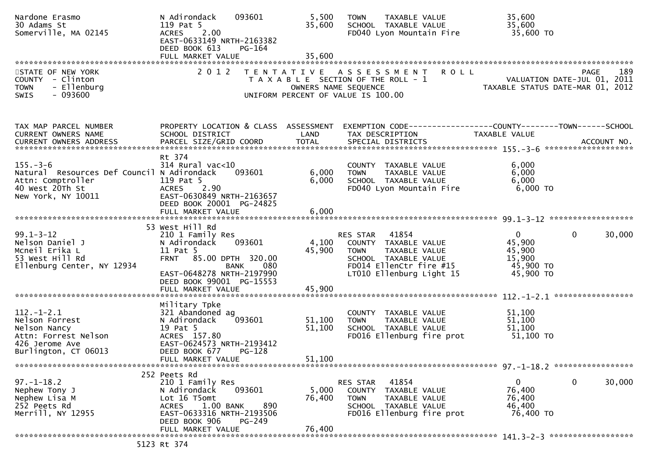| Nardone Erasmo<br>30 Adams St<br>Somerville, MA 02145                                                                      | 093601<br>N Adirondack<br>119 Pat 5<br>2.00<br><b>ACRES</b><br>EAST-0633149 NRTH-2163382<br>DEED BOOK 613<br>PG-164                                                         | 5,500<br>35,600      | TAXABLE VALUE<br><b>TOWN</b><br>SCHOOL TAXABLE VALUE<br>FD040 Lyon Mountain Fire                                                                         | 35,600<br>35,600<br>35,600 TO                                                                    |
|----------------------------------------------------------------------------------------------------------------------------|-----------------------------------------------------------------------------------------------------------------------------------------------------------------------------|----------------------|----------------------------------------------------------------------------------------------------------------------------------------------------------|--------------------------------------------------------------------------------------------------|
|                                                                                                                            |                                                                                                                                                                             |                      |                                                                                                                                                          |                                                                                                  |
| STATE OF NEW YORK<br>COUNTY - Clinton<br>- Ellenburg<br><b>TOWN</b><br>SWIS<br>- 093600                                    | 2 0 1 2                                                                                                                                                                     | OWNERS NAME SEQUENCE | <b>ROLL</b><br>TENTATIVE ASSESSMENT<br>T A X A B L E SECTION OF THE ROLL - 1<br>UNIFORM PERCENT OF VALUE IS 100.00                                       | 189<br>PAGE<br>VALUATION DATE-JUL 01, 2011<br>TAXABLE STATUS DATE-MAR 01, 2012                   |
| TAX MAP PARCEL NUMBER<br><b>CURRENT OWNERS NAME</b>                                                                        | PROPERTY LOCATION & CLASS ASSESSMENT<br>SCHOOL DISTRICT                                                                                                                     | LAND                 | TAX DESCRIPTION                                                                                                                                          | EXEMPTION CODE------------------COUNTY--------TOWN------SCHOOL<br>TAXABLE VALUE                  |
| $155. - 3 - 6$<br>Natural Resources Def Council N Adirondack<br>Attn: Comptroller<br>40 West 20Th St<br>New York, NY 10011 | Rt 374<br>$314$ Rural vac<10<br>093601<br>119 Pat 5<br>2.90<br><b>ACRES</b><br>EAST-0630849 NRTH-2163657<br>DEED BOOK 20001 PG-24825                                        | 6,000<br>6,000       | COUNTY TAXABLE VALUE<br><b>TOWN</b><br>TAXABLE VALUE<br>SCHOOL TAXABLE VALUE<br>FD040 Lyon Mountain Fire                                                 | 6,000<br>6,000<br>6,000<br>$6,000$ TO                                                            |
|                                                                                                                            | FULL MARKET VALUE                                                                                                                                                           | 6,000                |                                                                                                                                                          |                                                                                                  |
| $99.1 - 3 - 12$<br>Nelson Daniel J<br>Mcneil Erika L<br>53 West Hill Rd<br>Ellenburg Center, NY 12934                      | 53 West Hill Rd<br>210 1 Family Res<br>093601<br>N Adirondack<br>11 Pat 5<br>FRNT 85.00 DPTH 320.00<br>080<br>BANK<br>EAST-0648278 NRTH-2197990<br>DEED BOOK 99001 PG-15553 | 4,100<br>45,900      | 41854<br>RES STAR<br>COUNTY TAXABLE VALUE<br><b>TOWN</b><br>TAXABLE VALUE<br>SCHOOL TAXABLE VALUE<br>FD014 EllenCtr fire #15<br>LT010 Ellenburg Light 15 | $\overline{0}$<br>$\mathbf{0}$<br>30,000<br>45,900<br>45,900<br>15,900<br>45,900 TO<br>45,900 TO |
|                                                                                                                            |                                                                                                                                                                             |                      |                                                                                                                                                          |                                                                                                  |
| $112. - 1 - 2.1$<br>Nelson Forrest<br>Nelson Nancy<br>Attn: Forrest Nelson<br>426 Jerome Ave<br>Burlington, CT 06013       | Military Tpke<br>321 Abandoned ag<br>N Adirondack<br>093601<br>19 Pat 5<br>ACRES 157.80<br>EAST-0624573 NRTH-2193412<br>DEED BOOK 677<br>PG-128                             | 51,100<br>51,100     | COUNTY TAXABLE VALUE<br>TAXABLE VALUE<br><b>TOWN</b><br>SCHOOL TAXABLE VALUE<br>FD016 Ellenburg fire prot                                                | 51,100<br>51,100<br>51,100<br>51,100 TO                                                          |
|                                                                                                                            | FULL MARKET VALUE                                                                                                                                                           | 51,100               |                                                                                                                                                          |                                                                                                  |
| $97. - 1 - 18.2$<br>Nephew Tony J<br>Nephew Lisa M<br>252 Peets Rd<br>Merrill, NY 12955                                    | 252 Peets Rd<br>210 1 Family Res<br>093601<br>N Adirondack<br>Lot 16 T5omt<br>890<br>$1.00$ BANK<br><b>ACRES</b><br>EAST-0633316 NRTH-2193506<br>DEED BOOK 906<br>PG-249    | 5,000<br>76,400      | 41854<br>RES STAR<br>COUNTY TAXABLE VALUE<br><b>TOWN</b><br>TAXABLE VALUE<br>SCHOOL TAXABLE VALUE<br>FD016 Ellenburg fire prot                           | $\mathbf 0$<br>0<br>30,000<br>76,400<br>76,400<br>46,400<br>76,400 TO                            |
|                                                                                                                            | FULL MARKET VALUE                                                                                                                                                           | 76,400               |                                                                                                                                                          |                                                                                                  |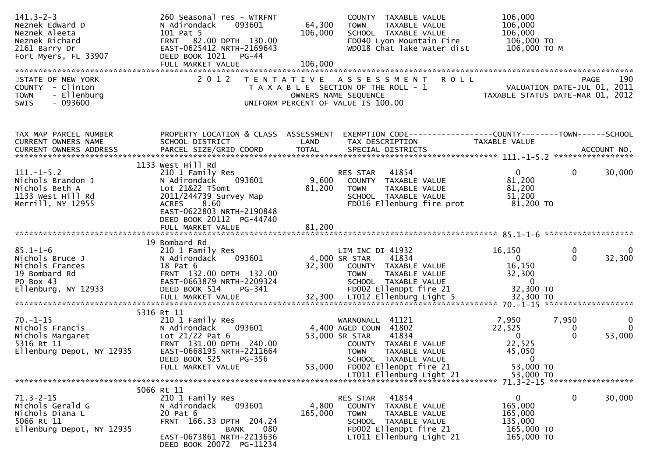| $141.3 - 2 - 3$<br>Neznek Edward D<br>Neznek Aleeta<br>Neznek Richard<br>2161 Barry Dr<br>Fort Myers, FL 33907 | 260 Seasonal res - WTRFNT<br>N Adirondack<br>093601<br>101 Pat 5<br>FRNT 82.00 DPTH 130.00<br>EAST-0625412 NRTH-2169643<br>DEED BOOK 1021 PG-44<br>FULL MARKET VALUE                | 64,300<br>106,000<br>106,000 | COUNTY TAXABLE VALUE<br>TAXABLE VALUE<br><b>TOWN</b><br>SCHOOL TAXABLE VALUE<br>FD040 Lyon Mountain Fire<br>WD018 Chat lake water dist                      | 106,000<br>106,000<br>106,000<br>106,000 TO<br>106,000 ТО М                        |                                                             |
|----------------------------------------------------------------------------------------------------------------|-------------------------------------------------------------------------------------------------------------------------------------------------------------------------------------|------------------------------|-------------------------------------------------------------------------------------------------------------------------------------------------------------|------------------------------------------------------------------------------------|-------------------------------------------------------------|
| STATE OF NEW YORK<br>COUNTY - Clinton<br><b>TOWN</b><br>- Ellenburg<br>$-093600$<br>SWIS                       | 2 0 1 2                                                                                                                                                                             |                              | TENTATIVE ASSESSMENT ROLL<br>T A X A B L E SECTION OF THE ROLL - 1<br>OWNERS NAME SEQUENCE<br>UNIFORM PERCENT OF VALUE IS 100.00                            | TAXABLE STATUS DATE-MAR 01, 2012                                                   | 190<br>PAGE<br>VALUATION DATE-JUL 01, 2011                  |
| TAX MAP PARCEL NUMBER<br>CURRENT OWNERS NAME                                                                   | PROPERTY LOCATION & CLASS ASSESSMENT<br>SCHOOL DISTRICT                                                                                                                             | LAND                         | EXEMPTION CODE------------------COUNTY--------TOWN------SCHOOL<br>TAX DESCRIPTION                                                                           | TAXABLE VALUE                                                                      |                                                             |
| $111. -1 - 5.2$<br>Nichols Brandon J<br>Nichols Beth A<br>1133 West Hill Rd<br>Merrill, NY 12955               | 1133 West Hill Rd<br>210 1 Family Res<br>093601<br>N Adirondack<br>Lot 21&22 T5omt<br>2011/244739 Survey Map<br>ACRES 8.60<br>EAST-0622803 NRTH-2190848<br>DEED BOOK 20112 PG-44740 | 9,600<br>81,200              | RES STAR 41854<br>COUNTY TAXABLE VALUE<br>TAXABLE VALUE<br><b>TOWN</b><br>SCHOOL TAXABLE VALUE<br>FD016 Ellenburg fire prot                                 | $\mathbf{0}$<br>81,200<br>81,200<br>51,200<br>81,200 TO                            | $\mathbf{0}$<br>30,000                                      |
|                                                                                                                | FULL MARKET VALUE                                                                                                                                                                   | 81,200                       |                                                                                                                                                             |                                                                                    |                                                             |
| $85.1 - 1 - 6$<br>Nichols Bruce J<br>Nichols Frances<br>19 Bombard Rd<br>PO Box 43<br>Ellenburg, NY 12933      | 19 Bombard Rd<br>210 1 Family Res<br>093601<br>N Adirondack<br>18 Pat 6<br>FRNT 132.00 DPTH 132.00<br>EAST-0663879 NRTH-2209324<br>DEED BOOK 514<br>PG-341                          |                              | LIM INC DI 41932<br>4,000 SR STAR<br>41834<br>32,300 COUNTY TAXABLE VALUE<br><b>TOWN</b><br>TAXABLE VALUE<br>SCHOOL TAXABLE VALUE<br>FD002 EllenDpt fire 21 | 16,150<br>$\mathbf{0}$<br>16,150<br>32,300<br>$\overline{\mathbf{0}}$<br>32,300 TO | $\bf{0}$<br>0<br>32,300<br>$\Omega$                         |
|                                                                                                                | 5316 Rt 11                                                                                                                                                                          |                              |                                                                                                                                                             |                                                                                    |                                                             |
| $70. - 1 - 15$<br>Nichols Francis<br>Nichols Margaret<br>5316 Rt 11<br>Ellenburg Depot, NY 12935               | 210 1 Family Res<br>093601<br>N Adirondack<br>Lot 21/22 Pat 6<br>FRNT 131.00 DPTH 240.00<br>EAST-0668195 NRTH-2211664<br>DEED BOOK 525<br>PG-356                                    |                              | 41121<br>WARNONALL<br>4,400 AGED COUN 41802<br>53,000 SR STAR<br>41834<br>COUNTY TAXABLE VALUE<br><b>TOWN</b><br>TAXABLE VALUE<br>SCHOOL TAXABLE VALUE      | 7,950<br>22,525<br>$\Omega$<br>22,525<br>45,050<br>$\mathbf{0}$                    | 7,950<br>$\mathbf 0$<br>$\Omega$<br>0<br>53,000<br>$\Omega$ |
|                                                                                                                | FULL MARKET VALUE                                                                                                                                                                   | 53,000                       | FD002 EllenDpt fire 21                                                                                                                                      | 53,000 TO<br>53,000 TO                                                             |                                                             |
|                                                                                                                | 5066 Rt 11                                                                                                                                                                          |                              |                                                                                                                                                             |                                                                                    | 71.3-2-15 *******************                               |
| $71.3 - 2 - 15$<br>Nichols Gerald G<br>Nichols Diana L<br>5066 Rt 11<br>Ellenburg Depot, NY 12935              | 210 1 Family Res<br>093601<br>N Adirondack<br>20 Pat 6<br>FRNT 166.33 DPTH 204.24<br>080<br>BANK<br>EAST-0673861 NRTH-2213636<br>DEED BOOK 20072 PG-11234                           | 4,800<br>165,000             | 41854<br>RES STAR<br>COUNTY TAXABLE VALUE<br><b>TOWN</b><br>TAXABLE VALUE<br>SCHOOL TAXABLE VALUE<br>FD002 EllenDpt fire 21<br>LT011 Ellenburg Light 21     | $\Omega$<br>165,000<br>165,000<br>135,000<br>165,000 TO<br>165,000 TO              | 0<br>30,000                                                 |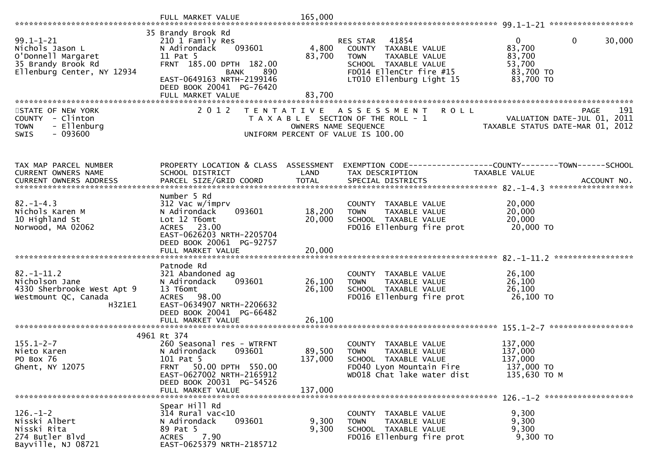|                                                                                                              | FULL MARKET VALUE                                                                                                                                                               | 165,000                    |                                                                                                                                                          |                                                                                       |
|--------------------------------------------------------------------------------------------------------------|---------------------------------------------------------------------------------------------------------------------------------------------------------------------------------|----------------------------|----------------------------------------------------------------------------------------------------------------------------------------------------------|---------------------------------------------------------------------------------------|
|                                                                                                              |                                                                                                                                                                                 |                            |                                                                                                                                                          |                                                                                       |
| $99.1 - 1 - 21$<br>Nichols Jason L<br>O'Donnell Margaret<br>35 Brandy Brook Rd<br>Ellenburg Center, NY 12934 | 35 Brandy Brook Rd<br>210 1 Family Res<br>093601<br>N Adirondack<br>11 Pat 5<br>FRNT 185.00 DPTH 182.00<br>890<br>BANK<br>EAST-0649163 NRTH-2199146<br>DEED BOOK 20041 PG-76420 | 4,800<br>83,700            | 41854<br>RES STAR<br>COUNTY TAXABLE VALUE<br>TAXABLE VALUE<br><b>TOWN</b><br>SCHOOL TAXABLE VALUE<br>FD014 EllenCtr fire #15<br>LT010 Ellenburg Light 15 | $\overline{0}$<br>0<br>30,000<br>83,700<br>83,700<br>53,700<br>83,700 TO<br>83,700 TO |
|                                                                                                              | FULL MARKET VALUE                                                                                                                                                               | 83,700                     |                                                                                                                                                          |                                                                                       |
| STATE OF NEW YORK<br><b>COUNTY</b><br>- Clinton<br>- Ellenburg<br><b>TOWN</b><br>$-093600$<br>SWIS           | 2 0 1 2                                                                                                                                                                         | OWNERS NAME SEQUENCE       | TENTATIVE ASSESSMENT<br><b>ROLL</b><br>T A X A B L E SECTION OF THE ROLL - 1<br>UNIFORM PERCENT OF VALUE IS 100.00                                       | 191<br><b>PAGE</b><br>VALUATION DATE-JUL 01, 2011<br>TAXABLE STATUS DATE-MAR 01, 2012 |
| TAX MAP PARCEL NUMBER<br>CURRENT OWNERS NAME                                                                 | PROPERTY LOCATION & CLASS ASSESSMENT<br>SCHOOL DISTRICT                                                                                                                         | LAND                       | TAX DESCRIPTION                                                                                                                                          | <b>TAXABLE VALUE</b><br>ACCOUNT NO.<br>******************                             |
| $82. - 1 - 4.3$<br>Nichols Karen M<br>10 Highland St<br>Norwood, MA 02062                                    | Number 5 Rd<br>312 Vac w/imprv<br>093601<br>N Adirondack<br>Lot 12 T6omt<br>ACRES 23.00<br>EAST-0626203 NRTH-2205704<br>DEED BOOK 20061 PG-92757<br>FULL MARKET VALUE           | 18,200<br>20,000<br>20,000 | COUNTY TAXABLE VALUE<br><b>TAXABLE VALUE</b><br><b>TOWN</b><br>SCHOOL TAXABLE VALUE<br>FD016 Ellenburg fire prot                                         | 20,000<br>20,000<br>20,000<br>20,000 TO                                               |
|                                                                                                              |                                                                                                                                                                                 |                            |                                                                                                                                                          | *****************                                                                     |
| $82. - 1 - 11.2$<br>Nicholson Jane<br>4330 Sherbrooke West Apt 9<br>Westmount QC, Canada<br>H3Z1E1           | Patnode Rd<br>321 Abandoned ag<br>093601<br>N Adirondack<br>13 T6omt<br>ACRES 98.00<br>EAST-0634907 NRTH-2206632<br>DEED BOOK 20041 PG-66482                                    | 26,100<br>26,100           | COUNTY TAXABLE VALUE<br>TAXABLE VALUE<br><b>TOWN</b><br>SCHOOL TAXABLE VALUE<br>FD016 Ellenburg fire prot                                                | 26,100<br>26,100<br>26,100<br>26,100 TO                                               |
|                                                                                                              | FULL MARKET VALUE                                                                                                                                                               | 26,100                     |                                                                                                                                                          |                                                                                       |
| $155.1 - 2 - 7$<br>Nieto Karen<br>PO Box 76<br>Ghent, NY 12075                                               | 4961 Rt 374<br>260 Seasonal res - WTRFNT<br>N Adirondack<br>093601<br>101 Pat 5<br>50.00 DPTH 550.00<br>FRNT<br>EAST-0627002 NRTH-2165912<br>DEED BOOK 20031 PG-54526           | 89,500<br>137,000          | COUNTY TAXABLE VALUE<br><b>TOWN</b><br>TAXABLE VALUE<br>SCHOOL TAXABLE VALUE<br>FD040 Lyon Mountain Fire<br>WD018 Chat lake water dist                   | 137,000<br>137,000<br>137,000<br>137,000 TO<br>135,630 ТО М                           |
|                                                                                                              | FULL MARKET VALUE                                                                                                                                                               | 137,000                    |                                                                                                                                                          |                                                                                       |
| $126. - 1 - 2$<br>Nisski Albert<br>Nisski Rita<br>274 Butler Blvd<br>Bayville, NJ 08721                      | Spear Hill Rd<br>314 Rural vac<10<br>093601<br>N Adirondack<br>89 Pat 5<br>7.90<br>ACRES<br>EAST-0625379 NRTH-2185712                                                           | 9,300<br>9,300             | COUNTY TAXABLE VALUE<br>TAXABLE VALUE<br><b>TOWN</b><br>SCHOOL TAXABLE VALUE<br>FD016 Ellenburg fire prot                                                | 9,300<br>9,300<br>9,300<br>9,300 TO                                                   |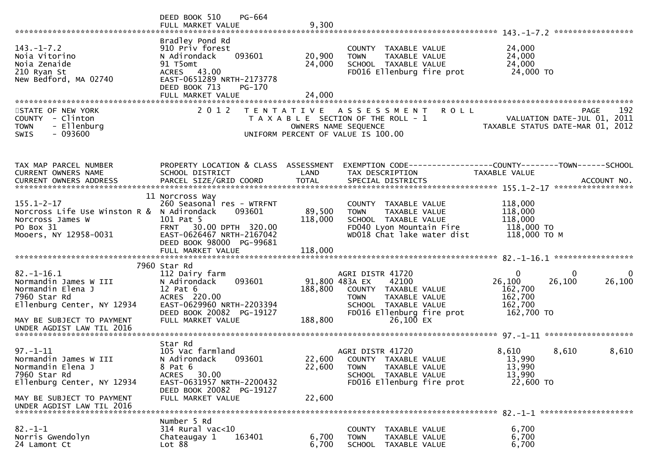|                                                                                                                                           | PG-664<br>DEED BOOK 510<br>FULL MARKET VALUE                                                                                                                           | 9,300                      |                                                                                                                                                                       |                                                                                         |             |
|-------------------------------------------------------------------------------------------------------------------------------------------|------------------------------------------------------------------------------------------------------------------------------------------------------------------------|----------------------------|-----------------------------------------------------------------------------------------------------------------------------------------------------------------------|-----------------------------------------------------------------------------------------|-------------|
| $143. - 1 - 7.2$<br>Noia Vitorino<br>Noia Zenaide<br>210 Ryan St<br>New Bedford, MA 02740                                                 | Bradley Pond Rd<br>910 Priv forest<br>093601<br>N Adirondack<br>91 T5omt<br>ACRES 43.00<br>EAST-0651289 NRTH-2173778<br>DEED BOOK 713<br>PG-170<br>FULL MARKET VALUE   | 20,900<br>24,000<br>24,000 | COUNTY TAXABLE VALUE<br>TAXABLE VALUE<br><b>TOWN</b><br>SCHOOL TAXABLE VALUE<br>FD016 Ellenburg fire prot                                                             | 24,000<br>24,000<br>24,000<br>24,000 TO                                                 |             |
| STATE OF NEW YORK<br>COUNTY - Clinton<br><b>TOWN</b><br>- Ellenburg<br>$-093600$<br><b>SWIS</b>                                           | 2 0 1 2                                                                                                                                                                | T E N T A T I V E          | <b>ROLL</b><br>A S S E S S M E N T<br>T A X A B L E SECTION OF THE ROLL - 1<br>OWNERS NAME SEQUENCE<br>UNIFORM PERCENT OF VALUE IS 100.00                             | VALUATION DATE-JUL 01, 2011<br>TAXABLE STATUS DATE-MAR 01, 2012                         | 192<br>PAGE |
| TAX MAP PARCEL NUMBER<br>CURRENT OWNERS NAME                                                                                              | PROPERTY LOCATION & CLASS ASSESSMENT<br>SCHOOL DISTRICT                                                                                                                | LAND                       | EXEMPTION        CODE-----------------COUNTY-------TOWN------SCHOOL<br>TAX DESCRIPTION                                                                                | TAXABLE VALUE                                                                           |             |
| $155.1 - 2 - 17$<br>Norcross Life Use Winston R & N Adirondack<br>Norcross James W<br>PO Box 31<br>Mooers, NY 12958-0031                  | 11 Norcross Way<br>260 Seasonal res - WTRFNT<br>093601<br>101 Pat 5<br>FRNT 30.00 DPTH 320.00<br>EAST-0626467 NRTH-2167042<br>DEED BOOK 98000 PG-99681                 | 89,500<br>118,000          | COUNTY TAXABLE VALUE<br>TAXABLE VALUE<br><b>TOWN</b><br>SCHOOL TAXABLE VALUE<br>FD040 Lyon Mountain Fire<br>WD018 Chat lake water dist                                | 118,000<br>118,000<br>118,000<br>118,000 TO<br>118,000 ТО М                             |             |
|                                                                                                                                           |                                                                                                                                                                        |                            |                                                                                                                                                                       |                                                                                         |             |
| $82. - 1 - 16.1$<br>Normandin James W III<br>Normandin Elena J<br>7960 Star Rd<br>Ellenburg Center, NY 12934<br>MAY BE SUBJECT TO PAYMENT | 7960 Star Rd<br>112 Dairy farm<br>093601<br>N Adirondack<br>$12$ Pat $6$<br>ACRES 220.00<br>EAST-0629960 NRTH-2203394<br>DEED BOOK 20082 PG-19127<br>FULL MARKET VALUE | 188,800<br>188,800         | AGRI DISTR 41720<br>91,800 483A EX<br>42100<br>COUNTY TAXABLE VALUE<br><b>TOWN</b><br>TAXABLE VALUE<br>SCHOOL TAXABLE VALUE<br>FD016 Ellenburg fire prot<br>26,100 EX | $\Omega$<br>$\bf{0}$<br>26,100<br>26,100<br>162,700<br>162,700<br>162,700<br>162,700 TO | 0<br>26,100 |
| UNDER AGDIST LAW TIL 2016                                                                                                                 |                                                                                                                                                                        |                            |                                                                                                                                                                       |                                                                                         |             |
| $97. - 1 - 11$<br>Normandin James W III<br>Normandin Elena J<br>7960 Star Rd<br>Ellenburg Center, NY 12934                                | Star Rd<br>105 Vac farmland<br>N Adirondack<br>093601<br>8 Pat 6<br><b>ACRES</b><br>30.00<br>EAST-0631957 NRTH-2200432                                                 | 22,600<br>22,600           | AGRI DISTR 41720<br>COUNTY TAXABLE VALUE<br>TAXABLE VALUE<br><b>TOWN</b><br>SCHOOL TAXABLE VALUE<br>FD016 Ellenburg fire prot                                         | 8,610<br>8,610<br>13,990<br>13,990<br>13,990<br>22,600 TO                               | 8,610       |
| MAY BE SUBJECT TO PAYMENT<br>UNDER AGDIST LAW TIL 2016                                                                                    | DEED BOOK 20082 PG-19127<br>FULL MARKET VALUE                                                                                                                          | 22,600                     |                                                                                                                                                                       |                                                                                         |             |
|                                                                                                                                           | Number 5 Rd                                                                                                                                                            |                            |                                                                                                                                                                       |                                                                                         |             |
| $82 - 1 - 1$<br>Norris Gwendolyn<br>24 Lamont Ct                                                                                          | $314$ Rural vac<10<br>163401<br>Chateaugay 1<br>Lot 88                                                                                                                 | 6,700<br>6,700             | COUNTY TAXABLE VALUE<br><b>TOWN</b><br>TAXABLE VALUE<br>SCHOOL TAXABLE VALUE                                                                                          | 6,700<br>6,700<br>6,700                                                                 |             |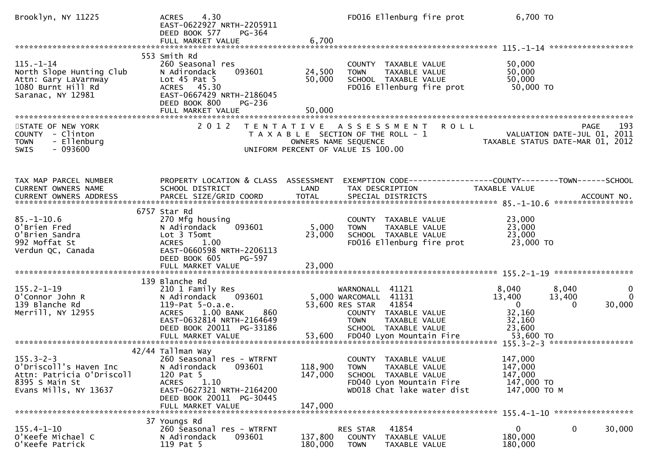| Brooklyn, NY 11225                                                                                                                            | 4.30<br><b>ACRES</b><br>EAST-0622927 NRTH-2205911<br>DEED BOOK 577<br>$PG-364$<br>FULL MARKET VALUE                                                                           | 6,700                         | FD016 Ellenburg fire prot                                                                                                                         | 6,700 TO                                                                             |                                                                 |
|-----------------------------------------------------------------------------------------------------------------------------------------------|-------------------------------------------------------------------------------------------------------------------------------------------------------------------------------|-------------------------------|---------------------------------------------------------------------------------------------------------------------------------------------------|--------------------------------------------------------------------------------------|-----------------------------------------------------------------|
|                                                                                                                                               |                                                                                                                                                                               |                               |                                                                                                                                                   |                                                                                      |                                                                 |
| $115. - 1 - 14$<br>North Slope Hunting Club<br>Attn: Gary LaVarnway<br>1080 Burnt Hill Rd<br>Saranac, NY 12981                                | 553 Smith Rd<br>260 Seasonal res<br>093601<br>N Adirondack<br>Lot $45$ Pat $5$<br>ACRES 45.30<br>EAST-0667429 NRTH-2186045<br>DEED BOOK 800<br>PG-236                         | 24,500<br>50,000              | COUNTY TAXABLE VALUE<br><b>TOWN</b><br>TAXABLE VALUE<br>SCHOOL TAXABLE VALUE<br>FD016 Ellenburg fire prot                                         | 50,000<br>50,000<br>50,000<br>50,000 TO                                              |                                                                 |
| STATE OF NEW YORK                                                                                                                             | 2 0 1 2                                                                                                                                                                       |                               | TENTATIVE ASSESSMENT                                                                                                                              | <b>ROLL</b>                                                                          | 193<br>PAGE                                                     |
| COUNTY - Clinton<br>- Ellenburg<br><b>TOWN</b><br>$-093600$<br><b>SWIS</b>                                                                    |                                                                                                                                                                               |                               | T A X A B L E SECTION OF THE ROLL - 1<br>OWNERS NAME SEQUENCE<br>UNIFORM PERCENT OF VALUE IS 100.00                                               |                                                                                      | VALUATION DATE-JUL 01, 2011<br>TAXABLE STATUS DATE-MAR 01, 2012 |
|                                                                                                                                               |                                                                                                                                                                               |                               |                                                                                                                                                   |                                                                                      |                                                                 |
| TAX MAP PARCEL NUMBER<br><b>CURRENT OWNERS NAME</b><br>CURRENT OWNERS ADDRESS PARCEL SIZE/GRID COORD TOTAL SPECIAL DISTRICTS 700. ACCOUNT NO. | PROPERTY LOCATION & CLASS ASSESSMENT<br>SCHOOL DISTRICT                                                                                                                       | LAND                          | TAX DESCRIPTION                                                                                                                                   | EXEMPTION CODE-----------------COUNTY-------TOWN------SCHOOL<br><b>TAXABLE VALUE</b> |                                                                 |
|                                                                                                                                               |                                                                                                                                                                               |                               |                                                                                                                                                   |                                                                                      |                                                                 |
| $85. - 1 - 10.6$<br>O'Brien Fred<br>O'Brien Sandra<br>992 Moffat St<br>Verdun QC, Canada                                                      | 6757 Star Rd<br>270 Mfg housing<br>093601<br>N Adirondack<br>Lot 3 T5omt<br>ACRES<br>1.00<br>EAST-0660598 NRTH-2206113<br>DEED BOOK 605<br>PG-597                             | 5,000<br>23,000               | COUNTY TAXABLE VALUE<br><b>TOWN</b><br>TAXABLE VALUE<br>SCHOOL TAXABLE VALUE<br>FD016 Ellenburg fire prot                                         | 23,000<br>23,000<br>23,000<br>23,000 TO                                              |                                                                 |
|                                                                                                                                               | FULL MARKET VALUE                                                                                                                                                             | 23,000                        |                                                                                                                                                   |                                                                                      |                                                                 |
| $155.2 - 1 - 19$<br>O'Connor John R<br>139 Blanche Rd<br>Merrill, NY 12955                                                                    | 139 Blanche Rd<br>210 1 Family Res<br>093601<br>N Adirondack<br>119-Pat 5-0.a.e.<br>1.00 BANK<br><b>ACRES</b><br>860<br>EAST-0632814 NRTH-2164649<br>DEED BOOK 20011 PG-33186 |                               | WARNONALL 41121<br>5,000 WARCOMALL 41131<br>53,600 RES STAR 41854<br>COUNTY TAXABLE VALUE<br><b>TOWN</b><br>TAXABLE VALUE<br>SCHOOL TAXABLE VALUE | 8,040<br>13,400<br>$\Omega$<br>32,160<br>32,160<br>23,600                            | 8,040<br>0<br>$\Omega$<br>13,400<br>30,000<br>0                 |
|                                                                                                                                               |                                                                                                                                                                               |                               |                                                                                                                                                   |                                                                                      |                                                                 |
|                                                                                                                                               | 42/44 Tallman Way                                                                                                                                                             |                               |                                                                                                                                                   |                                                                                      |                                                                 |
| $155.3 - 2 - 3$<br>O'Driscoll's Haven Inc<br>Attn: Patricia O'Driscoll<br>8395 S Main St<br>Evans Mills, NY 13637                             | 260 Seasonal res - WTRFNT<br>N Adirondack<br>093601<br>120 Pat 5<br>1.10<br><b>ACRES</b><br>EAST-0627321 NRTH-2164200<br>DEED BOOK 20011 PG-30445<br>FULL MARKET VALUE        | 118,900<br>147,000<br>147,000 | COUNTY TAXABLE VALUE<br><b>TOWN</b><br>TAXABLE VALUE<br>SCHOOL TAXABLE VALUE<br>FD040 Lyon Mountain Fire<br>WD018 Chat lake water dist            | 147,000<br>147,000<br>147,000<br>147,000 TO<br>147,000 TO M                          |                                                                 |
|                                                                                                                                               | 37 Youngs Rd                                                                                                                                                                  |                               |                                                                                                                                                   |                                                                                      |                                                                 |
| $155.4 - 1 - 10$<br>O'Keefe Michael C<br>O'Keefe Patrick                                                                                      | 260 Seasonal res - WTRFNT<br>N Adirondack<br>093601<br>119 Pat 5                                                                                                              | 137,800<br>180,000            | 41854<br>RES STAR<br>COUNTY TAXABLE VALUE<br><b>TOWN</b><br>TAXABLE VALUE                                                                         | $\mathbf{0}$<br>180,000<br>180,000                                                   | 30,000<br>0                                                     |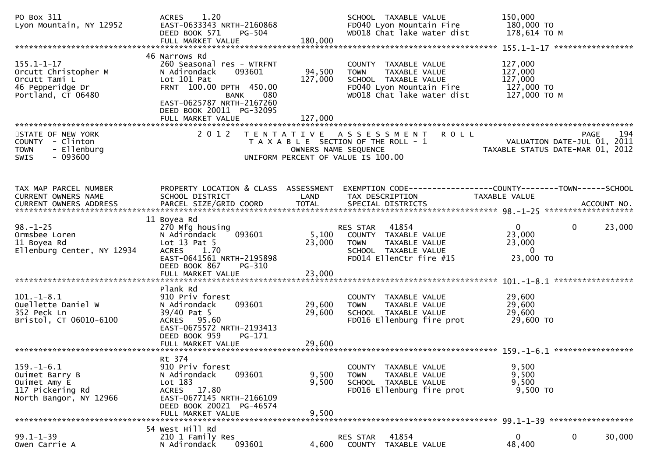| PO Box 311<br>Lyon Mountain, NY 12952                                                               | 1.20<br><b>ACRES</b><br>EAST-0633343 NRTH-2160868<br>DEED BOOK 571<br>PG-504<br>FULL MARKET VALUE                                                                                      | 180,000                   | SCHOOL TAXABLE VALUE<br>FD040 Lyon Mountain Fire<br>WD018 Chat lake water dist                                                             | 150,000<br>180,000 TO<br>178,614 ТО М                           |                                                   |
|-----------------------------------------------------------------------------------------------------|----------------------------------------------------------------------------------------------------------------------------------------------------------------------------------------|---------------------------|--------------------------------------------------------------------------------------------------------------------------------------------|-----------------------------------------------------------------|---------------------------------------------------|
| $155.1 - 1 - 17$<br>Orcutt Christopher M<br>Orcutt Tami L<br>46 Pepperidge Dr<br>Portland, CT 06480 | 46 Narrows Rd<br>260 Seasonal res - WTRFNT<br>093601<br>N Adirondack<br>Lot 101 Pat<br>FRNT 100.00 DPTH 450.00<br>BANK<br>080<br>EAST-0625787 NRTH-2167260<br>DEED BOOK 20011 PG-32095 | 94,500<br>127,000         | COUNTY TAXABLE VALUE<br>TAXABLE VALUE<br><b>TOWN</b><br>SCHOOL TAXABLE VALUE<br>FD040 Lyon Mountain Fire<br>WD018 Chat lake water dist     | 127,000<br>127,000<br>127,000<br>127,000 TO<br>127,000 TO M     |                                                   |
| STATE OF NEW YORK<br>COUNTY - Clinton<br>- Ellenburg<br><b>TOWN</b><br>$-093600$<br>SWIS            | 2 0 1 2                                                                                                                                                                                |                           | TENTATIVE ASSESSMENT<br><b>ROLL</b><br>T A X A B L E SECTION OF THE ROLL - 1<br>OWNERS NAME SEQUENCE<br>UNIFORM PERCENT OF VALUE IS 100.00 | TAXABLE STATUS DATE-MAR 01, 2012                                | 194<br><b>PAGE</b><br>VALUATION DATE-JUL 01, 2011 |
| TAX MAP PARCEL NUMBER<br>CURRENT OWNERS NAME                                                        | PROPERTY LOCATION & CLASS ASSESSMENT<br>SCHOOL DISTRICT                                                                                                                                | LAND                      | EXEMPTION CODE-----------------COUNTY--------TOWN------SCHOOL<br>TAX DESCRIPTION                                                           | TAXABLE VALUE                                                   |                                                   |
| $98. - 1 - 25$<br>Ormsbee Loren<br>11 Boyea Rd<br>Ellenburg Center, NY 12934                        | 11 Boyea Rd<br>270 Mfg housing<br>093601<br>N Adirondack<br>Lot $13$ Pat $5$<br><b>ACRES</b><br>1.70<br>EAST-0641561 NRTH-2195898<br>DEED BOOK 867<br>PG-310<br>FULL MARKET VALUE      | 5,100<br>23,000<br>23,000 | RES STAR<br>41854<br>COUNTY TAXABLE VALUE<br>TAXABLE VALUE<br><b>TOWN</b><br>SCHOOL TAXABLE VALUE<br>FD014 EllenCtr fire #15               | $\mathbf{0}$<br>23,000<br>23,000<br>$\overline{0}$<br>23,000 TO | $\mathbf{0}$<br>23,000                            |
| $101. -1 - 8.1$<br>Ouellette Daniel W<br>352 Peck Ln<br>Bristol, CT 06010-6100                      | Plank Rd<br>910 Priv forest<br>093601<br>N Adirondack<br>39/40 Pat 5<br>ACRES 95.60<br>EAST-0675572 NRTH-2193413<br>DEED BOOK 959<br>PG-171                                            | 29,600<br>29,600          | COUNTY TAXABLE VALUE<br>TAXABLE VALUE<br><b>TOWN</b><br>SCHOOL TAXABLE VALUE<br>FD016 Ellenburg fire prot                                  | 29,600<br>29,600<br>29,600<br>29,600 TO                         |                                                   |
| $159. - 1 - 6.1$<br>Ouimet Barry B<br>Ouimet Amy E<br>117 Pickering Rd<br>North Bangor, NY 12966    | Rt 374<br>910 Priv forest<br>093601<br>N Adirondack<br>Lot 183<br>ACRES 17.80<br>EAST-0677145 NRTH-2166109<br>DEED BOOK 20021 PG-46574<br>FULL MARKET VALUE                            | 9,500<br>9,500<br>9,500   | COUNTY TAXABLE VALUE<br>TAXABLE VALUE<br><b>TOWN</b><br>SCHOOL TAXABLE VALUE<br>FD016 Ellenburg fire prot                                  | 9,500<br>9,500<br>9,500<br>9,500 TO                             |                                                   |
| $99.1 - 1 - 39$<br>Owen Carrie A                                                                    | 54 West Hill Rd<br>210 1 Family Res<br>093601<br>N Adirondack                                                                                                                          | 4,600                     | 41854<br><b>RES STAR</b><br>COUNTY TAXABLE VALUE                                                                                           | $\Omega$<br>48,400                                              | 0<br>30,000                                       |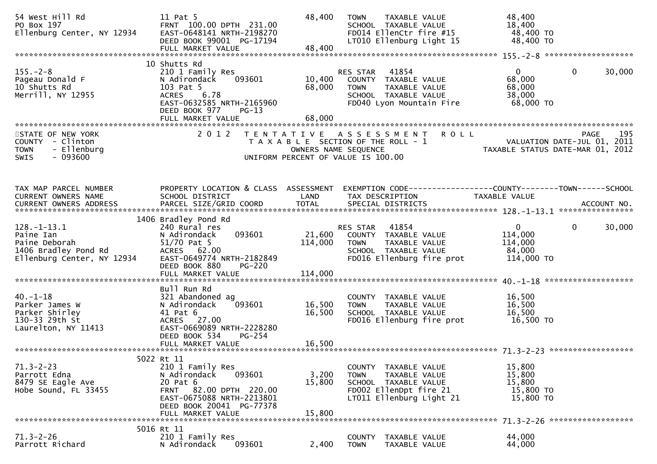| 54 West Hill Rd<br>PO Box 197<br>Ellenburg Center, NY 12934                                | 11 Pat 5<br>FRNT 100.00 DPTH 231.00<br>EAST-0648141 NRTH-2198270                                                                                                             | 48,400                     | TAXABLE VALUE<br><b>TOWN</b><br>SCHOOL TAXABLE VALUE<br>FD014 EllenCtr fire #15                                                    | 48,400<br>18,400<br>48,400 TO                                   |                        |
|--------------------------------------------------------------------------------------------|------------------------------------------------------------------------------------------------------------------------------------------------------------------------------|----------------------------|------------------------------------------------------------------------------------------------------------------------------------|-----------------------------------------------------------------|------------------------|
|                                                                                            | DEED BOOK 99001 PG-17194<br>FULL MARKET VALUE                                                                                                                                | 48,400                     | LT010 Ellenburg Light 15                                                                                                           | 48,400 TO                                                       |                        |
|                                                                                            | 10 Shutts Rd                                                                                                                                                                 |                            |                                                                                                                                    |                                                                 |                        |
| $155. - 2 - 8$<br>Pageau Donald F<br>10 Shutts Rd<br>Merrill, NY 12955                     | 210 1 Family Res<br>093601<br>N Adirondack<br>103 Pat 5<br>6.78<br><b>ACRES</b><br>EAST-0632585 NRTH-2165960<br>DEED BOOK 977<br>$PG-13$                                     | 10,400<br>68,000           | 41854<br>RES STAR<br>COUNTY TAXABLE VALUE<br>TAXABLE VALUE<br>TOWN<br>SCHOOL TAXABLE VALUE<br>FD040 Lyon Mountain Fire             | $\mathbf{0}$<br>68,000<br>68,000<br>38,000<br>68,000 TO         | $\mathbf{0}$<br>30,000 |
|                                                                                            | FULL MARKET VALUE                                                                                                                                                            | 68,000                     |                                                                                                                                    |                                                                 |                        |
| STATE OF NEW YORK<br>COUNTY - Clinton<br>- Ellenburg<br><b>TOWN</b><br>$-093600$<br>SWIS   | 2 0 1 2                                                                                                                                                                      | OWNERS NAME SEQUENCE       | TENTATIVE ASSESSMENT<br><b>ROLL</b><br>T A X A B L E SECTION OF THE ROLL - 1<br>UNIFORM PERCENT OF VALUE IS 100.00                 | VALUATION DATE-JUL 01, 2011<br>TAXABLE STATUS DATE-MAR 01, 2012 | 195<br>PAGE            |
| TAX MAP PARCEL NUMBER<br>CURRENT OWNERS NAME<br><b>CURRENT OWNERS ADDRESS</b>              | PROPERTY LOCATION & CLASS ASSESSMENT<br>SCHOOL DISTRICT<br>PARCEL SIZE/GRID COORD                                                                                            | LAND<br><b>TOTAL</b>       | EXEMPTION CODE-----------------COUNTY--------TOWN------SCHOOL<br>TAX DESCRIPTION<br>SPECIAL DISTRICTS                              | TAXABLE VALUE                                                   | ACCOUNT NO.            |
| $128. - 1 - 13.1$                                                                          | 1406 Bradley Pond Rd<br>240 Rural res                                                                                                                                        |                            | 41854                                                                                                                              | $\mathbf{0}$                                                    | $\mathbf{0}$<br>30,000 |
| Paine Ian<br>Paine Deborah<br>1406 Bradley Pond Rd<br>Ellenburg Center, NY 12934           | N Adirondack<br>093601<br>51/70 Pat 5<br>ACRES 62.00<br>EAST-0649774 NRTH-2182849<br>DEED BOOK 880<br>PG-220<br>FULL MARKET VALUE                                            | 21,600<br>114,000          | RES STAR<br>COUNTY TAXABLE VALUE<br><b>TOWN</b><br>TAXABLE VALUE<br>SCHOOL TAXABLE VALUE<br>FD016 Ellenburg fire prot              | 114,000<br>114,000<br>84,000<br>114,000 TO                      |                        |
|                                                                                            |                                                                                                                                                                              | 114,000                    |                                                                                                                                    |                                                                 |                        |
| $40. -1 - 18$<br>Parker James W<br>Parker Shirley<br>130-33 29th St<br>Laurelton, NY 11413 | Bull Run Rd<br>321 Abandoned ag<br>093601<br>N Adirondack<br>41 Pat 6<br>ACRES 27.00<br>EAST-0669089 NRTH-2228280<br>DEED BOOK 534<br>$PG-254$<br>FULL MARKET VALUE          | 16,500<br>16,500<br>16,500 | COUNTY TAXABLE VALUE<br>TAXABLE VALUE<br><b>TOWN</b><br>SCHOOL TAXABLE VALUE<br>FD016 Ellenburg fire prot                          | 16,500<br>16,500<br>16,500<br>16,500 TO                         |                        |
|                                                                                            |                                                                                                                                                                              |                            |                                                                                                                                    |                                                                 |                        |
| $71.3 - 2 - 23$<br>Parrott Edna<br>8479 SE Eagle Ave<br>Hobe Sound, FL 33455               | 5022 Rt 11<br>210 1 Family Res<br>093601<br>N Adirondack<br>20 Pat 6<br>FRNT 82.00 DPTH 220.00<br>EAST-0675088 NRTH-2213801<br>DEED BOOK 20041 PG-77378<br>FULL MARKET VALUE | 3,200<br>15,800<br>15,800  | COUNTY TAXABLE VALUE<br>TAXABLE VALUE<br><b>TOWN</b><br>SCHOOL TAXABLE VALUE<br>FD002 EllenDpt fire 21<br>LT011 Ellenburg Light 21 | 15,800<br>15,800<br>15,800<br>15,800 TO<br>15,800 TO            |                        |
|                                                                                            |                                                                                                                                                                              |                            |                                                                                                                                    |                                                                 |                        |
| $71.3 - 2 - 26$<br>Parrott Richard                                                         | 5016 Rt 11<br>210 1 Family Res<br>093601<br>N Adirondack                                                                                                                     | 2,400                      | <b>COUNTY</b><br>TAXABLE VALUE<br><b>TOWN</b><br>TAXABLE VALUE                                                                     | 44,000<br>44,000                                                |                        |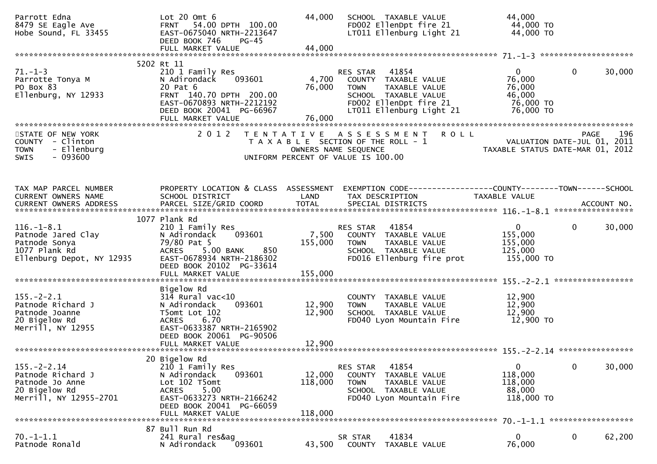| Parrott Edna<br>8479 SE Eagle Ave<br>Hobe Sound, FL 33455                                             | Lot $20$ Omt $6$<br>FRNT 54.00 DPTH 100.00<br>EAST-0675040 NRTH-2213647<br>DEED BOOK 746<br>$PG-45$<br>FULL MARKET VALUE                                                    | 44,000<br>44,000             | SCHOOL TAXABLE VALUE<br>FD002 EllenDpt fire 21<br>LT011 Ellenburg Light 21                                                                           | 44,000<br>44,000 TO<br>44,000 TO                                       |              |        |
|-------------------------------------------------------------------------------------------------------|-----------------------------------------------------------------------------------------------------------------------------------------------------------------------------|------------------------------|------------------------------------------------------------------------------------------------------------------------------------------------------|------------------------------------------------------------------------|--------------|--------|
|                                                                                                       | 5202 Rt 11                                                                                                                                                                  |                              |                                                                                                                                                      |                                                                        |              |        |
| $71. - 1 - 3$<br>Parrotte Tonya M<br>PO Box 83<br>Ellenburg, NY 12933                                 | 210 1 Family Res<br>093601<br>N Adirondack<br>20 Pat 6<br>FRNT 140.70 DPTH 200.00<br>EAST-0670893 NRTH-2212192<br>DEED BOOK 20041 PG-66967<br>FULL MARKET VALUE             | 4,700<br>76,000<br>76,000    | RES STAR 41854<br>COUNTY TAXABLE VALUE<br><b>TOWN</b><br>TAXABLE VALUE<br>SCHOOL TAXABLE VALUE<br>FD002 EllenDpt fire 21<br>LT011 Ellenburg Light 21 | $\overline{0}$<br>76,000<br>76,000<br>46,000<br>76,000 TO<br>76,000 TO | $\mathbf{0}$ | 30,000 |
|                                                                                                       |                                                                                                                                                                             |                              |                                                                                                                                                      |                                                                        |              |        |
| STATE OF NEW YORK<br>COUNTY - Clinton<br>- Ellenburg<br><b>TOWN</b><br>$-093600$<br><b>SWIS</b>       | 2 0 1 2                                                                                                                                                                     |                              | TENTATIVE ASSESSMENT ROLL<br>T A X A B L E SECTION OF THE ROLL - 1<br>OWNERS NAME SEQUENCE<br>UNIFORM PERCENT OF VALUE IS 100.00                     | VALUATION DATE-JUL 01, 2011<br>TAXABLE STATUS DATE-MAR 01, 2012        | PAGE         | 196    |
| TAX MAP PARCEL NUMBER<br>CURRENT OWNERS NAME                                                          | PROPERTY LOCATION & CLASS ASSESSMENT<br>SCHOOL DISTRICT                                                                                                                     | LAND                         | EXEMPTION CODE------------------COUNTY--------TOWN------SCHOOL<br>TAX DESCRIPTION                                                                    | TAXABLE VALUE                                                          |              |        |
| CURRENT OWNERS ADDRESS                                                                                |                                                                                                                                                                             |                              |                                                                                                                                                      |                                                                        |              |        |
|                                                                                                       | 1077 Plank Rd                                                                                                                                                               |                              |                                                                                                                                                      |                                                                        |              |        |
| $116. - 1 - 8.1$<br>Patnode Jared Clay<br>Patnode Sonya<br>1077 Plank Rd<br>Ellenburg Depot, NY 12935 | 210 1 Family Res<br>N Adirondack<br>093601<br>79/80 Pat 5<br>ACRES 5.00 BANK<br>850<br>EAST-0678934 NRTH-2186302<br>DEED BOOK 20102 PG-33614<br>FULL MARKET VALUE           | 7,500<br>155,000<br>155,000  | RES STAR 41854<br>COUNTY TAXABLE VALUE<br>TAXABLE VALUE<br><b>TOWN</b><br>SCHOOL TAXABLE VALUE<br>FD016 Ellenburg fire prot                          | $\overline{0}$<br>155,000<br>155,000<br>125,000<br>155,000 TO          | $\mathbf{0}$ | 30,000 |
|                                                                                                       | Bigelow Rd                                                                                                                                                                  |                              |                                                                                                                                                      |                                                                        |              |        |
| $155. - 2 - 2.1$<br>Patnode Richard J<br>Patnode Joanne<br>20 Bigelow Rd<br>Merrill, NY 12955         | $31\overline{4}$ Rural vac<10<br>093601<br>N Adirondack<br>T5omt Lot 102<br>6.70<br><b>ACRES</b><br>EAST-0633387 NRTH-2165902<br>DEED BOOK 20061 PG-90506                   | 12,900<br>12,900             | COUNTY TAXABLE VALUE<br>TAXABLE VALUE<br>TOWN<br>SCHOOL TAXABLE VALUE<br>FD040 Lyon Mountain Fire                                                    | 12,900<br>12,900<br>12,900<br>12,900 TO                                |              |        |
|                                                                                                       |                                                                                                                                                                             |                              |                                                                                                                                                      |                                                                        |              |        |
| $155. - 2 - 2.14$<br>Patnode Richard J<br>Patnode Jo Anne<br>20 Bigelow Rd<br>Merrill, NY 12955-2701  | 20 Bigelow Rd<br>210 1 Family Res<br>N Adirondack<br>093601<br>Lot 102 T5omt<br>5.00<br>ACRES<br>EAST-0633273 NRTH-2166242<br>DEED BOOK 20041 PG-66059<br>FULL MARKET VALUE | 12,000<br>118,000<br>118,000 | RES STAR<br>41854<br><b>COUNTY</b><br>TAXABLE VALUE<br><b>TOWN</b><br>TAXABLE VALUE<br>SCHOOL TAXABLE VALUE<br>FD040 Lyon Mountain Fire              | $\mathbf{0}$<br>118,000<br>118,000<br>88,000<br>118,000 TO             | $\Omega$     | 30,000 |
|                                                                                                       |                                                                                                                                                                             |                              |                                                                                                                                                      |                                                                        |              |        |
| $70. - 1 - 1.1$<br>Patnode Ronald                                                                     | 87 Bull Run Rd<br>241 Rural res&ag<br>093601<br>N Adirondack                                                                                                                | 43,500                       | 41834<br>SR STAR<br>COUNTY<br>TAXABLE VALUE                                                                                                          | $\mathbf{0}$<br>76,000                                                 | 0            | 62,200 |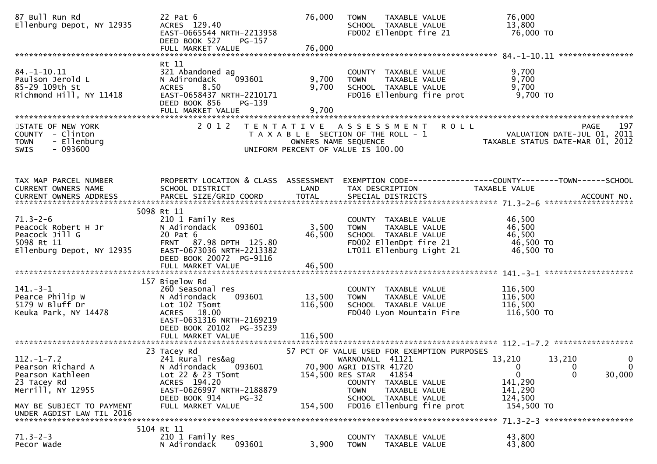| 87 Bull Run Rd<br>Ellenburg Depot, NY 12935                                                        | 22 Pat 6<br>ACRES 129.40<br>EAST-0665544 NRTH-2213958<br>DEED BOOK 527<br>PG-157<br>FULL MARKET VALUE                                                 | 76,000<br>76,000  | TAXABLE VALUE<br><b>TOWN</b><br>SCHOOL TAXABLE VALUE<br>FD002 EllenDpt fire 21                                                                    | 76,000<br>13,800<br>76,000 TO                                                                        |
|----------------------------------------------------------------------------------------------------|-------------------------------------------------------------------------------------------------------------------------------------------------------|-------------------|---------------------------------------------------------------------------------------------------------------------------------------------------|------------------------------------------------------------------------------------------------------|
| 84. –1–10.11                                                                                       | Rt 11<br>321 Abandoned ag                                                                                                                             |                   | COUNTY TAXABLE VALUE                                                                                                                              | 9,700                                                                                                |
| Paulson Jerold L<br>85-29 109th St<br>Richmond Hill, NY 11418                                      | 093601<br>N Adirondack<br>8.50<br><b>ACRES</b><br>EAST-0658437 NRTH-2210171<br>DEED BOOK 856<br>$PG-139$                                              | 9,700<br>9,700    | TAXABLE VALUE<br><b>TOWN</b><br>SCHOOL TAXABLE VALUE<br>FD016 Ellenburg fire prot                                                                 | 9,700<br>9,700<br>$9,700$ TO                                                                         |
|                                                                                                    |                                                                                                                                                       |                   |                                                                                                                                                   |                                                                                                      |
| STATE OF NEW YORK<br>COUNTY - Clinton<br>- Ellenburg<br><b>TOWN</b><br>SWIS<br>- 093600            | 2 0 1 2                                                                                                                                               |                   | TENTATIVE ASSESSMENT<br>T A X A B L E SECTION OF THE ROLL - 1<br>OWNERS NAME SEQUENCE<br>UNIFORM PERCENT OF VALUE IS 100.00                       | <b>ROLL</b><br>197<br>PAGE<br>VALUATION DATE-JUL 01, 2011<br>TAXABLE STATUS DATE-MAR 01, 2012        |
|                                                                                                    |                                                                                                                                                       |                   |                                                                                                                                                   |                                                                                                      |
| TAX MAP PARCEL NUMBER<br>CURRENT OWNERS NAME<br>CURRENT OWNERS ADDRESS                             | PROPERTY LOCATION & CLASS ASSESSMENT<br>SCHOOL DISTRICT                                                                                               | LAND              | TAX DESCRIPTION                                                                                                                                   | EXEMPTION CODE-----------------COUNTY-------TOWN------SCHOOL<br><b>TAXABLE VALUE</b>                 |
|                                                                                                    |                                                                                                                                                       |                   |                                                                                                                                                   |                                                                                                      |
| $71.3 - 2 - 6$<br>Peacock Robert H Jr<br>Peacock Jill G<br>5098 Rt 11<br>Ellenburg Depot, NY 12935 | 5098 Rt 11<br>210 1 Family Res<br>093601<br>N Adirondack<br>20 Pat 6<br>87.98 DPTH 125.80<br><b>FRNT</b><br>EAST-0673036 NRTH-2213382                 | 3,500<br>46,500   | COUNTY TAXABLE VALUE<br><b>TOWN</b><br>TAXABLE VALUE<br>SCHOOL TAXABLE VALUE<br>FD002 EllenDpt fire 21<br>LT011 Ellenburg Light 21                | 46,500<br>46,500<br>46,500<br>46,500 TO<br>46,500 TO                                                 |
|                                                                                                    | DEED BOOK 20072 PG-9116                                                                                                                               |                   |                                                                                                                                                   |                                                                                                      |
|                                                                                                    |                                                                                                                                                       |                   |                                                                                                                                                   |                                                                                                      |
| $141.-3-1$<br>Pearce Philip W<br>5179 W Bluff Dr<br>Keuka Park, NY 14478                           | 157 Bigelow Rd<br>260 Seasonal res<br>N Adirondack<br>093601<br>Lot 102 T5omt<br>ACRES 18.00<br>EAST-0631316 NRTH-2169219<br>DEED BOOK 20102 PG-35239 | 13,500<br>116,500 | COUNTY TAXABLE VALUE<br>TAXABLE VALUE<br><b>TOWN</b><br>SCHOOL TAXABLE VALUE<br>FD040 Lyon Mountain Fire                                          | 116,500<br>116,500<br>116,500<br>116,500 TO                                                          |
|                                                                                                    |                                                                                                                                                       |                   |                                                                                                                                                   |                                                                                                      |
| $112.-1-7.2$<br>Pearson Richard A<br>Pearson Kathleen<br>23 Tacey Rd                               | 23 Tacey Rd<br>241 Rural res&ag<br>N Adirondack<br>093601<br>Lot 22 & 23 T5omt<br>ACRES 194.20                                                        |                   | 57 PCT OF VALUE USED FOR EXEMPTION PURPOSES<br>WARNONALL 41121<br>70,900 AGRI DISTR 41720<br>154,500 RES STAR<br>41854<br>COUNTY<br>TAXABLE VALUE | 13,210<br>13,210<br>0<br>0<br>$\mathbf{0}$<br>0<br>$\mathbf{0}$<br>30,000<br>$\mathbf{0}$<br>141,290 |
| Merrill, NY 12955<br>MAY BE SUBJECT TO PAYMENT<br>UNDER AGDIST LAW TIL 2016                        | EAST-0626997 NRTH-2188879<br>DEED BOOK 914<br><b>PG-32</b><br>FULL MARKET VALUE                                                                       | 154,500           | <b>TOWN</b><br>TAXABLE VALUE<br>SCHOOL TAXABLE VALUE<br>FD016 Ellenburg fire prot                                                                 | 141,290<br>124,500<br>154,500 TO                                                                     |
|                                                                                                    |                                                                                                                                                       |                   |                                                                                                                                                   |                                                                                                      |
| $71.3 - 2 - 3$<br>Pecor Wade                                                                       | 5104 Rt 11<br>210 1 Family Res<br>093601<br>N Adirondack                                                                                              | 3,900             | <b>COUNTY</b><br>TAXABLE VALUE<br><b>TOWN</b><br>TAXABLE VALUE                                                                                    | 43,800<br>43,800                                                                                     |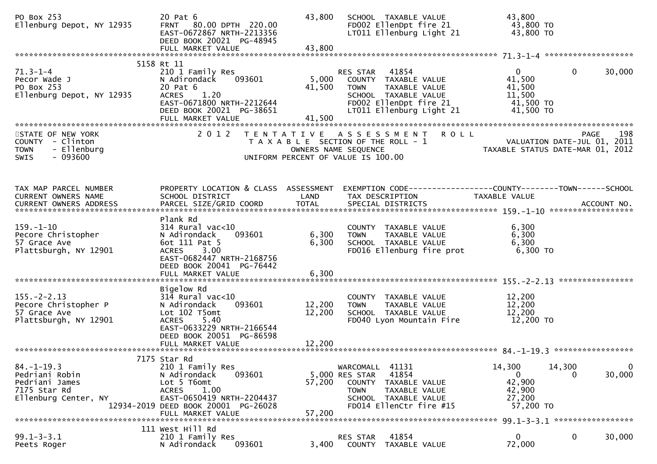| PO Box 253<br>Ellenburg Depot, NY 12935                                                      | 20 Pat 6<br>FRNT 80.00 DPTH 220.00<br>EAST-0672867 NRTH-2213356<br>DEED BOOK 20021 PG-48945<br>FULL MARKET VALUE                                                      | 43,800<br>43,800          | SCHOOL TAXABLE VALUE<br>FD002 EllenDpt fire 21<br>LT011 Ellenburg Light 21                                                                               | 43,800<br>43,800 TO<br>43,800 TO                                       |                    |                          |
|----------------------------------------------------------------------------------------------|-----------------------------------------------------------------------------------------------------------------------------------------------------------------------|---------------------------|----------------------------------------------------------------------------------------------------------------------------------------------------------|------------------------------------------------------------------------|--------------------|--------------------------|
|                                                                                              | 5158 Rt 11                                                                                                                                                            |                           |                                                                                                                                                          |                                                                        |                    |                          |
| $71.3 - 1 - 4$<br>Pecor Wade J<br>PO Box 253<br>Ellenburg Depot, NY 12935                    | 210 1 Family Res<br>093601<br>N Adirondack<br>20 Pat 6<br><b>ACRES</b><br>1.20<br>EAST-0671800 NRTH-2212644<br>DEED BOOK 20021 PG-38651<br>FULL MARKET VALUE          | 5,000<br>41,500<br>41,500 | RES STAR 41854<br>COUNTY TAXABLE VALUE<br><b>TOWN</b><br>TAXABLE VALUE<br>SCHOOL TAXABLE VALUE<br>FD002 EllenDpt fire 21<br>LT011 Ellenburg Light 21     | $\overline{0}$<br>41,500<br>41,500<br>11,500<br>41,500 TO<br>41,500 TO | $\mathbf{0}$       | 30,000                   |
| STATE OF NEW YORK                                                                            | 2 0 1 2                                                                                                                                                               |                           | TENTATIVE ASSESSMENT ROLL                                                                                                                                |                                                                        |                    | 198<br>PAGE              |
| COUNTY - Clinton<br><b>TOWN</b><br>- Ellenburg<br>$-093600$<br><b>SWIS</b>                   |                                                                                                                                                                       |                           | T A X A B L E SECTION OF THE ROLL - 1<br>OWNERS NAME SEQUENCE<br>UNIFORM PERCENT OF VALUE IS 100.00                                                      | VALUATION DATE-JUL 01, 2011<br>TAXABLE STATUS DATE-MAR 01, 2012        |                    |                          |
| TAX MAP PARCEL NUMBER<br>CURRENT OWNERS NAME                                                 | PROPERTY LOCATION & CLASS ASSESSMENT<br>SCHOOL DISTRICT                                                                                                               | LAND                      | EXEMPTION CODE------------------COUNTY--------TOWN------SCHOOL<br>TAX DESCRIPTION                                                                        | TAXABLE VALUE                                                          |                    |                          |
| CURRENT OWNERS ADDRESS PARCEL SIZE/GRID COORD TOTAL SPECIAL DISTRICTS 75 75 75 ACCOUNT NO.   |                                                                                                                                                                       | <b>TOTAL</b>              |                                                                                                                                                          |                                                                        |                    |                          |
| $159. - 1 - 10$                                                                              | Plank Rd<br>$314$ Rural vac<10                                                                                                                                        |                           | COUNTY TAXABLE VALUE                                                                                                                                     | 6,300                                                                  |                    |                          |
| Pecore Christopher<br>57 Grace Ave<br>Plattsburgh, NY 12901                                  | 093601<br>N Adirondack<br>6ot 111 Pat 5<br><b>ACRES</b><br>3.00                                                                                                       | 6,300<br>6,300            | TAXABLE VALUE<br><b>TOWN</b><br>SCHOOL TAXABLE VALUE<br>FD016 Ellenburg fire prot                                                                        | 6,300<br>6,300<br>6,300 TO                                             |                    |                          |
|                                                                                              | EAST-0682447 NRTH-2168756<br>DEED BOOK 20041 PG-76442<br>FULL MARKET VALUE                                                                                            | 6,300                     |                                                                                                                                                          |                                                                        |                    |                          |
|                                                                                              | Bigelow Rd                                                                                                                                                            |                           |                                                                                                                                                          |                                                                        |                    |                          |
| $155. - 2 - 2.13$<br>Pecore Christopher P<br>57 Grace Ave<br>Plattsburgh, NY 12901           | $314$ Rural vac<10<br>093601<br>N Adirondack<br>Lot 102 T5omt<br>5.40<br><b>ACRES</b>                                                                                 | 12,200<br>12,200          | COUNTY TAXABLE VALUE<br>TAXABLE VALUE<br>TOWN<br>SCHOOL TAXABLE VALUE<br>FD040 Lyon Mountain Fire                                                        | 12,200<br>12,200<br>12,200<br>12,200 TO                                |                    |                          |
|                                                                                              | EAST-0633229 NRTH-2166544<br>DEED BOOK 20051 PG-86598                                                                                                                 |                           |                                                                                                                                                          |                                                                        |                    |                          |
|                                                                                              |                                                                                                                                                                       |                           |                                                                                                                                                          |                                                                        |                    |                          |
| $84. - 1 - 19.3$<br>Pedriani Robin<br>Pedriani James<br>7175 Star Rd<br>Ellenburg Center, NY | 7175 Star Rd<br>210 1 Family Res<br>093601<br>N Adirondack<br>Lot 5 T6omt<br>1.00<br><b>ACRES</b><br>EAST-0650419 NRTH-2204437<br>12934-2019 DEED BOOK 20001 PG-26028 | 57,200                    | WARCOMALL 41131<br>41854<br>5,000 RES STAR<br>COUNTY<br>TAXABLE VALUE<br>TAXABLE VALUE<br><b>TOWN</b><br>SCHOOL TAXABLE VALUE<br>FD014 EllenCtr fire #15 | 14,300<br>$\mathbf 0$<br>42,900<br>42,900<br>27,200<br>57,200 TO       | 14,300<br>$\Omega$ | $\overline{0}$<br>30,000 |
|                                                                                              | FULL MARKET VALUE                                                                                                                                                     | 57,200                    |                                                                                                                                                          |                                                                        |                    |                          |
| $99.1 - 3 - 3.1$<br>Peets Roger                                                              | 111 West Hill Rd<br>210 1 Family Res<br>N Adirondack<br>093601                                                                                                        | 3,400                     | 41854<br>RES STAR<br>COUNTY TAXABLE VALUE                                                                                                                | 0<br>72,000                                                            | 0                  | 30,000                   |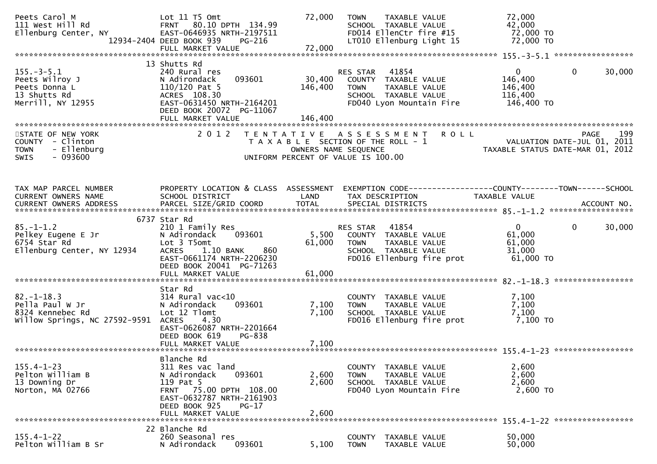| Peets Carol M<br>111 West Hill Rd<br>Ellenburg Center, NY                                                                                                                                                                          | Lot 11 T5 Omt<br>FRNT 80.10 DPTH 134.99<br>EAST-0646935 NRTH-2197511<br>PG-216<br>12934-2404 DEED BOOK 939<br>FULL MARKET VALUE                                               | 72,000<br>72,000             | TAXABLE VALUE<br>TOWN<br>SCHOOL TAXABLE VALUE<br>FD014 EllenCtr fire #15<br>LT010 Ellenburg Light 15                        | 72,000<br>42,000<br>72,000 TO<br>72,000 TO                      |                        |
|------------------------------------------------------------------------------------------------------------------------------------------------------------------------------------------------------------------------------------|-------------------------------------------------------------------------------------------------------------------------------------------------------------------------------|------------------------------|-----------------------------------------------------------------------------------------------------------------------------|-----------------------------------------------------------------|------------------------|
|                                                                                                                                                                                                                                    | 13 Shutts Rd                                                                                                                                                                  |                              |                                                                                                                             |                                                                 |                        |
| $155. - 3 - 5.1$<br>Peets Wilroy J<br>Peets Donna L<br>13 Shutts Rd<br>Merrill, NY 12955                                                                                                                                           | 240 Rural res<br>093601<br>N Adirondack<br>$110/120$ Pat 5<br>ACRES 108.30<br>EAST-0631450 NRTH-2164201<br>DEED BOOK 20072 PG-11067<br>FULL MARKET VALUE                      | 30,400<br>146,400<br>146,400 | RES STAR 41854<br>COUNTY TAXABLE VALUE<br>TAXABLE VALUE<br><b>TOWN</b><br>SCHOOL TAXABLE VALUE<br>FD040 Lyon Mountain Fire  | $\overline{0}$<br>146,400<br>146,400<br>116,400<br>146,400 TO   | $\mathbf 0$<br>30,000  |
|                                                                                                                                                                                                                                    |                                                                                                                                                                               |                              |                                                                                                                             |                                                                 |                        |
| STATE OF NEW YORK<br>$COUNTY - Clinton$<br>- Ellenburg<br><b>TOWN</b><br>$-093600$<br>SWIS                                                                                                                                         | 2 0 1 2                                                                                                                                                                       | OWNERS NAME SEQUENCE         | TENTATIVE ASSESSMENT ROLL<br>T A X A B L E SECTION OF THE ROLL - 1<br>UNIFORM PERCENT OF VALUE IS 100.00                    | VALUATION DATE-JUL 01, 2011<br>TAXABLE STATUS DATE-MAR 01, 2012 | 199<br>PAGE            |
| TAX MAP PARCEL NUMBER<br>CURRENT OWNERS NAME<br>-CURRENT OWNERS ADDRESS FARCEL SIZE/GRID COORD TOTAL SPECIAL DISTRICTS AND MONERS ADDRESS FARCEL SIZE/GRID COORD TOTAL SPECIAL DISTRICTS AND MONERS ADDRESS FARCEL SIZE/GRID COORD | SCHOOL DISTRICT                                                                                                                                                               | LAND                         | PROPERTY LOCATION & CLASS ASSESSMENT EXEMPTION CODE----------------COUNTY-------TOWN------SCHOOL<br>TAX DESCRIPTION         | TAXABLE VALUE                                                   |                        |
|                                                                                                                                                                                                                                    | 6737 Star Rd                                                                                                                                                                  |                              |                                                                                                                             |                                                                 |                        |
| $85. - 1 - 1.2$<br>Pelkey Eugene E Jr<br>6754 Star Rd<br>Ellenburg Center, NY 12934                                                                                                                                                | 210 1 Family Res<br>093601<br>N Adirondack<br>Lot 3 T5omt<br>ACRES 1.10 BANK<br>860<br>EAST-0661174 NRTH-2206230<br>DEED BOOK 20041 PG-71263<br>FULL MARKET VALUE             | 5,500<br>61,000<br>61,000    | RES STAR 41854<br>COUNTY TAXABLE VALUE<br><b>TOWN</b><br>TAXABLE VALUE<br>SCHOOL TAXABLE VALUE<br>FD016 Ellenburg fire prot | $\mathbf{0}$<br>61,000<br>61,000<br>31,000<br>61,000 TO         | $\mathbf{0}$<br>30,000 |
|                                                                                                                                                                                                                                    | Star Rd                                                                                                                                                                       |                              |                                                                                                                             |                                                                 |                        |
| $82. - 1 - 18.3$<br>Pella Paul W Jr<br>8324 Kennebec Rd<br>willow Springs, NC 27592-9591                                                                                                                                           | 314 Rural vac<10<br>093601<br>N Adirondack<br>Lot 12 Tlomt<br>ACRES 4.30<br>EAST-0626087 NRTH-2201664<br>DEED BOOK 619<br>PG-838                                              | 7,100<br>7,100               | COUNTY TAXABLE VALUE<br><b>TOWN</b><br>TAXABLE VALUE<br>SCHOOL TAXABLE VALUE<br>FD016 Ellenburg fire prot                   | 7,100<br>7,100<br>7,100<br>7,100 то                             |                        |
| ************************                                                                                                                                                                                                           |                                                                                                                                                                               |                              |                                                                                                                             |                                                                 |                        |
| $155.4 - 1 - 23$<br>Pelton William B<br>13 Downing Dr<br>Norton, MA 02766                                                                                                                                                          | Blanche Rd<br>311 Res vac land<br>093601<br>N Adirondack<br>119 Pat 5<br>FRNT 75.00 DPTH 108.00<br>EAST-0632787 NRTH-2161903<br>DEED BOOK 925<br>$PG-17$<br>FULL MARKET VALUE | 2,600<br>2,600<br>2,600      | COUNTY TAXABLE VALUE<br>TAXABLE VALUE<br><b>TOWN</b><br>SCHOOL TAXABLE VALUE<br>FD040 Lyon Mountain Fire                    | 2,600<br>2,600<br>2,600<br>2,600 TO                             |                        |
|                                                                                                                                                                                                                                    |                                                                                                                                                                               |                              |                                                                                                                             |                                                                 |                        |
| $155.4 - 1 - 22$<br>Pelton William B Sr                                                                                                                                                                                            | 22 Blanche Rd<br>260 Seasonal res<br>093601<br>N Adirondack                                                                                                                   | 5,100                        | <b>COUNTY</b><br>TAXABLE VALUE<br><b>TOWN</b><br>TAXABLE VALUE                                                              | 50,000<br>50,000                                                |                        |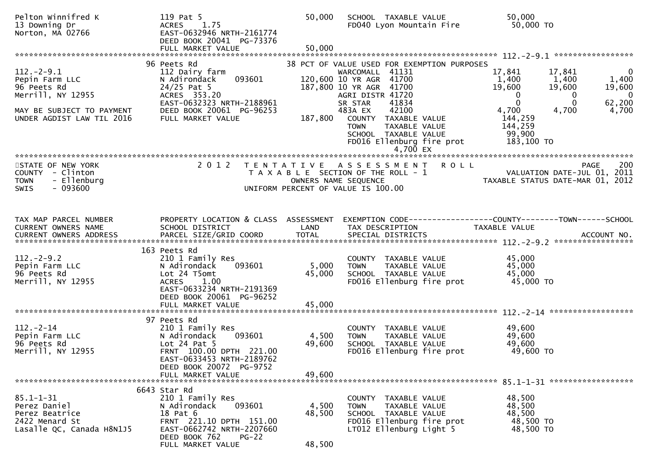| Pelton Winnifred K<br>13 Downing Dr<br>Norton, MA 02766                                                                          | 119 Pat 5<br>1.75<br><b>ACRES</b><br>EAST-0632946 NRTH-2161774<br>DEED BOOK 20041 PG-73376                                                                                            | 50,000                    | SCHOOL TAXABLE VALUE<br>FD040 Lyon Mountain Fire                                                                                                                                                                                                                                              | 50,000<br>50,000 TO                                                                                                                                             |                                                                      |
|----------------------------------------------------------------------------------------------------------------------------------|---------------------------------------------------------------------------------------------------------------------------------------------------------------------------------------|---------------------------|-----------------------------------------------------------------------------------------------------------------------------------------------------------------------------------------------------------------------------------------------------------------------------------------------|-----------------------------------------------------------------------------------------------------------------------------------------------------------------|----------------------------------------------------------------------|
| $112. - 2 - 9.1$<br>Pepin Farm LLC<br>96 Peets Rd<br>Merrill, NY 12955<br>MAY BE SUBJECT TO PAYMENT<br>UNDER AGDIST LAW TIL 2016 | 96 Peets Rd<br>112 Dairy farm<br>093601<br>N Adirondack<br>$24/25$ Pat 5<br>ACRES 353.20<br>EAST-0632323 NRTH-2188961<br>DEED BOOK 20061 PG-96253<br>FULL MARKET VALUE                | 187,800                   | 38 PCT OF VALUE USED FOR EXEMPTION PURPOSES<br>WARCOMALL 41131<br>120,600 10 YR AGR 41700<br>187,800 10 YR AGR 41700<br>AGRI DISTR 41720<br>41834<br>SR STAR<br>42100<br>483A EX<br>COUNTY TAXABLE VALUE<br>TAXABLE VALUE<br><b>TOWN</b><br>SCHOOL TAXABLE VALUE<br>FD016 Ellenburg fire prot | 17,841<br>17,841<br>1,400<br>1,400<br>19,600<br>19,600<br>$\Omega$<br>0<br>$\Omega$<br>$\Omega$<br>4,700<br>4,700<br>144,259<br>144,259<br>99,900<br>183,100 TO | $\overline{0}$<br>1,400<br>19,600<br>$\mathbf{0}$<br>62,200<br>4,700 |
| STATE OF NEW YORK<br>COUNTY - Clinton<br>- Ellenburg<br><b>TOWN</b><br>$-093600$<br><b>SWIS</b>                                  | 2 0 1 2                                                                                                                                                                               |                           | TENTATIVE ASSESSMENT ROLL<br>T A X A B L E SECTION OF THE ROLL - 1<br>OWNERS NAME SEQUENCE<br>UNIFORM PERCENT OF VALUE IS 100.00                                                                                                                                                              | VALUATION DATE-JUL 01, 2011<br>TAXABLE STATUS DATE-MAR 01, 2012                                                                                                 | 200<br>PAGE                                                          |
| TAX MAP PARCEL NUMBER<br>CURRENT OWNERS NAME                                                                                     | PROPERTY LOCATION & CLASS ASSESSMENT<br>SCHOOL DISTRICT                                                                                                                               | LAND                      | TAX DESCRIPTION                                                                                                                                                                                                                                                                               | <b>TAXABLE VALUE</b>                                                                                                                                            |                                                                      |
| $112. - 2 - 9.2$<br>Pepin Farm LLC<br>96 Peets Rd<br>Merrill, NY 12955                                                           | 163 Peets Rd<br>210 1 Family Res<br>093601<br>N Adirondack<br>Lot 24 T5omt<br>1.00<br><b>ACRES</b><br>EAST-0633234 NRTH-2191369<br>DEED BOOK 20061 PG-96252<br>FULL MARKET VALUE      | 5,000<br>45,000<br>45,000 | COUNTY TAXABLE VALUE<br><b>TOWN</b><br>TAXABLE VALUE<br>SCHOOL TAXABLE VALUE<br>FD016 Ellenburg fire prot                                                                                                                                                                                     | 45,000<br>45,000<br>45,000<br>45,000 TO                                                                                                                         |                                                                      |
| $112 - 2 - 14$<br>Pepin Farm LLC<br>96 Peets Rd<br>Merrill, NY 12955                                                             | 97 Peets Rd<br>210 1 Family Res<br>093601<br>N Adirondack<br>Lot $24$ Pat $5$<br>FRNT 100.00 DPTH 221.00<br>EAST-0633453 NRTH-2189762<br>DEED BOOK 20072 PG-9752<br>FULL MARKET VALUE | 4,500<br>49,600<br>49,600 | COUNTY<br>TAXABLE VALUE<br>TAXABLE VALUE<br><b>TOWN</b><br>SCHOOL TAXABLE VALUE<br>FD016 Ellenburg fire prot                                                                                                                                                                                  | 49,600<br>49,600<br>49,600<br>49,600 TO                                                                                                                         |                                                                      |
| $85.1 - 1 - 31$<br>Perez Daniel<br>Perez Beatrice<br>2422 Menard St<br>Lasalle QC, Canada H8N1J5                                 | 6643 Star Rd<br>210 1 Family Res<br>093601<br>N Adirondack<br>18 Pat 6<br>FRNT 221.10 DPTH 151.00<br>EAST-0662742 NRTH-2207660<br>DEED BOOK 762<br>$PG-22$<br>FULL MARKET VALUE       | 4,500<br>48,500<br>48,500 | COUNTY<br>TAXABLE VALUE<br>TAXABLE VALUE<br><b>TOWN</b><br>SCHOOL TAXABLE VALUE<br>FD016 Ellenburg fire prot<br>LT012 Ellenburg Light 5                                                                                                                                                       | 48,500<br>48,500<br>48,500<br>48,500 TO<br>48,500 TO                                                                                                            |                                                                      |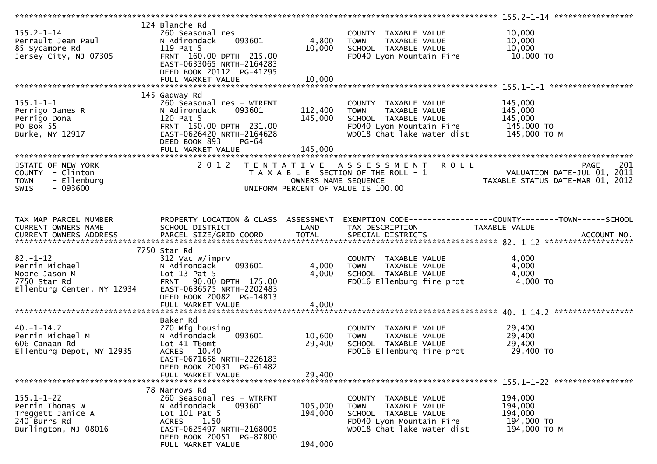| $155.2 - 1 - 14$                   | 124 Blanche Rd                                    |                      |                                                      |                                                                |
|------------------------------------|---------------------------------------------------|----------------------|------------------------------------------------------|----------------------------------------------------------------|
| Perrault Jean Paul                 | 260 Seasonal res<br>093601<br>N Adirondack        | 4,800                | COUNTY TAXABLE VALUE<br>TAXABLE VALUE<br><b>TOWN</b> | 10,000<br>10,000                                               |
| 85 Sycamore Rd                     | 119 Pat 5                                         | 10,000               | SCHOOL TAXABLE VALUE                                 | 10,000                                                         |
| Jersey City, NJ 07305              | FRNT 160.00 DPTH 215.00                           |                      | FD040 Lyon Mountain Fire                             | 10,000 TO                                                      |
|                                    | EAST-0633065 NRTH-2164283                         |                      |                                                      |                                                                |
|                                    | DEED BOOK 20112 PG-41295                          |                      |                                                      |                                                                |
|                                    | FULL MARKET VALUE                                 | 10,000               |                                                      |                                                                |
|                                    |                                                   |                      |                                                      |                                                                |
|                                    | 145 Gadway Rd                                     |                      |                                                      |                                                                |
| $155.1 - 1 - 1$<br>Perrigo James R | 260 Seasonal res - WTRFNT<br>093601               | 112,400              | COUNTY TAXABLE VALUE                                 | 145,000<br>145,000                                             |
| Perrigo Dona                       | N Adirondack<br>120 Pat 5                         | 145,000              | TAXABLE VALUE<br><b>TOWN</b><br>SCHOOL TAXABLE VALUE | 145,000                                                        |
| PO Box 55                          | FRNT 150.00 DPTH 231.00                           |                      | FD040 Lyon Mountain Fire                             | 145,000 TO                                                     |
| Burke, NY 12917                    | EAST-0626420 NRTH-2164628                         |                      | WD018 Chat lake water dist                           | 145,000 TO M                                                   |
|                                    | DEED BOOK 893<br><b>PG-64</b>                     |                      |                                                      |                                                                |
|                                    |                                                   |                      |                                                      |                                                                |
|                                    |                                                   |                      |                                                      |                                                                |
| STATE OF NEW YORK                  | 2 0 1 2                                           |                      | TENTATIVE ASSESSMENT<br><b>ROLL</b>                  | 201<br>PAGE                                                    |
| COUNTY - Clinton                   |                                                   |                      | T A X A B L E SECTION OF THE ROLL - 1                | VALUATION DATE-JUL 01, 2011                                    |
| - Ellenburg<br><b>TOWN</b>         |                                                   | OWNERS NAME SEQUENCE |                                                      | TAXABLE STATUS DATE-MAR 01, 2012                               |
| SWIS<br>- 093600                   |                                                   |                      | UNIFORM PERCENT OF VALUE IS 100.00                   |                                                                |
|                                    |                                                   |                      |                                                      |                                                                |
|                                    |                                                   |                      |                                                      |                                                                |
| TAX MAP PARCEL NUMBER              | PROPERTY LOCATION & CLASS ASSESSMENT              |                      |                                                      | EXEMPTION CODE------------------COUNTY--------TOWN------SCHOOL |
| CURRENT OWNERS NAME                | SCHOOL DISTRICT                                   | LAND                 | TAX DESCRIPTION                                      | TAXABLE VALUE                                                  |
| CURRENT OWNERS ADDRESS             |                                                   |                      |                                                      |                                                                |
|                                    |                                                   |                      |                                                      |                                                                |
| $82. - 1 - 12$                     | 7750 Star Rd                                      |                      |                                                      | 4,000                                                          |
| Perrin Michael                     | 312 Vac w/imprv<br>093601<br>N Adirondack         | 4,000                | COUNTY TAXABLE VALUE<br><b>TOWN</b><br>TAXABLE VALUE | 4,000                                                          |
| Moore Jason M                      | Lot $13$ Pat $5$                                  | 4,000                | SCHOOL TAXABLE VALUE                                 | 4,000                                                          |
| 7750 Star Rd                       | 90.00 DPTH 175.00<br><b>FRNT</b>                  |                      | FD016 Ellenburg fire prot                            | 4,000 TO                                                       |
| Ellenburg Center, NY 12934         | EAST-0636575 NRTH-2202483                         |                      |                                                      |                                                                |
|                                    | DEED BOOK 20082 PG-14813                          |                      |                                                      |                                                                |
|                                    |                                                   |                      |                                                      |                                                                |
|                                    |                                                   |                      |                                                      |                                                                |
|                                    | Baker Rd                                          |                      |                                                      |                                                                |
| $40. -1 - 14.2$                    | 270 Mfg housing                                   |                      | COUNTY TAXABLE VALUE                                 | 29,400                                                         |
| Perrin Michael M<br>606 Canaan Rd  | 093601<br>N Adirondack<br>Lot 41 T6omt            | 10,600<br>29,400     | TAXABLE VALUE<br><b>TOWN</b><br>SCHOOL TAXABLE VALUE | 29,400<br>29,400                                               |
| Ellenburg Depot, NY 12935          | ACRES 10.40                                       |                      | FD016 Ellenburg fire prot                            | 29,400 TO                                                      |
|                                    | EAST-0671658 NRTH-2226183                         |                      |                                                      |                                                                |
|                                    | DEED BOOK 20031 PG-61482                          |                      |                                                      |                                                                |
|                                    | FULL MARKET VALUE                                 | 29,400               |                                                      |                                                                |
|                                    |                                                   |                      |                                                      |                                                                |
|                                    | 78 Narrows Rd                                     |                      |                                                      |                                                                |
| $155.1 - 1 - 22$                   | 260 Seasonal res - WTRFNT                         |                      | COUNTY<br>TAXABLE VALUE                              | 194,000                                                        |
| Perrin Thomas W                    | N Adirondack<br>093601                            | 105,000              | TAXABLE VALUE<br><b>TOWN</b>                         | 194,000                                                        |
| Treggett Janice A<br>240 Burrs Rd  | Lot 101 Pat 5                                     | 194,000              | SCHOOL TAXABLE VALUE<br>FD040 Lyon Mountain Fire     | 194,000<br>194,000 TO                                          |
| Burlington, NJ 08016               | <b>ACRES</b><br>1.50<br>EAST-0625497 NRTH-2168005 |                      | WD018 Chat lake water dist                           | 194,000 ТО М                                                   |
|                                    | DEED BOOK 20051 PG-87800                          |                      |                                                      |                                                                |
|                                    | FULL MARKET VALUE                                 | 194,000              |                                                      |                                                                |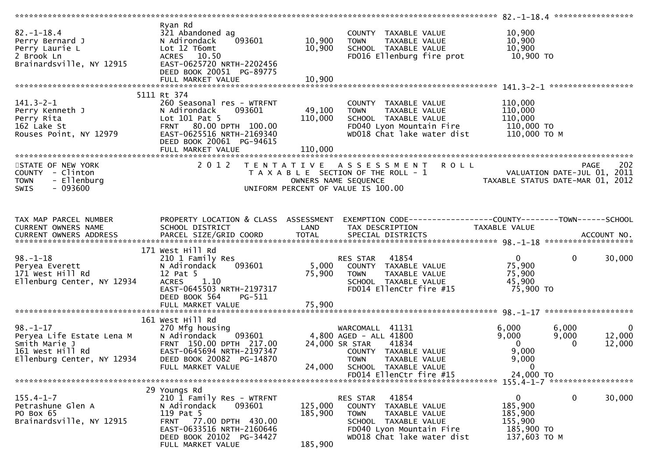|                                                                                                                |                                                                                                                                                                        |                            |                                                                                                                                                             | ************************** 82.-1-18.4 *******************                   |                            |                                  |
|----------------------------------------------------------------------------------------------------------------|------------------------------------------------------------------------------------------------------------------------------------------------------------------------|----------------------------|-------------------------------------------------------------------------------------------------------------------------------------------------------------|-----------------------------------------------------------------------------|----------------------------|----------------------------------|
| $82. - 1 - 18.4$<br>Perry Bernard J<br>Perry Laurie L<br>2 Brook Ln<br>Brainardsville, NY 12915                | Rvan Rd<br>321 Abandoned ag<br>N Adirondack<br>093601<br>Lot 12 T6omt<br>ACRES 10.50<br>EAST-0625720 NRTH-2202456<br>DEED BOOK 20051 PG-89775<br>FULL MARKET VALUE     | 10,900<br>10,900<br>10,900 | COUNTY TAXABLE VALUE<br>TAXABLE VALUE<br><b>TOWN</b><br>SCHOOL TAXABLE VALUE<br>FD016 Ellenburg fire prot                                                   | 10,900<br>10,900<br>10,900<br>10,900 то                                     |                            |                                  |
|                                                                                                                |                                                                                                                                                                        |                            |                                                                                                                                                             |                                                                             |                            |                                  |
|                                                                                                                | 5111 Rt 374                                                                                                                                                            |                            |                                                                                                                                                             |                                                                             |                            |                                  |
| $141.3 - 2 - 1$<br>Perry Kenneth J<br>Perry Rita<br>162 Lake St<br>Rouses Point, NY 12979                      | 260 Seasonal res - WTRFNT<br>093601<br>N Adirondack<br>Lot $101$ Pat 5<br>FRNT 80.00 DPTH 100.00<br>EAST-0625516 NRTH-2169340<br>DEED BOOK 20061 PG-94615              | 49,100<br>110,000          | COUNTY TAXABLE VALUE<br>TAXABLE VALUE<br><b>TOWN</b><br>SCHOOL TAXABLE VALUE<br>FD040 Lyon Mountain Fire<br>WD018 Chat lake water dist                      | 110,000<br>110,000<br>110,000<br>110,000 TO<br>110,000 ТО М                 |                            |                                  |
|                                                                                                                |                                                                                                                                                                        |                            |                                                                                                                                                             |                                                                             |                            |                                  |
| STATE OF NEW YORK<br>COUNTY - Clinton<br>- Ellenburg<br><b>TOWN</b><br><b>SWIS</b><br>- 093600                 | 2 0 1 2                                                                                                                                                                |                            | <b>ROLL</b><br>TENTATIVE ASSESSMENT<br>T A X A B L E SECTION OF THE ROLL - 1<br>OWNERS NAME SEQUENCE<br>UNIFORM PERCENT OF VALUE IS 100.00                  | VALUATION DATE-JUL 01, 2011<br>TAXABLE STATUS DATE-MAR 01, 2012             | <b>PAGE</b>                | 202                              |
| TAX MAP PARCEL NUMBER<br>CURRENT OWNERS NAME                                                                   | PROPERTY LOCATION & CLASS ASSESSMENT<br>SCHOOL DISTRICT                                                                                                                | LAND                       | TAX DESCRIPTION                                                                                                                                             | TAXABLE VALUE                                                               |                            |                                  |
|                                                                                                                | 171 West Hill Rd                                                                                                                                                       |                            |                                                                                                                                                             |                                                                             |                            |                                  |
| $98. - 1 - 18$<br>Peryea Everett<br>171 West Hill Rd<br>Ellenburg Center, NY 12934                             | 210 1 Family Res<br>093601<br>N Adirondack<br>12 Pat 5<br>1.10<br><b>ACRES</b><br>EAST-0645503 NRTH-2197317<br>DEED BOOK 564<br>$PG-511$                               | 5,000<br>75,900            | 41854<br>RES STAR<br>COUNTY TAXABLE VALUE<br>TAXABLE VALUE<br><b>TOWN</b><br>SCHOOL TAXABLE VALUE<br>FD014 EllenCtr fire #15                                | $\mathbf{0}$<br>75,900<br>75,900<br>45,900<br>75,900 TO                     | $\mathbf 0$                | 30,000                           |
|                                                                                                                | FULL MARKET VALUE                                                                                                                                                      | 75,900                     |                                                                                                                                                             |                                                                             |                            |                                  |
|                                                                                                                |                                                                                                                                                                        |                            |                                                                                                                                                             |                                                                             |                            |                                  |
| $98. - 1 - 17$<br>Peryea Life Estate Lena M<br>Smith Marie J<br>161 West Hill Rd<br>Ellenburg Center, NY 12934 | 161 West Hill Rd<br>270 Mfg housing<br>093601<br>N Adirondack<br>FRNT 150.00 DPTH 217.00<br>EAST-0645694 NRTH-2197347<br>DEED BOOK 20082 PG-14870<br>FULL MARKET VALUE | 24,000                     | WARCOMALL 41131<br>4,800 AGED - ALL 41800<br>24,000 SR STAR<br>41834<br>COUNTY TAXABLE VALUE<br><b>TOWN</b><br>TAXABLE VALUE<br>SCHOOL TAXABLE VALUE        | 6,000<br>9,000<br>$\overline{0}$<br>9,000<br>9,000<br>$\mathbf 0$           | 6,000<br>9,000<br>$\Omega$ | $\mathbf{0}$<br>12,000<br>12,000 |
|                                                                                                                |                                                                                                                                                                        |                            | FD014 EllenCtr fire #15                                                                                                                                     | 24,000 TO                                                                   |                            |                                  |
|                                                                                                                |                                                                                                                                                                        |                            |                                                                                                                                                             |                                                                             |                            |                                  |
| $155.4 - 1 - 7$<br>Petrashune Glen A<br>PO Box 65<br>Brainardsville, NY 12915                                  | 29 Youngs Rd<br>210 1 Family Res - WTRFNT<br>N Adirondack<br>093601<br>119 Pat 5<br>FRNT 77.00 DPTH 430.00<br>EAST-0633516 NRTH-2160646<br>DEED BOOK 20102 PG-34427    | 125,000<br>185,900         | 41854<br>RES STAR<br>COUNTY TAXABLE VALUE<br>TAXABLE VALUE<br><b>TOWN</b><br>SCHOOL TAXABLE VALUE<br>FD040 Lyon Mountain Fire<br>WD018 Chat lake water dist | $\mathbf{0}$<br>185,900<br>185,900<br>155,900<br>185,900 TO<br>137,603 TO M | $\mathbf{0}$               | 30,000                           |
|                                                                                                                | FULL MARKET VALUE                                                                                                                                                      | 185,900                    |                                                                                                                                                             |                                                                             |                            |                                  |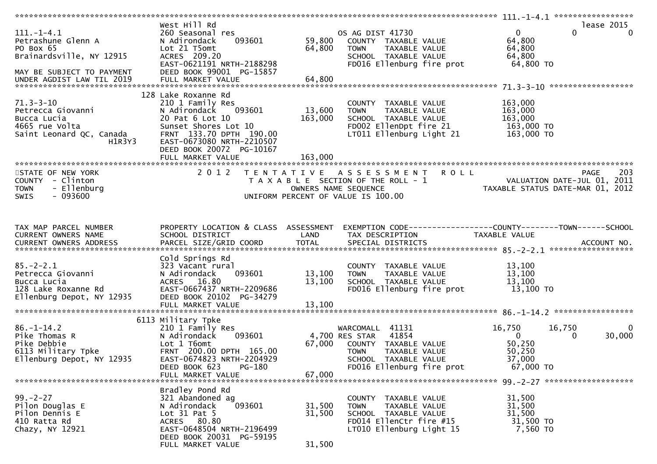|                                                                                             | West Hill Rd                                  |         |                                                                |                                                                 | lease 2015           |
|---------------------------------------------------------------------------------------------|-----------------------------------------------|---------|----------------------------------------------------------------|-----------------------------------------------------------------|----------------------|
| $111. - 1 - 4.1$                                                                            | 260 Seasonal res                              |         | OS AG DIST 41730                                               | $\mathbf{0}$                                                    | $\Omega$<br>$\Omega$ |
| Petrashune Glenn A                                                                          | 093601<br>N Adirondack                        | 59,800  | COUNTY TAXABLE VALUE                                           | 64,800                                                          |                      |
| PO Box 65                                                                                   | Lot 21 T5omt                                  | 64,800  | TAXABLE VALUE<br>TOWN                                          | 64,800                                                          |                      |
| Brainardsville, NY 12915                                                                    | ACRES 209.20                                  |         | SCHOOL TAXABLE VALUE                                           | 64,800                                                          |                      |
|                                                                                             | EAST-0621191 NRTH-2188298                     |         | FD016 Ellenburg fire prot                                      | 64,800 TO                                                       |                      |
| MAY BE SUBJECT TO PAYMENT                                                                   | DEED BOOK 99001 PG-15857                      |         |                                                                |                                                                 |                      |
|                                                                                             |                                               |         |                                                                |                                                                 |                      |
|                                                                                             |                                               |         |                                                                |                                                                 |                      |
|                                                                                             |                                               |         |                                                                |                                                                 |                      |
|                                                                                             | 128 Lake Roxanne Rd                           |         |                                                                |                                                                 |                      |
| $71.3 - 3 - 10$                                                                             | 210 1 Family Res                              |         | COUNTY TAXABLE VALUE                                           | 163,000                                                         |                      |
| Petrecca Giovanni                                                                           | N Adirondack<br>093601                        | 13,600  | TAXABLE VALUE<br><b>TOWN</b>                                   | 163,000                                                         |                      |
| Bucca Lucia                                                                                 | 20 Pat 6 Lot 10                               | 163,000 | SCHOOL TAXABLE VALUE                                           | 163,000                                                         |                      |
| 4665 rue Volta                                                                              | Sunset Shores Lot 10                          |         | FD002 EllenDpt fire 21                                         | 163,000 TO                                                      |                      |
| Saint Leonard QC, Canada                                                                    | FRNT 133.70 DPTH 190.00                       |         | $LT011$ Ellenburg Light 21                                     | 163,000 TO                                                      |                      |
| H1R3Y3                                                                                      | EAST-0673080 NRTH-2210507                     |         |                                                                |                                                                 |                      |
|                                                                                             | DEED BOOK 20072 PG-10167                      |         |                                                                |                                                                 |                      |
|                                                                                             | FULL MARKET VALUE                             | 163,000 |                                                                |                                                                 |                      |
|                                                                                             |                                               |         |                                                                |                                                                 |                      |
| STATE OF NEW YORK                                                                           | 2 0 1 2                                       |         | <b>ROLL</b><br>TENTATIVE ASSESSMENT                            |                                                                 | 203<br>PAGE          |
| COUNTY - Clinton                                                                            |                                               |         | T A X A B L E SECTION OF THE ROLL - 1                          |                                                                 |                      |
| - Ellenburg<br><b>TOWN</b>                                                                  |                                               |         | OWNERS NAME SEQUENCE                                           | VALUATION DATE-JUL 01, 2011<br>TAXABLE STATUS DATE-MAR 01, 2012 |                      |
| $-093600$<br>SWIS                                                                           |                                               |         | UNIFORM PERCENT OF VALUE IS 100.00                             |                                                                 |                      |
|                                                                                             |                                               |         |                                                                |                                                                 |                      |
|                                                                                             |                                               |         |                                                                |                                                                 |                      |
|                                                                                             |                                               |         |                                                                |                                                                 |                      |
| TAX MAP PARCEL NUMBER                                                                       | PROPERTY LOCATION & CLASS ASSESSMENT          |         | EXEMPTION CODE------------------COUNTY--------TOWN------SCHOOL |                                                                 |                      |
| CURRENT OWNERS NAME                                                                         | SCHOOL DISTRICT                               | LAND    | TAX DESCRIPTION                                                | TAXABLE VALUE                                                   |                      |
|                                                                                             |                                               |         |                                                                |                                                                 |                      |
|                                                                                             |                                               |         |                                                                |                                                                 |                      |
|                                                                                             | Cold Springs Rd                               |         |                                                                |                                                                 |                      |
| $85. - 2 - 2.1$                                                                             |                                               |         |                                                                |                                                                 |                      |
|                                                                                             |                                               |         |                                                                |                                                                 |                      |
|                                                                                             | 323 Vacant rural                              |         | COUNTY TAXABLE VALUE                                           | 13,100                                                          |                      |
| Petrecca Giovanni                                                                           | 093601<br>N Adirondack                        | 13,100  | <b>TOWN</b><br>TAXABLE VALUE                                   | 13,100                                                          |                      |
| Bucca Lucia                                                                                 | ACRES 16.80                                   | 13,100  | SCHOOL TAXABLE VALUE                                           | 13,100                                                          |                      |
| 128 Lake Roxanne Rd                                                                         | EAST-0667437 NRTH-2209686                     |         | FD016 Ellenburg fire prot                                      | 13,100 TO                                                       |                      |
| Ellenburg Depot, NY 12935                                                                   | DEED BOOK 20102 PG-34279                      |         |                                                                |                                                                 |                      |
|                                                                                             | FULL MARKET VALUE                             | 13,100  |                                                                |                                                                 |                      |
|                                                                                             |                                               |         |                                                                |                                                                 |                      |
|                                                                                             | 6113 Military Tpke                            |         |                                                                |                                                                 |                      |
| $86. - 1 - 14.2$                                                                            | 210 1 Family Res                              |         | WARCOMALL 41131                                                | 16,750<br>16,750                                                | $\Omega$             |
| Pike Thomas R                                                                               | 093601<br>N Adirondack                        |         | 41854<br>4,700 RES STAR                                        | $\overline{0}$                                                  | 30,000<br>0          |
| Pike Debbie                                                                                 | Lot 1 T6omt                                   | 67,000  | COUNTY TAXABLE VALUE                                           | 50,250                                                          |                      |
|                                                                                             | FRNT 200.00 DPTH 165.00                       |         | <b>TOWN</b><br>TAXABLE VALUE                                   | 50,250                                                          |                      |
| onse Dessie<br>6113 Military Tpke<br>Fllenhurg Depot. NY 12935<br>Ellenburg Depot, NY 12935 | EAST-0674823 NRTH-2204929                     |         | SCHOOL TAXABLE VALUE                                           | 37,000                                                          |                      |
|                                                                                             | DEED BOOK 623<br>PG-180                       |         |                                                                |                                                                 |                      |
|                                                                                             |                                               | 67,000  | FD016 Ellenburg fire prot                                      | $67,000$ TO                                                     |                      |
|                                                                                             | FULL MARKET VALUE                             |         |                                                                |                                                                 |                      |
|                                                                                             |                                               |         |                                                                |                                                                 |                      |
|                                                                                             | Bradley Pond Rd                               |         |                                                                |                                                                 |                      |
| $99. - 2 - 27$                                                                              | 321 Abandoned ag                              |         | COUNTY TAXABLE VALUE                                           | 31,500                                                          |                      |
| Pilon Douglas E                                                                             | 093601<br>N Adirondack                        | 31,500  | TAXABLE VALUE<br><b>TOWN</b>                                   | 31,500                                                          |                      |
| Pilon Dennis E                                                                              | Lot $31$ Pat 5                                | 31,500  | SCHOOL TAXABLE VALUE                                           | 31,500                                                          |                      |
| 410 Ratta Rd                                                                                | ACRES 80.80                                   |         | FD014 EllenCtr fire #15                                        | 31,500 TO                                                       |                      |
| Chazy, NY 12921                                                                             | EAST-0648504 NRTH-2196499                     |         | LT010 Ellenburg Light 15                                       | 7,560 TO                                                        |                      |
|                                                                                             | DEED BOOK 20031 PG-59195<br>FULL MARKET VALUE | 31,500  |                                                                |                                                                 |                      |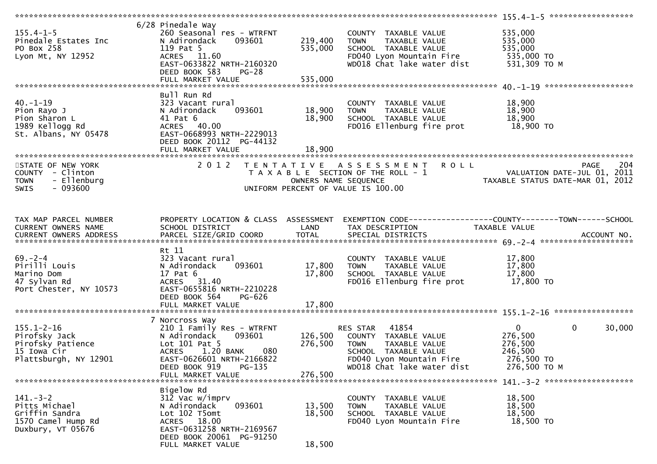| $155.4 - 1 - 5$<br>Pinedale Estates Inc<br>PO Box 258<br>Lyon Mt, NY 12952                      | 6/28 Pinedale Way<br>260 Seasonal res - WTRFNT<br>N Adirondack<br>093601<br>119 Pat 5<br>ACRES 11.60<br>EAST-0633822 NRTH-2160320<br>DEED BOOK 583<br>$PG-28$ | 219,400<br>535,000         | COUNTY TAXABLE VALUE<br>TAXABLE VALUE<br>TOWN<br>SCHOOL TAXABLE VALUE<br>FD040 Lyon Mountain Fire 535,000 TO<br>WD018 Chat lake water dist | 535,000<br>535,000<br>535,000<br>531,309 ТО М                               |                       |
|-------------------------------------------------------------------------------------------------|---------------------------------------------------------------------------------------------------------------------------------------------------------------|----------------------------|--------------------------------------------------------------------------------------------------------------------------------------------|-----------------------------------------------------------------------------|-----------------------|
|                                                                                                 |                                                                                                                                                               |                            |                                                                                                                                            |                                                                             |                       |
| $40. - 1 - 19$<br>Pion Rayo J<br>Pion Sharon L<br>1989 Kellogg Rd<br>St. Albans, NY 05478       | Bull Run Rd<br>323 Vacant rural<br>093601<br>N Adirondack<br>41 Pat 6<br>ACRES 40.00<br>EAST-0668993 NRTH-2229013<br>DEED BOOK 20112 PG-44132                 | 18,900<br>18,900           | COUNTY TAXABLE VALUE<br><b>TOWN</b><br>TAXABLE VALUE<br>SCHOOL TAXABLE VALUE<br>FD016 Ellenburg fire prot 18,900 TO                        | 18,900<br>18,900<br>18,900                                                  |                       |
| STATE OF NEW YORK<br>COUNTY - Clinton<br>- Ellenburg<br><b>TOWN</b><br>$-093600$<br><b>SWIS</b> |                                                                                                                                                               | OWNERS NAME SEQUENCE       | 2012 TENTATIVE ASSESSMENT ROLL<br>T A X A B L E SECTION OF THE ROLL - 1<br>UNIFORM PERCENT OF VALUE IS 100.00                              | PAGE 204<br>VALUATION DATE-JUL 01, 2011<br>TAXABLE STATIS DATE 110 01, 2011 |                       |
| TAX MAP PARCEL NUMBER<br>CURRENT OWNERS NAME                                                    | SCHOOL DISTRICT                                                                                                                                               | <b>Example 18 The LAND</b> | PROPERTY LOCATION & CLASS ASSESSMENT EXEMPTION CODE----------------COUNTY-------TOWN------SCHOOL<br>TAX DESCRIPTION                        | TAXABLE VALUE                                                               |                       |
| $69 - 2 - 4$<br>Pirilli Louis<br>Marino Dom<br>47 Sylvan Rd<br>Port Chester, NY 10573           | Rt 11<br>323 Vacant rural<br>093601<br>N Adirondack<br>17 Pat 6<br>ACRES 31.40<br>EAST-0655816 NRTH-2210228<br>DEED BOOK 564<br>PG-626                        | 17,800<br>17,800           | COUNTY TAXABLE VALUE<br><b>TOWN</b><br>TAXABLE VALUE<br>SCHOOL TAXABLE VALUE<br>FD016 Ellenburg fire prot                                  | 17,800<br>17,800<br>17,800<br>17,800 TO                                     |                       |
|                                                                                                 |                                                                                                                                                               |                            |                                                                                                                                            |                                                                             |                       |
| $155.1 - 2 - 16$<br>Pirofsky Jack<br>Pirofsky Patience<br>15 Iowa Cir<br>Plattsburgh, NY 12901  | 7 Norcross Way<br>210 1 Family Res - WTRFNT<br>N Adirondack<br>093601<br>Lot 101 Pat 5<br>1.20 BANK<br>080<br><b>ACRES</b><br>EAST-0626601 NRTH-2166822       | 126,500<br>276,500         | RES STAR 41854<br>COUNTY TAXABLE VALUE<br><b>TOWN</b><br>TAXABLE VALUE<br>SCHOOL TAXABLE VALUE<br>FD040 Lyon Mountain Fire                 | $\overline{0}$<br>276,500<br>276,500<br>246,500<br>276,500 TO               | $\mathbf 0$<br>30,000 |
|                                                                                                 | PG-135<br>DEED BOOK 919<br>FULL MARKET VALUE                                                                                                                  | 276,500                    | WD018 Chat lake water dist                                                                                                                 | 276,500 ТО М                                                                |                       |
|                                                                                                 |                                                                                                                                                               |                            |                                                                                                                                            |                                                                             |                       |
| $141. - 3 - 2$<br>Pitts Michael<br>Griffin Sandra<br>1570 Camel Hump Rd<br>Duxbury, VT 05676    | Bigelow Rd<br>312 Vac w/imprv<br>093601<br>N Adirondack<br>Lot 102 T5omt<br>ACRES 18.00<br>EAST-0631258 NRTH-2169567<br>DEED BOOK 20061 PG-91250              | 13,500<br>18,500           | COUNTY TAXABLE VALUE<br><b>TOWN</b><br>TAXABLE VALUE<br>SCHOOL TAXABLE VALUE<br>FD040 Lyon Mountain Fire                                   | 18,500<br>18,500<br>18,500<br>18,500 TO                                     |                       |
|                                                                                                 | FULL MARKET VALUE                                                                                                                                             | 18,500                     |                                                                                                                                            |                                                                             |                       |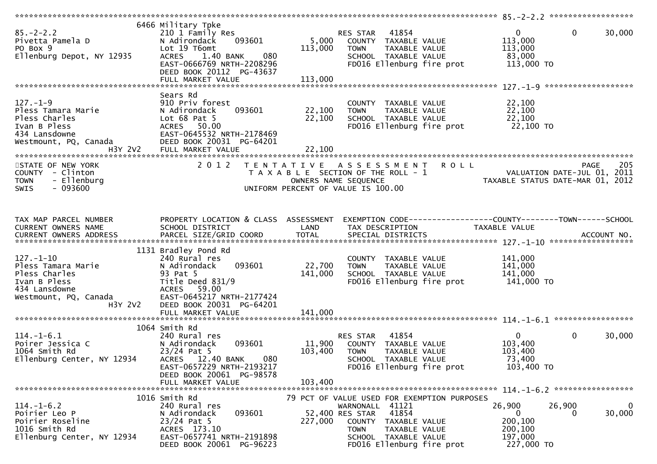| $85. - 2 - 2.2$<br>Pivetta Pamela D<br>PO Box 9<br>Ellenburg Depot, NY 12935                                    | 6466 Military Tpke<br>210 1 Family Res<br>093601<br>N Adirondack<br>Lot 19 T6omt<br>1.40 BANK<br>080<br><b>ACRES</b><br>EAST-0666769 NRTH-2208296<br>DEED BOOK 20112 PG-43637<br>FULL MARKET VALUE | 5,000<br>113,000<br>113,000 | 41854<br>RES STAR<br>COUNTY TAXABLE VALUE<br>TAXABLE VALUE<br><b>TOWN</b><br>SCHOOL TAXABLE VALUE<br>FD016 Ellenburg fire prot | $\mathbf{0}$<br>113,000<br>113,000<br>83,000<br>113,000 TO | 0<br>30,000                      |
|-----------------------------------------------------------------------------------------------------------------|----------------------------------------------------------------------------------------------------------------------------------------------------------------------------------------------------|-----------------------------|--------------------------------------------------------------------------------------------------------------------------------|------------------------------------------------------------|----------------------------------|
|                                                                                                                 |                                                                                                                                                                                                    |                             |                                                                                                                                |                                                            |                                  |
| $127. - 1 - 9$<br>Pless Tamara Marie<br>Pless Charles<br>Ivan B Pless<br>434 Lansdowne<br>Westmount, PQ, Canada | Sears Rd<br>910 Priv forest<br>093601<br>N Adirondack<br>Lot $68$ Pat $5$<br>ACRES 50.00<br>EAST-0645532 NRTH-2178469<br>DEED BOOK 20031 PG-64201                                                  | 22,100<br>22,100            | COUNTY TAXABLE VALUE<br>TAXABLE VALUE<br><b>TOWN</b><br>SCHOOL TAXABLE VALUE<br>FD016 Ellenburg fire prot                      | 22,100<br>22,100<br>22,100<br>22,100 TO                    |                                  |
| STATE OF NEW YORK                                                                                               | 2 0 1 2                                                                                                                                                                                            |                             | <b>ROLL</b><br>TENTATIVE ASSESSMENT                                                                                            |                                                            | 205<br>PAGE                      |
| COUNTY - Clinton<br>- Ellenburg<br><b>TOWN</b><br>SWIS<br>$-093600$                                             |                                                                                                                                                                                                    |                             | T A X A B L E SECTION OF THE ROLL - 1<br>OWNERS NAME SEQUENCE<br>UNIFORM PERCENT OF VALUE IS 100.00                            | VALUATION DATE-JUL 01, 2011                                | TAXABLE STATUS DATE-MAR 01, 2012 |
| TAX MAP PARCEL NUMBER                                                                                           | PROPERTY LOCATION & CLASS ASSESSMENT                                                                                                                                                               |                             |                                                                                                                                |                                                            |                                  |
| CURRENT OWNERS NAME                                                                                             | SCHOOL DISTRICT                                                                                                                                                                                    | LAND                        | TAX DESCRIPTION                                                                                                                | TAXABLE VALUE                                              |                                  |
|                                                                                                                 |                                                                                                                                                                                                    |                             |                                                                                                                                |                                                            |                                  |
|                                                                                                                 |                                                                                                                                                                                                    |                             |                                                                                                                                |                                                            |                                  |
|                                                                                                                 | 1131 Bradley Pond Rd                                                                                                                                                                               |                             |                                                                                                                                |                                                            |                                  |
| $127. - 1 - 10$                                                                                                 | 240 Rural res                                                                                                                                                                                      |                             | COUNTY TAXABLE VALUE                                                                                                           | 141,000                                                    |                                  |
| Pless Tamara Marie                                                                                              | 093601<br>N Adirondack                                                                                                                                                                             | 22,700                      | TAXABLE VALUE<br><b>TOWN</b>                                                                                                   | 141,000                                                    |                                  |
| Pless Charles                                                                                                   | 93 Pat 5                                                                                                                                                                                           | 141,000                     | SCHOOL TAXABLE VALUE                                                                                                           | 141,000                                                    |                                  |
| Ivan B Pless<br>434 Lansdowne                                                                                   | Title Deed 831/9<br>ACRES 59.00                                                                                                                                                                    |                             | FD016 Ellenburg fire prot                                                                                                      | 141,000 TO                                                 |                                  |
| Westmount, PQ, Canada                                                                                           | EAST-0645217 NRTH-2177424                                                                                                                                                                          |                             |                                                                                                                                |                                                            |                                  |
| H3Y 2V2                                                                                                         | DEED BOOK 20031 PG-64201                                                                                                                                                                           |                             |                                                                                                                                |                                                            |                                  |
|                                                                                                                 | FULL MARKET VALUE                                                                                                                                                                                  | 141,000                     |                                                                                                                                |                                                            |                                  |
|                                                                                                                 |                                                                                                                                                                                                    |                             |                                                                                                                                |                                                            |                                  |
| $114.-1-6.1$                                                                                                    | 1064 Smith Rd<br>240 Rural res                                                                                                                                                                     |                             | 41854<br>RES STAR                                                                                                              | $\mathbf{0}$                                               | $\mathbf 0$<br>30,000            |
| Poirer Jessica C                                                                                                | 093601<br>N Adirondack                                                                                                                                                                             | 11,900                      | COUNTY TAXABLE VALUE                                                                                                           | 103,400                                                    |                                  |
| 1064 Smith Rd                                                                                                   | $23/24$ Pat 5                                                                                                                                                                                      | 103,400                     | <b>TOWN</b><br><b>TAXABLE VALUE</b>                                                                                            | 103,400                                                    |                                  |
| Ellenburg Center, NY 12934                                                                                      | 12.40 BANK<br>080<br><b>ACRES</b>                                                                                                                                                                  |                             | SCHOOL TAXABLE VALUE                                                                                                           | 73,400                                                     |                                  |
|                                                                                                                 | EAST-0657229 NRTH-2193217                                                                                                                                                                          |                             | FD016 Ellenburg fire prot                                                                                                      | 103,400 TO                                                 |                                  |
|                                                                                                                 | DEED BOOK 20061 PG-98578<br>FULL MARKET VALUE                                                                                                                                                      |                             |                                                                                                                                |                                                            |                                  |
| *******************************                                                                                 |                                                                                                                                                                                                    | 103,400                     |                                                                                                                                |                                                            |                                  |
|                                                                                                                 | 1016 Smith Rd                                                                                                                                                                                      |                             | 79 PCT OF VALUE USED FOR EXEMPTION PURPOSES                                                                                    |                                                            |                                  |
| $114.-1-6.2$                                                                                                    | 240 Rural res                                                                                                                                                                                      |                             | WARNONALL 41121                                                                                                                | 26,900                                                     | 26,900<br>$\mathbf{0}$           |
| Poirier Leo P                                                                                                   | 093601<br>N Adirondack                                                                                                                                                                             |                             | 41854<br>52,400 RES STAR                                                                                                       | 0                                                          | 30,000<br>0                      |
| Poirier Roseline<br>1016 Smith Rd                                                                               | $23/24$ Pat 5<br>ACRES 173.10                                                                                                                                                                      | 227,000                     | COUNTY<br>TAXABLE VALUE<br><b>TOWN</b><br>TAXABLE VALUE                                                                        | 200,100<br>200,100                                         |                                  |
| Ellenburg Center, NY 12934                                                                                      | EAST-0657741 NRTH-2191898<br>DEED BOOK 20061 PG-96223                                                                                                                                              |                             | SCHOOL TAXABLE VALUE<br>FD016 Ellenburg fire prot                                                                              | 197,000<br>227,000 TO                                      |                                  |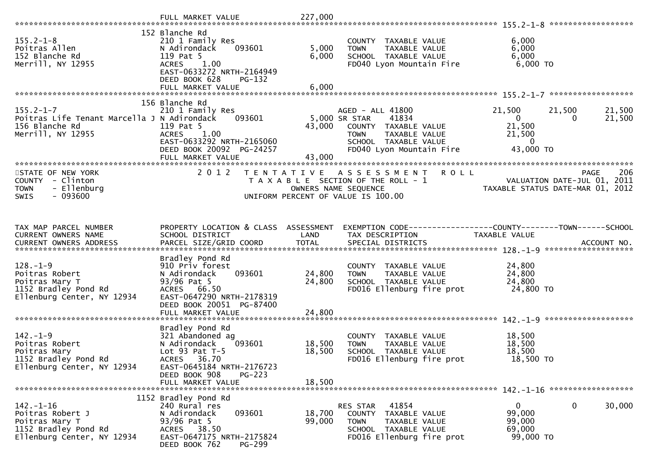|                                                                                                             | FULL MARKET VALUE                                                                                                                                                              | 227,000                    |                                                                                                                                                        |                                                                       |                                                                                       |
|-------------------------------------------------------------------------------------------------------------|--------------------------------------------------------------------------------------------------------------------------------------------------------------------------------|----------------------------|--------------------------------------------------------------------------------------------------------------------------------------------------------|-----------------------------------------------------------------------|---------------------------------------------------------------------------------------|
| $155.2 - 1 - 8$<br>Poitras Allen<br>152 Blanche Rd<br>Merrill, NY 12955                                     | 152 Blanche Rd<br>210 1 Family Res<br>093601<br>N Adirondack<br>119 Pat 5<br>1.00<br><b>ACRES</b><br>EAST-0633272 NRTH-2164949<br>DEED BOOK 628<br>PG-132<br>FULL MARKET VALUE | 5,000<br>6,000<br>6,000    | COUNTY TAXABLE VALUE<br>TAXABLE VALUE<br><b>TOWN</b><br>SCHOOL TAXABLE VALUE<br>FD040 Lyon Mountain Fire                                               | 6,000<br>6,000<br>6,000<br>$6,000$ TO                                 |                                                                                       |
|                                                                                                             | 156 Blanche Rd                                                                                                                                                                 |                            |                                                                                                                                                        |                                                                       |                                                                                       |
| $155.2 - 1 - 7$<br>Poitras Life Tenant Marcella J N Adirondack<br>156 Blanche Rd<br>Merrill, NY 12955       | 210 1 Family Res<br>093601<br>119 Pat 5<br><b>ACRES</b><br>1.00<br>EAST-0633292 NRTH-2165060<br>DEED BOOK 20092 PG-24257<br>FULL MARKET VALUE                                  | 43,000<br>43,000           | AGED - ALL 41800<br>5,000 SR STAR<br>41834<br>COUNTY TAXABLE VALUE<br><b>TOWN</b><br>TAXABLE VALUE<br>SCHOOL TAXABLE VALUE<br>FD040 Lyon Mountain Fire | 21,500<br>$\overline{0}$<br>21,500<br>21,500<br>$\Omega$<br>43,000 TO | 21,500<br>21,500<br>0<br>21,500                                                       |
|                                                                                                             |                                                                                                                                                                                |                            |                                                                                                                                                        |                                                                       |                                                                                       |
| STATE OF NEW YORK<br>COUNTY - Clinton<br>- Ellenburg<br><b>TOWN</b><br>$-093600$<br><b>SWIS</b>             | 2 0 1 2                                                                                                                                                                        | T E N T A T I V E          | <b>ROLL</b><br>A S S E S S M E N T<br>T A X A B L E SECTION OF THE ROLL - 1<br>OWNERS NAME SEQUENCE<br>UNIFORM PERCENT OF VALUE IS 100.00              |                                                                       | 206<br><b>PAGE</b><br>VALUATION DATE-JUL 01, 2011<br>TAXABLE STATUS DATE-MAR 01, 2012 |
| TAX MAP PARCEL NUMBER                                                                                       | PROPERTY LOCATION & CLASS ASSESSMENT                                                                                                                                           |                            | EXEMPTION CODE-----------------COUNTY-------TOWN------SCHOOL                                                                                           |                                                                       |                                                                                       |
| CURRENT OWNERS NAME                                                                                         | SCHOOL DISTRICT                                                                                                                                                                | LAND                       | TAX DESCRIPTION                                                                                                                                        | TAXABLE VALUE                                                         |                                                                                       |
| $128. - 1 - 9$<br>Poitras Robert<br>Poitras Mary T<br>1152 Bradley Pond Rd<br>Ellenburg Center, NY 12934    | Bradley Pond Rd<br>910 Priv forest<br>093601<br>N Adirondack<br>93/96 Pat 5<br>ACRES 66.50<br>EAST-0647290 NRTH-2178319<br>DEED BOOK 20051 PG-87400<br>FULL MARKET VALUE       | 24,800<br>24,800<br>24,800 | COUNTY TAXABLE VALUE<br>TAXABLE VALUE<br><b>TOWN</b><br>SCHOOL TAXABLE VALUE<br>FD016 Ellenburg fire prot                                              | 24,800<br>24,800<br>24,800<br>24,800 TO                               |                                                                                       |
|                                                                                                             |                                                                                                                                                                                |                            |                                                                                                                                                        |                                                                       |                                                                                       |
| $142. - 1 - 9$<br>Poitras Robert<br>Poitras Mary<br>1152 Bradley Pond Rd<br>Ellenburg Center, NY 12934      | Bradley Pond Rd<br>321 Abandoned ag<br>N Adirondack<br>093601<br>Lot $93$ Pat T-5<br>ACRES 36.70<br>EAST-0645184 NRTH-2176723                                                  | 18,500<br>18,500           | COUNTY TAXABLE VALUE<br>TAXABLE VALUE<br><b>TOWN</b><br>SCHOOL TAXABLE VALUE<br>FD016 Ellenburg fire prot                                              | 18,500<br>18,500<br>18,500<br>18,500 TO                               |                                                                                       |
|                                                                                                             | DEED BOOK 908<br>$PG-223$<br>FULL MARKET VALUE                                                                                                                                 | 18,500                     |                                                                                                                                                        |                                                                       |                                                                                       |
|                                                                                                             |                                                                                                                                                                                |                            |                                                                                                                                                        |                                                                       |                                                                                       |
| $142. - 1 - 16$<br>Poitras Robert J<br>Poitras Mary T<br>1152 Bradley Pond Rd<br>Ellenburg Center, NY 12934 | 1152 Bradley Pond Rd<br>240 Rural res<br>N Adirondack<br>093601<br>93/96 Pat 5<br>ACRES 38.50<br>EAST-0647175 NRTH-2175824<br>DEED BOOK 762<br>PG-299                          | 18,700<br>99,000           | 41854<br>RES STAR<br>COUNTY TAXABLE VALUE<br><b>TOWN</b><br>TAXABLE VALUE<br>SCHOOL TAXABLE VALUE<br>FD016 Ellenburg fire prot                         | $\overline{0}$<br>99,000<br>99,000<br>69,000<br>99,000 TO             | $\mathbf 0$<br>30,000                                                                 |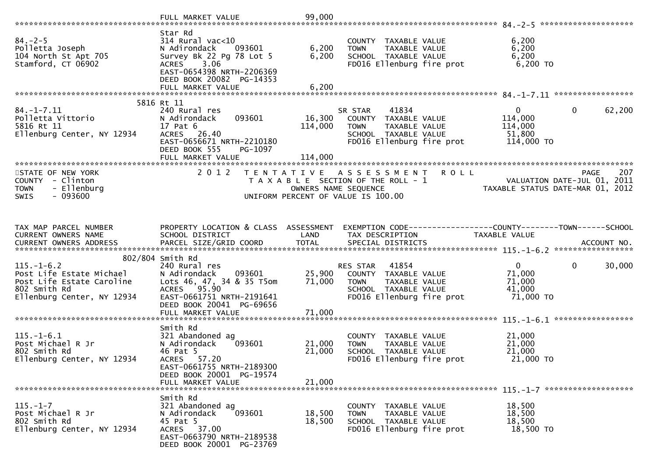|                                                        | Star Rd                                  |                  |                                                             |                                                                |
|--------------------------------------------------------|------------------------------------------|------------------|-------------------------------------------------------------|----------------------------------------------------------------|
| $84. - 2 - 5$                                          | $314$ Rural vac<10                       |                  | COUNTY TAXABLE VALUE                                        | 6,200                                                          |
| Polletta Joseph                                        | N Adirondack<br>093601                   | 6,200            | TAXABLE VALUE<br><b>TOWN</b>                                | 6,200                                                          |
| 104 North St Apt 705<br>Stamford, CT 06902             | Survey Bk 22 Pg 78 Lot 5<br>ACRES 3.06   | 6,200            | SCHOOL TAXABLE VALUE<br>FD016 Ellenburg fire prot           | 6,200<br>$6,200$ TO                                            |
|                                                        | EAST-0654398 NRTH-2206369                |                  |                                                             |                                                                |
|                                                        | DEED BOOK 20082 PG-14353                 |                  |                                                             |                                                                |
|                                                        | FULL MARKET VALUE                        | 6,200            |                                                             |                                                                |
|                                                        | 5816 Rt 11                               |                  |                                                             |                                                                |
| $84. - 1 - 7.11$                                       | 240 Rural res                            |                  | 41834<br>SR STAR                                            | $\overline{0}$<br>$\mathbf{0}$<br>62,200                       |
| Polletta Vittorio                                      | 093601<br>N Adirondack                   | 16,300           | COUNTY TAXABLE VALUE                                        | 114,000                                                        |
| 5816 Rt 11<br>Ellenburg Center, NY 12934               | 17 Pat 6<br>ACRES 26.40                  | 114,000          | <b>TOWN</b><br>TAXABLE VALUE<br>SCHOOL TAXABLE VALUE        | 114,000<br>51,800                                              |
|                                                        | EAST-0656671 NRTH-2210180                |                  | FD016 Ellenburg fire prot                                   | 114,000 TO                                                     |
|                                                        | DEED BOOK 555<br>PG-1097                 |                  |                                                             |                                                                |
|                                                        | FULL MARKET VALUE                        | 114,000          |                                                             |                                                                |
| STATE OF NEW YORK                                      | 2 0 1 2                                  |                  | TENTATIVE ASSESSMENT<br><b>ROLL</b>                         | 207<br><b>PAGE</b>                                             |
| COUNTY - Clinton                                       |                                          |                  | T A X A B L E SECTION OF THE ROLL - 1                       | VALUATION DATE-JUL 01, 2011                                    |
| <b>TOWN</b><br>- Ellenburg<br>$-093600$<br><b>SWIS</b> |                                          |                  | OWNERS NAME SEQUENCE<br>UNIFORM PERCENT OF VALUE IS 100.00  | TAXABLE STATUS DATE-MAR 01, 2012                               |
|                                                        |                                          |                  |                                                             |                                                                |
|                                                        |                                          |                  |                                                             |                                                                |
| TAX MAP PARCEL NUMBER                                  | PROPERTY LOCATION & CLASS ASSESSMENT     |                  |                                                             | EXEMPTION CODE------------------COUNTY--------TOWN------SCHOOL |
| CURRENT OWNERS NAME                                    | SCHOOL DISTRICT                          | LAND             | TAX DESCRIPTION                                             | TAXABLE VALUE                                                  |
|                                                        |                                          |                  |                                                             |                                                                |
|                                                        | 802/804 Smith Rd                         |                  |                                                             |                                                                |
| $115. - 1 - 6.2$                                       | 240 Rural res                            |                  | RES STAR 41854                                              | $\mathbf 0$<br>$\mathbf{0}$<br>30,000                          |
| Post Life Estate Michael                               | 093601<br>N Adirondack                   | 25,900           | COUNTY TAXABLE VALUE                                        | 71,000                                                         |
| Post Life Estate Caroline<br>802 Smith Rd              | Lots 46, 47, 34 & 35 T5om<br>ACRES 95.90 | 71,000           | TAXABLE VALUE<br><b>TOWN</b><br>SCHOOL TAXABLE VALUE        | 71,000<br>41,000                                               |
| Ellenburg Center, NY 12934                             | EAST-0661751 NRTH-2191641                |                  | FD016 Ellenburg fire prot                                   | 71,000 TO                                                      |
|                                                        | DEED BOOK 20041 PG-69656                 |                  |                                                             |                                                                |
|                                                        | FULL MARKET VALUE                        | 71,000           |                                                             |                                                                |
|                                                        | Smith Rd                                 |                  |                                                             |                                                                |
| $115. - 1 - 6.1$                                       | 321 Abandoned ag                         |                  | COUNTY TAXABLE VALUE                                        | 21,000                                                         |
| Post Michael R Jr                                      | N Adirondack<br>093601                   | 21,000           | TAXABLE VALUE<br><b>TOWN</b>                                | 21,000                                                         |
| 802 Smith Rd<br>Ellenburg Center, NY 12934             | 46 Pat 5<br>ACRES 57.20                  | 21,000           | SCHOOL TAXABLE VALUE<br>FD016 Ellenburg fire prot           | 21,000<br>21,000 TO                                            |
|                                                        | EAST-0661755 NRTH-2189300                |                  |                                                             |                                                                |
|                                                        | DEED BOOK 20001 PG-19574                 |                  |                                                             |                                                                |
|                                                        | FULL MARKET VALUE                        | 21,000           |                                                             |                                                                |
|                                                        | Smith Rd                                 |                  |                                                             |                                                                |
| $115. - 1 - 7$                                         | 321 Abandoned ag                         |                  | COUNTY TAXABLE VALUE                                        | 18,500                                                         |
| Post Michael R Jr<br>802 Smith Rd                      | 093601<br>N Adirondack<br>45 Pat 5       | 18,500<br>18,500 | <b>TAXABLE VALUE</b><br><b>TOWN</b><br>SCHOOL TAXABLE VALUE | 18,500<br>18,500                                               |
| Ellenburg Center, NY 12934                             | ACRES 37.00                              |                  | FD016 Ellenburg fire prot                                   | 18,500 TO                                                      |
|                                                        | EAST-0663790 NRTH-2189538                |                  |                                                             |                                                                |
|                                                        | DEED BOOK 20001 PG-23769                 |                  |                                                             |                                                                |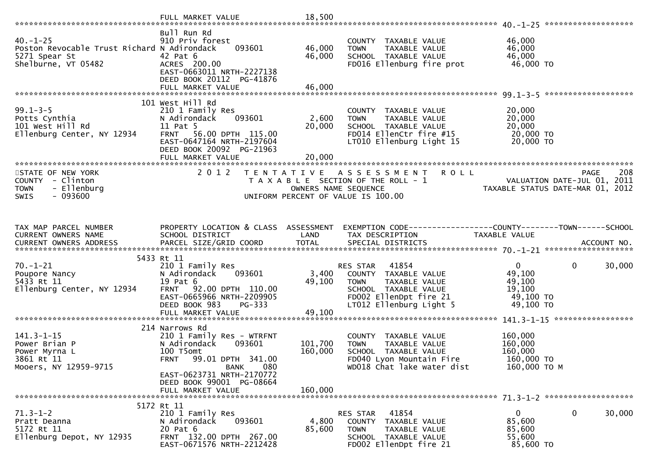|                                                                                                                  | FULL MARKET VALUE                                                                                                                                             | 18,500               |                                                                                                                                     |                                                                        |                    |
|------------------------------------------------------------------------------------------------------------------|---------------------------------------------------------------------------------------------------------------------------------------------------------------|----------------------|-------------------------------------------------------------------------------------------------------------------------------------|------------------------------------------------------------------------|--------------------|
| $40. -1 - 25$<br>Poston Revocable Trust Richard N Adirondack                                                     | Bull Run Rd<br>910 Priv forest<br>093601                                                                                                                      | 46,000               | COUNTY TAXABLE VALUE<br>TAXABLE VALUE<br><b>TOWN</b>                                                                                | 46,000<br>46,000                                                       |                    |
| 5271 Spear St<br>Shelburne, VT 05482                                                                             | 42 Pat 6<br>ACRES 200.00<br>EAST-0663011 NRTH-2227138<br>DEED BOOK 20112 PG-41876                                                                             | 46,000               | SCHOOL TAXABLE VALUE<br>FD016 Ellenburg fire prot                                                                                   | 46,000<br>46,000 TO                                                    |                    |
|                                                                                                                  |                                                                                                                                                               |                      |                                                                                                                                     |                                                                        |                    |
| $99.1 - 3 - 5$<br>Potts Cynthia <b>compared to the Cynthia</b><br>101 West Hill Rd<br>Ellenburg Center, NY 12934 | 101 West Hill Rd<br>210 1 Family Res<br>N Adirondack<br>093601<br>11 Pat 5<br>FRNT 56.00 DPTH 115.00<br>EAST-0647164 NRTH-2197604<br>DEED BOOK 20092 PG-21963 | 2,600<br>20,000      | COUNTY TAXABLE VALUE<br><b>TOWN</b><br>TAXABLE VALUE<br>SCHOOL TAXABLE VALUE<br>FD014 EllenCtr fire #15<br>LT010 Ellenburg Light 15 | 20,000<br>20,000<br>20,000<br>20,000 TO<br>20,000 TO                   |                    |
|                                                                                                                  | FULL MARKET VALUE                                                                                                                                             | 20,000               |                                                                                                                                     |                                                                        |                    |
| STATE OF NEW YORK<br>COUNTY - Clinton<br><b>TOWN</b><br>- Ellenburg<br><b>SWIS</b><br>- 093600                   | 2 0 1 2                                                                                                                                                       | OWNERS NAME SEQUENCE | <b>ROLL</b><br>TENTATIVE ASSESSMENT<br>T A X A B L E SECTION OF THE ROLL - 1<br>UNIFORM PERCENT OF VALUE IS 100.00                  | VALUATION DATE-JUL 01, 2011<br>TAXABLE STATUS DATE-MAR 01, 2012        | 208<br><b>PAGE</b> |
|                                                                                                                  |                                                                                                                                                               |                      |                                                                                                                                     |                                                                        |                    |
| TAX MAP PARCEL NUMBER<br>CURRENT OWNERS NAME                                                                     | PROPERTY LOCATION & CLASS ASSESSMENT<br>SCHOOL DISTRICT                                                                                                       | LAND                 | EXEMPTION CODE-----------------COUNTY-------TOWN------SCHOOL<br>TAX DESCRIPTION                                                     | TAXABLE VALUE                                                          |                    |
|                                                                                                                  | 5433 Rt 11                                                                                                                                                    |                      |                                                                                                                                     |                                                                        |                    |
| $70. - 1 - 21$<br>Poupore Nancy<br>5433 Rt 11                                                                    | 210 1 Family Res<br>N Adirondack<br>093601<br>19 Pat 6                                                                                                        | 3,400<br>49,100      | 41854<br>RES STAR<br>COUNTY TAXABLE VALUE<br>TAXABLE VALUE<br><b>TOWN</b>                                                           | $\Omega$<br>$\mathbf 0$<br>49,100<br>49,100                            | 30,000             |
| Ellenburg Center, NY 12934                                                                                       | FRNT 92.00 DPTH 110.00<br>EAST-0665966 NRTH-2209905<br>DEED BOOK 983<br>$PG-333$                                                                              |                      | SCHOOL TAXABLE VALUE<br>FD002 EllenDpt fire 21<br>LT012 Ellenburg Light 5                                                           | 19,100<br>49,100 TO<br>49,100 TO                                       |                    |
|                                                                                                                  |                                                                                                                                                               |                      |                                                                                                                                     |                                                                        |                    |
| $141.3 - 1 - 15$<br>Power Brian P<br>Power Myrna L<br>3861 Rt 11                                                 | 214 Narrows Rd<br>210 1 Family Res - WTRFNT<br>093601<br>N Adirondack<br>100 T5omt<br>FRNT 99.01 DPTH 341.00                                                  | 101,700<br>160,000   | COUNTY TAXABLE VALUE<br>TAXABLE VALUE<br><b>TOWN</b><br>SCHOOL TAXABLE VALUE<br>FD040 Lyon Mountain Fire                            | 160,000<br>160,000<br>160,000<br>160,000 TO                            |                    |
| Mooers, NY 12959-9715                                                                                            | BANK<br>080<br>EAST-0623731 NRTH-2170772<br>DEED BOOK 99001 PG-08664<br>FULL MARKET VALUE                                                                     | 160,000              | WD018 Chat lake water dist                                                                                                          | 160,000 ТО М                                                           |                    |
|                                                                                                                  |                                                                                                                                                               |                      |                                                                                                                                     |                                                                        |                    |
| $71.3 - 1 - 2$<br>Pratt Deanna<br>5172 Rt 11<br>Ellenburg Depot, NY 12935                                        | 5172 Rt 11<br>210 1 Family Res<br>093601<br>N Adirondack<br>20 Pat 6<br>FRNT 132.00 DPTH 267.00<br>EAST-0671576 NRTH-2212428                                  | 4,800<br>85,600      | 41854<br>RES STAR<br>TAXABLE VALUE<br>COUNTY<br><b>TOWN</b><br>TAXABLE VALUE<br>SCHOOL TAXABLE VALUE<br>FD002 EllenDpt fire 21      | $\mathbf{0}$<br>$\mathbf 0$<br>85,600<br>85,600<br>55,600<br>85,600 TO | 30,000             |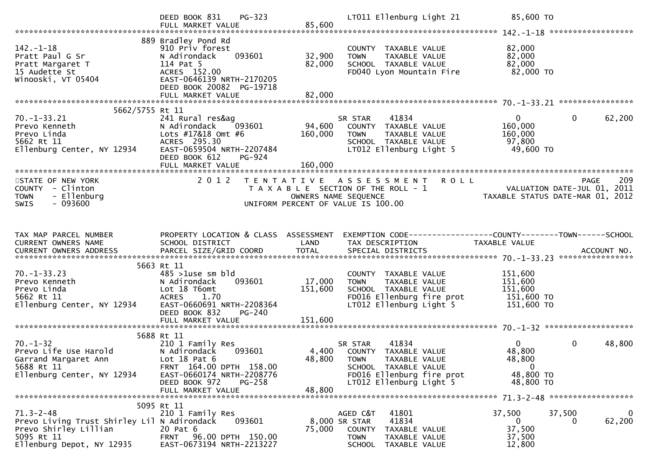|                                                                                                                                    | DEED BOOK 831<br>PG-323<br>FULL MARKET VALUE                                                                                                                                | 85,600                     | LT011 Ellenburg Light 21                                                                                                                        | 85,600 TO                                                                                   |                        |
|------------------------------------------------------------------------------------------------------------------------------------|-----------------------------------------------------------------------------------------------------------------------------------------------------------------------------|----------------------------|-------------------------------------------------------------------------------------------------------------------------------------------------|---------------------------------------------------------------------------------------------|------------------------|
| $142. - 1 - 18$<br>Pratt Paul G Sr<br>Pratt Margaret T<br>15 Audette St<br>Winooski, VT 05404                                      | 889 Bradley Pond Rd<br>910 Priv forest<br>093601<br>N Adirondack<br>114 Pat 5<br>ACRES 152.00<br>EAST-0646139 NRTH-2170205<br>DEED BOOK 20082 PG-19718<br>FULL MARKET VALUE | 32,900<br>82,000<br>82,000 | COUNTY TAXABLE VALUE<br>TAXABLE VALUE<br><b>TOWN</b><br>SCHOOL TAXABLE VALUE<br>FD040 Lyon Mountain Fire                                        | 82,000<br>82,000<br>82,000<br>82,000 TO                                                     |                        |
|                                                                                                                                    |                                                                                                                                                                             |                            |                                                                                                                                                 |                                                                                             |                        |
| 5662/5755 Rt 11                                                                                                                    |                                                                                                                                                                             |                            |                                                                                                                                                 |                                                                                             |                        |
| $70. -1 - 33.21$<br>Prevo Kenneth<br>Prevo Linda<br>5662 Rt 11<br>Ellenburg Center, NY 12934                                       | 241 Rural res&ag<br>N Adirondack<br>093601<br>Lots #17&18 Omt #6<br>ACRES 295.30<br>EAST-0659504 NRTH-2207484<br>DEED BOOK 612<br>PG-924                                    | 94,600<br>160,000          | 41834<br>SR STAR<br>COUNTY TAXABLE VALUE<br>TAXABLE VALUE<br><b>TOWN</b><br>SCHOOL TAXABLE VALUE<br>LT012 Ellenburg Light 5                     | $\mathbf{0}$<br>$\mathbf{0}$<br>160,000<br>160,000<br>97,800<br>49,600 TO                   | 62,200                 |
|                                                                                                                                    |                                                                                                                                                                             |                            |                                                                                                                                                 |                                                                                             |                        |
| STATE OF NEW YORK<br>COUNTY - Clinton<br>- Ellenburg<br><b>TOWN</b><br>$-093600$<br><b>SWIS</b>                                    | 2 0 1 2                                                                                                                                                                     | OWNERS NAME SEQUENCE       | <b>ROLL</b><br>TENTATIVE ASSESSMENT<br>T A X A B L E SECTION OF THE ROLL - 1<br>UNIFORM PERCENT OF VALUE IS 100.00                              | <b>PAGE</b><br>209<br>VALUATION DATE-JUL 01, 2011<br>TAXARIF STATUS DATE 112 2011           | 209                    |
|                                                                                                                                    |                                                                                                                                                                             |                            |                                                                                                                                                 |                                                                                             |                        |
| TAX MAP PARCEL NUMBER<br>CURRENT OWNERS NAME                                                                                       | PROPERTY LOCATION & CLASS ASSESSMENT<br>SCHOOL DISTRICT                                                                                                                     | LAND                       | TAX DESCRIPTION                                                                                                                                 | EXEMPTION CODE------------------COUNTY--------TOWN------SCHOOL<br>TAXABLE VALUE             |                        |
|                                                                                                                                    |                                                                                                                                                                             |                            |                                                                                                                                                 |                                                                                             |                        |
| $70. -1 - 33.23$<br>Prevo Kenneth<br>Prevo Linda<br>5662 Rt 11<br>Ellenburg Center, NY 12934                                       | 5663 Rt 11<br>$485$ >1use sm bld<br>093601<br>N Adirondack<br>Lot 18 T6omt<br><b>ACRES</b><br>1.70<br>EAST-0660691 NRTH-2208364<br>DEED BOOK 832<br>$PG-240$                | 17,000<br>151,600          | COUNTY TAXABLE VALUE<br>TAXABLE VALUE<br><b>TOWN</b><br>SCHOOL TAXABLE VALUE<br>FD016 Ellenburg fire prot<br>LT012 Ellenburg Light 5            | 151,600<br>151,600<br>151,600<br>151,600 TO<br>151,600 TO                                   |                        |
|                                                                                                                                    |                                                                                                                                                                             |                            |                                                                                                                                                 |                                                                                             |                        |
|                                                                                                                                    |                                                                                                                                                                             |                            |                                                                                                                                                 |                                                                                             |                        |
| $70. - 1 - 32$<br>Prevo Life Use Harold<br>Garrand Margaret Ann<br>5688 Rt 11<br>Ellenburg Center, NY 12934                        | 5688 Rt 11<br>210 1 Family Res<br>N Adirondack<br>093601<br>Lot 18 Pat 6<br>FRNT 164.00 DPTH 158.00<br>EAST-0660174 NRTH-2208776<br>DEED BOOK 972<br>PG-258                 | 48,800 TOWN                | 41834<br>SR STAR<br>4,400 COUNTY TAXABLE VALUE<br>TAXABLE VALUE<br>SCHOOL TAXABLE VALUE<br>FD016 Ellenburg fire prot<br>LT012 Ellenburg Light 5 | $\mathbf{0}$<br>$\mathbf 0$<br>48,800<br>48,800<br>$\overline{0}$<br>48,800 TO<br>48,800 TO | 48,800                 |
|                                                                                                                                    | FULL MARKET VALUE                                                                                                                                                           | 48,800                     |                                                                                                                                                 |                                                                                             |                        |
|                                                                                                                                    |                                                                                                                                                                             |                            |                                                                                                                                                 |                                                                                             |                        |
| $71.3 - 2 - 48$<br>Prevo Living Trust Shirley Lil N Adirondack<br>Prevo Shirley Lillian<br>5095 Rt 11<br>Ellenburg Depot, NY 12935 | 5095 Rt 11<br>210 1 Family Res<br>093601<br>20 Pat 6<br>FRNT 96.00 DPTH 150.00<br>EAST-0673194 NRTH-2213227                                                                 | 8,000 SR STAR<br>75,000    | 41801<br>AGED C&T<br>41834<br>COUNTY TAXABLE VALUE<br><b>TOWN</b><br>TAXABLE VALUE<br>SCHOOL TAXABLE VALUE                                      | 37,500<br>37,500<br>$\mathbf{0}$<br>0<br>37,500<br>37,500<br>12,800                         | $\mathbf{0}$<br>62,200 |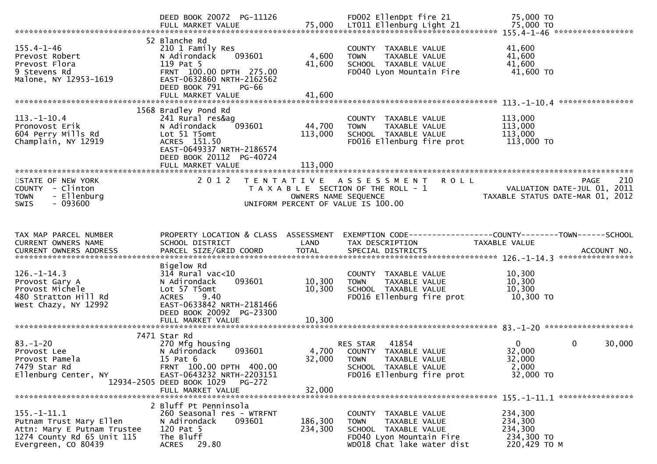|                                                                                                                                  | DEED BOOK 20072 PG-11126                                                                                                                                                                         |                           | FD002 EllenDpt fire 21                                                                                                                 | 75,000 TO                                                                                                        |
|----------------------------------------------------------------------------------------------------------------------------------|--------------------------------------------------------------------------------------------------------------------------------------------------------------------------------------------------|---------------------------|----------------------------------------------------------------------------------------------------------------------------------------|------------------------------------------------------------------------------------------------------------------|
| $155.4 - 1 - 46$<br>Prevost Robert<br>Prevost Flora<br>9 Stevens Rd<br>Malone, NY 12953-1619                                     | 52 Blanche Rd<br>210 1 Family Res<br>093601<br>N Adirondack<br>119 Pat 5<br>FRNT 100.00 DPTH 275.00<br>EAST-0632860 NRTH-2162562<br>DEED BOOK 791<br>PG-66<br>FULL MARKET VALUE                  | 4,600<br>41,600<br>41,600 | COUNTY TAXABLE VALUE<br>TAXABLE VALUE<br><b>TOWN</b><br>SCHOOL TAXABLE VALUE<br>FD040 Lyon Mountain Fire                               | 41,600<br>41,600<br>41,600<br>41,600 TO                                                                          |
| $113. - 1 - 10.4$<br>Pronovost Erik<br>604 Perry Mills Rd<br>Champlain, NY 12919                                                 | 1568 Bradley Pond Rd<br>241 Rural res&ag<br>093601<br>N Adirondack<br>Lot 51 T5omt<br>ACRES 151.50<br>EAST-0649337 NRTH-2186574<br>DEED BOOK 20112 PG-40724                                      | 44,700<br>113,000         | COUNTY TAXABLE VALUE<br><b>TOWN</b><br>TAXABLE VALUE<br>SCHOOL TAXABLE VALUE<br>FD016 Ellenburg fire prot                              | 113,000<br>113,000<br>113,000<br>113,000 TO                                                                      |
| STATE OF NEW YORK<br>COUNTY - Clinton<br>- Ellenburg<br><b>TOWN</b><br>$-093600$<br><b>SWIS</b>                                  | 2 0 1 2                                                                                                                                                                                          | OWNERS NAME SEQUENCE      | <b>ROLL</b><br>TENTATIVE ASSESSMENT<br>T A X A B L E SECTION OF THE ROLL - 1<br>UNIFORM PERCENT OF VALUE IS 100.00                     | 210<br><b>PAGE</b><br>VALUATION DATE-JUL 01, 2011<br>TAXABLE STATUS DATE-MAR 01, 2012                            |
| TAX MAP PARCEL NUMBER<br>CURRENT OWNERS NAME                                                                                     | PROPERTY LOCATION & CLASS ASSESSMENT<br>SCHOOL DISTRICT                                                                                                                                          | LAND                      | TAX DESCRIPTION                                                                                                                        | EXEMPTION CODE-----------------COUNTY-------TOWN------SCHOOL<br>TAXABLE VALUE<br>ACCOUNT NO.<br>**************** |
| $126. - 1 - 14.3$<br>Provost Gary A<br>Provost Michele<br>480 Stratton Hill Rd<br>West Chazy, NY 12992                           | Bigelow Rd<br>$314$ Rural vac< $10$<br>093601<br>N Adirondack<br>Lot 57 T5omt<br>9.40<br><b>ACRES</b><br>EAST-0633842 NRTH-2181466<br>DEED BOOK 20092 PG-23300                                   | 10,300<br>10,300          | COUNTY TAXABLE VALUE<br><b>TOWN</b><br>TAXABLE VALUE<br>SCHOOL TAXABLE VALUE<br>FD016 Ellenburg fire prot                              | 10,300<br>10,300<br>10,300<br>10,300 TO                                                                          |
|                                                                                                                                  |                                                                                                                                                                                                  |                           |                                                                                                                                        |                                                                                                                  |
| $83. - 1 - 20$<br>Provost Lee<br>Provost Pamela<br>7479 Star Rd<br>Ellenburg Center, NY                                          | 7471 Star Rd<br>270 Mfg housing<br>093601<br>N Adirondack<br>15 Pat 6<br>FRNT 100.00 DPTH 400.00<br>EAST-0643232 NRTH-2203151<br>12934-2505 DEED BOOK 1029<br><b>PG-272</b><br>FULL MARKET VALUE | 4,700<br>32,000<br>32,000 | 41854<br>RES STAR<br>COUNTY TAXABLE VALUE<br><b>TOWN</b><br>TAXABLE VALUE<br>SCHOOL TAXABLE VALUE<br>FD016 Ellenburg fire prot         | $\mathbf 0$<br>$\mathbf{0}$<br>30,000<br>32,000<br>32,000<br>2,000<br>32,000 TO                                  |
|                                                                                                                                  |                                                                                                                                                                                                  |                           |                                                                                                                                        |                                                                                                                  |
| $155. - 1 - 11.1$<br>Putnam Trust Mary Ellen<br>Attn: Mary E Putnam Trustee<br>1274 County Rd 65 Unit 115<br>Evergreen, CO 80439 | 2 Bluff Pt Penninsola<br>260 Seasonal res - WTRFNT<br>093601<br>N Adirondack<br>120 Pat 5<br>The Bluff<br>29.80<br>ACRES                                                                         | 186,300<br>234,300        | COUNTY TAXABLE VALUE<br>TAXABLE VALUE<br><b>TOWN</b><br>SCHOOL TAXABLE VALUE<br>FD040 Lyon Mountain Fire<br>WD018 Chat lake water dist | 234,300<br>234,300<br>234,300<br>234,300 TO<br>220,429 TO M                                                      |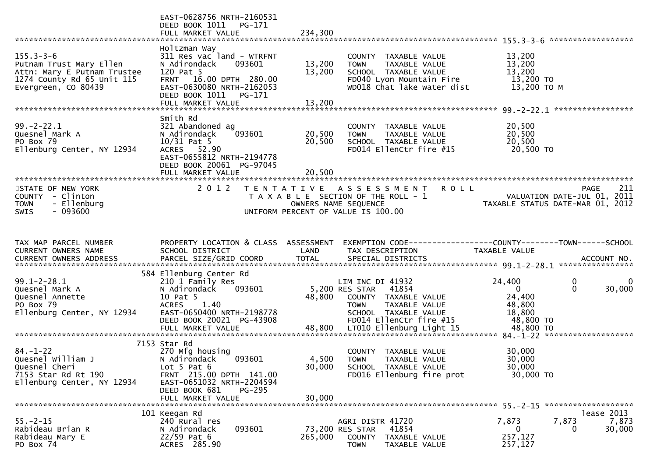|                                                                                                                                | EAST-0628756 NRTH-2160531<br>DEED BOOK 1011<br>PG-171<br>FULL MARKET VALUE                                                                                          | 234,300                    |                                                                                                                                                     |                                                                                              |                    |
|--------------------------------------------------------------------------------------------------------------------------------|---------------------------------------------------------------------------------------------------------------------------------------------------------------------|----------------------------|-----------------------------------------------------------------------------------------------------------------------------------------------------|----------------------------------------------------------------------------------------------|--------------------|
| $155.3 - 3 - 6$<br>Putnam Trust Mary Ellen<br>Attn: Mary E Putnam Trustee<br>1274 County Rd 65 Unit 115<br>Evergreen, CO 80439 | Holtzman Way<br>311 Res vac land - WTRFNT<br>093601<br>N Adirondack<br>120 Pat 5<br>FRNT 16.00 DPTH 280.00<br>EAST-0630080 NRTH-2162053<br>DEED BOOK 1011<br>PG-171 | 13,200<br>13,200<br>13,200 | COUNTY TAXABLE VALUE<br>TAXABLE VALUE<br><b>TOWN</b><br>SCHOOL TAXABLE VALUE<br>FD040 Lyon Mountain Fire<br>WD018 Chat lake water dist              | 13,200<br>13,200<br>13,200<br>13,200 TO<br>13,200 ТО М                                       |                    |
|                                                                                                                                | FULL MARKET VALUE                                                                                                                                                   |                            |                                                                                                                                                     |                                                                                              |                    |
| $99. -2 - 22.1$<br>Quesnel Mark A<br>PO Box 79<br>Ellenburg Center, NY 12934                                                   | Smith Rd<br>321 Abandoned ag<br>093601<br>N Adirondack<br>$10/31$ Pat 5<br>ACRES 52.90<br>EAST-0655812 NRTH-2194778<br>DEED BOOK 20061 PG-97045                     | 20,500<br>20,500           | COUNTY TAXABLE VALUE<br><b>TOWN</b><br>TAXABLE VALUE<br>SCHOOL TAXABLE VALUE<br>FD014 EllenCtr fire #15                                             | 20,500<br>20,500<br>20,500<br>20,500 TO                                                      |                    |
|                                                                                                                                | FULL MARKET VALUE                                                                                                                                                   | 20,500                     |                                                                                                                                                     |                                                                                              |                    |
| STATE OF NEW YORK<br>COUNTY - Clinton<br><b>TOWN</b><br>- Ellenburg<br>$-093600$<br><b>SWIS</b>                                | 2 0 1 2                                                                                                                                                             |                            | TENTATIVE ASSESSMENT<br><b>ROLL</b><br>T A X A B L E SECTION OF THE ROLL - 1<br>OWNERS NAME SEQUENCE<br>UNIFORM PERCENT OF VALUE IS 100.00          | VALUATION DATE-JUL 01, 2011<br>TAXABLE STATUS DATE-MAR 01, 2012                              | 211<br><b>PAGE</b> |
|                                                                                                                                |                                                                                                                                                                     |                            |                                                                                                                                                     |                                                                                              |                    |
| TAX MAP PARCEL NUMBER<br>CURRENT OWNERS NAME                                                                                   | PROPERTY LOCATION & CLASS ASSESSMENT<br>SCHOOL DISTRICT                                                                                                             | LAND                       | EXEMPTION CODE------------------COUNTY--------TOWN------SCHOOL<br>TAX DESCRIPTION                                                                   | TAXABLE VALUE                                                                                |                    |
|                                                                                                                                | 584 Ellenburg Center Rd                                                                                                                                             |                            |                                                                                                                                                     |                                                                                              |                    |
| $99.1 - 2 - 28.1$<br>Quesnel Mark A<br>Quesnel Annette<br>PO Box 79<br>Ellenburg Center, NY 12934                              | 210 1 Family Res<br>093601<br>N Adirondack<br>10 Pat 5<br><b>ACRES</b><br>1.40<br>EAST-0650400 NRTH-2198778<br>DEED BOOK 20021 PG-43908                             | 48,800                     | LIM INC DI 41932<br>5,200 RES STAR 41854<br>COUNTY TAXABLE VALUE<br><b>TOWN</b><br>TAXABLE VALUE<br>SCHOOL TAXABLE VALUE<br>FD014 EllenCtr fire #15 | 24,400<br>$\mathbf 0$<br>$\mathbf{0}$<br>$\Omega$<br>24,400<br>48,800<br>18,800<br>48,800 TO | 0<br>30,000        |
|                                                                                                                                |                                                                                                                                                                     |                            |                                                                                                                                                     |                                                                                              |                    |
| $84. - 1 - 22$<br>Quesnel William J<br>Quesnel Cheri<br>7153 Star Rd Rt 190<br>Ellenburg Center, NY 12934                      | 7153 Star Rd<br>270 Mfg housing<br>093601<br>N Adirondack<br>Lot $5$ Pat $6$<br>FRNT 215.00 DPTH 141.00<br>EAST-0651032 NRTH-2204594<br>DEED BOOK 681<br>PG-295     | 30,000                     | COUNTY TAXABLE VALUE<br>4,500 TOWN<br>TAXABLE VALUE<br>SCHOOL TAXABLE VALUE<br>FD016 Ellenburg fire prot                                            | 30,000<br>30,000<br>30,000<br>30,000 TO                                                      |                    |
|                                                                                                                                | FULL MARKET VALUE                                                                                                                                                   | 30,000                     |                                                                                                                                                     |                                                                                              |                    |
|                                                                                                                                | 101 Keegan Rd                                                                                                                                                       |                            |                                                                                                                                                     |                                                                                              | lease 2013         |
| $55. - 2 - 15$<br>Rabideau Brian R<br>Rabideau Mary E<br>PO Box 74                                                             | 240 Rural res<br>093601<br>N Adirondack<br>$22/59$ Pat 6<br>ACRES 285.90                                                                                            | 265,000                    | AGRI DISTR 41720<br>41854<br>73,200 RES STAR<br>COUNTY<br>TAXABLE VALUE<br><b>TOWN</b><br>TAXABLE VALUE                                             | 7,873<br>7,873<br>$\mathbf{0}$<br>$\Omega$<br>257,127<br>257,127                             | 7,873<br>30,000    |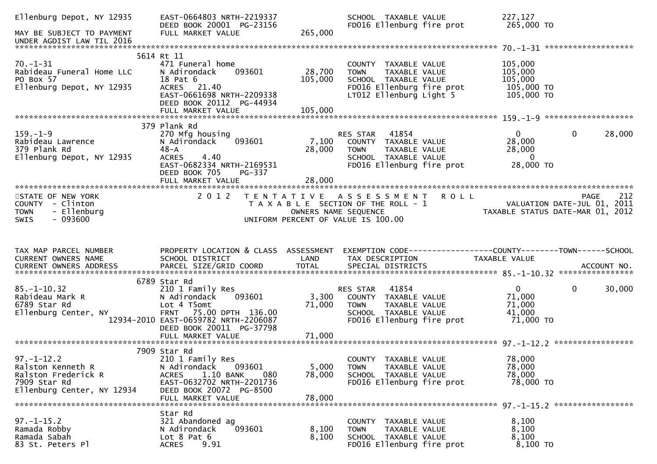| Ellenburg Depot, NY 12935                                                        | EAST-0664803 NRTH-2219337<br>DEED BOOK 20001 PG-23156                                                                                       |                 | SCHOOL TAXABLE VALUE<br>FD016 Ellenburg fire prot                                                                           | 227,127<br>265,000 TO                                   |                        |
|----------------------------------------------------------------------------------|---------------------------------------------------------------------------------------------------------------------------------------------|-----------------|-----------------------------------------------------------------------------------------------------------------------------|---------------------------------------------------------|------------------------|
| MAY BE SUBJECT TO PAYMENT<br>UNDER AGDIST LAW TIL 2016                           | FULL MARKET VALUE                                                                                                                           | 265,000         |                                                                                                                             |                                                         |                        |
|                                                                                  |                                                                                                                                             |                 |                                                                                                                             |                                                         |                        |
| $70. - 1 - 31$<br>Rabideau Funeral Home LLC                                      | 5614 Rt 11<br>471 Funeral home<br>N Adirondack<br>093601                                                                                    | 28,700          | COUNTY TAXABLE VALUE<br>TAXABLE VALUE<br><b>TOWN</b>                                                                        | 105,000<br>105,000                                      |                        |
| PO Box 57<br>Ellenburg Depot, NY 12935                                           | 18 Pat 6<br>ACRES 21.40<br>EAST-0661698 NRTH-2209338<br>DEED BOOK 20112 PG-44934                                                            | 105,000         | SCHOOL TAXABLE VALUE<br>FD016 Ellenburg fire prot<br>LT012 Ellenburg Light 5                                                | 105,000<br>105,000 TO<br>105,000 TO                     |                        |
|                                                                                  |                                                                                                                                             |                 |                                                                                                                             |                                                         |                        |
|                                                                                  | 379 Plank Rd                                                                                                                                |                 |                                                                                                                             |                                                         |                        |
| $159. - 1 - 9$<br>Rabideau Lawrence<br>379 Plank Rd<br>Ellenburg Depot, NY 12935 | 270 Mfg housing<br>093601<br>N Adirondack<br>48-A<br><b>ACRES</b><br>4.40                                                                   | 7,100<br>28,000 | 41854<br>RES STAR<br>COUNTY TAXABLE VALUE<br>TOWN     TAXABLE VALUE<br>SCHOOL TAXABLE VALUE                                 | $\mathbf{0}$<br>28,000<br>28,000<br>$\overline{0}$      | 28,000<br>$\mathbf{0}$ |
|                                                                                  | EAST-0682334 NRTH-2169531<br>DEED BOOK 705<br>PG-337<br>FULL MARKET VALUE                                                                   | 28,000          | FD016 Ellenburg fire prot                                                                                                   | 28,000 TO                                               |                        |
|                                                                                  |                                                                                                                                             |                 |                                                                                                                             |                                                         |                        |
| STATE OF NEW YORK<br>COUNTY - Clinton<br>- Ellenburg<br><b>TOWN</b>              | 2 0 1 2                                                                                                                                     |                 | TENTATIVE ASSESSMENT ROLL<br>T A X A B L E SECTION OF THE ROLL - 1<br>OWNERS NAME SEQUENCE                                  |                                                         | 212<br>PAGE            |
| $-093600$<br><b>SWIS</b>                                                         |                                                                                                                                             |                 | UNIFORM PERCENT OF VALUE IS 100.00                                                                                          |                                                         |                        |
|                                                                                  |                                                                                                                                             |                 |                                                                                                                             |                                                         |                        |
| TAX MAP PARCEL NUMBER<br>CURRENT OWNERS NAME                                     | PROPERTY LOCATION & CLASS ASSESSMENT<br>SCHOOL DISTRICT                                                                                     | LAND            | EXEMPTION CODE------------------COUNTY--------TOWN------SCHOOL<br>TAX DESCRIPTION                                           | TAXABLE VALUE                                           |                        |
|                                                                                  |                                                                                                                                             |                 |                                                                                                                             |                                                         |                        |
| $85. - 1 - 10.32$<br>Rabideau Mark R<br>6789 Star Rd<br>Ellenburg Center, NY     | 6789 Star Rd<br>210 1 Family Res<br>093601<br>N Adirondack<br>Lot 4 T5omt<br>FRNT 75.00 DPTH 136.00<br>12934-2010 EAST-0659782 NRTH-2206087 | 3,300<br>71,000 | RES STAR 41854<br>COUNTY TAXABLE VALUE<br>TAXABLE VALUE<br><b>TOWN</b><br>SCHOOL TAXABLE VALUE<br>FD016 Ellenburg fire prot | $\mathbf{0}$<br>71,000<br>71,000<br>41,000<br>71,000 TO | $\mathbf 0$<br>30,000  |
|                                                                                  | DEED BOOK 20011 PG-37798                                                                                                                    |                 |                                                                                                                             |                                                         |                        |
|                                                                                  | 7909 Star Rd                                                                                                                                |                 |                                                                                                                             |                                                         |                        |
| $97. - 1 - 12.2$<br>Ralston Kenneth R<br>Ralston Frederick R                     | 210 1 Family Res<br>093601<br>N Adirondack<br>1.10 BANK<br>080<br><b>ACRES</b>                                                              | 5,000<br>78,000 | COUNTY TAXABLE VALUE<br>TAXABLE VALUE<br><b>TOWN</b><br>SCHOOL TAXABLE VALUE                                                | 78,000<br>78,000<br>78,000                              |                        |
| 7909 Star Rd<br>Ellenburg Center, NY 12934                                       | EAST-0632702 NRTH-2201736<br>DEED BOOK 20072 PG-8500<br>FULL MARKET VALUE                                                                   | 78,000          | FD016 Ellenburg fire prot                                                                                                   | 78,000 TO                                               |                        |
|                                                                                  |                                                                                                                                             |                 |                                                                                                                             |                                                         |                        |
| $97. - 1 - 15.2$<br>Ramada Robby<br>Ramada Sabah                                 | Star Rd<br>321 Abandoned ag<br>093601<br>N Adirondack<br>Lot $8$ Pat $6$                                                                    | 8,100<br>8,100  | COUNTY TAXABLE VALUE<br><b>TOWN</b><br>TAXABLE VALUE<br>SCHOOL TAXABLE VALUE                                                | 8,100<br>8,100<br>8,100                                 |                        |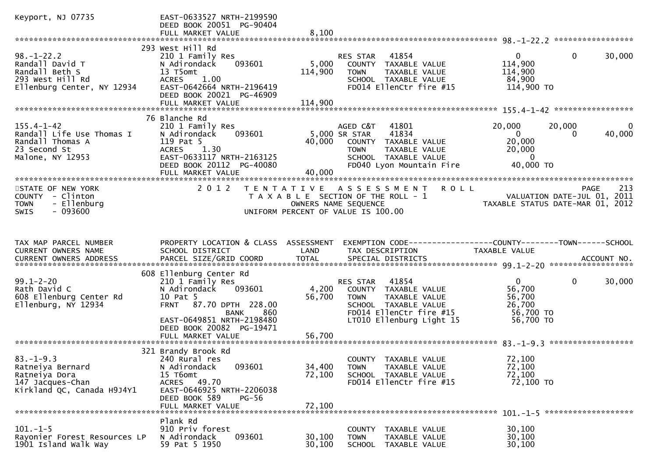| Keyport, NJ 07735                                                                                       | EAST-0633527 NRTH-2199590<br>DEED BOOK 20051 PG-90404<br>FULL MARKET VALUE                                                                                                                                         | 8.100                      |                                                                                                                                                          |                                                                             |                                                                                       |
|---------------------------------------------------------------------------------------------------------|--------------------------------------------------------------------------------------------------------------------------------------------------------------------------------------------------------------------|----------------------------|----------------------------------------------------------------------------------------------------------------------------------------------------------|-----------------------------------------------------------------------------|---------------------------------------------------------------------------------------|
|                                                                                                         |                                                                                                                                                                                                                    |                            |                                                                                                                                                          |                                                                             |                                                                                       |
| $98. - 1 - 22.2$<br>Randall David T<br>Randall Beth S<br>293 West Hill Rd<br>Ellenburg Center, NY 12934 | 293 West Hill Rd<br>210 1 Family Res<br>N Adirondack<br>093601<br>13 T5omt<br>1.00<br><b>ACRES</b><br>EAST-0642664 NRTH-2196419<br>DEED BOOK 20021 PG-46909                                                        | 5,000<br>114,900           | 41854<br>RES STAR<br>COUNTY TAXABLE VALUE<br>TAXABLE VALUE<br><b>TOWN</b><br>SCHOOL TAXABLE VALUE<br>FD014 EllenCtr fire #15                             | $\overline{0}$<br>114,900<br>114,900<br>84,900<br>114,900 TO                | $\mathbf{0}$<br>30,000                                                                |
|                                                                                                         | FULL MARKET VALUE                                                                                                                                                                                                  | 114,900                    |                                                                                                                                                          |                                                                             |                                                                                       |
| $155.4 - 1 - 42$<br>Randall Life Use Thomas I<br>Randall Thomas A<br>23 Second St<br>Malone, NY 12953   | 76 Blanche Rd<br>210 1 Family Res<br>093601<br>N Adirondack<br>119 Pat 5<br><b>ACRES</b><br>1.30<br>EAST-0633117 NRTH-2163125<br>DEED BOOK 20112 PG-40080<br>FULL MARKET VALUE                                     | 40,000<br>40,000           | AGED C&T<br>41801<br>5,000 SR STAR<br>41834<br>COUNTY TAXABLE VALUE<br>TAXABLE VALUE<br><b>TOWN</b><br>SCHOOL TAXABLE VALUE<br>FD040 Lyon Mountain Fire  | 20,000<br>$\overline{0}$<br>20,000<br>20,000<br>$\overline{0}$<br>40,000 TO | 20,000<br>0<br>40,000<br>0                                                            |
| STATE OF NEW YORK<br>COUNTY - Clinton<br>- Ellenburg<br><b>TOWN</b><br>$-093600$<br>SWIS                | 2 0 1 2                                                                                                                                                                                                            |                            | TENTATIVE ASSESSMENT ROLL<br>T A X A B L E SECTION OF THE ROLL - 1<br>OWNERS NAME SEQUENCE<br>UNIFORM PERCENT OF VALUE IS 100.00                         |                                                                             | 213<br><b>PAGE</b><br>VALUATION DATE-JUL 01, 2011<br>TAXABLE STATUS DATE-MAR 01, 2012 |
| TAX MAP PARCEL NUMBER                                                                                   |                                                                                                                                                                                                                    |                            |                                                                                                                                                          |                                                                             |                                                                                       |
| CURRENT OWNERS NAME                                                                                     | PROPERTY LOCATION & CLASS ASSESSMENT<br>SCHOOL DISTRICT                                                                                                                                                            | LAND                       | EXEMPTION CODE-----------------COUNTY-------TOWN------SCHOOL<br>TAX DESCRIPTION                                                                          | TAXABLE VALUE                                                               |                                                                                       |
| $99.1 - 2 - 20$<br>Rath David C<br>608 Ellenburg Center Rd<br>Ellenburg, NY 12934                       | 608 Ellenburg Center Rd<br>210 1 Family Res<br>093601<br>N Adirondack<br>10 Pat 5<br><b>FRNT</b><br>87.70 DPTH 228.00<br>860<br>BANK<br>EAST-0649851 NRTH-2198480<br>DEED BOOK 20082 PG-19471<br>FULL MARKET VALUE | 4,200<br>56,700<br>56,700  | 41854<br>RES STAR<br>COUNTY TAXABLE VALUE<br><b>TOWN</b><br>TAXABLE VALUE<br>SCHOOL TAXABLE VALUE<br>FD014 EllenCtr fire #15<br>LT010 Ellenburg Light 15 | $\mathbf{0}$<br>56,700<br>56,700<br>26,700<br>56,700 TO<br>56,700 TO        | 0<br>30,000                                                                           |
|                                                                                                         |                                                                                                                                                                                                                    |                            |                                                                                                                                                          |                                                                             |                                                                                       |
| $83. - 1 - 9.3$<br>Ratneiya Bernard<br>Ratneiya Dora<br>147 Jacques-Chan<br>Kirkland QC, Canada H9J4Y1  | 321 Brandy Brook Rd<br>240 Rural res<br>093601<br>N Adirondack<br>15 T6omt<br>ACRES 49.70<br>EAST-0646925 NRTH-2206038<br>DEED BOOK 589<br><b>PG-56</b><br>FULL MARKET VALUE                                       | 34,400<br>72,100<br>72,100 | COUNTY TAXABLE VALUE<br>TAXABLE VALUE<br><b>TOWN</b><br>SCHOOL TAXABLE VALUE<br>FD014 EllenCtr fire #15                                                  | 72,100<br>72,100<br>72,100<br>72,100 TO                                     |                                                                                       |
|                                                                                                         | Plank Rd                                                                                                                                                                                                           |                            |                                                                                                                                                          |                                                                             |                                                                                       |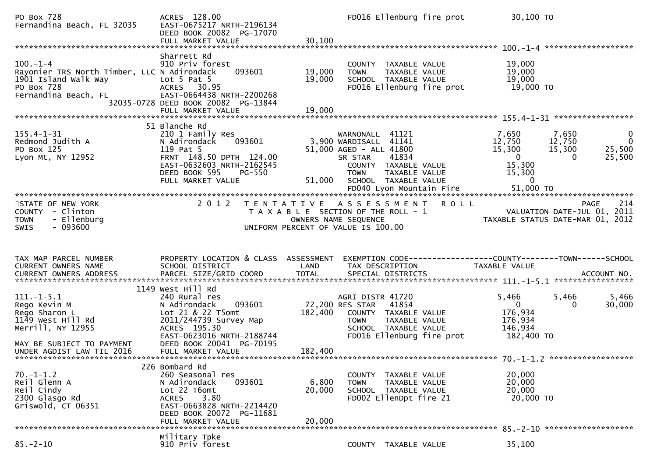| PO Box 728<br>Fernandina Beach, FL 32035                                                                                   | ACRES 128.00<br>EAST-0675217 NRTH-2196134<br>DEED BOOK 20082 PG-17070<br>FULL MARKET VALUE                                                                                         | 30,100                    | FD016 Ellenburg fire prot                                                                                                                                 | 30,100 TO                                                             |                                                                                       |
|----------------------------------------------------------------------------------------------------------------------------|------------------------------------------------------------------------------------------------------------------------------------------------------------------------------------|---------------------------|-----------------------------------------------------------------------------------------------------------------------------------------------------------|-----------------------------------------------------------------------|---------------------------------------------------------------------------------------|
| $100 - 1 - 4$<br>Rayonier TRS North Timber, LLC N Adirondack<br>1901 Island Walk Way<br>PO Box 728<br>Fernandina Beach, FL | Sharrett Rd<br>910 Priv forest<br>093601<br>Lot $5$ Pat $5$<br>ACRES 30.95<br>EAST-0664438 NRTH-2200268<br>32035-0728 DEED BOOK 20082 PG-13844                                     | 19,000<br>19,000          | COUNTY TAXABLE VALUE<br>TAXABLE VALUE<br><b>TOWN</b><br>SCHOOL TAXABLE VALUE<br>FD016 Ellenburg fire prot                                                 | 19,000<br>19,000<br>19,000<br>19,000 TO                               |                                                                                       |
| $155.4 - 1 - 31$                                                                                                           | 51 Blanche Rd<br>210 1 Family Res                                                                                                                                                  |                           | WARNONALL 41121                                                                                                                                           | 7,650                                                                 | 7,650<br>$\mathbf 0$                                                                  |
| Redmond Judith A<br>PO Box 125<br>Lyon Mt, NY 12952                                                                        | 093601<br>N Adirondack<br>119 Pat 5<br>FRNT 148.50 DPTH 124.00<br>EAST-0632603 NRTH-2162545<br>DEED BOOK 595<br>PG-550<br>FULL MARKET VALUE                                        | 51,000                    | 3,900 WARDISALL 41141<br>51,000 AGED - ALL 41800<br>SR STAR<br>41834<br>COUNTY TAXABLE VALUE<br>TAXABLE VALUE<br><b>TOWN</b><br>SCHOOL TAXABLE VALUE      | 12,750<br>15,300<br>$\overline{0}$<br>15,300<br>15,300<br>$\mathbf 0$ | $\overline{\mathbf{0}}$<br>12,750<br>15,300<br>25,500<br>$\Omega$<br>25,500           |
|                                                                                                                            |                                                                                                                                                                                    |                           | FD040 Lyon Mountain Fire                                                                                                                                  | 51,000 TO                                                             |                                                                                       |
| STATE OF NEW YORK<br>COUNTY - Clinton<br>- Ellenburg<br><b>TOWN</b><br>$-093600$<br><b>SWIS</b>                            | 2 0 1 2                                                                                                                                                                            | T E N T A T I V E         | <b>ROLL</b><br>A S S E S S M E N T<br>T A X A B L E SECTION OF THE ROLL - 1<br>OWNERS NAME SEQUENCE<br>UNIFORM PERCENT OF VALUE IS 100.00                 |                                                                       | 214<br><b>PAGE</b><br>VALUATION DATE-JUL 01, 2011<br>TAXABLE STATUS DATE-MAR 01, 2012 |
|                                                                                                                            |                                                                                                                                                                                    |                           |                                                                                                                                                           |                                                                       |                                                                                       |
| TAX MAP PARCEL NUMBER<br>CURRENT OWNERS NAME<br>CURRENT OWNERS ADDRESS                                                     | PROPERTY LOCATION & CLASS ASSESSMENT<br>SCHOOL DISTRICT<br>PARCEL SIZE/GRID COORD                                                                                                  | LAND<br><b>TOTAL</b>      | EXEMPTION CODE-----------------COUNTY-------TOWN------SCHOOL<br>TAX DESCRIPTION<br>SPECIAL DISTRICTS                                                      | TAXABLE VALUE                                                         | ACCOUNT NO.                                                                           |
|                                                                                                                            | 1149 West Hill Rd                                                                                                                                                                  |                           |                                                                                                                                                           |                                                                       |                                                                                       |
| $111.-1-5.1$<br>Rego Kevin M<br>Rego Sharon L<br>1149 West Hill Rd<br>Merrill, NY 12955<br>MAY BE SUBJECT TO PAYMENT       | 240 Rural res<br>N Adirondack<br>093601<br>Lot 21 & 22 T5omt<br>2011/244739 Survey Map<br>ACRES 195.30<br>EAST-0623016 NRTH-2188744<br>DEED BOOK 20041 PG-70195                    | 182,400                   | AGRI DISTR 41720<br>72,200 RES STAR<br>41854<br>COUNTY TAXABLE VALUE<br>TAXABLE VALUE<br><b>TOWN</b><br>SCHOOL TAXABLE VALUE<br>FD016 Ellenburg fire prot | 5,466<br>$\mathbf{0}$<br>176,934<br>176,934<br>146,934<br>182,400 TO  | 5,466<br>5,466<br>30,000<br>0                                                         |
| UNDER AGDIST LAW TIL 2016                                                                                                  | FULL MARKET VALUE                                                                                                                                                                  | 182,400                   |                                                                                                                                                           |                                                                       |                                                                                       |
| $70. - 1 - 1.2$<br>Reil Glenn A<br>Reil Cindy<br>2300 Glasgo Rd<br>Griswold, CT 06351                                      | 226 Bombard Rd<br>260 Seasonal res<br>N Adirondack<br>093601<br>Lot 22 T6omt<br>3.80<br><b>ACRES</b><br>EAST-0663828 NRTH-2214420<br>DEED BOOK 20072 PG-11681<br>FULL MARKET VALUE | 6,800<br>20,000<br>20,000 | COUNTY TAXABLE VALUE<br>TAXABLE VALUE<br><b>TOWN</b><br>SCHOOL TAXABLE VALUE<br>FD002 EllenDpt fire 21                                                    | 20,000<br>20,000<br>20,000<br>20,000 TO                               |                                                                                       |
|                                                                                                                            | Military Tpke                                                                                                                                                                      |                           |                                                                                                                                                           |                                                                       |                                                                                       |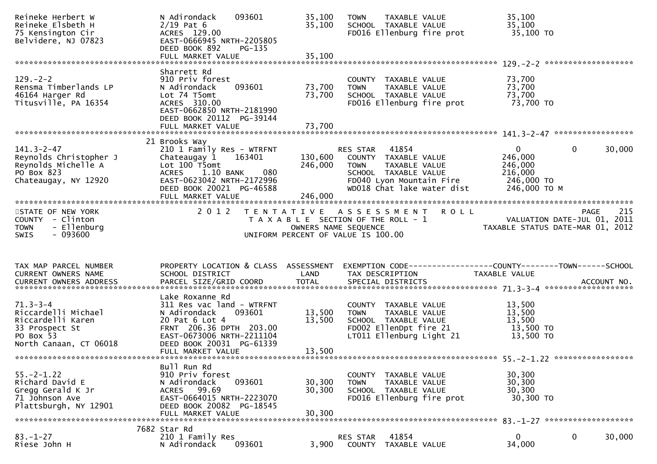| Reineke Herbert W<br>Reineke Elsbeth H<br>75 Kensington Cir<br>Belvidere, NJ 07823                                  | 093601<br>N Adirondack<br>$2/19$ Pat 6<br>ACRES 129.00<br>EAST-0666945 NRTH-2205805<br>DEED BOOK 892<br>PG-135                                                                     | 35,100<br>35,100           | <b>TOWN</b><br>TAXABLE VALUE<br>SCHOOL TAXABLE VALUE<br>FD016 Ellenburg fire prot                                                                        | 35,100<br>35,100<br>35,100 TO                                                                 |        |
|---------------------------------------------------------------------------------------------------------------------|------------------------------------------------------------------------------------------------------------------------------------------------------------------------------------|----------------------------|----------------------------------------------------------------------------------------------------------------------------------------------------------|-----------------------------------------------------------------------------------------------|--------|
|                                                                                                                     |                                                                                                                                                                                    |                            |                                                                                                                                                          |                                                                                               |        |
| $129. - 2 - 2$<br>Rensma Timberlands LP<br>46164 Harger Rd<br>Titusville, PA 16354                                  | Sharrett Rd<br>910 Priv forest<br>N Adirondack<br>093601<br>Lot 74 T5omt<br>ACRES 310.00<br>EAST-0662850 NRTH-2181990<br>DEED BOOK 20112 PG-39144                                  | 73,700<br>73,700           | COUNTY TAXABLE VALUE<br>TAXABLE VALUE<br><b>TOWN</b><br>SCHOOL TAXABLE VALUE<br>FD016 Ellenburg fire prot                                                | 73,700<br>73,700<br>73,700<br>73,700 TO                                                       |        |
|                                                                                                                     |                                                                                                                                                                                    |                            |                                                                                                                                                          |                                                                                               |        |
|                                                                                                                     |                                                                                                                                                                                    |                            |                                                                                                                                                          |                                                                                               |        |
| $141.3 - 2 - 47$<br>Reynolds Christopher J<br>Reynolds Michelle A<br>PO Box 823<br>Chateaugay, NY 12920             | 21 Brooks Way<br>210 1 Family Res - WTRFNT<br>163401<br>Chateaugay 1<br>Lot 100 T5omt<br>080<br>1.10 BANK<br><b>ACRES</b><br>EAST-0623042 NRTH-2172996<br>DEED BOOK 20021 PG-46588 | 130,600<br>246,000         | RES STAR 41854<br>COUNTY TAXABLE VALUE<br><b>TOWN</b><br>TAXABLE VALUE<br>SCHOOL TAXABLE VALUE<br>FD040 Lyon Mountain Fire<br>WD018 Chat lake water dist | $\overline{0}$<br>$\mathbf{0}$<br>246,000<br>246,000<br>216,000<br>246,000 TO<br>246,000 ТО М | 30,000 |
|                                                                                                                     |                                                                                                                                                                                    |                            |                                                                                                                                                          |                                                                                               |        |
| STATE OF NEW YORK<br>COUNTY - Clinton<br>- Ellenburg<br><b>TOWN</b><br>- 093600<br>SWIS                             | 2 0 1 2                                                                                                                                                                            | OWNERS NAME SEQUENCE       | TENTATIVE ASSESSMENT<br><b>ROLL</b><br>T A X A B L E SECTION OF THE ROLL - 1<br>UNIFORM PERCENT OF VALUE IS 100.00                                       | <b>PAGE</b><br>VALUATION DATE-JUL $01$ , 2011<br>TAXABLE STATUS DATE-MAR 01, 2012             | 215    |
|                                                                                                                     |                                                                                                                                                                                    |                            |                                                                                                                                                          |                                                                                               |        |
| TAX MAP PARCEL NUMBER<br>CURRENT OWNERS NAME                                                                        | PROPERTY LOCATION & CLASS ASSESSMENT<br>SCHOOL DISTRICT                                                                                                                            | LAND                       | TAX DESCRIPTION                                                                                                                                          | EXEMPTION CODE-----------------COUNTY--------TOWN------SCHOOL<br>TAXABLE VALUE                |        |
|                                                                                                                     | Lake Roxanne Rd                                                                                                                                                                    |                            |                                                                                                                                                          |                                                                                               |        |
| $71.3 - 3 - 4$<br>Riccardelli Michael<br>Riccardelli Karen<br>33 Prospect St<br>PO Box 53<br>North Canaan, CT 06018 | 311 Res vac land - WTRFNT<br>093601<br>N Adirondack<br>20 Pat 6 Lot 4<br>FRNT 206.36 DPTH 203.00<br>EAST-0673006 NRTH-2211104<br>DEED BOOK 20031 PG-61339<br>FULL MARKET VALUE     | 13,500<br>13,500<br>13,500 | COUNTY TAXABLE VALUE<br><b>TOWN</b><br>TAXABLE VALUE<br>SCHOOL TAXABLE VALUE<br>FD002 EllenDpt fire 21<br>LT011 Ellenburg Light 21                       | 13,500<br>13,500<br>13,500<br>13,500 TO<br>13,500 TO                                          |        |
|                                                                                                                     |                                                                                                                                                                                    |                            |                                                                                                                                                          |                                                                                               |        |
| $55. - 2 - 1.22$<br>Richard David E<br>Gregg Gerald K Jr<br>71 Johnson Ave<br>Plattsburgh, NY 12901                 | Bull Run Rd<br>910 Priv forest<br>093601<br>N Adirondack<br>99.69<br>ACRES<br>EAST-0664015 NRTH-2223070                                                                            | 30,300<br>30,300           | COUNTY<br>TAXABLE VALUE<br><b>TOWN</b><br>TAXABLE VALUE<br>SCHOOL TAXABLE VALUE<br>FD016 Ellenburg fire prot                                             | 30,300<br>30,300<br>30,300<br>30,300 TO                                                       |        |
|                                                                                                                     | DEED BOOK 20082 PG-18545<br>FULL MARKET VALUE                                                                                                                                      | 30,300                     |                                                                                                                                                          |                                                                                               |        |
|                                                                                                                     | 7682 Star Rd                                                                                                                                                                       |                            |                                                                                                                                                          |                                                                                               |        |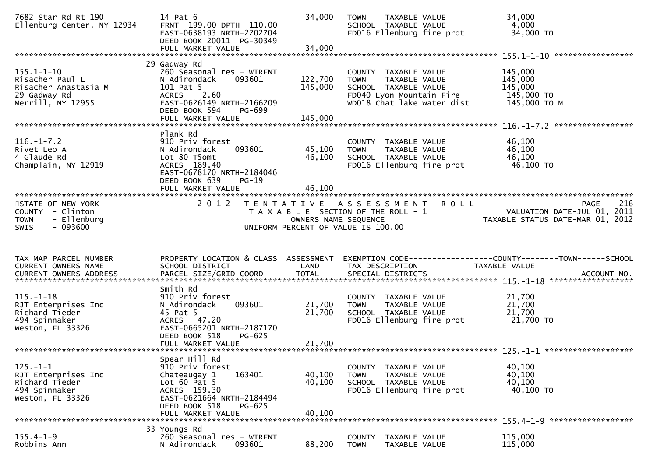| 7682 Star Rd Rt 190<br>Ellenburg Center, NY 12934                                                | 14 Pat 6<br>FRNT 199.00 DPTH 110.00<br>EAST-0638193 NRTH-2202704<br>DEED BOOK 20011 PG-30349                                                                        | 34,000                        | <b>TOWN</b><br>SCHOOL TAXABLE VALUE                                         | TAXABLE VALUE<br>FD016 Ellenburg fire prot                              | 34,000<br>4,000<br>34,000 TO                                            |     |
|--------------------------------------------------------------------------------------------------|---------------------------------------------------------------------------------------------------------------------------------------------------------------------|-------------------------------|-----------------------------------------------------------------------------|-------------------------------------------------------------------------|-------------------------------------------------------------------------|-----|
|                                                                                                  |                                                                                                                                                                     |                               |                                                                             |                                                                         |                                                                         |     |
| $155.1 - 1 - 10$<br>Risacher Paul L<br>Risacher Anastasia M<br>29 Gadway Rd<br>Merrill, NY 12955 | 29 Gadway Rd<br>260 Seasonal res - WTRFNT<br>N Adirondack<br>093601<br>101 Pat 5<br>ACRES 2.60<br>EAST-0626149 NRTH-2166209<br>DEED BOOK 594<br>PG-699              | 122,700<br>145,000<br>145,000 | COUNTY TAXABLE VALUE<br>TOWN<br>SCHOOL TAXABLE VALUE                        | TAXABLE VALUE<br>FD040 Lyon Mountain Fire<br>WD018 Chat lake water dist | 145,000<br>145,000<br>145,000<br>145,000 TO<br>145,000 ТО М             |     |
|                                                                                                  | FULL MARKET VALUE                                                                                                                                                   |                               |                                                                             |                                                                         |                                                                         |     |
| $116. - 1 - 7.2$<br>Rivet Leo A<br>4 Glaude Rd<br>Champlain, NY 12919                            | Plank Rd<br>910 Priv forest<br>093601<br>N Adirondack<br>Lot 80 T5omt<br>ACRES 189.40<br>EAST-0678170 NRTH-2184046<br>DEED BOOK 639<br>$PG-19$<br>FULL MARKET VALUE | 45,100<br>46,100<br>46,100    | COUNTY TAXABLE VALUE<br>TOWN<br>SCHOOL TAXABLE VALUE                        | TAXABLE VALUE<br>FD016 Ellenburg fire prot                              | 46,100<br>46,100<br>46,100<br>46,100 TO                                 |     |
|                                                                                                  |                                                                                                                                                                     |                               |                                                                             |                                                                         |                                                                         |     |
| STATE OF NEW YORK<br>COUNTY - Clinton<br>- Ellenburg<br><b>TOWN</b><br>$-093600$<br><b>SWIS</b>  | 2 0 1 2                                                                                                                                                             | OWNERS NAME SEQUENCE          | T A X A B L E SECTION OF THE ROLL - 1<br>UNIFORM PERCENT OF VALUE IS 100.00 | TENTATIVE ASSESSMENT ROLL                                               | PAGE<br>VALUATION DATE-JUL 01, 2011<br>TAXABLE STATUS DATE-MAR 01, 2012 | 216 |
|                                                                                                  |                                                                                                                                                                     |                               |                                                                             |                                                                         |                                                                         |     |
| TAX MAP PARCEL NUMBER<br>CURRENT OWNERS NAME                                                     | PROPERTY LOCATION & CLASS ASSESSMENT EXEMPTION CODE----------------COUNTY-------TOWN------SCHOOL<br>SCHOOL DISTRICT                                                 | LAND                          | TAX DESCRIPTION                                                             |                                                                         | TAXABLE VALUE                                                           |     |
| $115. - 1 - 18$<br>RJT Enterprises Inc<br>Richard Tieder<br>494 Spinnaker<br>Weston, FL 33326    | Smith Rd<br>910 Priv forest<br>093601<br>N Adirondack<br>45 Pat 5<br>ACRES 47.20<br>EAST-0665201 NRTH-2187170<br>DEED BOOK 518<br>PG-625                            | 21,700<br>21,700              | COUNTY TAXABLE VALUE<br><b>TOWN</b><br>SCHOOL TAXABLE VALUE                 | TAXABLE VALUE<br>FD016 Ellenburg fire prot                              | 21,700<br>21,700<br>21,700<br>21,700 TO                                 |     |
| $125. - 1 - 1$<br>RJT Enterprises Inc<br>Richard Tieder<br>494 Spinnaker<br>Weston, FL 33326     | Spear Hill Rd<br>910 Priv forest<br>163401<br>Chateaugay 1<br>Lot $60$ Pat $5$<br>ACRES 159.30<br>EAST-0621664 NRTH-2184494<br>DEED BOOK 518<br>PG-625              | 40,100<br>40,100              | COUNTY TAXABLE VALUE<br><b>TOWN</b><br>SCHOOL TAXABLE VALUE                 | TAXABLE VALUE<br>FD016 Ellenburg fire prot                              | 40,100<br>40,100<br>40,100<br>40,100 TO                                 |     |
|                                                                                                  | 33 Youngs Rd                                                                                                                                                        |                               |                                                                             |                                                                         |                                                                         |     |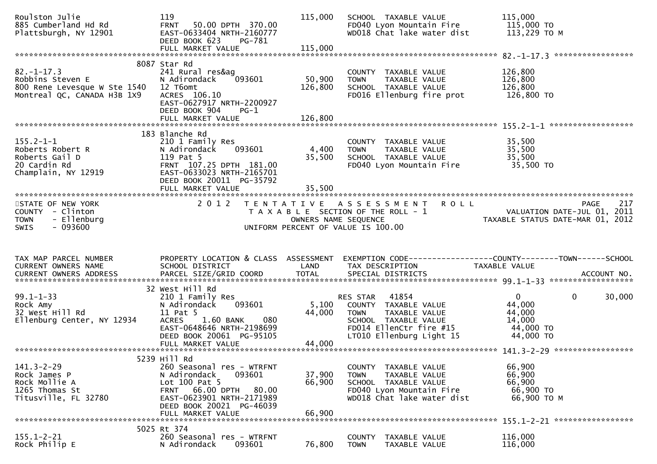| Roulston Julie<br>885 Cumberland Hd Rd<br>Plattsburgh, NY 12901                                     | 119<br><b>FRNT</b><br>50.00 DPTH 370.00<br>EAST-0633404 NRTH-2160777<br>DEED BOOK 623<br>PG-781                                                                                    | 115,000                   | SCHOOL TAXABLE VALUE<br>FD040 Lyon Mountain Fire<br>WD018 Chat lake water dist                                                                    | 115,000<br>115,000 TO<br>113,229 ТО М                                               |             |
|-----------------------------------------------------------------------------------------------------|------------------------------------------------------------------------------------------------------------------------------------------------------------------------------------|---------------------------|---------------------------------------------------------------------------------------------------------------------------------------------------|-------------------------------------------------------------------------------------|-------------|
|                                                                                                     |                                                                                                                                                                                    |                           |                                                                                                                                                   |                                                                                     |             |
| $82. - 1 - 17.3$<br>Robbins Steven E<br>800 Rene Levesque W Ste 1540<br>Montreal QC, CANADA H3B 1X9 | 8087 Star Rd<br>241 Rural res&ag<br>093601<br>N Adirondack<br>12 T6omt<br>ACRES 106.10<br>EAST-0627917 NRTH-2200927<br>DEED BOOK 904<br>$PG-1$                                     | 50,900<br>126,800         | COUNTY TAXABLE VALUE<br>TAXABLE VALUE<br><b>TOWN</b><br>SCHOOL TAXABLE VALUE<br>FD016 Ellenburg fire prot                                         | 126,800<br>126,800<br>126,800<br>126,800 TO                                         |             |
|                                                                                                     | FULL MARKET VALUE                                                                                                                                                                  | 126,800                   |                                                                                                                                                   |                                                                                     |             |
| $155.2 - 1 - 1$<br>Roberts Robert R<br>Roberts Gail D<br>20 Cardin Rd<br>Champlain, NY 12919        | 183 Blanche Rd<br>210 1 Family Res<br>093601<br>N Adirondack<br>119 Pat 5<br>FRNT 107.25 DPTH 181.00<br>EAST-0633023 NRTH-2165701<br>DEED BOOK 20011 PG-35792<br>FULL MARKET VALUE | 4,400<br>35,500<br>35,500 | COUNTY TAXABLE VALUE<br>TAXABLE VALUE<br><b>TOWN</b><br>SCHOOL TAXABLE VALUE<br>FD040 Lyon Mountain Fire                                          | 35,500<br>35,500<br>35,500<br>35,500 TO                                             |             |
| STATE OF NEW YORK<br>COUNTY - Clinton<br>- Ellenburg<br><b>TOWN</b><br>$-093600$<br><b>SWIS</b>     | 2 0 1 2                                                                                                                                                                            | OWNERS NAME SEQUENCE      | TENTATIVE ASSESSMENT ROLL<br>T A X A B L E SECTION OF THE ROLL - 1<br>UNIFORM PERCENT OF VALUE IS 100.00                                          | VALUATION DATE-JUL 01, 2011<br>TAXABLE STATUS DATE-MAR 01, 2012                     | 217<br>PAGE |
| TAX MAP PARCEL NUMBER<br>CURRENT OWNERS NAME                                                        | PROPERTY LOCATION & CLASS ASSESSMENT<br>SCHOOL DISTRICT                                                                                                                            | LAND                      | EXEMPTION CODE------------------COUNTY--------TOWN------SCHOOL<br>TAX DESCRIPTION                                                                 | TAXABLE VALUE                                                                       |             |
| $99.1 - 1 - 33$<br>Rock Amy<br>32 West Hill Rd<br>Ellenburg Center, NY 12934                        | 32 West Hill Rd<br>210 1 Family Res<br>N Adirondack<br>093601<br>11 Pat 5<br>1.60 BANK<br>080<br><b>ACRES</b><br>EAST-0648646 NRTH-2198699<br>DEED BOOK 20061 PG-95105             | 5,100<br>44,000           | 41854<br>RES STAR<br>COUNTY TAXABLE VALUE<br>TOWN<br>TAXABLE VALUE<br>SCHOOL TAXABLE VALUE<br>FD014 EllenCtr fire #15<br>LT010 Ellenburg Light 15 | $\mathbf{0}$<br>$\mathbf 0$<br>44,000<br>44,000<br>14,000<br>44,000 TO<br>44,000 TO | 30,000      |
|                                                                                                     |                                                                                                                                                                                    |                           |                                                                                                                                                   |                                                                                     |             |
| $141.3 - 2 - 29$<br>Rock James P<br>Rock Mollie A<br>1265 Thomas St<br>Titusville, FL 32780         | 5239 Hill Rd<br>260 Seasonal res - WTRFNT<br>093601<br>N Adirondack<br>Lot $100$ Pat 5<br>FRNT 66.00 DPTH<br>80.00<br>EAST-0623901 NRTH-2171989                                    | 37,900<br>66,900          | COUNTY TAXABLE VALUE<br><b>TOWN</b><br>TAXABLE VALUE<br>SCHOOL TAXABLE VALUE<br>FD040 Lyon Mountain Fire<br>WD018 Chat lake water dist            | 66,900<br>66,900<br>66,900<br>66,900 ТО<br>66,900 TO M                              |             |
|                                                                                                     | DEED BOOK 20021 PG-46039<br>FULL MARKET VALUE                                                                                                                                      | 66,900                    |                                                                                                                                                   |                                                                                     |             |
|                                                                                                     | 5025 Rt 374                                                                                                                                                                        |                           |                                                                                                                                                   |                                                                                     |             |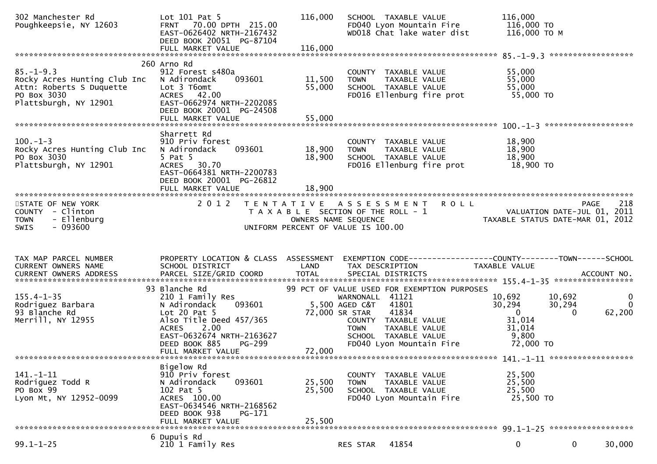| 302 Manchester Rd<br>Poughkeepsie, NY 12603                                                                         | Lot $101$ Pat 5<br>FRNT 70.00 DPTH 215.00<br>EAST-0626402 NRTH-2167432<br>DEED BOOK 20051 PG-87104<br>FULL MARKET VALUE                                                                                  | 116,000<br>116,000                                                                                                          | SCHOOL TAXABLE VALUE<br>FD040 Lyon Mountain Fire<br>WD018 Chat lake water dist                                                                                       | 116,000<br>116,000 то<br>116,000 то м                                                                             |                         |
|---------------------------------------------------------------------------------------------------------------------|----------------------------------------------------------------------------------------------------------------------------------------------------------------------------------------------------------|-----------------------------------------------------------------------------------------------------------------------------|----------------------------------------------------------------------------------------------------------------------------------------------------------------------|-------------------------------------------------------------------------------------------------------------------|-------------------------|
|                                                                                                                     |                                                                                                                                                                                                          |                                                                                                                             |                                                                                                                                                                      |                                                                                                                   |                         |
| $85. - 1 - 9.3$<br>Rocky Acres Hunting Club Inc<br>Attn: Roberts S Duquette<br>PO Box 3030<br>Plattsburgh, NY 12901 | 260 Arno Rd<br>912 Forest s480a<br>093601<br>N Adirondack<br>Lot 3 T6omt<br>ACRES 42.00<br>EAST-0662974 NRTH-2202085<br>DEED BOOK 20001 PG-24508                                                         | 11,500<br><b>TOWN</b><br>55,000                                                                                             | COUNTY TAXABLE VALUE<br>TAXABLE VALUE<br>SCHOOL TAXABLE VALUE<br>FD016 Ellenburg fire prot                                                                           | 55,000<br>55,000<br>55,000<br>55,000 TO                                                                           |                         |
|                                                                                                                     |                                                                                                                                                                                                          |                                                                                                                             |                                                                                                                                                                      |                                                                                                                   |                         |
| $100. -1 - 3$<br>Rocky Acres Hunting Club Inc<br>PO Box 3030<br>Plattsburgh, NY 12901                               | Sharrett Rd<br>910 Priv forest<br>093601<br>N Adirondack<br>5 Pat 5<br>ACRES 30.70<br>EAST-0664381 NRTH-2200783<br>DEED BOOK 20001 PG-26812                                                              | 18,900<br><b>TOWN</b><br>18,900                                                                                             | COUNTY TAXABLE VALUE<br>TAXABLE VALUE<br>SCHOOL TAXABLE VALUE<br>FD016 Ellenburg fire prot                                                                           | 18,900<br>18,900<br>18,900<br>18,900 TO                                                                           |                         |
|                                                                                                                     | FULL MARKET VALUE                                                                                                                                                                                        | 18,900                                                                                                                      |                                                                                                                                                                      |                                                                                                                   |                         |
| STATE OF NEW YORK<br>COUNTY - Clinton<br>- Ellenburg<br><b>TOWN</b><br>$-093600$<br><b>SWIS</b>                     | 2 0 1 2                                                                                                                                                                                                  | TENTATIVE ASSESSMENT<br>T A X A B L E SECTION OF THE ROLL - 1<br>OWNERS NAME SEQUENCE<br>UNIFORM PERCENT OF VALUE IS 100.00 | <b>ROLL</b>                                                                                                                                                          | <b>PAGE</b><br>VALUATION DATE-JUL 01, 2011<br>TAXABLE STATUS DATE-MAR 01, 2012                                    | 218                     |
|                                                                                                                     |                                                                                                                                                                                                          |                                                                                                                             |                                                                                                                                                                      |                                                                                                                   |                         |
| TAX MAP PARCEL NUMBER<br>CURRENT OWNERS NAME                                                                        | SCHOOL DISTRICT                                                                                                                                                                                          | LAND                                                                                                                        | TAX DESCRIPTION                                                                                                                                                      | PROPERTY LOCATION & CLASS ASSESSMENT EXEMPTION CODE----------------COUNTY-------TOWN------SCHOOL<br>TAXABLE VALUE |                         |
|                                                                                                                     |                                                                                                                                                                                                          |                                                                                                                             |                                                                                                                                                                      |                                                                                                                   |                         |
| $155.4 - 1 - 35$<br>Rodriguez Barbara<br>93 Blanche Rd<br>Merrill, NY 12955                                         | 93 Blanche Rd<br>210 1 Family Res<br>N Adirondack<br>093601<br>Lot 20 Pat 5<br>Also Title Deed 457/365<br>ACRES 2.00<br>EAST-0632674 NRTH-2163627<br>DEED BOOK 885<br><b>PG-299</b><br>FULL MARKET VALUE | 5,500 AGED C&T 41801<br>72,000 SR STAR<br><b>TOWN</b><br>72,000                                                             | 99 PCT OF VALUE USED FOR EXEMPTION PURPOSES<br>WARNONALL 41121<br>41834<br>COUNTY TAXABLE VALUE<br>TAXABLE VALUE<br>SCHOOL TAXABLE VALUE<br>FD040 Lyon Mountain Fire | 10,692<br>10,692<br>30,294<br>30,294<br>$\overline{0}$<br>$\Omega$<br>31,014<br>31,014<br>9,800<br>72,000 TO      | 0<br>$\Omega$<br>62,200 |
|                                                                                                                     |                                                                                                                                                                                                          |                                                                                                                             |                                                                                                                                                                      |                                                                                                                   |                         |
| 141. - 1-11<br>Rodriguez Todd R<br>PO Box 99<br>Lyon Mt, NY 12952-0099                                              | Bigelow Rd<br>910 Priv forest<br>093601<br>N Adirondack<br>102 Pat 5<br>ACRES 100.00<br>EAST-0634546 NRTH-2168562<br>DEED BOOK 938<br>PG-171<br>FULL MARKET VALUE                                        | 25,500<br><b>TOWN</b><br>25,500<br>25,500                                                                                   | COUNTY TAXABLE VALUE<br>TAXABLE VALUE<br>SCHOOL TAXABLE VALUE<br>FD040 Lyon Mountain Fire                                                                            | 25,500<br>25,500<br>25,500<br>25,500 TO                                                                           |                         |
|                                                                                                                     | 6 Dupuis Rd                                                                                                                                                                                              |                                                                                                                             |                                                                                                                                                                      |                                                                                                                   |                         |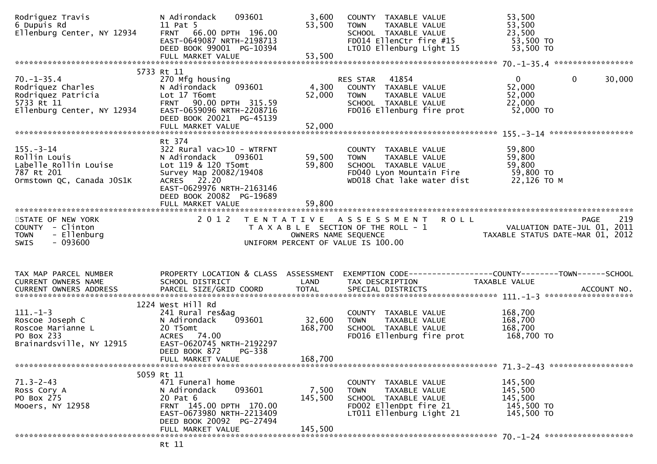| Rodriguez Travis<br>6 Dupuis Rd<br>Ellenburg Center, NY 12934                                           | 093601<br>N Adirondack<br>11 Pat 5<br>FRNT 66.00 DPTH 196.00<br>EAST-0649087 NRTH-2198713<br>DEED BOOK 99001 PG-10394                                                             | 3,600<br>53,500           | COUNTY TAXABLE VALUE<br><b>TOWN</b><br>TAXABLE VALUE<br>SCHOOL TAXABLE VALUE<br>FD014 EllenCtr fire #15<br>LT010 Ellenburg Light 15    | 53,500<br>53,500<br>23,500<br>53,500 TO<br>53,500 TO                    |             |
|---------------------------------------------------------------------------------------------------------|-----------------------------------------------------------------------------------------------------------------------------------------------------------------------------------|---------------------------|----------------------------------------------------------------------------------------------------------------------------------------|-------------------------------------------------------------------------|-------------|
|                                                                                                         | 5733 Rt 11                                                                                                                                                                        |                           |                                                                                                                                        |                                                                         |             |
| $70. - 1 - 35.4$<br>Rodriquez Charles<br>Rodriquez Patricia<br>5733 Rt 11<br>Ellenburg Center, NY 12934 | 270 Mfg housing<br>093601<br>N Adirondack<br>Lot 17 T6omt<br>FRNT 90.00 DPTH 315.59<br>EAST-0659096 NRTH-2208716<br>DEED BOOK 20021 PG-45139<br>FULL MARKET VALUE                 | 4,300<br>52,000<br>52,000 | 41854<br>RES STAR<br>COUNTY TAXABLE VALUE<br><b>TOWN</b><br>TAXABLE VALUE<br>SCHOOL TAXABLE VALUE<br>FD016 Ellenburg fire prot         | $\mathbf{0}$<br>$\mathbf{0}$<br>52,000<br>52,000<br>22,000<br>52,000 TO | 30,000      |
|                                                                                                         | Rt 374                                                                                                                                                                            |                           |                                                                                                                                        |                                                                         |             |
| $155. - 3 - 14$<br>Rollin Louis<br>Labelle Rollin Louise<br>787 Rt 201<br>Ormstown QC, Canada JOS1K     | $322$ Rural vac $>10$ - WTRFNT<br>N Adirondack<br>093601<br>Lot 119 & 120 T5omt<br>Survey Map 20082/19408<br>ACRES 22.20<br>EAST-0629976 NRTH-2163146<br>DEED BOOK 20082 PG-19689 | 59,500<br>59,800          | COUNTY TAXABLE VALUE<br>TAXABLE VALUE<br><b>TOWN</b><br>SCHOOL TAXABLE VALUE<br>FD040 Lyon Mountain Fire<br>WD018 Chat lake water dist | 59,800<br>59,800<br>59,800<br>59,800 TO<br>22,126 TO M                  |             |
|                                                                                                         |                                                                                                                                                                                   |                           |                                                                                                                                        |                                                                         |             |
| STATE OF NEW YORK<br>COUNTY - Clinton<br>- Ellenburg<br><b>TOWN</b><br>- 093600<br>SWIS                 | 2 0 1 2                                                                                                                                                                           | OWNERS NAME SEQUENCE      | TENTATIVE ASSESSMENT<br><b>ROLL</b><br>T A X A B L E SECTION OF THE ROLL - 1<br>UNIFORM PERCENT OF VALUE IS 100.00                     | VALUATION DATE-JUL 01, 2011<br>TAXABLE STATUS DATE-MAR 01, 2012         | 219<br>PAGE |
| TAX MAP PARCEL NUMBER<br>CURRENT OWNERS NAME                                                            | PROPERTY LOCATION & CLASS ASSESSMENT<br>SCHOOL DISTRICT                                                                                                                           | LAND                      | TAX DESCRIPTION                                                                                                                        | TAXABLE VALUE                                                           |             |
|                                                                                                         | 1224 West Hill Rd                                                                                                                                                                 |                           |                                                                                                                                        |                                                                         |             |
| $111. - 1 - 3$<br>Roscoe Joseph C<br>Roscoe Marianne L<br>PO Box 233<br>Brainardsville, NY 12915        | 241 Rural res&ag<br>093601<br>N Adirondack<br>20 T5omt<br>74.00<br><b>ACRES</b><br>EAST-0620745 NRTH-2192297<br>DEED BOOK 872<br>PG-338                                           | 32,600<br>168,700         | COUNTY TAXABLE VALUE<br>TAXABLE VALUE<br><b>TOWN</b><br>SCHOOL TAXABLE VALUE<br>FD016 Ellenburg fire prot                              | 168,700<br>168,700<br>168,700<br>168,700 TO                             |             |
|                                                                                                         | FULL MARKET VALUE                                                                                                                                                                 | 168,700                   |                                                                                                                                        |                                                                         |             |
|                                                                                                         | 5059 Rt 11                                                                                                                                                                        |                           |                                                                                                                                        |                                                                         |             |
| $71.3 - 2 - 43$<br>Ross Cory A<br>PO Box 275<br>Mooers, NY 12958                                        | 471 Funeral home<br>093601<br>N Adirondack<br>20 Pat 6<br>FRNT 145.00 DPTH 170.00<br>EAST-0673980 NRTH-2213409<br>DEED BOOK 20092 PG-27494                                        | 7,500<br>145,500          | COUNTY TAXABLE VALUE<br><b>TOWN</b><br>TAXABLE VALUE<br>SCHOOL TAXABLE VALUE<br>FD002 EllenDpt fire 21<br>LT011 Ellenburg Light 21     | 145,500<br>145,500<br>145,500<br>145,500 TO<br>145,500 TO               |             |
|                                                                                                         | FULL MARKET VALUE                                                                                                                                                                 | 145,500                   |                                                                                                                                        |                                                                         |             |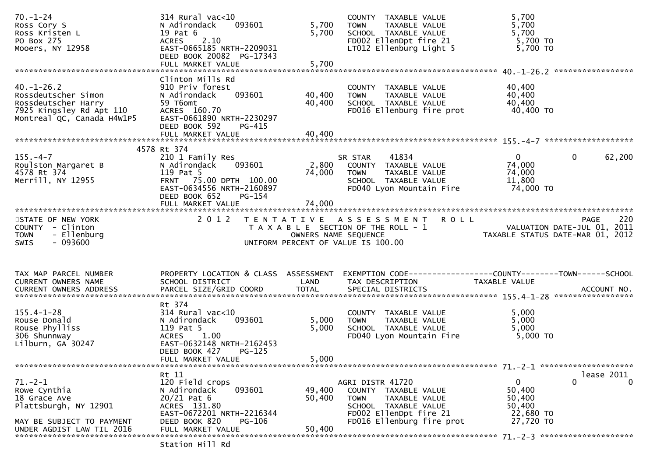| $70. - 1 - 24$<br>Ross Cory S<br>Ross Kristen L<br>PO Box 275<br>Mooers, NY 12958                                                                      | $314$ Rural vac<10<br>093601<br>N Adirondack<br>19 Pat 6<br>ACRES 2.10<br>EAST-0665185 NRTH-2209031<br>DEED BOOK 20082 PG-17343           | 5,700<br>5,700       | COUNTY TAXABLE VALUE<br><b>TOWN</b><br>TAXABLE VALUE<br>SCHOOL TAXABLE VALUE<br>FD002 EllenDpt fire 21<br>LT012 Ellenburg Light 5  | 5,700<br>5,700<br>5,700<br>5,700 TO<br>5,700 TO                                |          |
|--------------------------------------------------------------------------------------------------------------------------------------------------------|-------------------------------------------------------------------------------------------------------------------------------------------|----------------------|------------------------------------------------------------------------------------------------------------------------------------|--------------------------------------------------------------------------------|----------|
|                                                                                                                                                        | Clinton Mills Rd                                                                                                                          |                      |                                                                                                                                    |                                                                                |          |
| $40. - 1 - 26.2$<br>Rossdeutscher Simon<br>Rossdeutscher Harry<br>7925 Kingsley Rd Apt 110<br>Montreal OC. Canada H4W1P5<br>Montreal QC, Canada H4W1P5 | 910 Priv forest<br>093601<br>N Adirondack<br>59 T6omt<br>ACRES 160.70<br>EAST-0661890 NRTH-2230297<br>DEED BOOK 592<br>$PG-415$           | 40,400<br>40,400     | COUNTY TAXABLE VALUE<br>TAXABLE VALUE<br><b>TOWN</b><br>SCHOOL TAXABLE VALUE<br>FD016 Ellenburg fire prot                          | 40,400<br>40,400<br>40,400<br>40,400 TO                                        |          |
|                                                                                                                                                        | FULL MARKET VALUE                                                                                                                         | 40,400               |                                                                                                                                    |                                                                                |          |
|                                                                                                                                                        | 4578 Rt 374                                                                                                                               |                      |                                                                                                                                    |                                                                                |          |
| $155. - 4 - 7$<br>Roulston Margaret B<br>4578 Rt 374<br>Merrill, NY 12955                                                                              | 210 1 Family Res<br>093601<br>N Adirondack<br>119 Pat 5<br>FRNT 75.00 DPTH 100.00<br>EAST-0634556 NRTH-2160897<br>DEED BOOK 652<br>PG-154 | 74,000               | 41834<br>SR STAR<br>2,800 COUNTY TAXABLE VALUE<br><b>TOWN</b><br>TAXABLE VALUE<br>SCHOOL TAXABLE VALUE<br>FD040 Lyon Mountain Fire | $\Omega$<br>$\mathbf{0}$<br>74,000<br>74,000<br>11,800<br>74,000 TO            | 62,200   |
|                                                                                                                                                        |                                                                                                                                           |                      |                                                                                                                                    |                                                                                |          |
| STATE OF NEW YORK<br>COUNTY - Clinton<br>- Ellenburg<br><b>TOWN</b><br><b>SWIS</b><br>- 093600                                                         | 2 0 1 2                                                                                                                                   | OWNERS NAME SEQUENCE | TENTATIVE ASSESSMENT<br><b>ROLL</b><br>T A X A B L E SECTION OF THE ROLL - 1<br>UNIFORM PERCENT OF VALUE IS 100.00                 | PAGE<br>220<br>VALUATION DATE-JUL 01, 2011<br>TAXABLE STATUS DATE-MAR 01, 2012 | 220      |
| TAX MAP PARCEL NUMBER                                                                                                                                  | PROPERTY LOCATION & CLASS ASSESSMENT                                                                                                      |                      | EXEMPTION CODE------------------COUNTY--------TOWN------SCHOOL                                                                     |                                                                                |          |
| CURRENT OWNERS NAME                                                                                                                                    |                                                                                                                                           |                      |                                                                                                                                    |                                                                                |          |
|                                                                                                                                                        | SCHOOL DISTRICT                                                                                                                           | LAND                 | TAX DESCRIPTION                                                                                                                    | TAXABLE VALUE                                                                  |          |
|                                                                                                                                                        | Rt 374                                                                                                                                    |                      |                                                                                                                                    |                                                                                |          |
| $155.4 - 1 - 28$<br>Rouse Donald<br>Rouse Phylliss<br>306 Shunnway<br>Lilburn, GA 30247                                                                | $314$ Rural vac<10<br>093601<br>N Adirondack<br>119 Pat 5<br>1.00<br><b>ACRES</b><br>EAST-0632148 NRTH-2162453<br><b>PG-125</b>           | 5,000<br>5,000       | COUNTY TAXABLE VALUE<br><b>TOWN</b><br>TAXABLE VALUE<br>SCHOOL TAXABLE VALUE<br>FD040 Lyon Mountain Fire                           | 5,000<br>5,000<br>5,000<br>5,000 TO                                            |          |
|                                                                                                                                                        | DEED BOOK 427<br>FULL MARKET VALUE                                                                                                        | 5,000                |                                                                                                                                    |                                                                                |          |
|                                                                                                                                                        | Rt 11                                                                                                                                     |                      |                                                                                                                                    | lease 2011                                                                     |          |
| $71. - 2 - 1$<br>Rowe Cynthia<br>18 Grace Ave<br>Plattsburgh, NY 12901                                                                                 | 120 Field crops<br>N Adirondack<br>093601<br>$20/21$ Pat 6<br>ACRES 131.80<br>EAST-0672201 NRTH-2216344                                   | 49,400<br>50,400     | AGRI DISTR 41720<br>COUNTY TAXABLE VALUE<br>TAXABLE VALUE<br><b>TOWN</b><br>SCHOOL TAXABLE VALUE<br>FD002 EllenDpt fire 21         | 0<br>0<br>50,400<br>50,400<br>50,400<br>22,680 TO                              | $\Omega$ |
| MAY BE SUBJECT TO PAYMENT<br>UNDER AGDIST LAW TIL 2016                                                                                                 | DEED BOOK 820<br><b>PG-106</b><br>FULL MARKET VALUE                                                                                       | 50,400               | FD016 Ellenburg fire prot                                                                                                          | 27,720 TO                                                                      |          |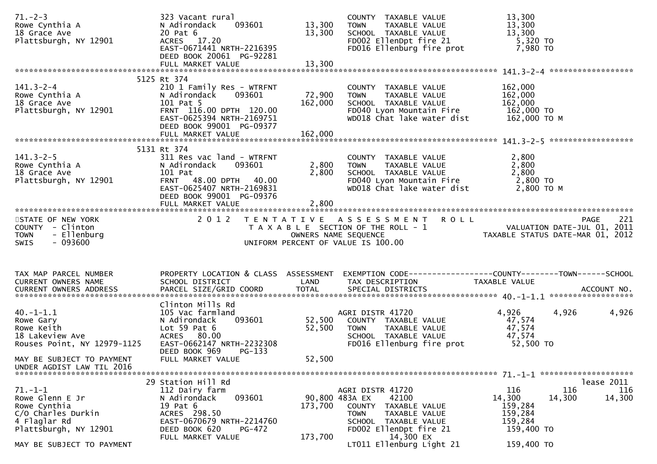| $71. - 2 - 3$<br>Rowe Cynthia A<br>18 Grace Ave<br>Plattsburgh, NY 12901                                        | 323 Vacant rural<br>093601<br>N Adirondack<br>20 Pat 6<br>ACRES 17.20<br>EAST-0671441 NRTH-2216395<br>DEED BOOK 20061 PG-92281<br>FULL MARKET VALUE                                  | 13,300<br>13,300<br>13,300 | COUNTY TAXABLE VALUE<br>TOWN<br>TAXABLE VALUE<br>SCHOOL TAXABLE VALUE<br>FD002 EllenDpt fire 21<br>FD016 Ellenburg fire prot                                          | 13,300<br>13,300<br>13,300<br>5,320 TO<br>7,980 TO                                                                |     |
|-----------------------------------------------------------------------------------------------------------------|--------------------------------------------------------------------------------------------------------------------------------------------------------------------------------------|----------------------------|-----------------------------------------------------------------------------------------------------------------------------------------------------------------------|-------------------------------------------------------------------------------------------------------------------|-----|
|                                                                                                                 |                                                                                                                                                                                      |                            |                                                                                                                                                                       |                                                                                                                   |     |
| $141.3 - 2 - 4$<br>Rowe Cynthia A<br>18 Grace Ave<br>Plattsburgh, NY 12901                                      | 5125 Rt 374<br>210 1 Family Res - WTRFNT<br>N Adirondack<br>093601<br>101 Pat 5<br>FRNT 116.00 DPTH 120.00<br>EAST-0625394 NRTH-2169751<br>DEED BOOK 99001 PG-09377                  | 72,900<br>162,000          | COUNTY TAXABLE VALUE<br>TAXABLE VALUE<br><b>TOWN</b><br>SCHOOL TAXABLE VALUE<br>FD040 Lyon Mountain Fire<br>WD018 Chat lake water dist                                | 162,000<br>162,000<br>162,000<br>162,000 TO<br>162,000 то м                                                       |     |
|                                                                                                                 |                                                                                                                                                                                      |                            |                                                                                                                                                                       |                                                                                                                   |     |
| $141.3 - 2 - 5$<br>Rowe Cynthia A<br>18 Grace Ave<br>Plattsburgh, NY 12901                                      | 5131 Rt 374<br>311 Res vac land - WTRFNT<br>093601<br>N Adirondack<br>101 Pat<br>FRNT 48.00 DPTH 40.00<br>EAST-0625407 NRTH-2169831<br>DEED BOOK 99001 PG-09376<br>FULL MARKET VALUE | 2,800<br>2,800<br>2,800    | COUNTY TAXABLE VALUE<br>TAXABLE VALUE<br>TOWN<br>SCHOOL TAXABLE VALUE<br>FD040 Lyon Mountain Fire<br>WD018 Chat lake water dist                                       | 2,800<br>2,800<br>2,800<br>2,800 TO<br>2,800 TO M                                                                 |     |
|                                                                                                                 |                                                                                                                                                                                      |                            |                                                                                                                                                                       |                                                                                                                   |     |
| STATE OF NEW YORK<br>COUNTY - Clinton<br>- Ellenburg<br><b>TOWN</b><br>$-093600$<br>SWIS                        |                                                                                                                                                                                      |                            | 2012 TENTATIVE ASSESSMENT ROLL<br>UNIFORM PERCENT OF VALUE IS 100.00                                                                                                  | <b>PAGE</b><br>TAXABLE SECTION OF THE ROLL - 1<br>OWNERS NAME SEQUENCE                                            | 221 |
|                                                                                                                 |                                                                                                                                                                                      |                            |                                                                                                                                                                       |                                                                                                                   |     |
| TAX MAP PARCEL NUMBER<br>CURRENT OWNERS NAME                                                                    | SCHOOL DISTRICT                                                                                                                                                                      | LAND                       | TAX DESCRIPTION                                                                                                                                                       | PROPERTY LOCATION & CLASS ASSESSMENT EXEMPTION CODE----------------COUNTY-------TOWN------SCHOOL<br>TAXABLE VALUE |     |
|                                                                                                                 | Clinton Mills Rd                                                                                                                                                                     |                            |                                                                                                                                                                       |                                                                                                                   |     |
| $40. -1 - 1.1$<br>Rowe Gary<br>Rowe Keith<br>18 Lakeview Ave<br>Rouses Point, NY 12979-1125                     | 105 Vac farmland<br>093601<br>N Adirondack<br>Lot $59$ Pat $6$<br>ACRES 80.00                                                                                                        | 52,500<br>52,500           | AGRI DISTR 41720<br>COUNTY TAXABLE VALUE<br>TAXABLE VALUE<br><b>TOWN</b><br>SCHOOL TAXABLE VALUE                                                                      | 4,926<br>4,926<br>4,926<br>47,574<br>47,574<br>47,574                                                             |     |
|                                                                                                                 | EAST-0662147 NRTH-2232308                                                                                                                                                            |                            | FD016 Ellenburg fire prot                                                                                                                                             | $52,500$ TO                                                                                                       |     |
| MAY BE SUBJECT TO PAYMENT<br>UNDER AGDIST LAW TIL 2016                                                          | PG-133<br>DEED BOOK 969<br>FULL MARKET VALUE                                                                                                                                         | 52,500                     |                                                                                                                                                                       |                                                                                                                   |     |
|                                                                                                                 | 29 Station Hill Rd                                                                                                                                                                   |                            |                                                                                                                                                                       |                                                                                                                   |     |
| $71. - 1 - 1$<br>Rowe Glenn E Jr<br>Rowe Cynthia<br>C/O Charles Durkin<br>4 Flaglar Rd<br>Plattsburgh, NY 12901 | 112 Dairy farm<br>093601<br>N Adirondack<br>19 Pat 6<br>ACRES 298.50<br>EAST-0670679 NRTH-2214760<br>DEED BOOK 620<br>PG-472<br>FULL MARKET VALUE                                    | 173,700<br>173,700         | AGRI DISTR 41720<br>90,800 483A EX<br>42100<br>COUNTY<br>TAXABLE VALUE<br><b>TOWN</b><br>TAXABLE VALUE<br>SCHOOL TAXABLE VALUE<br>FD002 EllenDpt fire 21<br>14,300 EX | lease 2011<br>116<br>116<br>116<br>14,300<br>14,300<br>14,300<br>159,284<br>159,284<br>159,284<br>159,400 TO      |     |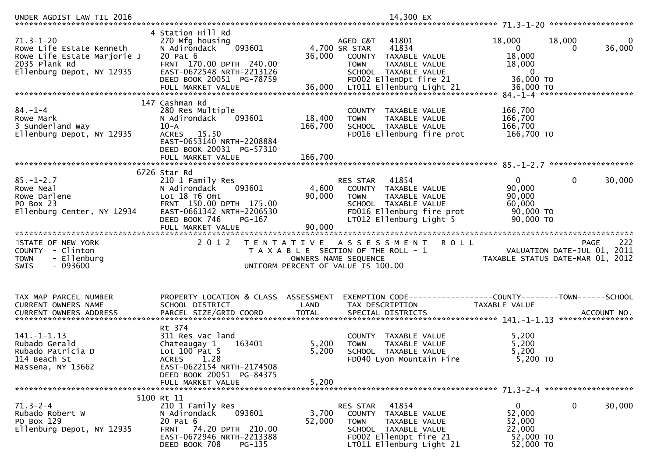| $71.3 - 1 - 20$<br>Rowe Life Estate Kenneth<br>Rowe Life Estate Marjorie J<br>2035 Plank Rd<br>Ellenburg Depot, NY 12935 | 4 Station Hill Rd<br>270 Mfg housing<br>093601<br>N Adirondack<br>20 Pat 6<br>FRNT 170.00 DPTH 240.00<br>EAST-0672548 NRTH-2213126<br>DEED BOOK 20051 PG-78759                | 36,000                                    | AGED C&T<br>41801<br>4,700 SR STAR<br>41834<br>COUNTY<br>TAXABLE VALUE<br><b>TOWN</b><br>TAXABLE VALUE<br>SCHOOL TAXABLE VALUE<br>FD002 EllenDpt fire 21 | 18,000<br>$\overline{0}$<br>18,000<br>18,000<br>0<br>36,000 TO       | 18,000<br>$\bf{0}$<br>36,000<br>$\Omega$                                              |
|--------------------------------------------------------------------------------------------------------------------------|-------------------------------------------------------------------------------------------------------------------------------------------------------------------------------|-------------------------------------------|----------------------------------------------------------------------------------------------------------------------------------------------------------|----------------------------------------------------------------------|---------------------------------------------------------------------------------------|
|                                                                                                                          |                                                                                                                                                                               |                                           |                                                                                                                                                          |                                                                      |                                                                                       |
| $84. - 1 - 4$<br>Rowe Mark<br>3 Sunderland Way<br>Ellenburg Depot, NY 12935                                              | 147 Cashman Rd<br>280 Res Multiple<br>N Adirondack<br>093601<br>$10 - A$<br>ACRES 15.50<br>EAST-0653140 NRTH-2208884<br>DEED BOOK 20031 PG-57310                              | 18,400<br>166,700                         | COUNTY TAXABLE VALUE<br><b>TOWN</b><br>TAXABLE VALUE<br>SCHOOL TAXABLE VALUE<br>FD016 Ellenburg fire prot                                                | 166,700<br>166,700<br>166,700<br>166,700 TO                          |                                                                                       |
|                                                                                                                          | FULL MARKET VALUE                                                                                                                                                             | 166,700                                   |                                                                                                                                                          |                                                                      |                                                                                       |
|                                                                                                                          | 6726 Star Rd                                                                                                                                                                  |                                           |                                                                                                                                                          |                                                                      |                                                                                       |
| $85. - 1 - 2.7$<br>Rowe Neal<br>Rowe Darlene<br>PO Box 23<br>Ellenburg Center, NY 12934                                  | 210 1 Family Res<br>093601<br>N Adirondack<br>Lot 18 T6 Omt<br>FRNT 150.00 DPTH 175.00<br>EAST-0661342 NRTH-2206530                                                           | 4,600<br>90,000                           | 41854<br>RES STAR<br>COUNTY TAXABLE VALUE<br><b>TOWN</b><br>TAXABLE VALUE<br>SCHOOL TAXABLE VALUE<br>FD016 Ellenburg fire prot                           | $\overline{0}$<br>90,000<br>90,000<br>60,000<br>90,000 TO            | $\mathbf 0$<br>30,000                                                                 |
|                                                                                                                          | DEED BOOK 746<br>PG-167<br>FULL MARKET VALUE                                                                                                                                  | 90,000                                    | LT012 Ellenburg Light 5                                                                                                                                  | 90,000 TO                                                            |                                                                                       |
| STATE OF NEW YORK<br>COUNTY - Clinton<br>- Ellenburg<br><b>TOWN</b><br>$-093600$<br><b>SWIS</b>                          | 2 0 1 2                                                                                                                                                                       | T E N T A T I V E<br>OWNERS NAME SEQUENCE | <b>ROLL</b><br>A S S E S S M E N T<br>T A X A B L E SECTION OF THE ROLL - 1<br>UNIFORM PERCENT OF VALUE IS 100.00                                        |                                                                      | 222<br><b>PAGE</b><br>VALUATION DATE-JUL 01, 2011<br>TAXABLE STATUS DATE-MAR 01, 2012 |
| TAX MAP PARCEL NUMBER<br>CURRENT OWNERS NAME                                                                             | PROPERTY LOCATION & CLASS ASSESSMENT<br>SCHOOL DISTRICT                                                                                                                       | LAND                                      | EXEMPTION CODE-----------------COUNTY-------TOWN------SCHOOL<br>TAX DESCRIPTION                                                                          | TAXABLE VALUE                                                        |                                                                                       |
| 141. – 1–1.13<br>Rubado Gerald<br>Rubado Patricia D<br>114 Beach St<br>Massena, NY 13662                                 | Rt 374<br>311 Res vac land<br>Chateaugay 1<br>163401<br>Lot $100$ Pat 5<br>1.28<br><b>ACRES</b><br>EAST-0622154 NRTH-2174508<br>DEED BOOK 20051 PG-84375<br>FULL MARKET VALUE | 5,200<br>5,200<br>5,200                   | COUNTY TAXABLE VALUE<br>TAXABLE VALUE<br><b>TOWN</b><br>SCHOOL TAXABLE VALUE<br>FD040 Lyon Mountain Fire                                                 | 5,200<br>5,200<br>5,200<br>5,200 TO                                  |                                                                                       |
|                                                                                                                          | 5100 Rt 11                                                                                                                                                                    |                                           |                                                                                                                                                          |                                                                      |                                                                                       |
| $71.3 - 2 - 4$<br>Rubado Robert W<br>PO Box 129<br>Ellenburg Depot, NY 12935                                             | 210 1 Family Res<br>093601<br>N Adirondack<br>20 Pat 6<br>FRNT 74.20 DPTH 210.00<br>EAST-0672946 NRTH-2213388<br>DEED BOOK 708<br>PG-135                                      | 3,700<br>52,000                           | 41854<br>RES STAR<br>COUNTY TAXABLE VALUE<br>TAXABLE VALUE<br><b>TOWN</b><br>SCHOOL TAXABLE VALUE<br>FD002 EllenDpt fire 21<br>LT011 Ellenburg Light 21  | $\mathbf{0}$<br>52,000<br>52,000<br>22,000<br>52,000 TO<br>52,000 TO | 0<br>30,000                                                                           |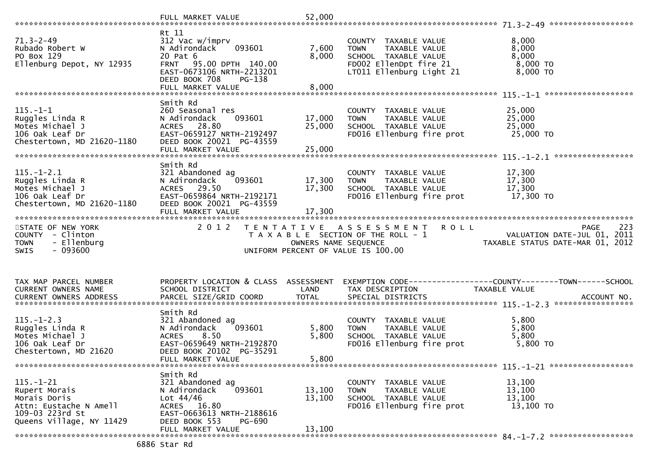| $71.3 - 2 - 49$<br>Rubado Robert W<br>PO Box 129<br>Ellenburg Depot, NY 12935                                             | Rt 11<br>312 Vac w/imprv<br>093601<br>N Adirondack<br>20 Pat 6<br>FRNT 95.00 DPTH 140.00<br>EAST-0673106 NRTH-2213201<br>DEED BOOK 708<br>PG-138    | 7,600<br>8,000             | COUNTY TAXABLE VALUE<br><b>TOWN</b><br>TAXABLE VALUE<br>SCHOOL TAXABLE VALUE<br>FD002 EllenDpt fire 21<br>LT011 Ellenburg Light 21 | 8,000<br>8,000<br>8,000<br>$8,000$ TO<br>8,000 TO                                     |
|---------------------------------------------------------------------------------------------------------------------------|-----------------------------------------------------------------------------------------------------------------------------------------------------|----------------------------|------------------------------------------------------------------------------------------------------------------------------------|---------------------------------------------------------------------------------------|
|                                                                                                                           |                                                                                                                                                     |                            |                                                                                                                                    |                                                                                       |
| $115. - 1 - 1$<br>Ruggles Linda R<br>Motes Michael J<br>106 Oak Leaf Dr<br>Chestertown, MD 21620-1180                     | Smith Rd<br>260 Seasonal res<br>N Adirondack<br>093601<br>ACRES 28.80<br>EAST-0659127 NRTH-2192497<br>DEED BOOK 20021 PG-43559<br>FULL MARKET VALUE | 17,000<br>25,000<br>25,000 | COUNTY TAXABLE VALUE<br>TAXABLE VALUE<br><b>TOWN</b><br>SCHOOL TAXABLE VALUE<br>FD016 Ellenburg fire prot                          | 25,000<br>25,000<br>25,000<br>25,000 TO                                               |
| $115. - 1 - 2.1$<br>Ruggles Linda R<br>Motes Michael J<br>106 Oak Leaf Dr<br>Chestertown, MD 21620-1180                   | Smith Rd<br>321 Abandoned ag<br>093601<br>N Adirondack<br>ACRES 29.50<br>EAST-0659864 NRTH-2192171<br>DEED BOOK 20021 PG-43559<br>FULL MARKET VALUE | 17,300<br>17,300<br>17,300 | COUNTY TAXABLE VALUE<br><b>TOWN</b><br>TAXABLE VALUE<br>SCHOOL TAXABLE VALUE<br>FD016 Ellenburg fire prot                          | 17,300<br>17,300<br>17,300<br>17,300 TO                                               |
| STATE OF NEW YORK<br>COUNTY - Clinton<br><b>TOWN</b><br>- Ellenburg<br>$-093600$<br><b>SWIS</b>                           | 2 0 1 2<br>T E N T A T I V E                                                                                                                        | OWNERS NAME SEQUENCE       | A S S E S S M E N T R O L L<br>T A X A B L E SECTION OF THE ROLL - 1<br>UNIFORM PERCENT OF VALUE IS 100.00                         | 223<br><b>PAGE</b><br>VALUATION DATE-JUL 01, 2011<br>TAXABLE STATUS DATE-MAR 01, 2012 |
| TAX MAP PARCEL NUMBER<br>CURRENT OWNERS NAME                                                                              | PROPERTY LOCATION & CLASS ASSESSMENT<br>SCHOOL DISTRICT                                                                                             | LAND                       | TAX DESCRIPTION                                                                                                                    | EXEMPTION CODE-----------------COUNTY-------TOWN------SCHOOL<br>TAXABLE VALUE         |
| $115. - 1 - 2.3$<br>Ruggles Linda R                                                                                       | Smith Rd                                                                                                                                            |                            |                                                                                                                                    |                                                                                       |
| Motes Michael J<br>106 Oak Leaf Dr<br>Chestertown, MD 21620                                                               | 321 Abandoned ag<br>093601<br>N Adirondack<br>8.50<br><b>ACRES</b><br>EAST-0659649 NRTH-2192870<br>DEED BOOK 20102 PG-35291<br>FULL MARKET VALUE    | 5,800<br>5,800<br>5,800    | COUNTY TAXABLE VALUE<br>TAXABLE VALUE<br><b>TOWN</b><br>SCHOOL TAXABLE VALUE<br>FD016 Ellenburg fire prot                          | 5,800<br>5,800<br>5,800<br>5,800 TO                                                   |
|                                                                                                                           |                                                                                                                                                     |                            |                                                                                                                                    |                                                                                       |
| $115. - 1 - 21$<br>Rupert Morais<br>Morais Doris<br>Attn: Eustache N Amell<br>109-03 223rd St<br>Queens Village, NY 11429 | Smith Rd<br>321 Abandoned ag<br>N Adirondack<br>093601<br>Lot $44/46$<br>ACRES 16.80<br>EAST-0663613 NRTH-2188616<br>DEED BOOK 553<br>PG-690        | 13,100<br>13,100           | COUNTY TAXABLE VALUE<br>TAXABLE VALUE<br><b>TOWN</b><br>SCHOOL TAXABLE VALUE<br>FD016 Ellenburg fire prot                          | 13,100<br>13,100<br>13,100<br>13,100 TO                                               |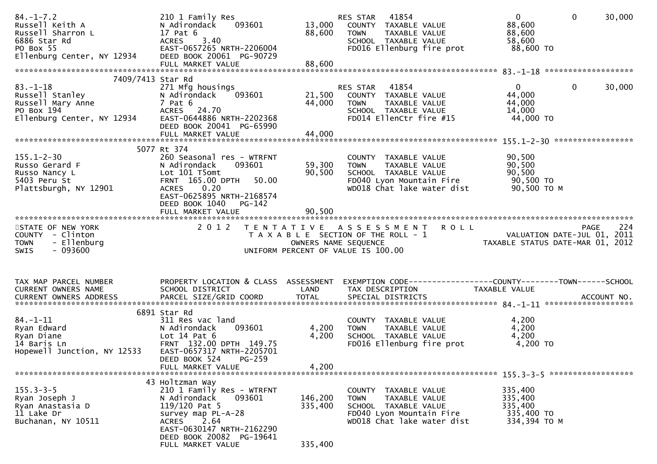| $84. - 1 - 7.2$<br>Russell Keith A<br>Russell Sharron L<br>6886 Star Rd<br>PO Box 55<br>Ellenburg Center, NY 12934                       | 210 1 Family Res<br>N Adirondack<br>17 Pat 6<br>ACRES 3.40<br>EAST-0657265 NRTH-2206004<br>DEED BOOK 20061 PG-90729                                                                        | 88,600                     | RES STAR<br>41854<br>093601 13,000 COUNTY TAXABLE VALUE<br>TAXABLE VALUE<br><b>TOWN</b><br>SCHOOL TAXABLE VALUE<br>FD016 Ellenburg fire prot                                                                                            | $\mathbf{0}$<br>$\mathbf 0$<br>88,600<br>88,600<br>58,600<br>88,600 TO | 30,000 |
|------------------------------------------------------------------------------------------------------------------------------------------|--------------------------------------------------------------------------------------------------------------------------------------------------------------------------------------------|----------------------------|-----------------------------------------------------------------------------------------------------------------------------------------------------------------------------------------------------------------------------------------|------------------------------------------------------------------------|--------|
| 7409/7413 Star Rd                                                                                                                        |                                                                                                                                                                                            |                            |                                                                                                                                                                                                                                         |                                                                        |        |
| $83. - 1 - 18$<br>oɔ.-⊥-⊥o<br>Russell Stanley<br>Russell Mary Anne<br>PO Box 194<br>Ellenburg Center, NY 12934 EAST-0644886 NRTH-2202368 | 271 Mfg housings<br>N Adirondack 093601<br>7 Pat 6<br>ACRES 24.70<br>DEED BOOK 20041 PG-65990                                                                                              | 21,500<br>44,000           | RES STAR 41854<br>COUNTY TAXABLE VALUE<br>TAXABLE VALUE<br><b>TOWN</b><br>SCHOOL TAXABLE VALUE<br>FD014 EllenCtr fire #15                                                                                                               | $\Omega$<br>$\mathbf{0}$<br>44,000<br>44,000<br>14,000<br>44,000 TO    | 30,000 |
|                                                                                                                                          | FULL MARKET VALUE                                                                                                                                                                          | 44,000                     |                                                                                                                                                                                                                                         |                                                                        |        |
|                                                                                                                                          | 5077 Rt 374                                                                                                                                                                                |                            |                                                                                                                                                                                                                                         |                                                                        |        |
| $155.1 - 2 - 30$<br>Russo Gerard F<br>Russo Nancy L<br>5403 Peru St<br>Plattsburgh, NY 12901                                             | 260 Seasonal res - WTRFNT<br>093601<br>N Adirondack<br>Lot 101 T5omt<br>FRNT 165.00 DPTH 50.00<br>0.20<br>ACRES<br>EAST-0625895 NRTH-2168574<br>DEED BOOK 1040 PG-142<br>FULL MARKET VALUE | 59,300<br>90,500<br>90,500 | COUNTY TAXABLE VALUE<br>TAXABLE VALUE<br><b>TOWN</b><br>SCHOOL TAXABLE VALUE<br>FD040 Lyon Mountain Fire<br>WD018 Chat lake water dist                                                                                                  | 90,500<br>90,500<br>90,500<br>90,500 TO<br>90,500 TO M                 |        |
|                                                                                                                                          |                                                                                                                                                                                            |                            |                                                                                                                                                                                                                                         |                                                                        |        |
| STATE OF NEW YORK<br>COUNTY - Clinton<br>- Ellenburg<br><b>TOWN</b><br>$-093600$<br><b>SWIS</b>                                          | 2 0 1 2                                                                                                                                                                                    |                            | TENTATIVE ASSESSMENT ROLL<br>TAXABLE SECTION OF THE ROLL - 1<br>TAXABLE SECTION OF THE ROLL - 1<br>OWNERS NAME SEQUENCE<br>JNIFORM PERCENT OF VALUE IS 100.00<br>TAXABLE STATUS DATE-MAR 01, 2012<br>UNIFORM PERCENT OF VALUE IS 100.00 |                                                                        |        |
| TAX MAP PARCEL NUMBER<br>CURRENT OWNERS NAME                                                                                             | PROPERTY LOCATION & CLASS ASSESSMENT<br>SCHOOL DISTRICT                                                                                                                                    | LAND                       | EXEMPTION CODE-----------------COUNTY--------TOWN------SCHOOL<br>TAX DESCRIPTION                                                                                                                                                        | TAXABLE VALUE                                                          |        |
|                                                                                                                                          | 6891 Star Rd                                                                                                                                                                               |                            |                                                                                                                                                                                                                                         |                                                                        |        |
| $84. - 1 - 11$<br>Ryan Edward<br>Ryan Diane<br>14 Baris Ln<br>Hopewell Junction, NY 12533                                                | 311 Res vac land<br>093601<br>N Adirondack<br>Lot $14$ Pat $6$<br>FRNT 132.00 DPTH 149.75<br>EAST-0657317 NRTH-2205701<br>DEED BOOK 524<br>$PG-259$<br>FULL MARKET VALUE                   | 4,200<br>4,200<br>4,200    | COUNTY TAXABLE VALUE<br>TAXABLE VALUE<br><b>TOWN</b><br>SCHOOL TAXABLE VALUE<br>FD016 Ellenburg fire prot                                                                                                                               | 4,200<br>4,200<br>4,200<br>4,200 TO                                    |        |
|                                                                                                                                          |                                                                                                                                                                                            |                            |                                                                                                                                                                                                                                         |                                                                        |        |
| $155.3 - 3 - 5$<br>Ryan Joseph J<br>Ryan Anastasia D<br>11 Lake Dr<br>Buchanan, NY 10511                                                 | 43 Holtzman Way<br>210 1 Family Res - WTRFNT<br>093601<br>N Adirondack<br>$119/120$ Pat 5<br>survey map PL-A-28<br>2.64<br>ACRES                                                           | 146,200<br>335,400         | COUNTY TAXABLE VALUE<br>TAXABLE VALUE<br><b>TOWN</b><br>SCHOOL TAXABLE VALUE<br>FD040 Lyon Mountain Fire<br>WD018 Chat lake water dist                                                                                                  | 335,400<br>335,400<br>335,400<br>335,400 TO<br>334,394 TO M            |        |
|                                                                                                                                          | EAST-0630147 NRTH-2162290<br>DEED BOOK 20082 PG-19641<br>FULL MARKET VALUE                                                                                                                 | 335,400                    |                                                                                                                                                                                                                                         |                                                                        |        |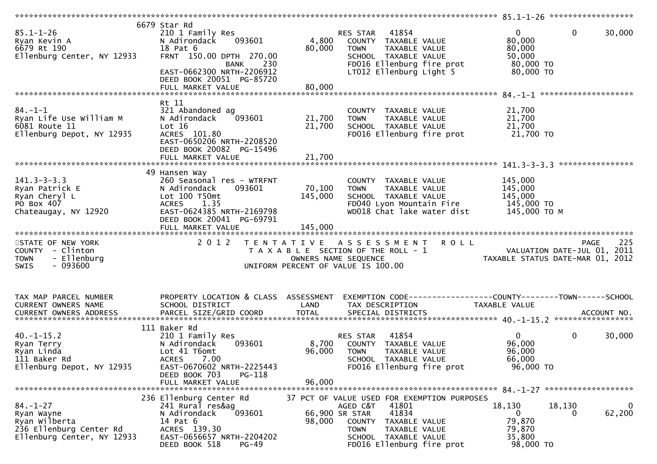| $85.1 - 1 - 26$<br>Ryan Kevin A<br>6679 Rt 190<br>Ellenburg Center, NY 12933                    | 6679 Star Rd<br>210 1 Family Res<br>N Adirondack<br>093601<br>18 Pat 6<br>FRNT 150.00 DPTH 270.00<br>230<br>BANK<br>EAST-0662300 NRTH-2206912<br>DEED BOOK 20051 PG-85720<br>FULL MARKET VALUE | 4,800<br>80,000<br>80,000    | 41854<br>RES STAR<br>COUNTY TAXABLE VALUE<br><b>TOWN</b><br>TAXABLE VALUE<br>SCHOOL TAXABLE VALUE<br>FD016 Ellenburg fire prot<br>LT012 Ellenburg Light 5 | $\mathbf{0}$<br>$\mathbf{0}$<br>30,000<br>80,000<br>80,000<br>50,000<br>80,000 TO<br>80,000 TO |
|-------------------------------------------------------------------------------------------------|------------------------------------------------------------------------------------------------------------------------------------------------------------------------------------------------|------------------------------|-----------------------------------------------------------------------------------------------------------------------------------------------------------|------------------------------------------------------------------------------------------------|
| $84. - 1 - 1$<br>Ryan Life Use William M<br>6081 Route 11<br>Ellenburg Depot, NY 12935          | Rt 11<br>321 Abandoned ag<br>093601<br>N Adirondack<br>Lot 16<br>ACRES 101.80<br>EAST-0650206 NRTH-2208520<br>DEED BOOK 20082 PG-15496<br>FULL MARKET VALUE                                    | 21,700<br>21,700<br>21,700   | COUNTY TAXABLE VALUE<br>TAXABLE VALUE<br><b>TOWN</b><br>SCHOOL TAXABLE VALUE<br>FD016 Ellenburg fire prot                                                 | 21,700<br>21,700<br>21,700<br>21,700 TO                                                        |
| $141.3 - 3 - 3.3$<br>Ryan Patrick E<br>Ryan Cheryl L<br>PO Box 407<br>Chateaugay, NY 12920      | 49 Hansen Way<br>260 Seasonal res - WTRFNT<br>093601<br>N Adirondack<br>Lot 100 T50mt<br>1.35<br><b>ACRES</b><br>EAST-0624385 NRTH-2169798<br>DEED BOOK 20041 PG-69791<br>FULL MARKET VALUE    | 70,100<br>145,000<br>145,000 | COUNTY TAXABLE VALUE<br>TAXABLE VALUE<br><b>TOWN</b><br>SCHOOL TAXABLE VALUE<br>FD040 Lyon Mountain Fire<br>WD018 Chat lake water dist                    | ****************<br>145,000<br>145,000<br>145,000<br>145,000 TO<br>145,000 то м                |
| STATE OF NEW YORK<br>COUNTY - Clinton<br><b>TOWN</b><br>- Ellenburg<br>$-093600$<br><b>SWIS</b> | 2 0 1 2                                                                                                                                                                                        | OWNERS NAME SEQUENCE         | TENTATIVE ASSESSMENT ROLL<br>T A X A B L E SECTION OF THE ROLL - 1<br>UNIFORM PERCENT OF VALUE IS 100.00                                                  | 225<br>PAGE<br>VALUATION DATE-JUL 01, 2011<br>TAXABLE STATUS DATE-MAR 01, 2012                 |
| TAX MAP PARCEL NUMBER<br>CURRENT OWNERS NAME                                                    | PROPERTY LOCATION & CLASS ASSESSMENT<br>SCHOOL DISTRICT                                                                                                                                        | LAND                         | TAX DESCRIPTION                                                                                                                                           | EXEMPTION CODE-----------------COUNTY-------TOWN------SCHOOL<br>TAXABLE VALUE                  |
| $40. -1 - 15.2$<br>Ryan Terry<br>Ryan Linda<br>111 Baker Rd<br>Ellenburg Depot, NY 12935        | 111 Baker Rd<br>210 1 Family Res<br>N Adirondack<br>093601<br>Lot 41 T6omt<br>7.00<br><b>ACRES</b><br>EAST-0670602 NRTH-2225443<br>PG-118<br>DEED BOOK 703<br>FULL MARKET VALUE                | 8,700<br>96,000<br>96,000    | 41854<br>RES STAR<br>COUNTY TAXABLE VALUE<br><b>TOWN</b><br><b>TAXABLE VALUE</b><br>SCHOOL TAXABLE VALUE<br>FD016 Ellenburg fire prot                     | $\mathbf{0}$<br>0<br>30,000<br>96,000<br>96,000<br>66,000<br>96,000 TO                         |
| $84. - 1 - 27$<br>Ryan Wayne<br>Ryan Wilberta<br>236 Ellenburg Center Rd                        | 236 Ellenburg Center Rd<br>241 Rural res&ag<br>093601<br>N Adirondack<br>14 Pat 6                                                                                                              | 66,900 SR STAR<br>98,000     | 37 PCT OF VALUE USED FOR EXEMPTION PURPOSES<br>AGED C&T<br>41801<br>41834<br>COUNTY TAXABLE VALUE                                                         | 18,130<br>18,130<br>0<br>62,200<br>$\mathbf{0}$<br>0<br>79,870                                 |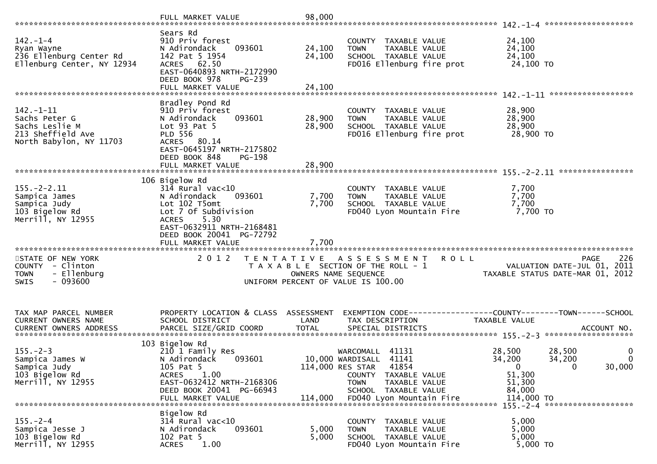| $142. - 1 - 4$<br>Ryan Wayne<br>236 Ellenburg Center Rd<br>Ellenburg Center, NY 12934              | Sears Rd<br>910 Priv forest<br>093601<br>N Adirondack<br>142 Pat 5 1954<br>ACRES 62.50<br>EAST-0640893 NRTH-2172990<br>DEED BOOK 978<br>PG-239<br>FULL MARKET VALUE                                              | 24,100<br>24,100<br>24,100  | COUNTY TAXABLE VALUE<br>TAXABLE VALUE<br><b>TOWN</b><br>SCHOOL TAXABLE VALUE<br>FD016 Ellenburg fire prot                                                                | 24,100<br>24,100<br>24,100<br>24,100 TO                                                                                                                                       |
|----------------------------------------------------------------------------------------------------|------------------------------------------------------------------------------------------------------------------------------------------------------------------------------------------------------------------|-----------------------------|--------------------------------------------------------------------------------------------------------------------------------------------------------------------------|-------------------------------------------------------------------------------------------------------------------------------------------------------------------------------|
| $142. - 1 - 11$<br>Sachs Peter G<br>Sachs Leslie M<br>213 Sheffield Ave<br>North Babylon, NY 11703 | Bradley Pond Rd<br>910 Priv forest<br>093601<br>N Adirondack<br>Lot 93 Pat 5<br><b>PLD 556</b><br>ACRES 80.14<br>EAST-0645197 NRTH-2175802<br>DEED BOOK 848<br>PG-198                                            | 28,900<br>28,900            | COUNTY TAXABLE VALUE<br>TAXABLE VALUE<br>TOWN<br>SCHOOL TAXABLE VALUE<br>FD016 Ellenburg fire prot                                                                       | 28,900<br>28,900<br>28,900<br>28,900 TO                                                                                                                                       |
|                                                                                                    |                                                                                                                                                                                                                  |                             |                                                                                                                                                                          |                                                                                                                                                                               |
| $155. - 2 - 2.11$<br>Sampica James<br>Sampica Judy<br>103 Bigelow Rd<br>Merrill, NY 12955          | 106 Bigelow Rd<br>$314$ Rural vac< $10$<br>093601<br>N Adirondack<br>Lot 102 T5omt<br>Lot 7 Of Subdivision<br>5.30<br><b>ACRES</b><br>EAST-0632911 NRTH-2168481<br>DEED BOOK 20041 PG-72792<br>FULL MARKET VALUE | 7,700<br>7,700<br>7,700     | COUNTY TAXABLE VALUE<br>TAXABLE VALUE<br><b>TOWN</b><br>SCHOOL TAXABLE VALUE<br>FD040 Lyon Mountain Fire                                                                 | 7,700<br>7,700<br>7,700<br>7,700 TO                                                                                                                                           |
| STATE OF NEW YORK<br>COUNTY - Clinton<br>- Ellenburg<br><b>TOWN</b><br>$-093600$<br><b>SWIS</b>    | 2 0 1 2                                                                                                                                                                                                          | OWNERS NAME SEQUENCE        | TENTATIVE ASSESSMENT<br><b>ROLL</b><br>T A X A B L E SECTION OF THE ROLL - 1<br>UNIFORM PERCENT OF VALUE IS 100.00                                                       | 226<br>PAGE<br>VALUATION DATE-JUL 01, 2011<br>TAXABLE STATUS DATE-MAR 01, 2012                                                                                                |
| TAX MAP PARCEL NUMBER<br>CURRENT OWNERS NAME                                                       | PROPERTY LOCATION & CLASS ASSESSMENT<br>SCHOOL DISTRICT                                                                                                                                                          | LAND                        | TAX DESCRIPTION                                                                                                                                                          | EXEMPTION CODE-----------------COUNTY-------TOWN------SCHOOL<br>TAXABLE VALUE<br>CURRENT OWNERS ADDRESS PARCEL SIZE/GRID COORD TOTAL SPECIAL DISTRICTS 75 755.077 ACCOUNT NO. |
| $155. - 2 - 3$<br>Sampica James W<br>Sampica Judy<br>103 Bigelow Rd<br>Merrill, NY 12955           | 103 Bigelow Rd<br>210 1 Family Res<br>N Adirondack<br>093601<br>105 Pat 5<br>1.00<br><b>ACRES</b><br>EAST-0632412 NRTH-2168306<br>DEED BOOK 20041 PG-66943<br>FULL MARKET VALUE                                  | 114,000 RES STAR<br>114,000 | WARCOMALL 41131<br>10,000 WARDISALL 41141<br>41854<br><b>COUNTY</b><br>TAXABLE VALUE<br><b>TOWN</b><br>TAXABLE VALUE<br>SCHOOL TAXABLE VALUE<br>FD040 Lyon Mountain Fire | 28,500<br>28,500<br>0<br>34,200<br>34,200<br>$\mathbf{0}$<br>30,000<br>$\mathbf{0}$<br>0<br>51,300<br>51,300<br>84,000<br>114,000 TO<br>$155 - 2 - 4$ *********************   |
| $155. - 2 - 4$<br>Sampica Jesse J<br>103 Bigelow Rd<br>Merrill, NY 12955                           | Bigelow Rd<br>$314$ Rural vac<10<br>N Adirondack<br>093601<br>102 Pat 5<br>1.00<br><b>ACRES</b>                                                                                                                  | 5,000<br>5,000              | COUNTY TAXABLE VALUE<br><b>TOWN</b><br>TAXABLE VALUE<br>SCHOOL TAXABLE VALUE<br>FD040 Lyon Mountain Fire                                                                 | 5,000<br>5,000<br>5,000<br>5,000 TO                                                                                                                                           |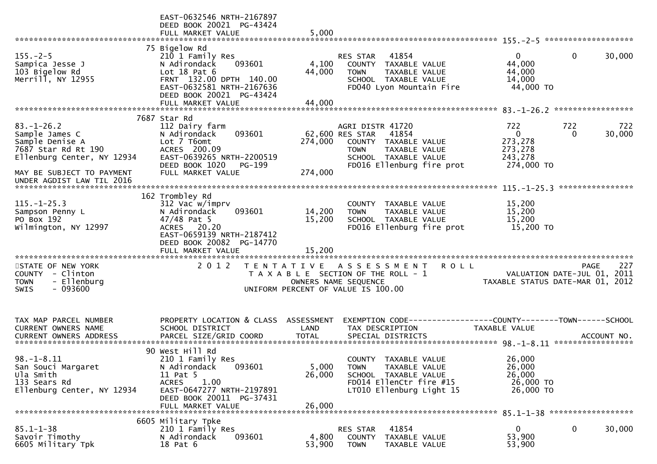|                                                                                                            | EAST-0632546 NRTH-2167897<br>DEED BOOK 20021 PG-43424<br>FULL MARKET VALUE                                                                                                      | 5,000                              |                                                                                                                                                           |                                                                      |                                                                                       |
|------------------------------------------------------------------------------------------------------------|---------------------------------------------------------------------------------------------------------------------------------------------------------------------------------|------------------------------------|-----------------------------------------------------------------------------------------------------------------------------------------------------------|----------------------------------------------------------------------|---------------------------------------------------------------------------------------|
|                                                                                                            |                                                                                                                                                                                 |                                    |                                                                                                                                                           |                                                                      |                                                                                       |
| $155. - 2 - 5$<br>Sampica Jesse J<br>103 Bigelow Rd<br>Merrill, NY 12955                                   | 75 Bigelow Rd<br>210 1 Family Res<br>093601<br>N Adirondack<br>Lot $18$ Pat $6$<br>FRNT 132.00 DPTH 140.00<br>EAST-0632581 NRTH-2167636<br>DEED BOOK 20021 PG-43424             | 4,100<br>44,000                    | 41854<br><b>RES STAR</b><br>COUNTY TAXABLE VALUE<br><b>TOWN</b><br>TAXABLE VALUE<br>SCHOOL TAXABLE VALUE<br>FD040 Lyon Mountain Fire                      | $\Omega$<br>44,000<br>44,000<br>14,000<br>44,000 TO                  | 0<br>30,000                                                                           |
|                                                                                                            | FULL MARKET VALUE                                                                                                                                                               | 44,000                             |                                                                                                                                                           |                                                                      |                                                                                       |
|                                                                                                            |                                                                                                                                                                                 |                                    |                                                                                                                                                           |                                                                      |                                                                                       |
|                                                                                                            | 7687 Star Rd                                                                                                                                                                    |                                    |                                                                                                                                                           |                                                                      |                                                                                       |
| $83. - 1 - 26.2$<br>Sample James C<br>Sample Denise A<br>7687 Star Rd Rt 190<br>Ellenburg Center, NY 12934 | 112 Dairy farm<br>093601<br>N Adirondack<br>Lot 7 T6omt<br>ACRES 200.09<br>EAST-0639265 NRTH-2200519<br>DEED BOOK 1020<br>PG-199<br>FULL MARKET VALUE                           | 274,000                            | AGRI DISTR 41720<br>62,600 RES STAR<br>41854<br>COUNTY TAXABLE VALUE<br><b>TOWN</b><br>TAXABLE VALUE<br>SCHOOL TAXABLE VALUE<br>FD016 Ellenburg fire prot | 722<br>$\overline{0}$<br>273,278<br>273,278<br>243,278<br>274,000 TO | 722<br>722<br>30,000<br>$\Omega$                                                      |
| MAY BE SUBJECT TO PAYMENT                                                                                  |                                                                                                                                                                                 | 274,000                            |                                                                                                                                                           |                                                                      |                                                                                       |
| UNDER AGDIST LAW TIL 2016                                                                                  |                                                                                                                                                                                 |                                    |                                                                                                                                                           |                                                                      |                                                                                       |
| $115. - 1 - 25.3$<br>Sampson Penny L<br>PO Box 192<br>Wilmington, NY 12997                                 | 162 Trombley Rd<br>312 Vac w/imprv<br>N Adirondack<br>093601<br>$47/48$ Pat 5<br>ACRES 20.20<br>EAST-0659139 NRTH-2187412<br>DEED BOOK 20082 PG-14770                           | 14,200<br>15,200                   | <b>COUNTY</b><br>TAXABLE VALUE<br>TAXABLE VALUE<br><b>TOWN</b><br>SCHOOL TAXABLE VALUE<br>FD016 Ellenburg fire prot                                       | 15,200<br>15,200<br>15,200<br>15,200 TO                              |                                                                                       |
|                                                                                                            |                                                                                                                                                                                 |                                    |                                                                                                                                                           |                                                                      |                                                                                       |
| STATE OF NEW YORK<br>COUNTY<br>- Clinton<br>- Ellenburg<br><b>TOWN</b><br>$-093600$<br><b>SWIS</b>         | 2 0 1 2                                                                                                                                                                         |                                    | TENTATIVE ASSESSMENT<br><b>ROLL</b><br>T A X A B L E SECTION OF THE ROLL - 1<br>OWNERS NAME SEQUENCE<br>UNIFORM PERCENT OF VALUE IS 100.00                |                                                                      | 227<br><b>PAGE</b><br>VALUATION DATE-JUL 01, 2011<br>TAXABLE STATUS DATE-MAR 01, 2012 |
| TAX MAP PARCEL NUMBER<br><b>CURRENT OWNERS NAME</b><br><b>CURRENT OWNERS ADDRESS</b>                       | PROPERTY LOCATION & CLASS<br>SCHOOL DISTRICT<br>PARCEL SIZE/GRID COORD                                                                                                          | ASSESSMENT<br>LAND<br><b>TOTAL</b> | EXEMPTION CODE------------------COUNTY--------TOWN------SCHOOL<br>TAX DESCRIPTION<br>SPECIAL DISTRICTS                                                    | <b>TAXABLE VALUE</b>                                                 | ACCOUNT NO.                                                                           |
| $98. - 1 - 8.11$<br>San Souci Margaret<br>Ula Smith<br>133 Sears Rd<br>Ellenburg Center, NY 12934          | 90 West Hill Rd<br>210 1 Family Res<br>093601<br>N Adirondack<br>11 Pat 5<br>1.00<br><b>ACRES</b><br>EAST-0647277 NRTH-2197891<br>DEED BOOK 20011 PG-37431<br>FULL MARKET VALUE | 5,000<br>26,000<br>26,000          | COUNTY TAXABLE VALUE<br><b>TOWN</b><br>TAXABLE VALUE<br>SCHOOL TAXABLE VALUE<br>FD014 EllenCtr fire #15<br>LT010 Ellenburg Light 15                       | 26,000<br>26,000<br>26,000<br>26,000 TO<br>26,000 TO                 |                                                                                       |
|                                                                                                            |                                                                                                                                                                                 |                                    |                                                                                                                                                           |                                                                      |                                                                                       |
| $85.1 - 1 - 38$<br>Savoir Timothy<br>6605 Military Tpk                                                     | 6605 Military Tpke<br>210 1 Family Res<br>093601<br>N Adirondack<br>18 Pat 6                                                                                                    | 4,800<br>53,900                    | 41854<br><b>RES STAR</b><br>COUNTY TAXABLE VALUE<br><b>TOWN</b><br>TAXABLE VALUE                                                                          | 0<br>53,900<br>53,900                                                | 0<br>30,000                                                                           |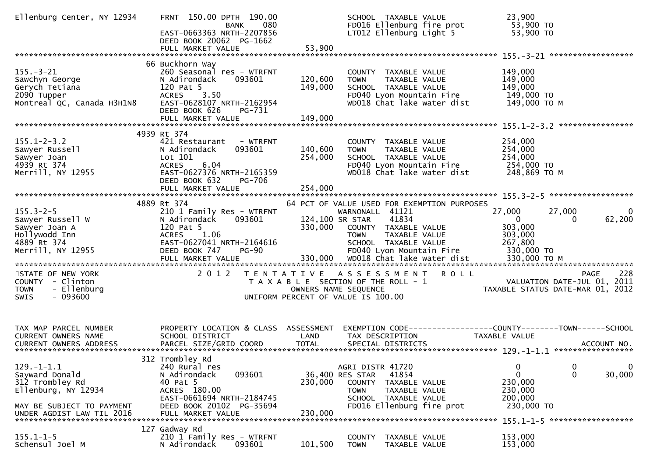| Ellenburg Center, NY 12934                                                                                                             | FRNT 150.00 DPTH 190.00<br>080<br>BANK<br>EAST-0663363 NRTH-2207856<br>DEED BOOK 20062 PG-1662<br>FULL MARKET VALUE                                                              | 53,900                        | SCHOOL TAXABLE VALUE<br>FD016 Ellenburg fire prot<br>LT012 Ellenburg Light 5                                                                                    | 23,900<br>53,900 TO<br>53,900 TO                                                                                                 |
|----------------------------------------------------------------------------------------------------------------------------------------|----------------------------------------------------------------------------------------------------------------------------------------------------------------------------------|-------------------------------|-----------------------------------------------------------------------------------------------------------------------------------------------------------------|----------------------------------------------------------------------------------------------------------------------------------|
|                                                                                                                                        |                                                                                                                                                                                  |                               |                                                                                                                                                                 |                                                                                                                                  |
| $155. - 3 - 21$<br>Sawchyn George<br>Gerych Tetiana<br>2090 Tupper<br>Montreal QC, Canada H3H1N8                                       | 66 Buckhorn Way<br>260 Seasonal res - WTRFNT<br>N Adirondack<br>093601<br>120 Pat 5<br>ACRES 3.50<br>EAST-0628107 NRTH-2162954<br>DEED BOOK 626<br>PG-731                        | 120,600<br>149,000            | COUNTY TAXABLE VALUE<br>TAXABLE VALUE<br><b>TOWN</b><br>SCHOOL TAXABLE VALUE<br>FD040 Lyon Mountain Fire<br>WD018 Chat lake water dist                          | 149,000<br>149,000<br>149,000<br>149,000 TO<br>149,000 ТО М                                                                      |
|                                                                                                                                        | FULL MARKET VALUE                                                                                                                                                                | 149,000                       |                                                                                                                                                                 | ****************                                                                                                                 |
| $155.1 - 2 - 3.2$<br>Sawyer Russell<br>Sawyer Joan<br>4939 Rt 374<br>Merrill, NY 12955                                                 | 4939 Rt 374<br>421 Restaurant - WTRFNT<br>N Adirondack<br>093601<br>Lot 101<br>6.04<br><b>ACRES</b><br>EAST-0627376 NRTH-2165359<br>DEED BOOK 632<br>PG-706<br>FULL MARKET VALUE | 140,600<br>254,000<br>254,000 | COUNTY TAXABLE VALUE<br>TAXABLE VALUE<br><b>TOWN</b><br>SCHOOL TAXABLE VALUE<br>FD040 Lyon Mountain Fire<br>WD018 Chat lake water dist                          | 254,000<br>254,000<br>254,000<br>254,000 TO<br>248,869 ТО М                                                                      |
| $155.3 - 2 - 5$<br>Sawyer Russell W<br>Sawyer Joan A<br>Hollywodd Inn<br>4889 Rt 374                                                   | 4889 Rt 374<br>210 1 Family Res - WTRFNT<br>N Adirondack<br>093601<br>120 Pat 5<br>ACRES 1.06<br>EAST-0627041 NRTH-2164616                                                       | 124,100 SR STAR               | 64 PCT OF VALUE USED FOR EXEMPTION PURPOSES<br>WARNONALL 41121<br>41834<br>330,000 COUNTY TAXABLE VALUE<br><b>TOWN</b><br>TAXABLE VALUE<br>SCHOOL TAXABLE VALUE | 27,000<br>27,000<br>$\overline{0}$<br>62,200<br>$\mathbf{0}$<br>$\Omega$<br>303,000<br>303,000<br>267,800                        |
| STATE OF NEW YORK<br>COUNTY - Clinton<br>- Ellenburg<br><b>TOWN</b><br>SWIS<br>- 093600                                                | 2 0 1 2                                                                                                                                                                          | OWNERS NAME SEQUENCE          | TENTATIVE ASSESSMENT ROLL<br>T A X A B L E SECTION OF THE ROLL - 1<br>UNIFORM PERCENT OF VALUE IS 100.00                                                        | 228<br><b>PAGE</b><br>VALUATION DATE-JUL 01, 2011<br>TAXABLE STATUS DATE-MAR 01, 2012                                            |
| TAX MAP PARCEL NUMBER<br>CURRENT OWNERS NAME                                                                                           | PROPERTY LOCATION & CLASS ASSESSMENT<br>SCHOOL DISTRICT                                                                                                                          | LAND                          | TAX DESCRIPTION                                                                                                                                                 | EXEMPTION CODE-----------------COUNTY--------TOWN------SCHOOL<br>TAXABLE VALUE                                                   |
| $129. - 1 - 1.1$<br>Sayward Donald<br>312 Trombley Rd<br>Ellenburg, NY 12934<br>MAY BE SUBJECT TO PAYMENT<br>UNDER AGDIST LAW TIL 2016 | 312 Trombley Rd<br>240 Rural res<br>N Adirondack<br>093601<br>40 Pat 5<br>ACRES 180.00<br>EAST-0661694 NRTH-2184745<br>DEED BOOK 20102 PG-35694<br>FULL MARKET VALUE             | 230,000<br>230,000            | AGRI DISTR 41720<br>41854<br>36,400 RES STAR<br>TAXABLE VALUE<br>COUNTY<br><b>TOWN</b><br>TAXABLE VALUE<br>SCHOOL TAXABLE VALUE<br>FD016 Ellenburg fire prot    | $\boldsymbol{0}$<br>$\overline{0}$<br>0<br>$\mathbf{0}$<br>$\mathbf{0}$<br>30,000<br>230,000<br>230,000<br>200,000<br>230,000 TO |
| $155.1 - 1 - 5$<br>Schensul Joel M                                                                                                     | 127 Gadway Rd<br>210 1 Family Res - WTRFNT<br>N Adirondack<br>093601                                                                                                             | 101,500                       | COUNTY<br>TAXABLE VALUE<br><b>TOWN</b><br>TAXABLE VALUE                                                                                                         | 153,000<br>153,000                                                                                                               |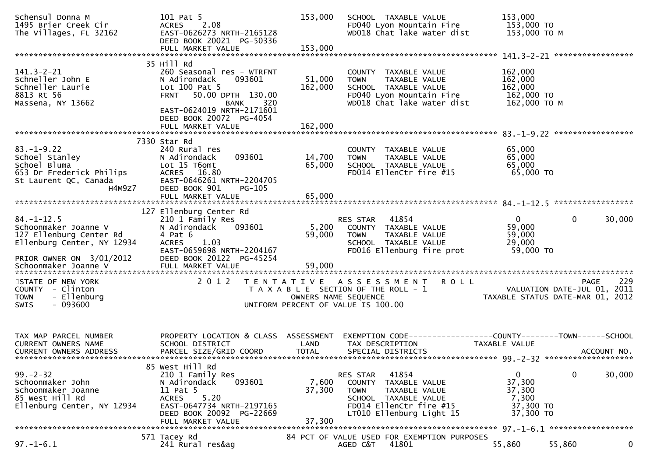| Schensul Donna M<br>1495 Brier Creek Cir<br>The Villages, FL 32162                                                                                                                                                                                                             | 101 Pat 5<br>ACRES 2.08<br>EAST-0626273 NRTH-2165128<br>DEED BOOK 20021 PG-50336<br>FULL MARKET VALUE                                                                           | 153,000<br>153,000        | SCHOOL TAXABLE VALUE<br>FD040 Lyon Mountain Fire<br>WD018 Chat lake water dist                                                                                                      | 153,000<br>153,000 TO<br>153,000 TO<br>153,000 TO M         |                          |
|--------------------------------------------------------------------------------------------------------------------------------------------------------------------------------------------------------------------------------------------------------------------------------|---------------------------------------------------------------------------------------------------------------------------------------------------------------------------------|---------------------------|-------------------------------------------------------------------------------------------------------------------------------------------------------------------------------------|-------------------------------------------------------------|--------------------------|
|                                                                                                                                                                                                                                                                                |                                                                                                                                                                                 |                           |                                                                                                                                                                                     |                                                             |                          |
| $141.3 - 2 - 21$<br>Schneller John E<br>Schneller Laurie<br>8813 Rt 56<br>Massena, NY 13662                                                                                                                                                                                    | 35 Hill Rd<br>260 Seasonal res - WTRFNT<br>093601<br>N Adirondack<br>Lot $100$ Pat $5$<br>50.00 DPTH 130.00<br><b>FRNT</b><br><b>BANK</b><br>320<br>EAST-0624019 NRTH-2171601   | 51,000<br>162,000         | COUNTY TAXABLE VALUE<br><b>TOWN</b><br>TAXABLE VALUE<br>SCHOOL TAXABLE VALUE<br>FD040 Lyon Mountain Fire<br>WD018 Chat lake water dist                                              | 162,000<br>162,000<br>162,000<br>162,000 TO<br>162,000 ТО М |                          |
|                                                                                                                                                                                                                                                                                | DEED BOOK 20072 PG-4054<br>FULL MARKET VALUE                                                                                                                                    | 162,000                   |                                                                                                                                                                                     |                                                             |                          |
| $83. - 1 - 9.22$<br>Schoel Stanley<br>Schoel Bluma<br>653 Dr Frederick Philips<br>653 Dr Frederick Philips<br>653 Dr Frederick Philips<br>653 Dr Frederick Philips<br>653 Dr Frederick Philips<br>653 Dr Frederick Philips<br>653 Dr Frederick Philips<br>663 Dr Fre<br>H4M9Z7 | 7330 Star Rd<br>240 Rural res<br>DEED BOOK 901<br>PG-105                                                                                                                        | 14,700<br>65,000          | COUNTY TAXABLE VALUE<br>TAXABLE VALUE<br><b>TOWN</b><br>SCHOOL TAXABLE VALUE<br>FD014 EllenCtr fire #15                                                                             | 65,000<br>65,000<br>65,000<br>65,000 TO                     |                          |
|                                                                                                                                                                                                                                                                                |                                                                                                                                                                                 |                           |                                                                                                                                                                                     |                                                             |                          |
| $84. - 1 - 12.5$<br>Schoonmaker Joanne V<br>127 Ellenburg Center Rd<br>Ellenburg Center, NY 12934<br>PRIOR OWNER ON 3/01/2012                                                                                                                                                  | 127 Ellenburg Center Rd<br>210 1 Family Res<br>093601<br>N Adirondack<br>4 Pat 6<br>ACRES 1.03<br>EAST-0659698 NRTH-2204167<br>DEED BOOK 20122 PG-45254                         | 5,200<br>59,000           | RES STAR 41854<br>COUNTY TAXABLE VALUE<br><b>TOWN</b><br>TAXABLE VALUE<br>TAXABLE VALUE<br>SCHOOL TAXABLE VALUE<br>FD016 Ellenburg fire prot                                        | $\overline{0}$<br>59,000<br>59,000<br>29,000<br>59,000 TO   | 30,000<br>$\overline{0}$ |
| Schoonmaker Joanne V                                                                                                                                                                                                                                                           | FULL MARKET VALUE                                                                                                                                                               | 59,000                    |                                                                                                                                                                                     |                                                             |                          |
| STATE OF NEW YORK<br>COUNTY - Clinton<br>- Ellenburg<br><b>TOWN</b><br>$-093600$<br>SWIS                                                                                                                                                                                       | 2012                                                                                                                                                                            |                           | TENTATIVE ASSESSMENT ROLL<br>T A X A B L E SECTION OF THE ROLL - 1<br>OWNERS NAME SEQUENCE THE ROLL - 1<br>UNIFORM PERCENT OF VALUE IS 100.00<br>UNIFORM PERCENT OF VALUE IS 100.00 |                                                             | 229<br><b>PAGE</b>       |
| TAX MAP PARCEL NUMBER<br>CURRENT OWNERS NAME<br><b>CURRENT OWNERS ADDRESS</b>                                                                                                                                                                                                  | PROPERTY LOCATION & CLASS ASSESSMENT EXEMPTION CODE----------------COUNTY-------TOWN------SCHOOL<br>SCHOOL DISTRICT<br>PARCEL SIZE/GRID COORD                                   | LAND<br><b>TOTAL</b>      | TAX DESCRIPTION<br>SPECIAL DISTRICTS                                                                                                                                                | TAXABLE VALUE                                               | ACCOUNT NO.              |
| $99 - 2 - 32$<br>Schoonmaker John<br>Schoonmaker Joanne<br>85 West Hill Rd<br>Ellenburg Center, NY 12934                                                                                                                                                                       | 85 West Hill Rd<br>210 1 Family Res<br>N Adirondack<br>093601<br>11 Pat 5<br>5.20<br><b>ACRES</b><br>EAST-0647734 NRTH-2197165<br>DEED BOOK 20092 PG-22669<br>FULL MARKET VALUE | 7,600<br>37,300<br>37,300 | 41854<br>RES STAR<br><b>COUNTY</b><br>TAXABLE VALUE<br><b>TOWN</b><br>TAXABLE VALUE<br><b>SCHOOL</b><br>TAXABLE VALUE<br>FD014 EllenCtr fire #15<br>LT010 Ellenburg Light 15        | 0<br>37,300<br>37,300<br>7,300<br>37,300 TO<br>37,300 TO    | $\mathbf{0}$<br>30,000   |
|                                                                                                                                                                                                                                                                                | 571 Tacey Rd                                                                                                                                                                    |                           | 84 PCT OF VALUE USED FOR EXEMPTION PURPOSES                                                                                                                                         |                                                             |                          |
| $97. - 1 - 6.1$                                                                                                                                                                                                                                                                | 241 Rural res&ag                                                                                                                                                                |                           | 41801<br>AGED C&T                                                                                                                                                                   | 55,860                                                      | 55,860<br>0              |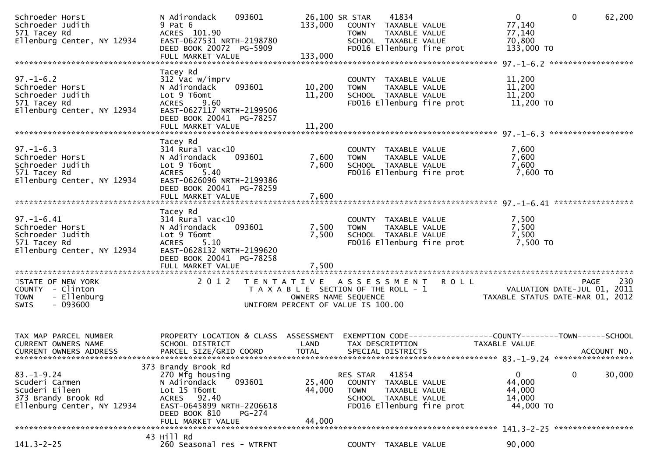| Schroeder Horst<br>Schroeder Judith<br>571 Tacey Rd<br>Ellenburg Center, NY 12934                         | 093601<br>N Adirondack<br>9 Pat 6<br>ACRES 101.90<br>EAST-0627531 NRTH-2198780<br>DEED BOOK 20072 PG-5909<br>FULL MARKET VALUE                                               | 133,000<br>133,000                                                                               | 26,100 SR STAR<br><b>TOWN</b>               | 41834<br>COUNTY TAXABLE VALUE<br>TAXABLE VALUE<br>SCHOOL TAXABLE VALUE<br>FD016 Ellenburg fire prot | $\mathbf{0}$<br>77,140<br>77,140<br>70,800<br>133,000 TO                      | $\mathbf{0}$<br>62,200                            |
|-----------------------------------------------------------------------------------------------------------|------------------------------------------------------------------------------------------------------------------------------------------------------------------------------|--------------------------------------------------------------------------------------------------|---------------------------------------------|-----------------------------------------------------------------------------------------------------|-------------------------------------------------------------------------------|---------------------------------------------------|
|                                                                                                           |                                                                                                                                                                              |                                                                                                  |                                             |                                                                                                     |                                                                               |                                                   |
| $97. - 1 - 6.2$<br>Schroeder Horst<br>Schroeder Judith<br>571 Tacey Rd<br>Ellenburg Center, NY 12934      | Tacey Rd<br>312 Vac w/imprv<br>N Adirondack<br>093601<br>Lot 9 T6omt<br>9.60<br><b>ACRES</b><br>EAST-0627117 NRTH-2199506<br>DEED BOOK 20041 PG-78257                        | 10,200<br>11,200                                                                                 | <b>TOWN</b>                                 | COUNTY TAXABLE VALUE<br>TAXABLE VALUE<br>SCHOOL TAXABLE VALUE<br>FD016 Ellenburg fire prot          | 11,200<br>11,200<br>11,200<br>11,200 TO                                       |                                                   |
|                                                                                                           | FULL MARKET VALUE                                                                                                                                                            | 11,200                                                                                           |                                             |                                                                                                     |                                                                               |                                                   |
|                                                                                                           |                                                                                                                                                                              |                                                                                                  |                                             |                                                                                                     |                                                                               |                                                   |
| $97. - 1 - 6.3$<br>Schroeder Horst<br>Schroeder Judith<br>571 Tacey Rd<br>Ellenburg Center, NY 12934      | Tacey Rd<br>$314$ Rural vac< $10$<br>N Adirondack<br>093601<br>Lot 9 T6omt<br>5.40<br><b>ACRES</b><br>EAST-0626096 NRTH-2199386<br>DEED BOOK 20041 PG-78259                  | 7,600<br>7,600                                                                                   | <b>TOWN</b>                                 | COUNTY TAXABLE VALUE<br>TAXABLE VALUE<br>SCHOOL TAXABLE VALUE<br>FD016 Ellenburg fire prot          | 7,600<br>7,600<br>7,600<br>7,600 TO                                           |                                                   |
|                                                                                                           |                                                                                                                                                                              |                                                                                                  |                                             |                                                                                                     |                                                                               |                                                   |
| $97. - 1 - 6.41$<br>Schroeder Horst<br>Schroeder Judith<br>571 Tacey Rd<br>Ellenburg Center, NY 12934     | Tacey Rd<br>$314$ Rural vac< $10$<br>N Adirondack<br>093601<br>Lot 9 T6omt<br><b>ACRES</b><br>5.10<br>EAST-0628132 NRTH-2199620<br>DEED BOOK 20041 PG-78258                  | 7,500<br>7,500                                                                                   | <b>TOWN</b>                                 | COUNTY TAXABLE VALUE<br>TAXABLE VALUE<br>SCHOOL TAXABLE VALUE<br>FD016 Ellenburg fire prot          | 7,500<br>7,500<br>7,500<br>7,500 TO                                           |                                                   |
|                                                                                                           | FULL MARKET VALUE                                                                                                                                                            | 7,500                                                                                            |                                             |                                                                                                     |                                                                               |                                                   |
| STATE OF NEW YORK<br>COUNTY - Clinton<br>- Ellenburg<br><b>TOWN</b><br>$-093600$<br><b>SWIS</b>           | 2 0 1 2                                                                                                                                                                      | T E N T A T I V E<br>T A X A B L E SECTION OF THE ROLL - 1<br>UNIFORM PERCENT OF VALUE IS 100.00 | A S S E S S M E N T<br>OWNERS NAME SEQUENCE | <b>ROLL</b>                                                                                         | TAXABLE STATUS DATE-MAR 01, 2012                                              | 230<br><b>PAGE</b><br>VALUATION DATE-JUL 01, 2011 |
| TAX MAP PARCEL NUMBER<br><b>CURRENT OWNERS NAME</b><br>CURRENT OWNERS ADDRESS                             | PROPERTY LOCATION & CLASS ASSESSMENT<br>SCHOOL DISTRICT<br>PARCEL SIZE/GRID COORD                                                                                            | LAND<br><b>TOTAL</b>                                                                             | TAX DESCRIPTION<br>SPECIAL DISTRICTS        |                                                                                                     | EXEMPTION CODE-----------------COUNTY-------TOWN------SCHOOL<br>TAXABLE VALUE | ACCOUNT NO.                                       |
| $83. - 1 - 9.24$<br>Scuderi Carmen<br>Scuderi Eileen<br>373 Brandy Brook Rd<br>Ellenburg Center, NY 12934 | 373 Brandy Brook Rd<br>270 Mfg housing<br>N Adirondack<br>093601<br>Lot 15 T6omt<br>ACRES 92.40<br>EAST-0645899 NRTH-2206618<br>DEED BOOK 810<br>PG-274<br>FULL MARKET VALUE | 25,400<br>44,000<br>44,000                                                                       | RES STAR<br>COUNTY<br><b>TOWN</b>           | 41854<br>TAXABLE VALUE<br>TAXABLE VALUE<br>SCHOOL TAXABLE VALUE<br>FD016 Ellenburg fire prot        | $\bf{0}$<br>44,000<br>44,000<br>14,000<br>44,000 TO                           | 30,000<br>0                                       |
|                                                                                                           | 43 Hill Rd                                                                                                                                                                   |                                                                                                  |                                             |                                                                                                     |                                                                               |                                                   |
| $141.3 - 2 - 25$                                                                                          | 260 Seasonal res - WTRFNT                                                                                                                                                    |                                                                                                  |                                             | COUNTY TAXABLE VALUE                                                                                | 90,000                                                                        |                                                   |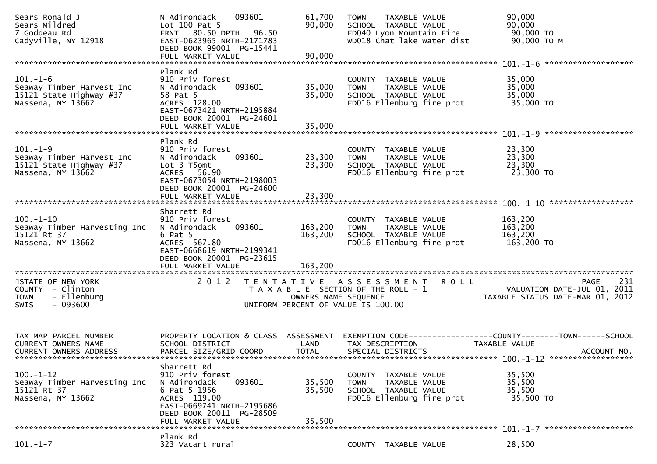| Sears Ronald J<br>Sears Mildred<br>7 Goddeau Rd<br>Cadyville, NY 12918                          | N Adirondack<br>093601<br>Lot $100$ Pat 5<br>FRNT 80.50 DPTH 96.50<br>EAST-0623965 NRTH-2171783<br>DEED BOOK 99001 PG-15441<br>FULL MARKET VALUE                       | 61,700<br>90,000<br>90,000                                                                          | <b>TOWN</b>          | <b>TAXABLE VALUE</b><br>SCHOOL TAXABLE VALUE                  | FD040 Lyon Mountain Fire<br>WD018 Chat lake water dist | 90,000<br>90,000<br>90,000 TO<br>90,000 ТО М                                  |                    |
|-------------------------------------------------------------------------------------------------|------------------------------------------------------------------------------------------------------------------------------------------------------------------------|-----------------------------------------------------------------------------------------------------|----------------------|---------------------------------------------------------------|--------------------------------------------------------|-------------------------------------------------------------------------------|--------------------|
|                                                                                                 | Plank Rd                                                                                                                                                               |                                                                                                     |                      |                                                               |                                                        |                                                                               |                    |
| $101. - 1 - 6$<br>Seaway Timber Harvest Inc<br>15121 State Highway #37<br>Massena, NY 13662     | 910 Priv forest<br>N Adirondack<br>093601<br>58 Pat 5<br>ACRES 128.00<br>EAST-0673421 NRTH-2195884<br>DEED BOOK 20001 PG-24601                                         | 35,000<br>35,000                                                                                    | <b>TOWN</b>          | COUNTY TAXABLE VALUE<br>TAXABLE VALUE<br>SCHOOL TAXABLE VALUE | FD016 Ellenburg fire prot                              | 35,000<br>35,000<br>35,000<br>35,000 TO                                       |                    |
|                                                                                                 | FULL MARKET VALUE                                                                                                                                                      | 35,000                                                                                              |                      |                                                               |                                                        |                                                                               |                    |
|                                                                                                 |                                                                                                                                                                        |                                                                                                     |                      |                                                               |                                                        |                                                                               |                    |
| $101. - 1 - 9$<br>Seaway Timber Harvest Inc<br>15121 State Highway #37<br>Massena, NY 13662     | Plank Rd<br>910 Priv forest<br>093601<br>N Adirondack<br>Lot 3 T5omt<br>ACRES 56.90<br>EAST-0673054 NRTH-2198003                                                       | 23,300<br>23,300                                                                                    | <b>TOWN</b>          | COUNTY TAXABLE VALUE<br>TAXABLE VALUE<br>SCHOOL TAXABLE VALUE | FD016 Ellenburg fire prot                              | 23,300<br>23,300<br>23,300<br>23,300 TO                                       |                    |
|                                                                                                 | DEED BOOK 20001 PG-24600<br>FULL MARKET VALUE                                                                                                                          | 23,300                                                                                              |                      |                                                               |                                                        |                                                                               |                    |
|                                                                                                 |                                                                                                                                                                        |                                                                                                     |                      |                                                               |                                                        |                                                                               |                    |
| $100. - 1 - 10$<br>Seaway Timber Harvesting Inc<br>15121 Rt 37<br>Massena, NY 13662             | Sharrett Rd<br>910 Priv forest<br>093601<br>N Adirondack<br>$6$ Pat $5$<br>ACRES 567.80<br>EAST-0668619 NRTH-2199341<br>DEED BOOK 20001 PG-23615                       | 163,200<br>163,200                                                                                  | <b>TOWN</b>          | COUNTY TAXABLE VALUE<br>TAXABLE VALUE<br>SCHOOL TAXABLE VALUE | FD016 Ellenburg fire prot                              | 163,200<br>163,200<br>163,200<br>163,200 TO                                   |                    |
|                                                                                                 | FULL MARKET VALUE                                                                                                                                                      | 163,200                                                                                             |                      |                                                               |                                                        |                                                                               |                    |
| STATE OF NEW YORK<br>COUNTY - Clinton<br>- Ellenburg<br><b>TOWN</b><br>$-093600$<br><b>SWIS</b> | 2 0 1 2                                                                                                                                                                | TENTATIVE ASSESSMENT<br>T A X A B L E SECTION OF THE ROLL - 1<br>UNIFORM PERCENT OF VALUE IS 100.00 | OWNERS NAME SEQUENCE |                                                               | <b>ROLL</b>                                            | VALUATION DATE-JUL 01, 2011<br>TAXABLE STATUS DATE-MAR 01, 2012               | 231<br><b>PAGE</b> |
| TAX MAP PARCEL NUMBER<br><b>CURRENT OWNERS NAME</b><br><b>CURRENT OWNERS ADDRESS</b>            | PROPERTY LOCATION & CLASS ASSESSMENT<br>SCHOOL DISTRICT<br>PARCEL SIZE/GRID COORD                                                                                      | LAND<br><b>TOTAL</b>                                                                                |                      | TAX DESCRIPTION<br>SPECIAL DISTRICTS                          |                                                        | EXEMPTION CODE-----------------COUNTY-------TOWN------SCHOOL<br>TAXABLE VALUE | ACCOUNT NO.        |
| $100. - 1 - 12$<br>Seaway Timber Harvesting Inc<br>15121 Rt 37<br>Massena, NY 13662             | Sharrett Rd<br>910 Priv forest<br>093601<br>N Adirondack<br>6 Pat 5 1956<br>ACRES 119.00<br>EAST-0669741 NRTH-2195686<br>DEED BOOK 20011 PG-28509<br>FULL MARKET VALUE | 35,500<br>35,500<br>35,500                                                                          | <b>TOWN</b>          | COUNTY TAXABLE VALUE<br>TAXABLE VALUE<br>SCHOOL TAXABLE VALUE | FD016 Ellenburg fire prot                              | 35,500<br>35,500<br>35,500<br>35,500 TO                                       |                    |
|                                                                                                 |                                                                                                                                                                        |                                                                                                     |                      |                                                               |                                                        |                                                                               |                    |
| $101. - 1 - 7$                                                                                  | Plank Rd<br>323 Vacant rural                                                                                                                                           |                                                                                                     |                      | COUNTY TAXABLE VALUE                                          |                                                        | 28,500                                                                        |                    |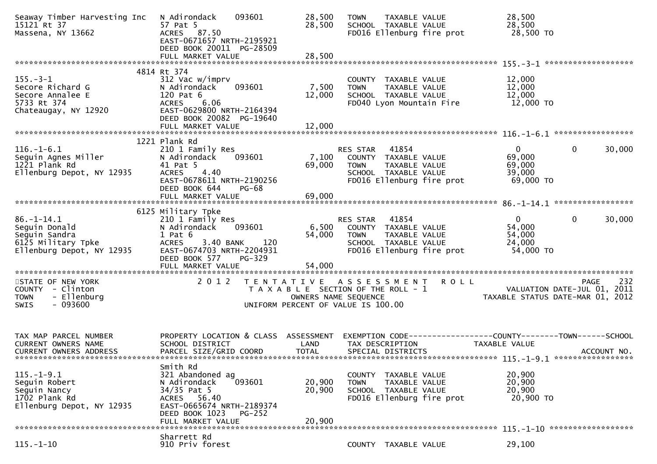| Seaway Timber Harvesting Inc<br>15121 Rt 37<br>Massena, NY 13662                                      | N Adirondack<br>57 Pat 5<br>ACRES 87.50<br>EAST-0671657 NRTH-2195921<br>DEED BOOK 20011 PG-28509                                                 | 093601                             | 28,500<br>28,500                                              | <b>TOWN</b>                  | TAXABLE VALUE<br>SCHOOL TAXABLE VALUE                                  | FD016 Ellenburg fire prot                                                                           | 28,500<br>28,500<br>28,500 TO                                                 |              |             |
|-------------------------------------------------------------------------------------------------------|--------------------------------------------------------------------------------------------------------------------------------------------------|------------------------------------|---------------------------------------------------------------|------------------------------|------------------------------------------------------------------------|-----------------------------------------------------------------------------------------------------|-------------------------------------------------------------------------------|--------------|-------------|
|                                                                                                       |                                                                                                                                                  |                                    |                                                               |                              |                                                                        |                                                                                                     |                                                                               |              |             |
| $155. - 3 - 1$<br>Secore Richard G<br>Secore Annalee E<br>5733 Rt 374<br>Chateaugay, NY 12920         | 4814 Rt 374<br>312 Vac w/imprv<br>N Adirondack<br>120 Pat 6<br>6.06<br><b>ACRES</b><br>EAST-0629800 NRTH-2164394                                 | 093601                             | 7,500<br>12,000                                               | <b>TOWN</b>                  | COUNTY TAXABLE VALUE<br>TAXABLE VALUE<br>SCHOOL TAXABLE VALUE          | FD040 Lyon Mountain Fire                                                                            | 12,000<br>12,000<br>12,000<br>12,000 TO                                       |              |             |
|                                                                                                       | DEED BOOK 20082 PG-19640<br>FULL MARKET VALUE                                                                                                    |                                    | 12,000                                                        |                              |                                                                        |                                                                                                     |                                                                               |              |             |
|                                                                                                       | 1221 Plank Rd                                                                                                                                    |                                    |                                                               |                              |                                                                        |                                                                                                     |                                                                               |              |             |
| $116. - 1 - 6.1$<br>Seguin Agnes Miller<br>1221 Plank Rd<br>Ellenburg Depot, NY 12935                 | 210 1 Family Res<br>N Adirondack<br>41 Pat 5<br>4.40<br><b>ACRES</b><br>EAST-0678611 NRTH-2190256<br>DEED BOOK 644                               | 093601<br>PG-68                    | 7,100<br>69,000                                               | RES STAR<br><b>TOWN</b>      | 41854<br>COUNTY TAXABLE VALUE<br>TAXABLE VALUE<br>SCHOOL TAXABLE VALUE | FD016 Ellenburg fire prot                                                                           | $\mathbf{0}$<br>69,000<br>69,000<br>39,000<br>69,000 TO                       | $\Omega$     | 30,000      |
|                                                                                                       |                                                                                                                                                  |                                    |                                                               |                              |                                                                        |                                                                                                     |                                                                               |              |             |
| $86. - 1 - 14.1$<br>Seguin Donald<br>Seguin Sandra<br>6125 Military Tpke<br>Ellenburg Depot, NY 12935 | 6125 Military Tpke<br>210 1 Family Res<br>N Adirondack<br>$1$ Pat $6$<br><b>ACRES</b><br>3.40 BANK<br>EAST-0674703 NRTH-2204931<br>DEED BOOK 577 | 093601<br>120<br>PG-329            | 6,500<br>54,000                                               | RES STAR<br><b>TOWN</b>      | 41854<br>TAXABLE VALUE<br>SCHOOL TAXABLE VALUE                         | COUNTY TAXABLE VALUE<br>FD016 Ellenburg fire prot                                                   | $\mathbf{0}$<br>54,000<br>54,000<br>24,000<br>54,000 TO                       | $\mathbf{0}$ | 30,000      |
|                                                                                                       | FULL MARKET VALUE                                                                                                                                |                                    | 54,000                                                        |                              |                                                                        |                                                                                                     |                                                                               |              |             |
| STATE OF NEW YORK<br>COUNTY - Clinton<br>- Ellenburg<br><b>TOWN</b><br>$-093600$<br><b>SWIS</b>       | 2 0 1 2                                                                                                                                          | UNIFORM PERCENT OF VALUE IS 100.00 | T A X A B L E SECTION OF THE ROLL - 1<br>OWNERS NAME SEQUENCE |                              |                                                                        | TENTATIVE ASSESSMENT ROLL<br>- 1<br>VALUATION DATE-JUL 01, 2011<br>TAXABLE STATUS DATE-MAR 01, 2012 |                                                                               | <b>PAGE</b>  | 232         |
| TAX MAP PARCEL NUMBER<br>CURRENT OWNERS NAME<br><b>CURRENT OWNERS ADDRESS</b>                         | PROPERTY LOCATION & CLASS ASSESSMENT<br>SCHOOL DISTRICT<br>PARCEL SIZE/GRID COORD                                                                |                                    | LAND<br><b>TOTAL</b>                                          |                              | TAX DESCRIPTION<br>SPECIAL DISTRICTS                                   | EXEMPTION CODE-----------------COUNTY-------TOWN------SCHOOL                                        | TAXABLE VALUE                                                                 |              | ACCOUNT NO. |
| $115. - 1 - 9.1$<br>Seguin Robert<br>Seguin Nancy<br>1702 Plank Rd<br>Ellenburg Depot, NY 12935       | Smith Rd<br>321 Abandoned ag<br>N Adirondack<br>34/35 Pat 5<br>ACRES 56.40<br>EAST-0665674 NRTH-2189374<br>DEED BOOK 1023<br>FULL MARKET VALUE   | 093601<br>$PG-252$                 | 20,900<br>20,900<br>20,900                                    | <b>COUNTY</b><br><b>TOWN</b> | TAXABLE VALUE<br>TAXABLE VALUE<br>SCHOOL TAXABLE VALUE                 | FD016 Ellenburg fire prot                                                                           | 20,900<br>20,900<br>20,900<br>20,900 TO<br>$115, -1 - 10$ ******************* |              |             |
|                                                                                                       | Sharrett Rd                                                                                                                                      |                                    |                                                               |                              |                                                                        |                                                                                                     |                                                                               |              |             |
| $115. - 1 - 10$                                                                                       | 910 Priv forest                                                                                                                                  |                                    |                                                               |                              | COUNTY TAXABLE VALUE                                                   |                                                                                                     | 29,100                                                                        |              |             |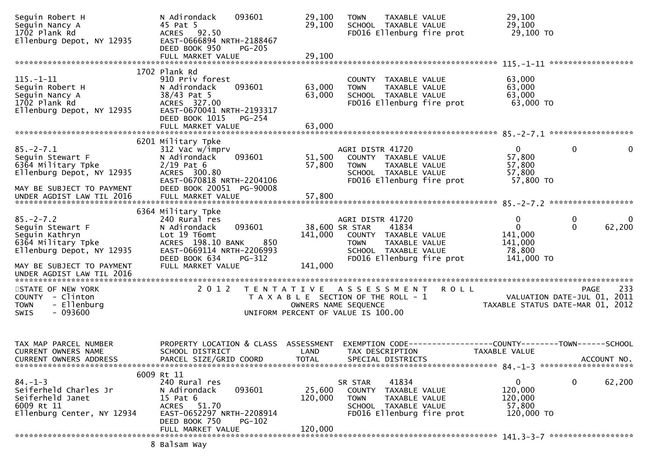| Seguin Robert H<br>Seguin Nancy A<br>1702 Plank Rd<br>Ellenburg Depot, NY 12935                          | N Adirondack<br>45 Pat 5<br>ACRES 92.50<br>EAST-0666894 NRTH-2188467<br>DEED BOOK 950                                                               | 093601<br>PG-205                                        | 29,100<br>29,100                                              | <b>TOWN</b>                                                               | TAXABLE VALUE<br>SCHOOL TAXABLE VALUE                                  | FD016 Ellenburg fire prot | 29,100<br>29,100<br>29,100 то                                                 |                   |             |
|----------------------------------------------------------------------------------------------------------|-----------------------------------------------------------------------------------------------------------------------------------------------------|---------------------------------------------------------|---------------------------------------------------------------|---------------------------------------------------------------------------|------------------------------------------------------------------------|---------------------------|-------------------------------------------------------------------------------|-------------------|-------------|
|                                                                                                          |                                                                                                                                                     |                                                         |                                                               |                                                                           |                                                                        |                           |                                                                               |                   |             |
| $115. - 1 - 11$<br>Seguin Robert H<br>Seguin Nancy A<br>1702 Plank Rd<br>Ellenburg Depot, NY 12935       | 1702 Plank Rd<br>910 Priv forest<br>N Adirondack<br>38/43 Pat 5<br>ACRES 327.00<br>EAST-0670041 NRTH-2193317<br>DEED BOOK 1015<br>FULL MARKET VALUE | 093601<br>PG-254                                        | 63,000<br>63,000<br>63,000                                    | <b>TOWN</b>                                                               | COUNTY TAXABLE VALUE<br>TAXABLE VALUE<br>SCHOOL TAXABLE VALUE          | FD016 Ellenburg fire prot | 63,000<br>63,000<br>63,000<br>63,000 TO                                       |                   |             |
|                                                                                                          | 6201 Military Tpke                                                                                                                                  |                                                         |                                                               |                                                                           |                                                                        |                           |                                                                               |                   |             |
| $85. - 2 - 7.1$<br>Seguin Stewart F<br>6364 Military Tpke<br>Ellenburg Depot, NY 12935                   | 312 Vac w/imprv<br>N Adirondack<br>$2/19$ Pat 6<br>ACRES 300.80<br>EAST-0670818 NRTH-2204106                                                        | 093601                                                  | 51,500<br>57,800                                              | AGRI DISTR 41720<br><b>TOWN</b>                                           | COUNTY TAXABLE VALUE<br>TAXABLE VALUE<br>SCHOOL TAXABLE VALUE          | FD016 Ellenburg fire prot | $\mathbf{0}$<br>57,800<br>57,800<br>57,800<br>57,800 TO                       | $\mathbf{0}$      | 0           |
| MAY BE SUBJECT TO PAYMENT                                                                                | DEED BOOK 20051 PG-90008                                                                                                                            |                                                         |                                                               |                                                                           |                                                                        |                           |                                                                               |                   |             |
| $85. - 2 - 7.2$<br>Seguin Stewart F<br>Seguin Kathryn<br>6364 Military Tpke<br>Ellenburg Depot, NY 12935 | 6364 Military Tpke<br>240 Rural res<br>N Adirondack<br>Lot 19 T6omt<br>ACRES 198.10 BANK<br>EAST-0669114 NRTH-2206993                               | 093601<br>850                                           | 141,000                                                       | AGRI DISTR 41720<br>38,600 SR STAR<br>COUNTY TAXABLE VALUE<br><b>TOWN</b> | 41834<br>TAXABLE VALUE<br>SCHOOL TAXABLE VALUE                         |                           | 0<br>$\mathbf{0}$<br>141,000<br>141,000<br>78,800                             | 0<br>$\mathbf{0}$ | 0<br>62,200 |
| MAY BE SUBJECT TO PAYMENT<br>UNDER AGDIST LAW TIL 2016                                                   | DEED BOOK 634<br>FULL MARKET VALUE                                                                                                                  | PG-312                                                  | 141,000                                                       |                                                                           |                                                                        | FD016 Ellenburg fire prot | 141,000 TO                                                                    |                   |             |
| STATE OF NEW YORK<br>COUNTY - Clinton<br>- Ellenburg<br><b>TOWN</b><br>$-093600$<br><b>SWIS</b>          | 2 0 1 2                                                                                                                                             | T E N T A T I V E<br>UNIFORM PERCENT OF VALUE IS 100.00 | T A X A B L E SECTION OF THE ROLL - 1<br>OWNERS NAME SEQUENCE | A S S E S S M E N T                                                       |                                                                        | <b>ROLL</b>               | VALUATION DATE-JUL 01, 2011<br>TAXABLE STATUS DATE-MAR 01, 2012               | PAGE              | 233         |
| TAX MAP PARCEL NUMBER<br><b>CURRENT OWNERS NAME</b><br>CURRENT OWNERS ADDRESS                            | PROPERTY LOCATION & CLASS ASSESSMENT<br>SCHOOL DISTRICT<br>PARCEL SIZE/GRID COORD                                                                   |                                                         | LAND<br><b>TOTAL</b>                                          | TAX DESCRIPTION                                                           | SPECIAL DISTRICTS                                                      |                           | EXEMPTION CODE-----------------COUNTY-------TOWN------SCHOOL<br>TAXABLE VALUE |                   | ACCOUNT NO. |
| $84. - 1 - 3$<br>Seiferheld Charles Jr<br>Seiferheld Janet<br>6009 Rt 11<br>Ellenburg Center, NY 12934   | 6009 Rt 11<br>240 Rural res<br>N Adirondack<br>15 Pat 6<br>ACRES 51.70<br>EAST-0652297 NRTH-2208914<br>DEED BOOK 750<br>FULL MARKET VALUE           | 093601<br>PG-102                                        | 25,600<br>120,000<br>120,000                                  | SR STAR<br><b>TOWN</b>                                                    | 41834<br>COUNTY TAXABLE VALUE<br>TAXABLE VALUE<br>SCHOOL TAXABLE VALUE | FD016 Ellenburg fire prot | $\mathbf 0$<br>120,000<br>120,000<br>57,800<br>120,000 TO                     | 0                 | 62,200      |
|                                                                                                          |                                                                                                                                                     |                                                         |                                                               |                                                                           |                                                                        |                           |                                                                               |                   |             |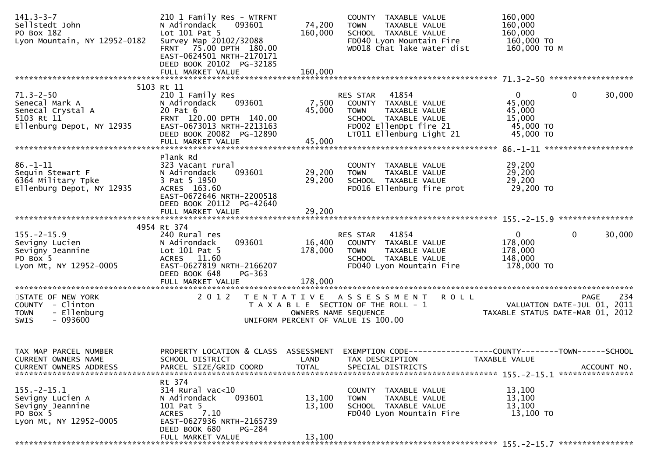| $141.3 - 3 - 7$<br>Sellstedt John<br>PO Box 182<br>Lyon Mountain, NY 12952-0182                   | 210 1 Family Res - WTRFNT<br>093601<br>N Adirondack<br>Lot $101$ Pat 5<br>Survey Map 20102/32088<br>FRNT 75.00 DPTH 180.00<br>EAST-0624501 NRTH-2170171<br>DEED BOOK 20102 PG-32185 | 74,200<br>160,000          | COUNTY TAXABLE VALUE<br><b>TOWN</b><br>TAXABLE VALUE<br>SCHOOL TAXABLE VALUE<br>FD040 Lyon Mountain Fire<br>WD018 Chat lake water dist                         | 160,000<br>160,000<br>160,000<br>160,000 TO<br>160,000 ТО М                                    |
|---------------------------------------------------------------------------------------------------|-------------------------------------------------------------------------------------------------------------------------------------------------------------------------------------|----------------------------|----------------------------------------------------------------------------------------------------------------------------------------------------------------|------------------------------------------------------------------------------------------------|
|                                                                                                   | FULL MARKET VALUE                                                                                                                                                                   | 160,000                    |                                                                                                                                                                |                                                                                                |
| $71.3 - 2 - 50$<br>Senecal Mark A<br>Senecal Crystal A<br>5103 Rt 11<br>Ellenburg Depot, NY 12935 | 5103 Rt 11<br>210 1 Family Res<br>093601<br>N Adirondack<br>20 Pat 6<br>FRNT 120.00 DPTH 140.00<br>EAST-0673013 NRTH-2213163<br>DEED BOOK 20082 PG-12890<br>FULL MARKET VALUE       | 7,500<br>45,000<br>45,000  | 41854<br><b>RES STAR</b><br>COUNTY TAXABLE VALUE<br><b>TOWN</b><br>TAXABLE VALUE<br>SCHOOL TAXABLE VALUE<br>FD002 EllenDpt fire 21<br>LT011 Ellenburg Light 21 | $\mathbf{0}$<br>$\mathbf{0}$<br>30,000<br>45,000<br>45,000<br>15,000<br>45,000 TO<br>45,000 TO |
|                                                                                                   | Plank Rd                                                                                                                                                                            |                            |                                                                                                                                                                |                                                                                                |
| $86 - 1 - 11$<br>Sequin Stewart F<br>6364 Military Tpke<br>Ellenburg Depot, NY 12935              | 323 Vacant rural<br>093601<br>N Adirondack<br>3 Pat 5 1950<br>ACRES 163.60<br>EAST-0672646 NRTH-2200518<br>DEED BOOK 20112 PG-42640                                                 | 29,200<br>29,200           | COUNTY TAXABLE VALUE<br><b>TOWN</b><br>TAXABLE VALUE<br>SCHOOL TAXABLE VALUE<br>FD016 Ellenburg fire prot                                                      | 29,200<br>29,200<br>29,200<br>29,200 TO                                                        |
|                                                                                                   | FULL MARKET VALUE                                                                                                                                                                   | 29,200                     |                                                                                                                                                                |                                                                                                |
|                                                                                                   | 4954 Rt 374                                                                                                                                                                         |                            |                                                                                                                                                                |                                                                                                |
| $155. - 2 - 15.9$<br>Sevigny Lucien<br>Sevigny Jeannine<br>PO Box 5<br>Lyon Mt, NY 12952-0005     | 240 Rural res<br>093601<br>N Adirondack<br>Lot 101 Pat 5<br>ACRES 11.60<br>EAST-0627819 NRTH-2166207<br>DEED BOOK 648<br>PG-363                                                     | 16,400<br>178,000          | 41854<br>RES STAR<br>COUNTY TAXABLE VALUE<br>TAXABLE VALUE<br><b>TOWN</b><br>SCHOOL TAXABLE VALUE<br>FD040 Lyon Mountain Fire                                  | $\mathbf{0}$<br>$\Omega$<br>30,000<br>178,000<br>178,000<br>148,000<br>178,000 TO              |
|                                                                                                   |                                                                                                                                                                                     |                            |                                                                                                                                                                |                                                                                                |
| STATE OF NEW YORK<br>COUNTY - Clinton<br>- Ellenburg<br><b>TOWN</b><br>$-093600$<br>SWIS          | 2 0 1 2                                                                                                                                                                             | OWNERS NAME SEQUENCE       | TENTATIVE ASSESSMENT<br><b>ROLL</b><br>T A X A B L E SECTION OF THE ROLL - 1<br>UNIFORM PERCENT OF VALUE IS 100.00                                             | 234<br>PAGE<br>VALUATION DATE-JUL 01, 2011<br>TAXABLE STATUS DATE-MAR 01, 2012                 |
| TAX MAP PARCEL NUMBER<br>CURRENT OWNERS NAME<br><b>CURRENT OWNERS ADDRESS</b>                     | PROPERTY LOCATION & CLASS ASSESSMENT<br>SCHOOL DISTRICT<br>PARCEL SIZE/GRID COORD                                                                                                   | LAND<br><b>TOTAL</b>       | TAX DESCRIPTION<br>SPECIAL DISTRICTS                                                                                                                           | TAXABLE VALUE<br>ACCOUNT NO.<br>155. - 2 - 15. 1 *****************                             |
| $155. - 2 - 15.1$<br>Sevigny Lucien A<br>Sevigny Jeannine<br>PO Box 5<br>Lyon Mt, NY 12952-0005   | Rt 374<br>$314$ Rural vac<10<br>N Adirondack<br>093601<br>101 Pat 5<br>7.10<br>ACRES<br>EAST-0627936 NRTH-2165739<br>DEED BOOK 680<br>PG-284<br>FULL MARKET VALUE                   | 13,100<br>13,100<br>13,100 | TAXABLE VALUE<br><b>COUNTY</b><br>TAXABLE VALUE<br><b>TOWN</b><br>SCHOOL TAXABLE VALUE<br>FD040 Lyon Mountain Fire                                             | 13,100<br>13,100<br>13,100<br>13,100 TO                                                        |
|                                                                                                   |                                                                                                                                                                                     |                            |                                                                                                                                                                |                                                                                                |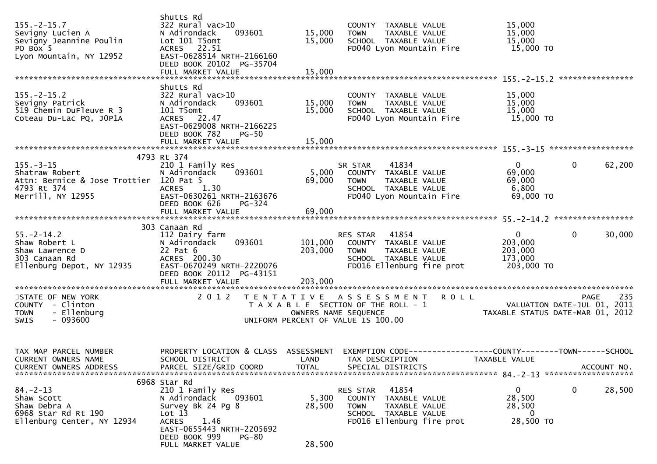| $155. - 2 - 15.7$<br>Sevigny Lucien A<br>Sevigny Jeannine Poulin<br>PO Box 5<br>Lyon Mountain, NY 12952          | Shutts Rd<br>$322$ Rural vac $>10$<br>093601<br>N Adirondack<br>Lot 101 T5omt<br>ACRES 22.51<br>EAST-0628514 NRTH-2166160<br>DEED BOOK 20102 PG-35704                                                | 15,000<br>15,000              | COUNTY TAXABLE VALUE<br><b>TOWN</b><br>TAXABLE VALUE<br>SCHOOL TAXABLE VALUE<br>FD040 Lyon Mountain Fire                                   | 15,000<br>15,000<br>15,000<br>15,000 TO                         |                       |
|------------------------------------------------------------------------------------------------------------------|------------------------------------------------------------------------------------------------------------------------------------------------------------------------------------------------------|-------------------------------|--------------------------------------------------------------------------------------------------------------------------------------------|-----------------------------------------------------------------|-----------------------|
|                                                                                                                  |                                                                                                                                                                                                      |                               |                                                                                                                                            |                                                                 |                       |
| $155. - 2 - 15.2$<br>Sevigny Patrick<br>519 Chemin DuFleuve R 3<br>Coteau Du-Lac PQ, JOP1A                       | Shutts Rd<br>$322$ Rural vac $>10$<br>093601<br>N Adirondack<br>101 T5omt<br>ACRES 22.47<br>EAST-0629008 NRTH-2166225<br>DEED BOOK 782<br><b>PG-50</b>                                               | 15,000<br>15,000              | COUNTY TAXABLE VALUE<br><b>TOWN</b><br>TAXABLE VALUE<br>SCHOOL TAXABLE VALUE<br>FD040 Lyon Mountain Fire                                   | 15,000<br>15,000<br>15,000<br>15,000 TO                         |                       |
|                                                                                                                  |                                                                                                                                                                                                      |                               |                                                                                                                                            |                                                                 |                       |
|                                                                                                                  | 4793 Rt 374                                                                                                                                                                                          |                               |                                                                                                                                            |                                                                 |                       |
| $155. - 3 - 15$<br>Shatraw Robert<br>Attn: Bernice & Jose Trottier 120 Pat 5<br>4793 Rt 374<br>Merrill, NY 12955 | 210 1 Family Res<br>N Adirondack<br>093601<br>1.30<br><b>ACRES</b><br>EAST-0630261 NRTH-2163676<br>DEED BOOK 626                                                                                     | 5,000<br>69,000               | 41834<br>SR STAR<br>COUNTY TAXABLE VALUE<br>TAXABLE VALUE<br><b>TOWN</b><br>SCHOOL TAXABLE VALUE<br>FD040 Lyon Mountain Fire               | $\overline{0}$<br>69,000<br>69,000<br>6,800<br>69,000 TO        | $\mathbf 0$<br>62,200 |
|                                                                                                                  | PG-324                                                                                                                                                                                               |                               |                                                                                                                                            |                                                                 |                       |
|                                                                                                                  | 303 Canaan Rd                                                                                                                                                                                        |                               |                                                                                                                                            |                                                                 |                       |
| $55. - 2 - 14.2$<br>Shaw Robert L<br>Shaw Lawrence D<br>303 Canaan Rd<br>Ellenburg Depot, NY 12935               | 112 Dairy farm<br>093601<br>N Adirondack<br>22 Pat 6<br>ACRES 200.30<br>EAST-0670249 NRTH-2220076<br>DEED BOOK 20112 PG-43151<br>FULL MARKET VALUE                                                   | 101,000<br>203,000<br>203,000 | RES STAR<br>41854<br>COUNTY TAXABLE VALUE<br>TAXABLE VALUE<br>TOWN<br>SCHOOL TAXABLE VALUE<br>FD016 Ellenburg fire prot                    | $\mathbf{0}$<br>203,000<br>203,000<br>173,000<br>203,000 TO     | $\mathbf 0$<br>30,000 |
|                                                                                                                  |                                                                                                                                                                                                      |                               |                                                                                                                                            |                                                                 |                       |
| STATE OF NEW YORK<br>COUNTY - Clinton<br>- Ellenburg<br><b>TOWN</b><br>$-093600$<br><b>SWIS</b>                  | 2 0 1 2                                                                                                                                                                                              |                               | <b>ROLL</b><br>TENTATIVE ASSESSMENT<br>T A X A B L E SECTION OF THE ROLL - 1<br>OWNERS NAME SEQUENCE<br>UNIFORM PERCENT OF VALUE IS 100.00 | VALUATION DATE-JUL 01, 2011<br>TAXABLE STATUS DATE-MAR 01, 2012 | 235<br><b>PAGE</b>    |
| TAX MAP PARCEL NUMBER<br>CURRENT OWNERS NAME<br><b>CURRENT OWNERS ADDRESS</b>                                    | SCHOOL DISTRICT LAND TAX DESCRIPTION<br>PARCEL SIZE/GRID COORD                                                                                                                                       | TOTAL                         | PROPERTY LOCATION & CLASS ASSESSMENT EXEMPTION CODE----------------COUNTY-------TOWN------SCHOOL<br>SPECIAL DISTRICTS                      | TAXABLE VALUE                                                   | ACCOUNT NO.           |
| $84. - 2 - 13$<br>Shaw Scott<br>Shaw Debra A<br>6968 Star Rd Rt 190<br>Ellenburg Center, NY 12934                | 6968 Star Rd<br>210 1 Family Res<br>N Adirondack<br>093601<br>Survey Bk 24 Pg 8<br>Lot 13<br>1.46<br><b>ACRES</b><br>EAST-0655443 NRTH-2205692<br>DEED BOOK 999<br><b>PG-80</b><br>FULL MARKET VALUE | 5,300<br>28,500<br>28,500     | 41854<br>RES STAR<br>COUNTY TAXABLE VALUE<br>TAXABLE VALUE<br><b>TOWN</b><br>SCHOOL TAXABLE VALUE<br>FD016 Ellenburg fire prot             | $\mathbf{0}$<br>28,500<br>28,500<br>$\Omega$<br>28,500 TO       | 28,500<br>$\bf{0}$    |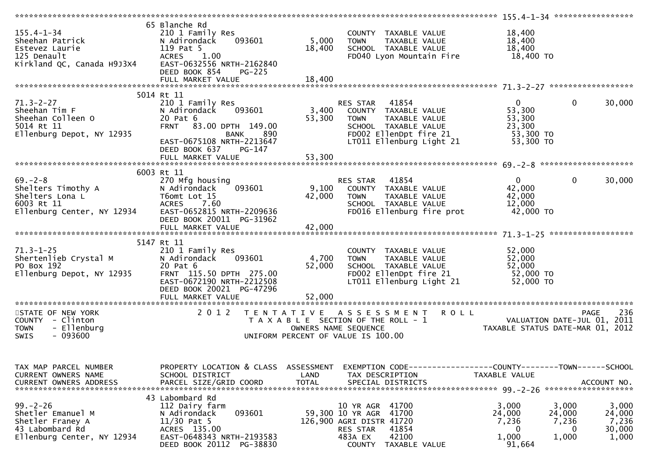| $155.4 - 1 - 34$<br>133.4-1-34<br>Sheehan Patrick<br>Estevez Laurie<br>125 Denault<br>Kirkland QC, Canada H9J3X4          | 65 Blanche Rd<br>210 1 Family Res<br>093601<br>N Adirondack<br>119 Pat 5<br><b>ACRES</b><br>1.00<br>EAST-0632556 NRTH-2162840<br>DEED BOOK 854<br><b>PG-225</b> | 5,000<br>18,400      | COUNTY TAXABLE VALUE<br><b>TOWN</b><br>TAXABLE VALUE<br>SCHOOL TAXABLE VALUE<br>FD040 Lyon Mountain Fire 18,400 TO                                                                                          | 18,400<br>18,400<br>18,400                           |                                                                                       |
|---------------------------------------------------------------------------------------------------------------------------|-----------------------------------------------------------------------------------------------------------------------------------------------------------------|----------------------|-------------------------------------------------------------------------------------------------------------------------------------------------------------------------------------------------------------|------------------------------------------------------|---------------------------------------------------------------------------------------|
|                                                                                                                           |                                                                                                                                                                 |                      |                                                                                                                                                                                                             |                                                      |                                                                                       |
|                                                                                                                           |                                                                                                                                                                 |                      |                                                                                                                                                                                                             |                                                      |                                                                                       |
|                                                                                                                           | 5014 Rt 11                                                                                                                                                      |                      |                                                                                                                                                                                                             |                                                      |                                                                                       |
| $71.3 - 2 - 27$<br>Sheehan Tim F<br>Sheehan Colleen O<br>5014 Rt 11                                                       | 210 1 Family Res<br>093601<br>N Adirondack<br>20 Pat 6<br>FRNT 83.00 DPTH 149.00                                                                                | 53,300               | RES STAR 41854<br>3,400 COUNTY TAXABLE VALUE<br><b>TOWN</b><br>TAXABLE VALUE<br>SCHOOL TAXABLE VALUE                                                                                                        | $\mathbf{0}$<br>53,300<br>53,300<br>23,300           | $\mathbf 0$<br>30,000                                                                 |
| Ellenburg Depot, NY 12935                                                                                                 | BANK 890<br>EAST-0675108 NRTH-2213647<br>DEED BOOK 637 PG-147<br>FULL MARKET VALUE                                                                              | 53,300               | $FDOO2$ EllenDpt fire 21<br>LT011 Ellenburg Light 21                                                                                                                                                        | 53,300 TO<br>53,300 TO                               |                                                                                       |
|                                                                                                                           |                                                                                                                                                                 |                      |                                                                                                                                                                                                             |                                                      |                                                                                       |
|                                                                                                                           |                                                                                                                                                                 |                      |                                                                                                                                                                                                             |                                                      |                                                                                       |
| $69 - 2 - 8$<br>Shelters Timothy A<br>Shelters Lona L<br>6003 Rt 11 ACRES 7.60<br>Ellenburg Center, NY 12934 EAST-0652815 | 6003 Rt 11<br>270 Mfg housing<br>093601<br>ACRES 7.60<br>EAST-0652815 NRTH-2209636<br>DEED BOOK 20011 PG-31962                                                  | 9,100<br>42,000      | RES STAR 41854<br>COUNTY TAXABLE VALUE<br><b>TOWN</b><br>TAXABLE VALUE<br>SCHOOL TAXABLE VALUE<br>FD016 Ellenburg fire prot 42,000 TO                                                                       | $\overline{0}$<br>42,000<br>42,000<br>12,000         | $\mathbf{0}$<br>30,000                                                                |
|                                                                                                                           |                                                                                                                                                                 |                      |                                                                                                                                                                                                             |                                                      |                                                                                       |
|                                                                                                                           |                                                                                                                                                                 |                      |                                                                                                                                                                                                             |                                                      |                                                                                       |
|                                                                                                                           |                                                                                                                                                                 |                      |                                                                                                                                                                                                             |                                                      |                                                                                       |
| $71.3 - 1 - 25$<br>Shertenlieb Crystal M<br>PO Box 192<br>Ellenburg Depot, NY 12935                                       | 5147 Rt 11<br>210 1 Family Res<br>093601<br>N Adirondack<br>20 Pat 6<br>FRNT 115.50 DPTH 275.00<br>EAST-0672190 NRTH-2212508<br>DEED BOOK 20021 PG-47296        | 4,700<br>52,000      | COUNTY TAXABLE VALUE<br><b>TOWN</b><br>TAXABLE VALUE<br>SCHOOL TAXABLE VALUE<br>FD002 EllenDpt fire 21<br>LT011 Ellenburg Light 21                                                                          | 52,000<br>52,000<br>52,000<br>52,000 TO<br>52,000 TO |                                                                                       |
|                                                                                                                           | FULL MARKET VALUE                                                                                                                                               | 52,000               |                                                                                                                                                                                                             |                                                      |                                                                                       |
| STATE OF NEW YORK<br>COUNTY - Clinton<br>- Ellenburg<br><b>TOWN</b><br>$-093600$<br>SWIS                                  | 2 0 1 2                                                                                                                                                         |                      | TENTATIVE ASSESSMENT ROLL<br>T A X A B L E SECTION OF THE ROLL - 1<br>OWNERS NAME SEQUENCE THE TAXABLE STATUS DATE-JUL 01, 2011<br>UNIFORM PERCENT OF VALUE IS 100.00<br>UNIFORM PERCENT OF VALUE IS 100.00 |                                                      | 236<br><b>PAGE</b>                                                                    |
| TAX MAP PARCEL NUMBER<br>CURRENT OWNERS NAME<br><b>CURRENT OWNERS ADDRESS</b>                                             | PROPERTY LOCATION & CLASS ASSESSMENT<br>SCHOOL DISTRICT<br>PARCEL SIZE/GRID COORD                                                                               | LAND<br><b>TOTAL</b> | EXEMPTION CODE------------------COUNTY--------TOWN------SCHOOL<br>TAX DESCRIPTION<br>SPECIAL DISTRICTS                                                                                                      | TAXABLE VALUE                                        | ACCOUNT NO.<br>*******************                                                    |
| $99 - 2 - 26$<br>Shetler Emanuel M<br>Shetler Franey A<br>43 Labombard Rd<br>Ellenburg Center, NY 12934                   | 43 Labombard Rd<br>112 Dairy farm<br>093601<br>N Adirondack<br>$11/30$ Pat 5<br>ACRES 135.00<br>EAST-0648343 NRTH-2193583<br>DEED BOOK 20112 PG-38830           |                      | 10 YR AGR 41700<br>59,300 10 YR AGR 41700<br>126,900 AGRI DISTR 41720<br>41854<br>RES STAR<br>42100<br>483A EX<br><b>COUNTY</b><br>TAXABLE VALUE                                                            | 3,000<br>24,000<br>7,236<br>0<br>1,000<br>91,664     | 3,000<br>3,000<br>24,000<br>24,000<br>7,236<br>7,236<br>30,000<br>0<br>1,000<br>1,000 |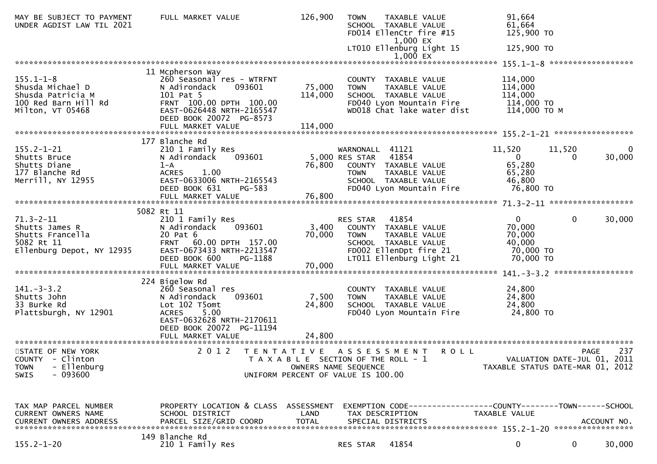| 61,664<br>UNDER AGDIST LAW TIL 2021<br>SCHOOL TAXABLE VALUE<br>FD014 EllenCtr fire #15<br>125,900 TO<br>1,000 EX                                                                                                                                                                                                                                                                                                                                                                                      |             |
|-------------------------------------------------------------------------------------------------------------------------------------------------------------------------------------------------------------------------------------------------------------------------------------------------------------------------------------------------------------------------------------------------------------------------------------------------------------------------------------------------------|-------------|
| LT010 Ellenburg Light 15<br>125,900 TO                                                                                                                                                                                                                                                                                                                                                                                                                                                                |             |
| 11 Mcpherson Way                                                                                                                                                                                                                                                                                                                                                                                                                                                                                      |             |
| $155.1 - 1 - 8$<br>114,000<br>260 Seasonal res - WTRFNT<br>COUNTY TAXABLE VALUE<br>75,000<br>093601<br>114,000<br>Shusda Michael D<br>N Adirondack<br><b>TOWN</b><br>TAXABLE VALUE<br>114,000<br>114,000<br>Shusda Patricia M<br>101 Pat 5<br>SCHOOL TAXABLE VALUE<br>100 Red Barn Hill Rd<br>FRNT 100.00 DPTH 100.00<br>FD040 Lyon Mountain Fire<br>114,000 TO<br>114,000 то м<br>EAST-0626448 NRTH-2165547<br>WD018 Chat lake water dist<br>Milton, VT 05468<br>DEED BOOK 20072 PG-8573             |             |
| 177 Blanche Rd                                                                                                                                                                                                                                                                                                                                                                                                                                                                                        |             |
| $155.2 - 1 - 21$<br>11,520<br>210 1 Family Res<br>WARNONALL 41121<br>11,520<br>5,000 RES STAR 41854<br>093601<br>Shutts Bruce<br>N Adirondack<br>$\overline{0}$<br>$\Omega$<br>65,280<br>Shutts Diane<br>76,800<br>$1 - A$<br>COUNTY TAXABLE VALUE<br>177 Blanche Rd<br><b>ACRES</b><br>1.00<br>65,280<br><b>TOWN</b><br>TAXABLE VALUE<br>Merrill, NY 12955<br>EAST-0633006 NRTH-2165543<br>46,800<br>SCHOOL TAXABLE VALUE<br>76,800 TO<br>DEED BOOK 631<br>PG-583<br>FD040 Lyon Mountain Fire        | 0<br>30,000 |
|                                                                                                                                                                                                                                                                                                                                                                                                                                                                                                       |             |
| 5082 Rt 11                                                                                                                                                                                                                                                                                                                                                                                                                                                                                            |             |
| $\mathbf{0}$<br>$\mathbf 0$<br>$71.3 - 2 - 11$<br>210 1 Family Res<br>RES STAR 41854<br>70,000<br>093601<br>3,400 COUNTY TAXABLE VALUE<br>Shutts James R<br>N Adirondack<br>70,000<br>Shutts Francella<br>20 Pat 6<br>70,000<br>TAXABLE VALUE<br>TOWN<br>FRNT 60.00 DPTH 157.00<br>40,000<br>5082 Rt 11<br>SCHOOL TAXABLE VALUE<br>Ellenburg Depot, NY 12935<br>EAST-0673433 NRTH-2213547<br>FD002 EllenDpt fire 21<br>70,000 TO<br>DEED BOOK 600<br>PG-1188<br>LT011 Ellenburg Light 21<br>70,000 TO | 30,000      |
|                                                                                                                                                                                                                                                                                                                                                                                                                                                                                                       |             |
| 224 Bigelow Rd<br>$141. - 3 - 3.2$<br>24,800<br>260 Seasonal res<br>COUNTY TAXABLE VALUE<br>7,500<br>24,800<br>093601<br>Shutts John<br>N Adirondack<br><b>TOWN</b><br>TAXABLE VALUE<br>33 Burke Rd<br>Lot 102 T5omt<br>24,800<br>24,800<br>SCHOOL TAXABLE VALUE<br>Plattsburgh, NY 12901<br>ACRES 5.00<br>24,800 TO<br>FD040 Lyon Mountain Fire<br>EAST-0632628 NRTH-2170611<br>DEED BOOK 20072 PG-11194<br>24,800<br>FULL MARKET VALUE                                                              |             |
|                                                                                                                                                                                                                                                                                                                                                                                                                                                                                                       |             |
| 2 0 1 2<br>A S S E S S M E N T<br>STATE OF NEW YORK<br>T E N T A T I V E<br><b>ROLL</b><br><b>PAGE</b><br>COUNTY - Clinton<br>VALUATION DATE-JUL 01, 2011<br>T A X A B L E SECTION OF THE ROLL - 1<br>- Ellenburg<br>TAXABLE STATUS DATE-MAR 01, 2012<br>OWNERS NAME SEQUENCE<br><b>TOWN</b><br>$-093600$<br>SWIS<br>UNIFORM PERCENT OF VALUE IS 100.00                                                                                                                                               | 237         |
|                                                                                                                                                                                                                                                                                                                                                                                                                                                                                                       |             |
| EXEMPTION CODE------------------COUNTY--------TOWN------SCHOOL<br>TAX MAP PARCEL NUMBER<br>PROPERTY LOCATION & CLASS ASSESSMENT<br><b>CURRENT OWNERS NAME</b><br>SCHOOL DISTRICT<br>LAND<br>TAX DESCRIPTION<br>TAXABLE VALUE                                                                                                                                                                                                                                                                          |             |
| 149 Blanche Rd<br>$155.2 - 1 - 20$<br>210 1 Family Res<br>41854<br>0<br>$\mathbf 0$<br>RES STAR                                                                                                                                                                                                                                                                                                                                                                                                       | 30,000      |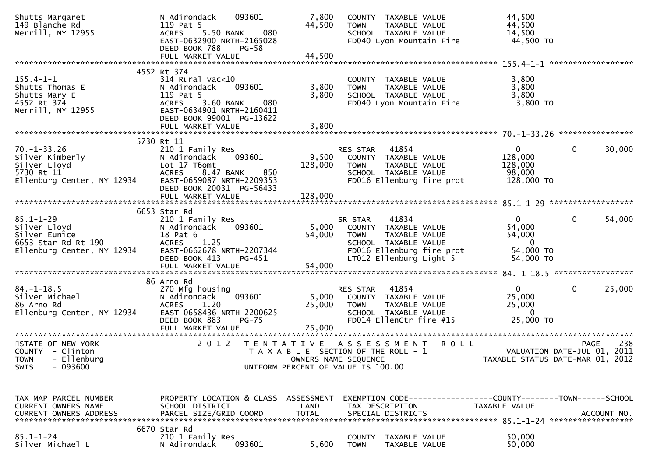| Shutts Margaret<br>149 Blanche Rd<br>Merrill, NY 12955 | 093601<br>N Adirondack<br>119 Pat 5<br>5.50 BANK<br>080<br><b>ACRES</b> | 7,800<br>44,500                       | <b>TOWN</b>          | COUNTY TAXABLE VALUE<br>TAXABLE VALUE<br>SCHOOL TAXABLE VALUE | 44,500<br>44,500<br>14,500       |              |             |
|--------------------------------------------------------|-------------------------------------------------------------------------|---------------------------------------|----------------------|---------------------------------------------------------------|----------------------------------|--------------|-------------|
|                                                        | EAST-0632900 NRTH-2165028<br>DEED BOOK 788<br>$PG-58$                   |                                       |                      | FD040 Lyon Mountain Fire                                      | 44,500 TO                        |              |             |
|                                                        |                                                                         |                                       |                      |                                                               |                                  |              |             |
|                                                        | 4552 Rt 374                                                             |                                       |                      |                                                               |                                  |              |             |
| $155.4 - 1 - 1$                                        | 314 Rural vac<10                                                        |                                       |                      | COUNTY TAXABLE VALUE                                          | 3,800                            |              |             |
| Shutts Thomas E<br>Shutts Mary E                       | N Adirondack<br>093601<br>119 Pat 5                                     | 3,800<br>3,800                        | <b>TOWN</b>          | TAXABLE VALUE<br>SCHOOL TAXABLE VALUE                         | 3,800<br>3,800                   |              |             |
| 4552 Rt 374                                            | <b>ACRES</b><br>3.60 BANK<br>080                                        |                                       |                      | FD040 Lyon Mountain Fire                                      | 3,800 TO                         |              |             |
| Merrill, NY 12955                                      | EAST-0634901 NRTH-2160411<br>DEED BOOK 99001 PG-13622                   |                                       |                      |                                                               |                                  |              |             |
|                                                        |                                                                         |                                       |                      |                                                               |                                  |              |             |
|                                                        | 5730 Rt 11                                                              |                                       |                      |                                                               |                                  |              |             |
| $70. - 1 - 33.26$                                      | 210 1 Family Res                                                        |                                       | <b>RES STAR</b>      | 41854                                                         | $\overline{0}$                   | 0            | 30,000      |
| Silver Kimberly                                        | 093601<br>N Adirondack                                                  | 9,500                                 |                      | COUNTY TAXABLE VALUE                                          | 128,000                          |              |             |
| Silver Lloyd                                           | Lot 17 T6omt                                                            | 128,000                               | <b>TOWN</b>          | TAXABLE VALUE                                                 | 128,000                          |              |             |
| 5730 Rt 11                                             | 850<br>8.47 BANK<br><b>ACRES</b>                                        |                                       |                      | SCHOOL TAXABLE VALUE                                          | 98,000                           |              |             |
| Ellenburg Center, NY 12934                             | EAST-0659087 NRTH-2209353                                               |                                       |                      | FD016 Ellenburg fire prot                                     | 128,000 TO                       |              |             |
|                                                        | DEED BOOK 20031 PG-56433                                                |                                       |                      |                                                               |                                  |              |             |
|                                                        |                                                                         |                                       |                      |                                                               |                                  |              |             |
|                                                        | 6653 Star Rd                                                            |                                       |                      |                                                               |                                  |              |             |
| $85.1 - 1 - 29$                                        | 210 1 Family Res                                                        |                                       | SR STAR              | 41834                                                         | $\Omega$                         | 0            | 54,000      |
| Silver Lloyd                                           | 093601<br>N Adirondack                                                  | 5,000                                 |                      | COUNTY TAXABLE VALUE                                          | 54,000                           |              |             |
| Silver Eunice                                          | 18 Pat 6                                                                | 54,000                                | <b>TOWN</b>          | TAXABLE VALUE                                                 | 54,000                           |              |             |
| 6653 Star Rd Rt 190                                    | 1.25<br><b>ACRES</b>                                                    |                                       |                      | SCHOOL TAXABLE VALUE                                          | $\overline{0}$                   |              |             |
| Ellenburg Center, NY 12934                             | EAST-0662678 NRTH-2207344                                               |                                       |                      | FD016 Ellenburg fire prot                                     | 54,000 TO                        |              |             |
|                                                        | DEED BOOK 413<br>PG-451                                                 |                                       |                      | LT012 Ellenburg Light 5                                       | 54,000 TO                        |              |             |
|                                                        |                                                                         |                                       |                      |                                                               |                                  |              |             |
|                                                        | 86 Arno Rd                                                              |                                       |                      |                                                               |                                  |              |             |
| $84. - 1 - 18.5$                                       | 270 Mfg housing                                                         |                                       | <b>RES STAR</b>      | 41854                                                         | $\Omega$                         | $\mathbf{0}$ | 25,000      |
| Silver Michael                                         | 093601<br>N Adirondack                                                  | 5,000                                 |                      | COUNTY TAXABLE VALUE                                          | 25,000                           |              |             |
| 86 Arno Rd                                             | ACRES<br>1.20                                                           | 25,000                                | <b>TOWN</b>          | TAXABLE VALUE                                                 | 25,000                           |              |             |
| Ellenburg Center, NY 12934                             | EAST-0658436 NRTH-2200625<br>DEED BOOK 883<br>$PG-75$                   |                                       |                      | SCHOOL TAXABLE VALUE<br>FD014 EllenCtr fire #15               | $\overline{0}$<br>25,000 TO      |              |             |
|                                                        | FULL MARKET VALUE                                                       | 25,000                                |                      |                                                               |                                  |              |             |
|                                                        |                                                                         |                                       |                      |                                                               |                                  |              |             |
| STATE OF NEW YORK                                      | 2 0 1 2                                                                 | TENTATIVE ASSESSMENT                  |                      | <b>ROLL</b>                                                   |                                  | <b>PAGE</b>  | 238         |
| COUNTY - Clinton                                       |                                                                         | T A X A B L E SECTION OF THE ROLL - 1 |                      |                                                               | VALUATION DATE-JUL 01, 2011      |              |             |
| - Ellenburg<br><b>TOWN</b>                             |                                                                         |                                       | OWNERS NAME SEQUENCE |                                                               | TAXABLE STATUS DATE-MAR 01, 2012 |              |             |
| $-093600$<br><b>SWIS</b>                               |                                                                         | UNIFORM PERCENT OF VALUE IS 100.00    |                      |                                                               |                                  |              |             |
|                                                        |                                                                         |                                       |                      |                                                               |                                  |              |             |
|                                                        |                                                                         |                                       |                      |                                                               |                                  |              |             |
| TAX MAP PARCEL NUMBER                                  | PROPERTY LOCATION & CLASS ASSESSMENT                                    |                                       |                      | EXEMPTION CODE-----------------COUNTY-------TOWN------SCHOOL  |                                  |              |             |
| CURRENT OWNERS NAME                                    | SCHOOL DISTRICT                                                         | LAND                                  |                      | TAX DESCRIPTION                                               | TAXABLE VALUE                    |              |             |
| <b>CURRENT OWNERS ADDRESS</b>                          | PARCEL SIZE/GRID COORD                                                  | <b>TOTAL</b>                          |                      | SPECIAL DISTRICTS                                             |                                  |              | ACCOUNT NO. |
|                                                        |                                                                         |                                       |                      |                                                               |                                  |              |             |
| $85.1 - 1 - 24$                                        | 6670 Star Rd<br>210 1 Family Res                                        |                                       | <b>COUNTY</b>        | TAXABLE VALUE                                                 | 50,000                           |              |             |
| Silver Michael L                                       | 093601<br>N Adirondack                                                  | 5,600                                 | <b>TOWN</b>          | TAXABLE VALUE                                                 | 50,000                           |              |             |
|                                                        |                                                                         |                                       |                      |                                                               |                                  |              |             |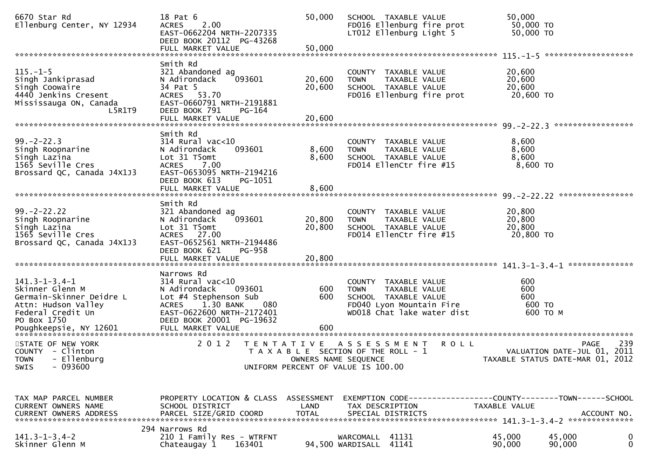| 6670 Star Rd<br>Ellenburg Center, NY 12934                                                                                      | 18 Pat 6<br>2.00<br><b>ACRES</b><br>EAST-0662204 NRTH-2207335<br>DEED BOOK 20112 PG-43268                                                                                               | 50,000                      | SCHOOL TAXABLE VALUE<br>FD016 Ellenburg fire prot<br>LT012 Ellenburg Light 5                                                           | 50,000<br>50,000 TO<br>50,000 TO                                |                    |
|---------------------------------------------------------------------------------------------------------------------------------|-----------------------------------------------------------------------------------------------------------------------------------------------------------------------------------------|-----------------------------|----------------------------------------------------------------------------------------------------------------------------------------|-----------------------------------------------------------------|--------------------|
|                                                                                                                                 | FULL MARKET VALUE                                                                                                                                                                       | 50,000                      |                                                                                                                                        |                                                                 |                    |
| $115. - 1 - 5$<br>Singh Jankiprasad<br>Singh Coowaire<br>4440 Jenkins Cresent<br>Mississauga ON, Canada<br>L5R1T9               | Smith Rd<br>321 Abandoned ag<br>093601<br>N Adirondack<br>34 Pat 5<br>ACRES 53.70<br>EAST-0660791 NRTH-2191881<br>DEED BOOK 791<br>PG-164<br>FULL MARKET VALUE                          | 20,600<br>20,600<br>20,600  | COUNTY TAXABLE VALUE<br>TAXABLE VALUE<br><b>TOWN</b><br>SCHOOL TAXABLE VALUE<br>FD016 Ellenburg fire prot                              | 20,600<br>20,600<br>20,600<br>20,600 TO                         |                    |
|                                                                                                                                 | Smith Rd                                                                                                                                                                                |                             |                                                                                                                                        |                                                                 |                    |
| $99. - 2 - 22.3$<br>Singh Roopnarine<br>Singh Lazina<br>1565 Seville Cres<br>Brossard QC, Canada J4X1J3                         | $314$ Rural vac<10<br>093601<br>N Adirondack<br>Lot 31 T5omt<br><b>ACRES</b><br>7.00<br>EAST-0653095 NRTH-2194216<br>DEED BOOK 613<br>PG-1051                                           | 8,600<br>8,600              | COUNTY TAXABLE VALUE<br><b>TOWN</b><br>TAXABLE VALUE<br>SCHOOL TAXABLE VALUE<br>FD014 EllenCtr fire #15                                | 8,600<br>8,600<br>8,600<br>8,600 TO                             |                    |
|                                                                                                                                 | FULL MARKET VALUE                                                                                                                                                                       | 8,600                       |                                                                                                                                        |                                                                 |                    |
| $99. - 2 - 22.22$<br>Singh Roopnarine<br>Singh Lazina<br>1565 Seville Cres<br>Brossard QC, Canada J4X1J3                        | Smith Rd<br>321 Abandoned ag<br>093601<br>N Adirondack<br>Lot 31 T5omt<br>ACRES 27.00<br>EAST-0652561 NRTH-2194486<br>DEED BOOK 621<br>PG-958                                           | 20,800<br>20,800            | COUNTY TAXABLE VALUE<br>TAXABLE VALUE<br><b>TOWN</b><br>SCHOOL TAXABLE VALUE<br>FD014 EllenCtr fire #15                                | 20,800<br>20,800<br>20,800<br>20,800 TO                         |                    |
|                                                                                                                                 | Narrows Rd                                                                                                                                                                              |                             |                                                                                                                                        |                                                                 |                    |
| $141.3 - 1 - 3.4 - 1$<br>Skinner Glenn M<br>Germain-Skinner Deidre L<br>Attn: Hudson Valley<br>Federal Credit Un<br>PO Box 1750 | $314$ Rural vac<10<br>093601<br>N Adirondack<br>Lot #4 Stephenson Sub<br>1.30 BANK<br>080<br><b>ACRES</b><br>EAST-0622600 NRTH-2172401<br>DEED BOOK 20001 PG-19632<br>FULL MARKET VALUE | 600<br>600                  | COUNTY TAXABLE VALUE<br><b>TOWN</b><br>TAXABLE VALUE<br>SCHOOL TAXABLE VALUE<br>FD040 Lyon Mountain Fire<br>WD018 Chat lake water dist | 600<br>600<br>600<br>600 TO<br>600 то м                         |                    |
| STATE OF NEW YORK<br>COUNTY - Clinton<br>TOWN - Ellenburg<br>$-093600$<br><b>SWIS</b>                                           | 2 0 1 2                                                                                                                                                                                 | OWNERS NAME SEQUENCE        | TENTATIVE ASSESSMENT<br><b>ROLL</b><br>T A X A B L E SECTION OF THE ROLL - 1<br>UNIFORM PERCENT OF VALUE IS 100.00                     | VALUATION DATE-JUL 01, 2011<br>TAXABLE STATUS DATE-MAR 01, 2012 | 239<br><b>PAGE</b> |
| TAX MAP PARCEL NUMBER<br>CURRENT OWNERS NAME<br>CURRENT OWNERS ADDRESS                                                          | PROPERTY LOCATION & CLASS ASSESSMENT<br>SCHOOL DISTRICT<br>PARCEL SIZE/GRID COORD                                                                                                       | <b>LAND</b><br><b>TOTAL</b> | TAX DESCRIPTION<br>SPECIAL DISTRICTS                                                                                                   | TAXABLE VALUE                                                   | ACCOUNT NO.        |
| $141.3 - 1 - 3.4 - 2$<br>Skinner Glenn M                                                                                        | 294 Narrows Rd<br>210 1 Family Res - WTRFNT<br>Chateaugay 1<br>163401                                                                                                                   |                             | WARCOMALL 41131<br>94,500 WARDISALL 41141                                                                                              | 45,000<br>45,000<br>90,000<br>90,000                            | 0<br>0             |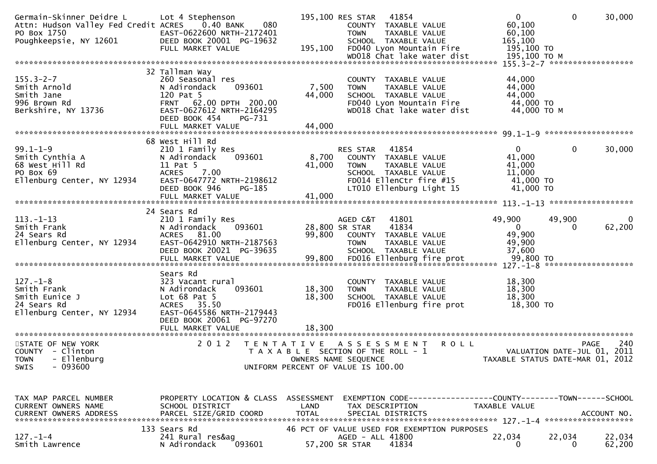| Germain-Skinner Deidre L<br>Attn: Hudson Valley Fed Credit ACRES<br>PO Box 1750<br>Poughkeepsie, NY 12601 | Lot 4 Stephenson<br>0.40 BANK<br>080<br>EAST-0622600 NRTH-2172401<br>DEED BOOK 20001 PG-19632<br>FULL MARKET VALUE                                                               | 195,100                     | 195,100 RES STAR<br><b>TOWN</b>                                                                                             | 41854<br>COUNTY TAXABLE VALUE<br>TAXABLE VALUE<br>SCHOOL TAXABLE VALUE<br>FD040 Lyon Mountain Fire                            | WD018 Chat lake water dist                  | $\mathbf{0}$<br>60,100<br>60,100<br>165,100<br>195,100 TO<br>195,100 ТО М     | $\mathbf 0$                         | 30,000           |
|-----------------------------------------------------------------------------------------------------------|----------------------------------------------------------------------------------------------------------------------------------------------------------------------------------|-----------------------------|-----------------------------------------------------------------------------------------------------------------------------|-------------------------------------------------------------------------------------------------------------------------------|---------------------------------------------|-------------------------------------------------------------------------------|-------------------------------------|------------------|
|                                                                                                           |                                                                                                                                                                                  |                             |                                                                                                                             |                                                                                                                               |                                             |                                                                               |                                     |                  |
| $155.3 - 2 - 7$<br>Smith Arnold<br>Smith Jane<br>996 Brown Rd<br>Berkshire, NY 13736                      | 32 Tallman Way<br>260 Seasonal res<br>N Adirondack<br>093601<br>120 Pat 5<br>FRNT 62.00 DPTH 200.00<br>EAST-0627612 NRTH-2164295<br>DEED BOOK 454<br>PG-731<br>FULL MARKET VALUE | 7,500<br>44,000<br>44,000   | <b>TOWN</b>                                                                                                                 | COUNTY TAXABLE VALUE<br>TAXABLE VALUE<br>SCHOOL TAXABLE VALUE<br>FD040 Lyon Mountain Fire                                     | WD018 Chat lake water dist                  | 44,000<br>44,000<br>44,000<br>44,000 TO<br>44,000 TO M                        |                                     |                  |
|                                                                                                           |                                                                                                                                                                                  |                             |                                                                                                                             |                                                                                                                               |                                             |                                                                               |                                     |                  |
| $99.1 - 1 - 9$<br>Smith Cynthia A<br>68 West Hill Rd<br>PO Box 69<br>Ellenburg Center, NY 12934           | 68 West Hill Rd<br>210 1 Family Res<br>N Adirondack<br>093601<br>11 Pat 5<br>7.00<br><b>ACRES</b><br>EAST-0647772 NRTH-2198612<br>DEED BOOK 946<br>$PG-185$                      | 8,700<br>41,000             | RES STAR<br><b>TOWN</b>                                                                                                     | 41854<br>COUNTY TAXABLE VALUE<br>TAXABLE VALUE<br>SCHOOL TAXABLE VALUE<br>FD014 EllenCtr fire #15<br>LT010 Ellenburg Light 15 |                                             | $\Omega$<br>41,000<br>41,000<br>11,000<br>41,000 TO<br>41,000 TO              | 0                                   | 30,000           |
|                                                                                                           |                                                                                                                                                                                  |                             |                                                                                                                             |                                                                                                                               |                                             |                                                                               |                                     |                  |
| $113. - 1 - 13$<br>Smith Frank<br>24 Sears Rd<br>Ellenburg Center, NY 12934                               | 24 Sears Rd<br>210 1 Family Res<br>N Adirondack<br>093601<br>ACRES 81.00<br>EAST-0642910 NRTH-2187563<br>DEED BOOK 20021 PG-39635                                                | 99,800                      | AGED C&T<br>28,800 SR STAR<br><b>TOWN</b>                                                                                   | 41801<br>41834<br>COUNTY TAXABLE VALUE<br>TAXABLE VALUE<br>SCHOOL TAXABLE VALUE                                               |                                             | 49,900<br>$\mathbf 0$<br>49,900<br>49,900<br>37,600                           | 49,900<br>0                         | 62,200           |
| $127. - 1 - 8$<br>Smith Frank<br>Smith Eunice J<br>24 Sears Rd<br>Ellenburg Center, NY 12934              | Sears Rd<br>323 Vacant rural<br>093601<br>N Adirondack<br>Lot $68$ Pat $5$<br>ACRES 35.50<br>EAST-0645586 NRTH-2179443<br>DEED BOOK 20061 PG-97270                               | 18,300<br>18,300            | <b>TOWN</b>                                                                                                                 | COUNTY TAXABLE VALUE<br>TAXABLE VALUE<br>SCHOOL TAXABLE VALUE<br>FD016 Ellenburg fire prot                                    |                                             | 18,300<br>18,300<br>18,300<br>18,300 TO                                       |                                     |                  |
| STATE OF NEW YORK<br>COUNTY - Clinton<br>- Ellenburg<br><b>TOWN</b><br>$-093600$<br><b>SWIS</b>           | 2 0 1 2                                                                                                                                                                          |                             | TENTATIVE ASSESSMENT<br>T A X A B L E SECTION OF THE ROLL - 1<br>OWNERS NAME SEQUENCE<br>UNIFORM PERCENT OF VALUE IS 100.00 |                                                                                                                               | <b>ROLL</b>                                 | TAXABLE STATUS DATE-MAR 01, 2012                                              | PAGE<br>VALUATION DATE-JUL 01, 2011 | 240              |
| TAX MAP PARCEL NUMBER<br>CURRENT OWNERS NAME<br><b>CURRENT OWNERS ADDRESS</b>                             | PROPERTY LOCATION & CLASS ASSESSMENT<br>SCHOOL DISTRICT<br>PARCEL SIZE/GRID COORD                                                                                                | <b>LAND</b><br><b>TOTAL</b> |                                                                                                                             | TAX DESCRIPTION<br>SPECIAL DISTRICTS                                                                                          |                                             | EXEMPTION CODE-----------------COUNTY-------TOWN------SCHOOL<br>TAXABLE VALUE |                                     | ACCOUNT NO.      |
| $127. - 1 - 4$<br>Smith Lawrence                                                                          | 133 Sears Rd<br>241 Rural res&ag<br>093601<br>N Adirondack                                                                                                                       |                             | AGED - ALL 41800<br>57,200 SR STAR                                                                                          | 41834                                                                                                                         | 46 PCT OF VALUE USED FOR EXEMPTION PURPOSES | 22,034<br>0                                                                   | 22,034<br>0                         | 22,034<br>62,200 |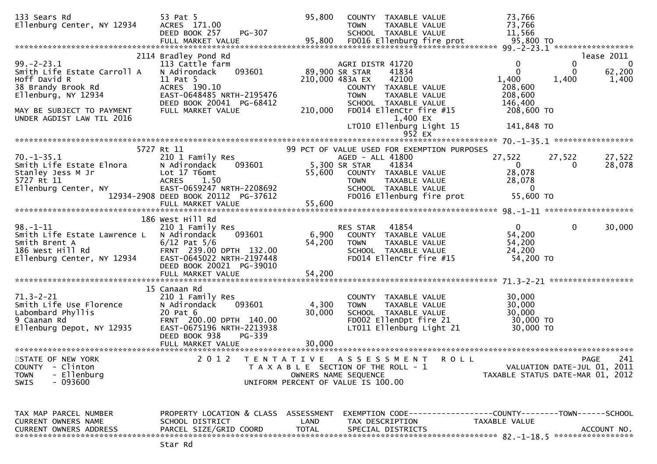| 133 Sears Rd<br>Ellenburg Center, NY 12934                      | 53 Pat 5<br>ACRES 171.00<br>PG-307<br>DEED BOOK 257   | 95,800          | <b>COUNTY</b><br>TAXABLE VALUE<br><b>TOWN</b><br>TAXABLE VALUE<br>SCHOOL TAXABLE VALUE |             | 73,766<br>73,766<br>11,566       |          |                             |
|-----------------------------------------------------------------|-------------------------------------------------------|-----------------|----------------------------------------------------------------------------------------|-------------|----------------------------------|----------|-----------------------------|
|                                                                 | FULL MARKET VALUE                                     | 95,800          | FD016 Ellenburg fire prot                                                              |             | 95,800 TO                        |          |                             |
|                                                                 | 2114 Bradley Pond Rd                                  |                 |                                                                                        |             |                                  |          | lease 2011                  |
| $99. -2 - 23.1$                                                 | 113 Cattle farm                                       |                 | AGRI DISTR 41720                                                                       |             | 0                                | $\bf{0}$ | 0                           |
| Smith Life Estate Carroll A                                     | 093601<br>N Adirondack                                |                 | 89,900 SR STAR<br>41834                                                                |             | $\Omega$                         | 0        | 62,200                      |
| Hoff David R                                                    | 11 Pat 5                                              |                 | 42100<br>210,000 483A EX                                                               |             | 1,400                            | 1,400    | 1,400                       |
| 38 Brandy Brook Rd<br>Ellenburg, NY 12934                       | ACRES 190.10<br>EAST-0648485 NRTH-2195476             |                 | COUNTY TAXABLE VALUE<br><b>TOWN</b><br>TAXABLE VALUE                                   |             | 208,600<br>208,600               |          |                             |
|                                                                 | DEED BOOK 20041 PG-68412                              |                 | SCHOOL TAXABLE VALUE                                                                   |             | 146,400                          |          |                             |
| MAY BE SUBJECT TO PAYMENT                                       | FULL MARKET VALUE                                     | 210,000         | FD014 EllenCtr fire #15                                                                |             | 208,600 TO                       |          |                             |
| UNDER AGDIST LAW TIL 2016                                       |                                                       |                 | 1,400 EX                                                                               |             |                                  |          |                             |
|                                                                 |                                                       |                 | LT010 Ellenburg Light 15<br>$95\overline{2}$ EX                                        |             | 141,848 TO                       |          |                             |
|                                                                 |                                                       |                 |                                                                                        |             |                                  |          |                             |
|                                                                 | 5727 Rt 11                                            |                 | 99 PCT OF VALUE USED FOR EXEMPTION PURPOSES                                            |             |                                  |          |                             |
| $70. -1 - 35.1$                                                 | 210 1 Family Res                                      |                 | AGED - ALL 41800                                                                       |             | 27,522                           | 27,522   | 27,522                      |
| Smith Life Estate Elnora                                        | 093601<br>N Adirondack                                |                 | 5,300 SR STAR<br>41834                                                                 |             | $\overline{0}$                   | 0        | 28,078                      |
| Stanley Jess M Jr<br>5727 Rt 11                                 | Lot 17 T6omt<br><b>ACRES</b><br>1.50                  | 55,600          | COUNTY TAXABLE VALUE<br><b>TOWN</b><br>TAXABLE VALUE                                   |             | 28,078<br>28,078                 |          |                             |
| Ellenburg Center, NY                                            | EAST-0659247 NRTH-2208692                             |                 | SCHOOL TAXABLE VALUE                                                                   |             | $\overline{0}$                   |          |                             |
|                                                                 | 12934-2908 DEED BOOK 20112 PG-37612                   |                 | FD016 Ellenburg fire prot                                                              |             | 55,600 TO                        |          |                             |
|                                                                 |                                                       |                 |                                                                                        |             |                                  |          |                             |
|                                                                 |                                                       |                 |                                                                                        |             |                                  |          |                             |
| $98 - 1 - 11$                                                   | 186 West Hill Rd<br>210 1 Family Res                  |                 | RES STAR<br>41854                                                                      |             | $\mathbf{0}$                     | 0        | 30,000                      |
| Smith Life Estate Lawrence L                                    | N Adirondack<br>093601                                | 6,900           | COUNTY TAXABLE VALUE                                                                   |             | 54,200                           |          |                             |
| Smith Brent A                                                   | $6/12$ Pat $5/6$                                      | 54,200          | TAXABLE VALUE<br><b>TOWN</b>                                                           |             | 54,200                           |          |                             |
| Smith Brent A<br>186 west Hill Rd<br>Ellenburg Center, NY 12934 | FRNT 239.00 DPTH 132.00                               |                 | SCHOOL TAXABLE VALUE                                                                   |             | 24,200                           |          |                             |
|                                                                 | EAST-0645022 NRTH-2197448<br>DEED BOOK 20021 PG-39010 |                 | FD014 EllenCtr fire #15                                                                |             | 54,200 TO                        |          |                             |
|                                                                 | FULL MARKET VALUE                                     | 54,200          |                                                                                        |             |                                  |          |                             |
|                                                                 |                                                       |                 |                                                                                        |             |                                  |          |                             |
|                                                                 | 15 Canaan Rd                                          |                 |                                                                                        |             |                                  |          |                             |
| $71.3 - 2 - 21$                                                 | 210 1 Family Res                                      |                 | COUNTY TAXABLE VALUE                                                                   |             | 30,000                           |          |                             |
| Smith Life Use Florence<br>Labombard Phyllis                    | N Adirondack<br>093601<br>20 Pat 6                    | 4,300<br>30,000 | TAXABLE VALUE<br><b>TOWN</b><br>SCHOOL TAXABLE VALUE                                   |             | 30,000<br>30,000                 |          |                             |
| 9 Caanan Rd                                                     | FRNT 200.00 DPTH 140.00                               |                 | FD002 EllenDpt fire 21                                                                 |             | 30,000 TO                        |          |                             |
| Ellenburg Depot, NY 12935                                       | EAST-0675196 NRTH-2213938                             |                 | LT011 Ellenburg Light 21                                                               |             | 30,000 TO                        |          |                             |
|                                                                 | DEED BOOK 938<br>PG-339                               |                 |                                                                                        |             |                                  |          |                             |
|                                                                 |                                                       |                 |                                                                                        |             |                                  |          |                             |
| STATE OF NEW YORK                                               | 2 0 1 2                                               |                 | TENTATIVE ASSESSMENT                                                                   | <b>ROLL</b> |                                  |          | 241<br><b>PAGE</b>          |
| - Clinton<br><b>COUNTY</b>                                      |                                                       |                 | T A X A B L E SECTION OF THE ROLL - 1                                                  |             |                                  |          | VALUATION DATE-JUL 01, 2011 |
| - Ellenburg<br><b>TOWN</b>                                      |                                                       |                 | OWNERS NAME SEQUENCE                                                                   |             | TAXABLE STATUS DATE-MAR 01, 2012 |          |                             |
| - 093600<br>SWIS                                                |                                                       |                 | UNIFORM PERCENT OF VALUE IS 100.00                                                     |             |                                  |          |                             |
|                                                                 |                                                       |                 |                                                                                        |             |                                  |          |                             |
|                                                                 |                                                       |                 |                                                                                        |             |                                  |          |                             |
| TAX MAP PARCEL NUMBER                                           | PROPERTY LOCATION & CLASS ASSESSMENT                  |                 |                                                                                        |             |                                  |          |                             |
| CURRENT OWNERS NAME                                             | SCHOOL DISTRICT                                       | LAND            | TAX DESCRIPTION                                                                        |             | TAXABLE VALUE                    |          |                             |
| <b>CURRENT OWNERS ADDRESS</b>                                   | PARCEL SIZE/GRID COORD                                | <b>TOTAL</b>    | SPECIAL DISTRICTS                                                                      |             |                                  |          | ACCOUNT NO.                 |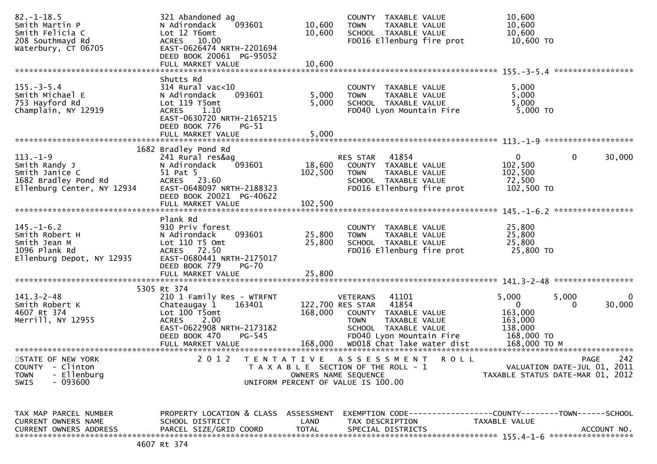| $82. - 1 - 18.5$<br>Smith Martin P<br>Smith Felicia C<br>208 Southmayd Rd<br>Waterbury, CT 06705        | 321 Abandoned ag<br>093601<br>N Adirondack<br>Lot 12 T6omt<br>ACRES 10.00<br>EAST-0626474 NRTH-2201694<br>DEED BOOK 20061 PG-95052<br>FULL MARKET VALUE                                  | 10,600<br>10,600<br>10,600 | COUNTY TAXABLE VALUE<br><b>TOWN</b><br>TAXABLE VALUE<br>SCHOOL TAXABLE VALUE<br>FD016 Ellenburg fire prot                                                                                        | 10,600<br>10,600<br>10,600<br>10,600 TO                                                            |             |
|---------------------------------------------------------------------------------------------------------|------------------------------------------------------------------------------------------------------------------------------------------------------------------------------------------|----------------------------|--------------------------------------------------------------------------------------------------------------------------------------------------------------------------------------------------|----------------------------------------------------------------------------------------------------|-------------|
|                                                                                                         |                                                                                                                                                                                          |                            |                                                                                                                                                                                                  |                                                                                                    |             |
| $155. - 3 - 5.4$<br>Smith Michael E<br>753 Hayford Rd<br>Champlain, NY 12919                            | Shutts Rd<br>$314$ Rural vac< $10$<br>N Adirondack<br>093601<br>Lot 119 T5omt<br>ACRES 1.10<br>EAST-0630720 NRTH-2165215<br>DEED BOOK 776<br>PG-51                                       | 5,000<br>5,000             | COUNTY TAXABLE VALUE<br>TAXABLE VALUE<br><b>TOWN</b><br>SCHOOL TAXABLE VALUE<br>FD040 Lyon Mountain Fire                                                                                         | 5,000<br>5,000<br>5,000<br>5,000 TO                                                                |             |
|                                                                                                         | FULL MARKET VALUE                                                                                                                                                                        | 5,000                      |                                                                                                                                                                                                  |                                                                                                    |             |
|                                                                                                         |                                                                                                                                                                                          |                            |                                                                                                                                                                                                  |                                                                                                    |             |
| $113. - 1 - 9$<br>Smith Randy J<br>Smith Janice C<br>1682 Bradley Pond Rd<br>Ellenburg Center, NY 12934 | 1682 Bradley Pond Rd<br>241 Rural res&ag<br>093601<br>N Adirondack<br>51 Pat 5<br>ACRES 23.60<br>EAST-0648097 NRTH-2188323<br>DEED BOOK 20021 PG-40622                                   | 18,600<br>102,500          | RES STAR 41854<br>COUNTY TAXABLE VALUE<br><b>TOWN</b><br>TAXABLE VALUE<br>SCHOOL TAXABLE VALUE<br>FD016 Ellenburg fire prot                                                                      | $\mathbf{0}$<br>$\mathbf{0}$<br>102,500<br>102,500<br>72,500<br>102,500 TO                         | 30,000      |
|                                                                                                         | FULL MARKET VALUE                                                                                                                                                                        | 102,500                    |                                                                                                                                                                                                  |                                                                                                    |             |
|                                                                                                         |                                                                                                                                                                                          |                            |                                                                                                                                                                                                  |                                                                                                    |             |
| $145. - 1 - 6.2$<br>Smith Robert H<br>Smith Jean M<br>1096 Plank Rd<br>Ellenburg Depot, NY 12935        | Plank Rd<br>910 Priv forest<br>093601<br>N Adirondack<br>Lot $110$ T5 Omt<br>ACRES 72.50<br>EAST-0680441 NRTH-2175017<br>DEED BOOK 779<br>PG-70                                          | 25,800<br>25,800           | COUNTY TAXABLE VALUE<br>TAXABLE VALUE<br><b>TOWN</b><br>SCHOOL TAXABLE VALUE<br>FD016 Ellenburg fire prot                                                                                        | 25,800<br>25,800<br>25,800<br>25,800 TO                                                            |             |
|                                                                                                         | FULL MARKET VALUE                                                                                                                                                                        | 25,800                     |                                                                                                                                                                                                  |                                                                                                    |             |
|                                                                                                         |                                                                                                                                                                                          |                            |                                                                                                                                                                                                  |                                                                                                    |             |
| $141.3 - 2 - 48$<br>Smith Robert K<br>4607 Rt 374<br>Merrill, NY 12955                                  | 5305 Rt 374<br>210 1 Family Res - WTRFNT<br>163401<br>Chateaugay 1<br>Lot 100 T5omt<br>2.00<br><b>ACRES</b><br>EAST-0622908 NRTH-2173182<br>DEED BOOK 470<br>PG-545<br>FULL MARKET VALUE | 168,000                    | 41101<br>VETERANS<br>122,700 RES STAR<br>41854<br>COUNTY TAXABLE VALUE<br><b>TOWN</b><br>TAXABLE VALUE<br>SCHOOL TAXABLE VALUE<br>FD040 Lyon Mountain Fire<br>168,000 WD018 Chat lake water dist | 5,000<br>5,000<br>$\mathbf{0}$<br>0<br>163,000<br>163,000<br>138,000<br>168,000 TO<br>168,000 ТО М | 0<br>30,000 |
|                                                                                                         |                                                                                                                                                                                          |                            |                                                                                                                                                                                                  |                                                                                                    |             |
| STATE OF NEW YORK<br>COUNTY - Clinton<br>- Ellenburg<br><b>TOWN</b><br>$-093600$<br><b>SWIS</b>         | 2 0 1 2                                                                                                                                                                                  | OWNERS NAME SEQUENCE       | TENTATIVE ASSESSMENT<br><b>ROLL</b><br>T A X A B L E SECTION OF THE ROLL - 1<br>UNIFORM PERCENT OF VALUE IS 100.00                                                                               | <b>PAGE</b><br>VALUATION DATE-JUL 01, 2011<br>TAXABLE STATUS DATE-MAR 01, 2012                     | 242         |
| TAX MAP PARCEL NUMBER                                                                                   | PROPERTY LOCATION & CLASS ASSESSMENT                                                                                                                                                     |                            |                                                                                                                                                                                                  |                                                                                                    |             |
| CURRENT OWNERS NAME<br><b>CURRENT OWNERS ADDRESS</b>                                                    | SCHOOL DISTRICT<br>PARCEL SIZE/GRID COORD                                                                                                                                                | LAND<br><b>TOTAL</b>       | TAX DESCRIPTION<br>SPECIAL DISTRICTS                                                                                                                                                             | TAXABLE VALUE<br>ACCOUNT NO.                                                                       |             |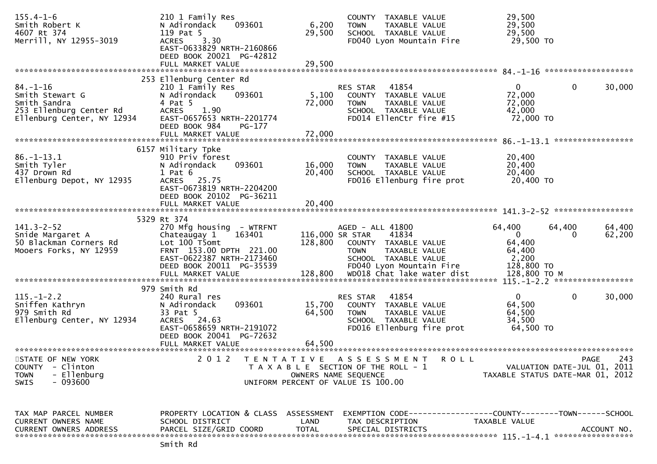| $155.4 - 1 - 6$<br>Smith Robert K<br>4607 Rt 374<br>Merrill, NY 12955-3019                                 | 210 1 Family Res<br>093601<br>N Adirondack<br>119 Pat 5<br>3.30<br><b>ACRES</b><br>EAST-0633829 NRTH-2160866<br>DEED BOOK 20021 PG-42812<br>FULL MARKET VALUE                         | 6,200<br>29,500<br>29,500                 | COUNTY TAXABLE VALUE<br><b>TOWN</b><br>TAXABLE VALUE<br>SCHOOL TAXABLE VALUE<br>FD040 Lyon Mountain Fire                              | 29,500<br>29,500<br>29,500<br>29,500 TO                                      |                  |
|------------------------------------------------------------------------------------------------------------|---------------------------------------------------------------------------------------------------------------------------------------------------------------------------------------|-------------------------------------------|---------------------------------------------------------------------------------------------------------------------------------------|------------------------------------------------------------------------------|------------------|
|                                                                                                            |                                                                                                                                                                                       |                                           |                                                                                                                                       |                                                                              |                  |
| $84. - 1 - 16$<br>Smith Stewart G<br>Smith Sandra<br>253 Ellenburg Center Rd<br>Ellenburg Center, NY 12934 | 253 Ellenburg Center Rd<br>210 1 Family Res<br>N Adirondack<br>093601<br>4 Pat 5<br>1.90<br><b>ACRES</b><br>EAST-0657653 NRTH-2201774<br>DEED BOOK 984<br>PG-177<br>FULL MARKET VALUE | 5,100<br>72,000<br>72,000                 | 41854<br><b>RES STAR</b><br>COUNTY TAXABLE VALUE<br>TAXABLE VALUE<br><b>TOWN</b><br>SCHOOL TAXABLE VALUE<br>FD014 EllenCtr fire #15   | $\mathbf{0}$<br>$\mathbf 0$<br>72,000<br>72,000<br>42,000<br>72,000 TO       | 30,000           |
|                                                                                                            |                                                                                                                                                                                       |                                           |                                                                                                                                       |                                                                              |                  |
| $86. - 1 - 13.1$<br>Smith Tyler<br>437 Drown Rd<br>Ellenburg Depot, NY 12935                               | 6157 Military Tpke<br>910 Priv forest<br>N Adirondack<br>093601<br>$1$ Pat $6$<br>ACRES 25.75<br>EAST-0673819 NRTH-2204200<br>DEED BOOK 20102 PG-36211                                | 16,000<br>20,400                          | COUNTY TAXABLE VALUE<br>TAXABLE VALUE<br><b>TOWN</b><br>SCHOOL TAXABLE VALUE<br>FD016 Ellenburg fire prot                             | 20,400<br>20,400<br>20,400<br>20,400 TO                                      |                  |
|                                                                                                            | FULL MARKET VALUE                                                                                                                                                                     | 20,400                                    |                                                                                                                                       |                                                                              |                  |
|                                                                                                            |                                                                                                                                                                                       |                                           |                                                                                                                                       | 141.3-2-52 ******************                                                |                  |
| $141.3 - 2 - 52$<br>Snide Margaret A<br>50 Blackman Corners Rd<br>Mooers Forks, NY 12959                   | 5329 Rt 374<br>270 Mfg housing - WTRFNT<br>Chateaugay 1<br>163401<br>Lot 100 T5omt<br>FRNT 153.00 DPTH 221.00<br>EAST-0622387 NRTH-2173460<br>DEED BOOK 20011 PG-35539                | 116,000 SR STAR<br>128,800                | AGED - ALL 41800<br>41834<br>COUNTY TAXABLE VALUE<br>TAXABLE VALUE<br><b>TOWN</b><br>SCHOOL TAXABLE VALUE<br>FD040 Lyon Mountain Fire | 64,400<br>64,400<br>$\Omega$<br>0<br>64,400<br>64,400<br>2,200<br>128,800 TO | 64,400<br>62,200 |
|                                                                                                            | FULL MARKET VALUE                                                                                                                                                                     | 128,800                                   | WD018 Chat lake water dist                                                                                                            | 128,800 ТО М                                                                 |                  |
|                                                                                                            | 979 Smith Rd                                                                                                                                                                          |                                           |                                                                                                                                       |                                                                              |                  |
| $115. - 1 - 2.2$<br>Sniffen Kathryn<br>979 Smith Rd<br>Ellenburg Center, NY 12934                          | 240 Rural res<br>093601<br>N Adirondack<br>33 Pat 5<br>ACRES 24.63<br>EAST-0658659 NRTH-2191072<br>DEED BOOK 20041 PG-72632<br>FULL MARKET VALUE                                      | 15,700<br>64,500<br>64,500                | 41854<br>RES STAR<br>COUNTY TAXABLE VALUE<br><b>TOWN</b><br>TAXABLE VALUE<br>SCHOOL TAXABLE VALUE<br>FD016 Ellenburg fire prot        | $\Omega$<br>0<br>64,500<br>64,500<br>34,500<br>64,500 TO                     | 30,000           |
|                                                                                                            |                                                                                                                                                                                       |                                           |                                                                                                                                       |                                                                              |                  |
| STATE OF NEW YORK<br><b>COUNTY</b><br>- Clinton<br>- Ellenburg<br><b>TOWN</b><br>- 093600<br><b>SWIS</b>   | 2 0 1 2                                                                                                                                                                               | T E N T A T I V E<br>OWNERS NAME SEQUENCE | A S S E S S M E N T<br>R O L L<br>T A X A B L E SECTION OF THE ROLL - 1<br>UNIFORM PERCENT OF VALUE IS 100.00                         | VALUATION DATE-JUL 01, 2011<br>TAXABLE STATUS DATE-MAR 01, 2012              | 243<br>PAGE      |
| TAX MAP PARCEL NUMBER<br>CURRENT OWNERS NAME<br><b>CURRENT OWNERS ADDRESS</b>                              | PROPERTY LOCATION & CLASS ASSESSMENT<br>SCHOOL DISTRICT<br>PARCEL SIZE/GRID COORD                                                                                                     | LAND<br><b>TOTAL</b>                      | EXEMPTION        CODE-----------------COUNTY-------TOWN------SCHOOL<br>TAX DESCRIPTION<br>SPECIAL DISTRICTS                           | TAXABLE VALUE                                                                | ACCOUNT NO.      |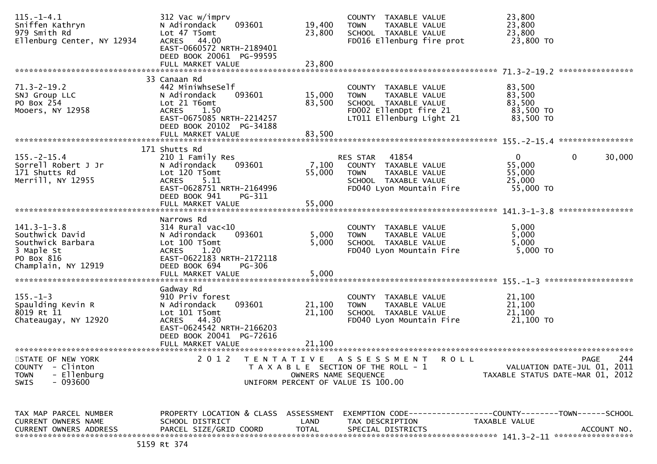| $115. - 1 - 4.1$<br>Sniffen Kathryn<br>979 Smith Rd<br>Ellenburg Center, NY 12934                            | 312 Vac w/imprv<br>093601<br>N Adirondack<br>Lot 47 T5omt<br>ACRES 44.00<br>EAST-0660572 NRTH-2189401<br>DEED BOOK 20061 PG-99595<br>FULL MARKET VALUE                                  | 19,400<br>23,800<br>23,800 | COUNTY TAXABLE VALUE<br><b>TOWN</b><br>TAXABLE VALUE<br>SCHOOL TAXABLE VALUE<br>FD016 Ellenburg fire prot                          | 23,800<br>23,800<br>23,800<br>23,800 TO                 |                                                   |
|--------------------------------------------------------------------------------------------------------------|-----------------------------------------------------------------------------------------------------------------------------------------------------------------------------------------|----------------------------|------------------------------------------------------------------------------------------------------------------------------------|---------------------------------------------------------|---------------------------------------------------|
|                                                                                                              |                                                                                                                                                                                         |                            |                                                                                                                                    |                                                         | ****************                                  |
| $71.3 - 2 - 19.2$<br>SNJ Group LLC<br>PO Box 254<br>Mooers, NY 12958                                         | 33 Canaan Rd<br>442 MiniwhseSelf<br>093601<br>N Adirondack<br>Lot 21 T6omt<br>ACRES 1.50<br>EAST-0675085 NRTH-2214257<br>DEED BOOK 20102 PG-34188                                       | 15,000<br>83,500           | COUNTY TAXABLE VALUE<br>TAXABLE VALUE<br><b>TOWN</b><br>SCHOOL TAXABLE VALUE<br>FD002 EllenDpt fire 21<br>LT011 Ellenburg Light 21 | 83,500<br>83,500<br>83,500<br>83,500 TO<br>83,500 TO    |                                                   |
|                                                                                                              | FULL MARKET VALUE                                                                                                                                                                       | 83,500                     |                                                                                                                                    |                                                         |                                                   |
| $155. - 2 - 15.4$<br>Sorrell Robert J Jr<br>171 Shutts Rd<br>Merrill, NY 12955                               | 171 Shutts Rd<br>210 1 Family Res<br>N Adirondack<br>093601<br>Lot 120 T5omt<br>5.11<br><b>ACRES</b><br>EAST-0628751 NRTH-2164996                                                       | 7,100<br>55,000            | 41854<br>RES STAR<br>COUNTY TAXABLE VALUE<br><b>TOWN</b><br>TAXABLE VALUE<br>SCHOOL TAXABLE VALUE<br>FD040 Lyon Mountain Fire      | $\mathbf{0}$<br>55,000<br>55,000<br>25,000<br>55,000 TO | $\mathbf{0}$<br>30,000                            |
|                                                                                                              | DEED BOOK 941<br>PG-311<br>FULL MARKET VALUE                                                                                                                                            | 55,000                     |                                                                                                                                    |                                                         |                                                   |
|                                                                                                              |                                                                                                                                                                                         |                            |                                                                                                                                    |                                                         | ****************                                  |
| $141.3 - 1 - 3.8$<br>Southwick David<br>Southwick Barbara<br>3 Maple St<br>PO Box 816<br>Champlain, NY 12919 | Narrows Rd<br>$314$ Rural vac<10<br>N Adirondack<br>093601<br>Lot 100 T5omt<br>1.20<br><b>ACRES</b><br>EAST-0622183 NRTH-2172118<br>DEED BOOK 694<br><b>PG-306</b><br>FULL MARKET VALUE | 5,000<br>5,000<br>5,000    | COUNTY TAXABLE VALUE<br>TAXABLE VALUE<br><b>TOWN</b><br>SCHOOL TAXABLE VALUE<br>FD040 Lyon Mountain Fire                           | 5,000<br>5,000<br>5,000<br>5,000 TO                     |                                                   |
|                                                                                                              | Gadway Rd                                                                                                                                                                               |                            |                                                                                                                                    |                                                         |                                                   |
| $155. - 1 - 3$<br>Spaulding Kevin R<br>8019 Rt 11<br>Chateaugay, NY 12920                                    | 910 Priv forest<br>093601<br>N Adirondack<br>Lot 101 T5omt<br>ACRES 44.30<br>EAST-0624542 NRTH-2166203<br>DEED BOOK 20041 PG-72616                                                      | 21,100<br>21,100           | COUNTY TAXABLE VALUE<br>TAXABLE VALUE<br><b>TOWN</b><br>SCHOOL TAXABLE VALUE<br>FD040 Lyon Mountain Fire                           | 21,100<br>21,100<br>21,100<br>21,100 TO                 |                                                   |
|                                                                                                              | FULL MARKET VALUE<br>*************************                                                                                                                                          | 21,100                     |                                                                                                                                    |                                                         |                                                   |
| STATE OF NEW YORK<br><b>COUNTY</b><br>- Clinton<br>- Ellenburg<br><b>TOWN</b><br>$-093600$<br><b>SWIS</b>    | 2 0 1 2<br>T E N T A T I V E                                                                                                                                                            | OWNERS NAME SEQUENCE       | A S S E S S M E N T<br>R O L L<br>T A X A B L E SECTION OF THE ROLL - 1<br>UNIFORM PERCENT OF VALUE IS 100.00                      | TAXABLE STATUS DATE-MAR 01, 2012                        | 244<br><b>PAGE</b><br>VALUATION DATE-JUL 01, 2011 |
| TAX MAP PARCEL NUMBER<br>CURRENT OWNERS NAME<br><b>CURRENT OWNERS ADDRESS</b>                                | PROPERTY LOCATION & CLASS ASSESSMENT<br>SCHOOL DISTRICT<br>PARCEL SIZE/GRID COORD<br>5159 Rt 374                                                                                        | LAND<br><b>TOTAL</b>       | EXEMPTION        CODE-----------------COUNTY-------TOWN------SCHOOL<br>TAX DESCRIPTION<br>SPECIAL DISTRICTS                        | TAXABLE VALUE                                           | ACCOUNT NO.                                       |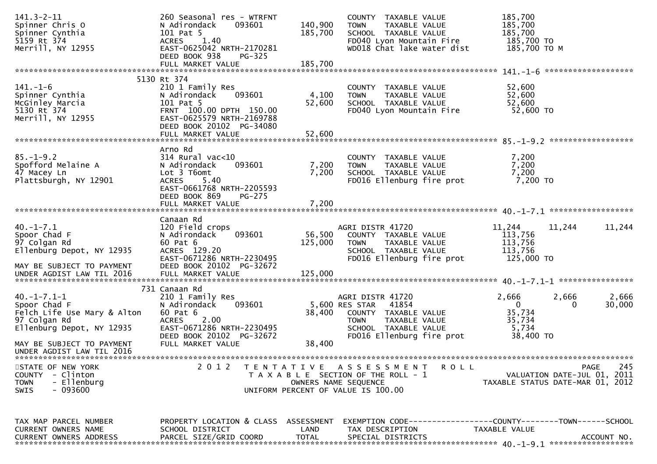| $141.3 - 2 - 11$<br>Spinner Chris O<br>Spinner Cynthia<br>5159 Rt 374<br>Merrill, NY 12955                                                                          | 260 Seasonal res - WTRFNT<br>093601<br>N Adirondack<br>101 Pat 5<br>1.40<br><b>ACRES</b><br>EAST-0625042 NRTH-2170281<br>DEED BOOK 938<br>$PG-325$                              | 140,900<br>185,700        | COUNTY TAXABLE VALUE<br>TAXABLE VALUE<br><b>TOWN</b><br>SCHOOL TAXABLE VALUE<br>FD040 Lyon Mountain Fire<br>WD018 Chat lake water dist                   | 185,700<br>185,700<br>185,700<br>185,700 TO<br>185,700 ТО М               |                                   |
|---------------------------------------------------------------------------------------------------------------------------------------------------------------------|---------------------------------------------------------------------------------------------------------------------------------------------------------------------------------|---------------------------|----------------------------------------------------------------------------------------------------------------------------------------------------------|---------------------------------------------------------------------------|-----------------------------------|
|                                                                                                                                                                     | FULL MARKET VALUE                                                                                                                                                               | 185,700                   |                                                                                                                                                          |                                                                           |                                   |
| $141. - 1 - 6$<br>Spinner Cynthia<br>McGinley Marcia<br>5130 Rt 374<br>Merrill, NY 12955                                                                            | 5130 Rt 374<br>210 1 Family Res<br>093601<br>N Adirondack<br>101 Pat 5<br>FRNT 100.00 DPTH 150.00<br>EAST-0625579 NRTH-2169788<br>DEED BOOK 20102 PG-34080<br>FULL MARKET VALUE | 4,100<br>52,600<br>52,600 | COUNTY TAXABLE VALUE<br><b>TOWN</b><br>TAXABLE VALUE<br>SCHOOL TAXABLE VALUE<br>FD040 Lyon Mountain Fire                                                 | 52,600<br>52,600<br>52,600<br>52,600 TO                                   |                                   |
| $85. - 1 - 9.2$<br>Spofford Melaine A<br>47 Macey Ln<br>Plattsburgh, NY 12901                                                                                       | Arno Rd<br>314 Rural vac<10<br>N Adirondack<br>093601<br>Lot 3 T6omt<br>5.40<br>ACRES<br>EAST-0661768 NRTH-2205593<br>DEED BOOK 869<br>PG-275<br>FULL MARKET VALUE              | 7,200<br>7,200<br>7,200   | COUNTY TAXABLE VALUE<br>TAXABLE VALUE<br><b>TOWN</b><br>SCHOOL TAXABLE VALUE<br>FD016 Ellenburg fire prot                                                | 7,200<br>7,200<br>7,200<br>7,200 TO                                       |                                   |
| $40. -1 - 7.1$<br>Spoor Chad F<br>97 Colgan Rd<br>Ellenburg Depot, NY 12935<br>MAY BE SUBJECT TO PAYMENT                                                            | Canaan Rd<br>120 Field crops<br>N Adirondack<br>093601<br>60 Pat 6<br>ACRES 129.20<br>EAST-0671286 NRTH-2230495<br>DEED BOOK 20102 PG-32672                                     | 56,500<br>125,000         | AGRI DISTR 41720<br>COUNTY TAXABLE VALUE<br><b>TOWN</b><br>TAXABLE VALUE<br>SCHOOL TAXABLE VALUE<br>FD016 Ellenburg fire prot                            | 11,244<br>11,244<br>113,756<br>113,756<br>113,756<br>125,000 TO           | 11,244                            |
| $40. -1 - 7.1 - 1$<br>Spoor Chad F<br>Felch Life Use Mary & Alton<br>97 Colgan Rd<br>Ellenburg Depot, NY 12935                                                      | 731 Canaan Rd<br>210 1 Family Res<br>N Adirondack<br>093601<br>60 Pat 6<br>2.00<br><b>ACRES</b><br>EAST-0671286 NRTH-2230495<br>DEED BOOK 20102 PG-32672<br>FULL MARKET VALUE   | 38,400<br>38,400          | AGRI DISTR 41720<br>5,600 RES STAR<br>41854<br>COUNTY TAXABLE VALUE<br>TAXABLE VALUE<br><b>TOWN</b><br>SCHOOL TAXABLE VALUE<br>FD016 Ellenburg fire prot | 2,666<br>2,666<br>$\Omega$<br>0<br>35,734<br>35,734<br>5,734<br>38,400 TO | 2,666<br>30,000                   |
| MAY BE SUBJECT TO PAYMENT<br>UNDER AGDIST LAW TIL 2016<br>STATE OF NEW YORK<br>- Clinton<br><b>COUNTY</b><br>- Ellenburg<br><b>TOWN</b><br>$-093600$<br><b>SWIS</b> | 2 0 1 2                                                                                                                                                                         | OWNERS NAME SEQUENCE      | TENTATIVE ASSESSMENT<br><b>ROLL</b><br>T A X A B L E SECTION OF THE ROLL - 1<br>UNIFORM PERCENT OF VALUE IS 100.00                                       | VALUATION DATE-JUL 01, 2011<br>TAXABLE STATUS DATE-MAR 01, 2012           | 245<br>PAGE                       |
| TAX MAP PARCEL NUMBER<br>CURRENT OWNERS NAME<br><b>CURRENT OWNERS ADDRESS</b>                                                                                       | PROPERTY LOCATION & CLASS ASSESSMENT<br>SCHOOL DISTRICT<br>PARCEL SIZE/GRID COORD                                                                                               | LAND<br><b>TOTAL</b>      | EXEMPTION CODE-----------------COUNTY-------TOWN------SCHOOL<br>TAX DESCRIPTION<br>SPECIAL DISTRICTS                                                     | TAXABLE VALUE                                                             | ACCOUNT NO.<br>****************** |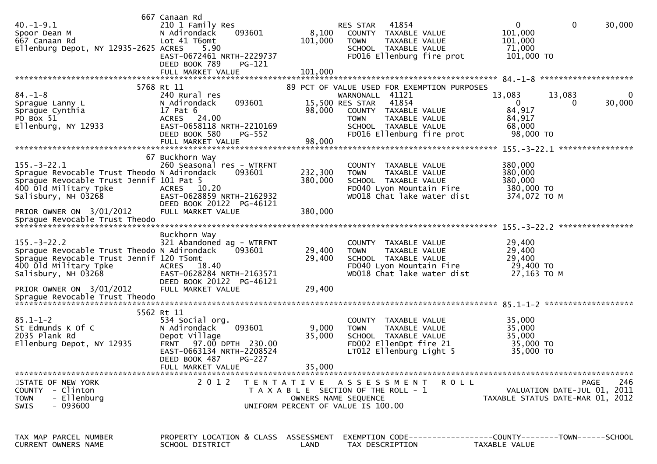| $40. -1 - 9.1$<br>Spoor Dean M<br>667 Canaan Rd<br>Ellenburg Depot, NY 12935-2625 ACRES                                                                      | 667 Canaan Rd<br>210 1 Family Res<br>093601<br>N Adirondack<br>Lot 41 T6omt<br>5.90<br>EAST-0672461 NRTH-2229737                                                             | 8,100<br>101,000          | 41854<br>RES STAR<br>COUNTY TAXABLE VALUE<br><b>TOWN</b><br>TAXABLE VALUE<br>SCHOOL TAXABLE VALUE<br>FD016 Ellenburg fire prot                                             | $\mathbf{0}$<br>$\mathbf{0}$<br>30,000<br>101,000<br>101,000<br>71,000<br>101,000 TO      |
|--------------------------------------------------------------------------------------------------------------------------------------------------------------|------------------------------------------------------------------------------------------------------------------------------------------------------------------------------|---------------------------|----------------------------------------------------------------------------------------------------------------------------------------------------------------------------|-------------------------------------------------------------------------------------------|
|                                                                                                                                                              | DEED BOOK 789<br><b>PG-121</b><br>FULL MARKET VALUE                                                                                                                          | 101,000                   |                                                                                                                                                                            |                                                                                           |
| $84. - 1 - 8$<br>Sprague Lanny L<br>Sprague Cynthia<br>PO Box 51<br>Ellenburg, NY 12933                                                                      | 5768 Rt 11<br>240 Rural res<br>093601<br>N Adirondack<br>17 Pat 6<br>ACRES 24.00<br>EAST-0658118 NRTH-2210169                                                                | 98,000                    | 89 PCT OF VALUE USED FOR EXEMPTION PURPOSES<br>WARNONALL 41121<br>41854<br>15,500 RES STAR<br>COUNTY TAXABLE VALUE<br><b>TOWN</b><br>TAXABLE VALUE<br>SCHOOL TAXABLE VALUE | 13,083<br>13,083<br>0<br>30,000<br>$\mathbf{0}$<br>$\bf{0}$<br>84,917<br>84,917<br>68,000 |
|                                                                                                                                                              | DEED BOOK 580<br><b>PG-552</b><br>FULL MARKET VALUE                                                                                                                          | 98,000                    | FD016 Ellenburg fire prot                                                                                                                                                  | 98,000 TO                                                                                 |
| $155. - 3 - 22.1$<br>Sprague Revocable Trust Theodo N Adirondack<br>Sprague Revocable Trust Jennif 101 Pat 5<br>400 Old Military Tpke<br>Salisbury, NH 03268 | 67 Buckhorn Way<br>260 Seasonal res - WTRFNT<br>093601<br>ACRES 10.20<br>EAST-0628859 NRTH-2162932                                                                           | 232,300<br>380,000        | COUNTY<br>TAXABLE VALUE<br><b>TOWN</b><br>TAXABLE VALUE<br>SCHOOL TAXABLE VALUE<br>FD040 Lyon Mountain Fire<br>WD018 Chat lake water dist                                  | 380,000<br>380,000<br>380,000<br>380,000 TO<br>374,072 TO M                               |
| PRIOR OWNER ON 3/01/2012                                                                                                                                     | DEED BOOK 20122 PG-46121<br>FULL MARKET VALUE                                                                                                                                | 380,000                   |                                                                                                                                                                            |                                                                                           |
| $155. - 3 - 22.2$<br>Sprague Revocable Trust Theodo N Adirondack<br>Sprague Revocable Trust Jennif 120 T5omt<br>400 old Military Tpke<br>Salisbury, NH 03268 | Buckhorn Way<br>321 Abandoned ag - WTRFNT<br>093601<br>ACRES 18.40<br>EAST-0628284 NRTH-2163571                                                                              | 29,400<br>29,400          | COUNTY TAXABLE VALUE<br><b>TOWN</b><br>TAXABLE VALUE<br>SCHOOL TAXABLE VALUE<br>FD040 Lyon Mountain Fire<br>WD018 Chat lake water dist                                     | 29,400<br>29,400<br>29,400<br>29,400 TO<br>27,163 TO M                                    |
| PRIOR OWNER ON 3/01/2012<br>Sprague Revocable Trust Theodo                                                                                                   | DEED BOOK 20122 PG-46121<br>FULL MARKET VALUE                                                                                                                                | 29,400                    |                                                                                                                                                                            |                                                                                           |
| $85.1 - 1 - 2$<br>St Edmunds K Of C<br>2035 Plank Rd<br>Ellenburg Depot, NY 12935                                                                            | 5562 Rt 11<br>534 Social org.<br>093601<br>N Adirondack<br>Depot Village<br>FRNT 97.00 DPTH 230.00<br>EAST-0663134 NRTH-2208524<br>DEED BOOK 487 PG-227<br>FULL MARKET VALUE | 9,000<br>35,000<br>35,000 | <b>COUNTY</b><br>TAXABLE VALUE<br><b>TOWN</b><br>TAXABLE VALUE<br>SCHOOL TAXABLE VALUE<br>FD002 EllenDpt fire 21<br>LT012 Ellenburg Light 5                                | 35,000<br>35,000<br>35,000<br>35,000 TO<br>35,000 TO                                      |
| STATE OF NEW YORK<br>COUNTY<br>- Clinton<br>- Ellenburg<br><b>TOWN</b><br>- 093600<br><b>SWIS</b>                                                            | 2 0 1 2                                                                                                                                                                      |                           | TENTATIVE ASSESSMENT<br>R O L L<br>T A X A B L E SECTION OF THE ROLL - 1<br>OWNERS NAME SEQUENCE<br>UNIFORM PERCENT OF VALUE IS 100.00                                     | 246<br><b>PAGE</b><br>VALUATION DATE-JUL 01, 2011<br>TAXABLE STATUS DATE-MAR 01, 2012     |
| TAX MAP PARCEL NUMBER<br><b>CURRENT OWNERS NAME</b>                                                                                                          | PROPERTY LOCATION & CLASS ASSESSMENT<br>SCHOOL DISTRICT                                                                                                                      | LAND                      | TAX DESCRIPTION                                                                                                                                                            | EXEMPTION        CODE-----------------COUNTY-------TOWN------SCHOOL<br>TAXABLE VALUE      |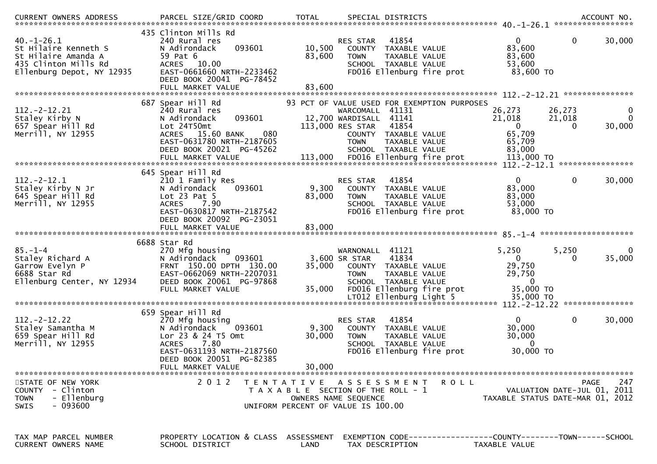| $40. -1 - 26.1$<br>St Hilaire Kenneth S<br>St Hilaire Amanda A<br>435 Clinton Mills Rd<br>Ellenburg Depot, NY 12935 | 435 Clinton Mills Rd<br>240 Rural res<br>093601<br>N Adirondack<br>59 Pat 6<br>ACRES 10.00<br>EAST-0661660 NRTH-2233462<br>DEED BOOK 20041 PG-78452<br>FULL MARKET VALUE                   | 10,500<br>83,600<br>83,600 | 41854<br><b>RES STAR</b><br>COUNTY TAXABLE VALUE<br><b>TOWN</b><br>TAXABLE VALUE<br>SCHOOL TAXABLE VALUE<br>FD016 Ellenburg fire prot                  | $\mathbf{0}$<br>83,600<br>83,600<br>53,600<br>83,600 TO                  | $\mathbf 0$<br>30,000                                                          |
|---------------------------------------------------------------------------------------------------------------------|--------------------------------------------------------------------------------------------------------------------------------------------------------------------------------------------|----------------------------|--------------------------------------------------------------------------------------------------------------------------------------------------------|--------------------------------------------------------------------------|--------------------------------------------------------------------------------|
|                                                                                                                     | 687 Spear Hill Rd                                                                                                                                                                          |                            | 93 PCT OF VALUE USED FOR EXEMPTION PURPOSES                                                                                                            |                                                                          |                                                                                |
| $112. -2 - 12.21$<br>Staley Kirby N<br>657 Spear Hill Rd<br>Merrill, NY 12955                                       | 240 Rural res<br>093601<br>N Adirondack<br>Lot 24T50mt<br>080<br>ACRES 15.60 BANK<br>EAST-0631780 NRTH-2187605<br>DEED BOOK 20021 PG-45262                                                 |                            | WARCOMALL 41131<br>12,700 WARDISALL 41141<br>41854<br>113,000 RES STAR<br>COUNTY TAXABLE VALUE<br>TAXABLE VALUE<br><b>TOWN</b><br>SCHOOL TAXABLE VALUE | 26,273<br>21,018<br>$\mathbf{0}$<br>65,709<br>65,709<br>83,000           | 26,273<br>$\overline{0}$<br>21,018<br>0<br>30,000<br>$\Omega$                  |
|                                                                                                                     |                                                                                                                                                                                            |                            |                                                                                                                                                        |                                                                          |                                                                                |
| $112 - 2 - 12.1$<br>Staley Kirby N Jr<br>645 Spear Hill Rd<br>Merrill, NY 12955                                     | 645 Spear Hill Rd<br>210 1 Family Res<br>093601<br>N Adirondack<br>Lot $23$ Pat $5$<br>7.90<br><b>ACRES</b><br>EAST-0630817 NRTH-2187542<br>DEED BOOK 20092 PG-23051                       | 9,300<br>83,000            | 41854<br><b>RES STAR</b><br>COUNTY<br>TAXABLE VALUE<br><b>TOWN</b><br>TAXABLE VALUE<br>SCHOOL TAXABLE VALUE<br>FD016 Ellenburg fire prot               | $\mathbf{0}$<br>83,000<br>83,000<br>53,000<br>83,000 TO                  | $\mathbf 0$<br>30,000                                                          |
|                                                                                                                     | FULL MARKET VALUE                                                                                                                                                                          | 83,000                     |                                                                                                                                                        |                                                                          |                                                                                |
|                                                                                                                     | 6688 Star Rd                                                                                                                                                                               |                            |                                                                                                                                                        |                                                                          |                                                                                |
| $85. - 1 - 4$<br>Staley Richard A<br>Garrow Evelyn P<br>6688 Star Rd<br>Ellenburg Center, NY 12934                  | 270 Mfg housing<br>N Adirondack<br>093601<br>FRNT 150.00 DPTH 130.00<br>EAST-0662069 NRTH-2207031<br>DEED BOOK 20061 PG-97868<br>FULL MARKET VALUE                                         | 35,000<br>35,000           | WARNONALL 41121<br>41834<br>3,600 SR STAR<br>COUNTY TAXABLE VALUE<br><b>TOWN</b><br>TAXABLE VALUE<br>SCHOOL TAXABLE VALUE<br>FD016 Ellenburg fire prot | 5,250<br>$\mathbf{0}$<br>29,750<br>29,750<br>$\overline{0}$<br>35,000 TO | 5,250<br>$\bf{0}$<br>35,000<br>0                                               |
|                                                                                                                     |                                                                                                                                                                                            |                            |                                                                                                                                                        |                                                                          |                                                                                |
| $112. - 2 - 12.22$<br>Staley Samantha M<br>659 Spear Hill Rd<br>Merrill, NY 12955                                   | 659 Spear Hill Rd<br>270 Mfg housing<br>093601<br>N Adirondack<br>Lor 23 & 24 T5 Omt<br>7.80<br><b>ACRES</b><br>EAST-0631193 NRTH-2187560<br>DEED BOOK 20051 PG-82385<br>FULL MARKET VALUE | 9,300<br>30,000<br>30,000  | 41854<br><b>RES STAR</b><br>COUNTY<br>TAXABLE VALUE<br><b>TOWN</b><br>TAXABLE VALUE<br>SCHOOL TAXABLE VALUE<br>FD016 Ellenburg fire prot               | $\mathbf{0}$<br>30,000<br>30,000<br>$\Omega$<br>30,000 TO                | $\mathbf 0$<br>30,000                                                          |
|                                                                                                                     |                                                                                                                                                                                            |                            |                                                                                                                                                        |                                                                          |                                                                                |
| STATE OF NEW YORK<br>COUNTY - Clinton<br>- Ellenburg<br><b>TOWN</b><br>$-093600$<br><b>SWIS</b>                     | 2 0 1 2                                                                                                                                                                                    |                            | TENTATIVE ASSESSMENT<br>T A X A B L E SECTION OF THE ROLL - 1<br>OWNERS NAME SEQUENCE<br>UNIFORM PERCENT OF VALUE IS 100.00                            | R O L L                                                                  | 247<br>PAGE<br>VALUATION DATE-JUL 01, 2011<br>TAXABLE STATUS DATE-MAR 01, 2012 |
| TAX MAP PARCEL NUMBER<br>CURRENT OWNERS NAME                                                                        | PROPERTY LOCATION & CLASS ASSESSMENT<br>SCHOOL DISTRICT                                                                                                                                    | LAND                       | TAX DESCRIPTION                                                                                                                                        | TAXABLE VALUE                                                            |                                                                                |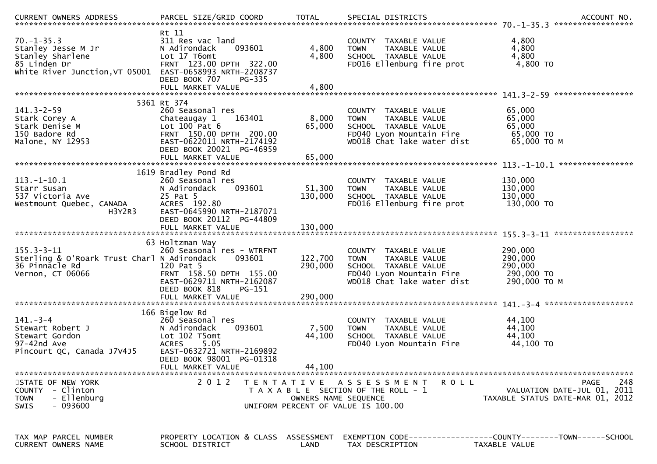| $70. - 1 - 35.3$<br>Stanley Jesse M Jr<br>Stanley Sharlene<br>85 Linden Dr<br>White River Junction, VT 05001 EAST-0658993 NRTH-2208737 | Rt 11<br>311 Res vac land<br>093601<br>N Adirondack<br>Lot 17 T6omt<br>FRNT 123.00 DPTH 322.00<br>DEED BOOK 707<br>PG-335                                                           | 4,800<br>4,800                | COUNTY TAXABLE VALUE<br>TAXABLE VALUE<br><b>TOWN</b><br>SCHOOL TAXABLE VALUE<br>FD016 Ellenburg fire prot                              | 4,800<br>4,800<br>4,800<br>4,800 TO                                             |
|----------------------------------------------------------------------------------------------------------------------------------------|-------------------------------------------------------------------------------------------------------------------------------------------------------------------------------------|-------------------------------|----------------------------------------------------------------------------------------------------------------------------------------|---------------------------------------------------------------------------------|
|                                                                                                                                        |                                                                                                                                                                                     |                               |                                                                                                                                        |                                                                                 |
| $141.3 - 2 - 59$<br>Stark Corey A<br>Stark Denise M<br>150 Badore Rd<br>Malone, NY 12953                                               | 5361 Rt 374<br>260 Seasonal res<br>Chateaugay 1<br>163401<br>Lot $100$ Pat $6$<br>FRNT 150.00 DPTH 200.00<br>EAST-0622011 NRTH-2174192<br>DEED BOOK 20021 PG-46959                  | 8,000<br>65,000               | COUNTY TAXABLE VALUE<br><b>TOWN</b><br>TAXABLE VALUE<br>SCHOOL TAXABLE VALUE<br>FD040 Lyon Mountain Fire<br>WD018 Chat lake water dist | 65,000<br>65,000<br>65,000<br>65,000 TO<br>65,000 ТО М                          |
|                                                                                                                                        | FULL MARKET VALUE                                                                                                                                                                   | 65,000                        |                                                                                                                                        |                                                                                 |
| $113.-1-10.1$<br>Starr Susan<br>537 Victoria Ave<br>Westmount Quebec, CANADA<br>H3Y2R3                                                 | 1619 Bradley Pond Rd<br>260 Seasonal res<br>093601<br>N Adirondack<br>25 Pat 5<br>ACRES 192.80<br>EAST-0645990 NRTH-2187071<br>DEED BOOK 20112 PG-44809<br>FULL MARKET VALUE        | 51,300<br>130,000<br>130,000  | COUNTY TAXABLE VALUE<br>TAXABLE VALUE<br><b>TOWN</b><br>SCHOOL TAXABLE VALUE<br>FD016 Ellenburg fire prot                              | 130,000<br>130,000<br>130,000<br>130,000 TO                                     |
| $155.3 - 3 - 11$<br>Sterling & O'Roark Trust Charl N Adirondack<br>36 Pinnacle Rd<br>Vernon, CT 06066                                  | 63 Holtzman Way<br>260 Seasonal res - WTRFNT<br>093601<br>120 Pat 5<br>FRNT 158.50 DPTH 155.00<br>EAST-0629711 NRTH-2162087<br>DEED BOOK 818<br>$PG-151$<br>FULL MARKET VALUE       | 122,700<br>290,000<br>290,000 | COUNTY TAXABLE VALUE<br>TAXABLE VALUE<br><b>TOWN</b><br>SCHOOL TAXABLE VALUE<br>FD040 Lyon Mountain Fire<br>WD018 Chat lake water dist | 290,000<br>290,000<br>290,000<br>290,000 TO<br>290,000 ТО М                     |
| $141. - 3 - 4$<br>Stewart Robert J<br>Stewart Gordon<br>97-42nd Ave<br>Pincourt QC, Canada J7V4J5                                      | 166 Bigelow Rd<br>260 Seasonal res<br>093601<br>N Adirondack<br>Lot 102 T5omt<br>5.05<br><b>ACRES</b><br>EAST-0632721 NRTH-2169892<br>DEED BOOK 98001 PG-01318<br>FULL MARKET VALUE | 7,500<br>44,100<br>44,100     | COUNTY TAXABLE VALUE<br><b>TOWN</b><br>TAXABLE VALUE<br>SCHOOL TAXABLE VALUE<br>FD040 Lyon Mountain Fire                               | 44,100<br>44,100<br>44,100<br>44,100 TO                                         |
| STATE OF NEW YORK<br>- Clinton<br><b>COUNTY</b><br>- Ellenburg<br><b>TOWN</b><br>$-093600$<br><b>SWIS</b>                              | 2 0 1 2                                                                                                                                                                             | OWNERS NAME SEQUENCE          | TENTATIVE ASSESSMENT<br>R O L L<br>T A X A B L E SECTION OF THE ROLL - 1<br>UNIFORM PERCENT OF VALUE IS 100.00                         | 248<br>PAGE<br>VALUATION DATE-JUL 01, 2011<br>TAXABLE STATUS DATE-MAR 01, 2012  |
| TAX MAP PARCEL NUMBER<br>CURRENT OWNERS NAME                                                                                           | PROPERTY LOCATION & CLASS ASSESSMENT<br>SCHOOL DISTRICT                                                                                                                             | LAND                          | TAX DESCRIPTION                                                                                                                        | EXEMPTION CODE------------------COUNTY--------TOWN------SCHOOL<br>TAXABLE VALUE |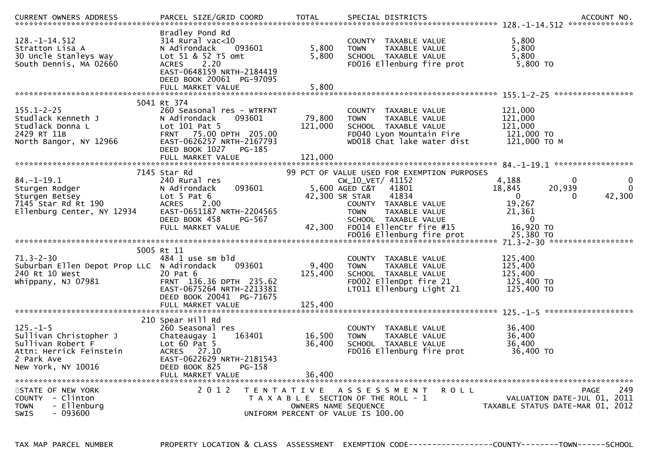| <b>CURRENT OWNERS ADDRESS</b>                                                                                                | PARCEL SIZE/GRID COORD                                                                                                                                                                           | <b>TOTAL</b>                 | SPECIAL DISTRICTS                                                                                                                                                                                     |                                                                   | ACCOUNT NO.                                                                           |
|------------------------------------------------------------------------------------------------------------------------------|--------------------------------------------------------------------------------------------------------------------------------------------------------------------------------------------------|------------------------------|-------------------------------------------------------------------------------------------------------------------------------------------------------------------------------------------------------|-------------------------------------------------------------------|---------------------------------------------------------------------------------------|
| $128. - 1 - 14.512$<br>Stratton Lisa A<br>30 Uncle Stanleys Way<br>South Dennis, MA 02660                                    | Bradley Pond Rd<br>314 Rural vac<10<br>N Adirondack<br>093601<br>Lot 51 & 52 T5 omt<br>2.20<br><b>ACRES</b><br>EAST-0648159 NRTH-2184419<br>DEED BOOK 20061 PG-97095<br>FULL MARKET VALUE        | 5,800<br>5,800<br>5,800      | COUNTY TAXABLE VALUE<br>TAXABLE VALUE<br><b>TOWN</b><br>SCHOOL TAXABLE VALUE<br>FD016 Ellenburg fire prot                                                                                             | 5.800<br>5,800<br>5,800<br>5,800 TO                               |                                                                                       |
|                                                                                                                              |                                                                                                                                                                                                  |                              |                                                                                                                                                                                                       |                                                                   |                                                                                       |
| $155.1 - 2 - 25$<br>Studlack Kenneth J<br>Studlack Donna L<br>2429 RT 11B<br>North Bangor, NY 12966                          | 5041 Rt 374<br>260 Seasonal res - WTRFNT<br>093601<br>N Adirondack<br>Lot $101$ Pat 5<br>75.00 DPTH 205.00<br>FRNT<br>EAST-0626257 NRTH-2167793<br>DEED BOOK 1027<br>PG-185<br>FULL MARKET VALUE | 79,800<br>121,000<br>121,000 | COUNTY TAXABLE VALUE<br><b>TOWN</b><br>TAXABLE VALUE<br>SCHOOL TAXABLE VALUE<br>FD040 Lyon Mountain Fire<br>WD018 Chat lake water dist                                                                | 121,000<br>121,000<br>121,000<br>$121,000$ TO<br>121,000 ТО М     |                                                                                       |
|                                                                                                                              |                                                                                                                                                                                                  |                              |                                                                                                                                                                                                       |                                                                   |                                                                                       |
| $84. - 1 - 19.1$<br>Sturgen Rodger<br>Sturgen Betsey<br>7145 Star Rd Rt 190<br>Ellenburg Center, NY 12934                    | 7145 Star Rd<br>240 Rural res<br>093601<br>N Adirondack<br>Lot $5$ Pat $6$<br><b>ACRES</b><br>2.00<br>EAST-0651187 NRTH-2204565<br>DEED BOOK 458<br>PG-567                                       |                              | 99 PCT OF VALUE USED FOR EXEMPTION PURPOSES<br>CW_10_VET/ 41152<br>5,600 AGED C&T<br>41801<br>41834<br>42,300 SR STAR<br>COUNTY TAXABLE VALUE<br>TAXABLE VALUE<br><b>TOWN</b><br>SCHOOL TAXABLE VALUE | 4,188<br>18,845<br>$\overline{0}$<br>19,267<br>21,361<br>$\Omega$ | $\mathbf{0}$<br>0<br>20,939<br>$\Omega$<br>42,300<br>0                                |
|                                                                                                                              | FULL MARKET VALUE                                                                                                                                                                                | 42,300                       | FD014 EllenCtr fire #15<br>FD016 Ellenburg fire prot                                                                                                                                                  | 16,920 TO<br>25,380 TO                                            |                                                                                       |
|                                                                                                                              |                                                                                                                                                                                                  |                              |                                                                                                                                                                                                       |                                                                   |                                                                                       |
| $71.3 - 2 - 30$<br>Suburban Ellen Depot Prop LLC N Adirondack<br>240 Rt 10 West<br>Whippany, NJ 07981                        | 5005 Rt 11<br>484 1 use sm bld<br>093601<br>20 Pat 6<br>FRNT 136.36 DPTH 235.62<br>EAST-0675264 NRTH-2213381<br>DEED BOOK 20041 PG-71675<br>FULL MARKET VALUE                                    | 9,400<br>125,400<br>125,400  | COUNTY TAXABLE VALUE<br>TAXABLE VALUE<br><b>TOWN</b><br>SCHOOL TAXABLE VALUE<br>FD002 EllenDpt fire 21<br>LT011 Ellenburg Light 21                                                                    | 125,400<br>125,400<br>125,400<br>125,400 TO<br>125,400 TO         |                                                                                       |
|                                                                                                                              |                                                                                                                                                                                                  |                              |                                                                                                                                                                                                       |                                                                   |                                                                                       |
| $125. - 1 - 5$<br>Sullivan Christopher J<br>Sullivan Robert F<br>Attn: Herrick Feinstein<br>2 Park Ave<br>New York, NY 10016 | 210 Spear Hill Rd<br>260 Seasonal res<br>Chateaugay 1<br>163401<br>Lot $60$ Pat $5$<br>ACRES 27.10<br>EAST-0622629 NRTH-2181543<br>DEED BOOK 825<br>PG-158                                       | 16,500<br>36,400             | COUNTY<br>TAXABLE VALUE<br><b>TOWN</b><br>TAXABLE VALUE<br>SCHOOL TAXABLE VALUE<br>FD016 Ellenburg fire prot                                                                                          | 36,400<br>36,400<br>36,400<br>36,400 TO                           |                                                                                       |
|                                                                                                                              | FULL MARKET VALUE                                                                                                                                                                                | 36.400                       |                                                                                                                                                                                                       |                                                                   |                                                                                       |
| STATE OF NEW YORK<br>COUNTY - Clinton<br><b>TOWN</b><br>- Ellenburg<br><b>SWIS</b><br>- 093600                               | 2 0 1 2                                                                                                                                                                                          | T E N T A T I V E            | A S S E S S M E N T<br>T A X A B L E SECTION OF THE ROLL - 1<br>OWNERS NAME SEQUENCE<br>UNIFORM PERCENT OF VALUE IS 100.00                                                                            | ROLL                                                              | 249<br><b>PAGE</b><br>VALUATION DATE-JUL 01, 2011<br>TAXABLE STATUS DATE-MAR 01, 2012 |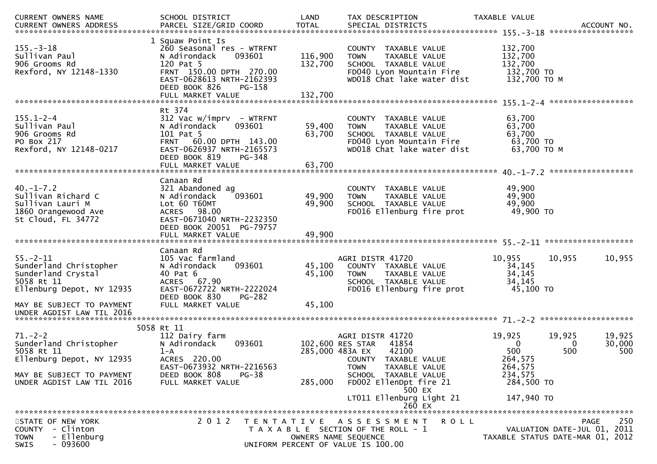| CURRENT OWNERS NAME                                                                                       | SCHOOL DISTRICT                                                                                                                                                          | LAND                       | TAX DESCRIPTION                                                                                                                        | TAXABLE VALUE                                                   |                              |
|-----------------------------------------------------------------------------------------------------------|--------------------------------------------------------------------------------------------------------------------------------------------------------------------------|----------------------------|----------------------------------------------------------------------------------------------------------------------------------------|-----------------------------------------------------------------|------------------------------|
| $155. - 3 - 18$<br>Sullivan Paul<br>906 Grooms Rd<br>Rexford, NY 12148-1330                               | 1 Squaw Point Is<br>260 Seasonal res - WTRFNT<br>093601<br>N Adirondack<br>120 Pat 5<br>FRNT 150.00 DPTH 270.00<br>EAST-0628613 NRTH-2162393<br>DEED BOOK 826<br>PG-158  | 116,900<br>132,700         | COUNTY TAXABLE VALUE<br>TAXABLE VALUE<br><b>TOWN</b><br>SCHOOL TAXABLE VALUE<br>FD040 Lyon Mountain Fire<br>WD018 Chat lake water dist | 132,700<br>132,700<br>132,700<br>132,700 TO<br>132,700 то м     |                              |
|                                                                                                           | Rt 374                                                                                                                                                                   |                            |                                                                                                                                        |                                                                 |                              |
| $155.1 - 2 - 4$<br>Sullivan Paul<br>906 Grooms Rd<br>PO Box 217<br>Rexford, NY 12148-0217                 | $312$ Vac w/imprv - WTRFNT<br>N Adirondack<br>093601<br>101 Pat 5<br>FRNT 60.00 DPTH 143.00<br>EAST-0626937 NRTH-2165573<br>DEED BOOK 819<br>PG-348<br>FULL MARKET VALUE | 59,400<br>63,700<br>63,700 | COUNTY TAXABLE VALUE<br>TOWN<br>TAXABLE VALUE<br>SCHOOL TAXABLE VALUE<br>FD040 Lyon Mountain Fire<br>WD018 Chat lake water dist        | 63,700<br>63,700<br>63,700<br>63,700 TO<br>63,700 ТО М          |                              |
|                                                                                                           |                                                                                                                                                                          |                            |                                                                                                                                        |                                                                 |                              |
| $40. -1 - 7.2$<br>Sullivan Richard C<br>Sullivan Lauri M<br>1860 Orangewood Ave<br>St Cloud, FL 34772     | Canaan Rd<br>321 Abandoned ag<br>093601<br>N Adirondack<br>Lot 60 T60MT<br>ACRES 98.00<br>EAST-0671040 NRTH-2232350<br>DEED BOOK 20051 PG-79757                          | 49,900<br>49,900           | COUNTY TAXABLE VALUE<br><b>TOWN</b><br>TAXABLE VALUE<br>SCHOOL TAXABLE VALUE<br>FD016 Ellenburg fire prot                              | 49,900<br>49,900<br>49,900<br>49,900 TO                         |                              |
|                                                                                                           | Canaan Rd                                                                                                                                                                |                            |                                                                                                                                        |                                                                 |                              |
| $55. - 2 - 11$<br>Sunderland Christopher<br>Sunderland Crystal<br>5058 Rt 11<br>Ellenburg Depot, NY 12935 | 105 Vac farmland<br>093601<br>N Adirondack<br>40 Pat 6<br>ACRES 67.90<br>EAST-0672722 NRTH-2222024<br>DEED BOOK 830<br><b>PG-282</b>                                     | 45,100<br>45,100           | AGRI DISTR 41720<br>COUNTY TAXABLE VALUE<br><b>TOWN</b><br>TAXABLE VALUE<br>SCHOOL TAXABLE VALUE<br>FD016 Ellenburg fire prot          | 10,955<br>10,955<br>34,145<br>34,145<br>34,145<br>45,100 TO     | 10,955                       |
| MAY BE SUBJECT TO PAYMENT<br>UNDER AGDIST LAW TIL 2016                                                    | FULL MARKET VALUE                                                                                                                                                        | 45,100                     |                                                                                                                                        |                                                                 |                              |
|                                                                                                           | 5058 Rt 11                                                                                                                                                               |                            |                                                                                                                                        |                                                                 |                              |
| $71. - 2 - 2$<br>Sunderland Christopher<br>5058 Rt 11<br>Ellenburg Depot, NY 12935                        | 112 Dairy farm<br>N Adirondack<br>093601<br>$1 - A$<br>ACRES 220.00                                                                                                      | 285,000 483A EX            | AGRI DISTR 41720<br>102,600 RES STAR<br>41854<br>42100<br>COUNTY TAXABLE VALUE                                                         | 19,925<br>19,925<br>$\bf{0}$<br>500<br>500<br>264,575           | 19,925<br>30,000<br>0<br>500 |
| MAY BE SUBJECT TO PAYMENT<br>UNDER AGDIST LAW TIL 2016                                                    | EAST-0673932 NRTH-2216563<br>DEED BOOK 808<br>$PG-38$<br>FULL MARKET VALUE                                                                                               | 285,000                    | TAXABLE VALUE<br><b>TOWN</b><br>SCHOOL TAXABLE VALUE<br>FD002 EllenDpt fire 21<br>500 EX<br>LT011 Ellenburg Light 21                   | 264,575<br>234,575<br>284,500 TO<br>147,940 TO                  |                              |
|                                                                                                           |                                                                                                                                                                          |                            | 260 EX                                                                                                                                 |                                                                 |                              |
| STATE OF NEW YORK<br>- Clinton<br>COUNTY<br>- Ellenburg<br><b>TOWN</b><br>SWIS<br>$-093600$               | 2 0 1 2                                                                                                                                                                  | OWNERS NAME SEQUENCE       | TENTATIVE ASSESSMENT<br>ROLL<br>T A X A B L E SECTION OF THE ROLL - 1<br>UNIFORM PERCENT OF VALUE IS 100.00                            | VALUATION DATE-JUL 01, 2011<br>TAXABLE STATUS DATE-MAR 01, 2012 | 250<br><b>PAGE</b>           |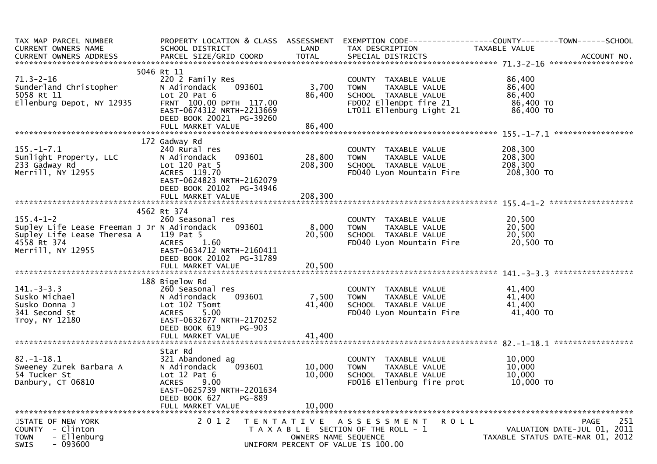| TAX MAP PARCEL NUMBER<br>CURRENT OWNERS NAME<br>CURRENT OWNERS ADDRESS                                                            | PROPERTY LOCATION & CLASS ASSESSMENT<br>SCHOOL DISTRICT                                                                                                                            | LAND                                      | TAX DESCRIPTION                                                                                                                    | EXEMPTION CODE-----------------COUNTY--------TOWN------SCHOOL<br>TAXABLE VALUE |
|-----------------------------------------------------------------------------------------------------------------------------------|------------------------------------------------------------------------------------------------------------------------------------------------------------------------------------|-------------------------------------------|------------------------------------------------------------------------------------------------------------------------------------|--------------------------------------------------------------------------------|
|                                                                                                                                   |                                                                                                                                                                                    |                                           |                                                                                                                                    |                                                                                |
| $71.3 - 2 - 16$<br>Sunderland Christopher<br>5058 Rt 11<br>Ellenburg Depot, NY 12935                                              | 5046 Rt 11<br>220 2 Family Res<br>093601<br>N Adirondack<br>Lot $20$ Pat $6$<br>FRNT 100.00 DPTH 117.00<br>EAST-0674312 NRTH-2213669<br>DEED BOOK 20021 PG-39260                   | 3,700<br>86,400                           | COUNTY TAXABLE VALUE<br>TAXABLE VALUE<br><b>TOWN</b><br>SCHOOL TAXABLE VALUE<br>FD002 EllenDpt fire 21<br>LT011 Ellenburg Light 21 | 86,400<br>86,400<br>86,400<br>86,400 TO<br>86,400 TO                           |
|                                                                                                                                   |                                                                                                                                                                                    |                                           |                                                                                                                                    |                                                                                |
|                                                                                                                                   |                                                                                                                                                                                    |                                           |                                                                                                                                    |                                                                                |
| $155. - 1 - 7.1$<br>Sunlight Property, LLC<br>233 Gadway Rd<br>Merrill, NY 12955                                                  | 172 Gadway Rd<br>240 Rural res<br>093601<br>N Adirondack<br>Lot $120$ Pat 5<br>ACRES 119.70<br>EAST-0624823 NRTH-2162079<br>DEED BOOK 20102 PG-34946                               | 28,800<br>208,300                         | COUNTY TAXABLE VALUE<br><b>TOWN</b><br>TAXABLE VALUE<br>SCHOOL TAXABLE VALUE<br>FD040 Lyon Mountain Fire                           | 208,300<br>208,300<br>208,300<br>208,300 то                                    |
|                                                                                                                                   |                                                                                                                                                                                    |                                           |                                                                                                                                    |                                                                                |
| $155.4 - 1 - 2$<br>Supley Life Lease Freeman J Jr N Adirondack<br>Supley Life Lease Theresa A<br>4558 Rt 374<br>Merrill, NY 12955 | 4562 Rt 374<br>260 Seasonal res<br>093601<br>119 Pat 5<br>1.60<br><b>ACRES</b><br>EAST-0634712 NRTH-2160411<br>DEED BOOK 20102 PG-31789                                            | 8,000<br>20,500                           | COUNTY TAXABLE VALUE<br>TAXABLE VALUE<br><b>TOWN</b><br>SCHOOL TAXABLE VALUE<br>FD040 Lyon Mountain Fire                           | 20,500<br>20,500<br>20,500<br>20,500 TO                                        |
|                                                                                                                                   |                                                                                                                                                                                    |                                           |                                                                                                                                    |                                                                                |
| $141 - 3 - 3.3$<br>Susko Michael<br>Susko Donna J<br>341 Second St<br>Troy, NY 12180                                              | 188 Bigelow Rd<br>260 Seasonal res<br>093601<br>N Adirondack<br>Lot 102 T5omt<br>5.00<br><b>ACRES</b><br>EAST-0632677 NRTH-2170252<br>DEED BOOK 619<br>PG-903<br>FULL MARKET VALUE | 7,500<br>41,400<br>41,400                 | COUNTY TAXABLE VALUE<br><b>TOWN</b><br>TAXABLE VALUE<br>SCHOOL TAXABLE VALUE<br>FD040 Lyon Mountain Fire                           | 41,400<br>41,400<br>41,400<br>41,400 TO                                        |
|                                                                                                                                   |                                                                                                                                                                                    |                                           |                                                                                                                                    |                                                                                |
| $82. - 1 - 18.1$<br>Sweeney Zurek Barbara A<br>54 Tucker St<br>Danbury, CT 06810                                                  | Star Rd<br>321 Abandoned ag<br>093601<br>N Adirondack<br>Lot $12$ Pat $6$<br><b>ACRES</b><br>9.00<br>EAST-0625739 NRTH-2201634<br>PG-889<br>DEED BOOK 627<br>FULL MARKET VALUE     | 10,000<br>10,000<br>10,000                | COUNTY TAXABLE VALUE<br>TAXABLE VALUE<br><b>TOWN</b><br>SCHOOL TAXABLE VALUE<br>FD016 Ellenburg fire prot                          | 10,000<br>10,000<br>10,000<br>10,000 TO                                        |
| STATE OF NEW YORK<br>COUNTY - Clinton<br>- Ellenburg<br><b>TOWN</b><br>$-093600$<br>SWIS                                          | 2 0 1 2                                                                                                                                                                            | T E N T A T I V E<br>OWNERS NAME SEQUENCE | <b>ROLL</b><br>A S S E S S M E N T<br>T A X A B L E SECTION OF THE ROLL - 1<br>UNIFORM PERCENT OF VALUE IS 100.00                  | 251<br>PAGE<br>VALUATION DATE-JUL 01, 2011<br>TAXABLE STATUS DATE-MAR 01, 2012 |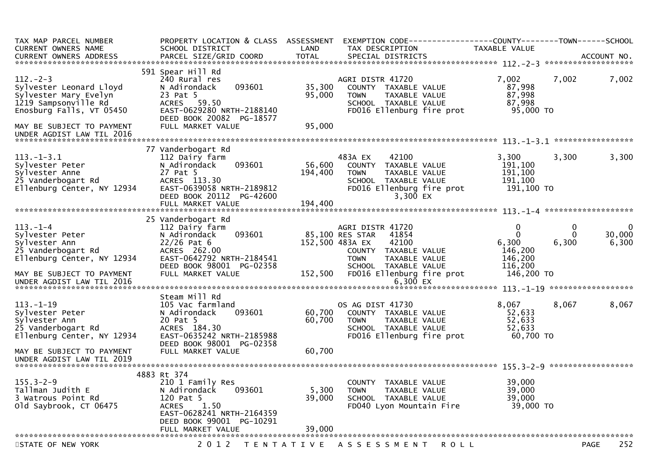| TAX MAP PARCEL NUMBER<br>CURRENT OWNERS NAME<br>CURRENT OWNERS ADDRESS                                                                             | PROPERTY LOCATION & CLASS ASSESSMENT<br>SCHOOL DISTRICT<br>PARCEL SIZE/GRID COORD                                                                                               | LAND<br><b>TOTAL</b>         | EXEMPTION CODE------------------COUNTY--------TOWN------SCHOOL<br>TAX DESCRIPTION<br>SPECIAL DISTRICTS                                       | TAXABLE VALUE                                        |                        | ACCOUNT NO.                    |
|----------------------------------------------------------------------------------------------------------------------------------------------------|---------------------------------------------------------------------------------------------------------------------------------------------------------------------------------|------------------------------|----------------------------------------------------------------------------------------------------------------------------------------------|------------------------------------------------------|------------------------|--------------------------------|
|                                                                                                                                                    |                                                                                                                                                                                 |                              |                                                                                                                                              |                                                      |                        |                                |
| $112 - 2 - 3$<br>Sylvester Leonard Lloyd<br>Sylvester Mary Evelyn<br>1219 Sampsonville Rd<br>Enosburg Falls, VT 05450<br>MAY BE SUBJECT TO PAYMENT | 591 Spear Hill Rd<br>240 Rural res<br>093601<br>N Adirondack<br>23 Pat 5<br>59.50<br><b>ACRES</b><br>EAST-0629280 NRTH-2188140<br>DEED BOOK 20082 PG-18577<br>FULL MARKET VALUE | 35,300<br>95,000<br>95,000   | AGRI DISTR 41720<br>COUNTY TAXABLE VALUE<br>TAXABLE VALUE<br><b>TOWN</b><br>SCHOOL TAXABLE VALUE<br>FD016 Ellenburg fire prot                | 7,002<br>87,998<br>87,998<br>87,998<br>95,000 TO     | 7,002                  | 7,002                          |
| UNDER AGDIST LAW TIL 2016                                                                                                                          |                                                                                                                                                                                 |                              |                                                                                                                                              |                                                      |                        |                                |
|                                                                                                                                                    |                                                                                                                                                                                 |                              |                                                                                                                                              |                                                      |                        | *****************              |
| $113.-1-3.1$<br>Sylvester Peter<br>Sylvester Anne<br>25 Vanderbogart Rd<br>Ellenburg Center, NY 12934                                              | 77 Vanderbogart Rd<br>112 Dairy farm<br>093601<br>N Adirondack<br>27 Pat 5<br>ACRES 113.30<br>EAST-0639058 NRTH-2189812<br>DEED BOOK 20112 PG-42600<br>FULL MARKET VALUE        | 56,600<br>194,400<br>194,400 | 483A EX<br>42100<br>COUNTY<br>TAXABLE VALUE<br><b>TOWN</b><br>TAXABLE VALUE<br>SCHOOL TAXABLE VALUE<br>FD016 Ellenburg fire prot<br>3,300 EX | 3,300<br>191,100<br>191,100<br>191,100<br>191,100 TO | 3,300                  | 3,300                          |
|                                                                                                                                                    |                                                                                                                                                                                 |                              |                                                                                                                                              |                                                      |                        |                                |
| $113. - 1 - 4$<br>Sylvester Peter<br>Sylvester Ann<br>25 Vanderbogart Rd<br>Ellenburg Center, NY 12934                                             | 25 Vanderbogart Rd<br>112 Dairy farm<br>093601<br>N Adirondack<br>$22/26$ Pat 6<br>ACRES 262.00<br>EAST-0642792 NRTH-2184541                                                    |                              | AGRI DISTR 41720<br>85,100 RES STAR<br>41854<br>152,500 483A EX<br>42100<br>COUNTY TAXABLE VALUE<br><b>TAXABLE VALUE</b><br><b>TOWN</b>      | $\mathbf{0}$<br>0<br>6,300<br>146,200<br>146,200     | 0<br>$\Omega$<br>6,300 | $\mathbf 0$<br>30,000<br>6,300 |
| MAY BE SUBJECT TO PAYMENT<br>UNDER AGDIST LAW TIL 2016                                                                                             | DEED BOOK 98001 PG-02358<br>FULL MARKET VALUE                                                                                                                                   | 152,500                      | SCHOOL TAXABLE VALUE<br>FD016 Ellenburg fire prot<br>6,300 $EX$                                                                              | 116,200<br>146,200 TO                                |                        |                                |
|                                                                                                                                                    | Steam Mill Rd                                                                                                                                                                   |                              |                                                                                                                                              |                                                      |                        |                                |
| $113. - 1 - 19$<br>Sylvester Peter<br>Sylvester Ann<br>25 Vanderbogart Rd<br>Ellenburg Center, NY 12934                                            | 105 Vac farmland<br>093601<br>N Adirondack<br>20 Pat 5<br>ACRES 184.30<br>EAST-0635242 NRTH-2185988<br>DEED BOOK 98001 PG-02358                                                 | 60,700<br>60,700             | OS AG DIST 41730<br>COUNTY TAXABLE VALUE<br>TAXABLE VALUE<br><b>TOWN</b><br>SCHOOL TAXABLE VALUE<br>FD016 Ellenburg fire prot                | 8,067<br>52,633<br>52,633<br>52,633<br>60,700 TO     | 8,067                  | 8,067                          |
| MAY BE SUBJECT TO PAYMENT                                                                                                                          | FULL MARKET VALUE                                                                                                                                                               | 60,700                       |                                                                                                                                              |                                                      |                        |                                |
|                                                                                                                                                    |                                                                                                                                                                                 |                              |                                                                                                                                              |                                                      |                        |                                |
| $155.3 - 2 - 9$<br>Tallman Judith E<br>3 Watrous Point Rd<br>old Saybrook, CT 06475                                                                | 4883 Rt 374<br>210 1 Family Res<br>093601<br>N Adirondack<br>120 Pat 5<br>1.50<br><b>ACRES</b><br>EAST-0628241 NRTH-2164359<br>DEED BOOK 99001 PG-10291                         | 5,300<br>39,000              | COUNTY TAXABLE VALUE<br>TAXABLE VALUE<br><b>TOWN</b><br>SCHOOL TAXABLE VALUE<br>FD040 Lyon Mountain Fire                                     | 39,000<br>39,000<br>39,000<br>39,000 TO              |                        |                                |
|                                                                                                                                                    | FULL MARKET VALUE                                                                                                                                                               | 39,000                       |                                                                                                                                              |                                                      |                        |                                |
| STATE OF NEW YORK                                                                                                                                  |                                                                                                                                                                                 |                              | 2012 TENTATIVE ASSESSMENT ROLL                                                                                                               |                                                      |                        | 252<br><b>PAGE</b>             |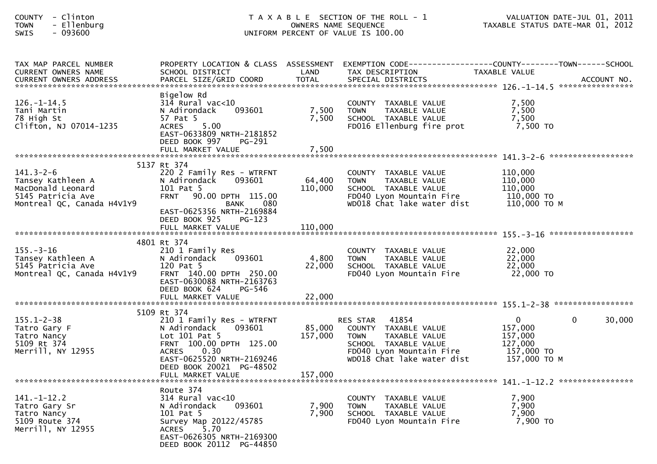| - Clinton<br><b>COUNTY</b><br>- Ellenburg<br><b>TOWN</b><br>- 093600<br><b>SWIS</b>                          |                                                                                                                                                                                   | OWNERS NAME SEQUENCE    | T A X A B L E SECTION OF THE ROLL - 1<br>UNIFORM PERCENT OF VALUE IS 100.00                                                                                        | VALUATION DATE-JUL 01, 2011<br>VALUATION DATE-JUL 01, 2011<br>TAXABLE STATUS DATE-MAR 01, 2012 |             |
|--------------------------------------------------------------------------------------------------------------|-----------------------------------------------------------------------------------------------------------------------------------------------------------------------------------|-------------------------|--------------------------------------------------------------------------------------------------------------------------------------------------------------------|------------------------------------------------------------------------------------------------|-------------|
| TAX MAP PARCEL NUMBER<br>CURRENT OWNERS NAME                                                                 | SCHOOL DISTRICT                                                                                                                                                                   | LAND                    | PROPERTY LOCATION & CLASS ASSESSMENT EXEMPTION CODE----------------COUNTY-------TOWN------SCHOOL<br>TAX DESCRIPTION                                                | TAXABLE VALUE                                                                                  |             |
| $126. - 1 - 14.5$<br>Tani Martin<br>78 High St<br>Clifton, NJ 07014-1235                                     | Bigelow Rd<br>$314$ Rural vac< $10$<br>N Adirondack<br>093601<br>57 Pat 5<br>5.00<br><b>ACRES</b><br>EAST-0633809 NRTH-2181852<br>DEED BOOK 997<br>PG-291<br>FULL MARKET VALUE    | 7,500<br>7,500<br>7,500 | COUNTY TAXABLE VALUE<br>TAXABLE VALUE<br><b>TOWN</b><br>SCHOOL TAXABLE VALUE<br>FD016 Ellenburg fire prot                                                          | 7,500<br>7,500<br>7,500<br>7,500 TO                                                            |             |
|                                                                                                              | 5137 Rt 374                                                                                                                                                                       |                         |                                                                                                                                                                    |                                                                                                |             |
| $141.3 - 2 - 6$<br>Tansey Kathleen A<br>MacDonald Leonard<br>5145 Patricia Ave<br>Montreal QC, Canada H4V1Y9 | 220 2 Family Res - WTRFNT<br>093601<br>N Adirondack<br>101 Pat 5<br><b>FRNT</b><br>90.00 DPTH 115.00<br>BANK<br>080<br>EAST-0625356 NRTH-2169884                                  | 64,400<br>110,000       | COUNTY TAXABLE VALUE<br><b>TOWN</b><br>TAXABLE VALUE<br>SCHOOL TAXABLE VALUE<br>FD040 Lyon Mountain Fire 110,000 TO<br>WD018 Chat lake water dist                  | 110,000<br>110,000<br>110,000<br>110,000 ТО М                                                  |             |
|                                                                                                              | DEED BOOK 925<br>PG-123<br>FULL MARKET VALUE                                                                                                                                      | 110,000                 |                                                                                                                                                                    |                                                                                                |             |
|                                                                                                              | 4801 Rt 374                                                                                                                                                                       |                         |                                                                                                                                                                    |                                                                                                |             |
| $155. - 3 - 16$<br>Tansey Kathleen A<br>5145 Cathleen A<br>5145 Patricia Ave<br>Montreal QC, Canada H4V1Y9   | 210 1 Family Res<br>N Adirondack<br>093601<br>120 Pat 5<br>FRNT 140.00 DPTH 250.00<br>EAST-0630088 NRTH-2163763<br>DEED BOOK 624<br>PG-546                                        | 4,800<br>22,000         | COUNTY TAXABLE VALUE<br>TAXABLE VALUE<br>TOWN<br>SCHOOL TAXABLE VALUE<br>FD040 Lyon Mountain Fire                                                                  | 22,000<br>22,000<br>22,000<br>22,000 TO                                                        |             |
|                                                                                                              |                                                                                                                                                                                   |                         |                                                                                                                                                                    |                                                                                                |             |
| $155.1 - 2 - 38$<br>Tatro Gary F<br>Tatro Nancy<br>5109 Rt 374<br>Merrill, NY 12955                          | 5109 Rt 374<br>210 1 Family Res - WTRFNT<br>N Adirondack<br>093601<br>Lot $101$ Pat 5<br>FRNT 100.00 DPTH 125.00<br><b>ACRES</b><br>0.30<br>EAST-0625520 NRTH-2169246             | 85,000<br>157,000       | 41854<br><b>RES STAR</b><br>COUNTY TAXABLE VALUE<br><b>TOWN</b><br>TAXABLE VALUE<br>SCHOOL TAXABLE VALUE<br>FD040 Lyon Mountain Fire<br>WD018 Chat lake water dist | $\overline{0}$<br>157,000<br>157,000<br>127,000<br>157,000 TO<br>157,000 то м                  | 0<br>30,000 |
| ******************************                                                                               | DEED BOOK 20021 PG-48502<br>FULL MARKET VALUE                                                                                                                                     | 157,000                 |                                                                                                                                                                    |                                                                                                |             |
| $141. - 1 - 12.2$<br>Tatro Gary Sr<br>Tatro Nancy<br>5109 Route 374<br>Merrill, NY 12955                     | Route 374<br>$314$ Rural vac<10<br>093601<br>N Adirondack<br>101 Pat 5<br>Survey Map 20122/45785<br>5.70<br><b>ACRES</b><br>EAST-0626305 NRTH-2169300<br>DEED BOOK 20112 PG-44850 | 7,900<br>7,900          | COUNTY TAXABLE VALUE<br><b>TOWN</b><br>TAXABLE VALUE<br>SCHOOL TAXABLE VALUE<br>FD040 Lyon Mountain Fire                                                           | 7,900<br>7,900<br>7,900<br>7,900 TO                                                            |             |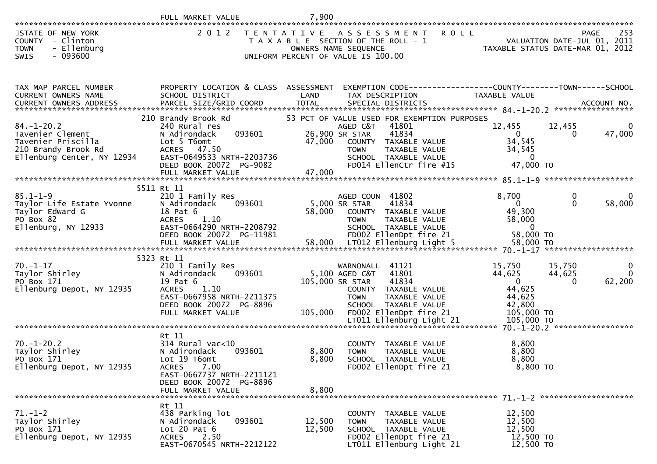| STATE OF NEW YORK<br>COUNTY - Clinton<br>- Ellenburg<br><b>TOWN</b><br>$-093600$<br>SWIS                   |                                                                                                                                                                                     |                  | 2012 TENTATIVE ASSESSMENT<br><b>ROLL</b><br>T A X A B L E SECTION OF THE ROLL - 1<br>OWNERS NAME SEQUENCE<br>UNIFORM PERCENT OF VALUE IS 100.00                                                 |                                                                                | 253<br>PAGE<br>VALUATION DATE-JUL 01, 2011<br>TAXABLE STATUS DATE-MAR 01, 2012 |
|------------------------------------------------------------------------------------------------------------|-------------------------------------------------------------------------------------------------------------------------------------------------------------------------------------|------------------|-------------------------------------------------------------------------------------------------------------------------------------------------------------------------------------------------|--------------------------------------------------------------------------------|--------------------------------------------------------------------------------|
| TAX MAP PARCEL NUMBER<br>CURRENT OWNERS NAME                                                               | PROPERTY LOCATION & CLASS ASSESSMENT<br>SCHOOL DISTRICT                                                                                                                             | LAND             | EXEMPTION CODE-----------------COUNTY-------TOWN------SCHOOL<br>TAX DESCRIPTION                                                                                                                 | TAXABLE VALUE                                                                  |                                                                                |
| 84. –1–20.2<br>Tavenier Clement<br>Tavenier Priscilla<br>210 Brandy Brook Rd<br>Ellenburg Center, NY 12934 | 210 Brandy Brook Rd<br>240 Rural res<br>093601<br>N Adirondack<br>Lot 5 T6omt<br><b>ACRES</b><br>47.50<br>EAST-0649533 NRTH-2203736<br>DEED BOOK 20072 PG-9082<br>FULL MARKET VALUE | 47,000<br>47,000 | 53 PCT OF VALUE USED FOR EXEMPTION PURPOSES<br>AGED C&T 41801<br>26,900 SR STAR<br>41834<br>COUNTY TAXABLE VALUE<br>TOWN     TAXABLE VALUE<br>SCHOOL   TAXABLE VALUE<br>FD014 EllenCtr fire #15 | 12,455<br>$\overline{0}$<br>34,545<br>34,545<br>$\overline{0}$<br>47,000 TO    | 12,455<br>47,000<br>$\overline{0}$                                             |
| $85.1 - 1 - 9$<br>Taylor Life Estate Yvonne<br>Taylor Edward G<br>PO Box 82<br>Ellenburg, NY 12933         | 5511 Rt 11<br>210 1 Family Res<br>N Adirondack<br>093601<br>18 Pat 6<br><b>ACRES</b><br>1.10<br>EAST-0664290 NRTH-2208792<br>DEED BOOK 20072 PG-11981                               | 58,000           | AGED COUN 41802<br>41834<br>5,000 SR STAR<br>COUNTY TAXABLE VALUE<br><b>TAXABLE VALUE</b><br><b>TOWN</b><br>SCHOOL TAXABLE VALUE<br>FD002 EllenDpt fire 21                                      | 8,700<br>$\overline{0}$<br>49,300<br>58,000<br>$\overline{0}$<br>58,000 TO     | $\mathbf{0}$<br>0<br>58,000<br>$\Omega$                                        |
|                                                                                                            |                                                                                                                                                                                     |                  |                                                                                                                                                                                                 |                                                                                |                                                                                |
| $70. - 1 - 17$<br>Taylor Shirley<br>PO Box 171<br>Ellenburg Depot, NY 12935                                | 5323 Rt 11<br>210 1 Family Res<br>093601<br>N Adirondack<br>19 Pat 6<br>1.10<br><b>ACRES</b><br>EAST-0667958 NRTH-2211375<br>DEED BOOK 20072 PG-8896<br>FULL MARKET VALUE           |                  | 41121<br>WARNONALL<br>5,100 AGED C&T<br>41801<br>105,000 SR STAR<br>41834<br>COUNTY TAXABLE VALUE<br>TAXABLE VALUE<br><b>TOWN</b><br>SCHOOL TAXABLE VALUE<br>105,000 FD002 EllenDpt fire 21     | 15,750<br>44,625<br>$\overline{0}$<br>44,625<br>44,625<br>42,800<br>105,000 TO | $\begin{matrix} 0 \\ 0 \end{matrix}$<br>15,750<br>44,625<br>62,200<br>$\Omega$ |
|                                                                                                            |                                                                                                                                                                                     |                  |                                                                                                                                                                                                 |                                                                                |                                                                                |
| $70. - 1 - 20.2$<br>Taylor Shirley<br>PO Box 171<br>Ellenburg Depot, NY 12935                              | Rt 11<br>$314$ Rural vac< $10$<br>N Adirondack<br>093601<br>Lot 19 T6omt<br>7.00<br><b>ACRES</b><br>EAST-0667737 NRTH-2211121<br>DEED BOOK 20072 PG-8896                            | 8,800<br>8,800   | COUNTY TAXABLE VALUE<br><b>TOWN</b><br>TAXABLE VALUE<br>SCHOOL TAXABLE VALUE<br>FD002 EllenDpt fire 21                                                                                          | 8,800<br>8,800<br>8,800<br>$8,800$ TO                                          |                                                                                |
| ******************************                                                                             | FULL MARKET VALUE                                                                                                                                                                   | 8,800            |                                                                                                                                                                                                 |                                                                                |                                                                                |
| $71. - 1 - 2$<br>Taylor Shirley<br>PO Box 171<br>Ellenburg Depot, NY 12935                                 | Rt 11<br>438 Parking lot<br>093601<br>N Adirondack<br>Lot $20$ Pat $6$<br>2.50<br><b>ACRES</b><br>EAST-0670545 NRTH-2212122                                                         | 12,500<br>12,500 | COUNTY TAXABLE VALUE<br>TAXABLE VALUE<br><b>TOWN</b><br>SCHOOL TAXABLE VALUE<br>FD002 EllenDpt fire 21<br>LT011 Ellenburg Light 21                                                              | 12,500<br>12,500<br>12,500<br>12,500 TO<br>12,500 TO                           |                                                                                |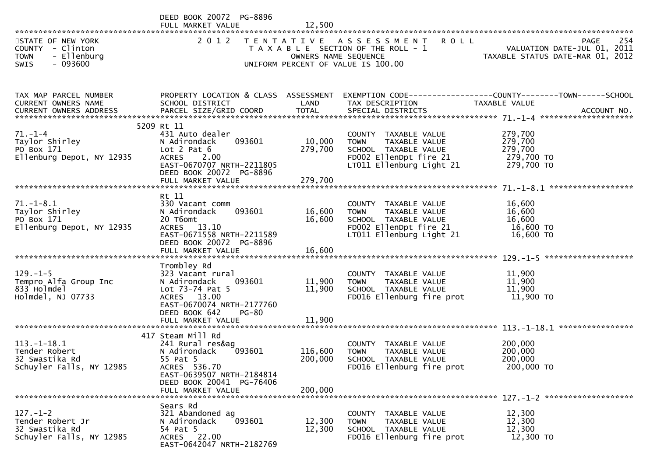|                                                                                                | DEED BOOK 20072 PG-8896                                                                                                                                                   |                               |                                                                                                                             |                                                                                       |
|------------------------------------------------------------------------------------------------|---------------------------------------------------------------------------------------------------------------------------------------------------------------------------|-------------------------------|-----------------------------------------------------------------------------------------------------------------------------|---------------------------------------------------------------------------------------|
| STATE OF NEW YORK<br>COUNTY - Clinton<br>- Ellenburg<br><b>TOWN</b><br><b>SWIS</b><br>- 093600 | 2 0 1 2                                                                                                                                                                   | OWNERS NAME SEQUENCE          | TENTATIVE ASSESSMENT ROLL<br>T A X A B L E SECTION OF THE ROLL - 1<br>UNIFORM PERCENT OF VALUE IS 100.00                    | 254<br><b>PAGE</b><br>VALUATION DATE-JUL 01, 2011<br>TAXABLE STATUS DATE-MAR 01, 2012 |
| TAX MAP PARCEL NUMBER<br>CURRENT OWNERS NAME<br>CURRENT OWNERS ADDRESS                         | PROPERTY LOCATION & CLASS ASSESSMENT<br>SCHOOL DISTRICT                                                                                                                   | LAND                          | TAX DESCRIPTION                                                                                                             | EXEMPTION CODE------------------COUNTY--------TOWN------SCHOOL<br>TAXABLE VALUE       |
| $71. - 1 - 4$<br>Taylor Shirley<br>PO Box 171<br>Ellenburg Depot, NY 12935                     | 5209 Rt 11<br>431 Auto dealer<br>093601<br>N Adirondack<br>Lot $2$ Pat $6$<br><b>ACRES</b><br>2.00<br>EAST-0670707 NRTH-2211805<br>DEED BOOK 20072 PG-8896                | 10,000<br>279,700             | COUNTY TAXABLE VALUE<br>TAXABLE VALUE<br>TOWN<br>SCHOOL TAXABLE VALUE<br>FD002 EllenDpt fire 21<br>LT011 Ellenburg Light 21 | 279,700<br>279,700<br>279,700<br>279,700 то<br>279,700 TO                             |
| $71.-1-8.1$<br>Taylor Shirley<br>PO Box 171<br>Ellenburg Depot, NY 12935                       | Rt 11<br>330 Vacant comm<br>093601<br>N Adirondack<br>20 T6omt<br>ACRES 13.10<br>EAST-0671558 NRTH-2211589<br>DEED BOOK 20072 PG-8896                                     | 16,600<br>16,600              | COUNTY TAXABLE VALUE<br>TAXABLE VALUE<br>TOWN<br>SCHOOL TAXABLE VALUE<br>FD002 EllenDpt fire 21<br>LT011 Ellenburg Light 21 | 16,600<br>16,600<br>16,600<br>16,600 TO<br>16,600 TO                                  |
| $129. - 1 - 5$<br>Tempro Alfa Group Inc<br>833 Holmdel<br>Holmdel, NJ 07733                    | Trombley Rd<br>323 Vacant rural<br>093601<br>N Adirondack<br>Lot 73-74 Pat 5<br>ACRES 13.00<br>EAST-0670074 NRTH-2177760<br>DEED BOOK 642<br><b>PG-80</b>                 | 11,900<br>11,900              | COUNTY TAXABLE VALUE<br>TAXABLE VALUE<br><b>TOWN</b><br>SCHOOL TAXABLE VALUE<br>FD016 Ellenburg fire prot                   | 11,900<br>11,900<br>11,900<br>11,900 TO                                               |
| $113.-1-18.1$<br>Tender Robert<br>32 Swastika Rd<br>Schuyler Falls, NY 12985                   | 417 Steam Mill Rd<br>241 Rural res&ag<br>093601<br>N Adirondack<br>55 Pat 5<br>ACRES 536.70<br>EAST-0639507 NRTH-2184814<br>DEED BOOK 20041 PG-76406<br>FULL MARKET VALUE | 116,600<br>200,000<br>200,000 | COUNTY TAXABLE VALUE<br><b>TOWN</b><br><b>TAXABLE VALUE</b><br>SCHOOL TAXABLE VALUE<br>FD016 Ellenburg fire prot            | 200,000<br>200,000<br>200,000<br>200,000 TO                                           |
| $127. - 1 - 2$<br>Tender Robert Jr<br>32 Swastika Rd<br>Schuyler Falls, NY 12985               | Sears Rd<br>321 Abandoned ag<br>093601<br>N Adirondack<br>54 Pat 5<br>ACRES 22.00<br>EAST-0642047 NRTH-2182769                                                            | 12,300<br>12,300              | COUNTY TAXABLE VALUE<br>TAXABLE VALUE<br><b>TOWN</b><br>SCHOOL TAXABLE VALUE<br>FD016 Ellenburg fire prot                   | 12,300<br>12,300<br>12,300<br>12,300 TO                                               |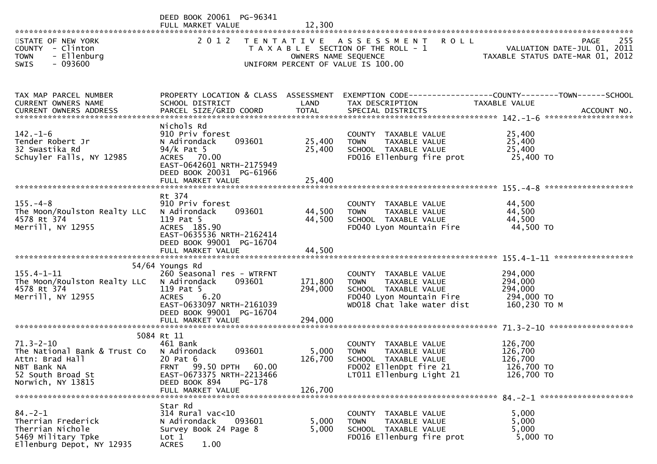|                                                                                                                             | DEED BOOK 20061 PG-96341<br>FULL MARKET VALUE                                                                                                                        |                      |                                                                                                                                           |                                                                                 |
|-----------------------------------------------------------------------------------------------------------------------------|----------------------------------------------------------------------------------------------------------------------------------------------------------------------|----------------------|-------------------------------------------------------------------------------------------------------------------------------------------|---------------------------------------------------------------------------------|
| STATE OF NEW YORK<br>COUNTY - Clinton<br>- Ellenburg<br><b>TOWN</b><br><b>SWIS</b><br>- 093600                              | 2 0 1 2                                                                                                                                                              | OWNERS NAME SEQUENCE | TENTATIVE ASSESSMENT ROLL<br>T A X A B L E SECTION OF THE ROLL - 1<br>UNIFORM PERCENT OF VALUE IS 100.00                                  | 255<br>PAGE<br>VALUATION DATE-JUL 01, 2011<br>TAXABLE STATUS DATE-MAR 01, 2012  |
|                                                                                                                             |                                                                                                                                                                      |                      |                                                                                                                                           |                                                                                 |
| TAX MAP PARCEL NUMBER<br>CURRENT OWNERS NAME<br>CURRENT OWNERS ADDRESS                                                      | PROPERTY LOCATION & CLASS ASSESSMENT<br>SCHOOL DISTRICT                                                                                                              | LAND                 | TAX DESCRIPTION                                                                                                                           | EXEMPTION CODE------------------COUNTY--------TOWN------SCHOOL<br>TAXABLE VALUE |
| $142. - 1 - 6$<br>Tender Robert Jr<br>32 Swastika Rd<br>Schuyler Falls, NY 12985                                            | Nichols Rd<br>910 Priv forest<br>N Adirondack<br>093601<br>$94/k$ Pat 5<br>ACRES 70.00<br>EAST-0642601 NRTH-2175949<br>DEED BOOK 20031 PG-61966                      | 25,400<br>25,400     | COUNTY TAXABLE VALUE<br><b>TOWN</b><br>TAXABLE VALUE<br>SCHOOL TAXABLE VALUE<br>FD016 Ellenburg fire prot                                 | 25,400<br>25,400<br>25,400<br>25,400 TO                                         |
|                                                                                                                             | Rt 374                                                                                                                                                               |                      |                                                                                                                                           |                                                                                 |
| $155. - 4 - 8$<br>The Moon/Roulston Realty LLC<br>4578 Rt 374<br>Merrill, NY 12955                                          | 910 Priv forest<br>093601<br>N Adirondack<br>119 Pat 5<br>ACRES 185.90<br>EAST-0635536 NRTH-2162414<br>DEED BOOK 99001 PG-16704                                      | 44,500<br>44,500     | COUNTY TAXABLE VALUE<br>TAXABLE VALUE<br><b>TOWN</b><br>SCHOOL TAXABLE VALUE<br>FD040 Lyon Mountain Fire                                  | 44,500<br>44,500<br>44,500<br>44,500 TO                                         |
|                                                                                                                             |                                                                                                                                                                      |                      |                                                                                                                                           |                                                                                 |
| $155.4 - 1 - 11$<br>The Moon/Roulston Realty LLC<br>4578 Rt 374<br>Merrill, NY 12955                                        | 54/64 Youngs Rd<br>260 Seasonal res - WTRFNT<br>N Adirondack<br>093601<br>119 Pat 5<br><b>ACRES</b><br>6.20<br>EAST-0633097 NRTH-2161039<br>DEED BOOK 99001 PG-16704 | 171,800<br>294,000   | COUNTY TAXABLE VALUE<br>TAXABLE VALUE<br><b>TOWN</b><br>SCHOOL TAXABLE VALUE<br>FD040 Lyon Mountain Fire<br>WD018 Chat lake water dist    | 294,000<br>294,000<br>294,000<br>294,000 TO<br>160,230 ТО М                     |
|                                                                                                                             |                                                                                                                                                                      |                      |                                                                                                                                           |                                                                                 |
| $71.3 - 2 - 10$<br>The National Bank & Trust Co<br>Attn: Brad Hall<br>NBT Bank NA<br>52 South Broad St<br>Norwich, NY 13815 | 5084 Rt 11<br>461 Bank<br>093601<br>N Adirondack<br>20 Pat 6<br>60.00<br>FRNT 99.50 DPTH<br>EAST-0673375 NRTH-2213466<br>DEED BOOK 894<br>PG-178                     | 5,000<br>126,700     | COUNTY TAXABLE VALUE<br><b>TOWN</b><br><b>TAXABLE VALUE</b><br>SCHOOL TAXABLE VALUE<br>FD002 EllenDpt fire 21<br>LT011 Ellenburg Light 21 | 126,700<br>126,700<br>126,700<br>126,700 TO<br>126,700 TO                       |
|                                                                                                                             | FULL MARKET VALUE                                                                                                                                                    | 126,700              |                                                                                                                                           |                                                                                 |
| $84. - 2 - 1$<br>Therrian Frederick<br>Therrian Nichole<br>5469 Military Tpke<br>Ellenburg Depot, NY 12935                  | Star Rd<br>314 Rural vac<10<br>093601<br>N Adirondack<br>Survey Book 24 Page 8<br>Lot 1<br>1.00<br><b>ACRES</b>                                                      | 5,000<br>5,000       | COUNTY TAXABLE VALUE<br>TAXABLE VALUE<br><b>TOWN</b><br>SCHOOL TAXABLE VALUE<br>FD016 Ellenburg fire prot                                 | 5,000<br>5,000<br>5,000<br>5,000 TO                                             |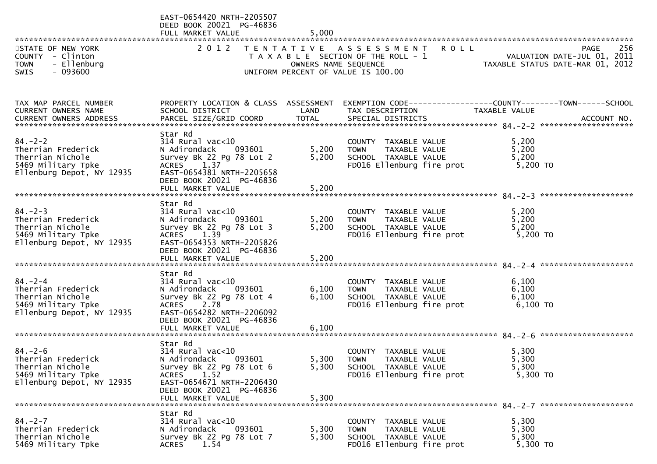|                                                                                                            | EAST-0654420 NRTH-2205507<br>DEED BOOK 20021 PG-46836<br>FULL MARKET VALUE                                                | 5,000                |                                                                                                           |                                                                                                                   |
|------------------------------------------------------------------------------------------------------------|---------------------------------------------------------------------------------------------------------------------------|----------------------|-----------------------------------------------------------------------------------------------------------|-------------------------------------------------------------------------------------------------------------------|
| STATE OF NEW YORK<br>COUNTY - Clinton                                                                      |                                                                                                                           |                      | 2012 TENTATIVE ASSESSMENT<br><b>ROLL</b><br>T A X A B L E SECTION OF THE ROLL - 1                         | 256<br><b>PAGE</b><br>VALUATION DATE-JUL 01, 2011<br>TAXABLE STATUS DATE-MAR 01, 2012                             |
| - Ellenburg<br><b>TOWN</b><br>$-093600$<br>SWIS                                                            |                                                                                                                           | OWNERS NAME SEQUENCE | UNIFORM PERCENT OF VALUE IS 100.00                                                                        |                                                                                                                   |
| TAX MAP PARCEL NUMBER<br>CURRENT OWNERS NAME                                                               | SCHOOL DISTRICT                                                                                                           | LAND                 | TAX DESCRIPTION                                                                                           | PROPERTY LOCATION & CLASS ASSESSMENT EXEMPTION CODE----------------COUNTY-------TOWN------SCHOOL<br>TAXABLE VALUE |
|                                                                                                            |                                                                                                                           |                      |                                                                                                           |                                                                                                                   |
| $84. - 2 - 2$<br>Therrian Frederick<br>Therrian Nichole                                                    | Star Rd<br>$314$ Rural vac< $10$<br>093601<br>N Adirondack<br>Survey Bk 22 Pg 78 Lot 2                                    | 5,200<br>5,200       | COUNTY TAXABLE VALUE<br>TAXABLE VALUE<br>TOWN<br>SCHOOL TAXABLE VALUE                                     | 5,200<br>5,200<br>5,200                                                                                           |
| 5469 Military Tpke<br>Ellenburg Depot, NY 12935                                                            | ACRES 1.37<br>EAST-0654381 NRTH-2205658<br>DEED BOOK 20021 PG-46836<br>FULL MARKET VALUE                                  | 5,200                | FD016 Ellenburg fire prot                                                                                 | 5,200 TO                                                                                                          |
|                                                                                                            |                                                                                                                           |                      |                                                                                                           |                                                                                                                   |
| $84. - 2 - 3$<br>Therrian Frederick<br>Therrian Nichole<br>5469 Military Tpke                              | Star Rd<br>314 Rural vac<10<br>N Adirondack<br>093601<br>Survey Bk 22 Pg 78 Lot 3<br>ACRES 1.39                           | 5,200<br>5,200       | COUNTY TAXABLE VALUE<br><b>TOWN</b><br>TAXABLE VALUE<br>SCHOOL TAXABLE VALUE<br>FD016 Ellenburg fire prot | 5,200<br>5,200<br>5,200<br>5,200 TO                                                                               |
| Ellenburg Depot, NY 12935                                                                                  | EAST-0654353 NRTH-2205826<br>DEED BOOK 20021 PG-46836<br>FULL MARKET VALUE                                                | 5,200                |                                                                                                           |                                                                                                                   |
|                                                                                                            | Star Rd                                                                                                                   |                      |                                                                                                           |                                                                                                                   |
| $84 - 2 - 4$<br>Therrian Frederick                                                                         | 314 Rural vac<10<br>N Adirondack<br>093601                                                                                | 6,100                | COUNTY TAXABLE VALUE<br>TAXABLE VALUE<br>TOWN                                                             | 6,100<br>6,100                                                                                                    |
| Therrian Nichole<br>5469 Military Tpke                                                                     | Survey Bk 22 Pg 78 Lot 4<br>ACRES 2.78                                                                                    | 6,100                | SCHOOL TAXABLE VALUE<br>FD016 Ellenburg fire prot                                                         | 6,100<br>6,100 TO                                                                                                 |
| Ellenburg Depot, NY 12935                                                                                  | EAST-0654282 NRTH-2206092<br>DEED BOOK 20021 PG-46836<br>FULL MARKET VALUE                                                | 6,100                |                                                                                                           |                                                                                                                   |
|                                                                                                            | Star Rd                                                                                                                   |                      |                                                                                                           |                                                                                                                   |
| $84. - 2 - 6$<br>Therrian Frederick<br>Therrian Nichole<br>5469 Military Tpke<br>Ellenburg Depot, NY 12935 | $314$ Rural vac< $10$<br>093601<br>N Adirondack<br>Survey Bk 22 Pg 78 Lot 6<br>1.52<br>ACRES<br>EAST-0654671 NRTH-2206430 | 5,300<br>5,300       | COUNTY TAXABLE VALUE<br><b>TOWN</b><br>TAXABLE VALUE<br>SCHOOL TAXABLE VALUE<br>FD016 Ellenburg fire prot | 5,300<br>5,300<br>5,300<br>5,300 TO                                                                               |
|                                                                                                            | DEED BOOK 20021 PG-46836<br>FULL MARKET VALUE                                                                             | 5,300                |                                                                                                           |                                                                                                                   |
| $84 - 2 - 7$<br>Therrian Frederick<br>Therrian Nichole<br>5469 Military Tpke                               | Star Rd<br>$314$ Rural vac<10<br>N Adirondack<br>093601<br>Survey Bk 22 Pg 78 Lot 7<br>1.54<br><b>ACRES</b>               | 5,300<br>5,300       | COUNTY TAXABLE VALUE<br>TAXABLE VALUE<br><b>TOWN</b><br>SCHOOL TAXABLE VALUE<br>FD016 Ellenburg fire prot | 5,300<br>5,300<br>5,300<br>5,300 TO                                                                               |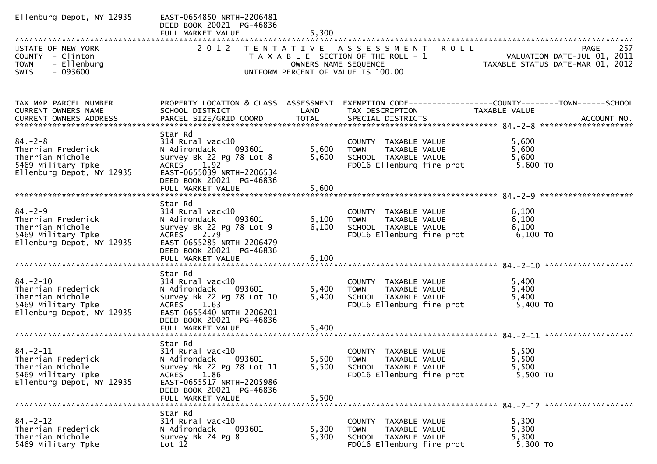| Ellenburg Depot, NY 12935                                                                                   | EAST-0654850 NRTH-2206481<br>DEED BOOK 20021 PG-46836<br>FULL MARKET VALUE                                                                                                                 | 5,300                   |                                                                                                           |                                                                                                                  |
|-------------------------------------------------------------------------------------------------------------|--------------------------------------------------------------------------------------------------------------------------------------------------------------------------------------------|-------------------------|-----------------------------------------------------------------------------------------------------------|------------------------------------------------------------------------------------------------------------------|
| STATE OF NEW YORK<br>COUNTY - Clinton<br><b>TOWN</b><br>- Ellenburg<br>- 093600<br><b>SWIS</b>              |                                                                                                                                                                                            |                         | 2012 TENTATIVE ASSESSMENT ROLL<br>UNIFORM PERCENT OF VALUE IS 100.00                                      | 257<br><b>PAGE</b><br>TAXABLE SECTION OF THE ROLL - 1<br>TAXABLE SECTION OF THE ROLL - 1<br>OWNERS NAME SEQUENCE |
|                                                                                                             |                                                                                                                                                                                            |                         |                                                                                                           |                                                                                                                  |
| TAX MAP PARCEL NUMBER<br>CURRENT OWNERS NAME                                                                | SCHOOL DISTRICT                                                                                                                                                                            | LAND                    | TAX DESCRIPTION                                                                                           | PROPERTY LOCATION & CLASS ASSESSMENT EXEMPTION CODE---------------COUNTY-------TOWN------SCHOOL<br>TAXABLE VALUE |
| $84. - 2 - 8$<br>Therrian Frederick<br>Therrian Nichole<br>5469 Military Tpke<br>Ellenburg Depot, NY 12935  | Star Rd<br>$314$ Rural vac<10<br>N Adirondack<br>093601<br>Survey Bk 22 Pg 78 Lot 8<br>ACRES 1.92<br>EAST-0655039 NRTH-2206534<br>DEED BOOK 20021 PG-46836                                 | 5,600<br>5,600          | COUNTY TAXABLE VALUE<br>TOWN TAXABLE VALUE<br>SCHOOL TAXABLE VALUE<br>FD016 Ellenburg fire prot           | 5,600<br>5,600<br>5,600<br>5,600 TO                                                                              |
| $84. - 2 - 9$<br>Therrian Frederick<br>Therrian Nichole<br>5469 Military Tpke<br>Ellenburg Depot, NY 12935  | Star Rd<br>$314$ Rural vac<10<br>N Adirondack<br>093601<br>Survey Bk 22 Pg 78 Lot 9<br>ACRES 2.79<br>EAST-0655285 NRTH-2206479<br>DEED BOOK 20021 PG-46836                                 | 6,100<br>6,100          | COUNTY TAXABLE VALUE<br>TAXABLE VALUE<br><b>TOWN</b><br>SCHOOL TAXABLE VALUE<br>FD016 Ellenburg fire prot | 6,100<br>6,100<br>6,100<br>6,100 TO                                                                              |
| $84. - 2 - 10$<br>Therrian Frederick<br>Therrian Nichole<br>5469 Military Tpke<br>Ellenburg Depot, NY 12935 | Star Rd<br>314 Rural vac<10<br>N Adirondack<br>093601<br>Survey Bk 22 Pg 78 Lot 10<br>ACRES 1.63<br>EAST-0655440 NRTH-2206201<br>DEED BOOK 20021 PG-46836<br>FULL MARKET VALUE             | 5,400<br>5,400<br>5,400 | COUNTY TAXABLE VALUE<br>TAXABLE VALUE<br>TOWN<br>SCHOOL TAXABLE VALUE<br>FD016 Ellenburg fire prot        | 5,400<br>5,400<br>5,400<br>5,400 TO                                                                              |
| $84. - 2 - 11$<br>Therrian Frederick<br>Therrian Nichole<br>5469 Military Tpke<br>Ellenburg Depot, NY 12935 | Star Rd<br>$314$ Rural vac<10<br>N Adirondack<br>093601<br>Survey Bk 22 Pg 78 Lot 11<br>1.86<br><b>ACRES</b><br>EAST-0655517 NRTH-2205986<br>DEED BOOK 20021 PG-46836<br>FULL MARKET VALUE | 5,500<br>5,500          | COUNTY TAXABLE VALUE<br>5,500 TOWN TAXABLE VALUE<br>SCHOOL TAXABLE VALUE<br>FD016 Ellenburg fire prot     | 5,500<br>5,500<br>5,500<br>5,500 TO                                                                              |
| $84. - 2 - 12$<br>Therrian Frederick<br>Therrian Nichole<br>5469 Military Tpke                              | Star Rd<br>$314$ Rural vac<10<br>N Adirondack<br>093601<br>Survey Bk 24 Pg 8<br>Lot 12                                                                                                     | 5,300<br>5,300          | COUNTY TAXABLE VALUE<br>TAXABLE VALUE<br><b>TOWN</b><br>SCHOOL TAXABLE VALUE<br>FD016 Ellenburg fire prot | 5,300<br>5,300<br>5,300<br>5,300 TO                                                                              |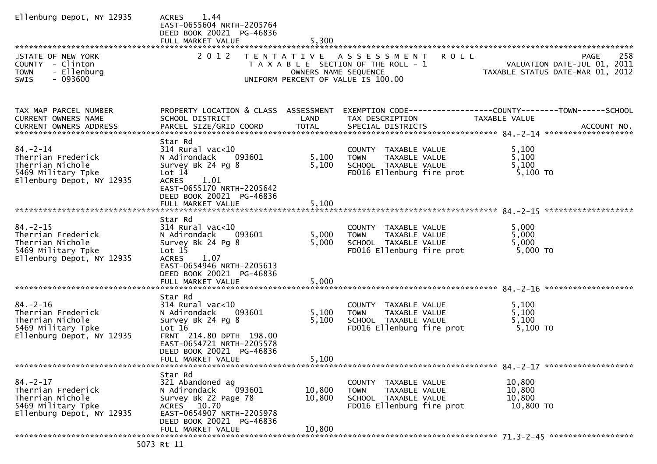| Ellenburg Depot, NY 12935                                                                                   | 1.44<br><b>ACRES</b><br>EAST-0655604 NRTH-2205764<br>DEED BOOK 20021 PG-46836<br>FULL MARKET VALUE                                                                                                   | 5,300                   |                                                                                                                    |                                                                                                |             |
|-------------------------------------------------------------------------------------------------------------|------------------------------------------------------------------------------------------------------------------------------------------------------------------------------------------------------|-------------------------|--------------------------------------------------------------------------------------------------------------------|------------------------------------------------------------------------------------------------|-------------|
| STATE OF NEW YORK<br>COUNTY - Clinton<br>- Ellenburg<br><b>TOWN</b><br><b>SWIS</b><br>- 093600              | 2 0 1 2                                                                                                                                                                                              | OWNERS NAME SEQUENCE    | TENTATIVE ASSESSMENT<br><b>ROLL</b><br>T A X A B L E SECTION OF THE ROLL - 1<br>UNIFORM PERCENT OF VALUE IS 100.00 | VALUATION DATE-JUL 01, 2011<br>VALUATION DAIL-JUL UI, 2011<br>TAXABLE STATUS DATE-MAR 01, 2012 | 258<br>PAGE |
| TAX MAP PARCEL NUMBER<br>CURRENT OWNERS NAME<br>CURRENT OWNERS ADDRESS                                      | PROPERTY LOCATION & CLASS ASSESSMENT<br>SCHOOL DISTRICT                                                                                                                                              | LAND                    | EXEMPTION CODE------------------COUNTY--------TOWN------SCHOOL<br>TAX DESCRIPTION                                  | TAXABLE VALUE                                                                                  |             |
| $84. - 2 - 14$<br>Therrian Frederick<br>Therrian Nichole<br>5469 Military Tpke<br>Ellenburg Depot, NY 12935 | Star Rd<br>314 Rural vac<10<br>N Adirondack<br>093601<br>Survey Bk 24 Pg 8<br>Lot 14<br><b>ACRES</b><br>1.01<br>EAST-0655170 NRTH-2205642<br>DEED BOOK 20021 PG-46836                                | 5,100<br>5,100          | COUNTY TAXABLE VALUE<br>TAXABLE VALUE<br><b>TOWN</b><br>SCHOOL TAXABLE VALUE<br>FD016 Ellenburg fire prot          | 5,100<br>5,100<br>5,100<br>5,100 TO                                                            |             |
|                                                                                                             |                                                                                                                                                                                                      |                         |                                                                                                                    |                                                                                                |             |
| $84. - 2 - 15$<br>Therrian Frederick<br>Therrian Nichole<br>5469 Military Tpke<br>Ellenburg Depot, NY 12935 | Star Rd<br>$314$ Rural vac<10<br>N Adirondack<br>093601<br>Survey Bk 24 Pg 8<br>Lot 15<br><b>ACRES</b><br>1.07<br>EAST-0654946 NRTH-2205613<br>DEED BOOK 20021 PG-46836<br>FULL MARKET VALUE         | 5,000<br>5,000<br>5,000 | COUNTY TAXABLE VALUE<br><b>TOWN</b><br>TAXABLE VALUE<br>SCHOOL TAXABLE VALUE<br>FD016 Ellenburg fire prot          | 5,000<br>5,000<br>5,000<br>5,000 TO                                                            |             |
| $84. - 2 - 16$<br>Therrian Frederick<br>Therrian Nichole<br>5469 Military Tpke<br>Ellenburg Depot, NY 12935 | Star Rd<br>$314$ Rural vac< $10$<br>N Adirondack<br>093601<br>Survey Bk 24 Pg 8<br>Lot $16$<br>FRNT 214.80 DPTH 198.00<br>EAST-0654721 NRTH-2205578<br>DEED BOOK 20021 PG-46836<br>FULL MARKET VALUE | 5,100<br>5,100<br>5,100 | COUNTY TAXABLE VALUE<br><b>TOWN</b><br>TAXABLE VALUE<br>SCHOOL TAXABLE VALUE<br>FD016 Ellenburg fire prot          | 5,100<br>5,100<br>5,100<br>5,100 TO                                                            |             |
|                                                                                                             | Star Rd                                                                                                                                                                                              |                         |                                                                                                                    |                                                                                                |             |
| $84. - 2 - 17$<br>Therrian Frederick<br>Therrian Nichole<br>5469 Military Tpke<br>Ellenburg Depot, NY 12935 | 321 Abandoned ag<br>N Adirondack<br>093601<br>Survey Bk 22 Page 78<br>ACRES 10.70<br>EAST-0654907 NRTH-2205978<br>DEED BOOK 20021 PG-46836                                                           | 10,800<br>10,800        | COUNTY TAXABLE VALUE<br>TAXABLE VALUE<br><b>TOWN</b><br>SCHOOL TAXABLE VALUE<br>FD016 Ellenburg fire prot          | 10,800<br>10,800<br>10,800<br>10,800 TO                                                        |             |
|                                                                                                             | FULL MARKET VALUE                                                                                                                                                                                    | 10,800                  |                                                                                                                    |                                                                                                |             |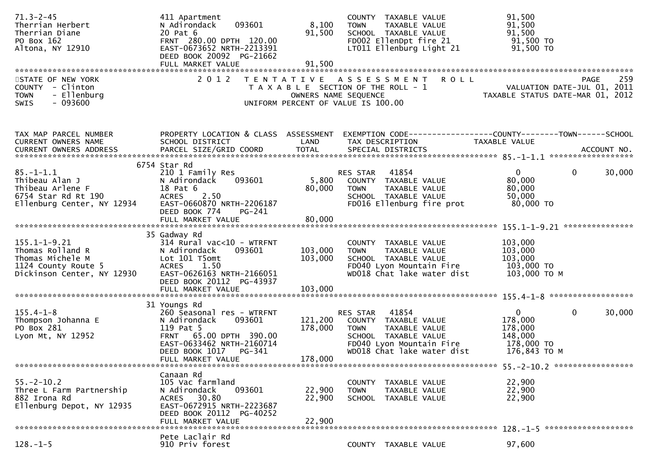| $71.3 - 2 - 45$<br>Therrian Herbert<br>Therrian Diane<br>PO Box 162<br>Altona, NY 12910                         | 411 Apartment<br>093601<br>N Adirondack<br>20 Pat 6<br>FRNT 280.00 DPTH 120.00<br>EAST-0673652 NRTH-2213391<br>DEED BOOK 20092 PG-21662                                                  | 8,100<br>91,500               | COUNTY TAXABLE VALUE<br>TAXABLE VALUE<br><b>TOWN</b><br>SCHOOL TAXABLE VALUE<br>FD002 EllenDpt fire 21<br>LT011 Ellenburg Light 21                          | 91,500<br>91,500<br>91,500<br>91,500 TO<br>91,500 TO                                         |
|-----------------------------------------------------------------------------------------------------------------|------------------------------------------------------------------------------------------------------------------------------------------------------------------------------------------|-------------------------------|-------------------------------------------------------------------------------------------------------------------------------------------------------------|----------------------------------------------------------------------------------------------|
| STATE OF NEW YORK<br>COUNTY - Clinton<br>- Ellenburg<br><b>TOWN</b><br>$-093600$<br><b>SWIS</b>                 | 2 0 1 2                                                                                                                                                                                  |                               | TENTATIVE ASSESSMENT<br><b>ROLL</b><br>T A X A B L E SECTION OF THE ROLL - 1<br>OWNERS NAME SEQUENCE<br>UNIFORM PERCENT OF VALUE IS 100.00                  | 259<br><b>PAGE</b><br>VALUATION DATE-JUL 01, 2011<br>TAXABLE STATUS DATE-MAR 01, 2012        |
| TAX MAP PARCEL NUMBER<br>CURRENT OWNERS NAME                                                                    | PROPERTY LOCATION & CLASS ASSESSMENT<br>SCHOOL DISTRICT                                                                                                                                  | LAND                          | TAX DESCRIPTION                                                                                                                                             | EXEMPTION CODE------------------COUNTY--------TOWN------SCHOOL<br>TAXABLE VALUE              |
| $85. - 1 - 1.1$<br>Thibeau Alan J<br>Thibeau Arlene F<br>6754 Star Rd Rt 190<br>Ellenburg Center, NY 12934      | 6754 Star Rd<br>210 1 Family Res<br>093601<br>N Adirondack<br>18 Pat 6<br>2.50<br><b>ACRES</b><br>EAST-0660870 NRTH-2206187<br>DEED BOOK 774<br>PG-241<br>FULL MARKET VALUE              | 5,800<br>80,000<br>80,000     | 41854<br>RES STAR<br>COUNTY TAXABLE VALUE<br>TAXABLE VALUE<br><b>TOWN</b><br>SCHOOL TAXABLE VALUE<br>FD016 Ellenburg fire prot                              | 0<br>$\mathbf 0$<br>30,000<br>80,000<br>80,000<br>50,000<br>80,000 TO                        |
| $155.1 - 1 - 9.21$<br>Thomas Rolland R<br>Thomas Michele M<br>1124 County Route 5<br>Dickinson Center, NY 12930 | 35 Gadway Rd<br>$314$ Rural vac< $10$ - WTRFNT<br>N Adirondack<br>093601<br>Lot 101 T5omt<br><b>ACRES</b><br>1.50<br>EAST-0626163 NRTH-2166051<br>DEED BOOK 20112 PG-43937               | 103,000<br>103,000            | COUNTY TAXABLE VALUE<br><b>TOWN</b><br>TAXABLE VALUE<br>SCHOOL TAXABLE VALUE<br>FD040 Lyon Mountain Fire<br>WD018 Chat lake water dist                      | 103,000<br>103,000<br>103,000<br>103,000 TO<br>103,000 ТО М                                  |
| $155.4 - 1 - 8$<br>Thompson Johanna E<br>PO Box 281<br>Lyon Mt, NY 12952                                        | 31 Youngs Rd<br>260 Seasonal res - WTRFNT<br>093601<br>N Adirondack<br>119 Pat 5<br>FRNT 65.00 DPTH 390.00<br>EAST-0633462 NRTH-2160714<br>DEED BOOK 1017<br>PG-341<br>FULL MARKET VALUE | 121,200<br>178,000<br>178,000 | 41854<br>RES STAR<br>COUNTY TAXABLE VALUE<br><b>TOWN</b><br>TAXABLE VALUE<br>SCHOOL TAXABLE VALUE<br>FD040 Lyon Mountain Fire<br>WD018 Chat lake water dist | 0<br>30,000<br>$\overline{0}$<br>178,000<br>178,000<br>148,000<br>178,000 TO<br>176,843 ТО М |
| $55. - 2 - 10.2$<br>Three L Farm Partnership<br>882 Irona Rd<br>Ellenburg Depot, NY 12935                       | Canaan Rd<br>105 Vac farmland<br>N Adirondack<br>093601<br>ACRES 30.80<br>EAST-0672915 NRTH-2223687<br>DEED BOOK 20112 PG-40252<br>FULL MARKET VALUE                                     | 22,900<br>22,900<br>22,900    | COUNTY TAXABLE VALUE<br><b>TOWN</b><br>TAXABLE VALUE<br>SCHOOL TAXABLE VALUE                                                                                | 22,900<br>22,900<br>22,900                                                                   |
| $128. - 1 - 5$                                                                                                  | Pete Laclair Rd<br>910 Priv forest                                                                                                                                                       |                               | COUNTY TAXABLE VALUE                                                                                                                                        | 97,600                                                                                       |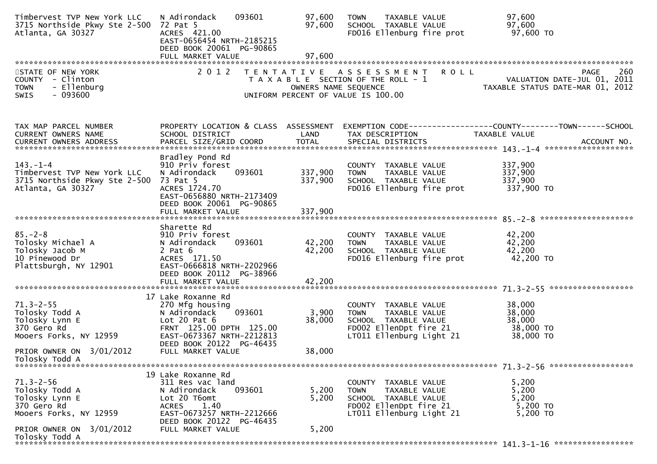| Timbervest TVP New York LLC<br>3715 Northside Pkwy Ste 2-500 72 Pat 5<br>Atlanta, GA 30327          | 093601<br>N Adirondack<br>ACRES 421.00<br>EAST-0656454 NRTH-2185215<br>DEED BOOK 20061 PG-90865                                                                         | 97,600<br>97,600              | TAXABLE VALUE<br><b>TOWN</b><br>SCHOOL TAXABLE VALUE<br>FD016 Ellenburg fire prot                                                  | 97,600<br>97,600<br>97,600 TO                                                         |
|-----------------------------------------------------------------------------------------------------|-------------------------------------------------------------------------------------------------------------------------------------------------------------------------|-------------------------------|------------------------------------------------------------------------------------------------------------------------------------|---------------------------------------------------------------------------------------|
|                                                                                                     |                                                                                                                                                                         | 97,600                        |                                                                                                                                    |                                                                                       |
| STATE OF NEW YORK<br>COUNTY - Clinton<br>- Ellenburg<br><b>TOWN</b><br>$-093600$<br>SWIS            | 2 0 1 2                                                                                                                                                                 | OWNERS NAME SEQUENCE          | <b>ROLL</b><br>TENTATIVE ASSESSMENT<br>T A X A B L E SECTION OF THE ROLL - 1<br>UNIFORM PERCENT OF VALUE IS 100.00                 | 260<br><b>PAGE</b><br>VALUATION DATE-JUL 01, 2011<br>TAXABLE STATUS DATE-MAR 01, 2012 |
| TAX MAP PARCEL NUMBER<br><b>CURRENT OWNERS NAME</b><br><b>CURRENT OWNERS ADDRESS</b>                | PROPERTY LOCATION & CLASS ASSESSMENT<br>SCHOOL DISTRICT                                                                                                                 | LAND                          | TAX DESCRIPTION                                                                                                                    | EXEMPTION CODE------------------COUNTY--------TOWN------SCHOOL<br>TAXABLE VALUE       |
| $143. - 1 - 4$<br>Timbervest TVP New York LLC<br>3715 Northside Pkwy Ste 2-500<br>Atlanta, GA 30327 | Bradley Pond Rd<br>910 Priv forest<br>N Adirondack<br>093601<br>73 Pat 5<br>ACRES 1724.70<br>EAST-0656880 NRTH-2173409<br>DEED BOOK 20061 PG-90865<br>FULL MARKET VALUE | 337,900<br>337,900<br>337,900 | COUNTY TAXABLE VALUE<br><b>TOWN</b><br>TAXABLE VALUE<br>SCHOOL TAXABLE VALUE<br>FD016 Ellenburg fire prot                          | 337,900<br>337,900<br>337,900<br>337,900 TO                                           |
|                                                                                                     | Sharette Rd                                                                                                                                                             |                               |                                                                                                                                    |                                                                                       |
| $85. - 2 - 8$<br>Tolosky Michael A<br>Tolosky Jacob M<br>10 Pinewood Dr<br>Plattsburgh, NY 12901    | 910 Priv forest<br>N Adirondack<br>093601<br>$2$ Pat $6$<br>ACRES 171.50<br>EAST-0666818 NRTH-2202966<br>DEED BOOK 20112 PG-38966                                       | 42,200<br>42,200              | COUNTY TAXABLE VALUE<br>TAXABLE VALUE<br><b>TOWN</b><br>SCHOOL TAXABLE VALUE<br>FD016 Ellenburg fire prot                          | 42,200<br>42,200<br>42,200<br>42,200 TO                                               |
|                                                                                                     | FULL MARKET VALUE                                                                                                                                                       | 42,200                        |                                                                                                                                    |                                                                                       |
| $71.3 - 2 - 55$<br>Tolosky Todd A<br>Tolosky Lynn E<br>370 Gero Rd<br>Mooers Forks, NY 12959        | 17 Lake Roxanne Rd<br>270 Mfg housing<br>093601<br>N Adirondack<br>Lot 20 Pat $6$<br>FRNT 125.00 DPTH 125.00<br>EAST-0673367 NRTH-2212813                               | 3,900<br>38,000               | COUNTY TAXABLE VALUE<br><b>TOWN</b><br>TAXABLE VALUE<br>SCHOOL TAXABLE VALUE<br>FD002 EllenDpt fire 21<br>LT011 Ellenburg Light 21 | 38,000<br>38,000<br>38,000<br>38,000 TO<br>38,000 TO                                  |
| PRIOR OWNER ON 3/01/2012<br>Tolosky Todd A                                                          | DEED BOOK 20122 PG-46435<br>FULL MARKET VALUE                                                                                                                           | 38,000                        |                                                                                                                                    |                                                                                       |
|                                                                                                     | 19 Lake Roxanne Rd                                                                                                                                                      |                               |                                                                                                                                    |                                                                                       |
| $71.3 - 2 - 56$<br>Tolosky Todd A<br>Tolosky Lynn E<br>370 Gero Rd<br>Mooers Forks, NY 12959        | 311 Res vac land<br>093601<br>N Adirondack<br>Lot 20 T6omt<br>1.40<br><b>ACRES</b><br>EAST-0673257 NRTH-2212666                                                         | 5,200<br>5,200                | COUNTY TAXABLE VALUE<br>TAXABLE VALUE<br>TOWN<br>SCHOOL TAXABLE VALUE<br>FD002 EllenDpt fire 21<br>LT011 Ellenburg Light 21        | 5,200<br>5,200<br>5,200<br>$5,200$ TO<br>5,200 TO                                     |
| PRIOR OWNER ON 3/01/2012<br>Tolosky Todd A                                                          | DEED BOOK 20122 PG-46435<br>FULL MARKET VALUE                                                                                                                           | 5,200                         |                                                                                                                                    |                                                                                       |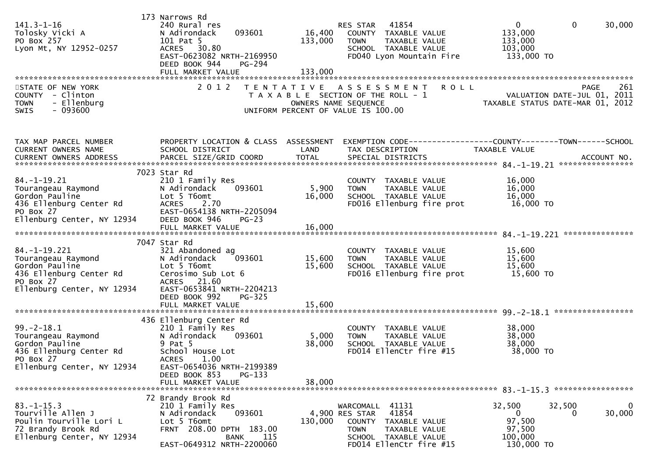| $141.3 - 1 - 16$<br>Tolosky Vicki A<br>PO Box 257<br>Lyon Mt, NY 12952-0257                                                      | 173 Narrows Rd<br>240 Rural res<br>093601<br>N Adirondack<br>101 Pat 5<br>30.80<br>ACRES<br>EAST-0623082 NRTH-2169950<br>DEED BOOK 944<br><b>PG-294</b>                  | 16,400<br>133,000    | 41854<br>RES STAR<br>COUNTY TAXABLE VALUE<br>TAXABLE VALUE<br><b>TOWN</b><br>SCHOOL TAXABLE VALUE<br>FD040 Lyon Mountain Fire                         | $\mathbf 0$<br>0<br>133,000<br>133,000<br>103,000<br>133,000 TO                      | 30,000             |
|----------------------------------------------------------------------------------------------------------------------------------|--------------------------------------------------------------------------------------------------------------------------------------------------------------------------|----------------------|-------------------------------------------------------------------------------------------------------------------------------------------------------|--------------------------------------------------------------------------------------|--------------------|
| STATE OF NEW YORK<br>COUNTY<br>- Clinton<br>- Ellenburg<br><b>TOWN</b><br>SWIS<br>- 093600                                       | 2 0 1 2                                                                                                                                                                  | OWNERS NAME SEQUENCE | TENTATIVE ASSESSMENT<br><b>ROLL</b><br>T A X A B L E SECTION OF THE ROLL - 1<br>UNIFORM PERCENT OF VALUE IS 100.00                                    | PAGE<br>VALUATION DATE-JUL 01, 2011<br>TAXABLE STATUS DATE-MAR 01, 2012              | 261                |
| TAX MAP PARCEL NUMBER<br>CURRENT OWNERS NAME                                                                                     | PROPERTY LOCATION & CLASS ASSESSMENT<br>SCHOOL DISTRICT                                                                                                                  | LAND                 | TAX DESCRIPTION                                                                                                                                       | EXEMPTION        CODE-----------------COUNTY-------TOWN------SCHOOL<br>TAXABLE VALUE |                    |
| $84. - 1 - 19.21$<br>Tourangeau Raymond<br>Gordon Pauline<br>436 Ellenburg Center Rd<br>PO Box 27<br>Ellenburg Center, NY 12934  | 7023 Star Rd<br>210 1 Family Res<br>093601<br>N Adirondack<br>Lot 5 T6omt<br>2.70<br>ACRES<br>EAST-0654138 NRTH-2205094<br>DEED BOOK 946<br>$PG-23$                      | 5,900<br>16,000      | COUNTY TAXABLE VALUE<br><b>TOWN</b><br>TAXABLE VALUE<br>SCHOOL TAXABLE VALUE<br>FD016 Ellenburg fire prot                                             | 16,000<br>16,000<br>16,000<br>16,000 TO                                              |                    |
|                                                                                                                                  | FULL MARKET VALUE                                                                                                                                                        | 16,000               |                                                                                                                                                       |                                                                                      |                    |
| $84. - 1 - 19.221$<br>Tourangeau Raymond<br>Gordon Pauline<br>436 Ellenburg Center Rd<br>PO Box 27<br>Ellenburg Center, NY 12934 | 7047 Star Rd<br>321 Abandoned ag<br>093601<br>N Adirondack<br>Lot 5 T6omt<br>Cerosimo Sub Lot 6<br>ACRES 21.60<br>EAST-0653841 NRTH-2204213<br>DEED BOOK 992<br>$PG-325$ | 15,600<br>15,600     | COUNTY TAXABLE VALUE<br><b>TOWN</b><br>TAXABLE VALUE<br>SCHOOL TAXABLE VALUE<br>FD016 Ellenburg fire prot                                             | 15,600<br>15,600<br>15,600<br>15,600 TO                                              |                    |
|                                                                                                                                  |                                                                                                                                                                          |                      |                                                                                                                                                       |                                                                                      |                    |
| $99. - 2 - 18.1$<br>Tourangeau Raymond<br>Gordon Pauline<br>436 Ellenburg Center Rd<br>PO Box 27                                 | 436 Ellenburg Center Rd<br>210 1 Family Res<br>093601<br>N Adirondack<br>9 Pat 5<br>School House Lot<br>ACRES 1.00                                                       | 5,000<br>38,000      | COUNTY TAXABLE VALUE<br><b>TOWN</b><br>TAXABLE VALUE<br>SCHOOL TAXABLE VALUE<br>FD014 EllenCtr fire #15                                               | 38,000<br>38,000<br>38,000<br>38,000 TO                                              |                    |
| Ellenburg Center, NY 12934                                                                                                       | EAST-0654036 NRTH-2199389<br>DEED BOOK 853<br>$PG-133$<br>FULL MARKET VALUE                                                                                              | 38,000               |                                                                                                                                                       |                                                                                      |                    |
| $83. - 1 - 15.3$<br>Tourville Allen J<br>Poulin Tourville Lori L<br>72 Brandy Brook Rd<br>Ellenburg Center, NY 12934             | 72 Brandy Brook Rd<br>210 1 Family Res<br>093601<br>N Adirondack<br>Lot 5 T6omt<br>FRNT 208.00 DPTH 183.00<br>115<br>BANK<br>EAST-0649312 NRTH-2200060                   | 130,000              | WARCOMALL 41131<br>41854<br>4,900 RES STAR<br>COUNTY TAXABLE VALUE<br>TAXABLE VALUE<br><b>TOWN</b><br>SCHOOL TAXABLE VALUE<br>FD014 EllenCtr fire #15 | 32,500<br>32,500<br>0<br>$\Omega$<br>97,500<br>97,500<br>100,000<br>130,000 TO       | $\bf{0}$<br>30,000 |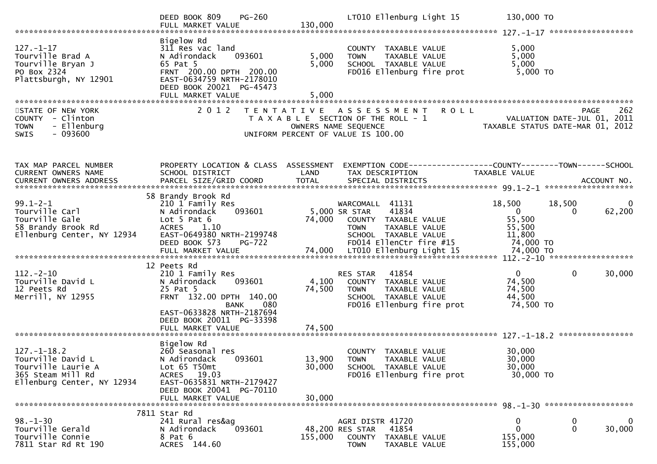|                                                                                                                 | <b>PG-260</b><br>DEED BOOK 809<br>FULL MARKET VALUE                                                                                                                                                  | 130,000                   | LT010 Ellenburg Light 15                                                                                                                             |             | 130,000 TO                                                          |                                                                                |
|-----------------------------------------------------------------------------------------------------------------|------------------------------------------------------------------------------------------------------------------------------------------------------------------------------------------------------|---------------------------|------------------------------------------------------------------------------------------------------------------------------------------------------|-------------|---------------------------------------------------------------------|--------------------------------------------------------------------------------|
| $127. - 1 - 17$<br>Tourville Brad A<br>Tourville Bryan J<br>PO Box 2324<br>Plattsburgh, NY 12901                | Bigelow Rd<br>311 Res vac land<br>N Adirondack<br>093601<br>65 Pat 5<br>FRNT 200.00 DPTH 200.00<br>EAST-0634759 NRTH-2178010<br>DEED BOOK 20021 PG-45473<br>FULL MARKET VALUE                        | 5,000<br>5,000<br>5,000   | COUNTY TAXABLE VALUE<br>TAXABLE VALUE<br><b>TOWN</b><br>SCHOOL TAXABLE VALUE<br>FD016 Ellenburg fire prot                                            |             | 5,000<br>5,000<br>5,000<br>5,000 TO                                 |                                                                                |
| STATE OF NEW YORK<br>COUNTY - Clinton<br>- Ellenburg<br><b>TOWN</b><br>$-093600$<br><b>SWIS</b>                 | 2 0 1 2                                                                                                                                                                                              |                           | TENTATIVE ASSESSMENT<br>T A X A B L E SECTION OF THE ROLL - 1<br>OWNERS NAME SEQUENCE<br>UNIFORM PERCENT OF VALUE IS 100.00                          | <b>ROLL</b> |                                                                     | 262<br>PAGE<br>VALUATION DATE-JUL 01, 2011<br>TAXABLE STATUS DATE-MAR 01, 2012 |
| TAX MAP PARCEL NUMBER<br>CURRENT OWNERS NAME                                                                    | PROPERTY LOCATION & CLASS ASSESSMENT<br>SCHOOL DISTRICT                                                                                                                                              | LAND                      | TAX DESCRIPTION                                                                                                                                      |             | TAXABLE VALUE                                                       | EXEMPTION CODE-----------------COUNTY-------TOWN------SCHOOL                   |
| $99.1 - 2 - 1$<br>Tourville Carl<br>Tourville Gale<br>58 Brandy Brook Rd<br>Ellenburg Center, NY 12934          | 58 Brandy Brook Rd<br>210 1 Family Res<br>093601<br>N Adirondack<br>Lot $5$ Pat $6$<br>ACRES 1.10<br>EAST-0649380 NRTH-2199748<br>DEED BOOK 573<br><b>PG-722</b>                                     | 74,000                    | WARCOMALL 41131<br>5,000 SR STAR<br>41834<br>COUNTY TAXABLE VALUE<br>TAXABLE VALUE<br><b>TOWN</b><br>SCHOOL TAXABLE VALUE<br>FD014 EllenCtr fire #15 |             | 18,500<br>$\overline{0}$<br>55,500<br>55,500<br>11,800<br>74,000 TO | 18,500<br>0<br>62,200<br>$\Omega$                                              |
| $112 - 2 - 10$<br>Tourville David L<br>12 Peets Rd<br>Merrill, NY 12955                                         | 12 Peets Rd<br>210 1 Family Res<br>093601<br>N Adirondack<br>25 Pat 5<br>FRNT 132.00 DPTH 140.00<br>080<br><b>BANK</b><br>EAST-0633828 NRTH-2187694<br>DEED BOOK 20011 PG-33398<br>FULL MARKET VALUE | 4,100<br>74,500<br>74,500 | 41854<br>RES STAR<br>COUNTY TAXABLE VALUE<br>TAXABLE VALUE<br><b>TOWN</b><br>SCHOOL TAXABLE VALUE<br>FD016 Ellenburg fire prot                       |             | $\mathbf{0}$<br>74,500<br>74,500<br>44,500<br>74,500 TO             | $\mathbf{0}$<br>30,000                                                         |
| $127. - 1 - 18.2$<br>Tourville David L<br>Tourville Laurie A<br>365 Steam Mill Rd<br>Ellenburg Center, NY 12934 | Bigelow Rd<br>260 Seasonal res<br>093601<br>N Adirondack<br>Lot 65 T50mt<br>ACRES 19.03<br>EAST-0635831 NRTH-2179427<br>DEED BOOK 20041 PG-70110<br>FULL MARKET VALUE                                | 30,000<br>30,000          | COUNTY TAXABLE VALUE<br>13,900 TOWN<br>TAXABLE VALUE<br>SCHOOL TAXABLE VALUE<br>FD016 Ellenburg fire prot                                            |             | 30,000<br>30,000<br>30,000<br>30,000 TO                             |                                                                                |
| $98. - 1 - 30$<br>Tourville Gerald<br>Tourville Connie<br>7811 Star Rd Rt 190                                   | 7811 Star Rd<br>241 Rural res&ag<br>093601<br>N Adirondack<br>8 Pat 6<br>ACRES 144.60                                                                                                                | 155,000                   | AGRI DISTR 41720<br>41854<br>48,200 RES STAR<br>COUNTY<br>TAXABLE VALUE<br>TAXABLE VALUE<br><b>TOWN</b>                                              |             | $\bf{0}$<br>$\mathbf{0}$<br>155,000<br>155,000                      | 0<br>$\mathbf{0}$<br>$\mathbf 0$<br>30,000                                     |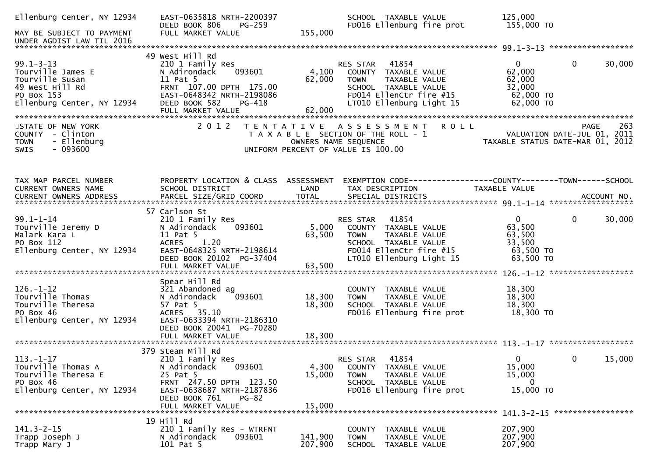| Ellenburg Center, NY 12934<br>MAY BE SUBJECT TO PAYMENT                                                                | EAST-0635818 NRTH-2200397<br>DEED BOOK 806<br>PG-259<br>FULL MARKET VALUE                                                                                                            | SCHOOL TAXABLE VALUE<br>FD016 Ellenburg fire prot<br>155,000                                                                                                                          | 125,000<br>155,000 TO                                                                                                    |                        |
|------------------------------------------------------------------------------------------------------------------------|--------------------------------------------------------------------------------------------------------------------------------------------------------------------------------------|---------------------------------------------------------------------------------------------------------------------------------------------------------------------------------------|--------------------------------------------------------------------------------------------------------------------------|------------------------|
| UNDER AGDIST LAW TIL 2016                                                                                              |                                                                                                                                                                                      |                                                                                                                                                                                       |                                                                                                                          |                        |
| $99.1 - 3 - 13$<br>Tourville James E<br>Tourville Susan<br>49 West Hill Rd<br>PO Box 153<br>Ellenburg Center, NY 12934 | 49 West Hill Rd<br>210 1 Family Res<br>093601<br>N Adirondack<br>11 Pat 5<br>FRNT 107.00 DPTH 175.00<br>EAST-0648342 NRTH-2198086<br>DEED BOOK 582<br>PG-418                         | 41854<br>RES STAR<br>4,100<br>COUNTY TAXABLE VALUE<br>62,000<br>TAXABLE VALUE<br><b>TOWN</b><br>SCHOOL TAXABLE VALUE<br>FD014 EllenCtr fire #15<br>LT010 Ellenburg Light 15           | $\mathbf{0}$<br>62,000<br>62,000<br>32,000<br>$62,000$ TO<br>62,000 TO                                                   | 30,000<br>$\mathbf{0}$ |
| STATE OF NEW YORK<br>COUNTY - Clinton<br>- Ellenburg<br><b>TOWN</b><br>$-093600$<br>SWIS                               | 2 0 1 2                                                                                                                                                                              | TENTATIVE ASSESSMENT<br>T A X A B L E SECTION OF THE ROLL - 1<br>OWNERS NAME SEQUENCE<br>UNIFORM PERCENT OF VALUE IS 100.00                                                           | <b>ROLL</b><br>263 - YAGE<br>2011 - VALUATION DATE-JUL<br>2011 - TAYARLE STATUS BATE<br>TAXABLE STATUS DATE-MAR 01, 2012 | 263<br>PAGE            |
| TAX MAP PARCEL NUMBER<br>CURRENT OWNERS NAME                                                                           | PROPERTY LOCATION & CLASS ASSESSMENT<br>SCHOOL DISTRICT                                                                                                                              | LAND<br>TAX DESCRIPTION                                                                                                                                                               | EXEMPTION CODE-----------------COUNTY--------TOWN-----SCHOOL<br>TAXABLE VALUE                                            |                        |
| $99.1 - 1 - 14$<br>Tourville Jeremy D<br>Malark Kara L<br>PO Box 112<br>Ellenburg Center, NY 12934                     | 57 Carlson St<br>210 1 Family Res<br>093601<br>N Adirondack<br>11 Pat 5<br>1.20<br><b>ACRES</b><br>EAST-0648325 NRTH-2198614<br>DEED BOOK 20102 PG-37404<br>FULL MARKET VALUE        | 41854<br>RES STAR<br>5,000<br>COUNTY TAXABLE VALUE<br>63,500<br>TAXABLE VALUE<br><b>TOWN</b><br>SCHOOL TAXABLE VALUE<br>FD014 EllenCtr fire #15<br>LT010 Ellenburg Light 15<br>63,500 | $\mathbf{0}$<br>63,500<br>63,500<br>33,500<br>63,500 TO<br>63,500 TO                                                     | $\mathbf{0}$<br>30,000 |
| $126. - 1 - 12$<br>Tourville Thomas<br>Tourville Theresa<br>PO Box 46<br>Ellenburg Center, NY 12934                    | Spear Hill Rd<br>321 Abandoned ag<br>093601<br>N Adirondack<br>57 Pat 5<br>ACRES 35.10<br>EAST-0633394 NRTH-2186310<br>DEED BOOK 20041 PG-70280                                      | COUNTY<br>TAXABLE VALUE<br>18,300<br><b>TOWN</b><br>TAXABLE VALUE<br>18,300<br>SCHOOL TAXABLE VALUE<br>FD016 Ellenburg fire prot                                                      | 18,300<br>18,300<br>18,300<br>18,300 TO                                                                                  |                        |
| $113. - 1 - 17$<br>Tourville Thomas A<br>Tourville Theresa E<br>PO Box 46<br>Ellenburg Center, NY 12934                | 379 Steam Mill Rd<br>210 1 Family Res<br>093601<br>N Adirondack<br>25 Pat 5<br>FRNT 247.50 DPTH 123.50<br>EAST-0638687 NRTH-2187836<br>DEED BOOK 761<br>$PG-82$<br>FULL MARKET VALUE | 41854<br>RES STAR<br>4,300<br>COUNTY TAXABLE VALUE<br>15,000<br>TAXABLE VALUE<br><b>TOWN</b><br>SCHOOL TAXABLE VALUE<br>FD016 Ellenburg fire prot<br>15,000                           | $\Omega$<br>15,000<br>15,000<br>0<br>15,000 TO                                                                           | 15,000<br>0            |
| $141.3 - 2 - 15$<br>Trapp Joseph J<br>Trapp Mary J                                                                     | 19 Hill Rd<br>210 1 Family Res - WTRFNT<br>N Adirondack<br>093601<br>101 Pat 5                                                                                                       | COUNTY TAXABLE VALUE<br>141,900<br><b>TOWN</b><br>TAXABLE VALUE<br>207,900<br>SCHOOL<br>TAXABLE VALUE                                                                                 | 207,900<br>207,900<br>207,900                                                                                            |                        |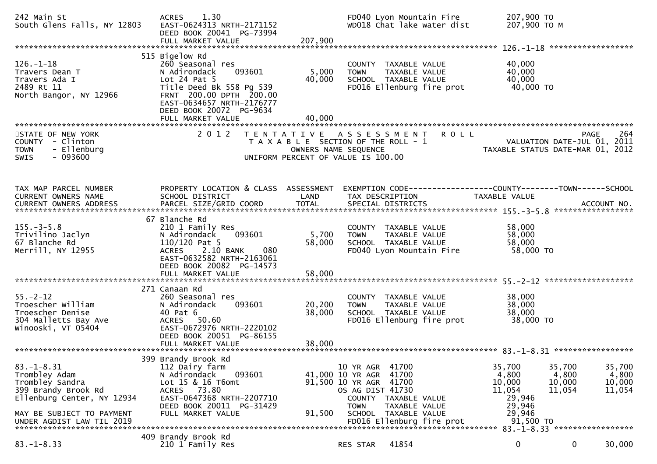| 242 Main St<br>South Glens Falls, NY 12803                                                                                                                          | 1.30<br><b>ACRES</b><br>EAST-0624313 NRTH-2171152<br>DEED BOOK 20041 PG-73994<br>FULL MARKET VALUE                                                                                                                   | 207,900                   | FD040 Lyon Mountain Fire<br>WD018 Chat lake water dist                                                                                                                                                            | 207,900 TO<br>207,900 ТО М                                                     |                                                                                          |
|---------------------------------------------------------------------------------------------------------------------------------------------------------------------|----------------------------------------------------------------------------------------------------------------------------------------------------------------------------------------------------------------------|---------------------------|-------------------------------------------------------------------------------------------------------------------------------------------------------------------------------------------------------------------|--------------------------------------------------------------------------------|------------------------------------------------------------------------------------------|
| $126. - 1 - 18$<br>Travers Dean T<br>Travers Ada I<br>2489 Rt 11<br>North Bangor, NY 12966                                                                          | 515 Bigelow Rd<br>260 Seasonal res<br>093601<br>N Adirondack<br>Lot $24$ Pat $5$<br>Title Deed Bk 558 Pg 539<br>FRNT 200.00 DPTH 200.00<br>EAST-0634657 NRTH-2176777<br>DEED BOOK 20072 PG-9634<br>FULL MARKET VALUE | 5,000<br>40,000<br>40,000 | COUNTY TAXABLE VALUE<br>TAXABLE VALUE<br><b>TOWN</b><br>SCHOOL TAXABLE VALUE<br>FD016 Ellenburg fire prot                                                                                                         | 40,000<br>40,000<br>40,000<br>40,000 TO                                        |                                                                                          |
| STATE OF NEW YORK<br>COUNTY - Clinton<br><b>TOWN</b><br>- Ellenburg<br>$-093600$<br><b>SWIS</b>                                                                     | 2 0 1 2                                                                                                                                                                                                              |                           | TENTATIVE ASSESSMENT<br><b>ROLL</b><br>T A X A B L E SECTION OF THE ROLL - 1<br>OWNERS NAME SEQUENCE<br>UNIFORM PERCENT OF VALUE IS 100.00                                                                        |                                                                                | 264<br><b>PAGE</b><br>2011<br>VALUATION DATE-JUL 01,<br>TAXABLE STATUS DATE-MAR 01, 2012 |
| TAX MAP PARCEL NUMBER<br>CURRENT OWNERS NAME                                                                                                                        | PROPERTY LOCATION & CLASS ASSESSMENT<br>SCHOOL DISTRICT                                                                                                                                                              | LAND                      | EXEMPTION CODE-----------------COUNTY--------TOWN------SCHOOL<br>TAX DESCRIPTION                                                                                                                                  | TAXABLE VALUE                                                                  |                                                                                          |
| $155. - 3 - 5.8$<br>Trivilino Jaclyn<br>67 Blanche Rd<br>Merrill, NY 12955                                                                                          | 67 Blanche Rd<br>210 1 Family Res<br>093601<br>N Adirondack<br>$110/120$ Pat 5<br>2.10 BANK<br><b>ACRES</b><br>080<br>EAST-0632582 NRTH-2163061<br>DEED BOOK 20082 PG-14573<br>FULL MARKET VALUE                     | 5,700<br>58,000<br>58,000 | COUNTY TAXABLE VALUE<br><b>TOWN</b><br>TAXABLE VALUE<br>SCHOOL TAXABLE VALUE<br>FD040 Lyon Mountain Fire                                                                                                          | 58,000<br>58,000<br>58,000<br>58,000 TO                                        |                                                                                          |
| $55. - 2 - 12$<br>Troescher William<br>Troescher Denise<br>304 Malletts Bay Ave<br>Winooski, VT 05404                                                               | 271 Canaan Rd<br>260 Seasonal res<br>N Adirondack<br>093601<br>40 Pat 6<br>ACRES 50.60<br>EAST-0672976 NRTH-2220102<br>DEED BOOK 20051 PG-86155                                                                      | 20,200<br>38,000          | COUNTY TAXABLE VALUE<br>TAXABLE VALUE<br><b>TOWN</b><br>SCHOOL TAXABLE VALUE<br>FD016 Ellenburg fire prot                                                                                                         | 38,000<br>38,000<br>38,000<br>38,000 TO                                        |                                                                                          |
| $83. - 1 - 8.31$<br>Trombley Adam<br>Trombley Sandra<br>399 Brandy Brook Rd<br>Ellenburg Center, NY 12934<br>MAY BE SUBJECT TO PAYMENT<br>UNDER AGDIST LAW TIL 2019 | 399 Brandy Brook Rd<br>112 Dairy farm<br>N Adirondack<br>093601<br>Lot 15 & 16 T6omt<br>ACRES 73.80<br>EAST-0647368 NRTH-2207710<br>DEED BOOK 20011 PG-31429<br>FULL MARKET VALUE                                    | 91,500                    | 41700<br>10 YR AGR<br>41,000 10 YR AGR 41700<br>91,500 10 YR AGR 41700<br>OS AG DIST 41730<br>COUNTY TAXABLE VALUE<br>TAXABLE VALUE<br><b>TOWN</b><br><b>SCHOOL</b><br>TAXABLE VALUE<br>FD016 Ellenburg fire prot | 35,700<br>4,800<br>10,000<br>11,054<br>29,946<br>29,946<br>29,946<br>91,500 TO | 35,700<br>35,700<br>4,800<br>4,800<br>10,000<br>10,000<br>11,054<br>11,054               |
| $83. - 1 - 8.33$                                                                                                                                                    | 409 Brandy Brook Rd<br>210 1 Family Res                                                                                                                                                                              |                           | 41854<br>RES STAR                                                                                                                                                                                                 | 0                                                                              | 0<br>30,000                                                                              |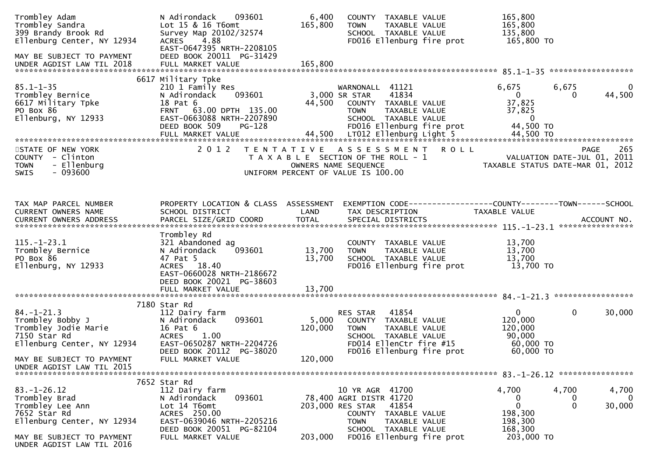| Trombley Adam<br>Trombley Sandra<br>399 Brandy Brook Rd<br>Ellenburg Center, NY 12934<br>MAY BE SUBJECT TO PAYMENT<br>UNDER AGDIST LAW TIL 2018 | 093601<br>N Adirondack<br>Lot 15 & 16 T6omt<br>Survey Map 20102/32574<br>4.88<br><b>ACRES</b><br>EAST-0647395 NRTH-2208105<br>DEED BOOK 20011 PG-31429<br>FULL MARKET VALUE                | 6,400<br>165,800<br>165,800 | COUNTY TAXABLE VALUE<br><b>TOWN</b><br>TAXABLE VALUE<br>SCHOOL TAXABLE VALUE<br>FD016 Ellenburg fire prot                                                                                | 165,800<br>165,800<br>135,800<br>165,800 TO                                           |                                                                         |
|-------------------------------------------------------------------------------------------------------------------------------------------------|--------------------------------------------------------------------------------------------------------------------------------------------------------------------------------------------|-----------------------------|------------------------------------------------------------------------------------------------------------------------------------------------------------------------------------------|---------------------------------------------------------------------------------------|-------------------------------------------------------------------------|
| $85.1 - 1 - 35$<br>Trombley Bernice<br>6617 Military Tpke<br>PO Box 86<br>Ellenburg, NY 12933                                                   | 6617 Military Tpke<br>210 1 Family Res<br>093601<br>N Adirondack<br>18 Pat 6<br>FRNT 63.00 DPTH 135.00<br>EAST-0663088 NRTH-2207890<br>DEED BOOK 509<br><b>PG-128</b><br>FULL MARKET VALUE | 44,500                      | WARNONALL 41121<br>3,000 SR STAR<br>41834<br>COUNTY TAXABLE VALUE<br><b>TOWN</b><br>TAXABLE VALUE<br>SCHOOL TAXABLE VALUE<br>FD016 Ellenburg fire prot<br>44,500 LT012 Ellenburg Light 5 | 6,675<br>$\overline{0}$<br>37,825<br>37,825<br>$\mathbf{0}$<br>44,500 TO<br>44,500 TO | 6,675<br>$\bf{0}$<br>44,500<br>$\Omega$                                 |
| STATE OF NEW YORK<br>COUNTY - Clinton<br>- Ellenburg<br><b>TOWN</b><br>$-093600$<br>SWIS                                                        | 2 0 1 2                                                                                                                                                                                    |                             | TENTATIVE ASSESSMENT<br><b>ROLL</b><br>T A X A B L E SECTION OF THE ROLL - 1<br>OWNERS NAME SEQUENCE<br>UNIFORM PERCENT OF VALUE IS 100.00                                               | TAXABLE STATUS DATE-MAR 01, 2012                                                      | 265<br><b>PAGE</b><br>VALUATION DATE-JUL 01, 2011                       |
| TAX MAP PARCEL NUMBER<br>CURRENT OWNERS NAME                                                                                                    | PROPERTY LOCATION & CLASS ASSESSMENT<br>SCHOOL DISTRICT                                                                                                                                    | LAND                        | EXEMPTION CODE------------------COUNTY--------TOWN------SCHOOL<br>TAX DESCRIPTION                                                                                                        | <b>TAXABLE VALUE</b>                                                                  |                                                                         |
| $115. - 1 - 23.1$<br>Trombley Bernice<br>PO Box 86<br>Ellenburg, NY 12933                                                                       | Trombley Rd<br>321 Abandoned ag<br>093601<br>N Adirondack<br>47 Pat 5<br>ACRES 18.40<br>EAST-0660028 NRTH-2186672<br>DEED BOOK 20021 PG-38603                                              | 13,700<br>13,700            | COUNTY TAXABLE VALUE<br>TAXABLE VALUE<br>TOWN<br>SCHOOL TAXABLE VALUE<br>FD016 Ellenburg fire prot                                                                                       | 13,700<br>13,700<br>13,700<br>13,700 TO                                               |                                                                         |
|                                                                                                                                                 | 7180 Star Rd                                                                                                                                                                               |                             |                                                                                                                                                                                          |                                                                                       |                                                                         |
| $84. - 1 - 21.3$<br>Trombley Bobby J<br>Trombley Jodie Marie<br>7150 Star Rd<br>Ellenburg Center, NY 12934                                      | 112 Dairy farm<br>093601<br>N Adirondack<br>16 Pat 6<br><b>ACRES</b><br>1.00<br>EAST-0650287 NRTH-2204726                                                                                  | 5,000<br>120,000            | 41854<br>RES STAR<br>COUNTY TAXABLE VALUE<br><b>TOWN</b><br>TAXABLE VALUE<br>SCHOOL TAXABLE VALUE<br>FD014 EllenCtr fire #15                                                             | $\mathbf{0}$<br>120,000<br>120,000<br>90,000<br>60,000 TO                             | $\mathbf 0$<br>30,000                                                   |
| MAY BE SUBJECT TO PAYMENT<br>UNDER AGDIST LAW TIL 2015                                                                                          | DEED BOOK 20112 PG-38020<br>FULL MARKET VALUE                                                                                                                                              | 120,000                     | FD016 Ellenburg fire prot                                                                                                                                                                | 60,000 TO                                                                             |                                                                         |
|                                                                                                                                                 | 7652 Star Rd                                                                                                                                                                               |                             |                                                                                                                                                                                          |                                                                                       |                                                                         |
| $83. - 1 - 26.12$<br>Trombley Brad<br>Trombley Lee Ann<br>7652 Star Rd<br>Ellenburg Center, NY 12934                                            | 112 Dairy farm<br>093601<br>N Adirondack<br>Lot 14 T6omt<br>ACRES 250.00<br>EAST-0639046 NRTH-2205216                                                                                      |                             | 10 YR AGR 41700<br>78,400 AGRI DISTR 41720<br>203,000 RES STAR<br>41854<br>COUNTY<br>TAXABLE VALUE<br><b>TOWN</b><br>TAXABLE VALUE                                                       | 4,700<br>$\bf{0}$<br>0<br>198,300<br>198,300                                          | 4,700<br>4,700<br>$\mathbf{0}$<br>$\mathbf 0$<br>$\mathbf{0}$<br>30,000 |
| MAY BE SUBJECT TO PAYMENT<br>UNDER AGDIST LAW TIL 2016                                                                                          | DEED BOOK 20051 PG-82104<br>FULL MARKET VALUE                                                                                                                                              | 203,000                     | SCHOOL TAXABLE VALUE<br>FD016 Ellenburg fire prot                                                                                                                                        | 168,300<br>203,000 TO                                                                 |                                                                         |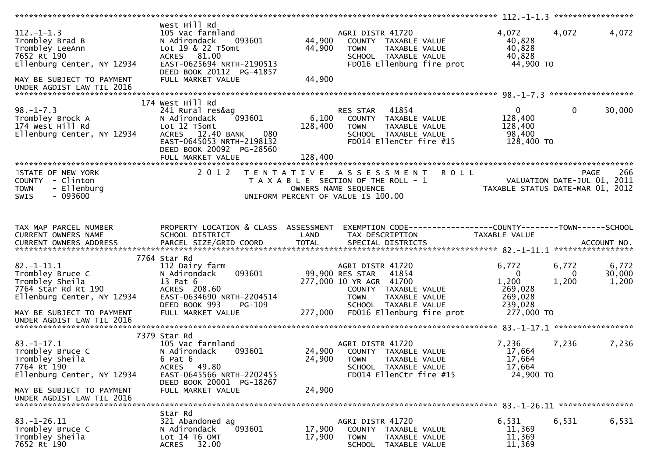|                                                                                                                                                               |                                                                                                                                                                              |                            |                                                                                                                                                                                             | $112. - 1 - 1.3$ ******************                                           |                     |                          |
|---------------------------------------------------------------------------------------------------------------------------------------------------------------|------------------------------------------------------------------------------------------------------------------------------------------------------------------------------|----------------------------|---------------------------------------------------------------------------------------------------------------------------------------------------------------------------------------------|-------------------------------------------------------------------------------|---------------------|--------------------------|
| $112. - 1 - 1.3$<br>Trombley Brad B<br>Trombley LeeAnn<br>7652 Rt 190<br>Ellenburg Center, NY 12934<br>MAY BE SUBJECT TO PAYMENT<br>UNDER AGDIST LAW TIL 2016 | West Hill Rd<br>105 Vac farmland<br>N Adirondack<br>093601<br>Lot 19 & 22 T5omt<br>ACRES 81.00<br>EAST-0625694 NRTH-2190513<br>DEED BOOK 20112 PG-41857<br>FULL MARKET VALUE | 44,900<br>44,900<br>44,900 | AGRI DISTR 41720<br>COUNTY TAXABLE VALUE<br>TAXABLE VALUE<br><b>TOWN</b><br>SCHOOL TAXABLE VALUE<br>FD016 Ellenburg fire prot                                                               | 4,072<br>40,828<br>40,828<br>40,828<br>44,900 TO                              | 4,072               | 4,072                    |
|                                                                                                                                                               |                                                                                                                                                                              |                            |                                                                                                                                                                                             |                                                                               |                     |                          |
| $98. - 1 - 7.3$<br>Trombley Brock A<br>174 West Hill Rd<br>Ellenburg Center, NY 12934                                                                         | 174 West Hill Rd<br>241 Rural res&ag<br>093601<br>N Adirondack<br>Lot 12 T5omt<br>080<br>ACRES 12.40 BANK<br>EAST-0645053 NRTH-2198132<br>DEED BOOK 20092 PG-28560           | 6,100<br>128,400           | 41854<br>RES STAR<br>COUNTY TAXABLE VALUE<br><b>TOWN</b><br>TAXABLE VALUE<br>SCHOOL TAXABLE VALUE<br>FD014 EllenCtr fire #15                                                                | $\overline{0}$<br>128,400<br>128,400<br>98,400<br>128,400 TO                  | $\mathbf{0}$        | 30,000                   |
|                                                                                                                                                               | FULL MARKET VALUE                                                                                                                                                            | 128,400                    |                                                                                                                                                                                             |                                                                               |                     |                          |
| STATE OF NEW YORK<br>COUNTY - Clinton<br><b>TOWN</b><br>- Ellenburg<br>$-093600$<br><b>SWIS</b>                                                               | 2 0 1 2                                                                                                                                                                      |                            | <b>ROLL</b><br>TENTATIVE ASSESSMENT<br>T A X A B L E SECTION OF THE ROLL - 1<br>OWNERS NAME SEQUENCE<br>UNIFORM PERCENT OF VALUE IS 100.00                                                  | VALUATION DATE-JUL 01, 2011<br>TAXABLE STATUS DATE-MAR 01, 2012               | <b>PAGE</b>         | 266                      |
|                                                                                                                                                               |                                                                                                                                                                              |                            |                                                                                                                                                                                             |                                                                               |                     |                          |
| TAX MAP PARCEL NUMBER<br>CURRENT OWNERS NAME                                                                                                                  | PROPERTY LOCATION & CLASS ASSESSMENT<br>SCHOOL DISTRICT                                                                                                                      | LAND                       | EXEMPTION CODE------------------COUNTY--------TOWN------SCHOOL<br>TAX DESCRIPTION                                                                                                           | TAXABLE VALUE                                                                 |                     |                          |
|                                                                                                                                                               | 7764 Star Rd                                                                                                                                                                 |                            |                                                                                                                                                                                             |                                                                               |                     |                          |
| $82.-1-11.1$<br>Trombley Bruce C<br>Trombley Sheila<br>7764 Star Rd Rt 190<br>Ellenburg Center, NY 12934<br>MAY BE SUBJECT TO PAYMENT                         | 112 Dairy farm<br>093601<br>N Adirondack<br>13 Pat 6<br>ACRES 208.60<br>EAST-0634690 NRTH-2204514<br>DEED BOOK 993<br>PG-109<br>FULL MARKET VALUE                            | 277,000                    | AGRI DISTR 41720<br>99,900 RES STAR<br>41854<br>277,000 10 YR AGR 41700<br>COUNTY TAXABLE VALUE<br><b>TOWN</b><br><b>TAXABLE VALUE</b><br>SCHOOL TAXABLE VALUE<br>FD016 Ellenburg fire prot | 6,772<br>$\mathbf{0}$<br>1,200<br>269,028<br>269,028<br>239,028<br>277,000 TO | 6,772<br>0<br>1,200 | 6,772<br>30,000<br>1,200 |
| UNDER AGDIST LAW TIL 2016                                                                                                                                     |                                                                                                                                                                              |                            |                                                                                                                                                                                             |                                                                               |                     |                          |
|                                                                                                                                                               |                                                                                                                                                                              |                            |                                                                                                                                                                                             |                                                                               |                     |                          |
| $83.-1-17.1$<br>Trombley Bruce C<br>Trombley Sheila<br>7764 Rt 190<br>Ellenburg Center, NY 12934                                                              | 7379 Star Rd<br>105 Vac farmland<br>N Adirondack<br>093601<br>6 Pat 6<br><b>ACRES</b><br>49.80<br>EAST-0645566 NRTH-2202455<br>DEED BOOK 20001 PG-18267                      | 24,900<br>24,900           | AGRI DISTR 41720<br>COUNTY TAXABLE VALUE<br><b>TOWN</b><br>TAXABLE VALUE<br>SCHOOL TAXABLE VALUE<br>FD014 EllenCtr fire #15                                                                 | 7,236<br>17,664<br>17,664<br>17,664<br>24,900 TO                              | 7,236               | 7,236                    |
| MAY BE SUBJECT TO PAYMENT                                                                                                                                     | FULL MARKET VALUE                                                                                                                                                            | 24,900                     |                                                                                                                                                                                             |                                                                               |                     |                          |
| UNDER AGDIST LAW TIL 2016                                                                                                                                     |                                                                                                                                                                              |                            |                                                                                                                                                                                             |                                                                               |                     |                          |
|                                                                                                                                                               | Star Rd                                                                                                                                                                      |                            |                                                                                                                                                                                             |                                                                               |                     |                          |
| $83. - 1 - 26.11$<br>Trombley Bruce C<br>Trombley Sheila<br>7652 Rt 190                                                                                       | 321 Abandoned ag<br>N Adirondack<br>093601<br>Lot 14 T6 OMT<br>32.00<br><b>ACRES</b>                                                                                         | 17,900<br>17,900           | AGRI DISTR 41720<br>COUNTY TAXABLE VALUE<br><b>TOWN</b><br>TAXABLE VALUE<br>SCHOOL<br>TAXABLE VALUE                                                                                         | 6,531<br>11,369<br>11,369<br>11,369                                           | 6,531               | 6,531                    |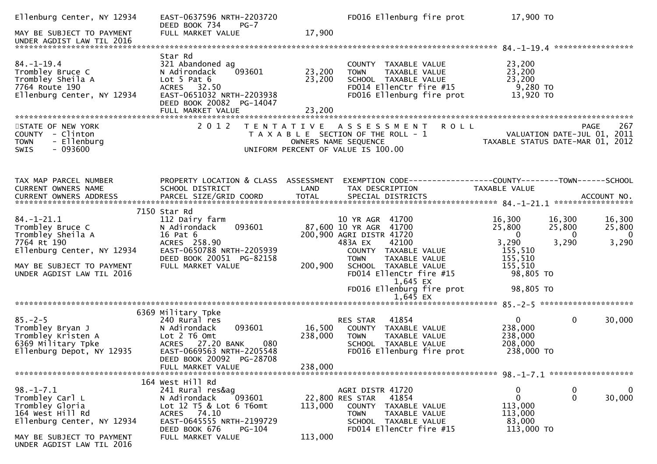| Ellenburg Center, NY 12934                                                                                | EAST-0637596 NRTH-2203720<br>DEED BOOK 734<br>$PG-7$                                                                                             |                      | FD016 Ellenburg fire prot                                                                                                               | 17,900 TO                                           |                                                                    |
|-----------------------------------------------------------------------------------------------------------|--------------------------------------------------------------------------------------------------------------------------------------------------|----------------------|-----------------------------------------------------------------------------------------------------------------------------------------|-----------------------------------------------------|--------------------------------------------------------------------|
| MAY BE SUBJECT TO PAYMENT                                                                                 | FULL MARKET VALUE                                                                                                                                | 17,900               |                                                                                                                                         |                                                     |                                                                    |
|                                                                                                           |                                                                                                                                                  |                      |                                                                                                                                         |                                                     |                                                                    |
| $84. - 1 - 19.4$<br>Trombley Bruce C<br>Trombley Sheila A<br>7764 Route 190<br>Ellenburg Center, NY 12934 | Star Rd<br>321 Abandoned ag<br>N Adirondack<br>093601<br>Lot $5$ Pat $6$<br>ACRES 32.50<br>EAST-0651032 NRTH-2203938<br>DEED BOOK 20082 PG-14047 | 23,200<br>23,200     | COUNTY<br>TAXABLE VALUE<br>TAXABLE VALUE<br><b>TOWN</b><br>SCHOOL TAXABLE VALUE<br>FD014 EllenCtr fire #15<br>FD016 Ellenburg fire prot | 23,200<br>23,200<br>23,200<br>9,280 TO<br>13,920 TO |                                                                    |
|                                                                                                           |                                                                                                                                                  |                      |                                                                                                                                         |                                                     |                                                                    |
| STATE OF NEW YORK<br>COUNTY - Clinton<br>- Ellenburg<br><b>TOWN</b><br>$-093600$<br><b>SWIS</b>           | 2 0 1 2                                                                                                                                          | OWNERS NAME SEQUENCE | <b>ROLL</b><br>TENTATIVE ASSESSMENT<br>T A X A B L E SECTION OF THE ROLL - 1<br>UNIFORM PERCENT OF VALUE IS 100.00                      | TAXABLE STATUS DATE-MAR 01, 2012                    | 267<br>PAGE<br>VALUATION DATE-JUL 01, 2011                         |
| TAX MAP PARCEL NUMBER                                                                                     | PROPERTY LOCATION & CLASS ASSESSMENT                                                                                                             |                      | EXEMPTION CODE------------------COUNTY--------TOWN------SCHOOL                                                                          |                                                     |                                                                    |
| CURRENT OWNERS NAME                                                                                       | SCHOOL DISTRICT                                                                                                                                  | LAND                 | TAX DESCRIPTION                                                                                                                         | TAXABLE VALUE                                       |                                                                    |
|                                                                                                           | 7150 Star Rd                                                                                                                                     |                      |                                                                                                                                         |                                                     |                                                                    |
| $84. - 1 - 21.1$<br>Trombley Bruce C<br>Trombley Sheila A                                                 | 112 Dairy farm<br>093601<br>N Adirondack<br>16 Pat 6                                                                                             |                      | 10 YR AGR 41700<br>87,600 10 YR AGR 41700<br>200,900 AGRI DISTR 41720                                                                   | 16,300<br>25,800<br>$\Omega$                        | 16,300<br>16,300<br>25,800<br>25,800<br>$\Omega$<br>$\overline{0}$ |
| 7764 Rt 190<br>Ellenburg Center, NY 12934                                                                 | ACRES 258.90<br>EAST-0650788 NRTH-2205939<br>DEED BOOK 20051 PG-82158                                                                            |                      | 42100<br>483A EX<br>COUNTY TAXABLE VALUE<br><b>TOWN</b><br>TAXABLE VALUE                                                                | 3,290<br>155,510<br>155,510                         | 3,290<br>3,290                                                     |
| MAY BE SUBJECT TO PAYMENT<br>UNDER AGDIST LAW TIL 2016                                                    | FULL MARKET VALUE                                                                                                                                | 200,900              | SCHOOL TAXABLE VALUE<br>FD014 EllenCtr fire #15                                                                                         | 155,510<br>98,805 TO                                |                                                                    |
|                                                                                                           |                                                                                                                                                  |                      | 1,645 EX<br>FD016 Ellenburg fire prot<br>$1,645$ EX                                                                                     | 98,805 TO                                           |                                                                    |
|                                                                                                           |                                                                                                                                                  |                      |                                                                                                                                         |                                                     |                                                                    |
| $85. - 2 - 5$<br>Trombley Bryan J<br>Trombley Kristen A<br>6369 Military Tpke                             | 6369 Military Tpke<br>240 Rural res<br>093601<br>N Adirondack<br>Lot 2 T6 Omt<br>ACRES 27.20 BANK<br>080                                         | 16,500<br>238,000    | 41854<br><b>RES STAR</b><br>COUNTY TAXABLE VALUE<br>TAXABLE VALUE<br>TOWN<br>SCHOOL TAXABLE VALUE                                       | $\mathbf{0}$<br>238,000<br>238,000<br>208,000       | 0<br>30,000                                                        |
| Ellenburg Depot, NY 12935                                                                                 | EAST-0669563 NRTH-2205548<br>DEED BOOK 20092 PG-28708<br>FULL MARKET VALUE                                                                       | 238,000              | FD016 Ellenburg fire prot                                                                                                               | 238,000 TO                                          |                                                                    |
|                                                                                                           |                                                                                                                                                  |                      |                                                                                                                                         |                                                     |                                                                    |
|                                                                                                           | 164 West Hill Rd                                                                                                                                 |                      |                                                                                                                                         |                                                     |                                                                    |
| $98. - 1 - 7.1$<br>Trombley Carl L<br>Trombley Gloria<br>164 West Hill Rd<br>Ellenburg Center, NY 12934   | 241 Rural res&ag<br>093601<br>N Adirondack<br>Lot $12$ T5 & Lot 6 T6omt<br>ACRES 74.10<br>EAST-0645555 NRTH-2199729                              | 113,000              | AGRI DISTR 41720<br>22,800 RES STAR<br>41854<br><b>COUNTY</b><br>TAXABLE VALUE<br>TAXABLE VALUE<br><b>TOWN</b><br>SCHOOL TAXABLE VALUE  | 0<br>0<br>113,000<br>113,000<br>83,000              | 0<br>0<br>0<br>30,000                                              |
| MAY BE SUBJECT TO PAYMENT<br>UNDER AGDIST LAW TIL 2016                                                    | DEED BOOK 676<br><b>PG-104</b><br>FULL MARKET VALUE                                                                                              | 113,000              | FD014 EllenCtr fire #15                                                                                                                 | 113,000 TO                                          |                                                                    |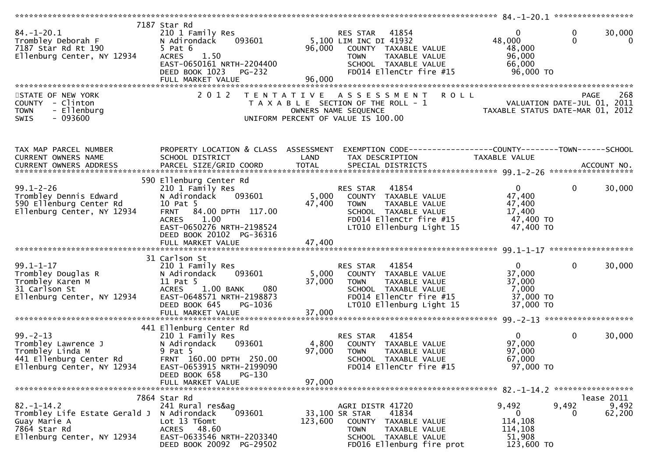| $84. - 1 - 20.1$<br>Trombley Deborah F<br>7187 Star Rd Rt 190<br>Ellenburg Center, NY 12934                        | 7187 Star Rd<br>210 1 Family Res<br>093601<br>N Adirondack<br>$5$ Pat $6$<br><b>ACRES</b><br>1.50<br>EAST-0650161 NRTH-2204400<br>DEED BOOK 1023<br><b>PG-232</b><br>FULL MARKET VALUE                 | RES STAR<br>41854<br>5,100 LIM INC DI 41932<br>96,000<br>COUNTY TAXABLE VALUE<br>TAXABLE VALUE<br><b>TOWN</b><br>SCHOOL TAXABLE VALUE<br>FD014 EllenCtr fire #15<br>96,000            | $\mathbf 0$<br>30,000<br>$\mathbf{0}$<br>$\Omega$<br>48,000<br>$\overline{0}$<br>48,000<br>96,000<br>66,000<br>96,000 TO |
|--------------------------------------------------------------------------------------------------------------------|--------------------------------------------------------------------------------------------------------------------------------------------------------------------------------------------------------|---------------------------------------------------------------------------------------------------------------------------------------------------------------------------------------|--------------------------------------------------------------------------------------------------------------------------|
| STATE OF NEW YORK<br>COUNTY - Clinton<br>- Ellenburg<br><b>TOWN</b><br>SWIS<br>- 093600                            | 2 0 1 2                                                                                                                                                                                                | <b>ROLL</b><br>T E N T A T I V E<br>A S S E S S M E N T<br>T A X A B L E SECTION OF THE ROLL - 1<br>OWNERS NAME SEQUENCE<br>UNIFORM PERCENT OF VALUE IS 100.00                        | 268<br><b>PAGE</b><br>VALUATION DATE-JUL 01, 2011<br>TAXABLE STATUS DATE-MAR 01, 2012                                    |
| TAX MAP PARCEL NUMBER<br>CURRENT OWNERS NAME<br>CURRENT OWNERS ADDRESS                                             | PROPERTY LOCATION & CLASS ASSESSMENT<br>SCHOOL DISTRICT                                                                                                                                                | TAX DESCRIPTION<br>LAND                                                                                                                                                               | EXEMPTION CODE------------------COUNTY--------TOWN------SCHOOL<br>TAXABLE VALUE                                          |
| $99.1 - 2 - 26$<br>Trombley Dennis Edward<br>590 Ellenburg Center Rd<br>Ellenburg Center, NY 12934                 | 590 Ellenburg Center Rd<br>210 1 Family Res<br>093601<br>N Adirondack<br>10 Pat 5<br>84.00 DPTH 117.00<br><b>FRNT</b><br>1.00<br><b>ACRES</b><br>EAST-0650276 NRTH-2198524<br>DEED BOOK 20102 PG-36316 | 41854<br>RES STAR<br>5,000<br>COUNTY TAXABLE VALUE<br>47,400<br><b>TOWN</b><br>TAXABLE VALUE<br>SCHOOL TAXABLE VALUE<br>FD014 EllenCtr fire #15<br>LT010 Ellenburg Light 15           | $\overline{0}$<br>$\mathbf{0}$<br>30,000<br>47,400<br>47,400<br>17,400<br>47,400 TO<br>47,400 TO                         |
| $99.1 - 1 - 17$<br>Trombley Douglas R<br>Trombley Karen M<br>31 Carlson St<br>Ellenburg Center, NY 12934           | 31 Carlson St<br>210 1 Family Res<br>093601<br>N Adirondack<br>11 Pat 5<br><b>ACRES</b><br>$1.00$ BANK<br>080<br>EAST-0648571 NRTH-2198873<br>DEED BOOK 645<br>PG-1036<br>FULL MARKET VALUE            | 41854<br>RES STAR<br>5,000<br>COUNTY TAXABLE VALUE<br>37,000<br><b>TOWN</b><br>TAXABLE VALUE<br>SCHOOL TAXABLE VALUE<br>FD014 EllenCtr fire #15<br>LT010 Ellenburg Light 15<br>37,000 | $\mathbf 0$<br>$\overline{0}$<br>30,000<br>37,000<br>37,000<br>7,000<br>37,000 TO<br>37,000 TO                           |
| $99. - 2 - 13$<br>Trombley Lawrence J<br>Trombley Linda M<br>441 Ellenburg Center Rd<br>Ellenburg Center, NY 12934 | 441 Ellenburg Center Rd<br>210 1 Family Res<br>N Adirondack<br>093601<br>9 Pat 5<br>FRNT 160.00 DPTH 250.00<br>EAST-0653915 NRTH-2199090<br>DEED BOOK 658<br>PG-130<br>FULL MARKET VALUE               | 41854<br>RES STAR<br>4,800<br>COUNTY TAXABLE VALUE<br>97,000<br><b>TOWN</b><br>TAXABLE VALUE<br>SCHOOL TAXABLE VALUE<br>FD014 EllenCtr fire #15<br>97,000                             | $\mathbf 0$<br>$\Omega$<br>30,000<br>97,000<br>97,000<br>67,000<br>97,000 TO                                             |
| $82. - 1 - 14.2$<br>Trombley Life Estate Gerald J<br>Guay Marie A<br>7864 Star Rd<br>Ellenburg Center, NY 12934    | 7864 Star Rd<br>241 Rural res&ag<br>N Adirondack<br>093601<br>Lot 13 T6omt<br>ACRES 48.60<br>EAST-0633546 NRTH-2203340<br>DEED BOOK 20092 PG-29502                                                     | AGRI DISTR 41720<br>41834<br>33,100 SR STAR<br>123,600<br>COUNTY TAXABLE VALUE<br><b>TOWN</b><br>TAXABLE VALUE<br>SCHOOL TAXABLE VALUE<br>FD016 Ellenburg fire prot                   | lease 2011<br>9,492<br>9,492<br>9,492<br>62,200<br>0<br>0<br>114,108<br>114,108<br>51,908<br>123,600 TO                  |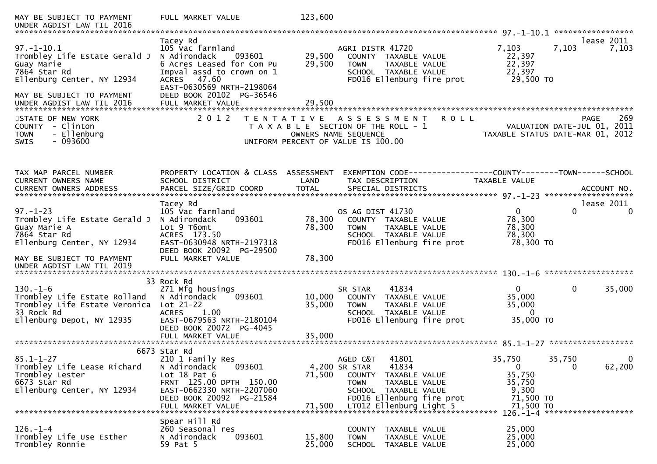| MAY BE SUBJECT TO PAYMENT<br>UNDER AGDIST LAW TIL 2016                                                                                                                  | FULL MARKET VALUE                                                                                                                                                                                             | 123,600                    |                                                                                                                                                                                        |                                                                               | *****************                                                              |
|-------------------------------------------------------------------------------------------------------------------------------------------------------------------------|---------------------------------------------------------------------------------------------------------------------------------------------------------------------------------------------------------------|----------------------------|----------------------------------------------------------------------------------------------------------------------------------------------------------------------------------------|-------------------------------------------------------------------------------|--------------------------------------------------------------------------------|
| $97. - 1 - 10.1$<br>Trombley Life Estate Gerald J<br>Guay Marie<br>7864 Star Rd<br>Ellenburg Center, NY 12934<br>MAY BE SUBJECT TO PAYMENT<br>UNDER AGDIST LAW TIL 2016 | Tacey Rd<br>105 Vac farmland<br>N Adirondack<br>093601<br>6 Acres Leased for Com Pu<br>Impval assd to crown on 1<br>ACRES 47.60<br>EAST-0630569 NRTH-2198064<br>DEED BOOK 20102 PG-36546<br>FULL MARKET VALUE | 29,500<br>29,500<br>29,500 | AGRI DISTR 41720<br>COUNTY TAXABLE VALUE<br><b>TOWN</b><br>TAXABLE VALUE<br>SCHOOL TAXABLE VALUE<br>FD016 Ellenburg fire prot                                                          | 7,103<br>22,397<br>22,397<br>22,397<br>29,500 TO                              | lease 2011<br>7,103<br>7,103                                                   |
|                                                                                                                                                                         |                                                                                                                                                                                                               |                            |                                                                                                                                                                                        |                                                                               |                                                                                |
| STATE OF NEW YORK<br>- Clinton<br><b>COUNTY</b><br>- Ellenburg<br><b>TOWN</b><br>$-093600$<br><b>SWIS</b>                                                               | 2 0 1 2                                                                                                                                                                                                       | OWNERS NAME SEQUENCE       | TENTATIVE ASSESSMENT<br><b>ROLL</b><br>T A X A B L E SECTION OF THE ROLL - 1<br>UNIFORM PERCENT OF VALUE IS 100.00                                                                     |                                                                               | 269<br>PAGE<br>VALUATION DATE-JUL 01, 2011<br>TAXABLE STATUS DATE-MAR 01, 2012 |
| TAX MAP PARCEL NUMBER<br>CURRENT OWNERS NAME                                                                                                                            | PROPERTY LOCATION & CLASS ASSESSMENT<br>SCHOOL DISTRICT                                                                                                                                                       | LAND                       | EXEMPTION CODE------------------COUNTY--------TOWN------SCHOOL<br>TAX DESCRIPTION                                                                                                      | TAXABLE VALUE                                                                 |                                                                                |
| $97. - 1 - 23$<br>Trombley Life Estate Gerald J<br>Guay Marie A<br>7864 Star Rd<br>Ellenburg Center, NY 12934<br>MAY BE SUBJECT TO PAYMENT<br>UNDER AGDIST LAW TIL 2019 | Tacey Rd<br>105 Vac farmland<br>N Adirondack<br>093601<br>Lot 9 T6omt<br>ACRES 173.50<br>EAST-0630948 NRTH-2197318<br>DEED BOOK 20092 PG-29500<br>FULL MARKET VALUE                                           | 78,300<br>78,300<br>78,300 | OS AG DIST 41730<br>COUNTY TAXABLE VALUE<br><b>TOWN</b><br>TAXABLE VALUE<br>SCHOOL TAXABLE VALUE<br>FD016 Ellenburg fire prot                                                          | $\overline{0}$<br>78,300<br>78,300<br>78,300<br>78,300 TO                     | lease 2011<br>$\Omega$<br>0                                                    |
| $130. - 1 - 6$<br>Trombley Life Estate Rolland<br>Trombley Life Estate Veronica Lot 21-22<br>33 Rock Rd<br>Ellenburg Depot, NY 12935                                    | 33 Rock Rd<br>271 Mfg housings<br>N Adirondack<br>093601<br><b>ACRES</b><br>1.00<br>EAST-0679563 NRTH-2180104<br>DEED BOOK 20072 PG-4045<br>FULL MARKET VALUE                                                 | 10,000<br>35,000<br>35,000 | 41834<br>SR STAR<br>COUNTY TAXABLE VALUE<br>TAXABLE VALUE<br><b>TOWN</b><br>SCHOOL TAXABLE VALUE<br>FD016 Ellenburg fire prot                                                          | 0<br>35,000<br>35,000<br>$\mathbf{0}$<br>35,000 TO                            | 35,000<br>$\mathbf{0}$                                                         |
| $85.1 - 1 - 27$<br>Trombley Life Lease Richard<br>Trombley Lester<br>6673 Star Rd<br>Ellenburg Center, NY 12934                                                         | 6673 Star Rd<br>210 1 Family Res<br>093601<br>N Adirondack<br>Lot $18$ Pat $6$<br>FRNT 125.00 DPTH 150.00<br>EAST-0662330 NRTH-2207060<br>DEED BOOK 20092 PG-21584<br>FULL MARKET VALUE                       | 71,500<br>71,500           | 41801<br>AGED C&T<br>41834<br>4,200 SR STAR<br>COUNTY<br>TAXABLE VALUE<br><b>TOWN</b><br>TAXABLE VALUE<br>SCHOOL TAXABLE VALUE<br>FD016 Ellenburg fire prot<br>LT012 Ellenburg Light 5 | 35,750<br>$\mathbf{0}$<br>35,750<br>35,750<br>9,300<br>71,500 TO<br>71,500 TO | 35,750<br>0<br>62,200<br>$\mathbf{0}$                                          |
| $126. - 1 - 4$<br>Trombley Life Use Esther<br>Trombley Ronnie                                                                                                           | Spear Hill Rd<br>260 Seasonal res<br>093601<br>N Adirondack<br>59 Pat 5                                                                                                                                       | 15,800<br>25,000           | COUNTY<br>TAXABLE VALUE<br>TAXABLE VALUE<br><b>TOWN</b><br><b>SCHOOL</b><br>TAXABLE VALUE                                                                                              | 25,000<br>25,000<br>25,000                                                    | 126. -1-4 *********************                                                |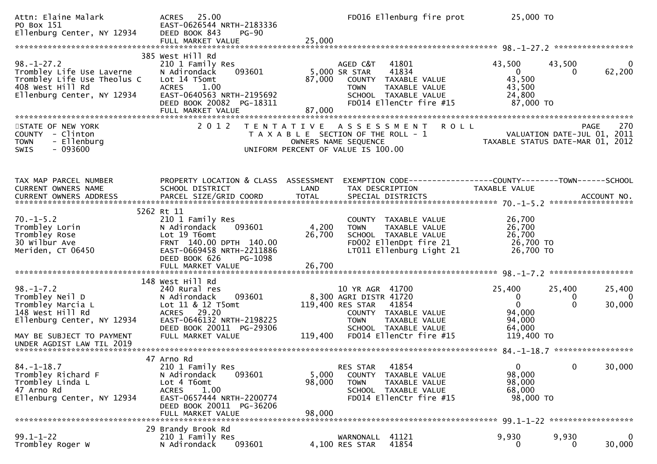| Attn: Elaine Malark<br>PO Box 151<br>Ellenburg Center, NY 12934                                                                                                     | 25.00<br><b>ACRES</b><br>EAST-0626544 NRTH-2183336<br>DEED BOOK 843<br><b>PG-90</b><br>FULL MARKET VALUE                                                                             | 25,000                    | FD016 Ellenburg fire prot                                                                                                                                                         | 25,000 TO                                                                          |                                                                                |
|---------------------------------------------------------------------------------------------------------------------------------------------------------------------|--------------------------------------------------------------------------------------------------------------------------------------------------------------------------------------|---------------------------|-----------------------------------------------------------------------------------------------------------------------------------------------------------------------------------|------------------------------------------------------------------------------------|--------------------------------------------------------------------------------|
| $98. - 1 - 27.2$<br>Trombley Life Use Laverne<br>Trombley Life Use Theolus C<br>408 West Hill Rd<br>Ellenburg Center, NY 12934                                      | 385 West Hill Rd<br>210 1 Family Res<br>N Adirondack<br>093601<br>Lot 14 T5omt<br><b>ACRES</b><br>1.00<br>EAST-0640563 NRTH-2195692<br>DEED BOOK 20082 PG-18311<br>FULL MARKET VALUE | 87,000<br>87,000          | 41801<br>AGED C&T<br>41834<br>5,000 SR STAR<br>COUNTY TAXABLE VALUE<br><b>TOWN</b><br>TAXABLE VALUE<br>SCHOOL TAXABLE VALUE<br>FD014 EllenCtr fire #15                            | 43,500<br>$\mathbf{0}$<br>43,500<br>43,500<br>24,800<br>87,000 TO                  | 43,500<br>$\overline{0}$<br>62,200<br>0                                        |
| STATE OF NEW YORK<br>- Clinton<br><b>COUNTY</b><br>- Ellenburg<br><b>TOWN</b><br>$-093600$<br><b>SWIS</b>                                                           | 2 0 1 2                                                                                                                                                                              |                           | <b>ROLL</b><br>TENTATIVE ASSESSMENT<br>T A X A B L E SECTION OF THE ROLL - 1<br>OWNERS NAME SEQUENCE<br>UNIFORM PERCENT OF VALUE IS 100.00                                        |                                                                                    | 270<br>PAGE<br>VALUATION DATE-JUL 01, 2011<br>TAXABLE STATUS DATE-MAR 01, 2012 |
| TAX MAP PARCEL NUMBER<br><b>CURRENT OWNERS NAME</b>                                                                                                                 | PROPERTY LOCATION & CLASS ASSESSMENT<br>SCHOOL DISTRICT                                                                                                                              | LAND                      | EXEMPTION CODE-----------------COUNTY-------TOWN------SCHOOL<br>TAX DESCRIPTION                                                                                                   | TAXABLE VALUE                                                                      |                                                                                |
| $70. - 1 - 5.2$<br>Trombley Lorin<br>Trombley Rose<br>30 Wilbur Ave<br>Meriden, CT 06450                                                                            | 5262 Rt 11<br>210 1 Family Res<br>093601<br>N Adirondack<br>Lot 19 T6omt<br>FRNT 140.00 DPTH 140.00<br>EAST-0669458 NRTH-2211886<br>DEED BOOK 626<br>PG-1098<br>FULL MARKET VALUE    | 4,200<br>26,700<br>26,700 | COUNTY TAXABLE VALUE<br>TAXABLE VALUE<br><b>TOWN</b><br>SCHOOL TAXABLE VALUE<br>FD002 EllenDpt fire 21<br>LT011 Ellenburg Light 21                                                | 26,700<br>26,700<br>26,700<br>26,700 TO<br>26,700 TO                               |                                                                                |
| $98. - 1 - 7.2$<br>Trombley Neil D<br>Trombley Marcia L<br>148 West Hill Rd<br>Ellenburg Center, NY 12934<br>MAY BE SUBJECT TO PAYMENT<br>UNDER AGDIST LAW TIL 2019 | 148 West Hill Rd<br>240 Rural res<br>N Adirondack<br>093601<br>Lot 11 & 12 T5omt<br>ACRES 29.20<br>EAST-0646132 NRTH-2198225<br>DEED BOOK 20011 PG-29306<br>FULL MARKET VALUE        | 119,400                   | 10 YR AGR 41700<br>8,300 AGRI DISTR 41720<br>119,400 RES STAR<br>41854<br>COUNTY TAXABLE VALUE<br><b>TOWN</b><br>TAXABLE VALUE<br>SCHOOL TAXABLE VALUE<br>FD014 EllenCtr fire #15 | 25,400<br>$\mathbf{0}$<br>$\mathbf{0}$<br>94,000<br>94,000<br>64,000<br>119,400 TO | 25,400<br>25,400<br>0<br>-0<br>$\Omega$<br>30,000                              |
| $84. - 1 - 18.7$<br>Trombley Richard F<br>Trombley Linda L<br>47 Arno Rd<br>Ellenburg Center, NY 12934                                                              | 47 Arno Rd<br>210 1 Family Res<br>N Adirondack<br>093601<br>Lot 4 T6omt<br>1.00<br><b>ACRES</b><br>EAST-0657444 NRTH-2200774<br>DEED BOOK 20011 PG-36206<br>FULL MARKET VALUE        | 5,000<br>98,000<br>98,000 | 41854<br>RES STAR<br><b>COUNTY</b><br>TAXABLE VALUE<br>TAXABLE VALUE<br><b>TOWN</b><br>SCHOOL TAXABLE VALUE<br>FD014 EllenCtr fire #15                                            | $\mathbf{0}$<br>98,000<br>98,000<br>68,000<br>98,000 TO                            | $\mathbf 0$<br>30,000                                                          |
| $99.1 - 1 - 22$<br>Trombley Roger W                                                                                                                                 | 29 Brandy Brook Rd<br>210 1 Family Res<br>093601<br>N Adirondack                                                                                                                     |                           | 41121<br>WARNONALL<br>41854<br>4,100 RES STAR                                                                                                                                     | 9,930<br>0                                                                         | 9,930<br>$\mathbf 0$<br>30,000<br>0                                            |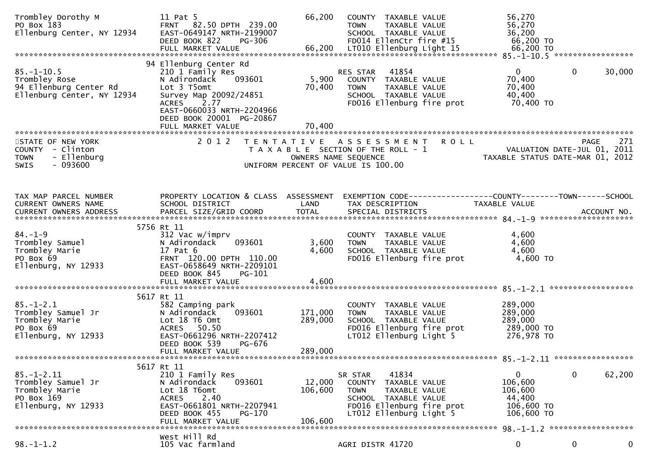| Trombley Dorothy M<br>PO Box 183<br>Ellenburg Center, NY 12934                                | 11 Pat 5<br>FRNT 82.50 DPTH 239.00<br>EAST-0649147 NRTH-2199007<br><b>PG-306</b><br>DEED BOOK 822                                                                                              | 66,200                        | COUNTY TAXABLE VALUE<br><b>TOWN</b><br>TAXABLE VALUE<br>SCHOOL TAXABLE VALUE<br>FD014 EllenCtr fire #15                                                     | 56,270<br>56,270<br>36,200<br>66,200 TO                       |                                |
|-----------------------------------------------------------------------------------------------|------------------------------------------------------------------------------------------------------------------------------------------------------------------------------------------------|-------------------------------|-------------------------------------------------------------------------------------------------------------------------------------------------------------|---------------------------------------------------------------|--------------------------------|
| $85. - 1 - 10.5$<br>Trombley Rose<br>94 Ellenburg Center Rd<br>Ellenburg Center, NY 12934     | 94 Ellenburg Center Rd<br>210 1 Family Res<br>093601<br>N Adirondack<br>Lot 3 T5omt<br>Survey Map 20092/24851<br>2.77<br><b>ACRES</b><br>EAST-0660033 NRTH-2204966<br>DEED BOOK 20001 PG-20867 | 5,900<br>70,400               | 41854<br>RES STAR<br>COUNTY TAXABLE VALUE<br><b>TOWN</b><br>TAXABLE VALUE<br>SCHOOL TAXABLE VALUE<br>FD016 Ellenburg fire prot                              | $\mathbf{0}$<br>70,400<br>70,400<br>40,400<br>70,400 TO       | $\mathbf{0}$<br>30,000         |
| STATE OF NEW YORK<br>COUNTY - Clinton                                                         | FULL MARKET VALUE<br>2 0 1 2                                                                                                                                                                   | 70,400                        | TENTATIVE ASSESSMENT ROLL<br>VALUATION DATE-JUL 01, 2011<br>TAXABLE STATUS DATE-MAR 01, 2012<br>T A X A B L E SECTION OF THE ROLL - 1                       |                                                               | PAGE<br>271                    |
| - Ellenburg<br><b>TOWN</b><br>$-093600$<br>SWIS                                               |                                                                                                                                                                                                |                               | OWNERS NAME SEQUENCE<br>UNIFORM PERCENT OF VALUE IS 100.00                                                                                                  |                                                               |                                |
| TAX MAP PARCEL NUMBER<br>CURRENT OWNERS NAME<br>CURRENT OWNERS ADDRESS                        | PROPERTY LOCATION & CLASS ASSESSMENT<br>SCHOOL DISTRICT                                                                                                                                        | LAND                          | EXEMPTION CODE-----------------COUNTY-------TOWN------SCHOOL<br>TAX DESCRIPTION                                                                             | TAXABLE VALUE                                                 |                                |
| $84. - 1 - 9$<br>Trombley Samuel<br>Trombley Marie<br>PO Box 69<br>Ellenburg, NY 12933        | 5756 Rt 11<br>312 Vac w/imprv<br>093601<br>N Adirondack<br>17 Pat 6<br>FRNT 120.00 DPTH 110.00<br>EAST-0658649 NRTH-2209101<br>DEED BOOK 845<br>PG-101                                         | 3,600<br>4,600                | COUNTY TAXABLE VALUE<br>TAXABLE VALUE<br><b>TOWN</b><br>SCHOOL TAXABLE VALUE<br>FD016 Ellenburg fire prot                                                   | 4,600<br>4,600<br>4,600<br>4,600 TO                           |                                |
|                                                                                               | FULL MARKET VALUE                                                                                                                                                                              | 4,600                         |                                                                                                                                                             |                                                               |                                |
| $85. - 1 - 2.1$<br>Trombley Samuel Jr<br>Trombley Marie<br>PO Box 69<br>Ellenburg, NY 12933   | 5617 Rt 11<br>582 Camping park<br>093601<br>N Adirondack<br>Lot 18 T6 Omt<br>ACRES 50.50<br>EAST-0661296 NRTH-2207412<br>DEED BOOK 539<br>PG-676<br>FULL MARKET VALUE                          | 171,000<br>289,000<br>289,000 | COUNTY TAXABLE VALUE<br><b>TOWN</b><br>TAXABLE VALUE<br>SCHOOL TAXABLE VALUE<br>FD016 Ellenburg fire prot<br>LT012 Ellenburg Light 5                        | 289,000<br>289,000<br>289,000<br>289,000 TO<br>276,978 TO     |                                |
|                                                                                               |                                                                                                                                                                                                |                               |                                                                                                                                                             |                                                               |                                |
| $85. - 1 - 2.11$<br>Trombley Samuel Jr<br>Trombley Marie<br>PO Box 169<br>Ellenburg, NY 12933 | 5617 Rt 11<br>210 1 Family Res<br>093601<br>N Adirondack<br>Lot 18 T6omt<br>2.40<br><b>ACRES</b><br>EAST-0661801 NRTH-2207941<br>DEED BOOK 455<br>PG-170<br>FULL MARKET VALUE                  | 12,000<br>106,600<br>106,600  | 41834<br>SR STAR<br>COUNTY<br>TAXABLE VALUE<br>TAXABLE VALUE<br><b>TOWN</b><br>SCHOOL TAXABLE VALUE<br>FD016 Ellenburg fire prot<br>LT012 Ellenburg Light 5 | 0<br>106,600<br>106,600<br>44,400<br>106,600 TO<br>106,600 TO | 62,200<br>$\bf{0}$             |
|                                                                                               |                                                                                                                                                                                                |                               |                                                                                                                                                             |                                                               | 98. -1-1.2 ******************* |
| $98. - 1 - 1.2$                                                                               | West Hill Rd<br>105 Vac farmland                                                                                                                                                               |                               | AGRI DISTR 41720                                                                                                                                            | 0                                                             | 0<br>0                         |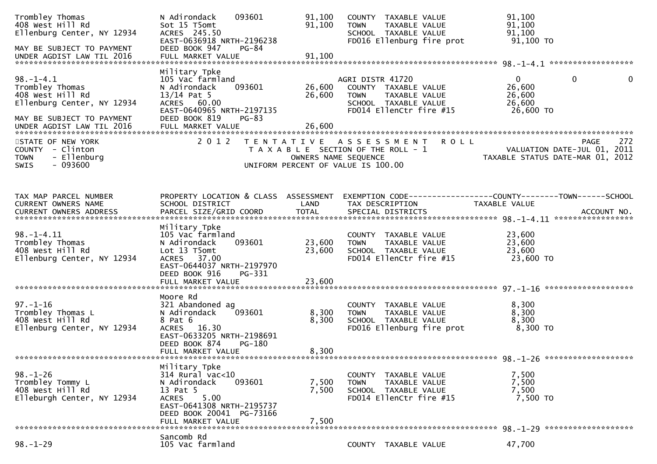| Trombley Thomas<br>408 West Hill Rd<br>Ellenburg Center, NY 12934<br>MAY BE SUBJECT TO PAYMENT                    | 093601<br>N Adirondack<br>Sot 15 T5omt<br>ACRES 245.50<br>EAST-0636918 NRTH-2196238<br>DEED BOOK 947<br>PG-84                                                                   | 91,100<br>91,100                          | COUNTY TAXABLE VALUE<br>TAXABLE VALUE<br><b>TOWN</b><br>SCHOOL TAXABLE VALUE<br>FD016 Ellenburg fire prot                   | 91,100<br>91,100<br>91,100<br>91,100 TO                                  |             |
|-------------------------------------------------------------------------------------------------------------------|---------------------------------------------------------------------------------------------------------------------------------------------------------------------------------|-------------------------------------------|-----------------------------------------------------------------------------------------------------------------------------|--------------------------------------------------------------------------|-------------|
|                                                                                                                   |                                                                                                                                                                                 |                                           |                                                                                                                             |                                                                          |             |
| $98. - 1 - 4.1$<br>Trombley Thomas<br>408 West Hill Rd<br>Ellenburg Center, NY 12934<br>MAY BE SUBJECT TO PAYMENT | Military Tpke<br>105 Vac farmland<br>N Adirondack<br>093601<br>$13/14$ Pat 5<br>ACRES 60.00<br>EAST-0640965 NRTH-2197135<br>DEED BOOK 819<br>$PG-83$                            | 26,600<br>26,600<br>26,600                | AGRI DISTR 41720<br>COUNTY TAXABLE VALUE<br>TAXABLE VALUE<br><b>TOWN</b><br>SCHOOL TAXABLE VALUE<br>FD014 EllenCtr fire #15 | $\overline{0}$<br>$\mathbf 0$<br>26,600<br>26,600<br>26,600<br>26,600 TO | 0           |
|                                                                                                                   |                                                                                                                                                                                 |                                           |                                                                                                                             |                                                                          |             |
| STATE OF NEW YORK<br>COUNTY - Clinton<br>- Ellenburg<br><b>TOWN</b><br>$-093600$<br><b>SWIS</b>                   | 2 0 1 2                                                                                                                                                                         | T E N T A T I V E<br>OWNERS NAME SEQUENCE | <b>ROLL</b><br>A S S E S S M E N T<br>T A X A B L E SECTION OF THE ROLL - 1<br>UNIFORM PERCENT OF VALUE IS 100.00           | VALUATION DATE-JUL 01, 2011<br>TAXABLE STATUS DATE-MAR 01, 2012          | 272<br>PAGE |
|                                                                                                                   |                                                                                                                                                                                 |                                           |                                                                                                                             |                                                                          |             |
| TAX MAP PARCEL NUMBER<br>CURRENT OWNERS NAME<br><b>CURRENT OWNERS ADDRESS</b>                                     | PROPERTY LOCATION & CLASS ASSESSMENT<br>SCHOOL DISTRICT<br>PARCEL SIZE/GRID COORD                                                                                               | LAND<br><b>TOTAL</b>                      | TAX DESCRIPTION<br>SPECIAL DISTRICTS                                                                                        | TAXABLE VALUE                                                            | ACCOUNT NO. |
|                                                                                                                   |                                                                                                                                                                                 |                                           |                                                                                                                             |                                                                          |             |
| $98. - 1 - 4.11$<br>Trombley Thomas<br>408 West Hill Rd<br>Ellenburg Center, NY 12934                             | Military Tpke<br>105 Vac farmland<br>093601<br>N Adirondack<br>Lot 13 T5omt<br>ACRES 37.00<br>EAST-0644037 NRTH-2197970<br>DEED BOOK 916<br>PG-331                              | 23,600<br>23,600                          | COUNTY TAXABLE VALUE<br>TAXABLE VALUE<br><b>TOWN</b><br>SCHOOL TAXABLE VALUE<br>FD014 EllenCtr fire #15                     | 23,600<br>23,600<br>23,600<br>23,600 TO                                  |             |
|                                                                                                                   |                                                                                                                                                                                 |                                           |                                                                                                                             |                                                                          |             |
|                                                                                                                   | Moore Rd                                                                                                                                                                        |                                           |                                                                                                                             |                                                                          |             |
| $97. - 1 - 16$<br>Trombley Thomas L<br>408 West Hill Rd<br>Ellenburg Center, NY 12934                             | 321 Abandoned ag<br>093601<br>N Adirondack<br>8 Pat 6<br>ACRES 16.30<br>EAST-0633205 NRTH-2198691<br>DEED BOOK 874<br><b>PG-180</b><br>FULL MARKET VALUE                        | 8,300<br>8,300<br>8,300                   | COUNTY TAXABLE VALUE<br>TAXABLE VALUE<br><b>TOWN</b><br>SCHOOL TAXABLE VALUE<br>FD016 Ellenburg fire prot                   | 8,300<br>8,300<br>8,300<br>8,300 то                                      |             |
|                                                                                                                   |                                                                                                                                                                                 |                                           |                                                                                                                             |                                                                          |             |
| $98. - 1 - 26$<br>Trombley Tommy L<br>408 West Hill Rd<br>Elleburgh Center, NY 12934                              | Military Tpke<br>$314$ Rural vac<10<br>N Adirondack<br>093601<br>13 Pat 5<br>5.00<br><b>ACRES</b><br>EAST-0641308 NRTH-2195737<br>DEED BOOK 20041 PG-73166<br>FULL MARKET VALUE | 7,500<br>7,500<br>7,500                   | COUNTY<br>TAXABLE VALUE<br>TAXABLE VALUE<br><b>TOWN</b><br>SCHOOL TAXABLE VALUE<br>FD014 EllenCtr fire #15                  | 7,500<br>7,500<br>7,500<br>7,500 TO                                      |             |
|                                                                                                                   | Sancomb Rd                                                                                                                                                                      |                                           |                                                                                                                             |                                                                          |             |
| $98. - 1 - 29$                                                                                                    | 105 Vac farmland                                                                                                                                                                |                                           | COUNTY TAXABLE VALUE                                                                                                        | 47,700                                                                   |             |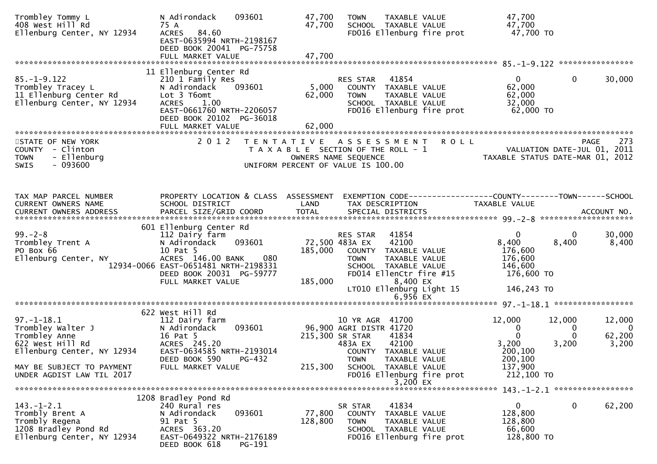| Trombley Tommy L<br>408 West Hill Rd           | N Adirondack<br>093601<br>75 A                        | 47,700<br>47,700     | <b>TOWN</b>                                                  | TAXABLE VALUE<br>SCHOOL TAXABLE VALUE                          | 47,700<br>47,700                                                |        |                                |
|------------------------------------------------|-------------------------------------------------------|----------------------|--------------------------------------------------------------|----------------------------------------------------------------|-----------------------------------------------------------------|--------|--------------------------------|
| Ellenburg Center, NY 12934                     | 84.60<br><b>ACRES</b><br>EAST-0635994 NRTH-2198167    |                      |                                                              | FD016 Ellenburg fire prot                                      | 47,700 TO                                                       |        |                                |
|                                                | DEED BOOK 20041 PG-75758<br>FULL MARKET VALUE         | 47,700               |                                                              |                                                                |                                                                 |        |                                |
|                                                |                                                       |                      |                                                              |                                                                |                                                                 |        |                                |
|                                                | 11 Ellenburg Center Rd                                |                      |                                                              |                                                                |                                                                 |        |                                |
| $85. - 1 - 9.122$<br>Trombley Tracey L         | 210 1 Family Res<br>093601<br>N Adirondack            | 5,000                | RES STAR                                                     | 41854<br>COUNTY TAXABLE VALUE                                  | $\mathbf{0}$<br>62,000                                          | 0      | 30,000                         |
| 11 Ellenburg Center Rd                         | Lot 3 T6omt                                           | 62,000               | <b>TOWN</b>                                                  | TAXABLE VALUE                                                  | 62,000                                                          |        |                                |
| Ellenburg Center, NY 12934                     | <b>ACRES</b><br>1.00                                  |                      |                                                              | SCHOOL TAXABLE VALUE                                           | 32,000                                                          |        |                                |
|                                                | EAST-0661760 NRTH-2206057<br>DEED BOOK 20102 PG-36018 |                      |                                                              | FD016 Ellenburg fire prot                                      | 62,000 TO                                                       |        |                                |
|                                                | FULL MARKET VALUE                                     | 62,000               |                                                              |                                                                |                                                                 |        |                                |
|                                                |                                                       |                      |                                                              |                                                                |                                                                 |        |                                |
| STATE OF NEW YORK<br>COUNTY - Clinton          | 2 0 1 2                                               | T E N T A T I V E    | A S S E S S M E N T<br>T A X A B L E SECTION OF THE ROLL - 1 | <b>ROLL</b>                                                    |                                                                 |        | 273<br><b>PAGE</b>             |
| - Ellenburg<br><b>TOWN</b>                     |                                                       |                      | OWNERS NAME SEQUENCE                                         |                                                                | VALUATION DATE-JUL 01, 2011<br>TAXABLE STATUS DATE-MAR 01, 2012 |        |                                |
| $-093600$<br><b>SWIS</b>                       |                                                       |                      | UNIFORM PERCENT OF VALUE IS 100.00                           |                                                                |                                                                 |        |                                |
|                                                |                                                       |                      |                                                              |                                                                |                                                                 |        |                                |
|                                                |                                                       |                      |                                                              |                                                                |                                                                 |        |                                |
| TAX MAP PARCEL NUMBER                          | PROPERTY LOCATION & CLASS ASSESSMENT                  |                      |                                                              | EXEMPTION CODE------------------COUNTY--------TOWN------SCHOOL |                                                                 |        |                                |
| CURRENT OWNERS NAME                            | SCHOOL DISTRICT                                       | LAND<br><b>TOTAL</b> | TAX DESCRIPTION                                              |                                                                | TAXABLE VALUE                                                   |        |                                |
| <b>CURRENT OWNERS ADDRESS</b>                  | PARCEL SIZE/GRID COORD                                |                      | SPECIAL DISTRICTS                                            |                                                                |                                                                 |        | ACCOUNT NO.                    |
|                                                | 601 Ellenburg Center Rd                               |                      |                                                              |                                                                |                                                                 |        |                                |
| $99. - 2 - 8$                                  | 112 Dairy farm                                        |                      | RES STAR                                                     | 41854                                                          | 0                                                               | 0      | 30,000                         |
| Trombley Trent A<br>PO Box 66                  | 093601<br>N Adirondack<br>10 Pat 5                    | 185,000              | 72,500 483A EX                                               | 42100<br>COUNTY TAXABLE VALUE                                  | 8,400<br>176,600                                                | 8,400  | 8,400                          |
| Ellenburg Center, NY                           | ACRES 146.00 BANK<br>080                              |                      | <b>TOWN</b>                                                  | TAXABLE VALUE                                                  | 176,600                                                         |        |                                |
|                                                | 12934-0066 EAST-0651481 NRTH-2198331                  |                      |                                                              | SCHOOL TAXABLE VALUE                                           | 146,600                                                         |        |                                |
|                                                | DEED BOOK 20031 PG-59777<br>FULL MARKET VALUE         | 185,000              |                                                              | FD014 EllenCtr fire #15<br>8,400 EX                            | 176,600 TO                                                      |        |                                |
|                                                |                                                       |                      |                                                              | LT010 Ellenburg Light 15                                       | 146,243 TO                                                      |        |                                |
|                                                |                                                       |                      |                                                              | $6,956$ EX                                                     |                                                                 |        |                                |
|                                                |                                                       |                      |                                                              |                                                                |                                                                 |        |                                |
| $97. - 1 - 18.1$                               | 622 West Hill Rd<br>112 Dairy farm                    |                      | 10 YR AGR 41700                                              |                                                                | 12,000                                                          | 12,000 | 12,000                         |
| Trombley Walter J                              | 093601<br>N Adirondack                                |                      | 96,900 AGRI DISTR 41720                                      |                                                                | 0                                                               | 0      | $\bf{0}$                       |
| Trombley Anne                                  | 16 Pat 5                                              |                      | 215,300 SR STAR                                              | 41834                                                          | $\mathbf 0$                                                     | 0      | 62,200                         |
| 622 West Hill Rd<br>Ellenburg Center, NY 12934 | ACRES 245.20<br>EAST-0634585 NRTH-2193014             |                      | 483A EX                                                      | 42100<br>COUNTY TAXABLE VALUE                                  | 3,200<br>200,100                                                | 3,200  | 3,200                          |
|                                                | DEED BOOK 590<br>PG-432                               |                      | <b>TOWN</b>                                                  | TAXABLE VALUE                                                  | 200,100                                                         |        |                                |
| MAY BE SUBJECT TO PAYMENT                      | FULL MARKET VALUE                                     | 215,300              |                                                              | SCHOOL TAXABLE VALUE                                           | 137,900                                                         |        |                                |
| UNDER AGDIST LAW TIL 2017                      |                                                       |                      |                                                              | FD016 Ellenburg fire prot<br>3,200 EX                          | 212,100 TO                                                      |        |                                |
|                                                |                                                       |                      |                                                              |                                                                |                                                                 |        | 143. -1-2.1 ****************** |
|                                                | 1208 Bradley Pond Rd                                  |                      |                                                              |                                                                |                                                                 |        |                                |
| $143. - 1 - 2.1$                               | 240 Rural res                                         |                      | SR STAR                                                      | 41834                                                          | $\mathbf{0}$                                                    | 0      | 62,200                         |
| Trombly Brent A<br>Trombly Regena              | N Adirondack<br>093601<br>91 Pat 5                    | 77,800<br>128,800    | COUNTY<br><b>TOWN</b>                                        | TAXABLE VALUE<br>TAXABLE VALUE                                 | 128,800<br>128,800                                              |        |                                |
| 1208 Bradley Pond Rd                           | ACRES 363.20                                          |                      |                                                              | SCHOOL TAXABLE VALUE                                           | 66,600                                                          |        |                                |
| Ellenburg Center, NY 12934                     | EAST-0649322 NRTH-2176189<br>DEED BOOK 618<br>PG-191  |                      |                                                              | FD016 Ellenburg fire prot                                      | 128,800 TO                                                      |        |                                |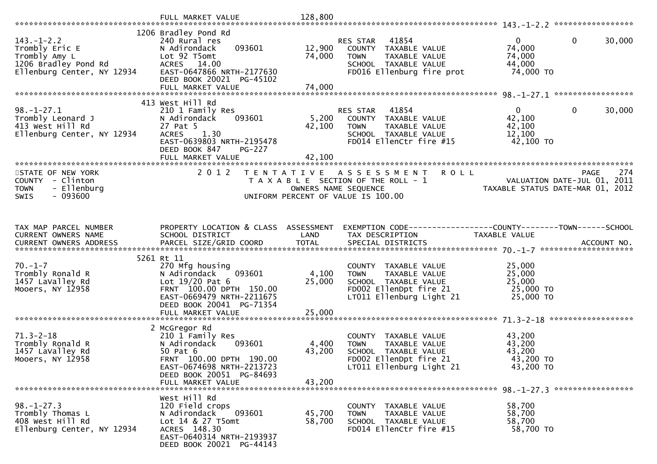|                                                                                                           | FULL MARKET VALUE                                                                                                                                                       | 128,800                   |                                                                                                                                       |                                                                         |                    |
|-----------------------------------------------------------------------------------------------------------|-------------------------------------------------------------------------------------------------------------------------------------------------------------------------|---------------------------|---------------------------------------------------------------------------------------------------------------------------------------|-------------------------------------------------------------------------|--------------------|
| $143. - 1 - 2.2$<br>Trombly Eric E<br>Trombly Amy L<br>1206 Bradley Pond Rd<br>Ellenburg Center, NY 12934 | 1206 Bradley Pond Rd<br>240 Rural res<br>093601<br>N Adirondack<br>Lot 92 T5omt<br>ACRES 14.00<br>EAST-0647866 NRTH-2177630<br>DEED BOOK 20021 PG-45102                 | 12,900<br>74,000          | 41854<br><b>RES STAR</b><br>COUNTY TAXABLE VALUE<br><b>TOWN</b><br>TAXABLE VALUE<br>SCHOOL TAXABLE VALUE<br>FD016 Ellenburg fire prot | $\mathbf{0}$<br>$\mathbf{0}$<br>74,000<br>74,000<br>44,000<br>74,000 TO | 30,000             |
|                                                                                                           | FULL MARKET VALUE                                                                                                                                                       | 74,000                    |                                                                                                                                       |                                                                         |                    |
| $98. - 1 - 27.1$<br>Trombly Leonard J<br>413 West Hill Rd<br>Ellenburg Center, NY 12934                   | 413 West Hill Rd<br>210 1 Family Res<br>093601<br>N Adirondack<br>27 Pat 5<br>1.30<br><b>ACRES</b><br>EAST-0639803 NRTH-2195478<br>DEED BOOK 847<br><b>PG-227</b>       | 5,200<br>42,100           | 41854<br>RES STAR<br>COUNTY TAXABLE VALUE<br><b>TOWN</b><br>TAXABLE VALUE<br>SCHOOL TAXABLE VALUE<br>FD014 EllenCtr fire #15          | $\mathbf{0}$<br>$\mathbf{0}$<br>42,100<br>42,100<br>12,100<br>42,100 TO | 30,000             |
|                                                                                                           | FULL MARKET VALUE                                                                                                                                                       | 42,100                    |                                                                                                                                       |                                                                         |                    |
| STATE OF NEW YORK<br>COUNTY - Clinton<br><b>TOWN</b><br>- Ellenburg<br>$-093600$<br><b>SWIS</b>           | 2 0 1 2                                                                                                                                                                 | OWNERS NAME SEQUENCE      | TENTATIVE ASSESSMENT<br><b>ROLL</b><br>T A X A B L E SECTION OF THE ROLL - 1<br>UNIFORM PERCENT OF VALUE IS 100.00                    | VALUATION DATE-JUL 01, 2011<br>TAXABLE STATUS DATE-MAR 01, 2012         | 274<br><b>PAGE</b> |
|                                                                                                           |                                                                                                                                                                         |                           |                                                                                                                                       |                                                                         |                    |
| TAX MAP PARCEL NUMBER<br>CURRENT OWNERS NAME                                                              | PROPERTY LOCATION & CLASS ASSESSMENT<br>SCHOOL DISTRICT                                                                                                                 | LAND                      | EXEMPTION CODE------------------COUNTY--------TOWN------SCHOOL<br>TAX DESCRIPTION                                                     | TAXABLE VALUE                                                           |                    |
|                                                                                                           | 5261 Rt 11                                                                                                                                                              |                           |                                                                                                                                       |                                                                         |                    |
| $70. - 1 - 7$<br>Trombly Ronald R<br>1457 LaValley Rd<br>Mooers, NY 12958                                 | 270 Mfg housing<br>093601<br>N Adirondack<br>Lot $19/20$ Pat 6<br>FRNT 100.00 DPTH 150.00<br>EAST-0669479 NRTH-2211675<br>DEED BOOK 20041 PG-71354<br>FULL MARKET VALUE | 4,100<br>25,000<br>25,000 | COUNTY TAXABLE VALUE<br>TAXABLE VALUE<br>TOWN<br>SCHOOL TAXABLE VALUE<br>FD002 EllenDpt fire 21<br>LT011 Ellenburg Light 21           | 25,000<br>25,000<br>25,000<br>25,000 TO<br>25,000 TO                    |                    |
|                                                                                                           | 2 McGregor Rd                                                                                                                                                           |                           |                                                                                                                                       |                                                                         |                    |
| $71.3 - 2 - 18$<br>Trombly Ronald R<br>1457 LaValley Rd<br>Mooers, NY 12958                               | 210 1 Family Res<br>N Adirondack<br>093601<br>50 Pat 6<br>FRNT 100.00 DPTH 190.00<br>EAST-0674698 NRTH-2213723<br>DEED BOOK 20051 PG-84693                              | 4,400<br>43,200           | COUNTY TAXABLE VALUE<br>TAXABLE VALUE<br><b>TOWN</b><br>SCHOOL TAXABLE VALUE<br>FD002 EllenDpt fire 21<br>LT011 Ellenburg Light 21    | 43,200<br>43,200<br>43,200<br>43,200 TO<br>43,200 TO                    |                    |
|                                                                                                           | FULL MARKET VALUE                                                                                                                                                       | 43,200                    |                                                                                                                                       |                                                                         |                    |
| $98. - 1 - 27.3$<br>Trombly Thomas L<br>408 West Hill Rd<br>Ellenburg Center, NY 12934                    | West Hill Rd<br>120 Field crops<br>N Adirondack<br>093601<br>Lot 14 & 27 T5omt<br>ACRES 148.30<br>EAST-0640314 NRTH-2193937<br>DEED BOOK 20021 PG-44143                 | 45,700<br>58,700          | COUNTY TAXABLE VALUE<br>TAXABLE VALUE<br><b>TOWN</b><br>SCHOOL TAXABLE VALUE<br>FD014 EllenCtr fire #15                               | 58,700<br>58,700<br>58,700<br>58,700 TO                                 |                    |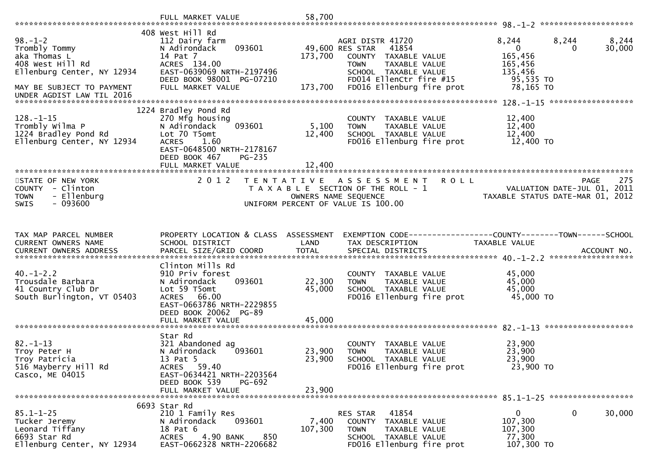|                                                                                                                               | FULL MARKET VALUE                                                                                                                                                       | 58,700                     |                                                                                                                                                                                      |                                                                                                              |
|-------------------------------------------------------------------------------------------------------------------------------|-------------------------------------------------------------------------------------------------------------------------------------------------------------------------|----------------------------|--------------------------------------------------------------------------------------------------------------------------------------------------------------------------------------|--------------------------------------------------------------------------------------------------------------|
| $98. - 1 - 2$<br>Trombly Tommy<br>aka Thomas L<br>408 West Hill Rd<br>Ellenburg Center, NY 12934<br>MAY BE SUBJECT TO PAYMENT | 408 West Hill Rd<br>112 Dairy farm<br>093601<br>N Adirondack<br>14 Pat 7<br>ACRES 134.00<br>EAST-0639069 NRTH-2197496<br>DEED BOOK 98001 PG-07210<br>FULL MARKET VALUE  | 173,700<br>173,700         | AGRI DISTR 41720<br>49,600 RES STAR<br>41854<br>COUNTY TAXABLE VALUE<br>TAXABLE VALUE<br><b>TOWN</b><br>SCHOOL TAXABLE VALUE<br>FD014 EllenCtr fire #15<br>FD016 Ellenburg fire prot | 8,244<br>8,244<br>8,244<br>30,000<br>$\mathbf{0}$<br>165,456<br>165,456<br>135,456<br>95,535 TO<br>78,165 TO |
| UNDER AGDIST LAW TIL 2016                                                                                                     |                                                                                                                                                                         |                            |                                                                                                                                                                                      |                                                                                                              |
| $128. - 1 - 15$<br>Trombly Wilma P<br>1224 Bradley Pond Rd<br>Ellenburg Center, NY 12934                                      | 1224 Bradley Pond Rd<br>270 Mfg housing<br>093601<br>N Adirondack<br>Lot 70 T5omt<br><b>ACRES</b><br>1.60<br>EAST-0648500 NRTH-2178167<br>DEED BOOK 467<br>$PG-235$     | 5,100<br>12,400            | COUNTY TAXABLE VALUE<br><b>TOWN</b><br>TAXABLE VALUE<br>SCHOOL TAXABLE VALUE<br>FD016 Ellenburg fire prot                                                                            | 12,400<br>12,400<br>12,400<br>12,400 TO                                                                      |
|                                                                                                                               | FULL MARKET VALUE                                                                                                                                                       | 12,400                     |                                                                                                                                                                                      |                                                                                                              |
| STATE OF NEW YORK<br>COUNTY - Clinton<br>- Ellenburg<br><b>TOWN</b><br>$-093600$<br>SWIS                                      | 2 0 1 2                                                                                                                                                                 | T E N T A T I V E          | <b>ROLL</b><br>A S S E S S M E N T<br>T A X A B L E SECTION OF THE ROLL - 1<br>OWNERS NAME SEQUENCE<br>UNIFORM PERCENT OF VALUE IS 100.00                                            | 275<br><b>PAGE</b><br>VALUATION DATE-JUL 01, 2011<br>TAXABLE STATUS DATE-MAR 01, 2012                        |
|                                                                                                                               |                                                                                                                                                                         |                            |                                                                                                                                                                                      |                                                                                                              |
| TAX MAP PARCEL NUMBER<br>CURRENT OWNERS NAME                                                                                  | PROPERTY LOCATION & CLASS ASSESSMENT<br>SCHOOL DISTRICT                                                                                                                 | LAND                       | TAX DESCRIPTION                                                                                                                                                                      | EXEMPTION CODE-----------------COUNTY-------TOWN------SCHOOL<br>TAXABLE VALUE                                |
| $40. - 1 - 2.2$<br>Trousdale Barbara<br>41 Country Club Dr<br>South Burlington, VT 05403                                      | Clinton Mills Rd<br>910 Priv forest<br>093601<br>N Adirondack<br>Lot 59 T5omt<br>ACRES 66.00<br>EAST-0663786 NRTH-2229855<br>DEED BOOK 20062 PG-89                      | 22,300<br>45,000           | COUNTY TAXABLE VALUE<br>TAXABLE VALUE<br><b>TOWN</b><br>SCHOOL TAXABLE VALUE<br>FD016 Ellenburg fire prot                                                                            | 45,000<br>45,000<br>45,000<br>45,000 TO                                                                      |
|                                                                                                                               | FULL MARKET VALUE                                                                                                                                                       | 45,000                     |                                                                                                                                                                                      |                                                                                                              |
| $82 - 1 - 13$<br>Troy Peter H<br>Troy Patricia<br>516 Mayberry Hill Rd<br>Casco, ME 04015                                     | Star Rd<br>321 Abandoned ag<br>093601<br>N Adirondack<br>13 Pat 5<br><b>ACRES</b><br>59.40<br>EAST-0634421 NRTH-2203564<br>DEED BOOK 539<br>PG-692<br>FULL MARKET VALUE | 23,900<br>23,900<br>23,900 | COUNTY TAXABLE VALUE<br>TAXABLE VALUE<br><b>TOWN</b><br>SCHOOL TAXABLE VALUE<br>FD016 Ellenburg fire prot                                                                            | 23,900<br>23,900<br>23,900<br>23,900 TO                                                                      |
|                                                                                                                               | 6693 Star Rd                                                                                                                                                            |                            |                                                                                                                                                                                      |                                                                                                              |
| $85.1 - 1 - 25$<br>Tucker Jeremy<br>Leonard Tiffany<br>6693 Star Rd<br>Ellenburg Center, NY 12934                             | 210 1 Family Res<br>093601<br>N Adirondack<br>18 Pat 6<br>4.90 BANK<br>850<br><b>ACRES</b><br>EAST-0662328 NRTH-2206682                                                 | 7,400<br>107,300           | 41854<br><b>RES STAR</b><br>COUNTY TAXABLE VALUE<br><b>TOWN</b><br>TAXABLE VALUE<br>SCHOOL TAXABLE VALUE<br>FD016 Ellenburg fire prot                                                | 0<br>0<br>30,000<br>107,300<br>107,300<br>77,300<br>107,300 TO                                               |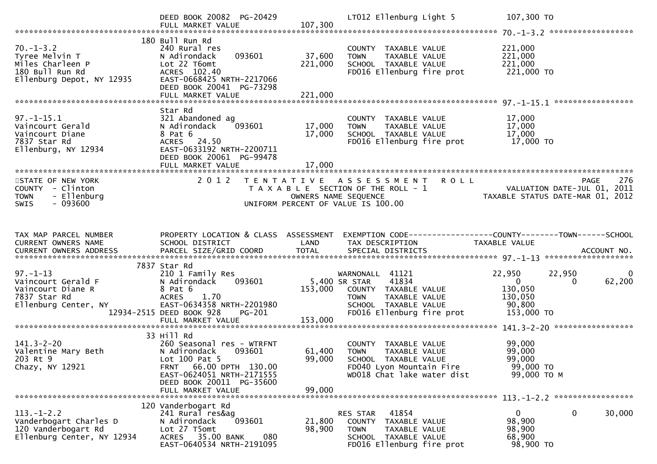|                                                                                                       | DEED BOOK 20082 PG-20429<br>FULL MARKET VALUE                                                                                                                                         | 107,300                            | LT012 Ellenburg Light 5                                                                                                                                |             | 107,300 TO                                                                          |                    |
|-------------------------------------------------------------------------------------------------------|---------------------------------------------------------------------------------------------------------------------------------------------------------------------------------------|------------------------------------|--------------------------------------------------------------------------------------------------------------------------------------------------------|-------------|-------------------------------------------------------------------------------------|--------------------|
| $70. - 1 - 3.2$<br>Tyree Melvin T<br>Miles Charleen P<br>180 Bull Run Rd<br>Ellenburg Depot, NY 12935 | 180 Bull Run Rd<br>240 Rural res<br>093601<br>N Adirondack<br>Lot 22 T6omt<br>ACRES 102.40<br>EAST-0668425 NRTH-2217066<br>DEED BOOK 20041 PG-73298<br>FULL MARKET VALUE              | 37,600<br>221,000<br>221,000       | COUNTY TAXABLE VALUE<br><b>TOWN</b><br>TAXABLE VALUE<br>SCHOOL TAXABLE VALUE<br>FD016 Ellenburg fire prot                                              |             | 221,000<br>221,000<br>221,000<br>221,000 TO                                         |                    |
|                                                                                                       |                                                                                                                                                                                       |                                    |                                                                                                                                                        |             |                                                                                     |                    |
| $97. - 1 - 15.1$<br>Vaincourt Gerald<br>Vaincourt Diane<br>7837 Star Rd<br>Ellenburg, NY 12934        | Star Rd<br>321 Abandoned ag<br>N Adirondack<br>093601<br>8 Pat 6<br>ACRES 24.50<br>EAST-0633192 NRTH-2200711<br>DEED BOOK 20061 PG-99478                                              | 17,000<br>17,000                   | COUNTY TAXABLE VALUE<br>TAXABLE VALUE<br><b>TOWN</b><br>SCHOOL TAXABLE VALUE<br>FD016 Ellenburg fire prot                                              |             | 17,000<br>17,000<br>17,000<br>17,000 TO                                             |                    |
| STATE OF NEW YORK<br>COUNTY - Clinton<br>- Ellenburg<br><b>TOWN</b><br>$-093600$<br><b>SWIS</b>       | 2 0 1 2                                                                                                                                                                               | UNIFORM PERCENT OF VALUE IS 100.00 | TENTATIVE ASSESSMENT<br>T A X A B L E SECTION OF THE ROLL - 1<br>OWNERS NAME SEQUENCE                                                                  | <b>ROLL</b> | VALUATION DATE-JUL 01, 2011<br>TAXABLE STATUS DATE-MAR 01, 2012                     | 276<br><b>PAGE</b> |
| TAX MAP PARCEL NUMBER<br><b>CURRENT OWNERS NAME</b>                                                   | PROPERTY LOCATION & CLASS ASSESSMENT<br>SCHOOL DISTRICT                                                                                                                               | LAND                               | EXEMPTION CODE------------------COUNTY--------TOWN------SCHOOL<br>TAX DESCRIPTION                                                                      |             | TAXABLE VALUE                                                                       |                    |
| $97. - 1 - 13$<br>Vaincourt Gerald F<br>Vaincourt Diane R<br>7837 Star Rd<br>Ellenburg Center, NY     | 7837 Star Rd<br>210 1 Family Res<br>093601<br>N Adirondack<br>8 Pat 6<br><b>ACRES</b><br>1.70<br>EAST-0634358 NRTH-2201980<br>12934-2515 DEED BOOK 928<br>PG-201<br>FULL MARKET VALUE | 153,000<br>153,000                 | WARNONALL 41121<br>41834<br>5,400 SR STAR<br>COUNTY TAXABLE VALUE<br>TAXABLE VALUE<br><b>TOWN</b><br>SCHOOL TAXABLE VALUE<br>FD016 Ellenburg fire prot |             | 22,950<br>22,950<br>$\mathbf{0}$<br>0<br>130,050<br>130,050<br>90,800<br>153,000 TO | 0<br>62,200        |
|                                                                                                       |                                                                                                                                                                                       |                                    |                                                                                                                                                        |             |                                                                                     |                    |
| $141.3 - 2 - 20$<br>Valentine Mary Beth<br>203 Rt 9<br>Chazy, NY 12921                                | 33 Hill Rd<br>260 Seasonal res - WTRFNT<br>N Adirondack<br>093601<br>Lot 100 Pat 5<br>66.00 DPTH 130.00<br>FRNT<br>EAST-0624051 NRTH-2171555<br>DEED BOOK 20011 PG-35600              | 61,400<br>99,000                   | COUNTY<br>TAXABLE VALUE<br><b>TOWN</b><br>TAXABLE VALUE<br>SCHOOL TAXABLE VALUE<br>FD040 Lyon Mountain Fire<br>WD018 Chat lake water dist              |             | 99,000<br>99,000<br>99,000<br>99,000 TO<br>99,000 TO M                              |                    |
|                                                                                                       | FULL MARKET VALUE                                                                                                                                                                     | 99,000                             |                                                                                                                                                        |             |                                                                                     |                    |
| $113. - 1 - 2.2$<br>Vanderbogart Charles D<br>120 Vanderbogart Rd<br>Ellenburg Center, NY 12934       | 120 Vanderbogart Rd<br>241 Rural res&ag<br>093601<br>N Adirondack<br>Lot 27 T5omt<br>ACRES 35.00 BANK<br>EAST-0640534 NRTH-2191095                                                    | 21,800<br>98,900<br>080            | 41854<br>RES STAR<br>COUNTY TAXABLE VALUE<br>TAXABLE VALUE<br>TOWN<br>SCHOOL TAXABLE VALUE<br>FD016 Ellenburg fire prot                                |             | $\mathbf 0$<br>$\mathbf{0}$<br>98,900<br>98,900<br>68,900<br>98,900 TO              | 30,000             |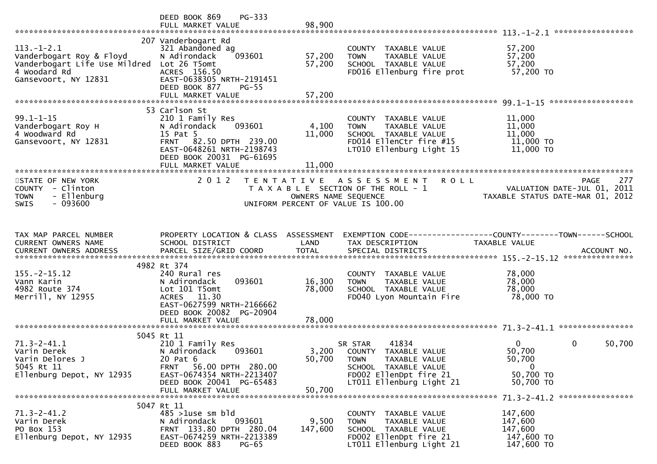|                                                                                                                   | PG-333<br>DEED BOOK 869<br>FULL MARKET VALUE                                                                                                                                         | 98,900                                    |                                                                                                                                     |                                                                                |
|-------------------------------------------------------------------------------------------------------------------|--------------------------------------------------------------------------------------------------------------------------------------------------------------------------------------|-------------------------------------------|-------------------------------------------------------------------------------------------------------------------------------------|--------------------------------------------------------------------------------|
| $113.-1-2.1$<br>Vanderbogart Roy & Floyd<br>Vanderbogart Life Use Mildred<br>4 Woodard Rd<br>Gansevoort, NY 12831 | 207 Vanderbogart Rd<br>321 Abandoned ag<br>093601<br>N Adirondack<br>Lot 26 T5omt<br>ACRES 156.50<br>EAST-0638305 NRTH-2191451<br>DEED BOOK 877<br><b>PG-55</b><br>FULL MARKET VALUE | 57,200<br>57,200<br>57,200                | COUNTY TAXABLE VALUE<br>TAXABLE VALUE<br><b>TOWN</b><br>SCHOOL TAXABLE VALUE<br>FD016 Ellenburg fire prot                           | 57,200<br>57,200<br>57,200<br>57,200 TO                                        |
|                                                                                                                   |                                                                                                                                                                                      |                                           |                                                                                                                                     |                                                                                |
| $99.1 - 1 - 15$<br>Vanderbogart Roy H<br>4 Woodward Rd<br>Gansevoort, NY 12831                                    | 53 Carlson St<br>210 1 Family Res<br>093601<br>N Adirondack<br>15 Pat 5<br>FRNT 82.50 DPTH 239.00<br>EAST-0648261 NRTH-2198743<br>DEED BOOK 20031 PG-61695<br>FULL MARKET VALUE      | 4,100<br>11,000<br>11,000                 | COUNTY TAXABLE VALUE<br>TAXABLE VALUE<br><b>TOWN</b><br>SCHOOL TAXABLE VALUE<br>FD014 EllenCtr fire #15<br>LT010 Ellenburg Light 15 | 11,000<br>11,000<br>11,000<br>11,000 TO<br>11,000 TO                           |
|                                                                                                                   |                                                                                                                                                                                      |                                           |                                                                                                                                     |                                                                                |
| STATE OF NEW YORK<br>COUNTY - Clinton<br>- Ellenburg<br><b>TOWN</b><br>$-093600$<br><b>SWIS</b>                   | 2 0 1 2                                                                                                                                                                              | T E N T A T I V E<br>OWNERS NAME SEQUENCE | <b>ROLL</b><br>A S S E S S M E N T<br>T A X A B L E SECTION OF THE ROLL - 1<br>UNIFORM PERCENT OF VALUE IS 100.00                   | 277<br>PAGE<br>VALUATION DATE-JUL 01, 2011<br>TAXABLE STATUS DATE-MAR 01, 2012 |
| TAX MAP PARCEL NUMBER                                                                                             | PROPERTY LOCATION & CLASS ASSESSMENT                                                                                                                                                 |                                           |                                                                                                                                     | EXEMPTION CODE------------------COUNTY--------TOWN------SCHOOL                 |
| CURRENT OWNERS NAME                                                                                               | SCHOOL DISTRICT                                                                                                                                                                      | LAND                                      | TAX DESCRIPTION                                                                                                                     | TAXABLE VALUE                                                                  |
|                                                                                                                   | 4982 Rt 374                                                                                                                                                                          |                                           |                                                                                                                                     |                                                                                |
| $155. - 2 - 15.12$<br>Vann Karin<br>4982 Route 374<br>Merrill, NY 12955                                           | 240 Rural res<br>093601<br>N Adirondack<br>Lot 101 T5omt<br>ACRES 11.30<br>EAST-0627599 NRTH-2166662<br>DEED BOOK 20082 PG-20904                                                     | 16,300<br>78,000                          | COUNTY TAXABLE VALUE<br><b>TOWN</b><br>TAXABLE VALUE<br>SCHOOL TAXABLE VALUE<br>FD040 Lyon Mountain Fire                            | 78,000<br>78,000<br>78,000<br>78,000 TO                                        |
|                                                                                                                   | FULL MARKET VALUE                                                                                                                                                                    | 78,000                                    |                                                                                                                                     |                                                                                |
|                                                                                                                   | 5045 Rt 11                                                                                                                                                                           |                                           |                                                                                                                                     |                                                                                |
| $71.3 - 2 - 41.1$<br>Varin Derek<br>Varin Delores J<br>5045 Rt 11                                                 | 210 1 Family Res<br>N Adirondack<br>093601<br>20 Pat 6<br>56.00 DPTH 280.00<br><b>FRNT</b>                                                                                           | 3,200<br>50,700                           | 41834<br>SR STAR<br>COUNTY TAXABLE VALUE<br><b>TOWN</b><br>TAXABLE VALUE<br>SCHOOL TAXABLE VALUE                                    | $\Omega$<br>0<br>50,700<br>50,700<br>50,700<br>$\overline{0}$                  |
| Ellenburg Depot, NY 12935                                                                                         | EAST-0674354 NRTH-2213407<br>DEED BOOK 20041 PG-65483<br>FULL MARKET VALUE                                                                                                           | 50,700                                    | FD002 EllenDpt fire 21<br>LT011 Ellenburg Light 21                                                                                  | 50,700 TO<br>50,700 TO                                                         |
|                                                                                                                   |                                                                                                                                                                                      |                                           |                                                                                                                                     | 71.3-2-41.2 *****************                                                  |
| $71.3 - 2 - 41.2$<br>Varin Derek<br>PO Box 153<br>Ellenburg Depot, NY 12935                                       | 5047 Rt 11<br>$485$ >1use sm bld<br>N Adirondack<br>093601<br>FRNT 133.80 DPTH 280.04<br>EAST-0674259 NRTH-2213389<br>DEED BOOK 883<br>$PG-65$                                       | 9,500<br>147,600                          | COUNTY TAXABLE VALUE<br><b>TOWN</b><br>TAXABLE VALUE<br>SCHOOL TAXABLE VALUE<br>FD002 EllenDpt fire 21<br>LT011 Ellenburg Light 21  | 147,600<br>147,600<br>147,600<br>147,600 TO<br>147,600 TO                      |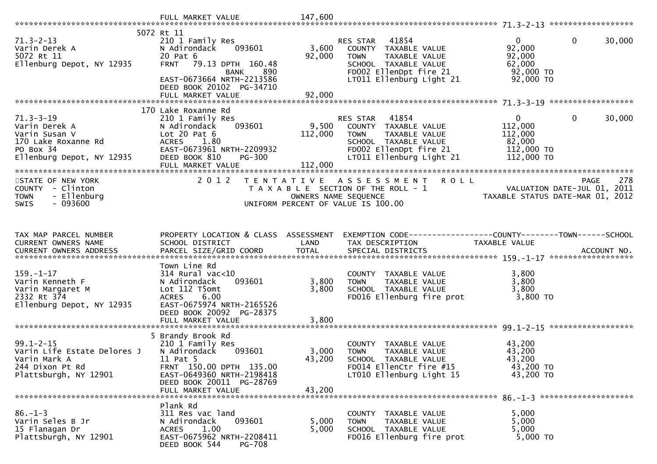| $71.3 - 2 - 13$<br>Varin Derek A<br>5072 Rt 11<br>Ellenburg Depot, NY 12935                                        | 5072 Rt 11<br>210 1 Family Res<br>093601<br>N Adirondack<br>20 Pat 6<br>FRNT 79.13 DPTH 160.48<br><b>BANK</b><br>890<br>EAST-0673664 NRTH-2213586<br>DEED BOOK 20102 PG-34710<br>FULL MARKET VALUE | 3,600<br>92,000<br>92,000   | 41854<br>RES STAR<br>COUNTY TAXABLE VALUE<br>TAXABLE VALUE<br><b>TOWN</b><br>SCHOOL TAXABLE VALUE<br>FD002 EllenDpt fire 21<br>LT011 Ellenburg Light 21 | $\mathbf{0}$<br>$\mathbf 0$<br>30,000<br>92,000<br>92,000<br>62,000<br>92,000 TO<br>$92,000$ TO                |
|--------------------------------------------------------------------------------------------------------------------|----------------------------------------------------------------------------------------------------------------------------------------------------------------------------------------------------|-----------------------------|---------------------------------------------------------------------------------------------------------------------------------------------------------|----------------------------------------------------------------------------------------------------------------|
|                                                                                                                    |                                                                                                                                                                                                    |                             |                                                                                                                                                         |                                                                                                                |
| $71.3 - 3 - 19$<br>Varin Derek A<br>Varin Susan V<br>170 Lake Roxanne Rd<br>PO Box 34<br>Ellenburg Depot, NY 12935 | 170 Lake Roxanne Rd<br>210 1 Family Res<br>093601<br>N Adirondack<br>Lot $20$ Pat $6$<br><b>ACRES</b><br>1.80<br>EAST-0673961 NRTH-2209932<br>DEED BOOK 810<br><b>PG-300</b><br>FULL MARKET VALUE  | 9,500<br>112,000<br>112,000 | RES STAR<br>41854<br>COUNTY TAXABLE VALUE<br><b>TOWN</b><br>TAXABLE VALUE<br>SCHOOL TAXABLE VALUE<br>FD002 EllenDpt fire 21<br>LT011 Ellenburg Light 21 | 30,000<br>$\mathbf{0}$<br>0<br>112,000<br>112,000<br>82,000<br>112,000 TO<br>112,000 TO                        |
|                                                                                                                    |                                                                                                                                                                                                    |                             |                                                                                                                                                         |                                                                                                                |
| STATE OF NEW YORK<br>COUNTY - Clinton<br>- Ellenburg<br><b>TOWN</b><br>$-093600$<br><b>SWIS</b>                    | 2012                                                                                                                                                                                               |                             | TENTATIVE ASSESSMENT ROLL<br>UNIFORM PERCENT OF VALUE IS 100.00                                                                                         | 278<br><b>PAGE</b><br>T A X A B L E SECTION OF THE ROLL - 1<br>OWNERS NAME SEQUENCE<br>UNITED ATE-MAR 01, 2012 |
|                                                                                                                    |                                                                                                                                                                                                    |                             |                                                                                                                                                         |                                                                                                                |
| TAX MAP PARCEL NUMBER<br>CURRENT OWNERS NAME                                                                       | PROPERTY LOCATION & CLASS ASSESSMENT<br>SCHOOL DISTRICT                                                                                                                                            | LAND                        | TAX DESCRIPTION                                                                                                                                         | EXEMPTION CODE-----------------COUNTY--------TOWN------SCHOOL<br>TAXABLE VALUE                                 |
|                                                                                                                    |                                                                                                                                                                                                    |                             |                                                                                                                                                         |                                                                                                                |
| $159. - 1 - 17$<br>Varin Kenneth F<br>Varin Margaret M<br>2332 Rt 374<br>Ellenburg Depot, NY 12935                 | Town Line Rd<br>314 Rural vac<10<br>093601<br>N Adirondack<br>Lot 112 T5omt<br><b>ACRES</b><br>6.00<br>EAST-0675974 NRTH-2165526<br>DEED BOOK 20092 PG-28375                                       | 3,800<br>3,800              | COUNTY TAXABLE VALUE<br><b>TOWN</b><br>TAXABLE VALUE<br>SCHOOL TAXABLE VALUE<br>FD016 Ellenburg fire prot                                               | 3,800<br>3,800<br>3,800<br>$3,800$ TO                                                                          |
|                                                                                                                    | FULL MARKET VALUE                                                                                                                                                                                  | 3,800                       |                                                                                                                                                         |                                                                                                                |
| $99.1 - 2 - 15$<br>Varin Life Estate Delores J<br>Varin Mark A<br>244 Dixon Pt Rd<br>Plattsburgh, NY 12901         | 5 Brandy Brook Rd<br>210 1 Family Res<br>N Adirondack<br>093601<br>11 Pat 5<br>FRNT 150.00 DPTH 135.00<br>EAST-0649360 NRTH-2198418<br>DEED BOOK 20011 PG-28769                                    | 3,000<br>43,200             | COUNTY TAXABLE VALUE<br>TAXABLE VALUE<br><b>TOWN</b><br>SCHOOL TAXABLE VALUE<br>FD014 EllenCtr fire #15<br>LT010 Ellenburg Light 15                     | 43,200<br>43,200<br>43,200<br>43,200 TO<br>43,200 TO                                                           |
|                                                                                                                    | FULL MARKET VALUE                                                                                                                                                                                  | 43,200                      |                                                                                                                                                         |                                                                                                                |
| $86. - 1 - 3$<br>Varin Seles B Jr<br>15 Flanagan Dr<br>Plattsburgh, NY 12901                                       | Plank Rd<br>311 Res vac land<br>093601<br>N Adirondack<br>1.00<br><b>ACRES</b><br>EAST-0675962 NRTH-2208411<br>PG-708<br>DEED BOOK 544                                                             | 5,000<br>5,000              | COUNTY TAXABLE VALUE<br>TAXABLE VALUE<br><b>TOWN</b><br>SCHOOL TAXABLE VALUE<br>FD016 Ellenburg fire prot                                               | 5,000<br>5,000<br>5,000<br>5,000 TO                                                                            |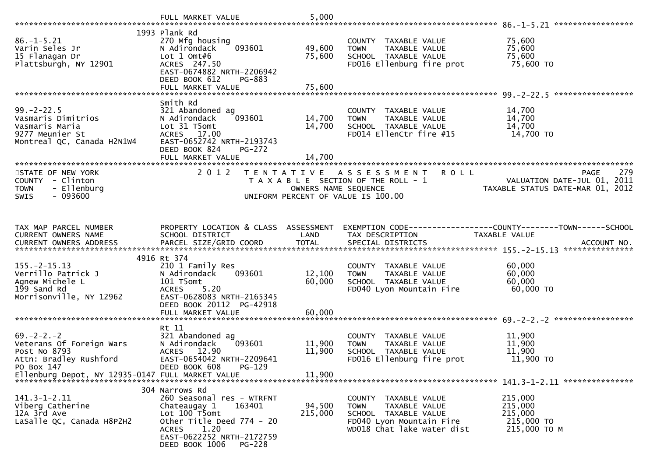|                                                                                                          | FULL MARKET VALUE                                                                                                                                                                         | 5,000                                     |                                                                                                                                        |                                                                                       |
|----------------------------------------------------------------------------------------------------------|-------------------------------------------------------------------------------------------------------------------------------------------------------------------------------------------|-------------------------------------------|----------------------------------------------------------------------------------------------------------------------------------------|---------------------------------------------------------------------------------------|
|                                                                                                          | 1993 Plank Rd                                                                                                                                                                             |                                           |                                                                                                                                        |                                                                                       |
| $86. - 1 - 5.21$<br>Varin Seles Jr<br>15 Flanagan Dr<br>Plattsburgh, NY 12901                            | 270 Mfg housing<br>093601<br>N Adirondack<br>Lot $1$ Omt#6<br>ACRES 247.50<br>EAST-0674882 NRTH-2206942<br>DEED BOOK 612<br>PG-883                                                        | 49,600<br>75,600                          | COUNTY TAXABLE VALUE<br>TAXABLE VALUE<br><b>TOWN</b><br>SCHOOL TAXABLE VALUE<br>FD016 Ellenburg fire prot                              | 75,600<br>75,600<br>75,600<br>75,600 TO                                               |
|                                                                                                          |                                                                                                                                                                                           |                                           |                                                                                                                                        |                                                                                       |
| $99. -2 - 22.5$<br>Vasmaris Dimitrios<br>Vasmaris Maria<br>9277 Meunier St<br>Montreal QC, Canada H2N1W4 | Smith Rd<br>321 Abandoned ag<br>N Adirondack<br>093601<br>Lot 31 T5omt<br>ACRES 17.00<br>EAST-0652742 NRTH-2193743<br>DEED BOOK 824<br>$PG-272$                                           | 14,700<br>14,700                          | COUNTY TAXABLE VALUE<br>TAXABLE VALUE<br><b>TOWN</b><br>SCHOOL TAXABLE VALUE<br>FD014 EllenCtr fire #15                                | 14,700<br>14,700<br>14,700<br>14,700 TO                                               |
|                                                                                                          | FULL MARKET VALUE                                                                                                                                                                         | 14,700                                    |                                                                                                                                        |                                                                                       |
| STATE OF NEW YORK<br>COUNTY - Clinton<br>- Ellenburg<br><b>TOWN</b><br>$-093600$<br>SWIS                 | 2012                                                                                                                                                                                      | T E N T A T I V E<br>OWNERS NAME SEQUENCE | A S S E S S M E N T<br><b>ROLL</b><br>T A X A B L E SECTION OF THE ROLL - 1<br>UNIFORM PERCENT OF VALUE IS 100.00                      | 279<br><b>PAGE</b><br>VALUATION DATE-JUL 01, 2011<br>TAXABLE STATUS DATE-MAR 01, 2012 |
| TAX MAP PARCEL NUMBER                                                                                    | PROPERTY LOCATION & CLASS ASSESSMENT                                                                                                                                                      |                                           | EXEMPTION CODE-----------------COUNTY-------TOWN------SCHOOL                                                                           |                                                                                       |
| CURRENT OWNERS NAME                                                                                      | SCHOOL DISTRICT                                                                                                                                                                           | LAND                                      | TAX DESCRIPTION                                                                                                                        | TAXABLE VALUE                                                                         |
|                                                                                                          | 4916 Rt 374                                                                                                                                                                               |                                           |                                                                                                                                        |                                                                                       |
| $155. - 2 - 15.13$<br>Verrillo Patrick J<br>Agnew Michele L<br>199 Sand Rd<br>Morrisonville, NY 12962    | 210 1 Family Res<br>N Adirondack<br>093601<br>101 T5omt<br>5.20<br><b>ACRES</b><br>EAST-0628083 NRTH-2165345<br>DEED BOOK 20112 PG-42918                                                  | 12,100<br>60,000                          | COUNTY TAXABLE VALUE<br>TAXABLE VALUE<br><b>TOWN</b><br>SCHOOL TAXABLE VALUE<br>FD040 Lyon Mountain Fire                               | 60,000<br>60,000<br>60,000<br>60,000 TO                                               |
|                                                                                                          | FULL MARKET VALUE                                                                                                                                                                         | 60,000                                    |                                                                                                                                        |                                                                                       |
| $69. - 2 - 2. - 2$<br>Veterans Of Foreign Wars<br>Post No 8793<br>Attn: Bradley Rushford<br>PO Box 147   | Rt 11<br>321 Abandoned ag<br>N Adirondack<br>093601<br>ACRES 12.90<br>EAST-0654042 NRTH-2209641<br>PG-129<br>DEED BOOK 608                                                                | 11,900<br>11,900                          | COUNTY TAXABLE VALUE<br>TAXABLE VALUE<br><b>TOWN</b><br>SCHOOL TAXABLE VALUE<br>FD016 Ellenburg fire prot                              | 11,900<br>11,900<br>11,900<br>11,900 TO                                               |
|                                                                                                          |                                                                                                                                                                                           |                                           |                                                                                                                                        |                                                                                       |
|                                                                                                          | 304 Narrows Rd                                                                                                                                                                            |                                           |                                                                                                                                        |                                                                                       |
| $141.3 - 1 - 2.11$<br>Viberg Catherine<br>12A 3rd Ave<br>LaSalle QC, Canada H8P2H2                       | 260 Seasonal res - WTRFNT<br>163401<br>Chateaugay 1<br>Lot 100 T5omt<br>Other Title Deed 774 - 20<br>1.20<br><b>ACRES</b><br>EAST-0622252 NRTH-2172759<br>DEED BOOK 1006<br><b>PG-228</b> | 94,500<br>215,000                         | COUNTY TAXABLE VALUE<br>TAXABLE VALUE<br><b>TOWN</b><br>SCHOOL TAXABLE VALUE<br>FD040 Lyon Mountain Fire<br>WD018 Chat lake water dist | 215,000<br>215,000<br>215,000<br>215,000 TO<br>215,000 TO M                           |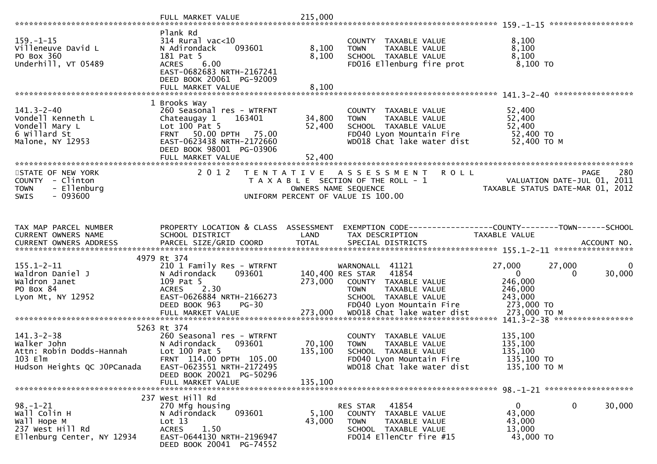|                                                                            | Plank Rd                                                              |                |                                                                                                           |                                                                                                                   |
|----------------------------------------------------------------------------|-----------------------------------------------------------------------|----------------|-----------------------------------------------------------------------------------------------------------|-------------------------------------------------------------------------------------------------------------------|
| $159. - 1 - 15$<br>Villeneuve David L<br>PO Box 360<br>Underhill, VT 05489 | 314 Rural vac<10<br>N Adirondack<br>093601<br>181 Pat 5<br>ACRES 6.00 | 8,100<br>8,100 | COUNTY TAXABLE VALUE<br><b>TOWN</b><br>TAXABLE VALUE<br>SCHOOL TAXABLE VALUE<br>FD016 Ellenburg fire prot | 8,100<br>8,100<br>8,100<br>$8,100$ TO                                                                             |
|                                                                            | EAST-0682683 NRTH-2167241<br>DEED BOOK 20061 PG-92009                 |                |                                                                                                           |                                                                                                                   |
|                                                                            |                                                                       |                |                                                                                                           |                                                                                                                   |
|                                                                            | 1 Brooks Way                                                          |                |                                                                                                           |                                                                                                                   |
| $141.3 - 2 - 40$<br>Vondell Kenneth L                                      | 260 Seasonal res - WTRFNT<br>163401<br>Chateaugay 1                   | 34,800         | COUNTY TAXABLE VALUE<br>TAXABLE VALUE<br><b>TOWN</b>                                                      | 52,400<br>52,400                                                                                                  |
| Vondell Mary L                                                             | Lot $100$ Pat 5                                                       | 52,400         | SCHOOL TAXABLE VALUE                                                                                      | 52,400                                                                                                            |
| 6 Willard St                                                               | FRNT 50.00 DPTH 75.00                                                 |                | FD040 Lyon Mountain Fire                                                                                  | 52,400 TO                                                                                                         |
| Malone, NY 12953                                                           | EAST-0623438 NRTH-2172660                                             |                | WD018 Chat lake water dist                                                                                | 52,400 TO M                                                                                                       |
|                                                                            | DEED BOOK 98001 PG-03906                                              |                |                                                                                                           |                                                                                                                   |
|                                                                            |                                                                       |                |                                                                                                           |                                                                                                                   |
| STATE OF NEW YORK                                                          | 2012                                                                  |                | TENTATIVE ASSESSMENT<br><b>ROLL</b>                                                                       | 280<br><b>PAGE</b>                                                                                                |
| COUNTY - Clinton<br>- Ellenburg<br><b>TOWN</b>                             |                                                                       |                | T A X A B L E SECTION OF THE ROLL - 1<br>OWNERS NAME SEQUENCE                                             | VALUATION DATE-JUL 01, 2011<br>TAXABLE STATUS DATE-MAR 01, 2012                                                   |
| $-093600$<br><b>SWIS</b>                                                   |                                                                       |                | UNIFORM PERCENT OF VALUE IS 100.00                                                                        |                                                                                                                   |
|                                                                            |                                                                       |                |                                                                                                           |                                                                                                                   |
|                                                                            |                                                                       |                |                                                                                                           |                                                                                                                   |
| TAX MAP PARCEL NUMBER<br>CURRENT OWNERS NAME                               | SCHOOL DISTRICT                                                       | LAND           | TAX DESCRIPTION                                                                                           | PROPERTY LOCATION & CLASS ASSESSMENT EXEMPTION CODE----------------COUNTY-------TOWN------SCHOOL<br>TAXABLE VALUE |
|                                                                            |                                                                       |                |                                                                                                           |                                                                                                                   |
|                                                                            |                                                                       |                |                                                                                                           |                                                                                                                   |
| $155.1 - 2 - 11$                                                           | 4979 Rt 374<br>210 1 Family Res - WTRFNT                              |                | WARNONALL 41121                                                                                           | 27,000<br>27,000                                                                                                  |
| Waldron Daniel J                                                           | N Adirondack<br>093601                                                |                | 140,400 RES STAR 41854                                                                                    | 30,000<br>$\overline{0}$<br>$\Omega$                                                                              |
| Waldron Janet                                                              | 109 Pat 5                                                             | 273,000        | COUNTY TAXABLE VALUE                                                                                      | 246,000                                                                                                           |
| PO Box 84                                                                  | 2.30<br><b>ACRES</b>                                                  |                | TAXABLE VALUE<br><b>TOWN</b>                                                                              | 246,000                                                                                                           |
| Lyon Mt, NY 12952                                                          | EAST-0626884 NRTH-2166273<br>DEED BOOK 963<br>$PG-30$                 |                | SCHOOL TAXABLE VALUE<br>FD040 Lyon Mountain Fire                                                          | 243,000<br>273,000 TO                                                                                             |
|                                                                            |                                                                       |                |                                                                                                           |                                                                                                                   |
|                                                                            |                                                                       |                |                                                                                                           |                                                                                                                   |
|                                                                            | 5263 Rt 374                                                           |                |                                                                                                           |                                                                                                                   |
| $141.3 - 2 - 38$<br>Walker John                                            | 260 Seasonal res - WTRFNT<br>093601<br>N Adirondack                   | 70,100         | COUNTY TAXABLE VALUE<br>TAXABLE VALUE<br><b>TOWN</b>                                                      | 135,100<br>135,100                                                                                                |
| Attn: Robin Dodds-Hannah                                                   | Lot $100$ Pat 5                                                       | 135,100        | SCHOOL TAXABLE VALUE                                                                                      | 135,100                                                                                                           |
| 103 Elm                                                                    | FRNT 114.00 DPTH 105.00                                               |                | FD040 Lyon Mountain Fire                                                                                  | 135,100 TO                                                                                                        |
| Hudson Heights QC JOPCanada                                                | EAST-0623551 NRTH-2172495                                             |                | WD018 Chat lake water dist                                                                                | 135,100 ТО М                                                                                                      |
|                                                                            | DEED BOOK 20021 PG-50296<br>FULL MARKET VALUE                         | 135,100        |                                                                                                           |                                                                                                                   |
|                                                                            |                                                                       |                |                                                                                                           |                                                                                                                   |
|                                                                            | 237 West Hill Rd                                                      |                |                                                                                                           |                                                                                                                   |
| $98. - 1 - 21$<br>Wall Colin H                                             | 270 Mfg housing<br>093601                                             | 5,100          | 41854<br>RES STAR                                                                                         | $\overline{0}$<br>$\mathbf 0$<br>30,000<br>43,000                                                                 |
| Wall Hope M                                                                | N Adirondack<br>Lot 13                                                | 43,000         | COUNTY TAXABLE VALUE<br><b>TOWN</b><br>TAXABLE VALUE                                                      | 43,000                                                                                                            |
| 237 West Hill Rd                                                           | 1.50<br><b>ACRES</b>                                                  |                | SCHOOL TAXABLE VALUE                                                                                      | 13,000                                                                                                            |
| Ellenburg Center, NY 12934                                                 | EAST-0644130 NRTH-2196947<br>DEED BOOK 20041 PG-74552                 |                | FD014 EllenCtr fire #15                                                                                   | 43,000 TO                                                                                                         |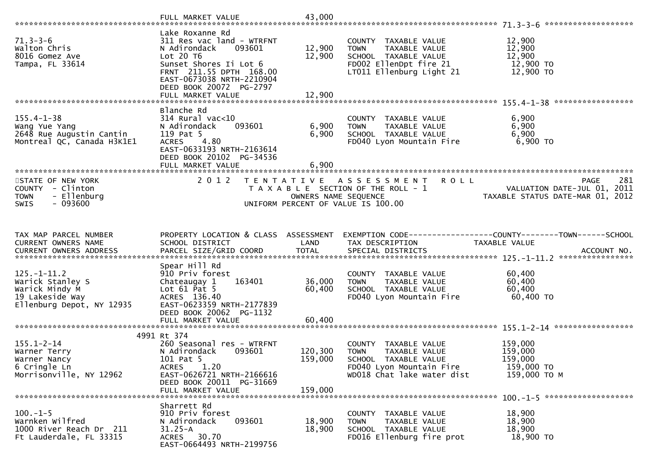|                                                                                                         | FULL MARKET VALUE                                                                                                                                                                                                     | 43,000                     |                                                                                                                                        |                                                                                |
|---------------------------------------------------------------------------------------------------------|-----------------------------------------------------------------------------------------------------------------------------------------------------------------------------------------------------------------------|----------------------------|----------------------------------------------------------------------------------------------------------------------------------------|--------------------------------------------------------------------------------|
| $71.3 - 3 - 6$<br>Walton Chris<br>8016 Gomez Ave<br>Tampa, FL 33614                                     | Lake Roxanne Rd<br>311 Res vac land - WTRFNT<br>093601<br>N Adirondack<br>Lot 20 T6<br>Sunset Shores Ii Lot 6<br>FRNT 211.55 DPTH 168.00<br>EAST-0673038 NRTH-2210904<br>DEED BOOK 20072 PG-2797<br>FULL MARKET VALUE | 12,900<br>12,900<br>12,900 | COUNTY TAXABLE VALUE<br>TAXABLE VALUE<br><b>TOWN</b><br>SCHOOL TAXABLE VALUE<br>FD002 EllenDpt fire 21<br>LT011 Ellenburg Light 21     | 12,900<br>12,900<br>12,900<br>12,900 TO<br>12,900 TO                           |
| $155.4 - 1 - 38$<br>Wang Yue Yang<br>2648 Rue Augustin Cantin<br>Montreal QC, Canada H3K1E1             | Blanche Rd<br>$314$ Rural vac< $10$<br>093601<br>N Adirondack<br>119 Pat 5<br>4.80<br><b>ACRES</b><br>EAST-0633193 NRTH-2163614<br>DEED BOOK 20102 PG-34536<br>FULL MARKET VALUE                                      | 6,900<br>6,900<br>6,900    | COUNTY TAXABLE VALUE<br>TAXABLE VALUE<br><b>TOWN</b><br>SCHOOL TAXABLE VALUE<br>FD040 Lyon Mountain Fire                               | 6,900<br>6,900<br>6,900<br>6,900 то                                            |
| STATE OF NEW YORK<br>COUNTY - Clinton<br>- Ellenburg<br><b>TOWN</b><br>$-093600$<br>SWIS                | 2 0 1 2<br>T E N T A T I V E                                                                                                                                                                                          | OWNERS NAME SEQUENCE       | A S S E S S M E N T<br><b>ROLL</b><br>T A X A B L E SECTION OF THE ROLL - 1<br>UNIFORM PERCENT OF VALUE IS 100.00                      | 281<br>PAGE<br>VALUATION DATE-JUL 01, 2011<br>TAXABLE STATUS DATE-MAR 01, 2012 |
| TAX MAP PARCEL NUMBER<br>CURRENT OWNERS NAME                                                            | PROPERTY LOCATION & CLASS ASSESSMENT<br>SCHOOL DISTRICT                                                                                                                                                               | LAND                       | TAX DESCRIPTION                                                                                                                        | EXEMPTION CODE-----------------COUNTY-------TOWN------SCHOOL<br>TAXABLE VALUE  |
| $125. - 1 - 11.2$<br>Warick Stanley S<br>Warick Mindy M<br>19 Lakeside Way<br>Ellenburg Depot, NY 12935 | Spear Hill Rd<br>910 Priv forest<br>163401<br>Chateaugay 1<br>Lot $61$ Pat $5$<br>ACRES 136.40<br>EAST-0623359 NRTH-2177839<br>DEED BOOK 20062 PG-1132                                                                | 36,000<br>60,400           | COUNTY TAXABLE VALUE<br>TAXABLE VALUE<br><b>TOWN</b><br>SCHOOL TAXABLE VALUE<br>FD040 Lyon Mountain Fire                               | 60,400<br>60,400<br>60,400<br>60,400 TO                                        |
|                                                                                                         | FULL MARKET VALUE                                                                                                                                                                                                     | 60,400                     |                                                                                                                                        |                                                                                |
| $155.1 - 2 - 14$<br>Warner Terry<br>Warner Nancy<br>6 Cringle Ln<br>Morrisonville, NY 12962             | 4991 Rt 374<br>260 Seasonal res - WTRFNT<br>093601<br>N Adirondack<br>101 Pat 5<br>1.20<br><b>ACRES</b><br>EAST-0626721 NRTH-2166616<br>DEED BOOK 20011 PG-31669                                                      | 120,300<br>159,000         | COUNTY TAXABLE VALUE<br><b>TOWN</b><br>TAXABLE VALUE<br>SCHOOL TAXABLE VALUE<br>FD040 Lyon Mountain Fire<br>WD018 Chat lake water dist | 159,000<br>159,000<br>159,000<br>159,000 TO<br>159,000 ТО М                    |
|                                                                                                         | FULL MARKET VALUE                                                                                                                                                                                                     | 159,000                    |                                                                                                                                        | $100. -1 - 5$ *********************                                            |
| $100. -1 - 5$<br>Warnken Wilfred<br>1000 River Reach Dr 211<br>Ft Lauderdale, FL 33315                  | Sharrett Rd<br>910 Priv forest<br>093601<br>N Adirondack<br>$31.25 - A$<br>30.70<br>ACRES<br>EAST-0664493 NRTH-2199756                                                                                                | 18,900<br>18,900           | COUNTY TAXABLE VALUE<br>TAXABLE VALUE<br><b>TOWN</b><br>SCHOOL TAXABLE VALUE<br>FD016 Ellenburg fire prot                              | 18,900<br>18,900<br>18,900<br>18,900 TO                                        |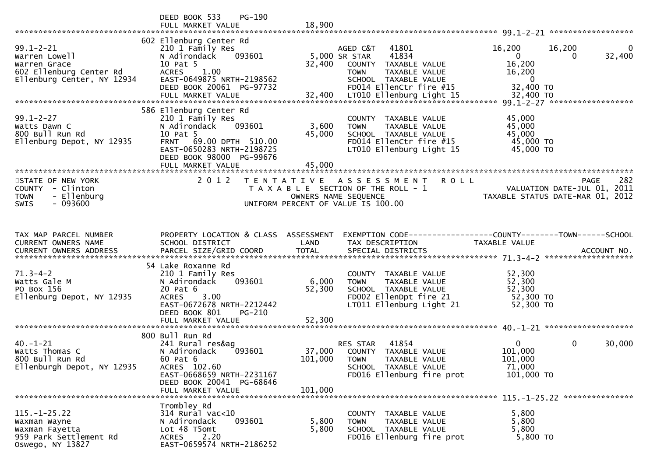|                                                                                                                                                         | DEED BOOK 533<br>PG-190<br>FULL MARKET VALUE                                                                                                                                              | 18,900                                                                                                                                          |                                                                                            |                                                                                       |
|---------------------------------------------------------------------------------------------------------------------------------------------------------|-------------------------------------------------------------------------------------------------------------------------------------------------------------------------------------------|-------------------------------------------------------------------------------------------------------------------------------------------------|--------------------------------------------------------------------------------------------|---------------------------------------------------------------------------------------|
| $99.1 - 2 - 21$<br>Warren Lowell<br>Warren Grace<br>warren arace<br>602 Ellenburg Center Rd<br>Ellenburg Center, NY 12934<br>Ellenburg Center, NY 12934 | 602 Ellenburg Center Rd<br>210 1 Family Res<br>N Adirondack<br>093601<br>10 Pat 5<br>ACRES 1.00<br>EAST-0649875 NRTH-2198562<br>DEED BOOK 20061 PG-97732                                  | AGED C&T<br>41801<br>41834<br>5,000 SR STAR<br>32,400<br>COUNTY TAXABLE VALUE<br><b>TOWN</b><br>SCHOOL TAXABLE VALUE<br>FD014 EllenCtr fire #15 | 16,200<br>$\overline{0}$<br>16,200<br>TAXABLE VALUE<br>16,200<br>$\mathbf{0}$<br>32,400 TO | 16,200<br>0<br>32,400                                                                 |
| $99.1 - 2 - 27$<br>Watts Dawn C<br>800 Bull Run Rd<br>Ellenburg Depot, NY 12935                                                                         | 586 Ellenburg Center Rd<br>210 1 Family Res<br>093601<br>N Adirondack<br>10 Pat 5<br>FRNT 69.00 DPTH 510.00<br>EAST-0650283 NRTH-2198725<br>DEED BOOK 98000 PG-99676<br>FULL MARKET VALUE | COUNTY TAXABLE VALUE<br>3,600<br><b>TOWN</b><br>45,000<br>SCHOOL TAXABLE VALUE<br>FD014 EllenCtr fire #15<br>LT010 Ellenburg Light 15<br>45,000 | 45,000<br>45,000<br>TAXABLE VALUE<br>45,000<br>45,000 TO<br>45,000 TO                      |                                                                                       |
| STATE OF NEW YORK<br>COUNTY - Clinton<br><b>TOWN</b><br>- Ellenburg<br>$-093600$<br><b>SWIS</b>                                                         | 2 0 1 2                                                                                                                                                                                   | TENTATIVE ASSESSMENT<br>T A X A B L E SECTION OF THE ROLL - 1<br>OWNERS NAME SEQUENCE<br>UNIFORM PERCENT OF VALUE IS 100.00                     | <b>ROLL</b>                                                                                | 282<br><b>PAGE</b><br>VALUATION DATE-JUL 01, 2011<br>TAXABLE STATUS DATE-MAR 01, 2012 |
| TAX MAP PARCEL NUMBER<br>CURRENT OWNERS NAME                                                                                                            | PROPERTY LOCATION & CLASS ASSESSMENT<br>SCHOOL DISTRICT                                                                                                                                   | LAND<br>TAX DESCRIPTION                                                                                                                         | EXEMPTION CODE------------------COUNTY--------TOWN------SCHOOL<br>TAXABLE VALUE            |                                                                                       |
| $71.3 - 4 - 2$<br>Watts Gale M<br>PO Box 156<br>Ellenburg Depot, NY 12935                                                                               | 54 Lake Roxanne Rd<br>210 1 Family Res<br>093601<br>N Adirondack<br>20 Pat 6<br>3.00<br><b>ACRES</b><br>EAST-0672678 NRTH-2212442<br>DEED BOOK 801<br>PG-210<br>FULL MARKET VALUE         | COUNTY TAXABLE VALUE<br>6,000<br><b>TOWN</b><br>52,300<br>SCHOOL TAXABLE VALUE<br>FD002 EllenDpt fire 21<br>LT011 Ellenburg Light 21<br>52,300  | 52,300<br>52,300<br>TAXABLE VALUE<br>52,300<br>52,300 TO<br>52,300 TO                      |                                                                                       |
| $40. - 1 - 21$<br>Watts Thomas C<br>800 Bull Run Rd<br>Ellenburgh Depot, NY 12935                                                                       | 800 Bull Run Rd<br>241 Rural res&aq<br>093601<br>N Adirondack<br>60 Pat 6<br>ACRES 102.60<br>EAST-0668659 NRTH-2231167<br>DEED BOOK 20041 PG-68646<br>FULL MARKET VALUE                   | 41854<br>RES STAR<br>37,000<br>COUNTY TAXABLE VALUE<br>101,000<br><b>TOWN</b><br>SCHOOL TAXABLE VALUE<br>FD016 Ellenburg fire prot<br>101,000   | $\overline{0}$<br>101,000<br>101,000<br>TAXABLE VALUE<br>71,000<br>101,000 TO              | $\mathbf 0$<br>30,000                                                                 |
| $115. - 1 - 25.22$<br>Waxman Wayne<br>Waxman Fayetta<br>959 Park Settlement Rd<br>Oswego, NY 13827                                                      | Trombley Rd<br>$314$ Rural vac<10<br>093601<br>N Adirondack<br>Lot 48 T5omt<br>2.20<br><b>ACRES</b><br>EAST-0659574 NRTH-2186252                                                          | COUNTY TAXABLE VALUE<br>5,800<br><b>TOWN</b><br>5,800<br>SCHOOL TAXABLE VALUE<br>FD016 Ellenburg fire prot                                      | 5,800<br>5,800<br><b>TAXABLE VALUE</b><br>5,800<br>5,800 TO                                |                                                                                       |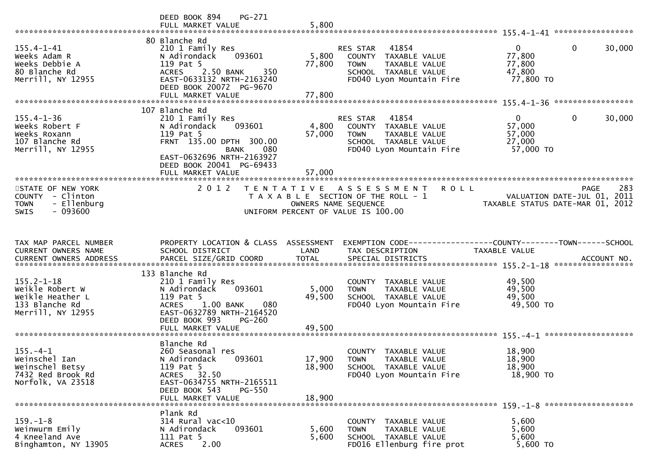|                                                                                                 | DEED BOOK 894<br>PG-271<br>FULL MARKET VALUE                                                                                                                                       | 5,800                          |                                                                                                                               |                                                                                                               |
|-------------------------------------------------------------------------------------------------|------------------------------------------------------------------------------------------------------------------------------------------------------------------------------------|--------------------------------|-------------------------------------------------------------------------------------------------------------------------------|---------------------------------------------------------------------------------------------------------------|
| $155.4 - 1 - 41$<br>Weeks Adam R<br>Weeks Debbie A<br>80 Blanche Rd<br>Merrill, NY 12955        | 80 Blanche Rd<br>210 1 Family Res<br>093601<br>N Adirondack<br>119 Pat 5<br>350<br>ACRES 2.50 BANK<br>EAST-0633132 NRTH-2163240<br>DEED BOOK 20072 PG-9670<br>FULL MARKET VALUE    | 5,800<br>77,800<br>77,800      | 41854<br>RES STAR<br>COUNTY TAXABLE VALUE<br><b>TOWN</b><br>TAXABLE VALUE<br>SCHOOL TAXABLE VALUE<br>FD040 Lyon Mountain Fire | $\mathbf 0$<br>$\overline{0}$<br>30,000<br>77,800<br>77,800<br>47,800<br>77,800 TO                            |
| $155.4 - 1 - 36$<br>Weeks Robert F<br>Weeks Roxann<br>107 Blanche Rd<br>Merrill, NY 12955       | 107 Blanche Rd<br>210 1 Family Res<br>093601<br>N Adirondack<br>119 Pat 5<br>FRNT 135.00 DPTH 300.00<br><b>BANK</b><br>080                                                         | 4,800<br>57,000                | RES STAR 41854<br>COUNTY TAXABLE VALUE<br>TAXABLE VALUE<br><b>TOWN</b><br>SCHOOL TAXABLE VALUE<br>FD040 Lyon Mountain Fire    | $\overline{0}$<br>$\mathbf{0}$<br>30,000<br>57,000<br>57,000<br>27,000<br>57,000 TO                           |
| STATE OF NEW YORK<br>COUNTY - Clinton<br>- Ellenburg<br><b>TOWN</b><br>$-093600$<br><b>SWIS</b> | EAST-0632696 NRTH-2163927<br>DEED BOOK 20041 PG-69433<br>FULL MARKET VALUE<br>2 0 1 2<br>T E N T A T I V E                                                                         | 57,000<br>OWNERS NAME SEQUENCE | A S S E S S M E N T<br><b>ROLL</b><br>T A X A B L E SECTION OF THE ROLL - 1<br>UNIFORM PERCENT OF VALUE IS 100.00             | 283<br>PAGE<br>VALUATION DATE-JUL 01, 2011<br>لندن، , LUATION DATE-JUL U.<br>TAXABLE STATUS DATE-MAR 01, 2012 |
| TAX MAP PARCEL NUMBER<br>CURRENT OWNERS NAME                                                    | PROPERTY LOCATION & CLASS ASSESSMENT<br>SCHOOL DISTRICT                                                                                                                            | LAND                           | TAX DESCRIPTION                                                                                                               | EXEMPTION CODE-----------------COUNTY-------TOWN------SCHOOL<br>TAXABLE VALUE                                 |
| $155.2 - 1 - 18$<br>Weikle Robert W<br>Weikle Heather L<br>133 Blanche Rd<br>Merrill, NY 12955  | 133 Blanche Rd<br>210 1 Family Res<br>N Adirondack<br>093601<br>119 Pat 5<br>ACRES 1.00 BANK<br>080<br>EAST-0632789 NRTH-2164520<br>DEED BOOK 993<br>$PG-260$<br>FULL MARKET VALUE | 5,000<br>49,500<br>49,500      | COUNTY TAXABLE VALUE<br><b>TOWN</b><br>TAXABLE VALUE<br>SCHOOL TAXABLE VALUE<br>FD040 Lyon Mountain Fire                      | 49,500<br>49,500<br>49,500<br>49,500 TO                                                                       |
| $155. - 4 - 1$<br>Weinschel Ian<br>Weinschel Betsy<br>7432 Red Brook Rd<br>Norfolk, VA 23518    | Blanche Rd<br>260 Seasonal res<br>093601<br>N Adirondack<br>119 Pat 5<br>ACRES 32.50<br>EAST-0634755 NRTH-2165511<br>DEED BOOK 543<br><b>PG-550</b><br>FULL MARKET VALUE           | 17,900<br>18,900<br>18,900     | COUNTY TAXABLE VALUE<br><b>TOWN</b><br>TAXABLE VALUE<br>SCHOOL TAXABLE VALUE<br>FD040 Lyon Mountain Fire                      | 18,900<br>18,900<br>18,900<br>18,900 TO                                                                       |
| $159. - 1 - 8$<br>Weinwurm Emily<br>4 Kneeland Ave<br>Binghamton, NY 13905                      | Plank Rd<br>$314$ Rural vac<10<br>093601<br>N Adirondack<br>111 Pat 5<br>2.00<br><b>ACRES</b>                                                                                      | 5,600<br>5,600                 | COUNTY<br>TAXABLE VALUE<br>TAXABLE VALUE<br><b>TOWN</b><br>SCHOOL TAXABLE VALUE<br>FD016 Ellenburg fire prot                  | 5,600<br>5,600<br>5,600<br>5,600 TO                                                                           |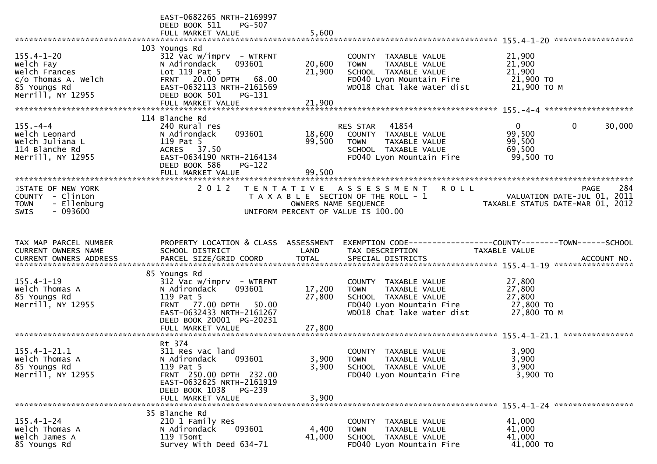|                                                                                                            | EAST-0682265 NRTH-2169997<br>DEED BOOK 511<br>PG-507<br>FULL MARKET VALUE                                                                                               | 5,600                |                                                                                                                                        |                                                                                    |     |
|------------------------------------------------------------------------------------------------------------|-------------------------------------------------------------------------------------------------------------------------------------------------------------------------|----------------------|----------------------------------------------------------------------------------------------------------------------------------------|------------------------------------------------------------------------------------|-----|
| $155.4 - 1 - 20$<br>Welch Fay<br>Welch Frances<br>c/o Thomas A. Welch<br>85 Youngs Rd<br>Merrill, NY 12955 | 103 Youngs Rd<br>$312$ Vac w/imprv - WTRFNT<br>093601<br>N Adirondack<br>Lot 119 Pat 5<br>FRNT 20.00 DPTH 68.00<br>EAST-0632113 NRTH-2161569<br>DEED BOOK 501<br>PG-131 | 20,600<br>21,900     | COUNTY TAXABLE VALUE<br>TAXABLE VALUE<br><b>TOWN</b><br>SCHOOL TAXABLE VALUE<br>FD040 Lyon Mountain Fire<br>WD018 Chat lake water dist | 21,900<br>21,900<br>21,900<br>21,900 TO<br>21,900 ТО М                             |     |
|                                                                                                            | FULL MARKET VALUE                                                                                                                                                       | 21,900               |                                                                                                                                        |                                                                                    |     |
| $155. - 4 - 4$<br>Welch Leonard<br>Welch Juliana L<br>114 Blanche Rd<br>Merrill, NY 12955                  | 114 Blanche Rd<br>240 Rural res<br>093601<br>N Adirondack<br>119 Pat 5<br>ACRES 37.50<br>EAST-0634190 NRTH-2164134<br>DEED BOOK 586<br><b>PG-122</b>                    | 18,600<br>99,500     | RES STAR 41854<br>COUNTY TAXABLE VALUE<br><b>TOWN</b><br>TAXABLE VALUE<br>SCHOOL TAXABLE VALUE<br>FD040 Lyon Mountain Fire             | $\mathbf 0$<br>$\overline{0}$<br>30,000<br>99,500<br>99,500<br>69,500<br>99,500 TO |     |
|                                                                                                            | FULL MARKET VALUE                                                                                                                                                       | 99,500               |                                                                                                                                        |                                                                                    |     |
| STATE OF NEW YORK<br>COUNTY - Clinton<br>- Ellenburg<br><b>TOWN</b><br>$-093600$<br><b>SWIS</b>            | 2012                                                                                                                                                                    | OWNERS NAME SEQUENCE | TENTATIVE ASSESSMENT<br><b>ROLL</b><br>T A X A B L E SECTION OF THE ROLL - 1<br>UNIFORM PERCENT OF VALUE IS 100.00                     | PAGE<br>VALUATION DATE-JUL 01, 2011<br>TAXABLE STATUS DATE-MAR 01, 2012            | 284 |
|                                                                                                            |                                                                                                                                                                         |                      |                                                                                                                                        |                                                                                    |     |
| TAX MAP PARCEL NUMBER<br>CURRENT OWNERS NAME                                                               | PROPERTY LOCATION & CLASS ASSESSMENT<br>SCHOOL DISTRICT                                                                                                                 | LAND                 | TAX DESCRIPTION                                                                                                                        | TAXABLE VALUE                                                                      |     |
|                                                                                                            | 85 Youngs Rd                                                                                                                                                            |                      |                                                                                                                                        |                                                                                    |     |
| $155.4 - 1 - 19$<br>Welch Thomas A<br>85 Youngs Rd<br>Merrill, NY 12955                                    | $312$ Vac w/imprv - WTRFNT<br>093601<br>N Adirondack<br>119 Pat 5<br>FRNT 77.00 DPTH 50.00<br>EAST-0632433 NRTH-2161267<br>DEED BOOK 20001 PG-20231                     | 17,200<br>27,800     | COUNTY TAXABLE VALUE<br><b>TOWN</b><br>TAXABLE VALUE<br>SCHOOL TAXABLE VALUE<br>FD040 Lyon Mountain Fire<br>WD018 Chat lake water dist | 27,800<br>27,800<br>27,800<br>27,800 TO<br>27,800 ТО М                             |     |
|                                                                                                            | FULL MARKET VALUE                                                                                                                                                       | 27,800               |                                                                                                                                        |                                                                                    |     |
| $155.4 - 1 - 21.1$<br>Welch Thomas A<br>85 Youngs Rd<br>Merrill, NY 12955                                  | Rt 374<br>311 Res vac land<br>N Adirondack 093601<br>119 Pat 5<br>FRNT 250.00 DPTH 232.00<br>EAST-0632625 NRTH-2161919<br>DEED BOOK 1038<br>PG-239<br>FULL MARKET VALUE | 3,900<br>3,900       | COUNTY TAXABLE VALUE<br>3,900 TOWN<br>TAXABLE VALUE<br>SCHOOL TAXABLE VALUE<br>FD040 Lyon Mountain Fire                                | 3,900<br>3,900<br>3,900<br>3,900 TO                                                |     |
|                                                                                                            |                                                                                                                                                                         |                      |                                                                                                                                        |                                                                                    |     |
| $155.4 - 1 - 24$<br>Welch Thomas A<br>Welch James A<br>85 Youngs Rd                                        | 35 Blanche Rd<br>210 1 Family Res<br>N Adirondack<br>093601<br>119 T5omt<br>Survey With Deed 634-71                                                                     | 4,400<br>41,000      | COUNTY TAXABLE VALUE<br><b>TOWN</b><br><b>TAXABLE VALUE</b><br>SCHOOL TAXABLE VALUE<br>FD040 Lyon Mountain Fire                        | 41,000<br>41,000<br>41,000<br>41,000 TO                                            |     |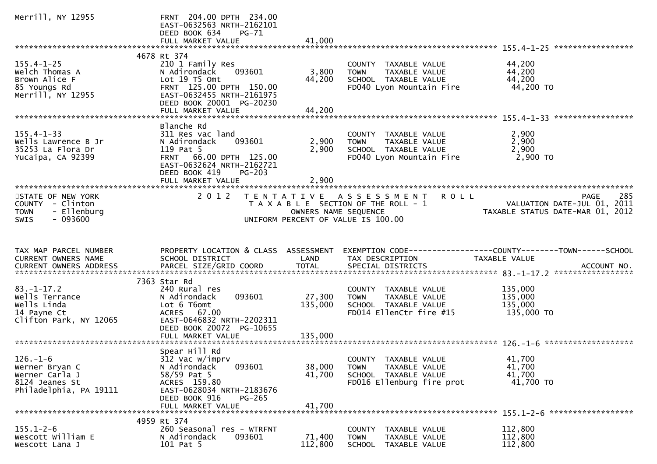| Merrill, NY 12955                                                                               | FRNT 204.00 DPTH 234.00<br>EAST-0632563 NRTH-2162101<br>DEED BOOK 634<br><b>PG-71</b><br>FULL MARKET VALUE                                                                            | 41,000                     |                                                                                                                    |                                                                                                                |
|-------------------------------------------------------------------------------------------------|---------------------------------------------------------------------------------------------------------------------------------------------------------------------------------------|----------------------------|--------------------------------------------------------------------------------------------------------------------|----------------------------------------------------------------------------------------------------------------|
|                                                                                                 |                                                                                                                                                                                       |                            |                                                                                                                    |                                                                                                                |
| $155.4 - 1 - 25$<br>Welch Thomas A<br>Brown Alice F<br>85 Youngs Rd<br>Merrill, NY 12955        | 4678 Rt 374<br>210 1 Family Res<br>093601<br>N Adirondack<br>Lot 19  T5  Omt<br>FRNT 125.00 DPTH 150.00<br>EAST-0632455 NRTH-2161975<br>DEED BOOK 20001 PG-20230<br>FULL MARKET VALUE | 3,800<br>44,200<br>44,200  | COUNTY TAXABLE VALUE<br>TAXABLE VALUE<br><b>TOWN</b><br>SCHOOL TAXABLE VALUE<br>FD040 Lyon Mountain Fire           | 44,200<br>44,200<br>44,200<br>44,200 TO                                                                        |
|                                                                                                 |                                                                                                                                                                                       |                            |                                                                                                                    |                                                                                                                |
| $155.4 - 1 - 33$<br>Wells Lawrence B Jr<br>35253 La Flora Dr<br>Yucaipa, CA 92399               | Blanche Rd<br>311 Res vac land<br>093601<br>N Adirondack<br>119 Pat 5<br>FRNT 66.00 DPTH 125.00<br>EAST-0632624 NRTH-2162721<br>DEED BOOK 419<br>$PG-203$<br>FULL MARKET VALUE        | 2,900<br>2,900<br>2,900    | COUNTY TAXABLE VALUE<br>TAXABLE VALUE<br><b>TOWN</b><br>SCHOOL TAXABLE VALUE<br>FD040 Lyon Mountain Fire           | 2,900<br>2,900<br>2,900<br>2,900 то                                                                            |
|                                                                                                 |                                                                                                                                                                                       |                            |                                                                                                                    |                                                                                                                |
| STATE OF NEW YORK<br>COUNTY - Clinton<br>- Ellenburg<br><b>TOWN</b><br>$-093600$<br><b>SWIS</b> | 2 0 1 2                                                                                                                                                                               | OWNERS NAME SEQUENCE       | TENTATIVE ASSESSMENT<br><b>ROLL</b><br>T A X A B L E SECTION OF THE ROLL - 1<br>UNIFORM PERCENT OF VALUE IS 100.00 | 285<br><b>PAGE</b><br>VALUATION DATE-JUL 01, 2011<br>VALUATION DATE SUL 17<br>TAXABLE STATUS DATE-MAR 01, 2012 |
|                                                                                                 |                                                                                                                                                                                       |                            |                                                                                                                    |                                                                                                                |
| TAX MAP PARCEL NUMBER<br><b>CURRENT OWNERS NAME</b><br><b>CURRENT OWNERS ADDRESS</b>            | PROPERTY LOCATION & CLASS ASSESSMENT<br>SCHOOL DISTRICT<br>PARCEL SIZE/GRID COORD                                                                                                     | LAND<br><b>TOTAL</b>       | TAX DESCRIPTION<br>SPECIAL DISTRICTS                                                                               | EXEMPTION        CODE------------------COUNTY-------TOWN------SCHOOL<br>TAXABLE VALUE<br>ACCOUNT NO.           |
|                                                                                                 |                                                                                                                                                                                       |                            |                                                                                                                    |                                                                                                                |
| $83. - 1 - 17.2$<br>Wells Terrance<br>Wells Linda<br>14 Payne Ct<br>Clifton Park, NY 12065      | 7363 Star Rd<br>240 Rural res<br>093601<br>N Adirondack<br>Lot 6 T6omt<br>ACRES 67.00<br>EAST-0646832 NRTH-2202311<br>DEED BOOK 20072 PG-10655                                        | 27,300<br>135,000          | COUNTY TAXABLE VALUE<br>TAXABLE VALUE<br><b>TOWN</b><br>SCHOOL TAXABLE VALUE<br>FD014 EllenCtr fire #15            | 135,000<br>135,000<br>135,000<br>135,000 TO                                                                    |
|                                                                                                 | FULL MARKET VALUE                                                                                                                                                                     | 135,000                    |                                                                                                                    |                                                                                                                |
| $126. - 1 - 6$<br>Werner Bryan C<br>Werner Carla J<br>8124 Jeanes St<br>Philadelphia, PA 19111  | Spear Hill Rd<br>312 Vac w/imprv<br>N Adirondack<br>093601<br>$58/59$ Pat 5<br>ACRES 159.80<br>EAST-0628034 NRTH-2183676<br>DEED BOOK 916<br>$PG-265$<br>FULL MARKET VALUE            | 38,000<br>41,700<br>41,700 | COUNTY TAXABLE VALUE<br><b>TOWN</b><br>TAXABLE VALUE<br>SCHOOL TAXABLE VALUE<br>FD016 Ellenburg fire prot          | 41,700<br>41,700<br>41,700<br>41,700 TO                                                                        |
|                                                                                                 | 4959 Rt 374                                                                                                                                                                           |                            |                                                                                                                    |                                                                                                                |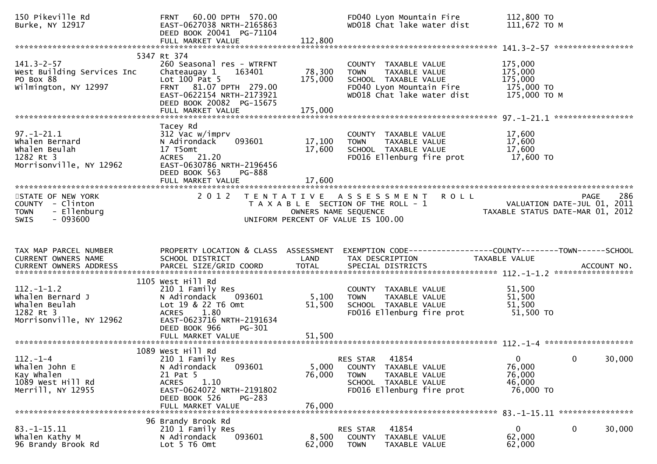| 150 Pikeville Rd<br>Burke, NY 12917                                                             | 60.00 DPTH 570.00<br><b>FRNT</b><br>EAST-0627038 NRTH-2165863<br>DEED BOOK 20041 PG-71104<br>FULL MARKET VALUE                                                                             | 112,800                    | FD040 Lyon Mountain Fire<br>WD018 Chat lake water dist                                                                                 | 112,800 TO<br>111,672 ТО М                                      |             |
|-------------------------------------------------------------------------------------------------|--------------------------------------------------------------------------------------------------------------------------------------------------------------------------------------------|----------------------------|----------------------------------------------------------------------------------------------------------------------------------------|-----------------------------------------------------------------|-------------|
|                                                                                                 |                                                                                                                                                                                            |                            |                                                                                                                                        |                                                                 |             |
| $141.3 - 2 - 57$<br>West Building Services Inc<br>PO Box 88<br>Wilmington, NY 12997             | 5347 Rt 374<br>260 Seasonal res - WTRFNT<br>163401<br>Chateaugay 1<br>Lot $100$ Pat 5<br>FRNT 81.07 DPTH 279.00<br>EAST-0622154 NRTH-2173921<br>DEED BOOK 20082 PG-15675                   | 78,300<br>175,000          | COUNTY TAXABLE VALUE<br>TAXABLE VALUE<br><b>TOWN</b><br>SCHOOL TAXABLE VALUE<br>FD040 Lyon Mountain Fire<br>WD018 Chat lake water dist | 175,000<br>175,000<br>175,000<br>175,000 TO<br>175,000 TO M     |             |
|                                                                                                 |                                                                                                                                                                                            |                            |                                                                                                                                        |                                                                 |             |
| $97. - 1 - 21.1$<br>Whalen Bernard<br>Whalen Beulah<br>1282 Rt 3<br>Morrisonville, NY 12962     | Tacey Rd<br>312 Vac w/imprv<br>N Adirondack<br>093601<br>17 T5omt<br>ACRES 21.20<br>EAST-0630786 NRTH-2196456<br>DEED BOOK 563<br>PG-888                                                   | 17,100<br>17,600<br>17,600 | COUNTY TAXABLE VALUE<br><b>TOWN</b><br>TAXABLE VALUE<br>SCHOOL TAXABLE VALUE<br>FD016 Ellenburg fire prot                              | 17,600<br>17,600<br>17,600<br>17,600 TO                         |             |
|                                                                                                 | FULL MARKET VALUE                                                                                                                                                                          |                            |                                                                                                                                        |                                                                 |             |
| STATE OF NEW YORK<br>COUNTY - Clinton<br>- Ellenburg<br><b>TOWN</b><br>$-093600$<br><b>SWIS</b> | 2 0 1 2                                                                                                                                                                                    | OWNERS NAME SEQUENCE       | TENTATIVE ASSESSMENT<br><b>ROLL</b><br>T A X A B L E SECTION OF THE ROLL - 1<br>UNIFORM PERCENT OF VALUE IS 100.00                     | VALUATION DATE-JUL 01, 2011<br>TAXABLE STATUS DATE-MAR 01, 2012 | 286<br>PAGE |
|                                                                                                 |                                                                                                                                                                                            |                            |                                                                                                                                        |                                                                 |             |
|                                                                                                 |                                                                                                                                                                                            |                            |                                                                                                                                        |                                                                 |             |
| TAX MAP PARCEL NUMBER<br>CURRENT OWNERS NAME<br><b>CURRENT OWNERS ADDRESS</b>                   | PROPERTY LOCATION & CLASS ASSESSMENT<br>SCHOOL DISTRICT<br>PARCEL SIZE/GRID COORD                                                                                                          | LAND<br><b>TOTAL</b>       | EXEMPTION CODE------------------COUNTY--------TOWN------SCHOOL<br>TAX DESCRIPTION<br>SPECIAL DISTRICTS                                 | TAXABLE VALUE                                                   | ACCOUNT NO. |
|                                                                                                 |                                                                                                                                                                                            |                            |                                                                                                                                        |                                                                 |             |
| $112.-1-1.2$<br>Whalen Bernard J<br>Whalen Beulah<br>1282 Rt 3<br>Morrisonville, NY 12962       | 1105 West Hill Rd<br>210 1 Family Res<br>N Adirondack<br>093601<br>Lot 19 & 22 T6 Omt<br>1.80<br><b>ACRES</b><br>EAST-0623716 NRTH-2191634<br>DEED BOOK 966<br>PG-301<br>FULL MARKET VALUE | 5,100<br>51,500<br>51,500  | COUNTY TAXABLE VALUE<br>TAXABLE VALUE<br><b>TOWN</b><br>SCHOOL TAXABLE VALUE<br>FD016 Ellenburg fire prot                              | 51,500<br>51,500<br>51,500<br>51,500 TO                         |             |
|                                                                                                 |                                                                                                                                                                                            |                            |                                                                                                                                        |                                                                 |             |
| $112. - 1 - 4$<br>Whalen John E<br>Kay Whalen<br>1089 West Hill Rd<br>Merrill, NY 12955         | 1089 West Hill Rd<br>210 1 Family Res<br>093601<br>N Adirondack<br>21 Pat 5<br>1.10<br><b>ACRES</b><br>EAST-0624072 NRTH-2191802<br>DEED BOOK 526<br>PG-283<br>FULL MARKET VALUE           | 5,000<br>76,000<br>76,000  | 41854<br><b>RES STAR</b><br>COUNTY TAXABLE VALUE<br><b>TOWN</b><br>TAXABLE VALUE<br>SCHOOL TAXABLE VALUE<br>FD016 Ellenburg fire prot  | $\mathbf{0}$<br>76,000<br>76,000<br>46,000<br>76,000 TO         | 30,000<br>0 |
|                                                                                                 | 96 Brandy Brook Rd                                                                                                                                                                         |                            |                                                                                                                                        |                                                                 |             |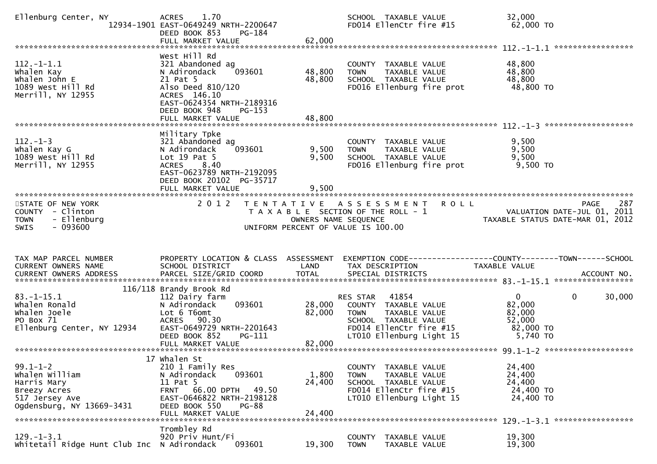| Ellenburg Center, NY                                                                                           | <b>ACRES</b><br>1.70<br>12934-1901 EAST-0649249 NRTH-2200647<br>DEED BOOK 853<br>PG-184<br>FULL MARKET VALUE                                                                          | 62,000                                    | SCHOOL TAXABLE VALUE<br>FD014 EllenCtr fire #15                                                                                                          | 32,000<br>62,000 TO                                                                                           |        |
|----------------------------------------------------------------------------------------------------------------|---------------------------------------------------------------------------------------------------------------------------------------------------------------------------------------|-------------------------------------------|----------------------------------------------------------------------------------------------------------------------------------------------------------|---------------------------------------------------------------------------------------------------------------|--------|
| $112. - 1 - 1.1$<br>Whalen Kay<br>Whalen John E<br>1089 West Hill Rd<br>Merrill, NY 12955                      | West Hill Rd<br>321 Abandoned ag<br>093601<br>N Adirondack<br>21 Pat 5<br>Also Deed 810/120<br>ACRES 146.10<br>EAST-0624354 NRTH-2189316<br>DEED BOOK 948<br>$PG-153$                 | 48,800<br>48,800                          | COUNTY TAXABLE VALUE<br><b>TOWN</b><br>TAXABLE VALUE<br>SCHOOL TAXABLE VALUE<br>FD016 Ellenburg fire prot                                                | 48,800<br>48,800<br>48,800<br>48,800 TO                                                                       |        |
| $112. - 1 - 3$<br>Whalen Kay G<br>1089 West Hill Rd<br>Merrill, NY 12955                                       | Military Tpke<br>321 Abandoned ag<br>093601<br>N Adirondack<br>Lot $19$ Pat 5<br><b>ACRES</b><br>8.40<br>EAST-0623789 NRTH-2192095<br>DEED BOOK 20102 PG-35717<br>FULL MARKET VALUE   | 9,500<br>9,500<br>9,500                   | COUNTY TAXABLE VALUE<br>TAXABLE VALUE<br><b>TOWN</b><br>SCHOOL TAXABLE VALUE<br>FD016 Ellenburg fire prot                                                | 9,500<br>9,500<br>9,500<br>9,500 TO                                                                           |        |
| STATE OF NEW YORK<br>COUNTY - Clinton<br>- Ellenburg<br><b>TOWN</b><br><b>SWIS</b><br>- 093600                 | 2 0 1 2                                                                                                                                                                               | T E N T A T I V E<br>OWNERS NAME SEQUENCE | <b>ROLL</b><br>A S S E S S M E N T<br>T A X A B L E SECTION OF THE ROLL - 1<br>UNIFORM PERCENT OF VALUE IS 100.00                                        | <b>PAGE</b><br>VALUATION DATE-JUL 01, 2011<br>VALUATION DATE-JUL 01, 2011<br>TAXABLE STATUS DATE-MAR 01, 2012 | 287    |
| TAX MAP PARCEL NUMBER<br>CURRENT OWNERS NAME                                                                   | PROPERTY LOCATION & CLASS ASSESSMENT<br>SCHOOL DISTRICT                                                                                                                               | LAND                                      | TAX DESCRIPTION                                                                                                                                          | TAXABLE VALUE                                                                                                 |        |
|                                                                                                                |                                                                                                                                                                                       |                                           |                                                                                                                                                          |                                                                                                               |        |
| $83.-1-15.1$<br>Whalen Ronald<br>Whalen Joele<br>PO Box 71<br>Ellenburg Center, NY 12934                       | 116/118 Brandy Brook Rd<br>112 Dairy farm<br>N Adirondack<br>093601<br>Lot 6 T6omt<br>ACRES 90.30<br>EAST-0649729 NRTH-2201643<br>DEED BOOK 852<br>PG-111                             | 28,000<br>82,000                          | 41854<br>RES STAR<br>COUNTY TAXABLE VALUE<br>TAXABLE VALUE<br><b>TOWN</b><br>SCHOOL TAXABLE VALUE<br>FD014 EllenCtr fire #15<br>LT010 Ellenburg Light 15 | $\overline{0}$<br>$\mathbf{0}$<br>82,000<br>82,000<br>52,000<br>82,000 TO<br>5,740 TO                         | 30,000 |
| $99.1 - 1 - 2$<br>whalen william<br>Harris Mary<br>Breezy Acres<br>517 Jersey Ave<br>Ogdensburg, NY 13669-3431 | 17 Whalen St<br>210 1 Family Res<br>093601<br>N Adirondack<br>11 Pat 5<br>FRNT 66.00 DPTH<br>49.50<br>EAST-0646822 NRTH-2198128<br>DEED BOOK 550<br><b>PG-88</b><br>FULL MARKET VALUE | 1,800<br>24,400<br>24,400                 | TAXABLE VALUE<br><b>COUNTY</b><br><b>TOWN</b><br>TAXABLE VALUE<br>SCHOOL TAXABLE VALUE<br>FD014 EllenCtr fire #15<br>LT010 Ellenburg Light 15            | 24,400<br>24,400<br>24,400<br>24,400 TO<br>24,400 TO                                                          |        |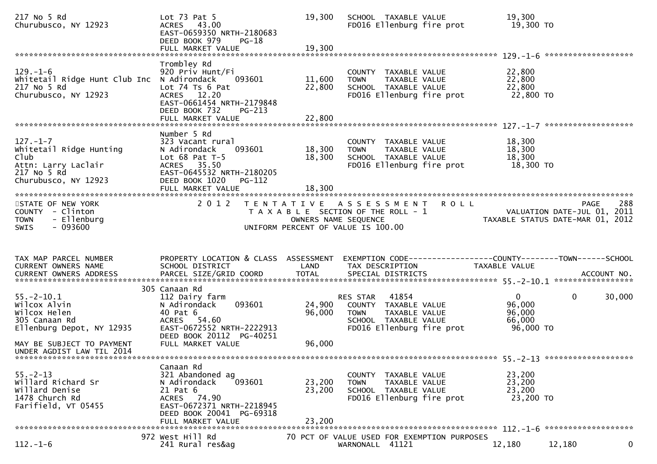| 217 No 5 Rd<br>Churubusco, NY 12923                                                                                                                      | Lot $73$ Pat $5$<br>ACRES 43.00<br>EAST-0659350 NRTH-2180683<br>DEED BOOK 979<br>$PG-18$<br>FULL MARKET VALUE                                                                | 19,300<br>19,300           | SCHOOL TAXABLE VALUE<br>FD016 Ellenburg fire prot                                                                              | 19,300<br>19,300 TO                                                           |                                                                                       |
|----------------------------------------------------------------------------------------------------------------------------------------------------------|------------------------------------------------------------------------------------------------------------------------------------------------------------------------------|----------------------------|--------------------------------------------------------------------------------------------------------------------------------|-------------------------------------------------------------------------------|---------------------------------------------------------------------------------------|
| $129. - 1 - 6$<br>Whitetail Ridge Hunt Club Inc N Adirondack<br>217 No 5 Rd<br>Churubusco, NY 12923                                                      | Trombley Rd<br>920 Priv Hunt/Fi<br>093601<br>Lot 74 Ts 6 Pat<br>ACRES 12.20<br>EAST-0661454 NRTH-2179848<br>DEED BOOK 732<br>$PG-213$                                        | 11,600<br>22,800           | COUNTY TAXABLE VALUE<br>TAXABLE VALUE<br><b>TOWN</b><br>SCHOOL TAXABLE VALUE<br>FD016 Ellenburg fire prot                      | 22,800<br>22,800<br>22,800<br>22,800 TO                                       |                                                                                       |
| $127. - 1 - 7$<br>Whitetail Ridge Hunting<br>Club<br>Attn: Larry Laclair<br>217 No 5 Rd<br>Churubusco, NY 12923                                          | Number 5 Rd<br>323 Vacant rural<br>093601<br>N Adirondack<br>Lot $68$ Pat T-5<br>ACRES 35.50<br>EAST-0645532 NRTH-2180205<br>DEED BOOK 1020<br>PG-112<br>FULL MARKET VALUE   | 18,300<br>18,300<br>18,300 | COUNTY TAXABLE VALUE<br><b>TOWN</b><br>TAXABLE VALUE<br>SCHOOL TAXABLE VALUE<br>FD016 Ellenburg fire prot                      | 18,300<br>18,300<br>18,300<br>18,300 TO                                       |                                                                                       |
| STATE OF NEW YORK<br>COUNTY - Clinton<br>- Ellenburg<br><b>TOWN</b><br>$-093600$<br><b>SWIS</b>                                                          | 2 0 1 2                                                                                                                                                                      |                            | TENTATIVE ASSESSMENT<br>T A X A B L E SECTION OF THE ROLL - 1<br>OWNERS NAME SEQUENCE<br>UNIFORM PERCENT OF VALUE IS 100.00    | <b>ROLL</b>                                                                   | 288<br><b>PAGE</b><br>VALUATION DATE-JUL 01, 2011<br>TAXABLE STATUS DATE-MAR 01, 2012 |
| TAX MAP PARCEL NUMBER<br>CURRENT OWNERS NAME<br>CURRENT OWNERS ADDRESS                                                                                   | PROPERTY LOCATION & CLASS ASSESSMENT<br>SCHOOL DISTRICT                                                                                                                      | LAND                       | TAX DESCRIPTION                                                                                                                | EXEMPTION CODE-----------------COUNTY-------TOWN------SCHOOL<br>TAXABLE VALUE |                                                                                       |
| $55. - 2 - 10.1$<br>Wilcox Alvin<br>Wilcox Helen<br>305 Canaan Rd<br>Ellenburg Depot, NY 12935<br>MAY BE SUBJECT TO PAYMENT<br>UNDER AGDIST LAW TIL 2014 | 305 Canaan Rd<br>112 Dairy farm<br>093601<br>N Adirondack<br>40 Pat 6<br>54.60<br><b>ACRES</b><br>EAST-0672552 NRTH-2222913<br>DEED BOOK 20112 PG-40251<br>FULL MARKET VALUE | 24,900<br>96,000<br>96,000 | 41854<br>RES STAR<br>COUNTY TAXABLE VALUE<br><b>TOWN</b><br>TAXABLE VALUE<br>SCHOOL TAXABLE VALUE<br>FD016 Ellenburg fire prot | $\mathbf{0}$<br>96,000<br>96,000<br>66,000<br>96,000 TO                       | $\mathbf{0}$<br>30,000                                                                |
| $55. - 2 - 13$<br>Willard Richard Sr<br>Willard Denise<br>1478 Church Rd<br>Farifield, VT 05455                                                          | Canaan Rd<br>321 Abandoned ag<br>N Adirondack<br>093601<br>21 Pat 6<br>ACRES 74.90<br>EAST-0672371 NRTH-2218945<br>DEED BOOK 20041 PG-69318<br>FULL MARKET VALUE             | 23,200<br>23,200<br>23,200 | COUNTY TAXABLE VALUE<br><b>TOWN</b><br>TAXABLE VALUE<br>SCHOOL TAXABLE VALUE<br>FD016 Ellenburg fire prot                      | 23,200<br>23,200<br>23,200<br>23,200 TO                                       |                                                                                       |
| $112. - 1 - 6$                                                                                                                                           | 972 West Hill Rd<br>241 Rural res&ag                                                                                                                                         |                            | 70 PCT OF VALUE USED FOR EXEMPTION PURPOSES<br>WARNONALL 41121                                                                 | 12,180                                                                        | 0<br>12,180                                                                           |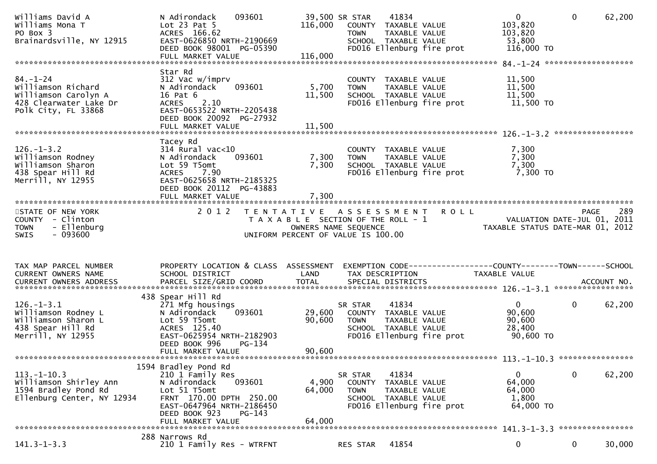| Williams David A<br>Williams Mona T<br>PO Box 3<br>Brainardsville, NY 12915                                   | N Adirondack<br>093601<br>Lot $23$ Pat $5$<br>ACRES 166.62<br>EAST-0626850 NRTH-2190669<br>DEED BOOK 98001 PG-05390                                                                        | 116,000                    | 39,500 SR STAR<br>41834<br>COUNTY TAXABLE VALUE<br>TAXABLE VALUE<br><b>TOWN</b><br>SCHOOL TAXABLE VALUE<br>FD016 Ellenburg fire prot |             | $\overline{0}$<br>103,820<br>103,820<br>53,800<br>116,000 TO    | $\mathbf 0$ | 62,200 |
|---------------------------------------------------------------------------------------------------------------|--------------------------------------------------------------------------------------------------------------------------------------------------------------------------------------------|----------------------------|--------------------------------------------------------------------------------------------------------------------------------------|-------------|-----------------------------------------------------------------|-------------|--------|
|                                                                                                               |                                                                                                                                                                                            |                            |                                                                                                                                      |             |                                                                 |             |        |
| $84. - 1 - 24$<br>Williamson Richard<br>Williamson Carolyn A<br>428 Clearwater Lake Dr<br>Polk City, FL 33868 | Star Rd<br>312 Vac w/imprv<br>093601<br>N Adirondack<br>16 Pat 6<br>2.10<br><b>ACRES</b><br>EAST-0653522 NRTH-2205438<br>DEED BOOK 20092 PG-27932                                          | 5,700<br>11,500            | COUNTY TAXABLE VALUE<br><b>TOWN</b><br>TAXABLE VALUE<br>SCHOOL TAXABLE VALUE<br>FD016 Ellenburg fire prot                            |             | 11,500<br>11,500<br>11,500<br>11,500 TO                         |             |        |
|                                                                                                               | FULL MARKET VALUE                                                                                                                                                                          | 11,500                     |                                                                                                                                      |             |                                                                 |             |        |
| $126. - 1 - 3.2$<br>Williamson Rodney<br>Williamson Sharon<br>438 Spear Hill Rd<br>Merrill, NY 12955          | Tacey Rd<br>$314$ Rural vac<10<br>N Adirondack<br>093601<br>Lot 59 T5omt<br><b>ACRES</b><br>7.90<br>EAST-0625658 NRTH-2185325<br>DEED BOOK 20112 PG-43883                                  | 7,300<br>7,300             | COUNTY TAXABLE VALUE<br><b>TOWN</b><br>TAXABLE VALUE<br>SCHOOL TAXABLE VALUE<br>FD016 Ellenburg fire prot                            |             | 7,300<br>7,300<br>7,300<br>7,300 TO                             |             |        |
|                                                                                                               |                                                                                                                                                                                            |                            |                                                                                                                                      |             |                                                                 |             |        |
| STATE OF NEW YORK<br>COUNTY - Clinton<br>- Ellenburg<br><b>TOWN</b>                                           | 2 0 1 2                                                                                                                                                                                    | OWNERS NAME SEQUENCE       | TENTATIVE ASSESSMENT<br>T A X A B L E SECTION OF THE ROLL - 1                                                                        | <b>ROLL</b> | VALUATION DATE-JUL 01, 2011<br>TAXABLE STATUS DATE-MAR 01, 2012 | <b>PAGE</b> | 289    |
| $-093600$<br><b>SWIS</b>                                                                                      |                                                                                                                                                                                            |                            | UNIFORM PERCENT OF VALUE IS 100.00                                                                                                   |             |                                                                 |             |        |
|                                                                                                               |                                                                                                                                                                                            |                            |                                                                                                                                      |             |                                                                 |             |        |
| TAX MAP PARCEL NUMBER<br>CURRENT OWNERS NAME                                                                  | PROPERTY LOCATION & CLASS ASSESSMENT<br>SCHOOL DISTRICT                                                                                                                                    | LAND                       | EXEMPTION CODE-----------------COUNTY-------TOWN------SCHOOL<br>TAX DESCRIPTION                                                      |             | TAXABLE VALUE                                                   |             |        |
|                                                                                                               |                                                                                                                                                                                            |                            |                                                                                                                                      |             |                                                                 |             |        |
| $126. - 1 - 3.1$<br>Williamson Rodney L<br>Williamson Sharon L<br>438 Spear Hill Rd<br>Merrill, NY 12955      | 438 Spear Hill Rd<br>271 Mfg housings<br>093601<br>N Adirondack<br>Lot 59 T5omt<br>ACRES 125.40<br>EAST-0625954 NRTH-2182903<br>DEED BOOK 996<br>$PG-134$<br>FULL MARKET VALUE             | 29,600<br>90,600<br>90,600 | 41834<br>SR STAR<br>COUNTY TAXABLE VALUE<br>TAXABLE VALUE<br><b>TOWN</b><br>SCHOOL TAXABLE VALUE<br>FD016 Ellenburg fire prot        |             | $\mathbf{0}$<br>90,600<br>90,600<br>28,400<br>90,600 TO         | 0           | 62,200 |
|                                                                                                               |                                                                                                                                                                                            |                            |                                                                                                                                      |             |                                                                 |             |        |
| $113.-1-10.3$<br>Williamson Shirley Ann<br>1594 Bradley Pond Rd<br>Ellenburg Center, NY 12934                 | 1594 Bradley Pond Rd<br>210 1 Family Res<br>093601<br>N Adirondack<br>Lot 51 T5omt<br>FRNT 170.00 DPTH 250.00<br>EAST-0647964 NRTH-2186450<br>DEED BOOK 923<br>PG-143<br>FULL MARKET VALUE | 4,900<br>64,000<br>64,000  | 41834<br>SR STAR<br>TAXABLE VALUE<br>COUNTY<br>TAXABLE VALUE<br><b>TOWN</b><br>SCHOOL TAXABLE VALUE<br>FD016 Ellenburg fire prot     |             | 0<br>64,000<br>64,000<br>1,800<br>64,000 TO                     | $\mathbf 0$ | 62,200 |
|                                                                                                               | 288 Narrows Rd                                                                                                                                                                             |                            |                                                                                                                                      |             |                                                                 |             |        |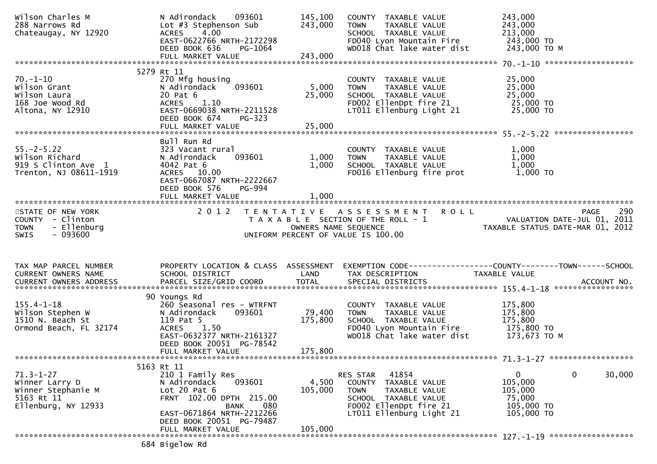| Wilson Charles M<br>288 Narrows Rd<br>Chateaugay, NY 12920                                   | 093601<br>N Adirondack<br>Lot #3 Stephenson Sub<br><b>ACRES</b><br>4.00<br>EAST-0622766 NRTH-2172298<br>DEED BOOK 636<br>PG-1064                                                | 145,100<br>243,000        | COUNTY TAXABLE VALUE<br>TAXABLE VALUE<br><b>TOWN</b><br>SCHOOL TAXABLE VALUE<br>FD040 Lyon Mountain Fire<br>WD018 Chat lake water dist                     | 243,000<br>243,000<br>213,000<br>243,000 TO<br>243,000 ТО М                           |
|----------------------------------------------------------------------------------------------|---------------------------------------------------------------------------------------------------------------------------------------------------------------------------------|---------------------------|------------------------------------------------------------------------------------------------------------------------------------------------------------|---------------------------------------------------------------------------------------|
|                                                                                              |                                                                                                                                                                                 |                           |                                                                                                                                                            |                                                                                       |
| $70. - 1 - 10$<br>Wilson Grant<br>Wilson Laura<br>168 Joe Wood Rd<br>Altona, NY 12910        | 5279 Rt 11<br>270 Mfg housing<br>093601<br>N Adirondack<br>20 Pat 6<br>1.10<br><b>ACRES</b><br>EAST-0669038 NRTH-2211528<br>DEED BOOK 674<br>PG-323                             | 5,000<br>25,000           | COUNTY TAXABLE VALUE<br><b>TOWN</b><br>TAXABLE VALUE<br>SCHOOL TAXABLE VALUE<br>FD002 EllenDpt fire 21<br>LT011 Ellenburg Light 21                         | 25,000<br>25,000<br>25,000<br>25,000 TO<br>25,000 TO                                  |
|                                                                                              |                                                                                                                                                                                 |                           |                                                                                                                                                            |                                                                                       |
| $55. -2 - 5.22$<br>Wilson Richard<br>919 S Clinton Ave 1<br>Trenton, NJ 08611-1919           | Bull Run Rd<br>323 Vacant rural<br>093601<br>N Adirondack<br>4042 Pat 6<br>ACRES 10.00<br>EAST-0667087 NRTH-2222667<br>DEED BOOK 576<br><b>PG-994</b>                           | 1,000<br>1,000            | COUNTY TAXABLE VALUE<br><b>TOWN</b><br>TAXABLE VALUE<br>SCHOOL TAXABLE VALUE<br>FD016 Ellenburg fire prot                                                  | 1,000<br>1,000<br>1,000<br>$1,000$ TO                                                 |
|                                                                                              |                                                                                                                                                                                 |                           |                                                                                                                                                            |                                                                                       |
| STATE OF NEW YORK<br>COUNTY - Clinton<br><b>TOWN</b><br>- Ellenburg                          | 2 0 1 2                                                                                                                                                                         | OWNERS NAME SEQUENCE      | TENTATIVE ASSESSMENT<br><b>ROLL</b><br>T A X A B L E SECTION OF THE ROLL - 1                                                                               | 290<br><b>PAGE</b><br>VALUATION DATE-JUL 01, 2011<br>TAXABLE STATUS DATE-MAR 01, 2012 |
| $-093600$<br><b>SWIS</b>                                                                     |                                                                                                                                                                                 |                           | UNIFORM PERCENT OF VALUE IS 100.00                                                                                                                         |                                                                                       |
| TAX MAP PARCEL NUMBER<br>CURRENT OWNERS NAME                                                 | PROPERTY LOCATION & CLASS ASSESSMENT<br>SCHOOL DISTRICT                                                                                                                         | <b>Example 12 DE LAND</b> | TAX DESCRIPTION                                                                                                                                            | <b>TAXABLE VALUE</b>                                                                  |
|                                                                                              |                                                                                                                                                                                 |                           |                                                                                                                                                            |                                                                                       |
| $155.4 - 1 - 18$<br>Wilson Stephen W<br>1510 N. Beach St<br>Ormond Beach, FL 32174           | 90 Youngs Rd<br>260 Seasonal res - WTRFNT<br>093601<br>N Adirondack<br>119 Pat 5<br>1.50<br><b>ACRES</b><br>EAST-0632377 NRTH-2161327<br>DEED BOOK 20051 PG-78542               | 79,400<br>175,800         | COUNTY TAXABLE VALUE<br>TAXABLE VALUE<br><b>TOWN</b><br>SCHOOL TAXABLE VALUE<br>FD040 Lyon Mountain Fire 175,800 TO<br>WD018 Chat lake water dist          | 175,800<br>175,800<br>175,800<br>173,673 TO M                                         |
|                                                                                              | FULL MARKET VALUE                                                                                                                                                               | 175,800                   |                                                                                                                                                            |                                                                                       |
|                                                                                              |                                                                                                                                                                                 |                           |                                                                                                                                                            |                                                                                       |
| $71.3 - 1 - 27$<br>Winner Larry D<br>Winner Stephanie M<br>5163 Rt 11<br>Ellenburg, NY 12933 | 5163 Rt 11<br>210 1 Family Res<br>093601<br>N Adirondack<br>Lot $20$ Pat $6$<br>FRNT 102.00 DPTH 215.00<br>080<br>BANK<br>EAST-0671864 NRTH-2212266<br>DEED BOOK 20051 PG-79487 | 4,500<br>105,000          | 41854<br>RES STAR<br>COUNTY<br>TAXABLE VALUE<br>TAXABLE VALUE<br><b>TOWN</b><br>SCHOOL TAXABLE VALUE<br>FD002 EllenDpt fire 21<br>LT011 Ellenburg Light 21 | 0<br>0<br>30,000<br>105,000<br>105,000<br>75,000<br>105,000 TO<br>105,000 TO          |
|                                                                                              | FULL MARKET VALUE                                                                                                                                                               | 105,000                   |                                                                                                                                                            |                                                                                       |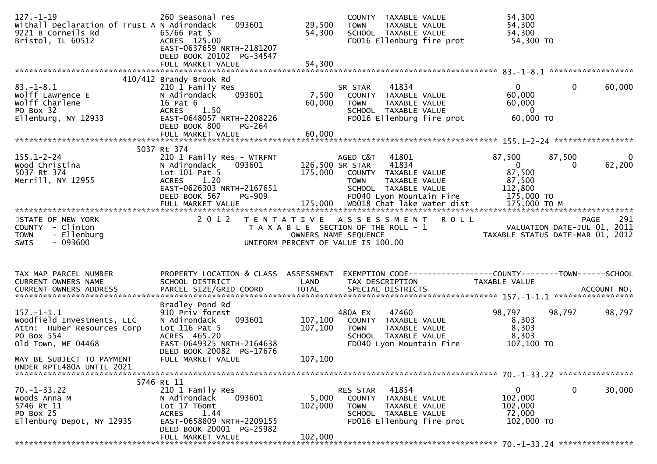| $127. - 1 - 19$<br>Withall Declaration of Trust A N Adirondack<br>9221 B Corneils Rd<br>Bristol, IL 60512        | 260 Seasonal res<br>093601<br>$65/66$ Pat 5<br>ACRES 125.00<br>EAST-0637659 NRTH-2181207<br>DEED BOOK 20102 PG-34547<br>FULL MARKET VALUE                           | 29,500<br>54,300<br>54,300 | COUNTY TAXABLE VALUE<br><b>TOWN</b><br>TAXABLE VALUE<br>SCHOOL TAXABLE VALUE<br>FD016 Ellenburg fire prot                                      | 54,300<br>54,300<br>54,300<br>54,300 TO                                            |                    |
|------------------------------------------------------------------------------------------------------------------|---------------------------------------------------------------------------------------------------------------------------------------------------------------------|----------------------------|------------------------------------------------------------------------------------------------------------------------------------------------|------------------------------------------------------------------------------------|--------------------|
|                                                                                                                  | 410/412 Brandy Brook Rd                                                                                                                                             |                            |                                                                                                                                                |                                                                                    |                    |
| $83. - 1 - 8.1$<br>Wolff Lawrence E<br>Wolff Charlene<br>PO Box 32<br>Ellenburg, NY 12933                        | 210 1 Family Res<br>N Adirondack<br>093601<br>16 Pat 6<br>1.50<br>ACRES<br>EAST-0648057 NRTH-2208226<br>DEED BOOK 800<br>PG-264                                     | 7,500<br>60,000            | 41834<br>SR STAR<br>COUNTY TAXABLE VALUE<br><b>TOWN</b><br>TAXABLE VALUE<br>SCHOOL TAXABLE VALUE<br>FD016 Ellenburg fire prot                  | $\mathbf 0$<br>0<br>60,000<br>60,000<br>$\overline{0}$<br>60,000 TO                | 60,000             |
|                                                                                                                  | FULL MARKET VALUE                                                                                                                                                   | 60,000                     |                                                                                                                                                |                                                                                    |                    |
|                                                                                                                  |                                                                                                                                                                     |                            |                                                                                                                                                |                                                                                    |                    |
| $155.1 - 2 - 24$<br>Wood Christina<br>5037 Rt 374<br>Merrill, NY 12955                                           | 5037 Rt 374<br>210 1 Family Res - WTRFNT<br>093601<br>N Adirondack<br>Lot 101 Pat 5<br>1.20<br><b>ACRES</b><br>EAST-0626303 NRTH-2167651<br>DEED BOOK 567<br>PG-909 | 126,500 SR STAR            | AGED C&T<br>41801<br>41834<br>175,000 COUNTY TAXABLE VALUE<br>TAXABLE VALUE<br><b>TOWN</b><br>SCHOOL TAXABLE VALUE<br>FD040 Lyon Mountain Fire | 87,500<br>87,500<br>$\mathbf{0}$<br>0<br>87,500<br>87,500<br>112,800<br>175,000 TO | $\bf{0}$<br>62,200 |
|                                                                                                                  |                                                                                                                                                                     |                            |                                                                                                                                                |                                                                                    |                    |
| STATE OF NEW YORK<br>COUNTY - Clinton<br><b>TOWN</b><br>- Ellenburg<br><b>SWIS</b><br>- 093600                   | 2012                                                                                                                                                                | OWNERS NAME SEQUENCE       | TENTATIVE ASSESSMENT<br><b>ROLL</b><br>T A X A B L E SECTION OF THE ROLL - 1<br>UNIFORM PERCENT OF VALUE IS 100.00                             | VALUATION DATE-JUL 01, 2011<br>TAXABLE STATUS DATE-MAR 01, 2012                    | 291<br><b>PAGE</b> |
| TAX MAP PARCEL NUMBER                                                                                            | PROPERTY LOCATION & CLASS ASSESSMENT                                                                                                                                |                            | EXEMPTION CODE------------------COUNTY--------TOWN------SCHOOL                                                                                 |                                                                                    |                    |
| CURRENT OWNERS NAME                                                                                              | SCHOOL DISTRICT                                                                                                                                                     | LAND                       | TAX DESCRIPTION                                                                                                                                | TAXABLE VALUE                                                                      |                    |
| $157. - 1 - 1.1$<br>Woodfield Investments, LLC<br>Attn: Huber Resources Corp<br>PO Box 554<br>old Town, ME 04468 | Bradley Pond Rd<br>910 Priv forest<br>093601<br>N Adirondack<br>Lot $116$ Pat 5<br>ACRES 465.20<br>EAST-0649325 NRTH-2164638                                        | 107,100<br>107,100         | 480A EX<br>47460<br>COUNTY TAXABLE VALUE<br><b>TOWN</b><br>TAXABLE VALUE<br>SCHOOL TAXABLE VALUE<br>FD040 Lyon Mountain Fire                   | 98,797<br>98,797<br>8,303<br>8,303<br>8,303<br>107,100 TO                          | 98,797             |
| MAY BE SUBJECT TO PAYMENT<br>UNDER RPTL480A UNTIL 2021                                                           | DEED BOOK 20082 PG-17676<br>FULL MARKET VALUE                                                                                                                       | 107,100                    |                                                                                                                                                |                                                                                    |                    |
|                                                                                                                  | 5746 Rt 11                                                                                                                                                          |                            |                                                                                                                                                |                                                                                    |                    |
| $70. -1 - 33.22$<br>Woods Anna M<br>5746 Rt 11<br>PO Box 25<br>Ellenburg Depot, NY 12935                         | 210 1 Family Res<br>093601<br>N Adirondack<br>Lot 17 T6omt<br>1.44<br><b>ACRES</b><br>EAST-0658809 NRTH-2209155                                                     | 5,000<br>102,000           | RES STAR<br>41854<br>COUNTY TAXABLE VALUE<br><b>TOWN</b><br>TAXABLE VALUE<br>SCHOOL TAXABLE VALUE<br>FD016 Ellenburg fire prot                 | $\mathbf 0$<br>0<br>102,000<br>102,000<br>72,000<br>102,000 TO                     | 30,000             |
|                                                                                                                  | DEED BOOK 20001 PG-25982<br>FULL MARKET VALUE                                                                                                                       | 102,000                    |                                                                                                                                                |                                                                                    |                    |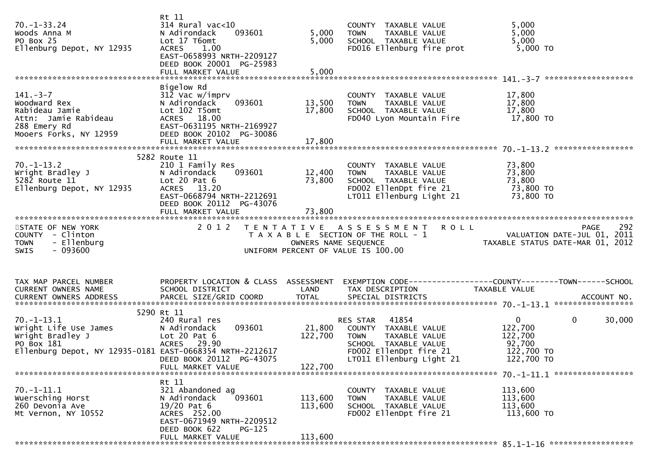| $70. - 1 - 33.24$<br>Woods Anna M<br>PO Box 25<br>Ellenburg Depot, NY 12935                                                                           | Rt 11<br>$314$ Rural vac<10<br>N Adirondack<br>093601<br>Lot 17 T6omt<br><b>ACRES</b><br>1.00<br>EAST-0658993 NRTH-2209127<br>DEED BOOK 20001 PG-25983<br>FULL MARKET VALUE | 5,000<br>5,000<br>5,000      | COUNTY TAXABLE VALUE<br><b>TOWN</b><br>TAXABLE VALUE<br>SCHOOL TAXABLE VALUE<br>FD016 Ellenburg fire prot                                  | 5,000<br>5,000<br>5,000<br>5,000 TO                                                                             |  |
|-------------------------------------------------------------------------------------------------------------------------------------------------------|-----------------------------------------------------------------------------------------------------------------------------------------------------------------------------|------------------------------|--------------------------------------------------------------------------------------------------------------------------------------------|-----------------------------------------------------------------------------------------------------------------|--|
|                                                                                                                                                       | Bigelow Rd                                                                                                                                                                  |                              |                                                                                                                                            |                                                                                                                 |  |
| $141. - 3 - 7$<br>Woodward Rex<br>Rabideau Jamie<br>Attn: Jamie Rabideau<br>288 Emery Rd<br>Mooers Forks, NY 12959                                    | 312 Vac w/imprv<br>N Adirondack<br>093601<br>Lot 102 T5omt<br>ACRES 18.00<br>EAST-0631195 NRTH-2169927<br>DEED BOOK 20102 PG-30086                                          | 13,500<br>17,800             | COUNTY TAXABLE VALUE<br>TAXABLE VALUE<br><b>TOWN</b><br>SCHOOL TAXABLE VALUE<br>FD040 Lyon Mountain Fire                                   | 17,800<br>17,800<br>17,800<br>17,800 TO                                                                         |  |
|                                                                                                                                                       |                                                                                                                                                                             |                              |                                                                                                                                            |                                                                                                                 |  |
|                                                                                                                                                       |                                                                                                                                                                             |                              |                                                                                                                                            |                                                                                                                 |  |
| $70. - 1 - 13.2$<br>wright Bradley J<br>5282 Route 11<br>5282 Route 11<br>Ellenburg Depot, NY 12935                                                   | 5282 Route 11<br>210 1 Family Res<br>093601<br>N Adirondack<br>Lot $20$ Pat $6$<br>ACRES 13.20<br>EAST-0668794 NRTH-2212691<br>DEED BOOK 20112 PG-43076                     | 12,400<br>73,800             | COUNTY TAXABLE VALUE<br><b>TOWN</b><br>TAXABLE VALUE<br>SCHOOL TAXABLE VALUE<br>FD002 EllenDpt fire 21<br>LT011 Ellenburg Light 21         | 73,800<br>73,800<br>73,800<br>73,800 TO<br>73,800 TO                                                            |  |
|                                                                                                                                                       |                                                                                                                                                                             |                              |                                                                                                                                            |                                                                                                                 |  |
| STATE OF NEW YORK                                                                                                                                     |                                                                                                                                                                             |                              | 2012 TENTATIVE ASSESSMENT ROLL                                                                                                             |                                                                                                                 |  |
| COUNTY - Clinton<br>- Ellenburg<br><b>TOWN</b><br>- 093600<br><b>SWIS</b>                                                                             |                                                                                                                                                                             | OWNERS NAME SEQUENCE         | T A X A B L E SECTION OF THE ROLL - 1<br>UNIFORM PERCENT OF VALUE IS 100.00                                                                | PAGE 292<br>VALUATION DATE-JUL 01, 2011<br>TAXARLE STATUS BATE ULL 01, 2011<br>TAXABLE STATUS DATE-MAR 01, 2012 |  |
|                                                                                                                                                       |                                                                                                                                                                             |                              |                                                                                                                                            |                                                                                                                 |  |
| TAX MAP PARCEL NUMBER<br>CURRENT OWNERS NAME                                                                                                          | PROPERTY LOCATION & CLASS ASSESSMENT<br>SCHOOL DISTRICT                                                                                                                     | LAND                         | TAX DESCRIPTION                                                                                                                            | EXEMPTION CODE-----------------COUNTY-------TOWN------SCHOOL<br>TAXABLE VALUE                                   |  |
|                                                                                                                                                       | 5290 Rt 11                                                                                                                                                                  |                              |                                                                                                                                            |                                                                                                                 |  |
| $70. - 1 - 13.1$<br>Wright Life Use James<br>wright Bradley J<br>DO BOY 181<br>PO Box 181<br>Ellenburg Depot, NY 12935-0181 EAST-0668354 NRTH-2212617 | 240 Rural res<br>093601<br>N Adirondack<br>Lot $20$ Pat $6$<br>ACRES 29.90<br>DEED BOOK 20112 PG-43075<br>FULL MARKET VALUE                                                 | 21,800<br>122,700<br>122,700 | RES STAR 41854<br>COUNTY TAXABLE VALUE<br>TOWN TAXABLE VALUE<br>SCHOOL TAXABLE VALUE<br>FD002 EllenDpt fire 21<br>LT011 Ellenburg Light 21 | $\mathbf{0}$<br>30,000<br>$\mathbf{0}$<br>122,700<br>122,700<br>92,700<br>122,700 TO<br>122,700 TO              |  |
|                                                                                                                                                       |                                                                                                                                                                             |                              |                                                                                                                                            |                                                                                                                 |  |
| $70.-1-11.1$<br>Wuersching Horst<br>260 Devonia Ave<br>Mt Vernon, NY 10552                                                                            | Rt 11<br>321 Abandoned ag<br>093601<br>N Adirondack<br>$19/20$ Pat 6<br>ACRES 252.00<br>EAST-0671949 NRTH-2209512<br>DEED BOOK 622<br>$PG-125$                              | 113,600<br>113,600           | COUNTY TAXABLE VALUE<br><b>TOWN</b><br>TAXABLE VALUE<br>SCHOOL TAXABLE VALUE<br>FD002 EllenDpt fire 21                                     | 113,600<br>113,600<br>113,600<br>113,600 TO                                                                     |  |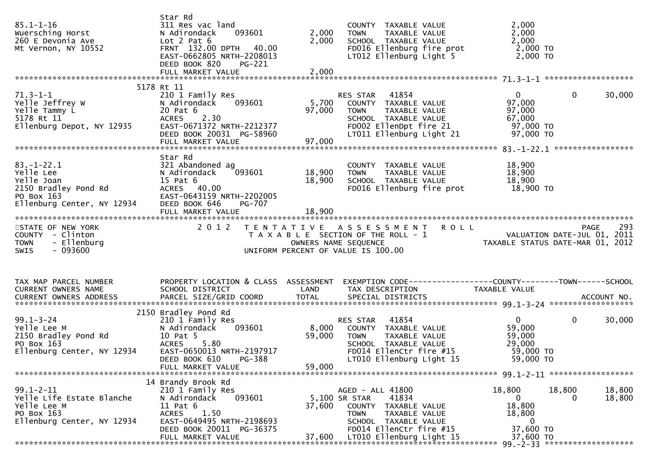| $85.1 - 1 - 16$<br>Wuersching Horst<br>260 E Devonia Ave<br>Mt Vernon, NY 10552                                  | Star Rd<br>311 Res vac land<br>093601<br>N Adirondack<br>Lot $2$ Pat $6$<br>FRNT 132.00 DPTH 40.00<br>EAST-0662805 NRTH-2208013<br>DEED BOOK 820<br>PG-221                             | 2,000<br>2,000            | COUNTY TAXABLE VALUE<br><b>TOWN</b><br>TAXABLE VALUE<br>SCHOOL TAXABLE VALUE<br>FD016 Ellenburg fire prot<br>LT012 Ellenburg Light 5                                              | 2,000<br>2,000<br>2,000<br>2,000 TO<br>2,000 TO                                        |                  |
|------------------------------------------------------------------------------------------------------------------|----------------------------------------------------------------------------------------------------------------------------------------------------------------------------------------|---------------------------|-----------------------------------------------------------------------------------------------------------------------------------------------------------------------------------|----------------------------------------------------------------------------------------|------------------|
|                                                                                                                  | 5178 Rt 11                                                                                                                                                                             |                           |                                                                                                                                                                                   |                                                                                        |                  |
| $71.3 - 1 - 1$<br>/1.3-1-1<br>Yelle Jeffrey W<br>Yelle Tammy L<br>5179 Pt 11<br>Ellenburg Depot, NY 12935        | 210 1 Family Res<br>093601<br>N Adirondack<br>20 Pat 6<br>2.30<br><b>ACRES</b><br>EAST-0671372 NRTH-2212377<br>DEED BOOK 20031 PG-58960<br>FULL MARKET VALUE                           | 5,700<br>97,000<br>97,000 | RES STAR 41854<br>ES STAR      41854<br>COUNTY    TAXABLE  VALUE<br><b>TOWN</b><br>TAXABLE VALUE<br>SCHOOL TAXABLE VALUE<br>FD002 EllenDpt fire 21<br>LT011 Ellenburg Light 21    | $\mathbf{0}$<br>$\mathbf{0}$<br>97,000<br>97,000<br>67,000<br>$97,000$ TO<br>97,000 TO | 30,000           |
|                                                                                                                  |                                                                                                                                                                                        |                           |                                                                                                                                                                                   |                                                                                        |                  |
| $83. - 1 - 22.1$<br>Yelle Lee<br>Yelle Joan<br>2150 Bradley Pond Rd<br>PO Box 163<br>Ellenburg Center, NY 12934  | Star Rd<br>321 Abandoned ag<br>093601<br>N Adirondack<br>$15$ Pat $6$<br>ACRES 40.00<br>EAST-0643159 NRTH-2202005<br>DEED BOOK 646<br>PG-707                                           | 18,900<br>18,900          | COUNTY TAXABLE VALUE<br>TAXABLE VALUE<br><b>TOWN</b><br>SCHOOL TAXABLE VALUE<br>FD016 Ellenburg fire prot 18,900 TO                                                               | 18,900<br>18,900<br>18,900                                                             |                  |
| STATE OF NEW YORK<br>COUNTY - Clinton<br>- Ellenburg<br><b>TOWN</b>                                              |                                                                                                                                                                                        |                           | 2012 TENTATIVE ASSESSMENT ROLL<br>T A X A B L E SECTION OF THE ROLL - 1                                                                                                           | ROLL PAGE 293<br>VALUATION DATE-JUL 01, 2011<br>TAXABLE STATUS DATE-MAR 01, 2012       |                  |
| $-093600$<br><b>SWIS</b>                                                                                         |                                                                                                                                                                                        | OWNERS NAME SEQUENCE      | UNIFORM PERCENT OF VALUE IS 100.00                                                                                                                                                |                                                                                        |                  |
| TAX MAP PARCEL NUMBER<br>CURRENT OWNERS NAME                                                                     | PROPERTY LOCATION & CLASS ASSESSMENT<br>SCHOOL DISTRICT                                                                                                                                | LAND                      | TAX DESCRIPTION                                                                                                                                                                   | EXEMPTION CODE-----------------COUNTY-------TOWN------SCHOOL<br>TAXABLE VALUE          |                  |
| $99.1 - 3 - 24$<br>Yelle Lee M<br>2150 Bradley Pond Rd<br>PO BOX 163<br>PO Box 163<br>Ellenburg Center, NY 12934 | 2150 Bradley Pond Rd<br>210 1 Family Res<br>093601<br>N Adirondack<br>10 Pat 5<br>ACRES 5.80<br>EAST-0650013 NRTH-2197917<br>DEED BOOK 610 PG-388<br>FULL MARKET VALUE                 | 59,000<br>59,000          | RES STAR 41854<br>8,000 COUNTY TAXABLE VALUE<br><b>TOWN</b><br>TAXABLE VALUE<br>SCHOOL TAXABLE VALUE<br>FD014 EllenCtr fire #15<br>LT010 Ellenburg Light 15                       | $\mathbf{0}$<br>$\mathbf{0}$<br>59,000<br>59,000<br>29,000<br>59,000 TO<br>59,000 TO   | 30,000           |
|                                                                                                                  |                                                                                                                                                                                        |                           |                                                                                                                                                                                   |                                                                                        |                  |
| $99.1 - 2 - 11$<br>Yelle Life Estate Blanche<br>Yelle Lee M<br>PO Box 163<br>Ellenburg Center, NY 12934          | 14 Brandy Brook Rd<br>210 1 Family Res<br>093601<br>N Adirondack<br>$11$ Pat $6$<br>1.50<br><b>ACRES</b><br>EAST-0649495 NRTH-2198693<br>DEED BOOK 20011 PG-36375<br>FULL MARKET VALUE | 37,600<br>37,600          | AGED - ALL 41800<br>5,100 SR STAR<br>41834<br>COUNTY TAXABLE VALUE<br><b>TOWN</b><br>TAXABLE VALUE<br>SCHOOL TAXABLE VALUE<br>FD014 EllenCtr fire #15<br>LT010 Ellenburg Light 15 | 18,800<br>18,800<br>0<br>18,800<br>18,800<br>0<br>37,600 TO<br>37,600 TO               | 18,800<br>18,800 |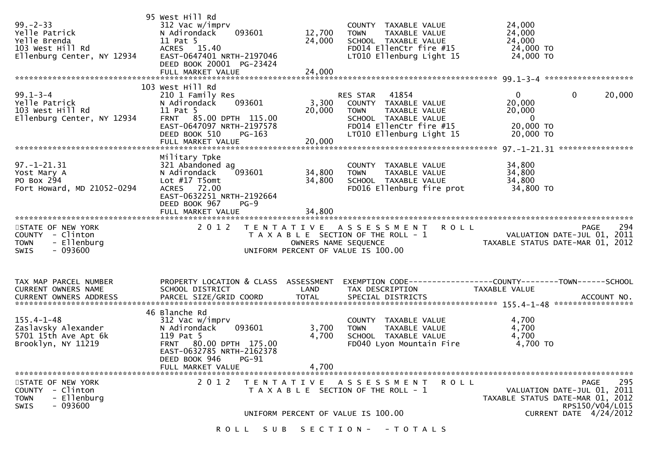| $99 - 2 - 33$<br>Yelle Patrick<br>Yelle Brenda<br>103 West Hill Rd<br>Ellenburg Center, NY 12934 | 95 West Hill Rd<br>312 Vac w/imprv<br>093601<br>N Adirondack<br>11 Pat 5<br>ACRES 15.40<br>EAST-0647401 NRTH-2197046<br>DEED BOOK 20001 PG-23424                           | 12,700<br>24,000        | COUNTY TAXABLE VALUE<br>TAXABLE VALUE<br><b>TOWN</b><br>SCHOOL TAXABLE VALUE<br>FD014 EllenCtr fire #15<br>LT010 Ellenburg Light 15                      | 24,000<br>24,000<br>24,000<br>24,000 TO<br>24,000 TO                                          |
|--------------------------------------------------------------------------------------------------|----------------------------------------------------------------------------------------------------------------------------------------------------------------------------|-------------------------|----------------------------------------------------------------------------------------------------------------------------------------------------------|-----------------------------------------------------------------------------------------------|
| $99.1 - 3 - 4$<br>Yelle Patrick<br>103 West Hill Rd<br>Ellenburg Center, NY 12934                | 103 West Hill Rd<br>210 1 Family Res<br>N Adirondack<br>093601<br>11 Pat 5<br>FRNT 85.00 DPTH 115.00<br>EAST-0647097 NRTH-2197578<br>DEED BOOK 510<br>$PG-163$             | 3,300<br>20,000         | RES STAR<br>41854<br>COUNTY TAXABLE VALUE<br>TAXABLE VALUE<br><b>TOWN</b><br>SCHOOL TAXABLE VALUE<br>FD014 EllenCtr fire #15<br>LT010 Ellenburg Light 15 | $\overline{0}$<br>0<br>20,000<br>20,000<br>20,000<br>$\overline{0}$<br>20,000 TO<br>20,000 TO |
| $97. - 1 - 21.31$<br>Yost Mary A<br>PO Box 294<br>Fort Howard, MD 21052-0294                     | Military Tpke<br>321 Abandoned ag<br>N Adirondack<br>093601<br>Lot $#17$ T5omt<br>ACRES 72.00<br>EAST-0632251 NRTH-2192664<br>DEED BOOK 967<br>$PG-9$                      | 34,800<br>34,800        | COUNTY TAXABLE VALUE<br>TAXABLE VALUE<br><b>TOWN</b><br>SCHOOL TAXABLE VALUE<br>FD016 Ellenburg fire prot                                                | 34,800<br>34,800<br>34,800<br>34,800 TO                                                       |
| STATE OF NEW YORK<br>COUNTY - Clinton<br>- Ellenburg<br><b>TOWN</b><br>$-093600$<br>SWIS         | 2 0 1 2                                                                                                                                                                    | OWNERS NAME SEQUENCE    | TENTATIVE ASSESSMENT<br>R O L L<br>T A X A B L E SECTION OF THE ROLL - 1<br>UNIFORM PERCENT OF VALUE IS 100.00                                           | 294<br><b>PAGE</b><br>VALUATION DATE-JUL 01, 2011<br>TAXABLE STATUS DATE-MAR 01, 2012         |
|                                                                                                  |                                                                                                                                                                            |                         |                                                                                                                                                          |                                                                                               |
| TAX MAP PARCEL NUMBER<br>CURRENT OWNERS NAME                                                     | PROPERTY LOCATION & CLASS ASSESSMENT<br>SCHOOL DISTRICT                                                                                                                    | LAND                    | TAX DESCRIPTION                                                                                                                                          | TAXABLE VALUE                                                                                 |
| $155.4 - 1 - 48$<br>Zaslavsky Alexander<br>5701 15th Ave Apt 6k<br>Brooklyn, NY 11219            | 46 Blanche Rd<br>312 Vac w/imprv<br>093601<br>N Adirondack<br>119 Pat 5<br>FRNT 80.00 DPTH 175.00<br>EAST-0632785 NRTH-2162378<br>DEED BOOK 946 PG-91<br>FULL MARKET VALUE | 3,700<br>4,700<br>4,700 | COUNTY TAXABLE VALUE<br>TAXABLE VALUE<br><b>TOWN</b><br>SCHOOL TAXABLE VALUE<br>FD040 Lyon Mountain Fire                                                 | 4,700<br>4,700<br>4,700<br>4,700 TO                                                           |

ROLL SUB SECTION - - TOTALS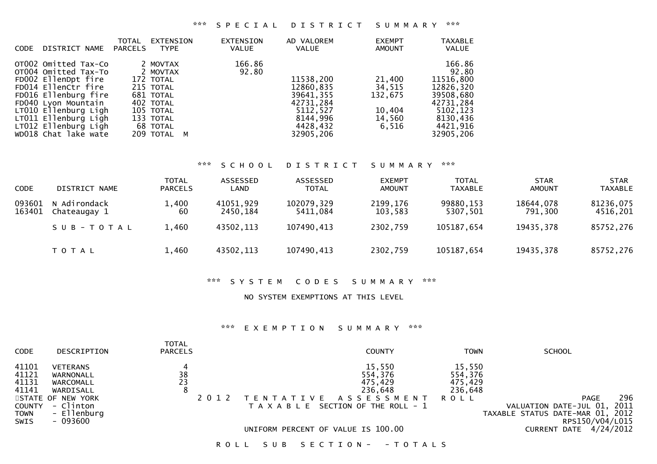| DISTRICT NAME                                                                                                                                                                                                                             | TOTAL          | EXTENSION                                                                                                                     | <b>EXTENSION</b> | AD VALOREM                                                                                        | <b>EXEMPT</b>                                            | <b>TAXABLE</b>                                                                                                       |
|-------------------------------------------------------------------------------------------------------------------------------------------------------------------------------------------------------------------------------------------|----------------|-------------------------------------------------------------------------------------------------------------------------------|------------------|---------------------------------------------------------------------------------------------------|----------------------------------------------------------|----------------------------------------------------------------------------------------------------------------------|
| <b>CODE</b>                                                                                                                                                                                                                               | <b>PARCELS</b> | <b>TYPE</b>                                                                                                                   | <b>VALUE</b>     | <b>VALUE</b>                                                                                      | <b>AMOUNT</b>                                            | <b>VALUE</b>                                                                                                         |
| OTO02 Omitted Tax-Co<br>OT004 Omitted Tax-To<br>FD002 EllenDpt fire<br>FD014 EllenCtr fire<br>FD016 Ellenburg fire<br>FD040 Lyon Mountain<br>LT010 Ellenburg Ligh<br>LT011 Ellenburg Ligh<br>LT012 Ellenburg Ligh<br>WD018 Chat lake wate |                | 2 MOVTAX<br>2 MOVTAX<br>172 TOTAL<br>215 TOTAL<br>681 TOTAL<br>402 TOTAL<br>105 TOTAL<br>133 TOTAL<br>68 TOTAL<br>209 TOTAL M | 166.86<br>92.80  | 11538,200<br>12860,835<br>39641,355<br>42731,284<br>5112,527<br>8144,996<br>4428,432<br>32905,206 | 21,400<br>34,515<br>132.675<br>10,404<br>14,560<br>6.516 | 166.86<br>92.80<br>11516,800<br>12826,320<br>39508,680<br>42731,284<br>5102,123<br>8130,436<br>4421,916<br>32905,206 |

### \*\*\* S C H O O L D I S T R I C T S U M M A R Y \*\*\*

| <b>CODE</b>      | DISTRICT NAME                | <b>TOTAL</b><br><b>PARCELS</b> | ASSESSED<br>LAND      | ASSESSED<br><b>TOTAL</b> | <b>EXEMPT</b><br><b>AMOUNT</b> | <b>TOTAL</b><br>TAXABLE | <b>STAR</b><br><b>AMOUNT</b> | <b>STAR</b><br><b>TAXABLE</b> |
|------------------|------------------------------|--------------------------------|-----------------------|--------------------------|--------------------------------|-------------------------|------------------------------|-------------------------------|
| 093601<br>163401 | N Adirondack<br>Chateaugay 1 | 1,400<br>60                    | 41051,929<br>2450.184 | 102079,329<br>5411.084   | 2199,176<br>103,583            | 99880,153<br>5307,501   | 18644,078<br>791,300         | 81236,075<br>4516,201         |
|                  | SUB-TOTAL                    | 1,460                          | 43502,113             | 107490,413               | 2302,759                       | 105187,654              | 19435,378                    | 85752,276                     |
|                  | T O T A L                    | 1,460                          | 43502,113             | 107490,413               | 2302,759                       | 105187,654              | 19435,378                    | 85752,276                     |

#### \*\*\* S Y S T E M C O D E S S U M M A R Y \*\*\*

### NO SYSTEM EXEMPTIONS AT THIS LEVEL

# \*\*\* E X E M P T I O N S U M M A R Y \*\*\*

| <b>CODE</b>                                                       | DESCRIPTION                                                                                                         | TOTAL<br><b>PARCELS</b> | <b>COUNTY</b>                                                                                                                                                      | TOWN                                                   | <b>SCHOOL</b>                                                                                                               |
|-------------------------------------------------------------------|---------------------------------------------------------------------------------------------------------------------|-------------------------|--------------------------------------------------------------------------------------------------------------------------------------------------------------------|--------------------------------------------------------|-----------------------------------------------------------------------------------------------------------------------------|
| 41101<br>41121<br>41131<br>41141<br>COUNTY<br><b>TOWN</b><br>SWIS | <b>VETERANS</b><br>WARNONALL<br>WARCOMALL<br>WARDISALL<br>STATE OF NEW YORK<br>- Clinton<br>- Ellenburg<br>- 093600 | 38<br>23<br>2012        | 15,550<br>554,376<br>475,429<br>236,648<br>T E N T A T I V E<br>A S S E S S M E N T<br>T A X A B L E SECTION OF THE ROLL - 1<br>UNIFORM PERCENT OF VALUE IS 100.00 | 15,550<br>554,376<br>475,429<br>236,648<br><b>ROLL</b> | 296<br>PAGE<br>VALUATION DATE-JUL 01, 2011<br>TAXABLE STATUS DATE-MAR 01, 2012<br>RPS150/V04/L015<br>CURRENT DATE 4/24/2012 |
|                                                                   |                                                                                                                     |                         |                                                                                                                                                                    |                                                        |                                                                                                                             |

ROLL SUB SECTION- - TOTALS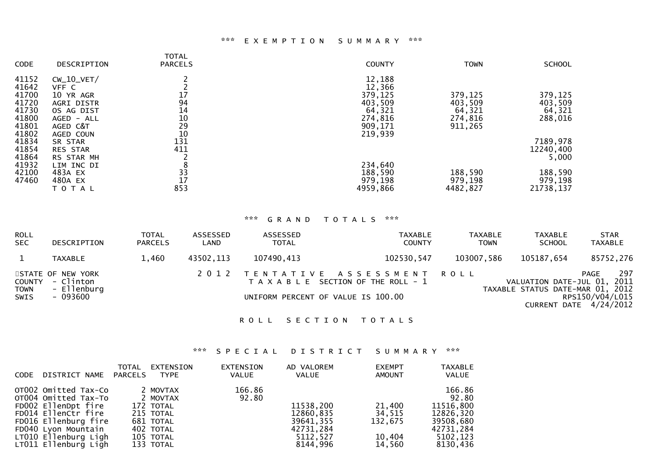### \*\*\* E X E M P T I O N S U M M A R Y \*\*\*

| <b>CODE</b> | DESCRIPTION     | <b>TOTAL</b><br><b>PARCELS</b> | <b>COUNTY</b> | <b>TOWN</b> | <b>SCHOOL</b> |
|-------------|-----------------|--------------------------------|---------------|-------------|---------------|
| 41152       | $CW_10_VET/$    |                                | 12,188        |             |               |
| 41642       | VFF C           |                                | 12,366        |             |               |
| 41700       | 10 YR AGR       | 17                             | 379,125       | 379,125     | 379,125       |
| 41720       | AGRI DISTR      | 94                             | 403,509       | 403,509     | 403,509       |
| 41730       | OS AG DIST      | 14                             | 64,321        | 64,321      | 64,321        |
| 41800       | AGED - ALL      | 10                             | 274,816       | 274,816     | 288,016       |
| 41801       | AGED C&T        | 29                             | 909,171       | 911,265     |               |
| 41802       | AGED COUN       | 10                             | 219,939       |             |               |
| 41834       | SR STAR         | 131                            |               |             | 7189,978      |
| 41854       | <b>RES STAR</b> | 411                            |               |             | 12240,400     |
| 41864       | RS STAR MH      |                                |               |             | 5,000         |
| 41932       | LIM INC DI      | 8                              | 234,640       |             |               |
| 42100       | 483A EX         | 33                             | 188,590       | 188,590     | 188,590       |
| 47460       | 480A EX         | 17                             | 979,198       | 979,198     | 979,198       |
|             |                 | 853                            | 4959,866      | 4482,827    | 21738,137     |
|             | T O T A L       |                                |               |             |               |

### \*\*\* G R A N D T O T A L S \*\*\*

| <b>ROLL</b><br><b>SEC</b>  | DESCRIPTION                                                      | <b>TOTAL</b><br><b>PARCELS</b> | ASSESSED<br>LAND | ASSESSED<br><b>TOTAL</b> | TAXABLE<br><b>COUNTY</b>                                                                                      | TAXABLE<br><b>TOWN</b> | TAXABLE<br><b>SCHOOL</b>                                        | <b>STAR</b><br>TAXABLE                                   |
|----------------------------|------------------------------------------------------------------|--------------------------------|------------------|--------------------------|---------------------------------------------------------------------------------------------------------------|------------------------|-----------------------------------------------------------------|----------------------------------------------------------|
| 1                          | TAXABLE                                                          | 1,460                          | 43502,113        | 107490,413               | 102530,547                                                                                                    | 103007,586             | 105187,654                                                      | 85752,276                                                |
| <b>TOWN</b><br><b>SWIS</b> | STATE OF NEW YORK<br>COUNTY - Clinton<br>- Ellenburg<br>- 093600 |                                |                  |                          | 2012 TENTATIVE ASSESSMENT ROLL<br>T A X A B L E SECTION OF THE ROLL - 1<br>UNIFORM PERCENT OF VALUE IS 100.00 |                        | VALUATION DATE-JUL 01, 2011<br>TAXABLE STATUS DATE-MAR 01, 2012 | 297<br>PAGE<br>RPS150/V04/L015<br>CURRENT DATE 4/24/2012 |

### ROLL SECTION TOTALS

# \*\*\* S P E C I A L D I S T R I C T S U M M A R Y \*\*\*

| <b>CODE</b> | DISTRICT NAME                                                                                                                                                                             | TOTAL<br>PARCELS | EXTENSION<br><b>TYPE</b>                                                                           | <b>EXTENSION</b><br><b>VALUE</b> | AD VALOREM<br><b>VALUE</b>                                               | <b>EXEMPT</b><br>AMOUNT                         | <b>TAXABLE</b><br>VALUE                                                                     |
|-------------|-------------------------------------------------------------------------------------------------------------------------------------------------------------------------------------------|------------------|----------------------------------------------------------------------------------------------------|----------------------------------|--------------------------------------------------------------------------|-------------------------------------------------|---------------------------------------------------------------------------------------------|
|             | OT002 Omitted Tax-Co<br>OT004 Omitted Tax-To<br>FD002 EllenDpt fire<br>FD014 EllenCtr fire<br>FD016 Ellenburg fire<br>FD040 Lyon Mountain<br>LT010 Ellenburg Ligh<br>LT011 Ellenburg Ligh |                  | 2 MOVTAX<br>2 MOVTAX<br>172 TOTAL<br>215 TOTAL<br>681 TOTAL<br>402 TOTAL<br>105 TOTAL<br>133 TOTAL | 166.86<br>92.80                  | 11538,200<br>12860,835<br>39641,355<br>42731,284<br>5112,527<br>8144,996 | 21,400<br>34,515<br>132,675<br>10,404<br>14,560 | 166.86<br>92.80<br>11516,800<br>12826,320<br>39508,680<br>42731.284<br>5102,123<br>8130,436 |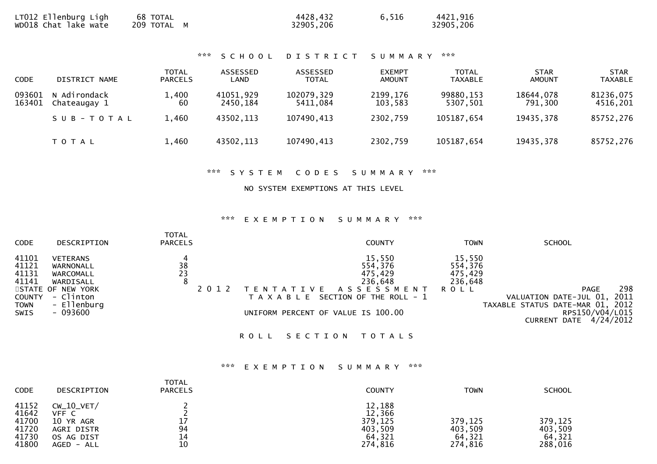| LT012 Ellenburg Ligh<br>68 TOTAL<br>wDO18 Chat lake wate<br>209 TOTAL M | 4428,432<br>32905,206 | 6,516 | 4421,916<br>32905,206 |
|-------------------------------------------------------------------------|-----------------------|-------|-----------------------|
|-------------------------------------------------------------------------|-----------------------|-------|-----------------------|

### \*\*\* S C H O O L D I S T R I C T S U M M A R Y \*\*\*

| <b>CODE</b>      | DISTRICT NAME                | TOTAL<br><b>PARCELS</b> | ASSESSED<br>LAND      | ASSESSED<br><b>TOTAL</b> | <b>EXEMPT</b><br><b>AMOUNT</b> | <b>TOTAL</b><br><b>TAXABLE</b> | <b>STAR</b><br><b>AMOUNT</b> | <b>STAR</b><br><b>TAXABLE</b> |
|------------------|------------------------------|-------------------------|-----------------------|--------------------------|--------------------------------|--------------------------------|------------------------------|-------------------------------|
| 093601<br>163401 | N Adirondack<br>Chateaugay 1 | .400<br>60              | 41051,929<br>2450,184 | 102079,329<br>5411.084   | 2199,176<br>103,583            | 99880, 153<br>5307,501         | 18644,078<br>791,300         | 81236,075<br>4516,201         |
|                  | SUB-TOTAL                    | 1,460                   | 43502,113             | 107490,413               | 2302,759                       | 105187,654                     | 19435,378                    | 85752,276                     |
|                  | T O T A L                    | 1,460                   | 43502,113             | 107490,413               | 2302,759                       | 105187,654                     | 19435,378                    | 85752,276                     |

### \*\*\* S Y S T E M C O D E S S U M M A R Y \*\*\*

### NO SYSTEM EXEMPTIONS AT THIS LEVEL

# \*\*\* E X E M P T I O N S U M M A R Y \*\*\*

| <b>CODE</b>                                                              | DESCRIPTION                                                                                                         | <b>TOTAL</b><br><b>PARCELS</b>                    | <b>COUNTY</b>                                                                                                                                                           | <b>TOWN</b>                                            | <b>SCHOOL</b>                                                                                                                            |
|--------------------------------------------------------------------------|---------------------------------------------------------------------------------------------------------------------|---------------------------------------------------|-------------------------------------------------------------------------------------------------------------------------------------------------------------------------|--------------------------------------------------------|------------------------------------------------------------------------------------------------------------------------------------------|
| 41101<br>41121<br>41131<br>41141<br><b>COUNTY</b><br><b>TOWN</b><br>SWIS | <b>VETERANS</b><br>WARNONALL<br>WARCOMALL<br>WARDISALL<br>STATE OF NEW YORK<br>- Clinton<br>- Ellenburg<br>- 093600 | 4<br>$\begin{array}{c} 38 \\ 23 \end{array}$<br>8 | 15,550<br>554,376<br>475,429<br>236,648<br>A S S E S S M E N T<br><sup>-</sup> A T I V E<br>T A X A B L E SECTION OF THE ROLL - 1<br>UNIFORM PERCENT OF VALUE IS 100.00 | 15,550<br>554,376<br>475,429<br>236,648<br><b>ROLL</b> | 298<br><b>PAGE</b><br>2011<br>VALUATION DATE-JUL 01,<br>TAXABLE STATUS DATE-MAR 01, 2012<br>RPS150/V04/L015<br>4/24/2012<br>CURRENT DATE |
|                                                                          |                                                                                                                     |                                                   | ROLL SECTION<br>T O T A L S                                                                                                                                             |                                                        |                                                                                                                                          |

### \*\*\* E X E M P T I O N S U M M A R Y \*\*\*

| <b>CODE</b>                                        | <b>DESCRIPTION</b>                                                             | <b>TOTAL</b><br><b>PARCELS</b> | <b>COUNTY</b>                                               | <b>TOWN</b>                             | <b>SCHOOL</b>                           |
|----------------------------------------------------|--------------------------------------------------------------------------------|--------------------------------|-------------------------------------------------------------|-----------------------------------------|-----------------------------------------|
| 41152<br>41642<br>41700<br>41720<br>41730<br>41800 | $CW_10_VET/$<br>VFF C<br>10 YR AGR<br>AGRI DISTR<br>OS AG DIST<br>$AGED - ALL$ | 17<br>94<br>14<br>10           | 12,188<br>12,366<br>379,125<br>403.509<br>64,321<br>274,816 | 379,125<br>403,509<br>64,321<br>274,816 | 379,125<br>403,509<br>64,321<br>288,016 |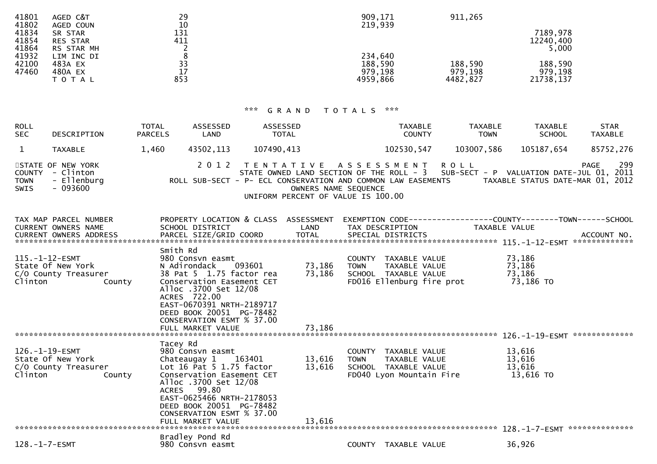| AGED C&T        | 29          | 909,171  | 911,265  |           |
|-----------------|-------------|----------|----------|-----------|
| AGED COUN       | 10          | 219,939  |          |           |
| SR STAR         | <u> 131</u> |          |          | 7189,978  |
| <b>RES STAR</b> | 411         |          |          | 12240,400 |
| RS STAR MH      |             |          |          | 5,000     |
| LIM INC DI      | 8           | 234,640  |          |           |
| 483A EX         | 33          | 188,590  | 188,590  | 188,590   |
| 480A EX         | 17          | 979,198  | 979,198  | 979,198   |
| T O T A L       | 853         | 4959,866 | 4482,827 | 21738,137 |
|                 |             |          |          |           |

| <b>ROLL</b><br><b>SEC</b>            | DESCRIPTION                                                                   | <b>TOTAL</b><br><b>PARCELS</b> | ASSESSED<br>LAND                                                                         | ASSESSED<br><b>TOTAL</b> |                                           | <b>TAXABLE</b><br><b>COUNTY</b>                                                                                                                                                                            |             | <b>TAXABLE</b><br><b>TOWN</b>                                        | <b>TAXABLE</b><br><b>SCHOOL</b> | <b>STAR</b><br><b>TAXABLE</b>                           |
|--------------------------------------|-------------------------------------------------------------------------------|--------------------------------|------------------------------------------------------------------------------------------|--------------------------|-------------------------------------------|------------------------------------------------------------------------------------------------------------------------------------------------------------------------------------------------------------|-------------|----------------------------------------------------------------------|---------------------------------|---------------------------------------------------------|
|                                      | <b>TAXABLE</b>                                                                | 1,460                          | 43502,113                                                                                | 107490,413               |                                           | 102530,547                                                                                                                                                                                                 | 103007,586  |                                                                      | 105187,654                      | 85752,276                                               |
| <b>COUNTY</b><br><b>TOWN</b><br>SWIS | STATE OF NEW YORK<br>- Clinton<br>- Ellenburg<br>$-093600$                    |                                | 2012                                                                                     |                          | OWNERS NAME SEQUENCE                      | TENTATIVE ASSESSMENT<br>STATE OWNED LAND SECTION OF THE ROLL - 3 SUB-SECT - P VALUATION DATE-JUL 01,<br>ROLL SUB-SECT - P- ECL CONSERVATION AND COMMON LAW EASEMENTS<br>UNIFORM PERCENT OF VALUE IS 100.00 | <b>ROLL</b> |                                                                      |                                 | 299<br>PAGE<br>2011<br>TAXABLE STATUS DATE-MAR 01, 2012 |
|                                      | TAX MAP PARCEL NUMBER<br>CURRENT OWNERS NAME<br><b>CURRENT OWNERS ADDRESS</b> |                                | PROPERTY LOCATION & CLASS<br>SCHOOL DISTRICT<br>PARCEL SIZE/GRID COORD<br>$Cm$ $+h$ $Dd$ |                          | <b>ASSESSMENT</b><br>LAND<br><b>TOTAL</b> | EXEMPTION CODE--<br>TAX DESCRIPTION<br>SPECIAL DISTRICTS                                                                                                                                                   |             | ----------COUNTY--------TOWN-----<br>TAXABLE VALUE<br>115.-1-12-ESMT |                                 | -SCHOOL<br>ACCOUNT NO.<br>*************                 |

| 115.-1-12-ESMT<br>State Of New York<br>C/O County Treasurer<br>Clinton<br>County | Smith Rd<br>980 Consvn easmt<br>093601<br>N Adirondack<br>38 Pat 5 1.75 factor rea<br>Conservation Easement CET<br>Alloc .3700 Set 12/08<br>ACRES 722.00<br>EAST-0670391 NRTH-2189717<br>DEED BOOK 20051 PG-78482<br>CONSERVATION ESMT % 37.00 | 73,186<br>73,186 | <b>COUNTY</b><br>TAXABLE VALUE<br><b>TOWN</b><br>TAXABLE VALUE<br>SCHOOL<br>TAXABLE VALUE<br>FD016 Ellenburg fire prot       | 73,186<br>73,186<br>73,186<br>73,186 TO |
|----------------------------------------------------------------------------------|------------------------------------------------------------------------------------------------------------------------------------------------------------------------------------------------------------------------------------------------|------------------|------------------------------------------------------------------------------------------------------------------------------|-----------------------------------------|
|                                                                                  | FULL MARKET VALUE                                                                                                                                                                                                                              | 73,186           |                                                                                                                              |                                         |
|                                                                                  | Tacey Rd                                                                                                                                                                                                                                       |                  |                                                                                                                              | 126.-1-19-ESMT **************           |
| 126.-1-19-ESMT<br>State Of New York<br>C/O County Treasurer<br>Clinton<br>County | 980 Consvn easmt<br>163401<br>Chateaugay 1<br>Lot 16 Pat 5 1.75 factor<br>Conservation Easement CET<br>Alloc .3700 Set 12/08<br>99.80<br><b>ACRES</b><br>EAST-0625466 NRTH-2178053<br>DEED BOOK 20051 PG-78482                                 | 13,616<br>13,616 | <b>COUNTY</b><br>TAXABLE VALUE<br><b>TOWN</b><br>TAXABLE VALUE<br><b>SCHOOL</b><br>TAXABLE VALUE<br>FD040 Lyon Mountain Fire | 13,616<br>13,616<br>13,616<br>13,616 TO |
|                                                                                  | CONSERVATION ESMT % 37.00<br>FULL MARKET VALUE                                                                                                                                                                                                 | 13,616           |                                                                                                                              | **************<br>128.-1-7-ESMT         |
|                                                                                  | Bradley Pond Rd                                                                                                                                                                                                                                |                  |                                                                                                                              |                                         |
| $128. - 1 - 7 - ESMT$                                                            | 980 Consvn easmt                                                                                                                                                                                                                               |                  | TAXABLE VALUE<br><b>COUNTY</b>                                                                                               | 36,926                                  |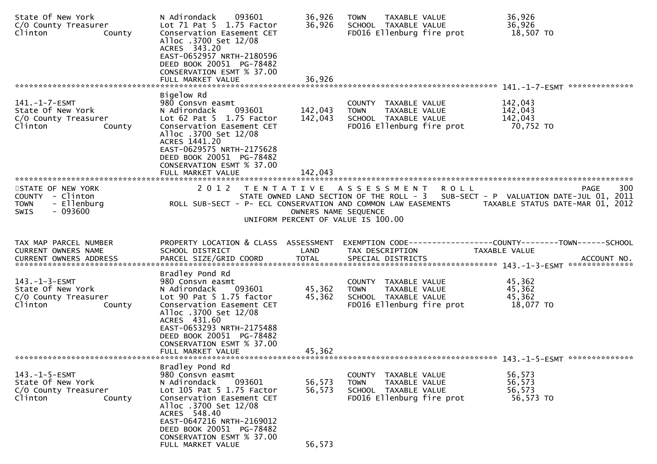| State Of New York<br>C/O County Treasurer<br>Clinton<br>County                                  | 093601<br>N Adirondack<br>Lot 71 Pat 5 1.75 Factor<br>Conservation Easement CET<br>Alloc .3700 Set 12/08<br>ACRES 343.20<br>EAST-0652957 NRTH-2180596<br>DEED BOOK 20051 PG-78482<br>CONSERVATION ESMT % 37.00                                                             | 36,926<br>36,926              | TAXABLE VALUE<br><b>TOWN</b><br>SCHOOL TAXABLE VALUE<br>FD016 Ellenburg fire prot                                                                             | 36,926<br>36,926<br>18,507 TO              |     |
|-------------------------------------------------------------------------------------------------|----------------------------------------------------------------------------------------------------------------------------------------------------------------------------------------------------------------------------------------------------------------------------|-------------------------------|---------------------------------------------------------------------------------------------------------------------------------------------------------------|--------------------------------------------|-----|
|                                                                                                 | FULL MARKET VALUE                                                                                                                                                                                                                                                          | 36,926                        |                                                                                                                                                               |                                            |     |
| $141. - 1 - 7 - ESMT$<br>State Of New York<br>C/O County Treasurer<br>Clinton<br>County         | Bigelow Rd<br>980 Consvn easmt<br>093601<br>N Adirondack<br>Lot $62$ Pat $5$ 1.75 Factor<br>Conservation Easement CET<br>Alloc .3700 Set 12/08<br>ACRES 1441.20<br>EAST-0629575 NRTH-2175628<br>DEED BOOK 20051 PG-78482<br>CONSERVATION ESMT % 37.00<br>FULL MARKET VALUE | 142,043<br>142,043<br>142.043 | COUNTY TAXABLE VALUE<br>TAXABLE VALUE<br><b>TOWN</b><br>SCHOOL TAXABLE VALUE<br>FD016 Ellenburg fire prot                                                     | 142,043<br>142,043<br>142,043<br>70,752 TO |     |
|                                                                                                 |                                                                                                                                                                                                                                                                            |                               |                                                                                                                                                               |                                            |     |
| STATE OF NEW YORK<br>COUNTY - Clinton<br><b>TOWN</b><br>- Ellenburg<br>$-093600$<br><b>SWIS</b> | 2 0 1 2<br>T E N T A T I V E<br>ROLL SUB-SECT - P- ECL CONSERVATION AND COMMON LAW EASEMENTS                                                                                                                                                                               | OWNERS NAME SEQUENCE          | A S S E S S M E N T<br><b>ROLL</b><br>STATE OWNED LAND SECTION OF THE ROLL - 3 SUB-SECT - P VALUATION DATE-JUL 01, 2011<br>UNIFORM PERCENT OF VALUE IS 100.00 | PAGE<br>TAXABLE STATUS DATE-MAR 01, 2012   | 300 |
| TAX MAP PARCEL NUMBER<br>CURRENT OWNERS NAME                                                    | PROPERTY LOCATION & CLASS ASSESSMENT<br>SCHOOL DISTRICT                                                                                                                                                                                                                    | LAND                          | EXEMPTION CODE------------------COUNTY--------TOWN------SCHOOL<br>TAX DESCRIPTION                                                                             | TAXABLE VALUE                              |     |
| $143. - 1 - 3 - ESMT$<br>State Of New York<br>C/O County Treasurer<br>Clinton<br>County         | Bradley Pond Rd<br>980 Consvn easmt<br>093601<br>N Adirondack<br>Lot $90$ Pat $5$ 1.75 factor<br>Conservation Easement CET<br>Alloc .3700 Set 12/08<br>ACRES 431.60<br>EAST-0653293 NRTH-2175488<br>DEED BOOK 20051 PG-78482<br>CONSERVATION ESMT % 37.00                  | 45,362<br>45,362              | COUNTY TAXABLE VALUE<br><b>TOWN</b><br>TAXABLE VALUE<br>SCHOOL TAXABLE VALUE<br>FD016 Ellenburg fire prot                                                     | 45,362<br>45,362<br>45,362<br>18,077 TO    |     |
|                                                                                                 | FULL MARKET VALUE                                                                                                                                                                                                                                                          | 45,362                        |                                                                                                                                                               |                                            |     |
| $143. - 1 - 5 - ESMT$<br>State Of New York<br>C/O County Treasurer<br>Clinton<br>County         | Bradley Pond Rd<br>980 Consvn easmt<br>093601<br>N Adirondack<br>Lot 105 Pat 5 1.75 Factor<br>Conservation Easement CET<br>Alloc .3700 Set 12/08<br>ACRES 548.40<br>EAST-0647216 NRTH-2169012<br>DEED BOOK 20051 PG-78482                                                  | 56,573<br>56,573              | <b>COUNTY</b><br>TAXABLE VALUE<br><b>TOWN</b><br>TAXABLE VALUE<br>SCHOOL TAXABLE VALUE<br>FD016 Ellenburg fire prot                                           | 56,573<br>56,573<br>56,573<br>56,573 TO    |     |
|                                                                                                 | CONSERVATION ESMT % 37.00<br>FULL MARKET VALUE                                                                                                                                                                                                                             | 56,573                        |                                                                                                                                                               |                                            |     |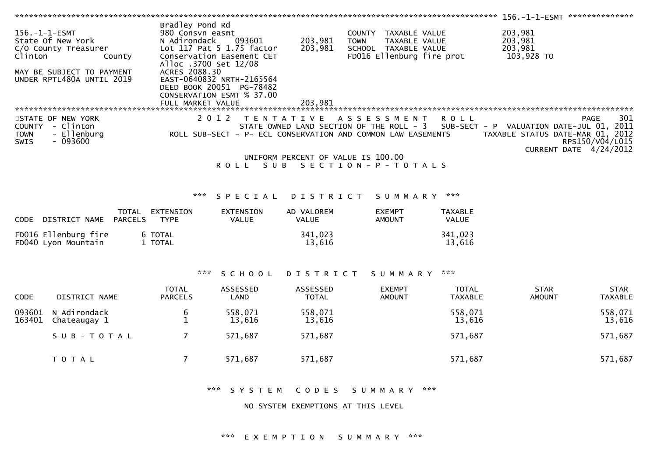|                       |                                 |                       |                                     |                                    |                                                                                                          |                | 156.-1-1-ESMT ***************                                                |                 |
|-----------------------|---------------------------------|-----------------------|-------------------------------------|------------------------------------|----------------------------------------------------------------------------------------------------------|----------------|------------------------------------------------------------------------------|-----------------|
|                       |                                 | Bradley Pond Rd       |                                     |                                    |                                                                                                          |                |                                                                              |                 |
| $156. - 1 - 1 - ESMT$ |                                 | 980 Consvn easmt      |                                     |                                    | COUNTY TAXABLE VALUE                                                                                     |                | 203,981                                                                      |                 |
|                       | State Of New York               | N Adirondack          | 093601<br>Lot 117 Pat 5 1.75 factor | 203,981<br>203,981                 | <b>TOWN</b><br>TAXABLE VALUE                                                                             |                | 203,981<br>203,981                                                           |                 |
| Clinton               | C/O County Treasurer<br>County  |                       | Conservation Easement CET           |                                    | SCHOOL TAXABLE VALUE<br>FD016 Ellenburg fire prot                                                        |                | 103,928 TO                                                                   |                 |
|                       |                                 | Alloc .3700 Set 12/08 |                                     |                                    |                                                                                                          |                |                                                                              |                 |
|                       | MAY BE SUBJECT TO PAYMENT       | ACRES 2088.30         |                                     |                                    |                                                                                                          |                |                                                                              |                 |
|                       | UNDER RPTL480A UNTIL 2019       |                       | EAST-0640832 NRTH-2165564           |                                    |                                                                                                          |                |                                                                              |                 |
|                       |                                 |                       | DEED BOOK 20051 PG-78482            |                                    |                                                                                                          |                |                                                                              |                 |
|                       |                                 |                       | CONSERVATION ESMT % 37.00           |                                    |                                                                                                          |                |                                                                              |                 |
|                       |                                 | FULL MARKET VALUE     |                                     | 203.981                            |                                                                                                          |                |                                                                              |                 |
|                       |                                 |                       |                                     |                                    |                                                                                                          |                |                                                                              |                 |
|                       | STATE OF NEW YORK               |                       | 2 0 1 2                             |                                    | TENTATIVE ASSESSMENT                                                                                     | <b>ROLL</b>    | <b>PAGE</b>                                                                  | 301             |
| <b>TOWN</b>           | COUNTY - Clinton<br>- Ellenburg |                       |                                     |                                    | STATE OWNED LAND SECTION OF THE ROLL - 3<br>ROLL SUB-SECT - P- ECL CONSERVATION AND COMMON LAW EASEMENTS |                | SUB-SECT - P VALUATION DATE-JUL 01, 2011<br>TAXABLE STATUS DATE-MAR 01, 2012 |                 |
| <b>SWIS</b>           | $-093600$                       |                       |                                     |                                    |                                                                                                          |                |                                                                              | RPS150/V04/L015 |
|                       |                                 |                       |                                     |                                    |                                                                                                          |                | CURRENT DATE 4/24/2012                                                       |                 |
|                       |                                 |                       |                                     | UNIFORM PERCENT OF VALUE IS 100.00 |                                                                                                          |                |                                                                              |                 |
|                       |                                 |                       |                                     |                                    | ROLL SUB SECTION-P-TOTALS                                                                                |                |                                                                              |                 |
|                       |                                 |                       |                                     |                                    |                                                                                                          |                |                                                                              |                 |
|                       |                                 |                       |                                     |                                    |                                                                                                          |                |                                                                              |                 |
|                       |                                 | ***                   |                                     |                                    |                                                                                                          | ***            |                                                                              |                 |
|                       |                                 |                       | SPECIAL                             | <b>DISTRICT</b>                    | SUMMARY                                                                                                  |                |                                                                              |                 |
|                       |                                 | TOTAL EXTENSION       | <b>EXTENSION</b>                    | AD VALOREM                         | <b>EXEMPT</b>                                                                                            | <b>TAXABLE</b> |                                                                              |                 |
|                       | CODE DISTRICT NAME PARCELS      | <b>TYPE</b>           | <b>VALUE</b>                        | <b>VALUE</b>                       | <b>AMOUNT</b>                                                                                            | VALUE          |                                                                              |                 |
|                       |                                 |                       |                                     |                                    |                                                                                                          |                |                                                                              |                 |
|                       | FD016 Ellenburg fire            | 6 TOTAL               |                                     | 341,023                            |                                                                                                          | 341,023        |                                                                              |                 |
|                       | FD040 Lyon Mountain             | 1 TOTAL               |                                     | 13,616                             |                                                                                                          | 13,616         |                                                                              |                 |
|                       |                                 |                       |                                     |                                    |                                                                                                          |                |                                                                              |                 |
|                       |                                 |                       |                                     |                                    |                                                                                                          |                |                                                                              |                 |
|                       |                                 | ***                   | SCHOOL                              | <b>DISTRICT</b>                    | SUMMARY                                                                                                  | ***            |                                                                              |                 |
|                       |                                 |                       |                                     |                                    |                                                                                                          |                |                                                                              |                 |
|                       |                                 | <b>TOTAL</b>          | ASSESSED                            | ASSESSED                           | <b>EXEMPT</b>                                                                                            | <b>TOTAL</b>   | <b>STAR</b>                                                                  | <b>STAR</b>     |
| <b>CODE</b>           | DISTRICT NAME                   | <b>PARCELS</b>        | LAND                                | <b>TOTAL</b>                       | <b>AMOUNT</b>                                                                                            | <b>TAXABLE</b> | <b>AMOUNT</b>                                                                | <b>TAXABLE</b>  |
|                       |                                 |                       |                                     |                                    |                                                                                                          |                |                                                                              |                 |
| 093601                | N Adirondack                    | 6                     | 558,071                             | 558,071                            |                                                                                                          | 558,071        |                                                                              | 558,071         |
| 163401                | Chateaugay 1                    | 1                     | 13,616                              | 13,616                             |                                                                                                          | 13,616         |                                                                              | 13,616          |
|                       | SUB-TOTAL                       | 7                     | 571,687                             | 571,687                            |                                                                                                          | 571,687        |                                                                              | 571,687         |
|                       |                                 |                       |                                     |                                    |                                                                                                          |                |                                                                              |                 |
|                       |                                 |                       |                                     |                                    |                                                                                                          |                |                                                                              |                 |
|                       | TOTAL                           | 7                     | 571,687                             | 571,687                            |                                                                                                          | 571,687        |                                                                              | 571,687         |
|                       |                                 |                       |                                     |                                    |                                                                                                          |                |                                                                              |                 |

\*\*\* SYSTEM CODES SUMMARY \*\*\*

NO SYSTEM EXEMPTIONS AT THIS LEVEL

# \*\*\* EXEMPTION SUMMARY \*\*\*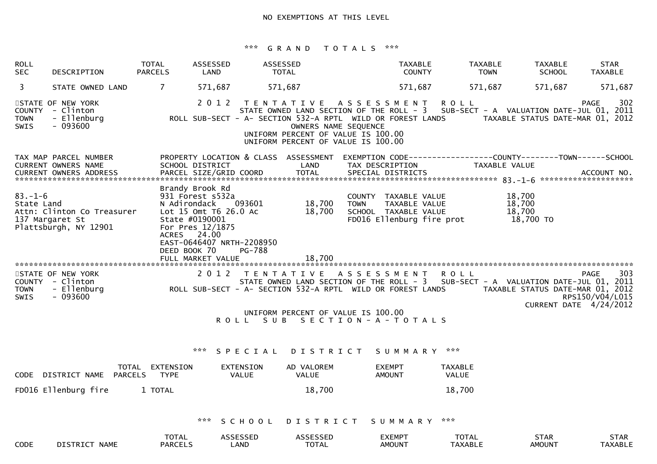# \*\*\* G R A N D T O T A L S \*\*\*

| ROLL<br><b>SEC</b>                          | DESCRIPTION                                                            | <b>TOTAL</b><br><b>PARCELS</b>                                                   | <b>ASSESSED</b><br>LAND                                       | ASSESSED<br><b>TOTAL</b>            |                                              |                                                                                                                                                                                                                                                     | <b>TAXABLE</b><br><b>COUNTY</b> | <b>TAXABLE</b><br><b>TOWN</b>  | <b>TAXABLE</b><br><b>SCHOOL</b>                            | <b>STAR</b><br><b>TAXABLE</b>  |
|---------------------------------------------|------------------------------------------------------------------------|----------------------------------------------------------------------------------|---------------------------------------------------------------|-------------------------------------|----------------------------------------------|-----------------------------------------------------------------------------------------------------------------------------------------------------------------------------------------------------------------------------------------------------|---------------------------------|--------------------------------|------------------------------------------------------------|--------------------------------|
| 3                                           | STATE OWNED LAND                                                       | 7                                                                                | 571,687                                                       | 571,687                             |                                              |                                                                                                                                                                                                                                                     | 571,687                         | 571,687                        | 571,687                                                    | 571,687                        |
| <b>COUNTY</b><br><b>TOWN</b><br><b>SWIS</b> | STATE OF NEW YORK<br>- Clinton<br>- Ellenburg<br>$-093600$             |                                                                                  | 2 0 1 2                                                       |                                     | OWNERS NAME SEQUENCE                         | TENTATIVE ASSESSMENT<br>STATE OWNED LAND SECTION OF THE ROLL - 3 SUB-SECT - A VALUATION DATE-JUL 01, 2011<br>ROLL SUB-SECT - A- SECTION 532-A RPTL WILD OR FOREST LANDS<br>UNIFORM PERCENT OF VALUE IS 100.00<br>UNIFORM PERCENT OF VALUE IS 100.00 | <b>ROLL</b>                     |                                | TAXABLE STATUS DATE-MAR 01, 2012                           | 302<br><b>PAGE</b>             |
|                                             | TAX MAP PARCEL NUMBER<br><b>CURRENT OWNERS NAME</b>                    | SCHOOL DISTRICT                                                                  |                                                               |                                     | PROPERTY LOCATION & CLASS ASSESSMENT<br>LAND | EXEMPTION CODE-----------------COUNTY-------TOWN------SCHOOL<br>TAX DESCRIPTION                                                                                                                                                                     |                                 | TAXABLE VALUE                  |                                                            |                                |
| $83. - 1 - 6$<br>State Land                 | Attn: Clinton Co Treasurer<br>137 Margaret St<br>Plattsburgh, NY 12901 | Brandy Brook Rd<br>N Adirondack<br>State #0190001<br>ACRES 24.00<br>DEED BOOK 70 | 931 Forest s532a<br>Lot 15 Omt T6 26.0 Ac<br>For Pres 12/1875 | 093601<br>EAST-0646407 NRTH-2208950 | 18,700<br>18,700                             | COUNTY TAXABLE VALUE<br><b>TOWN</b><br>SCHOOL TAXABLE VALUE<br>FD016 Ellenburg fire prot                                                                                                                                                            | TAXABLE VALUE                   |                                | 18,700<br>18,700<br>18,700<br>18,700 TO                    |                                |
|                                             |                                                                        |                                                                                  | FULL MARKET VALUE                                             | PG-788                              | 18,700                                       |                                                                                                                                                                                                                                                     |                                 |                                |                                                            |                                |
| <b>TOWN</b><br><b>SWIS</b>                  | STATE OF NEW YORK<br>COUNTY - Clinton<br>- Ellenburg<br>- 093600       |                                                                                  | 2 0 1 2                                                       | T E N T A T I V E                   |                                              | A S S E S S M E N T<br>STATE OWNED LAND SECTION OF THE ROLL - 3 SUB-SECT - A VALUATION DATE-JUL 01, 2011<br>ROLL SUB-SECT - A- SECTION 532-A RPTL WILD OR FOREST LANDS<br>UNIFORM PERCENT OF VALUE IS 100.00                                        | <b>ROLL</b>                     |                                | TAXABLE STATUS DATE-MAR 01, 2012<br>CURRENT DATE 4/24/2012 | 303<br>PAGE<br>RPS150/V04/L015 |
|                                             |                                                                        |                                                                                  |                                                               | ROLL SUB                            |                                              | S E C T I O N - A - T O T A L S                                                                                                                                                                                                                     |                                 |                                |                                                            |                                |
|                                             |                                                                        |                                                                                  | ***                                                           | SPECIAL                             | D I S T R I C T                              |                                                                                                                                                                                                                                                     | SUMMARY ***                     |                                |                                                            |                                |
|                                             | CODE DISTRICT NAME PARCELS                                             | TOTAL EXTENSION<br><b>TYPE</b>                                                   |                                                               | <b>EXTENSION</b><br>VALUE           | AD VALOREM<br><b>VALUE</b>                   | <b>EXEMPT</b><br><b>AMOUNT</b>                                                                                                                                                                                                                      | <b>TAXABLE</b><br>VALUE         |                                |                                                            |                                |
|                                             | FD016 Ellenburg fire                                                   | 1 TOTAL                                                                          |                                                               |                                     | 18,700                                       |                                                                                                                                                                                                                                                     | 18,700                          |                                |                                                            |                                |
|                                             |                                                                        |                                                                                  | ***                                                           | S C H O O L                         |                                              | DISTRICT SUMMARY                                                                                                                                                                                                                                    | ***                             |                                |                                                            |                                |
| <b>CODE</b>                                 | DISTRICT NAME                                                          | <b>TOTAL</b><br><b>PARCELS</b>                                                   |                                                               | <b>ASSESSED</b><br>LAND             | <b>ASSESSED</b><br><b>TOTAL</b>              | <b>EXEMPT</b><br><b>AMOUNT</b>                                                                                                                                                                                                                      |                                 | <b>TOTAL</b><br><b>TAXABLE</b> | <b>STAR</b><br><b>AMOUNT</b>                               | <b>STAR</b><br>TAXABLE         |

CODE DISTRICT NAME PARCELS LAND TOTAL AMOUNT TAXABLE AMOUNT TAXABLE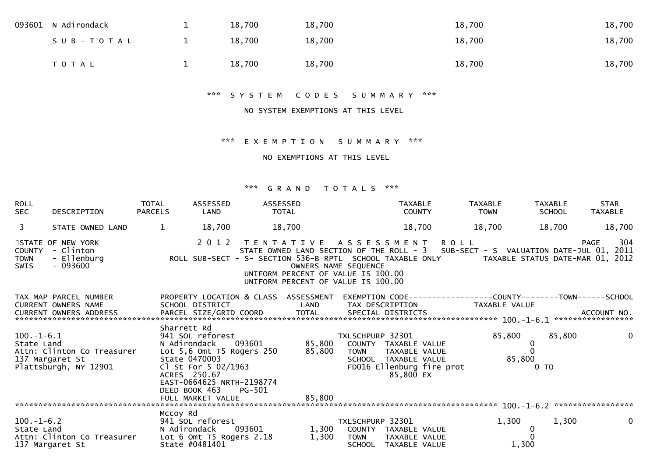| 093601 N Adirondack | 18,700 | 18,700 | 18,700 | 18,700 |
|---------------------|--------|--------|--------|--------|
| SUB-TOTAL           | 18,700 | 18,700 | 18,700 | 18,700 |
| T O T A L           | 18,700 | 18,700 | 18,700 | 18,700 |

\*\*\* S Y S T E M C O D E S S U M M A R Y \*\*\*

#### NO SYSTEM EXEMPTIONS AT THIS LEVEL

### \*\*\* E X E M P T I O N S U M M A R Y \*\*\*

### NO EXEMPTIONS AT THIS LEVEL

| <b>ROLL</b><br><b>SEC</b>                   | DESCRIPTION                                                                          | TOTAL<br><b>PARCELS</b> | ASSESSED<br>LAND                                                                                                                                                    | <b>ASSESSED</b><br>TOTAL                                                                                                                                                                                                                                |                                          | <b>TAXABLE</b><br><b>COUNTY</b>                                                                                | <b>TAXABLE</b><br><b>TOWN</b>                                                   | <b>TAXABLE</b><br><b>SCHOOL</b>                                    | <b>STAR</b><br><b>TAXABLE</b> |
|---------------------------------------------|--------------------------------------------------------------------------------------|-------------------------|---------------------------------------------------------------------------------------------------------------------------------------------------------------------|---------------------------------------------------------------------------------------------------------------------------------------------------------------------------------------------------------------------------------------------------------|------------------------------------------|----------------------------------------------------------------------------------------------------------------|---------------------------------------------------------------------------------|--------------------------------------------------------------------|-------------------------------|
| $\overline{3}$                              | STATE OWNED LAND                                                                     | $\mathbf{1}$            | 18,700                                                                                                                                                              | 18,700                                                                                                                                                                                                                                                  |                                          | 18,700                                                                                                         | 18,700                                                                          | 18,700                                                             | 18,700                        |
| <b>COUNTY</b><br><b>TOWN</b><br><b>SWIS</b> | STATE OF NEW YORK<br>- Clinton<br>- Ellenburg<br>$-093600$                           |                         | 2 0 1 2                                                                                                                                                             | TENTATIVE ASSESSMENT ROLL<br>STATE OWNED LAND SECTION OF THE ROLL - 3 SUB-SECT - S VALUATION DATE-JUL 01, 2011<br>ROLL SUB-SECT - S- SECTION 536-B RPTL SCHOOL TAXABLE ONLY<br>UNIFORM PERCENT OF VALUE IS 100.00<br>UNIFORM PERCENT OF VALUE IS 100.00 | OWNERS NAME SEQUENCE                     |                                                                                                                |                                                                                 | TAXABLE STATUS DATE-MAR 01, 2012                                   | 304<br>PAGE                   |
|                                             | TAX MAP PARCEL NUMBER<br><b>CURRENT OWNERS NAME</b><br><b>CURRENT OWNERS ADDRESS</b> | Sharrett Rd             | SCHOOL DISTRICT<br>PARCEL SIZE/GRID COORD                                                                                                                           | PROPERTY LOCATION & CLASS ASSESSMENT<br>LAND<br>TOTAL                                                                                                                                                                                                   |                                          | TAX DESCRIPTION<br>SPECIAL DISTRICTS                                                                           | EXEMPTION CODE------------------COUNTY--------TOWN------SCHOOL<br>TAXABLE VALUE |                                                                    | ACCOUNT NO.                   |
| $100.-1-6.1$<br>State Land                  | Attn: Clinton Co Treasurer<br>137 Margaret St<br>Plattsbūrgh, NY 12901               |                         | 941 SOL reforest<br>N Adirondack<br>Lot 5,6 Omt T5 Rogers 250<br>State 0470003<br>Cl St For 5 02/1963<br>ACRES 250.67<br>EAST-0664625 NRTH-2198774<br>DEED BOOK 463 | 093601<br>85,800<br>PG-501                                                                                                                                                                                                                              | TXLSCHPURP 32301<br><b>TOWN</b>          | 85,800 COUNTY TAXABLE VALUE<br>TAXABLE VALUE<br>SCHOOL TAXABLE VALUE<br>FD016 Ellenburg fire prot<br>85,800 EX | 85,800                                                                          | 85,800<br>$\mathbf 0$<br>$\mathbf{0}$<br>85,800<br>0 <sub>TO</sub> | $\mathbf 0$                   |
|                                             |                                                                                      |                         |                                                                                                                                                                     |                                                                                                                                                                                                                                                         |                                          |                                                                                                                |                                                                                 |                                                                    |                               |
| $100.-1-6.2$<br>State Land                  | Attn: Clinton Co Treasurer<br>137 Margaret St                                        | Mccoy Rd                | 941 SOL reforest<br>N Adirondack<br>Lot 6 Omt T5 Rogers 2.18<br>State #0481401                                                                                      | 093601 200<br>1,300                                                                                                                                                                                                                                     | TXLSCHPURP 32301<br>1,300<br><b>TOWN</b> | COUNTY TAXABLE VALUE<br>TAXABLE VALUE<br>SCHOOL TAXABLE VALUE                                                  | 1,300                                                                           | 1,300<br>$\mathbf{0}$<br>1,300                                     | $\mathbf{0}$                  |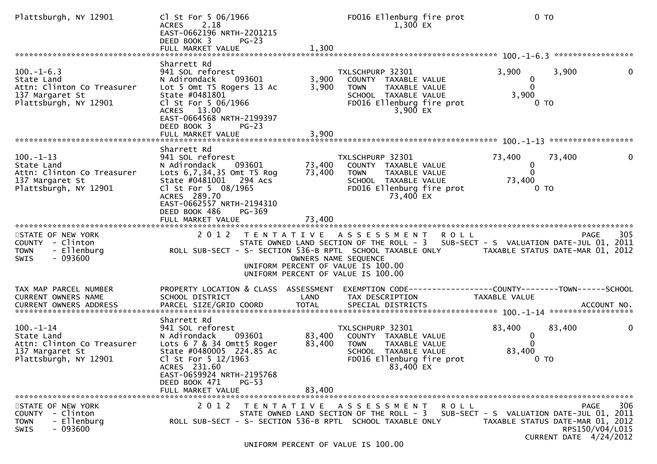| Plattsburgh, NY 12901                                                                                  | Cl St For 5 06/1966<br><b>ACRES</b><br>2.18<br>EAST-0662196 NRTH-2201215<br>DEED BOOK 3<br>$PG-23$<br>FULL MARKET VALUE                                                                                                    | 1,300                   | FD016 Ellenburg fire prot<br>1,300 EX                                                                                                                                                 |             | 0 <sub>T</sub>                                                    |                                                   |     |
|--------------------------------------------------------------------------------------------------------|----------------------------------------------------------------------------------------------------------------------------------------------------------------------------------------------------------------------------|-------------------------|---------------------------------------------------------------------------------------------------------------------------------------------------------------------------------------|-------------|-------------------------------------------------------------------|---------------------------------------------------|-----|
|                                                                                                        |                                                                                                                                                                                                                            |                         |                                                                                                                                                                                       |             |                                                                   |                                                   |     |
| $100.-1-6.3$<br>State Land<br>Attn: Clinton Co Treasurer<br>137 Margaret St<br>Plattsburgh, NY 12901   | Sharrett Rd<br>941 SOL reforest<br>093601<br>N Adirondack<br>Lot 5 Omt T5 Rogers 13 Ac<br>State #0481801<br>Cl St For 5 06/1966<br>ACRES 13.00<br>EAST-0664568 NRTH-2199397<br>DEED BOOK 3<br>$PG-23$<br>FULL MARKET VALUE | 3,900<br>3,900<br>3,900 | TXLSCHPURP 32301<br>COUNTY TAXABLE VALUE<br><b>TOWN</b><br>TAXABLE VALUE<br>SCHOOL TAXABLE VALUE<br>FD016 Ellenburg fire prot<br>3,900 EX                                             |             | 3,900<br>0<br>$\Omega$<br>3,900<br>0 <sub>T</sub>                 | 3,900                                             | 0   |
|                                                                                                        |                                                                                                                                                                                                                            |                         |                                                                                                                                                                                       |             |                                                                   |                                                   |     |
| $100.-1-13$<br>State Land<br>Attn: Clinton Co Treasurer<br>137 Margaret St<br>Plattsburgh, NY 12901    | Sharrett Rd<br>941 SOL reforest<br>N Adirondack<br>093601<br>Lots 6,7,34,35 Omt T5 Rog<br>State #0481001 294 Acs<br>Cl St For 5 08/1965<br>ACRES 289.70<br>EAST-0662557 NRTH-2194310<br>DEED BOOK 486<br>PG-369            | 73,400<br>73,400        | TXLSCHPURP 32301<br>COUNTY TAXABLE VALUE<br><b>TOWN</b><br>TAXABLE VALUE<br>SCHOOL TAXABLE VALUE<br>FD016 Ellenburg fire prot<br>73,400 EX                                            |             | 73,400<br>$\mathbf 0$<br>$\mathbf{0}$<br>73,400<br>0 <sub>T</sub> | 73,400                                            |     |
|                                                                                                        | FULL MARKET VALUE                                                                                                                                                                                                          | 73,400                  |                                                                                                                                                                                       |             |                                                                   |                                                   |     |
| STATE OF NEW YORK<br>COUNTY - Clinton<br><b>TOWN</b><br>- Ellenburg<br>$-093600$<br>SWIS               | 2012 TENTATIVE ASSESSMENT ROLL<br>ROLL SUB-SECT - S- SECTION 536-B RPTL SCHOOL TAXABLE ONLY TAXABLE STATUS DATE-MAR 01, 2012                                                                                               |                         | STATE OWNED LAND SECTION OF THE ROLL - 3 SUB-SECT - S VALUATION DATE-JUL 01, 2011<br>OWNERS NAME SEQUENCE<br>UNIFORM PERCENT OF VALUE IS 100.00<br>UNIFORM PERCENT OF VALUE IS 100.00 |             |                                                                   | PAGE                                              | 305 |
| TAX MAP PARCEL NUMBER<br>CURRENT OWNERS NAME                                                           | PROPERTY LOCATION & CLASS ASSESSMENT<br>SCHOOL DISTRICT                                                                                                                                                                    | LAND                    | EXEMPTION CODE------------------COUNTY--------TOWN------SCHOOL<br>TAX DESCRIPTION                                                                                                     |             | TAXABLE VALUE                                                     |                                                   |     |
|                                                                                                        |                                                                                                                                                                                                                            |                         |                                                                                                                                                                                       |             |                                                                   |                                                   |     |
| $100. -1 - 14$<br>State Land<br>Attn: Clinton Co Treasurer<br>137 Margaret St<br>Plattsburgh, NY 12901 | Sharrett Rd<br>941 SOL reforest<br>093601<br>N Adirondack<br>Lots 6 7 & 34 Omtt5 Roger<br>State #0480005 224.85 Ac<br>Cl St For 5 12/1963<br>ACRES 231.60<br>EAST-0659924 NRTH-2195768                                     | 83,400<br>83,400        | TXLSCHPURP 32301<br>COUNTY TAXABLE VALUE<br><b>TOWN</b><br>TAXABLE VALUE<br>SCHOOL TAXABLE VALUE<br>FD016 Ellenburg fire prot<br>83,400 EX                                            |             | 83,400<br>$\bf{0}$<br>$\Omega$<br>83,400<br>0 <sub>T</sub>        | 83,400                                            | 0   |
|                                                                                                        | DEED BOOK 471<br>$PG-53$                                                                                                                                                                                                   |                         |                                                                                                                                                                                       |             |                                                                   |                                                   |     |
|                                                                                                        | FULL MARKET VALUE                                                                                                                                                                                                          | 83,400                  |                                                                                                                                                                                       |             |                                                                   |                                                   |     |
| STATE OF NEW YORK<br>COUNTY - Clinton<br>- Ellenburg<br><b>TOWN</b><br>$-093600$<br><b>SWIS</b>        | 2 0 1 2<br>ROLL SUB-SECT - S- SECTION 536-B RPTL SCHOOL TAXABLE ONLY                                                                                                                                                       |                         | TENTATIVE ASSESSMENT<br>STATE OWNED LAND SECTION OF THE ROLL - 3 SUB-SECT - S VALUATION DATE-JUL 01, 2011                                                                             | <b>ROLL</b> | TAXABLE STATUS DATE-MAR 01, 2012                                  | PAGE<br>RPS150/V04/L015<br>CURRENT DATE 4/24/2012 | 306 |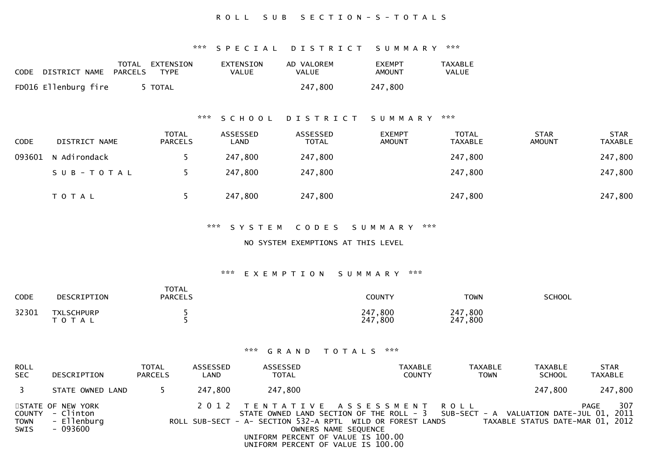### R O L L S U B S E C T I O N - S - T O T A L S

#### \*\*\* S P E C I A L D I S T R I C T S U M M A R Y \*\*\*

| CODE | DISTRICT NAME        | TOTAL<br>PARCELS | EXTENSION<br><b>TYPE</b> | EXTENSION<br>VALUE | AD VALOREM<br><b>VALUE</b> | <b>EXEMPT</b><br>AMOUNT | <b>TAXABLE</b><br>VALUE |
|------|----------------------|------------------|--------------------------|--------------------|----------------------------|-------------------------|-------------------------|
|      | FD016 Ellenburg fire |                  | 5 TOTAL                  |                    | 247,800                    | 247,800                 |                         |

### \*\*\* S C H O O L D I S T R I C T S U M M A R Y \*\*\*

| <b>CODE</b> | DISTRICT NAME       | <b>TOTAL</b><br><b>PARCELS</b> | ASSESSED<br>LAND | ASSESSED<br><b>TOTAL</b> | <b>EXEMPT</b><br><b>AMOUNT</b> | <b>TOTAL</b><br><b>TAXABLE</b> | <b>STAR</b><br><b>AMOUNT</b> | <b>STAR</b><br><b>TAXABLE</b> |
|-------------|---------------------|--------------------------------|------------------|--------------------------|--------------------------------|--------------------------------|------------------------------|-------------------------------|
|             | 093601 N Adirondack |                                | 247,800          | 247,800                  |                                | 247,800                        |                              | 247,800                       |
|             | SUB-TOTAL           |                                | 247,800          | 247,800                  |                                | 247,800                        |                              | 247,800                       |
|             | T O T A L           |                                | 247,800          | 247,800                  |                                | 247,800                        |                              | 247,800                       |

#### \*\*\* S Y S T E M C O D E S S U M M A R Y \*\*\*

#### NO SYSTEM EXEMPTIONS AT THIS LEVEL

#### \*\*\* E X E M P T I O N S U M M A R Y \*\*\*

| <b>CODE</b> | DESCRIPTION             | <b>TOTAL</b><br><b>PARCELS</b> | <b>COUNTY</b>      | <b>TOWN</b>        | <b>SCHOOL</b> |
|-------------|-------------------------|--------------------------------|--------------------|--------------------|---------------|
| 32301       | TXLSCHPURP<br>T O T A L |                                | 247,800<br>247,800 | 247,800<br>247,800 |               |

| ROLL<br><b>SEC</b>  | DESCRIPTION                                                      | <b>TOTAL</b><br><b>PARCELS</b> | ASSESSED<br>LAND | ASSESSED<br><b>TOTAL</b>                                                 | TAXABLE<br><b>COUNTY</b>                                                                                                                                                                                  | TAXABLE<br><b>TOWN</b> | TAXABLE<br><b>SCHOOL</b>         | <b>STAR</b><br><b>TAXABLE</b> |
|---------------------|------------------------------------------------------------------|--------------------------------|------------------|--------------------------------------------------------------------------|-----------------------------------------------------------------------------------------------------------------------------------------------------------------------------------------------------------|------------------------|----------------------------------|-------------------------------|
| 3                   | STATE OWNED LAND                                                 |                                | 247.800          | 247,800                                                                  |                                                                                                                                                                                                           |                        | 247,800                          | 247,800                       |
| TOWN<br><b>SWIS</b> | STATE OF NEW YORK<br>COUNTY - Clinton<br>- Ellenburg<br>- 093600 |                                |                  | UNIFORM PERCENT OF VALUE IS 100.00<br>UNIFORM PERCENT OF VALUE IS 100.00 | 2012 TENTATIVE ASSESSMENT ROLL<br>STATE OWNED LAND SECTION OF THE ROLL - 3 SUB-SECT - A VALUATION DATE-JUL 01, 2011<br>ROLL SUB-SECT - A- SECTION 532-A RPTL WILD OR FOREST LANDS<br>OWNERS NAME SEQUENCE |                        | TAXABLE STATUS DATE-MAR 01, 2012 | 307<br>PAGE                   |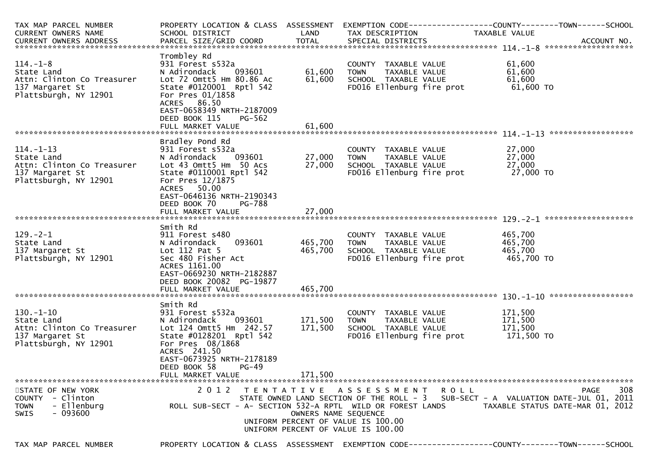| TAX MAP PARCEL NUMBER                                                                                   |                                                                                                                                                                                    |                      |                                                                                                           | PROPERTY LOCATION & CLASS ASSESSMENT EXEMPTION CODE----------------COUNTY-------TOWN------SCHOOL                      |
|---------------------------------------------------------------------------------------------------------|------------------------------------------------------------------------------------------------------------------------------------------------------------------------------------|----------------------|-----------------------------------------------------------------------------------------------------------|-----------------------------------------------------------------------------------------------------------------------|
| CURRENT OWNERS NAME                                                                                     | SCHOOL DISTRICT                                                                                                                                                                    | LAND                 | TAX DESCRIPTION                                                                                           | TAXABLE VALUE                                                                                                         |
|                                                                                                         |                                                                                                                                                                                    |                      |                                                                                                           |                                                                                                                       |
|                                                                                                         |                                                                                                                                                                                    |                      |                                                                                                           |                                                                                                                       |
| $114. - 1 - 8$<br>State Land<br>Attn: Clinton Co Treasurer<br>137 Margaret St<br>Plattsburgh, NY 12901  | Trombley Rd<br>931 Forest s532a<br>N Adirondack<br>093601<br>Lot 72 Omtt5 Hm 80.86 Ac<br>State #0120001 Rptl 542<br>For Pres 01/1858<br>ACRES 86.50<br>EAST-0658349 NRTH-2187009   | 61,600<br>61,600     | COUNTY TAXABLE VALUE<br>TAXABLE VALUE<br><b>TOWN</b><br>SCHOOL TAXABLE VALUE<br>FD016 Ellenburg fire prot | 61,600<br>61,600<br>61,600<br>61,600 TO                                                                               |
|                                                                                                         | DEED BOOK 115<br>PG-562<br>FULL MARKET VALUE                                                                                                                                       | 61,600               |                                                                                                           |                                                                                                                       |
|                                                                                                         |                                                                                                                                                                                    |                      |                                                                                                           |                                                                                                                       |
| $114. - 1 - 13$<br>State Land<br>Attn: Clinton Co Treasurer<br>137 Margaret St<br>Plattsburgh, NY 12901 | Bradley Pond Rd<br>931 Forest s532a<br>N Adirondack<br>093601<br>Lot 43 Omtt5 Hm 50 Acs<br>State #0110001 Rptl 542<br>For Pres 12/1875<br>ACRES 50.00<br>EAST-0646136 NRTH-2190343 | 27,000<br>27,000     | COUNTY TAXABLE VALUE<br>TAXABLE VALUE<br><b>TOWN</b><br>SCHOOL TAXABLE VALUE<br>FD016 Ellenburg fire prot | 27,000<br>27,000<br>27,000<br>27,000 TO                                                                               |
|                                                                                                         | DEED BOOK 70<br>PG-788                                                                                                                                                             |                      |                                                                                                           |                                                                                                                       |
|                                                                                                         | FULL MARKET VALUE                                                                                                                                                                  | 27,000               |                                                                                                           |                                                                                                                       |
|                                                                                                         |                                                                                                                                                                                    |                      |                                                                                                           |                                                                                                                       |
| $129. - 2 - 1$<br>State Land<br>137 Margaret St<br>Plattsburgh, NY 12901                                | Smith Rd<br>911 Forest s480<br>093601<br>N Adirondack<br>Lot 112 Pat 5<br>Sec 480 Fisher Act<br>ACRES 1161.00<br>EAST-0669230 NRTH-2182887<br>DEED BOOK 20082 PG-19877             | 465,700<br>465,700   | COUNTY TAXABLE VALUE<br><b>TOWN</b><br>TAXABLE VALUE<br>SCHOOL TAXABLE VALUE<br>FD016 Ellenburg fire prot | 465,700<br>465,700<br>465,700<br>465,700 TO                                                                           |
|                                                                                                         |                                                                                                                                                                                    |                      |                                                                                                           |                                                                                                                       |
| 130.-1-10<br>State Land<br>Attn: Clinton Co Treasurer<br>137 Margaret St<br>Plattsburgh, NY 12901       | Smith Rd<br>931 Forest s532a<br>093601<br>N Adirondack<br>Lot 124 Omtt5 Hm 242.57<br>State #0128201 Rptl 542<br>For Pres 08/1868<br>ACRES 241.50<br>EAST-0673925 NRTH-2178189      | 171,500<br>171,500   | COUNTY TAXABLE VALUE<br><b>TOWN</b><br>TAXABLE VALUE<br>SCHOOL TAXABLE VALUE<br>FD016 Ellenburg fire prot | 171,500<br>171,500<br>171,500<br>171,500 TO                                                                           |
|                                                                                                         | DEED BOOK 58<br>$PG-49$<br>FULL MARKET VALUE                                                                                                                                       | 171,500              |                                                                                                           |                                                                                                                       |
| STATE OF NEW YORK                                                                                       |                                                                                                                                                                                    |                      | 2012 TENTATIVE ASSESSMENT ROLL                                                                            | 308<br>PAGE                                                                                                           |
| COUNTY - Clinton<br>- Ellenburg<br><b>TOWN</b><br>$-093600$<br><b>SWIS</b>                              | ROLL SUB-SECT - A- SECTION 532-A RPTL WILD OR FOREST LANDS                                                                                                                         | OWNERS NAME SEQUENCE | UNIFORM PERCENT OF VALUE IS 100.00<br>UNIFORM PERCENT OF VALUE IS 100.00                                  | STATE OWNED LAND SECTION OF THE ROLL - 3 SUB-SECT - A VALUATION DATE-JUL 01, 2011<br>TAXABLE STATUS DATE-MAR 01, 2012 |

PROPERTY LOCATION & CLASS ASSESSMENT EXEMPTION CODE----------------COUNTY-------TOWN------SCHOOL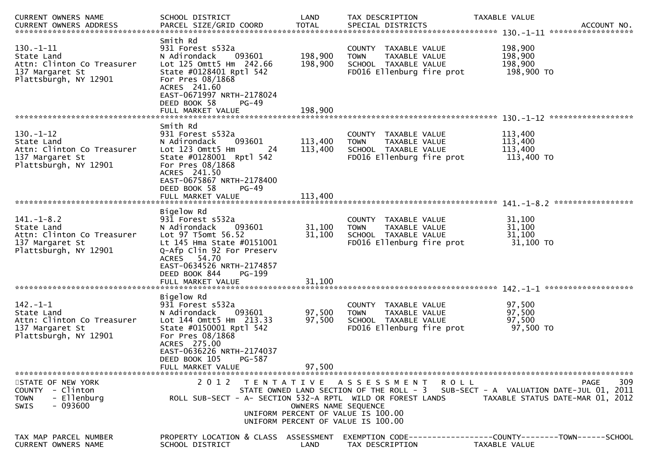| CURRENT OWNERS NAME                                                                                      | SCHOOL DISTRICT                                                                                                                                                                                            | LAND                 | TAX DESCRIPTION                                                                                           |         | TAXABLE VALUE                                                                                                                               |
|----------------------------------------------------------------------------------------------------------|------------------------------------------------------------------------------------------------------------------------------------------------------------------------------------------------------------|----------------------|-----------------------------------------------------------------------------------------------------------|---------|---------------------------------------------------------------------------------------------------------------------------------------------|
|                                                                                                          |                                                                                                                                                                                                            |                      |                                                                                                           |         |                                                                                                                                             |
| 130.-1-11<br>State Land<br>Attn: Clinton Co Treasurer<br>137 Margaret St<br>Plattsburgh, NY 12901        | Smith Rd<br>931 Forest s532a<br>N Adirondack<br>093601<br>Lot 125 Omtt5 Hm 242.66<br>State #0128401 Rptl 542<br>For Pres 08/1868<br>ACRES 241.60<br>EAST-0671997 NRTH-2178024<br>DEED BOOK 58<br>$PG-49$   | 198,900<br>198,900   | COUNTY TAXABLE VALUE<br>TAXABLE VALUE<br><b>TOWN</b><br>SCHOOL TAXABLE VALUE<br>FD016 Ellenburg fire prot |         | 198,900<br>198,900<br>198,900<br>198,900 TO                                                                                                 |
|                                                                                                          | Smith Rd                                                                                                                                                                                                   |                      |                                                                                                           |         |                                                                                                                                             |
| $130.-1-12$<br>State Land<br>Attn: Clinton Co Treasurer<br>137 Margaret St<br>Plattsburgh, NY 12901      | 931 Forest s532a<br>N Adirondack<br>093601<br>Lot 123 Omtt5 Hm<br>-24<br>State #0128001 Rptl 542<br>For Pres 08/1868<br>ACRES 241.50<br>EAST-0675867 NRTH-2178400<br>DEED BOOK 58<br>$PG-49$               | 113,400<br>113,400   | COUNTY TAXABLE VALUE<br><b>TOWN</b><br>TAXABLE VALUE<br>SCHOOL TAXABLE VALUE<br>FD016 Ellenburg fire prot |         | 113,400<br>113,400<br>113,400<br>113,400 TO                                                                                                 |
|                                                                                                          |                                                                                                                                                                                                            |                      |                                                                                                           |         |                                                                                                                                             |
| $141. - 1 - 8.2$<br>State Land<br>Attn: Clinton Co Treasurer<br>137 Margaret St<br>Plattsburgh, NY 12901 | Bigelow Rd<br>931 Forest s532a<br>N Adirondack<br>093601<br>Lot 97 T5omt 56.52<br>Lt 145 Hma State #0151001<br>Q-Afp Clin 92 For Preserv<br>ACRES 54.70                                                    | 31,100<br>31,100     | COUNTY TAXABLE VALUE<br><b>TOWN</b><br>TAXABLE VALUE<br>SCHOOL TAXABLE VALUE<br>FD016 Ellenburg fire prot |         | 31,100<br>31,100<br>31,100<br>31,100 TO                                                                                                     |
|                                                                                                          | EAST-0634526 NRTH-2174857<br>DEED BOOK 844<br>PG-199<br>FULL MARKET VALUE                                                                                                                                  | 31,100               |                                                                                                           |         |                                                                                                                                             |
| $142 - 1 - 1$<br>State Land<br>Attn: Clinton Co Treasurer<br>137 Margaret St<br>Plattsburgh, NY 12901    | Bigelow Rd<br>931 Forest s532a<br>093601<br>N Adirondack<br>Lot 144 Omtt5 Hm 213.33<br>State #0150001 Rptl 542<br>For Pres 08/1868<br>ACRES 275.00<br>EAST-0636226 NRTH-2174037<br>DEED BOOK 105<br>PG-587 | 97,500<br>97,500     | COUNTY TAXABLE VALUE<br><b>TOWN</b><br>TAXABLE VALUE<br>SCHOOL TAXABLE VALUE<br>FD016 Ellenburg fire prot |         | 97,500<br>97,500<br>97,500<br>97,500 TO                                                                                                     |
|                                                                                                          | FULL MARKET VALUE                                                                                                                                                                                          | 97,500               |                                                                                                           |         |                                                                                                                                             |
| STATE OF NEW YORK<br>COUNTY - Clinton<br>- Ellenburg<br><b>TOWN</b><br>- 093600<br><b>SWIS</b>           | 2 0 1 2<br>ROLL SUB-SECT - A- SECTION 532-A RPTL WILD OR FOREST LANDS                                                                                                                                      | OWNERS NAME SEQUENCE | TENTATIVE ASSESSMENT<br>UNIFORM PERCENT OF VALUE IS 100.00<br>UNIFORM PERCENT OF VALUE IS 100.00          | R O L L | 309<br><b>PAGE</b><br>STATE OWNED LAND SECTION OF THE ROLL - 3 SUB-SECT - A VALUATION DATE-JUL 01, 2011<br>TAXABLE STATUS DATE-MAR 01, 2012 |
| TAX MAP PARCEL NUMBER<br>CURRENT OWNERS NAME                                                             | PROPERTY LOCATION & CLASS ASSESSMENT<br>SCHOOL DISTRICT                                                                                                                                                    | LAND                 | TAX DESCRIPTION                                                                                           |         | EXEMPTION CODE-----------------COUNTY-------TOWN------SCHOOL<br>TAXABLE VALUE                                                               |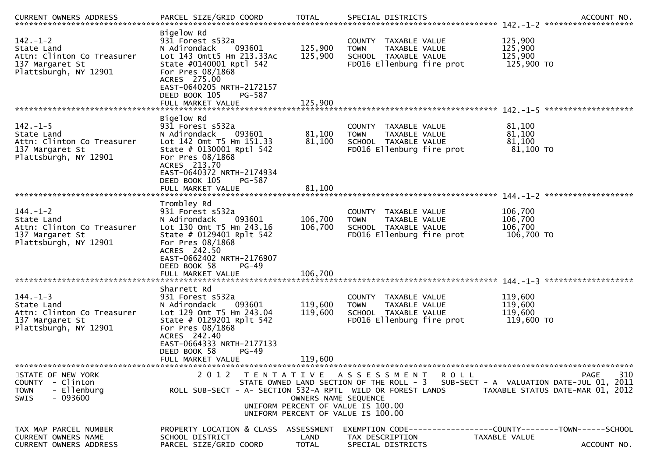| <b>CURRENT OWNERS ADDRESS</b>                                                                          | PARCEL SIZE/GRID COORD                                                                                                                                                                                                            | <b>TOTAL</b>                  | SPECIAL DISTRICTS                                                                                                                                                                               | ACCOUNT NO.                                     |
|--------------------------------------------------------------------------------------------------------|-----------------------------------------------------------------------------------------------------------------------------------------------------------------------------------------------------------------------------------|-------------------------------|-------------------------------------------------------------------------------------------------------------------------------------------------------------------------------------------------|-------------------------------------------------|
| $142. - 1 - 2$<br>State Land<br>Attn: Clinton Co Treasurer<br>137 Margaret St<br>Plattsburgh, NY 12901 | Bigelow Rd<br>931 Forest s532a<br>093601<br>N Adirondack<br>Lot 143 Omtt5 Hm 213.33Ac<br>State #0140001 Rptl 542<br>For Pres 08/1868<br>ACRES 275.00<br>EAST-0640205 NRTH-2172157<br>DEED BOOK 105<br>PG-587<br>FULL MARKET VALUE | 125,900<br>125,900<br>125,900 | COUNTY TAXABLE VALUE<br><b>TOWN</b><br>TAXABLE VALUE<br>SCHOOL TAXABLE VALUE<br>FD016 Ellenburg fire prot                                                                                       | 125,900<br>125,900<br>125,900<br>125,900 TO     |
|                                                                                                        | Bigelow Rd                                                                                                                                                                                                                        |                               |                                                                                                                                                                                                 |                                                 |
| $142. - 1 - 5$<br>State Land<br>Attn: Clinton Co Treasurer<br>137 Margaret St<br>Plattsburgh, NY 12901 | 931 Forest s532a<br>N Adirondack<br>093601<br>Lot 142 Omt T5 Hm 151.33<br>State # 0130001 Rptl 542<br>For Pres 08/1868<br>ACRES 213.70<br>EAST-0640372 NRTH-2174934<br>DEED BOOK 105<br>PG-587                                    | 81,100<br>81,100              | COUNTY TAXABLE VALUE<br><b>TOWN</b><br>TAXABLE VALUE<br>SCHOOL TAXABLE VALUE<br>FD016 Ellenburg fire prot                                                                                       | 81,100<br>81,100<br>81,100<br>81,100 TO         |
|                                                                                                        | FULL MARKET VALUE                                                                                                                                                                                                                 | 81,100                        |                                                                                                                                                                                                 |                                                 |
|                                                                                                        | Trombley Rd                                                                                                                                                                                                                       |                               |                                                                                                                                                                                                 |                                                 |
| $144. - 1 - 2$<br>State Land<br>Attn: Clinton Co Treasurer<br>137 Margaret St<br>Plattsburgh, NY 12901 | 931 Forest s532a<br>093601<br>N Adirondack<br>Lot 130 Omt T5 Hm 243.16<br>State # 0129401 Rplt 542<br>For Pres 08/1868<br>ACRES 242.50<br>EAST-0662402 NRTH-2176907                                                               | 106,700<br>106,700            | COUNTY TAXABLE VALUE<br><b>TOWN</b><br>TAXABLE VALUE<br>SCHOOL TAXABLE VALUE<br>FD016 Ellenburg fire prot                                                                                       | 106,700<br>106,700<br>106,700<br>106,700 TO     |
|                                                                                                        | DEED BOOK 58<br>$PG-49$<br>FULL MARKET VALUE                                                                                                                                                                                      | 106,700                       |                                                                                                                                                                                                 |                                                 |
|                                                                                                        |                                                                                                                                                                                                                                   |                               |                                                                                                                                                                                                 |                                                 |
| $144. - 1 - 3$<br>State Land<br>Attn: Clinton Co Treasurer<br>137 Margaret St<br>Plattsburgh, NY 12901 | Sharrett Rd<br>931 Forest s532a<br>093601<br>N Adirondack<br>Lot 129 Omt T5 Hm 243.04<br>State # 0129201 Rplt 542<br>For Pres 08/1868<br>ACRES 242.40<br>EAST-0664333 NRTH-2177133<br>DEED BOOK 58<br>$PG-49$                     | 119,600<br>119,600            | COUNTY TAXABLE VALUE<br><b>TOWN</b><br>TAXABLE VALUE<br>SCHOOL TAXABLE VALUE<br>FD016 Ellenburg fire prot                                                                                       | 119,600<br>119,600<br>119,600<br>119,600 TO     |
|                                                                                                        | FULL MARKET VALUE                                                                                                                                                                                                                 | 119,600                       |                                                                                                                                                                                                 |                                                 |
| STATE OF NEW YORK<br>COUNTY - Clinton<br>- Ellenburg<br><b>TOWN</b><br>$-093600$<br><b>SWIS</b>        | ROLL SUB-SECT - A- SECTION 532-A RPTL WILD OR FOREST LANDS                                                                                                                                                                        | OWNERS NAME SEQUENCE          | 2012 TENTATIVE ASSESSMENT ROLL<br>STATE OWNED LAND SECTION OF THE ROLL - 3 SUB-SECT - A VALUATION DATE-JUL 01, 2011<br>UNIFORM PERCENT OF VALUE IS 100.00<br>UNIFORM PERCENT OF VALUE IS 100.00 | 310<br>PAGE<br>TAXABLE STATUS DATE-MAR 01, 2012 |
| TAX MAP PARCEL NUMBER<br>CURRENT OWNERS NAME<br><b>CURRENT OWNERS ADDRESS</b>                          | PROPERTY LOCATION & CLASS ASSESSMENT<br>SCHOOL DISTRICT<br>PARCEL SIZE/GRID COORD                                                                                                                                                 | LAND<br><b>TOTAL</b>          | EXEMPTION CODE------------------COUNTY--------TOWN------SCHOOL<br>TAX DESCRIPTION<br>SPECIAL DISTRICTS                                                                                          | TAXABLE VALUE<br>ACCOUNT NO.                    |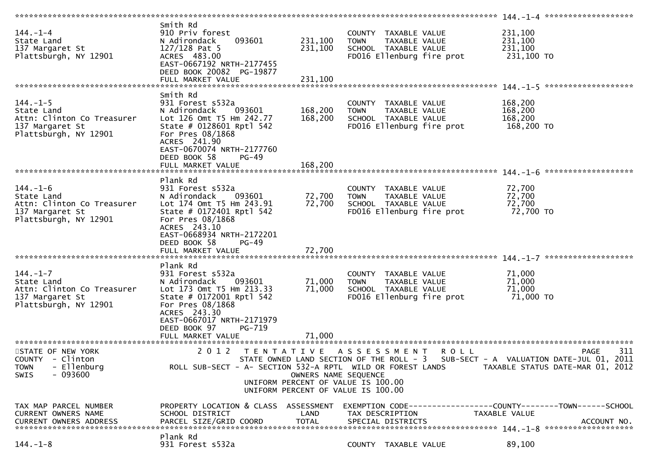|                                         |                                                            |                                                            |                                       | $144. - 1 - 4$ *********************                           |
|-----------------------------------------|------------------------------------------------------------|------------------------------------------------------------|---------------------------------------|----------------------------------------------------------------|
|                                         | Smith Rd                                                   |                                                            |                                       |                                                                |
| $144. - 1 - 4$                          | 910 Priv forest                                            |                                                            | COUNTY TAXABLE VALUE                  | 231,100                                                        |
| State Land                              | 093601<br>N Adirondack                                     | 231,100<br><b>TOWN</b>                                     | TAXABLE VALUE                         | 231,100                                                        |
| 137 Margaret St                         | 127/128 Pat 5                                              | 231,100                                                    | SCHOOL TAXABLE VALUE                  | 231,100                                                        |
| Plattsburgh, NY 12901                   | ACRES 483.00                                               |                                                            | FD016 Ellenburg fire prot             | 231,100 TO                                                     |
|                                         | EAST-0667192 NRTH-2177455<br>DEED BOOK 20082 PG-19877      |                                                            |                                       |                                                                |
|                                         | FULL MARKET VALUE                                          | 231,100                                                    |                                       |                                                                |
|                                         |                                                            |                                                            |                                       |                                                                |
|                                         | Smith Rd                                                   |                                                            |                                       |                                                                |
| $144. - 1 - 5$                          | 931 Forest s532a                                           |                                                            | COUNTY TAXABLE VALUE                  | 168,200                                                        |
| State Land                              | N Adirondack<br>093601                                     | 168,200<br><b>TOWN</b>                                     | TAXABLE VALUE                         | 168,200                                                        |
| Attn: Clinton Co Treasurer              | Lot 126 Omt T5 Hm 242.77                                   | 168,200                                                    | SCHOOL TAXABLE VALUE                  | 168,200                                                        |
| 137 Margaret St                         | State # 0128601 Rptl 542                                   |                                                            | FD016 Ellenburg fire prot             | 168,200 TO                                                     |
| Plattsburgh, NY 12901                   | For Pres 08/1868                                           |                                                            |                                       |                                                                |
|                                         | ACRES 241.90                                               |                                                            |                                       |                                                                |
|                                         | EAST-0670074 NRTH-2177760                                  |                                                            |                                       |                                                                |
|                                         | DEED BOOK 58<br>$PG-49$                                    |                                                            |                                       |                                                                |
|                                         | FULL MARKET VALUE                                          | 168,200                                                    |                                       |                                                                |
|                                         | Plank Rd                                                   |                                                            |                                       |                                                                |
| $144. - 1 - 6$                          | 931 Forest s532a                                           |                                                            | COUNTY TAXABLE VALUE                  | 72,700                                                         |
| State Land                              | N Adirondack<br>093601                                     | 72,700<br><b>TOWN</b>                                      | TAXABLE VALUE                         | 72,700                                                         |
| Attn: Clinton Co Treasurer              | Lot 174 Omt T5 Hm 243.91                                   | 72,700                                                     | SCHOOL TAXABLE VALUE                  | 72,700                                                         |
| 137 Margaret St                         | State # 0172401 Rptl 542                                   |                                                            | FD016 Ellenburg fire prot             | 72,700 TO                                                      |
| Plattsburgh, NY 12901                   | For Pres 08/1868                                           |                                                            |                                       |                                                                |
|                                         | ACRES 243.10                                               |                                                            |                                       |                                                                |
|                                         | EAST-0668934 NRTH-2172201                                  |                                                            |                                       |                                                                |
|                                         | DEED BOOK 58<br>$PG-49$                                    |                                                            |                                       |                                                                |
|                                         | FULL MARKET VALUE                                          | 72,700                                                     |                                       |                                                                |
|                                         |                                                            |                                                            |                                       |                                                                |
|                                         | Plank Rd                                                   |                                                            |                                       |                                                                |
| $144. - 1 - 7$<br>State Land            | 931 Forest s532a<br>093601<br>N Adirondack                 | 71,000<br><b>TOWN</b>                                      | COUNTY TAXABLE VALUE<br>TAXABLE VALUE | 71,000<br>71,000                                               |
| Attn: Clinton Co Treasurer              | Lot 173 Omt T5 Hm 213.33                                   | 71,000                                                     | SCHOOL TAXABLE VALUE                  | 71,000                                                         |
| 137 Margaret St                         | State # 0172001 Rptl 542                                   |                                                            | FD016 Ellenburg fire prot             | 71,000 TO                                                      |
| Plattsburgh, NY 12901                   | For Pres 08/1868                                           |                                                            |                                       |                                                                |
|                                         | ACRES 243.30                                               |                                                            |                                       |                                                                |
|                                         | EAST-0667017 NRTH-2171979                                  |                                                            |                                       |                                                                |
|                                         | DEED BOOK 97<br>PG-719                                     |                                                            |                                       |                                                                |
|                                         | FULL MARKET VALUE                                          | 71,000                                                     |                                       |                                                                |
|                                         |                                                            |                                                            |                                       |                                                                |
| STATE OF NEW YORK                       | 2 0 1 2                                                    | TENTATIVE ASSESSMENT                                       | <b>ROLL</b>                           | 311<br><b>PAGE</b>                                             |
| COUNTY - Clinton                        |                                                            | STATE OWNED LAND SECTION OF THE ROLL - 3                   |                                       | SUB-SECT - A VALUATION DATE-JUL 01, 2011                       |
| - Ellenburg<br><b>TOWN</b><br>$-093600$ | ROLL SUB-SECT - A- SECTION 532-A RPTL WILD OR FOREST LANDS |                                                            |                                       | TAXABLE STATUS DATE-MAR 01, 2012                               |
| <b>SWIS</b>                             |                                                            | OWNERS NAME SEQUENCE<br>UNIFORM PERCENT OF VALUE IS 100.00 |                                       |                                                                |
|                                         |                                                            | UNIFORM PERCENT OF VALUE IS 100.00                         |                                       |                                                                |
|                                         |                                                            |                                                            |                                       |                                                                |
| TAX MAP PARCEL NUMBER                   | PROPERTY LOCATION & CLASS ASSESSMENT                       |                                                            |                                       | EXEMPTION CODE------------------COUNTY--------TOWN------SCHOOL |
| CURRENT OWNERS NAME                     | SCHOOL DISTRICT                                            | LAND                                                       | TAX DESCRIPTION                       | TAXABLE VALUE                                                  |
| CURRENT OWNERS ADDRESS                  |                                                            | <b>TOTAL</b>                                               |                                       |                                                                |
|                                         | PARCEL SIZE/GRID COORD                                     |                                                            | SPECIAL DISTRICTS                     | ACCOUNT NO.                                                    |
|                                         |                                                            |                                                            |                                       |                                                                |
| $144. - 1 - 8$                          | Plank Rd<br>931 Forest s532a                               |                                                            | COUNTY TAXABLE VALUE                  | 89,100                                                         |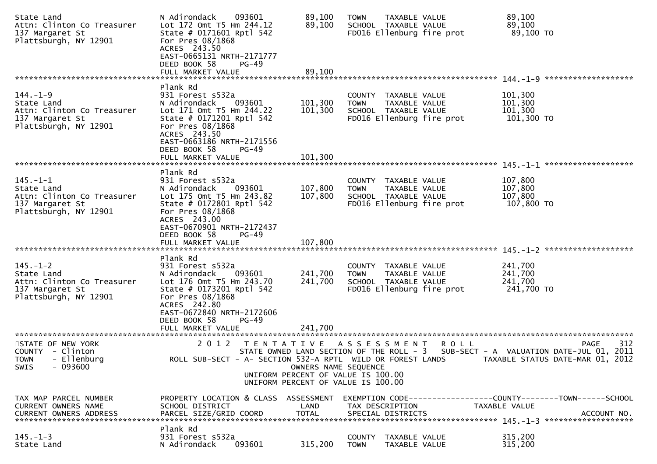| State Land<br>Attn: Clinton Co Treasurer<br>137 Margaret St<br>Plattsburgh, NY 12901                   | 093601<br>N Adirondack<br>Lot 172 Omt T5 Hm 244.12<br>State # 0171601 Rptl 542<br>For Pres 08/1868<br>ACRES 243.50<br>EAST-0665131 NRTH-2171777<br>DEED BOOK 58<br>PG-49                                                        | 89,100<br>89,100                                           | <b>TOWN</b><br>TAXABLE VALUE<br>SCHOOL TAXABLE VALUE<br>FD016 Ellenburg fire prot                         |         | 89,100<br>89,100<br>89,100 TO                                                                                                 |
|--------------------------------------------------------------------------------------------------------|---------------------------------------------------------------------------------------------------------------------------------------------------------------------------------------------------------------------------------|------------------------------------------------------------|-----------------------------------------------------------------------------------------------------------|---------|-------------------------------------------------------------------------------------------------------------------------------|
|                                                                                                        | FULL MARKET VALUE                                                                                                                                                                                                               | 89,100                                                     |                                                                                                           |         |                                                                                                                               |
| $144. - 1 - 9$<br>State Land<br>Attn: Clinton Co Treasurer<br>137 Margaret St<br>Plattsburgh, NY 12901 | Plank Rd<br>931 Forest s532a<br>N Adirondack<br>093601<br>Lot 171 Omt T5 Hm 244.22<br>State # 0171201 Rptl 542<br>For Pres 08/1868<br>ACRES 243.50<br>EAST-0663186 NRTH-2171556                                                 | 101,300<br>101,300                                         | COUNTY TAXABLE VALUE<br><b>TOWN</b><br>TAXABLE VALUE<br>SCHOOL TAXABLE VALUE<br>FD016 Ellenburg fire prot |         | 101,300<br>101,300<br>101,300<br>101,300 то                                                                                   |
|                                                                                                        | DEED BOOK 58<br>PG-49                                                                                                                                                                                                           |                                                            |                                                                                                           |         |                                                                                                                               |
|                                                                                                        | FULL MARKET VALUE                                                                                                                                                                                                               | 101,300                                                    |                                                                                                           |         | *******************                                                                                                           |
| $145. - 1 - 1$<br>State Land<br>Attn: Clinton Co Treasurer<br>137 Margaret St<br>Plattsburgh, NY 12901 | Plank Rd<br>931 Forest s532a<br>093601<br>N Adirondack<br>Lot 175 Omt T5 Hm 243.82<br>State # $0172801$ Rptl 542<br>For Pres 08/1868<br>ACRES 243.00<br>EAST-0670901 NRTH-2172437<br>DEED BOOK 58<br>PG-49                      | 107,800<br>107,800                                         | COUNTY TAXABLE VALUE<br>TAXABLE VALUE<br><b>TOWN</b><br>SCHOOL TAXABLE VALUE<br>FD016 Ellenburg fire prot |         | 107,800<br>107,800<br>107,800<br>107,800 TO                                                                                   |
|                                                                                                        | FULL MARKET VALUE                                                                                                                                                                                                               | 107,800                                                    |                                                                                                           |         |                                                                                                                               |
| $145. - 1 - 2$<br>State Land<br>Attn: Clinton Co Treasurer<br>137 Margaret St<br>Plattsburgh, NY 12901 | Plank Rd<br>931 Forest s532a<br>093601<br>N Adirondack<br>Lot 176 Omt T5 Hm 243.70<br>State # 0173201 Rptl 542<br>For Pres 08/1868<br>ACRES 242.80<br>EAST-0672840 NRTH-2172606<br>DEED BOOK 58<br>$PG-49$<br>FULL MARKET VALUE | 241,700<br>241,700<br>241,700                              | COUNTY TAXABLE VALUE<br><b>TOWN</b><br>TAXABLE VALUE<br>SCHOOL TAXABLE VALUE<br>FD016 Ellenburg fire prot |         | 241,700<br>241,700<br>241,700<br>241,700 TO                                                                                   |
| STATE OF NEW YORK                                                                                      | 2012 TENTATIVE ASSESSMENT                                                                                                                                                                                                       |                                                            |                                                                                                           |         | 312                                                                                                                           |
| COUNTY - Clinton<br>- Ellenburg<br><b>TOWN</b><br>$-093600$<br>SWIS                                    | ROLL SUB-SECT - A- SECTION 532-A RPTL WILD OR FOREST LANDS                                                                                                                                                                      | OWNERS NAME SEQUENCE<br>UNIFORM PERCENT OF VALUE IS 100.00 | UNIFORM PERCENT OF VALUE IS 100.00                                                                        | R O L L | PAGE<br>STATE OWNED LAND SECTION OF THE ROLL - 3 SUB-SECT - A VALUATION DATE-JUL 01, 2011<br>TAXABLE STATUS DATE-MAR 01, 2012 |
| TAX MAP PARCEL NUMBER<br>CURRENT OWNERS NAME<br>CURRENT OWNERS ADDRESS                                 | PROPERTY LOCATION & CLASS ASSESSMENT<br>SCHOOL DISTRICT<br>PARCEL SIZE/GRID COORD                                                                                                                                               | LAND<br><b>TOTAL</b>                                       | TAX DESCRIPTION<br>SPECIAL DISTRICTS                                                                      |         | EXEMPTION CODE------------------COUNTY--------TOWN------SCHOOL<br>TAXABLE VALUE<br>ACCOUNT NO.                                |
| $145. - 1 - 3$<br>State Land                                                                           | Plank Rd<br>931 Forest s532a<br>093601<br>N Adirondack                                                                                                                                                                          | 315,200                                                    | <b>COUNTY</b><br>TAXABLE VALUE<br><b>TOWN</b><br>TAXABLE VALUE                                            |         | 315,200<br>315,200                                                                                                            |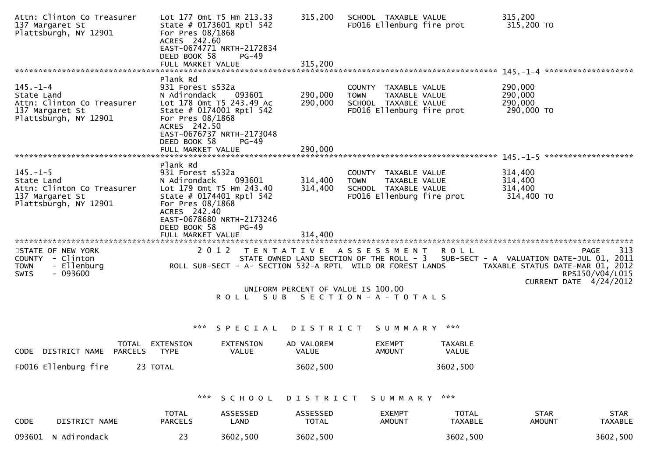| Attn: Clinton Co Treasurer<br>137 Margaret St<br>Plattsburgh, NY 12901                                 | Lot 177 Omt T5 Hm 213.33<br>State # 0173601 Rptl 542<br>For Pres 08/1868<br>ACRES 242.60<br>EAST-0674771 NRTH-2172834<br>DEED BOOK 58<br>FULL MARKET VALUE | <b>PG-49</b>              | 315,200<br>315,200         | SCHOOL TAXABLE VALUE<br>FD016 Ellenburg fire prot                                                                             |                                | 315,200<br>315,200 TO                                                                                                                           |
|--------------------------------------------------------------------------------------------------------|------------------------------------------------------------------------------------------------------------------------------------------------------------|---------------------------|----------------------------|-------------------------------------------------------------------------------------------------------------------------------|--------------------------------|-------------------------------------------------------------------------------------------------------------------------------------------------|
|                                                                                                        | Plank Rd                                                                                                                                                   |                           |                            |                                                                                                                               |                                |                                                                                                                                                 |
| $145. - 1 - 4$<br>State Land<br>Attn: Clinton Co Treasurer<br>137 Margaret St<br>Plattsburgh, NY 12901 | 931 Forest s532a<br>N Adirondack<br>Lot 178 Omt T5 243.49 Ac<br>State # 0174001 Rptl 542<br>For Pres 08/1868<br>ACRES 242.50<br>EAST-0676737 NRTH-2173048  | 093601                    | 290,000<br>290,000         | COUNTY TAXABLE VALUE<br><b>TOWN</b><br>TAXABLE VALUE<br>SCHOOL TAXABLE VALUE<br>FD016 Ellenburg fire prot                     |                                | 290,000<br>290,000<br>290,000<br>290,000 TO                                                                                                     |
|                                                                                                        | DEED BOOK 58<br>FULL MARKET VALUE                                                                                                                          | $PG-49$                   | 290,000                    |                                                                                                                               |                                |                                                                                                                                                 |
|                                                                                                        |                                                                                                                                                            |                           |                            |                                                                                                                               |                                |                                                                                                                                                 |
| $145. - 1 - 5$<br>State Land<br>Attn: Clinton Co Treasurer<br>137 Margaret St<br>Plattsburgh, NY 12901 | Plank Rd<br>931 Forest s532a<br>N Adirondack<br>Lot 179 Omt T5 Hm 243.40<br>State # 0174401 Rptl 542<br>For Pres 08/1868                                   | 093601                    | 314,400<br>314,400         | COUNTY TAXABLE VALUE<br><b>TOWN</b><br>TAXABLE VALUE<br>SCHOOL TAXABLE VALUE<br>FD016 Ellenburg fire prot                     |                                | 314,400<br>314,400<br>314,400<br>314,400 TO                                                                                                     |
|                                                                                                        | ACRES 242.40<br>EAST-0678680 NRTH-2173246<br>DEED BOOK 58<br>FULL MARKET VALUE                                                                             | $PG-49$                   | 314,400                    |                                                                                                                               |                                |                                                                                                                                                 |
| STATE OF NEW YORK<br>COUNTY - Clinton<br>- Ellenburg<br><b>TOWN</b><br>$-093600$<br><b>SWIS</b>        | 2012                                                                                                                                                       | T E N T A T I V E         |                            | A S S E S S M E N T<br>STATE OWNED LAND SECTION OF THE ROLL - 3<br>ROLL SUB-SECT - A- SECTION 532-A RPTL WILD OR FOREST LANDS | <b>ROLL</b>                    | 313<br><b>PAGE</b><br>SUB-SECT - A VALUATION DATE-JUL 01, 2011<br>TAXABLE STATUS DATE-MAR 01, 2012<br>RPS150/V04/L015<br>CURRENT DATE 4/24/2012 |
|                                                                                                        |                                                                                                                                                            | ROLL SUB                  |                            | UNIFORM PERCENT OF VALUE IS 100.00<br>SECTION - A - TOTALS                                                                    |                                |                                                                                                                                                 |
|                                                                                                        | ***                                                                                                                                                        | SPECIAL                   | D I S T R I C T            | SUMMARY ***                                                                                                                   |                                |                                                                                                                                                 |
| TOTAL<br><b>PARCELS</b><br>DISTRICT NAME<br><b>CODE</b>                                                | EXTENSION<br><b>TYPE</b>                                                                                                                                   | EXTENSION<br><b>VALUE</b> | AD VALOREM<br><b>VALUE</b> | <b>EXEMPT</b><br><b>AMOUNT</b>                                                                                                | TAXABLE<br>VALUE               |                                                                                                                                                 |
| FD016 Ellenburg fire<br>23 TOTAL                                                                       |                                                                                                                                                            |                           | 3602,500                   |                                                                                                                               | 3602,500                       |                                                                                                                                                 |
|                                                                                                        | ***                                                                                                                                                        | SCHOOL                    | DISTRICT                   | SUMMARY                                                                                                                       | ***                            |                                                                                                                                                 |
| CODE<br>DISTRICT NAME                                                                                  | <b>TOTAL</b><br><b>PARCELS</b>                                                                                                                             | ASSESSED<br>LAND          | ASSESSED<br><b>TOTAL</b>   | <b>EXEMPT</b><br><b>AMOUNT</b>                                                                                                | <b>TOTAL</b><br><b>TAXABLE</b> | <b>STAR</b><br><b>STAR</b><br><b>AMOUNT</b><br><b>TAXABLE</b>                                                                                   |
| 093601<br>N Adirondack                                                                                 | 23                                                                                                                                                         | 3602,500                  | 3602,500                   |                                                                                                                               | 3602,500                       | 3602,500                                                                                                                                        |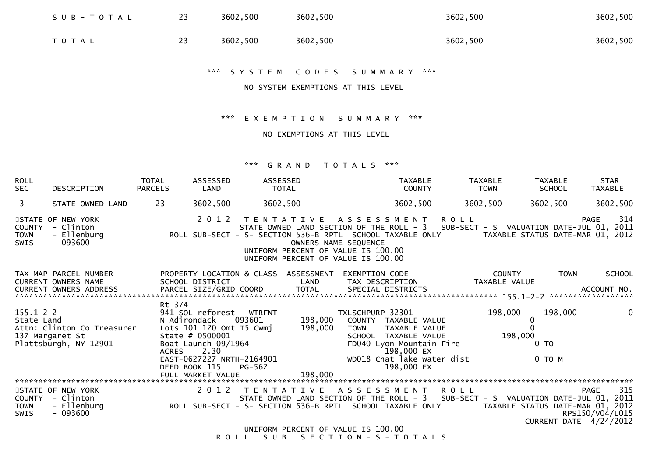| SUB-TOTAL | 23 | 3602,500 | 3602,500 | 3602,500 | 3602,500 |
|-----------|----|----------|----------|----------|----------|
| T O T A L |    | 3602,500 | 3602,500 | 3602,500 | 3602,500 |

#### \*\*\* S Y S T E M C O D E S S U M M A R Y \*\*\*

#### NO SYSTEM EXEMPTIONS AT THIS LEVEL

\*\*\* E X E M P T I O N S U M M A R Y \*\*\*

NO EXEMPTIONS AT THIS LEVEL

#### \*\*\* G R A N D T O T A L S \*\*\*

| <b>ROLL</b><br><b>SEC</b>     | DESCRIPTION                                                            | <b>TOTAL</b><br><b>PARCELS</b> | ASSESSED<br>LAND                                                                                                                                                             | TOTAL  | ASSESSED                                                                                                                           |                                 | <b>TAXABLE</b><br><b>COUNTY</b>                                                                                                                     | <b>TAXABLE</b><br><b>TOWN</b> | <b>TAXABLE</b><br><b>SCHOOL</b>                     | <b>STAR</b><br>TAXABLE                                                                                                                                                                                |
|-------------------------------|------------------------------------------------------------------------|--------------------------------|------------------------------------------------------------------------------------------------------------------------------------------------------------------------------|--------|------------------------------------------------------------------------------------------------------------------------------------|---------------------------------|-----------------------------------------------------------------------------------------------------------------------------------------------------|-------------------------------|-----------------------------------------------------|-------------------------------------------------------------------------------------------------------------------------------------------------------------------------------------------------------|
| $\mathbf{3}$                  | STATE OWNED LAND                                                       | 23                             | 3602,500                                                                                                                                                                     |        | 3602,500                                                                                                                           |                                 | 3602,500                                                                                                                                            | 3602,500                      | 3602,500                                            | 3602,500                                                                                                                                                                                              |
| COUNTY<br><b>TOWN</b><br>SWIS | STATE OF NEW YORK<br>- Clinton<br>- Ellenburg<br>$-093600$             |                                |                                                                                                                                                                              |        | 2012 TENTATIVE ASSESSMENT ROLL<br>OWNERS NAME SEQUENCE<br>UNIFORM PERCENT OF VALUE IS 100.00<br>UNIFORM PERCENT OF VALUE IS 100.00 |                                 |                                                                                                                                                     |                               |                                                     | 314<br><b>PAGE</b><br>STATE OWNED LAND SECTION OF THE ROLL - 3 SUB-SECT - S VALUATION DATE-JUL 01, 2011<br>ROLL SUB-SECT - S- SECTION 536-B RPTL SCHOOL TAXABLE ONLY TAXABLE STATUS DATE-MAR 01, 2012 |
|                               | TAX MAP PARCEL NUMBER<br><b>CURRENT OWNERS NAME</b>                    |                                | SCHOOL DISTRICT                                                                                                                                                              |        | PROPERTY LOCATION & CLASS ASSESSMENT<br><b>Example 18 The LAND</b>                                                                 |                                 | TAX DESCRIPTION TAXABLE VALUE                                                                                                                       |                               |                                                     | EXEMPTION        CODE-----------------COUNTY-------TOWN------SCHOOL                                                                                                                                   |
| $155.1 - 2 - 2$<br>State Land | Attn: Clinton Co Treasurer<br>137 Margaret St<br>Plattsburgh, NY 12901 | Rt 374<br>ACRES                | 941 SOL reforest - WTRFNT<br>N Adirondack 093601<br>Lots $101$ $120$ Omt $T5$ Cwmj<br>State $# 0500001$<br>Boat Launch 09/1964<br>2.30<br>DEED BOOK 115<br>FULL MARKET VALUE | PG-562 | 198,000<br>198,000<br>EAST-0627227 NRTH-2164901<br>198,000                                                                         | TXLSCHPURP 32301<br><b>TOWN</b> | COUNTY TAXABLE VALUE<br>TAXABLE VALUE<br>SCHOOL TAXABLE VALUE<br>FD040 Lyon Mountain Fire<br>198,000 EX<br>WD018 Chat lake water dist<br>198,000 EX | 198,000<br>198,000            | 198,000<br>$\mathbf{0}$<br>0 <sub>T</sub><br>0 TO M | $\mathbf 0$                                                                                                                                                                                           |
|                               |                                                                        |                                |                                                                                                                                                                              |        |                                                                                                                                    |                                 |                                                                                                                                                     |                               |                                                     |                                                                                                                                                                                                       |
| <b>TOWN</b><br>SWIS           | STATE OF NEW YORK<br>COUNTY - Clinton<br>- Ellenburg<br>$-093600$      |                                |                                                                                                                                                                              |        | 2012 TENTATIVE                                                                                                                     |                                 | A S S E S S M E N T R O L L                                                                                                                         |                               |                                                     | 315<br>PAGE<br>RPS150/V04/L015<br>CURRENT DATE 4/24/2012                                                                                                                                              |
|                               |                                                                        |                                |                                                                                                                                                                              |        | UNIFORM PERCENT OF VALUE IS 100.00                                                                                                 |                                 |                                                                                                                                                     |                               |                                                     |                                                                                                                                                                                                       |

R O L L S U B S E C T I O N - S - T O T A L S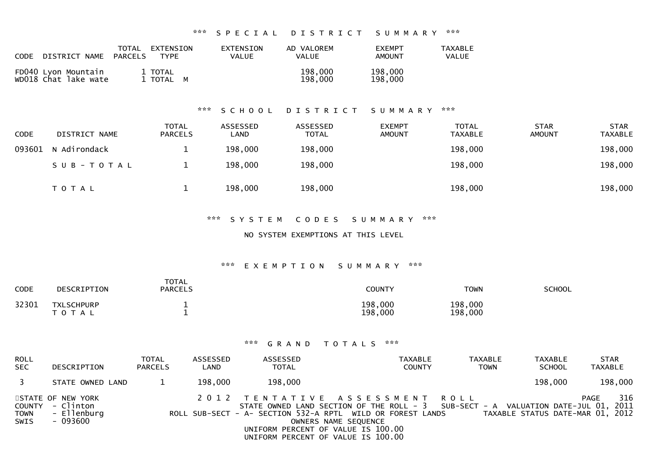| <b>CODE</b><br>DISTRICT NAME                | TOTAL<br>EXTENSION<br>PARCELS<br><b>TYPE</b> | EXTENSION<br>VALUE | AD VALOREM<br>VALUE | <b>FXEMPT</b><br>AMOUNT | <b>TAXABLE</b><br>VALUE |
|---------------------------------------------|----------------------------------------------|--------------------|---------------------|-------------------------|-------------------------|
| FD040 Lyon Mountain<br>wD018 Chat lake wate | 1 TOTAL<br>1 TOTAL M                         |                    | 198,000<br>198,000  | 198,000<br>198,000      |                         |

### \*\*\* S C H O O L D I S T R I C T S U M M A R Y \*\*\*

| <b>CODE</b> | DISTRICT NAME | <b>TOTAL</b><br><b>PARCELS</b> | ASSESSED<br>∟AND | ASSESSED<br><b>TOTAL</b> | <b>EXEMPT</b><br><b>AMOUNT</b> | <b>TOTAL</b><br><b>TAXABLE</b> | <b>STAR</b><br><b>AMOUNT</b> | <b>STAR</b><br><b>TAXABLE</b> |
|-------------|---------------|--------------------------------|------------------|--------------------------|--------------------------------|--------------------------------|------------------------------|-------------------------------|
| 093601      | N Adirondack  |                                | 198,000          | 198,000                  |                                | 198,000                        |                              | 198,000                       |
|             | SUB-TOTAL     |                                | 198,000          | 198,000                  |                                | 198,000                        |                              | 198,000                       |
|             | T O T A L     |                                | 198,000          | 198,000                  |                                | 198,000                        |                              | 198,000                       |

#### \*\*\* S Y S T E M C O D E S S U M M A R Y \*\*\*

NO SYSTEM EXEMPTIONS AT THIS LEVEL

### \*\*\* E X E M P T I O N S U M M A R Y \*\*\*

| <b>CODE</b> | DESCRIPTION                    | TOTAL<br><b>PARCELS</b> | COUNTY             | <b>TOWN</b>        | SCHOOL |
|-------------|--------------------------------|-------------------------|--------------------|--------------------|--------|
| 32301       | <b>TXLSCHPURP</b><br>T O T A L |                         | 198,000<br>198,000 | 198,000<br>198,000 |        |

| <b>ROLL</b><br><b>SEC</b>  | DESCRIPTION                                                      | <b>TOTAL</b><br><b>PARCELS</b> | ASSESSED<br>LAND | ASSESSED<br><b>TOTAL</b>                                                 | <b>TAXABLE</b><br><b>COUNTY</b>                                                                                                                                                                           | TAXABLE<br><b>TOWN</b> | <b>TAXABLE</b><br><b>SCHOOL</b>  | <b>STAR</b><br>TAXABLE |
|----------------------------|------------------------------------------------------------------|--------------------------------|------------------|--------------------------------------------------------------------------|-----------------------------------------------------------------------------------------------------------------------------------------------------------------------------------------------------------|------------------------|----------------------------------|------------------------|
|                            | STATE OWNED LAND                                                 |                                | 198,000          | 198,000                                                                  |                                                                                                                                                                                                           |                        | 198,000                          | 198,000                |
| <b>TOWN</b><br><b>SWIS</b> | STATE OF NEW YORK<br>COUNTY - Clinton<br>- Ellenburg<br>- 093600 |                                |                  | UNIFORM PERCENT OF VALUE IS 100.00<br>UNIFORM PERCENT OF VALUE IS 100.00 | 2012 TENTATIVE ASSESSMENT ROLL<br>STATE OWNED LAND SECTION OF THE ROLL - 3 SUB-SECT - A VALUATION DATE-JUL 01, 2011<br>ROLL SUB-SECT - A- SECTION 532-A RPTL WILD OR FOREST LANDS<br>OWNERS NAME SEQUENCE |                        | TAXABLE STATUS DATE-MAR 01, 2012 | 316<br><b>PAGE</b>     |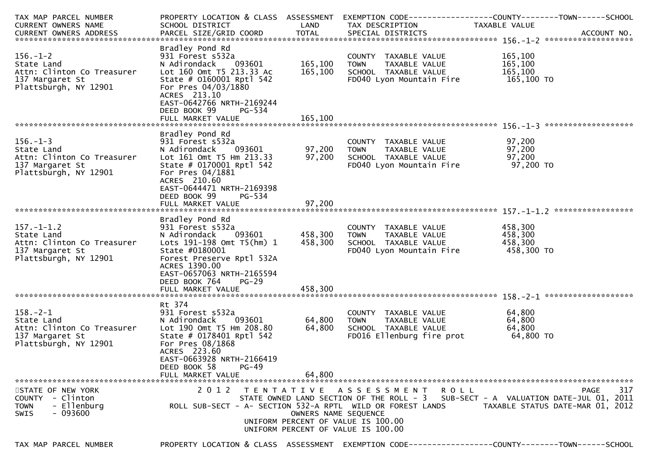| TAX MAP PARCEL NUMBER<br>CURRENT OWNERS NAME                                                             | PROPERTY LOCATION & CLASS ASSESSMENT<br>SCHOOL DISTRICT                                                                                                                                                                                    | LAND                          | EXEMPTION CODE-----------------COUNTY-------TOWN------SCHOOL<br>TAX DESCRIPTION                                                                                                                 | TAXABLE VALUE                               |                                                 |
|----------------------------------------------------------------------------------------------------------|--------------------------------------------------------------------------------------------------------------------------------------------------------------------------------------------------------------------------------------------|-------------------------------|-------------------------------------------------------------------------------------------------------------------------------------------------------------------------------------------------|---------------------------------------------|-------------------------------------------------|
|                                                                                                          |                                                                                                                                                                                                                                            |                               |                                                                                                                                                                                                 |                                             |                                                 |
|                                                                                                          |                                                                                                                                                                                                                                            |                               |                                                                                                                                                                                                 |                                             |                                                 |
| $156. - 1 - 2$<br>State Land<br>Attn: Clinton Co Treasurer<br>137 Margaret St<br>Plattsburgh, NY 12901   | Bradley Pond Rd<br>931 Forest s532a<br>093601<br>N Adirondack<br>Lot 160 Omt T5 213.33 Ac<br>State # $0160001$ Rptl 542<br>For Pres 04/03/1880<br>ACRES 213.10<br>EAST-0642766 NRTH-2169244<br>DEED BOOK 99<br>PG-534<br>FULL MARKET VALUE | 165,100<br>165,100<br>165,100 | COUNTY TAXABLE VALUE<br><b>TOWN</b><br>TAXABLE VALUE<br>SCHOOL TAXABLE VALUE<br>FD040 Lyon Mountain Fire                                                                                        | 165,100<br>165,100<br>165,100<br>165,100 TO |                                                 |
|                                                                                                          |                                                                                                                                                                                                                                            |                               |                                                                                                                                                                                                 |                                             |                                                 |
| $156. - 1 - 3$<br>State Land<br>Attn: Clinton Co Treasurer<br>137 Margaret St<br>Plattsburgh, NY 12901   | Bradley Pond Rd<br>931 Forest s532a<br>N Adirondack<br>093601<br>Lot 161 Omt T5 Hm 213.33<br>State # $0170001$ Rptl 542<br>For Pres 04/1881<br>ACRES 210.60<br>EAST-0644471 NRTH-2169398                                                   | 97,200<br>97,200              | COUNTY TAXABLE VALUE<br><b>TOWN</b><br>TAXABLE VALUE<br>SCHOOL TAXABLE VALUE<br>FD040 Lyon Mountain Fire                                                                                        | 97,200<br>97,200<br>97,200<br>97,200 TO     |                                                 |
|                                                                                                          | DEED BOOK 99<br>PG-534                                                                                                                                                                                                                     |                               |                                                                                                                                                                                                 |                                             |                                                 |
|                                                                                                          | FULL MARKET VALUE                                                                                                                                                                                                                          | 97,200                        |                                                                                                                                                                                                 |                                             |                                                 |
| $157. - 1 - 1.2$<br>State Land<br>Attn: Clinton Co Treasurer<br>137 Margaret St<br>Plattsburgh, NY 12901 | Bradley Pond Rd<br>931 Forest s532a<br>N Adirondack<br>093601<br>Lots 191-198 Omt T5(hm) 1<br>State #0180001<br>Forest Preserve Rptl 532A<br>ACRES 1390.00<br>EAST-0657063 NRTH-2165594<br>DEED BOOK 764<br>$PG-29$                        | 458,300<br>458,300            | COUNTY TAXABLE VALUE<br>TAXABLE VALUE<br>TOWN<br>SCHOOL TAXABLE VALUE<br>FD040 Lyon Mountain Fire                                                                                               | 458,300<br>458,300<br>458,300<br>458,300 TO |                                                 |
|                                                                                                          |                                                                                                                                                                                                                                            |                               |                                                                                                                                                                                                 |                                             |                                                 |
|                                                                                                          |                                                                                                                                                                                                                                            |                               |                                                                                                                                                                                                 |                                             |                                                 |
| $158. - 2 - 1$<br>State Land<br>Attn: Clinton Co Treasurer<br>137 Margaret St<br>Plattsburgh, NY 12901   | Rt 374<br>931 Forest s532a<br>N Adirondack<br>093601<br>Lot 190 Omt T5 Hm 208.80<br>State # $0178401$ Rptl 542<br>For Pres 08/1868<br>ACRES 223.60<br>EAST-0663928 NRTH-2166419                                                            | 64,800<br>64,800              | COUNTY TAXABLE VALUE<br><b>TOWN</b><br>TAXABLE VALUE<br>SCHOOL TAXABLE VALUE<br>FD016 Ellenburg fire prot                                                                                       | 64,800<br>64,800<br>64,800<br>64,800 TO     |                                                 |
|                                                                                                          | DEED BOOK 58<br>$PG-49$<br>FULL MARKET VALUE                                                                                                                                                                                               | 64,800                        |                                                                                                                                                                                                 |                                             |                                                 |
|                                                                                                          |                                                                                                                                                                                                                                            |                               |                                                                                                                                                                                                 |                                             |                                                 |
| STATE OF NEW YORK<br>COUNTY - Clinton<br>- Ellenburg<br>TOWN<br>$-093600$<br>SWIS                        | 2 0 1 2<br>T E N T A T I V E<br>ROLL SUB-SECT - A- SECTION 532-A RPTL WILD OR FOREST LANDS                                                                                                                                                 | OWNERS NAME SEQUENCE          | A S S E S S M E N T<br>R O L L<br>STATE OWNED LAND SECTION OF THE ROLL - 3 SUB-SECT - A VALUATION DATE-JUL 01, 2011<br>UNIFORM PERCENT OF VALUE IS 100.00<br>UNIFORM PERCENT OF VALUE IS 100.00 |                                             | 317<br>PAGE<br>TAXABLE STATUS DATE-MAR 01, 2012 |

TAX MAP PARCEL NUMBER PROPERTY LOCATION & CLASS ASSESSMENT EXEMPTION CODE------------------COUNTY--------TOWN------SCHOOL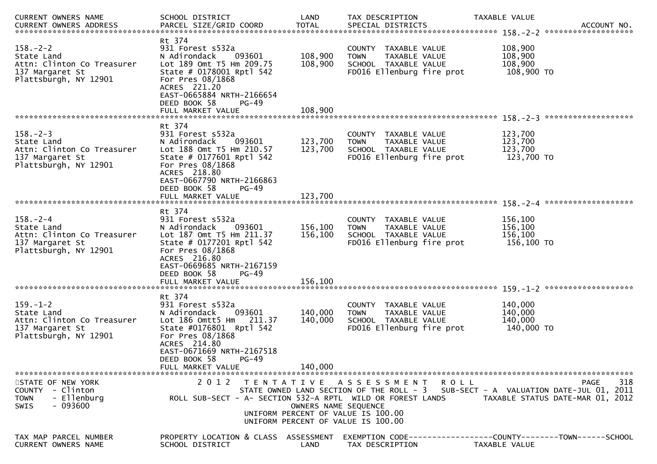| CURRENT OWNERS NAME                                                                                    | SCHOOL DISTRICT                                                                                                                                                                                                               | LAND                          | TAX DESCRIPTION                                                                                           | TAXABLE VALUE                                                                     |                                                 |
|--------------------------------------------------------------------------------------------------------|-------------------------------------------------------------------------------------------------------------------------------------------------------------------------------------------------------------------------------|-------------------------------|-----------------------------------------------------------------------------------------------------------|-----------------------------------------------------------------------------------|-------------------------------------------------|
| $158. - 2 - 2$<br>State Land<br>Attn: Clinton Co Treasurer<br>137 Margaret St<br>Plattsburgh, NY 12901 | Rt 374<br>931 Forest s532a<br>N Adirondack<br>093601<br>Lot 189 Omt T5 Hm 209.75<br>State # 0178001 Rptl 542<br>For Pres 08/1868<br>ACRES 221.20<br>EAST-0665884 NRTH-2166654<br>DEED BOOK 58<br>$PG-49$<br>FULL MARKET VALUE | 108,900<br>108,900<br>108,900 | COUNTY TAXABLE VALUE<br>TAXABLE VALUE<br><b>TOWN</b><br>SCHOOL TAXABLE VALUE<br>FD016 Ellenburg fire prot | 108,900<br>108,900<br>108,900<br>108,900 TO                                       |                                                 |
|                                                                                                        | Rt 374                                                                                                                                                                                                                        |                               |                                                                                                           | 123,700                                                                           | *******************                             |
| $158. - 2 - 3$<br>State Land<br>Attn: Clinton Co Treasurer<br>137 Margaret St<br>Plattsburgh, NY 12901 | 931 Forest s532a<br>N Adirondack<br>093601<br>Lot 188 Omt T5 Hm 210.57<br>State # 0177601 Rptl 542<br>For Pres 08/1868<br>ACRES 218.80<br>EAST-0667790 NRTH-2166863<br>DEED BOOK 58<br>PG-49                                  | 123,700<br>123,700            | COUNTY TAXABLE VALUE<br><b>TOWN</b><br>TAXABLE VALUE<br>SCHOOL TAXABLE VALUE<br>FD016 Ellenburg fire prot | 123,700<br>123,700<br>123,700 TO                                                  |                                                 |
|                                                                                                        |                                                                                                                                                                                                                               |                               |                                                                                                           |                                                                                   |                                                 |
| $158. - 2 - 4$<br>State Land<br>Attn: Clinton Co Treasurer<br>137 Margaret St<br>Plattsburgh, NY 12901 | Rt 374<br>931 Forest s532a<br>N Adirondack<br>093601<br>Lot 187 Omt T5 Hm 211.37<br>State # 0177201 Rptl 542<br>For Pres 08/1868<br>ACRES 216.80                                                                              | 156,100<br>156,100            | COUNTY TAXABLE VALUE<br><b>TOWN</b><br>TAXABLE VALUE<br>SCHOOL TAXABLE VALUE<br>FD016 Ellenburg fire prot | 156,100<br>156,100<br>156,100<br>156,100 TO                                       |                                                 |
|                                                                                                        | EAST-0669685 NRTH-2167159<br>DEED BOOK 58<br>$PG-49$<br>FULL MARKET VALUE                                                                                                                                                     | 156,100                       |                                                                                                           |                                                                                   |                                                 |
| $159. - 1 - 2$<br>State Land<br>Attn: Clinton Co Treasurer<br>137 Margaret St<br>Plattsburgh, NY 12901 | Rt 374<br>931 Forest s532a<br>093601<br>N Adirondack<br>Lot 186 Omtt5 Hm 211.37<br>State #0176801 Rptl 542<br>For Pres 08/1868<br>ACRES 214.80<br>EAST-0671669 NRTH-2167518<br>DEED BOOK 58<br>$PG-49$                        | 140,000<br>140,000            | COUNTY TAXABLE VALUE<br><b>TOWN</b><br>TAXABLE VALUE<br>SCHOOL TAXABLE VALUE<br>FD016 Ellenburg fire prot | 140,000<br>140,000<br>140,000<br>140,000 TO                                       |                                                 |
|                                                                                                        | FULL MARKET VALUE                                                                                                                                                                                                             | 140,000                       |                                                                                                           |                                                                                   |                                                 |
| STATE OF NEW YORK<br>COUNTY - Clinton<br>- Ellenburg<br><b>TOWN</b><br>- 093600<br><b>SWIS</b>         | 2 0 1 2<br>ROLL SUB-SECT - A- SECTION 532-A RPTL WILD OR FOREST LANDS                                                                                                                                                         | OWNERS NAME SEQUENCE          | TENTATIVE ASSESSMENT ROLL<br>UNIFORM PERCENT OF VALUE IS 100.00<br>UNIFORM PERCENT OF VALUE IS 100.00     | STATE OWNED LAND SECTION OF THE ROLL - 3 SUB-SECT - A VALUATION DATE-JUL 01, 2011 | 318<br>PAGE<br>TAXABLE STATUS DATE-MAR 01, 2012 |
| TAX MAP PARCEL NUMBER<br>CURRENT OWNERS NAME                                                           | PROPERTY LOCATION & CLASS ASSESSMENT<br>SCHOOL DISTRICT                                                                                                                                                                       | LAND                          | TAX DESCRIPTION                                                                                           | EXEMPTION CODE-----------------COUNTY-------TOWN------SCHOOL<br>TAXABLE VALUE     |                                                 |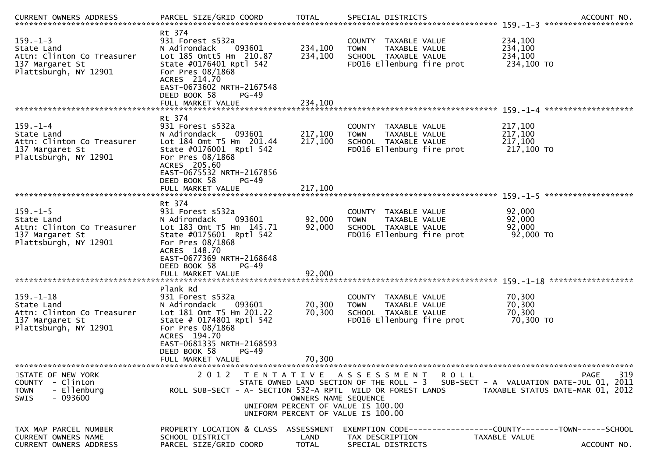| $159. - 1 - 3$<br>State Land<br>Attn: Clinton Co Treasurer<br>137 Margaret St<br>Plattsburgh, NY 12901  | Rt 374<br>931 Forest s532a<br>093601<br>N Adirondack<br>Lot 185 Omtt5 Hm 210.87<br>State #0176401 Rptl 542<br>For Pres 08/1868<br>ACRES 214.70<br>EAST-0673602 NRTH-2167548<br>DEED BOOK 58<br>PG-49<br>FULL MARKET VALUE  | 234,100<br>234,100<br>234,100 | COUNTY TAXABLE VALUE<br>TAXABLE VALUE<br><b>TOWN</b><br>SCHOOL TAXABLE VALUE<br>FD016 Ellenburg fire prot                                                                                     | 234,100<br>234,100<br>234,100<br>234,100 TO            |
|---------------------------------------------------------------------------------------------------------|----------------------------------------------------------------------------------------------------------------------------------------------------------------------------------------------------------------------------|-------------------------------|-----------------------------------------------------------------------------------------------------------------------------------------------------------------------------------------------|--------------------------------------------------------|
| $159. - 1 - 4$<br>State Land<br>Attn: Clinton Co Treasurer<br>137 Margaret St<br>Plattsburgh, NY 12901  | Rt 374<br>931 Forest s532a<br>N Adirondack<br>093601<br>Lot 184 Omt T5 Hm 201.44<br>State #0176001 Rptl 542<br>For Pres 08/1868<br>ACRES 205.60<br>EAST-0675532 NRTH-2167856<br>DEED BOOK 58<br>PG-49<br>FULL MARKET VALUE | 217,100<br>217,100<br>217,100 | COUNTY<br>TAXABLE VALUE<br><b>TOWN</b><br>TAXABLE VALUE<br>SCHOOL TAXABLE VALUE<br>FD016 Ellenburg fire prot                                                                                  | 217,100<br>217,100<br>217,100<br>217,100 TO            |
| $159. - 1 - 5$<br>State Land                                                                            | Rt 374<br>931 Forest s532a<br>N Adirondack<br>093601                                                                                                                                                                       | 92,000                        | COUNTY TAXABLE VALUE<br><b>TOWN</b><br>TAXABLE VALUE                                                                                                                                          | 92,000<br>92,000                                       |
| Attn: Clinton Co Treasurer<br>137 Margaret St<br>Plattsburgh, NY 12901                                  | Lot 183 Omt T5 Hm 145.71<br>State #0175601 Rptl 542<br>For Pres 08/1868<br>ACRES 148.70<br>EAST-0677369 NRTH-2168648<br>DEED BOOK 58<br>$PG-49$<br>FULL MARKET VALUE                                                       | 92,000<br>92,000              | SCHOOL TAXABLE VALUE<br>FD016 Ellenburg fire prot                                                                                                                                             | 92,000<br>92,000 TO                                    |
|                                                                                                         | Plank Rd                                                                                                                                                                                                                   |                               |                                                                                                                                                                                               |                                                        |
| $159. - 1 - 18$<br>State Land<br>Attn: Clinton Co Treasurer<br>137 Margaret St<br>Plattsburgh, NY 12901 | 931 Forest s532a<br>093601<br>N Adirondack<br>Lot 181 Omt T5 Hm 201.22<br>State # 0174801 Rptl 542<br>For Pres 08/1868<br>ACRES 194.70<br>EAST-0681335 NRTH-2168593<br>DEED BOOK 58<br>$PG-49$                             | 70,300<br>70,300              | COUNTY TAXABLE VALUE<br>TAXABLE VALUE<br><b>TOWN</b><br>SCHOOL TAXABLE VALUE<br>FD016 Ellenburg fire prot                                                                                     | 70,300<br>70,300<br>70,300<br>70,300 TO                |
|                                                                                                         | FULL MARKET VALUE                                                                                                                                                                                                          | 70,300                        |                                                                                                                                                                                               |                                                        |
| STATE OF NEW YORK<br>COUNTY - Clinton<br>- Ellenburg<br><b>TOWN</b><br>$-093600$<br><b>SWIS</b>         | 2 0 1 2<br>ROLL SUB-SECT - A- SECTION 532-A RPTL WILD OR FOREST LANDS                                                                                                                                                      | OWNERS NAME SEQUENCE          | TENTATIVE ASSESSMENT<br>ROLL<br>STATE OWNED LAND SECTION OF THE ROLL - 3 SUB-SECT - A VALUATION DATE-JUL 01, 2011<br>UNIFORM PERCENT OF VALUE IS 100.00<br>UNIFORM PERCENT OF VALUE IS 100.00 | 319<br><b>PAGE</b><br>TAXABLE STATUS DATE-MAR 01, 2012 |
| TAX MAP PARCEL NUMBER<br>CURRENT OWNERS NAME<br><b>CURRENT OWNERS ADDRESS</b>                           | PROPERTY LOCATION & CLASS ASSESSMENT<br>SCHOOL DISTRICT<br>PARCEL SIZE/GRID COORD                                                                                                                                          | LAND<br>TOTAL                 | EXEMPTION CODE-----------------COUNTY-------TOWN------SCHOOL<br>TAX DESCRIPTION<br>SPECIAL DISTRICTS                                                                                          | TAXABLE VALUE<br>ACCOUNT NO.                           |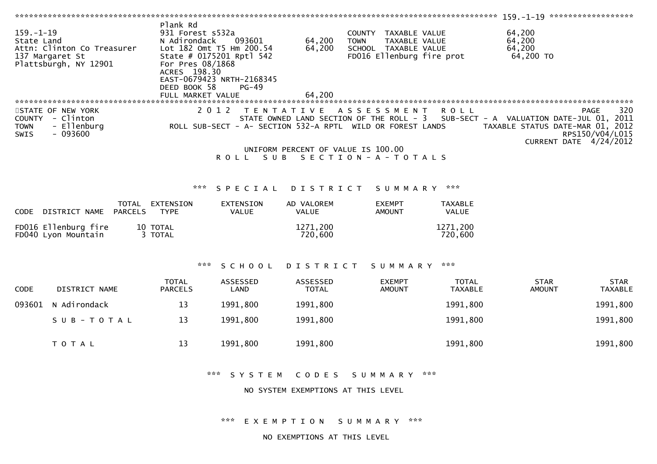|                 |                                 | Plank Rd                         |                           |                                    |                                                            |                |                                          |                 |
|-----------------|---------------------------------|----------------------------------|---------------------------|------------------------------------|------------------------------------------------------------|----------------|------------------------------------------|-----------------|
| $159. - 1 - 19$ |                                 | 931 Forest s532a                 |                           |                                    | COUNTY TAXABLE VALUE                                       |                | 64,200                                   |                 |
| State Land      |                                 | N Adirondack                     | 093601                    | 64,200                             | TAXABLE VALUE<br><b>TOWN</b>                               |                | 64,200                                   |                 |
|                 | Attn: Clinton Co Treasurer      |                                  | Lot 182 Omt T5 Hm 200.54  | 64,200                             | SCHOOL TAXABLE VALUE                                       |                | 64,200                                   |                 |
|                 | 137 Margaret St                 |                                  | State # 0175201 Rptl 542  |                                    | FD016 Ellenburg fire prot                                  |                | 64,200 TO                                |                 |
|                 | Plattsburgh, NY 12901           | For Pres 08/1868<br>ACRES 198.30 |                           |                                    |                                                            |                |                                          |                 |
|                 |                                 |                                  | EAST-0679423 NRTH-2168345 |                                    |                                                            |                |                                          |                 |
|                 |                                 | DEED BOOK 58                     | $PG-49$                   |                                    |                                                            |                |                                          |                 |
|                 |                                 | FULL MARKET VALUE                |                           | 64,200                             |                                                            |                |                                          |                 |
|                 |                                 |                                  |                           |                                    |                                                            |                |                                          |                 |
|                 | STATE OF NEW YORK               |                                  |                           |                                    | 2012 TENTATIVE ASSESSMENT                                  | <b>ROLL</b>    |                                          | 320<br>PAGE     |
| <b>COUNTY</b>   | - Clinton                       |                                  |                           |                                    | STATE OWNED LAND SECTION OF THE ROLL - 3                   |                | SUB-SECT - A VALUATION DATE-JUL 01, 2011 |                 |
| <b>TOWN</b>     | - Ellenburg                     |                                  |                           |                                    | ROLL SUB-SECT - A- SECTION 532-A RPTL WILD OR FOREST LANDS |                | TAXABLE STATUS DATE-MAR 01, 2012         |                 |
| SWIS            | $-093600$                       |                                  |                           |                                    |                                                            |                |                                          | RPS150/V04/L015 |
|                 |                                 |                                  |                           |                                    |                                                            |                | CURRENT DATE 4/24/2012                   |                 |
|                 |                                 |                                  |                           | UNIFORM PERCENT OF VALUE IS 100.00 |                                                            |                |                                          |                 |
|                 |                                 |                                  | SUB<br><b>ROLL</b>        |                                    | SECTION - A - TOTALS                                       |                |                                          |                 |
|                 |                                 |                                  |                           |                                    |                                                            |                |                                          |                 |
|                 |                                 |                                  |                           |                                    |                                                            |                |                                          |                 |
|                 |                                 | ***                              | SPECIAL DISTRICT          |                                    | SUMMARY                                                    | ***            |                                          |                 |
|                 | TOTAL                           | EXTENSION                        | <b>EXTENSION</b>          | AD VALOREM                         | <b>EXEMPT</b>                                              | <b>TAXABLE</b> |                                          |                 |
| CODE            | <b>PARCELS</b><br>DISTRICT NAME | <b>TYPE</b>                      | <b>VALUE</b>              | <b>VALUE</b>                       | <b>AMOUNT</b>                                              | VALUE          |                                          |                 |
|                 |                                 |                                  |                           |                                    |                                                            |                |                                          |                 |
|                 | FD016 Ellenburg fire            | 10 TOTAL                         |                           | 1271,200                           |                                                            | 1271,200       |                                          |                 |
|                 | FD040 Lyon Mountain             | 3 TOTAL                          |                           | 720,600                            |                                                            | 720,600        |                                          |                 |
|                 |                                 |                                  |                           |                                    |                                                            |                |                                          |                 |
|                 |                                 |                                  |                           |                                    |                                                            |                |                                          |                 |
|                 |                                 |                                  |                           |                                    |                                                            |                |                                          |                 |
|                 |                                 | ***                              | SCHOOL                    | DISTRICT                           | SUMMARY                                                    | ***            |                                          |                 |
|                 |                                 | <b>TOTAL</b>                     | <b>ASSESSED</b>           | ASSESSED                           | <b>EXEMPT</b>                                              | <b>TOTAL</b>   | <b>STAR</b>                              | <b>STAR</b>     |
| CODE            | DISTRICT NAME                   | <b>PARCELS</b>                   | LAND                      | <b>TOTAL</b>                       | <b>AMOUNT</b>                                              | <b>TAXABLE</b> | <b>AMOUNT</b>                            | <b>TAXABLE</b>  |
| 093601          | N Adirondack                    | 13                               | 1991,800                  | 1991,800                           |                                                            | 1991,800       |                                          | 1991,800        |
|                 |                                 |                                  |                           |                                    |                                                            |                |                                          |                 |
|                 | SUB-TOTAL                       | 13                               | 1991,800                  | 1991,800                           |                                                            | 1991,800       |                                          | 1991,800        |
|                 |                                 |                                  |                           |                                    |                                                            |                |                                          |                 |
|                 |                                 |                                  |                           |                                    |                                                            |                |                                          |                 |
|                 | TOTAL                           | 13                               | 1991,800                  | 1991,800                           |                                                            | 1991,800       |                                          | 1991,800        |
|                 |                                 |                                  |                           |                                    |                                                            |                |                                          |                 |

\*\*\* S Y S T E M C O D E S S U M M A R Y \*\*\*

NO SYSTEM EXEMPTIONS AT THIS LEVEL

\*\*\* E X E M P T I O N S U M M A R Y \*\*\*

NO EXEMPTIONS AT THIS LEVEL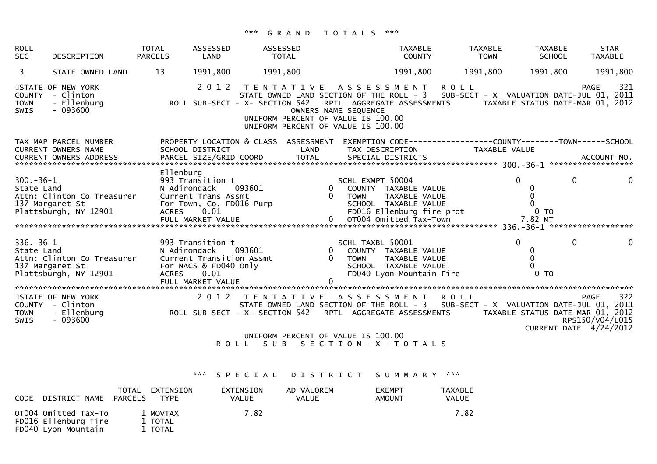### \*\*\* G R A N D T O T A L S \*\*\*

| <b>ROLL</b><br><b>SEC</b>     | DESCRIPTION                                                                               | <b>TOTAL</b><br><b>PARCELS</b> | ASSESSED<br>LAND                                                                                                             | ASSESSED<br>TOTAL                                                                                                                                                                                                                                                                   |          |                            | <b>TAXABLE</b><br><b>COUNTY</b>                                                             | <b>TAXABLE</b><br><b>TOWN</b>                                           | <b>TAXABLE</b><br><b>SCHOOL</b>                                                | <b>STAR</b><br>TAXABLE                                   |                |
|-------------------------------|-------------------------------------------------------------------------------------------|--------------------------------|------------------------------------------------------------------------------------------------------------------------------|-------------------------------------------------------------------------------------------------------------------------------------------------------------------------------------------------------------------------------------------------------------------------------------|----------|----------------------------|---------------------------------------------------------------------------------------------|-------------------------------------------------------------------------|--------------------------------------------------------------------------------|----------------------------------------------------------|----------------|
| $\overline{3}$                | STATE OWNED LAND                                                                          | 13                             | 1991,800                                                                                                                     | 1991,800                                                                                                                                                                                                                                                                            |          |                            | 1991,800                                                                                    | 1991,800                                                                | 1991,800                                                                       | 1991,800                                                 |                |
| <b>TOWN</b><br>SWIS           | STATE OF NEW YORK<br>COUNTY - Clinton<br>- Ellenburg<br>$-093600$                         |                                | 2 0 1 2                                                                                                                      | TENTATIVE ASSESSMENT<br>STATE OWNED LAND SECTION OF THE ROLL - 3 SUB-SECT - X VALUATION DATE-JUL 01, 2011<br>ROLL SUB-SECT - X- SECTION 542 RPTL AGGREGATE ASSESSMENTS TAXABLE STATUS DATE-MAR 01, 2012<br>UNIFORM PERCENT OF VALUE IS 100.00<br>UNIFORM PERCENT OF VALUE IS 100.00 |          | OWNERS NAME SEQUENCE       |                                                                                             | <b>ROLL</b>                                                             |                                                                                | 321<br>PAGE                                              |                |
|                               | TAX MAP PARCEL NUMBER<br>CURRENT OWNERS NAME                                              |                                | SCHOOL DISTRICT                                                                                                              | PROPERTY LOCATION & CLASS ASSESSMENT<br>LAND                                                                                                                                                                                                                                        |          |                            | TAX DESCRIPTION                                                                             | EXEMPTION CODE-----------------COUNTY--------TOWN------SCHOOL           | TAXABLE VALUE                                                                  |                                                          |                |
| $300 - 36 - 1$<br>State Land  | Attn: Clinton Co Treasurer<br>137 Margaret St<br>137 Margaret St<br>Plattsburgh, NY 12901 |                                |                                                                                                                              | CONTRACT CONTRACT CONTRACT CONTRACT CONTRACT CONTRACT CONTRACT CONTRACT CONTRACT CONTRACT CONTRACT CONTRACT CONTRACT CONTRACT CONTRACT CONTRACT CONTRACT CONTRACT CONTRACT CONTRACT CONTRACT CONTRACT CONTRACT CONTRACT CONTRA                                                      |          |                            |                                                                                             | IUWN TAXABLE VALUE<br>SCHOOL TAXABLE VALUE<br>FDO16 Ellenburg fire prot | $\Omega$<br>$\overline{0}$<br>$\mathbf 0$<br>$\overline{0}$<br>0 TO<br>7.82 MT | $\mathbf{0}$                                             |                |
| $336. - 36 - 1$<br>State Land | Attn: Clinton Co Treasurer<br>137 Margaret St<br>Plattsburgh, NY 12901                    | ACRES                          | 993 Transition t<br>N Adirondack    093601<br>Current Transition Assmt<br>For NACS & FD040 Only<br>0.01<br>FULL MARKET VALUE |                                                                                                                                                                                                                                                                                     | $\Omega$ | SCHL TAXBL 50001<br>0 TOWN | 0 COUNTY TAXABLE VALUE<br>TAXABLE VALUE<br>SCHOOL TAXABLE VALUE<br>FD040 Lyon Mountain Fire |                                                                         | $\overline{0}$<br>$\bf{0}$<br>$\Omega$<br>0 <sub>T</sub>                       | $\Omega$                                                 | $\overline{0}$ |
| SWIS                          | STATE OF NEW YORK<br>$-093600$                                                            |                                |                                                                                                                              | 2012 TENTATIVE ASSESSMENT ROLL<br>UNIFORM PERCENT OF VALUE IS 100.00                                                                                                                                                                                                                |          |                            |                                                                                             |                                                                         |                                                                                | 322<br>PAGE<br>RPS150/V04/L015<br>CURRENT DATE 4/24/2012 |                |
|                               |                                                                                           |                                |                                                                                                                              | ROLL SUB SECTION-X-TOTALS                                                                                                                                                                                                                                                           |          |                            |                                                                                             |                                                                         |                                                                                |                                                          |                |

\*\*\* S P E C I A L D I S T R I C T S U M M A R Y \*\*\*

| DISTRICT NAME<br><b>CODE</b>                                        | TOTAL<br>EXTENSION<br>PARCELS<br><b>TYPE</b> | EXTENSION<br>VALUE | AD VALOREM<br><b>VALUE</b> | <b>EXEMPT</b><br><b>AMOUNT</b> | TAXABLE<br>VALUE |
|---------------------------------------------------------------------|----------------------------------------------|--------------------|----------------------------|--------------------------------|------------------|
| OT004 Omitted Tax-To<br>FD016 Ellenburg fire<br>FD040 Lyon Mountain | 1 MOVTAX<br>1 TOTAL<br>1 TOTAL               | 7.82               |                            |                                | 7.82             |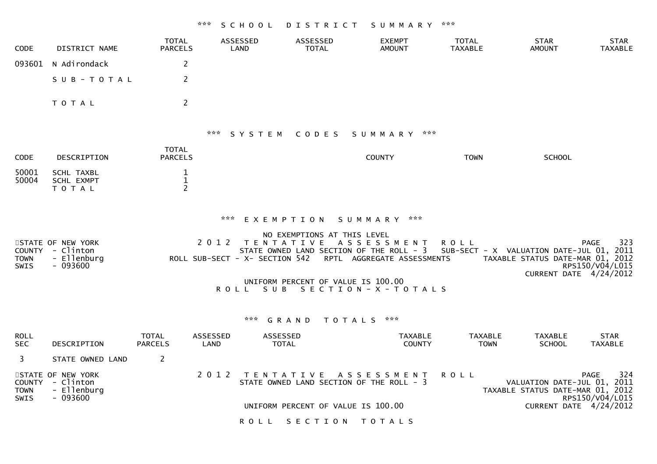# \*\*\* S C H O O L D I S T R I C T S U M M A R Y \*\*\*

| <b>CODE</b>                                 | <b>DISTRICT NAME</b>                                              | <b>TOTAL</b><br><b>PARCELS</b>                |                  | ASSESSED<br>LAND                                                                                                                                                                  | ASSESSED<br><b>TOTAL</b>    | <b>EXEMPT</b><br><b>AMOUNT</b>                     | <b>TOTAL</b><br><b>TAXABLE</b>                          | <b>STAR</b><br><b>AMOUNT</b>                                    | <b>STAR</b><br><b>TAXABLE</b>         |
|---------------------------------------------|-------------------------------------------------------------------|-----------------------------------------------|------------------|-----------------------------------------------------------------------------------------------------------------------------------------------------------------------------------|-----------------------------|----------------------------------------------------|---------------------------------------------------------|-----------------------------------------------------------------|---------------------------------------|
| 093601                                      | N Adirondack                                                      | 2                                             |                  |                                                                                                                                                                                   |                             |                                                    |                                                         |                                                                 |                                       |
|                                             | SUB-TOTAL                                                         | $\overline{2}$                                |                  |                                                                                                                                                                                   |                             |                                                    |                                                         |                                                                 |                                       |
|                                             | T O T A L                                                         | $\overline{2}$                                |                  |                                                                                                                                                                                   |                             |                                                    |                                                         |                                                                 |                                       |
|                                             |                                                                   |                                               |                  | *** SYSTEM CODES                                                                                                                                                                  |                             | SUMMARY ***                                        |                                                         |                                                                 |                                       |
| CODE                                        | DESCRIPTION                                                       | <b>TOTAL</b><br><b>PARCELS</b>                |                  |                                                                                                                                                                                   |                             | <b>COUNTY</b>                                      | <b>TOWN</b>                                             | <b>SCHOOL</b>                                                   |                                       |
| 50001<br>50004                              | <b>SCHL TAXBL</b><br>SCHL EXMPT<br>TOTAL                          | $\mathbf 1$<br>$\mathbf{1}$<br>$\overline{2}$ |                  |                                                                                                                                                                                   |                             |                                                    |                                                         |                                                                 |                                       |
| <b>TOWN</b><br><b>SWIS</b>                  | STATE OF NEW YORK<br>COUNTY - Clinton<br>- Ellenburg<br>$-093600$ |                                               | 2 0 1 2          | *** EXEMPTION SUMMARY ***<br>TENTATIVE ASSESSMENT<br>STATE OWNED LAND SECTION OF THE ROLL - 3<br>ROLL SUB-SECT - X- SECTION 542<br>UNIFORM PERCENT OF VALUE IS 100.00<br>ROLL SUB | NO EXEMPTIONS AT THIS LEVEL | RPTL AGGREGATE ASSESSMENTS<br>SECTION - X - TOTALS | <b>ROLL</b><br>SUB-SECT - X VALUATION DATE-JUL 01, 2011 | TAXABLE STATUS DATE-MAR 01, 2012<br>CURRENT DATE 4/24/2012      | <b>PAGE</b><br>323<br>RPS150/V04/L015 |
|                                             |                                                                   |                                               |                  | *** <b>GRAND</b>                                                                                                                                                                  | TOTALS ***                  |                                                    |                                                         |                                                                 |                                       |
| <b>ROLL</b><br><b>SEC</b>                   | DESCRIPTION                                                       | <b>TOTAL</b><br><b>PARCELS</b>                | ASSESSED<br>LAND | ASSESSED<br><b>TOTAL</b>                                                                                                                                                          |                             | <b>TAXABLE</b><br><b>COUNTY</b>                    | <b>TAXABLE</b><br><b>TOWN</b>                           | <b>TAXABLE</b><br><b>SCHOOL</b>                                 | <b>STAR</b><br><b>TAXABLE</b>         |
| 3                                           | STATE OWNED LAND                                                  | $\overline{2}$                                |                  |                                                                                                                                                                                   |                             |                                                    |                                                         |                                                                 |                                       |
| <b>COUNTY</b><br><b>TOWN</b><br><b>SWIS</b> | STATE OF NEW YORK<br>- Clinton<br>- Ellenburg<br>- 093600         |                                               | 2 0 1 2          | TENTATIVE ASSESSMENT<br>STATE OWNED LAND SECTION OF THE ROLL - 3                                                                                                                  |                             |                                                    | <b>ROLL</b>                                             | VALUATION DATE-JUL 01, 2011<br>TAXABLE STATUS DATE-MAR 01, 2012 | 324<br><b>PAGE</b><br>RPS150/V04/L015 |
|                                             |                                                                   |                                               |                  | UNIFORM PERCENT OF VALUE IS 100.00                                                                                                                                                |                             |                                                    |                                                         | CURRENT DATE 4/24/2012                                          |                                       |
|                                             |                                                                   |                                               |                  | <b>ROLL</b>                                                                                                                                                                       | SECTION TOTALS              |                                                    |                                                         |                                                                 |                                       |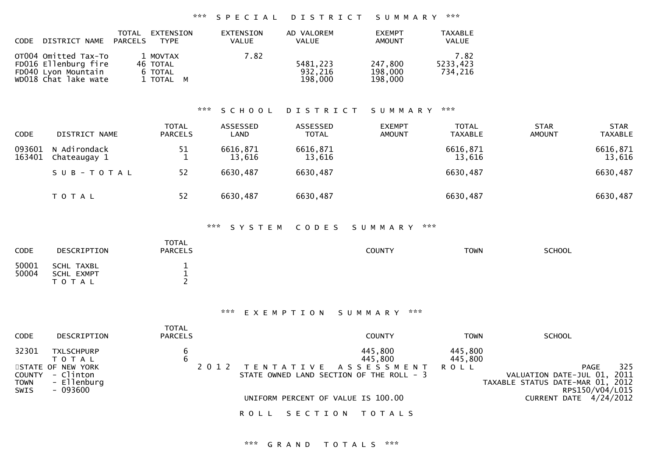| <b>CODE</b> | DISTRICT NAME                                                                               | TOTAL<br>PARCELS | EXTENSION<br><b>TYPE</b>                     | EXTENSION<br>VALUE | AD VALOREM<br><b>VALUE</b>     | <b>EXEMPT</b><br><b>AMOUNT</b> | TAXABLE<br><b>VALUE</b>     |
|-------------|---------------------------------------------------------------------------------------------|------------------|----------------------------------------------|--------------------|--------------------------------|--------------------------------|-----------------------------|
|             | OT004 Omitted Tax-To<br>FD016 Ellenburg fire<br>FD040 Lyon Mountain<br>WD018 Chat lake wate |                  | 1 MOVTAX<br>46 TOTAL<br>6 TOTAL<br>1 TOTAL M | 7.82               | 5481,223<br>932,216<br>198,000 | 247,800<br>198,000<br>198,000  | 7.82<br>5233,423<br>734,216 |

### \*\*\* S C H O O L D I S T R I C T S U M M A R Y \*\*\*

| <b>CODE</b>      | DISTRICT NAME                | <b>TOTAL</b><br><b>PARCELS</b> | ASSESSED<br>LAND   | ASSESSED<br><b>TOTAL</b> | <b>EXEMPT</b><br><b>AMOUNT</b> | <b>TOTAL</b><br><b>TAXABLE</b> | <b>STAR</b><br><b>AMOUNT</b> | <b>STAR</b><br><b>TAXABLE</b> |
|------------------|------------------------------|--------------------------------|--------------------|--------------------------|--------------------------------|--------------------------------|------------------------------|-------------------------------|
| 093601<br>163401 | N Adirondack<br>Chateaugay 1 | 51                             | 6616,871<br>13,616 | 6616,871<br>13,616       |                                | 6616,871<br>13,616             |                              | 6616,871<br>13,616            |
|                  | SUB-TOTAL                    | 52                             | 6630,487           | 6630,487                 |                                | 6630,487                       |                              | 6630,487                      |
|                  | T O T A L                    | 52                             | 6630,487           | 6630,487                 |                                | 6630,487                       |                              | 6630,487                      |

#### \*\*\* S Y S T E M C O D E S S U M M A R Y \*\*\*

| CODE           | DESCRIPTION                                  | <b>TOTAL</b><br><b>PARCELS</b> | COUNTY | <b>TOWN</b> | <b>SCHOOL</b> |
|----------------|----------------------------------------------|--------------------------------|--------|-------------|---------------|
| 50001<br>50004 | <b>SCHL TAXBL</b><br>SCHL EXMPT<br>T O T A L |                                |        |             |               |

#### \*\*\* E X E M P T I O N S U M M A R Y \*\*\*

| <b>CODE</b>                                   | DESCRIPTION                                                                                 | TOTAL<br><b>PARCELS</b> | <b>COUNTY</b>                                                                                              | <b>TOWN</b>                | <b>SCHOOL</b>                                                                                        |
|-----------------------------------------------|---------------------------------------------------------------------------------------------|-------------------------|------------------------------------------------------------------------------------------------------------|----------------------------|------------------------------------------------------------------------------------------------------|
| 32301<br><b>COUNTY</b><br><b>TOWN</b><br>SWIS | <b>TXLSCHPURP</b><br>T O T A L<br>STATE OF NEW YORK<br>- Clinton<br>- Ellenburg<br>- 093600 | 6                       | 445,800<br>445,800<br>A S S E S S M E N T<br>T E N T A T I V E<br>STATE OWNED LAND SECTION OF THE ROLL - 3 | 445,800<br>445,800<br>ROLL | 325<br>PAGE<br>2011<br>VALUATION DATE-JUL 01,<br>TAXABLE STATUS DATE-MAR 01, 2012<br>RPS150/V04/L015 |
|                                               |                                                                                             |                         | UNIFORM PERCENT OF VALUE IS 100.00                                                                         |                            | CURRENT DATE 4/24/2012                                                                               |
|                                               |                                                                                             |                         | R O L L<br>SECTION<br>T O T A L S                                                                          |                            |                                                                                                      |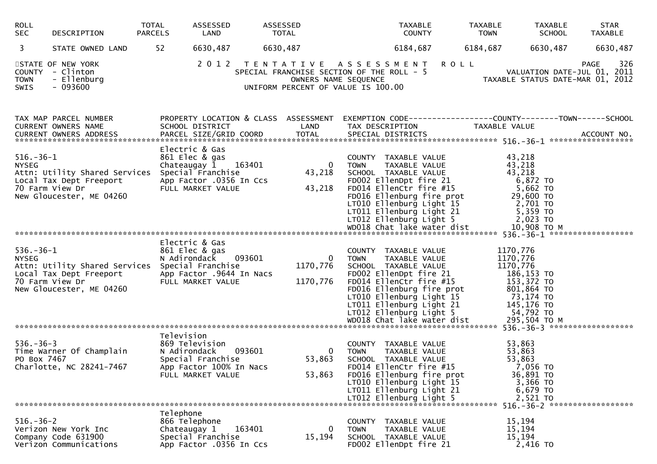| <b>ROLL</b><br><b>SEC</b>            | DESCRIPTION                                                                                                               | TOTAL<br><b>PARCELS</b> | ASSESSED<br>LAND                                                                                                             | ASSESSED<br>TOTAL                    | TAXABLE<br><b>COUNTY</b>                                                                                                                                                                                                                                                                                    |             | TAXABLE<br><b>TOWN</b>                                      | <b>TAXABLE</b><br><b>SCHOOL</b>                                                      | <b>STAR</b><br><b>TAXABLE</b>                                                         |
|--------------------------------------|---------------------------------------------------------------------------------------------------------------------------|-------------------------|------------------------------------------------------------------------------------------------------------------------------|--------------------------------------|-------------------------------------------------------------------------------------------------------------------------------------------------------------------------------------------------------------------------------------------------------------------------------------------------------------|-------------|-------------------------------------------------------------|--------------------------------------------------------------------------------------|---------------------------------------------------------------------------------------|
| 3                                    | STATE OWNED LAND                                                                                                          | 52                      | 6630,487                                                                                                                     | 6630,487                             | 6184,687                                                                                                                                                                                                                                                                                                    |             | 6184,687                                                    | 6630,487                                                                             | 6630,487                                                                              |
| COUNTY<br><b>TOWN</b><br><b>SWIS</b> | STATE OF NEW YORK<br>- Clinton<br>- Ellenburg<br>$-093600$                                                                |                         | 2 0 1 2                                                                                                                      | OWNERS NAME SEQUENCE                 | TENTATIVE ASSESSMENT<br>SPECIAL FRANCHISE SECTION OF THE ROLL - 5<br>UNIFORM PERCENT OF VALUE IS 100.00                                                                                                                                                                                                     | <b>ROLL</b> |                                                             |                                                                                      | 326<br><b>PAGE</b><br>VALUATION DATE-JUL 01, 2011<br>TAXABLE STATUS DATE-MAR 01, 2012 |
|                                      | TAX MAP PARCEL NUMBER<br>CURRENT OWNERS NAME<br>CURRENT OWNERS ADDRESS                                                    |                         | PROPERTY LOCATION & CLASS ASSESSMENT<br>SCHOOL DISTRICT<br>PARCEL SIZE/GRID COORD                                            | LAND<br><b>TOTAL</b>                 | EXEMPTION CODE-----------------COUNTY-------TOWN------SCHOOL<br>TAX DESCRIPTION<br>SPECIAL DISTRICTS                                                                                                                                                                                                        |             | TAXABLE VALUE                                               |                                                                                      | ACCOUNT NO.                                                                           |
| $516.-36-1$<br><b>NYSEG</b>          | Attn: Utility Shared Services<br>Local Tax Dept Freeport<br>70 Farm View Dr<br>New Gloucester, ME 04260                   |                         | Electric & Gas<br>861 Elec & gas<br>Chateaugay 1 163401<br>Special Franchise<br>App Factor .0356 In Ccs<br>FULL MARKET VALUE | $\overline{0}$<br>43,218<br>43,218   | COUNTY TAXABLE VALUE<br><b>TOWN</b><br>TAXABLE VALUE<br>SCHOOL TAXABLE VALUE<br>FD002 EllenDpt fire 21<br>FD014 EllenCtr fire #15<br>FD016 Ellenburg fire prot<br>LT010 Ellenburg Light 15<br>LT011 Ellenburg Light 21<br>LTO12 Ellenburg Light 21<br>WDO18 Chat lake world 5<br>WD018 Chat lake water dist |             | 43,218<br>43,218<br>43,218                                  | 6,872 TO<br>5,662 TO<br>29,600 TO<br>2,701 TO<br>5,359 TO<br>2,023 TO<br>10,908 ТО М |                                                                                       |
|                                      |                                                                                                                           |                         |                                                                                                                              |                                      |                                                                                                                                                                                                                                                                                                             |             |                                                             |                                                                                      |                                                                                       |
| $536.-36-1$<br><b>NYSEG</b>          | Attn: Utility Shared Services Special Franchise<br>Local Tax Dept Freeport<br>70 Farm View Dr<br>New Gloucester, ME 04260 |                         | Electric & Gas<br>861 Elec & gas<br>N Adirondack 093601<br>App Factor .9644 In Nacs<br>FULL MARKET VALUE                     | $\mathbf{0}$<br>1170,776<br>1170,776 | COUNTY TAXABLE VALUE<br><b>TOWN</b><br>TAXABLE VALUE<br>SCHOOL TAXABLE VALUE<br>FD002 EllenDpt fire 21<br>FD014 EllenCtr fire #15<br>FD016 Ellenburg fire prot<br>LT010 Ellenburg Light 15<br>LT011 Ellenburg Light 21<br>LT012 Ellenburg Light 5                                                           |             | 1170,776<br>1170,776<br>1170,776<br>186,153 TO<br>54,792 TO | 153,372 TO<br>801,864 TO<br>73,174 TO<br>145,176 TO                                  |                                                                                       |
|                                      |                                                                                                                           | Television              |                                                                                                                              |                                      |                                                                                                                                                                                                                                                                                                             |             |                                                             |                                                                                      |                                                                                       |
| $536. - 36 - 3$<br>PO Box 7467       | Time Warner Of Champlain<br>Charlotte, NC 28241-7467                                                                      | N Adirondack            | 869 Television<br>093601<br>Special Franchise<br>App Factor 100% In Nacs<br>FULL MARKET VALUE                                | $\mathbf{0}$<br>53,863<br>53,863     | COUNTY TAXABLE VALUE<br>TAXABLE VALUE<br><b>TOWN</b><br>SCHOOL TAXABLE VALUE<br>FD014 EllenCtr fire #15<br>FD016 Ellenburg fire prot<br>LT010 Ellenburg Light 15<br>LT011 Ellenburg Light 21<br>LT012 Ellenburg Light 5                                                                                     |             | 53,863<br>53,863<br>53,863                                  | 7,056 TO<br>36,891 TO<br>3,366 TO<br>6,679 TO<br>2,521 TO                            |                                                                                       |
|                                      |                                                                                                                           | Telephone               |                                                                                                                              |                                      |                                                                                                                                                                                                                                                                                                             |             |                                                             |                                                                                      | 516. - 36 - 2 ********************                                                    |
| $516. - 36 - 2$                      | Verizon New York Inc<br>Company Code 631900<br>Verizon Communications                                                     | Chateaugay 1            | 866 Telephone<br>163401<br>Special Franchise<br>App Factor .0356 In Ccs                                                      | 0<br>15,194                          | COUNTY TAXABLE VALUE<br><b>TOWN</b><br>TAXABLE VALUE<br>SCHOOL TAXABLE VALUE<br>FD002 EllenDpt fire 21                                                                                                                                                                                                      |             | 15,194<br>15,194<br>15,194                                  | 2,416 TO                                                                             |                                                                                       |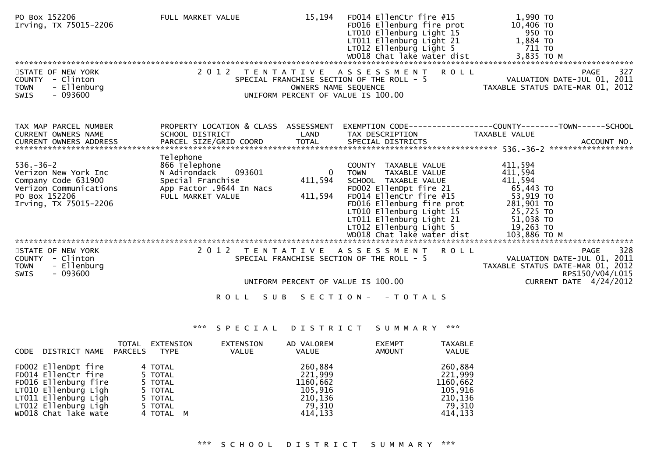| PO Box 152206<br>Irving, TX 75015-2206                                                          | FULL MARKET VALUE                             | 15,194               | FD014 EllenCtr fire #15<br>FD016 Ellenburg fire prot<br>LT010 Ellenburg Light 15<br>LT011 Ellenburg Light 21<br>LT012 Ellenburg Light 5 | 1,990 TO<br>10,406 TO<br>950 TO<br>1,884 TO<br>711 TO                                            |
|-------------------------------------------------------------------------------------------------|-----------------------------------------------|----------------------|-----------------------------------------------------------------------------------------------------------------------------------------|--------------------------------------------------------------------------------------------------|
|                                                                                                 |                                               |                      |                                                                                                                                         |                                                                                                  |
| STATE OF NEW YORK<br>COUNTY - Clinton<br>- Ellenburg<br><b>TOWN</b><br>$-093600$<br><b>SWIS</b> |                                               | OWNERS NAME SEQUENCE | 2012 TENTATIVE ASSESSMENT<br><b>ROLL</b><br>SPECIAL FRANCHISE SECTION OF THE ROLL - 5<br>UNIFORM PERCENT OF VALUE IS 100.00             | 327<br><b>PAGE</b><br>VALUATION DATE-JUL 01, 2011<br>TAXABLE STATUS DATE-MAR 01, 2012            |
| TAX MAP PARCEL NUMBER                                                                           |                                               |                      |                                                                                                                                         | PROPERTY LOCATION & CLASS ASSESSMENT EXEMPTION CODE----------------COUNTY-------TOWN------SCHOOL |
| CURRENT OWNERS NAME                                                                             | SCHOOL DISTRICT                               | LAND                 | TAX DESCRIPTION                                                                                                                         | TAXABLE VALUE                                                                                    |
|                                                                                                 |                                               |                      |                                                                                                                                         |                                                                                                  |
|                                                                                                 | Telephone                                     |                      |                                                                                                                                         |                                                                                                  |
| $536. - 36 - 2$                                                                                 | 866 Telephone                                 |                      | COUNTY TAXABLE VALUE                                                                                                                    | 411,594                                                                                          |
| Verizon New York Inc                                                                            | N Adirondack<br>093601                        | $\Omega$             | TAXABLE VALUE<br><b>TOWN</b>                                                                                                            | 411,594                                                                                          |
| Company Code 631900<br>Verizon Communications                                                   | Special Franchise<br>App Factor .9644 In Nacs | 411,594              | SCHOOL TAXABLE VALUE<br>FD002 EllenDpt fire 21                                                                                          | 411,594<br>65,443 TO                                                                             |
| PO Box 152206                                                                                   | FULL MARKET VALUE                             | 411,594              | FD014 EllenCtr fire #15                                                                                                                 | 53,919 TO                                                                                        |
| Irving, TX 75015-2206                                                                           |                                               |                      | FD016 Ellenburg fire prot                                                                                                               | 281,901 TO                                                                                       |
|                                                                                                 |                                               |                      | LT010 Ellenburg Light 15                                                                                                                | 25,725 TO                                                                                        |
|                                                                                                 |                                               |                      | LT011 Ellenburg Light 21                                                                                                                | 51,038 TO                                                                                        |
|                                                                                                 |                                               |                      |                                                                                                                                         |                                                                                                  |
|                                                                                                 |                                               |                      |                                                                                                                                         |                                                                                                  |
| STATE OF NEW YORK                                                                               |                                               |                      | 2012 TENTATIVE ASSESSMENT<br><b>ROLL</b>                                                                                                | 328<br><b>PAGE</b>                                                                               |
| COUNTY - Clinton                                                                                |                                               |                      | SPECIAL FRANCHISE SECTION OF THE ROLL - 5                                                                                               | VALUATION DATE-JUL 01, 2011                                                                      |
| - Ellenburg<br><b>TOWN</b><br>$-093600$<br><b>SWIS</b>                                          |                                               |                      |                                                                                                                                         | TAXABLE STATUS DATE-MAR 01, 2012<br>RPS150/V04/L015                                              |
|                                                                                                 |                                               |                      | UNIFORM PERCENT OF VALUE IS 100.00                                                                                                      | CURRENT DATE 4/24/2012                                                                           |
|                                                                                                 | <b>ROLL</b>                                   | S U B                | SECTION - - TOTALS                                                                                                                      |                                                                                                  |
|                                                                                                 |                                               |                      |                                                                                                                                         |                                                                                                  |

| <b>CODE</b> | DISTRICT NAME PARCELS                                                                                                                                              | TOTAL | EXTENSION<br>TYPE                                                           | EXTENSION<br><b>VALUE</b> | AD VALOREM<br><b>VALUE</b>                                                | <b>EXEMPT</b><br>AMOUNT | <b>TAXABLE</b><br><b>VALUE</b>                                            |
|-------------|--------------------------------------------------------------------------------------------------------------------------------------------------------------------|-------|-----------------------------------------------------------------------------|---------------------------|---------------------------------------------------------------------------|-------------------------|---------------------------------------------------------------------------|
|             | FD002 EllenDpt fire<br>FD014 EllenCtr fire<br>FD016 Ellenburg fire<br>LT010 Ellenburg Ligh<br>LT011 Ellenburg Ligh<br>LT012 Ellenburg Ligh<br>WD018 Chat lake wate |       | 4 TOTAL<br>5 TOTAL<br>5 TOTAL<br>5 TOTAL<br>5 TOTAL<br>5 TOTAL<br>4 TOTAL M |                           | 260,884<br>221,999<br>1160,662<br>105,916<br>210.136<br>79.310<br>414,133 |                         | 260,884<br>221,999<br>1160,662<br>105,916<br>210,136<br>79,310<br>414,133 |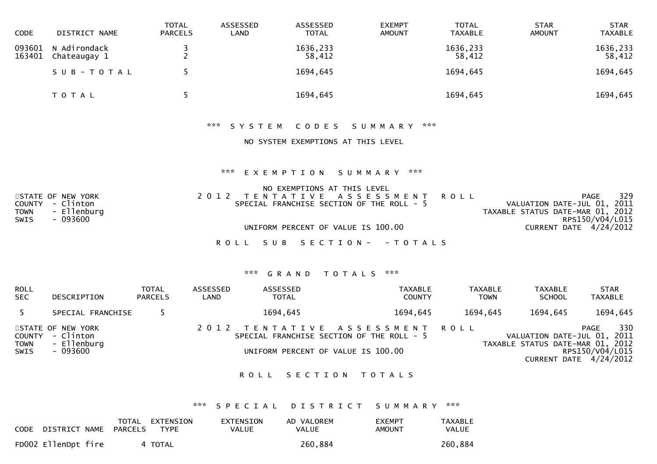| CODE             | DISTRICT NAME                | TOTAL<br><b>PARCELS</b> | ASSESSED<br>LAND | ASSESSED<br><b>TOTAL</b> | <b>EXEMPT</b><br><b>AMOUNT</b> | TOTAL<br><b>TAXABLE</b> | <b>STAR</b><br><b>AMOUNT</b> | <b>STAR</b><br><b>TAXABLE</b> |
|------------------|------------------------------|-------------------------|------------------|--------------------------|--------------------------------|-------------------------|------------------------------|-------------------------------|
| 093601<br>163401 | N Adirondack<br>Chateaugay 1 | <u>.</u>                |                  | 1636,233<br>58,412       |                                | 1636,233<br>58,412      |                              | 1636,233<br>58,412            |
|                  | SUB-TOTAL                    |                         |                  | 1694,645                 |                                | 1694,645                |                              | 1694,645                      |
|                  | T O T A L                    |                         |                  | 1694,645                 |                                | 1694,645                |                              | 1694,645                      |

### \*\*\* S Y S T E M C O D E S S U M M A R Y \*\*\*

#### NO SYSTEM EXEMPTIONS AT THIS LEVEL

#### \*\*\* E X E M P T I O N S U M M A R Y \*\*\*

|             |                   | NO EXEMPTIONS AT THIS LEVEL               |                                  |
|-------------|-------------------|-------------------------------------------|----------------------------------|
|             | STATE OF NEW YORK | 2012 TENTATIVE ASSESSMENT ROLL            | 329<br>PAGE                      |
|             | COUNTY - Clinton  | SPECIAL FRANCHISE SECTION OF THE ROLL - 5 | VALUATION DATE-JUL 01, 2011      |
| <b>TOWN</b> | - Ellenburg       |                                           | TAXABLE STATUS DATE-MAR 01, 2012 |
| SWIS        | - 093600          |                                           | RPS150/V04/L015                  |
|             |                   | UNIFORM PERCENT OF VALUE IS 100.00        | CURRENT DATE $4/24/2012$         |
|             |                   |                                           |                                  |

ROLL SUB SECTION - - TOTALS

#### \*\*\* G R A N D T O T A L S \*\*\*

| <b>ROLL</b><br><b>SEC</b> | DESCRIPTION                                                      | <b>TOTAL</b><br><b>PARCELS</b> | ASSESSED<br>LAND | ASSESSED<br><b>TOTAL</b>                                                                                          | <b>TAXABLE</b><br><b>COUNTY</b> | TAXABLE<br><b>TOWN</b> | TAXABLE<br><b>SCHOOL</b>                                        | <b>STAR</b><br>TAXABLE                                   |
|---------------------------|------------------------------------------------------------------|--------------------------------|------------------|-------------------------------------------------------------------------------------------------------------------|---------------------------------|------------------------|-----------------------------------------------------------------|----------------------------------------------------------|
| 5                         | SPECIAL FRANCHISE                                                |                                |                  | 1694,645                                                                                                          | 1694.645                        | 1694,645               | 1694,645                                                        | 1694,645                                                 |
| TOWN<br><b>SWIS</b>       | STATE OF NEW YORK<br>COUNTY - Clinton<br>- Ellenburg<br>- 093600 |                                |                  | 2012 TENTATIVE ASSESSMENT ROLL<br>SPECIAL FRANCHISE SECTION OF THE ROLL - 5<br>UNIFORM PERCENT OF VALUE IS 100.00 |                                 |                        | VALUATION DATE-JUL 01, 2011<br>TAXABLE STATUS DATE-MAR 01, 2012 | 330<br>PAGE<br>RPS150/V04/L015<br>CURRENT DATE 4/24/2012 |

#### ROLL SECTION TOTALS

### \*\*\* S P E C I A L D I S T R I C T S U M M A R Y \*\*\*

| CODE | DISTRICT NAME       | TOTAL<br>PARCELS | EXTENSION<br>TYPE | EXTENSION<br><b>VALUE</b> | AD VALOREM<br><b>VALUE</b> | <b>EXEMPT</b><br>AMOUNT | <b>TAXABLE</b><br>VALUE |
|------|---------------------|------------------|-------------------|---------------------------|----------------------------|-------------------------|-------------------------|
|      | FD002 EllenDpt fire |                  | 4 TOTAL           |                           | 260,884                    |                         | 260,884                 |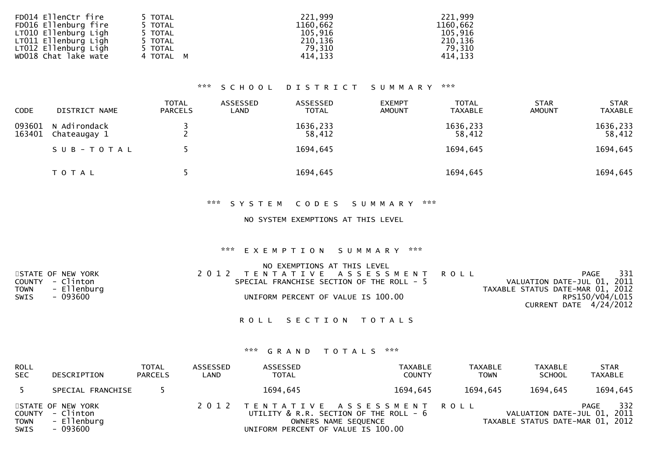| FD014 EllenCtr fire  | 5 TOTAL   | 221,999  | 221,999  |
|----------------------|-----------|----------|----------|
| FD016 Ellenburg fire | 5 TOTAL   | 1160,662 | 1160,662 |
| LT010 Ellenburg Ligh | 5 TOTAL   | 105.916  | 105,916  |
| LT011 Ellenburg Ligh | 5 TOTAL   | 210,136  | 210,136  |
| LT012 Ellenburg Ligh | 5 TOTAL   | 79,310   | 79,310   |
| WD018 Chat lake wate | 4 TOTAL M | 414.133  | 414,133  |

| <b>CODE</b>      | DISTRICT NAME                | <b>TOTAL</b><br><b>PARCELS</b> | ASSESSED<br>LAND | ASSESSED<br><b>TOTAL</b> | <b>EXEMPT</b><br><b>AMOUNT</b> | <b>TOTAL</b><br><b>TAXABLE</b> | <b>STAR</b><br><b>AMOUNT</b> | <b>STAR</b><br><b>TAXABLE</b> |
|------------------|------------------------------|--------------------------------|------------------|--------------------------|--------------------------------|--------------------------------|------------------------------|-------------------------------|
| 093601<br>163401 | N Adirondack<br>Chateaugay 1 |                                |                  | 1636,233<br>58,412       |                                | 1636,233<br>58,412             |                              | 1636,233<br>58,412            |
|                  | SUB-TOTAL                    |                                |                  | 1694,645                 |                                | 1694,645                       |                              | 1694,645                      |
|                  | T O T A L                    |                                |                  | 1694,645                 |                                | 1694,645                       |                              | 1694,645                      |

#### \*\*\* S Y S T E M C O D E S S U M M A R Y \*\*\*

#### NO SYSTEM EXEMPTIONS AT THIS LEVEL

### \*\*\* E X E M P T I O N S U M M A R Y \*\*\*

|                   | NO EXEMPTIONS AT THIS LEVEL               |                                  |       |
|-------------------|-------------------------------------------|----------------------------------|-------|
| STATE OF NEW YORK | 2012 TENTATIVE ASSESSMENT ROLL            | PAGE                             | - 331 |
| COUNTY - Clinton  | SPECIAL FRANCHISE SECTION OF THE ROLL - 5 | VALUATION DATE-JUL 01, 2011      |       |
| TOWN - Ellenburg  |                                           | TAXABLE STATUS DATE-MAR 01, 2012 |       |
| SWIS<br>- 093600  | UNIFORM PERCENT OF VALUE IS 100.00        | RPS150/V04/L015                  |       |
|                   |                                           | <b>CURRENT DATE 4/24/2012</b>    |       |
|                   |                                           |                                  |       |

### ROLL SECTION TOTALS

| ROLL<br><b>SEC</b>  | DESCRIPTION                                                      | <b>TOTAL</b><br><b>PARCELS</b> | ASSESSED<br>LAND | ASSESSED<br><b>TOTAL</b>           | TAXABLE<br><b>COUNTY</b>                                                                         | TAXABLE<br><b>TOWN</b> | <b>TAXABLE</b><br><b>SCHOOL</b>                                 | <b>STAR</b><br><b>TAXABLE</b> |
|---------------------|------------------------------------------------------------------|--------------------------------|------------------|------------------------------------|--------------------------------------------------------------------------------------------------|------------------------|-----------------------------------------------------------------|-------------------------------|
|                     | SPECIAL FRANCHISE                                                |                                |                  | 1694,645                           | 1694.645                                                                                         | 1694,645               | 1694,645                                                        | 1694,645                      |
| <b>TOWN</b><br>SWIS | STATE OF NEW YORK<br>COUNTY - Clinton<br>- Ellenburg<br>- 093600 |                                |                  | UNIFORM PERCENT OF VALUE IS 100.00 | 2012 TENTATIVE ASSESSMENT ROLL<br>UTILITY & R.R. SECTION OF THE ROLL - 6<br>OWNERS NAME SEQUENCE |                        | VALUATION DATE-JUL 01, 2011<br>TAXABLE STATUS DATE-MAR 01, 2012 | 332<br>PAGE                   |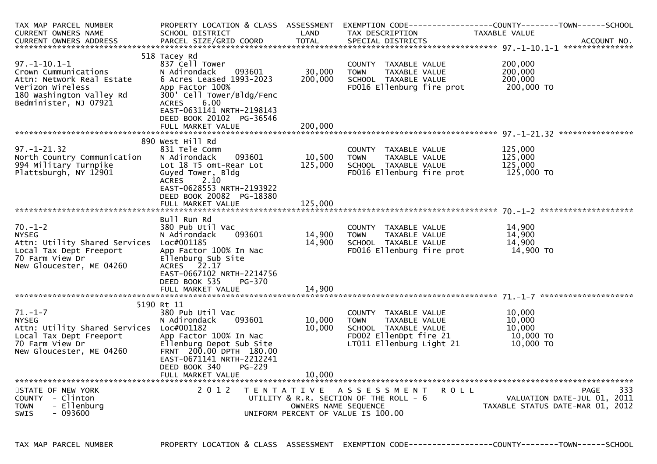| TAX MAP PARCEL NUMBER                             | PROPERTY LOCATION & CLASS ASSESSMENT     |                      |                                        | EXEMPTION        CODE-----------------COUNTY-------TOWN------SCHOOL |
|---------------------------------------------------|------------------------------------------|----------------------|----------------------------------------|---------------------------------------------------------------------|
| <b>CURRENT OWNERS NAME</b>                        | SCHOOL DISTRICT                          | LAND                 | TAX DESCRIPTION                        | TAXABLE VALUE                                                       |
| <b>CURRENT OWNERS ADDRESS</b>                     | PARCEL SIZE/GRID COORD                   | <b>TOTAL</b>         | SPECIAL DISTRICTS                      | ACCOUNT NO.                                                         |
|                                                   |                                          |                      |                                        |                                                                     |
| $97. - 1 - 10.1 - 1$                              | 518 Tacey Rd                             |                      |                                        | 200,000                                                             |
|                                                   | 837 Cell Tower<br>093601                 | 30,000               | COUNTY TAXABLE VALUE<br>TAXABLE VALUE  | 200,000                                                             |
| Crown Cummunications<br>Attn: Network Real Estate | N Adirondack<br>6 Acres Leased 1993-2023 | 200,000              | <b>TOWN</b><br>SCHOOL TAXABLE VALUE    | 200,000                                                             |
| Verizon Wireless                                  | App Factor 100%                          |                      | FD016 Ellenburg fire prot              | 200,000 TO                                                          |
| 180 Washington Valley Rd                          | 300' Cell Tower/Bldg/Fenc                |                      |                                        |                                                                     |
| Bedminister, NJ 07921                             | <b>ACRES</b><br>6.00                     |                      |                                        |                                                                     |
|                                                   | EAST-0631141 NRTH-2198143                |                      |                                        |                                                                     |
|                                                   | DEED BOOK 20102 PG-36546                 |                      |                                        |                                                                     |
|                                                   | FULL MARKET VALUE                        | 200,000              |                                        |                                                                     |
|                                                   |                                          |                      |                                        |                                                                     |
|                                                   | 890 West Hill Rd                         |                      |                                        |                                                                     |
| $97. - 1 - 21.32$                                 | 831 Tele Comm                            |                      | COUNTY TAXABLE VALUE                   | 125,000                                                             |
| North Country Communication                       | N Adirondack<br>093601                   | 10,500               | TAXABLE VALUE<br><b>TOWN</b>           | 125,000                                                             |
| 994 Military Turnpike                             | Lot 18 T5 omt-Rear Lot                   | 125,000              | SCHOOL TAXABLE VALUE                   | 125,000                                                             |
| Plattsburgh, NY 12901                             | Guyed Tower, Bldg                        |                      | FD016 Ellenburg fire prot              | 125,000 TO                                                          |
|                                                   | 2.10<br><b>ACRES</b>                     |                      |                                        |                                                                     |
|                                                   | EAST-0628553 NRTH-2193922                |                      |                                        |                                                                     |
|                                                   | DEED BOOK 20082 PG-18380                 |                      |                                        |                                                                     |
|                                                   | FULL MARKET VALUE                        | 125,000              |                                        |                                                                     |
|                                                   |                                          |                      |                                        |                                                                     |
|                                                   | Bull Run Rd                              |                      |                                        |                                                                     |
| $70. - 1 - 2$                                     | 380 Pub Util Vac                         |                      | COUNTY TAXABLE VALUE                   | 14,900                                                              |
| <b>NYSEG</b>                                      | N Adirondack<br>093601                   | 14,900               | <b>TOWN</b><br>TAXABLE VALUE           | 14,900                                                              |
| Attn: Utility Shared Services                     | Loc#001185                               | 14,900               | SCHOOL TAXABLE VALUE                   | 14,900                                                              |
| Local Tax Dept Freeport                           | App Factor 100% In Nac                   |                      | FD016 Ellenburg fire prot              | 14,900 TO                                                           |
| 70 Farm View Dr                                   | Ellenburg Sub Site                       |                      |                                        |                                                                     |
| New Gloucester, ME 04260                          | 22.17<br><b>ACRES</b>                    |                      |                                        |                                                                     |
|                                                   | EAST-0667102 NRTH-2214756                |                      |                                        |                                                                     |
|                                                   | DEED BOOK 535<br>PG-370                  |                      |                                        |                                                                     |
|                                                   | FULL MARKET VALUE                        | 14,900               |                                        |                                                                     |
|                                                   |                                          |                      |                                        |                                                                     |
| $71. - 1 - 7$                                     | 5190 Rt 11<br>380 Pub Util Vac           |                      | COUNTY TAXABLE VALUE                   | 10,000                                                              |
| <b>NYSEG</b>                                      | 093601<br>N Adirondack                   | 10,000               | TAXABLE VALUE<br><b>TOWN</b>           | 10,000                                                              |
| Attn: Utility Shared Services                     | Loc#001182                               | 10,000               | SCHOOL TAXABLE VALUE                   | 10,000                                                              |
| Local Tax Dept Freeport                           | App Factor 100% In Nac                   |                      | FD002 EllenDpt fire 21                 | 10,000 TO                                                           |
| 70 Farm View Dr                                   | Ellenburg Depot Sub Site                 |                      | LT011 Ellenburg Light 21               | 10,000 TO                                                           |
| New Gloucester, ME 04260                          | FRNT 200.00 DPTH 180.00                  |                      |                                        |                                                                     |
|                                                   | EAST-0671141 NRTH-2212241                |                      |                                        |                                                                     |
|                                                   | DEED BOOK 340<br>PG-229                  |                      |                                        |                                                                     |
|                                                   | FULL MARKET VALUE                        | 10.000               |                                        |                                                                     |
|                                                   |                                          |                      |                                        |                                                                     |
| STATE OF NEW YORK                                 | 2 0 1 2                                  |                      | TENTATIVE ASSESSMENT<br><b>ROLL</b>    | 333<br>PAGE                                                         |
| COUNTY - Clinton                                  |                                          |                      | UTILITY & R.R. SECTION OF THE ROLL - 6 | VALUATION DATE-JUL 01, 2011                                         |
| - Ellenburg<br><b>TOWN</b>                        |                                          | OWNERS NAME SEQUENCE |                                        | TAXABLE STATUS DATE-MAR 01, 2012                                    |
| - 093600<br><b>SWIS</b>                           |                                          |                      | UNIFORM PERCENT OF VALUE IS 100.00     |                                                                     |
|                                                   |                                          |                      |                                        |                                                                     |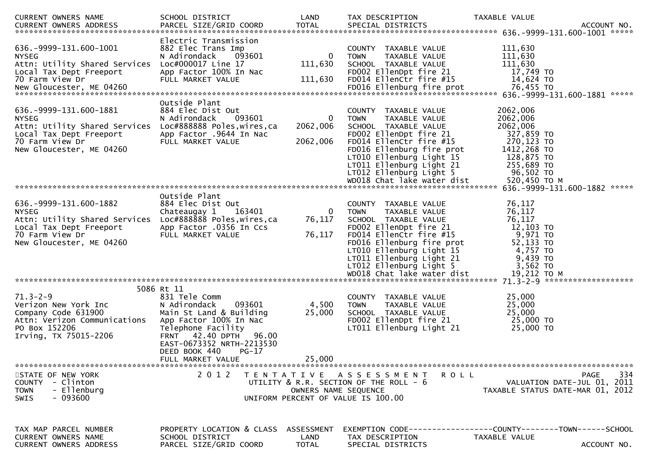| CURRENT OWNERS NAME                                                                                                                                      | SCHOOL DISTRICT                                                                                                                                                                                                                                   | LAND                        | TAX DESCRIPTION                                                                                                                                                                                                                                                                 | TAXABLE VALUE                                                                                                                        |
|----------------------------------------------------------------------------------------------------------------------------------------------------------|---------------------------------------------------------------------------------------------------------------------------------------------------------------------------------------------------------------------------------------------------|-----------------------------|---------------------------------------------------------------------------------------------------------------------------------------------------------------------------------------------------------------------------------------------------------------------------------|--------------------------------------------------------------------------------------------------------------------------------------|
| 636. -9999-131. 600-1001<br><b>NYSEG</b><br>Attn: Utility Shared Services<br>Local Tax Dept Freeport<br>70 Farm View Dr                                  | Electric Transmission<br>882 Elec Trans Imp<br>N Adirondack<br>093601<br>Loc#000017 Line 17<br>App Factor 100% In Nac<br>FULL MARKET VALUE                                                                                                        | 0<br>111,630<br>111,630     | COUNTY TAXABLE VALUE<br><b>TOWN</b><br>TAXABLE VALUE<br>SCHOOL TAXABLE VALUE<br>FD002 EllenDpt fire 21<br>FD014 EllenCtr fire #15                                                                                                                                               | 111,630<br>111,630<br>111,630<br>17,749 TO<br>14,624 TO                                                                              |
| 636. - 9999 - 131. 600 - 1881<br><b>NYSEG</b><br>Attn: Utility Shared Services<br>Local Tax Dept Freeport<br>70 Farm View Dr<br>New Gloucester, ME 04260 | Outside Plant<br>884 Elec Dist Out<br>093601<br>N Adirondack<br>Loc#888888 Poles, wires, ca<br>App Factor .9644 In Nac<br>FULL MARKET VALUE                                                                                                       | 0<br>2062,006<br>2062,006   | COUNTY TAXABLE VALUE<br>TAXABLE VALUE<br><b>TOWN</b><br>SCHOOL TAXABLE VALUE<br>FD002 EllenDpt fire 21<br>FD014 EllenCtr fire #15<br>FD016 Ellenburg fire prot<br>LT010 Ellenburg Light 15<br>LT011 Ellenburg Light 21<br>LT012 Ellenburg Light 5<br>WD018 Chat lake water dist | 2062,006<br>2062,006<br>2062,006<br>327,859 TO<br>270,123 TO<br>1412,268 TO<br>128,875 TO<br>255,689 TO<br>96,502 TO<br>520,450 ТО М |
|                                                                                                                                                          |                                                                                                                                                                                                                                                   |                             |                                                                                                                                                                                                                                                                                 | *****<br>636. - 9999 - 131. 600 - 1882                                                                                               |
| 636. - 9999 - 131. 600 - 1882<br><b>NYSEG</b><br>Attn: Utility Shared Services<br>Local Tax Dept Freeport<br>70 Farm View Dr<br>New Gloucester, ME 04260 | Outside Plant<br>884 Elec Dist Out<br>163401<br>Chateaugay 1<br>Loc#888888 Poles, wires, ca<br>App Factor .0356 In Ccs<br>FULL MARKET VALUE                                                                                                       | 0<br>76,117<br>76,117       | COUNTY TAXABLE VALUE<br>TAXABLE VALUE<br><b>TOWN</b><br>SCHOOL TAXABLE VALUE<br>FD002 EllenDpt fire 21<br>FD014 EllenCtr fire #15<br>FD016 Ellenburg fire prot<br>LT010 Ellenburg Light 15<br>LT011 Ellenburg Light 21<br>LT012 Ellenburg Light 5<br>WD018 Chat lake water dist | 76,117<br>76,117<br>76,117<br>$12,103$ TO<br>9,971 TO<br>52,133 TO<br>4,757 TO<br>9,439 TO<br>3,562 TO<br>19,212 TO M                |
| $71.3 - 2 - 9$<br>Verizon New York Inc<br>Company Code 631900<br>Attn: Verizon Communications<br>PO Box 152206<br>Irving, TX 75015-2206                  | 5086 Rt 11<br>831 Tele Comm<br>N Adirondack<br>093601<br>Main St Land & Building<br>App Factor 100% In Nac<br>Telephone Facility<br><b>FRNT</b> 42.40 DPTH<br>96.00<br>EAST-0673352 NRTH-2213530<br>DEED BOOK 440<br>$PG-17$<br>FULL MARKET VALUE | 4,500<br>25,000<br>25,000   | COUNTY TAXABLE VALUE<br><b>TOWN</b><br>TAXABLE VALUE<br>SCHOOL TAXABLE VALUE<br>FD002 EllenDpt fire 21<br>LT011 Ellenburg Light 21                                                                                                                                              | 25,000<br>25,000<br>25,000<br>25,000 TO<br>25,000 TO                                                                                 |
| STATE OF NEW YORK<br>COUNTY - Clinton<br>- Ellenburg<br><b>TOWN</b><br>- 093600<br>SWIS                                                                  | 2 0 1 2                                                                                                                                                                                                                                           | OWNERS NAME SEQUENCE        | <b>ROLL</b><br>TENTATIVE ASSESSMENT<br>UTILITY $\&$ R.R. SECTION OF THE ROLL - $6$<br>UNIFORM PERCENT OF VALUE IS 100.00                                                                                                                                                        | 334<br><b>PAGE</b><br>VALUATION DATE-JUL 01, 2011<br>TAXABLE STATUS DATE-MAR 01, 2012                                                |
| TAX MAP PARCEL NUMBER<br>CURRENT OWNERS NAME<br><b>CURRENT OWNERS ADDRESS</b>                                                                            | PROPERTY LOCATION & CLASS<br>SCHOOL DISTRICT<br>PARCEL SIZE/GRID COORD                                                                                                                                                                            | ASSESSMENT<br>LAND<br>TOTAL | TAX DESCRIPTION<br>SPECIAL DISTRICTS                                                                                                                                                                                                                                            | EXEMPTION        CODE------------------COUNTY-------TOWN------SCHOOL<br>TAXABLE VALUE<br>ACCOUNT NO.                                 |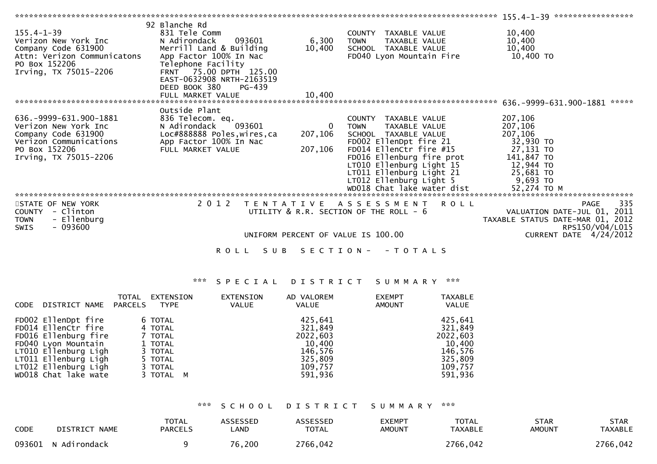|                               | 92 Blanche Rd                |             |                                                       |                                  |
|-------------------------------|------------------------------|-------------|-------------------------------------------------------|----------------------------------|
| $155.4 - 1 - 39$              | 831 Tele Comm                |             | TAXABLE VALUE<br>COUNTY                               | 10,400                           |
| Verizon New York Inc          | 093601<br>N Adirondack       | 6,300       | TAXABLE VALUE<br><b>TOWN</b>                          | 10,400                           |
| Company Code 631900           | Merrill Land & Building      | 10,400      | SCHOOL TAXABLE VALUE                                  | 10,400                           |
| Attn: Verizon Communicatons   | App Factor 100% In Nac       |             | FD040 Lyon Mountain Fire                              | 10,400 TO                        |
| PO Box 152206                 | Telephone Facility           |             |                                                       |                                  |
| Irving, TX 75015-2206         | FRNT 75.00 DPTH 125.00       |             |                                                       |                                  |
|                               | EAST-0632908 NRTH-2163519    |             |                                                       |                                  |
|                               | DEED BOOK 380<br>PG-439      |             |                                                       |                                  |
|                               |                              |             |                                                       |                                  |
|                               | FULL MARKET VALUE            | 10,400      |                                                       | *****                            |
|                               |                              |             |                                                       | 636.-9999-631.900-1881           |
|                               | Outside Plant                |             |                                                       |                                  |
| 636. - 9999 - 631. 900 - 1881 | 836 Telecom. eq.             |             | TAXABLE VALUE<br>COUNTY                               | 207,106                          |
| Verizon New York Inc          | 093601<br>N Adirondack       | $\mathbf 0$ | <b>TOWN</b><br>TAXABLE VALUE                          | 207,106                          |
| Company Code 631900           | Loc#888888 Poles, wires, ca  | 207,106     | SCHOOL TAXABLE VALUE                                  | 207,106                          |
| Verizon Communications        | App Factor 100% In Nac       |             | FD002 EllenDpt fire 21                                | 32,930 TO                        |
| PO Box 152206                 | FULL MARKET VALUE            | 207,106     | FD014 EllenCtr fire #15                               | 27,131 то                        |
| Irving, TX 75015-2206         |                              |             | FD016 Ellenburg fire prot                             | 141,847 TO                       |
|                               |                              |             | LT010 Ellenburg Light 15                              | 12,944 TO                        |
|                               |                              |             | LT011 Ellenburg Light 21                              | 25,681 TO                        |
|                               |                              |             |                                                       | 9,693 то                         |
|                               |                              |             | LTO12 Ellenburg Light 5<br>WDO18 Chat lake water dist | 52,274 TO M                      |
|                               |                              |             |                                                       |                                  |
| STATE OF NEW YORK             | 2 0 1 2<br>T E N T A T I V E |             | A S S E S S M E N T R O L L                           | 335<br><b>PAGE</b>               |
| - Clinton<br>COUNTY           |                              |             | UTILITY & R.R. SECTION OF THE ROLL - 6                | VALUATION DATE-JUL 01, 2011      |
| - Ellenburg<br><b>TOWN</b>    |                              |             |                                                       | TAXABLE STATUS DATE-MAR 01, 2012 |
| - 093600<br><b>SWIS</b>       |                              |             |                                                       | RPS150/V04/L015                  |
|                               |                              |             | UNIFORM PERCENT OF VALUE IS 100.00                    | CURRENT DATE 4/24/2012           |
|                               |                              |             |                                                       |                                  |
|                               |                              |             | ROLL SUB SECTION--TOTALS                              |                                  |

# \*\*\* S P E C I A L D I S T R I C T S U M M A R Y \*\*\*

| CODE | DISTRICT NAME        | <b>TOTAL</b><br>PARCELS | EXTENSION<br>TYPE | EXTENSION<br>VALUE | AD VALOREM<br>VALUE |        | <b>EXEMPT</b><br>AMOUNT | <b>TAXABLE</b><br>VALUE |
|------|----------------------|-------------------------|-------------------|--------------------|---------------------|--------|-------------------------|-------------------------|
|      | FD002 EllenDpt fire  |                         | 6 TOTAL           |                    | 425,641             |        |                         | 425,641                 |
|      | FD014 EllenCtr fire  |                         | 4 TOTAL           |                    | 321,849             |        |                         | 321,849                 |
|      | FD016 Ellenburg fire |                         | 7 TOTAL           |                    | 2022,603            |        |                         | 2022,603                |
|      | FD040 Lyon Mountain  |                         | 1 TOTAL           |                    |                     | 10,400 |                         | 10,400                  |
|      | LT010 Ellenburg Ligh |                         | 3 TOTAL           |                    | 146,576             |        |                         | 146,576                 |
|      | LT011 Ellenburg Ligh |                         | 5 TOTAL           |                    | 325,809             |        |                         | 325,809                 |
|      | LT012 Ellenburg Ligh |                         | 3 TOTAL           |                    | 109,757             |        |                         | 109,757                 |
|      | WD018 Chat lake wate |                         | 3 TOTAL M         |                    | 591,936             |        |                         | 591,936                 |
|      |                      |                         |                   |                    |                     |        |                         |                         |

\*\*\* S C H O O L D I S T R I C T S U M M A R Y \*\*\*

| <b>CODE</b> | DISTRICT NAME       | <b>TOTAL</b><br><b>PARCELS</b> | <b>ASSESSED</b><br>LAND | ASSESSED<br><b>TOTAL</b> | <b>EXEMPT</b><br>AMOUNT | <b>TOTAL</b><br><b>TAXABLE</b> | <b>STAR</b><br>AMOUNT | STAR<br><b>TAXABLE</b> |
|-------------|---------------------|--------------------------------|-------------------------|--------------------------|-------------------------|--------------------------------|-----------------------|------------------------|
|             | 093601 N Adirondack |                                | 76,200                  | 2766,042                 |                         | 2766,042                       |                       | 2766,042               |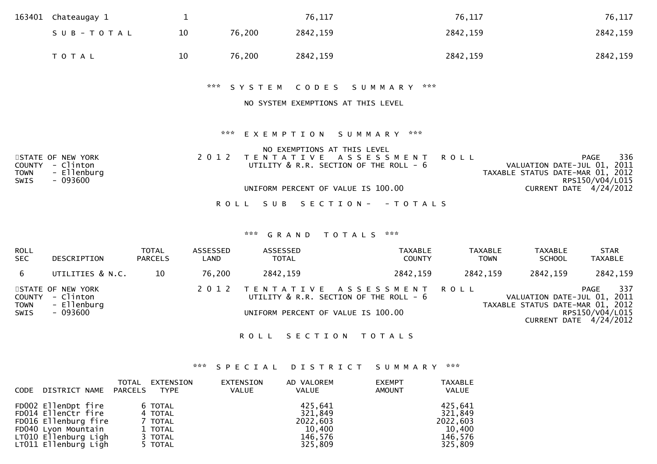| 163401                                      | Chateaugay 1                                              | $\mathbf{1}$ |                   | 76,117                                                        | 76,117        | 76,117                                                                                                   |
|---------------------------------------------|-----------------------------------------------------------|--------------|-------------------|---------------------------------------------------------------|---------------|----------------------------------------------------------------------------------------------------------|
|                                             | SUB-TOTAL                                                 | 10           | 76,200            | 2842,159                                                      | 2842,159      | 2842,159                                                                                                 |
|                                             | T O T A L                                                 | 10           | 76,200            | 2842,159                                                      | 2842,159      | 2842,159                                                                                                 |
|                                             |                                                           |              | *** SYSTEM        | CODES<br>S U M M A R Y                                        | ***           |                                                                                                          |
|                                             |                                                           |              |                   | NO SYSTEM EXEMPTIONS AT THIS LEVEL                            |               |                                                                                                          |
|                                             |                                                           |              | ***               | EXEMPTION SUMMARY                                             | ***           |                                                                                                          |
|                                             |                                                           |              |                   | NO EXEMPTIONS AT THIS LEVEL                                   |               |                                                                                                          |
| <b>COUNTY</b><br><b>TOWN</b><br><b>SWIS</b> | STATE OF NEW YORK<br>- Clinton<br>- Ellenburg<br>- 093600 | 2 0 1 2      | T E N T A T I V E | A S S E S S M E N T<br>UTILITY & R.R. SECTION OF THE ROLL - 6 | <b>ROLL</b>   | 336<br><b>PAGE</b><br>VALUATION DATE-JUL 01, 2011<br>TAXABLE STATUS DATE-MAR 01, 2012<br>RPS150/V04/L015 |
|                                             |                                                           |              |                   | UNIFORM PERCENT OF VALUE IS 100.00                            |               | CURRENT DATE 4/24/2012                                                                                   |
|                                             |                                                           |              | R O L L           | SUB SECTION-                                                  | - T O T A L S |                                                                                                          |

### \*\*\* G R A N D T O T A L S \*\*\*

| <b>ROLL</b><br><b>SEC</b>  | DESCRIPTION                                                      | <b>TOTAL</b><br><b>PARCELS</b> | ASSESSED<br>LAND | ASSESSED<br><b>TOTAL</b>           | TAXABLE<br><b>COUNTY</b>                                            | TAXABLE<br><b>TOWN</b> | <b>TAXABLE</b><br><b>SCHOOL</b>                                 | <b>STAR</b><br><b>TAXABLE</b>                            |
|----------------------------|------------------------------------------------------------------|--------------------------------|------------------|------------------------------------|---------------------------------------------------------------------|------------------------|-----------------------------------------------------------------|----------------------------------------------------------|
| -6                         | UTILITIES & N.C.                                                 | 10                             | 76,200           | 2842,159                           | 2842,159                                                            | 2842,159               | 2842,159                                                        | 2842,159                                                 |
| <b>TOWN</b><br><b>SWIS</b> | STATE OF NEW YORK<br>COUNTY - Clinton<br>- Ellenburg<br>- 093600 |                                | 2012             | UNIFORM PERCENT OF VALUE IS 100.00 | TENTATIVE ASSESSMENT ROLL<br>UTILITY & R.R. SECTION OF THE ROLL - 6 |                        | VALUATION DATE-JUL 01, 2011<br>TAXABLE STATUS DATE-MAR 01, 2012 | 337<br>PAGE<br>RPS150/V04/L015<br>CURRENT DATE 4/24/2012 |

#### ROLL SECTION TOTALS

# \*\*\* S P E C I A L D I S T R I C T S U M M A R Y \*\*\*

| <b>CODE</b> | DISTRICT NAME                                                                                                                             | TOTAL<br>PARCELS | EXTENSION<br><b>TYPE</b>                                       | <b>EXTENSION</b><br>VALUE | AD VALOREM<br>VALUE                                            | <b>EXEMPT</b><br><b>AMOUNT</b> | <b>TAXABLE</b><br><b>VALUE</b>                                 |
|-------------|-------------------------------------------------------------------------------------------------------------------------------------------|------------------|----------------------------------------------------------------|---------------------------|----------------------------------------------------------------|--------------------------------|----------------------------------------------------------------|
|             | FD002 EllenDpt fire<br>FD014 EllenCtr fire<br>FD016 Ellenburg fire<br>FD040 Lyon Mountain<br>LT010 Ellenburg Ligh<br>LT011 Ellenburg Ligh |                  | 6 TOTAL<br>4 TOTAL<br>7 TOTAL<br>1 TOTAL<br>3 TOTAL<br>5 TOTAL |                           | 425,641<br>321,849<br>2022,603<br>10,400<br>146,576<br>325,809 |                                | 425,641<br>321,849<br>2022,603<br>10,400<br>146,576<br>325,809 |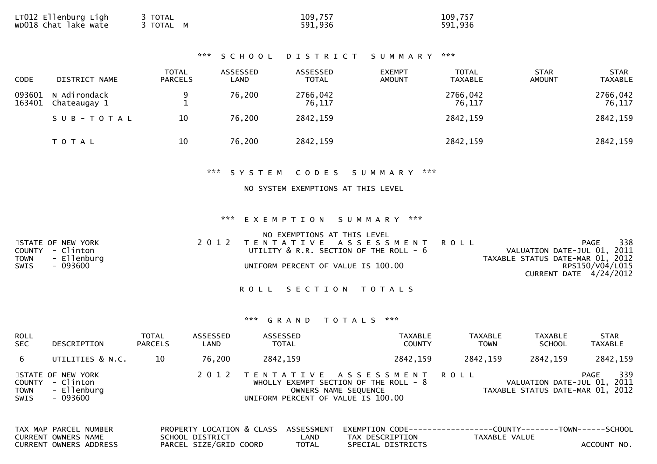| LT012 Ellenburg Ligh<br>TOTAL<br>wDO18 Chat lake wate<br>3 TOTAL M | 109,757<br>591,936 | 109,757<br>591,936 |
|--------------------------------------------------------------------|--------------------|--------------------|
|--------------------------------------------------------------------|--------------------|--------------------|

| <b>CODE</b>      | DISTRICT NAME                | TOTAL<br><b>PARCELS</b> | ASSESSED<br>LAND | ASSESSED<br><b>TOTAL</b> | <b>EXEMPT</b><br><b>AMOUNT</b> | <b>TOTAL</b><br><b>TAXABLE</b> | <b>STAR</b><br><b>AMOUNT</b> | <b>STAR</b><br><b>TAXABLE</b> |
|------------------|------------------------------|-------------------------|------------------|--------------------------|--------------------------------|--------------------------------|------------------------------|-------------------------------|
| 093601<br>163401 | N Adirondack<br>Chateaugay 1 | 9                       | 76,200           | 2766,042<br>76,117       |                                | 2766,042<br>76,117             |                              | 2766,042<br>76,117            |
|                  | SUB-TOTAL                    | 10                      | 76,200           | 2842,159                 |                                | 2842,159                       |                              | 2842,159                      |
|                  | T O T A L                    | 10                      | 76,200           | 2842,159                 |                                | 2842,159                       |                              | 2842,159                      |

#### \*\*\* S Y S T E M C O D E S S U M M A R Y \*\*\*

### NO SYSTEM EXEMPTIONS AT THIS LEVEL

#### \*\*\* E X E M P T I O N S U M M A R Y \*\*\*

|      |                   | NO EXEMPTIONS AT THIS LEVEL                 |                                  |     |
|------|-------------------|---------------------------------------------|----------------------------------|-----|
|      | STATE OF NEW YORK | 2012 TENTATIVE ASSESSMENT ROLL              | PAGE                             | 338 |
|      | COUNTY - Clinton  | UTILITY $\&$ R.R. SECTION OF THE ROLL - $6$ | VALUATION DATE-JUL 01, 2011      |     |
|      | TOWN - Ellenburg  |                                             | TAXABLE STATUS DATE-MAR 01, 2012 |     |
| SWIS | - 093600          | UNIFORM PERCENT OF VALUE IS 100.00          | RPS150/V04/L015                  |     |
|      |                   |                                             | CURRENT DATE 4/24/2012           |     |

ROLL SECTION TOTALS

| ROLL<br><b>SEC</b>            | <b>DESCRIPTION</b>                                        | <b>TOTAL</b><br><b>PARCELS</b> | ASSESSED<br>LAND | ASSESSED<br><b>TOTAL</b> | <b>TAXABLE</b><br><b>COUNTY</b>                                                                                                  | <b>TAXABLE</b><br><b>TOWN</b> | <b>TAXABLE</b><br><b>SCHOOL</b>                                 | <b>STAR</b><br><b>TAXABLE</b> |
|-------------------------------|-----------------------------------------------------------|--------------------------------|------------------|--------------------------|----------------------------------------------------------------------------------------------------------------------------------|-------------------------------|-----------------------------------------------------------------|-------------------------------|
| 6                             | UTILITIES & N.C.                                          | 10                             | 76,200           | 2842,159                 | 2842,159                                                                                                                         | 2842,159                      | 2842,159                                                        | 2842,159                      |
| COUNTY<br><b>TOWN</b><br>SWIS | STATE OF NEW YORK<br>- Clinton<br>- Ellenburg<br>- 093600 |                                | 2 0 1 2          |                          | TENTATIVE ASSESSMENT ROLL<br>WHOLLY EXEMPT SECTION OF THE ROLL - 8<br>OWNERS NAME SEQUENCE<br>UNIFORM PERCENT OF VALUE IS 100.00 |                               | VALUATION DATE-JUL 01, 2011<br>TAXABLE STATUS DATE-MAR 01, 2012 | 339<br>PAGE                   |
|                               | TAV MAD DADCEL NUMBER                                     |                                |                  |                          | DRODERTY LOCATION & CLASS ASSESSMENT EVEMPTION CODE_______________COUNTY_______TOWN_______CCHOOL                                 |                               |                                                                 |                               |

| TAX MAP PARCEL NUMBER |                        |                        |              | PROPERTY LOCATION & CLASS ASSESSMENT EXEMPTION CODE----------------COUNTY-------TOWN------SCHOOL |               |             |
|-----------------------|------------------------|------------------------|--------------|--------------------------------------------------------------------------------------------------|---------------|-------------|
| CURRENT OWNERS NAME   |                        | SCHOOL DISTRICT        | _AND_        | TAX DESCRIPTION                                                                                  | TAXABLE VALUE |             |
|                       | CURRENT OWNERS ADDRESS | PARCEL SIZE/GRID COORD | <b>TOTAL</b> | SPECIAL DISTRICTS                                                                                |               | ACCOUNT NO. |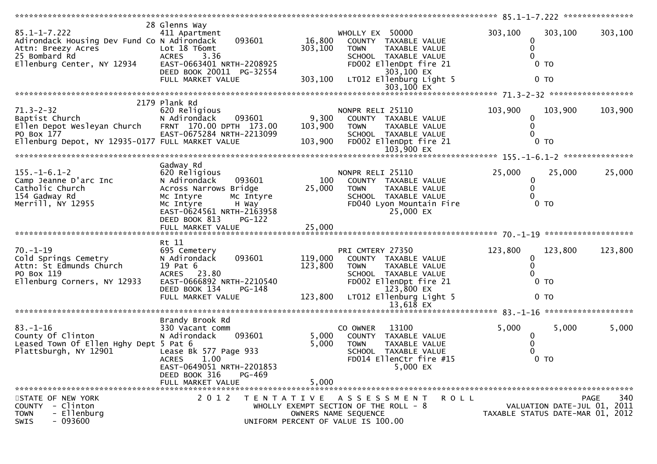| $85.1 - 1 - 7.222$<br>Adirondack Housing Dev Fund Co N Adirondack<br>Aττn: Breezy Acres<br>25 Bombard Rd<br>Ellenburg Center, NY 12934                     | 28 Glenns Way<br>411 Apartment<br>Lot 18 T6omt<br>ACRES 3.36<br>EAST-0663401 NRTH-2208925<br>DEED BOOK 20011 PG-32554<br>FULL MARKET VALUE                                | 093601<br>16,800<br>303,100<br>303,100                                                              | WHOLLY EX 50000<br>TOWN                | COUNTY TAXABLE VALUE<br>TAXABLE VALUE<br>SCHOOL TAXABLE VALUE<br>FD002 EllenDpt fire 21<br>303,100 EX<br>LT012 Ellenburg Light 5<br>303,100 EX |         | 303,100<br>0<br>0<br>0            | 303,100<br>$0$ TO<br>0 <sub>T</sub>         | 303,100     |
|------------------------------------------------------------------------------------------------------------------------------------------------------------|---------------------------------------------------------------------------------------------------------------------------------------------------------------------------|-----------------------------------------------------------------------------------------------------|----------------------------------------|------------------------------------------------------------------------------------------------------------------------------------------------|---------|-----------------------------------|---------------------------------------------|-------------|
|                                                                                                                                                            |                                                                                                                                                                           |                                                                                                     |                                        |                                                                                                                                                |         |                                   |                                             |             |
| $71.3 - 2 - 32$<br>Baptist Church<br>Ellen Depot Wesleyan Church FRNT 170.00 DPTH 173.00<br>PO Box 177<br>Ellenburg Depot, NY 12935-0177 FULL MARKET VALUE | 2179 Plank Rd<br>620 Religious<br>093601<br>N Adirondack<br>EAST-0675284 NRTH-2213099                                                                                     | 9,300<br>103,900<br>103,900                                                                         | NONPR RELI 25110<br><b>TOWN</b>        | COUNTY TAXABLE VALUE<br>TAXABLE VALUE<br>SCHOOL TAXABLE VALUE<br>FD002 EllenDpt fire 21<br>103,900 EX                                          |         | 103,900<br>0<br>0<br>0            | 103,900<br>$0$ TO                           | 103,900     |
|                                                                                                                                                            |                                                                                                                                                                           |                                                                                                     |                                        |                                                                                                                                                |         |                                   |                                             |             |
| $155. - 1 - 6.1 - 2$<br>Camp Jeanne D'arc Inc<br>Catholic Church<br>154 Gadway Rd<br>Merrill, NY 12955                                                     | Gadway Rd<br>620 Religious<br>N Adirondack<br>Across Narrows Bridge<br>Mc Intyre<br>Mc Intyre<br>H Way<br>EAST-0624561 NRTH-2163958<br>DEED BOOK 813<br>FULL MARKET VALUE | 093601<br>25,000<br>Mc Intyre<br><b>PG-122</b><br>25,000                                            | NONPR RELI 25110<br>100<br><b>TOWN</b> | COUNTY TAXABLE VALUE<br>TAXABLE VALUE<br>SCHOOL TAXABLE VALUE<br>FD040 Lyon Mountain Fire<br>25,000 EX                                         |         | 25,000<br>$\bf{0}$<br>$\mathbf 0$ | 25,000<br>$0$ TO                            | 25,000      |
|                                                                                                                                                            |                                                                                                                                                                           |                                                                                                     |                                        |                                                                                                                                                |         |                                   |                                             |             |
| $70. - 1 - 19$<br>Cold Springs Cemetry<br>Attn: St Edmunds Church<br>PO Box 119<br>Ellenburg Corners, NY 12933                                             | Rt 11<br>695 Cemetery<br>N Adirondack<br>19 Pat 6<br>ACRES 23.80<br>EAST-0666892 NRTH-2210540<br>DEED BOOK 134<br>FULL MARKET VALUE                                       | 119,000<br>093601<br>123,800<br>PG-148<br>123,800                                                   | PRI CMTERY 27350<br>TOWN               | COUNTY TAXABLE VALUE<br>TAXABLE VALUE<br>SCHOOL TAXABLE VALUE<br>FD002 EllenDpt fire 21<br>123,800 EX<br>LT012 Ellenburg Light 5               |         | 123,800<br>0<br>0<br>$\Omega$     | 123,800<br>0 <sub>T</sub><br>0 <sub>T</sub> | 123,800     |
|                                                                                                                                                            |                                                                                                                                                                           |                                                                                                     |                                        |                                                                                                                                                |         |                                   |                                             |             |
| $83 - 1 - 16$<br>County Of Clinton<br>Leased Town Of Ellen Hghy Dept 5 Pat 6<br>Plattsburgh, NY 12901                                                      | Brandy Brook Rd<br>330 Vacant comm<br>N Adirondack<br>Lease Bk 577 Page 933<br>ACRES 1.00<br>EAST-0649051 NRTH-2201853<br>DEED BOOK 316<br>FULL MARKET VALUE              | 093601<br>5,000<br>5,000<br>PG-469<br>5,000                                                         | CO OWNER<br><b>TOWN</b>                | 13100<br>COUNTY TAXABLE VALUE<br>TAXABLE VALUE<br>SCHOOL TAXABLE VALUE<br>FD014 EllenCtr fire #15<br>5,000 EX                                  |         | 5,000<br>0                        | 5,000<br>0 <sub>T</sub>                     | 5,000       |
| STATE OF NEW YORK<br>COUNTY - Clinton<br>- Ellenburg<br><b>TOWN</b><br>$-093600$<br><b>SWIS</b>                                                            | 2 0 1 2                                                                                                                                                                   | TENTATIVE ASSESSMENT<br>WHOLLY EXEMPT SECTION OF THE ROLL - 8<br>UNIFORM PERCENT OF VALUE IS 100.00 | OWNERS NAME SEQUENCE                   |                                                                                                                                                | R O L L | TAXABLE STATUS DATE-MAR 01, 2012  | VALUATION DATE-JUL 01, 2011                 | 340<br>PAGE |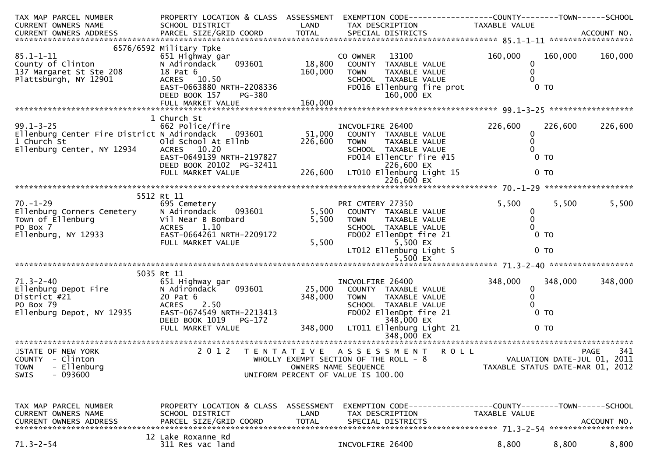| TAX MAP PARCEL NUMBER<br><b>CURRENT OWNERS NAME</b>                                                                   | PROPERTY LOCATION & CLASS ASSESSMENT<br>SCHOOL DISTRICT                                                                                                                      | LAND                         | EXEMPTION CODE-----------------COUNTY-------TOWN------SCHOOL<br>TAX DESCRIPTION                                                                                              | TAXABLE VALUE                          |                                             |                                                   |
|-----------------------------------------------------------------------------------------------------------------------|------------------------------------------------------------------------------------------------------------------------------------------------------------------------------|------------------------------|------------------------------------------------------------------------------------------------------------------------------------------------------------------------------|----------------------------------------|---------------------------------------------|---------------------------------------------------|
|                                                                                                                       |                                                                                                                                                                              |                              |                                                                                                                                                                              |                                        |                                             |                                                   |
| $85.1 - 1 - 11$<br>County of Clinton<br>137 Margaret St Ste 208<br>Plattsburgh, NY 12901                              | 6576/6592 Military Tpke<br>651 Highway gar<br>093601<br>N Adirondack<br>18 Pat 6<br>ACRES 10.50<br>EAST-0663880 NRTH-2208336<br>DEED BOOK 157<br>PG-380<br>FULL MARKET VALUE | 18,800<br>160,000<br>160,000 | 13100<br>CO OWNER<br>COUNTY TAXABLE VALUE<br>TAXABLE VALUE<br><b>TOWN</b><br>SCHOOL TAXABLE VALUE<br>FD016 Ellenburg fire prot<br>160,000 EX                                 | 160,000<br>0                           | 160,000<br>0 <sub>T</sub>                   | 160,000                                           |
|                                                                                                                       |                                                                                                                                                                              |                              |                                                                                                                                                                              |                                        |                                             |                                                   |
| $99.1 - 3 - 25$<br>Ellenburg Center Fire District N Adirondack 093601<br>1 Church St<br>Ellenburg Center, NY 12934    | 1 Church St<br>662 Police/fire<br>Old School At Ellnb<br>ACRES 10.20<br>EAST-0649139 NRTH-2197827<br>DEED BOOK 20102 PG-32411<br>FULL MARKET VALUE                           | 226,600<br>226,600           | INCVOLFIRE 26400<br>51,000 COUNTY TAXABLE VALUE<br><b>TOWN</b><br>TAXABLE VALUE<br>SCHOOL TAXABLE VALUE<br>FD014 EllenCtr fire #15<br>226,600 EX<br>LT010 Ellenburg Light 15 | 226,600<br>0<br>0                      | 226,600<br>0 <sub>T</sub><br>0 <sub>T</sub> | 226,600                                           |
|                                                                                                                       |                                                                                                                                                                              |                              |                                                                                                                                                                              |                                        |                                             |                                                   |
|                                                                                                                       | 5512 Rt 11                                                                                                                                                                   |                              |                                                                                                                                                                              |                                        |                                             |                                                   |
| $70. - 1 - 29$<br>Ellenburg Corners Cemetery<br>$\frac{1}{3}$<br>Town of Ellenburg<br>PO Box 7<br>Ellenburg, NY 12933 | 695 Cemetery<br>N Adirondack<br>093601<br>Vil Near B Bombard<br><b>ACRES</b><br>1.10<br>EAST-0664261 NRTH-2209172<br>FULL MARKET VALUE                                       | 5,500<br>5,500<br>5,500      | PRI CMTERY 27350<br>COUNTY TAXABLE VALUE<br><b>TOWN</b><br>TAXABLE VALUE<br>SCHOOL TAXABLE VALUE<br>FD002 EllenDpt fire 21<br>5,500 EX<br>LT012 Ellenburg Light 5            | 5,500<br>0<br>0 <sub>T</sub>           | 5,500<br>$0$ TO                             | 5,500                                             |
|                                                                                                                       | 5035 Rt 11                                                                                                                                                                   |                              |                                                                                                                                                                              |                                        |                                             |                                                   |
| $71.3 - 2 - 40$<br>Ellenburg Depot Fire<br>District #21<br>PO Box 79<br>Ellenburg Depot, NY 12935                     | 651 Highway gar<br>093601<br>N Adirondack<br>20 Pat 6<br><b>ACRES</b><br>2.50<br>EAST-0674549 NRTH-2213413<br>DEED BOOK 1019<br>PG-172<br>FULL MARKET VALUE                  | 25,000<br>348,000<br>348,000 | INCVOLFIRE 26400<br>COUNTY TAXABLE VALUE<br><b>TOWN</b><br>TAXABLE VALUE<br>SCHOOL TAXABLE VALUE<br>FD002 EllenDpt fire 21<br>348,000 EX<br>LT011 Ellenburg Light 21         | 348,000<br>0<br>$\mathbf{0}$<br>$0$ TO | 348,000<br>$0$ TO                           | 348,000                                           |
|                                                                                                                       |                                                                                                                                                                              |                              |                                                                                                                                                                              |                                        |                                             |                                                   |
| STATE OF NEW YORK<br>COUNTY - Clinton<br>- Ellenburg<br><b>TOWN</b><br>$-093600$<br><b>SWIS</b>                       | 2 0 1 2                                                                                                                                                                      |                              | TENTATIVE ASSESSMENT<br><b>ROLL</b><br>WHOLLY EXEMPT SECTION OF THE ROLL - 8<br>OWNERS NAME SEQUENCE<br>UNIFORM PERCENT OF VALUE IS 100.00                                   | TAXABLE STATUS DATE-MAR 01, 2012       |                                             | 341<br><b>PAGE</b><br>VALUATION DATE-JUL 01, 2011 |
| TAX MAP PARCEL NUMBER<br><b>CURRENT OWNERS NAME</b><br><b>CURRENT OWNERS ADDRESS</b>                                  | PROPERTY LOCATION & CLASS ASSESSMENT<br>SCHOOL DISTRICT<br>PARCEL SIZE/GRID COORD                                                                                            | LAND<br><b>TOTAL</b>         | EXEMPTION CODE------------------COUNTY--------TOWN------SCHOOL<br>TAX DESCRIPTION<br>SPECIAL DISTRICTS                                                                       | TAXABLE VALUE                          |                                             | ACCOUNT NO.                                       |
| $71.3 - 2 - 54$                                                                                                       | 12 Lake Roxanne Rd<br>311 Res vac land                                                                                                                                       |                              | INCVOLFIRE 26400                                                                                                                                                             | 8,800                                  | 8,800                                       | 8,800                                             |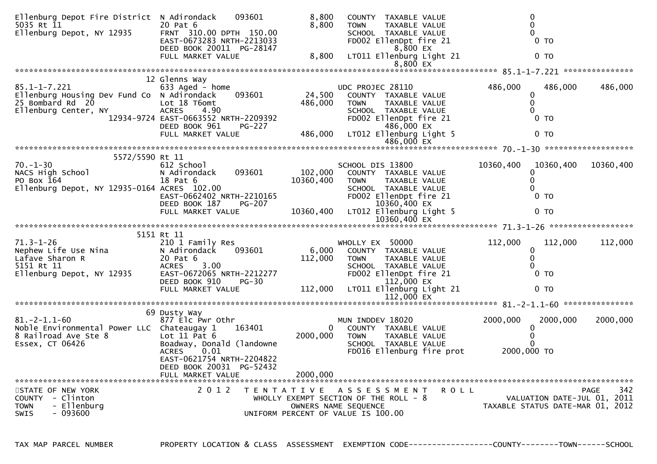| Ellenburg Depot Fire District N Adirondack<br>5035 Rt 11<br>Ellenburg Depot, NY 12935                                                                                                                                                                        | 093601<br>20 Pat 6<br>FRNT 310.00 DPTH 150.00<br>EAST-0673283 NRTH-2213033<br>DEED BOOK 20011 PG-28147                           | 8,800<br>8,800           | COUNTY TAXABLE VALUE<br>TAXABLE VALUE<br>TOWN<br>SCHOOL TAXABLE VALUE<br>FD002 EllenDpt fire 21<br>8,800 EX                                                                                       | $\mathbf 0$<br>$\Omega$<br>$0$ TO                                 |             |
|--------------------------------------------------------------------------------------------------------------------------------------------------------------------------------------------------------------------------------------------------------------|----------------------------------------------------------------------------------------------------------------------------------|--------------------------|---------------------------------------------------------------------------------------------------------------------------------------------------------------------------------------------------|-------------------------------------------------------------------|-------------|
|                                                                                                                                                                                                                                                              | FULL MARKET VALUE                                                                                                                | 8,800                    | LT011 Ellenburg Light 21                                                                                                                                                                          | 0 <sub>T</sub>                                                    |             |
|                                                                                                                                                                                                                                                              | 12 Glenns Way                                                                                                                    |                          |                                                                                                                                                                                                   |                                                                   |             |
| $85.1 - 1 - 7.221$<br>Ellenburg Housing Dev Fund Co N Adirondack<br>25 Bombard Rd 20<br>Ellenburg Center, NY                                                                                                                                                 | 633 Aged - home<br>093601<br>Lot 18 T6omt<br><b>ACRES</b><br>4.90<br>12934-9724 EAST-0663552 NRTH-2209392<br>DEED BOOK 961       | 24,500<br>486,000        | UDC PROJEC 28110<br>COUNTY TAXABLE VALUE<br><b>TOWN</b><br>TAXABLE VALUE<br>SCHOOL TAXABLE VALUE<br>SCHOOL TAXABLE_VALUE<br>21 FD002 EllenDpt_fire<br>1000 PG-227 486,000 LT012 Ellenburg_Light_5 | 486,000<br>486,000<br>0<br>$\mathbf{0}$<br>0 <sub>T</sub>         | 486,000     |
|                                                                                                                                                                                                                                                              | FULL MARKET VALUE                                                                                                                |                          |                                                                                                                                                                                                   | 0 <sub>T</sub>                                                    |             |
|                                                                                                                                                                                                                                                              |                                                                                                                                  |                          |                                                                                                                                                                                                   |                                                                   |             |
| 5572/5590 Rt 11<br>$70. - 1 - 30$<br>NACS High School<br>PO Box $164$<br>Ellenburg Depot, NY 12935-0164 ACRES 102.00                                                                                                                                         | 612 School School<br>N Adirondack 093601<br>18 Pat 6<br>EAST-0662402 NRTH-2210165<br>DEED BOOK 187 PG-207                        | 102,000<br>10360,400     | SCHOOL DIS 13800<br>COUNTY TAXABLE VALUE<br>TAXABLE VALUE<br><b>TOWN</b><br>SCHOOL TAXABLE VALUE<br>FD002 EllenDpt fire 21<br>10360,400 EX                                                        | 10360,400 10360,400<br>0<br>$\mathbf{0}$<br>$0$ TO                | 10360,400   |
|                                                                                                                                                                                                                                                              | FULL MARKET VALUE                                                                                                                |                          | 10360,400 LT012 Ellenburg Light 5<br>$10360,400$ EX                                                                                                                                               | 0 <sub>T</sub>                                                    |             |
|                                                                                                                                                                                                                                                              |                                                                                                                                  |                          |                                                                                                                                                                                                   |                                                                   |             |
| 71.3-1-26<br>Nephew Life Use Nina<br>Lafave Sharon R<br>Titi Rt 11<br>Notify 12935<br>Notify 12935<br>Notify 12935<br>Notify 12935<br>Notify 12935<br>Notify 12935<br>Notify 12935<br>Notify 12935<br>Notify 12935<br>Notify 12935<br>Notify 12935<br>Notify | 210 1 Family Res<br>093601<br>EAST-0672065 NRTH-2212277<br>DEED BOOK 910                                                         | 6,000<br>112,000         | WHOLLY EX 50000<br>COUNTY TAXABLE VALUE<br><b>TOWN</b><br>TAXABLE VALUE<br>SCHOOL TAXABLE VALUE<br>FD002 EllenDpt fire 21<br>PG-30<br>E 112,000 LT011 Ellenburg Light 21                          | 112,000<br>112,000<br>0<br>$\Omega$<br>$\Omega$<br>0 <sub>T</sub> | 112,000     |
|                                                                                                                                                                                                                                                              | FULL MARKET VALUE                                                                                                                |                          |                                                                                                                                                                                                   | 0 <sub>T</sub>                                                    |             |
|                                                                                                                                                                                                                                                              | 69 Dusty Way                                                                                                                     |                          |                                                                                                                                                                                                   |                                                                   |             |
| $81. - 2 - 1.1 - 60$<br>Noble Environmental Power LLC Chateaugay 1<br>8 Railroad Ave Ste 8<br>Essex, CT 06426                                                                                                                                                | 877 Elc Pwr Othr<br>163401<br>Lot $11$ Pat $6$<br>Boadway, Donald (landowne<br><b>ACRES</b><br>0.01<br>EAST-0621754 NRTH-2204822 | $\mathbf{0}$<br>2000,000 | MUN INDDEV 18020<br>COUNTY TAXABLE VALUE<br>TAXABLE VALUE<br><b>TOWN</b><br>SCHOOL TAXABLE VALUE<br>FD016 Ellenburg fire prot                                                                     | 2000,000<br>2000,000<br>0<br>0<br>2000,000 TO                     | 2000,000    |
|                                                                                                                                                                                                                                                              | DEED BOOK 20031 PG-52432<br>FULL MARKET VALUE                                                                                    | 2000,000                 |                                                                                                                                                                                                   |                                                                   |             |
| STATE OF NEW YORK<br><b>COUNTY</b><br>- Clinton<br>- Ellenburg<br><b>TOWN</b><br>$-093600$<br><b>SWIS</b>                                                                                                                                                    | 2 0 1 2                                                                                                                          |                          | TENTATIVE ASSESSMENT<br>R O L L<br>WHOLLY EXEMPT SECTION OF THE ROLL - 8<br>OWNERS NAME SEQUENCE<br>UNIFORM PERCENT OF VALUE IS 100.00                                                            | VALUATION DATE-JUL 01, 2011<br>TAXABLE STATUS DATE-MAR 01, 2012   | 342<br>PAGE |

TAX MAP PARCEL NUMBER PROPERTY LOCATION & CLASS ASSESSMENT EXEMPTION CODE------------------COUNTY--------TOWN------SCHOOL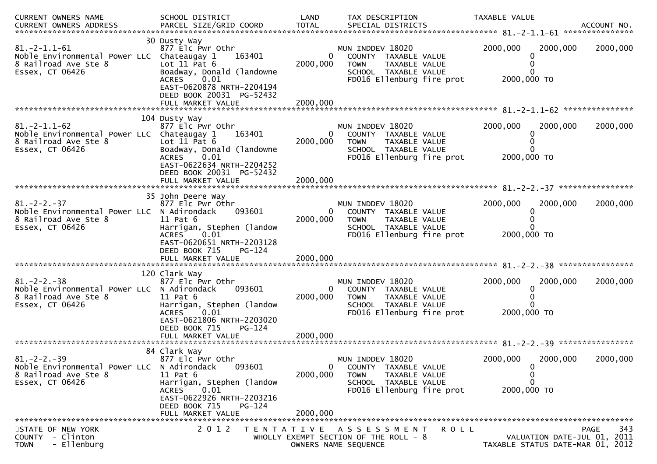| CURRENT OWNERS NAME                                                                                        | SCHOOL DISTRICT                                                                                                                                                                                   | LAND                                   | TAX DESCRIPTION                                                                                                               | TAXABLE VALUE                                                   |
|------------------------------------------------------------------------------------------------------------|---------------------------------------------------------------------------------------------------------------------------------------------------------------------------------------------------|----------------------------------------|-------------------------------------------------------------------------------------------------------------------------------|-----------------------------------------------------------------|
| $81.-2-1.1-61$<br>Noble Environmental Power LLC Chateaugay 1<br>8 Railroad Ave Ste 8<br>Essex, CT 06426    | 30 Dusty Way<br>877 Elc Pwr Othr<br>163401<br>Lot $11$ Pat $6$<br>Boadway, Donald (landowne<br>0.01<br><b>ACRES</b><br>EAST-0620878 NRTH-2204194<br>DEED BOOK 20031 PG-52432<br>FULL MARKET VALUE | 0<br>2000,000<br>2000,000              | MUN INDDEV 18020<br>COUNTY TAXABLE VALUE<br>TAXABLE VALUE<br><b>TOWN</b><br>SCHOOL TAXABLE VALUE<br>FD016 Ellenburg fire prot | 2000,000<br>2000,000<br>2000,000<br>2000,000 TO                 |
|                                                                                                            | 104 Dusty Way                                                                                                                                                                                     |                                        |                                                                                                                               |                                                                 |
| $81.-2-1.1-62$<br>Noble Environmental Power LLC Chateaugay 1<br>8 Railroad Ave Ste 8<br>Essex, CT 06426    | 877 Elc Pwr Othr<br>163401<br>Lot $11$ Pat $6$<br>Boadway, Donald (landowne<br>0.01<br><b>ACRES</b><br>EAST-0622634 NRTH-2204252<br>DEED BOOK 20031 PG-52432                                      | $\overline{0}$<br>2000,000             | MUN INDDEV 18020<br>COUNTY TAXABLE VALUE<br>TAXABLE VALUE<br><b>TOWN</b><br>SCHOOL TAXABLE VALUE<br>FD016 Ellenburg fire prot | 2000,000<br>2000,000<br>2000,000<br>2000,000 TO                 |
|                                                                                                            |                                                                                                                                                                                                   |                                        |                                                                                                                               |                                                                 |
|                                                                                                            | 35 John Deere Way                                                                                                                                                                                 |                                        |                                                                                                                               |                                                                 |
| $81 - 2 - 2 - 37$<br>Noble Environmental Power LLC N Adirondack<br>8 Railroad Ave Ste 8<br>Essex, CT 06426 | 877 Elc Pwr Othr<br>093601<br>$11$ Pat $6$<br>Harrigan, Stephen (landow<br>ACRES<br>0.01<br>EAST-0620651 NRTH-2203128<br>DEED BOOK 715<br>PG-124<br>FULL MARKET VALUE                             | $\overline{0}$<br>2000,000<br>2000,000 | MUN INDDEV 18020<br>COUNTY TAXABLE VALUE<br>TAXABLE VALUE<br><b>TOWN</b><br>SCHOOL TAXABLE VALUE<br>FD016 Ellenburg fire prot | 2000,000<br>2000,000<br>2000,000<br>2000,000 TO                 |
|                                                                                                            |                                                                                                                                                                                                   |                                        |                                                                                                                               |                                                                 |
| $81 - 2 - 2 - 38$<br>Noble Environmental Power LLC N Adirondack<br>8 Railroad Ave Ste 8<br>Essex, CT 06426 | 120 Clark Way<br>877 Elc Pwr Othr<br>093601<br>$11$ Pat $6$<br>Harrigan, Stephen (landow<br><b>ACRES</b><br>0.01<br>EAST-0621806 NRTH-2203020<br>DEED BOOK 715<br>PG-124                          | 0<br>2000,000                          | MUN INDDEV 18020<br>COUNTY TAXABLE VALUE<br><b>TOWN</b><br>TAXABLE VALUE<br>SCHOOL TAXABLE VALUE<br>FD016 Ellenburg fire prot | 2000,000<br>2000,000<br>2000,000<br>2000,000 TO                 |
|                                                                                                            |                                                                                                                                                                                                   |                                        |                                                                                                                               |                                                                 |
|                                                                                                            | 84 Clark Way                                                                                                                                                                                      |                                        |                                                                                                                               |                                                                 |
| $81. -2 - 2. -39$<br>Noble Environmental Power LLC N Adirondack<br>8 Railroad Ave Ste 8<br>Essex, CT 06426 | 877 Elc Pwr Othr<br>093601<br>$11$ Pat $6$<br>Harrigan, Stephen (landow<br>ACRES<br>0.01<br>EAST-0622926 NRTH-2203216<br>DEED BOOK 715<br>PG-124                                                  | 0<br>2000,000                          | MUN INDDEV 18020<br>COUNTY TAXABLE VALUE<br><b>TOWN</b><br>TAXABLE VALUE<br>SCHOOL TAXABLE VALUE<br>FD016 Ellenburg fire prot | 2000,000<br>2000,000<br>2000,000<br>0<br>0<br>0<br>2000,000 TO  |
|                                                                                                            | FULL MARKET VALUE                                                                                                                                                                                 | 2000,000                               |                                                                                                                               |                                                                 |
| STATE OF NEW YORK                                                                                          | 2 0 1 2                                                                                                                                                                                           |                                        | TENTATIVE ASSESSMENT<br>ROLL                                                                                                  | <b>PAGE</b><br>343                                              |
| COUNTY - Clinton<br>- Ellenburg<br><b>TOWN</b>                                                             |                                                                                                                                                                                                   |                                        | WHOLLY EXEMPT SECTION OF THE ROLL - 8<br>OWNERS NAME SEQUENCE                                                                 | VALUATION DATE-JUL 01, 2011<br>TAXABLE STATUS DATE-MAR 01, 2012 |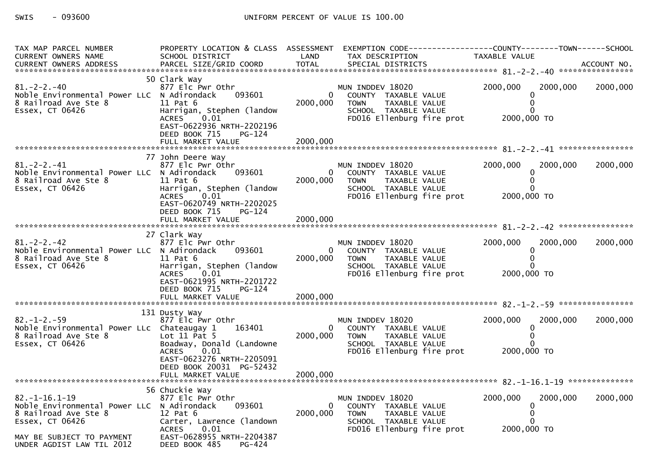| TAX MAP PARCEL NUMBER<br><b>CURRENT OWNERS NAME</b>                                                           | PROPERTY LOCATION & CLASS ASSESSMENT<br>SCHOOL DISTRICT                                                                                                                                          | LAND                 | TAX DESCRIPTION                                                                                                               | EXEMPTION CODE------------------COUNTY--------TOWN------SCHOOL<br>TAXABLE VALUE |          |
|---------------------------------------------------------------------------------------------------------------|--------------------------------------------------------------------------------------------------------------------------------------------------------------------------------------------------|----------------------|-------------------------------------------------------------------------------------------------------------------------------|---------------------------------------------------------------------------------|----------|
| $81. -2 - 2. -40$<br>Noble Environmental Power LLC N Adirondack<br>8 Railroad Ave Ste 8<br>Essex, CT 06426    | 50 Clark Way<br>877 Elc Pwr Othr<br>093601<br>11 Pat 6<br>Harrigan, Stephen (landow<br>0.01<br><b>ACRES</b><br>EAST-0622936 NRTH-2202196<br>DEED BOOK 715<br>PG-124                              | 2000,000             | MUN INDDEV 18020<br>COUNTY TAXABLE VALUE<br><b>TOWN</b><br>TAXABLE VALUE<br>SCHOOL TAXABLE VALUE<br>FD016 Ellenburg fire prot | 2000,000<br>2000,000<br>0<br>2000,000 TO                                        | 2000,000 |
|                                                                                                               |                                                                                                                                                                                                  |                      |                                                                                                                               |                                                                                 |          |
| $81 - 2 - 2 - 41$<br>Noble Environmental Power LLC N Adirondack<br>8 Railroad Ave Ste 8<br>Essex, CT 06426    | 77 John Deere Way<br>877 Elc Pwr Othr<br>093601<br>$11$ Pat $6$<br>Harrigan, Stephen (landow<br>0.01<br><b>ACRES</b><br>EAST-0620749 NRTH-2202025<br>DEED BOOK 715<br>PG-124                     | 0<br>2000,000        | MUN INDDEV 18020<br>COUNTY TAXABLE VALUE<br>TAXABLE VALUE<br><b>TOWN</b><br>SCHOOL TAXABLE VALUE<br>FD016 Ellenburg fire prot | 2000,000<br>2000,000<br>0<br>$\Omega$<br>2000,000 TO                            | 2000,000 |
|                                                                                                               |                                                                                                                                                                                                  |                      |                                                                                                                               |                                                                                 |          |
|                                                                                                               |                                                                                                                                                                                                  |                      |                                                                                                                               |                                                                                 |          |
| $81. - 2 - 2. - 42$<br>Noble Environmental Power LLC N Adirondack<br>8 Railroad Ave Ste 8<br>Essex, CT 06426  | 27 Clark Way<br>877 Elc Pwr Othr<br>093601<br>$11$ Pat $6$<br>Harrigan, Stephen (landow<br>ACRES<br>0.01<br>EAST-0621995 NRTH-2201722<br>DEED BOOK 715<br>$PG-124$<br>FULL MARKET VALUE          | 2000,000<br>2000,000 | MUN INDDEV 18020<br>COUNTY TAXABLE VALUE<br>TAXABLE VALUE<br><b>TOWN</b><br>SCHOOL TAXABLE VALUE<br>FD016 Ellenburg fire prot | 2000,000<br>2000.000<br>0<br>$\Omega$<br>2000,000 TO                            | 2000,000 |
|                                                                                                               |                                                                                                                                                                                                  |                      |                                                                                                                               |                                                                                 |          |
| $82 - 1 - 2 - 59$<br>Noble Environmental Power LLc Chateaugay 1<br>8 Railroad Ave Ste 8<br>Essex, CT 06426    | 131 Dusty Way<br>877 Elc Pwr Othr<br>163401<br>Lot $11$ Pat 5<br>Boadway, Donald (Landowne<br>0.01<br><b>ACRES</b><br>EAST-0623276 NRTH-2205091<br>DEED BOOK 20031 PG-52432<br>FULL MARKET VALUE | 2000,000<br>2000,000 | MUN INDDEV 18020<br>COUNTY TAXABLE VALUE<br>TAXABLE VALUE<br><b>TOWN</b><br>SCHOOL TAXABLE VALUE<br>FD016 Ellenburg fire prot | 2000,000<br>2000,000<br>$\Omega$<br>$\Omega$<br>2000,000 TO                     | 2000,000 |
|                                                                                                               |                                                                                                                                                                                                  |                      |                                                                                                                               |                                                                                 |          |
|                                                                                                               | 56 Chuckie Way                                                                                                                                                                                   |                      |                                                                                                                               |                                                                                 |          |
| $82. -1 - 16.1 - 19$<br>Noble Environmental Power LLC N Adirondack<br>8 Railroad Ave Ste 8<br>Essex, CT 06426 | 877 Elc Pwr Othr<br>093601<br>$12$ Pat $6$<br>Carter, Lawrence (landown<br><b>ACRES</b><br>0.01                                                                                                  | 2000,000             | MUN INDDEV 18020<br>COUNTY TAXABLE VALUE<br>TAXABLE VALUE<br><b>TOWN</b><br>SCHOOL TAXABLE VALUE<br>FD016 Ellenburg fire prot | 2000,000<br>2000,000<br>0<br>2000,000 TO                                        | 2000,000 |
| MAY BE SUBJECT TO PAYMENT<br>UNDER AGDIST LAW TIL 2012                                                        | EAST-0628955 NRTH-2204387<br>DEED BOOK 485<br>PG-424                                                                                                                                             |                      |                                                                                                                               |                                                                                 |          |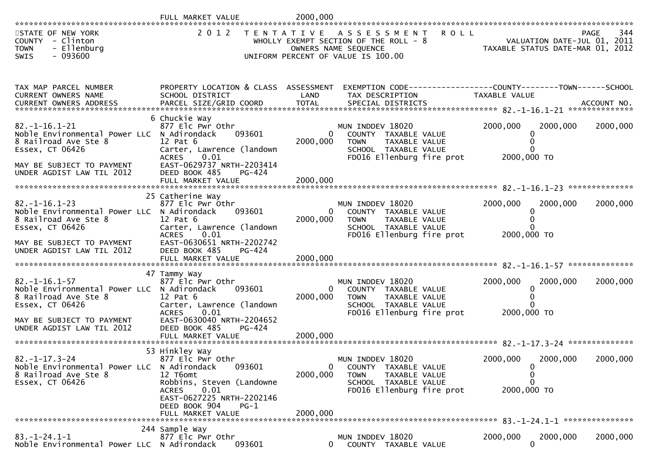| **********************                                                                                                                                                   | FULL MARKET VALUE                                                                                                                                                                                          | 2000,000                                         |                                                                                                                                  |                                                                                 |             |
|--------------------------------------------------------------------------------------------------------------------------------------------------------------------------|------------------------------------------------------------------------------------------------------------------------------------------------------------------------------------------------------------|--------------------------------------------------|----------------------------------------------------------------------------------------------------------------------------------|---------------------------------------------------------------------------------|-------------|
| STATE OF NEW YORK<br>COUNTY - Clinton<br><b>TOWN</b><br>- Ellenburg<br>$-093600$<br>SWIS                                                                                 | 2 0 1 2                                                                                                                                                                                                    |                                                  | TENTATIVE ASSESSMENT ROLL<br>WHOLLY EXEMPT SECTION OF THE ROLL - 8<br>OWNERS NAME SEQUENCE<br>UNIFORM PERCENT OF VALUE IS 100.00 | L - 8 Note to a VALUATION DATE-JUL 01, 2011<br>TAXABLE STATUS DATE-MAR 01, 2012 | 344<br>PAGE |
| TAX MAP PARCEL NUMBER<br>CURRENT OWNERS NAME<br>.CURRENT OWNERS ADDRESS PARCEL SIZE/GRID COORD TOTAL SPECIAL DISTRICTS ACCOUNT NO ACCOUNT NO ACCOUNT NO ACCOUNT          | PROPERTY LOCATION & CLASS ASSESSMENT<br>SCHOOL DISTRICT                                                                                                                                                    | LAND                                             | EXEMPTION CODE-----------------COUNTY--------TOWN------SCHOOL<br>TAX DESCRIPTION                                                 | TAXABLE VALUE                                                                   |             |
| $82. -1 - 16.1 - 21$<br>Noble Environmental Power LLC N Adirondack<br>8 Railroad Ave Ste 8<br>Essex, CT 06426<br>MAY BE SUBJECT TO PAYMENT<br>UNDER AGDIST LAW TIL 2012  | 6 Chuckie Way<br>877 Elc Pwr Othr<br>093601<br>$12$ Pat $6$<br>Carter, Lawrence (landown<br><b>ACRES</b><br>0.01<br>EAST-0629737 NRTH-2203414<br>DEED BOOK 485<br>PG-424                                   | $\overline{0}$<br>2000,000                       | MUN INDDEV 18020<br>COUNTY TAXABLE VALUE<br>TAXABLE VALUE<br><b>TOWN</b><br>SCHOOL TAXABLE VALUE<br>FD016 Ellenburg fire prot    | 2000,000<br>2000,000<br>0<br>0<br>$\Omega$<br>2000,000 TO                       | 2000,000    |
| $82. -1 - 16.1 - 23$<br>Noble Environmental Power LLC N Adirondack<br>8 Railroad Ave Ste 8<br>Essex, CT 06426<br>MAY BE SUBJECT TO PAYMENT<br>UNDER AGDIST LAW TIL 2012  | 25 Catherine Way<br>877 Elc Pwr Othr<br>093601<br>12 Pat 6<br>Carter, Lawrence (landown<br><b>ACRES</b><br>0.01<br>EAST-0630651 NRTH-2202742<br>DEED BOOK 485<br>PG-424<br>FULL MARKET VALUE               | $\overline{0}$<br>2000,000<br>2000,000           | MUN INDDEV 18020<br>COUNTY TAXABLE VALUE<br>TAXABLE VALUE<br><b>TOWN</b><br>SCHOOL TAXABLE VALUE<br>FD016 Ellenburg fire prot    | 2000,000<br>2000,000<br>0<br>$\Omega$<br>$\Omega$<br>2000,000 TO                | 2000,000    |
| $82. - 1 - 16.1 - 57$<br>Noble Environmental Power LLC N Adirondack<br>8 Railroad Ave Ste 8<br>Essex, CT 06426<br>MAY BE SUBJECT TO PAYMENT<br>UNDER AGDIST LAW TIL 2012 | 47 Tammy Way<br>877 Elc Pwr Othr<br>093601<br>$12$ Pat $6$<br>Carter, Lawrence (landown<br>ACRES 0.01<br>EAST-0630040 NRTH-2204652<br>DEED BOOK 485<br>PG-424                                              | 0<br>2000,000                                    | MUN INDDEV 18020<br>COUNTY TAXABLE VALUE<br><b>TOWN</b><br>TAXABLE VALUE<br>SCHOOL TAXABLE VALUE<br>FD016 Ellenburg fire prot    | 2000,000<br>2000,000<br>0<br>0<br>U<br>2000,000 TO                              | 2000,000    |
| $82. -1 - 17.3 - 24$<br>Noble Environmental Power LLC<br>8 Railroad Ave Ste 8<br>Essex, CT 06426                                                                         | 53 Hinkley Way<br>877 Elc Pwr Othr<br>093601<br>N Adirondack<br>12 T6omt<br>Robbins, Steven (Landowne<br>0.01<br><b>ACRES</b><br>EAST-0627225 NRTH-2202146<br>DEED BOOK 904<br>$PG-1$<br>FULL MARKET VALUE | $\overline{\phantom{0}}$<br>2000,000<br>2000,000 | MUN INDDEV 18020<br>COUNTY TAXABLE VALUE<br>TAXABLE VALUE<br><b>TOWN</b><br>SCHOOL TAXABLE VALUE<br>FD016 Ellenburg fire prot    | 2000,000<br>2000,000<br>0<br>0<br>$\Omega$<br>2000,000 TO                       | 2000,000    |
| $83. - 1 - 24.1 - 1$<br>Noble Environmental Power LLC N Adirondack                                                                                                       | 244 Sample Way<br>877 Elc Pwr Othr<br>093601                                                                                                                                                               | 0                                                | MUN INDDEV 18020<br>COUNTY TAXABLE VALUE                                                                                         | 2000,000<br>2000,000<br>$\mathbf{0}$                                            | 2000,000    |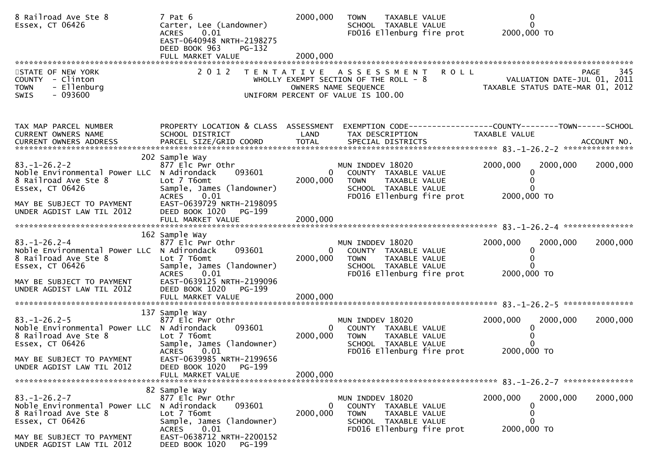| 8 Railroad Ave Ste 8<br>Essex, CT 06426                                                                                                                    | 7 Pat 6<br>Carter, Lee (Landowner)<br><b>ACRES</b><br>0.01<br>EAST-0640948 NRTH-2198275<br>DEED BOOK 963<br>PG-132                                                                        | 2000,000                 | <b>TOWN</b><br>TAXABLE VALUE<br>SCHOOL TAXABLE VALUE<br>FD016 Ellenburg fire prot                                             | 2000,000 TO             | 0                                                                              |
|------------------------------------------------------------------------------------------------------------------------------------------------------------|-------------------------------------------------------------------------------------------------------------------------------------------------------------------------------------------|--------------------------|-------------------------------------------------------------------------------------------------------------------------------|-------------------------|--------------------------------------------------------------------------------|
| STATE OF NEW YORK<br>COUNTY - Clinton<br>- Ellenburg<br><b>TOWN</b><br>$-093600$<br>SWIS                                                                   | 2 0 1 2                                                                                                                                                                                   |                          | TENTATIVE ASSESSMENT<br>WHOLLY EXEMPT SECTION OF THE ROLL - 8<br>OWNERS NAME SEQUENCE<br>UNIFORM PERCENT OF VALUE IS 100.00   | <b>ROLL</b>             | 345<br>PAGE<br>VALUATION DATE-JUL 01, 2011<br>TAXABLE STATUS DATE-MAR 01, 2012 |
| TAX MAP PARCEL NUMBER<br>CURRENT OWNERS NAME                                                                                                               | PROPERTY LOCATION & CLASS ASSESSMENT<br>SCHOOL DISTRICT                                                                                                                                   | LAND                     | TAX DESCRIPTION                                                                                                               | TAXABLE VALUE           |                                                                                |
| $83. - 1 - 26.2 - 2$<br>Noble Environmental Power LLC<br>8 Railroad Ave Ste 8<br>Essex, CT 06426<br>MAY BE SUBJECT TO PAYMENT<br>UNDER AGDIST LAW TIL 2012 | 202 Sample Way<br>877 Elc Pwr Othr<br>N Adirondack<br>093601<br>Lot 7 T6omt<br>Sample, James (landowner)<br><b>ACRES</b><br>0.01<br>EAST-0639729 NRTH-2198095<br>DEED BOOK 1020<br>PG-199 | 0<br>2000,000            | MUN INDDEV 18020<br>COUNTY TAXABLE VALUE<br>TAXABLE VALUE<br><b>TOWN</b><br>SCHOOL TAXABLE VALUE<br>FD016 Ellenburg fire prot | 2000,000<br>2000,000 TO | 2000,000<br>2000,000<br>0                                                      |
|                                                                                                                                                            |                                                                                                                                                                                           |                          |                                                                                                                               |                         |                                                                                |
| $83. - 1 - 26.2 - 4$<br>Noble Environmental Power LLC N Adirondack<br>8 Railroad Ave Ste 8<br>Essex, CT 06426                                              | 162 Sample Way<br>877 Elc Pwr Othr<br>093601<br>Lot 7 T6omt<br>Sample, James (landowner)<br>ACRES 0.01                                                                                    | $\mathbf{0}$<br>2000,000 | MUN INDDEV 18020<br>COUNTY TAXABLE VALUE<br>TAXABLE VALUE<br><b>TOWN</b><br>SCHOOL TAXABLE VALUE<br>FD016 Ellenburg fire prot | 2000,000<br>2000,000 TO | 2000,000<br>2000,000                                                           |
| MAY BE SUBJECT TO PAYMENT<br>UNDER AGDIST LAW TIL 2012                                                                                                     | EAST-0639125 NRTH-2199096<br>DEED BOOK 1020<br>PG-199                                                                                                                                     |                          |                                                                                                                               |                         |                                                                                |
| $83. - 1 - 26.2 - 5$<br>Noble Environmental Power LLC N Adirondack<br>8 Railroad Ave Ste 8<br>Essex, CT 06426<br>MAY BE SUBJECT TO PAYMENT                 | 137 Sample Way<br>877 Elc Pwr Othr<br>093601<br>Lot 7 T6omt<br>Sample, James (landowner)<br><b>ACRES</b><br>0.01<br>EAST-0639985 NRTH-2199656                                             | $\bf{0}$<br>2000,000     | MUN INDDEV 18020<br>COUNTY TAXABLE VALUE<br>TAXABLE VALUE<br><b>TOWN</b><br>SCHOOL TAXABLE VALUE<br>FD016 Ellenburg fire prot | 2000,000<br>2000,000 TO | 2000,000<br>2000,000                                                           |
| UNDER AGDIST LAW TIL 2012                                                                                                                                  | DEED BOOK 1020<br>PG-199<br>FULL MARKET VALUE                                                                                                                                             | 2000.000                 |                                                                                                                               |                         |                                                                                |
| $83. - 1 - 26.2 - 7$<br>Noble Environmental Power LLC<br>8 Railroad Ave Ste 8<br>Essex, CT 06426<br>MAY BE SUBJECT TO PAYMENT                              | 82 Sample Way<br>877 Elc Pwr Othr<br>N Adirondack<br>093601<br>Lot 7 T6omt<br>Sample, James (landowner)<br>0.01<br><b>ACRES</b><br>EAST-0638712 NRTH-2200152                              | 0<br>2000,000            | MUN INDDEV 18020<br>COUNTY TAXABLE VALUE<br><b>TOWN</b><br>TAXABLE VALUE<br>SCHOOL TAXABLE VALUE<br>FD016 Ellenburg fire prot | 2000,000<br>2000,000 TO | 2000,000<br>2000,000<br>0                                                      |
| UNDER AGDIST LAW TIL 2012                                                                                                                                  | DEED BOOK 1020<br>PG-199                                                                                                                                                                  |                          |                                                                                                                               |                         |                                                                                |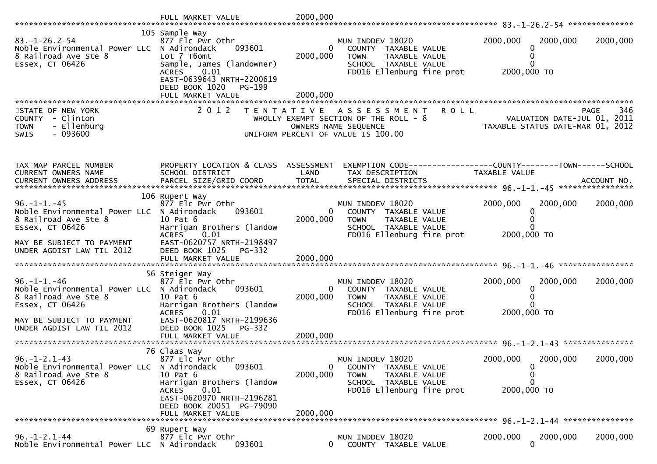|                                                                                                                | FULL MARKET VALUE                                                                                                                             | 2000,000                 |                                                                                                                                            |                                                                  |             |
|----------------------------------------------------------------------------------------------------------------|-----------------------------------------------------------------------------------------------------------------------------------------------|--------------------------|--------------------------------------------------------------------------------------------------------------------------------------------|------------------------------------------------------------------|-------------|
|                                                                                                                |                                                                                                                                               |                          |                                                                                                                                            |                                                                  |             |
| $83. - 1 - 26.2 - 54$<br>Noble Environmental Power LLC N Adirondack<br>8 Railroad Ave Ste 8<br>Essex, CT 06426 | 105 Sample Way<br>877 Elc Pwr Othr<br>093601<br>Lot 7 T6omt<br>Sample, James (landowner)<br>0.01<br><b>ACRES</b><br>EAST-0639643 NRTH-2200619 | 0<br>2000,000            | MUN INDDEV 18020<br>COUNTY TAXABLE VALUE<br>TAXABLE VALUE<br><b>TOWN</b><br>SCHOOL TAXABLE VALUE<br>FD016 Ellenburg fire prot              | 2000,000<br>2000,000<br>0<br>0<br>0<br>2000,000 TO               | 2000,000    |
|                                                                                                                | DEED BOOK 1020<br>PG-199<br>FULL MARKET VALUE                                                                                                 | 2000,000                 |                                                                                                                                            |                                                                  |             |
|                                                                                                                |                                                                                                                                               |                          |                                                                                                                                            |                                                                  |             |
| STATE OF NEW YORK<br>- Clinton<br><b>COUNTY</b><br>- Ellenburg<br><b>TOWN</b><br>$-093600$<br><b>SWIS</b>      | 2 0 1 2                                                                                                                                       |                          | TENTATIVE ASSESSMENT<br><b>ROLL</b><br>WHOLLY EXEMPT SECTION OF THE ROLL - 8<br>OWNERS NAME SEQUENCE<br>UNIFORM PERCENT OF VALUE IS 100.00 | VALUATION DATE-JUL 01, 2011<br>TAXABLE STATUS DATE-MAR 01, 2012  | 346<br>PAGE |
|                                                                                                                |                                                                                                                                               |                          |                                                                                                                                            |                                                                  |             |
| TAX MAP PARCEL NUMBER<br>CURRENT OWNERS NAME                                                                   | PROPERTY LOCATION & CLASS ASSESSMENT<br>SCHOOL DISTRICT                                                                                       | LAND                     | TAX DESCRIPTION                                                                                                                            | TAXABLE VALUE                                                    |             |
|                                                                                                                |                                                                                                                                               |                          |                                                                                                                                            |                                                                  |             |
| $96. - 1 - 1. - 45$<br>Noble Environmental Power LLC                                                           | 106 Rupert Way<br>877 Elc Pwr Othr<br>093601<br>N Adirondack                                                                                  | $\Omega$                 | MUN INDDEV 18020<br>COUNTY TAXABLE VALUE                                                                                                   | 2000,000<br>2000,000<br>0                                        | 2000,000    |
| 8 Railroad Ave Ste 8<br>Essex, CT 06426                                                                        | 10 Pat 6<br>Harrigan Brothers (landow<br>0.01<br><b>ACRES</b>                                                                                 | 2000,000                 | TAXABLE VALUE<br>TOWN<br>SCHOOL TAXABLE VALUE<br>FD016 Ellenburg fire prot                                                                 | 2000,000 TO                                                      |             |
| MAY BE SUBJECT TO PAYMENT<br>UNDER AGDIST LAW TIL 2012                                                         | EAST-0620757 NRTH-2198497<br>DEED BOOK 1025<br>PG-332<br>FULL MARKET VALUE                                                                    | 2000,000                 |                                                                                                                                            |                                                                  |             |
|                                                                                                                | 56 Steiger Way                                                                                                                                |                          |                                                                                                                                            |                                                                  |             |
| $96. - 1 - 1. - 46$<br>Noble Environmental Power LLC N Adirondack<br>8 Railroad Ave Ste 8<br>Essex, CT 06426   | 877 Elc Pwr Othr<br>093601<br>10 Pat 6<br>Harrigan Brothers (landow<br><b>ACRES</b><br>0.01                                                   | $\mathbf{0}$<br>2000,000 | MUN INDDEV 18020<br>COUNTY TAXABLE VALUE<br>TAXABLE VALUE<br><b>TOWN</b><br>SCHOOL TAXABLE VALUE<br>FD016 Ellenburg fire prot              | 2000,000<br>2000,000<br>0<br>$\Omega$<br>$\Omega$<br>2000,000 TO | 2000,000    |
| MAY BE SUBJECT TO PAYMENT<br>UNDER AGDIST LAW TIL 2012                                                         | EAST-0620817 NRTH-2199636<br>DEED BOOK 1025<br>PG-332                                                                                         |                          |                                                                                                                                            |                                                                  |             |
|                                                                                                                |                                                                                                                                               |                          |                                                                                                                                            |                                                                  |             |
| $96. - 1 - 2.1 - 43$<br>Noble Environmental Power LLC<br>8 Railroad Ave Ste 8<br>Essex, CT 06426               | 76 Claas Way<br>877 Elc Pwr Othr<br>093601<br>N Adirondack<br>10 Pat 6<br>Harrigan Brothers (landow                                           | 0<br>2000,000            | MUN INDDEV 18020<br>COUNTY TAXABLE VALUE<br><b>TOWN</b><br>TAXABLE VALUE<br>SCHOOL TAXABLE VALUE                                           | 2000,000<br>2000,000<br>$\mathbf 0$<br>0<br>0                    | 2000,000    |
|                                                                                                                | 0.01<br><b>ACRES</b><br>EAST-0620970 NRTH-2196281<br>DEED BOOK 20051 PG-79090<br>FULL MARKET VALUE                                            | 2000.000                 | FD016 Ellenburg fire prot                                                                                                                  | 2000,000 TO                                                      |             |
|                                                                                                                |                                                                                                                                               |                          |                                                                                                                                            |                                                                  |             |
| $96. - 1 - 2.1 - 44$<br>Noble Environmental Power LLC N Adirondack                                             | 69 Rupert Way<br>877 Elc Pwr Othr<br>093601                                                                                                   | 0                        | MUN INDDEV 18020<br>COUNTY TAXABLE VALUE                                                                                                   | 2000,000<br>2000,000<br>$\mathbf{0}$                             | 2000,000    |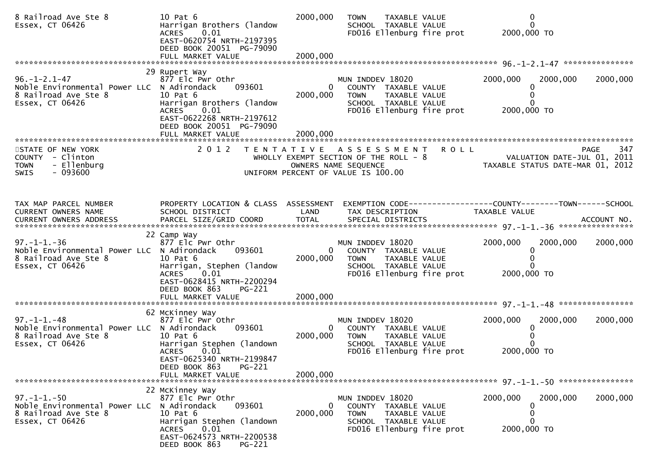| 8 Railroad Ave Ste 8<br>Essex, CT 06426                                                                       | 10 Pat 6<br>Harrigan Brothers (landow<br><b>ACRES</b><br>0.01<br>EAST-0620754 NRTH-2197395<br>DEED BOOK 20051 PG-79090                                                                     | 2000,000                               | TAXABLE VALUE<br><b>TOWN</b><br>SCHOOL TAXABLE VALUE<br>FD016 Ellenburg fire prot                                             |             | $\mathbf 0$<br>$\mathbf{0}$<br>2000,000 TO                      |                    |
|---------------------------------------------------------------------------------------------------------------|--------------------------------------------------------------------------------------------------------------------------------------------------------------------------------------------|----------------------------------------|-------------------------------------------------------------------------------------------------------------------------------|-------------|-----------------------------------------------------------------|--------------------|
|                                                                                                               |                                                                                                                                                                                            |                                        |                                                                                                                               |             |                                                                 |                    |
| $96. - 1 - 2.1 - 47$<br>Noble Environmental Power LLC N Adirondack<br>8 Railroad Ave Ste 8<br>Essex, CT 06426 | 29 Rupert Way<br>877 Elc Pwr Othr<br>093601<br>10 Pat 6<br>Harrigan Brothers (landow<br>0.01<br><b>ACRES</b><br>EAST-0622268 NRTH-2197612<br>DEED BOOK 20051 PG-79090<br>FULL MARKET VALUE | $\overline{0}$<br>2000,000<br>2000,000 | MUN INDDEV 18020<br>COUNTY TAXABLE VALUE<br>TAXABLE VALUE<br>TOWN<br>SCHOOL TAXABLE VALUE<br>FD016 Ellenburg fire prot        |             | 2000,000<br>2000,000<br>0<br>0<br>2000,000 TO                   | 2000,000           |
|                                                                                                               |                                                                                                                                                                                            |                                        |                                                                                                                               |             |                                                                 |                    |
| STATE OF NEW YORK<br>COUNTY - Clinton<br>- Ellenburg<br><b>TOWN</b><br>$-093600$<br><b>SWIS</b>               | 2 0 1 2                                                                                                                                                                                    | T E N T A T I V E                      | A S S E S S M E N T<br>WHOLLY EXEMPT SECTION OF THE ROLL - 8<br>OWNERS NAME SEQUENCE<br>UNIFORM PERCENT OF VALUE IS 100.00    | <b>ROLL</b> | VALUATION DATE-JUL 01, 2011<br>TAXABLE STATUS DATE-MAR 01, 2012 | 347<br><b>PAGE</b> |
| TAX MAP PARCEL NUMBER                                                                                         | PROPERTY LOCATION & CLASS ASSESSMENT                                                                                                                                                       |                                        |                                                                                                                               |             | EXEMPTION CODE-----------------COUNTY-------TOWN------SCHOOL    |                    |
| CURRENT OWNERS NAME                                                                                           | SCHOOL DISTRICT                                                                                                                                                                            | LAND                                   | TAX DESCRIPTION                                                                                                               |             | TAXABLE VALUE                                                   |                    |
| $97. - 1 - 1. - 36$<br>Noble Environmental Power LLC N Adirondack<br>8 Railroad Ave Ste 8<br>Essex, CT 06426  | 22 Camp Way<br>877 Elc Pwr Othr<br>093601<br>10 Pat 6<br>Harrigan, Stephen (landow<br>0.01<br>ACRES<br>EAST-0628415 NRTH-2200294<br>DEED BOOK 863<br><b>PG-221</b><br>FULL MARKET VALUE    | $\overline{0}$<br>2000,000<br>2000,000 | MUN INDDEV 18020<br>COUNTY TAXABLE VALUE<br><b>TOWN</b><br>TAXABLE VALUE<br>SCHOOL TAXABLE VALUE<br>FD016 Ellenburg fire prot |             | 2000,000<br>2000,000<br>0<br>0<br>2000,000 TO                   | 2000,000           |
|                                                                                                               |                                                                                                                                                                                            |                                        |                                                                                                                               |             |                                                                 |                    |
| $97. - 1 - 1. - 48$<br>Noble Environmental Power LLC N Adirondack<br>8 Railroad Ave Ste 8<br>Essex, CT 06426  | 62 McKinney Way<br>877 Elc Pwr Othr<br>093601<br>$10$ Pat $6$<br>Harrigan Stephen (landown<br><b>ACRES</b><br>0.01<br>EAST-0625340 NRTH-2199847<br>PG-221<br>DEED BOOK 863                 | $\overline{0}$<br>2000,000             | MUN INDDEV 18020<br>COUNTY TAXABLE VALUE<br><b>TOWN</b><br>TAXABLE VALUE<br>SCHOOL TAXABLE VALUE<br>FD016 Ellenburg fire prot |             | 2000,000<br>2000,000<br>0<br>2000,000 TO                        | 2000,000           |
|                                                                                                               | FULL MARKET VALUE                                                                                                                                                                          | 2000.000                               |                                                                                                                               |             |                                                                 |                    |
|                                                                                                               | 22 McKinney Way                                                                                                                                                                            |                                        |                                                                                                                               |             |                                                                 |                    |
| $97. - 1 - 1. - 50$<br>Noble Environmental Power LLC<br>8 Railroad Ave Ste 8<br>Essex, CT 06426               | 877 Elc Pwr Othr<br>N Adirondack<br>093601<br>10 Pat 6<br>Harrigan Stephen (landown<br>0.01<br><b>ACRES</b><br>EAST-0624573 NRTH-2200538<br>DEED BOOK 863<br>PG-221                        | $\mathbf{0}$<br>2000,000               | MUN INDDEV 18020<br>COUNTY TAXABLE VALUE<br><b>TOWN</b><br>TAXABLE VALUE<br>SCHOOL TAXABLE VALUE<br>FD016 Ellenburg fire prot |             | 2000,000<br>2000,000<br>0<br>0<br>0<br>2000,000 TO              | 2000,000           |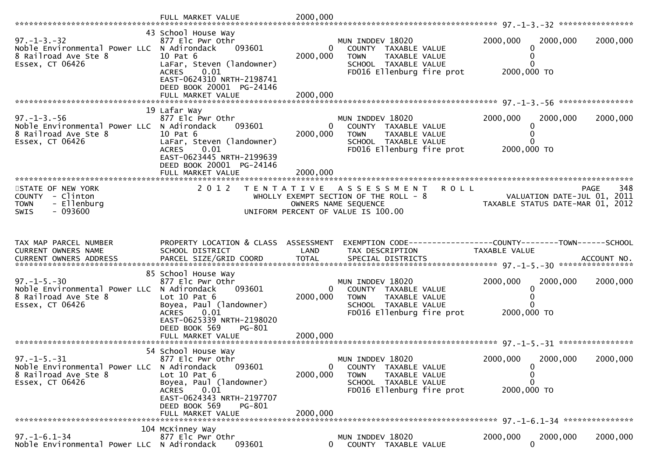|                                                                                                              | FULL MARKET VALUE                                                                                                                                                                                | 2000,000                             |                                                                                                                                           |                                                                                                |             |
|--------------------------------------------------------------------------------------------------------------|--------------------------------------------------------------------------------------------------------------------------------------------------------------------------------------------------|--------------------------------------|-------------------------------------------------------------------------------------------------------------------------------------------|------------------------------------------------------------------------------------------------|-------------|
| $97. - 1 - 3. - 32$<br>Noble Environmental Power LLC N Adirondack<br>8 Railroad Ave Ste 8<br>Essex, CT 06426 | 43 School House Way<br>877 Elc Pwr Othr<br>093601<br>10 Pat 6<br>LaFar, Steven (landowner)<br><b>ACRES</b><br>0.01<br>EAST-0624310 NRTH-2198741<br>DEED BOOK 20001 PG-24146<br>FULL MARKET VALUE | $\mathbf{0}$<br>2000,000<br>2000,000 | MUN INDDEV 18020<br>COUNTY TAXABLE VALUE<br>TAXABLE VALUE<br><b>TOWN</b><br>SCHOOL TAXABLE VALUE<br>FD016 Ellenburg fire prot             | 2000,000<br>2000,000<br>0<br>0<br>0<br>2000,000 TO                                             | 2000,000    |
|                                                                                                              | 19 Lafar Way                                                                                                                                                                                     |                                      |                                                                                                                                           |                                                                                                |             |
| $97. - 1 - 3. - 56$<br>Noble Environmental Power LLC N Adirondack<br>8 Railroad Ave Ste 8<br>Essex, CT 06426 | 877 Elc Pwr Othr<br>093601<br>10 Pat 6<br>LaFar, Steven (landowner)<br>0.01<br><b>ACRES</b><br>EAST-0623445 NRTH-2199639<br>DEED BOOK 20001 PG-24146                                             | $\overline{0}$<br>2000,000           | MUN INDDEV 18020<br>COUNTY TAXABLE VALUE<br>TAXABLE VALUE<br><b>TOWN</b><br>SCHOOL TAXABLE VALUE<br>FD016 Ellenburg fire prot             | 2000,000<br>2000,000<br>0<br>0<br>2000,000 TO                                                  | 2000,000    |
|                                                                                                              | FULL MARKET VALUE                                                                                                                                                                                | 2000,000                             |                                                                                                                                           |                                                                                                |             |
| STATE OF NEW YORK<br>COUNTY - Clinton<br>- Ellenburg<br><b>TOWN</b><br>$-093600$<br>SWIS                     | 2 0 1 2                                                                                                                                                                                          | T E N T A T I V E                    | <b>ROLL</b><br>A S S E S S M E N T<br>WHOLLY EXEMPT SECTION OF THE ROLL - 8<br>OWNERS NAME SEQUENCE<br>UNIFORM PERCENT OF VALUE IS 100.00 | VALUATION DATE-JUL 01, 2011<br>VALUATION DATE-JUL 01, 2011<br>TAXABLE STATUS DATE-MAR 01, 2012 | 348<br>PAGE |
|                                                                                                              |                                                                                                                                                                                                  |                                      |                                                                                                                                           |                                                                                                |             |
|                                                                                                              |                                                                                                                                                                                                  |                                      |                                                                                                                                           |                                                                                                |             |
| TAX MAP PARCEL NUMBER<br>CURRENT OWNERS NAME<br>CURRENT OWNERS ADDRESS                                       | PROPERTY LOCATION & CLASS ASSESSMENT<br>SCHOOL DISTRICT<br>PARCEL SIZE/GRID COORD                                                                                                                | LAND<br><b>TOTAL</b>                 | EXEMPTION CODE-----------------COUNTY-------TOWN------SCHOOL<br>TAX DESCRIPTION<br>SPECIAL DISTRICTS                                      | TAXABLE VALUE                                                                                  | ACCOUNT NO. |
|                                                                                                              | 85 School House Way                                                                                                                                                                              |                                      |                                                                                                                                           |                                                                                                |             |
| $97. - 1 - 5. - 30$<br>Noble Environmental Power LLC N Adirondack<br>8 Railroad Ave Ste 8<br>Essex, CT 06426 | 877 Elc Pwr Othr<br>093601<br>Lot $10$ Pat $6$<br>Boyea, Paul (landowner)<br><b>ACRES</b><br>0.01                                                                                                | $\mathbf{0}$<br>2000,000             | MUN INDDEV 18020<br>COUNTY TAXABLE VALUE<br>TAXABLE VALUE<br><b>TOWN</b><br>SCHOOL TAXABLE VALUE<br>FD016 Ellenburg fire prot             | 2000,000<br>2000,000<br>0<br>0<br>0<br>2000,000 TO                                             | 2000,000    |
|                                                                                                              | EAST-0625339 NRTH-2198020<br>DEED BOOK 569<br>PG-801                                                                                                                                             |                                      |                                                                                                                                           |                                                                                                |             |
|                                                                                                              |                                                                                                                                                                                                  |                                      |                                                                                                                                           |                                                                                                |             |
|                                                                                                              |                                                                                                                                                                                                  |                                      |                                                                                                                                           |                                                                                                |             |
| $97. - 1 - 5. - 31$<br>Noble Environmental Power LLC<br>8 Railroad Ave Ste 8<br>Essex, CT 06426              | 54 School House Way<br>877 Elc Pwr Othr<br>093601<br>N Adirondack<br>Lot $10$ Pat $6$<br>Boyea, Paul (landowner)                                                                                 | 0<br>2000,000                        | MUN INDDEV 18020<br>COUNTY TAXABLE VALUE<br>TAXABLE VALUE<br><b>TOWN</b><br>SCHOOL TAXABLE VALUE                                          | 2000,000<br>2000,000<br>$\mathbf 0$<br>0<br>0                                                  | 2000,000    |
|                                                                                                              | 0.01<br><b>ACRES</b><br>EAST-0624343 NRTH-2197707<br>DEED BOOK 569<br>PG-801<br>FULL MARKET VALUE                                                                                                | 2000.000                             | FD016 Ellenburg fire prot                                                                                                                 | 2000,000 TO                                                                                    |             |
|                                                                                                              | 104 McKinney Way                                                                                                                                                                                 |                                      |                                                                                                                                           |                                                                                                |             |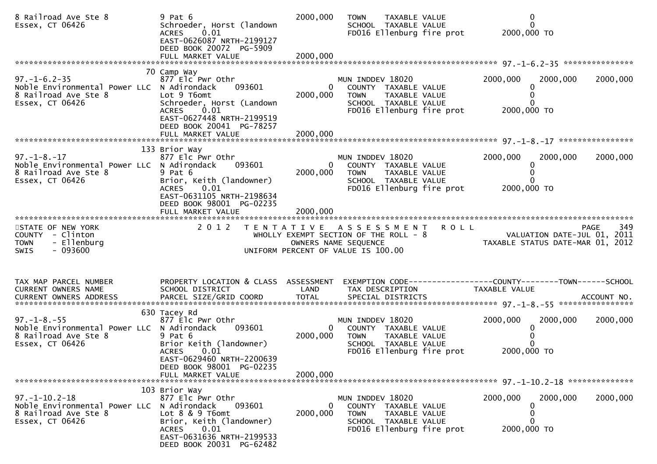| 8 Railroad Ave Ste 8<br>Essex, CT 06426                                                                       | $9$ Pat $6$<br>Schroeder, Horst (landown<br>0.01<br><b>ACRES</b><br>EAST-0626087 NRTH-2199127<br>DEED BOOK 20072 PG-5909                                                                    | 2000,000                   | TAXABLE VALUE<br><b>TOWN</b><br>SCHOOL TAXABLE VALUE<br>FD016 Ellenburg fire prot                                                             | $\mathbf 0$<br>$\Omega$<br>2000,000 TO                                                                                                      |          |
|---------------------------------------------------------------------------------------------------------------|---------------------------------------------------------------------------------------------------------------------------------------------------------------------------------------------|----------------------------|-----------------------------------------------------------------------------------------------------------------------------------------------|---------------------------------------------------------------------------------------------------------------------------------------------|----------|
|                                                                                                               |                                                                                                                                                                                             |                            |                                                                                                                                               |                                                                                                                                             |          |
| $97. - 1 - 6.2 - 35$<br>Noble Environmental Power LLC N Adirondack<br>8 Railroad Ave Ste 8<br>Essex, CT 06426 | 70 Camp Way<br>877 Elc Pwr Othr<br>093601<br>Lot 9 T6omt<br>Schroeder, Horst (Landown<br><b>ACRES</b><br>0.01<br>EAST-0627448 NRTH-2199519<br>DEED BOOK 20041 PG-78257<br>FULL MARKET VALUE | 2000,000<br>2000,000       | MUN INDDEV 18020<br>$\mathbf{0}$<br>COUNTY TAXABLE VALUE<br>TAXABLE VALUE<br><b>TOWN</b><br>SCHOOL TAXABLE VALUE<br>FD016 Ellenburg fire prot | 2000,000<br>2000,000<br>2000,000 TO                                                                                                         | 2000,000 |
|                                                                                                               |                                                                                                                                                                                             |                            |                                                                                                                                               |                                                                                                                                             |          |
| $97. - 1 - 8. - 17$<br>Noble Environmental Power LLC N Adirondack<br>8 Railroad Ave Ste 8<br>Essex, CT 06426  | 133 Brior Way<br>877 Elc Pwr Othr<br>093601<br>$9$ Pat $6$<br>Brior, Keith (landowner)<br>ACRES<br>0.01<br>EAST-0631105 NRTH-2198634<br>DEED BOOK 98001 PG-02235                            | 2000,000<br>2000,000       | MUN INDDEV 18020<br>0<br>COUNTY TAXABLE VALUE<br><b>TOWN</b><br>TAXABLE VALUE<br>SCHOOL TAXABLE VALUE<br>FD016 Ellenburg fire prot            | 2000,000<br>2000,000<br>2000,000 TO                                                                                                         | 2000,000 |
|                                                                                                               | FULL MARKET VALUE                                                                                                                                                                           |                            |                                                                                                                                               |                                                                                                                                             |          |
| STATE OF NEW YORK<br>COUNTY - Clinton<br>- Ellenburg<br><b>TOWN</b><br>$-093600$<br><b>SWIS</b>               | 2 0 1 2                                                                                                                                                                                     |                            | TENTATIVE ASSESSMENT ROLL<br>UNIFORM PERCENT OF VALUE IS 100.00                                                                               | PAGE<br>WHOLLY EXEMPT SECTION OF THE ROLL - 8<br>OWNERS NAME SEQUENCE THE ROLL - 8<br>OWNERS NAME SEQUENCE TAXABLE STATUS DATE-MAR 01, 2012 | 349      |
| TAX MAP PARCEL NUMBER<br>CURRENT OWNERS NAME                                                                  | PROPERTY LOCATION & CLASS ASSESSMENT<br>SCHOOL DISTRICT                                                                                                                                     | LAND                       | TAX DESCRIPTION                                                                                                                               | EXEMPTION CODE-----------------COUNTY--------TOWN-----SCHOOL<br>TAXABLE VALUE                                                               |          |
| $97. - 1 - 8. - 55$<br>Noble Environmental Power LLC N Adirondack<br>8 Railroad Ave Ste 8<br>Essex, CT 06426  | 630 Tacey Rd<br>877 Elc Pwr Othr<br>093601<br>$9$ Pat $6$<br>Brior Keith (landowner)<br>0.01<br><b>ACRES</b><br>EAST-0629460 NRTH-2200639<br>DEED BOOK 98001 PG-02235                       | $\overline{0}$<br>2000,000 | MUN INDDEV 18020<br>COUNTY TAXABLE VALUE<br><b>TOWN</b><br>TAXABLE VALUE<br>SCHOOL TAXABLE VALUE<br>FD016 Ellenburg fire prot                 | 2000,000<br>2000,000<br>2000,000 TO                                                                                                         | 2000,000 |
|                                                                                                               | FULL MARKET VALUE                                                                                                                                                                           | 2000.000                   |                                                                                                                                               |                                                                                                                                             |          |
|                                                                                                               |                                                                                                                                                                                             |                            |                                                                                                                                               |                                                                                                                                             |          |
| $97. - 1 - 10.2 - 18$<br>Noble Environmental Power LLC<br>8 Railroad Ave Ste 8<br>Essex, CT 06426             | 103 Brior Way<br>877 Elc Pwr Othr<br>N Adirondack<br>093601<br>Lot 8 & 9 T6omt<br>Brior, Keith (landowner)<br>0.01<br><b>ACRES</b><br>EAST-0631636 NRTH-2199533<br>DEED BOOK 20031 PG-62482 | 0<br>2000,000              | MUN INDDEV 18020<br>COUNTY TAXABLE VALUE<br><b>TOWN</b><br>TAXABLE VALUE<br>SCHOOL TAXABLE VALUE<br>FD016 Ellenburg fire prot                 | 2000,000<br>2000,000<br>2000,000 TO                                                                                                         | 2000,000 |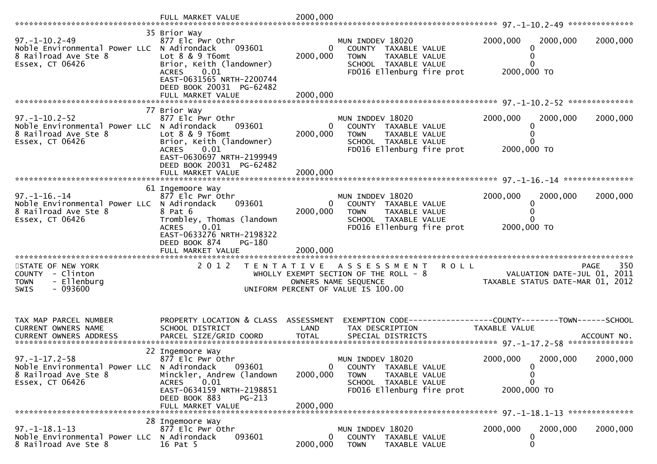|                                                                                                                | 35 Brior Way                                                                                                                                                                            |                                      |                                                                                                                                             |                                                                         |          |
|----------------------------------------------------------------------------------------------------------------|-----------------------------------------------------------------------------------------------------------------------------------------------------------------------------------------|--------------------------------------|---------------------------------------------------------------------------------------------------------------------------------------------|-------------------------------------------------------------------------|----------|
| $97. - 1 - 10.2 - 49$<br>Noble Environmental Power LLC N Adirondack<br>8 Railroad Ave Ste 8<br>Essex, CT 06426 | 877 Elc Pwr Othr<br>093601<br>Lot 8 & 9 T6omt<br>Brior, Keith (landowner)<br>0.01<br><b>ACRES</b><br>EAST-0631565 NRTH-2200744<br>DEED BOOK 20031 PG-62482<br>FULL MARKET VALUE         | $\mathbf{0}$<br>2000,000<br>2000,000 | MUN INDDEV 18020<br>COUNTY TAXABLE VALUE<br>TAXABLE VALUE<br><b>TOWN</b><br>SCHOOL TAXABLE VALUE<br>FD016 Ellenburg fire prot               | 2000,000<br>2000,000<br>2000,000 TO                                     | 2000,000 |
|                                                                                                                |                                                                                                                                                                                         |                                      |                                                                                                                                             |                                                                         |          |
| $97. - 1 - 10.2 - 52$<br>Noble Environmental Power LLC<br>8 Railroad Ave Ste 8<br>Essex, CT 06426              | 77 Brior Way<br>877 Elc Pwr Othr<br>N Adirondack<br>093601<br>Lot $8 \& 9 \t{T6}$<br>Brior, Keith (landowner)<br><b>ACRES</b><br>0.01<br>EAST-0630697 NRTH-2199949                      | 0<br>2000,000                        | MUN INDDEV 18020<br>COUNTY TAXABLE VALUE<br>TAXABLE VALUE<br><b>TOWN</b><br>SCHOOL TAXABLE VALUE<br>FD016 Ellenburg fire prot               | 2000,000<br>2000,000<br>2000,000 TO                                     | 2000,000 |
|                                                                                                                | DEED BOOK 20031 PG-62482<br>FULL MARKET VALUE                                                                                                                                           | 2000,000                             |                                                                                                                                             |                                                                         |          |
|                                                                                                                |                                                                                                                                                                                         |                                      |                                                                                                                                             |                                                                         |          |
| $97. - 1 - 16. - 14$<br>Noble Environmental Power LLC N Adirondack<br>8 Railroad Ave Ste 8<br>Essex, CT 06426  | 61 Ingemoore Way<br>877 Elc Pwr Othr<br>093601<br>8 Pat 6<br>Trombley, Thomas (landown<br><b>ACRES</b><br>0.01<br>EAST-0633276 NRTH-2198322<br>DEED BOOK 874<br>PG-180                  | $\mathbf{0}$<br>2000,000             | MUN INDDEV 18020<br>COUNTY TAXABLE VALUE<br><b>TOWN</b><br>TAXABLE VALUE<br>SCHOOL TAXABLE VALUE<br>FD016 Ellenburg fire prot               | 2000,000<br>2000,000<br>2000,000 TO                                     | 2000,000 |
|                                                                                                                |                                                                                                                                                                                         |                                      |                                                                                                                                             |                                                                         |          |
| STATE OF NEW YORK<br>COUNTY - Clinton<br>- Ellenburg<br><b>TOWN</b><br>$-093600$<br><b>SWIS</b>                | 2 0 1 2                                                                                                                                                                                 |                                      | <b>ROLL</b><br>TENTATIVE ASSESSMENT<br>WHOLLY EXEMPT SECTION OF THE ROLL $-8$<br>OWNERS NAME SEQUENCE<br>UNIFORM PERCENT OF VALUE IS 100.00 | PAGE<br>VALUATION DATE-JUL 01, 2011<br>TAXABLE STATUS DATE-MAR 01, 2012 | 350      |
| TAX MAP PARCEL NUMBER<br>CURRENT OWNERS NAME                                                                   | PROPERTY LOCATION & CLASS ASSESSMENT<br>SCHOOL DISTRICT                                                                                                                                 | LAND                                 | EXEMPTION CODE-----------------COUNTY-------TOWN------SCHOOL<br>TAX DESCRIPTION                                                             | TAXABLE VALUE                                                           |          |
| $97. - 1 - 17.2 - 58$<br>Noble Environmental Power LLC N Adirondack<br>8 Railroad Ave Ste 8<br>Essex, CT 06426 | 22 Ingemoore Way<br>877 Elc Pwr Othr<br>093601<br>Minckler, Andrew (landown<br>0.01<br><b>ACRES</b><br>EAST-0634159 NRTH-2198851<br>DEED BOOK 883<br><b>PG-213</b><br>FULL MARKET VALUE | 0<br>2000,000<br>2000,000            | MUN INDDEV 18020<br>COUNTY TAXABLE VALUE<br>TAXABLE VALUE<br><b>TOWN</b><br>SCHOOL TAXABLE VALUE<br>FD016 Ellenburg fire prot               | 2000,000<br>2000,000<br>0<br>0<br>0<br>2000,000 TO                      | 2000,000 |
|                                                                                                                | 28 Ingemoore Way                                                                                                                                                                        |                                      |                                                                                                                                             |                                                                         |          |
| $97. - 1 - 18.1 - 13$<br>Noble Environmental Power LLC N Adirondack<br>8 Railroad Ave Ste 8                    | 877 Elc Pwr Othr<br>093601<br>16 Pat 5                                                                                                                                                  | $\bf{0}$<br>2000,000                 | MUN INDDEV 18020<br>COUNTY TAXABLE VALUE<br><b>TOWN</b><br>TAXABLE VALUE                                                                    | 2000,000<br>2000,000<br>0<br>0                                          | 2000,000 |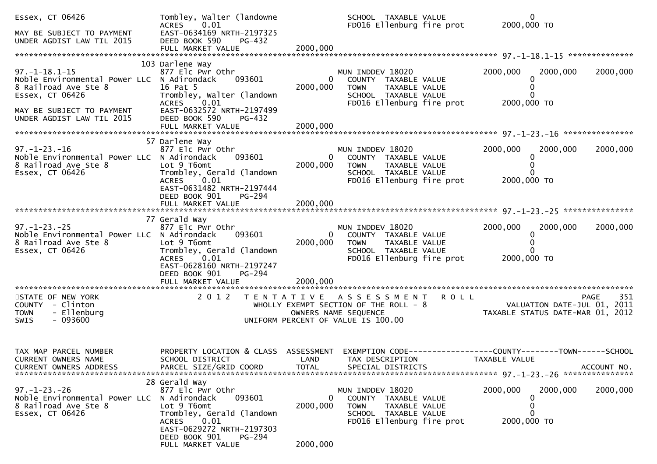| Essex, CT 06426<br>MAY BE SUBJECT TO PAYMENT<br>UNDER AGDIST LAW TIL 2015                                      | Tombley, Walter (landowne<br>ACRES 0.01<br>EAST-0634169 NRTH-2197325<br>DEED BOOK 590<br>PG-432                                                                                       |                                  | SCHOOL TAXABLE VALUE<br>FD016 Ellenburg fire prot                                                                                             | $\mathbf{0}$<br>2000,000 TO                                     |             |
|----------------------------------------------------------------------------------------------------------------|---------------------------------------------------------------------------------------------------------------------------------------------------------------------------------------|----------------------------------|-----------------------------------------------------------------------------------------------------------------------------------------------|-----------------------------------------------------------------|-------------|
|                                                                                                                |                                                                                                                                                                                       |                                  |                                                                                                                                               |                                                                 |             |
| $97. - 1 - 18.1 - 15$<br>Noble Environmental Power LLC N Adirondack<br>8 Railroad Ave Ste 8<br>Essex, CT 06426 | 103 Darlene Way<br>877 Elc Pwr Othr<br>093601<br>16 Pat 5<br>Trombley, Walter (landown<br>0.01<br><b>ACRES</b>                                                                        | $\mathbf{0}$<br>2000,000         | MUN INDDEV 18020<br>COUNTY TAXABLE VALUE<br><b>TOWN</b><br>TAXABLE VALUE<br>SCHOOL TAXABLE VALUE<br>FD016 Ellenburg fire prot                 | 2000,000<br>2000,000<br>0<br>2000,000 TO                        | 2000,000    |
| MAY BE SUBJECT TO PAYMENT<br>UNDER AGDIST LAW TIL 2015                                                         | EAST-0632572 NRTH-2197499<br>DEED BOOK 590<br>PG-432                                                                                                                                  |                                  |                                                                                                                                               |                                                                 |             |
| $97. - 1 - 23. - 16$<br>Noble Environmental Power LLC N Adirondack<br>8 Railroad Ave Ste 8<br>Essex, CT 06426  | 57 Darlene Way<br>877 Elc Pwr Othr<br>093601<br>Lot 9 T6omt<br>Trombley, Gerald (landown<br>ACRES 0.01<br>EAST-0631482 NRTH-2197444<br>DEED BOOK 901<br>PG-294                        | $\mathbf{0}$<br>2000,000         | MUN INDDEV 18020<br>COUNTY TAXABLE VALUE<br>TAXABLE VALUE<br><b>TOWN</b><br>SCHOOL TAXABLE VALUE<br>FD016 Ellenburg fire prot                 | 2000,000<br>2000,000<br>2000,000 TO                             | 2000,000    |
|                                                                                                                |                                                                                                                                                                                       |                                  |                                                                                                                                               |                                                                 |             |
| $97. - 1 - 23. - 25$<br>Noble Environmental Power LLC N Adirondack<br>8 Railroad Ave Ste 8<br>Essex, CT 06426  | 77 Gerald Way<br>877 Elc Pwr Othr<br>093601<br>Lot 9 T6omt<br>Trombley, Gerald (landown<br>ACRES 0.01<br>EAST-0628160 NRTH-2197247<br>DEED BOOK 901<br>PG-294<br>FULL MARKET VALUE    | 2000,000<br>2000,000             | MUN INDDEV 18020<br>$\mathbf{0}$<br>COUNTY TAXABLE VALUE<br><b>TOWN</b><br>TAXABLE VALUE<br>SCHOOL TAXABLE VALUE<br>FD016 Ellenburg fire prot | 2000,000<br>2000,000<br>2000,000 TO                             | 2000,000    |
| STATE OF NEW YORK                                                                                              | 2012 TENTATIVE ASSESSMENT ROLL                                                                                                                                                        |                                  |                                                                                                                                               |                                                                 | 351<br>PAGE |
| COUNTY - Clinton<br><b>TOWN</b><br>- Ellenburg<br>$-093600$<br><b>SWIS</b>                                     |                                                                                                                                                                                       |                                  | WHOLLY EXEMPT SECTION OF THE ROLL - 8<br>OWNERS NAME SEQUENCE<br>UNIFORM PERCENT OF VALUE IS 100.00                                           | VALUATION DATE-JUL 01, 2011<br>TAXABLE STATUS DATE-MAR 01, 2012 |             |
| TAX MAP PARCEL NUMBER<br>CURRENT OWNERS NAME                                                                   | PROPERTY LOCATION & CLASS ASSESSMENT<br>SCHOOL DISTRICT                                                                                                                               | LAND                             | TAX DESCRIPTION                                                                                                                               | TAXABLE VALUE                                                   |             |
| $97. - 1 - 23. - 26$<br>Noble Environmental Power LLC N Adirondack<br>8 Railroad Ave Ste 8<br>Essex, CT 06426  | 28 Gerald Way<br>877 Elc Pwr Othr<br>093601<br>Lot 9 T6omt<br>Trombley, Gerald (landown<br>0.01<br>ACRES<br>EAST-0629272 NRTH-2197303<br>DEED BOOK 901<br>PG-294<br>FULL MARKET VALUE | $\bf{0}$<br>2000,000<br>2000,000 | MUN INDDEV 18020<br>COUNTY TAXABLE VALUE<br>TAXABLE VALUE<br><b>TOWN</b><br>SCHOOL TAXABLE VALUE<br>FD016 Ellenburg fire prot                 | 2000,000<br>2000,000<br>0<br>0<br>2000,000 TO                   | 2000,000    |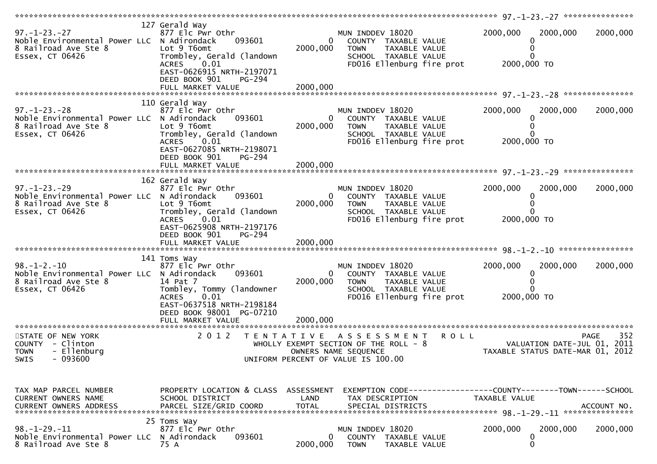| $97. - 1 - 23. - 27$<br>Noble Environmental Power LLC N Adirondack<br>8 Railroad Ave Ste 8<br>Essex, CT 06426 | 127 Gerald Way<br>877 Elc Pwr Othr<br>093601<br>Lot 9 T6omt<br>Trombley, Gerald (landown<br>ACRES 0.01<br>EAST-0626915 NRTH-2197071<br>DEED BOOK 901<br>PG-294       | $\overline{0}$<br>2000,000 | MUN INDDEV 18020<br>COUNTY TAXABLE VALUE<br><b>TOWN</b><br>TAXABLE VALUE<br>SCHOOL TAXABLE VALUE<br>FD016 Ellenburg fire prot             | 2000,000<br>2000,000<br>2000,000 TO                                             | 2000,000           |
|---------------------------------------------------------------------------------------------------------------|----------------------------------------------------------------------------------------------------------------------------------------------------------------------|----------------------------|-------------------------------------------------------------------------------------------------------------------------------------------|---------------------------------------------------------------------------------|--------------------|
|                                                                                                               | 110 Gerald Way                                                                                                                                                       |                            |                                                                                                                                           |                                                                                 |                    |
| $97. - 1 - 23. - 28$<br>Noble Environmental Power LLC N Adirondack<br>8 Railroad Ave Ste 8<br>Essex, CT 06426 | 877 Elc Pwr Othr<br>093601<br>Lot 9 T6omt<br>Trombley, Gerald (landown<br>ACRES<br>0.01<br>EAST-0627085 NRTH-2198071<br>DEED BOOK 901<br>PG-294                      | 0<br>2000,000              | MUN INDDEV 18020<br>COUNTY TAXABLE VALUE<br>TAXABLE VALUE<br><b>TOWN</b><br>SCHOOL TAXABLE VALUE<br>FD016 Ellenburg fire prot             | 2000,000<br>2000,000<br>$\Omega$<br>2000,000 TO                                 | 2000,000           |
|                                                                                                               |                                                                                                                                                                      |                            |                                                                                                                                           |                                                                                 |                    |
|                                                                                                               |                                                                                                                                                                      |                            |                                                                                                                                           |                                                                                 |                    |
| $97. - 1 - 23. - 29$<br>Noble Environmental Power LLC N Adirondack<br>8 Railroad Ave Ste 8<br>Essex, CT 06426 | 162 Gerald Way<br>877 Elc Pwr Othr<br>093601<br>Lot 9 T6omt<br>Trombley, Gerald (landown<br>ACRES 0.01<br>EAST-0625908 NRTH-2197176                                  | $\overline{0}$<br>2000,000 | MUN INDDEV 18020<br>COUNTY TAXABLE VALUE<br><b>TOWN</b><br>TAXABLE VALUE<br>SCHOOL TAXABLE VALUE<br>FD016 Ellenburg fire prot             | 2000,000<br>2000,000<br>2000,000 TO                                             | 2000,000           |
|                                                                                                               | DEED BOOK 901<br>PG-294                                                                                                                                              |                            |                                                                                                                                           |                                                                                 |                    |
|                                                                                                               |                                                                                                                                                                      |                            |                                                                                                                                           |                                                                                 |                    |
|                                                                                                               |                                                                                                                                                                      |                            |                                                                                                                                           |                                                                                 |                    |
| $98. - 1 - 2. - 10$<br>Noble Environmental Power LLC N Adirondack<br>8 Railroad Ave Ste 8<br>Essex, CT 06426  | 141 Toms Way<br>877 Elc Pwr Othr<br>093601<br>14 Pat 7<br>Tombley, Tommy (landowner<br>0.01<br><b>ACRES</b><br>EAST-0637518 NRTH-2198184<br>DEED BOOK 98001 PG-07210 | $\overline{0}$<br>2000,000 | MUN INDDEV 18020<br>COUNTY TAXABLE VALUE<br><b>TOWN</b><br>TAXABLE VALUE<br>SCHOOL TAXABLE VALUE<br>FD016 Ellenburg fire prot             | 2000,000<br>2000,000<br>2000,000 TO                                             | 2000,000           |
|                                                                                                               |                                                                                                                                                                      |                            |                                                                                                                                           |                                                                                 |                    |
| STATE OF NEW YORK<br>COUNTY - Clinton<br>- Ellenburg<br><b>TOWN</b><br>$-093600$<br>SWIS                      | 2 0 1 2                                                                                                                                                              | T E N T A T I V E          | <b>ROLL</b><br>A S S E S S M E N T<br>WHOLLY EXEMPT SECTION OF THE ROLL - 8<br>OWNERS NAME SEQUENCE<br>UNIFORM PERCENT OF VALUE IS 100.00 | VALUATION DATE-JUL 01, 2011<br>TAXABLE STATUS DATE-MAR 01, 2012                 | 352<br><b>PAGE</b> |
|                                                                                                               |                                                                                                                                                                      |                            |                                                                                                                                           |                                                                                 |                    |
| TAX MAP PARCEL NUMBER<br>CURRENT OWNERS NAME                                                                  | PROPERTY LOCATION & CLASS ASSESSMENT<br>SCHOOL DISTRICT                                                                                                              | LAND                       | TAX DESCRIPTION                                                                                                                           | EXEMPTION CODE------------------COUNTY--------TOWN------SCHOOL<br>TAXABLE VALUE |                    |
|                                                                                                               | 25 Toms Way                                                                                                                                                          |                            |                                                                                                                                           |                                                                                 |                    |
| <u>98. –1–29. –11</u><br>Noble Environmental Power LLC<br>8 Railroad Ave Ste 8                                | 877 Elc Pwr Othr<br>N Adirondack<br>093601<br>75 A                                                                                                                   | 0<br>2000,000              | MUN INDDEV 18020<br>COUNTY<br>TAXABLE VALUE<br><b>TOWN</b><br>TAXABLE VALUE                                                               | 2000,000<br>2000,000<br>0<br>0                                                  | 2000,000           |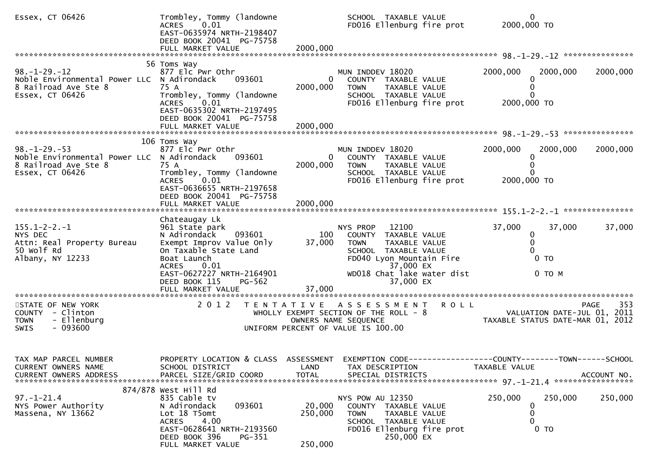| Essex, CT 06426                                                                                               | Trombley, Tommy (landowne<br><b>ACRES</b><br>0.01<br>EAST-0635974 NRTH-2198407<br>DEED BOOK 20041 PG-75758<br>FULL MARKET VALUE                                                     | 2000,000                     | SCHOOL TAXABLE VALUE<br>FD016 Ellenburg fire prot                                                                                           |             | 0<br>2000,000 TO                                                |                    |
|---------------------------------------------------------------------------------------------------------------|-------------------------------------------------------------------------------------------------------------------------------------------------------------------------------------|------------------------------|---------------------------------------------------------------------------------------------------------------------------------------------|-------------|-----------------------------------------------------------------|--------------------|
|                                                                                                               | 56 Toms Way                                                                                                                                                                         |                              |                                                                                                                                             |             |                                                                 |                    |
| $98. - 1 - 29. - 12$<br>Noble Environmental Power LLC N Adirondack<br>8 Railroad Ave Ste 8<br>Essex, CT 06426 | 877 Elc Pwr Othr<br>093601<br>75 A<br>Trombley, Tommy (landowne<br>0.01<br><b>ACRES</b><br>EAST-0635302 NRTH-2197495<br>DEED BOOK 20041 PG-75758                                    | $\overline{0}$<br>2000,000   | MUN INDDEV 18020<br>COUNTY TAXABLE VALUE<br><b>TOWN</b><br>TAXABLE VALUE<br>SCHOOL TAXABLE VALUE<br>FD016 Ellenburg fire prot               |             | 2000,000<br>2000,000<br>2000,000 TO                             | 2000,000           |
|                                                                                                               | FULL MARKET VALUE                                                                                                                                                                   | 2000,000                     |                                                                                                                                             |             |                                                                 |                    |
|                                                                                                               |                                                                                                                                                                                     |                              |                                                                                                                                             |             |                                                                 |                    |
| $98. - 1 - 29. - 53$<br>Noble Environmental Power LLC N Adirondack<br>8 Railroad Ave Ste 8<br>Essex, CT 06426 | 106 Toms Way<br>877 Elc Pwr Othr<br>093601<br>75 A<br>Trombley, Tommy (landowne<br>0.01<br>ACRES<br>EAST-0636655 NRTH-2197658<br>DEED BOOK 20041 PG-75758                           | 0<br>2000,000                | MUN INDDEV 18020<br>COUNTY TAXABLE VALUE<br>TAXABLE VALUE<br><b>TOWN</b><br>SCHOOL TAXABLE VALUE<br>FD016 Ellenburg fire prot               |             | 2000,000<br>2000,000<br>2000,000 TO                             | 2000,000           |
|                                                                                                               | FULL MARKET VALUE                                                                                                                                                                   | 2000,000                     |                                                                                                                                             |             |                                                                 |                    |
|                                                                                                               |                                                                                                                                                                                     |                              |                                                                                                                                             |             |                                                                 |                    |
| $155.1 - 2 - 2. - 1$<br>NYS DEC<br>Attn: Real Property Bureau<br>50 Wolf Rd<br>Albany, NY 12233               | Chateaugay Lk<br>961 State park<br>093601<br>N Adirondack<br>Exempt Improv Value Only<br>On Taxable State Land<br>Boat Launch<br><b>ACRES</b><br>0.01                               | 100<br>37,000                | 12100<br>NYS PROP<br>COUNTY TAXABLE VALUE<br>TAXABLE VALUE<br><b>TOWN</b><br>SCHOOL TAXABLE VALUE<br>FD040 Lyon Mountain Fire<br>37,000 EX  |             | 37,000<br>37,000<br>0<br>0<br>0 <sub>T</sub>                    | 37,000             |
|                                                                                                               | EAST-0627227 NRTH-2164901<br>PG-562<br>DEED BOOK 115<br>FULL MARKET VALUE                                                                                                           | 37,000                       | WD018 Chat lake water dist<br>37,000 EX                                                                                                     |             | $0$ TO $M$                                                      |                    |
|                                                                                                               |                                                                                                                                                                                     |                              |                                                                                                                                             |             |                                                                 |                    |
| STATE OF NEW YORK<br>COUNTY - Clinton<br>- Ellenburg<br><b>TOWN</b><br>$-093600$<br><b>SWIS</b>               | 2 0 1 2                                                                                                                                                                             | T E N T A T I V E            | A S S E S S M E N T<br>WHOLLY EXEMPT SECTION OF THE ROLL - 8<br>OWNERS NAME SEQUENCE<br>UNIFORM PERCENT OF VALUE IS 100.00                  | <b>ROLL</b> | VALUATION DATE-JUL 01, 2011<br>TAXABLE STATUS DATE-MAR 01, 2012 | 353<br><b>PAGE</b> |
|                                                                                                               |                                                                                                                                                                                     |                              |                                                                                                                                             |             |                                                                 |                    |
| TAX MAP PARCEL NUMBER<br>CURRENT OWNERS NAME<br>CURRENT OWNERS ADDRESS                                        | PROPERTY LOCATION & CLASS ASSESSMENT EXEMPTION CODE----------------COUNTY-------TOWN------SCHOOL<br>SCHOOL DISTRICT<br>PARCEL SIZE/GRID COORD                                       | LAND<br><b>TOTAL</b>         | TAX DESCRIPTION<br>SPECIAL DISTRICTS                                                                                                        |             | TAXABLE VALUE                                                   | ACCOUNT NO.        |
| $97. - 1 - 21.4$<br>NYS Power Authority<br>Massena, NY 13662                                                  | 874/878 West Hill Rd<br>835 Cable tv<br>093601<br>N Adirondack<br>Lot 18 T5omt<br>4.00<br><b>ACRES</b><br>EAST-0628641 NRTH-2193560<br>DEED BOOK 396<br>PG-351<br>FULL MARKET VALUE | 20,000<br>250,000<br>250,000 | NYS POW AU 12350<br>COUNTY TAXABLE VALUE<br><b>TOWN</b><br>TAXABLE VALUE<br>SCHOOL TAXABLE VALUE<br>FD016 Ellenburg fire prot<br>250,000 EX |             | 250,000<br>250,000<br>0<br>0<br>0 <sub>T</sub>                  | 250,000            |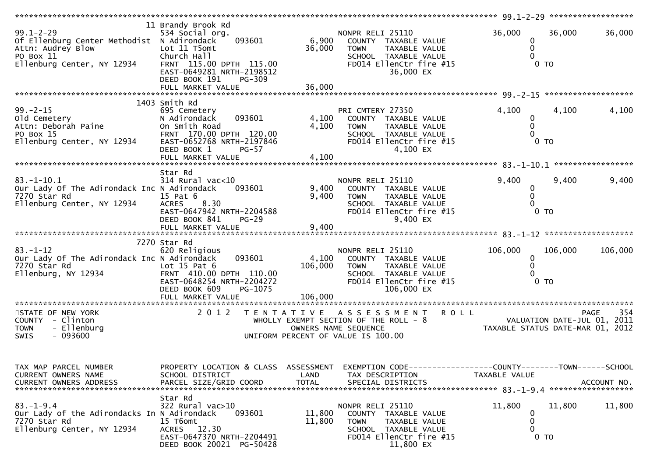| ***************************                                                                                                   |                                                                                                                                                                      |                             |                                                                                                                                           |                                        |                                                                                       |
|-------------------------------------------------------------------------------------------------------------------------------|----------------------------------------------------------------------------------------------------------------------------------------------------------------------|-----------------------------|-------------------------------------------------------------------------------------------------------------------------------------------|----------------------------------------|---------------------------------------------------------------------------------------|
| $99.1 - 2 - 29$<br>Of Ellenburg Center Methodist N Adirondack<br>Attn: Audrey Blow<br>PO Box 11<br>Ellenburg Center, NY 12934 | 11 Brandy Brook Rd<br>534 Social org.<br>093601<br>Lot 11 T5omt<br>Church Hall<br>FRNT 115.00 DPTH 115.00<br>EAST-0649281 NRTH-2198512<br>DEED BOOK 191<br>PG-309    | 6,900<br>36,000             | NONPR RELI 25110<br>COUNTY TAXABLE VALUE<br>TAXABLE VALUE<br><b>TOWN</b><br>SCHOOL TAXABLE VALUE<br>FD014 EllenCtr fire #15<br>36,000 EX  | 36,000<br>0<br>0<br>0 <sub>T</sub>     | 36,000<br>36,000                                                                      |
|                                                                                                                               |                                                                                                                                                                      |                             |                                                                                                                                           |                                        |                                                                                       |
| $99. - 2 - 15$<br>old Cemetery<br>Attn: Deborah Paine<br>PO Box 15<br>Ellenburg Center, NY 12934                              | 1403 Smith Rd<br>695 Cemetery<br>093601<br>N Adirondack<br>On Smith Road<br>FRNT 170.00 DPTH 120.00<br>EAST-0652768 NRTH-2197846<br>DEED BOOK 1<br>$PG-57$           | 4,100<br>4,100              | PRI CMTERY 27350<br>COUNTY TAXABLE VALUE<br><b>TOWN</b><br>TAXABLE VALUE<br>SCHOOL TAXABLE VALUE<br>FD014 EllenCtr fire #15<br>4,100 EX   | 4,100<br>0<br>0<br>0 <sub>T</sub>      | 4,100<br>4,100                                                                        |
|                                                                                                                               | FULL MARKET VALUE                                                                                                                                                    | 4,100                       |                                                                                                                                           |                                        |                                                                                       |
| $83. - 1 - 10.1$<br>Our Lady Of The Adirondack Inc N Adirondack<br>7270 Star Rd<br>Ellenburg Center, NY 12934                 | Star Rd<br>$314$ Rural vac<10<br>093601<br>15 Pat 6<br><b>ACRES</b><br>8.30<br>EAST-0647942 NRTH-2204588<br>DEED BOOK 841<br>$PG-29$<br>FULL MARKET VALUE            | 9,400<br>9,400<br>9,400     | NONPR RELI 25110<br>COUNTY TAXABLE VALUE<br><b>TOWN</b><br>TAXABLE VALUE<br>SCHOOL TAXABLE VALUE<br>FD014 EllenCtr fire #15<br>9,400 EX   | 9,400<br>0<br>0<br>$0$ TO              | 9,400<br>9,400                                                                        |
|                                                                                                                               |                                                                                                                                                                      |                             |                                                                                                                                           |                                        |                                                                                       |
| $83. - 1 - 12$<br>Our Lady Of The Adirondack Inc N Adirondack<br>7270 Star Rd<br>Ellenburg, NY 12934                          | 7270 Star Rd<br>620 Religious<br>093601<br>Lot $15$ Pat $6$<br>FRNT 410.00 DPTH 110.00<br>EAST-0648254 NRTH-2204272<br>DEED BOOK 609<br>PG-1075<br>FULL MARKET VALUE | 4,100<br>106,000<br>106,000 | NONPR RELI 25110<br>COUNTY TAXABLE VALUE<br>TAXABLE VALUE<br><b>TOWN</b><br>SCHOOL TAXABLE VALUE<br>FD014 EllenCtr fire #15<br>106,000 EX | 106,000<br>0<br>0 <sub>T</sub>         | 106,000<br>106,000                                                                    |
| ***********************                                                                                                       | *************************                                                                                                                                            |                             |                                                                                                                                           |                                        |                                                                                       |
| STATE OF NEW YORK<br>COUNTY - Clinton<br><b>TOWN</b><br>- Ellenburg<br>$-093600$<br>SWIS                                      | 2 0 1 2                                                                                                                                                              | T E N T A T I V E           | A S S E S S M E N T R O L L<br>WHOLLY EXEMPT SECTION OF THE ROLL - 8<br>OWNERS NAME SEQUENCE<br>UNIFORM PERCENT OF VALUE IS 100.00        |                                        | 354<br><b>PAGE</b><br>VALUATION DATE-JUL 01, 2011<br>TAXABLE STATUS DATE-MAR 01, 2012 |
| TAX MAP PARCEL NUMBER<br>CURRENT OWNERS NAME<br>CURRENT OWNERS ADDRESS                                                        | PROPERTY LOCATION & CLASS ASSESSMENT<br>SCHOOL DISTRICT<br>PARCEL SIZE/GRID COORD                                                                                    | LAND<br><b>TOTAL</b>        | EXEMPTION CODE-----------------COUNTY--------TOWN------SCHOOL<br>TAX DESCRIPTION<br>SPECIAL DISTRICTS                                     | TAXABLE VALUE                          | ACCOUNT NO.                                                                           |
| $83. - 1 - 9.4$<br>Our Lady of the Adirondacks In N Adirondack<br>7270 Star Rd<br>Ellenburg Center, NY 12934                  | Star Rd<br>322 Rural vac>10<br>093601<br>15 T6omt<br>ACRES 12.30<br>EAST-0647370 NRTH-2204491<br>DEED BOOK 20021 PG-50428                                            | 11,800<br>11,800            | NONPR RELI 25110<br>COUNTY TAXABLE VALUE<br><b>TOWN</b><br>TAXABLE VALUE<br>SCHOOL TAXABLE VALUE<br>FD014 EllenCtr fire #15<br>11,800 EX  | 11,800<br>0<br>0<br>$\Omega$<br>$0$ TO | 11,800<br>11,800                                                                      |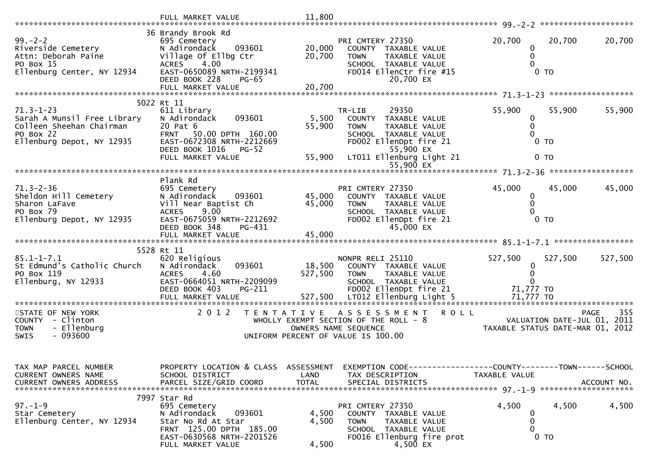|                                                                                                                      | FULL MARKET VALUE                                                                                                                                                                        | 11,800                     |                                                                                                                                                                       |                                              |                                                                                |         |
|----------------------------------------------------------------------------------------------------------------------|------------------------------------------------------------------------------------------------------------------------------------------------------------------------------------------|----------------------------|-----------------------------------------------------------------------------------------------------------------------------------------------------------------------|----------------------------------------------|--------------------------------------------------------------------------------|---------|
| $99. - 2 - 2$<br>Riverside Cemetery<br>Attn: Deborah Paine<br>PO Box 15<br>Ellenburg Center, NY 12934                | 36 Brandy Brook Rd<br>695 Cemetery<br>093601<br>N Adirondack<br>Village Of Ellbg Ctr<br>4.00<br><b>ACRES</b><br>EAST-0650089 NRTH-2199341<br>DEED BOOK 228<br>PG-65<br>FULL MARKET VALUE | 20,000<br>20,700<br>20,700 | PRI CMTERY 27350<br>COUNTY TAXABLE VALUE<br><b>TOWN</b><br>TAXABLE VALUE<br>SCHOOL TAXABLE VALUE<br>FD014 EllenCtr fire #15<br>20,700 EX                              | 20,700<br>0<br>0 <sub>T</sub>                | 20,700                                                                         | 20,700  |
|                                                                                                                      | 5022 Rt 11                                                                                                                                                                               |                            |                                                                                                                                                                       |                                              |                                                                                |         |
| $71.3 - 1 - 23$<br>Sarah A Munsil Free Library<br>Colleen Sheehan Chairman<br>PO Box 22<br>Ellenburg Depot, NY 12935 | 611 Library<br>093601<br>N Adirondack<br>20 Pat 6<br><b>FRNT</b><br>50.00 DPTH 160.00<br>EAST-0672308 NRTH-2212669<br>DEED BOOK 1016<br>$PG-52$<br>FULL MARKET VALUE                     | 5,500<br>55,900<br>55,900  | TR-LIB<br>29350<br>COUNTY<br>TAXABLE VALUE<br><b>TOWN</b><br>TAXABLE VALUE<br>SCHOOL TAXABLE VALUE<br>FD002 EllenDpt fire 21<br>55,900 EX<br>LT011 Ellenburg Light 21 | 55,900<br>0<br>0<br>$0$ TO<br>0 <sub>T</sub> | 55,900                                                                         | 55,900  |
|                                                                                                                      |                                                                                                                                                                                          |                            | 55,900 EX                                                                                                                                                             |                                              |                                                                                |         |
| $71.3 - 2 - 36$<br>Sheldon Hill Cemetery<br>Sharon LaFave<br>PO Box 79<br>Ellenburg Depot, NY 12935                  | Plank Rd<br>695 Cemetery<br>N Adirondack<br>093601<br>Vill Near Baptist Ch<br>9.00<br><b>ACRES</b><br>EAST-0675059 NRTH-2212692<br>DEED BOOK 348<br>PG-431                               | 45,000<br>45,000           | PRI CMTERY 27350<br>COUNTY TAXABLE VALUE<br>TAXABLE VALUE<br><b>TOWN</b><br>SCHOOL TAXABLE VALUE<br>FD002 EllenDpt fire 21<br>45,000 EX                               | 45,000<br>0<br>0 <sub>T</sub>                | 45,000                                                                         | 45,000  |
|                                                                                                                      | 5528 Rt 11                                                                                                                                                                               |                            |                                                                                                                                                                       |                                              |                                                                                |         |
| $85.1 - 1 - 7.1$<br>St Edmund's Catholic Church<br>PO Box 119<br>Ellenburg, NY 12933                                 | 620 Religious<br>093601<br>N Adirondack<br>4.60<br><b>ACRES</b><br>EAST-0664051 NRTH-2209099<br>DEED BOOK 403<br>PG-211<br>FULL MARKET VALUE                                             | 18,500<br>527,500          | NONPR RELI 25110<br>COUNTY TAXABLE VALUE<br>TAXABLE VALUE<br><b>TOWN</b><br>SCHOOL TAXABLE VALUE<br>FD002 EllenDpt fire 21<br>527,500 LT012 Ellenburg Light 5         | 527,500<br>0<br>71,777 TO<br>71,777 TO       | 527,500                                                                        | 527,500 |
| *************************                                                                                            | ************************                                                                                                                                                                 |                            |                                                                                                                                                                       |                                              |                                                                                |         |
| STATE OF NEW YORK<br>COUNTY - Clinton<br><b>TOWN</b><br>- Ellenburg<br>$-093600$<br>SWIS                             | 2 0 1 2<br>T E N T A T I V E                                                                                                                                                             |                            | <b>ROLL</b><br>A S S E S S M E N T<br>WHOLLY EXEMPT SECTION OF THE ROLL - 8<br>OWNERS NAME SEQUENCE<br>UNIFORM PERCENT OF VALUE IS 100.00                             |                                              | <b>PAGE</b><br>VALUATION DATE-JUL 01, 2011<br>TAXABLE STATUS DATE-MAR 01, 2012 | 355     |
| TAX MAP PARCEL NUMBER<br>CURRENT OWNERS NAME<br><b>CURRENT OWNERS ADDRESS</b>                                        | PROPERTY LOCATION & CLASS ASSESSMENT<br>SCHOOL DISTRICT<br>PARCEL SIZE/GRID COORD                                                                                                        | LAND<br><b>TOTAL</b>       | EXEMPTION CODE-----------------COUNTY-------TOWN------SCHOOL<br>TAX DESCRIPTION<br>SPECIAL DISTRICTS                                                                  | TAXABLE VALUE                                | ACCOUNT NO.                                                                    |         |
| $97. - 1 - 9$<br>Star Cemetery<br>Ellenburg Center, NY 12934                                                         | 7997 Star Rd<br>695 Cemetery<br>N Adirondack<br>093601<br>Star No Rd At Star<br>FRNT 125.00 DPTH 185.00<br>EAST-0630568 NRTH-2201526<br>FULL MARKET VALUE                                | 4,500<br>4,500<br>4,500    | PRI CMTERY 27350<br>COUNTY TAXABLE VALUE<br>TAXABLE VALUE<br><b>TOWN</b><br>SCHOOL TAXABLE VALUE<br>FD016 Ellenburg fire prot<br>4,500 EX                             | 4,500<br>0<br>0<br>0<br>$0$ TO               | 4,500                                                                          | 4,500   |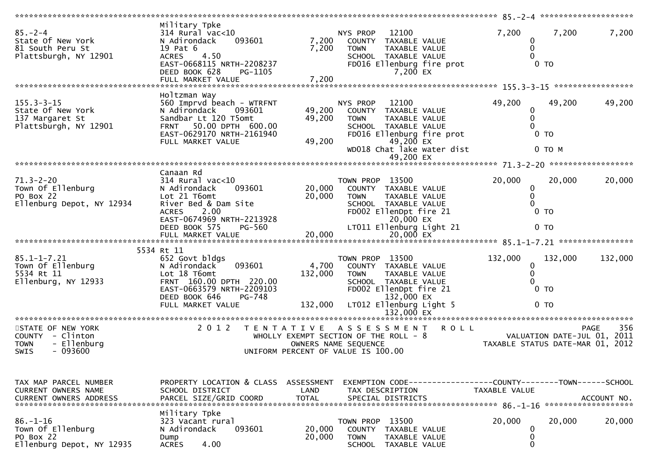| $85 - 2 - 4$<br>State Of New York<br>81 South Peru St<br>Plattsburgh, NY 12901                  | Military Tpke<br>314 Rural vac<10<br>093601<br>N Adirondack<br>19 Pat 6<br><b>ACRES</b><br>4.50<br>EAST-0668115 NRTH-2208237<br>DEED BOOK 628<br>PG-1105                | 7,200<br>7,200             | 12100<br>NYS PROP<br>COUNTY<br>TAXABLE VALUE<br><b>TOWN</b><br>TAXABLE VALUE<br>SCHOOL TAXABLE VALUE<br>FD016 Ellenburg fire prot<br>7,200 EX  | 7,200<br>0<br>0            | 7,200<br>7,200<br>$0$ TO                                                              |
|-------------------------------------------------------------------------------------------------|-------------------------------------------------------------------------------------------------------------------------------------------------------------------------|----------------------------|------------------------------------------------------------------------------------------------------------------------------------------------|----------------------------|---------------------------------------------------------------------------------------|
|                                                                                                 | FULL MARKET VALUE                                                                                                                                                       | 7,200                      |                                                                                                                                                |                            |                                                                                       |
| $155.3 - 3 - 15$<br>State Of New York<br>137 Margaret St<br>Plattsburgh, NY 12901               | Holtzman Way<br>560 Imprvd beach - WTRFNT<br>N Adirondack<br>093601<br>Sandbar Lt 120 T5omt<br>FRNT 50.00 DPTH 600.00<br>EAST-0629170 NRTH-2161940<br>FULL MARKET VALUE | 49,200<br>49,200<br>49,200 | NYS PROP<br>12100<br>COUNTY<br>TAXABLE VALUE<br><b>TOWN</b><br>TAXABLE VALUE<br>SCHOOL TAXABLE VALUE<br>FD016 Ellenburg fire prot<br>49,200 EX | 49,200<br>0<br>$\mathbf 0$ | 49,200<br>49,200<br>$0$ TO                                                            |
|                                                                                                 |                                                                                                                                                                         |                            | WD018 Chat lake water dist<br>49,200 EX                                                                                                        |                            | $0$ TO $M$                                                                            |
|                                                                                                 |                                                                                                                                                                         |                            |                                                                                                                                                |                            |                                                                                       |
| $71.3 - 2 - 20$<br>Town Of Ellenburg<br>PO Box 22<br>Ellenburg Depot, NY 12934                  | Canaan Rd<br>$314$ Rural vac< $10$<br>093601<br>N Adirondack<br>Lot 21 T6omt<br>River Bed & Dam Site<br>2.00<br><b>ACRES</b><br>EAST-0674969 NRTH-2213928               | 20,000<br>20,000           | TOWN PROP 13500<br>COUNTY TAXABLE VALUE<br>TAXABLE VALUE<br><b>TOWN</b><br>SCHOOL TAXABLE VALUE<br>FD002 EllenDpt fire 21<br>20,000 EX         | 20,000<br>0<br>0           | 20,000<br>20,000<br>$0$ TO                                                            |
|                                                                                                 | DEED BOOK 575<br><b>PG-560</b>                                                                                                                                          |                            | LT011 Ellenburg Light 21                                                                                                                       |                            | 0 <sub>T</sub>                                                                        |
|                                                                                                 |                                                                                                                                                                         |                            |                                                                                                                                                |                            |                                                                                       |
|                                                                                                 | 5534 Rt 11                                                                                                                                                              |                            |                                                                                                                                                |                            |                                                                                       |
| $85.1 - 1 - 7.21$<br>Town Of Ellenburg<br>5534 Rt 11<br>Ellenburg, NY 12933                     | 652 Govt bldgs<br>N Adirondack<br>093601<br>Lot 18 T6omt<br>FRNT 160.00 DPTH 220.00<br>EAST-0663579 NRTH-2209103                                                        | 4,700<br>132,000           | TOWN PROP 13500<br>COUNTY<br>TAXABLE VALUE<br><b>TOWN</b><br>TAXABLE VALUE<br>SCHOOL TAXABLE VALUE<br>FD002 EllenDpt fire 21                   | 132,000<br>0               | 132,000<br>132,000<br>0 <sub>T</sub>                                                  |
|                                                                                                 | DEED BOOK 646<br>PG-748<br>FULL MARKET VALUE                                                                                                                            | 132,000                    | 132,000 EX<br>LT012 Ellenburg Light 5                                                                                                          |                            | 0 <sub>T</sub>                                                                        |
|                                                                                                 |                                                                                                                                                                         |                            | 132,000 EX                                                                                                                                     |                            |                                                                                       |
| STATE OF NEW YORK<br>COUNTY - Clinton<br>- Ellenburg<br><b>TOWN</b><br>$-093600$<br><b>SWIS</b> | 2 0 1 2                                                                                                                                                                 | T E N T A T I V E          | ASSESSMENT ROLL<br>WHOLLY EXEMPT SECTION OF THE ROLL - 8<br>OWNERS NAME SEQUENCE<br>UNIFORM PERCENT OF VALUE IS 100.00                         |                            | 356<br><b>PAGE</b><br>VALUATION DATE-JUL 01, 2011<br>TAXABLE STATUS DATE-MAR 01, 2012 |
|                                                                                                 |                                                                                                                                                                         |                            |                                                                                                                                                |                            |                                                                                       |
| TAX MAP PARCEL NUMBER<br>CURRENT OWNERS NAME                                                    | PROPERTY LOCATION & CLASS<br>SCHOOL DISTRICT                                                                                                                            | ASSESSMENT<br>LAND         | EXEMPTION CODE-----------------COUNTY-------TOWN------SCHOOL<br>TAX DESCRIPTION                                                                | TAXABLE VALUE              | ACCOUNT NO.                                                                           |
|                                                                                                 | Military Tpke                                                                                                                                                           |                            |                                                                                                                                                |                            | *******************                                                                   |
| $86. - 1 - 16$<br>Town Of Ellenburg<br>PO Box 22<br>Ellenburg Depot, NY 12935                   | 323 Vacant rural<br>N Adirondack<br>093601<br>Dump<br>4.00<br><b>ACRES</b>                                                                                              | 20,000<br>20,000           | 13500<br>TOWN PROP<br><b>COUNTY</b><br>TAXABLE VALUE<br><b>TOWN</b><br><b>TAXABLE VALUE</b><br>SCHOOL TAXABLE VALUE                            | 20,000<br>0<br>0<br>0      | 20,000<br>20,000                                                                      |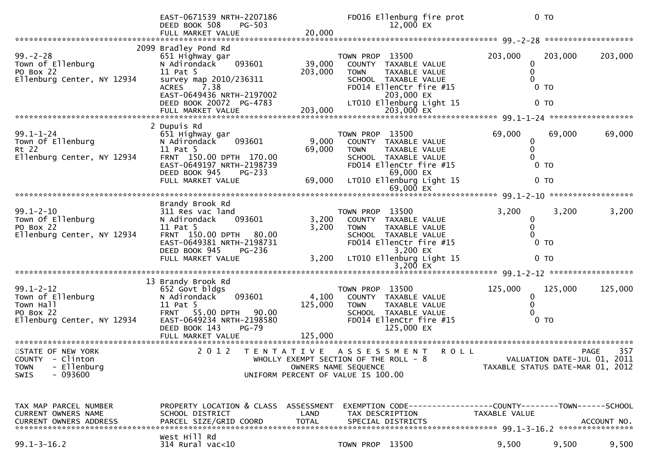|                                                                                                | EAST-0671539 NRTH-2207186<br>DEED BOOK 508<br><b>PG-503</b><br>FULL MARKET VALUE                                                                                                       | 20,000                      | FD016 Ellenburg fire prot<br>12,000 EX                                                                                                                              |             |                         | 0 <sub>T</sub>                                                  |             |
|------------------------------------------------------------------------------------------------|----------------------------------------------------------------------------------------------------------------------------------------------------------------------------------------|-----------------------------|---------------------------------------------------------------------------------------------------------------------------------------------------------------------|-------------|-------------------------|-----------------------------------------------------------------|-------------|
| $99. - 2 - 28$<br>Town of Ellenburg<br>PO Box 22<br>Ellenburg Center, NY 12934                 | 2099 Bradley Pond Rd<br>651 Highway gar<br>093601<br>N Adirondack<br>11 Pat 5<br>survey map 2010/236311<br>7.38<br><b>ACRES</b><br>EAST-0649436 NRTH-2197002                           | 39,000<br>203,000           | TOWN PROP 13500<br>COUNTY TAXABLE VALUE<br>TAXABLE VALUE<br><b>TOWN</b><br>SCHOOL TAXABLE VALUE<br>FD014 EllenCtr fire #15<br>203,000 EX                            |             | 203,000                 | 203,000<br>0 <sub>T</sub><br>0 <sub>T</sub>                     | 203,000     |
|                                                                                                | DEED BOOK 20072 PG-4783<br>FULL MARKET VALUE                                                                                                                                           | 203,000                     | LT010 Ellenburg Light 15<br>203,000 EX                                                                                                                              |             |                         |                                                                 |             |
| $99.1 - 1 - 24$<br>Town Of Ellenburg<br>Rt 22<br>Ellenburg Center, NY 12934                    | 2 Dupuis Rd<br>651 Highway gar<br>N Adirondack<br>093601<br>11 Pat 5<br>FRNT 150.00 DPTH 170.00<br>EAST-0649197 NRTH-2198739<br>DEED BOOK 945<br>$PG-233$                              | 9,000<br>69,000             | TOWN PROP 13500<br>COUNTY TAXABLE VALUE<br><b>TOWN</b><br>TAXABLE VALUE<br>SCHOOL TAXABLE VALUE<br>FD014 EllenCtr fire #15<br>69,000 EX<br>LT010 Ellenburg Light 15 |             | 69,000<br>0<br>$\Omega$ | 69,000<br>0 <sub>T</sub><br>0 <sub>T</sub>                      | 69,000      |
|                                                                                                | FULL MARKET VALUE                                                                                                                                                                      | 69,000                      | 69,000 $EX$                                                                                                                                                         |             |                         |                                                                 |             |
| $99.1 - 2 - 10$<br>Town Of Ellenburg<br>PO Box 22<br>Ellenburg Center, NY 12934                | Brandy Brook Rd<br>311 Res vac land<br>093601<br>N Adirondack<br>11 Pat 5<br>FRNT 150.00 DPTH 80.00<br>EAST-0649381 NRTH-2198731<br>DEED BOOK 945<br>PG-236<br>FULL MARKET VALUE       | 3,200<br>3,200<br>3,200     | TOWN PROP 13500<br>COUNTY TAXABLE VALUE<br><b>TOWN</b><br>TAXABLE VALUE<br>SCHOOL TAXABLE VALUE<br>FD014 EllenCtr fire #15<br>3,200 EX<br>LT010 Ellenburg Light 15  |             | 3,200<br>0              | 3,200<br>0 <sub>T</sub><br>$0$ TO                               | 3,200       |
| $99.1 - 2 - 12$<br>Town of Ellenburg<br>Town Hall<br>PO Box 22<br>Ellenburg Center, NY 12934   | 13 Brandy Brook Rd<br>652 Govt bldgs<br>093601<br>N Adirondack<br>11 Pat 5<br>FRNT 55.00 DPTH 90.00<br>EAST-0649234 NRTH-2198580<br><b>PG-79</b><br>DEED BOOK 143<br>FULL MARKET VALUE | 4,100<br>125,000<br>125,000 | TOWN PROP 13500<br>COUNTY TAXABLE VALUE<br>TAXABLE VALUE<br><b>TOWN</b><br>SCHOOL TAXABLE VALUE<br>FD014 EllenCtr fire #15<br>125,000 EX                            |             | 125,000<br>0            | 125,000<br>0 <sub>T</sub>                                       | 125,000     |
| STATE OF NEW YORK<br>COUNTY - Clinton<br>- Ellenburg<br><b>TOWN</b><br>- 093600<br><b>SWIS</b> | 2 0 1 2                                                                                                                                                                                | T E N T A T I V E           | ASSESSMENT<br>WHOLLY EXEMPT SECTION OF THE ROLL - 8<br>OWNERS NAME SEQUENCE<br>UNIFORM PERCENT OF VALUE IS 100.00                                                   | <b>ROLL</b> |                         | VALUATION DATE-JUL 01, 2011<br>TAXABLE STATUS DATE-MAR 01, 2012 | 357<br>PAGE |
| TAX MAP PARCEL NUMBER<br>CURRENT OWNERS NAME<br><b>CURRENT OWNERS ADDRESS</b>                  | PROPERTY LOCATION & CLASS ASSESSMENT<br>SCHOOL DISTRICT<br>PARCEL SIZE/GRID COORD                                                                                                      | LAND<br><b>TOTAL</b>        | EXEMPTION        CODE-----------------COUNTY-------TOWN------SCHOOL<br>TAX DESCRIPTION<br>SPECIAL DISTRICTS                                                         |             | TAXABLE VALUE           |                                                                 | ACCOUNT NO. |
| $99.1 - 3 - 16.2$                                                                              | West Hill Rd<br>$314$ Rural vac<10                                                                                                                                                     |                             | TOWN PROP 13500                                                                                                                                                     |             | 9,500                   | 9,500                                                           | 9,500       |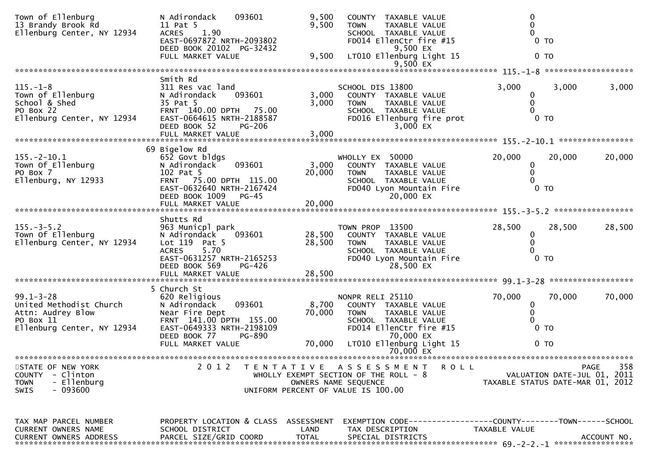| Town of Ellenburg<br>13 Brandy Brook Rd<br>Ellenburg Center, NY 12934                                      | N Adirondack<br>093601<br>11 Pat 5<br>1.90<br><b>ACRES</b><br>EAST-0697872 NRTH-2093802<br>DEED BOOK 20102 PG-32432                                                           | 9,500<br>9,500             | COUNTY TAXABLE VALUE<br>TAXABLE VALUE<br><b>TOWN</b><br>SCHOOL TAXABLE VALUE<br>FD014 EllenCtr fire #15<br>9,500 EX                        | 0 <sub>T</sub>                                                                |                    |
|------------------------------------------------------------------------------------------------------------|-------------------------------------------------------------------------------------------------------------------------------------------------------------------------------|----------------------------|--------------------------------------------------------------------------------------------------------------------------------------------|-------------------------------------------------------------------------------|--------------------|
|                                                                                                            | FULL MARKET VALUE                                                                                                                                                             | 9,500                      | LT010 Ellenburg Light 15<br>9,500 $EX$                                                                                                     | 0 <sub>T</sub>                                                                |                    |
|                                                                                                            |                                                                                                                                                                               |                            |                                                                                                                                            |                                                                               |                    |
| $115. - 1 - 8$<br>Town of Ellenburg<br>School & Shed<br>PO Box 22<br>Ellenburg Center, NY 12934            | Smith Rd<br>311 Res vac land<br>N Adirondack<br>093601<br>35 Pat 5<br>FRNT 140.00 DPTH 75.00<br>EAST-0664615 NRTH-2188587<br>DEED BOOK 52<br><b>PG-206</b>                    | 3,000<br>3,000             | SCHOOL DIS 13800<br>COUNTY TAXABLE VALUE<br><b>TOWN</b><br>TAXABLE VALUE<br>SCHOOL TAXABLE VALUE<br>FD016 Ellenburg fire prot<br>3,000 EX  | 3,000<br>3,000<br>0<br>0<br>0 <sub>T</sub>                                    | 3,000              |
|                                                                                                            |                                                                                                                                                                               |                            |                                                                                                                                            |                                                                               |                    |
| $155. - 2 - 10.1$<br>Town Of Ellenburg<br>PO Box 7<br>Ellenburg, NY 12933                                  | 69 Bigelow Rd<br>652 Govt bldgs<br>093601<br>N Adirondack<br>102 Pat 5<br>FRNT 75.00 DPTH 115.00<br>EAST-0632640 NRTH-2167424<br>DEED BOOK 1009 PG-45                         | 3,000<br>20,000            | WHOLLY EX 50000<br>COUNTY TAXABLE VALUE<br><b>TOWN</b><br>TAXABLE VALUE<br>SCHOOL TAXABLE VALUE<br>FD040 Lyon Mountain Fire<br>20,000 EX   | 20,000<br>20,000<br>0<br>$0$ TO                                               | 20,000             |
|                                                                                                            |                                                                                                                                                                               |                            |                                                                                                                                            |                                                                               |                    |
| $155. - 3 - 5.2$<br>Town Of Ellenburg<br>Ellenburg Center, NY 12934                                        | Shutts Rd<br>963 Municpl park<br>N Adirondack<br>093601<br>Lot 119 Pat 5<br>5.70<br><b>ACRES</b><br>EAST-0631257 NRTH-2165253<br>DEED BOOK 569<br>PG-426<br>FULL MARKET VALUE | 28,500<br>28,500<br>28,500 | TOWN PROP 13500<br>COUNTY TAXABLE VALUE<br><b>TOWN</b><br>TAXABLE VALUE<br>SCHOOL TAXABLE VALUE<br>FD040 Lyon Mountain Fire<br>28,500 EX   | 28,500<br>28,500<br>$\bf{0}$<br>0<br>0 <sub>T</sub>                           | 28,500             |
|                                                                                                            | 5 Church St                                                                                                                                                                   |                            |                                                                                                                                            |                                                                               |                    |
| $99.1 - 3 - 28$<br>United Methodist Church<br>Attn: Audrey Blow<br>PO Box 11<br>Ellenburg Center, NY 12934 | 620 Religious<br>N Adirondack<br>093601<br>Near Fire Dept<br>FRNT 141.00 DPTH 155.00<br>EAST-0649333 NRTH-2198109<br>DEED BOOK 77<br>PG-890                                   | 8,700<br>70,000            | NONPR RELI 25110<br>COUNTY TAXABLE VALUE<br><b>TOWN</b><br>TAXABLE VALUE<br>SCHOOL TAXABLE VALUE<br>FD014 EllenCtr fire #15<br>70,000 EX   | 70,000<br>70,000<br>0<br>0<br>0 <sub>T</sub>                                  | 70,000             |
|                                                                                                            | FULL MARKET VALUE                                                                                                                                                             | 70,000                     | LT010 Ellenburg Light 15<br>70,000 EX                                                                                                      | 0 <sub>T</sub>                                                                |                    |
|                                                                                                            |                                                                                                                                                                               |                            |                                                                                                                                            |                                                                               |                    |
| STATE OF NEW YORK<br><b>COUNTY</b><br>- Clinton<br>- Ellenburg<br><b>TOWN</b><br>$-093600$<br>SWIS         | 2 0 1 2                                                                                                                                                                       |                            | TENTATIVE ASSESSMENT<br><b>ROLL</b><br>WHOLLY EXEMPT SECTION OF THE ROLL - 8<br>OWNERS NAME SEQUENCE<br>UNIFORM PERCENT OF VALUE IS 100.00 | VALUATION DATE-JUL 01, 2011<br>TAXABLE STATUS DATE-MAR 01, 2012               | 358<br><b>PAGE</b> |
| TAX MAP PARCEL NUMBER<br><b>CURRENT OWNERS NAME</b><br><b>CURRENT OWNERS ADDRESS</b>                       | PROPERTY LOCATION & CLASS ASSESSMENT<br>SCHOOL DISTRICT<br>PARCEL SIZE/GRID COORD                                                                                             | LAND<br><b>TOTAL</b>       | TAX DESCRIPTION<br>SPECIAL DISTRICTS                                                                                                       | EXEMPTION CODE-----------------COUNTY-------TOWN------SCHOOL<br>TAXABLE VALUE | ACCOUNT NO.        |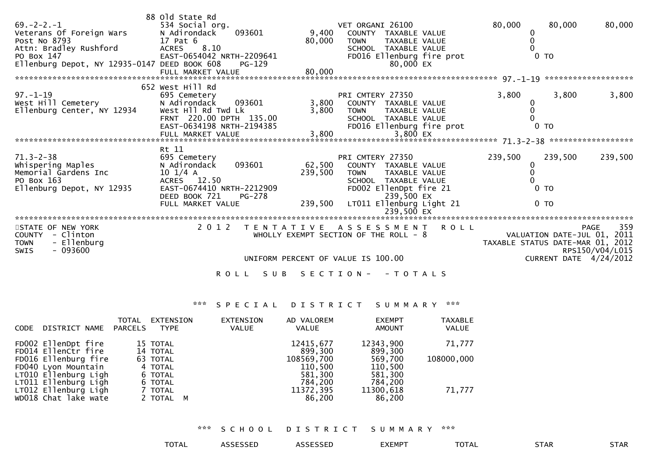| $69. - 2 - 2. - 1$<br>Veterans Of Foreign Wars<br>Post No 8793<br>Attn: Bradley Rushford<br>PO Box 147<br>Ellenburg Depot, NY 12935-0147 DEED BOOK 608 | 88 old State Rd<br>534 Social org.<br>093601<br>N Adirondack<br>17 Pat 6<br>8.10<br><b>ACRES</b><br>EAST-0654042 NRTH-2209641<br>PG-129                                   | 9,400<br>80,000              | VET ORGANI 26100<br>COUNTY<br>TAXABLE VALUE<br><b>TAXABLE VALUE</b><br><b>TOWN</b><br>TAXABLE VALUE<br>SCHOOL<br>FD016 Ellenburg fire prot<br>80,000 EX                               | 80,000<br>80,000<br>$0$ TO                                                           | 80,000                                        |
|--------------------------------------------------------------------------------------------------------------------------------------------------------|---------------------------------------------------------------------------------------------------------------------------------------------------------------------------|------------------------------|---------------------------------------------------------------------------------------------------------------------------------------------------------------------------------------|--------------------------------------------------------------------------------------|-----------------------------------------------|
| $97. - 1 - 19$<br>West Hill Cemetery<br>Ellenburg Center, NY 12934                                                                                     | 652 West Hill Rd<br>695 Cemetery<br>093601<br>N Adirondack<br>West H <sub>11</sub> Rd Twd Lk<br>FRNT 220.00 DPTH 135.00<br>EAST-0634198 NRTH-2194385<br>FULL MARKET VALUE | 3,800<br>3,800<br>3,800      | PRI CMTERY 27350<br>COUNTY TAXABLE VALUE<br><b>TOWN</b><br><b>TAXABLE VALUE</b><br>SCHOOL TAXABLE VALUE<br>FD016 Ellenburg fire prot<br>3,800 EX                                      | 3,800<br>3,800<br>T <sub>0</sub>                                                     | 3,800                                         |
| $71.3 - 2 - 38$<br>whispering Maples<br>Memorial Gardens Inc<br>PO Box 163<br>Ellenburg Depot, NY 12935                                                | Rt 11<br>695 Cemetery<br>093601<br>N Adirondack<br>$10 \frac{1}{4}$ A<br>ACRES 12.50<br>EAST-0674410 NRTH-2212909<br>DEED BOOK 721<br>PG-278<br>FULL MARKET VALUE         | 62,500<br>239,500<br>239,500 | PRI CMTERY 27350<br>COUNTY<br>TAXABLE VALUE<br><b>TOWN</b><br>TAXABLE VALUE<br>SCHOOL TAXABLE VALUE<br>FD002 EllenDpt fire 21<br>239,500 EX<br>LT011 Ellenburg Light 21<br>239,500 EX | 239,500<br>239,500<br>$0$ TO<br>0 <sub>T</sub>                                       | 239,500                                       |
| STATE OF NEW YORK<br>- Clinton<br><b>COUNTY</b><br>- Ellenburg<br><b>TOWN</b><br>$-093600$<br><b>SWIS</b>                                              | 2 0 1 2<br>T E N T A T I V E<br><b>ROLL</b><br>S U B                                                                                                                      |                              | A S S E S S M E N T<br><b>ROLL</b><br>WHOLLY EXEMPT SECTION OF THE ROLL $-8$<br>UNIFORM PERCENT OF VALUE IS 100.00<br>$-TOTALS$<br>SECTION-                                           | VALUATION DATE-JUL 01,<br>TAXABLE STATUS DATE-MAR 01, 2012<br>CURRENT DATE 4/24/2012 | 359<br><b>PAGE</b><br>2011<br>RPS150/V04/L015 |

# \*\*\* S P E C I A L D I S T R I C T S U M M A R Y \*\*\*

| DISTRICT NAME<br>CODE                                                                       | TOTAL<br>PARCELS | EXTENSION<br><b>TYPE</b>                  | <b>EXTENSION</b><br><b>VALUE</b> | AD VALOREM<br>VALUE                         | <b>EXEMPT</b><br><b>AMOUNT</b>           | <b>TAXABLE</b><br>VALUE |
|---------------------------------------------------------------------------------------------|------------------|-------------------------------------------|----------------------------------|---------------------------------------------|------------------------------------------|-------------------------|
| FD002 EllenDpt fire<br>FD014 Ellenctr fire                                                  |                  | 15 TOTAL<br>14 TOTAL                      |                                  | 12415,677<br>899.300                        | 12343,900<br>899,300                     | 71,777                  |
| FD016 Ellenburg fire<br>FD040 Lyon Mountain<br>LT010 Ellenburg Ligh<br>LT011 Ellenburg Ligh |                  | 63 TOTAL<br>4 TOTAL<br>6 TOTAL<br>6 TOTAL |                                  | 108569,700<br>110,500<br>581,300<br>784.200 | 569.700<br>110,500<br>581,300<br>784.200 | 108000,000              |
| LT012 Ellenburg Ligh<br>WD018 Chat lake wate                                                |                  | 7 TOTAL<br>2 TOTAL M                      |                                  | 11372,395<br>86,200                         | 11300,618<br>86,200                      | 71,777                  |

\*\*\* S C H O O L D I S T R I C T S U M M A R Y \*\*\*

|  | <b>TOTAL</b> | ASSESSED | <b>ASSESSED</b> | EXEMPT | <b>TOTAL</b> | <b>STAR</b> | STAR |
|--|--------------|----------|-----------------|--------|--------------|-------------|------|
|--|--------------|----------|-----------------|--------|--------------|-------------|------|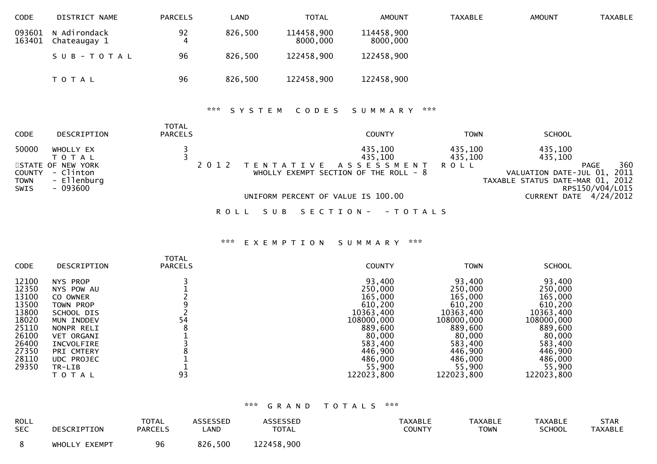| <b>CODE</b>      | DISTRICT NAME                | <b>PARCELS</b> | LAND    | TOTAL                  | <b>AMOUNT</b>          | <b>TAXABLE</b> | <b>AMOUNT</b> | TAXABLE |
|------------------|------------------------------|----------------|---------|------------------------|------------------------|----------------|---------------|---------|
| 093601<br>163401 | N Adirondack<br>Chateaugay 1 | 92             | 826,500 | 114458,900<br>8000,000 | 114458,900<br>8000,000 |                |               |         |
|                  | SUB-TOTAL                    | 96             | 826,500 | 122458,900             | 122458,900             |                |               |         |
|                  | T O T A L                    | 96             | 826,500 | 122458,900             | 122458,900             |                |               |         |

# \*\*\* S Y S T E M C O D E S S U M M A R Y \*\*\*

| <b>CODE</b>                            | DESCRIPTION                                                                         | <b>TOTAL</b><br><b>PARCELS</b> |                              | <b>COUNTY</b>                                                                      | <b>TOWN</b>                       | <b>SCHOOL</b>                                                                                                           |     |
|----------------------------------------|-------------------------------------------------------------------------------------|--------------------------------|------------------------------|------------------------------------------------------------------------------------|-----------------------------------|-------------------------------------------------------------------------------------------------------------------------|-----|
| 50000<br>COUNTY<br><b>TOWN</b><br>SWIS | WHOLLY EX<br>T O T A L<br>STATE OF NEW YORK<br>- Clinton<br>- Ellenburg<br>- 093600 |                                | 2 0 1 2<br>T E N T A T I V E | 435,100<br>435,100<br>A S S E S S M E N T<br>WHOLLY EXEMPT SECTION OF THE ROLL - 8 | 435,100<br>435,100<br><b>ROLL</b> | 435,100<br>435,100<br><b>PAGE</b><br>VALUATION DATE-JUL 01, 2011<br>TAXABLE STATUS DATE-MAR 01, 2012<br>RPS150/V04/L015 | 360 |
|                                        |                                                                                     |                                |                              | UNIFORM PERCENT OF VALUE IS 100.00                                                 |                                   | CURRENT DATE 4/24/2012                                                                                                  |     |
|                                        |                                                                                     |                                | S U B<br>R O L L             | SECTION - - TOTALS                                                                 |                                   |                                                                                                                         |     |

# \*\*\* E X E M P T I O N S U M M A R Y \*\*\*

| <b>CODE</b>                                                                                                                                                                                                                                                                                        | <b>TOTAL</b><br>DESCRIPTION<br><b>PARCELS</b> | <b>COUNTY</b>                                                                                                                                    | <b>TOWN</b>                                                                                                                                      | <b>SCHOOL</b>                                                                                                                                    |
|----------------------------------------------------------------------------------------------------------------------------------------------------------------------------------------------------------------------------------------------------------------------------------------------------|-----------------------------------------------|--------------------------------------------------------------------------------------------------------------------------------------------------|--------------------------------------------------------------------------------------------------------------------------------------------------|--------------------------------------------------------------------------------------------------------------------------------------------------|
| 12100<br>NYS PROP<br>12350<br>NYS POW AU<br>13100<br>CO OWNER<br>13500<br>TOWN PROP<br>13800<br>SCHOOL DIS<br>18020<br>MUN INDDEV<br>25110<br>NONPR RELI<br>26100<br><b>VET ORGANI</b><br>26400<br>INCVOLFIRE<br>27350<br>PRI CMTERY<br>28110<br><b>UDC PROJEC</b><br>29350<br>TR-LIB<br>T O T A L | 54<br>93                                      | 93,400<br>250,000<br>165,000<br>610,200<br>10363,400<br>108000,000<br>889,600<br>80,000<br>583,400<br>446,900<br>486,000<br>55,900<br>122023,800 | 93,400<br>250,000<br>165,000<br>610,200<br>10363,400<br>108000,000<br>889,600<br>80,000<br>583,400<br>446,900<br>486,000<br>55,900<br>122023,800 | 93,400<br>250,000<br>165,000<br>610,200<br>10363,400<br>108000,000<br>889,600<br>80,000<br>583,400<br>446,900<br>486,000<br>55,900<br>122023,800 |

| <b>ROLL</b><br><b>SEC</b> | DESCRIPTION   | <b>TOTAL</b><br><b>PARCELS</b> | ASSESSED<br>LAND | <b>ASSESSED</b><br><b>TOTAL</b> | <b>TAXABLE</b><br>COUNTY | TAXABLE<br>TOWN | <b>TAXABLE</b><br><b>SCHOOL</b> | <b>STAR</b><br><b>TAXABLE</b> |
|---------------------------|---------------|--------------------------------|------------------|---------------------------------|--------------------------|-----------------|---------------------------------|-------------------------------|
|                           | WHOLLY EXEMPT | 96                             | 826,500          | 122458,900                      |                          |                 |                                 |                               |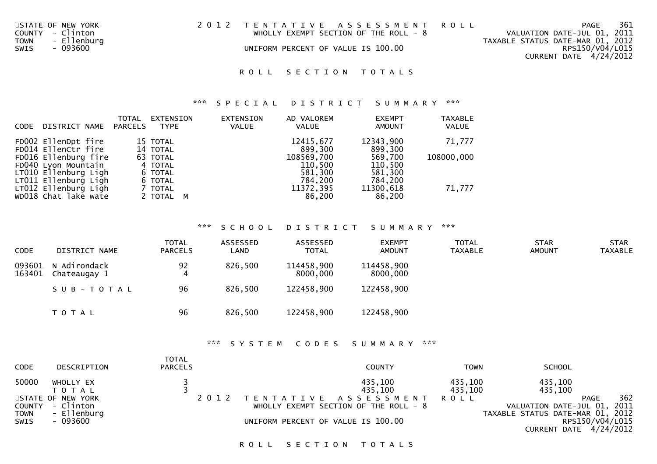| STATE OF NEW YORK          |  | 2012 TENTATIVE ASSESSMENT ROLL         | <b>PAGE</b>          | 361 |
|----------------------------|--|----------------------------------------|----------------------|-----|
| المتمسم كالتاريخ<br>$\sim$ |  | $1.0101137$ EVEMBE CECTION OF THE BOLL | 1/41114TTQHRRTTT1HQ1 |     |

COUNTY - Clinton WHOLLY EXEMPT SECTION OF THE ROLL - 8<br>
TOWN - Ellenburg<br>
SWIS - 093600 TOWN - Ellenburg TAXABLE STATUS DATE-MAR 01, 2012

SWIS - 093600 CONSERVERT OF VALUE IS 100.00

VALUATION DATE-JUL 01, 2011

CURRENT DATE 4/24/2012

RPS150/V04/L015

ROLL SECTION TOTALS

\*\*\* S P E C I A L D I S T R I C T S U M M A R Y \*\*\*

| CODE | DISTRICT NAME                                                                               | <b>TOTAL</b><br><b>PARCELS</b> | EXTENSION<br><b>TYPE</b>                  | EXTENSION<br><b>VALUE</b> | AD VALOREM<br><b>VALUE</b>                  | <b>EXEMPT</b><br><b>AMOUNT</b>           | <b>TAXABLE</b><br><b>VALUE</b> |
|------|---------------------------------------------------------------------------------------------|--------------------------------|-------------------------------------------|---------------------------|---------------------------------------------|------------------------------------------|--------------------------------|
|      | FD002 EllenDpt fire<br>FD014 Ellenctr fire                                                  |                                | 15 TOTAL<br>14 TOTAL                      |                           | 12415,677<br>899,300                        | 12343,900<br>899,300                     | 71,777                         |
|      | FD016 Ellenburg fire<br>FD040 Lyon Mountain<br>LT010 Ellenburg Ligh<br>LT011 Ellenburg Ligh |                                | 63 TOTAL<br>4 TOTAL<br>6 TOTAL<br>6 TOTAL |                           | 108569,700<br>110,500<br>581,300<br>784,200 | 569,700<br>110,500<br>581,300<br>784,200 | 108000,000                     |
|      | LT012 Ellenburg Ligh<br>WD018 Chat lake wate                                                |                                | 7 TOTAL<br>2 TOTAL M                      |                           | 11372,395<br>86,200                         | 11300,618<br>86,200                      | 71,777                         |

\*\*\* S C H O O L D I S T R I C T S U M M A R Y \*\*\*

| <b>CODE</b>      | DISTRICT NAME                | <b>TOTAL</b><br><b>PARCELS</b> | ASSESSED<br>∟AND | ASSESSED<br><b>TOTAL</b> | <b>EXEMPT</b><br><b>AMOUNT</b> | <b>TOTAL</b><br><b>TAXABLE</b> | <b>STAR</b><br><b>AMOUNT</b> | <b>STAR</b><br>TAXABLE |
|------------------|------------------------------|--------------------------------|------------------|--------------------------|--------------------------------|--------------------------------|------------------------------|------------------------|
| 093601<br>163401 | N Adirondack<br>Chateaugay 1 | 92<br>$\overline{4}$           | 826,500          | 114458,900<br>8000,000   | 114458,900<br>8000,000         |                                |                              |                        |
|                  | SUB-TOTAL                    | 96                             | 826,500          | 122458,900               | 122458,900                     |                                |                              |                        |
|                  | T O T A L                    | 96                             | 826,500          | 122458,900               | 122458,900                     |                                |                              |                        |

\*\*\* S Y S T E M C O D E S S U M M A R Y \*\*\*

| <b>CODE</b> | DESCRIPTION                                          | <b>TOTAL</b><br><b>PARCELS</b> |         | COUNTY                                                        | <b>TOWN</b>        | <b>SCHOOL</b>                                                                  |     |
|-------------|------------------------------------------------------|--------------------------------|---------|---------------------------------------------------------------|--------------------|--------------------------------------------------------------------------------|-----|
| 50000       | WHOLLY EX<br>T O T A L                               |                                |         | 435,100<br>435,100                                            | 435,100<br>435,100 | 435,100<br>435,100                                                             |     |
| <b>TOWN</b> | STATE OF NEW YORK<br>COUNTY - Clinton<br>- Ellenburg |                                | 2 0 1 2 | TENTATIVE ASSESSMENT<br>WHOLLY EXEMPT SECTION OF THE ROLL - 8 | <b>ROLL</b>        | <b>PAGE</b><br>VALUATION DATE-JUL 01, 2011<br>TAXABLE STATUS DATE-MAR 01, 2012 | 362 |
| SWIS        | - 093600                                             |                                |         | UNIFORM PERCENT OF VALUE IS 100.00                            |                    | RPS150/V04/L015<br>CURRENT DATE 4/24/2012                                      |     |

ROLL SECTION TOTALS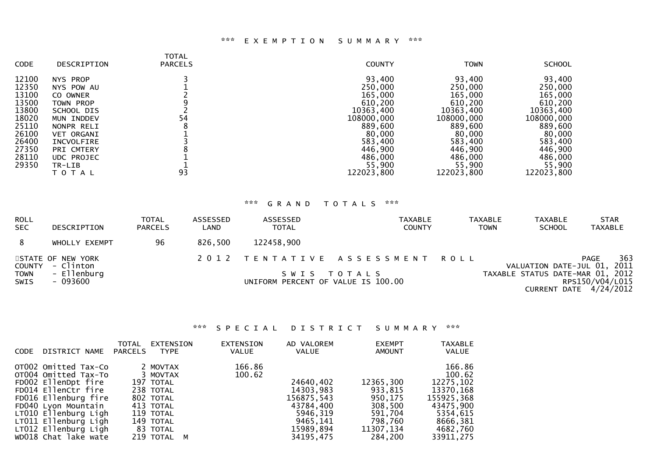### \*\*\* E X E M P T I O N S U M M A R Y \*\*\*

| <b>CODE</b>    | DESCRIPTION                    | TOTAL<br><b>PARCELS</b> | <b>COUNTY</b>         | <b>TOWN</b>           | <b>SCHOOL</b>         |
|----------------|--------------------------------|-------------------------|-----------------------|-----------------------|-----------------------|
| 12100<br>12350 | NYS PROP                       |                         | 93,400<br>250,000     | 93,400<br>250,000     | 93,400<br>250,000     |
| 13100          | NYS POW AU<br>CO OWNER         |                         | 165,000               | 165,000               | 165,000               |
| 13500<br>13800 | <b>TOWN PROP</b><br>SCHOOL DIS |                         | 610,200<br>10363,400  | 610,200<br>10363,400  | 610,200<br>10363,400  |
| 18020<br>25110 | MUN INDDEV<br>NONPR RELI       | 54                      | 108000,000<br>889,600 | 108000,000<br>889,600 | 108000,000<br>889,600 |
| 26100          | <b>VET ORGANI</b>              |                         | 80,000                | 80,000                | 80,000                |
| 26400<br>27350 | INCVOLFIRE<br>PRI CMTERY       |                         | 583,400<br>446,900    | 583,400<br>446,900    | 583,400<br>446,900    |
| 28110<br>29350 | <b>UDC PROJEC</b><br>TR-LIB    |                         | 486,000<br>55,900     | 486,000<br>55,900     | 486,000<br>55,900     |
|                | T O T A L                      | 93                      | 122023,800            | 122023,800            | 122023,800            |
|                |                                |                         |                       |                       |                       |

# \*\*\* G R A N D T O T A L S \*\*\*

| ROLL<br><b>SEC</b> | DESCRIPTION                           | <b>TOTAL</b><br><b>PARCELS</b> | ASSESSED<br>LAND | ASSESSED<br><b>TOTAL</b>           | TAXABLE<br><b>COUNTY</b>       | <b>TAXABLE</b><br><b>TOWN</b> | TAXABLE<br><b>SCHOOL</b>         | <b>STAR</b><br><b>TAXABLE</b>               |
|--------------------|---------------------------------------|--------------------------------|------------------|------------------------------------|--------------------------------|-------------------------------|----------------------------------|---------------------------------------------|
| 8                  | WHOLLY EXEMPT                         | 96                             | 826,500          | 122458,900                         |                                |                               |                                  |                                             |
|                    | STATE OF NEW YORK<br>COUNTY - Clinton |                                |                  |                                    | 2012 TENTATIVE ASSESSMENT ROLL |                               | VALUATION DATE-JUL 01, 2011      | 363<br><b>PAGE</b>                          |
| TOWN<br>SWIS       | - Ellenburg<br>- 093600               |                                |                  | UNIFORM PERCENT OF VALUE IS 100.00 | SWIS TOTALS                    |                               | TAXABLE STATUS DATE-MAR 01, 2012 | RPS150/V04/L015<br>CURRENT DATE $4/24/2012$ |

# \*\*\* S P E C I A L D I S T R I C T S U M M A R Y \*\*\*

| DISTRICT NAME                                                                                                                                                                                                                             | TOTAL   | <b>EXTENSION</b>                                                                                                              | <b>EXTENSION</b> | AD VALOREM                                                                                          | <b>EXEMPT</b>                                                                            | <b>TAXABLE</b>                                                                                                          |
|-------------------------------------------------------------------------------------------------------------------------------------------------------------------------------------------------------------------------------------------|---------|-------------------------------------------------------------------------------------------------------------------------------|------------------|-----------------------------------------------------------------------------------------------------|------------------------------------------------------------------------------------------|-------------------------------------------------------------------------------------------------------------------------|
| <b>CODE</b>                                                                                                                                                                                                                               | PARCELS | TYPE                                                                                                                          | <b>VALUE</b>     | VALUE                                                                                               | <b>AMOUNT</b>                                                                            | <b>VALUE</b>                                                                                                            |
| OT002 Omitted Tax-Co<br>OT004 Omitted Tax-To<br>FD002 EllenDpt fire<br>FD014 EllenCtr fire<br>FD016 Ellenburg fire<br>FD040 Lyon Mountain<br>LT010 Ellenburg Ligh<br>LT011 Ellenburg Ligh<br>LT012 Ellenburg Ligh<br>WD018 Chat lake wate |         | 2 MOVTAX<br>3 MOVTAX<br>197 TOTAL<br>238 TOTAL<br>802 TOTAL<br>413 TOTAL<br>119 TOTAL<br>149 TOTAL<br>83 TOTAL<br>219 TOTAL M | 166.86<br>100.62 | 24640,402<br>14303,983<br>156875,543<br>43784,400<br>5946.319<br>9465.141<br>15989,894<br>34195,475 | 12365,300<br>933.815<br>950,175<br>308,500<br>591,704<br>798,760<br>11307,134<br>284,200 | 166.86<br>100.62<br>12275, 102<br>13370.168<br>155925,368<br>43475.900<br>5354,615<br>8666,381<br>4682.760<br>33911,275 |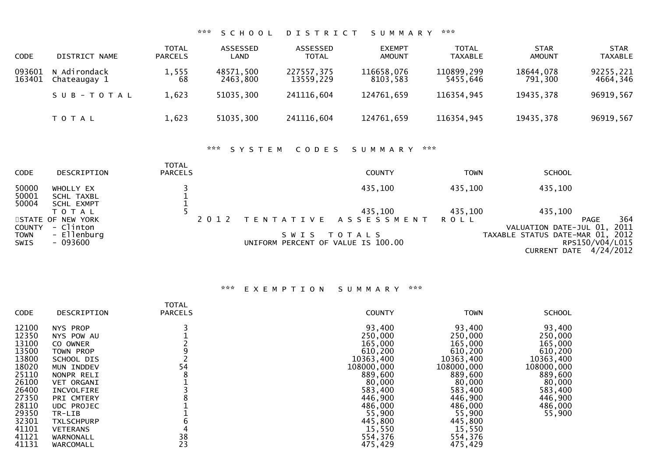| <b>CODE</b>      | DISTRICT NAME                | <b>TOTAL</b><br><b>PARCELS</b> | ASSESSED<br>LAND      | ASSESSED<br><b>TOTAL</b> | <b>EXEMPT</b><br>AMOUNT | <b>TOTAL</b><br>TAXABLE | <b>STAR</b><br>AMOUNT | <b>STAR</b><br><b>TAXABLE</b> |
|------------------|------------------------------|--------------------------------|-----------------------|--------------------------|-------------------------|-------------------------|-----------------------|-------------------------------|
| 093601<br>163401 | N Adirondack<br>Chateaugay 1 | 1,555<br>68                    | 48571,500<br>2463,800 | 227557,375<br>13559,229  | 116658,076<br>8103,583  | 110899,299<br>5455,646  | 18644,078<br>791,300  | 92255,221<br>4664,346         |
|                  | SUB-TOTAL                    | 1,623                          | 51035,300             | 241116,604               | 124761,659              | 116354,945              | 19435,378             | 96919,567                     |
|                  | T O T A L                    | 1,623                          | 51035,300             | 241116,604               | 124761,659              | 116354,945              | 19435,378             | 96919,567                     |

# \*\*\* S Y S T E M C O D E S S U M M A R Y \*\*\*

| <b>CODE</b>             | DESCRIPTION                                  | TOTAL<br><b>PARCELS</b> |      |                                               | <b>COUNTY</b>             | <b>TOWN</b> | <b>SCHOOL</b>                                                                 |             |
|-------------------------|----------------------------------------------|-------------------------|------|-----------------------------------------------|---------------------------|-------------|-------------------------------------------------------------------------------|-------------|
| 50000<br>50001<br>50004 | WHOLLY EX<br>SCHL TAXBL<br><b>SCHL EXMPT</b> |                         |      |                                               | 435,100                   | 435,100     | 435,100                                                                       |             |
|                         | T O T A L                                    |                         |      |                                               | 435,100                   | 435,100     | 435,100                                                                       |             |
| COUNTY                  | STATE OF NEW YORK<br>- Clinton               |                         | 2012 |                                               | TENTATIVE ASSESSMENT ROLL |             | <b>PAGE</b><br>VALUATION DATE-JUL 01,                                         | 364<br>2011 |
| <b>TOWN</b><br>SWIS     | - Ellenburg<br>- 093600                      |                         |      | S W I S<br>UNIFORM PERCENT OF VALUE IS 100.00 | T O T A L S               |             | TAXABLE STATUS DATE-MAR 01, 2012<br>RPS150/V04/L015<br>CURRENT DATE 4/24/2012 |             |

# \*\*\* E X E M P T I O N S U M M A R Y \*\*\*

| CODE  | DESCRIPTION       | <b>TOTAL</b><br><b>PARCELS</b> | <b>COUNTY</b> | <b>TOWN</b> | <b>SCHOOL</b> |
|-------|-------------------|--------------------------------|---------------|-------------|---------------|
|       |                   |                                |               |             |               |
| 12100 | NYS PROP          |                                | 93,400        | 93,400      | 93,400        |
| 12350 | NYS POW AU        |                                | 250,000       | 250,000     | 250,000       |
| 13100 | CO OWNER          |                                | 165,000       | 165,000     | 165,000       |
| 13500 | TOWN PROP         |                                | 610,200       | 610,200     | 610,200       |
| 13800 | SCHOOL DIS        |                                | 10363,400     | 10363,400   | 10363,400     |
| 18020 | MUN INDDEV        | 54                             | 108000,000    | 108000,000  | 108000,000    |
| 25110 | NONPR RELI        | 8                              | 889,600       | 889,600     | 889,600       |
| 26100 | <b>VET ORGANI</b> |                                | 80,000        | 80,000      | 80,000        |
| 26400 | INCVOLFIRE        |                                | 583,400       | 583,400     | 583,400       |
| 27350 | PRI CMTERY        |                                | 446,900       | 446,900     | 446,900       |
| 28110 | <b>UDC PROJEC</b> |                                | 486,000       | 486,000     | 486,000       |
| 29350 | TR-LIB            |                                | 55,900        | 55,900      | 55,900        |
| 32301 | <b>TXLSCHPURP</b> |                                | 445,800       | 445,800     |               |
| 41101 | <b>VETERANS</b>   |                                | 15,550        | 15,550      |               |
| 41121 | WARNONALL         | 38                             | 554,376       | 554,376     |               |
| 41131 | WARCOMALL         | 23                             | 475,429       | 475,429     |               |
|       |                   |                                |               |             |               |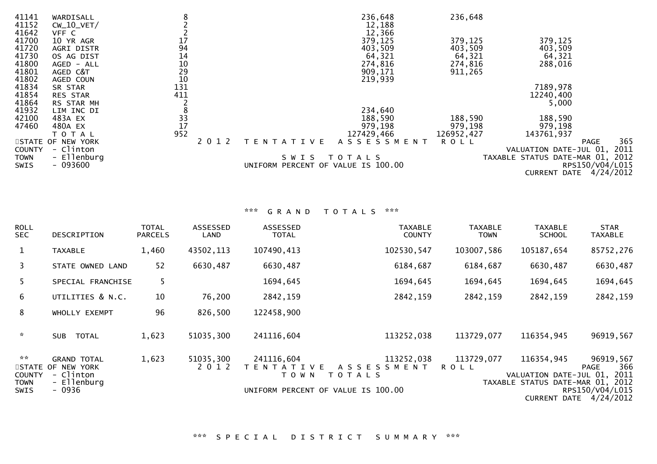| 41141<br>41152<br>41642 | WARDISALL<br>$CW_10_VET/$<br>VFF C | 8               |         |                                    | 236,648<br>12,188<br>12,366 | 236,648     |                                  |                 |      |
|-------------------------|------------------------------------|-----------------|---------|------------------------------------|-----------------------------|-------------|----------------------------------|-----------------|------|
| 41700                   | 10 YR AGR                          | $17\,$          |         |                                    | 379,125                     | 379,125     | 379,125                          |                 |      |
| 41720                   | AGRI DISTR                         | 94              |         |                                    | 403,509                     | 403,509     | 403,509                          |                 |      |
| 41730                   | OS AG DIST                         | 14              |         |                                    | 64,321                      | 64,321      | 64,321                           |                 |      |
| 41800                   | AGED - ALL                         | $10\,$          |         |                                    | 274,816                     | 274,816     | 288,016                          |                 |      |
| 41801                   | AGED C&T                           | 29              |         |                                    | 909,171                     | 911,265     |                                  |                 |      |
| 41802                   | AGED COUN                          | 10              |         |                                    | 219,939                     |             |                                  |                 |      |
| 41834                   | SR STAR                            | 131             |         |                                    |                             |             | 7189,978                         |                 |      |
| 41854                   | RES STAR                           | 411             |         |                                    |                             |             | 12240,400                        |                 |      |
| 41864                   | RS STAR MH                         |                 |         |                                    |                             |             | 5,000                            |                 |      |
| 41932                   | LIM INC DI                         | 8               |         |                                    | 234,640                     |             |                                  |                 |      |
| 42100                   | 483A EX                            | $\frac{33}{17}$ |         |                                    | 188,590                     | 188,590     | 188,590                          |                 |      |
| 47460                   | 480A EX                            |                 |         |                                    | 979,198                     | 979,198     | 979,198                          |                 |      |
|                         | TOTAL                              | 952             |         |                                    | 127429,466                  | 126952,427  | 143761,937                       |                 |      |
|                         | STATE OF NEW YORK                  |                 | 2 0 1 2 | T E N T A T I V E                  | ASSESSMENT                  | <b>ROLL</b> |                                  | <b>PAGE</b>     | 365  |
| <b>COUNTY</b>           | - Clinton                          |                 |         |                                    |                             |             | VALUATION DATE-JUL 01,           |                 | 2011 |
| <b>TOWN</b>             | - Ellenburg                        |                 |         | S W I S                            | T O T A L S                 |             | TAXABLE STATUS DATE-MAR 01, 2012 |                 |      |
| SWIS                    | $-093600$                          |                 |         | UNIFORM PERCENT OF VALUE IS 100.00 |                             |             |                                  | RPS150/V04/L015 |      |
|                         |                                    |                 |         |                                    |                             |             | CURRENT DATE 4/24/2012           |                 |      |

| <b>ROLL</b><br><b>SEC</b>                           | <b>DESCRIPTION</b>                                                       | TOTAL<br><b>PARCELS</b> | ASSESSED<br>LAND     | ASSESSED<br><b>TOTAL</b>                    | <b>TAXABLE</b><br><b>COUNTY</b>                                                        | <b>TAXABLE</b><br><b>TOWN</b> | <b>TAXABLE</b><br><b>SCHOOL</b>                                               | <b>STAR</b><br><b>TAXABLE</b>                      |
|-----------------------------------------------------|--------------------------------------------------------------------------|-------------------------|----------------------|---------------------------------------------|----------------------------------------------------------------------------------------|-------------------------------|-------------------------------------------------------------------------------|----------------------------------------------------|
| $\mathbf{1}$                                        | <b>TAXABLE</b>                                                           | 1,460                   | 43502,113            | 107490,413                                  | 102530,547                                                                             | 103007,586                    | 105187,654                                                                    | 85752,276                                          |
| 3                                                   | STATE OWNED LAND                                                         | 52                      | 6630,487             | 6630,487                                    | 6184,687                                                                               | 6184,687                      | 6630,487                                                                      | 6630,487                                           |
| 5.                                                  | SPECIAL FRANCHISE                                                        | 5                       |                      | 1694,645                                    | 1694,645                                                                               | 1694,645                      | 1694,645                                                                      | 1694,645                                           |
| 6                                                   | UTILITIES & N.C.                                                         | 10                      | 76,200               | 2842,159                                    | 2842,159                                                                               | 2842,159                      | 2842,159                                                                      | 2842,159                                           |
| 8                                                   | WHOLLY EXEMPT                                                            | 96                      | 826,500              | 122458,900                                  |                                                                                        |                               |                                                                               |                                                    |
| $\sim$                                              | <b>TOTAL</b><br><b>SUB</b>                                               | 1,623                   | 51035,300            | 241116,604                                  | 113252,038                                                                             | 113729,077                    | 116354,945                                                                    | 96919,567                                          |
| **<br>STATE<br><b>COUNTY</b><br>TOWN<br><b>SWIS</b> | <b>GRAND TOTAL</b><br>OF NEW YORK<br>- Clinton<br>- Ellenburg<br>$-0936$ | 1,623                   | 51035,300<br>2 0 1 2 | 241116,604<br>T A T I V F<br>TFN<br>T O W N | 113252,038<br>A S S E S S M E N T<br>T O T A L S<br>UNIFORM PERCENT OF VALUE IS 100.00 | 113729,077<br><b>ROLL</b>     | 116354,945<br>VALUATION DATE-JUL 01, 2011<br>TAXABLE STATUS DATE-MAR 01, 2012 | 96919,567<br>366<br><b>PAGE</b><br>RPS150/V04/L015 |
|                                                     |                                                                          |                         |                      |                                             |                                                                                        |                               |                                                                               | CURRENT DATE 4/24/2012                             |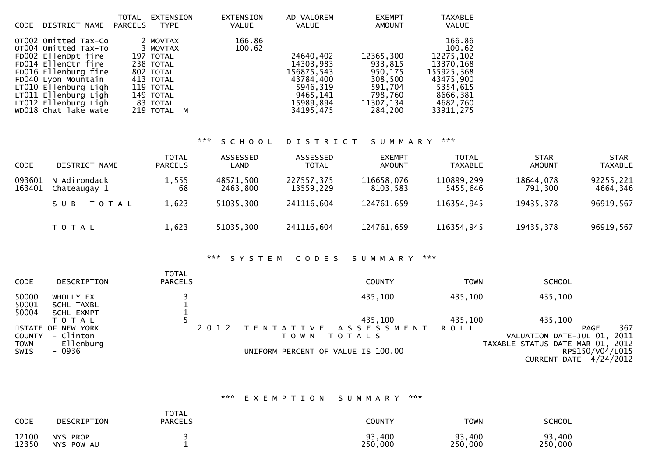| <b>CODE</b> | DISTRICT NAME                                                                                                                                                                                                                             | TOTAL<br>PARCELS | <b>EXTENSION</b><br>TYPE                                                                                                      | <b>EXTENSION</b><br><b>VALUE</b> | AD VALOREM<br><b>VALUE</b>                                                                          | <b>EXEMPT</b><br><b>AMOUNT</b>                                                           | <b>TAXABLE</b><br>VALUE                                                                                                |
|-------------|-------------------------------------------------------------------------------------------------------------------------------------------------------------------------------------------------------------------------------------------|------------------|-------------------------------------------------------------------------------------------------------------------------------|----------------------------------|-----------------------------------------------------------------------------------------------------|------------------------------------------------------------------------------------------|------------------------------------------------------------------------------------------------------------------------|
|             | OTO02 Omitted Tax-Co<br>OT004 Omitted Tax-To<br>FD002 EllenDpt fire<br>FD014 EllenCtr fire<br>FD016 Ellenburg fire<br>FD040 Lyon Mountain<br>LT010 Ellenburg Ligh<br>LT011 Ellenburg Ligh<br>LT012 Ellenburg Ligh<br>WD018 Chat lake wate |                  | 2 MOVTAX<br>3 MOVTAX<br>197 TOTAL<br>238 TOTAL<br>802 TOTAL<br>413 TOTAL<br>119 TOTAL<br>149 TOTAL<br>83 TOTAL<br>219 TOTAL M | 166.86<br>100.62                 | 24640,402<br>14303,983<br>156875,543<br>43784,400<br>5946.319<br>9465.141<br>15989,894<br>34195,475 | 12365,300<br>933.815<br>950.175<br>308,500<br>591,704<br>798.760<br>11307.134<br>284.200 | 166.86<br>100.62<br>12275,102<br>13370,168<br>155925,368<br>43475,900<br>5354,615<br>8666,381<br>4682,760<br>33911,275 |
|             |                                                                                                                                                                                                                                           |                  |                                                                                                                               |                                  |                                                                                                     |                                                                                          |                                                                                                                        |

| <b>CODE</b>      | DISTRICT NAME                | <b>TOTAL</b><br><b>PARCELS</b> | ASSESSED<br>LAND      | ASSESSED<br><b>TOTAL</b> | <b>EXEMPT</b><br><b>AMOUNT</b> | <b>TOTAL</b><br><b>TAXABLE</b> | <b>STAR</b><br><b>AMOUNT</b> | <b>STAR</b><br><b>TAXABLE</b> |
|------------------|------------------------------|--------------------------------|-----------------------|--------------------------|--------------------------------|--------------------------------|------------------------------|-------------------------------|
| 093601<br>163401 | N Adirondack<br>Chateaugay 1 | 1,555<br>68                    | 48571,500<br>2463,800 | 227557,375<br>13559,229  | 116658,076<br>8103,583         | 110899,299<br>5455,646         | 18644,078<br>791,300         | 92255,221<br>4664,346         |
|                  | SUB-TOTAL                    | 1,623                          | 51035,300             | 241116,604               | 124761,659                     | 116354,945                     | 19435,378                    | 96919,567                     |
|                  | T O T A L                    | 1,623                          | 51035,300             | 241116,604               | 124761,659                     | 116354,945                     | 19435,378                    | 96919,567                     |

#### \*\*\* S Y S T E M C O D E S S U M M A R Y \*\*\*

| <b>CODE</b>    | DESCRIPTION             | <b>TOTAL</b><br><b>PARCELS</b> |                                    | <b>COUNTY</b>             | TOWN    | <b>SCHOOL</b>                    |                    |
|----------------|-------------------------|--------------------------------|------------------------------------|---------------------------|---------|----------------------------------|--------------------|
| 50000<br>50001 | WHOLLY EX<br>SCHL TAXBL |                                |                                    | 435,100                   | 435,100 | 435,100                          |                    |
| 50004          | SCHL EXMPT              |                                |                                    |                           |         |                                  |                    |
|                | ΤΟΤΑΙ                   |                                |                                    | 435,100                   | 435,100 | 435,100                          |                    |
|                | STATE OF NEW YORK       | 2 0 1 2                        |                                    | TENTATIVE ASSESSMENT ROLL |         |                                  | 367<br><b>PAGE</b> |
| <b>COUNTY</b>  | - Clinton               |                                | T O W N                            | T O T A L S               |         | VALUATION DATE-JUL 01,           | 2011               |
|                | - Ellenburg             |                                |                                    |                           |         | TAXABLE STATUS DATE-MAR 01, 2012 |                    |
| TOWN<br>SWIS   | - 0936                  |                                | UNIFORM PERCENT OF VALUE IS 100.00 |                           |         |                                  | RPS150/V04/L015    |
|                |                         |                                |                                    |                           |         | CURRENT DATE 4/24/2012           |                    |

# \*\*\* E X E M P T I O N S U M M A R Y \*\*\*

| <b>CODE</b>    | DESCRIPTION                             | <b>TOTAL</b><br><b>PARCELS</b> | COUNTY            | TOWN              | <b>SCHOOL</b>     |
|----------------|-----------------------------------------|--------------------------------|-------------------|-------------------|-------------------|
| 12100<br>12350 | <b>NYS</b><br><b>PROP</b><br>NYS POW AU |                                | 93,400<br>250,000 | 93,400<br>250,000 | 93,400<br>250,000 |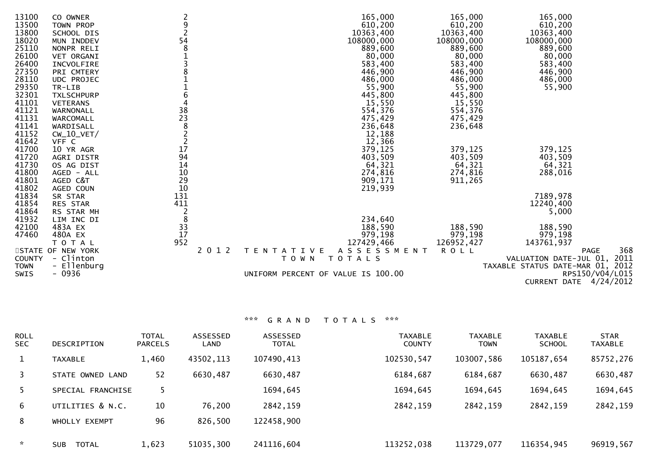| 13100<br>13500<br>13800<br>18020<br>25110<br>26100<br>26400<br>27350<br>28110<br>29350<br>32301<br>41101<br>41121<br>41131 | CO OWNER<br>TOWN PROP<br>SCHOOL DIS<br>MUN INDDEV<br>NONPR RELI<br><b>VET ORGANI</b><br>INCVOLFIRE<br>PRI CMTERY<br><b>UDC PROJEC</b><br>TR-LIB<br><b>TXLSCHPURP</b><br><b>VETERANS</b><br>WARNONALL<br>WARCOMALL | 9<br>54<br>8<br>6<br>4<br>38<br>23 | 165,000<br>610,200<br>10363,400<br>108000,000<br>889,600<br>80,000<br>583,400<br>446,900<br>486,000<br>55,900<br>445,800<br>15,550<br>554,376<br>475,429 | 165,000<br>610,200<br>10363,400<br>108000,000<br>889,600<br>80,000<br>583,400<br>446,900<br>486,000<br>55,900<br>445,800<br>15,550<br>554,376<br>475,429 | 165,000<br>610,200<br>10363,400<br>108000,000<br>889,600<br>80,000<br>583,400<br>446,900<br>486,000<br>55,900 |
|----------------------------------------------------------------------------------------------------------------------------|-------------------------------------------------------------------------------------------------------------------------------------------------------------------------------------------------------------------|------------------------------------|----------------------------------------------------------------------------------------------------------------------------------------------------------|----------------------------------------------------------------------------------------------------------------------------------------------------------|---------------------------------------------------------------------------------------------------------------|
| 41141<br>41152<br>41642                                                                                                    | WARDISALL<br>$CW_10_VET/$<br>VFF C                                                                                                                                                                                | 8                                  | 236,648<br>12,188<br>12,366                                                                                                                              | 236,648                                                                                                                                                  |                                                                                                               |
| 41700<br>41720                                                                                                             | 10 YR AGR<br>AGRI DISTR                                                                                                                                                                                           | 17<br>94                           | 379,125<br>403,509                                                                                                                                       | 379,125<br>403,509                                                                                                                                       | 379,125<br>403,509                                                                                            |
| 41730<br>41800<br>41801<br>41802                                                                                           | OS AG DIST<br>AGED - ALL<br>AGED C&T<br>AGED COUN                                                                                                                                                                 | 14<br>10<br>29<br>10               | 64,321<br>274,816<br>909,171<br>219,939                                                                                                                  | 64,321<br>274,816<br>911,265                                                                                                                             | 64,321<br>288,016                                                                                             |
| 41834<br>41854<br>41864<br>41932                                                                                           | SR STAR<br><b>RES STAR</b><br>RS STAR MH<br>LIM INC DI                                                                                                                                                            | 131<br>411<br>$\overline{c}$<br>8  | 234,640                                                                                                                                                  |                                                                                                                                                          | 7189,978<br>12240,400<br>5,000                                                                                |
| 42100<br>47460                                                                                                             | 483A EX<br>480A EX<br>T O T A L                                                                                                                                                                                   | 33<br>17<br>952                    | 188,590<br>979,198<br>127429,466                                                                                                                         | 188,590<br>979,198<br>126952,427                                                                                                                         | 188,590<br>979,198<br>143761,937                                                                              |
| <b>COUNTY</b><br><b>TOWN</b>                                                                                               | STATE OF NEW YORK<br>- Clinton<br>- Ellenburg                                                                                                                                                                     | 2 0 1 2                            | ASSESSMENT<br>T E N T A T I V E<br>T O W N<br>TOTALS                                                                                                     | <b>ROLL</b>                                                                                                                                              | 368<br><b>PAGE</b><br>VALUATION DATE-JUL 01, 2011<br>TAXABLE STATUS DATE-MAR 01, 2012                         |
| <b>SWIS</b>                                                                                                                | - 0936                                                                                                                                                                                                            |                                    | UNIFORM PERCENT OF VALUE IS 100.00                                                                                                                       |                                                                                                                                                          | RPS150/V04/L015<br>CURRENT DATE 4/24/2012                                                                     |

| <b>ROLL</b><br>SEC. | <b>DESCRIPTION</b>         | <b>TOTAL</b><br><b>PARCELS</b> | <b>ASSESSED</b><br>LAND | ASSESSED<br><b>TOTAL</b> | <b>TAXABLE</b><br><b>COUNTY</b> | <b>TAXABLE</b><br><b>TOWN</b> | <b>TAXABLE</b><br><b>SCHOOL</b> | <b>STAR</b><br><b>TAXABLE</b> |
|---------------------|----------------------------|--------------------------------|-------------------------|--------------------------|---------------------------------|-------------------------------|---------------------------------|-------------------------------|
| $\mathbf{1}$        | <b>TAXABLE</b>             | 1,460                          | 43502,113               | 107490,413               | 102530,547                      | 103007,586                    | 105187,654                      | 85752,276                     |
| 3                   | STATE OWNED LAND           | 52                             | 6630,487                | 6630,487                 | 6184,687                        | 6184,687                      | 6630,487                        | 6630,487                      |
| 5.                  | SPECIAL FRANCHISE          |                                |                         | 1694,645                 | 1694,645                        | 1694,645                      | 1694,645                        | 1694,645                      |
| 6                   | UTILITIES & N.C.           | 10                             | 76,200                  | 2842,159                 | 2842,159                        | 2842,159                      | 2842,159                        | 2842,159                      |
| 8                   | WHOLLY EXEMPT              | 96                             | 826,500                 | 122458,900               |                                 |                               |                                 |                               |
| $\sim$              | <b>TOTAL</b><br><b>SUB</b> | 1,623                          | 51035,300               | 241116,604               | 113252,038                      | 113729,077                    | 116354,945                      | 96919,567                     |